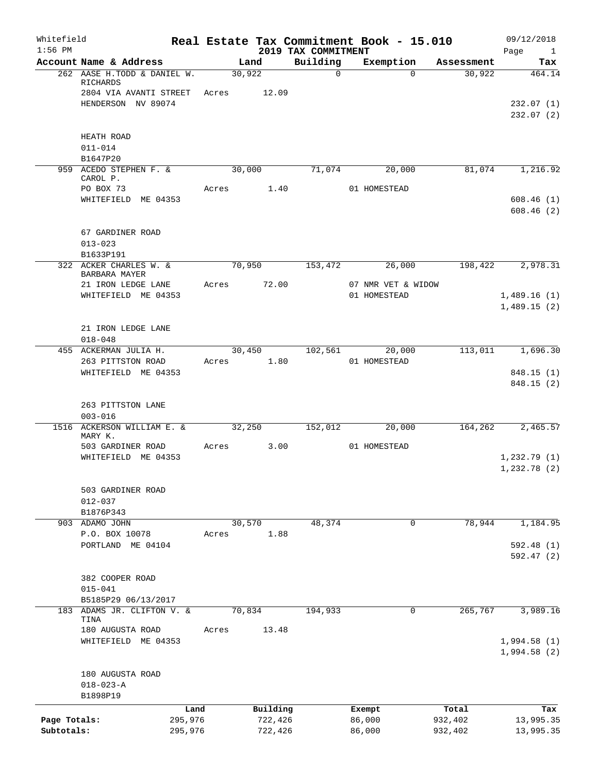| Whitefield<br>$1:56$ PM    |                                              |       |                    |                                 | Real Estate Tax Commitment Book - 15.010 |                    | 09/12/2018                  |
|----------------------------|----------------------------------------------|-------|--------------------|---------------------------------|------------------------------------------|--------------------|-----------------------------|
|                            | Account Name & Address                       |       | Land               | 2019 TAX COMMITMENT<br>Building | Exemption                                | Assessment         | Page<br>$\mathbf{1}$<br>Tax |
|                            | 262 AASE H.TODD & DANIEL W.<br>RICHARDS      |       | 30,922             | $\Omega$                        | $\Omega$                                 | 30,922             | 464.14                      |
|                            | 2804 VIA AVANTI STREET<br>HENDERSON NV 89074 |       | Acres 12.09        |                                 |                                          |                    | 232.07(1)                   |
|                            |                                              |       |                    |                                 |                                          |                    | 232.07(2)                   |
|                            | HEATH ROAD                                   |       |                    |                                 |                                          |                    |                             |
|                            | $011 - 014$<br>B1647P20                      |       |                    |                                 |                                          |                    |                             |
|                            | 959 ACEDO STEPHEN F. &<br>CAROL P.           |       | 30,000             | 71,074                          | 20,000                                   | 81,074             | 1,216.92                    |
|                            | PO BOX 73<br>WHITEFIELD ME 04353             | Acres | 1.40               |                                 | 01 HOMESTEAD                             |                    | 608.46(1)                   |
|                            |                                              |       |                    |                                 |                                          |                    | 608.46(2)                   |
|                            | 67 GARDINER ROAD<br>$013 - 023$              |       |                    |                                 |                                          |                    |                             |
|                            | B1633P191<br>322 ACKER CHARLES W. &          |       | 70,950             | 153,472                         | 26,000                                   | 198,422            | 2,978.31                    |
|                            | BARBARA MAYER                                |       |                    |                                 |                                          |                    |                             |
|                            | 21 IRON LEDGE LANE<br>WHITEFIELD ME 04353    | Acres | 72.00              |                                 | 07 NMR VET & WIDOW<br>01 HOMESTEAD       |                    | 1,489.16(1)                 |
|                            |                                              |       |                    |                                 |                                          |                    | 1,489.15(2)                 |
|                            | 21 IRON LEDGE LANE<br>$018 - 048$            |       |                    |                                 |                                          |                    |                             |
|                            | 455 ACKERMAN JULIA H.                        |       | 30,450             | 102,561                         | 20,000                                   | 113,011            | 1,696.30                    |
|                            | 263 PITTSTON ROAD                            | Acres | 1.80               |                                 | 01 HOMESTEAD                             |                    |                             |
|                            | WHITEFIELD ME 04353                          |       |                    |                                 |                                          |                    | 848.15(1)<br>848.15 (2)     |
|                            | 263 PITTSTON LANE<br>$003 - 016$             |       |                    |                                 |                                          |                    |                             |
|                            | 1516 ACKERSON WILLIAM E. &<br>MARY K.        |       | 32,250             | 152,012                         | 20,000                                   | 164,262            | 2,465.57                    |
|                            | 503 GARDINER ROAD                            | Acres | 3.00               |                                 | 01 HOMESTEAD                             |                    |                             |
|                            | WHITEFIELD ME 04353                          |       |                    |                                 |                                          |                    | 1,232.79(1)<br>1,232.78 (2) |
|                            | 503 GARDINER ROAD<br>$012 - 037$             |       |                    |                                 |                                          |                    |                             |
|                            | B1876P343                                    |       |                    |                                 |                                          |                    |                             |
|                            | 903 ADAMO JOHN                               |       | 30,570             | 48,374                          | 0                                        | 78,944             | 1,184.95                    |
|                            | P.O. BOX 10078                               | Acres | 1.88               |                                 |                                          |                    |                             |
|                            | PORTLAND ME 04104                            |       |                    |                                 |                                          |                    | 592.48(1)<br>592.47(2)      |
|                            | 382 COOPER ROAD                              |       |                    |                                 |                                          |                    |                             |
|                            | $015 - 041$                                  |       |                    |                                 |                                          |                    |                             |
|                            | B5185P29 06/13/2017                          |       |                    |                                 | 0                                        |                    |                             |
|                            | 183 ADAMS JR. CLIFTON V. &<br>TINA           |       | 70,834             | 194,933                         |                                          | 265,767            | 3,989.16                    |
|                            | 180 AUGUSTA ROAD<br>WHITEFIELD ME 04353      | Acres | 13.48              |                                 |                                          |                    | 1,994.58(1)<br>1,994.58(2)  |
|                            | 180 AUGUSTA ROAD<br>$018 - 023 - A$          |       |                    |                                 |                                          |                    |                             |
|                            | B1898P19                                     |       |                    |                                 |                                          |                    |                             |
|                            |                                              | Land  | Building           |                                 | Exempt                                   | Total              | Tax                         |
| Page Totals:<br>Subtotals: | 295,976<br>295,976                           |       | 722,426<br>722,426 |                                 | 86,000<br>86,000                         | 932,402<br>932,402 | 13,995.35<br>13,995.35      |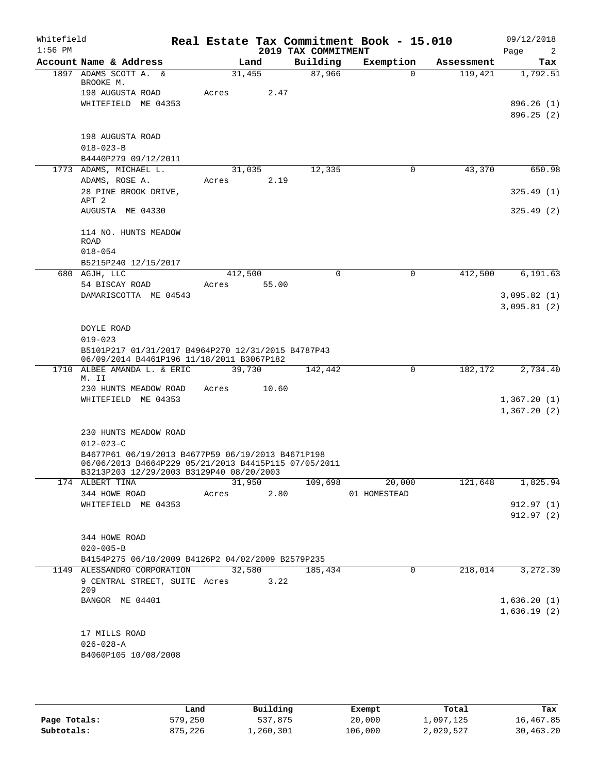| Whitefield<br>$1:56$ PM |                                                                                                                                                       |            |        | 2019 TAX COMMITMENT | Real Estate Tax Commitment Book - 15.010 |            | 09/12/2018<br>Page<br>2    |
|-------------------------|-------------------------------------------------------------------------------------------------------------------------------------------------------|------------|--------|---------------------|------------------------------------------|------------|----------------------------|
|                         | Account Name & Address                                                                                                                                |            | Land   | Building            | Exemption                                | Assessment | Tax                        |
|                         | 1897 ADAMS SCOTT A. &<br>BROOKE M.                                                                                                                    | 31,455     |        | 87,966              | $\Omega$                                 | 119,421    | 1,792.51                   |
|                         | 198 AUGUSTA ROAD                                                                                                                                      | Acres      | 2.47   |                     |                                          |            |                            |
|                         | WHITEFIELD ME 04353                                                                                                                                   |            |        |                     |                                          |            | 896.26 (1)                 |
|                         |                                                                                                                                                       |            |        |                     |                                          |            | 896.25(2)                  |
|                         | 198 AUGUSTA ROAD                                                                                                                                      |            |        |                     |                                          |            |                            |
|                         | $018 - 023 - B$                                                                                                                                       |            |        |                     |                                          |            |                            |
|                         | B4440P279 09/12/2011                                                                                                                                  |            |        |                     |                                          |            |                            |
|                         | 1773 ADAMS, MICHAEL L.                                                                                                                                | 31,035     |        | 12,335              | 0                                        | 43,370     | 650.98                     |
|                         | ADAMS, ROSE A.<br>28 PINE BROOK DRIVE,                                                                                                                | Acres      | 2.19   |                     |                                          |            | 325.49(1)                  |
|                         | APT 2                                                                                                                                                 |            |        |                     |                                          |            |                            |
|                         | AUGUSTA ME 04330                                                                                                                                      |            |        |                     |                                          |            | 325.49(2)                  |
|                         | 114 NO. HUNTS MEADOW                                                                                                                                  |            |        |                     |                                          |            |                            |
|                         | ROAD<br>$018 - 054$                                                                                                                                   |            |        |                     |                                          |            |                            |
|                         | B5215P240 12/15/2017                                                                                                                                  |            |        |                     |                                          |            |                            |
|                         | 680 AGJH, LLC                                                                                                                                         | 412,500    |        | $\Omega$            | $\Omega$                                 | 412,500    | 6,191.63                   |
|                         | 54 BISCAY ROAD                                                                                                                                        | Acres      | 55.00  |                     |                                          |            |                            |
|                         | DAMARISCOTTA ME 04543                                                                                                                                 |            |        |                     |                                          |            | 3,095.82(1)                |
|                         |                                                                                                                                                       |            |        |                     |                                          |            | 3,095.81(2)                |
|                         | DOYLE ROAD                                                                                                                                            |            |        |                     |                                          |            |                            |
|                         | $019 - 023$                                                                                                                                           |            |        |                     |                                          |            |                            |
|                         | B5101P217 01/31/2017 B4964P270 12/31/2015 B4787P43<br>06/09/2014 B4461P196 11/18/2011 B3067P182                                                       |            |        |                     |                                          |            |                            |
|                         | 1710 ALBEE AMANDA L. & ERIC<br>M. II                                                                                                                  | 39,730     |        | 142,442             | 0                                        | 182,172    | 2,734.40                   |
|                         | 230 HUNTS MEADOW ROAD                                                                                                                                 | Acres      | 10.60  |                     |                                          |            |                            |
|                         | WHITEFIELD ME 04353                                                                                                                                   |            |        |                     |                                          |            | 1,367.20(1)<br>1,367.20(2) |
|                         |                                                                                                                                                       |            |        |                     |                                          |            |                            |
|                         | 230 HUNTS MEADOW ROAD                                                                                                                                 |            |        |                     |                                          |            |                            |
|                         | $012 - 023 - C$                                                                                                                                       |            |        |                     |                                          |            |                            |
|                         | B4677P61 06/19/2013 B4677P59 06/19/2013 B4671P198<br>06/06/2013 B4664P229 05/21/2013 B4415P115 07/05/2011<br>B3213P203 12/29/2003 B3129P40 08/20/2003 |            |        |                     |                                          |            |                            |
|                         | 174 ALBERT TINA                                                                                                                                       | 31,950     |        | 109,698             | 20,000                                   | 121,648    | 1,825.94                   |
|                         | 344 HOWE ROAD                                                                                                                                         | Acres 2.80 |        |                     | 01 HOMESTEAD                             |            |                            |
|                         | WHITEFIELD ME 04353                                                                                                                                   |            |        |                     |                                          |            | 912.97(1)                  |
|                         |                                                                                                                                                       |            |        |                     |                                          |            | 912.97(2)                  |
|                         | 344 HOWE ROAD                                                                                                                                         |            |        |                     |                                          |            |                            |
|                         | $020 - 005 - B$                                                                                                                                       |            |        |                     |                                          |            |                            |
|                         | B4154P275 06/10/2009 B4126P2 04/02/2009 B2579P235                                                                                                     |            |        |                     |                                          |            |                            |
|                         | 1149 ALESSANDRO CORPORATION                                                                                                                           |            | 32,580 | 185,434             | 0                                        | 218,014    | 3,272.39                   |
|                         | 9 CENTRAL STREET, SUITE Acres 3.22<br>209                                                                                                             |            |        |                     |                                          |            |                            |
|                         | BANGOR ME 04401                                                                                                                                       |            |        |                     |                                          |            | 1,636.20(1)                |
|                         |                                                                                                                                                       |            |        |                     |                                          |            | 1,636.19(2)                |
|                         | 17 MILLS ROAD                                                                                                                                         |            |        |                     |                                          |            |                            |
|                         | $026 - 028 - A$                                                                                                                                       |            |        |                     |                                          |            |                            |
|                         | B4060P105 10/08/2008                                                                                                                                  |            |        |                     |                                          |            |                            |
|                         |                                                                                                                                                       |            |        |                     |                                          |            |                            |

|              | Land    | Building  | Exempt  | Total     | Tax       |
|--------------|---------|-----------|---------|-----------|-----------|
| Page Totals: | 579,250 | 537,875   | 20,000  | 1,097,125 | 16,467.85 |
| Subtotals:   | 875,226 | 1,260,301 | 106,000 | 2,029,527 | 30,463.20 |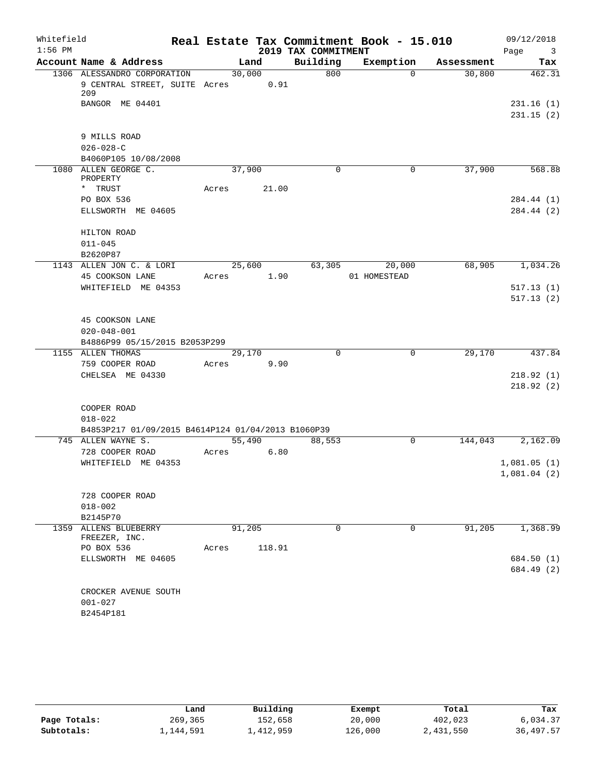| Whitefield<br>$1:56$ PM |                                                    |        |        | 2019 TAX COMMITMENT | Real Estate Tax Commitment Book - 15.010 |            | 09/12/2018<br>Page<br>$\overline{\mathbf{3}}$ |
|-------------------------|----------------------------------------------------|--------|--------|---------------------|------------------------------------------|------------|-----------------------------------------------|
|                         | Account Name & Address                             |        | Land   | Building            | Exemption                                | Assessment | Tax                                           |
|                         | 1306 ALESSANDRO CORPORATION                        | 30,000 |        | 800                 | $\Omega$                                 | 30,800     | 462.31                                        |
|                         | 9 CENTRAL STREET, SUITE Acres 0.91<br>209          |        |        |                     |                                          |            |                                               |
|                         | BANGOR ME 04401                                    |        |        |                     |                                          |            | 231.16(1)                                     |
|                         |                                                    |        |        |                     |                                          |            | 231.15(2)                                     |
|                         | 9 MILLS ROAD                                       |        |        |                     |                                          |            |                                               |
|                         | $026 - 028 - C$                                    |        |        |                     |                                          |            |                                               |
|                         | B4060P105 10/08/2008                               |        |        |                     |                                          |            |                                               |
|                         | 1080 ALLEN GEORGE C.<br>PROPERTY                   | 37,900 |        | 0                   | $\mathbf 0$                              | 37,900     | 568.88                                        |
|                         | * TRUST                                            | Acres  | 21.00  |                     |                                          |            |                                               |
|                         | PO BOX 536                                         |        |        |                     |                                          |            | 284.44 (1)                                    |
|                         | ELLSWORTH ME 04605                                 |        |        |                     |                                          |            | 284.44 (2)                                    |
|                         | HILTON ROAD                                        |        |        |                     |                                          |            |                                               |
|                         | $011 - 045$                                        |        |        |                     |                                          |            |                                               |
|                         | B2620P87                                           |        |        |                     |                                          |            |                                               |
|                         | 1143 ALLEN JON C. & LORI                           | 25,600 |        | 63,305              | 20,000                                   | 68,905     | 1,034.26                                      |
|                         | 45 COOKSON LANE                                    | Acres  | 1.90   |                     | 01 HOMESTEAD                             |            |                                               |
|                         | WHITEFIELD ME 04353                                |        |        |                     |                                          |            | 517.13(1)                                     |
|                         |                                                    |        |        |                     |                                          |            | 517.13(2)                                     |
|                         | 45 COOKSON LANE                                    |        |        |                     |                                          |            |                                               |
|                         | $020 - 048 - 001$                                  |        |        |                     |                                          |            |                                               |
|                         | B4886P99 05/15/2015 B2053P299                      |        |        |                     |                                          |            |                                               |
|                         | 1155 ALLEN THOMAS                                  | 29,170 |        | $\Omega$            | 0                                        | 29,170     | 437.84                                        |
|                         | 759 COOPER ROAD                                    | Acres  | 9.90   |                     |                                          |            |                                               |
|                         | CHELSEA ME 04330                                   |        |        |                     |                                          |            | 218.92(1)                                     |
|                         |                                                    |        |        |                     |                                          |            | 218.92(2)                                     |
|                         |                                                    |        |        |                     |                                          |            |                                               |
|                         | COOPER ROAD                                        |        |        |                     |                                          |            |                                               |
|                         | $018 - 022$                                        |        |        |                     |                                          |            |                                               |
|                         | B4853P217 01/09/2015 B4614P124 01/04/2013 B1060P39 |        |        |                     |                                          |            |                                               |
|                         | 745 ALLEN WAYNE S.                                 | 55,490 |        | 88,553              | $\mathbf 0$                              | 144,043    | 2,162.09                                      |
|                         | 728 COOPER ROAD                                    | Acres  | 6.80   |                     |                                          |            |                                               |
|                         | WHITEFIELD ME 04353                                |        |        |                     |                                          |            | 1,081.05(1)                                   |
|                         |                                                    |        |        |                     |                                          |            | 1,081.04(2)                                   |
|                         | 728 COOPER ROAD                                    |        |        |                     |                                          |            |                                               |
|                         | $018 - 002$                                        |        |        |                     |                                          |            |                                               |
|                         | B2145P70                                           |        |        |                     |                                          |            |                                               |
|                         | 1359 ALLENS BLUEBERRY                              | 91,205 |        | $\Omega$            | $\mathbf 0$                              | 91,205     | 1,368.99                                      |
|                         | FREEZER, INC.                                      |        |        |                     |                                          |            |                                               |
|                         | PO BOX 536                                         | Acres  | 118.91 |                     |                                          |            |                                               |
|                         | ELLSWORTH ME 04605                                 |        |        |                     |                                          |            | 684.50 (1)                                    |
|                         |                                                    |        |        |                     |                                          |            | 684.49 (2)                                    |
|                         |                                                    |        |        |                     |                                          |            |                                               |
|                         | CROCKER AVENUE SOUTH                               |        |        |                     |                                          |            |                                               |
|                         | $001 - 027$                                        |        |        |                     |                                          |            |                                               |
|                         | B2454P181                                          |        |        |                     |                                          |            |                                               |

|              | Land      | Building  | Exempt  | Total     | Tax       |
|--------------|-----------|-----------|---------|-----------|-----------|
| Page Totals: | 269,365   | 152,658   | 20,000  | 402,023   | 6,034.37  |
| Subtotals:   | 1,144,591 | 1,412,959 | 126,000 | 2,431,550 | 36,497.57 |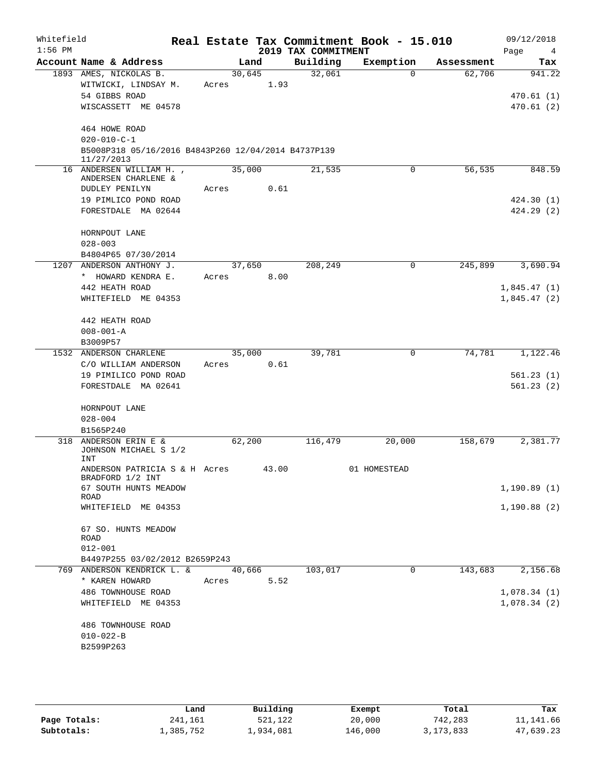| Whitefield<br>$1:56$ PM |                                                                   |        |       | 2019 TAX COMMITMENT | Real Estate Tax Commitment Book - 15.010 |            | 09/12/2018<br>Page<br>$\overline{4}$ |
|-------------------------|-------------------------------------------------------------------|--------|-------|---------------------|------------------------------------------|------------|--------------------------------------|
|                         | Account Name & Address                                            |        | Land  | Building            | Exemption                                | Assessment | Tax                                  |
|                         | 1893 AMES, NICKOLAS B.                                            | 30,645 |       | 32,061              | $\Omega$                                 | 62,706     | 941.22                               |
|                         | WITWICKI, LINDSAY M.                                              | Acres  | 1.93  |                     |                                          |            |                                      |
|                         | 54 GIBBS ROAD                                                     |        |       |                     |                                          |            | 470.61 (1)                           |
|                         | WISCASSETT ME 04578                                               |        |       |                     |                                          |            | 470.61(2)                            |
|                         | 464 HOWE ROAD                                                     |        |       |                     |                                          |            |                                      |
|                         | $020 - 010 - C - 1$                                               |        |       |                     |                                          |            |                                      |
|                         | B5008P318 05/16/2016 B4843P260 12/04/2014 B4737P139<br>11/27/2013 |        |       |                     |                                          |            |                                      |
|                         | 16 ANDERSEN WILLIAM H.,<br>ANDERSEN CHARLENE &                    | 35,000 |       | 21,535              | 0                                        | 56,535     | 848.59                               |
|                         | DUDLEY PENILYN                                                    | Acres  | 0.61  |                     |                                          |            |                                      |
|                         | 19 PIMLICO POND ROAD                                              |        |       |                     |                                          |            | 424.30(1)                            |
|                         | FORESTDALE MA 02644                                               |        |       |                     |                                          |            | 424.29(2)                            |
|                         | HORNPOUT LANE                                                     |        |       |                     |                                          |            |                                      |
|                         | $028 - 003$                                                       |        |       |                     |                                          |            |                                      |
|                         | B4804P65 07/30/2014                                               |        |       |                     |                                          |            |                                      |
| 1207                    | ANDERSON ANTHONY J.                                               | 37,650 |       | 208,249             | $\mathbf 0$                              | 245,899    | 3,690.94                             |
|                         | * HOWARD KENDRA E.                                                | Acres  | 8.00  |                     |                                          |            |                                      |
|                         | 442 HEATH ROAD                                                    |        |       |                     |                                          |            | 1,845.47(1)                          |
|                         | WHITEFIELD ME 04353                                               |        |       |                     |                                          |            | 1,845.47(2)                          |
|                         | 442 HEATH ROAD                                                    |        |       |                     |                                          |            |                                      |
|                         | $008 - 001 - A$                                                   |        |       |                     |                                          |            |                                      |
|                         | B3009P57                                                          |        |       |                     |                                          |            |                                      |
|                         | 1532 ANDERSON CHARLENE                                            | 35,000 |       | 39,781              | $\mathbf 0$                              | 74,781     | 1,122.46                             |
|                         | C/O WILLIAM ANDERSON                                              | Acres  | 0.61  |                     |                                          |            |                                      |
|                         | 19 PIMILICO POND ROAD                                             |        |       |                     |                                          |            | 561.23(1)                            |
|                         | FORESTDALE MA 02641                                               |        |       |                     |                                          |            | 561.23(2)                            |
|                         | HORNPOUT LANE                                                     |        |       |                     |                                          |            |                                      |
|                         | $028 - 004$                                                       |        |       |                     |                                          |            |                                      |
|                         | B1565P240                                                         |        |       |                     |                                          |            |                                      |
| 318                     | ANDERSON ERIN E &<br>JOHNSON MICHAEL S 1/2<br>INT                 | 62,200 |       | 116,479             | 20,000                                   | 158,679    | 2,381.77                             |
|                         | ANDERSON PATRICIA S & H Acres<br>BRADFORD 1/2 INT                 |        | 43.00 |                     | 01 HOMESTEAD                             |            |                                      |
|                         | 67 SOUTH HUNTS MEADOW<br>ROAD                                     |        |       |                     |                                          |            | 1,190.89(1)                          |
|                         | WHITEFIELD ME 04353                                               |        |       |                     |                                          |            | 1,190.88(2)                          |
|                         | 67 SO. HUNTS MEADOW                                               |        |       |                     |                                          |            |                                      |
|                         | ROAD                                                              |        |       |                     |                                          |            |                                      |
|                         | $012 - 001$                                                       |        |       |                     |                                          |            |                                      |
|                         | B4497P255 03/02/2012 B2659P243                                    |        |       |                     |                                          |            |                                      |
|                         | 769 ANDERSON KENDRICK L. &                                        | 40,666 |       | 103,017             | 0                                        | 143,683    | 2,156.68                             |
|                         | * KAREN HOWARD                                                    | Acres  | 5.52  |                     |                                          |            |                                      |
|                         | 486 TOWNHOUSE ROAD                                                |        |       |                     |                                          |            | 1,078.34(1)                          |
|                         | WHITEFIELD ME 04353                                               |        |       |                     |                                          |            | 1,078.34(2)                          |
|                         | 486 TOWNHOUSE ROAD                                                |        |       |                     |                                          |            |                                      |
|                         | $010 - 022 - B$                                                   |        |       |                     |                                          |            |                                      |
|                         | B2599P263                                                         |        |       |                     |                                          |            |                                      |
|                         |                                                                   |        |       |                     |                                          |            |                                      |

|              | Land      | Building  | Exempt  | Total       | Tax       |
|--------------|-----------|-----------|---------|-------------|-----------|
| Page Totals: | 241,161   | 521,122   | 20,000  | 742,283     | 11,141.66 |
| Subtotals:   | 1,385,752 | 1,934,081 | 146,000 | 3, 173, 833 | 47,639.23 |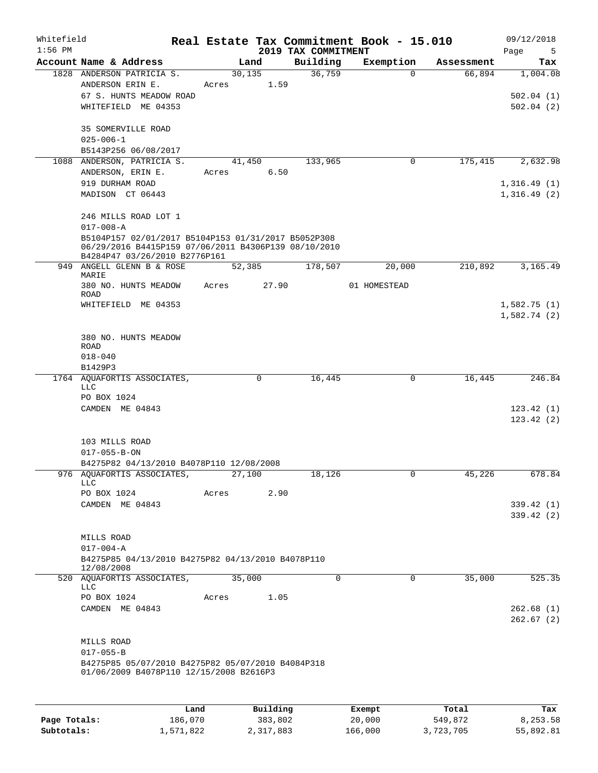| Whitefield<br>$1:56$ PM |                                                                                                                                                        |       |                       | 2019 TAX COMMITMENT | Real Estate Tax Commitment Book - 15.010 |            | 09/12/2018<br>Page<br>5            |
|-------------------------|--------------------------------------------------------------------------------------------------------------------------------------------------------|-------|-----------------------|---------------------|------------------------------------------|------------|------------------------------------|
|                         | Account Name & Address                                                                                                                                 |       | Land                  | Building            | Exemption                                | Assessment | Tax                                |
|                         | 1828 ANDERSON PATRICIA S.<br>ANDERSON ERIN E.<br>67 S. HUNTS MEADOW ROAD<br>WHITEFIELD ME 04353                                                        | Acres | 30, 135<br>1.59       | 36,759              | $\Omega$                                 | 66,894     | 1,004.08<br>502.04(1)<br>502.04(2) |
|                         | <b>35 SOMERVILLE ROAD</b><br>$025 - 006 - 1$<br>B5143P256 06/08/2017                                                                                   |       |                       |                     |                                          |            |                                    |
|                         | 1088 ANDERSON, PATRICIA S.<br>ANDERSON, ERIN E.                                                                                                        | Acres | 41,450<br>6.50        | 133,965             | 0                                        | 175,415    | 2,632.98                           |
|                         | 919 DURHAM ROAD<br>MADISON CT 06443                                                                                                                    |       |                       |                     |                                          |            | 1,316.49(1)<br>1,316.49(2)         |
|                         | 246 MILLS ROAD LOT 1<br>$017 - 008 - A$<br>B5104P157 02/01/2017 B5104P153 01/31/2017 B5052P308<br>06/29/2016 B4415P159 07/06/2011 B4306P139 08/10/2010 |       |                       |                     |                                          |            |                                    |
|                         | B4284P47 03/26/2010 B2776P161<br>949 ANGELL GLENN B & ROSE                                                                                             |       | 52,385                | 178,507             | 20,000                                   | 210,892    | 3,165.49                           |
|                         | MARIE<br>380 NO. HUNTS MEADOW<br>ROAD                                                                                                                  | Acres | 27.90                 |                     | 01 HOMESTEAD                             |            |                                    |
|                         | WHITEFIELD ME 04353                                                                                                                                    |       |                       |                     |                                          |            | 1,582.75(1)<br>1,582.74(2)         |
|                         | 380 NO. HUNTS MEADOW<br><b>ROAD</b><br>$018 - 040$                                                                                                     |       |                       |                     |                                          |            |                                    |
|                         | B1429P3                                                                                                                                                |       |                       |                     |                                          |            |                                    |
|                         | 1764 AQUAFORTIS ASSOCIATES,<br><b>LLC</b><br>PO BOX 1024                                                                                               |       | 0                     | 16,445              | 0                                        | 16,445     | 246.84                             |
|                         | CAMDEN ME 04843                                                                                                                                        |       |                       |                     |                                          |            | 123.42(1)<br>123.42(2)             |
|                         | 103 MILLS ROAD<br>$017 - 055 - B - ON$                                                                                                                 |       |                       |                     |                                          |            |                                    |
|                         | B4275P82 04/13/2010 B4078P110 12/08/2008<br>976 AQUAFORTIS ASSOCIATES,                                                                                 |       | 27,100                | 18,126              |                                          | 45,226     | 678.84                             |
|                         | LLC<br>PO BOX 1024                                                                                                                                     | Acres | 2.90                  |                     |                                          |            |                                    |
|                         | CAMDEN ME 04843                                                                                                                                        |       |                       |                     |                                          |            | 339.42(1)<br>339.42(2)             |
|                         | MILLS ROAD<br>$017 - 004 - A$<br>B4275P85 04/13/2010 B4275P82 04/13/2010 B4078P110<br>12/08/2008                                                       |       |                       |                     |                                          |            |                                    |
|                         | 520 AOUAFORTIS ASSOCIATES,                                                                                                                             |       | 35,000                | $\Omega$            | $\Omega$                                 | 35,000     | 525.35                             |
|                         | LLC<br>PO BOX 1024<br>CAMDEN ME 04843                                                                                                                  | Acres | 1.05                  |                     |                                          |            | 262.68(1)                          |
|                         |                                                                                                                                                        |       |                       |                     |                                          |            | 262.67(2)                          |
|                         | MILLS ROAD<br>$017 - 055 - B$                                                                                                                          |       |                       |                     |                                          |            |                                    |
|                         | B4275P85 05/07/2010 B4275P82 05/07/2010 B4084P318<br>01/06/2009 B4078P110 12/15/2008 B2616P3                                                           |       |                       |                     |                                          |            |                                    |
|                         |                                                                                                                                                        |       |                       |                     |                                          |            |                                    |
|                         |                                                                                                                                                        |       | $D_{11}$ ilain $\sim$ |                     |                                          |            |                                    |

|              | Land      | Building  | Exempt  | Total     | Tax       |
|--------------|-----------|-----------|---------|-----------|-----------|
| Page Totals: | 186,070   | 383,802   | 20,000  | 549,872   | 8,253.58  |
| Subtotals:   | 1,571,822 | 2,317,883 | 166,000 | 3,723,705 | 55,892.81 |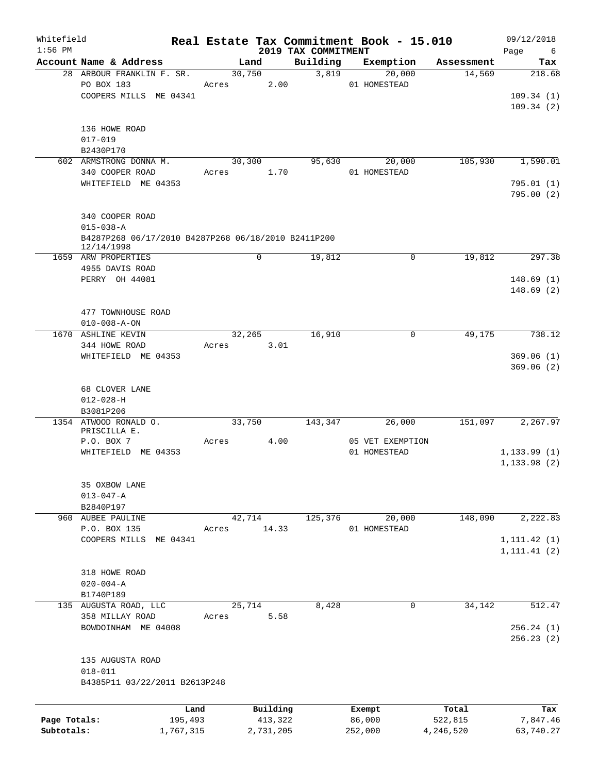| Whitefield<br>$1:56$ PM |                                                     |           |        |           |                                 | Real Estate Tax Commitment Book - 15.010 |            | 09/12/2018       |
|-------------------------|-----------------------------------------------------|-----------|--------|-----------|---------------------------------|------------------------------------------|------------|------------------|
|                         | Account Name & Address                              |           | Land   |           | 2019 TAX COMMITMENT<br>Building | Exemption                                | Assessment | Page<br>6<br>Tax |
|                         | 28 ARBOUR FRANKLIN F. SR.                           |           | 30,750 |           | 3,819                           | 20,000                                   | 14,569     | 218.68           |
|                         | PO BOX 183                                          | Acres     |        | 2.00      |                                 | 01 HOMESTEAD                             |            |                  |
|                         | COOPERS MILLS ME 04341                              |           |        |           |                                 |                                          |            | 109.34(1)        |
|                         |                                                     |           |        |           |                                 |                                          |            | 109.34(2)        |
|                         |                                                     |           |        |           |                                 |                                          |            |                  |
|                         | 136 HOWE ROAD                                       |           |        |           |                                 |                                          |            |                  |
|                         | $017 - 019$                                         |           |        |           |                                 |                                          |            |                  |
|                         | B2430P170                                           |           |        |           |                                 |                                          |            |                  |
|                         | 602 ARMSTRONG DONNA M.                              |           | 30,300 |           | 95,630                          | 20,000                                   | 105,930    | 1,590.01         |
|                         | 340 COOPER ROAD                                     | Acres     |        | 1.70      |                                 | 01 HOMESTEAD                             |            |                  |
|                         | WHITEFIELD ME 04353                                 |           |        |           |                                 |                                          |            | 795.01(1)        |
|                         |                                                     |           |        |           |                                 |                                          |            | 795.00 (2)       |
|                         |                                                     |           |        |           |                                 |                                          |            |                  |
|                         | 340 COOPER ROAD                                     |           |        |           |                                 |                                          |            |                  |
|                         | $015 - 038 - A$                                     |           |        |           |                                 |                                          |            |                  |
|                         | B4287P268 06/17/2010 B4287P268 06/18/2010 B2411P200 |           |        |           |                                 |                                          |            |                  |
|                         | 12/14/1998                                          |           |        |           |                                 |                                          |            |                  |
|                         | 1659 ARW PROPERTIES                                 |           | 0      |           | 19,812                          | $\mathbf 0$                              | 19,812     | 297.38           |
|                         | 4955 DAVIS ROAD                                     |           |        |           |                                 |                                          |            |                  |
|                         | PERRY OH 44081                                      |           |        |           |                                 |                                          |            | 148.69(1)        |
|                         |                                                     |           |        |           |                                 |                                          |            | 148.69(2)        |
|                         |                                                     |           |        |           |                                 |                                          |            |                  |
|                         | 477 TOWNHOUSE ROAD                                  |           |        |           |                                 |                                          |            |                  |
|                         | $010 - 008 - A - ON$                                |           |        |           |                                 |                                          |            |                  |
|                         | 1670 ASHLINE KEVIN                                  |           | 32,265 |           | 16,910                          | $\mathbf 0$                              | 49,175     | 738.12           |
|                         | 344 HOWE ROAD                                       | Acres     |        | 3.01      |                                 |                                          |            |                  |
|                         | WHITEFIELD ME 04353                                 |           |        |           |                                 |                                          |            | 369.06(1)        |
|                         |                                                     |           |        |           |                                 |                                          |            | 369.06(2)        |
|                         |                                                     |           |        |           |                                 |                                          |            |                  |
|                         | 68 CLOVER LANE                                      |           |        |           |                                 |                                          |            |                  |
|                         | $012 - 028 - H$                                     |           |        |           |                                 |                                          |            |                  |
|                         | B3081P206                                           |           |        |           |                                 |                                          |            |                  |
|                         | 1354 ATWOOD RONALD O.                               |           | 33,750 |           | 143,347                         | 26,000                                   | 151,097    | 2,267.97         |
|                         | PRISCILLA E.                                        |           |        |           |                                 |                                          |            |                  |
|                         | P.O. BOX 7                                          | Acres     |        | 4.00      |                                 | 05 VET EXEMPTION                         |            |                  |
|                         | WHITEFIELD ME 04353                                 |           |        |           |                                 | 01 HOMESTEAD                             |            | 1, 133.99(1)     |
|                         |                                                     |           |        |           |                                 |                                          |            | 1, 133.98(2)     |
|                         |                                                     |           |        |           |                                 |                                          |            |                  |
|                         | 35 OXBOW LANE                                       |           |        |           |                                 |                                          |            |                  |
|                         | $013 - 047 - A$                                     |           |        |           |                                 |                                          |            |                  |
|                         | B2840P197<br>960 AUBEE PAULINE                      |           | 42,714 |           | 125,376                         | 20,000                                   | 148,090    | 2,222.83         |
|                         | P.O. BOX 135                                        | Acres     |        | 14.33     |                                 | 01 HOMESTEAD                             |            |                  |
|                         | COOPERS MILLS ME 04341                              |           |        |           |                                 |                                          |            | 1, 111.42(1)     |
|                         |                                                     |           |        |           |                                 |                                          |            | 1, 111.41(2)     |
|                         |                                                     |           |        |           |                                 |                                          |            |                  |
|                         | 318 HOWE ROAD                                       |           |        |           |                                 |                                          |            |                  |
|                         | $020 - 004 - A$                                     |           |        |           |                                 |                                          |            |                  |
|                         | B1740P189                                           |           |        |           |                                 |                                          |            |                  |
|                         | 135 AUGUSTA ROAD, LLC                               |           | 25,714 |           | 8,428                           | 0                                        | 34,142     | 512.47           |
|                         | 358 MILLAY ROAD                                     | Acres     |        | 5.58      |                                 |                                          |            |                  |
|                         | BOWDOINHAM ME 04008                                 |           |        |           |                                 |                                          |            | 256.24(1)        |
|                         |                                                     |           |        |           |                                 |                                          |            | 256.23(2)        |
|                         |                                                     |           |        |           |                                 |                                          |            |                  |
|                         | 135 AUGUSTA ROAD                                    |           |        |           |                                 |                                          |            |                  |
|                         | $018 - 011$                                         |           |        |           |                                 |                                          |            |                  |
|                         | B4385P11 03/22/2011 B2613P248                       |           |        |           |                                 |                                          |            |                  |
|                         |                                                     |           |        |           |                                 |                                          |            |                  |
|                         |                                                     |           |        |           |                                 |                                          |            |                  |
|                         |                                                     | Land      |        | Building  |                                 | Exempt                                   | Total      | Tax              |
| Page Totals:            |                                                     | 195,493   |        | 413,322   |                                 | 86,000                                   | 522,815    | 7,847.46         |
| Subtotals:              |                                                     | 1,767,315 |        | 2,731,205 |                                 | 252,000                                  | 4,246,520  | 63,740.27        |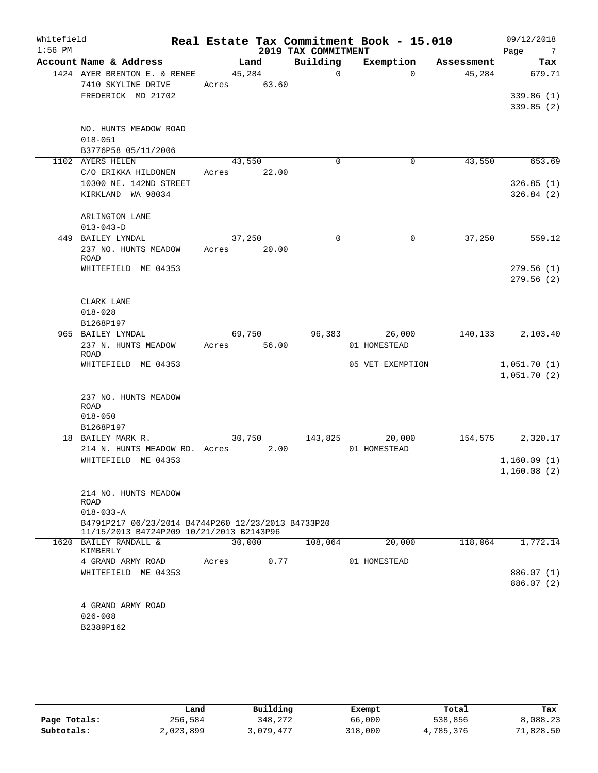| Whitefield<br>$1:56$ PM |                                                                                                              |                 |       | 2019 TAX COMMITMENT | Real Estate Tax Commitment Book - 15.010 |            | 09/12/2018<br>Page<br>$\overline{7}$ |
|-------------------------|--------------------------------------------------------------------------------------------------------------|-----------------|-------|---------------------|------------------------------------------|------------|--------------------------------------|
|                         | Account Name & Address                                                                                       |                 | Land  | Building            | Exemption                                | Assessment | Tax                                  |
|                         | 1424 AYER BRENTON E. & RENEE                                                                                 | 45,284          |       | $\Omega$            | $\Omega$                                 | 45,284     | 679.71                               |
|                         | 7410 SKYLINE DRIVE<br>FREDERICK MD 21702                                                                     | Acres           | 63.60 |                     |                                          |            | 339.86(1)<br>339.85(2)               |
|                         | NO. HUNTS MEADOW ROAD<br>$018 - 051$<br>B3776P58 05/11/2006                                                  |                 |       |                     |                                          |            |                                      |
|                         | 1102 AYERS HELEN                                                                                             | 43,550          |       | $\mathbf 0$         | $\mathbf 0$                              | 43,550     | 653.69                               |
|                         | C/O ERIKKA HILDONEN<br>10300 NE. 142ND STREET<br>KIRKLAND WA 98034                                           | Acres           | 22.00 |                     |                                          |            | 326.85(1)<br>326.84(2)               |
|                         | ARLINGTON LANE<br>$013 - 043 - D$                                                                            |                 |       |                     |                                          |            |                                      |
|                         | 449 BAILEY LYNDAL                                                                                            | 37,250          |       | $\Omega$            | 0                                        | 37,250     | 559.12                               |
|                         | 237 NO. HUNTS MEADOW<br><b>ROAD</b>                                                                          | Acres           | 20.00 |                     |                                          |            |                                      |
|                         | WHITEFIELD ME 04353                                                                                          |                 |       |                     |                                          |            | 279.56(1)<br>279.56(2)               |
|                         | CLARK LANE                                                                                                   |                 |       |                     |                                          |            |                                      |
|                         | $018 - 028$                                                                                                  |                 |       |                     |                                          |            |                                      |
|                         | B1268P197                                                                                                    |                 |       |                     |                                          |            |                                      |
|                         | 965 BAILEY LYNDAL<br>237 N. HUNTS MEADOW<br><b>ROAD</b>                                                      | 69,750<br>Acres | 56.00 | 96,383              | 26,000<br>01 HOMESTEAD                   | 140,133    | 2,103.40                             |
|                         | WHITEFIELD ME 04353                                                                                          |                 |       |                     | 05 VET EXEMPTION                         |            | 1,051.70(1)<br>1,051.70(2)           |
|                         | 237 NO. HUNTS MEADOW<br><b>ROAD</b><br>$018 - 050$                                                           |                 |       |                     |                                          |            |                                      |
|                         | B1268P197                                                                                                    |                 |       |                     |                                          |            |                                      |
|                         | 18 BAILEY MARK R.<br>214 N. HUNTS MEADOW RD. Acres                                                           | 30,750          | 2.00  | 143,825             | 20,000<br>01 HOMESTEAD                   | 154,575    | 2,320.17                             |
|                         | WHITEFIELD ME 04353                                                                                          |                 |       |                     |                                          |            | 1,160.09(1)                          |
|                         |                                                                                                              |                 |       |                     |                                          |            | 1,160.08(2)                          |
|                         | 214 NO. HUNTS MEADOW<br><b>ROAD</b><br>$018 - 033 - A$<br>B4791P217 06/23/2014 B4744P260 12/23/2013 B4733P20 |                 |       |                     |                                          |            |                                      |
|                         | 11/15/2013 B4724P209 10/21/2013 B2143P96                                                                     |                 |       |                     |                                          |            |                                      |
|                         | 1620 BAILEY RANDALL &<br>KIMBERLY                                                                            | 30,000          |       | 108,064             | 20,000                                   | 118,064    | 1,772.14                             |
|                         | 4 GRAND ARMY ROAD                                                                                            | Acres           | 0.77  |                     | 01 HOMESTEAD                             |            |                                      |
|                         | WHITEFIELD ME 04353                                                                                          |                 |       |                     |                                          |            | 886.07 (1)<br>886.07 (2)             |
|                         | 4 GRAND ARMY ROAD<br>$026 - 008$<br>B2389P162                                                                |                 |       |                     |                                          |            |                                      |

|              | Land      | Building  | Exempt  | Total     | Tax      |
|--------------|-----------|-----------|---------|-----------|----------|
| Page Totals: | 256,584   | 348,272   | 66,000  | 538,856   | 8,088.23 |
| Subtotals:   | 2,023,899 | 3,079,477 | 318,000 | 4,785,376 | 1,828.50 |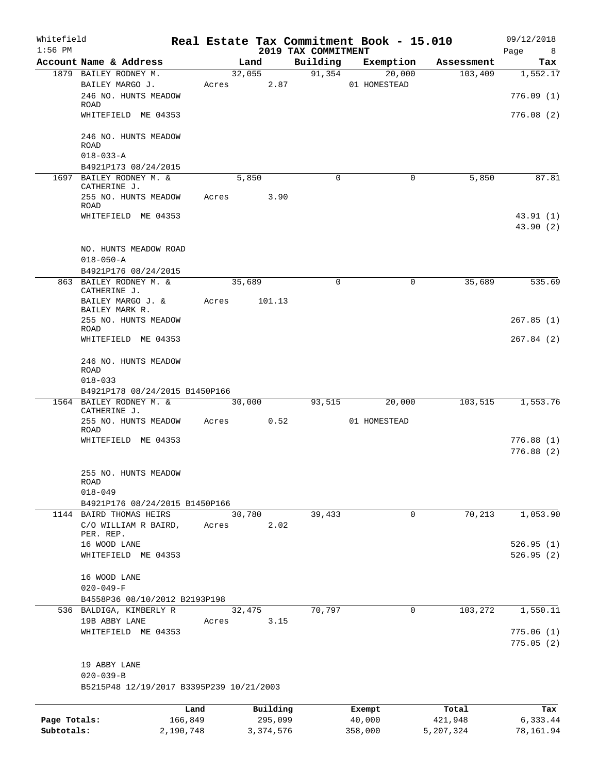| Whitefield<br>$1:56$ PM |                                                          |           |       |        |             | 2019 TAX COMMITMENT | Real Estate Tax Commitment Book - 15.010 |            | 09/12/2018<br>Page<br>8 <sup>8</sup> |
|-------------------------|----------------------------------------------------------|-----------|-------|--------|-------------|---------------------|------------------------------------------|------------|--------------------------------------|
|                         | Account Name & Address                                   |           |       | Land   |             | Building            | Exemption                                | Assessment | Tax                                  |
|                         | 1879 BAILEY RODNEY M.                                    |           |       |        | 32,055      |                     | 91,354<br>20,000                         | 103,409    | 1,552.17                             |
|                         | BAILEY MARGO J.<br>246 NO. HUNTS MEADOW                  |           | Acres |        | 2.87        |                     | 01 HOMESTEAD                             |            | 776.09(1)                            |
|                         | ROAD<br>WHITEFIELD ME 04353                              |           |       |        |             |                     |                                          |            | 776.08(2)                            |
|                         |                                                          |           |       |        |             |                     |                                          |            |                                      |
|                         | 246 NO. HUNTS MEADOW<br><b>ROAD</b><br>$018 - 033 - A$   |           |       |        |             |                     |                                          |            |                                      |
|                         | B4921P173 08/24/2015                                     |           |       |        |             |                     |                                          |            |                                      |
|                         | 1697 BAILEY RODNEY M. &                                  |           |       | 5,850  |             | $\mathbf 0$         | $\mathbf 0$                              | 5,850      | 87.81                                |
|                         | CATHERINE J.<br>255 NO. HUNTS MEADOW                     |           | Acres |        | 3.90        |                     |                                          |            |                                      |
|                         | ROAD                                                     |           |       |        |             |                     |                                          |            |                                      |
|                         | WHITEFIELD ME 04353                                      |           |       |        |             |                     |                                          |            | 43.91(1)                             |
|                         |                                                          |           |       |        |             |                     |                                          |            | 43.90 (2)                            |
|                         | NO. HUNTS MEADOW ROAD                                    |           |       |        |             |                     |                                          |            |                                      |
|                         | $018 - 050 - A$                                          |           |       |        |             |                     |                                          |            |                                      |
|                         | B4921P176 08/24/2015<br>863 BAILEY RODNEY M. &           |           |       | 35,689 |             | $\mathbf 0$         | $\mathbf 0$                              | 35,689     | 535.69                               |
|                         | CATHERINE J.<br>BAILEY MARGO J. &                        |           | Acres |        | 101.13      |                     |                                          |            |                                      |
|                         | BAILEY MARK R.<br>255 NO. HUNTS MEADOW                   |           |       |        |             |                     |                                          |            | 267.85(1)                            |
|                         | ROAD<br>WHITEFIELD ME 04353                              |           |       |        |             |                     |                                          |            | 267.84(2)                            |
|                         |                                                          |           |       |        |             |                     |                                          |            |                                      |
|                         | 246 NO. HUNTS MEADOW<br>ROAD                             |           |       |        |             |                     |                                          |            |                                      |
|                         | $018 - 033$                                              |           |       |        |             |                     |                                          |            |                                      |
|                         | B4921P178 08/24/2015 B1450P166                           |           |       |        |             |                     |                                          |            |                                      |
|                         | 1564 BAILEY RODNEY M. &<br>CATHERINE J.                  |           |       | 30,000 |             | 93,515              | 20,000                                   | 103,515    | 1,553.76                             |
|                         | 255 NO. HUNTS MEADOW<br>ROAD                             |           | Acres |        | 0.52        |                     | 01 HOMESTEAD                             |            |                                      |
|                         | WHITEFIELD ME 04353                                      |           |       |        |             |                     |                                          |            | 776.88 (1)                           |
|                         |                                                          |           |       |        |             |                     |                                          |            | 776.88 (2)                           |
|                         | 255 NO. HUNTS MEADOW                                     |           |       |        |             |                     |                                          |            |                                      |
|                         | ROAD                                                     |           |       |        |             |                     |                                          |            |                                      |
|                         | $018 - 049$<br>B4921P176 08/24/2015 B1450P166            |           |       |        |             |                     |                                          |            |                                      |
|                         | 1144 BAIRD THOMAS HEIRS                                  |           |       | 30,780 |             | 39,433              | $\mathbf 0$                              | 70,213     | 1,053.90                             |
|                         | C/O WILLIAM R BAIRD,                                     |           | Acres |        | 2.02        |                     |                                          |            |                                      |
|                         | PER. REP.                                                |           |       |        |             |                     |                                          |            |                                      |
|                         | 16 WOOD LANE<br>WHITEFIELD ME 04353                      |           |       |        |             |                     |                                          |            | 526.95(1)<br>526.95(2)               |
|                         |                                                          |           |       |        |             |                     |                                          |            |                                      |
|                         | 16 WOOD LANE                                             |           |       |        |             |                     |                                          |            |                                      |
|                         | $020 - 049 - F$                                          |           |       |        |             |                     |                                          |            |                                      |
|                         | B4558P36 08/10/2012 B2193P198<br>536 BALDIGA, KIMBERLY R |           |       | 32,475 |             | 70,797              | 0                                        | 103,272    | 1,550.11                             |
|                         | 19B ABBY LANE                                            |           | Acres |        | 3.15        |                     |                                          |            |                                      |
|                         | WHITEFIELD ME 04353                                      |           |       |        |             |                     |                                          |            | 775.06(1)                            |
|                         |                                                          |           |       |        |             |                     |                                          |            | 775.05(2)                            |
|                         | 19 ABBY LANE                                             |           |       |        |             |                     |                                          |            |                                      |
|                         | $020 - 039 - B$                                          |           |       |        |             |                     |                                          |            |                                      |
|                         | B5215P48 12/19/2017 B3395P239 10/21/2003                 |           |       |        |             |                     |                                          |            |                                      |
|                         |                                                          | Land      |       |        | Building    |                     | Exempt                                   | Total      | Tax                                  |
| Page Totals:            |                                                          | 166,849   |       |        | 295,099     |                     | 40,000                                   | 421,948    | 6,333.44                             |
| Subtotals:              |                                                          | 2,190,748 |       |        | 3, 374, 576 |                     | 358,000                                  | 5,207,324  | 78,161.94                            |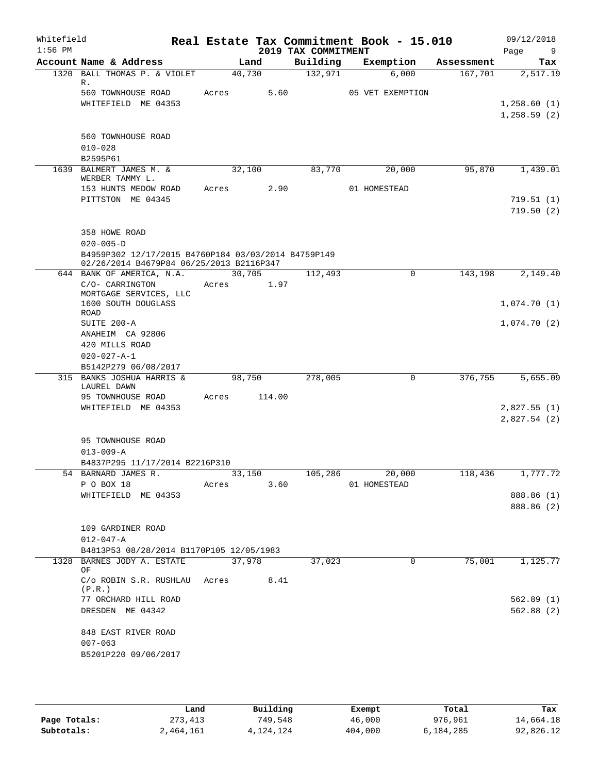| Whitefield<br>$1:56$ PM |                                                                                                      |            |        | 2019 TAX COMMITMENT | Real Estate Tax Commitment Book - 15.010 |            | 09/12/2018<br>Page<br>9    |
|-------------------------|------------------------------------------------------------------------------------------------------|------------|--------|---------------------|------------------------------------------|------------|----------------------------|
|                         | Account Name & Address                                                                               |            | Land   | Building            | Exemption                                | Assessment | Tax                        |
|                         | 1320 BALL THOMAS P. & VIOLET<br>R.                                                                   | 40,730     |        | 132,971             | 6,000                                    | 167,701    | 2,517.19                   |
|                         | 560 TOWNHOUSE ROAD<br>WHITEFIELD ME 04353                                                            | Acres      | 5.60   |                     | 05 VET EXEMPTION                         |            | 1,258.60(1)<br>1,258.59(2) |
|                         | 560 TOWNHOUSE ROAD<br>$010 - 028$<br>B2595P61                                                        |            |        |                     |                                          |            |                            |
|                         | 1639 BALMERT JAMES M. &                                                                              | 32,100     |        | 83,770              | 20,000                                   | 95,870     | 1,439.01                   |
|                         | WERBER TAMMY L.<br>153 HUNTS MEDOW ROAD<br>PITTSTON ME 04345                                         | Acres      | 2.90   |                     | 01 HOMESTEAD                             |            | 719.51(1)<br>719.50(2)     |
|                         | 358 HOWE ROAD<br>$020 - 005 - D$<br>B4959P302 12/17/2015 B4760P184 03/03/2014 B4759P149              |            |        |                     |                                          |            |                            |
|                         | 02/26/2014 B4679P84 06/25/2013 B2116P347                                                             |            |        |                     |                                          |            |                            |
|                         | 644 BANK OF AMERICA, N.A. 30,705<br>C/O- CARRINGTON<br>MORTGAGE SERVICES, LLC<br>1600 SOUTH DOUGLASS | Acres      | 1.97   | 112,493             | $\Omega$                                 | 143,198    | 2,149.40<br>1,074.70(1)    |
|                         | ROAD<br>SUITE 200-A<br>ANAHEIM CA 92806                                                              |            |        |                     |                                          |            | 1,074.70(2)                |
|                         | 420 MILLS ROAD<br>$020 - 027 - A - 1$<br>B5142P279 06/08/2017                                        |            |        |                     |                                          |            |                            |
|                         | 315 BANKS JOSHUA HARRIS &                                                                            |            | 98,750 | 278,005             | $\Omega$                                 | 376,755    | 5,655.09                   |
|                         | LAUREL DAWN<br>95 TOWNHOUSE ROAD<br>WHITEFIELD ME 04353                                              | Acres      | 114.00 |                     |                                          |            | 2,827.55(1)<br>2,827.54(2) |
|                         | 95 TOWNHOUSE ROAD<br>$013 - 009 - A$<br>B4837P295 11/17/2014 B2216P310                               |            |        |                     |                                          |            |                            |
|                         | 54 BARNARD JAMES R.                                                                                  | 33,150     |        |                     | 105,286 20,000                           |            | $118,436$ $1,777.72$       |
|                         | P O BOX 18                                                                                           | Acres 3.60 |        |                     | 01 HOMESTEAD                             |            |                            |
|                         | WHITEFIELD ME 04353                                                                                  |            |        |                     |                                          |            | 888.86 (1)<br>888.86 (2)   |
|                         | 109 GARDINER ROAD<br>$012 - 047 - A$                                                                 |            |        |                     |                                          |            |                            |
|                         | B4813P53 08/28/2014 B1170P105 12/05/1983<br>1328 BARNES JODY A. ESTATE                               | 37,978     |        |                     | $\overline{0}$                           | 75,001     | 1,125.77                   |
|                         | OF                                                                                                   |            |        | 37,023              |                                          |            |                            |
|                         | $C/O$ ROBIN S.R. RUSHLAU Acres 8.41<br>(P.R.)                                                        |            |        |                     |                                          |            |                            |
|                         | 77 ORCHARD HILL ROAD<br>DRESDEN ME 04342                                                             |            |        |                     |                                          |            | 562.89(1)<br>562.88(2)     |
|                         | 848 EAST RIVER ROAD<br>$007 - 063$<br>B5201P220 09/06/2017                                           |            |        |                     |                                          |            |                            |
|                         |                                                                                                      |            |        |                     |                                          |            |                            |

|              | Land      | Building  | Exempt  | Total     | Tax       |
|--------------|-----------|-----------|---------|-----------|-----------|
| Page Totals: | 273,413   | 749,548   | 46,000  | 976,961   | 14,664.18 |
| Subtotals:   | 2,464,161 | 4,124,124 | 404,000 | 6,184,285 | 92,826.12 |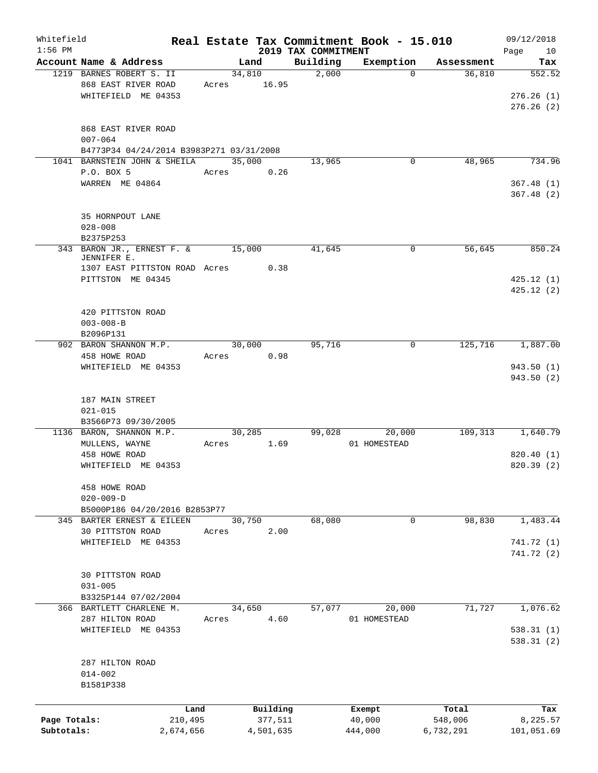| Whitefield   |                                          |        |           |                     | Real Estate Tax Commitment Book - 15.010 |            | 09/12/2018 |
|--------------|------------------------------------------|--------|-----------|---------------------|------------------------------------------|------------|------------|
| $1:56$ PM    | Account Name & Address                   |        |           | 2019 TAX COMMITMENT |                                          |            | Page<br>10 |
|              |                                          |        | Land      | Building            | Exemption                                | Assessment | Tax        |
|              | 1219 BARNES ROBERT S. II                 | 34,810 |           | 2,000               | $\Omega$                                 | 36,810     | 552.52     |
|              | 868 EAST RIVER ROAD                      | Acres  | 16.95     |                     |                                          |            |            |
|              | WHITEFIELD ME 04353                      |        |           |                     |                                          |            | 276.26(1)  |
|              |                                          |        |           |                     |                                          |            | 276.26(2)  |
|              | 868 EAST RIVER ROAD                      |        |           |                     |                                          |            |            |
|              | $007 - 064$                              |        |           |                     |                                          |            |            |
|              | B4773P34 04/24/2014 B3983P271 03/31/2008 |        |           |                     |                                          |            |            |
|              | 1041 BARNSTEIN JOHN & SHEILA             | 35,000 |           | 13,965              | 0                                        | 48,965     | 734.96     |
|              | P.O. BOX 5                               | Acres  | 0.26      |                     |                                          |            |            |
|              | WARREN ME 04864                          |        |           |                     |                                          |            | 367.48(1)  |
|              |                                          |        |           |                     |                                          |            | 367.48(2)  |
|              |                                          |        |           |                     |                                          |            |            |
|              | 35 HORNPOUT LANE                         |        |           |                     |                                          |            |            |
|              | $028 - 008$                              |        |           |                     |                                          |            |            |
|              | B2375P253                                |        |           |                     |                                          |            |            |
|              | 343 BARON JR., ERNEST F. &               | 15,000 |           | 41,645              | 0                                        | 56,645     | 850.24     |
|              | JENNIFER E.                              |        |           |                     |                                          |            |            |
|              | 1307 EAST PITTSTON ROAD Acres            |        | 0.38      |                     |                                          |            |            |
|              | PITTSTON ME 04345                        |        |           |                     |                                          |            | 425.12(1)  |
|              |                                          |        |           |                     |                                          |            | 425.12(2)  |
|              |                                          |        |           |                     |                                          |            |            |
|              | 420 PITTSTON ROAD                        |        |           |                     |                                          |            |            |
|              | $003 - 008 - B$                          |        |           |                     |                                          |            |            |
|              | B2096P131                                |        |           |                     |                                          |            |            |
|              | 902 BARON SHANNON M.P.                   | 30,000 |           | 95,716              | 0                                        | 125,716    | 1,887.00   |
|              | 458 HOWE ROAD                            | Acres  | 0.98      |                     |                                          |            |            |
|              | WHITEFIELD ME 04353                      |        |           |                     |                                          |            | 943.50(1)  |
|              |                                          |        |           |                     |                                          |            | 943.50 (2) |
|              |                                          |        |           |                     |                                          |            |            |
|              | 187 MAIN STREET                          |        |           |                     |                                          |            |            |
|              | $021 - 015$                              |        |           |                     |                                          |            |            |
|              | B3566P73 09/30/2005                      |        |           |                     |                                          |            |            |
|              | 1136 BARON, SHANNON M.P.                 | 30,285 |           | 99,028              | 20,000                                   | 109,313    | 1,640.79   |
|              | MULLENS, WAYNE                           | Acres  | 1.69      |                     | 01 HOMESTEAD                             |            |            |
|              | 458 HOWE ROAD                            |        |           |                     |                                          |            | 820.40(1)  |
|              | WHITEFIELD ME 04353                      |        |           |                     |                                          |            | 820.39 (2) |
|              |                                          |        |           |                     |                                          |            |            |
|              | 458 HOWE ROAD                            |        |           |                     |                                          |            |            |
|              | $020 - 009 - D$                          |        |           |                     |                                          |            |            |
|              | B5000P186 04/20/2016 B2853P77            |        |           |                     |                                          |            |            |
|              | 345 BARTER ERNEST & EILEEN               | 30,750 |           | 68,080              | 0                                        | 98,830     | 1,483.44   |
|              | 30 PITTSTON ROAD                         | Acres  | 2.00      |                     |                                          |            |            |
|              | WHITEFIELD ME 04353                      |        |           |                     |                                          |            | 741.72 (1) |
|              |                                          |        |           |                     |                                          |            | 741.72 (2) |
|              |                                          |        |           |                     |                                          |            |            |
|              | 30 PITTSTON ROAD                         |        |           |                     |                                          |            |            |
|              | $031 - 005$                              |        |           |                     |                                          |            |            |
|              | B3325P144 07/02/2004                     |        |           |                     |                                          |            |            |
|              | 366 BARTLETT CHARLENE M.                 | 34,650 |           | 57,077              | 20,000                                   | 71,727     | 1,076.62   |
|              | 287 HILTON ROAD                          | Acres  | 4.60      |                     | 01 HOMESTEAD                             |            |            |
|              | WHITEFIELD ME 04353                      |        |           |                     |                                          |            | 538.31(1)  |
|              |                                          |        |           |                     |                                          |            | 538.31(2)  |
|              |                                          |        |           |                     |                                          |            |            |
|              | 287 HILTON ROAD                          |        |           |                     |                                          |            |            |
|              | $014 - 002$                              |        |           |                     |                                          |            |            |
|              | B1581P338                                |        |           |                     |                                          |            |            |
|              |                                          |        |           |                     |                                          |            |            |
|              | Land                                     |        | Building  |                     | Exempt                                   | Total      | Tax        |
| Page Totals: | 210,495                                  |        | 377,511   |                     | 40,000                                   | 548,006    | 8,225.57   |
| Subtotals:   | 2,674,656                                |        | 4,501,635 |                     | 444,000                                  | 6,732,291  | 101,051.69 |
|              |                                          |        |           |                     |                                          |            |            |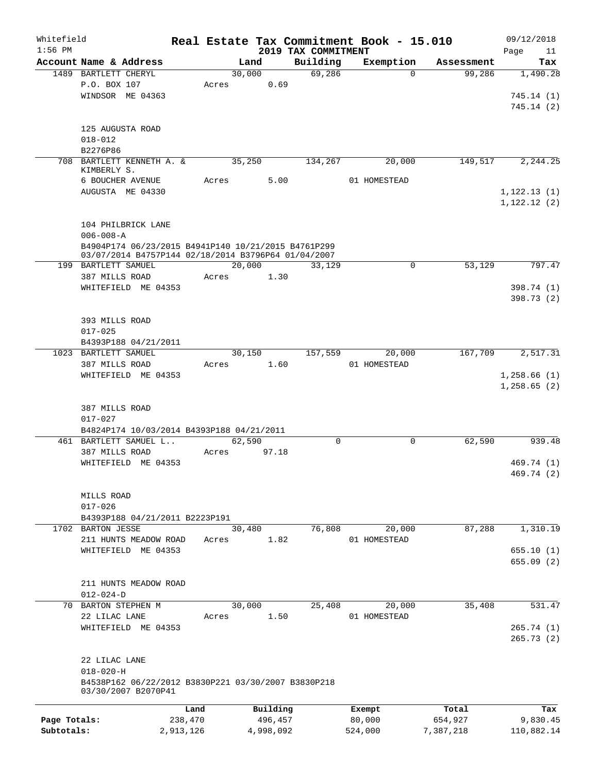| Whitefield   |                                                                            |           |       |           |                                 | Real Estate Tax Commitment Book - 15.010 |            | 09/12/2018             |
|--------------|----------------------------------------------------------------------------|-----------|-------|-----------|---------------------------------|------------------------------------------|------------|------------------------|
| $1:56$ PM    | Account Name & Address                                                     |           |       | Land      | 2019 TAX COMMITMENT<br>Building | Exemption                                | Assessment | Page<br>11<br>Tax      |
|              | 1489 BARTLETT CHERYL                                                       |           |       | 30,000    | 69,286                          | $\Omega$                                 | 99,286     | 1,490.28               |
|              | P.O. BOX 107                                                               |           | Acres | 0.69      |                                 |                                          |            |                        |
|              | WINDSOR ME 04363                                                           |           |       |           |                                 |                                          |            | 745.14(1)              |
|              |                                                                            |           |       |           |                                 |                                          |            | 745.14(2)              |
|              |                                                                            |           |       |           |                                 |                                          |            |                        |
|              | 125 AUGUSTA ROAD                                                           |           |       |           |                                 |                                          |            |                        |
|              | $018 - 012$                                                                |           |       |           |                                 |                                          |            |                        |
|              | B2276P86                                                                   |           |       |           |                                 |                                          |            |                        |
|              | 708 BARTLETT KENNETH A. &<br>KIMBERLY S.                                   |           |       | 35,250    | 134,267                         | 20,000                                   | 149,517    | 2,244.25               |
|              | 6 BOUCHER AVENUE                                                           |           | Acres | 5.00      |                                 | 01 HOMESTEAD                             |            |                        |
|              | AUGUSTA ME 04330                                                           |           |       |           |                                 |                                          |            | 1, 122.13(1)           |
|              |                                                                            |           |       |           |                                 |                                          |            | 1,122.12(2)            |
|              |                                                                            |           |       |           |                                 |                                          |            |                        |
|              | 104 PHILBRICK LANE<br>$006 - 008 - A$                                      |           |       |           |                                 |                                          |            |                        |
|              | B4904P174 06/23/2015 B4941P140 10/21/2015 B4761P299                        |           |       |           |                                 |                                          |            |                        |
|              | 03/07/2014 B4757P144 02/18/2014 B3796P64 01/04/2007                        |           |       |           |                                 |                                          |            |                        |
|              | 199 BARTLETT SAMUEL                                                        |           |       | 20,000    | 33,129                          | 0                                        | 53,129     | 797.47                 |
|              | 387 MILLS ROAD                                                             |           | Acres | 1.30      |                                 |                                          |            |                        |
|              | WHITEFIELD ME 04353                                                        |           |       |           |                                 |                                          |            | 398.74 (1)             |
|              |                                                                            |           |       |           |                                 |                                          |            | 398.73 (2)             |
|              |                                                                            |           |       |           |                                 |                                          |            |                        |
|              | 393 MILLS ROAD                                                             |           |       |           |                                 |                                          |            |                        |
|              | $017 - 025$                                                                |           |       |           |                                 |                                          |            |                        |
|              | B4393P188 04/21/2011<br>1023 BARTLETT SAMUEL                               |           |       | 30,150    | 157,559                         | 20,000                                   | 167,709    | 2,517.31               |
|              | 387 MILLS ROAD                                                             |           | Acres | 1.60      |                                 | 01 HOMESTEAD                             |            |                        |
|              | WHITEFIELD ME 04353                                                        |           |       |           |                                 |                                          |            | 1,258.66(1)            |
|              | 387 MILLS ROAD<br>$017 - 027$                                              |           |       |           |                                 |                                          |            |                        |
|              | B4824P174 10/03/2014 B4393P188 04/21/2011                                  |           |       |           |                                 |                                          |            |                        |
|              | 461 BARTLETT SAMUEL L                                                      |           |       | 62,590    | 0                               | $\mathbf 0$                              | 62,590     | 939.48                 |
|              | 387 MILLS ROAD                                                             |           | Acres | 97.18     |                                 |                                          |            |                        |
|              | WHITEFIELD ME 04353                                                        |           |       |           |                                 |                                          |            | 469.74 (1)             |
|              |                                                                            |           |       |           |                                 |                                          |            | 469.74 (2)             |
|              |                                                                            |           |       |           |                                 |                                          |            |                        |
|              | MILLS ROAD                                                                 |           |       |           |                                 |                                          |            |                        |
|              | $017 - 026$<br>B4393P188 04/21/2011 B2223P191                              |           |       |           |                                 |                                          |            |                        |
|              | 1702 BARTON JESSE                                                          |           |       | 30,480    | 76,808                          | 20,000                                   | 87,288     | 1,310.19               |
|              | 211 HUNTS MEADOW ROAD                                                      |           | Acres | 1.82      |                                 | 01 HOMESTEAD                             |            |                        |
|              | WHITEFIELD ME 04353                                                        |           |       |           |                                 |                                          |            | 655.10(1)              |
|              |                                                                            |           |       |           |                                 |                                          |            | 655.09(2)              |
|              |                                                                            |           |       |           |                                 |                                          |            |                        |
|              | 211 HUNTS MEADOW ROAD                                                      |           |       |           |                                 |                                          |            |                        |
|              | $012 - 024 - D$                                                            |           |       |           |                                 |                                          |            |                        |
| 70           | BARTON STEPHEN M                                                           |           |       | 30,000    | 25,408                          | 20,000                                   | 35,408     | 531.47                 |
|              | 22 LILAC LANE                                                              |           | Acres | 1.50      |                                 | 01 HOMESTEAD                             |            |                        |
|              | WHITEFIELD ME 04353                                                        |           |       |           |                                 |                                          |            | 265.74(1)<br>265.73(2) |
|              |                                                                            |           |       |           |                                 |                                          |            |                        |
|              | 22 LILAC LANE                                                              |           |       |           |                                 |                                          |            |                        |
|              | $018 - 020 - H$                                                            |           |       |           |                                 |                                          |            |                        |
|              | B4538P162 06/22/2012 B3830P221 03/30/2007 B3830P218<br>03/30/2007 B2070P41 |           |       |           |                                 |                                          |            |                        |
|              |                                                                            | Land      |       | Building  |                                 | Exempt                                   | Total      | Tax                    |
| Page Totals: |                                                                            | 238,470   |       | 496,457   |                                 | 80,000                                   | 654,927    | 9,830.45               |
| Subtotals:   |                                                                            | 2,913,126 |       | 4,998,092 |                                 | 524,000                                  | 7,387,218  | 110,882.14             |
|              |                                                                            |           |       |           |                                 |                                          |            |                        |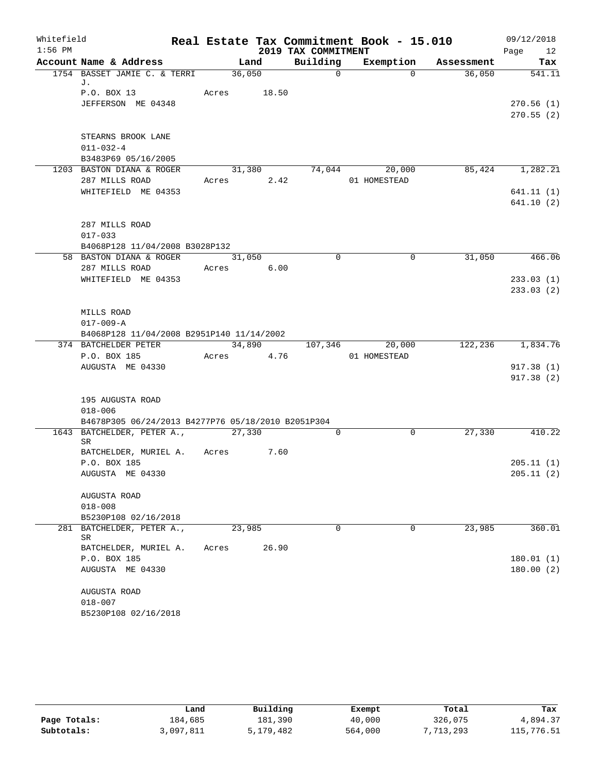| Whitefield |                                                                   |             |       |                     | Real Estate Tax Commitment Book - 15.010 |                      | 09/12/2018             |
|------------|-------------------------------------------------------------------|-------------|-------|---------------------|------------------------------------------|----------------------|------------------------|
| $1:56$ PM  |                                                                   |             |       | 2019 TAX COMMITMENT |                                          |                      | Page 12                |
|            | Account Name & Address                                            |             | Land  | Building            |                                          | Exemption Assessment | Tax                    |
|            | 1754 BASSET JAMIE C. & TERRI<br>J.                                | 36,050      |       | $\Omega$            | $\Omega$                                 | 36,050               | 541.11                 |
|            | P.O. BOX 13                                                       | Acres 18.50 |       |                     |                                          |                      |                        |
|            | JEFFERSON ME 04348                                                |             |       |                     |                                          |                      | 270.56(1)              |
|            |                                                                   |             |       |                     |                                          |                      | 270.55(2)              |
|            |                                                                   |             |       |                     |                                          |                      |                        |
|            | STEARNS BROOK LANE                                                |             |       |                     |                                          |                      |                        |
|            | $011 - 032 - 4$                                                   |             |       |                     |                                          |                      |                        |
|            | B3483P69 05/16/2005                                               |             |       |                     |                                          |                      |                        |
|            | 1203 BASTON DIANA & ROGER                                         |             |       |                     | 31,380 74,044 20,000                     |                      | 85,424 1,282.21        |
|            | 287 MILLS ROAD<br>WHITEFIELD ME 04353                             | Acres 2.42  |       |                     | 01 HOMESTEAD                             |                      |                        |
|            |                                                                   |             |       |                     |                                          |                      | 641.11(1)<br>641.10(2) |
|            |                                                                   |             |       |                     |                                          |                      |                        |
|            | 287 MILLS ROAD                                                    |             |       |                     |                                          |                      |                        |
|            | $017 - 033$                                                       |             |       |                     |                                          |                      |                        |
|            | B4068P128 11/04/2008 B3028P132                                    |             |       |                     |                                          |                      |                        |
|            | 58 BASTON DIANA & ROGER                                           | 31,050      |       | $\Omega$            | $\mathbf 0$                              | 31,050               | 466.06                 |
|            | 287 MILLS ROAD                                                    | Acres 6.00  |       |                     |                                          |                      |                        |
|            | WHITEFIELD ME 04353                                               |             |       |                     |                                          |                      | 233.03(1)              |
|            |                                                                   |             |       |                     |                                          |                      | 233.03(2)              |
|            | MILLS ROAD                                                        |             |       |                     |                                          |                      |                        |
|            | $017 - 009 - A$                                                   |             |       |                     |                                          |                      |                        |
|            | B4068P128 11/04/2008 B2951P140 11/14/2002                         |             |       |                     |                                          |                      |                        |
|            | 374 BATCHELDER PETER                                              |             |       |                     | 34,890 107,346 20,000                    |                      | 122,236 1,834.76       |
|            | P.O. BOX 185                                                      | Acres 4.76  |       |                     | 01 HOMESTEAD                             |                      |                        |
|            | AUGUSTA ME 04330                                                  |             |       |                     |                                          |                      | 917.38(1)              |
|            |                                                                   |             |       |                     |                                          |                      | 917.38(2)              |
|            |                                                                   |             |       |                     |                                          |                      |                        |
|            | 195 AUGUSTA ROAD                                                  |             |       |                     |                                          |                      |                        |
|            | $018 - 006$<br>B4678P305 06/24/2013 B4277P76 05/18/2010 B2051P304 |             |       |                     |                                          |                      |                        |
|            | 1643 BATCHELDER, PETER A., 27,330                                 |             |       | $\overline{0}$      | 0                                        | 27,330               | 410.22                 |
|            | SR                                                                |             |       |                     |                                          |                      |                        |
|            | BATCHELDER, MURIEL A. Acres 7.60                                  |             |       |                     |                                          |                      |                        |
|            | P.O. BOX 185                                                      |             |       |                     |                                          |                      | 205.11(1)              |
|            | AUGUSTA ME 04330                                                  |             |       |                     |                                          |                      | 205.11(2)              |
|            | AUGUSTA ROAD                                                      |             |       |                     |                                          |                      |                        |
|            | $018 - 008$                                                       |             |       |                     |                                          |                      |                        |
|            | B5230P108 02/16/2018                                              |             |       |                     |                                          |                      |                        |
|            | 281 BATCHELDER, PETER A.,                                         | 23,985      |       | $\Omega$            | $\Omega$                                 | 23,985               | 360.01                 |
|            | SR                                                                |             |       |                     |                                          |                      |                        |
|            | BATCHELDER, MURIEL A.                                             | Acres       | 26.90 |                     |                                          |                      |                        |
|            | P.O. BOX 185                                                      |             |       |                     |                                          |                      | 180.01(1)              |
|            | AUGUSTA ME 04330                                                  |             |       |                     |                                          |                      | 180.00(2)              |
|            | AUGUSTA ROAD                                                      |             |       |                     |                                          |                      |                        |
|            | $018 - 007$                                                       |             |       |                     |                                          |                      |                        |
|            | B5230P108 02/16/2018                                              |             |       |                     |                                          |                      |                        |

|              | Land      | Building  | Exempt  | Total     | Tax        |
|--------------|-----------|-----------|---------|-----------|------------|
| Page Totals: | 184,685   | 181,390   | 40,000  | 326,075   | 4,894.37   |
| Subtotals:   | 3,097,811 | 5,179,482 | 564,000 | 7,713,293 | 115,776.51 |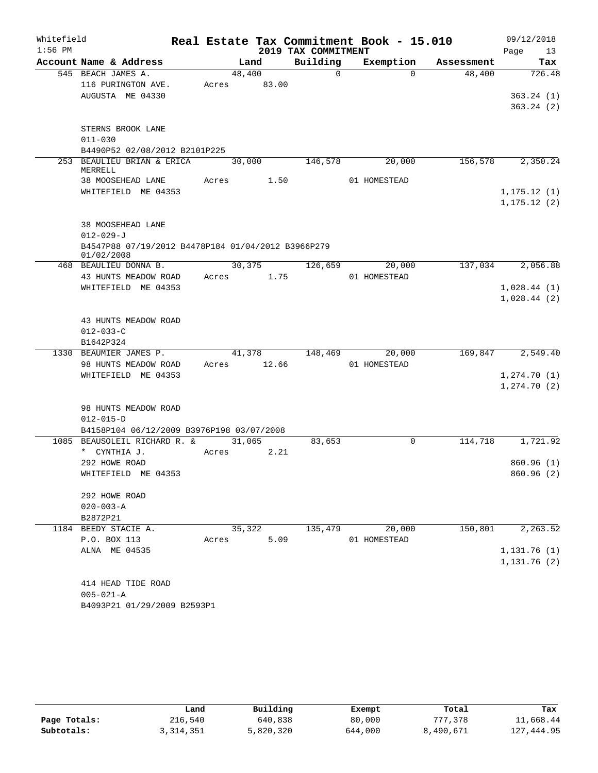| Whitefield |                                                                  |       |        |                     | Real Estate Tax Commitment Book - 15.010 |            |      | 09/12/2018   |
|------------|------------------------------------------------------------------|-------|--------|---------------------|------------------------------------------|------------|------|--------------|
| $1:56$ PM  |                                                                  |       |        | 2019 TAX COMMITMENT |                                          |            | Page | 13           |
|            | Account Name & Address                                           |       | Land   | Building            | Exemption                                | Assessment |      | Tax          |
|            | 545 BEACH JAMES A.                                               |       | 48,400 | $\Omega$            | $\Omega$                                 | 48,400     |      | 726.48       |
|            | 116 PURINGTON AVE.                                               | Acres | 83.00  |                     |                                          |            |      |              |
|            | AUGUSTA ME 04330                                                 |       |        |                     |                                          |            |      | 363.24(1)    |
|            |                                                                  |       |        |                     |                                          |            |      | 363.24(2)    |
|            | STERNS BROOK LANE                                                |       |        |                     |                                          |            |      |              |
|            | $011 - 030$                                                      |       |        |                     |                                          |            |      |              |
|            | B4490P52 02/08/2012 B2101P225                                    |       |        |                     |                                          |            |      |              |
| 253        | BEAULIEU BRIAN & ERICA                                           |       | 30,000 | 146,578             | 20,000                                   | 156,578    |      | 2,350.24     |
|            | MERRELL                                                          |       |        |                     |                                          |            |      |              |
|            | 38 MOOSEHEAD LANE                                                | Acres | 1.50   |                     | 01 HOMESTEAD                             |            |      |              |
|            | WHITEFIELD ME 04353                                              |       |        |                     |                                          |            |      | 1, 175.12(1) |
|            |                                                                  |       |        |                     |                                          |            |      | 1, 175.12(2) |
|            |                                                                  |       |        |                     |                                          |            |      |              |
|            | 38 MOOSEHEAD LANE                                                |       |        |                     |                                          |            |      |              |
|            | $012 - 029 - J$                                                  |       |        |                     |                                          |            |      |              |
|            | B4547P88 07/19/2012 B4478P184 01/04/2012 B3966P279<br>01/02/2008 |       |        |                     |                                          |            |      |              |
|            | 468 BEAULIEU DONNA B.                                            |       | 30,375 | 126,659             | 20,000                                   | 137,034    |      | 2,056.88     |
|            | 43 HUNTS MEADOW ROAD                                             | Acres | 1.75   |                     | 01 HOMESTEAD                             |            |      |              |
|            | WHITEFIELD ME 04353                                              |       |        |                     |                                          |            |      | 1,028.44(1)  |
|            |                                                                  |       |        |                     |                                          |            |      | 1,028.44(2)  |
|            |                                                                  |       |        |                     |                                          |            |      |              |
|            | 43 HUNTS MEADOW ROAD                                             |       |        |                     |                                          |            |      |              |
|            | $012 - 033 - C$                                                  |       |        |                     |                                          |            |      |              |
|            | B1642P324                                                        |       |        |                     |                                          |            |      |              |
|            | 1330 BEAUMIER JAMES P.                                           |       | 41,378 | 148,469             | 20,000                                   | 169,847    |      | 2,549.40     |
|            | 98 HUNTS MEADOW ROAD                                             | Acres | 12.66  |                     | 01 HOMESTEAD                             |            |      |              |
|            | WHITEFIELD ME 04353                                              |       |        |                     |                                          |            |      | 1,274.70(1)  |
|            |                                                                  |       |        |                     |                                          |            |      | 1, 274.70(2) |
|            |                                                                  |       |        |                     |                                          |            |      |              |
|            | 98 HUNTS MEADOW ROAD<br>$012 - 015 - D$                          |       |        |                     |                                          |            |      |              |
|            | B4158P104 06/12/2009 B3976P198 03/07/2008                        |       |        |                     |                                          |            |      |              |
| 1085       | BEAUSOLEIL RICHARD R. &                                          |       | 31,065 | 83,653              | 0                                        | 114,718    |      | 1,721.92     |
|            | * CYNTHIA J.                                                     | Acres | 2.21   |                     |                                          |            |      |              |
|            | 292 HOWE ROAD                                                    |       |        |                     |                                          |            |      | 860.96(1)    |
|            | WHITEFIELD ME 04353                                              |       |        |                     |                                          |            |      | 860.96 (2)   |
|            |                                                                  |       |        |                     |                                          |            |      |              |
|            | 292 HOWE ROAD                                                    |       |        |                     |                                          |            |      |              |
|            | $020 - 003 - A$                                                  |       |        |                     |                                          |            |      |              |
|            | B2872P21                                                         |       |        |                     |                                          |            |      |              |
|            | 1184 BEEDY STACIE A.                                             |       | 35,322 | 135,479             | 20,000                                   | 150,801    |      | 2, 263.52    |
|            | P.O. BOX 113                                                     | Acres | 5.09   |                     | 01 HOMESTEAD                             |            |      |              |
|            | ALNA ME 04535                                                    |       |        |                     |                                          |            |      | 1,131.76(1)  |
|            |                                                                  |       |        |                     |                                          |            |      | 1,131.76(2)  |
|            |                                                                  |       |        |                     |                                          |            |      |              |
|            | 414 HEAD TIDE ROAD                                               |       |        |                     |                                          |            |      |              |
|            | $005 - 021 - A$<br>B4093P21 01/29/2009 B2593P1                   |       |        |                     |                                          |            |      |              |
|            |                                                                  |       |        |                     |                                          |            |      |              |

|              | Land      | Building  | Exempt  | Total     | Tax        |
|--------------|-----------|-----------|---------|-----------|------------|
| Page Totals: | 216,540   | 640,838   | 80,000  | 777,378   | 11,668.44  |
| Subtotals:   | 3,314,351 | 5,820,320 | 644,000 | 8,490,671 | 127,444.95 |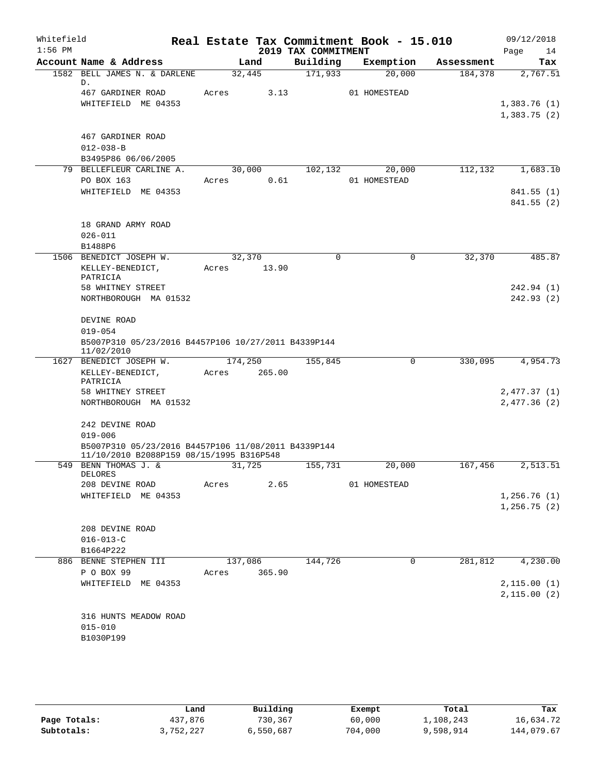| Whitefield<br>$1:56$ PM |                                                                   |         |         |                                 | Real Estate Tax Commitment Book - 15.010 |            | 09/12/2018                 |
|-------------------------|-------------------------------------------------------------------|---------|---------|---------------------------------|------------------------------------------|------------|----------------------------|
|                         | Account Name & Address                                            |         | Land    | 2019 TAX COMMITMENT<br>Building | Exemption                                | Assessment | Page<br>14<br>Tax          |
|                         | 1582 BELL JAMES N. & DARLENE                                      |         | 32,445  | 171,933                         | 20,000                                   | 184,378    | 2,767.51                   |
|                         | D.                                                                |         |         |                                 |                                          |            |                            |
|                         | 467 GARDINER ROAD<br>WHITEFIELD ME 04353                          | Acres   | 3.13    |                                 | 01 HOMESTEAD                             |            |                            |
|                         |                                                                   |         |         |                                 |                                          |            | 1,383.76(1)<br>1,383.75(2) |
|                         |                                                                   |         |         |                                 |                                          |            |                            |
|                         | 467 GARDINER ROAD                                                 |         |         |                                 |                                          |            |                            |
|                         | $012 - 038 - B$                                                   |         |         |                                 |                                          |            |                            |
|                         | B3495P86 06/06/2005                                               |         |         |                                 |                                          |            |                            |
|                         | 79 BELLEFLEUR CARLINE A.                                          |         | 30,000  | 102,132                         | 20,000                                   | 112,132    | 1,683.10                   |
|                         | PO BOX 163                                                        | Acres   | 0.61    |                                 | 01 HOMESTEAD                             |            |                            |
|                         | WHITEFIELD ME 04353                                               |         |         |                                 |                                          |            | 841.55 (1)                 |
|                         |                                                                   |         |         |                                 |                                          |            | 841.55(2)                  |
|                         | 18 GRAND ARMY ROAD                                                |         |         |                                 |                                          |            |                            |
|                         | $026 - 011$                                                       |         |         |                                 |                                          |            |                            |
|                         | B1488P6                                                           |         |         |                                 |                                          |            |                            |
|                         | 1506 BENEDICT JOSEPH W.                                           |         | 32,370  | $\mathbf 0$                     | $\mathbf 0$                              | 32,370     | 485.87                     |
|                         | KELLEY-BENEDICT,                                                  | Acres   | 13.90   |                                 |                                          |            |                            |
|                         | PATRICIA                                                          |         |         |                                 |                                          |            |                            |
|                         | 58 WHITNEY STREET                                                 |         |         |                                 |                                          |            | 242.94 (1)                 |
|                         | NORTHBOROUGH MA 01532                                             |         |         |                                 |                                          |            | 242.93(2)                  |
|                         | DEVINE ROAD                                                       |         |         |                                 |                                          |            |                            |
|                         | $019 - 054$                                                       |         |         |                                 |                                          |            |                            |
|                         | B5007P310 05/23/2016 B4457P106 10/27/2011 B4339P144<br>11/02/2010 |         |         |                                 |                                          |            |                            |
|                         | 1627 BENEDICT JOSEPH W.                                           | 174,250 |         | 155,845                         | 0                                        | 330,095    | 4,954.73                   |
|                         | KELLEY-BENEDICT,<br>PATRICIA                                      | Acres   | 265.00  |                                 |                                          |            |                            |
|                         | 58 WHITNEY STREET                                                 |         |         |                                 |                                          |            | 2,477.37 (1)               |
|                         | NORTHBOROUGH MA 01532                                             |         |         |                                 |                                          |            | 2,477.36(2)                |
|                         | 242 DEVINE ROAD                                                   |         |         |                                 |                                          |            |                            |
|                         | $019 - 006$                                                       |         |         |                                 |                                          |            |                            |
|                         | B5007P310 05/23/2016 B4457P106 11/08/2011 B4339P144               |         |         |                                 |                                          |            |                            |
|                         | 11/10/2010 B2088P159 08/15/1995 B316P548                          |         |         |                                 |                                          |            |                            |
|                         | 549 BENN THOMAS J. &<br>DELORES                                   |         | 31,725  | 155,731                         | 20,000                                   | 167,456    | 2,513.51                   |
|                         | 208 DEVINE ROAD                                                   | Acres   | 2.65    |                                 | 01 HOMESTEAD                             |            |                            |
|                         | WHITEFIELD ME 04353                                               |         |         |                                 |                                          |            | 1,256.76(1)                |
|                         |                                                                   |         |         |                                 |                                          |            | 1, 256.75(2)               |
|                         | 208 DEVINE ROAD                                                   |         |         |                                 |                                          |            |                            |
|                         | $016 - 013 - C$                                                   |         |         |                                 |                                          |            |                            |
|                         | B1664P222                                                         |         |         |                                 |                                          |            |                            |
|                         | 886 BENNE STEPHEN III                                             |         | 137,086 | 144,726                         | 0                                        | 281,812    | 4,230.00                   |
|                         | P O BOX 99                                                        | Acres   | 365.90  |                                 |                                          |            |                            |
|                         | WHITEFIELD ME 04353                                               |         |         |                                 |                                          |            | 2,115.00(1)                |
|                         |                                                                   |         |         |                                 |                                          |            | 2,115.00(2)                |
|                         |                                                                   |         |         |                                 |                                          |            |                            |
|                         | 316 HUNTS MEADOW ROAD                                             |         |         |                                 |                                          |            |                            |
|                         | $015 - 010$                                                       |         |         |                                 |                                          |            |                            |
|                         | B1030P199                                                         |         |         |                                 |                                          |            |                            |
|                         |                                                                   |         |         |                                 |                                          |            |                            |

|              | Land      | Building  | Exempt  | Total     | Tax        |
|--------------|-----------|-----------|---------|-----------|------------|
| Page Totals: | 437,876   | 730,367   | 60,000  | 1,108,243 | 16,634.72  |
| Subtotals:   | 3,752,227 | 6,550,687 | 704,000 | 9,598,914 | 144,079.67 |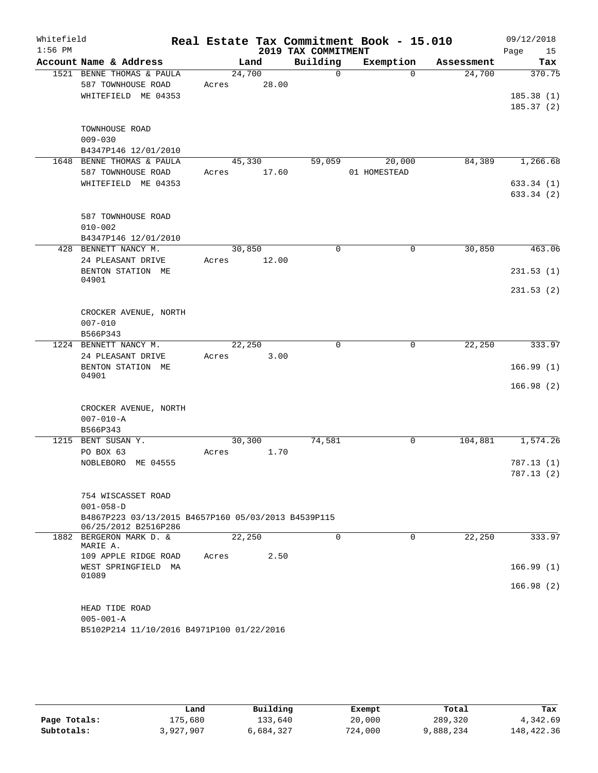| Whitefield |                                                                             |       |                |                     | Real Estate Tax Commitment Book - 15.010 |            | 09/12/2018             |
|------------|-----------------------------------------------------------------------------|-------|----------------|---------------------|------------------------------------------|------------|------------------------|
| $1:56$ PM  |                                                                             |       |                | 2019 TAX COMMITMENT |                                          |            | Page<br>15             |
|            | Account Name & Address                                                      |       | Land           | Building            | Exemption                                | Assessment | Tax                    |
|            | 1521 BENNE THOMAS & PAULA                                                   |       | 24,700         | $\Omega$            | $\Omega$                                 | 24,700     | 370.75                 |
|            | 587 TOWNHOUSE ROAD                                                          | Acres | 28.00          |                     |                                          |            |                        |
|            | WHITEFIELD ME 04353                                                         |       |                |                     |                                          |            | 185.38(1)<br>185.37(2) |
|            |                                                                             |       |                |                     |                                          |            |                        |
|            | TOWNHOUSE ROAD                                                              |       |                |                     |                                          |            |                        |
|            | $009 - 030$                                                                 |       |                |                     |                                          |            |                        |
|            | B4347P146 12/01/2010                                                        |       |                |                     |                                          |            |                        |
|            | 1648 BENNE THOMAS & PAULA                                                   |       | 45,330         | 59,059              | 20,000                                   | 84,389     | 1,266.68               |
|            | 587 TOWNHOUSE ROAD                                                          | Acres | 17.60          |                     | 01 HOMESTEAD                             |            |                        |
|            | WHITEFIELD ME 04353                                                         |       |                |                     |                                          |            | 633.34(1)              |
|            |                                                                             |       |                |                     |                                          |            | 633.34 (2)             |
|            | 587 TOWNHOUSE ROAD                                                          |       |                |                     |                                          |            |                        |
|            | $010 - 002$                                                                 |       |                |                     |                                          |            |                        |
|            | B4347P146 12/01/2010                                                        |       |                |                     |                                          |            |                        |
|            | 428 BENNETT NANCY M.                                                        |       | 30,850         | $\Omega$            | $\Omega$                                 | 30,850     | 463.06                 |
|            | 24 PLEASANT DRIVE                                                           | Acres | 12.00          |                     |                                          |            |                        |
|            | BENTON STATION ME                                                           |       |                |                     |                                          |            | 231.53(1)              |
|            | 04901                                                                       |       |                |                     |                                          |            | 231.53(2)              |
|            |                                                                             |       |                |                     |                                          |            |                        |
|            | CROCKER AVENUE, NORTH                                                       |       |                |                     |                                          |            |                        |
|            | $007 - 010$                                                                 |       |                |                     |                                          |            |                        |
|            | B566P343                                                                    |       |                |                     |                                          |            |                        |
|            | 1224 BENNETT NANCY M.                                                       |       | 22,250         | $\Omega$            | $\mathbf 0$                              | 22,250     | 333.97                 |
|            | 24 PLEASANT DRIVE                                                           | Acres | 3.00           |                     |                                          |            |                        |
|            | BENTON STATION ME<br>04901                                                  |       |                |                     |                                          |            | 166.99(1)              |
|            |                                                                             |       |                |                     |                                          |            | 166.98(2)              |
|            |                                                                             |       |                |                     |                                          |            |                        |
|            | CROCKER AVENUE, NORTH                                                       |       |                |                     |                                          |            |                        |
|            | $007 - 010 - A$                                                             |       |                |                     |                                          |            |                        |
|            | B566P343                                                                    |       |                |                     |                                          |            |                        |
|            | 1215 BENT SUSAN Y.<br>PO BOX 63                                             | Acres | 30,300<br>1.70 | 74,581              | 0                                        | 104,881    | 1,574.26               |
|            | NOBLEBORO ME 04555                                                          |       |                |                     |                                          |            | 787.13(1)              |
|            |                                                                             |       |                |                     |                                          |            | 787.13(2)              |
|            |                                                                             |       |                |                     |                                          |            |                        |
|            | 754 WISCASSET ROAD                                                          |       |                |                     |                                          |            |                        |
|            | $001 - 058 - D$                                                             |       |                |                     |                                          |            |                        |
|            | B4867P223 03/13/2015 B4657P160 05/03/2013 B4539P115<br>06/25/2012 B2516P286 |       |                |                     |                                          |            |                        |
|            | 1882 BERGERON MARK D. &                                                     |       | 22,250         | $\Omega$            | $\Omega$                                 | 22,250     | 333.97                 |
|            | MARIE A.                                                                    |       |                |                     |                                          |            |                        |
|            | 109 APPLE RIDGE ROAD                                                        | Acres | 2.50           |                     |                                          |            |                        |
|            | WEST SPRINGFIELD MA<br>01089                                                |       |                |                     |                                          |            | 166.99(1)              |
|            |                                                                             |       |                |                     |                                          |            | 166.98(2)              |
|            |                                                                             |       |                |                     |                                          |            |                        |
|            | HEAD TIDE ROAD                                                              |       |                |                     |                                          |            |                        |
|            | $005 - 001 - A$                                                             |       |                |                     |                                          |            |                        |
|            | B5102P214 11/10/2016 B4971P100 01/22/2016                                   |       |                |                     |                                          |            |                        |

|              | Land      | Building  | Exempt  | Total     | Tax        |
|--------------|-----------|-----------|---------|-----------|------------|
| Page Totals: | 175,680   | 133,640   | 20,000  | 289,320   | 4,342.69   |
| Subtotals:   | 3,927,907 | 6,684,327 | 724,000 | 9,888,234 | 148,422.36 |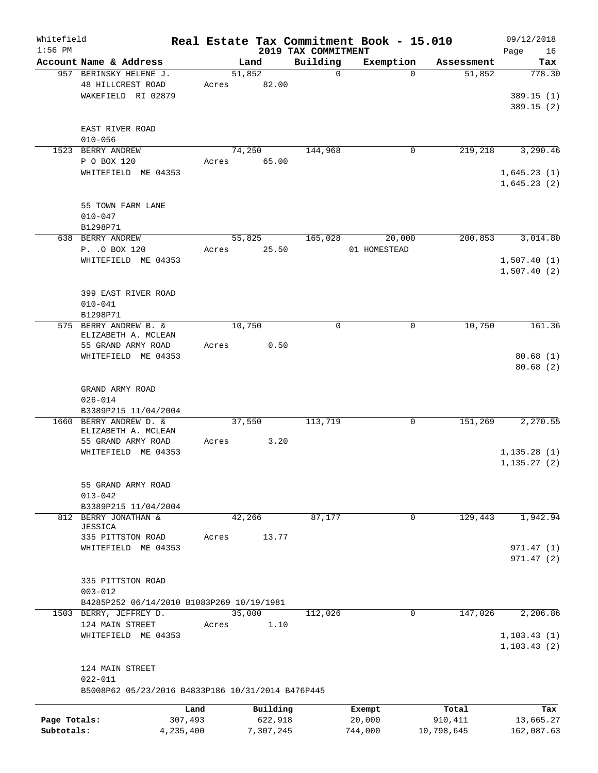| Whitefield<br>$1:56$ PM |                                                   |           |           | 2019 TAX COMMITMENT | Real Estate Tax Commitment Book - 15.010 |            | 09/12/2018<br>Page<br>16 |
|-------------------------|---------------------------------------------------|-----------|-----------|---------------------|------------------------------------------|------------|--------------------------|
|                         | Account Name & Address                            |           | Land      | Building            | Exemption                                | Assessment | Tax                      |
|                         | 957 BERINSKY HELENE J.                            |           | 51,852    | $\mathbf 0$         | $\Omega$                                 | 51,852     | 778.30                   |
|                         | 48 HILLCREST ROAD                                 | Acres     | 82.00     |                     |                                          |            |                          |
|                         | WAKEFIELD RI 02879                                |           |           |                     |                                          |            | 389.15(1)                |
|                         |                                                   |           |           |                     |                                          |            | 389.15(2)                |
|                         |                                                   |           |           |                     |                                          |            |                          |
|                         | EAST RIVER ROAD                                   |           |           |                     |                                          |            |                          |
|                         | $010 - 056$                                       |           |           |                     |                                          |            |                          |
|                         | 1523 BERRY ANDREW                                 |           | 74,250    | 144,968             | 0                                        | 219,218    | 3,290.46                 |
|                         | P O BOX 120                                       | Acres     | 65.00     |                     |                                          |            |                          |
|                         | WHITEFIELD ME 04353                               |           |           |                     |                                          |            | 1,645.23(1)              |
|                         |                                                   |           |           |                     |                                          |            | 1,645.23(2)              |
|                         |                                                   |           |           |                     |                                          |            |                          |
|                         | 55 TOWN FARM LANE                                 |           |           |                     |                                          |            |                          |
|                         | $010 - 047$                                       |           |           |                     |                                          |            |                          |
|                         | B1298P71                                          |           |           |                     |                                          |            |                          |
|                         | 638 BERRY ANDREW                                  |           | 55,825    | 165,028             | 20,000                                   | 200,853    | 3,014.80                 |
|                         | P. . O BOX 120                                    | Acres     | 25.50     |                     | 01 HOMESTEAD                             |            |                          |
|                         | WHITEFIELD ME 04353                               |           |           |                     |                                          |            | 1,507.40(1)              |
|                         |                                                   |           |           |                     |                                          |            | 1,507.40(2)              |
|                         |                                                   |           |           |                     |                                          |            |                          |
|                         | 399 EAST RIVER ROAD                               |           |           |                     |                                          |            |                          |
|                         | $010 - 041$                                       |           |           |                     |                                          |            |                          |
|                         | B1298P71                                          |           |           |                     |                                          |            |                          |
|                         | 575 BERRY ANDREW B. &                             |           | 10,750    | $\mathbf 0$         | $\mathbf 0$                              | 10,750     | 161.36                   |
|                         | ELIZABETH A. MCLEAN                               |           |           |                     |                                          |            |                          |
|                         | 55 GRAND ARMY ROAD                                | Acres     | 0.50      |                     |                                          |            |                          |
|                         | WHITEFIELD ME 04353                               |           |           |                     |                                          |            | 80.68(1)                 |
|                         |                                                   |           |           |                     |                                          |            | 80.68(2)                 |
|                         |                                                   |           |           |                     |                                          |            |                          |
|                         | GRAND ARMY ROAD                                   |           |           |                     |                                          |            |                          |
|                         | $026 - 014$                                       |           |           |                     |                                          |            |                          |
|                         | B3389P215 11/04/2004                              |           |           |                     |                                          |            |                          |
| 1660                    | BERRY ANDREW D. &                                 |           | 37,550    | 113,719             | 0                                        | 151,269    | 2,270.55                 |
|                         | ELIZABETH A. MCLEAN                               |           |           |                     |                                          |            |                          |
|                         | 55 GRAND ARMY ROAD                                | Acres     | 3.20      |                     |                                          |            |                          |
|                         | WHITEFIELD ME 04353                               |           |           |                     |                                          |            | 1,135.28(1)              |
|                         |                                                   |           |           |                     |                                          |            | 1, 135.27(2)             |
|                         |                                                   |           |           |                     |                                          |            |                          |
|                         | 55 GRAND ARMY ROAD                                |           |           |                     |                                          |            |                          |
|                         | $013 - 042$                                       |           |           |                     |                                          |            |                          |
|                         | B3389P215 11/04/2004                              |           |           |                     |                                          |            |                          |
|                         | 812 BERRY JONATHAN &<br><b>JESSICA</b>            |           | 42,266    | 87,177              | 0                                        | 129,443    | 1,942.94                 |
|                         | 335 PITTSTON ROAD                                 | Acres     | 13.77     |                     |                                          |            |                          |
|                         | WHITEFIELD ME 04353                               |           |           |                     |                                          |            | 971.47(1)                |
|                         |                                                   |           |           |                     |                                          |            | 971.47(2)                |
|                         |                                                   |           |           |                     |                                          |            |                          |
|                         | 335 PITTSTON ROAD                                 |           |           |                     |                                          |            |                          |
|                         | $003 - 012$                                       |           |           |                     |                                          |            |                          |
|                         | B4285P252 06/14/2010 B1083P269 10/19/1981         |           |           |                     |                                          |            |                          |
|                         | 1503 BERRY, JEFFREY D.                            |           | 35,000    | 112,026             | 0                                        | 147,026    | 2,206.86                 |
|                         | 124 MAIN STREET                                   | Acres     | 1.10      |                     |                                          |            |                          |
|                         | WHITEFIELD ME 04353                               |           |           |                     |                                          |            | 1, 103.43(1)             |
|                         |                                                   |           |           |                     |                                          |            | 1, 103.43(2)             |
|                         |                                                   |           |           |                     |                                          |            |                          |
|                         | 124 MAIN STREET                                   |           |           |                     |                                          |            |                          |
|                         | $022 - 011$                                       |           |           |                     |                                          |            |                          |
|                         | B5008P62 05/23/2016 B4833P186 10/31/2014 B476P445 |           |           |                     |                                          |            |                          |
|                         |                                                   |           |           |                     |                                          |            |                          |
|                         |                                                   | Land      | Building  |                     | Exempt                                   | Total      | Tax                      |
| Page Totals:            |                                                   | 307,493   | 622,918   |                     | 20,000                                   | 910,411    | 13,665.27                |
| Subtotals:              |                                                   | 4,235,400 | 7,307,245 |                     | 744,000                                  | 10,798,645 | 162,087.63               |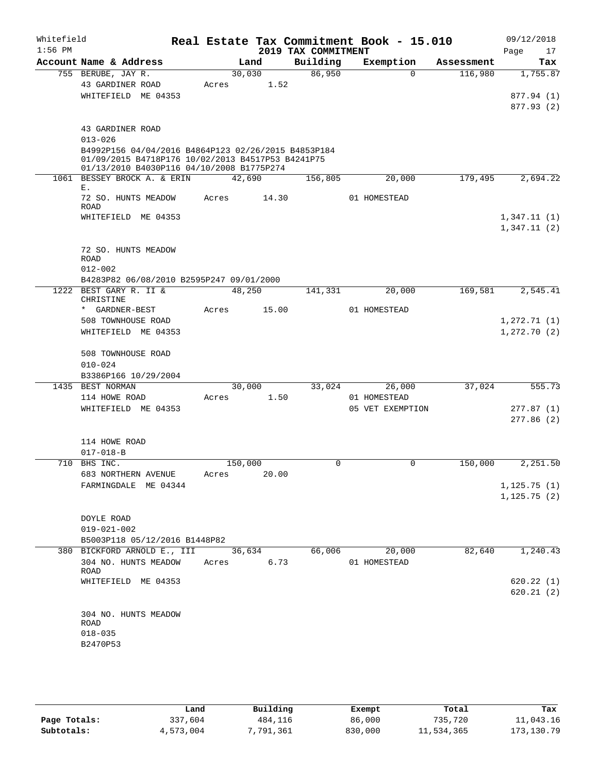| Whitefield<br>$1:56$ PM |                                                                                                                                                                                          |                  |       | 2019 TAX COMMITMENT | Real Estate Tax Commitment Book - 15.010   |            | 09/12/2018<br>Page<br>17                |
|-------------------------|------------------------------------------------------------------------------------------------------------------------------------------------------------------------------------------|------------------|-------|---------------------|--------------------------------------------|------------|-----------------------------------------|
|                         | Account Name & Address                                                                                                                                                                   |                  | Land  | Building            | Exemption                                  | Assessment | Tax                                     |
|                         | 755 BERUBE, JAY R.<br>43 GARDINER ROAD<br>WHITEFIELD ME 04353                                                                                                                            | 30,030<br>Acres  | 1.52  | 86,950              | $\Omega$                                   | 116,980    | 1,755.87<br>877.94 (1)<br>877.93 (2)    |
|                         | 43 GARDINER ROAD<br>$013 - 026$<br>B4992P156 04/04/2016 B4864P123 02/26/2015 B4853P184<br>01/09/2015 B4718P176 10/02/2013 B4517P53 B4241P75<br>01/13/2010 B4030P116 04/10/2008 B1775P274 |                  |       |                     |                                            |            |                                         |
|                         | 1061 BESSEY BROCK A. & ERIN                                                                                                                                                              | 42,690           |       | 156,805             | 20,000                                     | 179,495    | 2,694.22                                |
|                         | Ε.<br>72 SO. HUNTS MEADOW<br><b>ROAD</b><br>WHITEFIELD ME 04353                                                                                                                          | Acres            | 14.30 |                     | 01 HOMESTEAD                               |            | 1,347.11(1)<br>1,347.11(2)              |
|                         | 72 SO. HUNTS MEADOW<br><b>ROAD</b><br>$012 - 002$<br>B4283P82 06/08/2010 B2595P247 09/01/2000                                                                                            |                  |       |                     |                                            |            |                                         |
|                         | 1222 BEST GARY R. II &                                                                                                                                                                   | 48,250           |       | 141,331             | 20,000                                     | 169,581    | 2,545.41                                |
|                         | CHRISTINE<br>* GARDNER-BEST<br>508 TOWNHOUSE ROAD<br>WHITEFIELD ME 04353                                                                                                                 | Acres            | 15.00 |                     | 01 HOMESTEAD                               |            | 1, 272.71(1)<br>1, 272.70(2)            |
|                         | 508 TOWNHOUSE ROAD<br>$010 - 024$<br>B3386P166 10/29/2004                                                                                                                                |                  |       |                     |                                            |            |                                         |
|                         | 1435 BEST NORMAN<br>114 HOWE ROAD<br>WHITEFIELD ME 04353                                                                                                                                 | 30,000<br>Acres  | 1.50  | 33,024              | 26,000<br>01 HOMESTEAD<br>05 VET EXEMPTION | 37,024     | 555.73<br>277.87(1)<br>277.86(2)        |
|                         | 114 HOWE ROAD<br>$017 - 018 - B$                                                                                                                                                         |                  |       |                     |                                            |            |                                         |
|                         | 710 BHS INC.<br>683 NORTHERN AVENUE<br>FARMINGDALE ME 04344                                                                                                                              | 150,000<br>Acres | 20.00 | 0                   | 0                                          | 150,000    | 2,251.50<br>1,125.75(1)<br>1, 125.75(2) |
|                         | DOYLE ROAD<br>$019 - 021 - 002$<br>B5003P118 05/12/2016 B1448P82                                                                                                                         |                  |       |                     |                                            |            |                                         |
|                         | 380 BICKFORD ARNOLD E., III<br>304 NO. HUNTS MEADOW<br>ROAD                                                                                                                              | 36,634<br>Acres  | 6.73  | 66,006              | 20,000<br>01 HOMESTEAD                     | 82,640     | 1,240.43                                |
|                         | WHITEFIELD ME 04353                                                                                                                                                                      |                  |       |                     |                                            |            | 620.22(1)<br>620.21(2)                  |
|                         | 304 NO. HUNTS MEADOW<br>ROAD<br>$018 - 035$<br>B2470P53                                                                                                                                  |                  |       |                     |                                            |            |                                         |

|              | Land      | Building | Exempt  | Total      | Tax        |
|--------------|-----------|----------|---------|------------|------------|
| Page Totals: | 337,604   | 484,116  | 86,000  | 735,720    | 11,043.16  |
| Subtotals:   | 4,573,004 | ,791,361 | 830,000 | 11,534,365 | 173,130.79 |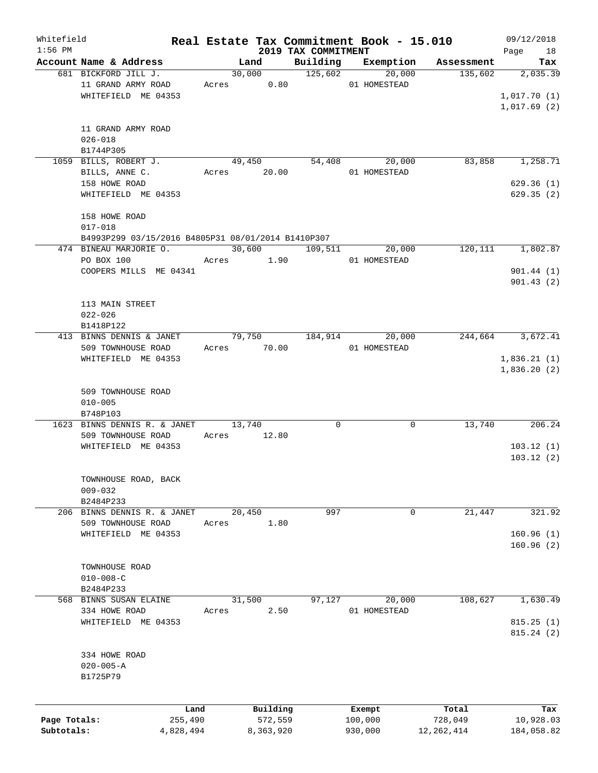| Whitefield   |                                                    |       |             |                                 | Real Estate Tax Commitment Book - 15.010 |              | 09/12/2018       |
|--------------|----------------------------------------------------|-------|-------------|---------------------------------|------------------------------------------|--------------|------------------|
| $1:56$ PM    | Account Name & Address                             |       | Land        | 2019 TAX COMMITMENT<br>Building | Exemption                                | Assessment   | Page 18<br>Tax   |
|              | 681 BICKFORD JILL J.                               |       | 30,000      | 125,602                         | 20,000                                   | 135,602      | 2,035.39         |
|              | 11 GRAND ARMY ROAD                                 |       | Acres 0.80  |                                 | 01 HOMESTEAD                             |              |                  |
|              | WHITEFIELD ME 04353                                |       |             |                                 |                                          |              | 1,017.70(1)      |
|              |                                                    |       |             |                                 |                                          |              | 1,017.69(2)      |
|              |                                                    |       |             |                                 |                                          |              |                  |
|              | 11 GRAND ARMY ROAD                                 |       |             |                                 |                                          |              |                  |
|              | $026 - 018$                                        |       |             |                                 |                                          |              |                  |
|              | B1744P305                                          |       |             |                                 |                                          |              |                  |
|              | 1059 BILLS, ROBERT J.                              |       | 49,450      |                                 | 54,408<br>20,000                         | 83,858       | 1,258.71         |
|              | BILLS, ANNE C.                                     |       | Acres 20.00 |                                 | 01 HOMESTEAD                             |              |                  |
|              | 158 HOWE ROAD                                      |       |             |                                 |                                          |              | 629.36(1)        |
|              | WHITEFIELD ME 04353                                |       |             |                                 |                                          |              | 629.35(2)        |
|              |                                                    |       |             |                                 |                                          |              |                  |
|              | 158 HOWE ROAD                                      |       |             |                                 |                                          |              |                  |
|              | $017 - 018$                                        |       |             |                                 |                                          |              |                  |
|              | B4993P299 03/15/2016 B4805P31 08/01/2014 B1410P307 |       |             |                                 |                                          |              |                  |
|              | 474 BINEAU MARJORIE O.                             |       | 30,600      | 109,511                         | 20,000                                   | 120,111      | 1,802.87         |
|              | PO BOX 100                                         |       | Acres 1.90  |                                 | 01 HOMESTEAD                             |              |                  |
|              | COOPERS MILLS ME 04341                             |       |             |                                 |                                          |              | 901.44(1)        |
|              |                                                    |       |             |                                 |                                          |              | 901.43(2)        |
|              |                                                    |       |             |                                 |                                          |              |                  |
|              | 113 MAIN STREET                                    |       |             |                                 |                                          |              |                  |
|              | $022 - 026$                                        |       |             |                                 |                                          |              |                  |
|              | B1418P122                                          |       |             |                                 |                                          |              |                  |
|              | 413 BINNS DENNIS & JANET                           |       | 79,750      | 184,914                         | 20,000                                   | 244,664      | 3,672.41         |
|              | 509 TOWNHOUSE ROAD                                 |       | Acres 70.00 |                                 | 01 HOMESTEAD                             |              |                  |
|              | WHITEFIELD ME 04353                                |       |             |                                 |                                          |              | 1,836.21(1)      |
|              |                                                    |       |             |                                 |                                          |              | 1,836.20(2)      |
|              |                                                    |       |             |                                 |                                          |              |                  |
|              | 509 TOWNHOUSE ROAD                                 |       |             |                                 |                                          |              |                  |
|              | $010 - 005$                                        |       |             |                                 |                                          |              |                  |
|              | B748P103                                           |       |             |                                 |                                          |              |                  |
|              | 1623 BINNS DENNIS R. & JANET                       |       | 13,740      | 0                               | 0                                        | 13,740       | 206.24           |
|              | 509 TOWNHOUSE ROAD                                 | Acres | 12.80       |                                 |                                          |              |                  |
|              | WHITEFIELD ME 04353                                |       |             |                                 |                                          |              | 103.12(1)        |
|              |                                                    |       |             |                                 |                                          |              | 103.12(2)        |
|              |                                                    |       |             |                                 |                                          |              |                  |
|              | TOWNHOUSE ROAD, BACK                               |       |             |                                 |                                          |              |                  |
|              | $009 - 032$                                        |       |             |                                 |                                          |              |                  |
|              | B2484P233                                          |       |             |                                 |                                          |              |                  |
|              | 206 BINNS DENNIS R. & JANET                        |       | 20,450      | 997                             | 0                                        | 21,447       | 321.92           |
|              | 509 TOWNHOUSE ROAD                                 | Acres | 1.80        |                                 |                                          |              |                  |
|              | WHITEFIELD ME 04353                                |       |             |                                 |                                          |              | 160.96(1)        |
|              |                                                    |       |             |                                 |                                          |              | 160.96(2)        |
|              |                                                    |       |             |                                 |                                          |              |                  |
|              | TOWNHOUSE ROAD                                     |       |             |                                 |                                          |              |                  |
|              | $010 - 008 - C$                                    |       |             |                                 |                                          |              |                  |
|              | B2484P233                                          |       |             |                                 |                                          |              |                  |
|              | 568 BINNS SUSAN ELAINE                             |       | 31,500      | 97,127                          | 20,000                                   | 108,627      | 1,630.49         |
|              | 334 HOWE ROAD                                      | Acres | 2.50        |                                 | 01 HOMESTEAD                             |              |                  |
|              | WHITEFIELD ME 04353                                |       |             |                                 |                                          |              | 815.25(1)        |
|              |                                                    |       |             |                                 |                                          |              | 815.24(2)        |
|              |                                                    |       |             |                                 |                                          |              |                  |
|              | 334 HOWE ROAD                                      |       |             |                                 |                                          |              |                  |
|              | $020 - 005 - A$                                    |       |             |                                 |                                          |              |                  |
|              | B1725P79                                           |       |             |                                 |                                          |              |                  |
|              |                                                    |       |             |                                 |                                          |              |                  |
|              | Land                                               |       | Building    |                                 |                                          | Total        |                  |
| Page Totals: | 255,490                                            |       | 572,559     |                                 | Exempt<br>100,000                        | 728,049      | Tax<br>10,928.03 |
| Subtotals:   | 4,828,494                                          |       | 8,363,920   |                                 | 930,000                                  | 12, 262, 414 | 184,058.82       |
|              |                                                    |       |             |                                 |                                          |              |                  |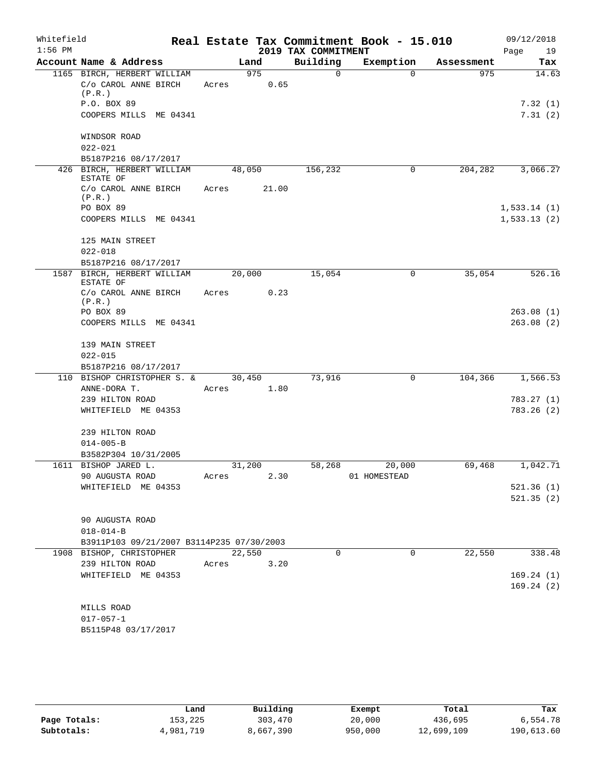| Whitefield |                                                               |                 |             |                     | Real Estate Tax Commitment Book - 15.010 |            | 09/12/2018  |
|------------|---------------------------------------------------------------|-----------------|-------------|---------------------|------------------------------------------|------------|-------------|
| $1:56$ PM  |                                                               |                 |             | 2019 TAX COMMITMENT |                                          |            | Page<br>19  |
|            | Account Name & Address                                        |                 | Land        | Building            | Exemption                                | Assessment | Tax         |
|            | 1165 BIRCH, HERBERT WILLIAM<br>C/o CAROL ANNE BIRCH<br>(P.R.) | Acres           | 975<br>0.65 | $\Omega$            | $\Omega$                                 | 975        | 14.63       |
|            | P.O. BOX 89                                                   |                 |             |                     |                                          |            | 7.32(1)     |
|            | COOPERS MILLS ME 04341                                        |                 |             |                     |                                          |            | 7.31(2)     |
|            | WINDSOR ROAD                                                  |                 |             |                     |                                          |            |             |
|            | $022 - 021$                                                   |                 |             |                     |                                          |            |             |
|            | B5187P216 08/17/2017                                          |                 |             |                     |                                          |            |             |
|            | 426 BIRCH, HERBERT WILLIAM<br>ESTATE OF                       |                 | 48,050      | 156,232             | 0                                        | 204,282    | 3,066.27    |
|            | C/o CAROL ANNE BIRCH<br>(P.R.)                                | Acres           | 21.00       |                     |                                          |            |             |
|            | PO BOX 89                                                     |                 |             |                     |                                          |            | 1,533.14(1) |
|            | COOPERS MILLS ME 04341                                        |                 |             |                     |                                          |            | 1,533.13(2) |
|            | 125 MAIN STREET                                               |                 |             |                     |                                          |            |             |
|            | $022 - 018$                                                   |                 |             |                     |                                          |            |             |
|            | B5187P216 08/17/2017                                          |                 |             |                     |                                          |            |             |
|            | 1587 BIRCH, HERBERT WILLIAM<br>ESTATE OF                      |                 | 20,000      | 15,054              | 0                                        | 35,054     | 526.16      |
|            | C/o CAROL ANNE BIRCH<br>(P.R.)                                | Acres           | 0.23        |                     |                                          |            |             |
|            | PO BOX 89                                                     |                 |             |                     |                                          |            | 263.08(1)   |
|            | COOPERS MILLS ME 04341                                        |                 |             |                     |                                          |            | 263.08(2)   |
|            | 139 MAIN STREET                                               |                 |             |                     |                                          |            |             |
|            | $022 - 015$<br>B5187P216 08/17/2017                           |                 |             |                     |                                          |            |             |
|            | 110 BISHOP CHRISTOPHER S. &                                   |                 | 30,450      | 73,916              | 0                                        | 104,366    | 1,566.53    |
|            | ANNE-DORA T.                                                  | Acres           | 1.80        |                     |                                          |            |             |
|            | 239 HILTON ROAD                                               |                 |             |                     |                                          |            | 783.27 (1)  |
|            | WHITEFIELD ME 04353                                           |                 |             |                     |                                          |            | 783.26(2)   |
|            | 239 HILTON ROAD                                               |                 |             |                     |                                          |            |             |
|            | $014 - 005 - B$                                               |                 |             |                     |                                          |            |             |
|            | B3582P304 10/31/2005                                          |                 |             |                     |                                          |            |             |
|            | 1611 BISHOP JARED L.                                          | 31,200<br>Acres | 2.30        | 58,268              | 20,000<br>01 HOMESTEAD                   | 69,468     | 1,042.71    |
|            | 90 AUGUSTA ROAD<br>WHITEFIELD ME 04353                        |                 |             |                     |                                          |            | 521.36(1)   |
|            |                                                               |                 |             |                     |                                          |            | 521.35(2)   |
|            | 90 AUGUSTA ROAD                                               |                 |             |                     |                                          |            |             |
|            | $018 - 014 - B$                                               |                 |             |                     |                                          |            |             |
|            | B3911P103 09/21/2007 B3114P235 07/30/2003                     |                 |             |                     |                                          |            |             |
|            | 1908 BISHOP, CHRISTOPHER                                      | 22,550          |             | $\Omega$            | $\Omega$                                 | 22,550     | 338.48      |
|            | 239 HILTON ROAD                                               | Acres           | 3.20        |                     |                                          |            |             |
|            | WHITEFIELD ME 04353                                           |                 |             |                     |                                          |            | 169.24(1)   |
|            |                                                               |                 |             |                     |                                          |            | 169.24(2)   |
|            | MILLS ROAD                                                    |                 |             |                     |                                          |            |             |
|            | $017 - 057 - 1$                                               |                 |             |                     |                                          |            |             |
|            | B5115P48 03/17/2017                                           |                 |             |                     |                                          |            |             |

|              |           | Building  |         |            | Tax        |
|--------------|-----------|-----------|---------|------------|------------|
|              | Land      |           | Exempt  | Total      |            |
| Page Totals: | 153,225   | 303,470   | 20,000  | 436,695    | 6,554.78   |
| Subtotals:   | 4,981,719 | 8,667,390 | 950,000 | 12,699,109 | 190,613.60 |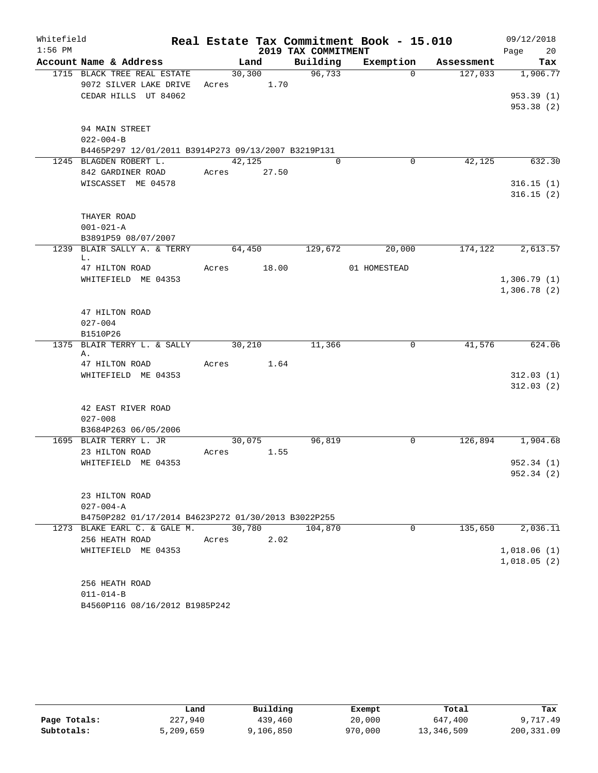| Whitefield |                                                     |             |         |                     | Real Estate Tax Commitment Book - 15.010 |            | 09/12/2018              |
|------------|-----------------------------------------------------|-------------|---------|---------------------|------------------------------------------|------------|-------------------------|
| $1:56$ PM  |                                                     |             |         | 2019 TAX COMMITMENT |                                          |            | 20<br>Page              |
|            | Account Name & Address                              |             | Land    | Building            | Exemption                                | Assessment | Tax                     |
|            | 1715 BLACK TREE REAL ESTATE                         |             | 30, 300 | 96,733              | $\Omega$                                 | 127,033    | 1,906.77                |
|            | 9072 SILVER LAKE DRIVE<br>CEDAR HILLS UT 84062      | Acres 1.70  |         |                     |                                          |            |                         |
|            |                                                     |             |         |                     |                                          |            | 953.39(1)<br>953.38 (2) |
|            |                                                     |             |         |                     |                                          |            |                         |
|            | 94 MAIN STREET                                      |             |         |                     |                                          |            |                         |
|            | $022 - 004 - B$                                     |             |         |                     |                                          |            |                         |
|            | B4465P297 12/01/2011 B3914P273 09/13/2007 B3219P131 |             |         |                     |                                          |            |                         |
|            | 1245 BLAGDEN ROBERT L.                              | 42,125      |         | $\Omega$            | $\Omega$                                 | 42,125     | 632.30                  |
|            | 842 GARDINER ROAD                                   | Acres 27.50 |         |                     |                                          |            |                         |
|            | WISCASSET ME 04578                                  |             |         |                     |                                          |            | 316.15(1)               |
|            |                                                     |             |         |                     |                                          |            | 316.15(2)               |
|            | THAYER ROAD                                         |             |         |                     |                                          |            |                         |
|            | $001 - 021 - A$                                     |             |         |                     |                                          |            |                         |
|            | B3891P59 08/07/2007                                 |             |         |                     |                                          |            |                         |
|            | 1239 BLAIR SALLY A. & TERRY                         | 64,450      |         | 129,672             | 20,000                                   | 174,122    | 2,613.57                |
|            | L.                                                  |             |         |                     |                                          |            |                         |
|            | 47 HILTON ROAD                                      | Acres 18.00 |         |                     | 01 HOMESTEAD                             |            |                         |
|            | WHITEFIELD ME 04353                                 |             |         |                     |                                          |            | 1,306.79(1)             |
|            |                                                     |             |         |                     |                                          |            | 1,306.78(2)             |
|            | 47 HILTON ROAD                                      |             |         |                     |                                          |            |                         |
|            | $027 - 004$                                         |             |         |                     |                                          |            |                         |
|            | B1510P26                                            |             |         |                     |                                          |            |                         |
|            | 1375 BLAIR TERRY L. & SALLY 30,210                  |             |         | 11,366              | $\overline{0}$                           | 41,576     | 624.06                  |
|            | Α.                                                  |             |         |                     |                                          |            |                         |
|            | 47 HILTON ROAD                                      | Acres 1.64  |         |                     |                                          |            |                         |
|            | WHITEFIELD ME 04353                                 |             |         |                     |                                          |            | 312.03(1)<br>312.03(2)  |
|            |                                                     |             |         |                     |                                          |            |                         |
|            | 42 EAST RIVER ROAD                                  |             |         |                     |                                          |            |                         |
|            | $027 - 008$                                         |             |         |                     |                                          |            |                         |
|            | B3684P263 06/05/2006                                |             |         |                     |                                          |            |                         |
|            | 1695 BLAIR TERRY L. JR                              | 30,075      |         | 96,819              | $\mathbf 0$                              | 126,894    | 1,904.68                |
|            | 23 HILTON ROAD                                      | Acres       | 1.55    |                     |                                          |            |                         |
|            | WHITEFIELD ME 04353                                 |             |         |                     |                                          |            | 952.34 (1)              |
|            |                                                     |             |         |                     |                                          |            | 952.34 (2)              |
|            | 23 HILTON ROAD                                      |             |         |                     |                                          |            |                         |
|            | $027 - 004 - A$                                     |             |         |                     |                                          |            |                         |
|            | B4750P282 01/17/2014 B4623P272 01/30/2013 B3022P255 |             |         |                     |                                          |            |                         |
|            | 1273 BLAKE EARL C. & GALE M.                        | 30,780      |         | 104,870             | $\Omega$                                 | 135,650    | 2,036.11                |
|            | 256 HEATH ROAD                                      | Acres       | 2.02    |                     |                                          |            |                         |
|            | WHITEFIELD ME 04353                                 |             |         |                     |                                          |            | 1,018.06(1)             |
|            |                                                     |             |         |                     |                                          |            | 1,018.05(2)             |
|            |                                                     |             |         |                     |                                          |            |                         |
|            | 256 HEATH ROAD                                      |             |         |                     |                                          |            |                         |
|            | $011 - 014 - B$<br>B4560P116 08/16/2012 B1985P242   |             |         |                     |                                          |            |                         |
|            |                                                     |             |         |                     |                                          |            |                         |

|              | Land      | Building  | Exempt  | Total      | Tax        |
|--------------|-----------|-----------|---------|------------|------------|
| Page Totals: | 227,940   | 439,460   | 20,000  | 647,400    | 9,717.49   |
| Subtotals:   | 5,209,659 | 9,106,850 | 970,000 | 13,346,509 | 200,331.09 |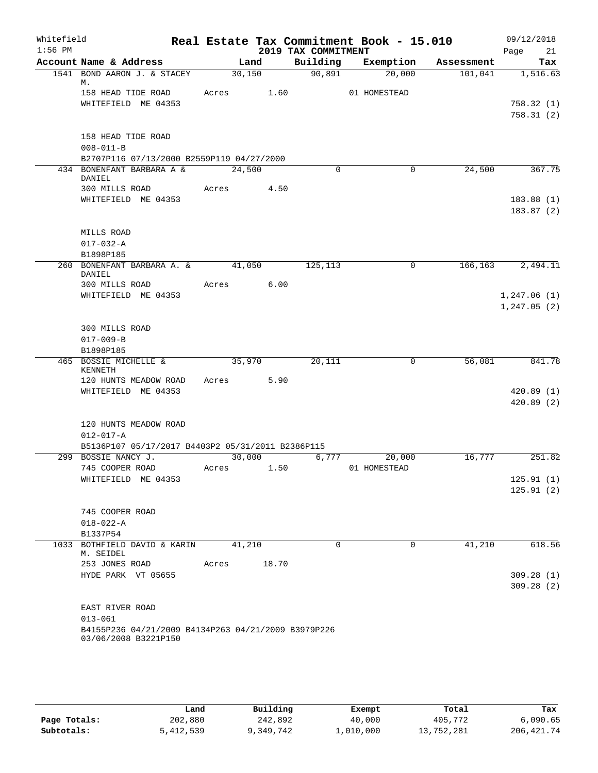| Whitefield<br>$1:56$ PM |                                                                             |       |        |            | 2019 TAX COMMITMENT | Real Estate Tax Commitment Book - 15.010 |            | 09/12/2018<br>Page<br>21     |
|-------------------------|-----------------------------------------------------------------------------|-------|--------|------------|---------------------|------------------------------------------|------------|------------------------------|
|                         | Account Name & Address                                                      |       | Land   |            | Building            | Exemption                                | Assessment | Tax                          |
|                         | 1541 BOND AARON J. & STACEY<br>М.                                           |       | 30,150 |            | 90,891              | 20,000                                   | 101,041    | 1,516.63                     |
|                         | 158 HEAD TIDE ROAD                                                          |       |        | Acres 1.60 |                     | 01 HOMESTEAD                             |            |                              |
|                         | WHITEFIELD ME 04353                                                         |       |        |            |                     |                                          |            | 758.32(1)<br>758.31(2)       |
|                         | 158 HEAD TIDE ROAD                                                          |       |        |            |                     |                                          |            |                              |
|                         | $008 - 011 - B$<br>B2707P116 07/13/2000 B2559P119 04/27/2000                |       |        |            |                     |                                          |            |                              |
|                         | 434 BONENFANT BARBARA A &                                                   |       | 24,500 |            | $\Omega$            | 0                                        | 24,500     | 367.75                       |
|                         | DANIEL<br>300 MILLS ROAD                                                    | Acres |        | 4.50       |                     |                                          |            |                              |
|                         | WHITEFIELD ME 04353                                                         |       |        |            |                     |                                          |            | 183.88(1)<br>183.87(2)       |
|                         | MILLS ROAD                                                                  |       |        |            |                     |                                          |            |                              |
|                         | $017 - 032 - A$                                                             |       |        |            |                     |                                          |            |                              |
|                         | B1898P185                                                                   |       |        |            |                     |                                          |            |                              |
|                         | 260 BONENFANT BARBARA A. &<br>DANIEL                                        |       | 41,050 |            | 125,113             | $\mathbf 0$                              | 166,163    | 2,494.11                     |
|                         | 300 MILLS ROAD                                                              | Acres |        | 6.00       |                     |                                          |            |                              |
|                         | WHITEFIELD ME 04353                                                         |       |        |            |                     |                                          |            | 1, 247.06(1)<br>1, 247.05(2) |
|                         | 300 MILLS ROAD                                                              |       |        |            |                     |                                          |            |                              |
|                         | $017 - 009 - B$                                                             |       |        |            |                     |                                          |            |                              |
|                         | B1898P185                                                                   |       |        |            |                     |                                          |            |                              |
|                         | 465 BOSSIE MICHELLE &<br>KENNETH                                            |       | 35,970 |            | 20,111              | 0                                        | 56,081     | 841.78                       |
|                         | 120 HUNTS MEADOW ROAD                                                       | Acres |        | 5.90       |                     |                                          |            |                              |
|                         | WHITEFIELD ME 04353                                                         |       |        |            |                     |                                          |            | 420.89(1)<br>420.89(2)       |
|                         | 120 HUNTS MEADOW ROAD<br>$012 - 017 - A$                                    |       |        |            |                     |                                          |            |                              |
|                         | B5136P107 05/17/2017 B4403P2 05/31/2011 B2386P115                           |       |        |            |                     |                                          |            |                              |
|                         | 299 BOSSIE NANCY J.                                                         |       | 30,000 |            | 6,777               | 20,000                                   | 16,777     | 251.82                       |
|                         | 745 COOPER ROAD                                                             | Acres |        | 1.50       |                     | 01 HOMESTEAD                             |            |                              |
|                         | WHITEFIELD ME 04353                                                         |       |        |            |                     |                                          |            | 125.91(1)                    |
|                         |                                                                             |       |        |            |                     |                                          |            | 125.91(2)                    |
|                         | 745 COOPER ROAD                                                             |       |        |            |                     |                                          |            |                              |
|                         | $018 - 022 - A$                                                             |       |        |            |                     |                                          |            |                              |
|                         | B1337P54                                                                    |       |        |            |                     |                                          |            |                              |
|                         | 1033 BOTHFIELD DAVID & KARIN<br>M. SEIDEL                                   |       | 41,210 |            | $\mathbf 0$         | 0                                        | 41,210     | 618.56                       |
|                         | 253 JONES ROAD                                                              | Acres |        | 18.70      |                     |                                          |            |                              |
|                         | HYDE PARK VT 05655                                                          |       |        |            |                     |                                          |            | 309.28 (1)                   |
|                         |                                                                             |       |        |            |                     |                                          |            | 309.28(2)                    |
|                         | EAST RIVER ROAD                                                             |       |        |            |                     |                                          |            |                              |
|                         | $013 - 061$                                                                 |       |        |            |                     |                                          |            |                              |
|                         | B4155P236 04/21/2009 B4134P263 04/21/2009 B3979P226<br>03/06/2008 B3221P150 |       |        |            |                     |                                          |            |                              |

|              | Land      | Building  | Exempt    | Total      | Tax         |
|--------------|-----------|-----------|-----------|------------|-------------|
| Page Totals: | 202,880   | 242,892   | 40,000    | 405,772    | 6,090.65    |
| Subtotals:   | 5,412,539 | 9,349,742 | 1,010,000 | 13,752,281 | 206, 421.74 |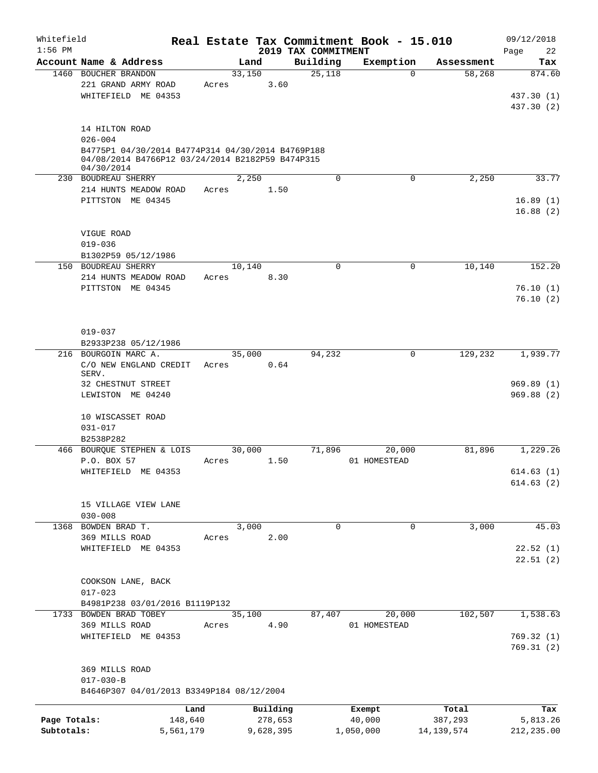| Whitefield   |                                                                                                                     |           |       |        |           |                                 | Real Estate Tax Commitment Book - 15.010 |            | 09/12/2018             |
|--------------|---------------------------------------------------------------------------------------------------------------------|-----------|-------|--------|-----------|---------------------------------|------------------------------------------|------------|------------------------|
| $1:56$ PM    | Account Name & Address                                                                                              |           |       | Land   |           | 2019 TAX COMMITMENT<br>Building | Exemption                                | Assessment | 22<br>Page<br>Tax      |
|              | 1460 BOUCHER BRANDON                                                                                                |           |       | 33,150 |           | 25,118                          | $\mathbf 0$                              | 58,268     | 874.60                 |
|              | 221 GRAND ARMY ROAD<br>WHITEFIELD ME 04353                                                                          |           | Acres |        | 3.60      |                                 |                                          |            | 437.30 (1)             |
|              |                                                                                                                     |           |       |        |           |                                 |                                          |            | 437.30 (2)             |
|              | 14 HILTON ROAD<br>$026 - 004$                                                                                       |           |       |        |           |                                 |                                          |            |                        |
|              | B4775P1 04/30/2014 B4774P314 04/30/2014 B4769P188<br>04/08/2014 B4766P12 03/24/2014 B2182P59 B474P315<br>04/30/2014 |           |       |        |           |                                 |                                          |            |                        |
|              | 230 BOUDREAU SHERRY                                                                                                 |           |       | 2,250  |           | 0                               | 0                                        | 2,250      | 33.77                  |
|              | 214 HUNTS MEADOW ROAD                                                                                               |           | Acres |        | 1.50      |                                 |                                          |            |                        |
|              | PITTSTON ME 04345                                                                                                   |           |       |        |           |                                 |                                          |            | 16.89(1)<br>16.88(2)   |
|              | VIGUE ROAD<br>$019 - 036$                                                                                           |           |       |        |           |                                 |                                          |            |                        |
|              | B1302P59 05/12/1986                                                                                                 |           |       |        |           |                                 |                                          |            |                        |
| 150          | BOUDREAU SHERRY                                                                                                     |           |       | 10,140 |           | $\Omega$                        | 0                                        | 10,140     | 152.20                 |
|              | 214 HUNTS MEADOW ROAD                                                                                               |           | Acres |        | 8.30      |                                 |                                          |            |                        |
|              | PITTSTON ME 04345                                                                                                   |           |       |        |           |                                 |                                          |            | 76.10(1)               |
|              |                                                                                                                     |           |       |        |           |                                 |                                          |            | 76.10(2)               |
|              | $019 - 037$                                                                                                         |           |       |        |           |                                 |                                          |            |                        |
|              | B2933P238 05/12/1986                                                                                                |           |       |        |           |                                 |                                          |            |                        |
|              | 216 BOURGOIN MARC A.<br>C/O NEW ENGLAND CREDIT<br>SERV.                                                             |           | Acres | 35,000 | 0.64      | 94,232                          | 0                                        | 129,232    | 1,939.77               |
|              | 32 CHESTNUT STREET<br>LEWISTON ME 04240                                                                             |           |       |        |           |                                 |                                          |            | 969.89(1)<br>969.88(2) |
|              | 10 WISCASSET ROAD<br>$031 - 017$                                                                                    |           |       |        |           |                                 |                                          |            |                        |
|              | B2538P282                                                                                                           |           |       |        |           |                                 |                                          |            |                        |
|              | 466 BOURQUE STEPHEN & LOIS                                                                                          |           |       | 30,000 |           | 71,896                          | 20,000                                   | 81,896     | 1,229.26               |
|              | P.O. BOX 57                                                                                                         |           | Acres |        | 1.50      |                                 | 01 HOMESTEAD                             |            |                        |
|              | WHITEFIELD ME 04353                                                                                                 |           |       |        |           |                                 |                                          |            | 614.63(1)              |
|              |                                                                                                                     |           |       |        |           |                                 |                                          |            | 614.63(2)              |
|              | 15 VILLAGE VIEW LANE                                                                                                |           |       |        |           |                                 |                                          |            |                        |
|              | $030 - 008$                                                                                                         |           |       |        |           |                                 |                                          |            |                        |
|              | 1368 BOWDEN BRAD T.                                                                                                 |           |       | 3,000  |           | $\mathbf 0$                     | $\mathbf 0$                              | 3,000      | 45.03                  |
|              | 369 MILLS ROAD                                                                                                      |           | Acres |        | 2.00      |                                 |                                          |            |                        |
|              | WHITEFIELD ME 04353                                                                                                 |           |       |        |           |                                 |                                          |            | 22.52(1)               |
|              |                                                                                                                     |           |       |        |           |                                 |                                          |            | 22.51(2)               |
|              | COOKSON LANE, BACK<br>$017 - 023$                                                                                   |           |       |        |           |                                 |                                          |            |                        |
|              | B4981P238 03/01/2016 B1119P132                                                                                      |           |       |        |           |                                 |                                          |            |                        |
|              | 1733 BOWDEN BRAD TOBEY                                                                                              |           |       | 35,100 |           | 87,407                          | 20,000                                   | 102,507    | 1,538.63               |
|              | 369 MILLS ROAD                                                                                                      |           | Acres |        | 4.90      |                                 | 01 HOMESTEAD                             |            |                        |
|              | WHITEFIELD ME 04353                                                                                                 |           |       |        |           |                                 |                                          |            | 769.32(1)<br>769.31(2) |
|              | 369 MILLS ROAD                                                                                                      |           |       |        |           |                                 |                                          |            |                        |
|              | $017 - 030 - B$<br>B4646P307 04/01/2013 B3349P184 08/12/2004                                                        |           |       |        |           |                                 |                                          |            |                        |
|              |                                                                                                                     | Land      |       |        | Building  |                                 | Exempt                                   | Total      | Tax                    |
| Page Totals: |                                                                                                                     | 148,640   |       |        | 278,653   |                                 | 40,000                                   | 387,293    | 5,813.26               |
| Subtotals:   |                                                                                                                     | 5,561,179 |       |        | 9,628,395 |                                 | 1,050,000                                | 14,139,574 | 212,235.00             |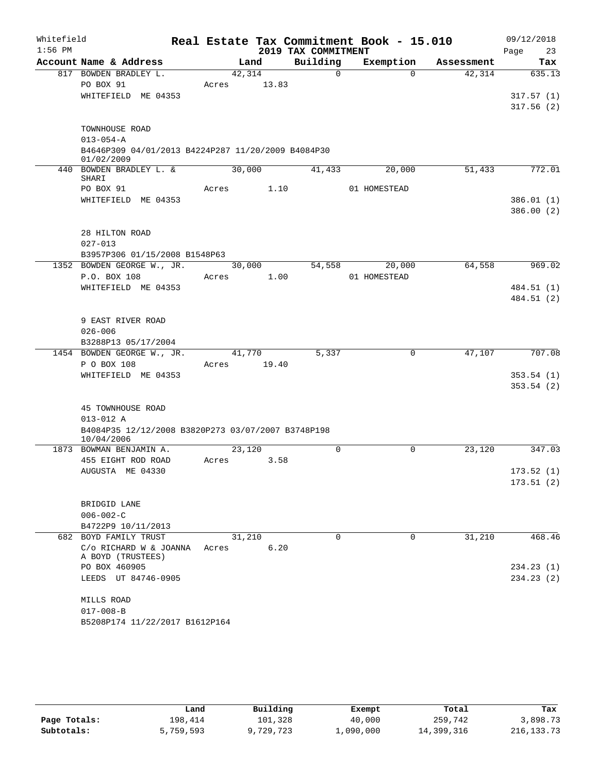| Whitefield |                                                                  |       |        |                     | Real Estate Tax Commitment Book - 15.010 |            |      | 09/12/2018             |
|------------|------------------------------------------------------------------|-------|--------|---------------------|------------------------------------------|------------|------|------------------------|
| $1:56$ PM  |                                                                  |       |        | 2019 TAX COMMITMENT |                                          |            | Page | 23                     |
|            | Account Name & Address                                           |       | Land   | Building            | Exemption                                | Assessment |      | Tax                    |
|            | 817 BOWDEN BRADLEY L.                                            |       | 42,314 | $\Omega$            | $\Omega$                                 | 42,314     |      | 635.13                 |
|            | PO BOX 91                                                        | Acres | 13.83  |                     |                                          |            |      |                        |
|            | WHITEFIELD ME 04353                                              |       |        |                     |                                          |            |      | 317.57(1)<br>317.56(2) |
|            |                                                                  |       |        |                     |                                          |            |      |                        |
|            | TOWNHOUSE ROAD                                                   |       |        |                     |                                          |            |      |                        |
|            | $013 - 054 - A$                                                  |       |        |                     |                                          |            |      |                        |
|            | B4646P309 04/01/2013 B4224P287 11/20/2009 B4084P30<br>01/02/2009 |       |        |                     |                                          |            |      |                        |
|            | 440 BOWDEN BRADLEY L. &                                          |       | 30,000 | 41,433              | 20,000                                   | 51,433     |      | 772.01                 |
|            | SHARI<br>PO BOX 91                                               | Acres | 1.10   |                     | 01 HOMESTEAD                             |            |      |                        |
|            | WHITEFIELD ME 04353                                              |       |        |                     |                                          |            |      | 386.01(1)              |
|            |                                                                  |       |        |                     |                                          |            |      | 386.00(2)              |
|            |                                                                  |       |        |                     |                                          |            |      |                        |
|            | 28 HILTON ROAD<br>$027 - 013$                                    |       |        |                     |                                          |            |      |                        |
|            | B3957P306 01/15/2008 B1548P63                                    |       |        |                     |                                          |            |      |                        |
|            | 1352 BOWDEN GEORGE W., JR.                                       |       | 30,000 | 54,558              | 20,000                                   | 64,558     |      | 969.02                 |
|            | P.O. BOX 108                                                     | Acres | 1.00   |                     | 01 HOMESTEAD                             |            |      |                        |
|            | WHITEFIELD ME 04353                                              |       |        |                     |                                          |            |      | 484.51 (1)             |
|            |                                                                  |       |        |                     |                                          |            |      | 484.51 (2)             |
|            | 9 EAST RIVER ROAD                                                |       |        |                     |                                          |            |      |                        |
|            | $026 - 006$                                                      |       |        |                     |                                          |            |      |                        |
|            | B3288P13 05/17/2004                                              |       |        |                     |                                          |            |      |                        |
|            | 1454 BOWDEN GEORGE W., JR.                                       |       | 41,770 | 5,337               | 0                                        | 47,107     |      | 707.08                 |
|            | P O BOX 108                                                      | Acres | 19.40  |                     |                                          |            |      |                        |
|            | WHITEFIELD ME 04353                                              |       |        |                     |                                          |            |      | 353.54(1)              |
|            |                                                                  |       |        |                     |                                          |            |      | 353.54(2)              |
|            | 45 TOWNHOUSE ROAD                                                |       |        |                     |                                          |            |      |                        |
|            | $013 - 012$ A                                                    |       |        |                     |                                          |            |      |                        |
|            | B4084P35 12/12/2008 B3820P273 03/07/2007 B3748P198<br>10/04/2006 |       |        |                     |                                          |            |      |                        |
|            | 1873 BOWMAN BENJAMIN A.                                          |       | 23,120 | $\Omega$            | $\Omega$                                 | 23,120     |      | 347.03                 |
|            | 455 EIGHT ROD ROAD                                               | Acres | 3.58   |                     |                                          |            |      |                        |
|            | AUGUSTA ME 04330                                                 |       |        |                     |                                          |            |      | 173.52(1)              |
|            |                                                                  |       |        |                     |                                          |            |      | 173.51(2)              |
|            | BRIDGID LANE                                                     |       |        |                     |                                          |            |      |                        |
|            | $006 - 002 - C$                                                  |       |        |                     |                                          |            |      |                        |
|            | B4722P9 10/11/2013                                               |       |        |                     |                                          |            |      |                        |
|            | 682 BOYD FAMILY TRUST                                            |       | 31,210 | $\Omega$            | $\mathbf 0$                              | 31,210     |      | 468.46                 |
|            | C/o RICHARD W & JOANNA<br>A BOYD (TRUSTEES)                      | Acres | 6.20   |                     |                                          |            |      |                        |
|            | PO BOX 460905                                                    |       |        |                     |                                          |            |      | 234.23(1)              |
|            | LEEDS UT 84746-0905                                              |       |        |                     |                                          |            |      | 234.23(2)              |
|            | MILLS ROAD                                                       |       |        |                     |                                          |            |      |                        |
|            | $017 - 008 - B$                                                  |       |        |                     |                                          |            |      |                        |
|            | B5208P174 11/22/2017 B1612P164                                   |       |        |                     |                                          |            |      |                        |

|              | Land      | Building  | Exempt    | Total      | Tax          |
|--------------|-----------|-----------|-----------|------------|--------------|
| Page Totals: | 198,414   | 101,328   | 40,000    | 259,742    | 3,898.73     |
| Subtotals:   | 5,759,593 | 9,729,723 | 1,090,000 | 14,399,316 | 216, 133. 73 |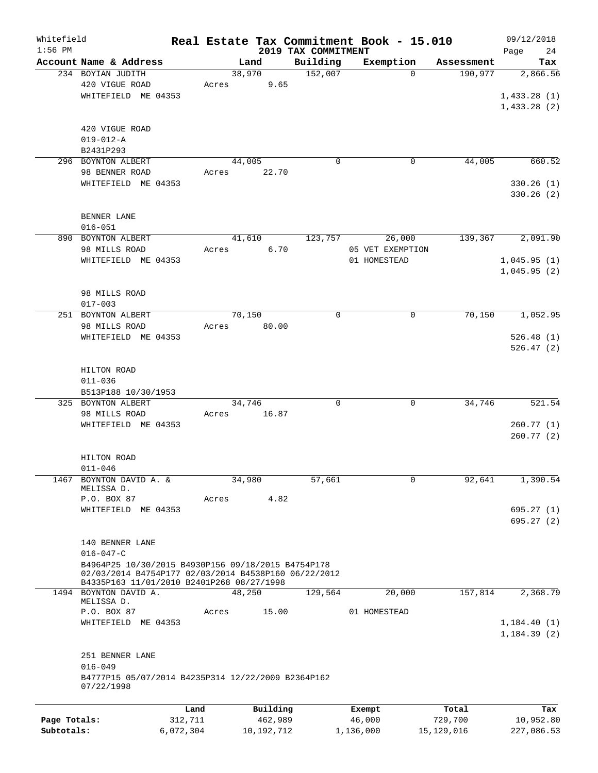| Whitefield<br>$1:56$ PM |                                                                                                   |           |        |            | 2019 TAX COMMITMENT | Real Estate Tax Commitment Book - 15.010 |              | 09/12/2018        |
|-------------------------|---------------------------------------------------------------------------------------------------|-----------|--------|------------|---------------------|------------------------------------------|--------------|-------------------|
|                         | Account Name & Address                                                                            |           |        | Land       | Building            | Exemption                                | Assessment   | Page<br>24<br>Tax |
|                         | 234 BOYIAN JUDITH                                                                                 |           | 38,970 |            | 152,007             | $\Omega$                                 | 190,977      | 2,866.56          |
|                         | 420 VIGUE ROAD                                                                                    |           |        |            |                     |                                          |              |                   |
|                         |                                                                                                   |           | Acres  | 9.65       |                     |                                          |              |                   |
|                         | WHITEFIELD ME 04353                                                                               |           |        |            |                     |                                          |              | 1,433.28(1)       |
|                         |                                                                                                   |           |        |            |                     |                                          |              | 1,433.28(2)       |
|                         | 420 VIGUE ROAD                                                                                    |           |        |            |                     |                                          |              |                   |
|                         |                                                                                                   |           |        |            |                     |                                          |              |                   |
|                         | $019 - 012 - A$                                                                                   |           |        |            |                     |                                          |              |                   |
|                         | B2431P293                                                                                         |           |        |            |                     |                                          |              |                   |
|                         | 296 BOYNTON ALBERT                                                                                |           | 44,005 |            | 0                   | 0                                        | 44,005       | 660.52            |
|                         | 98 BENNER ROAD                                                                                    |           | Acres  | 22.70      |                     |                                          |              |                   |
|                         | WHITEFIELD ME 04353                                                                               |           |        |            |                     |                                          |              | 330.26(1)         |
|                         |                                                                                                   |           |        |            |                     |                                          |              | 330.26 (2)        |
|                         |                                                                                                   |           |        |            |                     |                                          |              |                   |
|                         | BENNER LANE                                                                                       |           |        |            |                     |                                          |              |                   |
|                         | $016 - 051$                                                                                       |           |        |            |                     |                                          |              |                   |
|                         | 890 BOYNTON ALBERT                                                                                |           | 41,610 |            | 123,757             | 26,000                                   | 139,367      | 2,091.90          |
|                         | 98 MILLS ROAD                                                                                     |           | Acres  | 6.70       |                     | 05 VET EXEMPTION                         |              |                   |
|                         | WHITEFIELD ME 04353                                                                               |           |        |            |                     | 01 HOMESTEAD                             |              | 1,045.95(1)       |
|                         |                                                                                                   |           |        |            |                     |                                          |              | 1,045.95(2)       |
|                         |                                                                                                   |           |        |            |                     |                                          |              |                   |
|                         | 98 MILLS ROAD                                                                                     |           |        |            |                     |                                          |              |                   |
|                         | $017 - 003$                                                                                       |           |        |            |                     |                                          |              |                   |
|                         | 251 BOYNTON ALBERT                                                                                |           | 70,150 |            | $\mathbf 0$         | $\mathsf{O}$                             | 70,150       | 1,052.95          |
|                         | 98 MILLS ROAD                                                                                     |           | Acres  | 80.00      |                     |                                          |              |                   |
|                         | WHITEFIELD ME 04353                                                                               |           |        |            |                     |                                          |              | 526.48(1)         |
|                         |                                                                                                   |           |        |            |                     |                                          |              | 526.47(2)         |
|                         |                                                                                                   |           |        |            |                     |                                          |              |                   |
|                         |                                                                                                   |           |        |            |                     |                                          |              |                   |
|                         | HILTON ROAD                                                                                       |           |        |            |                     |                                          |              |                   |
|                         | $011 - 036$                                                                                       |           |        |            |                     |                                          |              |                   |
|                         | B513P188 10/30/1953                                                                               |           |        |            |                     |                                          |              |                   |
|                         | 325 BOYNTON ALBERT                                                                                |           | 34,746 |            | 0                   | $\mathbf 0$                              | 34,746       | 521.54            |
|                         | 98 MILLS ROAD                                                                                     |           | Acres  | 16.87      |                     |                                          |              |                   |
|                         | WHITEFIELD ME 04353                                                                               |           |        |            |                     |                                          |              | 260.77(1)         |
|                         |                                                                                                   |           |        |            |                     |                                          |              | 260.77(2)         |
|                         |                                                                                                   |           |        |            |                     |                                          |              |                   |
|                         | HILTON ROAD                                                                                       |           |        |            |                     |                                          |              |                   |
|                         | $011 - 046$                                                                                       |           |        |            |                     |                                          |              |                   |
| 1467                    | BOYNTON DAVID A. &                                                                                |           | 34,980 |            | 57,661              | 0                                        | 92,641       | 1,390.54          |
|                         | MELISSA D.                                                                                        |           |        |            |                     |                                          |              |                   |
|                         | P.O. BOX 87                                                                                       |           | Acres  | 4.82       |                     |                                          |              |                   |
|                         | WHITEFIELD ME 04353                                                                               |           |        |            |                     |                                          |              | 695.27(1)         |
|                         |                                                                                                   |           |        |            |                     |                                          |              | 695.27(2)         |
|                         |                                                                                                   |           |        |            |                     |                                          |              |                   |
|                         | 140 BENNER LANE                                                                                   |           |        |            |                     |                                          |              |                   |
|                         | $016 - 047 - C$                                                                                   |           |        |            |                     |                                          |              |                   |
|                         | B4964P25 10/30/2015 B4930P156 09/18/2015 B4754P178                                                |           |        |            |                     |                                          |              |                   |
|                         | 02/03/2014 B4754P177 02/03/2014 B4538P160 06/22/2012<br>B4335P163 11/01/2010 B2401P268 08/27/1998 |           |        |            |                     |                                          |              |                   |
|                         | 1494 BOYNTON DAVID A.                                                                             |           | 48,250 |            | 129,564             | 20,000                                   | 157,814      | 2,368.79          |
|                         | MELISSA D.                                                                                        |           |        |            |                     |                                          |              |                   |
|                         | P.O. BOX 87                                                                                       |           | Acres  | 15.00      |                     | 01 HOMESTEAD                             |              |                   |
|                         | WHITEFIELD ME 04353                                                                               |           |        |            |                     |                                          |              | 1,184.40(1)       |
|                         |                                                                                                   |           |        |            |                     |                                          |              | 1, 184.39(2)      |
|                         |                                                                                                   |           |        |            |                     |                                          |              |                   |
|                         | 251 BENNER LANE                                                                                   |           |        |            |                     |                                          |              |                   |
|                         | $016 - 049$                                                                                       |           |        |            |                     |                                          |              |                   |
|                         | B4777P15 05/07/2014 B4235P314 12/22/2009 B2364P162                                                |           |        |            |                     |                                          |              |                   |
|                         | 07/22/1998                                                                                        |           |        |            |                     |                                          |              |                   |
|                         |                                                                                                   |           |        |            |                     |                                          |              |                   |
|                         |                                                                                                   | Land      |        | Building   |                     | Exempt                                   | Total        | Tax               |
| Page Totals:            |                                                                                                   | 312,711   |        | 462,989    |                     | 46,000                                   | 729,700      | 10,952.80         |
| Subtotals:              |                                                                                                   | 6,072,304 |        | 10,192,712 |                     | 1,136,000                                | 15, 129, 016 | 227,086.53        |
|                         |                                                                                                   |           |        |            |                     |                                          |              |                   |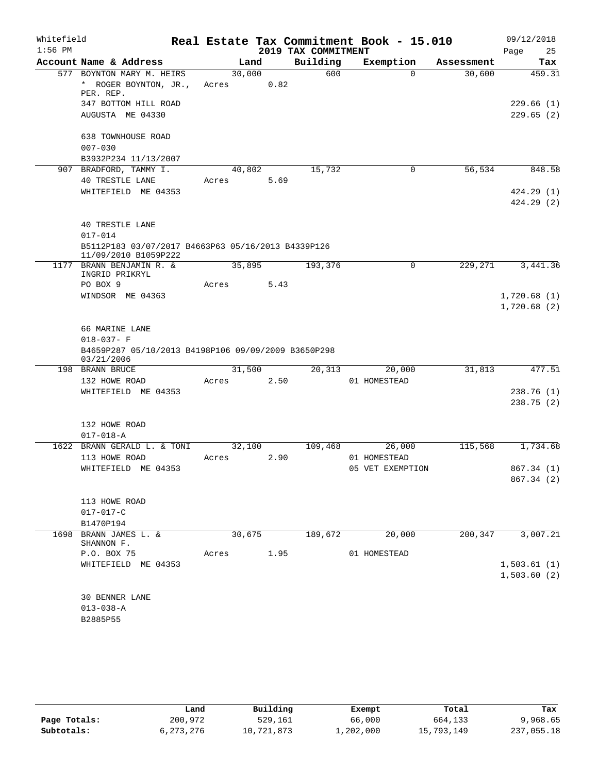| Whitefield |                                                                                                        |                 |      |                     | Real Estate Tax Commitment Book - 15.010 |            | 09/12/2018              |
|------------|--------------------------------------------------------------------------------------------------------|-----------------|------|---------------------|------------------------------------------|------------|-------------------------|
| $1:56$ PM  |                                                                                                        |                 |      | 2019 TAX COMMITMENT |                                          |            | 25<br>Page              |
|            | Account Name & Address                                                                                 | Land            |      | Building            | Exemption                                | Assessment | Tax                     |
|            | 577 BOYNTON MARY M. HEIRS<br>* ROGER BOYNTON, JR.,<br>PER. REP.                                        | 30,000<br>Acres | 0.82 | 600                 | $\Omega$                                 | 30,600     | 459.31                  |
|            | 347 BOTTOM HILL ROAD<br>AUGUSTA ME 04330                                                               |                 |      |                     |                                          |            | 229.66(1)<br>229.65(2)  |
|            | 638 TOWNHOUSE ROAD<br>$007 - 030$<br>B3932P234 11/13/2007                                              |                 |      |                     |                                          |            |                         |
|            | 907 BRADFORD, TAMMY I.                                                                                 | 40,802          |      | 15,732              | 0                                        | 56,534     | 848.58                  |
|            | <b>40 TRESTLE LANE</b>                                                                                 | Acres           | 5.69 |                     |                                          |            |                         |
|            | WHITEFIELD ME 04353                                                                                    |                 |      |                     |                                          |            | 424.29(1)<br>424.29 (2) |
|            | <b>40 TRESTLE LANE</b><br>$017 - 014$                                                                  |                 |      |                     |                                          |            |                         |
|            | B5112P183 03/07/2017 B4663P63 05/16/2013 B4339P126<br>11/09/2010 B1059P222                             |                 |      |                     |                                          |            |                         |
|            | 1177 BRANN BENJAMIN R. &<br>INGRID PRIKRYL<br>PO BOX 9                                                 | 35,895<br>Acres | 5.43 | 193,376             | 0                                        | 229,271    | 3,441.36                |
|            | WINDSOR ME 04363                                                                                       |                 |      |                     |                                          |            | 1,720.68(1)             |
|            |                                                                                                        |                 |      |                     |                                          |            | 1,720.68(2)             |
|            | 66 MARINE LANE<br>$018 - 037 - F$<br>B4659P287 05/10/2013 B4198P106 09/09/2009 B3650P298<br>03/21/2006 |                 |      |                     |                                          |            |                         |
|            | 198 BRANN BRUCE                                                                                        | 31,500          |      | 20,313              | 20,000                                   | 31,813     | 477.51                  |
|            | 132 HOWE ROAD                                                                                          | Acres           | 2.50 |                     | 01 HOMESTEAD                             |            |                         |
|            | WHITEFIELD ME 04353                                                                                    |                 |      |                     |                                          |            | 238.76 (1)<br>238.75(2) |
|            | 132 HOWE ROAD                                                                                          |                 |      |                     |                                          |            |                         |
|            | $017 - 018 - A$                                                                                        |                 |      |                     |                                          |            |                         |
| 1622       | BRANN GERALD L. & TONI<br>113 HOWE ROAD                                                                | 32,100<br>Acres | 2.90 | 109,468             | 26,000<br>01 HOMESTEAD                   | 115,568    | 1,734.68                |
|            | WHITEFIELD ME 04353                                                                                    |                 |      |                     | 05 VET EXEMPTION                         |            | 867.34 (1)              |
|            |                                                                                                        |                 |      |                     |                                          |            | 867.34 (2)              |
|            | 113 HOWE ROAD<br>$017 - 017 - C$                                                                       |                 |      |                     |                                          |            |                         |
|            | B1470P194                                                                                              |                 |      |                     |                                          |            |                         |
| 1698       | BRANN JAMES L. &<br>SHANNON F.                                                                         | 30,675          |      | 189,672             | 20,000                                   | 200,347    | 3,007.21                |
|            | P.O. BOX 75                                                                                            | Acres           | 1.95 |                     | 01 HOMESTEAD                             |            |                         |
|            | WHITEFIELD ME 04353                                                                                    |                 |      |                     |                                          |            | 1,503.61(1)             |
|            |                                                                                                        |                 |      |                     |                                          |            | 1,503.60(2)             |
|            | <b>30 BENNER LANE</b>                                                                                  |                 |      |                     |                                          |            |                         |
|            | $013 - 038 - A$                                                                                        |                 |      |                     |                                          |            |                         |
|            | B2885P55                                                                                               |                 |      |                     |                                          |            |                         |

|              | Land        | Building   | Exempt    | Total      | Tax        |
|--------------|-------------|------------|-----------|------------|------------|
| Page Totals: | 200,972     | 529,161    | 66,000    | 664,133    | 9,968.65   |
| Subtotals:   | 6, 273, 276 | 10,721,873 | 1,202,000 | 15,793,149 | 237,055.18 |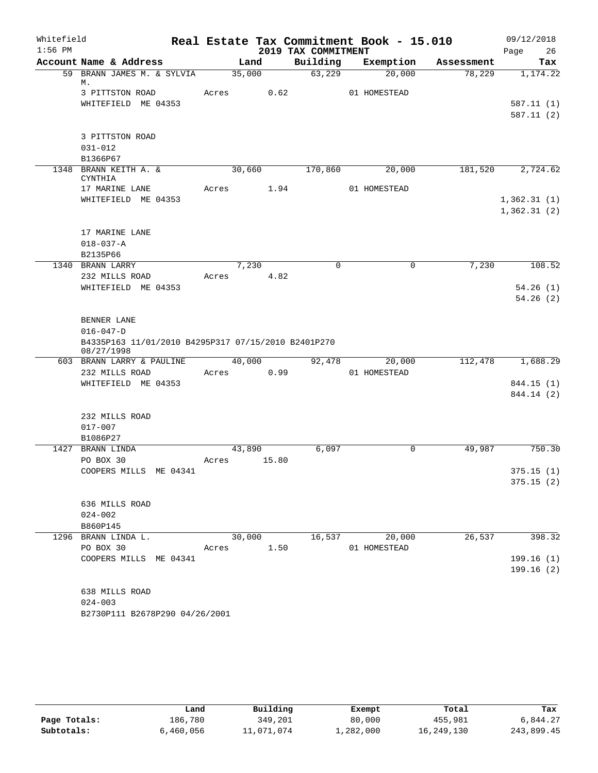| Whitefield<br>$1:56$ PM |                                                      |            |                |                     | Real Estate Tax Commitment Book - 15.010 |            | 09/12/2018                 |
|-------------------------|------------------------------------------------------|------------|----------------|---------------------|------------------------------------------|------------|----------------------------|
|                         |                                                      |            |                | 2019 TAX COMMITMENT |                                          |            | 26<br>Page                 |
|                         | Account Name & Address<br>59 BRANN JAMES M. & SYLVIA |            | Land           | Building            | Exemption                                | Assessment | Tax                        |
|                         | М.                                                   |            | 35,000         | 63,229              | 20,000                                   | 78,229     | 1,174.22                   |
|                         | 3 PITTSTON ROAD                                      | Acres 0.62 |                |                     | 01 HOMESTEAD                             |            |                            |
|                         | WHITEFIELD ME 04353                                  |            |                |                     |                                          |            | 587.11(1)                  |
|                         |                                                      |            |                |                     |                                          |            | 587.11 (2)                 |
|                         |                                                      |            |                |                     |                                          |            |                            |
|                         | 3 PITTSTON ROAD                                      |            |                |                     |                                          |            |                            |
|                         | $031 - 012$                                          |            |                |                     |                                          |            |                            |
|                         | B1366P67                                             |            |                |                     |                                          |            |                            |
|                         | 1348 BRANN KEITH A. &                                |            | 30,660         | 170,860             | 20,000                                   | 181,520    | 2,724.62                   |
|                         | CYNTHIA                                              |            |                |                     |                                          |            |                            |
|                         | 17 MARINE LANE<br>WHITEFIELD ME 04353                | Acres 1.94 |                |                     | 01 HOMESTEAD                             |            |                            |
|                         |                                                      |            |                |                     |                                          |            | 1,362.31(1)<br>1,362.31(2) |
|                         |                                                      |            |                |                     |                                          |            |                            |
|                         | 17 MARINE LANE                                       |            |                |                     |                                          |            |                            |
|                         | $018 - 037 - A$                                      |            |                |                     |                                          |            |                            |
|                         | B2135P66                                             |            |                |                     |                                          |            |                            |
|                         | 1340 BRANN LARRY                                     |            | 7,230          | $\mathbf 0$         | $\mathbf 0$                              | 7,230      | 108.52                     |
|                         | 232 MILLS ROAD                                       | Acres 4.82 |                |                     |                                          |            |                            |
|                         | WHITEFIELD ME 04353                                  |            |                |                     |                                          |            | 54.26(1)                   |
|                         |                                                      |            |                |                     |                                          |            | 54.26(2)                   |
|                         |                                                      |            |                |                     |                                          |            |                            |
|                         | BENNER LANE                                          |            |                |                     |                                          |            |                            |
|                         | $016 - 047 - D$                                      |            |                |                     |                                          |            |                            |
|                         | B4335P163 11/01/2010 B4295P317 07/15/2010 B2401P270  |            |                |                     |                                          |            |                            |
|                         | 08/27/1998<br>603 BRANN LARRY & PAULINE              |            | 40,000         | 92,478              | 20,000                                   | 112,478    | 1,688.29                   |
|                         | 232 MILLS ROAD                                       | Acres 0.99 |                |                     | 01 HOMESTEAD                             |            |                            |
|                         | WHITEFIELD ME 04353                                  |            |                |                     |                                          |            | 844.15 (1)                 |
|                         |                                                      |            |                |                     |                                          |            | 844.14 (2)                 |
|                         |                                                      |            |                |                     |                                          |            |                            |
|                         | 232 MILLS ROAD                                       |            |                |                     |                                          |            |                            |
|                         | $017 - 007$                                          |            |                |                     |                                          |            |                            |
|                         | B1086P27                                             |            |                |                     |                                          |            |                            |
|                         | 1427 BRANN LINDA                                     |            | 43,890         | 6,097               | $\Omega$                                 | 49,987     | 750.30                     |
|                         | PO BOX 30                                            | Acres      | 15.80          |                     |                                          |            |                            |
|                         | COOPERS MILLS ME 04341                               |            |                |                     |                                          |            | 375.15(1)                  |
|                         |                                                      |            |                |                     |                                          |            | 375.15(2)                  |
|                         |                                                      |            |                |                     |                                          |            |                            |
|                         | 636 MILLS ROAD                                       |            |                |                     |                                          |            |                            |
|                         | $024 - 002$                                          |            |                |                     |                                          |            |                            |
|                         | B860P145                                             |            |                |                     |                                          |            |                            |
|                         | 1296 BRANN LINDA L.<br>PO BOX 30                     |            | 30,000<br>1.50 | 16,537              | 20,000                                   | 26,537     | 398.32                     |
|                         | COOPERS MILLS ME 04341                               | Acres      |                |                     | 01 HOMESTEAD                             |            | 199.16(1)                  |
|                         |                                                      |            |                |                     |                                          |            | 199.16(2)                  |
|                         |                                                      |            |                |                     |                                          |            |                            |
|                         | 638 MILLS ROAD                                       |            |                |                     |                                          |            |                            |
|                         | $024 - 003$                                          |            |                |                     |                                          |            |                            |
|                         | B2730P111 B2678P290 04/26/2001                       |            |                |                     |                                          |            |                            |
|                         |                                                      |            |                |                     |                                          |            |                            |

|              | Land      | Building   | Exempt    | Total      | Tax        |
|--------------|-----------|------------|-----------|------------|------------|
| Page Totals: | 186,780   | 349,201    | 80,000    | 455,981    | 6,844.27   |
| Subtotals:   | 6,460,056 | 11,071,074 | ⊥,282,000 | 16,249,130 | 243,899.45 |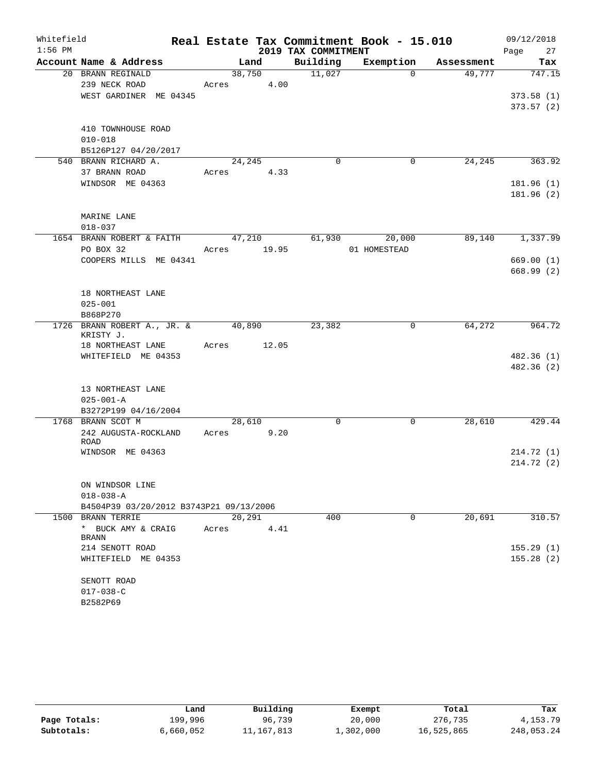| Whitefield |                                                 |                 |        |                     | Real Estate Tax Commitment Book - 15.010 |            | 09/12/2018 |
|------------|-------------------------------------------------|-----------------|--------|---------------------|------------------------------------------|------------|------------|
| $1:56$ PM  |                                                 |                 |        | 2019 TAX COMMITMENT |                                          |            | Page<br>27 |
|            | Account Name & Address                          |                 | Land   | Building            | Exemption                                | Assessment | Tax        |
|            | 20 BRANN REGINALD<br>239 NECK ROAD              | 38,750<br>Acres | 4.00   | 11,027              | $\Omega$                                 | 49,777     | 747.15     |
|            | WEST GARDINER ME 04345                          |                 |        |                     |                                          |            | 373.58(1)  |
|            |                                                 |                 |        |                     |                                          |            | 373.57(2)  |
|            | 410 TOWNHOUSE ROAD                              |                 |        |                     |                                          |            |            |
|            | $010 - 018$                                     |                 |        |                     |                                          |            |            |
|            | B5126P127 04/20/2017                            |                 |        |                     |                                          |            |            |
|            | 540 BRANN RICHARD A.                            | 24,245          |        | $\mathbf 0$         | 0                                        | 24,245     | 363.92     |
|            | 37 BRANN ROAD                                   | Acres           | 4.33   |                     |                                          |            |            |
|            | WINDSOR ME 04363                                |                 |        |                     |                                          |            | 181.96 (1) |
|            |                                                 |                 |        |                     |                                          |            | 181.96 (2) |
|            | MARINE LANE                                     |                 |        |                     |                                          |            |            |
|            | $018 - 037$                                     |                 |        |                     |                                          |            |            |
|            | 1654 BRANN ROBERT & FAITH                       |                 | 47,210 | 61,930              | 20,000                                   | 89,140     | 1,337.99   |
|            | PO BOX 32                                       | Acres 19.95     |        |                     | 01 HOMESTEAD                             |            |            |
|            | COOPERS MILLS ME 04341                          |                 |        |                     |                                          |            | 669.00(1)  |
|            |                                                 |                 |        |                     |                                          |            | 668.99(2)  |
|            |                                                 |                 |        |                     |                                          |            |            |
|            | 18 NORTHEAST LANE                               |                 |        |                     |                                          |            |            |
|            | $025 - 001$                                     |                 |        |                     |                                          |            |            |
|            | B868P270                                        |                 |        |                     |                                          |            |            |
|            | 1726 BRANN ROBERT A., JR. & 40,890<br>KRISTY J. |                 |        | 23,382              | 0                                        | 64,272     | 964.72     |
|            | 18 NORTHEAST LANE                               | Acres           | 12.05  |                     |                                          |            |            |
|            | WHITEFIELD ME 04353                             |                 |        |                     |                                          |            | 482.36 (1) |
|            |                                                 |                 |        |                     |                                          |            | 482.36 (2) |
|            | 13 NORTHEAST LANE                               |                 |        |                     |                                          |            |            |
|            | $025 - 001 - A$                                 |                 |        |                     |                                          |            |            |
|            | B3272P199 04/16/2004                            |                 |        |                     |                                          |            |            |
|            | 1768 BRANN SCOT M                               | 28,610          |        | $\mathbf 0$         | $\mathbf 0$                              | 28,610     | 429.44     |
|            | 242 AUGUSTA-ROCKLAND                            | Acres           | 9.20   |                     |                                          |            |            |
|            | <b>ROAD</b><br>WINDSOR ME 04363                 |                 |        |                     |                                          |            | 214.72 (1) |
|            |                                                 |                 |        |                     |                                          |            | 214.72 (2) |
|            |                                                 |                 |        |                     |                                          |            |            |
|            | ON WINDSOR LINE                                 |                 |        |                     |                                          |            |            |
|            | $018 - 038 - A$                                 |                 |        |                     |                                          |            |            |
|            | B4504P39 03/20/2012 B3743P21 09/13/2006         |                 |        |                     |                                          |            |            |
|            | 1500 BRANN TERRIE                               | 20,291          |        | 400                 | 0                                        | 20,691     | 310.57     |
|            | * BUCK AMY & CRAIG                              | Acres           | 4.41   |                     |                                          |            |            |
|            | <b>BRANN</b>                                    |                 |        |                     |                                          |            |            |
|            | 214 SENOTT ROAD                                 |                 |        |                     |                                          |            | 155.29(1)  |
|            | WHITEFIELD ME 04353                             |                 |        |                     |                                          |            | 155.28(2)  |
|            | SENOTT ROAD                                     |                 |        |                     |                                          |            |            |
|            | $017 - 038 - C$                                 |                 |        |                     |                                          |            |            |
|            | B2582P69                                        |                 |        |                     |                                          |            |            |

|              | Land      | Building   | Exempt    | Total      | Tax        |
|--------------|-----------|------------|-----------|------------|------------|
| Page Totals: | 199,996   | 96,739     | 20,000    | 276,735    | 4,153.79   |
| Subtotals:   | 6,660,052 | 11,167,813 | 1,302,000 | 16,525,865 | 248,053.24 |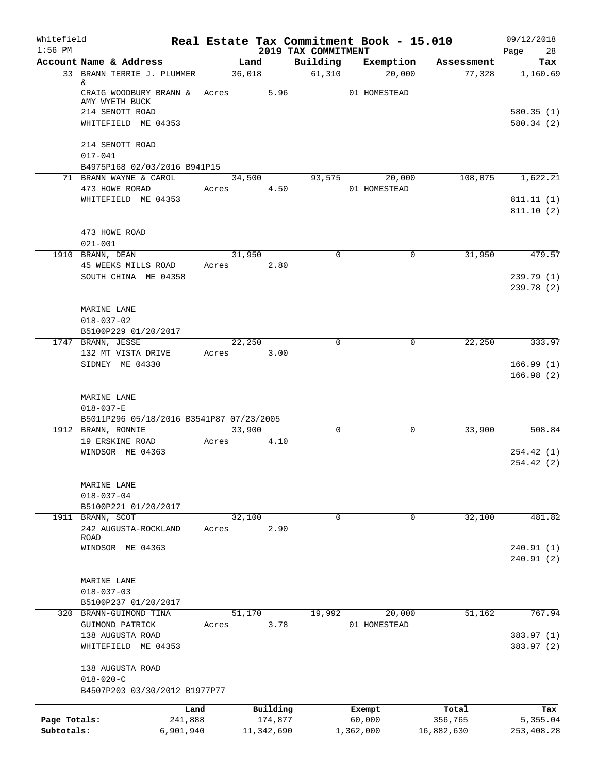| Whitefield<br>$1:56$ PM    |                                                                |        |                       |                                 | Real Estate Tax Commitment Book - 15.010 |                       | 09/12/2018               |
|----------------------------|----------------------------------------------------------------|--------|-----------------------|---------------------------------|------------------------------------------|-----------------------|--------------------------|
|                            | Account Name & Address                                         | Land   |                       | 2019 TAX COMMITMENT<br>Building | Exemption                                | Assessment            | 28<br>Page<br>Tax        |
|                            | 33 BRANN TERRIE J. PLUMMER                                     | 36,018 |                       | 61,310                          | 20,000                                   | 77,328                | 1,160.69                 |
|                            | &<br>CRAIG WOODBURY BRANN & Acres<br>AMY WYETH BUCK            |        | 5.96                  |                                 | 01 HOMESTEAD                             |                       |                          |
|                            | 214 SENOTT ROAD                                                |        |                       |                                 |                                          |                       | 580.35(1)                |
|                            | WHITEFIELD ME 04353                                            |        |                       |                                 |                                          |                       | 580.34(2)                |
|                            | 214 SENOTT ROAD<br>$017 - 041$                                 |        |                       |                                 |                                          |                       |                          |
|                            | B4975P168 02/03/2016 B941P15                                   |        |                       |                                 |                                          |                       |                          |
|                            | 71 BRANN WAYNE & CAROL                                         | 34,500 |                       | 93,575                          | 20,000                                   | 108,075               | 1,622.21                 |
|                            | 473 HOWE RORAD                                                 | Acres  | 4.50                  |                                 | 01 HOMESTEAD                             |                       |                          |
|                            | WHITEFIELD ME 04353                                            |        |                       |                                 |                                          |                       | 811.11(1)<br>811.10(2)   |
|                            | 473 HOWE ROAD<br>$021 - 001$                                   |        |                       |                                 |                                          |                       |                          |
|                            | 1910 BRANN, DEAN                                               | 31,950 |                       | $\mathbf 0$                     | 0                                        | 31,950                | 479.57                   |
|                            | 45 WEEKS MILLS ROAD                                            | Acres  | 2.80                  |                                 |                                          |                       |                          |
|                            | SOUTH CHINA ME 04358                                           |        |                       |                                 |                                          |                       | 239.79(1)<br>239.78 (2)  |
|                            | MARINE LANE                                                    |        |                       |                                 |                                          |                       |                          |
|                            | $018 - 037 - 02$                                               |        |                       |                                 |                                          |                       |                          |
|                            | B5100P229 01/20/2017                                           |        |                       |                                 |                                          |                       |                          |
|                            | 1747 BRANN, JESSE                                              | 22,250 |                       | $\mathbf 0$                     | 0                                        | 22,250                | 333.97                   |
|                            | 132 MT VISTA DRIVE                                             | Acres  | 3.00                  |                                 |                                          |                       |                          |
|                            | SIDNEY ME 04330                                                |        |                       |                                 |                                          |                       | 166.99(1)<br>166.98(2)   |
|                            | MARINE LANE                                                    |        |                       |                                 |                                          |                       |                          |
|                            | $018 - 037 - E$                                                |        |                       |                                 |                                          |                       |                          |
|                            | B5011P296 05/18/2016 B3541P87 07/23/2005<br>1912 BRANN, RONNIE | 33,900 |                       | $\mathbf 0$                     | $\mathbf 0$                              | 33,900                | 508.84                   |
|                            | 19 ERSKINE ROAD                                                | Acres  | 4.10                  |                                 |                                          |                       |                          |
|                            | WINDSOR ME 04363                                               |        |                       |                                 |                                          |                       | 254.42(1)                |
|                            |                                                                |        |                       |                                 |                                          |                       | 254.42(2)                |
|                            | MARINE LANE                                                    |        |                       |                                 |                                          |                       |                          |
|                            | $018 - 037 - 04$                                               |        |                       |                                 |                                          |                       |                          |
|                            | B5100P221 01/20/2017                                           | 32,100 |                       | $\mathbf 0$                     |                                          |                       |                          |
| 1911                       | BRANN, SCOT<br>242 AUGUSTA-ROCKLAND                            | Acres  | 2.90                  |                                 | 0                                        | 32,100                | 481.82                   |
|                            | <b>ROAD</b>                                                    |        |                       |                                 |                                          |                       |                          |
|                            | WINDSOR ME 04363                                               |        |                       |                                 |                                          |                       | 240.91(1)                |
|                            |                                                                |        |                       |                                 |                                          |                       | 240.91(2)                |
|                            | MARINE LANE                                                    |        |                       |                                 |                                          |                       |                          |
|                            | $018 - 037 - 03$                                               |        |                       |                                 |                                          |                       |                          |
|                            | B5100P237 01/20/2017                                           |        |                       |                                 |                                          |                       |                          |
|                            | 320 BRANN-GUIMOND TINA                                         | 51,170 |                       | 19,992                          | 20,000                                   | 51,162                | 767.94                   |
|                            | GUIMOND PATRICK                                                | Acres  | 3.78                  |                                 | 01 HOMESTEAD                             |                       |                          |
|                            | 138 AUGUSTA ROAD<br>WHITEFIELD ME 04353                        |        |                       |                                 |                                          |                       | 383.97 (1)<br>383.97 (2) |
|                            | 138 AUGUSTA ROAD                                               |        |                       |                                 |                                          |                       |                          |
|                            | $018 - 020 - C$<br>B4507P203 03/30/2012 B1977P77               |        |                       |                                 |                                          |                       |                          |
|                            | Land                                                           |        | Building              |                                 | Exempt                                   | Total                 | Tax                      |
| Page Totals:<br>Subtotals: | 241,888<br>6,901,940                                           |        | 174,877<br>11,342,690 |                                 | 60,000<br>1,362,000                      | 356,765<br>16,882,630 | 5,355.04<br>253,408.28   |
|                            |                                                                |        |                       |                                 |                                          |                       |                          |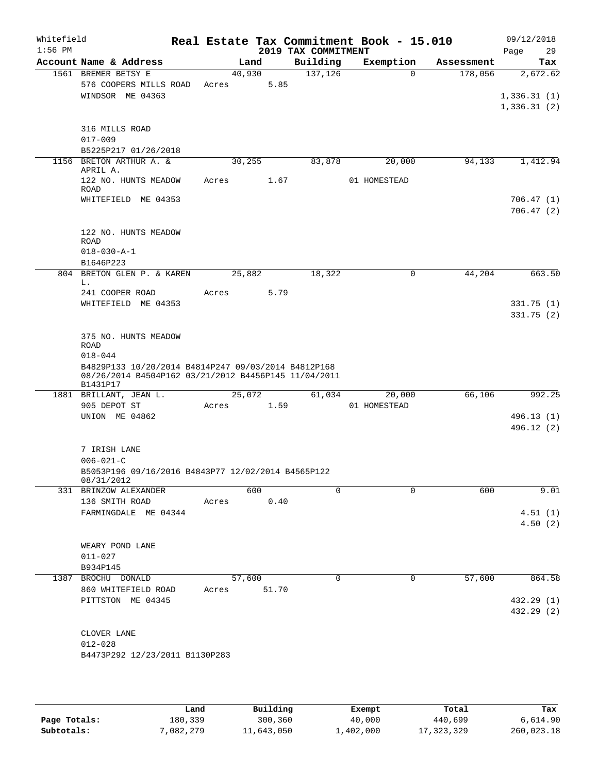| Whitefield<br>$1:56$ PM |                                                                                                                                                                   |       |         |       | 2019 TAX COMMITMENT | Real Estate Tax Commitment Book - 15.010 |            | 09/12/2018<br>29<br>Page               |
|-------------------------|-------------------------------------------------------------------------------------------------------------------------------------------------------------------|-------|---------|-------|---------------------|------------------------------------------|------------|----------------------------------------|
|                         | Account Name & Address                                                                                                                                            |       | Land    |       | Building            | Exemption                                | Assessment | Tax                                    |
|                         | 1561 BREMER BETSY E<br>576 COOPERS MILLS ROAD<br>WINDSOR ME 04363                                                                                                 | Acres | 40,930  | 5.85  | 137, 126            | $\mathbf 0$                              | 178,056    | 2,672.62<br>1,336.31(1)<br>1,336.31(2) |
|                         | 316 MILLS ROAD<br>$017 - 009$<br>B5225P217 01/26/2018                                                                                                             |       |         |       |                     |                                          |            |                                        |
|                         | 1156 BRETON ARTHUR A. &<br>APRIL A.                                                                                                                               |       | 30, 255 |       | 83,878              | 20,000                                   | 94,133     | 1,412.94                               |
|                         | 122 NO. HUNTS MEADOW<br><b>ROAD</b><br>WHITEFIELD ME 04353                                                                                                        | Acres |         | 1.67  |                     | 01 HOMESTEAD                             |            | 706.47(1)<br>706.47(2)                 |
|                         | 122 NO. HUNTS MEADOW<br><b>ROAD</b><br>$018 - 030 - A - 1$                                                                                                        |       |         |       |                     |                                          |            |                                        |
|                         | B1646P223                                                                                                                                                         |       |         |       |                     |                                          |            |                                        |
|                         | 804 BRETON GLEN P. & KAREN<br>L.<br>241 COOPER ROAD                                                                                                               | Acres | 25,882  | 5.79  | 18,322              | $\mathbf 0$                              | 44,204     | 663.50                                 |
|                         | WHITEFIELD ME 04353                                                                                                                                               |       |         |       |                     |                                          |            | 331.75(1)<br>331.75(2)                 |
|                         | 375 NO. HUNTS MEADOW<br><b>ROAD</b><br>$018 - 044$<br>B4829P133 10/20/2014 B4814P247 09/03/2014 B4812P168<br>08/26/2014 B4504P162 03/21/2012 B4456P145 11/04/2011 |       |         |       |                     |                                          |            |                                        |
|                         | B1431P17<br>1881 BRILLANT, JEAN L.<br>905 DEPOT ST<br>UNION ME 04862                                                                                              | Acres | 25,072  | 1.59  | 61,034              | 20,000<br>01 HOMESTEAD                   | 66,106     | 992.25<br>496.13 (1)                   |
|                         | 7 IRISH LANE<br>$006 - 021 - C$<br>B5053P196 09/16/2016 B4843P77 12/02/2014 B4565P122<br>08/31/2012                                                               |       |         |       |                     |                                          |            | 496.12 (2)                             |
|                         | 331 BRINZOW ALEXANDER                                                                                                                                             |       | 600     | 0.40  | $\Omega$            | $\Omega$                                 | 600        | 9.01                                   |
|                         | 136 SMITH ROAD<br>FARMINGDALE ME 04344                                                                                                                            | Acres |         |       |                     |                                          |            | 4.51(1)<br>4.50(2)                     |
|                         | WEARY POND LANE<br>$011 - 027$<br>B934P145                                                                                                                        |       |         |       |                     |                                          |            |                                        |
|                         | 1387 BROCHU DONALD<br>860 WHITEFIELD ROAD<br>PITTSTON ME 04345                                                                                                    | Acres | 57,600  | 51.70 | $\mathbf 0$         | 0                                        | 57,600     | 864.58<br>432.29 (1)<br>432.29 (2)     |
|                         | CLOVER LANE<br>$012 - 028$<br>B4473P292 12/23/2011 B1130P283                                                                                                      |       |         |       |                     |                                          |            |                                        |

|              | Land      | Building   | Exempt    | Total      | Tax        |
|--------------|-----------|------------|-----------|------------|------------|
| Page Totals: | 180.339   | 300,360    | 40,000    | 440,699    | 6,614.90   |
| Subtotals:   | 7,082,279 | 11,643,050 | 1,402,000 | 17,323,329 | 260,023.18 |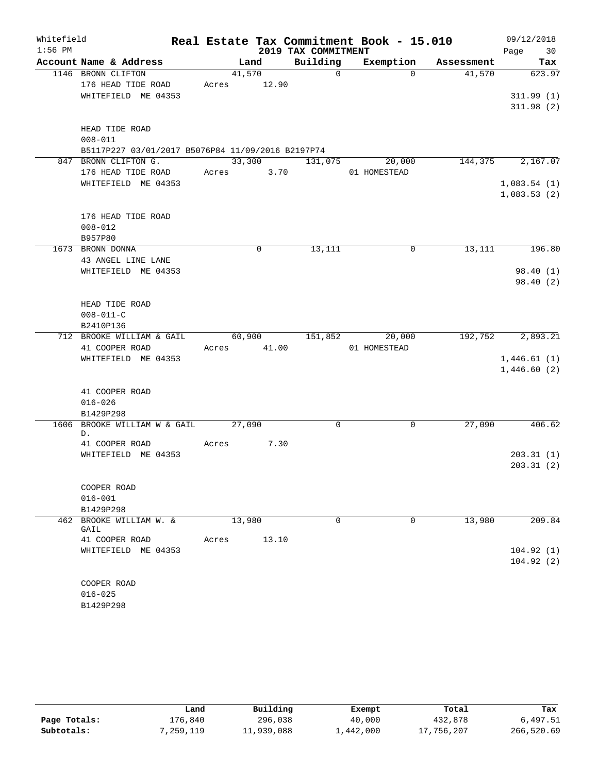| Whitefield |                                                   |        |             |                     | Real Estate Tax Commitment Book - 15.010 |            | 09/12/2018           |
|------------|---------------------------------------------------|--------|-------------|---------------------|------------------------------------------|------------|----------------------|
| $1:56$ PM  |                                                   |        |             | 2019 TAX COMMITMENT |                                          |            | Page<br>30           |
|            | Account Name & Address                            |        | Land        | Building            | Exemption                                | Assessment | Tax                  |
|            | 1146 BRONN CLIFTON                                | 41,570 |             | $\mathbf 0$         | $\Omega$                                 | 41,570     | 623.97               |
|            | 176 HEAD TIDE ROAD                                | Acres  | 12.90       |                     |                                          |            |                      |
|            | WHITEFIELD ME 04353                               |        |             |                     |                                          |            | 311.99(1)            |
|            |                                                   |        |             |                     |                                          |            | 311.98(2)            |
|            | HEAD TIDE ROAD                                    |        |             |                     |                                          |            |                      |
|            | $008 - 011$                                       |        |             |                     |                                          |            |                      |
|            | B5117P227 03/01/2017 B5076P84 11/09/2016 B2197P74 |        |             |                     |                                          |            |                      |
|            | 847 BRONN CLIFTON G.                              | 33,300 |             | 131,075             | 20,000                                   | 144,375    | 2,167.07             |
|            | 176 HEAD TIDE ROAD                                | Acres  | 3.70        |                     | 01 HOMESTEAD                             |            |                      |
|            | WHITEFIELD ME 04353                               |        |             |                     |                                          |            | 1,083.54(1)          |
|            |                                                   |        |             |                     |                                          |            | 1,083.53(2)          |
|            |                                                   |        |             |                     |                                          |            |                      |
|            | 176 HEAD TIDE ROAD                                |        |             |                     |                                          |            |                      |
|            | $008 - 012$                                       |        |             |                     |                                          |            |                      |
|            | B957P80                                           |        |             |                     |                                          |            |                      |
|            | 1673 BRONN DONNA                                  |        | $\mathbf 0$ | 13,111              | 0                                        | 13,111     | 196.80               |
|            | 43 ANGEL LINE LANE                                |        |             |                     |                                          |            |                      |
|            | WHITEFIELD ME 04353                               |        |             |                     |                                          |            | 98.40(1)<br>98.40(2) |
|            |                                                   |        |             |                     |                                          |            |                      |
|            | HEAD TIDE ROAD                                    |        |             |                     |                                          |            |                      |
|            | $008 - 011 - C$                                   |        |             |                     |                                          |            |                      |
|            | B2410P136                                         |        |             |                     |                                          |            |                      |
|            | 712 BROOKE WILLIAM & GAIL                         | 60,900 |             | 151,852             | 20,000                                   | 192,752    | 2,893.21             |
|            | 41 COOPER ROAD                                    | Acres  | 41.00       |                     | 01 HOMESTEAD                             |            |                      |
|            | WHITEFIELD ME 04353                               |        |             |                     |                                          |            | 1,446.61(1)          |
|            |                                                   |        |             |                     |                                          |            | 1,446.60(2)          |
|            |                                                   |        |             |                     |                                          |            |                      |
|            | 41 COOPER ROAD                                    |        |             |                     |                                          |            |                      |
|            | $016 - 026$                                       |        |             |                     |                                          |            |                      |
| 1606       | B1429P298<br>BROOKE WILLIAM W & GAIL              | 27,090 |             | 0                   | 0                                        | 27,090     | 406.62               |
|            | D.                                                |        |             |                     |                                          |            |                      |
|            | 41 COOPER ROAD                                    | Acres  | 7.30        |                     |                                          |            |                      |
|            | WHITEFIELD ME 04353                               |        |             |                     |                                          |            | 203.31(1)            |
|            |                                                   |        |             |                     |                                          |            | 203.31(2)            |
|            |                                                   |        |             |                     |                                          |            |                      |
|            | COOPER ROAD                                       |        |             |                     |                                          |            |                      |
|            | $016 - 001$                                       |        |             |                     |                                          |            |                      |
|            | B1429P298                                         |        |             |                     |                                          |            |                      |
|            | 462 BROOKE WILLIAM W. &<br>GAIL                   | 13,980 |             | $\Omega$            | $\Omega$                                 | 13,980     | 209.84               |
|            | 41 COOPER ROAD                                    | Acres  | 13.10       |                     |                                          |            |                      |
|            | WHITEFIELD ME 04353                               |        |             |                     |                                          |            | 104.92(1)            |
|            |                                                   |        |             |                     |                                          |            | 104.92(2)            |
|            |                                                   |        |             |                     |                                          |            |                      |
|            | COOPER ROAD                                       |        |             |                     |                                          |            |                      |
|            | $016 - 025$                                       |        |             |                     |                                          |            |                      |
|            | B1429P298                                         |        |             |                     |                                          |            |                      |

|              | Land      | Building   | Exempt    | Total      | Tax        |
|--------------|-----------|------------|-----------|------------|------------|
| Page Totals: | 176,840   | 296,038    | 40,000    | 432,878    | 6,497.51   |
| Subtotals:   | 7,259,119 | 11,939,088 | 1,442,000 | 17,756,207 | 266,520.69 |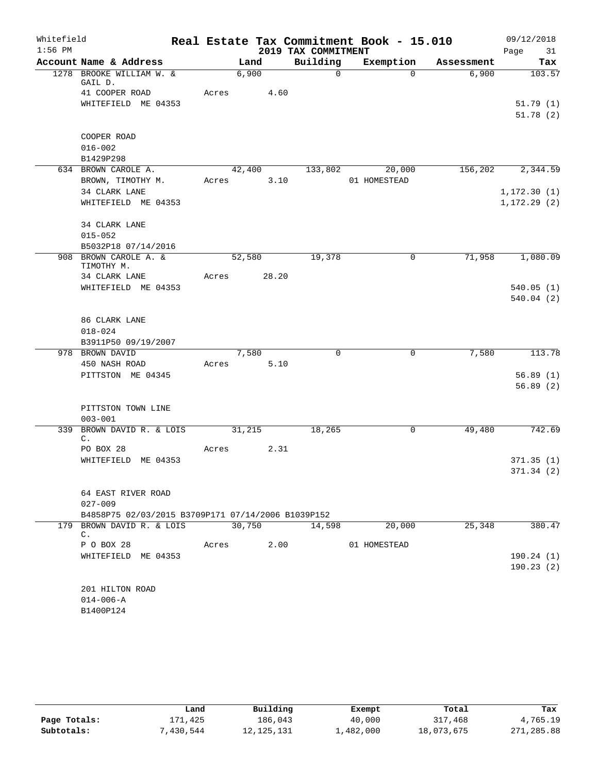| 2019 TAX COMMITMENT<br>Page<br>31<br>Building<br>Account Name & Address<br>Exemption<br>Land<br>Assessment<br>Tax<br>1278 BROOKE WILLIAM W. &<br>6,900<br>$\Omega$<br>$\Omega$<br>6,900<br>GAIL D.<br>41 COOPER ROAD<br>Acres<br>4.60<br>WHITEFIELD ME 04353<br>COOPER ROAD<br>$016 - 002$<br>B1429P298<br>42,400<br>133,802<br>20,000<br>156,202<br>634 BROWN CAROLE A.<br>BROWN, TIMOTHY M.<br>3.10<br>01 HOMESTEAD<br>Acres<br>34 CLARK LANE<br>WHITEFIELD ME 04353<br>34 CLARK LANE<br>$015 - 052$<br>B5032P18 07/14/2016<br>908 BROWN CAROLE A. &<br>52,580<br>19,378<br>0<br>71,958<br>TIMOTHY M.<br>34 CLARK LANE<br>28.20<br>Acres<br>WHITEFIELD ME 04353<br>86 CLARK LANE<br>$018 - 024$<br>B3911P50 09/19/2007<br>978 BROWN DAVID<br>7,580<br>0<br>0<br>7,580<br>450 NASH ROAD<br>5.10<br>Acres<br>PITTSTON ME 04345<br>PITTSTON TOWN LINE<br>$003 - 001$<br>31,215<br>18,265<br>49,480<br>339<br>BROWN DAVID R. & LOIS<br>0<br>$\mathsf{C}$ .<br>2.31<br>PO BOX 28<br>Acres<br>WHITEFIELD ME 04353<br>64 EAST RIVER ROAD<br>$027 - 009$<br>B4858P75 02/03/2015 B3709P171 07/14/2006 B1039P152<br>179 BROWN DAVID R. & LOIS<br>30,750<br>14,598<br>20,000<br>25,348<br>C.<br>P O BOX 28<br>2.00<br>01 HOMESTEAD<br>Acres<br>WHITEFIELD ME 04353<br>201 HILTON ROAD<br>$014 - 006 - A$<br>B1400P124 | Whitefield |  |  | Real Estate Tax Commitment Book - 15.010 | 09/12/2018 |
|--------------------------------------------------------------------------------------------------------------------------------------------------------------------------------------------------------------------------------------------------------------------------------------------------------------------------------------------------------------------------------------------------------------------------------------------------------------------------------------------------------------------------------------------------------------------------------------------------------------------------------------------------------------------------------------------------------------------------------------------------------------------------------------------------------------------------------------------------------------------------------------------------------------------------------------------------------------------------------------------------------------------------------------------------------------------------------------------------------------------------------------------------------------------------------------------------------------------------------------------------------------------------------------------------------------|------------|--|--|------------------------------------------|------------|
|                                                                                                                                                                                                                                                                                                                                                                                                                                                                                                                                                                                                                                                                                                                                                                                                                                                                                                                                                                                                                                                                                                                                                                                                                                                                                                              | $1:56$ PM  |  |  |                                          |            |
|                                                                                                                                                                                                                                                                                                                                                                                                                                                                                                                                                                                                                                                                                                                                                                                                                                                                                                                                                                                                                                                                                                                                                                                                                                                                                                              |            |  |  |                                          |            |
| 51.79(1)<br>51.78(2)<br>1,080.09<br>113.78                                                                                                                                                                                                                                                                                                                                                                                                                                                                                                                                                                                                                                                                                                                                                                                                                                                                                                                                                                                                                                                                                                                                                                                                                                                                   |            |  |  |                                          | 103.57     |
|                                                                                                                                                                                                                                                                                                                                                                                                                                                                                                                                                                                                                                                                                                                                                                                                                                                                                                                                                                                                                                                                                                                                                                                                                                                                                                              |            |  |  |                                          |            |
|                                                                                                                                                                                                                                                                                                                                                                                                                                                                                                                                                                                                                                                                                                                                                                                                                                                                                                                                                                                                                                                                                                                                                                                                                                                                                                              |            |  |  |                                          |            |
|                                                                                                                                                                                                                                                                                                                                                                                                                                                                                                                                                                                                                                                                                                                                                                                                                                                                                                                                                                                                                                                                                                                                                                                                                                                                                                              |            |  |  |                                          |            |
|                                                                                                                                                                                                                                                                                                                                                                                                                                                                                                                                                                                                                                                                                                                                                                                                                                                                                                                                                                                                                                                                                                                                                                                                                                                                                                              |            |  |  |                                          |            |
| 2,344.59<br>1, 172.30(1)<br>1, 172.29(2)<br>540.05(1)<br>540.04(2)<br>56.89(1)<br>56.89(2)<br>742.69<br>371.35(1)                                                                                                                                                                                                                                                                                                                                                                                                                                                                                                                                                                                                                                                                                                                                                                                                                                                                                                                                                                                                                                                                                                                                                                                            |            |  |  |                                          |            |
|                                                                                                                                                                                                                                                                                                                                                                                                                                                                                                                                                                                                                                                                                                                                                                                                                                                                                                                                                                                                                                                                                                                                                                                                                                                                                                              |            |  |  |                                          |            |
|                                                                                                                                                                                                                                                                                                                                                                                                                                                                                                                                                                                                                                                                                                                                                                                                                                                                                                                                                                                                                                                                                                                                                                                                                                                                                                              |            |  |  |                                          |            |
|                                                                                                                                                                                                                                                                                                                                                                                                                                                                                                                                                                                                                                                                                                                                                                                                                                                                                                                                                                                                                                                                                                                                                                                                                                                                                                              |            |  |  |                                          |            |
|                                                                                                                                                                                                                                                                                                                                                                                                                                                                                                                                                                                                                                                                                                                                                                                                                                                                                                                                                                                                                                                                                                                                                                                                                                                                                                              |            |  |  |                                          |            |
|                                                                                                                                                                                                                                                                                                                                                                                                                                                                                                                                                                                                                                                                                                                                                                                                                                                                                                                                                                                                                                                                                                                                                                                                                                                                                                              |            |  |  |                                          |            |
|                                                                                                                                                                                                                                                                                                                                                                                                                                                                                                                                                                                                                                                                                                                                                                                                                                                                                                                                                                                                                                                                                                                                                                                                                                                                                                              |            |  |  |                                          |            |
|                                                                                                                                                                                                                                                                                                                                                                                                                                                                                                                                                                                                                                                                                                                                                                                                                                                                                                                                                                                                                                                                                                                                                                                                                                                                                                              |            |  |  |                                          |            |
|                                                                                                                                                                                                                                                                                                                                                                                                                                                                                                                                                                                                                                                                                                                                                                                                                                                                                                                                                                                                                                                                                                                                                                                                                                                                                                              |            |  |  |                                          |            |
|                                                                                                                                                                                                                                                                                                                                                                                                                                                                                                                                                                                                                                                                                                                                                                                                                                                                                                                                                                                                                                                                                                                                                                                                                                                                                                              |            |  |  |                                          |            |
|                                                                                                                                                                                                                                                                                                                                                                                                                                                                                                                                                                                                                                                                                                                                                                                                                                                                                                                                                                                                                                                                                                                                                                                                                                                                                                              |            |  |  |                                          |            |
|                                                                                                                                                                                                                                                                                                                                                                                                                                                                                                                                                                                                                                                                                                                                                                                                                                                                                                                                                                                                                                                                                                                                                                                                                                                                                                              |            |  |  |                                          |            |
|                                                                                                                                                                                                                                                                                                                                                                                                                                                                                                                                                                                                                                                                                                                                                                                                                                                                                                                                                                                                                                                                                                                                                                                                                                                                                                              |            |  |  |                                          |            |
|                                                                                                                                                                                                                                                                                                                                                                                                                                                                                                                                                                                                                                                                                                                                                                                                                                                                                                                                                                                                                                                                                                                                                                                                                                                                                                              |            |  |  |                                          |            |
|                                                                                                                                                                                                                                                                                                                                                                                                                                                                                                                                                                                                                                                                                                                                                                                                                                                                                                                                                                                                                                                                                                                                                                                                                                                                                                              |            |  |  |                                          |            |
|                                                                                                                                                                                                                                                                                                                                                                                                                                                                                                                                                                                                                                                                                                                                                                                                                                                                                                                                                                                                                                                                                                                                                                                                                                                                                                              |            |  |  |                                          |            |
|                                                                                                                                                                                                                                                                                                                                                                                                                                                                                                                                                                                                                                                                                                                                                                                                                                                                                                                                                                                                                                                                                                                                                                                                                                                                                                              |            |  |  |                                          |            |
|                                                                                                                                                                                                                                                                                                                                                                                                                                                                                                                                                                                                                                                                                                                                                                                                                                                                                                                                                                                                                                                                                                                                                                                                                                                                                                              |            |  |  |                                          |            |
|                                                                                                                                                                                                                                                                                                                                                                                                                                                                                                                                                                                                                                                                                                                                                                                                                                                                                                                                                                                                                                                                                                                                                                                                                                                                                                              |            |  |  |                                          |            |
|                                                                                                                                                                                                                                                                                                                                                                                                                                                                                                                                                                                                                                                                                                                                                                                                                                                                                                                                                                                                                                                                                                                                                                                                                                                                                                              |            |  |  |                                          |            |
|                                                                                                                                                                                                                                                                                                                                                                                                                                                                                                                                                                                                                                                                                                                                                                                                                                                                                                                                                                                                                                                                                                                                                                                                                                                                                                              |            |  |  |                                          |            |
| 371.34(2)<br>380.47<br>190.24(1)<br>190.23(2)                                                                                                                                                                                                                                                                                                                                                                                                                                                                                                                                                                                                                                                                                                                                                                                                                                                                                                                                                                                                                                                                                                                                                                                                                                                                |            |  |  |                                          |            |
|                                                                                                                                                                                                                                                                                                                                                                                                                                                                                                                                                                                                                                                                                                                                                                                                                                                                                                                                                                                                                                                                                                                                                                                                                                                                                                              |            |  |  |                                          |            |
|                                                                                                                                                                                                                                                                                                                                                                                                                                                                                                                                                                                                                                                                                                                                                                                                                                                                                                                                                                                                                                                                                                                                                                                                                                                                                                              |            |  |  |                                          |            |
|                                                                                                                                                                                                                                                                                                                                                                                                                                                                                                                                                                                                                                                                                                                                                                                                                                                                                                                                                                                                                                                                                                                                                                                                                                                                                                              |            |  |  |                                          |            |
|                                                                                                                                                                                                                                                                                                                                                                                                                                                                                                                                                                                                                                                                                                                                                                                                                                                                                                                                                                                                                                                                                                                                                                                                                                                                                                              |            |  |  |                                          |            |
|                                                                                                                                                                                                                                                                                                                                                                                                                                                                                                                                                                                                                                                                                                                                                                                                                                                                                                                                                                                                                                                                                                                                                                                                                                                                                                              |            |  |  |                                          |            |
|                                                                                                                                                                                                                                                                                                                                                                                                                                                                                                                                                                                                                                                                                                                                                                                                                                                                                                                                                                                                                                                                                                                                                                                                                                                                                                              |            |  |  |                                          |            |
|                                                                                                                                                                                                                                                                                                                                                                                                                                                                                                                                                                                                                                                                                                                                                                                                                                                                                                                                                                                                                                                                                                                                                                                                                                                                                                              |            |  |  |                                          |            |
|                                                                                                                                                                                                                                                                                                                                                                                                                                                                                                                                                                                                                                                                                                                                                                                                                                                                                                                                                                                                                                                                                                                                                                                                                                                                                                              |            |  |  |                                          |            |
|                                                                                                                                                                                                                                                                                                                                                                                                                                                                                                                                                                                                                                                                                                                                                                                                                                                                                                                                                                                                                                                                                                                                                                                                                                                                                                              |            |  |  |                                          |            |
|                                                                                                                                                                                                                                                                                                                                                                                                                                                                                                                                                                                                                                                                                                                                                                                                                                                                                                                                                                                                                                                                                                                                                                                                                                                                                                              |            |  |  |                                          |            |
|                                                                                                                                                                                                                                                                                                                                                                                                                                                                                                                                                                                                                                                                                                                                                                                                                                                                                                                                                                                                                                                                                                                                                                                                                                                                                                              |            |  |  |                                          |            |
|                                                                                                                                                                                                                                                                                                                                                                                                                                                                                                                                                                                                                                                                                                                                                                                                                                                                                                                                                                                                                                                                                                                                                                                                                                                                                                              |            |  |  |                                          |            |

|              | Land     | Building     | Exempt    | Total      | Tax        |
|--------------|----------|--------------|-----------|------------|------------|
| Page Totals: | 171,425  | 186,043      | 40,000    | 317,468    | 4,765.19   |
| Subtotals:   | 430,544" | 12, 125, 131 | ⊥,482,000 | 18,073,675 | 271,285.88 |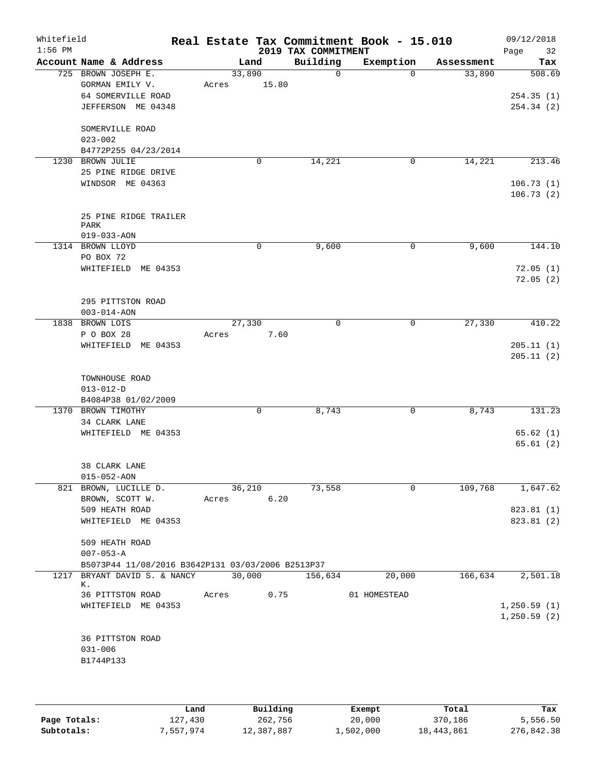| Whitefield<br>$1:56$ PM |                                                   |            |        | 2019 TAX COMMITMENT | Real Estate Tax Commitment Book - 15.010 |            | 09/12/2018<br>32<br>Page |
|-------------------------|---------------------------------------------------|------------|--------|---------------------|------------------------------------------|------------|--------------------------|
|                         | Account Name & Address                            |            | Land   | Building            | Exemption                                | Assessment | Tax                      |
|                         | 725 BROWN JOSEPH E.                               |            | 33,890 | 0                   | $\Omega$                                 | 33,890     | 508.69                   |
|                         | GORMAN EMILY V.                                   | Acres      | 15.80  |                     |                                          |            |                          |
|                         | 64 SOMERVILLE ROAD                                |            |        |                     |                                          |            | 254.35(1)                |
|                         | JEFFERSON ME 04348                                |            |        |                     |                                          |            | 254.34 (2)               |
|                         | SOMERVILLE ROAD                                   |            |        |                     |                                          |            |                          |
|                         | $023 - 002$                                       |            |        |                     |                                          |            |                          |
|                         | B4772P255 04/23/2014                              |            |        |                     |                                          |            |                          |
|                         | 1230 BROWN JULIE                                  |            | 0      | 14,221              | 0                                        | 14,221     | 213.46                   |
|                         | 25 PINE RIDGE DRIVE                               |            |        |                     |                                          |            |                          |
|                         | WINDSOR ME 04363                                  |            |        |                     |                                          |            | 106.73(1)                |
|                         |                                                   |            |        |                     |                                          |            | 106.73(2)                |
|                         |                                                   |            |        |                     |                                          |            |                          |
|                         | 25 PINE RIDGE TRAILER<br>PARK                     |            |        |                     |                                          |            |                          |
|                         | $019 - 033 - AON$                                 |            |        |                     |                                          |            |                          |
|                         | 1314 BROWN LLOYD                                  |            | 0      | 9,600               | 0                                        | 9,600      | 144.10                   |
|                         | PO BOX 72                                         |            |        |                     |                                          |            |                          |
|                         | WHITEFIELD ME 04353                               |            |        |                     |                                          |            | 72.05(1)                 |
|                         |                                                   |            |        |                     |                                          |            | 72.05(2)                 |
|                         |                                                   |            |        |                     |                                          |            |                          |
|                         | 295 PITTSTON ROAD                                 |            |        |                     |                                          |            |                          |
|                         | $003 - 014 - AON$                                 |            |        |                     |                                          |            |                          |
|                         | 1838 BROWN LOIS<br>P O BOX 28                     |            | 27,330 | $\Omega$            | 0                                        | 27,330     | 410.22                   |
|                         | WHITEFIELD ME 04353                               | Acres      |        | 7.60                |                                          |            | 205.11(1)                |
|                         |                                                   |            |        |                     |                                          |            | 205.11(2)                |
|                         | TOWNHOUSE ROAD                                    |            |        |                     |                                          |            |                          |
|                         | $013 - 012 - D$                                   |            |        |                     |                                          |            |                          |
|                         | B4084P38 01/02/2009                               |            |        |                     |                                          |            |                          |
|                         | 1370 BROWN TIMOTHY                                |            | 0      | 8,743               | 0                                        | 8,743      | 131.23                   |
|                         | 34 CLARK LANE                                     |            |        |                     |                                          |            |                          |
|                         | WHITEFIELD ME 04353                               |            |        |                     |                                          |            | 65.62(1)                 |
|                         |                                                   |            |        |                     |                                          |            | 65.61(2)                 |
|                         |                                                   |            |        |                     |                                          |            |                          |
|                         | 38 CLARK LANE                                     |            |        |                     |                                          |            |                          |
|                         | $015 - 052 - AON$<br>821 BROWN, LUCILLE D.        |            | 36,210 | 73,558              | $\mathbf 0$                              | 109,768    | 1,647.62                 |
|                         | BROWN, SCOTT W.                                   | Acres 6.20 |        |                     |                                          |            |                          |
|                         | 509 HEATH ROAD                                    |            |        |                     |                                          |            | 823.81 (1)               |
|                         | WHITEFIELD ME 04353                               |            |        |                     |                                          |            | 823.81 (2)               |
|                         |                                                   |            |        |                     |                                          |            |                          |
|                         | 509 HEATH ROAD                                    |            |        |                     |                                          |            |                          |
|                         | $007 - 053 - A$                                   |            |        |                     |                                          |            |                          |
|                         | B5073P44 11/08/2016 B3642P131 03/03/2006 B2513P37 |            |        |                     |                                          |            |                          |
| 1217                    | BRYANT DAVID S. & NANCY<br>К.                     |            | 30,000 | 156,634             | 20,000                                   | 166,634    | 2,501.18                 |
|                         | 36 PITTSTON ROAD                                  | Acres      |        | 0.75                | 01 HOMESTEAD                             |            |                          |
|                         | WHITEFIELD ME 04353                               |            |        |                     |                                          |            | 1,250.59(1)              |
|                         |                                                   |            |        |                     |                                          |            | 1,250.59(2)              |
|                         |                                                   |            |        |                     |                                          |            |                          |
|                         | 36 PITTSTON ROAD                                  |            |        |                     |                                          |            |                          |
|                         | $031 - 006$                                       |            |        |                     |                                          |            |                          |
|                         | B1744P133                                         |            |        |                     |                                          |            |                          |
|                         |                                                   |            |        |                     |                                          |            |                          |

|              | Land      | Building   | Exempt    | Total      | Tax        |
|--------------|-----------|------------|-----------|------------|------------|
| Page Totals: | 127,430   | 262,756    | 20,000    | 370,186    | 5,556.50   |
| Subtotals:   | 7,557,974 | 12,387,887 | 1,502,000 | 18,443,861 | 276,842.38 |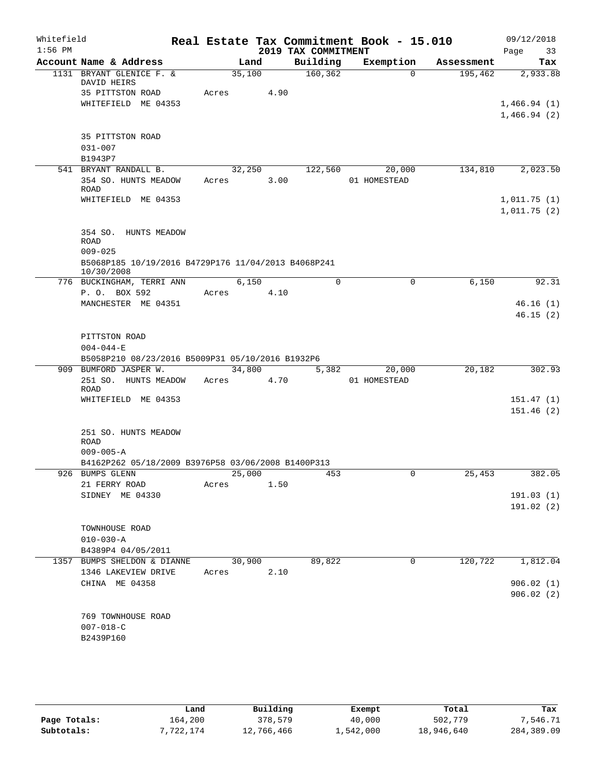| Whitefield |                                                                       |       |        |                     | Real Estate Tax Commitment Book - 15.010 |            | 09/12/2018                 |
|------------|-----------------------------------------------------------------------|-------|--------|---------------------|------------------------------------------|------------|----------------------------|
| $1:56$ PM  |                                                                       |       |        | 2019 TAX COMMITMENT |                                          |            | 33<br>Page                 |
|            | Account Name & Address                                                |       | Land   | Building            | Exemption                                | Assessment | Tax                        |
|            | 1131 BRYANT GLENICE F. &<br>DAVID HEIRS                               |       | 35,100 | 160, 362            | $\Omega$                                 | 195,462    | 2,933.88                   |
|            | 35 PITTSTON ROAD                                                      | Acres | 4.90   |                     |                                          |            |                            |
|            | WHITEFIELD ME 04353                                                   |       |        |                     |                                          |            | 1,466.94(1)                |
|            |                                                                       |       |        |                     |                                          |            | 1,466.94(2)                |
|            |                                                                       |       |        |                     |                                          |            |                            |
|            | 35 PITTSTON ROAD<br>$031 - 007$                                       |       |        |                     |                                          |            |                            |
|            | B1943P7                                                               |       |        |                     |                                          |            |                            |
|            | 541 BRYANT RANDALL B.                                                 |       | 32,250 | 122,560             | 20,000                                   | 134,810    | 2,023.50                   |
|            | 354 SO. HUNTS MEADOW                                                  | Acres | 3.00   |                     | 01 HOMESTEAD                             |            |                            |
|            | ROAD                                                                  |       |        |                     |                                          |            |                            |
|            | WHITEFIELD ME 04353                                                   |       |        |                     |                                          |            | 1,011.75(1)<br>1,011.75(2) |
|            |                                                                       |       |        |                     |                                          |            |                            |
|            | 354 SO. HUNTS MEADOW                                                  |       |        |                     |                                          |            |                            |
|            | <b>ROAD</b>                                                           |       |        |                     |                                          |            |                            |
|            | $009 - 025$                                                           |       |        |                     |                                          |            |                            |
|            | B5068P185 10/19/2016 B4729P176 11/04/2013 B4068P241<br>10/30/2008     |       |        |                     |                                          |            |                            |
|            | 776 BUCKINGHAM, TERRI ANN                                             |       | 6,150  | 0                   | $\mathbf 0$                              | 6,150      | 92.31                      |
|            | P. O. BOX 592                                                         | Acres | 4.10   |                     |                                          |            |                            |
|            | MANCHESTER ME 04351                                                   |       |        |                     |                                          |            | 46.16(1)                   |
|            |                                                                       |       |        |                     |                                          |            | 46.15(2)                   |
|            |                                                                       |       |        |                     |                                          |            |                            |
|            | PITTSTON ROAD<br>$004 - 044 - E$                                      |       |        |                     |                                          |            |                            |
|            | B5058P210 08/23/2016 B5009P31 05/10/2016 B1932P6                      |       |        |                     |                                          |            |                            |
|            | 909 BUMFORD JASPER W.                                                 |       | 34,800 | 5,382               | 20,000                                   | 20,182     | 302.93                     |
|            | 251 SO. HUNTS MEADOW Acres                                            |       | 4.70   |                     | 01 HOMESTEAD                             |            |                            |
|            | <b>ROAD</b><br>WHITEFIELD ME 04353                                    |       |        |                     |                                          |            | 151.47(1)                  |
|            |                                                                       |       |        |                     |                                          |            | 151.46(2)                  |
|            |                                                                       |       |        |                     |                                          |            |                            |
|            | 251 SO. HUNTS MEADOW                                                  |       |        |                     |                                          |            |                            |
|            | ROAD                                                                  |       |        |                     |                                          |            |                            |
|            | $009 - 005 - A$<br>B4162P262 05/18/2009 B3976P58 03/06/2008 B1400P313 |       |        |                     |                                          |            |                            |
|            | 926 BUMPS GLENN                                                       |       | 25,000 | 453                 |                                          | 25,453     | 382.05                     |
|            | 21 FERRY ROAD                                                         | Acres | 1.50   |                     |                                          |            |                            |
|            | SIDNEY ME 04330                                                       |       |        |                     |                                          |            | 191.03(1)                  |
|            |                                                                       |       |        |                     |                                          |            | 191.02(2)                  |
|            |                                                                       |       |        |                     |                                          |            |                            |
|            | TOWNHOUSE ROAD<br>$010 - 030 - A$                                     |       |        |                     |                                          |            |                            |
|            | B4389P4 04/05/2011                                                    |       |        |                     |                                          |            |                            |
|            | 1357 BUMPS SHELDON & DIANNE                                           |       | 30,900 | 89,822              | $\mathbf 0$                              | 120,722    | 1,812.04                   |
|            | 1346 LAKEVIEW DRIVE                                                   | Acres | 2.10   |                     |                                          |            |                            |
|            | CHINA ME 04358                                                        |       |        |                     |                                          |            | 906.02(1)                  |
|            |                                                                       |       |        |                     |                                          |            | 906.02(2)                  |
|            | 769 TOWNHOUSE ROAD                                                    |       |        |                     |                                          |            |                            |
|            | $007 - 018 - C$                                                       |       |        |                     |                                          |            |                            |
|            | B2439P160                                                             |       |        |                     |                                          |            |                            |
|            |                                                                       |       |        |                     |                                          |            |                            |

|              | Land      | Building   | Exempt    | Total      | Tax        |
|--------------|-----------|------------|-----------|------------|------------|
| Page Totals: | 164,200   | 378,579    | 40,000    | 502,779    | 7,546.71   |
| Subtotals:   | 7,722,174 | 12,766,466 | 1,542,000 | 18,946,640 | 284,389.09 |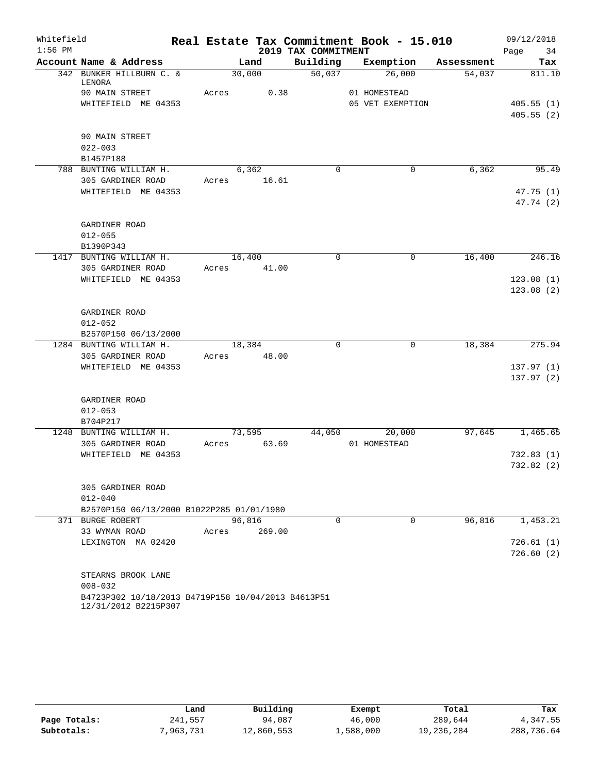| Whitefield |                                                                            |       |                |                     | Real Estate Tax Commitment Book - 15.010 |            | 09/12/2018 |
|------------|----------------------------------------------------------------------------|-------|----------------|---------------------|------------------------------------------|------------|------------|
| $1:56$ PM  |                                                                            |       |                | 2019 TAX COMMITMENT |                                          |            | Page<br>34 |
|            | Account Name & Address                                                     |       | Land           | Building            | Exemption                                | Assessment | Tax        |
|            | 342 BUNKER HILLBURN C. &<br>LENORA                                         |       | 30,000         | 50,037              | 26,000                                   | 54,037     | 811.10     |
|            | 90 MAIN STREET                                                             | Acres | 0.38           |                     | 01 HOMESTEAD                             |            |            |
|            | WHITEFIELD ME 04353                                                        |       |                |                     | 05 VET EXEMPTION                         |            | 405.55(1)  |
|            |                                                                            |       |                |                     |                                          |            | 405.55(2)  |
|            | 90 MAIN STREET                                                             |       |                |                     |                                          |            |            |
|            | $022 - 003$                                                                |       |                |                     |                                          |            |            |
|            | B1457P188<br>788 BUNTING WILLIAM H.                                        |       |                |                     |                                          |            |            |
|            |                                                                            | Acres | 6,362<br>16.61 | $\Omega$            | 0                                        | 6,362      | 95.49      |
|            | 305 GARDINER ROAD<br>WHITEFIELD ME 04353                                   |       |                |                     |                                          |            | 47.75(1)   |
|            |                                                                            |       |                |                     |                                          |            | 47.74 (2)  |
|            | GARDINER ROAD                                                              |       |                |                     |                                          |            |            |
|            | $012 - 055$                                                                |       |                |                     |                                          |            |            |
|            | B1390P343                                                                  |       |                |                     |                                          |            |            |
|            | 1417 BUNTING WILLIAM H.                                                    |       | 16,400         | $\mathbf 0$         | $\mathbf 0$                              | 16,400     | 246.16     |
|            | 305 GARDINER ROAD                                                          | Acres | 41.00          |                     |                                          |            |            |
|            | WHITEFIELD ME 04353                                                        |       |                |                     |                                          |            | 123.08(1)  |
|            |                                                                            |       |                |                     |                                          |            | 123.08(2)  |
|            |                                                                            |       |                |                     |                                          |            |            |
|            | GARDINER ROAD                                                              |       |                |                     |                                          |            |            |
|            | $012 - 052$                                                                |       |                |                     |                                          |            |            |
|            | B2570P150 06/13/2000                                                       |       |                |                     |                                          |            |            |
|            | 1284 BUNTING WILLIAM H.                                                    |       | 18,384         | $\Omega$            | 0                                        | 18,384     | 275.94     |
|            | 305 GARDINER ROAD                                                          | Acres | 48.00          |                     |                                          |            |            |
|            | WHITEFIELD ME 04353                                                        |       |                |                     |                                          |            | 137.97(1)  |
|            |                                                                            |       |                |                     |                                          |            | 137.97(2)  |
|            | GARDINER ROAD                                                              |       |                |                     |                                          |            |            |
|            | $012 - 053$                                                                |       |                |                     |                                          |            |            |
|            | B704P217                                                                   |       |                |                     |                                          |            |            |
|            | 1248 BUNTING WILLIAM H.                                                    |       | 73,595         | 44,050              | 20,000                                   | 97,645     | 1,465.65   |
|            | 305 GARDINER ROAD                                                          | Acres | 63.69          |                     | 01 HOMESTEAD                             |            |            |
|            | WHITEFIELD ME 04353                                                        |       |                |                     |                                          |            | 732.83(1)  |
|            |                                                                            |       |                |                     |                                          |            | 732.82(2)  |
|            | 305 GARDINER ROAD                                                          |       |                |                     |                                          |            |            |
|            | $012 - 040$                                                                |       |                |                     |                                          |            |            |
|            | B2570P150 06/13/2000 B1022P285 01/01/1980                                  |       |                |                     |                                          |            |            |
|            | 371 BURGE ROBERT                                                           |       | 96,816         | $\Omega$            | $\Omega$                                 | 96,816     | 1,453.21   |
|            | 33 WYMAN ROAD                                                              | Acres | 269.00         |                     |                                          |            |            |
|            | LEXINGTON MA 02420                                                         |       |                |                     |                                          |            | 726.61(1)  |
|            |                                                                            |       |                |                     |                                          |            | 726.60(2)  |
|            | STEARNS BROOK LANE                                                         |       |                |                     |                                          |            |            |
|            | $008 - 032$                                                                |       |                |                     |                                          |            |            |
|            | B4723P302 10/18/2013 B4719P158 10/04/2013 B4613P51<br>12/31/2012 B2215P307 |       |                |                     |                                          |            |            |

|              | Land     | Building   | Exempt    | Total      | Tax        |
|--------------|----------|------------|-----------|------------|------------|
| Page Totals: | 241,557  | 94,087     | 46,000    | 289,644    | 4,347.55   |
| Subtotals:   | ,963,731 | 12,860,553 | 1,588,000 | 19,236,284 | 288,736.64 |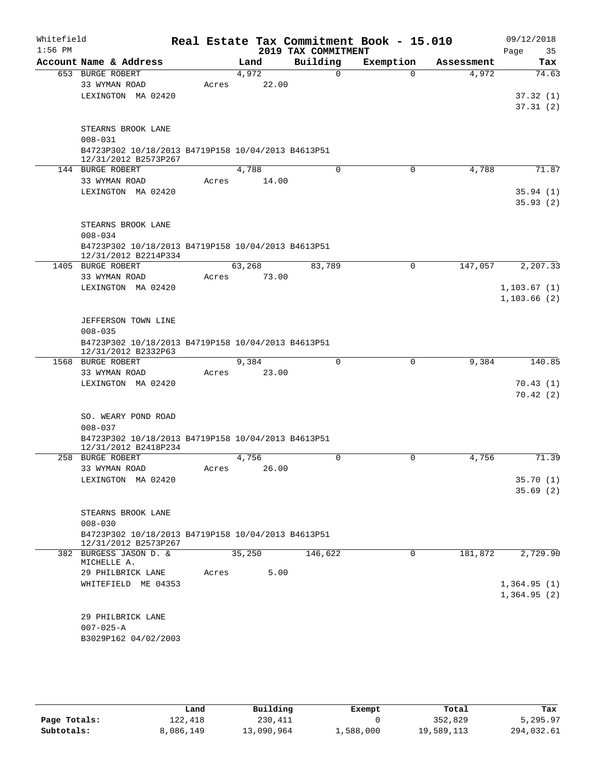| Whitefield |                                                                            |       |        |       |                     |             | Real Estate Tax Commitment Book - 15.010 |          |            |      | 09/12/2018   |
|------------|----------------------------------------------------------------------------|-------|--------|-------|---------------------|-------------|------------------------------------------|----------|------------|------|--------------|
| $1:56$ PM  |                                                                            |       |        |       | 2019 TAX COMMITMENT |             |                                          |          |            | Page | 35           |
|            | Account Name & Address                                                     |       | Land   |       | Building            |             | Exemption                                |          | Assessment |      | Tax          |
|            | 653 BURGE ROBERT                                                           |       | 4,972  |       |                     | $\Omega$    |                                          | $\Omega$ | 4,972      |      | 74.63        |
|            | 33 WYMAN ROAD                                                              | Acres |        | 22.00 |                     |             |                                          |          |            |      |              |
|            | LEXINGTON MA 02420                                                         |       |        |       |                     |             |                                          |          |            |      | 37.32(1)     |
|            |                                                                            |       |        |       |                     |             |                                          |          |            |      | 37.31(2)     |
|            | STEARNS BROOK LANE                                                         |       |        |       |                     |             |                                          |          |            |      |              |
|            | $008 - 031$                                                                |       |        |       |                     |             |                                          |          |            |      |              |
|            | B4723P302 10/18/2013 B4719P158 10/04/2013 B4613P51                         |       |        |       |                     |             |                                          |          |            |      |              |
|            | 12/31/2012 B2573P267                                                       |       |        |       |                     |             |                                          |          |            |      |              |
|            | 144 BURGE ROBERT                                                           |       | 4,788  |       |                     | $\Omega$    |                                          | 0        | 4,788      |      | 71.87        |
|            | 33 WYMAN ROAD                                                              | Acres |        | 14.00 |                     |             |                                          |          |            |      |              |
|            | LEXINGTON MA 02420                                                         |       |        |       |                     |             |                                          |          |            |      | 35.94(1)     |
|            |                                                                            |       |        |       |                     |             |                                          |          |            |      | 35.93(2)     |
|            |                                                                            |       |        |       |                     |             |                                          |          |            |      |              |
|            | STEARNS BROOK LANE                                                         |       |        |       |                     |             |                                          |          |            |      |              |
|            | $008 - 034$                                                                |       |        |       |                     |             |                                          |          |            |      |              |
|            | B4723P302 10/18/2013 B4719P158 10/04/2013 B4613P51<br>12/31/2012 B2214P334 |       |        |       |                     |             |                                          |          |            |      |              |
|            | 1405 BURGE ROBERT                                                          |       | 63,268 |       | 83,789              |             |                                          | 0        | 147,057    |      | 2,207.33     |
|            | 33 WYMAN ROAD                                                              | Acres |        | 73.00 |                     |             |                                          |          |            |      |              |
|            | LEXINGTON MA 02420                                                         |       |        |       |                     |             |                                          |          |            |      | 1,103.67(1)  |
|            |                                                                            |       |        |       |                     |             |                                          |          |            |      | 1, 103.66(2) |
|            |                                                                            |       |        |       |                     |             |                                          |          |            |      |              |
|            | JEFFERSON TOWN LINE                                                        |       |        |       |                     |             |                                          |          |            |      |              |
|            | $008 - 035$                                                                |       |        |       |                     |             |                                          |          |            |      |              |
|            | B4723P302 10/18/2013 B4719P158 10/04/2013 B4613P51                         |       |        |       |                     |             |                                          |          |            |      |              |
|            | 12/31/2012 B2332P63<br>1568 BURGE ROBERT                                   |       | 9,384  |       |                     | $\mathbf 0$ |                                          | 0        | 9,384      |      | 140.85       |
|            | 33 WYMAN ROAD                                                              | Acres |        | 23.00 |                     |             |                                          |          |            |      |              |
|            | LEXINGTON MA 02420                                                         |       |        |       |                     |             |                                          |          |            |      | 70.43(1)     |
|            |                                                                            |       |        |       |                     |             |                                          |          |            |      | 70.42(2)     |
|            |                                                                            |       |        |       |                     |             |                                          |          |            |      |              |
|            | SO. WEARY POND ROAD                                                        |       |        |       |                     |             |                                          |          |            |      |              |
|            | $008 - 037$                                                                |       |        |       |                     |             |                                          |          |            |      |              |
|            | B4723P302 10/18/2013 B4719P158 10/04/2013 B4613P51                         |       |        |       |                     |             |                                          |          |            |      |              |
|            | 12/31/2012 B2418P234                                                       |       |        |       |                     |             |                                          |          |            |      |              |
|            | 258 BURGE ROBERT                                                           |       | 4,756  |       |                     | 0           |                                          | 0        | 4,756      |      | 71.39        |
|            | 33 WYMAN ROAD<br>LEXINGTON MA 02420                                        | Acres |        | 26.00 |                     |             |                                          |          |            |      | 35.70(1)     |
|            |                                                                            |       |        |       |                     |             |                                          |          |            |      | 35.69(2)     |
|            |                                                                            |       |        |       |                     |             |                                          |          |            |      |              |
|            | STEARNS BROOK LANE                                                         |       |        |       |                     |             |                                          |          |            |      |              |
|            | $008 - 030$                                                                |       |        |       |                     |             |                                          |          |            |      |              |
|            | B4723P302 10/18/2013 B4719P158 10/04/2013 B4613P51                         |       |        |       |                     |             |                                          |          |            |      |              |
|            | 12/31/2012 B2573P267                                                       |       |        |       |                     |             |                                          |          |            |      |              |
|            | 382 BURGESS JASON D. &                                                     |       | 35,250 |       | 146,622             |             |                                          | $\Omega$ | 181,872    |      | 2,729.90     |
|            | MICHELLE A.<br>29 PHILBRICK LANE                                           | Acres |        | 5.00  |                     |             |                                          |          |            |      |              |
|            | WHITEFIELD ME 04353                                                        |       |        |       |                     |             |                                          |          |            |      | 1,364.95(1)  |
|            |                                                                            |       |        |       |                     |             |                                          |          |            |      | 1,364.95(2)  |
|            |                                                                            |       |        |       |                     |             |                                          |          |            |      |              |
|            | 29 PHILBRICK LANE                                                          |       |        |       |                     |             |                                          |          |            |      |              |
|            | $007 - 025 - A$                                                            |       |        |       |                     |             |                                          |          |            |      |              |
|            | B3029P162 04/02/2003                                                       |       |        |       |                     |             |                                          |          |            |      |              |
|            |                                                                            |       |        |       |                     |             |                                          |          |            |      |              |

|              | Land      | Building   | Exempt    | Total      | Tax        |
|--------------|-----------|------------|-----------|------------|------------|
| Page Totals: | 122.418   | 230,411    |           | 352,829    | 5,295.97   |
| Subtotals:   | 8,086,149 | 13,090,964 | 1,588,000 | 19,589,113 | 294,032.61 |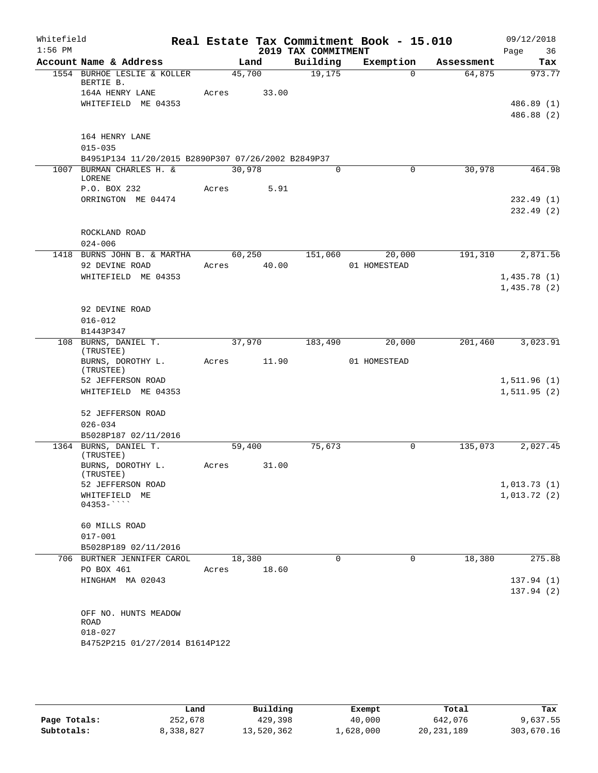| Whitefield<br>$1:56$ PM |                                                                                                              |       |                 | 2019 TAX COMMITMENT | Real Estate Tax Commitment Book - 15.010 |            | 09/12/2018<br>Page<br>36   |
|-------------------------|--------------------------------------------------------------------------------------------------------------|-------|-----------------|---------------------|------------------------------------------|------------|----------------------------|
|                         | Account Name & Address                                                                                       |       | Land            | Building            | Exemption                                | Assessment | Tax                        |
|                         | 1554 BURHOE LESLIE & KOLLER<br>BERTIE B.                                                                     |       | 45,700          | 19,175              | $\Omega$                                 | 64,875     | 973.77                     |
|                         | 164A HENRY LANE<br>WHITEFIELD ME 04353                                                                       | Acres | 33.00           |                     |                                          |            | 486.89 (1)<br>486.88 (2)   |
|                         | 164 HENRY LANE<br>$015 - 035$                                                                                |       |                 |                     |                                          |            |                            |
|                         | B4951P134 11/20/2015 B2890P307 07/26/2002 B2849P37<br>1007 BURMAN CHARLES H. &<br>30,978<br>0<br>$\mathbf 0$ |       |                 |                     | 30,978                                   | 464.98     |                            |
|                         | LORENE                                                                                                       |       |                 |                     |                                          |            |                            |
|                         | P.O. BOX 232<br>ORRINGTON ME 04474                                                                           | Acres | 5.91            |                     |                                          |            | 232.49(1)<br>232.49(2)     |
|                         | ROCKLAND ROAD<br>$024 - 006$                                                                                 |       |                 |                     |                                          |            |                            |
| 1418                    | BURNS JOHN B. & MARTHA                                                                                       |       | 60,250          | 151,060             | 20,000                                   | 191,310    | 2,871.56                   |
|                         | 92 DEVINE ROAD                                                                                               | Acres | 40.00           |                     | 01 HOMESTEAD                             |            |                            |
|                         | WHITEFIELD ME 04353                                                                                          |       |                 |                     |                                          |            | 1,435.78(1)                |
|                         |                                                                                                              |       |                 |                     |                                          |            | 1,435.78(2)                |
|                         | 92 DEVINE ROAD<br>$016 - 012$                                                                                |       |                 |                     |                                          |            |                            |
|                         | B1443P347                                                                                                    |       |                 |                     |                                          |            |                            |
|                         | 108 BURNS, DANIEL T.<br>(TRUSTEE)                                                                            |       | 37,970          | 183,490             | 20,000                                   | 201,460    | 3,023.91                   |
|                         | BURNS, DOROTHY L.<br>(TRUSTEE)<br>52 JEFFERSON ROAD                                                          | Acres | 11.90           |                     | 01 HOMESTEAD                             |            | 1,511.96(1)                |
|                         | WHITEFIELD ME 04353                                                                                          |       |                 |                     |                                          |            | 1, 511.95(2)               |
|                         | 52 JEFFERSON ROAD<br>$026 - 034$                                                                             |       |                 |                     |                                          |            |                            |
|                         | B5028P187 02/11/2016                                                                                         |       |                 |                     |                                          |            |                            |
|                         | 1364 BURNS, DANIEL T.<br>(TRUSTEE)                                                                           |       | 59,400          | 75,673              | 0                                        | 135,073    | 2,027.45                   |
|                         | BURNS, DOROTHY L.<br>(TRUSTEE)                                                                               | Acres | 31.00           |                     |                                          |            |                            |
|                         | 52 JEFFERSON ROAD<br>WHITEFIELD ME                                                                           |       |                 |                     |                                          |            | 1,013.73(1)<br>1,013.72(2) |
|                         | $04353 -$                                                                                                    |       |                 |                     |                                          |            |                            |
|                         | 60 MILLS ROAD                                                                                                |       |                 |                     |                                          |            |                            |
|                         | $017 - 001$                                                                                                  |       |                 |                     |                                          |            |                            |
|                         | B5028P189 02/11/2016                                                                                         |       |                 |                     |                                          |            |                            |
|                         | 706 BURTNER JENNIFER CAROL<br>PO BOX 461                                                                     | Acres | 18,380<br>18.60 | $\mathbf 0$         | 0                                        | 18,380     | 275.88                     |
|                         | HINGHAM MA 02043                                                                                             |       |                 |                     |                                          |            | 137.94(1)<br>137.94(2)     |
|                         | OFF NO. HUNTS MEADOW<br>ROAD<br>$018 - 027$<br>B4752P215 01/27/2014 B1614P122                                |       |                 |                     |                                          |            |                            |
|                         |                                                                                                              |       |                 |                     |                                          |            |                            |

|              | Land      | Building   | Exempt    | Total        | Tax        |
|--------------|-----------|------------|-----------|--------------|------------|
| Page Totals: | 252,678   | 429,398    | 40,000    | 642,076      | 9,637.55   |
| Subtotals:   | 8,338,827 | 13,520,362 | ⊥,628,000 | 20, 231, 189 | 303,670.16 |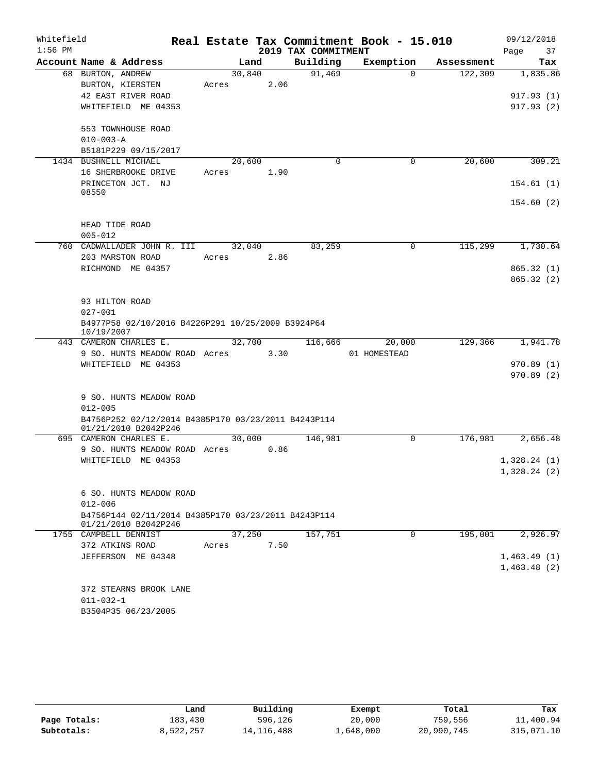| Whitefield<br>$1:56$ PM |                                                                             |        |        | 2019 TAX COMMITMENT | Real Estate Tax Commitment Book - 15.010 |            | 09/12/2018<br>Page<br>37 |
|-------------------------|-----------------------------------------------------------------------------|--------|--------|---------------------|------------------------------------------|------------|--------------------------|
|                         | Account Name & Address                                                      |        | Land   | Building            | Exemption                                | Assessment | Tax                      |
|                         | 68 BURTON, ANDREW                                                           | 30,840 |        | 91,469              | $\Omega$                                 | 122,309    | 1,835.86                 |
|                         | BURTON, KIERSTEN                                                            | Acres  | 2.06   |                     |                                          |            |                          |
|                         | 42 EAST RIVER ROAD                                                          |        |        |                     |                                          |            | 917.93(1)                |
|                         | WHITEFIELD ME 04353                                                         |        |        |                     |                                          |            | 917.93(2)                |
|                         |                                                                             |        |        |                     |                                          |            |                          |
|                         | 553 TOWNHOUSE ROAD                                                          |        |        |                     |                                          |            |                          |
|                         | $010 - 003 - A$                                                             |        |        |                     |                                          |            |                          |
|                         | B5181P229 09/15/2017                                                        |        |        |                     |                                          |            |                          |
|                         | 1434 BUSHNELL MICHAEL                                                       | 20,600 |        | $\mathbf 0$         | $\mathbf 0$                              | 20,600     | 309.21                   |
|                         | 16 SHERBROOKE DRIVE                                                         | Acres  | 1.90   |                     |                                          |            |                          |
|                         | PRINCETON JCT. NJ                                                           |        |        |                     |                                          |            | 154.61(1)                |
|                         | 08550                                                                       |        |        |                     |                                          |            |                          |
|                         |                                                                             |        |        |                     |                                          |            | 154.60(2)                |
|                         |                                                                             |        |        |                     |                                          |            |                          |
|                         | HEAD TIDE ROAD                                                              |        |        |                     |                                          |            |                          |
|                         | $005 - 012$                                                                 |        |        |                     |                                          |            |                          |
|                         | 760 CADWALLADER JOHN R. III                                                 |        | 32,040 | 83,259              | 0                                        | 115,299    | 1,730.64                 |
|                         | 203 MARSTON ROAD                                                            | Acres  | 2.86   |                     |                                          |            |                          |
|                         | RICHMOND ME 04357                                                           |        |        |                     |                                          |            | 865.32 (1)               |
|                         |                                                                             |        |        |                     |                                          |            | 865.32(2)                |
|                         |                                                                             |        |        |                     |                                          |            |                          |
|                         | 93 HILTON ROAD                                                              |        |        |                     |                                          |            |                          |
|                         | $027 - 001$                                                                 |        |        |                     |                                          |            |                          |
|                         | B4977P58 02/10/2016 B4226P291 10/25/2009 B3924P64<br>10/19/2007             |        |        |                     |                                          |            |                          |
|                         | 443 CAMERON CHARLES E.                                                      |        | 32,700 | 116,666             | 20,000                                   | 129,366    | 1,941.78                 |
|                         | 9 SO. HUNTS MEADOW ROAD Acres                                               |        | 3.30   |                     | 01 HOMESTEAD                             |            |                          |
|                         | WHITEFIELD ME 04353                                                         |        |        |                     |                                          |            | 970.89(1)                |
|                         |                                                                             |        |        |                     |                                          |            | 970.89 (2)               |
|                         |                                                                             |        |        |                     |                                          |            |                          |
|                         | 9 SO. HUNTS MEADOW ROAD                                                     |        |        |                     |                                          |            |                          |
|                         | $012 - 005$                                                                 |        |        |                     |                                          |            |                          |
|                         | B4756P252 02/12/2014 B4385P170 03/23/2011 B4243P114<br>01/21/2010 B2042P246 |        |        |                     |                                          |            |                          |
|                         | 695 CAMERON CHARLES E.                                                      |        | 30,000 | 146,981             | 0                                        | 176,981    | 2,656.48                 |
|                         | 9 SO. HUNTS MEADOW ROAD Acres                                               |        | 0.86   |                     |                                          |            |                          |
|                         | WHITEFIELD ME 04353                                                         |        |        |                     |                                          |            | 1,328.24(1)              |
|                         |                                                                             |        |        |                     |                                          |            | 1,328.24(2)              |
|                         |                                                                             |        |        |                     |                                          |            |                          |
|                         | 6 SO. HUNTS MEADOW ROAD                                                     |        |        |                     |                                          |            |                          |
|                         | $012 - 006$                                                                 |        |        |                     |                                          |            |                          |
|                         | B4756P144 02/11/2014 B4385P170 03/23/2011 B4243P114                         |        |        |                     |                                          |            |                          |
|                         | 01/21/2010 B2042P246                                                        |        |        |                     |                                          |            |                          |
|                         | 1755 CAMPBELL DENNIST                                                       | 37,250 |        | 157,751             | 0                                        | 195,001    | 2,926.97                 |
|                         | 372 ATKINS ROAD                                                             | Acres  | 7.50   |                     |                                          |            |                          |
|                         | JEFFERSON ME 04348                                                          |        |        |                     |                                          |            | 1,463.49(1)              |
|                         |                                                                             |        |        |                     |                                          |            | 1,463.48(2)              |
|                         | 372 STEARNS BROOK LANE                                                      |        |        |                     |                                          |            |                          |
|                         | $011 - 032 - 1$                                                             |        |        |                     |                                          |            |                          |
|                         | B3504P35 06/23/2005                                                         |        |        |                     |                                          |            |                          |
|                         |                                                                             |        |        |                     |                                          |            |                          |

|              | Land      | Building   | Exempt    | Total      | Tax        |
|--------------|-----------|------------|-----------|------------|------------|
| Page Totals: | 183,430   | 596,126    | 20,000    | 759,556    | 11,400.94  |
| Subtotals:   | 8,522,257 | 14,116,488 | ⊥,648,000 | 20,990,745 | 315,071.10 |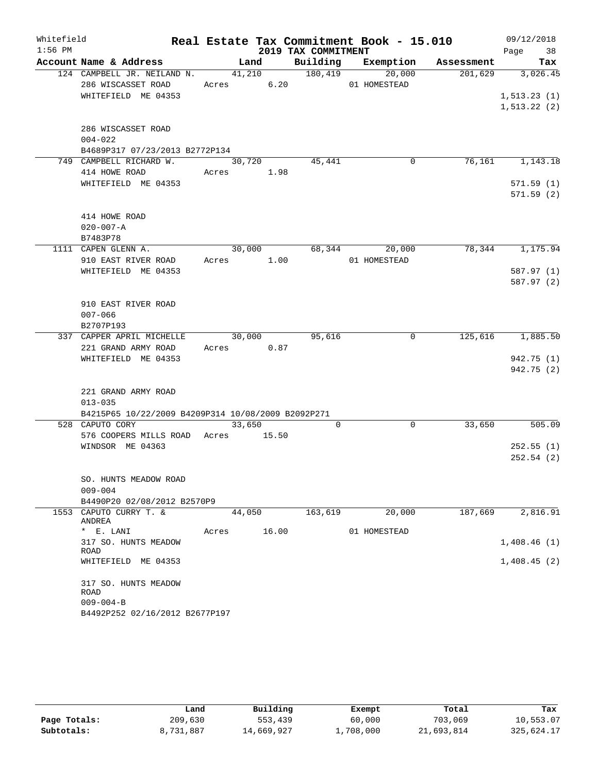| Whitefield |                                                       |                      |        |                     | Real Estate Tax Commitment Book - 15.010 |            | 09/12/2018   |
|------------|-------------------------------------------------------|----------------------|--------|---------------------|------------------------------------------|------------|--------------|
| $1:56$ PM  |                                                       |                      |        | 2019 TAX COMMITMENT |                                          |            | Page 38      |
|            | Account Name & Address                                |                      | Land   |                     | Building Exemption                       | Assessment | Tax          |
|            | 124 CAMPBELL JR. NEILAND N.                           |                      | 41,210 | 180,419             | 20,000                                   | 201,629    | 3,026.45     |
|            | 286 WISCASSET ROAD                                    | Acres 6.20           |        |                     | 01 HOMESTEAD                             |            |              |
|            | WHITEFIELD ME 04353                                   |                      |        |                     |                                          |            | 1, 513.23(1) |
|            |                                                       |                      |        |                     |                                          |            | 1, 513.22(2) |
|            | 286 WISCASSET ROAD                                    |                      |        |                     |                                          |            |              |
|            | $004 - 022$                                           |                      |        |                     |                                          |            |              |
|            | B4689P317 07/23/2013 B2772P134                        |                      |        |                     |                                          |            |              |
|            | 749 CAMPBELL RICHARD W.                               | 30,720               |        | 45,441              | 0                                        | 76,161     | 1,143.18     |
|            | 414 HOWE ROAD                                         | Acres 1.98           |        |                     |                                          |            |              |
|            | WHITEFIELD ME 04353                                   |                      |        |                     |                                          |            | 571.59(1)    |
|            |                                                       |                      |        |                     |                                          |            | 571.59(2)    |
|            |                                                       |                      |        |                     |                                          |            |              |
|            | 414 HOWE ROAD                                         |                      |        |                     |                                          |            |              |
|            | $020 - 007 - A$                                       |                      |        |                     |                                          |            |              |
|            | B7483P78                                              |                      |        |                     |                                          |            |              |
|            | 1111 CAPEN GLENN A.<br>910 EAST RIVER ROAD            | 30,000<br>Acres 1.00 |        | 68,344              | 20,000<br>01 HOMESTEAD                   | 78,344     | 1,175.94     |
|            | WHITEFIELD ME 04353                                   |                      |        |                     |                                          |            | 587.97(1)    |
|            |                                                       |                      |        |                     |                                          |            | 587.97 (2)   |
|            |                                                       |                      |        |                     |                                          |            |              |
|            | 910 EAST RIVER ROAD                                   |                      |        |                     |                                          |            |              |
|            | $007 - 066$                                           |                      |        |                     |                                          |            |              |
|            | B2707P193                                             |                      |        |                     |                                          |            |              |
|            | 337 CAPPER APRIL MICHELLE                             | 30,000               |        | 95,616              | 0                                        | 125,616    | 1,885.50     |
|            | 221 GRAND ARMY ROAD                                   | Acres 0.87           |        |                     |                                          |            |              |
|            | WHITEFIELD ME 04353                                   |                      |        |                     |                                          |            | 942.75 (1)   |
|            |                                                       |                      |        |                     |                                          |            | 942.75 (2)   |
|            | 221 GRAND ARMY ROAD                                   |                      |        |                     |                                          |            |              |
|            | $013 - 035$                                           |                      |        |                     |                                          |            |              |
|            | B4215P65 10/22/2009 B4209P314 10/08/2009 B2092P271    |                      |        |                     |                                          |            |              |
|            | 528 CAPUTO CORY                                       | 33,650               |        | $\Omega$            | 0                                        | 33,650     | 505.09       |
|            | 576 COOPERS MILLS ROAD                                | Acres                | 15.50  |                     |                                          |            |              |
|            | WINDSOR ME 04363                                      |                      |        |                     |                                          |            | 252.55(1)    |
|            |                                                       |                      |        |                     |                                          |            | 252.54(2)    |
|            |                                                       |                      |        |                     |                                          |            |              |
|            | SO. HUNTS MEADOW ROAD                                 |                      |        |                     |                                          |            |              |
|            | $009 - 004$                                           |                      |        |                     |                                          |            |              |
|            | B4490P20 02/08/2012 B2570P9<br>1553 CAPUTO CURRY T. & |                      |        | 163,619             | 20,000                                   | 187,669    | 2,816.91     |
|            | ANDREA                                                | 44,050               |        |                     |                                          |            |              |
|            | * E. LANI                                             | Acres                | 16.00  |                     | 01 HOMESTEAD                             |            |              |
|            | 317 SO. HUNTS MEADOW                                  |                      |        |                     |                                          |            | 1,408.46(1)  |
|            | ROAD                                                  |                      |        |                     |                                          |            |              |
|            | WHITEFIELD ME 04353                                   |                      |        |                     |                                          |            | 1,408.45(2)  |
|            | 317 SO. HUNTS MEADOW                                  |                      |        |                     |                                          |            |              |
|            | ROAD                                                  |                      |        |                     |                                          |            |              |
|            | $009 - 004 - B$                                       |                      |        |                     |                                          |            |              |
|            | B4492P252 02/16/2012 B2677P197                        |                      |        |                     |                                          |            |              |

|              | Land      | Building   | Exempt    | Total      | Tax        |
|--------------|-----------|------------|-----------|------------|------------|
| Page Totals: | 209,630   | 553,439    | 60,000    | 703,069    | 10,553.07  |
| Subtotals:   | 8,731,887 | 14,669,927 | ⊥,708,000 | 21,693,814 | 325,624.17 |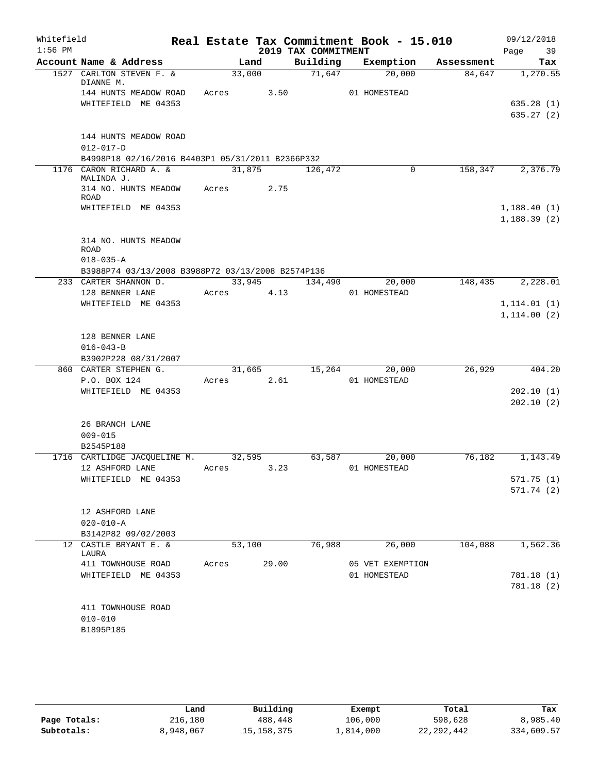| Whitefield<br>$1:56$ PM |                                                                             |            |        | 2019 TAX COMMITMENT | Real Estate Tax Commitment Book - 15.010 |            | 09/12/2018<br>Page 39   |
|-------------------------|-----------------------------------------------------------------------------|------------|--------|---------------------|------------------------------------------|------------|-------------------------|
|                         | Account Name & Address                                                      |            | Land   |                     | Building Exemption                       | Assessment | Tax                     |
|                         | 1527 CARLTON STEVEN F. &                                                    |            | 33,000 | 71,647              | 20,000                                   | 84,647     | 1,270.55                |
|                         | DIANNE M.<br>144 HUNTS MEADOW ROAD Acres 3.50                               |            |        |                     |                                          |            |                         |
|                         | WHITEFIELD ME 04353                                                         |            |        |                     | 01 HOMESTEAD                             |            | 635.28(1)               |
|                         |                                                                             |            |        |                     |                                          |            | 635.27(2)               |
|                         |                                                                             |            |        |                     |                                          |            |                         |
|                         | 144 HUNTS MEADOW ROAD                                                       |            |        |                     |                                          |            |                         |
|                         | $012 - 017 - D$                                                             |            |        |                     |                                          |            |                         |
|                         | B4998P18 02/16/2016 B4403P1 05/31/2011 B2366P332<br>1176 CARON RICHARD A. & | 31,875     |        | 126,472             | 0                                        | 158,347    | 2,376.79                |
|                         | MALINDA J.                                                                  |            |        |                     |                                          |            |                         |
|                         | 314 NO. HUNTS MEADOW                                                        | Acres      | 2.75   |                     |                                          |            |                         |
|                         | ROAD<br>WHITEFIELD ME 04353                                                 |            |        |                     |                                          |            | 1,188.40(1)             |
|                         |                                                                             |            |        |                     |                                          |            | 1,188.39(2)             |
|                         |                                                                             |            |        |                     |                                          |            |                         |
|                         | 314 NO. HUNTS MEADOW                                                        |            |        |                     |                                          |            |                         |
|                         | <b>ROAD</b>                                                                 |            |        |                     |                                          |            |                         |
|                         | $018 - 035 - A$<br>B3988P74 03/13/2008 B3988P72 03/13/2008 B2574P136        |            |        |                     |                                          |            |                         |
|                         | 233 CARTER SHANNON D.                                                       |            |        |                     | 33,945 134,490 20,000                    | 148,435    | 2,228.01                |
|                         | 128 BENNER LANE                                                             | Acres 4.13 |        |                     | 01 HOMESTEAD                             |            |                         |
|                         | WHITEFIELD ME 04353                                                         |            |        |                     |                                          |            | 1, 114.01(1)            |
|                         |                                                                             |            |        |                     |                                          |            | 1,114.00(2)             |
|                         |                                                                             |            |        |                     |                                          |            |                         |
|                         | 128 BENNER LANE                                                             |            |        |                     |                                          |            |                         |
|                         | $016 - 043 - B$                                                             |            |        |                     |                                          |            |                         |
|                         | B3902P228 08/31/2007                                                        |            |        |                     |                                          |            |                         |
|                         | 860 CARTER STEPHEN G.<br>P.O. BOX 124                                       | Acres 2.61 | 31,665 |                     | 15,264<br>20,000<br>01 HOMESTEAD         | 26,929     | 404.20                  |
|                         | WHITEFIELD ME 04353                                                         |            |        |                     |                                          |            | 202.10(1)               |
|                         |                                                                             |            |        |                     |                                          |            | 202.10(2)               |
|                         |                                                                             |            |        |                     |                                          |            |                         |
|                         | 26 BRANCH LANE                                                              |            |        |                     |                                          |            |                         |
|                         | $009 - 015$                                                                 |            |        |                     |                                          |            |                         |
|                         | B2545P188                                                                   |            |        |                     |                                          |            |                         |
|                         | 1716 CARTLIDGE JACQUELINE M.                                                |            | 32,595 |                     | 63,587<br>20,000                         | 76,182     | 1,143.49                |
|                         | 12 ASHFORD LANE                                                             | Acres      | 3.23   |                     | 01 HOMESTEAD                             |            |                         |
|                         | WHITEFIELD ME 04353                                                         |            |        |                     |                                          |            | 571.75(1)<br>571.74 (2) |
|                         |                                                                             |            |        |                     |                                          |            |                         |
|                         | 12 ASHFORD LANE                                                             |            |        |                     |                                          |            |                         |
|                         | $020 - 010 - A$                                                             |            |        |                     |                                          |            |                         |
|                         | B3142P82 09/02/2003                                                         |            |        |                     |                                          |            |                         |
|                         | 12 CASTLE BRYANT E. &<br>LAURA                                              | 53,100     |        | 76,988              | 26,000                                   | 104,088    | 1,562.36                |
|                         | 411 TOWNHOUSE ROAD                                                          | Acres      | 29.00  |                     | 05 VET EXEMPTION                         |            |                         |
|                         | WHITEFIELD ME 04353                                                         |            |        |                     | 01 HOMESTEAD                             |            | 781.18 (1)              |
|                         |                                                                             |            |        |                     |                                          |            | 781.18(2)               |
|                         |                                                                             |            |        |                     |                                          |            |                         |
|                         | 411 TOWNHOUSE ROAD                                                          |            |        |                     |                                          |            |                         |
|                         | $010 - 010$<br>B1895P185                                                    |            |        |                     |                                          |            |                         |
|                         |                                                                             |            |        |                     |                                          |            |                         |

|              | Land      | Building   | Exempt    | Total        | Tax        |
|--------------|-----------|------------|-----------|--------------|------------|
| Page Totals: | 216,180   | 488,448    | 106,000   | 598,628      | 8,985.40   |
| Subtotals:   | 8,948,067 | 15,158,375 | 1,814,000 | 22, 292, 442 | 334,609.57 |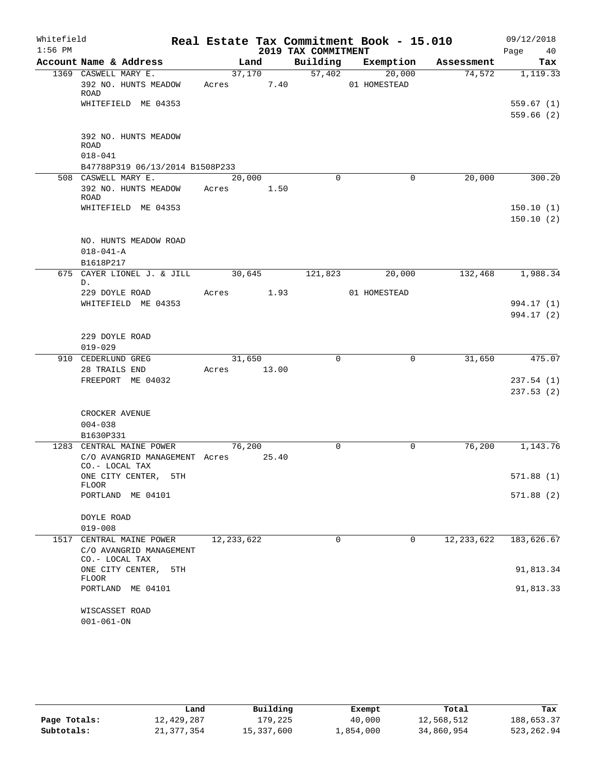| Whitefield<br>$1:56$ PM |                                                           |                     |       | 2019 TAX COMMITMENT | Real Estate Tax Commitment Book - 15.010 |              | 09/12/2018<br>Page 40  |
|-------------------------|-----------------------------------------------------------|---------------------|-------|---------------------|------------------------------------------|--------------|------------------------|
|                         | Account Name & Address                                    | Land                |       |                     | Building Exemption                       | Assessment   | Tax                    |
|                         | 1369 CASWELL MARY E.                                      | 37,170              |       | 57,402              | 20,000                                   | 74,572       | 1,119.33               |
|                         | 392 NO. HUNTS MEADOW<br><b>ROAD</b>                       | Acres 7.40          |       |                     | 01 HOMESTEAD                             |              |                        |
|                         | WHITEFIELD ME 04353                                       |                     |       |                     |                                          |              | 559.67(1)<br>559.66(2) |
|                         | 392 NO. HUNTS MEADOW                                      |                     |       |                     |                                          |              |                        |
|                         | <b>ROAD</b><br>$018 - 041$                                |                     |       |                     |                                          |              |                        |
|                         | B47788P319 06/13/2014 B1508P233                           |                     |       |                     |                                          |              |                        |
|                         | 508 CASWELL MARY E.                                       | $\overline{20,000}$ |       | $\Omega$            | $\mathbf 0$                              | 20,000       | 300.20                 |
|                         | 392 NO. HUNTS MEADOW<br>ROAD                              | Acres 1.50          |       |                     |                                          |              |                        |
|                         | WHITEFIELD ME 04353                                       |                     |       |                     |                                          |              | 150.10(1)<br>150.10(2) |
|                         | NO. HUNTS MEADOW ROAD                                     |                     |       |                     |                                          |              |                        |
|                         | $018 - 041 - A$                                           |                     |       |                     |                                          |              |                        |
|                         | B1618P217                                                 |                     |       |                     |                                          |              |                        |
|                         | 675 CAYER LIONEL J. & JILL<br>D.                          | 30,645              |       | 121,823             | 20,000                                   | 132,468      | 1,988.34               |
|                         | 229 DOYLE ROAD                                            | Acres 1.93          |       |                     | 01 HOMESTEAD                             |              |                        |
|                         | WHITEFIELD ME 04353                                       |                     |       |                     |                                          |              | 994.17 (1)             |
|                         |                                                           |                     |       |                     |                                          |              | 994.17 (2)             |
|                         | 229 DOYLE ROAD<br>$019 - 029$                             |                     |       |                     |                                          |              |                        |
|                         | 910 CEDERLUND GREG                                        | 31,650              |       | $\Omega$            | 0                                        | 31,650       | 475.07                 |
|                         | 28 TRAILS END                                             | Acres               | 13.00 |                     |                                          |              |                        |
|                         | FREEPORT ME 04032                                         |                     |       |                     |                                          |              | 237.54(1)              |
|                         |                                                           |                     |       |                     |                                          |              | 237.53(2)              |
|                         | CROCKER AVENUE                                            |                     |       |                     |                                          |              |                        |
|                         | $004 - 038$                                               |                     |       |                     |                                          |              |                        |
|                         | B1630P331                                                 |                     |       |                     |                                          |              |                        |
|                         | 1283 CENTRAL MAINE POWER<br>C/O AVANGRID MANAGEMENT Acres | 76,200              | 25.40 | 0                   | 0                                        | 76,200       | 1,143.76               |
|                         | CO.- LOCAL TAX<br>ONE CITY CENTER,<br>5TH<br>FLOOR        |                     |       |                     |                                          |              | 571.88(1)              |
|                         | PORTLAND ME 04101                                         |                     |       |                     |                                          |              | 571.88(2)              |
|                         | DOYLE ROAD                                                |                     |       |                     |                                          |              |                        |
|                         | $019 - 008$                                               |                     |       |                     |                                          |              |                        |
|                         | 1517 CENTRAL MAINE POWER                                  | 12, 233, 622        |       | $\mathbf 0$         | $\mathbf 0$                              | 12, 233, 622 | 183,626.67             |
|                         | C/O AVANGRID MANAGEMENT                                   |                     |       |                     |                                          |              |                        |
|                         | CO.- LOCAL TAX<br>ONE CITY CENTER,<br>5TH<br>FLOOR        |                     |       |                     |                                          |              | 91,813.34              |
|                         | PORTLAND ME 04101                                         |                     |       |                     |                                          |              | 91,813.33              |
|                         | WISCASSET ROAD<br>$001 - 061 - ON$                        |                     |       |                     |                                          |              |                        |

|              | Land       | Building   | Exempt    | Total      | Tax        |
|--------------|------------|------------|-----------|------------|------------|
| Page Totals: | 12,429,287 | 179,225    | 40,000    | 12,568,512 | 188,653.37 |
| Subtotals:   | 21,377,354 | 15,337,600 | 1,854,000 | 34,860,954 | 523,262.94 |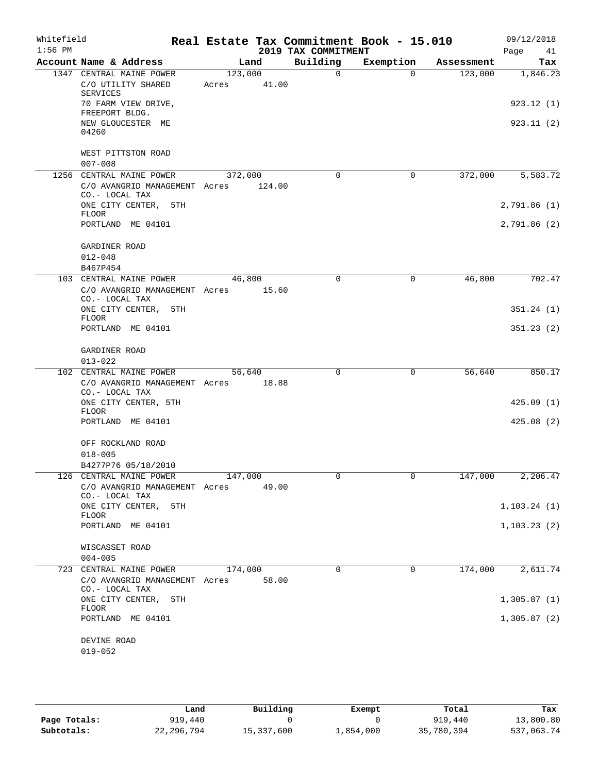| Whitefield<br>$1:56$ PM |                                                       |         |        | 2019 TAX COMMITMENT | Real Estate Tax Commitment Book - 15.010 |            | 09/12/2018        |
|-------------------------|-------------------------------------------------------|---------|--------|---------------------|------------------------------------------|------------|-------------------|
|                         | Account Name & Address                                | Land    |        | Building            | Exemption                                | Assessment | Page<br>41<br>Tax |
|                         | 1347 CENTRAL MAINE POWER                              | 123,000 |        | $\Omega$            | $\Omega$                                 | 123,000    | 1,846.23          |
|                         | C/O UTILITY SHARED<br>SERVICES                        | Acres   | 41.00  |                     |                                          |            |                   |
|                         | 70 FARM VIEW DRIVE,<br>FREEPORT BLDG.                 |         |        |                     |                                          |            | 923.12(1)         |
|                         | NEW GLOUCESTER ME<br>04260                            |         |        |                     |                                          |            | 923.11(2)         |
|                         | WEST PITTSTON ROAD<br>$007 - 008$                     |         |        |                     |                                          |            |                   |
|                         | 1256 CENTRAL MAINE POWER                              | 372,000 |        | 0                   | $\mathsf{O}$                             | 372,000    | 5,583.72          |
|                         | C/O AVANGRID MANAGEMENT Acres<br>CO.- LOCAL TAX       |         | 124.00 |                     |                                          |            |                   |
|                         | ONE CITY CENTER, 5TH<br><b>FLOOR</b>                  |         |        |                     |                                          |            | 2,791.86(1)       |
|                         | PORTLAND ME 04101                                     |         |        |                     |                                          |            | 2,791.86(2)       |
|                         | GARDINER ROAD                                         |         |        |                     |                                          |            |                   |
|                         | $012 - 048$                                           |         |        |                     |                                          |            |                   |
|                         | B467P454<br>103 CENTRAL MAINE POWER                   | 46,800  |        | 0                   | 0                                        | 46,800     | 702.47            |
|                         | C/O AVANGRID MANAGEMENT Acres 15.60<br>CO.- LOCAL TAX |         |        |                     |                                          |            |                   |
|                         | ONE CITY CENTER, 5TH<br><b>FLOOR</b>                  |         |        |                     |                                          |            | 351.24(1)         |
|                         | PORTLAND ME 04101                                     |         |        |                     |                                          |            | 351.23(2)         |
|                         | GARDINER ROAD<br>$013 - 022$                          |         |        |                     |                                          |            |                   |
|                         | 102 CENTRAL MAINE POWER                               | 56,640  |        | $\Omega$            | $\mathbf 0$                              | 56,640     | 850.17            |
|                         | C/O AVANGRID MANAGEMENT Acres 18.88<br>CO.- LOCAL TAX |         |        |                     |                                          |            |                   |
|                         | ONE CITY CENTER, 5TH<br><b>FLOOR</b>                  |         |        |                     |                                          |            | 425.09(1)         |
|                         | PORTLAND ME 04101                                     |         |        |                     |                                          |            | 425.08(2)         |
|                         | OFF ROCKLAND ROAD<br>$018 - 005$                      |         |        |                     |                                          |            |                   |
|                         | B4277P76 05/18/2010                                   |         |        |                     |                                          |            |                   |
|                         | 126 CENTRAL MAINE POWER                               | 147,000 |        | 0                   | 0                                        | 147,000    | 2,206.47          |
|                         | C/O AVANGRID MANAGEMENT Acres<br>CO.- LOCAL TAX       |         | 49.00  |                     |                                          |            |                   |
|                         | ONE CITY CENTER,<br>5TH<br><b>FLOOR</b>               |         |        |                     |                                          |            | 1, 103.24(1)      |
|                         | PORTLAND ME 04101                                     |         |        |                     |                                          |            | 1, 103.23(2)      |
|                         | WISCASSET ROAD                                        |         |        |                     |                                          |            |                   |
| 723                     | $004 - 005$<br>CENTRAL MAINE POWER                    | 174,000 |        | $\mathbf 0$         | $\mathbf 0$                              | 174,000    | 2,611.74          |
|                         | C/O AVANGRID MANAGEMENT Acres<br>CO.- LOCAL TAX       |         | 58.00  |                     |                                          |            |                   |
|                         | ONE CITY CENTER, 5TH<br>FLOOR                         |         |        |                     |                                          |            | 1,305.87(1)       |
|                         | PORTLAND ME 04101                                     |         |        |                     |                                          |            | 1,305.87(2)       |
|                         | DEVINE ROAD                                           |         |        |                     |                                          |            |                   |
|                         | $019 - 052$                                           |         |        |                     |                                          |            |                   |

|              | Land       | Building   | Exempt    | Total      | Tax        |
|--------------|------------|------------|-----------|------------|------------|
| Page Totals: | 919,440    |            |           | 919,440    | 13,800.80  |
| Subtotals:   | 22,296,794 | 15,337,600 | 1,854,000 | 35,780,394 | 537,063.74 |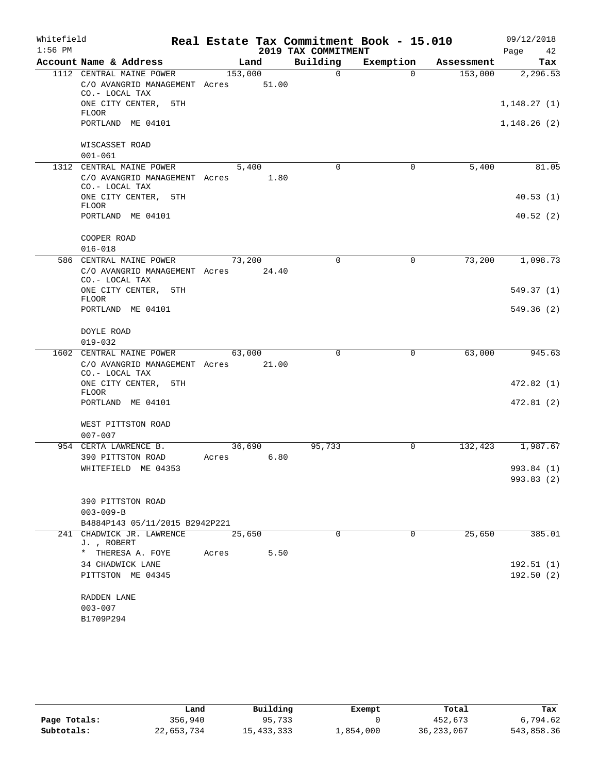| Whitefield |                                                                             |         |       |                     | Real Estate Tax Commitment Book - 15.010 |            | 09/12/2018              |
|------------|-----------------------------------------------------------------------------|---------|-------|---------------------|------------------------------------------|------------|-------------------------|
| $1:56$ PM  |                                                                             |         |       | 2019 TAX COMMITMENT |                                          |            | Page<br>42              |
|            | Account Name & Address                                                      | Land    |       | Building            | Exemption                                | Assessment | Tax                     |
|            | 1112 CENTRAL MAINE POWER<br>C/O AVANGRID MANAGEMENT Acres<br>CO.- LOCAL TAX | 153,000 | 51.00 | $\Omega$            | $\Omega$                                 | 153,000    | 2,296.53                |
|            | ONE CITY CENTER, 5TH<br><b>FLOOR</b>                                        |         |       |                     |                                          |            | 1,148.27(1)             |
|            | PORTLAND ME 04101                                                           |         |       |                     |                                          |            | 1,148.26(2)             |
|            | WISCASSET ROAD<br>$001 - 061$                                               |         |       |                     |                                          |            |                         |
|            | 1312 CENTRAL MAINE POWER                                                    | 5,400   |       | $\Omega$            | 0                                        | 5,400      | 81.05                   |
|            | C/O AVANGRID MANAGEMENT Acres 1.80<br>CO.- LOCAL TAX                        |         |       |                     |                                          |            |                         |
|            | ONE CITY CENTER, 5TH<br><b>FLOOR</b>                                        |         |       |                     |                                          |            | 40.53(1)                |
|            | PORTLAND ME 04101                                                           |         |       |                     |                                          |            | 40.52(2)                |
|            | COOPER ROAD<br>$016 - 018$                                                  |         |       |                     |                                          |            |                         |
|            | 586 CENTRAL MAINE POWER<br>C/O AVANGRID MANAGEMENT Acres<br>CO.- LOCAL TAX  | 73,200  | 24.40 | $\Omega$            | 0                                        | 73,200     | 1,098.73                |
|            | ONE CITY CENTER, 5TH                                                        |         |       |                     |                                          |            | 549.37(1)               |
|            | <b>FLOOR</b><br>PORTLAND ME 04101                                           |         |       |                     |                                          |            | 549.36(2)               |
|            | DOYLE ROAD<br>$019 - 032$                                                   |         |       |                     |                                          |            |                         |
|            | 1602 CENTRAL MAINE POWER                                                    | 63,000  |       | 0                   | 0                                        | 63,000     | 945.63                  |
|            | C/O AVANGRID MANAGEMENT Acres<br>CO.- LOCAL TAX                             |         | 21.00 |                     |                                          |            |                         |
|            | ONE CITY CENTER, 5TH<br><b>FLOOR</b>                                        |         |       |                     |                                          |            | 472.82(1)               |
|            | PORTLAND ME 04101                                                           |         |       |                     |                                          |            | 472.81(2)               |
|            | WEST PITTSTON ROAD<br>$007 - 007$                                           |         |       |                     |                                          |            |                         |
|            | 954 CERTA LAWRENCE B.                                                       | 36,690  |       | 95,733              | 0                                        | 132,423    | 1,987.67                |
|            | 390 PITTSTON ROAD                                                           | Acres   | 6.80  |                     |                                          |            |                         |
|            | WHITEFIELD ME 04353                                                         |         |       |                     |                                          |            | 993.84 (1)              |
|            |                                                                             |         |       |                     |                                          |            | 993.83 (2)              |
|            | 390 PITTSTON ROAD                                                           |         |       |                     |                                          |            |                         |
|            | $003 - 009 - B$                                                             |         |       |                     |                                          |            |                         |
|            | B4884P143 05/11/2015 B2942P221                                              |         |       |                     |                                          |            |                         |
|            | 241 CHADWICK JR. LAWRENCE<br>J., ROBERT                                     | 25,650  |       | 0                   | 0                                        | 25,650     | 385.01                  |
|            | * THERESA A. FOYE                                                           | Acres   | 5.50  |                     |                                          |            |                         |
|            | 34 CHADWICK LANE<br>PITTSTON ME 04345                                       |         |       |                     |                                          |            | 192.51(1)<br>192.50 (2) |
|            | RADDEN LANE                                                                 |         |       |                     |                                          |            |                         |
|            | $003 - 007$                                                                 |         |       |                     |                                          |            |                         |
|            | B1709P294                                                                   |         |       |                     |                                          |            |                         |

|              | Land       | Building     | Exempt    | Total        | Tax        |
|--------------|------------|--------------|-----------|--------------|------------|
| Page Totals: | 356,940    | 95,733       |           | 452,673      | 6,794.62   |
| Subtotals:   | 22,653,734 | 15, 433, 333 | 1,854,000 | 36, 233, 067 | 543,858.36 |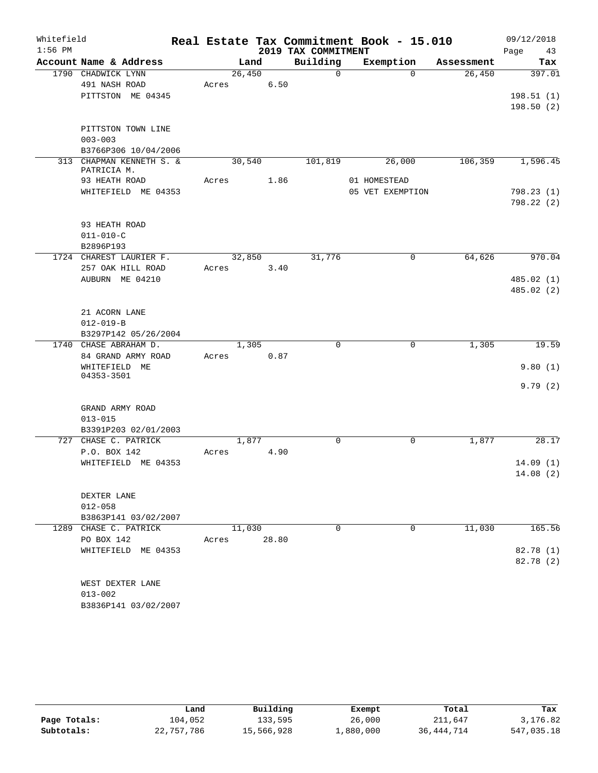| Whitefield |                                      |       |        |       |                     | Real Estate Tax Commitment Book - 15.010 |            | 09/12/2018              |
|------------|--------------------------------------|-------|--------|-------|---------------------|------------------------------------------|------------|-------------------------|
| $1:56$ PM  |                                      |       |        |       | 2019 TAX COMMITMENT |                                          |            | Page<br>43              |
|            | Account Name & Address               |       | Land   |       | Building            | Exemption                                | Assessment | Tax                     |
|            | 1790 CHADWICK LYNN                   |       | 26,450 |       | $\Omega$            | $\Omega$                                 | 26,450     | 397.01                  |
|            | 491 NASH ROAD                        | Acres |        | 6.50  |                     |                                          |            |                         |
|            | PITTSTON ME 04345                    |       |        |       |                     |                                          |            | 198.51(1)               |
|            |                                      |       |        |       |                     |                                          |            | 198.50(2)               |
|            |                                      |       |        |       |                     |                                          |            |                         |
|            | PITTSTON TOWN LINE<br>$003 - 003$    |       |        |       |                     |                                          |            |                         |
|            | B3766P306 10/04/2006                 |       |        |       |                     |                                          |            |                         |
|            | 313 CHAPMAN KENNETH S. &             |       | 30,540 |       | 101,819             | 26,000                                   | 106, 359   | 1,596.45                |
|            | PATRICIA M.                          |       |        |       |                     |                                          |            |                         |
|            | 93 HEATH ROAD                        | Acres |        | 1.86  |                     | 01 HOMESTEAD                             |            |                         |
|            | WHITEFIELD ME 04353                  |       |        |       |                     | 05 VET EXEMPTION                         |            | 798.23(1)               |
|            |                                      |       |        |       |                     |                                          |            | 798.22(2)               |
|            |                                      |       |        |       |                     |                                          |            |                         |
|            | 93 HEATH ROAD                        |       |        |       |                     |                                          |            |                         |
|            | $011 - 010 - C$                      |       |        |       |                     |                                          |            |                         |
|            | B2896P193                            |       |        |       |                     |                                          |            |                         |
|            | 1724 CHAREST LAURIER F.              |       | 32,850 |       | 31,776              | 0                                        | 64,626     | 970.04                  |
|            | 257 OAK HILL ROAD<br>AUBURN ME 04210 | Acres |        | 3.40  |                     |                                          |            |                         |
|            |                                      |       |        |       |                     |                                          |            | 485.02(1)<br>485.02 (2) |
|            |                                      |       |        |       |                     |                                          |            |                         |
|            | 21 ACORN LANE                        |       |        |       |                     |                                          |            |                         |
|            | $012 - 019 - B$                      |       |        |       |                     |                                          |            |                         |
|            | B3297P142 05/26/2004                 |       |        |       |                     |                                          |            |                         |
|            | 1740 CHASE ABRAHAM D.                |       | 1,305  |       | $\Omega$            | $\Omega$                                 | 1,305      | 19.59                   |
|            | 84 GRAND ARMY ROAD                   | Acres |        | 0.87  |                     |                                          |            |                         |
|            | WHITEFIELD ME                        |       |        |       |                     |                                          |            | 9.80(1)                 |
|            | 04353-3501                           |       |        |       |                     |                                          |            |                         |
|            |                                      |       |        |       |                     |                                          |            | 9.79(2)                 |
|            | GRAND ARMY ROAD                      |       |        |       |                     |                                          |            |                         |
|            | $013 - 015$                          |       |        |       |                     |                                          |            |                         |
|            | B3391P203 02/01/2003                 |       |        |       |                     |                                          |            |                         |
|            | 727 CHASE C. PATRICK                 |       | 1,877  |       | $\mathbf 0$         | $\mathbf 0$                              | 1,877      | 28.17                   |
|            | P.O. BOX 142                         | Acres |        | 4.90  |                     |                                          |            |                         |
|            | WHITEFIELD ME 04353                  |       |        |       |                     |                                          |            | 14.09(1)                |
|            |                                      |       |        |       |                     |                                          |            | 14.08(2)                |
|            |                                      |       |        |       |                     |                                          |            |                         |
|            | DEXTER LANE                          |       |        |       |                     |                                          |            |                         |
|            | $012 - 058$                          |       |        |       |                     |                                          |            |                         |
|            | B3863P141 03/02/2007                 |       |        |       |                     |                                          |            |                         |
|            | 1289 CHASE C. PATRICK                |       | 11,030 |       | $\Omega$            | $\mathbf 0$                              | 11,030     | 165.56                  |
|            | PO BOX 142                           | Acres |        | 28.80 |                     |                                          |            |                         |
|            | WHITEFIELD ME 04353                  |       |        |       |                     |                                          |            | 82.78 (1)               |
|            |                                      |       |        |       |                     |                                          |            | 82.78 (2)               |
|            | WEST DEXTER LANE                     |       |        |       |                     |                                          |            |                         |
|            | $013 - 002$                          |       |        |       |                     |                                          |            |                         |
|            | B3836P141 03/02/2007                 |       |        |       |                     |                                          |            |                         |
|            |                                      |       |        |       |                     |                                          |            |                         |

|              | Land       | Building   | Exempt    | Total        | Tax        |
|--------------|------------|------------|-----------|--------------|------------|
| Page Totals: | 104,052    | 133,595    | 26,000    | 211,647      | 3,176.82   |
| Subtotals:   | 22,757,786 | 15,566,928 | 1,880,000 | 36, 444, 714 | 547,035.18 |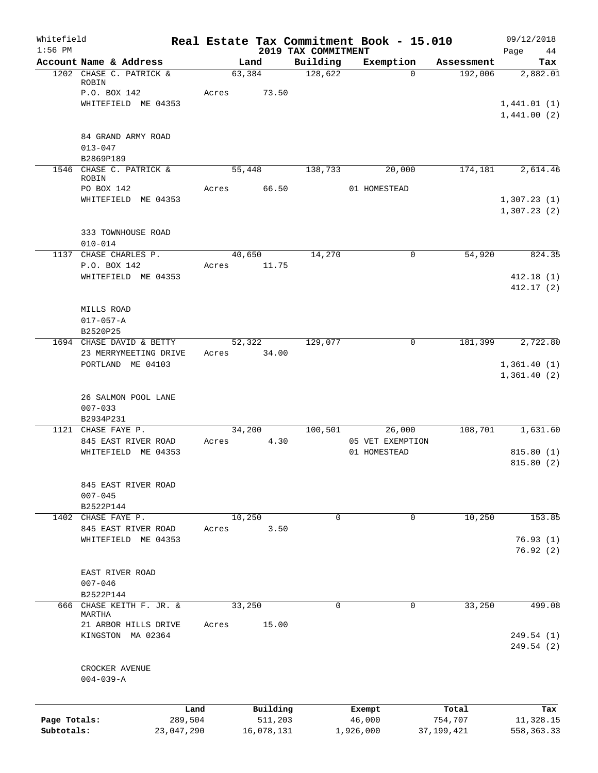| Whitefield<br>$1:56$ PM |                                            |                 |       |                     | 2019 TAX COMMITMENT | Real Estate Tax Commitment Book - 15.010 |                  | 09/12/2018<br>Page         |
|-------------------------|--------------------------------------------|-----------------|-------|---------------------|---------------------|------------------------------------------|------------------|----------------------------|
|                         | Account Name & Address                     |                 |       | Land                | Building            | Exemption                                | Assessment       | 44<br>Tax                  |
|                         | 1202 CHASE C. PATRICK &<br>ROBIN           |                 |       | 63,384              | 128,622             | $\Omega$                                 | 192,006          | 2,882.01                   |
|                         | P.O. BOX 142                               |                 | Acres | 73.50               |                     |                                          |                  |                            |
|                         | WHITEFIELD ME 04353                        |                 |       |                     |                     |                                          |                  | 1,441.01(1)                |
|                         |                                            |                 |       |                     |                     |                                          |                  | 1,441.00(2)                |
|                         | 84 GRAND ARMY ROAD                         |                 |       |                     |                     |                                          |                  |                            |
|                         | $013 - 047$<br>B2869P189                   |                 |       |                     |                     |                                          |                  |                            |
|                         | 1546 CHASE C. PATRICK &<br>ROBIN           |                 |       | 55,448              | 138,733             | 20,000                                   | 174,181          | 2,614.46                   |
|                         | PO BOX 142                                 |                 | Acres | 66.50               |                     | 01 HOMESTEAD                             |                  |                            |
|                         | WHITEFIELD ME 04353                        |                 |       |                     |                     |                                          |                  | 1,307.23(1)<br>1,307.23(2) |
|                         | 333 TOWNHOUSE ROAD                         |                 |       |                     |                     |                                          |                  |                            |
|                         | $010 - 014$                                |                 |       |                     |                     |                                          |                  |                            |
| 1137                    | CHASE CHARLES P.                           |                 |       | 40,650              | 14,270              | $\mathbf 0$                              | 54,920           | 824.35                     |
|                         | P.O. BOX 142<br>WHITEFIELD ME 04353        |                 | Acres | 11.75               |                     |                                          |                  | 412.18(1)                  |
|                         |                                            |                 |       |                     |                     |                                          |                  | 412.17(2)                  |
|                         |                                            |                 |       |                     |                     |                                          |                  |                            |
|                         | MILLS ROAD<br>$017 - 057 - A$              |                 |       |                     |                     |                                          |                  |                            |
|                         | B2520P25                                   |                 |       |                     |                     |                                          |                  |                            |
|                         | 1694 CHASE DAVID & BETTY                   |                 |       | 52,322              | 129,077             | $\mathbf 0$                              | 181,399          | 2,722.80                   |
|                         | 23 MERRYMEETING DRIVE                      |                 | Acres | 34.00               |                     |                                          |                  |                            |
|                         | PORTLAND ME 04103                          |                 |       |                     |                     |                                          |                  | 1,361.40(1)                |
|                         |                                            |                 |       |                     |                     |                                          |                  | 1,361.40(2)                |
|                         | 26 SALMON POOL LANE                        |                 |       |                     |                     |                                          |                  |                            |
|                         | $007 - 033$                                |                 |       |                     |                     |                                          |                  |                            |
|                         | B2934P231                                  |                 |       |                     |                     |                                          |                  |                            |
|                         | 1121 CHASE FAYE P.                         |                 |       | 34,200              | 100,501             | 26,000                                   | 108,701          | 1,631.60                   |
|                         | 845 EAST RIVER ROAD<br>WHITEFIELD ME 04353 |                 | Acres | 4.30                |                     | 05 VET EXEMPTION<br>01 HOMESTEAD         |                  | 815.80(1)                  |
|                         |                                            |                 |       |                     |                     |                                          |                  | 815.80 (2)                 |
|                         |                                            |                 |       |                     |                     |                                          |                  |                            |
|                         | 845 EAST RIVER ROAD                        |                 |       |                     |                     |                                          |                  |                            |
|                         | $007 - 045$                                |                 |       |                     |                     |                                          |                  |                            |
|                         | B2522P144<br>CHASE FAYE P.                 |                 |       | 10,250              | $\mathbf 0$         | 0                                        |                  | 153.85                     |
| 1402                    | 845 EAST RIVER ROAD                        |                 | Acres | 3.50                |                     |                                          | 10,250           |                            |
|                         | WHITEFIELD ME 04353                        |                 |       |                     |                     |                                          |                  | 76.93(1)                   |
|                         |                                            |                 |       |                     |                     |                                          |                  | 76.92(2)                   |
|                         | EAST RIVER ROAD                            |                 |       |                     |                     |                                          |                  |                            |
|                         | $007 - 046$                                |                 |       |                     |                     |                                          |                  |                            |
|                         | B2522P144                                  |                 |       |                     |                     |                                          |                  |                            |
| 666                     | CHASE KEITH F. JR. &                       |                 |       | 33,250              | $\mathsf{O}$        | 0                                        | 33,250           | 499.08                     |
|                         | MARTHA<br>21 ARBOR HILLS DRIVE             |                 | Acres | 15.00               |                     |                                          |                  |                            |
|                         | KINGSTON MA 02364                          |                 |       |                     |                     |                                          |                  | 249.54 (1)                 |
|                         |                                            |                 |       |                     |                     |                                          |                  | 249.54 (2)                 |
|                         | CROCKER AVENUE                             |                 |       |                     |                     |                                          |                  |                            |
|                         | $004 - 039 - A$                            |                 |       |                     |                     |                                          |                  |                            |
|                         |                                            |                 |       |                     |                     |                                          |                  |                            |
| Page Totals:            |                                            | Land<br>289,504 |       | Building<br>511,203 |                     | Exempt<br>46,000                         | Total<br>754,707 | Tax<br>11,328.15           |
| Subtotals:              |                                            | 23,047,290      |       | 16,078,131          |                     | 1,926,000                                | 37,199,421       | 558, 363.33                |
|                         |                                            |                 |       |                     |                     |                                          |                  |                            |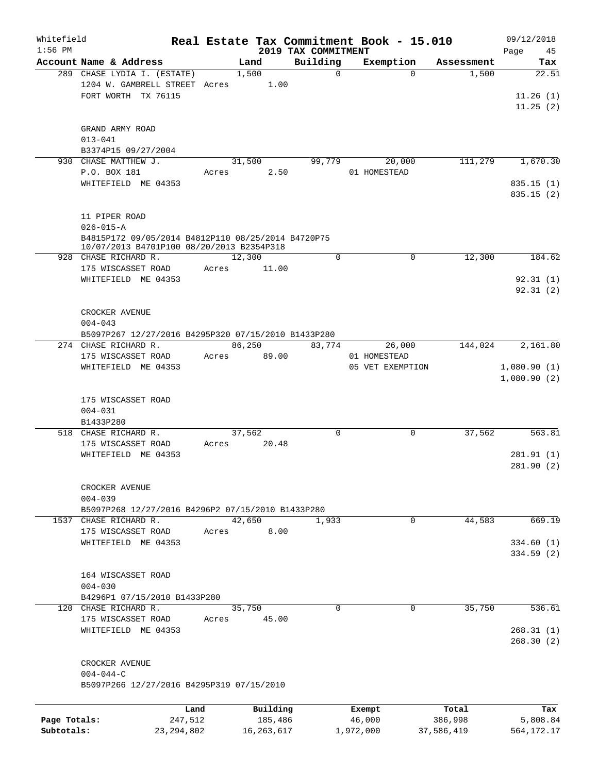| Whitefield<br>$1:56$ PM |                                                                            |         |              |                                 | Real Estate Tax Commitment Book - 15.010 |            | 09/12/2018                 |
|-------------------------|----------------------------------------------------------------------------|---------|--------------|---------------------------------|------------------------------------------|------------|----------------------------|
|                         | Account Name & Address                                                     |         | Land         | 2019 TAX COMMITMENT<br>Building | Exemption                                | Assessment | Page<br>45<br>Tax          |
|                         | 289 CHASE LYDIA I. (ESTATE)                                                |         | 1,500        | $\mathbf 0$                     | $\Omega$                                 | 1,500      | 22.51                      |
|                         | 1204 W. GAMBRELL STREET Acres                                              |         | 1.00         |                                 |                                          |            |                            |
|                         | FORT WORTH TX 76115                                                        |         |              |                                 |                                          |            | 11.26(1)                   |
|                         |                                                                            |         |              |                                 |                                          |            | 11.25(2)                   |
|                         |                                                                            |         |              |                                 |                                          |            |                            |
|                         | GRAND ARMY ROAD                                                            |         |              |                                 |                                          |            |                            |
|                         | $013 - 041$                                                                |         |              |                                 |                                          |            |                            |
|                         | B3374P15 09/27/2004                                                        |         |              |                                 |                                          |            |                            |
|                         | 930 CHASE MATTHEW J.                                                       |         | 31,500       | 99,779                          | 20,000                                   | 111,279    | 1,670.30                   |
|                         | P.O. BOX 181                                                               | Acres   | 2.50         |                                 | 01 HOMESTEAD                             |            |                            |
|                         | WHITEFIELD ME 04353                                                        |         |              |                                 |                                          |            | 835.15(1)<br>835.15(2)     |
|                         |                                                                            |         |              |                                 |                                          |            |                            |
|                         | 11 PIPER ROAD                                                              |         |              |                                 |                                          |            |                            |
|                         | $026 - 015 - A$                                                            |         |              |                                 |                                          |            |                            |
|                         | B4815P172 09/05/2014 B4812P110 08/25/2014 B4720P75                         |         |              |                                 |                                          |            |                            |
|                         | 10/07/2013 B4701P100 08/20/2013 B2354P318                                  |         |              |                                 |                                          |            |                            |
|                         | 928 CHASE RICHARD R.                                                       |         | 12,300       | $\mathbf 0$                     | 0                                        | 12,300     | 184.62                     |
|                         | 175 WISCASSET ROAD                                                         | Acres   | 11.00        |                                 |                                          |            |                            |
|                         | WHITEFIELD ME 04353                                                        |         |              |                                 |                                          |            | 92.31(1)                   |
|                         |                                                                            |         |              |                                 |                                          |            | 92.31(2)                   |
|                         |                                                                            |         |              |                                 |                                          |            |                            |
|                         | CROCKER AVENUE                                                             |         |              |                                 |                                          |            |                            |
|                         | $004 - 043$                                                                |         |              |                                 |                                          |            |                            |
|                         | B5097P267 12/27/2016 B4295P320 07/15/2010 B1433P280                        |         |              |                                 |                                          |            |                            |
|                         | 274 CHASE RICHARD R.                                                       |         | 86,250       | 83,774                          | 26,000                                   | 144,024    | 2,161.80                   |
|                         | 175 WISCASSET ROAD<br>WHITEFIELD ME 04353                                  | Acres   | 89.00        |                                 | 01 HOMESTEAD<br>05 VET EXEMPTION         |            |                            |
|                         |                                                                            |         |              |                                 |                                          |            | 1,080.90(1)<br>1,080.90(2) |
|                         |                                                                            |         |              |                                 |                                          |            |                            |
|                         | 175 WISCASSET ROAD                                                         |         |              |                                 |                                          |            |                            |
|                         | $004 - 031$                                                                |         |              |                                 |                                          |            |                            |
|                         | B1433P280                                                                  |         |              |                                 |                                          |            |                            |
|                         | 518 CHASE RICHARD R.                                                       |         | 37,562       | 0                               | 0                                        | 37,562     | 563.81                     |
|                         | 175 WISCASSET ROAD                                                         | Acres   | 20.48        |                                 |                                          |            |                            |
|                         | WHITEFIELD ME 04353                                                        |         |              |                                 |                                          |            | 281.91 (1)                 |
|                         |                                                                            |         |              |                                 |                                          |            | 281.90(2)                  |
|                         |                                                                            |         |              |                                 |                                          |            |                            |
|                         | CROCKER AVENUE                                                             |         |              |                                 |                                          |            |                            |
|                         | $004 - 039$                                                                |         |              |                                 |                                          |            |                            |
|                         | B5097P268 12/27/2016 B4296P2 07/15/2010 B1433P280<br>1537 CHASE RICHARD R. |         | 42,650       | 1,933                           | 0                                        | 44,583     | 669.19                     |
|                         | 175 WISCASSET ROAD                                                         | Acres   | 8.00         |                                 |                                          |            |                            |
|                         | WHITEFIELD ME 04353                                                        |         |              |                                 |                                          |            | 334.60(1)                  |
|                         |                                                                            |         |              |                                 |                                          |            | 334.59(2)                  |
|                         |                                                                            |         |              |                                 |                                          |            |                            |
|                         | 164 WISCASSET ROAD                                                         |         |              |                                 |                                          |            |                            |
|                         | $004 - 030$                                                                |         |              |                                 |                                          |            |                            |
|                         | B4296P1 07/15/2010 B1433P280                                               |         |              |                                 |                                          |            |                            |
|                         | 120 CHASE RICHARD R.                                                       |         | 35,750       | $\Omega$                        | $\Omega$                                 | 35,750     | 536.61                     |
|                         | 175 WISCASSET ROAD                                                         | Acres   | 45.00        |                                 |                                          |            |                            |
|                         | WHITEFIELD ME 04353                                                        |         |              |                                 |                                          |            | 268.31(1)                  |
|                         |                                                                            |         |              |                                 |                                          |            | 268.30(2)                  |
|                         | CROCKER AVENUE                                                             |         |              |                                 |                                          |            |                            |
|                         | $004 - 044 - C$                                                            |         |              |                                 |                                          |            |                            |
|                         | B5097P266 12/27/2016 B4295P319 07/15/2010                                  |         |              |                                 |                                          |            |                            |
|                         |                                                                            |         |              |                                 |                                          |            |                            |
|                         |                                                                            | Land    | Building     |                                 | Exempt                                   | Total      | Tax                        |
| Page Totals:            |                                                                            | 247,512 | 185,486      |                                 | 46,000                                   | 386,998    | 5,808.84                   |
| Subtotals:              | 23, 294, 802                                                               |         | 16, 263, 617 |                                 | 1,972,000                                | 37,586,419 | 564,172.17                 |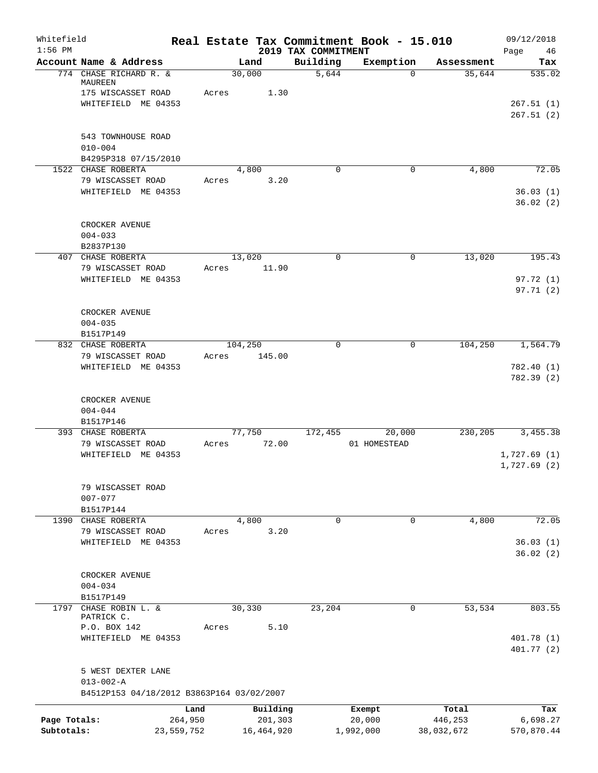| Whitefield<br>$1:56$ PM |                                            |            |       |            | 2019 TAX COMMITMENT | Real Estate Tax Commitment Book - 15.010 |            | 09/12/2018<br>Page<br>46   |
|-------------------------|--------------------------------------------|------------|-------|------------|---------------------|------------------------------------------|------------|----------------------------|
|                         | Account Name & Address                     |            |       | Land       | Building            | Exemption                                | Assessment | Tax                        |
|                         | 774 CHASE RICHARD R. &<br>MAUREEN          |            |       | 30,000     | 5,644               | $\Omega$                                 | 35,644     | 535.02                     |
|                         | 175 WISCASSET ROAD                         |            | Acres | 1.30       |                     |                                          |            |                            |
|                         | WHITEFIELD ME 04353                        |            |       |            |                     |                                          |            | 267.51(1)<br>267.51(2)     |
|                         | 543 TOWNHOUSE ROAD                         |            |       |            |                     |                                          |            |                            |
|                         | $010 - 004$                                |            |       |            |                     |                                          |            |                            |
|                         | B4295P318 07/15/2010<br>1522 CHASE ROBERTA |            |       | 4,800      | $\Omega$            | 0                                        | 4,800      | 72.05                      |
|                         | 79 WISCASSET ROAD                          |            | Acres | 3.20       |                     |                                          |            |                            |
|                         | WHITEFIELD ME 04353                        |            |       |            |                     |                                          |            | 36.03(1)<br>36.02(2)       |
|                         | CROCKER AVENUE                             |            |       |            |                     |                                          |            |                            |
|                         | $004 - 033$<br>B2837P130                   |            |       |            |                     |                                          |            |                            |
|                         | 407 CHASE ROBERTA                          |            |       | 13,020     | $\mathbf 0$         | 0                                        | 13,020     | 195.43                     |
|                         | 79 WISCASSET ROAD                          |            | Acres | 11.90      |                     |                                          |            |                            |
|                         | WHITEFIELD ME 04353                        |            |       |            |                     |                                          |            | 97.72 (1)<br>97.71(2)      |
|                         | CROCKER AVENUE                             |            |       |            |                     |                                          |            |                            |
|                         | $004 - 035$<br>B1517P149                   |            |       |            |                     |                                          |            |                            |
|                         | 832 CHASE ROBERTA                          |            |       | 104,250    | $\Omega$            | $\mathbf 0$                              | 104,250    | 1,564.79                   |
|                         | 79 WISCASSET ROAD                          |            | Acres | 145.00     |                     |                                          |            |                            |
|                         | WHITEFIELD ME 04353                        |            |       |            |                     |                                          |            | 782.40 (1)<br>782.39 (2)   |
|                         | CROCKER AVENUE<br>$004 - 044$<br>B1517P146 |            |       |            |                     |                                          |            |                            |
|                         | 393 CHASE ROBERTA                          |            |       | 77,750     | 172,455             | 20,000                                   | 230,205    | 3,455.38                   |
|                         | 79 WISCASSET ROAD                          |            | Acres | 72.00      |                     | 01 HOMESTEAD                             |            |                            |
|                         | WHITEFIELD ME 04353                        |            |       |            |                     |                                          |            | 1,727.69(1)<br>1,727.69(2) |
|                         | 79 WISCASSET ROAD<br>$007 - 077$           |            |       |            |                     |                                          |            |                            |
|                         | B1517P144<br>1390 CHASE ROBERTA            |            |       | 4,800      | $\mathbf 0$         | 0                                        |            | 72.05                      |
|                         | 79 WISCASSET ROAD                          |            | Acres | 3.20       |                     |                                          | 4,800      |                            |
|                         | WHITEFIELD ME 04353                        |            |       |            |                     |                                          |            | 36.03(1)                   |
|                         |                                            |            |       |            |                     |                                          |            | 36.02(2)                   |
|                         |                                            |            |       |            |                     |                                          |            |                            |
|                         | CROCKER AVENUE                             |            |       |            |                     |                                          |            |                            |
|                         | $004 - 034$<br>B1517P149                   |            |       |            |                     |                                          |            |                            |
|                         | 1797 CHASE ROBIN L. &                      |            |       | 30,330     | 23,204              | 0                                        | 53,534     | 803.55                     |
|                         | PATRICK C.                                 |            |       |            |                     |                                          |            |                            |
|                         | P.O. BOX 142                               |            | Acres | 5.10       |                     |                                          |            |                            |
|                         | WHITEFIELD ME 04353                        |            |       |            |                     |                                          |            | 401.78(1)<br>401.77 (2)    |
|                         | 5 WEST DEXTER LANE<br>$013 - 002 - A$      |            |       |            |                     |                                          |            |                            |
|                         | B4512P153 04/18/2012 B3863P164 03/02/2007  |            |       |            |                     |                                          |            |                            |
|                         |                                            | Land       |       | Building   |                     | Exempt                                   | Total      | Tax                        |
| Page Totals:            |                                            | 264,950    |       | 201,303    |                     | 20,000                                   | 446,253    | 6,698.27                   |
| Subtotals:              |                                            | 23,559,752 |       | 16,464,920 |                     | 1,992,000                                | 38,032,672 | 570,870.44                 |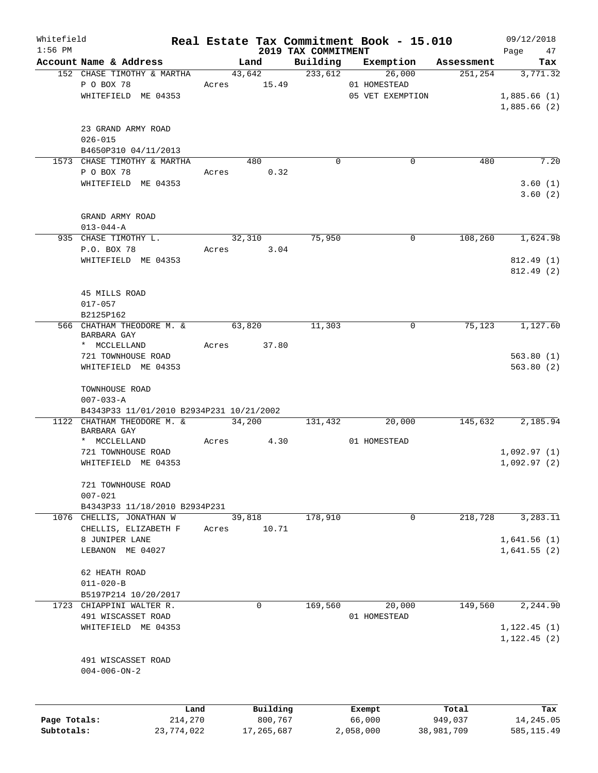| Whitefield<br>$1:56$ PM |                                                |            |       |                       |                                 | Real Estate Tax Commitment Book - 15.010 |            | 09/12/2018                 |
|-------------------------|------------------------------------------------|------------|-------|-----------------------|---------------------------------|------------------------------------------|------------|----------------------------|
|                         | Account Name & Address                         |            |       | Land                  | 2019 TAX COMMITMENT<br>Building | Exemption                                | Assessment | Page<br>47<br>Tax          |
|                         | 152 CHASE TIMOTHY & MARTHA<br>P O BOX 78       |            |       | 43,642<br>Acres 15.49 | 233,612                         | 26,000<br>01 HOMESTEAD                   | 251, 254   | 3,771.32                   |
|                         | WHITEFIELD ME 04353                            |            |       |                       |                                 | 05 VET EXEMPTION                         |            | 1,885.66(1)<br>1,885.66(2) |
|                         | 23 GRAND ARMY ROAD<br>$026 - 015$              |            |       |                       |                                 |                                          |            |                            |
|                         | B4650P310 04/11/2013                           |            |       |                       |                                 |                                          |            |                            |
|                         | 1573 CHASE TIMOTHY & MARTHA<br>P O BOX 78      |            | Acres | 480<br>0.32           | $\Omega$                        | $\Omega$                                 | 480        | 7.20                       |
|                         | WHITEFIELD ME 04353                            |            |       |                       |                                 |                                          |            | 3.60(1)<br>3.60(2)         |
|                         | GRAND ARMY ROAD                                |            |       |                       |                                 |                                          |            |                            |
|                         | $013 - 044 - A$                                |            |       |                       |                                 |                                          |            |                            |
|                         | 935 CHASE TIMOTHY L.                           |            |       | 32,310                | 75,950                          | 0                                        | 108,260    | 1,624.98                   |
|                         | P.O. BOX 78                                    |            | Acres | 3.04                  |                                 |                                          |            |                            |
|                         | WHITEFIELD ME 04353                            |            |       |                       |                                 |                                          |            | 812.49(1)<br>812.49(2)     |
|                         | 45 MILLS ROAD                                  |            |       |                       |                                 |                                          |            |                            |
|                         | $017 - 057$                                    |            |       |                       |                                 |                                          |            |                            |
|                         | B2125P162<br>566 CHATHAM THEODORE M. &         |            |       | 63,820                | 11,303                          | $\mathbf 0$                              | 75,123     | 1,127.60                   |
|                         | BARBARA GAY                                    |            |       |                       |                                 |                                          |            |                            |
|                         | * MCCLELLAND                                   |            | Acres | 37.80                 |                                 |                                          |            |                            |
|                         | 721 TOWNHOUSE ROAD<br>WHITEFIELD ME 04353      |            |       |                       |                                 |                                          |            | 563.80(1)<br>563.80(2)     |
|                         |                                                |            |       |                       |                                 |                                          |            |                            |
|                         | TOWNHOUSE ROAD<br>$007 - 033 - A$              |            |       |                       |                                 |                                          |            |                            |
|                         | B4343P33 11/01/2010 B2934P231 10/21/2002       |            |       |                       |                                 |                                          |            |                            |
|                         | 1122 CHATHAM THEODORE M. &<br>BARBARA GAY      |            |       | 34,200                | 131,432                         | 20,000                                   | 145,632    | 2,185.94                   |
|                         | * MCCLELLAND                                   |            | Acres | 4.30                  |                                 | 01 HOMESTEAD                             |            |                            |
|                         | 721 TOWNHOUSE ROAD                             |            |       |                       |                                 |                                          |            | 1,092.97(1)                |
|                         | WHITEFIELD ME 04353                            |            |       |                       |                                 |                                          |            | 1,092.97(2)                |
|                         | 721 TOWNHOUSE ROAD<br>$007 - 021$              |            |       |                       |                                 |                                          |            |                            |
|                         | B4343P33 11/18/2010 B2934P231                  |            |       |                       |                                 |                                          |            |                            |
|                         | 1076 CHELLIS, JONATHAN W                       |            |       | 39,818                | 178,910                         | 0                                        | 218,728    | 3,283.11                   |
|                         | CHELLIS, ELIZABETH F<br>8 JUNIPER LANE         |            | Acres | 10.71                 |                                 |                                          |            |                            |
|                         | LEBANON ME 04027                               |            |       |                       |                                 |                                          |            | 1,641.56(1)<br>1,641.55(2) |
|                         | 62 HEATH ROAD                                  |            |       |                       |                                 |                                          |            |                            |
|                         | $011 - 020 - B$                                |            |       |                       |                                 |                                          |            |                            |
|                         | B5197P214 10/20/2017                           |            |       |                       |                                 |                                          |            |                            |
|                         | 1723 CHIAPPINI WALTER R.<br>491 WISCASSET ROAD |            |       | 0                     | 169,560                         | 20,000<br>01 HOMESTEAD                   | 149,560    | 2,244.90                   |
|                         | WHITEFIELD ME 04353                            |            |       |                       |                                 |                                          |            | 1, 122.45(1)               |
|                         |                                                |            |       |                       |                                 |                                          |            | 1, 122.45(2)               |
|                         | 491 WISCASSET ROAD                             |            |       |                       |                                 |                                          |            |                            |
|                         | $004 - 006 - ON - 2$                           |            |       |                       |                                 |                                          |            |                            |
|                         |                                                | Land       |       | Building              |                                 | Exempt                                   | Total      | Tax                        |
| Page Totals:            |                                                | 214,270    |       | 800,767               |                                 | 66,000                                   | 949,037    | 14,245.05                  |
| Subtotals:              |                                                | 23,774,022 |       | 17,265,687            |                                 | 2,058,000                                | 38,981,709 | 585, 115.49                |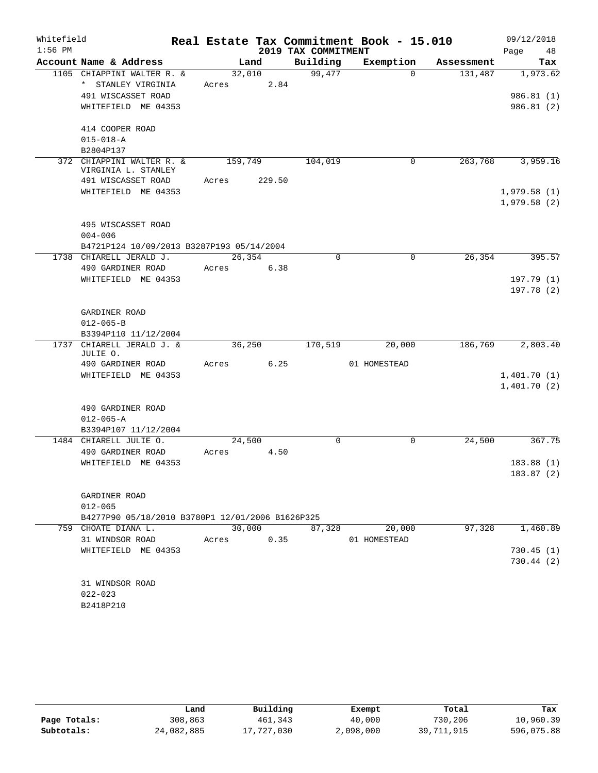| Whitefield |                                                  |            |        |                     | Real Estate Tax Commitment Book - 15.010 |            | 09/12/2018  |          |
|------------|--------------------------------------------------|------------|--------|---------------------|------------------------------------------|------------|-------------|----------|
| $1:56$ PM  |                                                  |            |        | 2019 TAX COMMITMENT |                                          |            | Page        | 48       |
|            | Account Name & Address                           |            | Land   | Building            | Exemption                                | Assessment |             | Tax      |
|            | 1105 CHIAPPINI WALTER R. &                       |            | 32,010 | 99,477              | $\Omega$                                 | 131,487    |             | 1,973.62 |
|            | * STANLEY VIRGINIA                               | Acres      | 2.84   |                     |                                          |            |             |          |
|            | 491 WISCASSET ROAD                               |            |        |                     |                                          |            | 986.81(1)   |          |
|            | WHITEFIELD ME 04353                              |            |        |                     |                                          |            | 986.81 (2)  |          |
|            | 414 COOPER ROAD                                  |            |        |                     |                                          |            |             |          |
|            | $015 - 018 - A$                                  |            |        |                     |                                          |            |             |          |
|            | B2804P137                                        |            |        |                     |                                          |            |             |          |
|            | 372 CHIAPPINI WALTER R. &<br>VIRGINIA L. STANLEY | 159,749    |        | 104,019             | $\mathbf 0$                              | 263,768    |             | 3,959.16 |
|            | 491 WISCASSET ROAD                               | Acres      | 229.50 |                     |                                          |            |             |          |
|            | WHITEFIELD ME 04353                              |            |        |                     |                                          |            | 1,979.58(1) |          |
|            |                                                  |            |        |                     |                                          |            | 1,979.58(2) |          |
|            | 495 WISCASSET ROAD                               |            |        |                     |                                          |            |             |          |
|            | $004 - 006$                                      |            |        |                     |                                          |            |             |          |
|            | B4721P124 10/09/2013 B3287P193 05/14/2004        |            |        |                     |                                          |            |             |          |
|            | 1738 CHIARELL JERALD J.                          | 26,354     |        | 0                   | 0                                        | 26, 354    |             | 395.57   |
|            | 490 GARDINER ROAD                                | Acres 6.38 |        |                     |                                          |            |             |          |
|            | WHITEFIELD ME 04353                              |            |        |                     |                                          |            | 197.79(1)   |          |
|            |                                                  |            |        |                     |                                          |            | 197.78(2)   |          |
|            | GARDINER ROAD                                    |            |        |                     |                                          |            |             |          |
|            | $012 - 065 - B$                                  |            |        |                     |                                          |            |             |          |
|            | B3394P110 11/12/2004                             |            |        |                     |                                          |            |             |          |
|            | 1737 CHIARELL JERALD J. &                        | 36,250     |        | 170,519             | 20,000                                   | 186,769    |             | 2,803.40 |
|            | JULIE O.                                         |            |        |                     |                                          |            |             |          |
|            | 490 GARDINER ROAD                                | Acres 6.25 |        |                     | 01 HOMESTEAD                             |            |             |          |
|            | WHITEFIELD ME 04353                              |            |        |                     |                                          |            | 1,401.70(1) |          |
|            |                                                  |            |        |                     |                                          |            | 1,401.70(2) |          |
|            | 490 GARDINER ROAD                                |            |        |                     |                                          |            |             |          |
|            | $012 - 065 - A$                                  |            |        |                     |                                          |            |             |          |
|            | B3394P107 11/12/2004                             |            |        |                     |                                          |            |             |          |
|            | 1484 CHIARELL JULIE O.                           | 24,500     |        | $\Omega$            | $\mathbf 0$                              | 24,500     |             | 367.75   |
|            | 490 GARDINER ROAD                                | Acres      | 4.50   |                     |                                          |            |             |          |
|            | WHITEFIELD ME 04353                              |            |        |                     |                                          |            | 183.88(1)   |          |
|            |                                                  |            |        |                     |                                          |            | 183.87(2)   |          |
|            | GARDINER ROAD                                    |            |        |                     |                                          |            |             |          |
|            | $012 - 065$                                      |            |        |                     |                                          |            |             |          |
|            | B4277P90 05/18/2010 B3780P1 12/01/2006 B1626P325 |            |        |                     |                                          |            |             |          |
|            | 759 CHOATE DIANA L.                              | 30,000     |        | 87,328              | 20,000                                   | 97,328     |             | 1,460.89 |
|            | 31 WINDSOR ROAD                                  | Acres      | 0.35   |                     | 01 HOMESTEAD                             |            |             |          |
|            | WHITEFIELD ME 04353                              |            |        |                     |                                          |            | 730.45(1)   |          |
|            |                                                  |            |        |                     |                                          |            | 730.44 (2)  |          |
|            | 31 WINDSOR ROAD                                  |            |        |                     |                                          |            |             |          |
|            | $022 - 023$                                      |            |        |                     |                                          |            |             |          |
|            | B2418P210                                        |            |        |                     |                                          |            |             |          |
|            |                                                  |            |        |                     |                                          |            |             |          |

|              | Land       | Building   | Exempt    | Total      | Tax        |
|--------------|------------|------------|-----------|------------|------------|
| Page Totals: | 308,863    | 461,343    | 40,000    | 730,206    | 10,960.39  |
| Subtotals:   | 24,082,885 | 17,727,030 | 2,098,000 | 39,711,915 | 596,075.88 |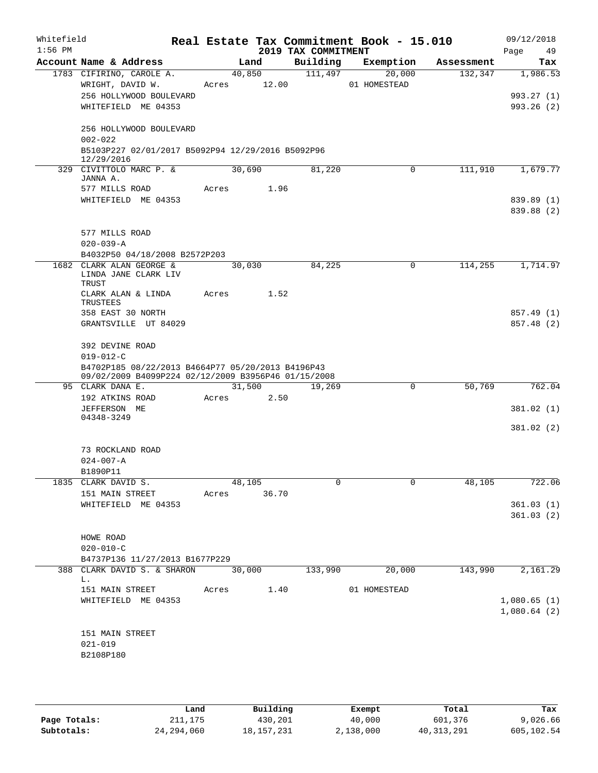| Whitefield<br>$1:56$ PM |                                                                 |             |        | 2019 TAX COMMITMENT | Real Estate Tax Commitment Book - 15.010 |            | 09/12/2018<br>Page<br>49 |
|-------------------------|-----------------------------------------------------------------|-------------|--------|---------------------|------------------------------------------|------------|--------------------------|
|                         | Account Name & Address                                          |             | Land   | Building            | Exemption                                | Assessment | Tax                      |
|                         | 1783 CIFIRINO, CAROLE A.                                        |             | 40,850 | 111,497             | 20,000                                   | 132,347    | 1,986.53                 |
|                         | WRIGHT, DAVID W.                                                | Acres 12.00 |        |                     | 01 HOMESTEAD                             |            |                          |
|                         | 256 HOLLYWOOD BOULEVARD                                         |             |        |                     |                                          |            | 993.27 (1)               |
|                         | WHITEFIELD ME 04353                                             |             |        |                     |                                          |            | 993.26(2)                |
|                         | 256 HOLLYWOOD BOULEVARD                                         |             |        |                     |                                          |            |                          |
|                         | $002 - 022$                                                     |             |        |                     |                                          |            |                          |
|                         | B5103P227 02/01/2017 B5092P94 12/29/2016 B5092P96<br>12/29/2016 |             |        |                     |                                          |            |                          |
|                         | 329 CIVITTOLO MARC P. &                                         |             | 30,690 | 81,220              | 0                                        | 111,910    | 1,679.77                 |
|                         | JANNA A.                                                        |             |        |                     |                                          |            |                          |
|                         | 577 MILLS ROAD                                                  | Acres 1.96  |        |                     |                                          |            |                          |
|                         | WHITEFIELD ME 04353                                             |             |        |                     |                                          |            | 839.89 (1)               |
|                         |                                                                 |             |        |                     |                                          |            | 839.88 (2)               |
|                         | 577 MILLS ROAD                                                  |             |        |                     |                                          |            |                          |
|                         | $020 - 039 - A$                                                 |             |        |                     |                                          |            |                          |
|                         | B4032P50 04/18/2008 B2572P203                                   |             |        |                     |                                          |            |                          |
|                         | 1682 CLARK ALAN GEORGE &                                        |             | 30,030 | 84,225              | 0                                        | 114,255    | 1,714.97                 |
|                         | LINDA JANE CLARK LIV<br>TRUST                                   |             |        |                     |                                          |            |                          |
|                         | CLARK ALAN & LINDA                                              | Acres       | 1.52   |                     |                                          |            |                          |
|                         | TRUSTEES                                                        |             |        |                     |                                          |            |                          |
|                         | 358 EAST 30 NORTH                                               |             |        |                     |                                          |            | 857.49 (1)               |
|                         | GRANTSVILLE UT 84029                                            |             |        |                     |                                          |            | 857.48 (2)               |
|                         | 392 DEVINE ROAD                                                 |             |        |                     |                                          |            |                          |
|                         | $019 - 012 - C$                                                 |             |        |                     |                                          |            |                          |
|                         | B4702P185 08/22/2013 B4664P77 05/20/2013 B4196P43               |             |        |                     |                                          |            |                          |
|                         | 09/02/2009 B4099P224 02/12/2009 B3956P46 01/15/2008             |             |        |                     |                                          |            |                          |
|                         | 95 CLARK DANA E.                                                |             | 31,500 | 19,269              | $\mathbf 0$                              | 50,769     | 762.04                   |
|                         | 192 ATKINS ROAD<br>JEFFERSON ME                                 | Acres       | 2.50   |                     |                                          |            | 381.02 (1)               |
|                         | 04348-3249                                                      |             |        |                     |                                          |            |                          |
|                         |                                                                 |             |        |                     |                                          |            | 381.02 (2)               |
|                         |                                                                 |             |        |                     |                                          |            |                          |
|                         | 73 ROCKLAND ROAD                                                |             |        |                     |                                          |            |                          |
|                         | $024 - 007 - A$<br>B1890P11                                     |             |        |                     |                                          |            |                          |
|                         | 1835 CLARK DAVID S.                                             |             | 48,105 | 0                   | 0                                        | 48,105     | 722.06                   |
|                         | 151 MAIN STREET                                                 | Acres 36.70 |        |                     |                                          |            |                          |
|                         | WHITEFIELD ME 04353                                             |             |        |                     |                                          |            | 361.03(1)                |
|                         |                                                                 |             |        |                     |                                          |            | 361.03(2)                |
|                         |                                                                 |             |        |                     |                                          |            |                          |
|                         | HOWE ROAD<br>$020 - 010 - C$                                    |             |        |                     |                                          |            |                          |
|                         | B4737P136 11/27/2013 B1677P229                                  |             |        |                     |                                          |            |                          |
|                         | 388 CLARK DAVID S. & SHARON 30,000                              |             |        | 133,990             | 20,000                                   | 143,990    | 2,161.29                 |
|                         | L.                                                              |             |        |                     |                                          |            |                          |
|                         | 151 MAIN STREET Acres 1.40                                      |             |        |                     | 01 HOMESTEAD                             |            |                          |
|                         | WHITEFIELD ME 04353                                             |             |        |                     |                                          |            | 1,080.65(1)              |
|                         |                                                                 |             |        |                     |                                          |            | 1,080.64(2)              |
|                         | 151 MAIN STREET                                                 |             |        |                     |                                          |            |                          |
|                         | $021 - 019$                                                     |             |        |                     |                                          |            |                          |
|                         | B2108P180                                                       |             |        |                     |                                          |            |                          |
|                         |                                                                 |             |        |                     |                                          |            |                          |
|                         |                                                                 |             |        |                     |                                          |            |                          |

|              | Land         | Building     | Exempt    | Total      | Tax        |
|--------------|--------------|--------------|-----------|------------|------------|
| Page Totals: | 211,175      | 430,201      | 40,000    | 601,376    | 9,026.66   |
| Subtotals:   | 24, 294, 060 | 18, 157, 231 | 2,138,000 | 40,313,291 | 605,102.54 |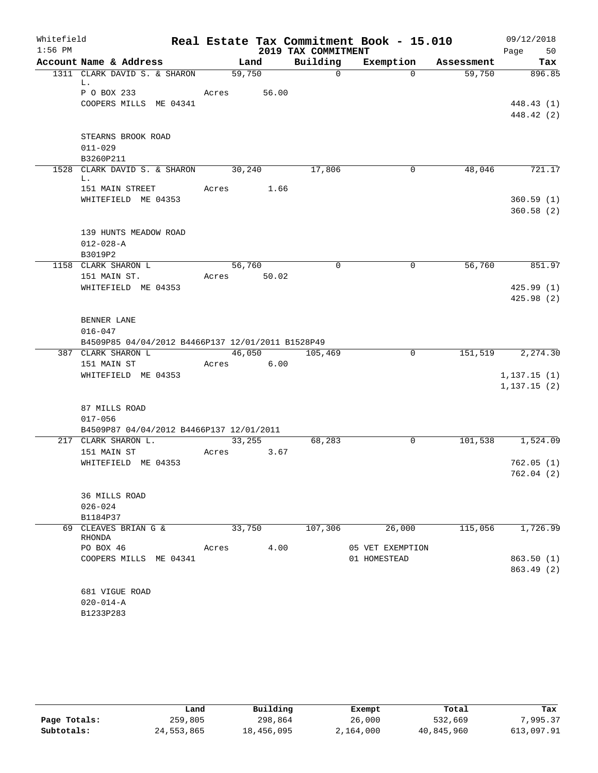| Whitefield<br>$1:56$ PM |                                                   |       |        | 2019 TAX COMMITMENT | Real Estate Tax Commitment Book - 15.010 |            | 09/12/2018<br>Page<br>50 |
|-------------------------|---------------------------------------------------|-------|--------|---------------------|------------------------------------------|------------|--------------------------|
|                         | Account Name & Address                            |       | Land   | Building            | Exemption                                | Assessment | Tax                      |
|                         | 1311 CLARK DAVID S. & SHARON                      |       | 59,750 | $\mathbf 0$         | $\Omega$                                 | 59,750     | 896.85                   |
|                         | L.                                                |       |        |                     |                                          |            |                          |
|                         | P O BOX 233                                       | Acres | 56.00  |                     |                                          |            |                          |
|                         | COOPERS MILLS ME 04341                            |       |        |                     |                                          |            | 448.43 (1)               |
|                         |                                                   |       |        |                     |                                          |            | 448.42 (2)               |
|                         | STEARNS BROOK ROAD                                |       |        |                     |                                          |            |                          |
|                         | $011 - 029$                                       |       |        |                     |                                          |            |                          |
|                         | B3260P211                                         |       |        |                     |                                          |            |                          |
|                         | 1528 CLARK DAVID S. & SHARON                      |       | 30,240 | 17,806              | $\mathbf{0}$                             | 48,046     | 721.17                   |
|                         | L.                                                |       |        |                     |                                          |            |                          |
|                         | 151 MAIN STREET                                   | Acres | 1.66   |                     |                                          |            |                          |
|                         | WHITEFIELD ME 04353                               |       |        |                     |                                          |            | 360.59(1)                |
|                         |                                                   |       |        |                     |                                          |            | 360.58(2)                |
|                         |                                                   |       |        |                     |                                          |            |                          |
|                         | 139 HUNTS MEADOW ROAD                             |       |        |                     |                                          |            |                          |
|                         | $012 - 028 - A$                                   |       |        |                     |                                          |            |                          |
|                         | B3019P2                                           |       |        |                     |                                          |            |                          |
|                         | 1158 CLARK SHARON L                               |       | 56,760 | $\Omega$            | 0                                        | 56,760     | 851.97                   |
|                         | 151 MAIN ST.<br>WHITEFIELD ME 04353               | Acres | 50.02  |                     |                                          |            | 425.99(1)                |
|                         |                                                   |       |        |                     |                                          |            | 425.98(2)                |
|                         |                                                   |       |        |                     |                                          |            |                          |
|                         | BENNER LANE                                       |       |        |                     |                                          |            |                          |
|                         | $016 - 047$                                       |       |        |                     |                                          |            |                          |
|                         | B4509P85 04/04/2012 B4466P137 12/01/2011 B1528P49 |       |        |                     |                                          |            |                          |
|                         | 387 CLARK SHARON L                                |       |        | 46,050 105,469      | 0                                        | 151,519    | 2,274.30                 |
|                         | 151 MAIN ST                                       | Acres | 6.00   |                     |                                          |            |                          |
|                         | WHITEFIELD ME 04353                               |       |        |                     |                                          |            | 1,137.15(1)              |
|                         |                                                   |       |        |                     |                                          |            | 1, 137.15(2)             |
|                         |                                                   |       |        |                     |                                          |            |                          |
|                         | 87 MILLS ROAD                                     |       |        |                     |                                          |            |                          |
|                         | $017 - 056$                                       |       |        |                     |                                          |            |                          |
|                         | B4509P87 04/04/2012 B4466P137 12/01/2011          |       |        |                     |                                          |            |                          |
|                         | 217 CLARK SHARON L.                               |       | 33,255 | 68,283              | 0                                        |            | 101,538 1,524.09         |
|                         | 151 MAIN ST                                       | Acres | 3.67   |                     |                                          |            |                          |
|                         | WHITEFIELD ME 04353                               |       |        |                     |                                          |            | 762.05(1)<br>762.04(2)   |
|                         |                                                   |       |        |                     |                                          |            |                          |
|                         | 36 MILLS ROAD                                     |       |        |                     |                                          |            |                          |
|                         | $026 - 024$                                       |       |        |                     |                                          |            |                          |
|                         | B1184P37                                          |       |        |                     |                                          |            |                          |
|                         | 69 CLEAVES BRIAN G &                              |       | 33,750 | 107,306             | 26,000                                   | 115,056    | 1,726.99                 |
|                         | RHONDA                                            |       |        |                     |                                          |            |                          |
|                         | PO BOX 46                                         | Acres | 4.00   |                     | 05 VET EXEMPTION                         |            |                          |
|                         | COOPERS MILLS ME 04341                            |       |        |                     | 01 HOMESTEAD                             |            | 863.50(1)                |
|                         |                                                   |       |        |                     |                                          |            | 863.49(2)                |
|                         |                                                   |       |        |                     |                                          |            |                          |
|                         | 681 VIGUE ROAD                                    |       |        |                     |                                          |            |                          |
|                         | $020 - 014 - A$                                   |       |        |                     |                                          |            |                          |
|                         | B1233P283                                         |       |        |                     |                                          |            |                          |

|              | Land       | Building   | Exempt    | Total      | Tax        |
|--------------|------------|------------|-----------|------------|------------|
| Page Totals: | 259,805    | 298,864    | 26,000    | 532,669    | 7.995.37   |
| Subtotals:   | 24,553,865 | 18,456,095 | 2,164,000 | 40,845,960 | 613,097.91 |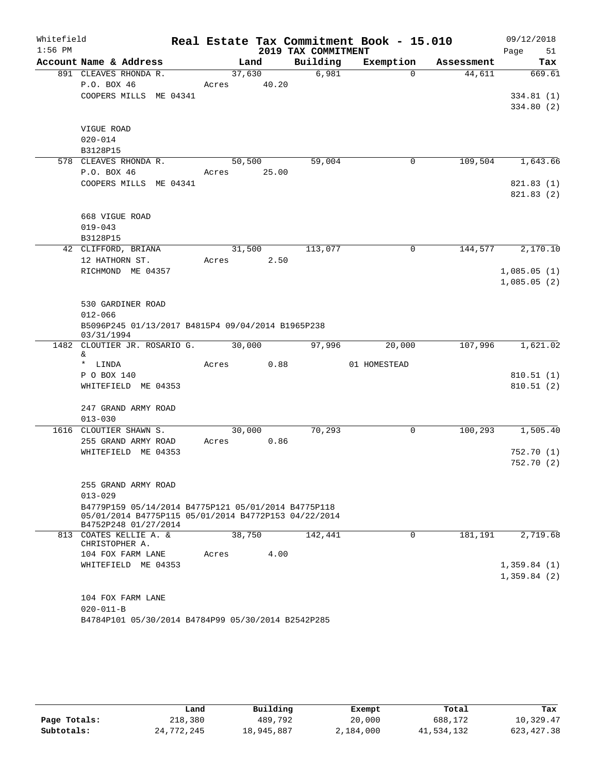| Whitefield |                                                                              |       |                |                     | Real Estate Tax Commitment Book - 15.010 |            | 09/12/2018  |
|------------|------------------------------------------------------------------------------|-------|----------------|---------------------|------------------------------------------|------------|-------------|
| $1:56$ PM  |                                                                              |       |                | 2019 TAX COMMITMENT |                                          |            | Page<br>51  |
|            | Account Name & Address                                                       |       | Land           | Building            | Exemption                                | Assessment | Tax         |
|            | 891 CLEAVES RHONDA R.                                                        |       | 37,630         | 6,981               | $\Omega$                                 | 44,611     | 669.61      |
|            | P.O. BOX 46                                                                  | Acres | 40.20          |                     |                                          |            |             |
|            | COOPERS MILLS ME 04341                                                       |       |                |                     |                                          |            | 334.81(1)   |
|            |                                                                              |       |                |                     |                                          |            | 334.80(2)   |
|            | VIGUE ROAD                                                                   |       |                |                     |                                          |            |             |
|            | $020 - 014$                                                                  |       |                |                     |                                          |            |             |
|            | B3128P15                                                                     |       |                |                     |                                          |            |             |
|            | 578 CLEAVES RHONDA R.                                                        |       | 50,500         | 59,004              | 0                                        | 109,504    | 1,643.66    |
|            | P.O. BOX 46                                                                  | Acres | 25.00          |                     |                                          |            |             |
|            | COOPERS MILLS ME 04341                                                       |       |                |                     |                                          |            | 821.83(1)   |
|            |                                                                              |       |                |                     |                                          |            | 821.83(2)   |
|            |                                                                              |       |                |                     |                                          |            |             |
|            | 668 VIGUE ROAD                                                               |       |                |                     |                                          |            |             |
|            | $019 - 043$                                                                  |       |                |                     |                                          |            |             |
|            | B3128P15                                                                     |       |                |                     | $\mathbf 0$                              |            |             |
|            | 42 CLIFFORD, BRIANA<br>12 HATHORN ST.                                        | Acres | 31,500<br>2.50 | 113,077             |                                          | 144,577    | 2,170.10    |
|            | RICHMOND ME 04357                                                            |       |                |                     |                                          |            | 1,085.05(1) |
|            |                                                                              |       |                |                     |                                          |            | 1,085.05(2) |
|            |                                                                              |       |                |                     |                                          |            |             |
|            | 530 GARDINER ROAD                                                            |       |                |                     |                                          |            |             |
|            | $012 - 066$                                                                  |       |                |                     |                                          |            |             |
|            | B5096P245 01/13/2017 B4815P4 09/04/2014 B1965P238<br>03/31/1994              |       |                |                     |                                          |            |             |
| 1482       | CLOUTIER JR. ROSARIO G.                                                      |       | 30,000         | 97,996              | 20,000                                   | 107,996    | 1,621.02    |
|            | &<br>* LINDA                                                                 |       |                |                     | 01 HOMESTEAD                             |            |             |
|            | P O BOX 140                                                                  | Acres | 0.88           |                     |                                          |            | 810.51(1)   |
|            | WHITEFIELD ME 04353                                                          |       |                |                     |                                          |            | 810.51(2)   |
|            |                                                                              |       |                |                     |                                          |            |             |
|            | 247 GRAND ARMY ROAD                                                          |       |                |                     |                                          |            |             |
|            | $013 - 030$                                                                  |       |                |                     |                                          |            |             |
|            | 1616 CLOUTIER SHAWN S.                                                       |       | 30,000         | 70,293              | $\mathbf 0$                              | 100, 293   | 1,505.40    |
|            | 255 GRAND ARMY ROAD                                                          | Acres | 0.86           |                     |                                          |            |             |
|            | WHITEFIELD ME 04353                                                          |       |                |                     |                                          |            | 752.70(1)   |
|            |                                                                              |       |                |                     |                                          |            | 752.70(2)   |
|            |                                                                              |       |                |                     |                                          |            |             |
|            | 255 GRAND ARMY ROAD<br>$013 - 029$                                           |       |                |                     |                                          |            |             |
|            | B4779P159 05/14/2014 B4775P121 05/01/2014 B4775P118                          |       |                |                     |                                          |            |             |
|            | 05/01/2014 B4775P115 05/01/2014 B4772P153 04/22/2014<br>B4752P248 01/27/2014 |       |                |                     |                                          |            |             |
|            | 813 COATES KELLIE A. &                                                       |       | 38,750         | 142,441             | $\mathbf 0$                              | 181,191    | 2,719.68    |
|            | CHRISTOPHER A.                                                               |       |                |                     |                                          |            |             |
|            | 104 FOX FARM LANE                                                            | Acres | 4.00           |                     |                                          |            | 1,359.84(1) |
|            | WHITEFIELD ME 04353                                                          |       |                |                     |                                          |            | 1,359.84(2) |
|            |                                                                              |       |                |                     |                                          |            |             |
|            | 104 FOX FARM LANE                                                            |       |                |                     |                                          |            |             |
|            | $020 - 011 - B$                                                              |       |                |                     |                                          |            |             |
|            | B4784P101 05/30/2014 B4784P99 05/30/2014 B2542P285                           |       |                |                     |                                          |            |             |

|              | Land       | Building   | Exempt    | Total      | Tax         |
|--------------|------------|------------|-----------|------------|-------------|
| Page Totals: | 218,380    | 489,792    | 20,000    | 688,172    | 10,329.47   |
| Subtotals:   | 24,772,245 | 18,945,887 | 2,184,000 | 41,534,132 | 623, 427.38 |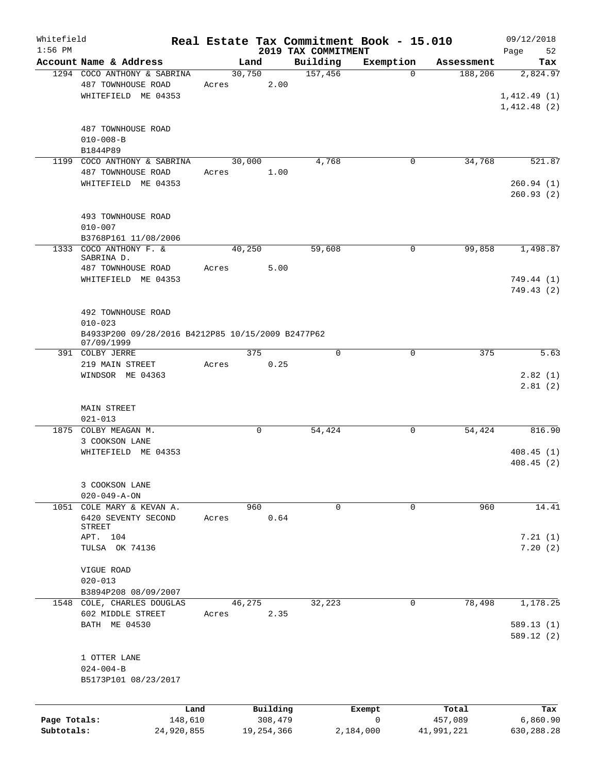| Whitefield   |                                                   |       |             |              |                                 | Real Estate Tax Commitment Book - 15.010 |            | 09/12/2018        |
|--------------|---------------------------------------------------|-------|-------------|--------------|---------------------------------|------------------------------------------|------------|-------------------|
| $1:56$ PM    | Account Name & Address                            |       | Land        |              | 2019 TAX COMMITMENT<br>Building | Exemption                                | Assessment | Page<br>52<br>Tax |
|              | 1294 COCO ANTHONY & SABRINA                       |       | 30,750      |              | 157,456                         | $\Omega$                                 | 188,206    | 2,824.97          |
|              | 487 TOWNHOUSE ROAD                                | Acres |             | 2.00         |                                 |                                          |            |                   |
|              | WHITEFIELD ME 04353                               |       |             |              |                                 |                                          |            | 1,412.49(1)       |
|              |                                                   |       |             |              |                                 |                                          |            | 1,412.48(2)       |
|              |                                                   |       |             |              |                                 |                                          |            |                   |
|              | 487 TOWNHOUSE ROAD                                |       |             |              |                                 |                                          |            |                   |
|              | $010 - 008 - B$                                   |       |             |              |                                 |                                          |            |                   |
|              | B1844P89                                          |       |             |              |                                 |                                          |            |                   |
| 1199         | COCO ANTHONY & SABRINA                            |       | 30,000      |              | 4,768                           | 0                                        | 34,768     | 521.87            |
|              | 487 TOWNHOUSE ROAD                                | Acres |             | 1.00         |                                 |                                          |            |                   |
|              | WHITEFIELD ME 04353                               |       |             |              |                                 |                                          |            | 260.94(1)         |
|              |                                                   |       |             |              |                                 |                                          |            | 260.93(2)         |
|              |                                                   |       |             |              |                                 |                                          |            |                   |
|              | 493 TOWNHOUSE ROAD                                |       |             |              |                                 |                                          |            |                   |
|              | $010 - 007$                                       |       |             |              |                                 |                                          |            |                   |
|              | B3768P161 11/08/2006                              |       |             |              |                                 |                                          |            |                   |
| 1333         | COCO ANTHONY F. &                                 |       | 40,250      |              | 59,608                          | 0                                        | 99,858     | 1,498.87          |
|              | SABRINA D.                                        |       |             |              |                                 |                                          |            |                   |
|              | 487 TOWNHOUSE ROAD                                | Acres |             | 5.00         |                                 |                                          |            |                   |
|              | WHITEFIELD ME 04353                               |       |             |              |                                 |                                          |            | 749.44 (1)        |
|              |                                                   |       |             |              |                                 |                                          |            | 749.43 (2)        |
|              |                                                   |       |             |              |                                 |                                          |            |                   |
|              | 492 TOWNHOUSE ROAD                                |       |             |              |                                 |                                          |            |                   |
|              | $010 - 023$                                       |       |             |              |                                 |                                          |            |                   |
|              | B4933P200 09/28/2016 B4212P85 10/15/2009 B2477P62 |       |             |              |                                 |                                          |            |                   |
|              | 07/09/1999<br>391 COLBY JERRE                     |       | 375         |              | 0                               | 0                                        | 375        | 5.63              |
|              | 219 MAIN STREET                                   | Acres |             | 0.25         |                                 |                                          |            |                   |
|              | WINDSOR ME 04363                                  |       |             |              |                                 |                                          |            | 2.82(1)           |
|              |                                                   |       |             |              |                                 |                                          |            | 2.81(2)           |
|              |                                                   |       |             |              |                                 |                                          |            |                   |
|              | <b>MAIN STREET</b>                                |       |             |              |                                 |                                          |            |                   |
|              | $021 - 013$                                       |       |             |              |                                 |                                          |            |                   |
| 1875         | COLBY MEAGAN M.                                   |       | $\mathbf 0$ |              | 54,424                          | 0                                        | 54,424     | 816.90            |
|              | 3 COOKSON LANE                                    |       |             |              |                                 |                                          |            |                   |
|              | WHITEFIELD ME 04353                               |       |             |              |                                 |                                          |            | 408.45(1)         |
|              |                                                   |       |             |              |                                 |                                          |            | 408.45(2)         |
|              |                                                   |       |             |              |                                 |                                          |            |                   |
|              | 3 COOKSON LANE                                    |       |             |              |                                 |                                          |            |                   |
|              | $020 - 049 - A - ON$                              |       |             |              |                                 |                                          |            |                   |
|              | 1051 COLE MARY & KEVAN A.                         |       | 960         |              | 0                               | 0                                        | 960        | 14.41             |
|              | 6420 SEVENTY SECOND                               | Acres |             | 0.64         |                                 |                                          |            |                   |
|              | STREET                                            |       |             |              |                                 |                                          |            |                   |
|              | APT. 104                                          |       |             |              |                                 |                                          |            | 7.21(1)           |
|              | TULSA OK 74136                                    |       |             |              |                                 |                                          |            | 7.20(2)           |
|              |                                                   |       |             |              |                                 |                                          |            |                   |
|              | VIGUE ROAD                                        |       |             |              |                                 |                                          |            |                   |
|              | $020 - 013$                                       |       |             |              |                                 |                                          |            |                   |
|              | B3894P208 08/09/2007                              |       |             |              |                                 |                                          |            |                   |
|              | 1548 COLE, CHARLES DOUGLAS                        |       | 46,275      |              | 32,223                          | 0                                        | 78,498     | 1,178.25          |
|              | 602 MIDDLE STREET                                 | Acres |             | 2.35         |                                 |                                          |            |                   |
|              | BATH ME 04530                                     |       |             |              |                                 |                                          |            | 589.13(1)         |
|              |                                                   |       |             |              |                                 |                                          |            | 589.12(2)         |
|              |                                                   |       |             |              |                                 |                                          |            |                   |
|              | 1 OTTER LANE                                      |       |             |              |                                 |                                          |            |                   |
|              | $024 - 004 - B$                                   |       |             |              |                                 |                                          |            |                   |
|              | B5173P101 08/23/2017                              |       |             |              |                                 |                                          |            |                   |
|              |                                                   |       |             |              |                                 |                                          |            |                   |
|              |                                                   | Land  |             | Building     |                                 | Exempt                                   | Total      | Tax               |
| Page Totals: | 148,610                                           |       |             | 308,479      |                                 | $\mathbf 0$                              | 457,089    | 6,860.90          |
| Subtotals:   | 24,920,855                                        |       |             | 19, 254, 366 |                                 | 2,184,000                                | 41,991,221 | 630,288.28        |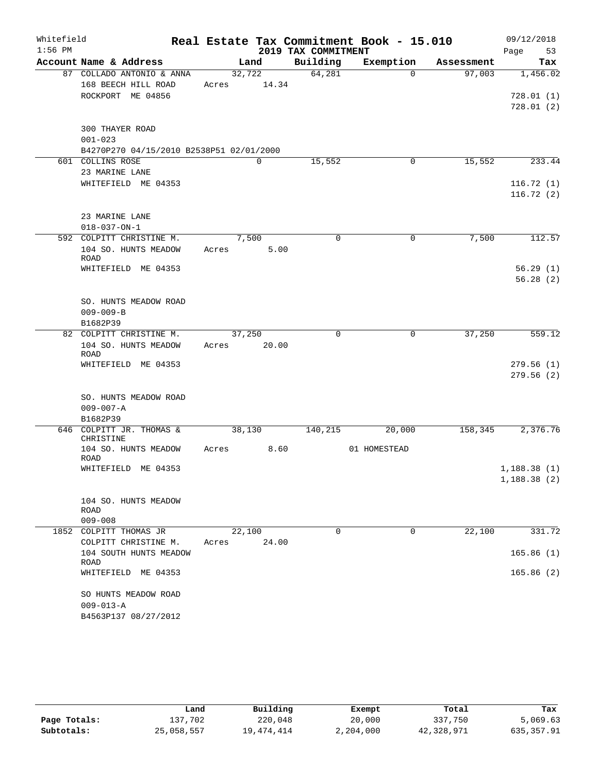| Whitefield |                                                |       |        |       |                     | Real Estate Tax Commitment Book - 15.010 |            | 09/12/2018             |
|------------|------------------------------------------------|-------|--------|-------|---------------------|------------------------------------------|------------|------------------------|
| $1:56$ PM  |                                                |       |        |       | 2019 TAX COMMITMENT |                                          |            | Page<br>53             |
|            | Account Name & Address                         |       | Land   |       | Building            | Exemption                                | Assessment | Tax                    |
|            | 87 COLLADO ANTONIO & ANNA                      |       | 32,722 |       | 64,281              | $\Omega$                                 | 97,003     | 1,456.02               |
|            | 168 BEECH HILL ROAD                            | Acres |        | 14.34 |                     |                                          |            |                        |
|            | ROCKPORT ME 04856                              |       |        |       |                     |                                          |            | 728.01(1)<br>728.01(2) |
|            |                                                |       |        |       |                     |                                          |            |                        |
|            | <b>300 THAYER ROAD</b>                         |       |        |       |                     |                                          |            |                        |
|            | $001 - 023$                                    |       |        |       |                     |                                          |            |                        |
|            | B4270P270 04/15/2010 B2538P51 02/01/2000       |       |        |       |                     |                                          |            |                        |
|            | 601 COLLINS ROSE                               |       | 0      |       | 15,552              | 0                                        | 15,552     | 233.44                 |
|            | 23 MARINE LANE                                 |       |        |       |                     |                                          |            |                        |
|            | WHITEFIELD ME 04353                            |       |        |       |                     |                                          |            | 116.72(1)              |
|            |                                                |       |        |       |                     |                                          |            | 116.72(2)              |
|            | 23 MARINE LANE                                 |       |        |       |                     |                                          |            |                        |
|            | $018 - 037 - ON - 1$                           |       |        |       |                     |                                          |            |                        |
|            | 592 COLPITT CHRISTINE M.                       |       | 7,500  |       | $\Omega$            | 0                                        | 7,500      | 112.57                 |
|            | 104 SO. HUNTS MEADOW                           | Acres |        | 5.00  |                     |                                          |            |                        |
|            | <b>ROAD</b>                                    |       |        |       |                     |                                          |            |                        |
|            | WHITEFIELD ME 04353                            |       |        |       |                     |                                          |            | 56.29(1)               |
|            |                                                |       |        |       |                     |                                          |            | 56.28(2)               |
|            |                                                |       |        |       |                     |                                          |            |                        |
|            | SO. HUNTS MEADOW ROAD<br>$009 - 009 - B$       |       |        |       |                     |                                          |            |                        |
|            | B1682P39                                       |       |        |       |                     |                                          |            |                        |
|            | 82 COLPITT CHRISTINE M.                        |       | 37,250 |       | $\mathbf 0$         | 0                                        | 37,250     | 559.12                 |
|            | 104 SO. HUNTS MEADOW                           | Acres |        | 20.00 |                     |                                          |            |                        |
|            | <b>ROAD</b>                                    |       |        |       |                     |                                          |            |                        |
|            | WHITEFIELD ME 04353                            |       |        |       |                     |                                          |            | 279.56(1)              |
|            |                                                |       |        |       |                     |                                          |            | 279.56(2)              |
|            | SO. HUNTS MEADOW ROAD                          |       |        |       |                     |                                          |            |                        |
|            | $009 - 007 - A$                                |       |        |       |                     |                                          |            |                        |
|            | B1682P39                                       |       |        |       |                     |                                          |            |                        |
|            | 646 COLPITT JR. THOMAS &                       |       | 38,130 |       | 140,215             | 20,000                                   | 158,345    | 2,376.76               |
|            | CHRISTINE                                      |       |        |       |                     |                                          |            |                        |
|            | 104 SO. HUNTS MEADOW<br><b>ROAD</b>            | Acres |        | 8.60  |                     | 01 HOMESTEAD                             |            |                        |
|            | WHITEFIELD ME 04353                            |       |        |       |                     |                                          |            | 1,188.38(1)            |
|            |                                                |       |        |       |                     |                                          |            | 1,188.38(2)            |
|            |                                                |       |        |       |                     |                                          |            |                        |
|            | 104 SO. HUNTS MEADOW                           |       |        |       |                     |                                          |            |                        |
|            | ROAD                                           |       |        |       |                     |                                          |            |                        |
|            | $009 - 008$                                    |       | 22,100 |       | $\Omega$            | $\Omega$                                 | 22,100     |                        |
|            | 1852 COLPITT THOMAS JR<br>COLPITT CHRISTINE M. | Acres |        | 24.00 |                     |                                          |            | 331.72                 |
|            | 104 SOUTH HUNTS MEADOW                         |       |        |       |                     |                                          |            | 165.86(1)              |
|            | ROAD                                           |       |        |       |                     |                                          |            |                        |
|            | WHITEFIELD ME 04353                            |       |        |       |                     |                                          |            | 165.86(2)              |
|            |                                                |       |        |       |                     |                                          |            |                        |
|            | SO HUNTS MEADOW ROAD                           |       |        |       |                     |                                          |            |                        |
|            | $009 - 013 - A$                                |       |        |       |                     |                                          |            |                        |
|            | B4563P137 08/27/2012                           |       |        |       |                     |                                          |            |                        |

|              | Land       | Building   | Exempt    | Total      | Tax        |
|--------------|------------|------------|-----------|------------|------------|
| Page Totals: | 137,702    | 220,048    | 20,000    | 337,750    | 5,069.63   |
| Subtotals:   | 25,058,557 | 19,474,414 | 2,204,000 | 42,328,971 | 635,357.91 |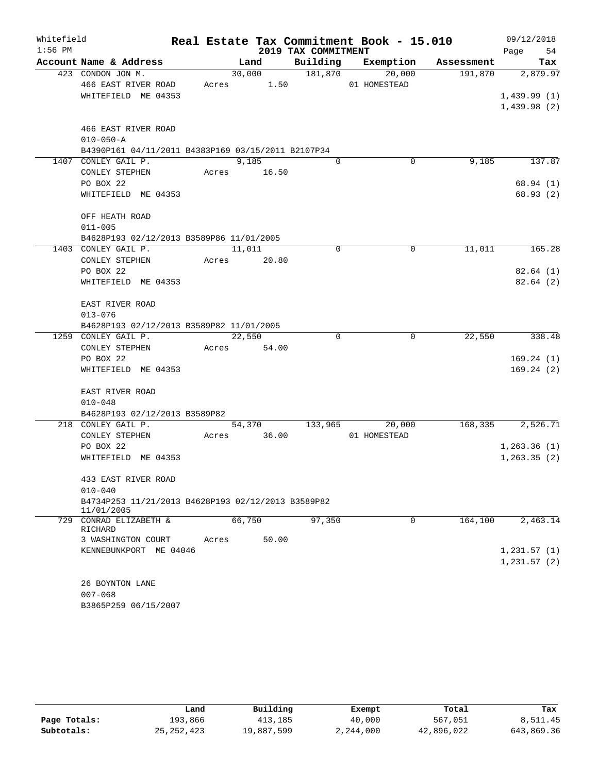| Whitefield |                                                    |       |        |                     | Real Estate Tax Commitment Book - 15.010 |            | 09/12/2018   |
|------------|----------------------------------------------------|-------|--------|---------------------|------------------------------------------|------------|--------------|
| $1:56$ PM  |                                                    |       |        | 2019 TAX COMMITMENT |                                          |            | 54<br>Page   |
|            | Account Name & Address                             |       | Land   | Building            | Exemption                                | Assessment | Tax          |
|            | 423 CONDON JON M.                                  |       | 30,000 | 181,870             | 20,000                                   | 191,870    | 2,879.97     |
|            | 466 EAST RIVER ROAD                                | Acres | 1.50   |                     | 01 HOMESTEAD                             |            |              |
|            | WHITEFIELD ME 04353                                |       |        |                     |                                          |            | 1,439.99(1)  |
|            |                                                    |       |        |                     |                                          |            | 1,439.98(2)  |
|            | 466 EAST RIVER ROAD                                |       |        |                     |                                          |            |              |
|            | $010 - 050 - A$                                    |       |        |                     |                                          |            |              |
|            | B4390P161 04/11/2011 B4383P169 03/15/2011 B2107P34 |       |        |                     |                                          |            |              |
|            | 1407 CONLEY GAIL P.                                |       | 9,185  | $\Omega$            | 0                                        | 9,185      | 137.87       |
|            | CONLEY STEPHEN                                     | Acres | 16.50  |                     |                                          |            |              |
|            | PO BOX 22                                          |       |        |                     |                                          |            | 68.94 (1)    |
|            | WHITEFIELD ME 04353                                |       |        |                     |                                          |            | 68.93 (2)    |
|            |                                                    |       |        |                     |                                          |            |              |
|            | OFF HEATH ROAD<br>$011 - 005$                      |       |        |                     |                                          |            |              |
|            | B4628P193 02/12/2013 B3589P86 11/01/2005           |       |        |                     |                                          |            |              |
|            | 1403 CONLEY GAIL P.                                |       | 11,011 | 0                   | $\mathbf 0$                              | 11,011     | 165.28       |
|            | CONLEY STEPHEN                                     | Acres | 20.80  |                     |                                          |            |              |
|            | PO BOX 22                                          |       |        |                     |                                          |            | 82.64(1)     |
|            | WHITEFIELD ME 04353                                |       |        |                     |                                          |            | 82.64(2)     |
|            |                                                    |       |        |                     |                                          |            |              |
|            | EAST RIVER ROAD                                    |       |        |                     |                                          |            |              |
|            | $013 - 076$                                        |       |        |                     |                                          |            |              |
|            | B4628P193 02/12/2013 B3589P82 11/01/2005           |       |        |                     |                                          |            |              |
|            | 1259 CONLEY GAIL P.                                |       | 22,550 | $\Omega$            | $\mathbf 0$                              | 22,550     | 338.48       |
|            | CONLEY STEPHEN                                     | Acres | 54.00  |                     |                                          |            |              |
|            | PO BOX 22                                          |       |        |                     |                                          |            | 169.24(1)    |
|            | WHITEFIELD ME 04353                                |       |        |                     |                                          |            | 169.24(2)    |
|            | EAST RIVER ROAD                                    |       |        |                     |                                          |            |              |
|            | $010 - 048$                                        |       |        |                     |                                          |            |              |
|            | B4628P193 02/12/2013 B3589P82                      |       |        |                     |                                          |            |              |
|            | 218 CONLEY GAIL P.                                 |       | 54,370 | 133,965             | 20,000                                   | 168,335    | 2,526.71     |
|            | CONLEY STEPHEN                                     | Acres | 36.00  |                     | 01 HOMESTEAD                             |            |              |
|            | PO BOX 22                                          |       |        |                     |                                          |            | 1,263.36(1)  |
|            | WHITEFIELD ME 04353                                |       |        |                     |                                          |            | 1, 263.35(2) |
|            | 433 EAST RIVER ROAD                                |       |        |                     |                                          |            |              |
|            | $010 - 040$                                        |       |        |                     |                                          |            |              |
|            | B4734P253 11/21/2013 B4628P193 02/12/2013 B3589P82 |       |        |                     |                                          |            |              |
|            | 11/01/2005                                         |       |        |                     |                                          |            |              |
|            | 729 CONRAD ELIZABETH &                             |       | 66,750 | 97,350              | 0                                        | 164,100    | 2,463.14     |
|            | RICHARD<br>3 WASHINGTON COURT                      | Acres | 50.00  |                     |                                          |            |              |
|            | KENNEBUNKPORT ME 04046                             |       |        |                     |                                          |            | 1,231.57(1)  |
|            |                                                    |       |        |                     |                                          |            | 1,231.57(2)  |
|            |                                                    |       |        |                     |                                          |            |              |
|            | 26 BOYNTON LANE                                    |       |        |                     |                                          |            |              |
|            | $007 - 068$                                        |       |        |                     |                                          |            |              |
|            | B3865P259 06/15/2007                               |       |        |                     |                                          |            |              |

|              | Land         | Building   | Exempt    | Total      | Tax        |
|--------------|--------------|------------|-----------|------------|------------|
| Page Totals: | 193,866      | 413,185    | 40,000    | 567,051    | 8,511.45   |
| Subtotals:   | 25, 252, 423 | 19,887,599 | 2,244,000 | 42,896,022 | 643,869.36 |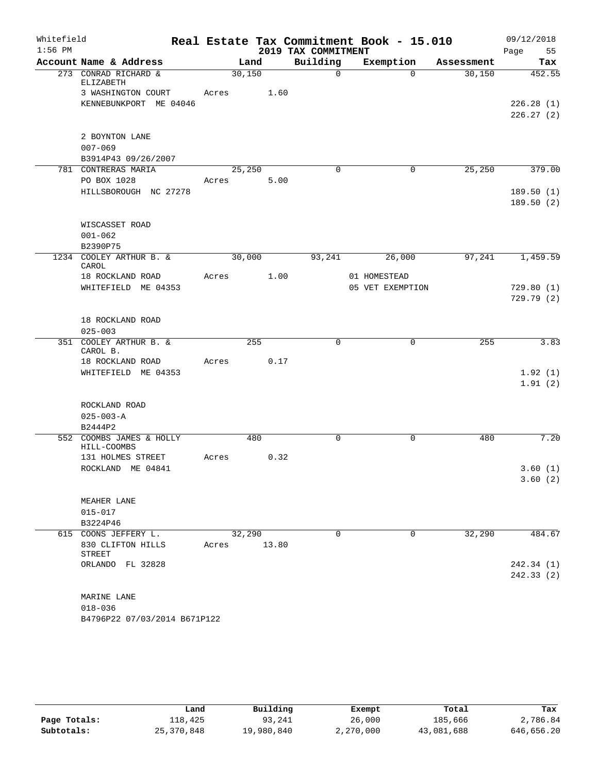| Whitefield |                                   |        |       |                     | Real Estate Tax Commitment Book - 15.010 |            | 09/12/2018         |
|------------|-----------------------------------|--------|-------|---------------------|------------------------------------------|------------|--------------------|
| $1:56$ PM  |                                   |        |       | 2019 TAX COMMITMENT |                                          |            | Page<br>55         |
|            | Account Name & Address            | Land   |       | Building            | Exemption                                | Assessment | Tax                |
|            | 273 CONRAD RICHARD &<br>ELIZABETH | 30,150 |       | $\mathsf{O}$        | $\Omega$                                 | 30,150     | 452.55             |
|            | 3 WASHINGTON COURT                | Acres  | 1.60  |                     |                                          |            |                    |
|            | KENNEBUNKPORT ME 04046            |        |       |                     |                                          |            | 226.28(1)          |
|            |                                   |        |       |                     |                                          |            | 226.27(2)          |
|            |                                   |        |       |                     |                                          |            |                    |
|            | 2 BOYNTON LANE<br>$007 - 069$     |        |       |                     |                                          |            |                    |
|            | B3914P43 09/26/2007               |        |       |                     |                                          |            |                    |
|            | 781 CONTRERAS MARIA               | 25,250 |       | $\Omega$            | $\mathbf 0$                              | 25,250     | 379.00             |
|            | PO BOX 1028                       | Acres  | 5.00  |                     |                                          |            |                    |
|            | HILLSBOROUGH NC 27278             |        |       |                     |                                          |            | 189.50(1)          |
|            |                                   |        |       |                     |                                          |            | 189.50(2)          |
|            |                                   |        |       |                     |                                          |            |                    |
|            | WISCASSET ROAD<br>$001 - 062$     |        |       |                     |                                          |            |                    |
|            | B2390P75                          |        |       |                     |                                          |            |                    |
|            | 1234 COOLEY ARTHUR B. &           | 30,000 |       | 93,241              | 26,000                                   | 97,241     | 1,459.59           |
|            | CAROL<br>18 ROCKLAND ROAD         | Acres  | 1.00  |                     | 01 HOMESTEAD                             |            |                    |
|            | WHITEFIELD ME 04353               |        |       |                     | 05 VET EXEMPTION                         |            | 729.80(1)          |
|            |                                   |        |       |                     |                                          |            | 729.79(2)          |
|            | 18 ROCKLAND ROAD                  |        |       |                     |                                          |            |                    |
|            | $025 - 003$                       |        |       |                     |                                          |            |                    |
|            | 351 COOLEY ARTHUR B. &            |        | 255   | $\Omega$            | $\mathbf 0$                              | 255        | 3.83               |
|            | CAROL B.                          |        |       |                     |                                          |            |                    |
|            | 18 ROCKLAND ROAD                  | Acres  | 0.17  |                     |                                          |            |                    |
|            | WHITEFIELD ME 04353               |        |       |                     |                                          |            | 1.92(1)<br>1.91(2) |
|            |                                   |        |       |                     |                                          |            |                    |
|            | ROCKLAND ROAD                     |        |       |                     |                                          |            |                    |
|            | $025 - 003 - A$                   |        |       |                     |                                          |            |                    |
|            | B2444P2                           |        |       |                     |                                          |            |                    |
|            | 552 COOMBS JAMES & HOLLY          |        | 480   | $\Omega$            | 0                                        | 480        | 7.20               |
|            | HILL-COOMBS                       |        |       |                     |                                          |            |                    |
|            | 131 HOLMES STREET                 | Acres  | 0.32  |                     |                                          |            |                    |
|            | ROCKLAND ME 04841                 |        |       |                     |                                          |            | 3.60(1)<br>3.60(2) |
|            |                                   |        |       |                     |                                          |            |                    |
|            | MEAHER LANE                       |        |       |                     |                                          |            |                    |
|            | $015 - 017$                       |        |       |                     |                                          |            |                    |
|            | B3224P46                          |        |       |                     |                                          |            |                    |
|            | 615 COONS JEFFERY L.              | 32,290 |       | $\mathbf 0$         | 0                                        | 32,290     | 484.67             |
|            | 830 CLIFTON HILLS<br>STREET       | Acres  | 13.80 |                     |                                          |            |                    |
|            | ORLANDO FL 32828                  |        |       |                     |                                          |            | 242.34 (1)         |
|            |                                   |        |       |                     |                                          |            | 242.33(2)          |
|            |                                   |        |       |                     |                                          |            |                    |
|            | MARINE LANE                       |        |       |                     |                                          |            |                    |
|            | $018 - 036$                       |        |       |                     |                                          |            |                    |
|            | B4796P22 07/03/2014 B671P122      |        |       |                     |                                          |            |                    |

|              | Land         | Building   | Exempt    | Total      | Tax        |
|--------------|--------------|------------|-----------|------------|------------|
| Page Totals: | 118,425      | 93,241     | 26,000    | 185,666    | 2,786.84   |
| Subtotals:   | 25, 370, 848 | 19,980,840 | 2,270,000 | 43,081,688 | 646,656.20 |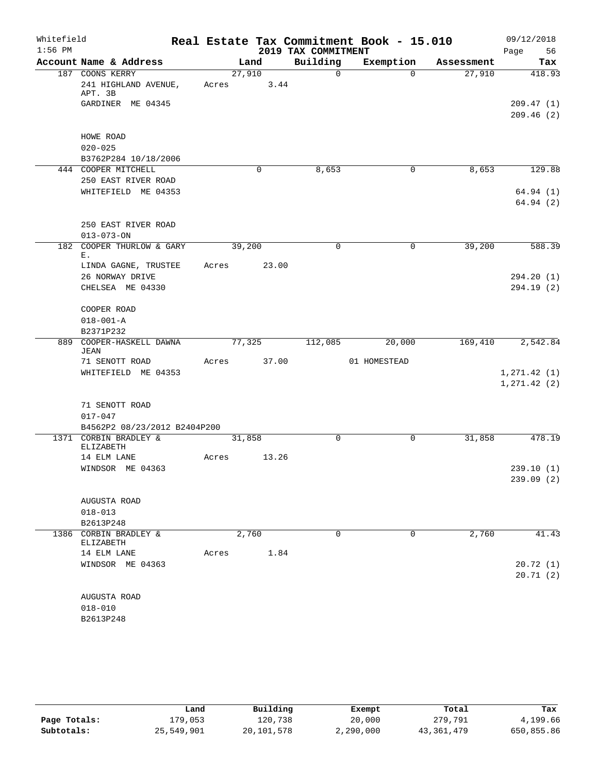| Whitefield |                                                    |       |        |             |                     | Real Estate Tax Commitment Book - 15.010 |            | 09/12/2018                   |
|------------|----------------------------------------------------|-------|--------|-------------|---------------------|------------------------------------------|------------|------------------------------|
| $1:56$ PM  |                                                    |       |        |             | 2019 TAX COMMITMENT |                                          |            | Page<br>56                   |
|            | Account Name & Address                             |       | Land   |             | Building            | Exemption                                | Assessment | Tax                          |
|            | 187 COONS KERRY<br>241 HIGHLAND AVENUE,<br>APT. 3B | Acres | 27,910 | 3.44        | $\mathbf 0$         | $\Omega$                                 | 27,910     | 418.93                       |
|            | GARDINER ME 04345                                  |       |        |             |                     |                                          |            | 209.47(1)<br>209.46(2)       |
|            | HOWE ROAD<br>$020 - 025$<br>B3762P284 10/18/2006   |       |        |             |                     |                                          |            |                              |
|            | 444 COOPER MITCHELL                                |       |        | $\mathbf 0$ | 8,653               | 0                                        | 8,653      | 129.88                       |
|            | 250 EAST RIVER ROAD                                |       |        |             |                     |                                          |            |                              |
|            | WHITEFIELD ME 04353                                |       |        |             |                     |                                          |            | 64.94(1)<br>64.94(2)         |
|            | 250 EAST RIVER ROAD<br>$013 - 073 - ON$            |       |        |             |                     |                                          |            |                              |
|            | 182 COOPER THURLOW & GARY<br>Ε.                    |       | 39,200 |             | $\mathbf 0$         | $\mathbf 0$                              | 39,200     | 588.39                       |
|            | LINDA GAGNE, TRUSTEE                               | Acres |        | 23.00       |                     |                                          |            |                              |
|            | 26 NORWAY DRIVE<br>CHELSEA ME 04330                |       |        |             |                     |                                          |            | 294.20 (1)<br>294.19(2)      |
|            | COOPER ROAD<br>$018 - 001 - A$                     |       |        |             |                     |                                          |            |                              |
|            | B2371P232                                          |       |        |             |                     |                                          |            |                              |
| 889        | COOPER-HASKELL DAWNA<br><b>JEAN</b>                |       | 77,325 |             | 112,085             | 20,000                                   | 169,410    | 2,542.84                     |
|            | 71 SENOTT ROAD<br>WHITEFIELD ME 04353              | Acres |        | 37.00       |                     | 01 HOMESTEAD                             |            | 1, 271.42(1)<br>1, 271.42(2) |
|            | 71 SENOTT ROAD<br>$017 - 047$                      |       |        |             |                     |                                          |            |                              |
|            | B4562P2 08/23/2012 B2404P200                       |       |        |             |                     |                                          |            |                              |
|            | 1371 CORBIN BRADLEY &<br>ELIZABETH                 |       | 31,858 |             | $\Omega$            | $\mathbf 0$                              | 31,858     | 478.19                       |
|            | 14 ELM LANE<br>WINDSOR ME 04363                    | Acres |        | 13.26       |                     |                                          |            | 239.10(1)                    |
|            |                                                    |       |        |             |                     |                                          |            | 239.09 (2)                   |
|            | AUGUSTA ROAD                                       |       |        |             |                     |                                          |            |                              |
|            | $018 - 013$<br>B2613P248                           |       |        |             |                     |                                          |            |                              |
|            | 1386 CORBIN BRADLEY &                              |       | 2,760  |             | 0                   | 0                                        | 2,760      | 41.43                        |
|            | ELIZABETH                                          |       |        |             |                     |                                          |            |                              |
|            | 14 ELM LANE                                        | Acres |        | 1.84        |                     |                                          |            |                              |
|            | WINDSOR ME 04363                                   |       |        |             |                     |                                          |            | 20.72(1)<br>20.71(2)         |
|            | AUGUSTA ROAD                                       |       |        |             |                     |                                          |            |                              |
|            | $018 - 010$                                        |       |        |             |                     |                                          |            |                              |
|            | B2613P248                                          |       |        |             |                     |                                          |            |                              |

|              | Land       | Building   | Exempt    | Total        | Tax        |
|--------------|------------|------------|-----------|--------------|------------|
| Page Totals: | L79,053    | 120,738    | 20,000    | 279,791      | 4,199.66   |
| Subtotals:   | 25,549,901 | 20,101,578 | 2,290,000 | 43, 361, 479 | 650,855.86 |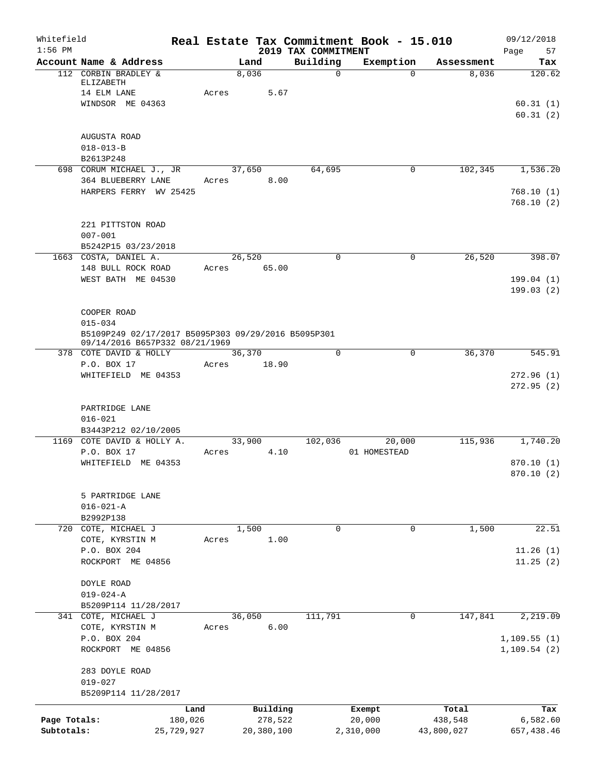| Whitefield<br>$1:56$ PM    |                                                                                                      |         |                       | 2019 TAX COMMITMENT | Real Estate Tax Commitment Book - 15.010 |                       | 09/12/2018<br>Page<br>57 |
|----------------------------|------------------------------------------------------------------------------------------------------|---------|-----------------------|---------------------|------------------------------------------|-----------------------|--------------------------|
|                            | Account Name & Address                                                                               |         | Land                  | Building            | Exemption                                | Assessment            | Tax                      |
|                            | 112 CORBIN BRADLEY &<br>ELIZABETH                                                                    |         | 8,036                 | $\mathbf 0$         | $\Omega$                                 | 8,036                 | 120.62                   |
|                            | 14 ELM LANE<br>WINDSOR ME 04363                                                                      | Acres   | 5.67                  |                     |                                          |                       | 60.31(1)<br>60.31(2)     |
|                            | AUGUSTA ROAD<br>$018 - 013 - B$                                                                      |         |                       |                     |                                          |                       |                          |
|                            | B2613P248<br>698 CORUM MICHAEL J., JR                                                                |         |                       |                     | 0                                        | 102,345               |                          |
|                            | 364 BLUEBERRY LANE<br>HARPERS FERRY WV 25425                                                         | Acres   | 37,650<br>8.00        | 64,695              |                                          |                       | 1,536.20<br>768.10(1)    |
|                            |                                                                                                      |         |                       |                     |                                          |                       | 768.10(2)                |
|                            | 221 PITTSTON ROAD<br>$007 - 001$<br>B5242P15 03/23/2018                                              |         |                       |                     |                                          |                       |                          |
|                            | 1663 COSTA, DANIEL A.                                                                                |         | 26,520                | $\mathbf 0$         | $\mathbf 0$                              | 26,520                | 398.07                   |
|                            | 148 BULL ROCK ROAD<br>WEST BATH ME 04530                                                             | Acres   | 65.00                 |                     |                                          |                       | 199.04(1)                |
|                            |                                                                                                      |         |                       |                     |                                          |                       | 199.03(2)                |
|                            | COOPER ROAD                                                                                          |         |                       |                     |                                          |                       |                          |
|                            | $015 - 034$<br>B5109P249 02/17/2017 B5095P303 09/29/2016 B5095P301<br>09/14/2016 B657P332 08/21/1969 |         |                       |                     |                                          |                       |                          |
|                            | 378 COTE DAVID & HOLLY                                                                               |         | 36,370                | 0                   | 0                                        | 36,370                | 545.91                   |
|                            | P.O. BOX 17<br>WHITEFIELD ME 04353                                                                   | Acres   | 18.90                 |                     |                                          |                       | 272.96(1)                |
|                            | PARTRIDGE LANE<br>$016 - 021$<br>B3443P212 02/10/2005                                                |         |                       |                     |                                          |                       |                          |
|                            | 1169 COTE DAVID & HOLLY A.<br>P.O. BOX 17                                                            | Acres   | 33,900<br>4.10        | 102,036             | 20,000<br>01 HOMESTEAD                   | 115,936               | 1,740.20                 |
|                            | WHITEFIELD ME 04353                                                                                  |         |                       |                     |                                          |                       | 870.10(1)                |
|                            |                                                                                                      |         |                       |                     |                                          |                       | 870.10 (2)               |
|                            | 5 PARTRIDGE LANE<br>$016 - 021 - A$<br>B2992P138                                                     |         |                       |                     |                                          |                       |                          |
| 720                        | COTE, MICHAEL J                                                                                      |         | 1,500                 | 0                   | $\mathbf 0$                              | 1,500                 | 22.51                    |
|                            | COTE, KYRSTIN M<br>P.O. BOX 204                                                                      | Acres   | 1.00                  |                     |                                          |                       | 11.26(1)                 |
|                            | ROCKPORT ME 04856                                                                                    |         |                       |                     |                                          |                       | 11.25(2)                 |
|                            | DOYLE ROAD<br>$019 - 024 - A$                                                                        |         |                       |                     |                                          |                       |                          |
|                            | B5209P114 11/28/2017                                                                                 |         |                       |                     |                                          |                       |                          |
|                            | 341 COTE, MICHAEL J<br>COTE, KYRSTIN M                                                               | Acres   | 36,050<br>6.00        | 111,791             | 0                                        | 147,841               | 2,219.09                 |
|                            | P.O. BOX 204                                                                                         |         |                       |                     |                                          |                       | 1,109.55(1)              |
|                            | ME 04856<br>ROCKPORT                                                                                 |         |                       |                     |                                          |                       | 1, 109.54(2)             |
|                            | 283 DOYLE ROAD                                                                                       |         |                       |                     |                                          |                       |                          |
|                            | $019 - 027$<br>B5209P114 11/28/2017                                                                  |         |                       |                     |                                          |                       |                          |
|                            |                                                                                                      | Land    | Building              |                     | Exempt                                   | Total                 | Tax                      |
| Page Totals:<br>Subtotals: | 25,729,927                                                                                           | 180,026 | 278,522<br>20,380,100 |                     | 20,000<br>2,310,000                      | 438,548<br>43,800,027 | 6,582.60<br>657,438.46   |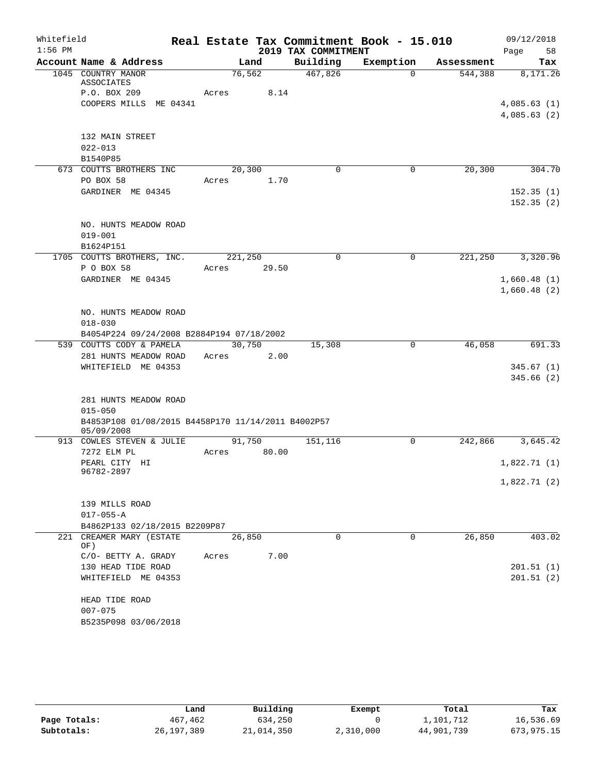| Whitefield |                                                    | Real Estate Tax Commitment Book - 15.010 |                     |              |            | 09/12/2018  |
|------------|----------------------------------------------------|------------------------------------------|---------------------|--------------|------------|-------------|
| $1:56$ PM  |                                                    |                                          | 2019 TAX COMMITMENT |              |            | 58<br>Page  |
|            | Account Name & Address                             | Land                                     | Building            | Exemption    | Assessment | Tax         |
|            | 1045 COUNTRY MANOR<br>ASSOCIATES                   | 76,562                                   | 467,826             | $\Omega$     | 544,388    | 8,171.26    |
|            | P.O. BOX 209                                       | 8.14<br>Acres                            |                     |              |            |             |
|            | COOPERS MILLS ME 04341                             |                                          |                     |              |            | 4,085.63(1) |
|            |                                                    |                                          |                     |              |            | 4,085.63(2) |
|            | 132 MAIN STREET                                    |                                          |                     |              |            |             |
|            | $022 - 013$                                        |                                          |                     |              |            |             |
|            | B1540P85                                           |                                          |                     |              |            |             |
|            | 673 COUTTS BROTHERS INC                            | 20,300                                   | $\Omega$            | $\mathbf 0$  | 20,300     | 304.70      |
|            | PO BOX 58                                          | Acres<br>1.70                            |                     |              |            |             |
|            | GARDINER ME 04345                                  |                                          |                     |              |            | 152.35(1)   |
|            |                                                    |                                          |                     |              |            | 152.35(2)   |
|            | NO. HUNTS MEADOW ROAD                              |                                          |                     |              |            |             |
|            | $019 - 001$                                        |                                          |                     |              |            |             |
|            | B1624P151                                          |                                          |                     |              |            |             |
|            | 1705 COUTTS BROTHERS, INC.                         | 221,250                                  | $\mathbf 0$         | $\mathbf 0$  | 221,250    | 3,320.96    |
|            | P O BOX 58                                         | 29.50<br>Acres                           |                     |              |            |             |
|            | GARDINER ME 04345                                  |                                          |                     |              |            | 1,660.48(1) |
|            |                                                    |                                          |                     |              |            | 1,660.48(2) |
|            | NO. HUNTS MEADOW ROAD                              |                                          |                     |              |            |             |
|            | $018 - 030$                                        |                                          |                     |              |            |             |
|            | B4054P224 09/24/2008 B2884P194 07/18/2002          |                                          |                     |              |            |             |
|            | 539 COUTTS CODY & PAMELA                           | 30,750                                   | 15,308              | $\mathbf{0}$ | 46,058     | 691.33      |
|            | 281 HUNTS MEADOW ROAD                              | 2.00<br>Acres                            |                     |              |            |             |
|            | WHITEFIELD ME 04353                                |                                          |                     |              |            | 345.67(1)   |
|            |                                                    |                                          |                     |              |            | 345.66(2)   |
|            | 281 HUNTS MEADOW ROAD                              |                                          |                     |              |            |             |
|            | $015 - 050$                                        |                                          |                     |              |            |             |
|            | B4853P108 01/08/2015 B4458P170 11/14/2011 B4002P57 |                                          |                     |              |            |             |
|            | 05/09/2008                                         |                                          |                     |              |            |             |
|            | 913 COWLES STEVEN & JULIE                          | 91,750                                   | 151,116             | $\mathsf{O}$ | 242,866    | 3,645.42    |
|            | 7272 ELM PL                                        | Acres<br>80.00                           |                     |              |            |             |
|            | PEARL CITY HI<br>96782-2897                        |                                          |                     |              |            | 1,822.71(1) |
|            |                                                    |                                          |                     |              |            | 1,822.71(2) |
|            | 139 MILLS ROAD                                     |                                          |                     |              |            |             |
|            | $017 - 055 - A$                                    |                                          |                     |              |            |             |
|            | B4862P133 02/18/2015 B2209P87                      |                                          |                     |              |            |             |
| 221        | CREAMER MARY (ESTATE                               | 26,850                                   | $\Omega$            | $\Omega$     | 26,850     | 403.02      |
|            | OF)                                                |                                          |                     |              |            |             |
|            | C/O- BETTY A. GRADY                                | 7.00<br>Acres                            |                     |              |            |             |
|            | 130 HEAD TIDE ROAD                                 |                                          |                     |              |            | 201.51(1)   |
|            | WHITEFIELD ME 04353                                |                                          |                     |              |            | 201.51(2)   |
|            | HEAD TIDE ROAD                                     |                                          |                     |              |            |             |
|            | $007 - 075$                                        |                                          |                     |              |            |             |
|            | B5235P098 03/06/2018                               |                                          |                     |              |            |             |

|              | Land         | Building   | Exempt    | Total      | Tax        |
|--------------|--------------|------------|-----------|------------|------------|
| Page Totals: | 467,462      | 634,250    |           | 1,101,712  | 16,536.69  |
| Subtotals:   | 26, 197, 389 | 21,014,350 | 2,310,000 | 44,901,739 | 673,975.15 |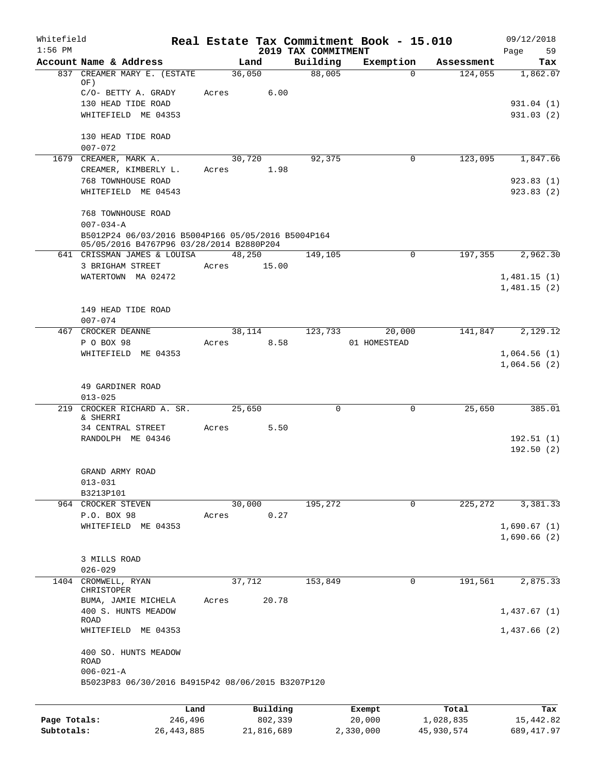| Whitefield<br>$1:56$ PM |                                                    |       |          | 2019 TAX COMMITMENT | Real Estate Tax Commitment Book - 15.010 |            | 09/12/2018        |
|-------------------------|----------------------------------------------------|-------|----------|---------------------|------------------------------------------|------------|-------------------|
|                         | Account Name & Address                             |       | Land     | Building            | Exemption                                | Assessment | Page<br>59<br>Tax |
| 837                     | CREAMER MARY E. (ESTATE                            |       | 36,050   | 88,005              | $\Omega$                                 | 124,055    | 1,862.07          |
|                         | OF)<br>C/O- BETTY A. GRADY                         | Acres | 6.00     |                     |                                          |            |                   |
|                         | 130 HEAD TIDE ROAD                                 |       |          |                     |                                          |            | 931.04 (1)        |
|                         | WHITEFIELD ME 04353                                |       |          |                     |                                          |            | 931.03(2)         |
|                         |                                                    |       |          |                     |                                          |            |                   |
|                         | 130 HEAD TIDE ROAD                                 |       |          |                     |                                          |            |                   |
|                         | $007 - 072$<br>1679 CREAMER, MARK A.               |       | 30,720   | 92,375              | 0                                        | 123,095    | 1,847.66          |
|                         | CREAMER, KIMBERLY L.                               | Acres | 1.98     |                     |                                          |            |                   |
|                         | 768 TOWNHOUSE ROAD                                 |       |          |                     |                                          |            | 923.83(1)         |
|                         | WHITEFIELD ME 04543                                |       |          |                     |                                          |            | 923.83(2)         |
|                         | 768 TOWNHOUSE ROAD                                 |       |          |                     |                                          |            |                   |
|                         | $007 - 034 - A$                                    |       |          |                     |                                          |            |                   |
|                         | B5012P24 06/03/2016 B5004P166 05/05/2016 B5004P164 |       |          |                     |                                          |            |                   |
|                         | 05/05/2016 B4767P96 03/28/2014 B2880P204           |       |          |                     |                                          |            |                   |
|                         | 641 CRISSMAN JAMES & LOUISA<br>3 BRIGHAM STREET    |       | 48,250   | 149,105             | 0                                        | 197,355    | 2,962.30          |
|                         | WATERTOWN MA 02472                                 | Acres | 15.00    |                     |                                          |            | 1,481.15(1)       |
|                         |                                                    |       |          |                     |                                          |            | 1,481.15(2)       |
|                         |                                                    |       |          |                     |                                          |            |                   |
|                         | 149 HEAD TIDE ROAD<br>$007 - 074$                  |       |          |                     |                                          |            |                   |
|                         | 467 CROCKER DEANNE                                 |       | 38,114   | 123,733             | 20,000                                   | 141,847    | 2,129.12          |
|                         | P O BOX 98                                         | Acres | 8.58     |                     | 01 HOMESTEAD                             |            |                   |
|                         | WHITEFIELD ME 04353                                |       |          |                     |                                          |            | 1,064.56(1)       |
|                         |                                                    |       |          |                     |                                          |            | 1,064.56(2)       |
|                         | 49 GARDINER ROAD                                   |       |          |                     |                                          |            |                   |
|                         | $013 - 025$                                        |       |          |                     |                                          |            |                   |
| 219                     | CROCKER RICHARD A. SR.                             |       | 25,650   | $\mathbf 0$         | 0                                        | 25,650     | 385.01            |
|                         | & SHERRI<br>34 CENTRAL STREET                      | Acres | 5.50     |                     |                                          |            |                   |
|                         | RANDOLPH ME 04346                                  |       |          |                     |                                          |            | 192.51(1)         |
|                         |                                                    |       |          |                     |                                          |            | 192.50(2)         |
|                         |                                                    |       |          |                     |                                          |            |                   |
|                         | GRAND ARMY ROAD<br>$013 - 031$                     |       |          |                     |                                          |            |                   |
|                         | B3213P101                                          |       |          |                     |                                          |            |                   |
|                         | 964 CROCKER STEVEN                                 |       | 30,000   | 195,272             | $\mathbf 0$                              | 225,272    | 3,381.33          |
|                         | P.O. BOX 98                                        | Acres | 0.27     |                     |                                          |            |                   |
|                         | WHITEFIELD ME 04353                                |       |          |                     |                                          |            | 1,690.67(1)       |
|                         |                                                    |       |          |                     |                                          |            | 1,690.66(2)       |
|                         | 3 MILLS ROAD                                       |       |          |                     |                                          |            |                   |
|                         | $026 - 029$                                        |       |          |                     |                                          |            |                   |
|                         | 1404 CROMWELL, RYAN<br>CHRISTOPER                  |       | 37,712   | 153,849             | 0                                        | 191,561    | 2,875.33          |
|                         | BUMA, JAMIE MICHELA                                | Acres | 20.78    |                     |                                          |            |                   |
|                         | 400 S. HUNTS MEADOW                                |       |          |                     |                                          |            | 1,437.67 (1)      |
|                         | <b>ROAD</b><br>WHITEFIELD ME 04353                 |       |          |                     |                                          |            | 1,437.66(2)       |
|                         |                                                    |       |          |                     |                                          |            |                   |
|                         | 400 SO. HUNTS MEADOW                               |       |          |                     |                                          |            |                   |
|                         | ROAD<br>$006 - 021 - A$                            |       |          |                     |                                          |            |                   |
|                         | B5023P83 06/30/2016 B4915P42 08/06/2015 B3207P120  |       |          |                     |                                          |            |                   |
|                         |                                                    |       |          |                     |                                          |            |                   |
|                         |                                                    | Land  | Building |                     | Exempt                                   | Total      | Tax               |
| Page Totals:            | 246,496                                            |       | 802,339  |                     | 20,000                                   | 1,028,835  | 15,442.82         |

**Subtotals:** 26,443,885 21,816,689 2,330,000 45,930,574 689,417.97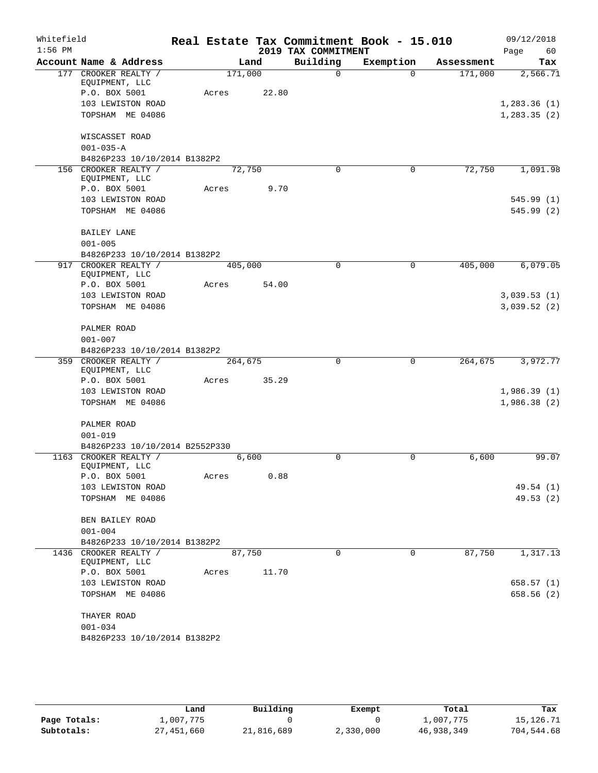| Whitefield |                                                         |         |       |                     | Real Estate Tax Commitment Book - 15.010 |            | 09/12/2018   |
|------------|---------------------------------------------------------|---------|-------|---------------------|------------------------------------------|------------|--------------|
| $1:56$ PM  |                                                         |         |       | 2019 TAX COMMITMENT |                                          |            | 60<br>Page   |
|            | Account Name & Address                                  |         | Land  | Building            | Exemption                                | Assessment | Tax          |
|            | 177 CROOKER REALTY /<br>EQUIPMENT, LLC                  | 171,000 |       | $\Omega$            | $\Omega$                                 | 171,000    | 2,566.71     |
|            | P.O. BOX 5001                                           | Acres   | 22.80 |                     |                                          |            |              |
|            | 103 LEWISTON ROAD                                       |         |       |                     |                                          |            | 1,283.36(1)  |
|            | TOPSHAM ME 04086                                        |         |       |                     |                                          |            | 1, 283.35(2) |
|            | WISCASSET ROAD                                          |         |       |                     |                                          |            |              |
|            | $001 - 035 - A$                                         |         |       |                     |                                          |            |              |
|            | B4826P233 10/10/2014 B1382P2                            |         |       |                     |                                          |            |              |
|            | 156 CROOKER REALTY /                                    | 72,750  |       | $\Omega$            | 0                                        | 72,750     | 1,091.98     |
|            | EQUIPMENT, LLC<br>P.O. BOX 5001                         | Acres   | 9.70  |                     |                                          |            |              |
|            | 103 LEWISTON ROAD                                       |         |       |                     |                                          |            | 545.99(1)    |
|            | TOPSHAM ME 04086                                        |         |       |                     |                                          |            | 545.99(2)    |
|            |                                                         |         |       |                     |                                          |            |              |
|            | <b>BAILEY LANE</b>                                      |         |       |                     |                                          |            |              |
|            | $001 - 005$                                             |         |       |                     |                                          |            |              |
|            | B4826P233 10/10/2014 B1382P2                            |         |       |                     |                                          |            |              |
| 917        | CROOKER REALTY /<br>EQUIPMENT, LLC                      | 405,000 |       | $\mathbf 0$         | $\mathbf 0$                              | 405,000    | 6,079.05     |
|            | P.O. BOX 5001                                           | Acres   | 54.00 |                     |                                          |            |              |
|            | 103 LEWISTON ROAD                                       |         |       |                     |                                          |            | 3,039.53(1)  |
|            | TOPSHAM ME 04086                                        |         |       |                     |                                          |            | 3,039.52(2)  |
|            |                                                         |         |       |                     |                                          |            |              |
|            | PALMER ROAD                                             |         |       |                     |                                          |            |              |
|            | $001 - 007$                                             |         |       |                     |                                          |            |              |
|            | B4826P233 10/10/2014 B1382P2<br>359 CROOKER REALTY /    | 264,675 |       | $\mathbf 0$         | $\mathbf 0$                              | 264,675    | 3,972.77     |
|            | EQUIPMENT, LLC                                          |         |       |                     |                                          |            |              |
|            | P.O. BOX 5001                                           | Acres   | 35.29 |                     |                                          |            |              |
|            | 103 LEWISTON ROAD                                       |         |       |                     |                                          |            | 1,986.39(1)  |
|            | TOPSHAM ME 04086                                        |         |       |                     |                                          |            | 1,986.38(2)  |
|            |                                                         |         |       |                     |                                          |            |              |
|            | PALMER ROAD                                             |         |       |                     |                                          |            |              |
|            | $001 - 019$                                             |         |       |                     |                                          |            |              |
|            | B4826P233 10/10/2014 B2552P330<br>1163 CROOKER REALTY / |         |       | 0                   | 0                                        | 6,600      | 99.07        |
|            | EQUIPMENT, LLC                                          |         | 6,600 |                     |                                          |            |              |
|            | P.O. BOX 5001                                           | Acres   | 0.88  |                     |                                          |            |              |
|            | 103 LEWISTON ROAD                                       |         |       |                     |                                          |            | 49.54 (1)    |
|            | TOPSHAM ME 04086                                        |         |       |                     |                                          |            | 49.53(2)     |
|            |                                                         |         |       |                     |                                          |            |              |
|            | BEN BAILEY ROAD                                         |         |       |                     |                                          |            |              |
|            | $001 - 004$                                             |         |       |                     |                                          |            |              |
|            | B4826P233 10/10/2014 B1382P2                            |         |       |                     |                                          |            |              |
|            | 1436 CROOKER REALTY /<br>EQUIPMENT, LLC                 | 87,750  |       | $\Omega$            | 0                                        | 87,750     | 1,317.13     |
|            | P.O. BOX 5001                                           | Acres   | 11.70 |                     |                                          |            |              |
|            | 103 LEWISTON ROAD                                       |         |       |                     |                                          |            | 658.57(1)    |
|            | TOPSHAM ME 04086                                        |         |       |                     |                                          |            | 658.56(2)    |
|            | THAYER ROAD                                             |         |       |                     |                                          |            |              |
|            | $001 - 034$                                             |         |       |                     |                                          |            |              |
|            | B4826P233 10/10/2014 B1382P2                            |         |       |                     |                                          |            |              |

|              | Land       | Building   | Exempt    | Total      | Tax        |
|--------------|------------|------------|-----------|------------|------------|
| Page Totals: | 1,007,775  |            |           | 1,007,775  | 15,126.71  |
| Subtotals:   | 27,451,660 | 21,816,689 | 2,330,000 | 46,938,349 | 704,544.68 |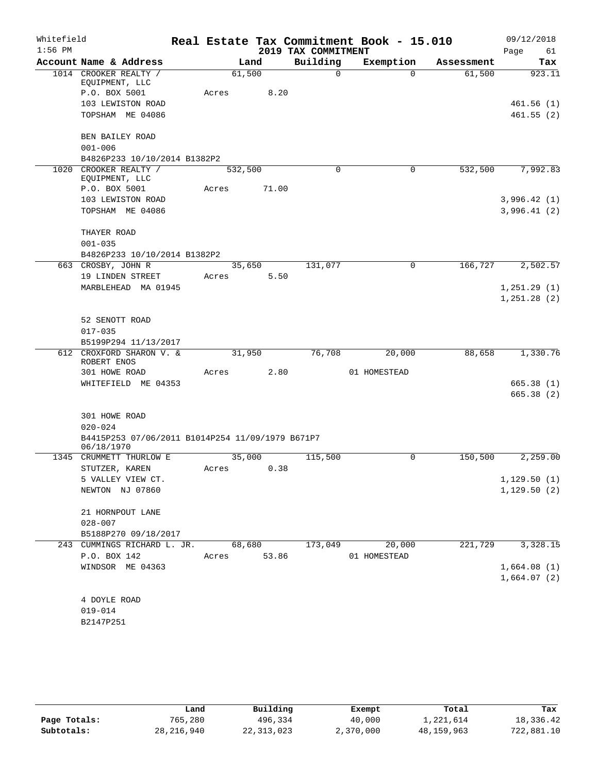| Whitefield |                                                  |         |        |                     | Real Estate Tax Commitment Book - 15.010 |            | 09/12/2018   |
|------------|--------------------------------------------------|---------|--------|---------------------|------------------------------------------|------------|--------------|
| $1:56$ PM  |                                                  |         |        | 2019 TAX COMMITMENT |                                          |            | 61<br>Page   |
|            | Account Name & Address                           |         | Land   | Building            | Exemption                                | Assessment | Tax          |
|            | 1014 CROOKER REALTY /<br>EQUIPMENT, LLC          |         | 61,500 | $\mathbf 0$         | $\Omega$                                 | 61,500     | 923.11       |
|            | P.O. BOX 5001                                    | Acres   | 8.20   |                     |                                          |            |              |
|            | 103 LEWISTON ROAD                                |         |        |                     |                                          |            | 461.56(1)    |
|            | TOPSHAM ME 04086                                 |         |        |                     |                                          |            | 461.55(2)    |
|            | BEN BAILEY ROAD                                  |         |        |                     |                                          |            |              |
|            | $001 - 006$                                      |         |        |                     |                                          |            |              |
|            | B4826P233 10/10/2014 B1382P2                     |         |        |                     |                                          |            |              |
|            | 1020 CROOKER REALTY /<br>EQUIPMENT, LLC          | 532,500 |        | 0                   | 0                                        | 532,500    | 7,992.83     |
|            | P.O. BOX 5001                                    | Acres   | 71.00  |                     |                                          |            |              |
|            | 103 LEWISTON ROAD                                |         |        |                     |                                          |            | 3,996.42(1)  |
|            | TOPSHAM ME 04086                                 |         |        |                     |                                          |            | 3,996.41(2)  |
|            | THAYER ROAD                                      |         |        |                     |                                          |            |              |
|            | $001 - 035$                                      |         |        |                     |                                          |            |              |
|            | B4826P233 10/10/2014 B1382P2                     |         |        |                     |                                          |            |              |
|            | 663 CROSBY, JOHN R                               |         | 35,650 | 131,077             | $\mathbf 0$                              | 166,727    | 2,502.57     |
|            | 19 LINDEN STREET                                 | Acres   | 5.50   |                     |                                          |            |              |
|            | MARBLEHEAD MA 01945                              |         |        |                     |                                          |            | 1, 251.29(1) |
|            |                                                  |         |        |                     |                                          |            | 1,251.28(2)  |
|            | 52 SENOTT ROAD                                   |         |        |                     |                                          |            |              |
|            | $017 - 035$                                      |         |        |                     |                                          |            |              |
|            | B5199P294 11/13/2017                             |         |        |                     |                                          |            |              |
| 612        | CROXFORD SHARON V. &                             |         | 31,950 | 76,708              | 20,000                                   | 88,658     | 1,330.76     |
|            | ROBERT ENOS                                      |         |        |                     |                                          |            |              |
|            | 301 HOWE ROAD                                    | Acres   | 2.80   |                     | 01 HOMESTEAD                             |            |              |
|            | WHITEFIELD ME 04353                              |         |        |                     |                                          |            | 665.38(1)    |
|            |                                                  |         |        |                     |                                          |            | 665.38 (2)   |
|            | 301 HOWE ROAD                                    |         |        |                     |                                          |            |              |
|            | $020 - 024$                                      |         |        |                     |                                          |            |              |
|            | B4415P253 07/06/2011 B1014P254 11/09/1979 B671P7 |         |        |                     |                                          |            |              |
| 1345       | 06/18/1970<br>CRUMMETT THURLOW E                 |         | 35,000 | 115,500             | 0                                        | 150,500    | 2,259.00     |
|            | STUTZER, KAREN                                   | Acres   | 0.38   |                     |                                          |            |              |
|            | 5 VALLEY VIEW CT.                                |         |        |                     |                                          |            | 1,129.50(1)  |
|            | NEWTON NJ 07860                                  |         |        |                     |                                          |            | 1,129.50(2)  |
|            |                                                  |         |        |                     |                                          |            |              |
|            | 21 HORNPOUT LANE                                 |         |        |                     |                                          |            |              |
|            | $028 - 007$                                      |         |        |                     |                                          |            |              |
|            | B5188P270 09/18/2017                             |         |        |                     |                                          |            |              |
|            | 243 CUMMINGS RICHARD L. JR.                      |         | 68,680 | 173,049             | 20,000                                   | 221, 729   | 3,328.15     |
|            | P.O. BOX 142                                     | Acres   | 53.86  |                     | 01 HOMESTEAD                             |            |              |
|            | WINDSOR ME 04363                                 |         |        |                     |                                          |            | 1,664.08(1)  |
|            |                                                  |         |        |                     |                                          |            | 1,664.07(2)  |
|            | 4 DOYLE ROAD                                     |         |        |                     |                                          |            |              |
|            | $019 - 014$                                      |         |        |                     |                                          |            |              |
|            | B2147P251                                        |         |        |                     |                                          |            |              |
|            |                                                  |         |        |                     |                                          |            |              |

|              | Land         | Building     | Exempt    | Total        | Tax        |
|--------------|--------------|--------------|-----------|--------------|------------|
| Page Totals: | 765,280      | 496,334      | 40,000    | 1,221,614    | 18,336.42  |
| Subtotals:   | 28, 216, 940 | 22, 313, 023 | 2,370,000 | 48, 159, 963 | 722,881.10 |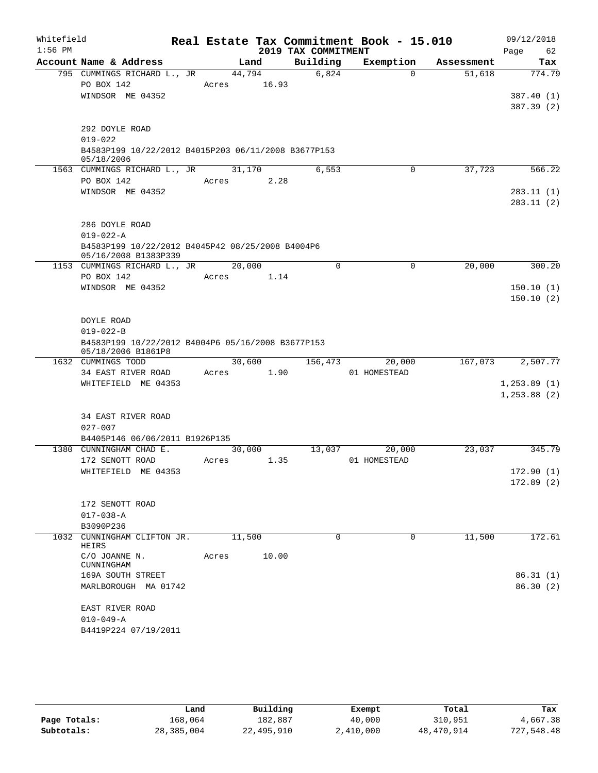| Whitefield |                                                     |        |       |                     | Real Estate Tax Commitment Book - 15.010 |            | 09/12/2018    |
|------------|-----------------------------------------------------|--------|-------|---------------------|------------------------------------------|------------|---------------|
| $1:56$ PM  |                                                     |        |       | 2019 TAX COMMITMENT |                                          |            | Page<br>62    |
|            | Account Name & Address                              | Land   |       | Building            | Exemption                                | Assessment | Tax           |
|            | 795 CUMMINGS RICHARD L., JR                         | 44,794 |       | 6,824               | $\Omega$                                 | 51,618     | 774.79        |
|            | PO BOX 142                                          | Acres  | 16.93 |                     |                                          |            |               |
|            | WINDSOR ME 04352                                    |        |       |                     |                                          |            | 387.40 (1)    |
|            |                                                     |        |       |                     |                                          |            | 387.39 (2)    |
|            | 292 DOYLE ROAD                                      |        |       |                     |                                          |            |               |
|            | $019 - 022$                                         |        |       |                     |                                          |            |               |
|            | B4583P199 10/22/2012 B4015P203 06/11/2008 B3677P153 |        |       |                     |                                          |            |               |
|            | 05/18/2006                                          |        |       |                     |                                          |            |               |
|            | 1563 CUMMINGS RICHARD L., JR                        | 31,170 |       | 6,553               | $\mathbf 0$                              | 37,723     | 566.22        |
|            | PO BOX 142                                          | Acres  | 2.28  |                     |                                          |            |               |
|            | WINDSOR ME 04352                                    |        |       |                     |                                          |            | 283.11(1)     |
|            |                                                     |        |       |                     |                                          |            | 283.11(2)     |
|            | 286 DOYLE ROAD                                      |        |       |                     |                                          |            |               |
|            | $019 - 022 - A$                                     |        |       |                     |                                          |            |               |
|            | B4583P199 10/22/2012 B4045P42 08/25/2008 B4004P6    |        |       |                     |                                          |            |               |
|            | 05/16/2008 B1383P339                                |        |       |                     |                                          |            |               |
|            | 1153 CUMMINGS RICHARD L., JR                        | 20,000 |       | $\Omega$            | $\mathbf 0$                              | 20,000     | 300.20        |
|            | PO BOX 142                                          | Acres  | 1.14  |                     |                                          |            |               |
|            | WINDSOR ME 04352                                    |        |       |                     |                                          |            | 150.10(1)     |
|            |                                                     |        |       |                     |                                          |            | 150.10(2)     |
|            |                                                     |        |       |                     |                                          |            |               |
|            | DOYLE ROAD<br>$019 - 022 - B$                       |        |       |                     |                                          |            |               |
|            | B4583P199 10/22/2012 B4004P6 05/16/2008 B3677P153   |        |       |                     |                                          |            |               |
|            | 05/18/2006 B1861P8                                  |        |       |                     |                                          |            |               |
|            | 1632 CUMMINGS TODD                                  | 30,600 |       | 156,473             | 20,000                                   | 167,073    | 2,507.77      |
|            | 34 EAST RIVER ROAD                                  | Acres  | 1.90  |                     | 01 HOMESTEAD                             |            |               |
|            | WHITEFIELD ME 04353                                 |        |       |                     |                                          |            | 1, 253.89(1)  |
|            |                                                     |        |       |                     |                                          |            | 1, 253.88 (2) |
|            |                                                     |        |       |                     |                                          |            |               |
|            | 34 EAST RIVER ROAD<br>$027 - 007$                   |        |       |                     |                                          |            |               |
|            | B4405P146 06/06/2011 B1926P135                      |        |       |                     |                                          |            |               |
|            | 1380 CUNNINGHAM CHAD E.                             | 30,000 |       | 13,037              | 20,000                                   | 23,037     | 345.79        |
|            | 172 SENOTT ROAD                                     | Acres  | 1.35  |                     | 01 HOMESTEAD                             |            |               |
|            | WHITEFIELD ME 04353                                 |        |       |                     |                                          |            | 172.90(1)     |
|            |                                                     |        |       |                     |                                          |            | 172.89(2)     |
|            |                                                     |        |       |                     |                                          |            |               |
|            | 172 SENOTT ROAD                                     |        |       |                     |                                          |            |               |
|            | $017 - 038 - A$                                     |        |       |                     |                                          |            |               |
|            | B3090P236                                           |        |       |                     |                                          |            |               |
|            | 1032 CUNNINGHAM CLIFTON JR.<br>HEIRS                | 11,500 |       | $\Omega$            | $\Omega$                                 | 11,500     | 172.61        |
|            | C/O JOANNE N.                                       | Acres  | 10.00 |                     |                                          |            |               |
|            | CUNNINGHAM                                          |        |       |                     |                                          |            |               |
|            | 169A SOUTH STREET                                   |        |       |                     |                                          |            | 86.31(1)      |
|            | MARLBOROUGH MA 01742                                |        |       |                     |                                          |            | 86.30 (2)     |
|            |                                                     |        |       |                     |                                          |            |               |
|            | EAST RIVER ROAD<br>$010 - 049 - A$                  |        |       |                     |                                          |            |               |
|            | B4419P224 07/19/2011                                |        |       |                     |                                          |            |               |
|            |                                                     |        |       |                     |                                          |            |               |

|              | Land       | Building   | Exempt    | Total      | Tax        |
|--------------|------------|------------|-----------|------------|------------|
| Page Totals: | 168,064    | 182,887    | 40,000    | 310,951    | 4,667.38   |
| Subtotals:   | 28,385,004 | 22,495,910 | 2,410,000 | 48,470,914 | 727,548.48 |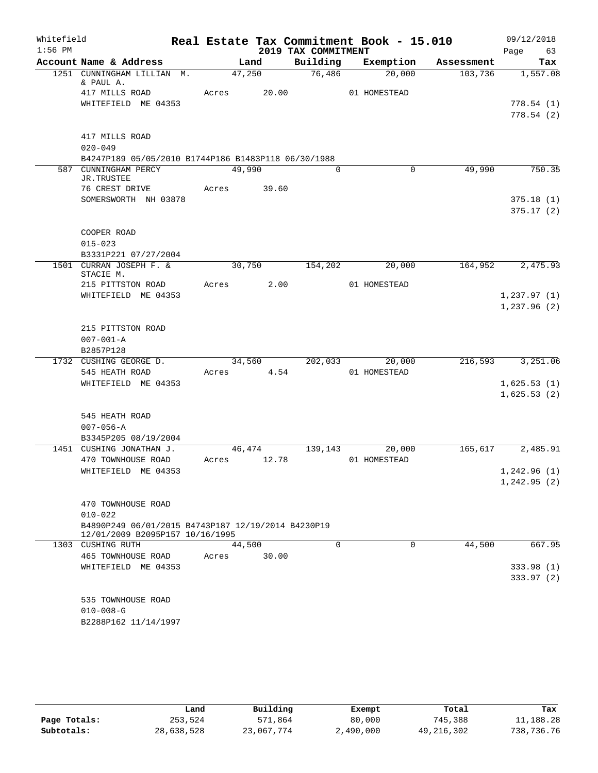| Whitefield |                                                                                       |            |        |                     | Real Estate Tax Commitment Book - 15.010 |            | 09/12/2018                  |
|------------|---------------------------------------------------------------------------------------|------------|--------|---------------------|------------------------------------------|------------|-----------------------------|
| $1:56$ PM  |                                                                                       |            |        | 2019 TAX COMMITMENT |                                          |            | 63<br>Page                  |
|            | Account Name & Address                                                                |            | Land   | Building            | Exemption                                | Assessment | Tax                         |
|            | 1251 CUNNINGHAM LILLIAN M.<br>& PAUL A.                                               | 47,250     |        | 76,486              | 20,000                                   | 103,736    | 1,557.08                    |
|            | 417 MILLS ROAD                                                                        | Acres      | 20.00  |                     | 01 HOMESTEAD                             |            |                             |
|            | WHITEFIELD ME 04353                                                                   |            |        |                     |                                          |            | 778.54(1)                   |
|            |                                                                                       |            |        |                     |                                          |            | 778.54(2)                   |
|            | 417 MILLS ROAD                                                                        |            |        |                     |                                          |            |                             |
|            | $020 - 049$                                                                           |            |        |                     |                                          |            |                             |
|            | B4247P189 05/05/2010 B1744P186 B1483P118 06/30/1988                                   |            |        |                     |                                          |            |                             |
|            | 587 CUNNINGHAM PERCY                                                                  | 49,990     |        | $\Omega$            | $\Omega$                                 | 49,990     | 750.35                      |
|            | JR.TRUSTEE                                                                            |            |        |                     |                                          |            |                             |
|            | 76 CREST DRIVE                                                                        | Acres      | 39.60  |                     |                                          |            |                             |
|            | SOMERSWORTH NH 03878                                                                  |            |        |                     |                                          |            | 375.18(1)<br>375.17(2)      |
|            |                                                                                       |            |        |                     |                                          |            |                             |
|            | COOPER ROAD                                                                           |            |        |                     |                                          |            |                             |
|            | $015 - 023$                                                                           |            |        |                     |                                          |            |                             |
|            | B3331P221 07/27/2004                                                                  |            |        |                     |                                          |            |                             |
|            | 1501 CURRAN JOSEPH F. &                                                               | 30,750     |        | 154,202             | 20,000                                   | 164,952    | 2,475.93                    |
|            | STACIE M.<br>215 PITTSTON ROAD                                                        | Acres      | 2.00   |                     | 01 HOMESTEAD                             |            |                             |
|            | WHITEFIELD ME 04353                                                                   |            |        |                     |                                          |            | 1, 237.97(1)                |
|            |                                                                                       |            |        |                     |                                          |            | 1,237.96(2)                 |
|            |                                                                                       |            |        |                     |                                          |            |                             |
|            | 215 PITTSTON ROAD                                                                     |            |        |                     |                                          |            |                             |
|            | $007 - 001 - A$                                                                       |            |        |                     |                                          |            |                             |
|            | B2857P128                                                                             |            |        |                     |                                          |            |                             |
|            | 1732 CUSHING GEORGE D.                                                                |            | 34,560 | 202,033             | 20,000                                   | 216,593    | 3,251.06                    |
|            | 545 HEATH ROAD<br>WHITEFIELD ME 04353                                                 | Acres 4.54 |        |                     | 01 HOMESTEAD                             |            | 1,625.53(1)                 |
|            |                                                                                       |            |        |                     |                                          |            | 1,625.53(2)                 |
|            |                                                                                       |            |        |                     |                                          |            |                             |
|            | 545 HEATH ROAD                                                                        |            |        |                     |                                          |            |                             |
|            | $007 - 056 - A$                                                                       |            |        |                     |                                          |            |                             |
|            | B3345P205 08/19/2004                                                                  |            |        |                     |                                          |            |                             |
|            | 1451 CUSHING JONATHAN J.                                                              | 46,474     |        | 139,143             | 20,000                                   | 165,617    | 2,485.91                    |
|            | 470 TOWNHOUSE ROAD                                                                    | Acres      | 12.78  |                     | 01 HOMESTEAD                             |            |                             |
|            | WHITEFIELD ME 04353                                                                   |            |        |                     |                                          |            | 1,242.96 (1)<br>1,242.95(2) |
|            |                                                                                       |            |        |                     |                                          |            |                             |
|            | 470 TOWNHOUSE ROAD                                                                    |            |        |                     |                                          |            |                             |
|            | $010 - 022$                                                                           |            |        |                     |                                          |            |                             |
|            | B4890P249 06/01/2015 B4743P187 12/19/2014 B4230P19<br>12/01/2009 B2095P157 10/16/1995 |            |        |                     |                                          |            |                             |
|            | 1303 CUSHING RUTH                                                                     | 44,500     |        | 0                   | 0                                        | 44,500     | 667.95                      |
|            | <b>465 TOWNHOUSE ROAD</b>                                                             | Acres      | 30.00  |                     |                                          |            |                             |
|            | WHITEFIELD ME 04353                                                                   |            |        |                     |                                          |            | 333.98 (1)                  |
|            |                                                                                       |            |        |                     |                                          |            | 333.97 (2)                  |
|            | 535 TOWNHOUSE ROAD                                                                    |            |        |                     |                                          |            |                             |
|            | $010 - 008 - G$                                                                       |            |        |                     |                                          |            |                             |
|            | B2288P162 11/14/1997                                                                  |            |        |                     |                                          |            |                             |
|            |                                                                                       |            |        |                     |                                          |            |                             |

|              | Land       | Building   | Exempt    | Total      | Tax        |  |
|--------------|------------|------------|-----------|------------|------------|--|
| Page Totals: | 253,524    | 571,864    | 80,000    | 745,388    | 11,188.28  |  |
| Subtotals:   | 28,638,528 | 23,067,774 | 2,490,000 | 49,216,302 | 738,736.76 |  |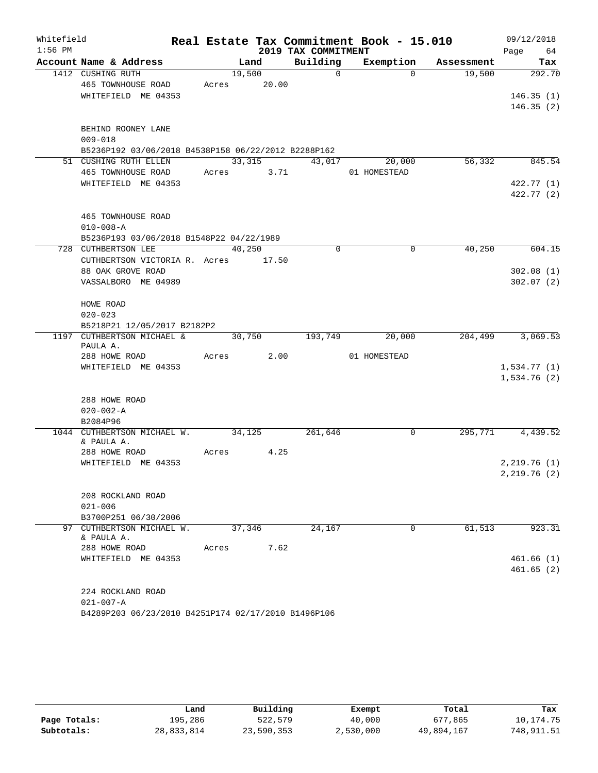| Whitefield |                                                     |       |         |       |                     | Real Estate Tax Commitment Book - 15.010 |            | 09/12/2018   |
|------------|-----------------------------------------------------|-------|---------|-------|---------------------|------------------------------------------|------------|--------------|
| $1:56$ PM  |                                                     |       |         |       | 2019 TAX COMMITMENT |                                          |            | Page<br>64   |
|            | Account Name & Address                              |       | Land    |       | Building            | Exemption                                | Assessment | Tax          |
|            | 1412 CUSHING RUTH                                   |       | 19,500  |       | $\mathsf{O}$        | $\Omega$                                 | 19,500     | 292.70       |
|            | 465 TOWNHOUSE ROAD                                  | Acres |         | 20.00 |                     |                                          |            |              |
|            | WHITEFIELD ME 04353                                 |       |         |       |                     |                                          |            | 146.35(1)    |
|            |                                                     |       |         |       |                     |                                          |            | 146.35(2)    |
|            |                                                     |       |         |       |                     |                                          |            |              |
|            | BEHIND ROONEY LANE<br>$009 - 018$                   |       |         |       |                     |                                          |            |              |
|            | B5236P192 03/06/2018 B4538P158 06/22/2012 B2288P162 |       |         |       |                     |                                          |            |              |
|            | 51 CUSHING RUTH ELLEN                               |       | 33, 315 |       | 43,017              | 20,000                                   | 56,332     | 845.54       |
|            | 465 TOWNHOUSE ROAD                                  | Acres |         | 3.71  |                     | 01 HOMESTEAD                             |            |              |
|            | WHITEFIELD ME 04353                                 |       |         |       |                     |                                          |            | 422.77 (1)   |
|            |                                                     |       |         |       |                     |                                          |            | 422.77 (2)   |
|            |                                                     |       |         |       |                     |                                          |            |              |
|            | <b>465 TOWNHOUSE ROAD</b>                           |       |         |       |                     |                                          |            |              |
|            | $010 - 008 - A$                                     |       |         |       |                     |                                          |            |              |
|            | B5236P193 03/06/2018 B1548P22 04/22/1989            |       |         |       |                     |                                          |            |              |
|            | 728 CUTHBERTSON LEE                                 |       | 40,250  |       | $\mathbf 0$         | $\mathbf 0$                              | 40,250     | 604.15       |
|            | CUTHBERTSON VICTORIA R. Acres 17.50                 |       |         |       |                     |                                          |            |              |
|            | 88 OAK GROVE ROAD                                   |       |         |       |                     |                                          |            | 302.08(1)    |
|            | VASSALBORO ME 04989                                 |       |         |       |                     |                                          |            | 302.07(2)    |
|            |                                                     |       |         |       |                     |                                          |            |              |
|            | HOWE ROAD<br>$020 - 023$                            |       |         |       |                     |                                          |            |              |
|            | B5218P21 12/05/2017 B2182P2                         |       |         |       |                     |                                          |            |              |
|            | 1197 CUTHBERTSON MICHAEL &                          |       | 30,750  |       | 193,749             | 20,000                                   | 204, 499   | 3,069.53     |
|            | PAULA A.                                            |       |         |       |                     |                                          |            |              |
|            | 288 HOWE ROAD                                       | Acres |         | 2.00  |                     | 01 HOMESTEAD                             |            |              |
|            | WHITEFIELD ME 04353                                 |       |         |       |                     |                                          |            | 1,534.77(1)  |
|            |                                                     |       |         |       |                     |                                          |            | 1,534.76(2)  |
|            |                                                     |       |         |       |                     |                                          |            |              |
|            | 288 HOWE ROAD                                       |       |         |       |                     |                                          |            |              |
|            | $020 - 002 - A$                                     |       |         |       |                     |                                          |            |              |
|            | B2084P96                                            |       |         |       |                     |                                          |            |              |
|            | 1044 CUTHBERTSON MICHAEL W.<br>& PAULA A.           |       | 34,125  |       | 261,646             | $\mathbf 0$                              | 295,771    | 4,439.52     |
|            | 288 HOWE ROAD                                       | Acres |         | 4.25  |                     |                                          |            |              |
|            | WHITEFIELD ME 04353                                 |       |         |       |                     |                                          |            | 2,219.76(1)  |
|            |                                                     |       |         |       |                     |                                          |            | 2,219.76 (2) |
|            |                                                     |       |         |       |                     |                                          |            |              |
|            | 208 ROCKLAND ROAD                                   |       |         |       |                     |                                          |            |              |
|            | $021 - 006$                                         |       |         |       |                     |                                          |            |              |
|            | B3700P251 06/30/2006                                |       |         |       |                     |                                          |            |              |
|            | 97 CUTHBERTSON MICHAEL W.<br>& PAULA A.             |       | 37,346  |       | 24,167              | 0                                        | 61,513     | 923.31       |
|            | 288 HOWE ROAD                                       | Acres |         | 7.62  |                     |                                          |            |              |
|            | WHITEFIELD ME 04353                                 |       |         |       |                     |                                          |            | 461.66(1)    |
|            |                                                     |       |         |       |                     |                                          |            | 461.65(2)    |
|            |                                                     |       |         |       |                     |                                          |            |              |
|            | 224 ROCKLAND ROAD<br>$021 - 007 - A$                |       |         |       |                     |                                          |            |              |
|            |                                                     |       |         |       |                     |                                          |            |              |

B4289P203 06/23/2010 B4251P174 02/17/2010 B1496P106

|              | Land       | Building   | Exempt    | Total      | Tax        |
|--------------|------------|------------|-----------|------------|------------|
| Page Totals: | 195,286    | 522,579    | 40,000    | 677,865    | 10,174.75  |
| Subtotals:   | 28,833,814 | 23,590,353 | 2,530,000 | 49,894,167 | 748,911.51 |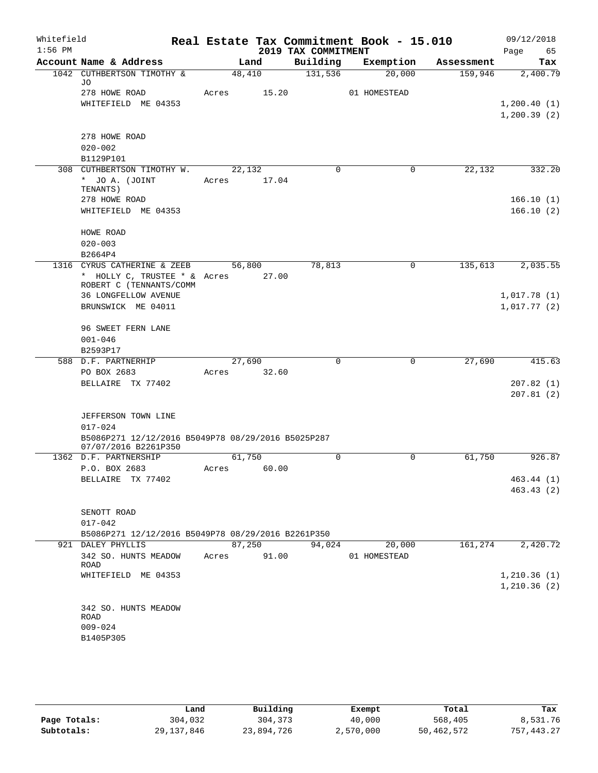| Whitefield<br>$1:56$ PM |                                                                   |       |                 | 2019 TAX COMMITMENT | Real Estate Tax Commitment Book - 15.010 |            | 09/12/2018<br>Page<br>65 |
|-------------------------|-------------------------------------------------------------------|-------|-----------------|---------------------|------------------------------------------|------------|--------------------------|
|                         | Account Name & Address                                            |       | Land            | Building            | Exemption                                | Assessment | Tax                      |
|                         | 1042 CUTHBERTSON TIMOTHY &<br>JO                                  |       | 48,410          | 131,536             | 20,000                                   | 159,946    | 2,400.79                 |
|                         | 278 HOWE ROAD<br>WHITEFIELD ME 04353                              | Acres | 15.20           |                     | 01 HOMESTEAD                             |            | 1,200.40(1)              |
|                         |                                                                   |       |                 |                     |                                          |            | 1, 200.39(2)             |
|                         | 278 HOWE ROAD                                                     |       |                 |                     |                                          |            |                          |
|                         | $020 - 002$                                                       |       |                 |                     |                                          |            |                          |
|                         | B1129P101                                                         |       |                 |                     |                                          |            |                          |
|                         | 308 CUTHBERTSON TIMOTHY W.<br>* JO A. (JOINT                      | Acres | 22,132<br>17.04 | $\Omega$            | $\mathbf 0$                              | 22,132     | 332.20                   |
|                         | TENANTS)<br>278 HOWE ROAD                                         |       |                 |                     |                                          |            | 166.10(1)                |
|                         | WHITEFIELD ME 04353                                               |       |                 |                     |                                          |            | 166.10(2)                |
|                         | HOWE ROAD                                                         |       |                 |                     |                                          |            |                          |
|                         | $020 - 003$                                                       |       |                 |                     |                                          |            |                          |
|                         | B2664P4                                                           |       |                 |                     |                                          |            |                          |
|                         | 1316 CYRUS CATHERINE & ZEEB<br>* HOLLY C, TRUSTEE * & Acres       |       | 56,800<br>27.00 | 78,813              | 0                                        | 135,613    | 2,035.55                 |
|                         | ROBERT C (TENNANTS/COMM                                           |       |                 |                     |                                          |            |                          |
|                         | <b>36 LONGFELLOW AVENUE</b>                                       |       |                 |                     |                                          |            | 1,017.78(1)              |
|                         | BRUNSWICK ME 04011                                                |       |                 |                     |                                          |            | 1,017.77(2)              |
|                         | 96 SWEET FERN LANE                                                |       |                 |                     |                                          |            |                          |
|                         | $001 - 046$                                                       |       |                 |                     |                                          |            |                          |
|                         | B2593P17                                                          |       |                 |                     |                                          |            |                          |
|                         | 588 D.F. PARTNERHIP                                               |       | 27,690          | $\mathbf 0$         | 0                                        | 27,690     | 415.63                   |
|                         | PO BOX 2683                                                       | Acres | 32.60           |                     |                                          |            |                          |
|                         | BELLAIRE TX 77402                                                 |       |                 |                     |                                          |            | 207.82(1)<br>207.81(2)   |
|                         | JEFFERSON TOWN LINE                                               |       |                 |                     |                                          |            |                          |
|                         | $017 - 024$<br>B5086P271 12/12/2016 B5049P78 08/29/2016 B5025P287 |       |                 |                     |                                          |            |                          |
|                         | 07/07/2016 B2261P350                                              |       |                 |                     |                                          |            |                          |
|                         | 1362 D.F. PARTNERSHIP                                             | Acres | 61,750          | $\mathbf 0$         | 0                                        | 61,750     | 926.87                   |
|                         | P.O. BOX 2683<br>BELLAIRE TX 77402                                |       | 60.00           |                     |                                          |            | 463.44(1)                |
|                         |                                                                   |       |                 |                     |                                          |            | 463.43(2)                |
|                         |                                                                   |       |                 |                     |                                          |            |                          |
|                         | SENOTT ROAD                                                       |       |                 |                     |                                          |            |                          |
|                         | $017 - 042$                                                       |       |                 |                     |                                          |            |                          |
|                         | B5086P271 12/12/2016 B5049P78 08/29/2016 B2261P350                |       |                 |                     |                                          |            |                          |
|                         | 921 DALEY PHYLLIS                                                 |       | 87,250          | 94,024              | 20,000                                   | 161,274    | 2,420.72                 |
|                         | 342 SO. HUNTS MEADOW<br>ROAD                                      | Acres | 91.00           |                     | 01 HOMESTEAD                             |            |                          |
|                         | WHITEFIELD ME 04353                                               |       |                 |                     |                                          |            | 1,210.36(1)              |
|                         |                                                                   |       |                 |                     |                                          |            | 1,210.36(2)              |
|                         | 342 SO. HUNTS MEADOW<br>ROAD                                      |       |                 |                     |                                          |            |                          |
|                         | $009 - 024$                                                       |       |                 |                     |                                          |            |                          |
|                         | B1405P305                                                         |       |                 |                     |                                          |            |                          |
|                         |                                                                   |       |                 |                     |                                          |            |                          |
|                         |                                                                   |       |                 |                     |                                          |            |                          |

|              | Land         | Building   | Exempt    | Total      | Tax         |
|--------------|--------------|------------|-----------|------------|-------------|
| Page Totals: | 304,032      | 304,373    | 40,000    | 568,405    | 8,531.76    |
| Subtotals:   | 29, 137, 846 | 23,894,726 | 2,570,000 | 50,462,572 | 757, 443.27 |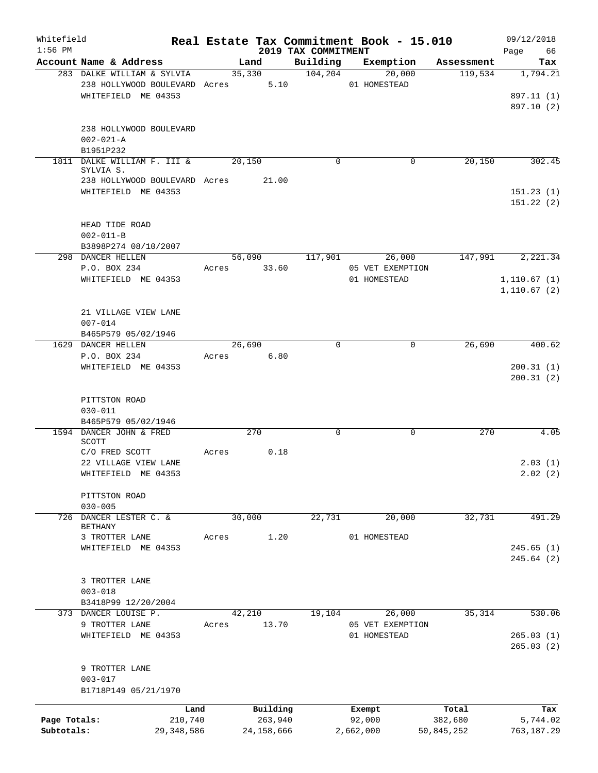| Whitefield                 |                                           |       |                       |                                 | Real Estate Tax Commitment Book - 15.010 |                       | 09/12/2018             |
|----------------------------|-------------------------------------------|-------|-----------------------|---------------------------------|------------------------------------------|-----------------------|------------------------|
| $1:56$ PM                  | Account Name & Address                    |       | Land                  | 2019 TAX COMMITMENT<br>Building | Exemption                                | Assessment            | 66<br>Page<br>Tax      |
|                            | 283 DALKE WILLIAM & SYLVIA                |       | 35,330                | 104, 204                        | 20,000                                   | 119,534               | 1,794.21               |
|                            | 238 HOLLYWOOD BOULEVARD Acres 5.10        |       |                       |                                 | 01 HOMESTEAD                             |                       |                        |
|                            | WHITEFIELD ME 04353                       |       |                       |                                 |                                          |                       | 897.11 (1)             |
|                            |                                           |       |                       |                                 |                                          |                       | 897.10 (2)             |
|                            |                                           |       |                       |                                 |                                          |                       |                        |
|                            | 238 HOLLYWOOD BOULEVARD                   |       |                       |                                 |                                          |                       |                        |
|                            | $002 - 021 - A$                           |       |                       |                                 |                                          |                       |                        |
|                            | B1951P232                                 |       |                       |                                 |                                          |                       |                        |
|                            | 1811 DALKE WILLIAM F. III &<br>SYLVIA S.  |       | 20,150                | $\Omega$                        | 0                                        | 20,150                | 302.45                 |
|                            | 238 HOLLYWOOD BOULEVARD Acres             |       | 21.00                 |                                 |                                          |                       |                        |
|                            | WHITEFIELD ME 04353                       |       |                       |                                 |                                          |                       | 151.23(1)              |
|                            |                                           |       |                       |                                 |                                          |                       | 151.22(2)              |
|                            |                                           |       |                       |                                 |                                          |                       |                        |
|                            | HEAD TIDE ROAD                            |       |                       |                                 |                                          |                       |                        |
|                            | $002 - 011 - B$                           |       |                       |                                 |                                          |                       |                        |
|                            | B3898P274 08/10/2007<br>298 DANCER HELLEN |       | 56,090                | 117,901                         | 26,000                                   | 147,991               | 2,221.34               |
|                            | P.O. BOX 234                              | Acres | 33.60                 |                                 | 05 VET EXEMPTION                         |                       |                        |
|                            | WHITEFIELD ME 04353                       |       |                       |                                 | 01 HOMESTEAD                             |                       | 1, 110.67(1)           |
|                            |                                           |       |                       |                                 |                                          |                       | 1, 110.67(2)           |
|                            |                                           |       |                       |                                 |                                          |                       |                        |
|                            | 21 VILLAGE VIEW LANE                      |       |                       |                                 |                                          |                       |                        |
|                            | $007 - 014$                               |       |                       |                                 |                                          |                       |                        |
|                            | B465P579 05/02/1946                       |       |                       |                                 |                                          |                       |                        |
|                            | 1629 DANCER HELLEN                        |       | 26,690                | $\Omega$                        | $\Omega$                                 | 26,690                | 400.62                 |
|                            | P.O. BOX 234<br>WHITEFIELD ME 04353       | Acres | 6.80                  |                                 |                                          |                       | 200.31(1)              |
|                            |                                           |       |                       |                                 |                                          |                       | 200.31(2)              |
|                            |                                           |       |                       |                                 |                                          |                       |                        |
|                            | PITTSTON ROAD                             |       |                       |                                 |                                          |                       |                        |
|                            | $030 - 011$<br>B465P579 05/02/1946        |       |                       |                                 |                                          |                       |                        |
|                            | 1594 DANCER JOHN & FRED                   |       | 270                   | $\mathbf 0$                     | 0                                        | 270                   | 4.05                   |
|                            | SCOTT                                     |       |                       |                                 |                                          |                       |                        |
|                            | C/O FRED SCOTT                            | Acres | 0.18                  |                                 |                                          |                       |                        |
|                            | 22 VILLAGE VIEW LANE                      |       |                       |                                 |                                          |                       | 2.03(1)                |
|                            | WHITEFIELD ME 04353                       |       |                       |                                 |                                          |                       | 2.02(2)                |
|                            |                                           |       |                       |                                 |                                          |                       |                        |
|                            | PITTSTON ROAD<br>$030 - 005$              |       |                       |                                 |                                          |                       |                        |
|                            | 726 DANCER LESTER C. &                    |       | 30,000                | 22,731                          | 20,000                                   | 32,731                | 491.29                 |
|                            | BETHANY                                   |       |                       |                                 |                                          |                       |                        |
|                            | 3 TROTTER LANE                            | Acres | 1.20                  |                                 | 01 HOMESTEAD                             |                       |                        |
|                            | WHITEFIELD ME 04353                       |       |                       |                                 |                                          |                       | 245.65(1)              |
|                            |                                           |       |                       |                                 |                                          |                       | 245.64(2)              |
|                            | 3 TROTTER LANE                            |       |                       |                                 |                                          |                       |                        |
|                            | $003 - 018$                               |       |                       |                                 |                                          |                       |                        |
|                            | B3418P99 12/20/2004                       |       |                       |                                 |                                          |                       |                        |
|                            | 373 DANCER LOUISE P.                      |       | 42,210                | 19,104                          | 26,000                                   | 35,314                | 530.06                 |
|                            | 9 TROTTER LANE                            | Acres | 13.70                 |                                 | 05 VET EXEMPTION                         |                       |                        |
|                            | WHITEFIELD ME 04353                       |       |                       |                                 | 01 HOMESTEAD                             |                       | 265.03(1)              |
|                            |                                           |       |                       |                                 |                                          |                       | 265.03(2)              |
|                            |                                           |       |                       |                                 |                                          |                       |                        |
|                            | 9 TROTTER LANE                            |       |                       |                                 |                                          |                       |                        |
|                            | $003 - 017$<br>B1718P149 05/21/1970       |       |                       |                                 |                                          |                       |                        |
|                            |                                           |       |                       |                                 |                                          |                       |                        |
|                            | Land                                      |       | Building              |                                 | Exempt                                   | Total                 | Tax                    |
| Page Totals:<br>Subtotals: | 210,740<br>29,348,586                     |       | 263,940<br>24,158,666 |                                 | 92,000<br>2,662,000                      | 382,680<br>50,845,252 | 5,744.02<br>763,187.29 |
|                            |                                           |       |                       |                                 |                                          |                       |                        |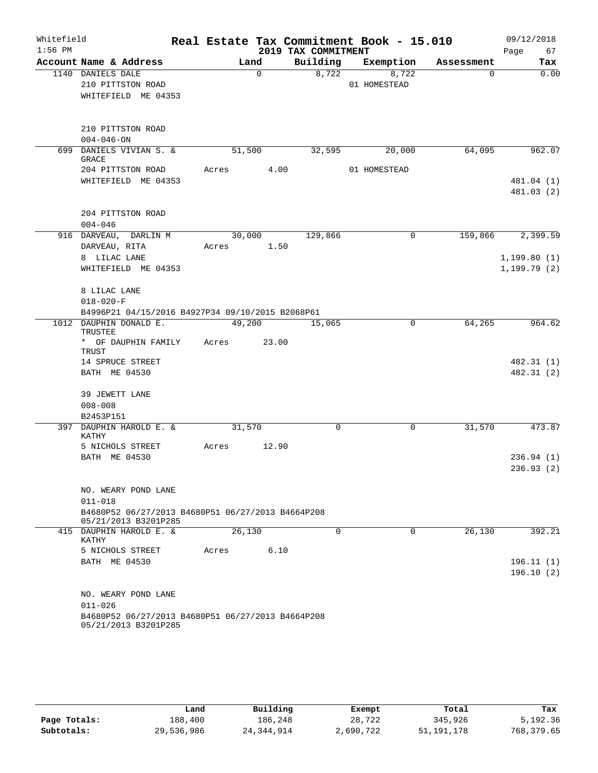| Whitefield<br>$1:56$ PM |                                                                                                                 | Real Estate Tax Commitment Book - 15.010 | 2019 TAX COMMITMENT |                               |          | 09/12/2018<br>Page<br>67     |
|-------------------------|-----------------------------------------------------------------------------------------------------------------|------------------------------------------|---------------------|-------------------------------|----------|------------------------------|
|                         | Account Name & Address                                                                                          | Land                                     |                     | Building Exemption Assessment |          | Tax                          |
|                         | 1140 DANIELS DALE<br>210 PITTSTON ROAD<br>WHITEFIELD ME 04353                                                   | $\Omega$                                 | 8,722               | 8,722<br>01 HOMESTEAD         | $\Omega$ | 0.00                         |
|                         | 210 PITTSTON ROAD<br>$004 - 046 - ON$                                                                           |                                          |                     |                               |          |                              |
|                         | 699 DANIELS VIVIAN S. &<br>GRACE                                                                                | 51,500                                   | 32,595              | 20,000                        | 64,095   | 962.07                       |
|                         | 204 PITTSTON ROAD<br>WHITEFIELD ME 04353                                                                        | Acres 4.00                               |                     | 01 HOMESTEAD                  |          | 481.04 (1)<br>481.03 (2)     |
|                         | 204 PITTSTON ROAD<br>$004 - 046$                                                                                |                                          |                     |                               |          |                              |
|                         | 916 DARVEAU, DARLIN M<br>DARVEAU, RITA                                                                          | 30,000<br>Acres 1.50                     | 129,866             | 0                             | 159,866  | 2,399.59                     |
|                         | 8 LILAC LANE<br>WHITEFIELD ME 04353                                                                             |                                          |                     |                               |          | 1, 199.80(1)<br>1, 199.79(2) |
|                         | 8 LILAC LANE<br>$018 - 020 - F$<br>B4996P21 04/15/2016 B4927P34 09/10/2015 B2068P61                             |                                          |                     |                               |          |                              |
|                         | 1012 DAUPHIN DONALD E.<br>TRUSTEE                                                                               | 49,200                                   | 15,065              | $\mathbf 0$                   | 64,265   | 964.62                       |
|                         | * OF DAUPHIN FAMILY<br>TRUST                                                                                    | Acres 23.00                              |                     |                               |          |                              |
|                         | 14 SPRUCE STREET<br>BATH ME 04530                                                                               |                                          |                     |                               |          | 482.31 (1)<br>482.31 (2)     |
|                         | 39 JEWETT LANE<br>$008 - 008$                                                                                   |                                          |                     |                               |          |                              |
|                         | B2453P151<br>397 DAUPHIN HAROLD E. &                                                                            | 31,570                                   | $\mathbf 0$         | $\overline{0}$                | 31,570   | 473.87                       |
|                         | KATHY<br>5 NICHOLS STREET                                                                                       | Acres<br>12.90                           |                     |                               |          |                              |
|                         | BATH ME 04530                                                                                                   |                                          |                     |                               |          | 236.94(1)<br>236.93(2)       |
|                         | NO. WEARY POND LANE<br>$011 - 018$<br>B4680P52 06/27/2013 B4680P51 06/27/2013 B4664P208                         |                                          |                     |                               |          |                              |
|                         | 05/21/2013 B3201P285                                                                                            |                                          |                     |                               |          |                              |
|                         | 415 DAUPHIN HAROLD E. &<br>KATHY                                                                                | 26,130                                   | $\Omega$            | $\Omega$                      | 26,130   | 392.21                       |
|                         | 5 NICHOLS STREET<br>BATH ME 04530                                                                               | 6.10<br>Acres                            |                     |                               |          | 196.11(1)<br>196.10(2)       |
|                         | NO. WEARY POND LANE<br>$011 - 026$<br>B4680P52 06/27/2013 B4680P51 06/27/2013 B4664P208<br>05/21/2013 B3201P285 |                                          |                     |                               |          |                              |

|              | Land       | Building     | Exempt    | Total      | Tax        |
|--------------|------------|--------------|-----------|------------|------------|
| Page Totals: | 188,400    | 186,248      | 28,722    | 345,926    | 5,192.36   |
| Subtotals:   | 29,536,986 | 24, 344, 914 | 2,690,722 | 51,191,178 | 768,379.65 |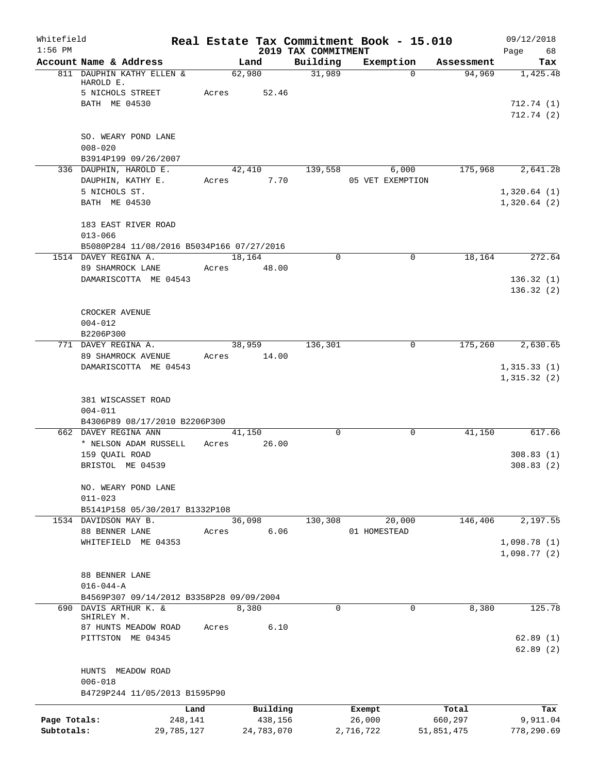| Whitefield<br>$1:56$ PM    |                                                                                 |       |                                   | 2019 TAX COMMITMENT | Real Estate Tax Commitment Book - 15.010 |                                | 09/12/2018<br>68<br>Page      |
|----------------------------|---------------------------------------------------------------------------------|-------|-----------------------------------|---------------------|------------------------------------------|--------------------------------|-------------------------------|
|                            | Account Name & Address                                                          |       | Land                              | Building            | Exemption                                | Assessment                     | Tax                           |
|                            | 811 DAUPHIN KATHY ELLEN &<br>HAROLD E.<br>5 NICHOLS STREET                      | Acres | 62,980<br>52.46                   | 31,989              | $\Omega$                                 | 94,969                         | 1,425.48                      |
|                            | BATH ME 04530                                                                   |       |                                   |                     |                                          |                                | 712.74 (1)<br>712.74(2)       |
|                            | SO. WEARY POND LANE<br>$008 - 020$<br>B3914P199 09/26/2007                      |       |                                   |                     |                                          |                                |                               |
|                            | 336 DAUPHIN, HAROLD E.<br>DAUPHIN, KATHY E.                                     | Acres | 42,410<br>7.70                    | 139,558             | 6,000<br>05 VET EXEMPTION                | 175,968                        | 2,641.28                      |
|                            | 5 NICHOLS ST.<br>BATH ME 04530                                                  |       |                                   |                     |                                          |                                | 1,320.64(1)<br>1,320.64(2)    |
|                            | 183 EAST RIVER ROAD<br>$013 - 066$<br>B5080P284 11/08/2016 B5034P166 07/27/2016 |       |                                   |                     |                                          |                                |                               |
|                            | 1514 DAVEY REGINA A.                                                            |       | 18,164                            | $\mathbf 0$         | $\mathbf 0$                              | 18,164                         | 272.64                        |
|                            | 89 SHAMROCK LANE<br>DAMARISCOTTA ME 04543                                       | Acres | 48.00                             |                     |                                          |                                | 136.32(1)                     |
|                            |                                                                                 |       |                                   |                     |                                          |                                | 136.32(2)                     |
|                            | CROCKER AVENUE<br>$004 - 012$<br>B2206P300                                      |       |                                   |                     |                                          |                                |                               |
|                            | 771 DAVEY REGINA A.                                                             |       | 38,959                            | 136,301             | 0                                        | 175,260                        | 2,630.65                      |
|                            | 89 SHAMROCK AVENUE                                                              |       | Acres 14.00                       |                     |                                          |                                |                               |
|                            | DAMARISCOTTA ME 04543                                                           |       |                                   |                     |                                          |                                | 1,315.33(1)<br>1,315.32(2)    |
|                            | 381 WISCASSET ROAD<br>$004 - 011$<br>B4306P89 08/17/2010 B2206P300              |       |                                   |                     |                                          |                                |                               |
|                            | 662 DAVEY REGINA ANN                                                            |       | 41,150                            | $\mathbf 0$         | 0                                        | 41,150                         | 617.66                        |
|                            | * NELSON ADAM RUSSELL                                                           | Acres | 26.00                             |                     |                                          |                                |                               |
|                            | 159 QUAIL ROAD<br>BRISTOL ME 04539                                              |       |                                   |                     |                                          |                                | 308.83(1)<br>308.83(2)        |
|                            | NO. WEARY POND LANE<br>$011 - 023$                                              |       |                                   |                     |                                          |                                |                               |
|                            | B5141P158 05/30/2017 B1332P108<br>1534 DAVIDSON MAY B.                          |       | 36,098                            | 130,308             | 20,000                                   | 146,406                        | 2,197.55                      |
|                            | 88 BENNER LANE                                                                  | Acres | 6.06                              |                     | 01 HOMESTEAD                             |                                |                               |
|                            | WHITEFIELD ME 04353                                                             |       |                                   |                     |                                          |                                | 1,098.78(1)<br>1,098.77(2)    |
|                            | 88 BENNER LANE                                                                  |       |                                   |                     |                                          |                                |                               |
|                            | $016 - 044 - A$                                                                 |       |                                   |                     |                                          |                                |                               |
|                            | B4569P307 09/14/2012 B3358P28 09/09/2004                                        |       |                                   |                     |                                          |                                |                               |
|                            | 690 DAVIS ARTHUR K. &<br>SHIRLEY M.                                             |       | 8,380                             | $\Omega$            | $\Omega$                                 | 8,380                          | 125.78                        |
|                            | 87 HUNTS MEADOW ROAD<br>PITTSTON ME 04345                                       | Acres | 6.10                              |                     |                                          |                                | 62.89(1)<br>62.89(2)          |
|                            | HUNTS MEADOW ROAD<br>$006 - 018$                                                |       |                                   |                     |                                          |                                |                               |
|                            | B4729P244 11/05/2013 B1595P90                                                   |       |                                   |                     |                                          |                                |                               |
| Page Totals:<br>Subtotals: | 248,141<br>29,785,127                                                           | Land  | Building<br>438,156<br>24,783,070 |                     | Exempt<br>26,000<br>2,716,722            | Total<br>660,297<br>51,851,475 | Tax<br>9,911.04<br>778,290.69 |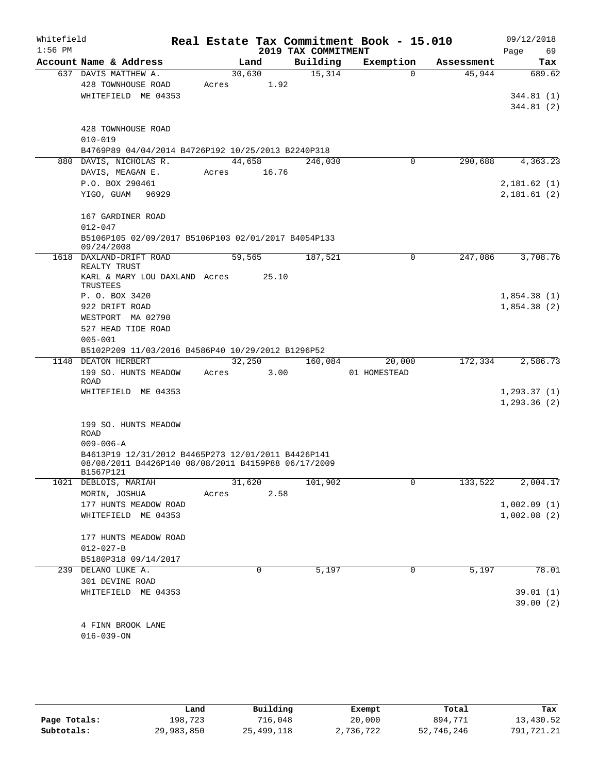| Whitefield<br>$1:56$ PM |                                                                                                                        |       |                 | 2019 TAX COMMITMENT | Real Estate Tax Commitment Book - 15.010 |            | 09/12/2018<br>Page<br>69     |
|-------------------------|------------------------------------------------------------------------------------------------------------------------|-------|-----------------|---------------------|------------------------------------------|------------|------------------------------|
|                         | Account Name & Address                                                                                                 |       | Land            | Building            | Exemption                                | Assessment | Tax                          |
|                         | 637 DAVIS MATTHEW A.<br>428 TOWNHOUSE ROAD                                                                             | Acres | 30,630<br>1.92  | 15,314              | $\Omega$                                 | 45,944     | 689.62                       |
|                         | WHITEFIELD ME 04353                                                                                                    |       |                 |                     |                                          |            | 344.81 (1)<br>344.81 (2)     |
|                         | 428 TOWNHOUSE ROAD<br>$010 - 019$                                                                                      |       |                 |                     |                                          |            |                              |
|                         | B4769P89 04/04/2014 B4726P192 10/25/2013 B2240P318                                                                     |       |                 |                     |                                          |            |                              |
|                         | 880 DAVIS, NICHOLAS R.<br>DAVIS, MEAGAN E.                                                                             | Acres | 44,658<br>16.76 | 246,030             | 0                                        | 290,688    | 4,363.23                     |
|                         | P.O. BOX 290461<br>YIGO, GUAM<br>96929                                                                                 |       |                 |                     |                                          |            | 2,181.62(1)<br>2,181.61(2)   |
|                         | 167 GARDINER ROAD<br>$012 - 047$<br>B5106P105 02/09/2017 B5106P103 02/01/2017 B4054P133                                |       |                 |                     |                                          |            |                              |
| 1618                    | 09/24/2008<br>DAXLAND-DRIFT ROAD                                                                                       |       | 59,565          | 187,521             | 0                                        | 247,086    | 3,708.76                     |
|                         | REALTY TRUST<br>KARL & MARY LOU DAXLAND Acres                                                                          |       | 25.10           |                     |                                          |            |                              |
|                         | TRUSTEES                                                                                                               |       |                 |                     |                                          |            |                              |
|                         | P. O. BOX 3420<br>922 DRIFT ROAD                                                                                       |       |                 |                     |                                          |            | 1,854.38(1)<br>1,854.38(2)   |
|                         | WESTPORT MA 02790                                                                                                      |       |                 |                     |                                          |            |                              |
|                         | 527 HEAD TIDE ROAD                                                                                                     |       |                 |                     |                                          |            |                              |
|                         | $005 - 001$                                                                                                            |       |                 |                     |                                          |            |                              |
|                         | B5102P209 11/03/2016 B4586P40 10/29/2012 B1296P52                                                                      |       |                 |                     |                                          |            |                              |
|                         | 1148 DEATON HERBERT                                                                                                    |       | 32,250          | 160,084             | 20,000                                   | 172,334    | 2,586.73                     |
|                         | 199 SO. HUNTS MEADOW<br>ROAD                                                                                           | Acres | 3.00            |                     | 01 HOMESTEAD                             |            |                              |
|                         | WHITEFIELD ME 04353                                                                                                    |       |                 |                     |                                          |            | 1, 293.37(1)<br>1, 293.36(2) |
|                         | 199 SO. HUNTS MEADOW<br>ROAD<br>$009 - 006 - A$                                                                        |       |                 |                     |                                          |            |                              |
|                         | B4613P19 12/31/2012 B4465P273 12/01/2011 B4426P141<br>08/08/2011 B4426P140 08/08/2011 B4159P88 06/17/2009<br>B1567P121 |       |                 |                     |                                          |            |                              |
|                         | 1021 DEBLOIS, MARIAH                                                                                                   |       | 31,620          | 101,902             | 0                                        | 133,522    | 2,004.17                     |
|                         | MORIN, JOSHUA                                                                                                          | Acres | 2.58            |                     |                                          |            |                              |
|                         | 177 HUNTS MEADOW ROAD<br>WHITEFIELD ME 04353                                                                           |       |                 |                     |                                          |            | 1,002.09(1)<br>1,002.08(2)   |
|                         | 177 HUNTS MEADOW ROAD                                                                                                  |       |                 |                     |                                          |            |                              |
|                         | $012 - 027 - B$                                                                                                        |       |                 |                     |                                          |            |                              |
|                         | B5180P318 09/14/2017                                                                                                   |       |                 |                     |                                          |            |                              |
| 239                     | DELANO LUKE A.                                                                                                         |       | 0               | 5,197               | 0                                        | 5,197      | 78.01                        |
|                         | 301 DEVINE ROAD<br>WHITEFIELD ME 04353                                                                                 |       |                 |                     |                                          |            | 39.01(1)<br>39.00(2)         |
|                         |                                                                                                                        |       |                 |                     |                                          |            |                              |
|                         | 4 FINN BROOK LANE<br>$016 - 039 - ON$                                                                                  |       |                 |                     |                                          |            |                              |
|                         |                                                                                                                        |       |                 |                     |                                          |            |                              |

|              | Land       | Building   | Exempt    | Total      | Tax        |
|--------------|------------|------------|-----------|------------|------------|
| Page Totals: | 198,723    | 716,048    | 20,000    | 894,771    | 13,430.52  |
| Subtotals:   | 29,983,850 | 25,499,118 | 2,736,722 | 52,746,246 | 791,721.21 |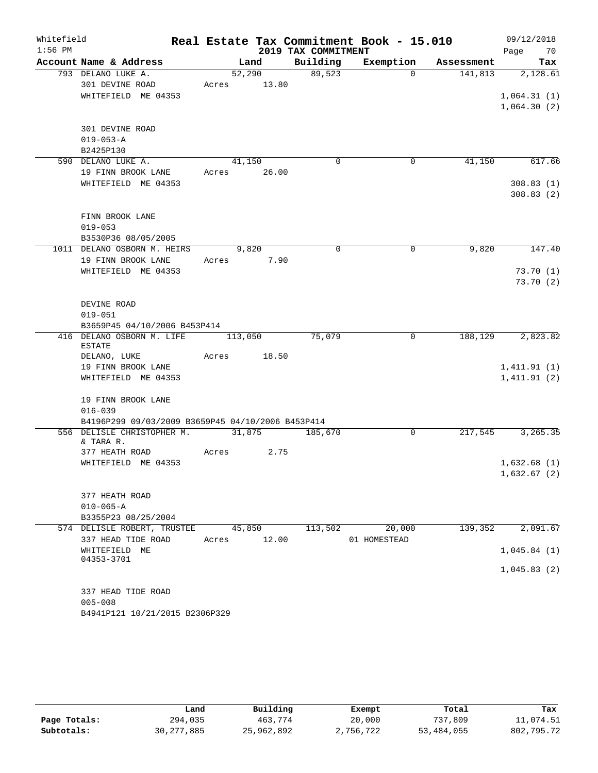| Whitefield |                                                   |         |        |             |                     | Real Estate Tax Commitment Book - 15.010 |            | 09/12/2018  |          |
|------------|---------------------------------------------------|---------|--------|-------------|---------------------|------------------------------------------|------------|-------------|----------|
| $1:56$ PM  |                                                   |         |        |             | 2019 TAX COMMITMENT |                                          |            | Page        | 70       |
|            | Account Name & Address                            |         | Land   |             | Building            | Exemption                                | Assessment |             | Tax      |
|            | 793 DELANO LUKE A.                                |         | 52,290 |             | 89,523              | $\Omega$                                 | 141,813    |             | 2,128.61 |
|            | 301 DEVINE ROAD                                   | Acres   |        | 13.80       |                     |                                          |            |             |          |
|            | WHITEFIELD ME 04353                               |         |        |             |                     |                                          |            | 1,064.31(1) |          |
|            |                                                   |         |        |             |                     |                                          |            | 1,064.30(2) |          |
|            | 301 DEVINE ROAD                                   |         |        |             |                     |                                          |            |             |          |
|            | $019 - 053 - A$                                   |         |        |             |                     |                                          |            |             |          |
|            | B2425P130                                         |         |        |             |                     |                                          |            |             |          |
|            | 590 DELANO LUKE A.                                |         | 41,150 |             | $\mathbf 0$         | 0                                        | 41,150     |             | 617.66   |
|            | 19 FINN BROOK LANE                                |         |        | Acres 26.00 |                     |                                          |            |             |          |
|            | WHITEFIELD ME 04353                               |         |        |             |                     |                                          |            | 308.83(1)   |          |
|            |                                                   |         |        |             |                     |                                          |            | 308.83(2)   |          |
|            |                                                   |         |        |             |                     |                                          |            |             |          |
|            | FINN BROOK LANE                                   |         |        |             |                     |                                          |            |             |          |
|            | $019 - 053$                                       |         |        |             |                     |                                          |            |             |          |
|            | B3530P36 08/05/2005                               |         |        |             |                     |                                          |            |             |          |
|            | 1011 DELANO OSBORN M. HEIRS                       |         | 9,820  |             | $\Omega$            | 0                                        | 9,820      |             | 147.40   |
|            | 19 FINN BROOK LANE                                |         |        | Acres 7.90  |                     |                                          |            |             |          |
|            | WHITEFIELD ME 04353                               |         |        |             |                     |                                          |            | 73.70(1)    |          |
|            |                                                   |         |        |             |                     |                                          |            | 73.70(2)    |          |
|            |                                                   |         |        |             |                     |                                          |            |             |          |
|            | DEVINE ROAD                                       |         |        |             |                     |                                          |            |             |          |
|            | $019 - 051$                                       |         |        |             |                     |                                          |            |             |          |
|            | B3659P45 04/10/2006 B453P414                      |         |        |             |                     |                                          |            |             |          |
|            | 416 DELANO OSBORN M. LIFE<br><b>ESTATE</b>        | 113,050 |        |             | 75,079              | 0                                        | 188,129    |             | 2,823.82 |
|            | DELANO, LUKE                                      | Acres   |        | 18.50       |                     |                                          |            |             |          |
|            | 19 FINN BROOK LANE                                |         |        |             |                     |                                          |            | 1,411.91(1) |          |
|            | WHITEFIELD ME 04353                               |         |        |             |                     |                                          |            | 1,411.91(2) |          |
|            |                                                   |         |        |             |                     |                                          |            |             |          |
|            | 19 FINN BROOK LANE                                |         |        |             |                     |                                          |            |             |          |
|            | $016 - 039$                                       |         |        |             |                     |                                          |            |             |          |
|            | B4196P299 09/03/2009 B3659P45 04/10/2006 B453P414 |         |        |             |                     |                                          |            |             |          |
|            | 556 DELISLE CHRISTOPHER M.                        |         | 31,875 |             | 185,670             | 0                                        | 217,545    | 3,265.35    |          |
|            | & TARA R.                                         |         |        | 2.75        |                     |                                          |            |             |          |
|            | 377 HEATH ROAD<br>WHITEFIELD ME 04353             | Acres   |        |             |                     |                                          |            | 1,632.68(1) |          |
|            |                                                   |         |        |             |                     |                                          |            | 1,632.67(2) |          |
|            |                                                   |         |        |             |                     |                                          |            |             |          |
|            | 377 HEATH ROAD                                    |         |        |             |                     |                                          |            |             |          |
|            | $010 - 065 - A$                                   |         |        |             |                     |                                          |            |             |          |
|            | B3355P23 08/25/2004                               |         |        |             |                     |                                          |            |             |          |
|            | 574 DELISLE ROBERT, TRUSTEE                       |         | 45,850 |             | 113,502             | 20,000                                   | 139,352    |             | 2,091.67 |
|            | 337 HEAD TIDE ROAD                                | Acres   |        | 12.00       |                     | 01 HOMESTEAD                             |            |             |          |
|            | WHITEFIELD ME                                     |         |        |             |                     |                                          |            | 1,045.84(1) |          |
|            | 04353-3701                                        |         |        |             |                     |                                          |            |             |          |
|            |                                                   |         |        |             |                     |                                          |            | 1,045.83(2) |          |
|            |                                                   |         |        |             |                     |                                          |            |             |          |
|            | 337 HEAD TIDE ROAD                                |         |        |             |                     |                                          |            |             |          |
|            | $005 - 008$                                       |         |        |             |                     |                                          |            |             |          |
|            | B4941P121 10/21/2015 B2306P329                    |         |        |             |                     |                                          |            |             |          |

|              | Land         | Building   | Exempt    | Total      | Tax        |
|--------------|--------------|------------|-----------|------------|------------|
| Page Totals: | 294,035      | 463,774    | 20,000    | 737,809    | 11,074.51  |
| Subtotals:   | 30, 277, 885 | 25,962,892 | 2,756,722 | 53,484,055 | 802,795.72 |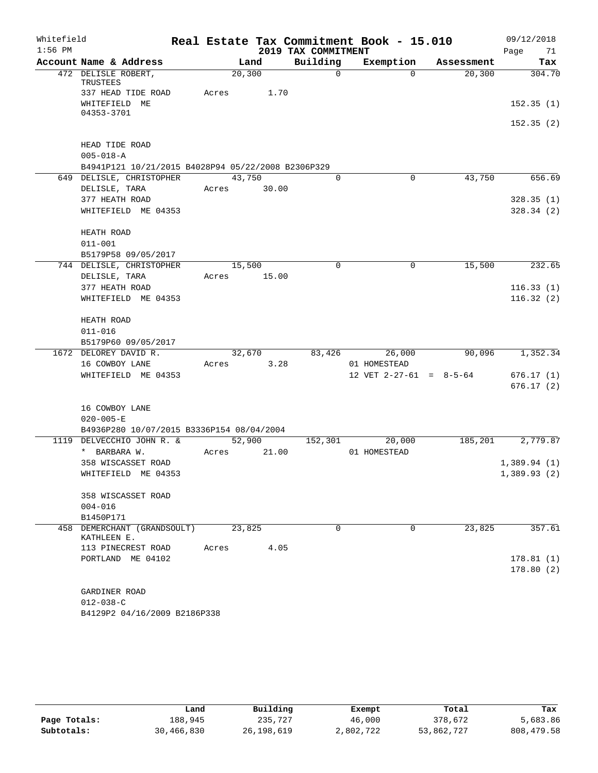| Whitefield |                                                    |       |         |       |                     | Real Estate Tax Commitment Book - 15.010 |            | 09/12/2018             |
|------------|----------------------------------------------------|-------|---------|-------|---------------------|------------------------------------------|------------|------------------------|
| $1:56$ PM  |                                                    |       |         |       | 2019 TAX COMMITMENT |                                          |            | Page<br>71             |
|            | Account Name & Address                             |       |         | Land  | Building            | Exemption                                | Assessment | Tax                    |
|            | 472 DELISLE ROBERT,<br>TRUSTEES                    |       | 20, 300 |       | $\Omega$            | $\Omega$                                 | 20, 300    | 304.70                 |
|            | 337 HEAD TIDE ROAD<br>WHITEFIELD ME                | Acres |         | 1.70  |                     |                                          |            | 152.35(1)              |
|            | 04353-3701                                         |       |         |       |                     |                                          |            | 152.35(2)              |
|            | HEAD TIDE ROAD<br>$005 - 018 - A$                  |       |         |       |                     |                                          |            |                        |
|            | B4941P121 10/21/2015 B4028P94 05/22/2008 B2306P329 |       |         |       |                     |                                          |            |                        |
|            | 649 DELISLE, CHRISTOPHER                           |       | 43,750  |       | 0                   | 0                                        | 43,750     | 656.69                 |
|            | DELISLE, TARA                                      | Acres |         | 30.00 |                     |                                          |            |                        |
|            | 377 HEATH ROAD<br>WHITEFIELD ME 04353              |       |         |       |                     |                                          |            | 328.35(1)<br>328.34(2) |
|            |                                                    |       |         |       |                     |                                          |            |                        |
|            | HEATH ROAD                                         |       |         |       |                     |                                          |            |                        |
|            | $011 - 001$                                        |       |         |       |                     |                                          |            |                        |
|            | B5179P58 09/05/2017                                |       |         |       |                     |                                          |            |                        |
|            | 744 DELISLE, CHRISTOPHER                           |       | 15,500  |       | $\Omega$            | 0                                        | 15,500     | 232.65                 |
|            | DELISLE, TARA                                      | Acres |         | 15.00 |                     |                                          |            |                        |
|            | 377 HEATH ROAD                                     |       |         |       |                     |                                          |            | 116.33(1)              |
|            | WHITEFIELD ME 04353                                |       |         |       |                     |                                          |            | 116.32(2)              |
|            | HEATH ROAD                                         |       |         |       |                     |                                          |            |                        |
|            | $011 - 016$                                        |       |         |       |                     |                                          |            |                        |
|            | B5179P60 09/05/2017                                |       |         |       |                     |                                          |            |                        |
|            | 1672 DELOREY DAVID R.                              |       | 32,670  |       | 83,426              | 26,000                                   | 90,096     | 1,352.34               |
|            | 16 COWBOY LANE                                     | Acres |         | 3.28  |                     | 01 HOMESTEAD                             |            |                        |
|            | WHITEFIELD ME 04353                                |       |         |       |                     | 12 VET $2-27-61 = 8-5-64$                |            | 676.17(1)              |
|            |                                                    |       |         |       |                     |                                          |            | 676.17(2)              |
|            | 16 COWBOY LANE                                     |       |         |       |                     |                                          |            |                        |
|            | $020 - 005 - E$                                    |       |         |       |                     |                                          |            |                        |
|            | B4936P280 10/07/2015 B3336P154 08/04/2004          |       |         |       |                     |                                          |            |                        |
| 1119       | DELVECCHIO JOHN R. &                               |       | 52,900  |       | 152,301             | 20,000                                   | 185, 201   | 2,779.87               |
|            | * BARBARA W.                                       | Acres |         | 21.00 |                     | 01 HOMESTEAD                             |            |                        |
|            | 358 WISCASSET ROAD                                 |       |         |       |                     |                                          |            | 1,389.94(1)            |
|            | WHITEFIELD ME 04353                                |       |         |       |                     |                                          |            | 1,389.93(2)            |
|            | 358 WISCASSET ROAD                                 |       |         |       |                     |                                          |            |                        |
|            | $004 - 016$                                        |       |         |       |                     |                                          |            |                        |
|            | B1450P171                                          |       |         |       |                     |                                          |            |                        |
|            | 458 DEMERCHANT (GRANDSOULT)<br>KATHLEEN E.         |       | 23,825  |       | $\Omega$            | $\Omega$                                 | 23,825     | 357.61                 |
|            | 113 PINECREST ROAD                                 | Acres |         | 4.05  |                     |                                          |            |                        |
|            | PORTLAND ME 04102                                  |       |         |       |                     |                                          |            | 178.81(1)              |
|            |                                                    |       |         |       |                     |                                          |            | 178.80(2)              |
|            |                                                    |       |         |       |                     |                                          |            |                        |
|            | GARDINER ROAD                                      |       |         |       |                     |                                          |            |                        |
|            | $012 - 038 - C$                                    |       |         |       |                     |                                          |            |                        |
|            | B4129P2 04/16/2009 B2186P338                       |       |         |       |                     |                                          |            |                        |

|              | Land       | Building     | Exempt    | Total      | Tax         |
|--------------|------------|--------------|-----------|------------|-------------|
| Page Totals: | 188,945    | 235,727      | 46,000    | 378,672    | 5,683.86    |
| Subtotals:   | 30,466,830 | 26, 198, 619 | 2,802,722 | 53,862,727 | 808, 479.58 |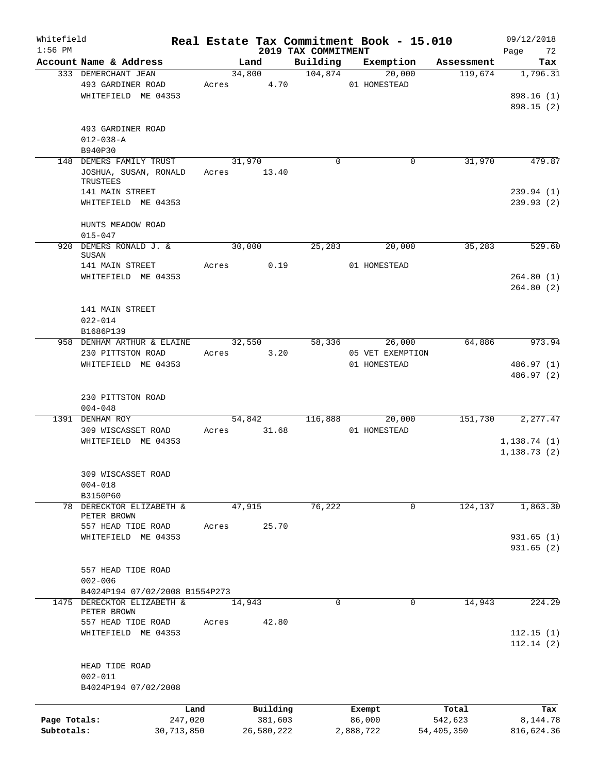| Whitefield<br>$1:56$ PM |                                           |            |        |            | 2019 TAX COMMITMENT | Real Estate Tax Commitment Book - 15.010 |              | 09/12/2018        |
|-------------------------|-------------------------------------------|------------|--------|------------|---------------------|------------------------------------------|--------------|-------------------|
|                         | Account Name & Address                    |            |        | Land       | Building            | Exemption                                | Assessment   | Page<br>72<br>Tax |
|                         | 333 DEMERCHANT JEAN                       |            | 34,800 |            | 104,874             | 20,000                                   | 119,674      | 1,796.31          |
|                         | 493 GARDINER ROAD                         |            | Acres  | 4.70       |                     | 01 HOMESTEAD                             |              |                   |
|                         | WHITEFIELD ME 04353                       |            |        |            |                     |                                          |              | 898.16 (1)        |
|                         |                                           |            |        |            |                     |                                          |              | 898.15 (2)        |
|                         |                                           |            |        |            |                     |                                          |              |                   |
|                         | 493 GARDINER ROAD                         |            |        |            |                     |                                          |              |                   |
|                         | $012 - 038 - A$                           |            |        |            |                     |                                          |              |                   |
|                         | B940P30                                   |            |        |            |                     |                                          |              |                   |
|                         | 148 DEMERS FAMILY TRUST                   |            | 31,970 |            | $\mathbf 0$         | 0                                        | 31,970       | 479.87            |
|                         | JOSHUA, SUSAN, RONALD                     |            | Acres  | 13.40      |                     |                                          |              |                   |
|                         | TRUSTEES                                  |            |        |            |                     |                                          |              |                   |
|                         | 141 MAIN STREET                           |            |        |            |                     |                                          |              | 239.94(1)         |
|                         | WHITEFIELD ME 04353                       |            |        |            |                     |                                          |              | 239.93(2)         |
|                         |                                           |            |        |            |                     |                                          |              |                   |
|                         | HUNTS MEADOW ROAD                         |            |        |            |                     |                                          |              |                   |
|                         | $015 - 047$                               |            |        |            |                     |                                          |              |                   |
|                         | 920 DEMERS RONALD J. &                    |            | 30,000 |            | 25,283              | 20,000                                   | 35,283       | 529.60            |
|                         | SUSAN                                     |            |        |            |                     |                                          |              |                   |
|                         | 141 MAIN STREET                           |            | Acres  | 0.19       |                     | 01 HOMESTEAD                             |              |                   |
|                         | WHITEFIELD ME 04353                       |            |        |            |                     |                                          |              | 264.80(1)         |
|                         |                                           |            |        |            |                     |                                          |              | 264.80(2)         |
|                         |                                           |            |        |            |                     |                                          |              |                   |
|                         | 141 MAIN STREET                           |            |        |            |                     |                                          |              |                   |
|                         | $022 - 014$                               |            |        |            |                     |                                          |              |                   |
|                         | B1686P139                                 |            |        |            |                     |                                          |              |                   |
|                         | 958 DENHAM ARTHUR & ELAINE                |            | 32,550 |            | 58,336              | 26,000                                   | 64,886       | 973.94            |
|                         | 230 PITTSTON ROAD                         |            | Acres  | 3.20       |                     | 05 VET EXEMPTION                         |              |                   |
|                         | WHITEFIELD ME 04353                       |            |        |            |                     | 01 HOMESTEAD                             |              | 486.97 (1)        |
|                         |                                           |            |        |            |                     |                                          |              | 486.97 (2)        |
|                         |                                           |            |        |            |                     |                                          |              |                   |
|                         | 230 PITTSTON ROAD                         |            |        |            |                     |                                          |              |                   |
|                         | $004 - 048$                               |            |        |            |                     |                                          |              |                   |
|                         | 1391 DENHAM ROY                           |            | 54,842 |            | 116,888             | 20,000                                   | 151,730      | 2, 277.47         |
|                         | 309 WISCASSET ROAD                        |            | Acres  | 31.68      |                     | 01 HOMESTEAD                             |              |                   |
|                         | WHITEFIELD ME 04353                       |            |        |            |                     |                                          |              | 1, 138.74(1)      |
|                         |                                           |            |        |            |                     |                                          |              | 1, 138.73(2)      |
|                         |                                           |            |        |            |                     |                                          |              |                   |
|                         |                                           |            |        |            |                     |                                          |              |                   |
|                         | 309 WISCASSET ROAD                        |            |        |            |                     |                                          |              |                   |
|                         | $004 - 018$                               |            |        |            |                     |                                          |              |                   |
|                         | B3150P60                                  |            |        |            |                     |                                          |              |                   |
|                         | 78 DERECKTOR ELIZABETH &<br>PETER BROWN   |            | 47,915 |            | 76,222              | 0                                        | 124,137      | 1,863.30          |
|                         | 557 HEAD TIDE ROAD                        |            | Acres  | 25.70      |                     |                                          |              |                   |
|                         | WHITEFIELD ME 04353                       |            |        |            |                     |                                          |              | 931.65(1)         |
|                         |                                           |            |        |            |                     |                                          |              | 931.65(2)         |
|                         |                                           |            |        |            |                     |                                          |              |                   |
|                         |                                           |            |        |            |                     |                                          |              |                   |
|                         | 557 HEAD TIDE ROAD                        |            |        |            |                     |                                          |              |                   |
|                         | $002 - 006$                               |            |        |            |                     |                                          |              |                   |
|                         | B4024P194 07/02/2008 B1554P273            |            |        |            |                     |                                          |              |                   |
|                         | 1475 DERECKTOR ELIZABETH &<br>PETER BROWN |            | 14,943 |            | $\Omega$            | 0                                        | 14,943       | 224.29            |
|                         | 557 HEAD TIDE ROAD                        |            | Acres  | 42.80      |                     |                                          |              |                   |
|                         | WHITEFIELD ME 04353                       |            |        |            |                     |                                          |              | 112.15(1)         |
|                         |                                           |            |        |            |                     |                                          |              | 112.14(2)         |
|                         |                                           |            |        |            |                     |                                          |              |                   |
|                         | HEAD TIDE ROAD                            |            |        |            |                     |                                          |              |                   |
|                         | $002 - 011$                               |            |        |            |                     |                                          |              |                   |
|                         | B4024P194 07/02/2008                      |            |        |            |                     |                                          |              |                   |
|                         |                                           |            |        |            |                     |                                          |              |                   |
|                         |                                           | Land       |        | Building   |                     | Exempt                                   | Total        | Tax               |
| Page Totals:            |                                           | 247,020    |        | 381,603    |                     | 86,000                                   | 542,623      | 8,144.78          |
| Subtotals:              |                                           | 30,713,850 |        | 26,580,222 |                     | 2,888,722                                | 54, 405, 350 | 816,624.36        |
|                         |                                           |            |        |            |                     |                                          |              |                   |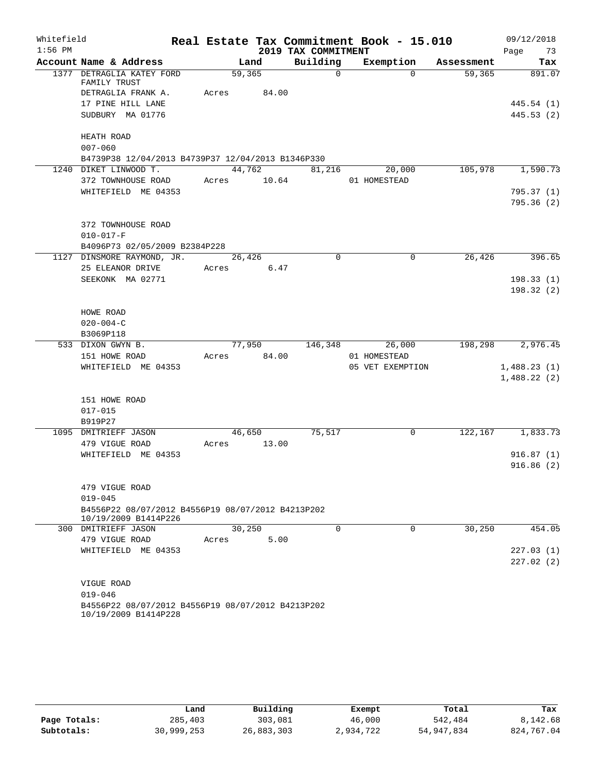| 2019 TAX COMMITMENT<br>Page 73<br>Building<br>Account Name & Address<br>Land<br>Exemption<br>Assessment<br>Tax<br>59,365<br>$\overline{0}$<br>59,365<br>1377 DETRAGLIA KATEY FORD<br>$\Omega$<br>891.07<br>FAMILY TRUST<br>DETRAGLIA FRANK A.<br>Acres<br>84.00<br>17 PINE HILL LANE<br>445.54(1)<br>SUDBURY MA 01776<br>445.53(2)<br>HEATH ROAD<br>$007 - 060$<br>B4739P38 12/04/2013 B4739P37 12/04/2013 B1346P330<br>44,762<br>105,978 1,590.73<br>81,216<br>20,000<br>1240 DIKET LINWOOD T.<br>372 TOWNHOUSE ROAD<br>Acres 10.64<br>01 HOMESTEAD<br>WHITEFIELD ME 04353<br>795.37(1)<br>795.36(2)<br>372 TOWNHOUSE ROAD<br>$010 - 017 - F$<br>B4096P73 02/05/2009 B2384P228<br>26,426<br>1127 DINSMORE RAYMOND, JR.<br>$\Omega$<br>$\mathbf 0$<br>26,426<br>25 ELEANOR DRIVE<br>Acres 6.47<br>SEEKONK MA 02771<br>HOWE ROAD<br>$020 - 004 - C$<br>B3069P118<br>198,298<br>77,950<br>146,348<br>26,000<br>533 DIXON GWYN B.<br>151 HOWE ROAD<br>84.00<br>01 HOMESTEAD<br>Acres<br>05 VET EXEMPTION<br>WHITEFIELD ME 04353<br>151 HOWE ROAD<br>$017 - 015$<br>B919P27<br>46,650<br>75,517<br>$\mathsf{O}$<br>1095 DMITRIEFF JASON<br>479 VIGUE ROAD<br>13.00<br>Acres<br>WHITEFIELD ME 04353<br>479 VIGUE ROAD<br>$019 - 045$ | Whitefield |  |  | Real Estate Tax Commitment Book - 15.010 | 09/12/2018 |
|---------------------------------------------------------------------------------------------------------------------------------------------------------------------------------------------------------------------------------------------------------------------------------------------------------------------------------------------------------------------------------------------------------------------------------------------------------------------------------------------------------------------------------------------------------------------------------------------------------------------------------------------------------------------------------------------------------------------------------------------------------------------------------------------------------------------------------------------------------------------------------------------------------------------------------------------------------------------------------------------------------------------------------------------------------------------------------------------------------------------------------------------------------------------------------------------------------------------------------|------------|--|--|------------------------------------------|------------|
|                                                                                                                                                                                                                                                                                                                                                                                                                                                                                                                                                                                                                                                                                                                                                                                                                                                                                                                                                                                                                                                                                                                                                                                                                                 | $1:56$ PM  |  |  |                                          |            |
|                                                                                                                                                                                                                                                                                                                                                                                                                                                                                                                                                                                                                                                                                                                                                                                                                                                                                                                                                                                                                                                                                                                                                                                                                                 |            |  |  |                                          |            |
|                                                                                                                                                                                                                                                                                                                                                                                                                                                                                                                                                                                                                                                                                                                                                                                                                                                                                                                                                                                                                                                                                                                                                                                                                                 |            |  |  |                                          |            |
|                                                                                                                                                                                                                                                                                                                                                                                                                                                                                                                                                                                                                                                                                                                                                                                                                                                                                                                                                                                                                                                                                                                                                                                                                                 |            |  |  |                                          |            |
|                                                                                                                                                                                                                                                                                                                                                                                                                                                                                                                                                                                                                                                                                                                                                                                                                                                                                                                                                                                                                                                                                                                                                                                                                                 |            |  |  |                                          |            |
|                                                                                                                                                                                                                                                                                                                                                                                                                                                                                                                                                                                                                                                                                                                                                                                                                                                                                                                                                                                                                                                                                                                                                                                                                                 |            |  |  |                                          |            |
|                                                                                                                                                                                                                                                                                                                                                                                                                                                                                                                                                                                                                                                                                                                                                                                                                                                                                                                                                                                                                                                                                                                                                                                                                                 |            |  |  |                                          |            |
|                                                                                                                                                                                                                                                                                                                                                                                                                                                                                                                                                                                                                                                                                                                                                                                                                                                                                                                                                                                                                                                                                                                                                                                                                                 |            |  |  |                                          |            |
|                                                                                                                                                                                                                                                                                                                                                                                                                                                                                                                                                                                                                                                                                                                                                                                                                                                                                                                                                                                                                                                                                                                                                                                                                                 |            |  |  |                                          |            |
|                                                                                                                                                                                                                                                                                                                                                                                                                                                                                                                                                                                                                                                                                                                                                                                                                                                                                                                                                                                                                                                                                                                                                                                                                                 |            |  |  |                                          |            |
|                                                                                                                                                                                                                                                                                                                                                                                                                                                                                                                                                                                                                                                                                                                                                                                                                                                                                                                                                                                                                                                                                                                                                                                                                                 |            |  |  |                                          |            |
|                                                                                                                                                                                                                                                                                                                                                                                                                                                                                                                                                                                                                                                                                                                                                                                                                                                                                                                                                                                                                                                                                                                                                                                                                                 |            |  |  |                                          |            |
|                                                                                                                                                                                                                                                                                                                                                                                                                                                                                                                                                                                                                                                                                                                                                                                                                                                                                                                                                                                                                                                                                                                                                                                                                                 |            |  |  |                                          |            |
|                                                                                                                                                                                                                                                                                                                                                                                                                                                                                                                                                                                                                                                                                                                                                                                                                                                                                                                                                                                                                                                                                                                                                                                                                                 |            |  |  |                                          |            |
| 396.65<br>198.33(1)<br>198.32(2)<br>2,976.45<br>1,488.23(1)<br>1,488.22(2)<br>122, 167 1, 833. 73<br>916.87(1)<br>916.86(2)                                                                                                                                                                                                                                                                                                                                                                                                                                                                                                                                                                                                                                                                                                                                                                                                                                                                                                                                                                                                                                                                                                     |            |  |  |                                          |            |
|                                                                                                                                                                                                                                                                                                                                                                                                                                                                                                                                                                                                                                                                                                                                                                                                                                                                                                                                                                                                                                                                                                                                                                                                                                 |            |  |  |                                          |            |
|                                                                                                                                                                                                                                                                                                                                                                                                                                                                                                                                                                                                                                                                                                                                                                                                                                                                                                                                                                                                                                                                                                                                                                                                                                 |            |  |  |                                          |            |
|                                                                                                                                                                                                                                                                                                                                                                                                                                                                                                                                                                                                                                                                                                                                                                                                                                                                                                                                                                                                                                                                                                                                                                                                                                 |            |  |  |                                          |            |
|                                                                                                                                                                                                                                                                                                                                                                                                                                                                                                                                                                                                                                                                                                                                                                                                                                                                                                                                                                                                                                                                                                                                                                                                                                 |            |  |  |                                          |            |
|                                                                                                                                                                                                                                                                                                                                                                                                                                                                                                                                                                                                                                                                                                                                                                                                                                                                                                                                                                                                                                                                                                                                                                                                                                 |            |  |  |                                          |            |
|                                                                                                                                                                                                                                                                                                                                                                                                                                                                                                                                                                                                                                                                                                                                                                                                                                                                                                                                                                                                                                                                                                                                                                                                                                 |            |  |  |                                          |            |
|                                                                                                                                                                                                                                                                                                                                                                                                                                                                                                                                                                                                                                                                                                                                                                                                                                                                                                                                                                                                                                                                                                                                                                                                                                 |            |  |  |                                          |            |
|                                                                                                                                                                                                                                                                                                                                                                                                                                                                                                                                                                                                                                                                                                                                                                                                                                                                                                                                                                                                                                                                                                                                                                                                                                 |            |  |  |                                          |            |
|                                                                                                                                                                                                                                                                                                                                                                                                                                                                                                                                                                                                                                                                                                                                                                                                                                                                                                                                                                                                                                                                                                                                                                                                                                 |            |  |  |                                          |            |
|                                                                                                                                                                                                                                                                                                                                                                                                                                                                                                                                                                                                                                                                                                                                                                                                                                                                                                                                                                                                                                                                                                                                                                                                                                 |            |  |  |                                          |            |
|                                                                                                                                                                                                                                                                                                                                                                                                                                                                                                                                                                                                                                                                                                                                                                                                                                                                                                                                                                                                                                                                                                                                                                                                                                 |            |  |  |                                          |            |
|                                                                                                                                                                                                                                                                                                                                                                                                                                                                                                                                                                                                                                                                                                                                                                                                                                                                                                                                                                                                                                                                                                                                                                                                                                 |            |  |  |                                          |            |
|                                                                                                                                                                                                                                                                                                                                                                                                                                                                                                                                                                                                                                                                                                                                                                                                                                                                                                                                                                                                                                                                                                                                                                                                                                 |            |  |  |                                          |            |
|                                                                                                                                                                                                                                                                                                                                                                                                                                                                                                                                                                                                                                                                                                                                                                                                                                                                                                                                                                                                                                                                                                                                                                                                                                 |            |  |  |                                          |            |
|                                                                                                                                                                                                                                                                                                                                                                                                                                                                                                                                                                                                                                                                                                                                                                                                                                                                                                                                                                                                                                                                                                                                                                                                                                 |            |  |  |                                          |            |
|                                                                                                                                                                                                                                                                                                                                                                                                                                                                                                                                                                                                                                                                                                                                                                                                                                                                                                                                                                                                                                                                                                                                                                                                                                 |            |  |  |                                          |            |
|                                                                                                                                                                                                                                                                                                                                                                                                                                                                                                                                                                                                                                                                                                                                                                                                                                                                                                                                                                                                                                                                                                                                                                                                                                 |            |  |  |                                          |            |
|                                                                                                                                                                                                                                                                                                                                                                                                                                                                                                                                                                                                                                                                                                                                                                                                                                                                                                                                                                                                                                                                                                                                                                                                                                 |            |  |  |                                          |            |
|                                                                                                                                                                                                                                                                                                                                                                                                                                                                                                                                                                                                                                                                                                                                                                                                                                                                                                                                                                                                                                                                                                                                                                                                                                 |            |  |  |                                          |            |
|                                                                                                                                                                                                                                                                                                                                                                                                                                                                                                                                                                                                                                                                                                                                                                                                                                                                                                                                                                                                                                                                                                                                                                                                                                 |            |  |  |                                          |            |
| B4556P22 08/07/2012 B4556P19 08/07/2012 B4213P202<br>10/19/2009 B1414P226                                                                                                                                                                                                                                                                                                                                                                                                                                                                                                                                                                                                                                                                                                                                                                                                                                                                                                                                                                                                                                                                                                                                                       |            |  |  |                                          |            |
| 30,250<br>$\Omega$<br>30,250<br>454.05<br>$\Omega$<br>300 DMITRIEFF JASON                                                                                                                                                                                                                                                                                                                                                                                                                                                                                                                                                                                                                                                                                                                                                                                                                                                                                                                                                                                                                                                                                                                                                       |            |  |  |                                          |            |
| 479 VIGUE ROAD<br>5.00<br>Acres                                                                                                                                                                                                                                                                                                                                                                                                                                                                                                                                                                                                                                                                                                                                                                                                                                                                                                                                                                                                                                                                                                                                                                                                 |            |  |  |                                          |            |
| WHITEFIELD ME 04353<br>227.03(1)                                                                                                                                                                                                                                                                                                                                                                                                                                                                                                                                                                                                                                                                                                                                                                                                                                                                                                                                                                                                                                                                                                                                                                                                |            |  |  |                                          |            |
| 227.02(2)                                                                                                                                                                                                                                                                                                                                                                                                                                                                                                                                                                                                                                                                                                                                                                                                                                                                                                                                                                                                                                                                                                                                                                                                                       |            |  |  |                                          |            |
|                                                                                                                                                                                                                                                                                                                                                                                                                                                                                                                                                                                                                                                                                                                                                                                                                                                                                                                                                                                                                                                                                                                                                                                                                                 |            |  |  |                                          |            |
| VIGUE ROAD                                                                                                                                                                                                                                                                                                                                                                                                                                                                                                                                                                                                                                                                                                                                                                                                                                                                                                                                                                                                                                                                                                                                                                                                                      |            |  |  |                                          |            |
| $019 - 046$                                                                                                                                                                                                                                                                                                                                                                                                                                                                                                                                                                                                                                                                                                                                                                                                                                                                                                                                                                                                                                                                                                                                                                                                                     |            |  |  |                                          |            |
| B4556P22 08/07/2012 B4556P19 08/07/2012 B4213P202<br>10/19/2009 B1414P228                                                                                                                                                                                                                                                                                                                                                                                                                                                                                                                                                                                                                                                                                                                                                                                                                                                                                                                                                                                                                                                                                                                                                       |            |  |  |                                          |            |

|              | Land       | Building   | Exempt    | Total      | Tax        |
|--------------|------------|------------|-----------|------------|------------|
| Page Totals: | 285,403    | 303,081    | 46,000    | 542,484    | 8,142.68   |
| Subtotals:   | 30,999,253 | 26,883,303 | 2,934,722 | 54,947,834 | 824,767.04 |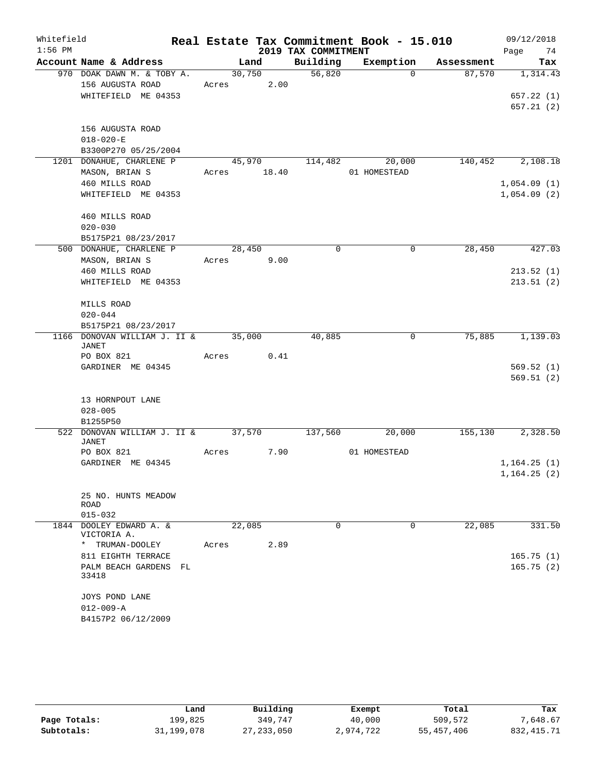| Whitefield |                                                    |       |        |             | Real Estate Tax Commitment Book - 15.010 |              |          |            | 09/12/2018   |           |
|------------|----------------------------------------------------|-------|--------|-------------|------------------------------------------|--------------|----------|------------|--------------|-----------|
| $1:56$ PM  |                                                    |       |        |             | 2019 TAX COMMITMENT                      |              |          |            | Page         | 74        |
|            | Account Name & Address                             |       | Land   |             | Building                                 | Exemption    |          | Assessment |              | Tax       |
|            | 970 DOAK DAWN M. & TOBY A.                         |       | 30,750 |             | 56,820                                   |              | $\Omega$ | 87,570     |              | 1,314.43  |
|            | 156 AUGUSTA ROAD                                   |       |        | Acres 2.00  |                                          |              |          |            |              |           |
|            | WHITEFIELD ME 04353                                |       |        |             |                                          |              |          |            |              | 657.22(1) |
|            |                                                    |       |        |             |                                          |              |          |            |              | 657.21(2) |
|            | 156 AUGUSTA ROAD                                   |       |        |             |                                          |              |          |            |              |           |
|            | $018 - 020 - E$                                    |       |        |             |                                          |              |          |            |              |           |
|            | B3300P270 05/25/2004                               |       |        |             |                                          |              |          |            |              |           |
|            | 1201 DONAHUE, CHARLENE P                           |       |        | 45,970      | 114,482                                  |              | 20,000   | 140,452    |              | 2,108.18  |
|            | MASON, BRIAN S                                     |       |        | Acres 18.40 |                                          | 01 HOMESTEAD |          |            |              |           |
|            | 460 MILLS ROAD                                     |       |        |             |                                          |              |          |            | 1,054.09(1)  |           |
|            | WHITEFIELD ME 04353                                |       |        |             |                                          |              |          |            | 1,054.09(2)  |           |
|            | 460 MILLS ROAD                                     |       |        |             |                                          |              |          |            |              |           |
|            | $020 - 030$                                        |       |        |             |                                          |              |          |            |              |           |
|            | B5175P21 08/23/2017                                |       |        |             |                                          |              |          |            |              |           |
|            | 500 DONAHUE, CHARLENE P                            |       | 28,450 |             | $\Omega$                                 |              | $\Omega$ | 28,450     |              | 427.03    |
|            | MASON, BRIAN S                                     | Acres |        | 9.00        |                                          |              |          |            |              |           |
|            | 460 MILLS ROAD                                     |       |        |             |                                          |              |          |            |              | 213.52(1) |
|            | WHITEFIELD ME 04353                                |       |        |             |                                          |              |          |            |              | 213.51(2) |
|            | MILLS ROAD                                         |       |        |             |                                          |              |          |            |              |           |
|            | $020 - 044$                                        |       |        |             |                                          |              |          |            |              |           |
|            | B5175P21 08/23/2017                                |       |        |             |                                          |              |          |            |              |           |
|            | 1166 DONOVAN WILLIAM J. II & 35,000                |       |        |             | 40,885                                   |              | 0        | 75,885     |              | 1,139.03  |
|            | JANET<br>PO BOX 821                                | Acres |        | 0.41        |                                          |              |          |            |              |           |
|            | GARDINER ME 04345                                  |       |        |             |                                          |              |          |            |              | 569.52(1) |
|            |                                                    |       |        |             |                                          |              |          |            |              | 569.51(2) |
|            | 13 HORNPOUT LANE                                   |       |        |             |                                          |              |          |            |              |           |
|            | $028 - 005$                                        |       |        |             |                                          |              |          |            |              |           |
|            | B1255P50                                           |       |        |             |                                          |              |          |            |              |           |
|            | 522 DONOVAN WILLIAM J. II & 37,570<br><b>JANET</b> |       |        |             | 137,560                                  |              | 20,000   | 155,130    |              | 2,328.50  |
|            | PO BOX 821                                         | Acres |        | 7.90        |                                          | 01 HOMESTEAD |          |            |              |           |
|            | GARDINER ME 04345                                  |       |        |             |                                          |              |          |            | 1,164.25(1)  |           |
|            |                                                    |       |        |             |                                          |              |          |            | 1, 164.25(2) |           |
|            | 25 NO. HUNTS MEADOW                                |       |        |             |                                          |              |          |            |              |           |
|            | <b>ROAD</b><br>$015 - 032$                         |       |        |             |                                          |              |          |            |              |           |
|            | 1844 DOOLEY EDWARD A. &                            |       | 22,085 |             | $\Omega$                                 |              | $\Omega$ | 22,085     |              | 331.50    |
|            | VICTORIA A.                                        |       |        |             |                                          |              |          |            |              |           |
|            | * TRUMAN-DOOLEY                                    | Acres |        | 2.89        |                                          |              |          |            |              |           |
|            | 811 EIGHTH TERRACE                                 |       |        |             |                                          |              |          |            |              | 165.75(1) |
|            | PALM BEACH GARDENS FL<br>33418                     |       |        |             |                                          |              |          |            |              | 165.75(2) |
|            |                                                    |       |        |             |                                          |              |          |            |              |           |
|            | JOYS POND LANE<br>$012 - 009 - A$                  |       |        |             |                                          |              |          |            |              |           |
|            | B4157P2 06/12/2009                                 |       |        |             |                                          |              |          |            |              |           |
|            |                                                    |       |        |             |                                          |              |          |            |              |           |

|              | Land       | Building     | Exempt    | Total      | Tax          |
|--------------|------------|--------------|-----------|------------|--------------|
| Page Totals: | 199,825    | 349,747      | 40,000    | 509,572    | 7,648.67     |
| Subtotals:   | 31,199,078 | 27, 233, 050 | 2,974,722 | 55,457,406 | 832, 415. 71 |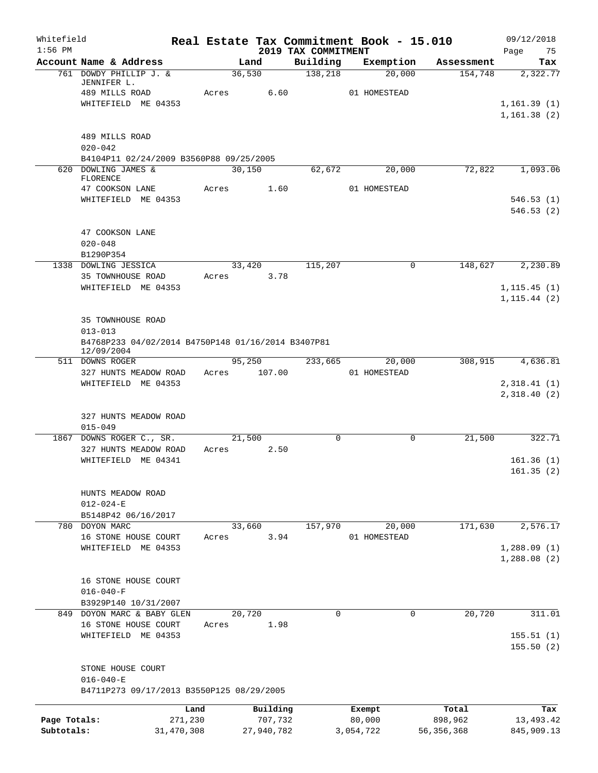| Whitefield<br>$1:56$ PM    |                                                                                        |         |                       | 2019 TAX COMMITMENT | Real Estate Tax Commitment Book - 15.010 |                         | 09/12/2018<br>Page<br>75     |
|----------------------------|----------------------------------------------------------------------------------------|---------|-----------------------|---------------------|------------------------------------------|-------------------------|------------------------------|
|                            | Account Name & Address                                                                 |         | Land                  | Building            | Exemption                                | Assessment              | Tax                          |
|                            | 761 DOWDY PHILLIP J. &<br>JENNIFER L.<br>489 MILLS ROAD                                | Acres   | 36,530<br>6.60        | 138,218             | 20,000<br>01 HOMESTEAD                   | 154,748                 | 2,322.77                     |
|                            | WHITEFIELD ME 04353                                                                    |         |                       |                     |                                          |                         | 1, 161.39(1)<br>1, 161.38(2) |
|                            | 489 MILLS ROAD<br>$020 - 042$                                                          |         |                       |                     |                                          |                         |                              |
|                            | B4104P11 02/24/2009 B3560P88 09/25/2005                                                |         |                       |                     |                                          |                         |                              |
|                            | 620 DOWLING JAMES &<br>FLORENCE<br>47 COOKSON LANE                                     | Acres   | 30,150<br>1.60        | 62,672              | 20,000<br>01 HOMESTEAD                   | 72,822                  | 1,093.06                     |
|                            | WHITEFIELD ME 04353                                                                    |         |                       |                     |                                          |                         | 546.53(1)<br>546.53(2)       |
|                            | 47 COOKSON LANE<br>$020 - 048$<br>B1290P354                                            |         |                       |                     |                                          |                         |                              |
|                            | 1338 DOWLING JESSICA                                                                   |         | 33,420                | 115,207             | $\mathbf 0$                              | 148,627                 | 2,230.89                     |
|                            | 35 TOWNHOUSE ROAD                                                                      | Acres   | 3.78                  |                     |                                          |                         |                              |
|                            | WHITEFIELD ME 04353                                                                    |         |                       |                     |                                          |                         | 1, 115.45(1)<br>1, 115.44(2) |
|                            | 35 TOWNHOUSE ROAD<br>$013 - 013$<br>B4768P233 04/02/2014 B4750P148 01/16/2014 B3407P81 |         |                       |                     |                                          |                         |                              |
|                            | 12/09/2004<br>511 DOWNS ROGER                                                          |         | 95,250                | 233,665             | 20,000                                   | 308,915                 | 4,636.81                     |
|                            | 327 HUNTS MEADOW ROAD<br>WHITEFIELD ME 04353                                           |         | Acres 107.00          |                     | 01 HOMESTEAD                             |                         | 2,318.41(1)                  |
|                            |                                                                                        |         |                       |                     |                                          |                         | 2,318.40(2)                  |
|                            | 327 HUNTS MEADOW ROAD<br>$015 - 049$                                                   |         |                       |                     |                                          |                         |                              |
|                            | 1867 DOWNS ROGER C., SR.                                                               |         | 21,500<br>2.50        | $\Omega$            | $\Omega$                                 | 21,500                  | 322.71                       |
|                            | 327 HUNTS MEADOW ROAD<br>WHITEFIELD ME 04341                                           | Acres   |                       |                     |                                          |                         | 161.36(1)<br>161.35(2)       |
|                            | HUNTS MEADOW ROAD<br>$012 - 024 - E$<br>B5148P42 06/16/2017                            |         |                       |                     |                                          |                         |                              |
|                            | 780 DOYON MARC                                                                         |         | 33,660                | 157,970             | 20,000                                   | 171,630                 | 2,576.17                     |
|                            | 16 STONE HOUSE COURT                                                                   | Acres   | 3.94                  |                     | 01 HOMESTEAD                             |                         |                              |
|                            | WHITEFIELD ME 04353                                                                    |         |                       |                     |                                          |                         | 1,288.09(1)<br>1,288.08(2)   |
|                            | 16 STONE HOUSE COURT<br>$016 - 040 - F$                                                |         |                       |                     |                                          |                         |                              |
|                            | B3929P140 10/31/2007<br>849 DOYON MARC & BABY GLEN                                     |         | 20,720                | $\mathbf 0$         | 0                                        | 20,720                  | 311.01                       |
|                            | 16 STONE HOUSE COURT                                                                   | Acres   | 1.98                  |                     |                                          |                         |                              |
|                            | WHITEFIELD ME 04353                                                                    |         |                       |                     |                                          |                         | 155.51(1)<br>155.50(2)       |
|                            | STONE HOUSE COURT<br>$016 - 040 - E$                                                   |         |                       |                     |                                          |                         |                              |
|                            | B4711P273 09/17/2013 B3550P125 08/29/2005                                              |         |                       |                     |                                          |                         |                              |
|                            |                                                                                        | Land    | Building              |                     | Exempt                                   | Total                   | Tax                          |
| Page Totals:<br>Subtotals: | 31, 470, 308                                                                           | 271,230 | 707,732<br>27,940,782 |                     | 80,000<br>3,054,722                      | 898,962<br>56, 356, 368 | 13,493.42<br>845,909.13      |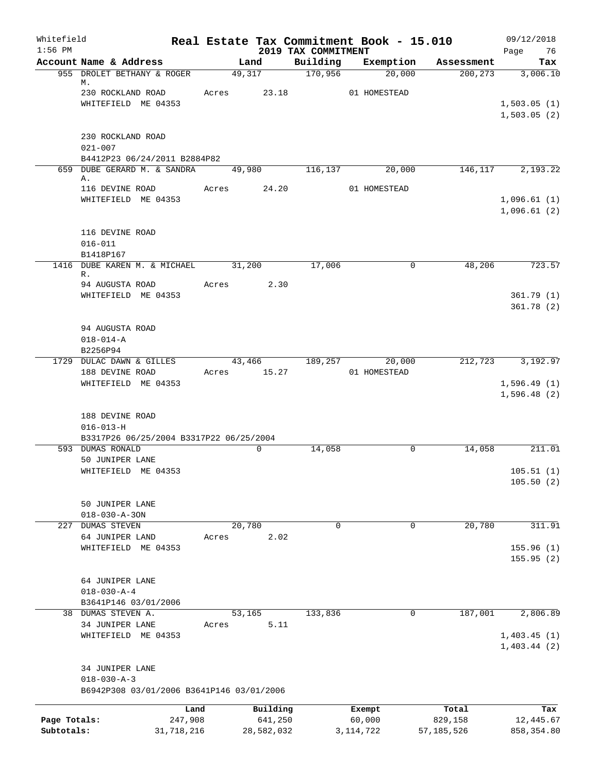| Whitefield<br>$1:56$ PM |                                           |        |            | Real Estate Tax Commitment Book - 15.010<br>2019 TAX COMMITMENT |              |          |              | 09/12/2018<br>Page<br>76   |
|-------------------------|-------------------------------------------|--------|------------|-----------------------------------------------------------------|--------------|----------|--------------|----------------------------|
|                         | Account Name & Address                    |        | Land       | Building                                                        | Exemption    |          | Assessment   | Tax                        |
|                         | 955 DROLET BETHANY & ROGER<br>М.          |        | 49, 317    | 170,956                                                         |              | 20,000   | 200, 273     | 3,006.10                   |
|                         | 230 ROCKLAND ROAD                         | Acres  | 23.18      |                                                                 | 01 HOMESTEAD |          |              |                            |
|                         | WHITEFIELD ME 04353                       |        |            |                                                                 |              |          |              | 1,503.05(1)                |
|                         |                                           |        |            |                                                                 |              |          |              | 1,503.05(2)                |
|                         | 230 ROCKLAND ROAD                         |        |            |                                                                 |              |          |              |                            |
|                         | $021 - 007$                               |        |            |                                                                 |              |          |              |                            |
|                         | B4412P23 06/24/2011 B2884P82              |        |            |                                                                 |              |          |              |                            |
|                         | 659 DUBE GERARD M. & SANDRA<br>Α.         | 49,980 |            | 116,137                                                         |              | 20,000   | 146,117      | 2,193.22                   |
|                         | 116 DEVINE ROAD                           | Acres  | 24.20      |                                                                 | 01 HOMESTEAD |          |              |                            |
|                         | WHITEFIELD ME 04353                       |        |            |                                                                 |              |          |              | 1,096.61(1)<br>1,096.61(2) |
|                         | 116 DEVINE ROAD                           |        |            |                                                                 |              |          |              |                            |
|                         | $016 - 011$                               |        |            |                                                                 |              |          |              |                            |
|                         | B1418P167                                 |        |            |                                                                 |              |          |              |                            |
|                         | 1416 DUBE KAREN M. & MICHAEL<br>R.        | 31,200 |            | 17,006                                                          |              | 0        | 48,206       | 723.57                     |
|                         | 94 AUGUSTA ROAD                           | Acres  | 2.30       |                                                                 |              |          |              |                            |
|                         | WHITEFIELD ME 04353                       |        |            |                                                                 |              |          |              | 361.79(1)                  |
|                         |                                           |        |            |                                                                 |              |          |              | 361.78(2)                  |
|                         | 94 AUGUSTA ROAD                           |        |            |                                                                 |              |          |              |                            |
|                         | $018 - 014 - A$                           |        |            |                                                                 |              |          |              |                            |
|                         | B2256P94                                  |        |            |                                                                 |              |          |              |                            |
|                         | 1729 DULAC DAWN & GILLES                  | 43,466 |            | 189,257                                                         |              | 20,000   | 212,723      | 3,192.97                   |
|                         | 188 DEVINE ROAD                           | Acres  | 15.27      |                                                                 | 01 HOMESTEAD |          |              |                            |
|                         | WHITEFIELD ME 04353                       |        |            |                                                                 |              |          |              | 1,596.49(1)<br>1,596.48(2) |
|                         |                                           |        |            |                                                                 |              |          |              |                            |
|                         | 188 DEVINE ROAD<br>$016 - 013 - H$        |        |            |                                                                 |              |          |              |                            |
|                         | B3317P26 06/25/2004 B3317P22 06/25/2004   |        |            |                                                                 |              |          |              |                            |
|                         | 593 DUMAS RONALD                          |        | 0          | 14,058                                                          |              | 0        | 14,058       | 211.01                     |
|                         | 50 JUNIPER LANE                           |        |            |                                                                 |              |          |              |                            |
|                         | WHITEFIELD ME 04353                       |        |            |                                                                 |              |          |              | 105.51(1)                  |
|                         |                                           |        |            |                                                                 |              |          |              | 105.50(2)                  |
|                         | 50 JUNIPER LANE                           |        |            |                                                                 |              |          |              |                            |
|                         | $018 - 030 - A - 30N$                     |        |            |                                                                 |              |          |              |                            |
|                         | 227 DUMAS STEVEN                          | 20,780 |            | $\mathbf 0$                                                     |              | $\Omega$ | 20,780       | 311.91                     |
|                         | 64 JUNIPER LAND                           | Acres  | 2.02       |                                                                 |              |          |              |                            |
|                         | WHITEFIELD ME 04353                       |        |            |                                                                 |              |          |              | 155.96(1)<br>155.95(2)     |
|                         |                                           |        |            |                                                                 |              |          |              |                            |
|                         | 64 JUNIPER LANE                           |        |            |                                                                 |              |          |              |                            |
|                         | $018 - 030 - A - 4$                       |        |            |                                                                 |              |          |              |                            |
|                         | B3641P146 03/01/2006                      |        |            |                                                                 |              |          |              |                            |
|                         | 38 DUMAS STEVEN A.                        | 53,165 |            | 133,836                                                         |              | 0        | 187,001      | 2,806.89                   |
|                         | 34 JUNIPER LANE                           | Acres  | 5.11       |                                                                 |              |          |              |                            |
|                         | WHITEFIELD ME 04353                       |        |            |                                                                 |              |          |              | 1,403.45(1)<br>1,403.44(2) |
|                         | 34 JUNIPER LANE                           |        |            |                                                                 |              |          |              |                            |
|                         | $018 - 030 - A - 3$                       |        |            |                                                                 |              |          |              |                            |
|                         | B6942P308 03/01/2006 B3641P146 03/01/2006 |        |            |                                                                 |              |          |              |                            |
|                         | Land                                      |        | Building   |                                                                 | Exempt       |          | Total        | Tax                        |
| Page Totals:            | 247,908                                   |        | 641,250    |                                                                 | 60,000       |          | 829,158      | 12,445.67                  |
| Subtotals:              | 31,718,216                                |        | 28,582,032 |                                                                 | 3, 114, 722  |          | 57, 185, 526 | 858, 354.80                |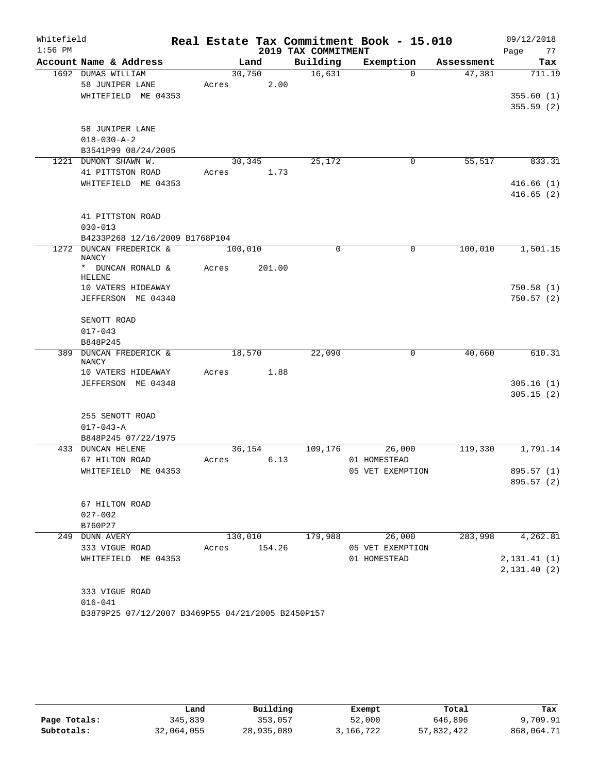| Whitefield |                                                   |       |         |                     | Real Estate Tax Commitment Book - 15.010 |            | 09/12/2018               |
|------------|---------------------------------------------------|-------|---------|---------------------|------------------------------------------|------------|--------------------------|
| $1:56$ PM  |                                                   |       |         | 2019 TAX COMMITMENT |                                          |            | 77<br>Page               |
|            | Account Name & Address                            |       | Land    | Building            | Exemption                                | Assessment | Tax                      |
|            | 1692 DUMAS WILLIAM                                |       | 30,750  | 16,631              | $\Omega$                                 | 47,381     | 711.19                   |
|            | 58 JUNIPER LANE                                   | Acres | 2.00    |                     |                                          |            |                          |
|            | WHITEFIELD ME 04353                               |       |         |                     |                                          |            | 355.60(1)                |
|            |                                                   |       |         |                     |                                          |            | 355.59(2)                |
|            | 58 JUNIPER LANE                                   |       |         |                     |                                          |            |                          |
|            | $018 - 030 - A - 2$                               |       |         |                     |                                          |            |                          |
|            | B3541P99 08/24/2005                               |       |         |                     |                                          |            |                          |
|            | 1221 DUMONT SHAWN W.                              |       | 30,345  | 25,172              | 0                                        | 55,517     | 833.31                   |
|            | 41 PITTSTON ROAD                                  | Acres | 1.73    |                     |                                          |            |                          |
|            | WHITEFIELD ME 04353                               |       |         |                     |                                          |            | 416.66(1)                |
|            |                                                   |       |         |                     |                                          |            | 416.65(2)                |
|            |                                                   |       |         |                     |                                          |            |                          |
|            | 41 PITTSTON ROAD                                  |       |         |                     |                                          |            |                          |
|            | $030 - 013$                                       |       |         |                     |                                          |            |                          |
|            | B4233P268 12/16/2009 B1768P104                    |       |         |                     |                                          |            |                          |
|            | 1272 DUNCAN FREDERICK &<br><b>NANCY</b>           |       | 100,010 | $\Omega$            | $\Omega$                                 | 100,010    | 1,501.15                 |
|            | * DUNCAN RONALD &<br>HELENE                       | Acres | 201.00  |                     |                                          |            |                          |
|            | 10 VATERS HIDEAWAY                                |       |         |                     |                                          |            | 750.58(1)                |
|            | JEFFERSON ME 04348                                |       |         |                     |                                          |            | 750.57(2)                |
|            |                                                   |       |         |                     |                                          |            |                          |
|            | SENOTT ROAD                                       |       |         |                     |                                          |            |                          |
|            | $017 - 043$                                       |       |         |                     |                                          |            |                          |
|            | B848P245                                          |       |         |                     |                                          |            |                          |
| 389        | <b>DUNCAN FREDERICK &amp;</b><br><b>NANCY</b>     |       | 18,570  | 22,090              | 0                                        | 40,660     | 610.31                   |
|            | 10 VATERS HIDEAWAY                                | Acres | 1.88    |                     |                                          |            |                          |
|            | JEFFERSON ME 04348                                |       |         |                     |                                          |            | 305.16(1)                |
|            |                                                   |       |         |                     |                                          |            | 305.15(2)                |
|            |                                                   |       |         |                     |                                          |            |                          |
|            | 255 SENOTT ROAD                                   |       |         |                     |                                          |            |                          |
|            | $017 - 043 - A$                                   |       |         |                     |                                          |            |                          |
|            | B848P245 07/22/1975                               |       |         |                     |                                          |            |                          |
|            | 433 DUNCAN HELENE                                 |       | 36,154  | 109,176             | 26,000                                   | 119,330    | 1,791.14                 |
|            | 67 HILTON ROAD<br>WHITEFIELD ME 04353             | Acres | 6.13    |                     | 01 HOMESTEAD<br>05 VET EXEMPTION         |            |                          |
|            |                                                   |       |         |                     |                                          |            | 895.57 (1)<br>895.57 (2) |
|            |                                                   |       |         |                     |                                          |            |                          |
|            | 67 HILTON ROAD                                    |       |         |                     |                                          |            |                          |
|            | $027 - 002$                                       |       |         |                     |                                          |            |                          |
|            | B760P27                                           |       |         |                     |                                          |            |                          |
|            | 249 DUNN AVERY                                    |       | 130,010 | 179,988             | 26,000                                   | 283,998    | 4,262.81                 |
|            | 333 VIGUE ROAD                                    | Acres | 154.26  |                     | 05 VET EXEMPTION                         |            |                          |
|            | WHITEFIELD ME 04353                               |       |         |                     | 01 HOMESTEAD                             |            | 2, 131.41(1)             |
|            |                                                   |       |         |                     |                                          |            | 2,131.40(2)              |
|            |                                                   |       |         |                     |                                          |            |                          |
|            | 333 VIGUE ROAD                                    |       |         |                     |                                          |            |                          |
|            | $016 - 041$                                       |       |         |                     |                                          |            |                          |
|            | B3879P25 07/12/2007 B3469P55 04/21/2005 B2450P157 |       |         |                     |                                          |            |                          |

|              | Land       | Building   | Exempt    | Total      | Tax        |
|--------------|------------|------------|-----------|------------|------------|
| Page Totals: | 345,839    | 353,057    | 52,000    | 646,896    | 9,709.91   |
| Subtotals:   | 32,064,055 | 28,935,089 | 3,166,722 | 57,832,422 | 868,064.71 |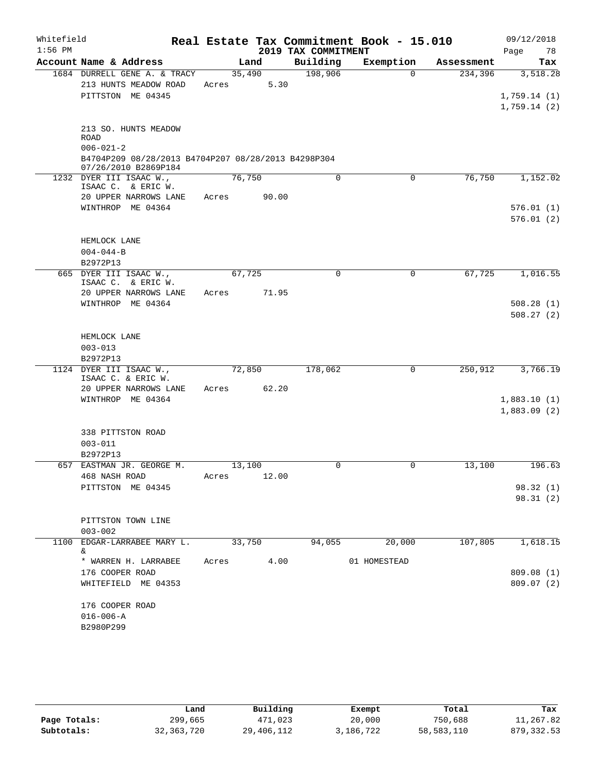| Whitefield |                                                                             |             |        |                     | Real Estate Tax Commitment Book - 15.010 |            | 09/12/2018                 |
|------------|-----------------------------------------------------------------------------|-------------|--------|---------------------|------------------------------------------|------------|----------------------------|
| $1:56$ PM  |                                                                             |             |        | 2019 TAX COMMITMENT |                                          |            | 78<br>Page                 |
|            | Account Name & Address                                                      |             | Land   | Building            | Exemption                                | Assessment | Tax                        |
|            | 1684 DURRELL GENE A. & TRACY                                                |             | 35,490 | 198,906             | $\Omega$                                 | 234,396    | 3,518.28                   |
|            | 213 HUNTS MEADOW ROAD<br>PITTSTON ME 04345                                  | Acres       | 5.30   |                     |                                          |            |                            |
|            |                                                                             |             |        |                     |                                          |            | 1,759.14(1)<br>1,759.14(2) |
|            |                                                                             |             |        |                     |                                          |            |                            |
|            | 213 SO. HUNTS MEADOW                                                        |             |        |                     |                                          |            |                            |
|            | <b>ROAD</b>                                                                 |             |        |                     |                                          |            |                            |
|            | $006 - 021 - 2$                                                             |             |        |                     |                                          |            |                            |
|            | B4704P209 08/28/2013 B4704P207 08/28/2013 B4298P304<br>07/26/2010 B2869P184 |             |        |                     |                                          |            |                            |
|            | 1232 DYER III ISAAC W.,                                                     |             | 76,750 | 0                   | $\mathbf 0$                              | 76,750     | 1,152.02                   |
|            | ISAAC C. & ERIC W.                                                          |             |        |                     |                                          |            |                            |
|            | 20 UPPER NARROWS LANE                                                       | Acres 90.00 |        |                     |                                          |            |                            |
|            | WINTHROP ME 04364                                                           |             |        |                     |                                          |            | 576.01(1)                  |
|            |                                                                             |             |        |                     |                                          |            | 576.01(2)                  |
|            | HEMLOCK LANE                                                                |             |        |                     |                                          |            |                            |
|            | $004 - 044 - B$                                                             |             |        |                     |                                          |            |                            |
|            | B2972P13                                                                    |             |        |                     |                                          |            |                            |
|            | 665 DYER III ISAAC W.,                                                      |             | 67,725 | $\Omega$            | 0                                        | 67,725     | 1,016.55                   |
|            | ISAAC C. & ERIC W.                                                          |             |        |                     |                                          |            |                            |
|            | 20 UPPER NARROWS LANE<br>WINTHROP ME 04364                                  | Acres       | 71.95  |                     |                                          |            | 508.28(1)                  |
|            |                                                                             |             |        |                     |                                          |            | 508.27(2)                  |
|            |                                                                             |             |        |                     |                                          |            |                            |
|            | HEMLOCK LANE                                                                |             |        |                     |                                          |            |                            |
|            | $003 - 013$                                                                 |             |        |                     |                                          |            |                            |
|            | B2972P13                                                                    |             |        |                     |                                          |            |                            |
|            | 1124 DYER III ISAAC W.,<br>ISAAC C. & ERIC W.                               |             | 72,850 | 178,062             | $\mathbf 0$                              | 250,912    | 3,766.19                   |
|            | 20 UPPER NARROWS LANE                                                       | Acres       | 62.20  |                     |                                          |            |                            |
|            | WINTHROP ME 04364                                                           |             |        |                     |                                          |            | 1,883.10(1)                |
|            |                                                                             |             |        |                     |                                          |            | 1,883.09(2)                |
|            |                                                                             |             |        |                     |                                          |            |                            |
|            | 338 PITTSTON ROAD                                                           |             |        |                     |                                          |            |                            |
|            | $003 - 011$                                                                 |             |        |                     |                                          |            |                            |
|            | B2972P13<br>657 EASTMAN JR. GEORGE M.                                       |             | 13,100 | $\mathbf 0$         | 0                                        | 13,100     | 196.63                     |
|            | 468 NASH ROAD                                                               | Acres       | 12.00  |                     |                                          |            |                            |
|            | PITTSTON ME 04345                                                           |             |        |                     |                                          |            | 98.32 (1)                  |
|            |                                                                             |             |        |                     |                                          |            | 98.31(2)                   |
|            |                                                                             |             |        |                     |                                          |            |                            |
|            | PITTSTON TOWN LINE                                                          |             |        |                     |                                          |            |                            |
|            | $003 - 002$                                                                 |             |        |                     |                                          |            |                            |
|            | 1100 EDGAR-LARRABEE MARY L.<br>&.                                           |             | 33,750 | 94,055              | 20,000                                   | 107,805    | 1,618.15                   |
|            | * WARREN H. LARRABEE                                                        | Acres       | 4.00   |                     | 01 HOMESTEAD                             |            |                            |
|            | 176 COOPER ROAD                                                             |             |        |                     |                                          |            | 809.08 (1)                 |
|            | WHITEFIELD ME 04353                                                         |             |        |                     |                                          |            | 809.07(2)                  |
|            |                                                                             |             |        |                     |                                          |            |                            |
|            | 176 COOPER ROAD                                                             |             |        |                     |                                          |            |                            |
|            | $016 - 006 - A$                                                             |             |        |                     |                                          |            |                            |
|            | B2980P299                                                                   |             |        |                     |                                          |            |                            |

|              | Land         | Building   | Exempt    | Total      | Tax         |
|--------------|--------------|------------|-----------|------------|-------------|
| Page Totals: | 299,665      | 471,023    | 20,000    | 750,688    | 11,267.82   |
| Subtotals:   | 32, 363, 720 | 29,406,112 | 3,186,722 | 58,583,110 | 879, 332.53 |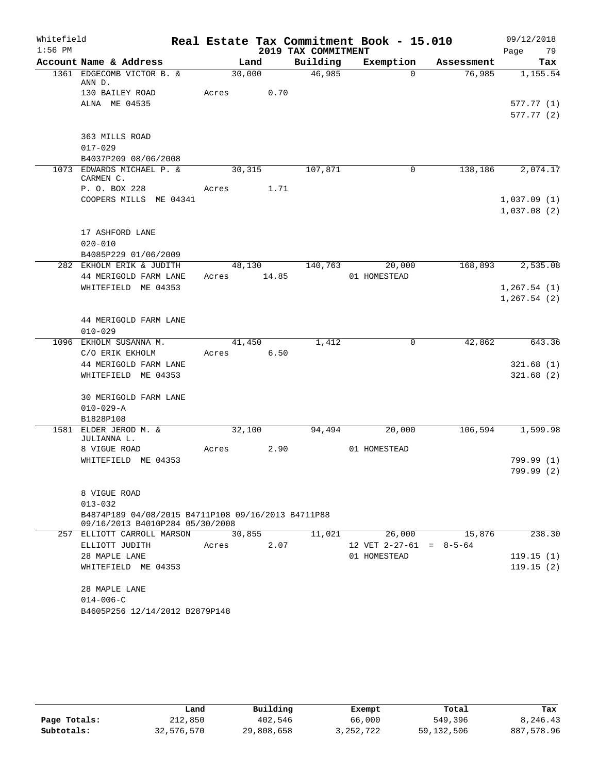| Whitefield<br>$1:56$ PM |                                                    |        |       | 2019 TAX COMMITMENT | Real Estate Tax Commitment Book - 15.010 |            | 09/12/2018<br>Page<br>79 |
|-------------------------|----------------------------------------------------|--------|-------|---------------------|------------------------------------------|------------|--------------------------|
|                         | Account Name & Address                             |        | Land  | Building            | Exemption                                | Assessment | Tax                      |
|                         | 1361 EDGECOMB VICTOR B. &                          | 30,000 |       | 46,985              | $\Omega$                                 | 76,985     | 1,155.54                 |
|                         | ANN D.<br>130 BAILEY ROAD                          | Acres  | 0.70  |                     |                                          |            |                          |
|                         | ALNA ME 04535                                      |        |       |                     |                                          |            | 577.77 (1)               |
|                         |                                                    |        |       |                     |                                          |            | 577.77(2)                |
|                         |                                                    |        |       |                     |                                          |            |                          |
|                         | 363 MILLS ROAD                                     |        |       |                     |                                          |            |                          |
|                         | $017 - 029$                                        |        |       |                     |                                          |            |                          |
|                         | B4037P209 08/06/2008                               |        |       |                     |                                          |            |                          |
|                         | 1073 EDWARDS MICHAEL P. &<br>CARMEN C.             | 30,315 |       | 107,871             | 0                                        | 138,186    | 2,074.17                 |
|                         | P. O. BOX 228                                      | Acres  | 1.71  |                     |                                          |            |                          |
|                         | COOPERS MILLS ME 04341                             |        |       |                     |                                          |            | 1,037.09(1)              |
|                         |                                                    |        |       |                     |                                          |            | 1,037.08(2)              |
|                         |                                                    |        |       |                     |                                          |            |                          |
|                         | 17 ASHFORD LANE                                    |        |       |                     |                                          |            |                          |
|                         | $020 - 010$                                        |        |       |                     |                                          |            |                          |
|                         | B4085P229 01/06/2009                               |        |       |                     |                                          |            |                          |
|                         | 282 EKHOLM ERIK & JUDITH                           | 48,130 |       | 140,763             | 20,000                                   | 168,893    | 2,535.08                 |
|                         | 44 MERIGOLD FARM LANE                              | Acres  | 14.85 |                     | 01 HOMESTEAD                             |            |                          |
|                         | WHITEFIELD ME 04353                                |        |       |                     |                                          |            | 1, 267.54(1)             |
|                         |                                                    |        |       |                     |                                          |            | 1, 267.54(2)             |
|                         | 44 MERIGOLD FARM LANE                              |        |       |                     |                                          |            |                          |
|                         | $010 - 029$                                        |        |       |                     |                                          |            |                          |
|                         | 1096 EKHOLM SUSANNA M.                             | 41,450 |       | 1,412               | 0                                        | 42,862     | 643.36                   |
|                         | C/O ERIK EKHOLM                                    | Acres  | 6.50  |                     |                                          |            |                          |
|                         | 44 MERIGOLD FARM LANE                              |        |       |                     |                                          |            | 321.68(1)                |
|                         | WHITEFIELD ME 04353                                |        |       |                     |                                          |            | 321.68(2)                |
|                         |                                                    |        |       |                     |                                          |            |                          |
|                         | 30 MERIGOLD FARM LANE                              |        |       |                     |                                          |            |                          |
|                         | $010 - 029 - A$                                    |        |       |                     |                                          |            |                          |
|                         | B1828P108                                          |        |       |                     |                                          |            |                          |
| 1581                    | ELDER JEROD M. &                                   | 32,100 |       | 94,494              | 20,000                                   | 106,594    | 1,599.98                 |
|                         | JULIANNA L.<br>8 VIGUE ROAD                        | Acres  | 2.90  |                     | 01 HOMESTEAD                             |            |                          |
|                         | WHITEFIELD ME 04353                                |        |       |                     |                                          |            | 799.99 (1)               |
|                         |                                                    |        |       |                     |                                          |            | 799.99 (2)               |
|                         |                                                    |        |       |                     |                                          |            |                          |
|                         | 8 VIGUE ROAD                                       |        |       |                     |                                          |            |                          |
|                         | $013 - 032$                                        |        |       |                     |                                          |            |                          |
|                         | B4874P189 04/08/2015 B4711P108 09/16/2013 B4711P88 |        |       |                     |                                          |            |                          |
|                         | 09/16/2013 B4010P284 05/30/2008                    |        |       |                     |                                          |            |                          |
|                         | 257 ELLIOTT CARROLL MARSON                         | 30,855 |       | 11,021              | 26,000                                   | 15,876     | 238.30                   |
|                         | ELLIOTT JUDITH                                     | Acres  | 2.07  |                     | 12 VET $2-27-61 = 8-5-64$                |            |                          |
|                         | 28 MAPLE LANE                                      |        |       |                     | 01 HOMESTEAD                             |            | 119.15(1)                |
|                         | WHITEFIELD ME 04353                                |        |       |                     |                                          |            | 119.15(2)                |
|                         | 28 MAPLE LANE                                      |        |       |                     |                                          |            |                          |
|                         | $014 - 006 - C$                                    |        |       |                     |                                          |            |                          |
|                         | B4605P256 12/14/2012 B2879P148                     |        |       |                     |                                          |            |                          |
|                         |                                                    |        |       |                     |                                          |            |                          |

|              | Land       | Building   | Exempt    | Total      | Tax        |
|--------------|------------|------------|-----------|------------|------------|
| Page Totals: | 212,850    | 402,546    | 66,000    | 549,396    | 8,246.43   |
| Subtotals:   | 32,576,570 | 29,808,658 | 3,252,722 | 59,132,506 | 887,578.96 |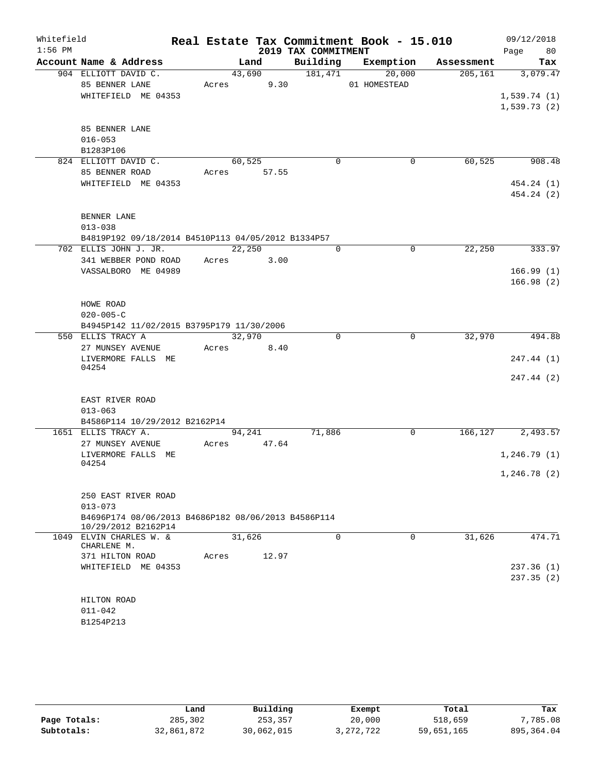| Whitefield |                                                              | Real Estate Tax Commitment Book - 15.010 |                     |                        |            | 09/12/2018               |
|------------|--------------------------------------------------------------|------------------------------------------|---------------------|------------------------|------------|--------------------------|
| $1:56$ PM  |                                                              |                                          | 2019 TAX COMMITMENT |                        |            | 80<br>Page               |
|            | Account Name & Address                                       | Land                                     | Building            | Exemption              | Assessment | Tax                      |
|            | 904 ELLIOTT DAVID C.<br>85 BENNER LANE                       | 43,690<br>9.30<br>Acres                  | 181,471             | 20,000<br>01 HOMESTEAD | 205, 161   | 3,079.47                 |
|            | WHITEFIELD ME 04353                                          |                                          |                     |                        |            | 1,539.74(1)              |
|            |                                                              |                                          |                     |                        |            | 1,539.73(2)              |
|            |                                                              |                                          |                     |                        |            |                          |
|            | 85 BENNER LANE                                               |                                          |                     |                        |            |                          |
|            | $016 - 053$                                                  |                                          |                     |                        |            |                          |
|            | B1283P106                                                    |                                          |                     |                        |            |                          |
|            | 824 ELLIOTT DAVID C.                                         | 60,525                                   | $\mathbf 0$         | 0                      | 60,525     | 908.48                   |
|            | 85 BENNER ROAD                                               | Acres 57.55                              |                     |                        |            |                          |
|            | WHITEFIELD ME 04353                                          |                                          |                     |                        |            | 454.24 (1)<br>454.24 (2) |
|            |                                                              |                                          |                     |                        |            |                          |
|            | BENNER LANE                                                  |                                          |                     |                        |            |                          |
|            | $013 - 038$                                                  |                                          |                     |                        |            |                          |
|            | B4819P192 09/18/2014 B4510P113 04/05/2012 B1334P57           |                                          |                     |                        |            |                          |
|            | 702 ELLIS JOHN J. JR.                                        | 22,250                                   | $\Omega$            | $\Omega$               | 22,250     | 333.97                   |
|            | 341 WEBBER POND ROAD                                         | Acres<br>3.00                            |                     |                        |            |                          |
|            | VASSALBORO ME 04989                                          |                                          |                     |                        |            | 166.99(1)                |
|            |                                                              |                                          |                     |                        |            | 166.98(2)                |
|            |                                                              |                                          |                     |                        |            |                          |
|            | HOWE ROAD                                                    |                                          |                     |                        |            |                          |
|            | $020 - 005 - C$<br>B4945P142 11/02/2015 B3795P179 11/30/2006 |                                          |                     |                        |            |                          |
|            | 550 ELLIS TRACY A                                            | 32,970                                   | $\mathbf 0$         | $\mathbf 0$            | 32,970     | 494.88                   |
|            | 27 MUNSEY AVENUE                                             | 8.40<br>Acres                            |                     |                        |            |                          |
|            | LIVERMORE FALLS ME                                           |                                          |                     |                        |            | 247.44 (1)               |
|            | 04254                                                        |                                          |                     |                        |            |                          |
|            |                                                              |                                          |                     |                        |            | 247.44 (2)               |
|            |                                                              |                                          |                     |                        |            |                          |
|            | EAST RIVER ROAD<br>$013 - 063$                               |                                          |                     |                        |            |                          |
|            | B4586P114 10/29/2012 B2162P14                                |                                          |                     |                        |            |                          |
|            | 1651 ELLIS TRACY A.                                          | 94,241                                   | 71,886              | 0                      | 166,127    | 2,493.57                 |
|            | 27 MUNSEY AVENUE                                             | 47.64<br>Acres                           |                     |                        |            |                          |
|            | LIVERMORE FALLS ME                                           |                                          |                     |                        |            | 1,246.79(1)              |
|            | 04254                                                        |                                          |                     |                        |            |                          |
|            |                                                              |                                          |                     |                        |            | 1,246.78(2)              |
|            | 250 EAST RIVER ROAD                                          |                                          |                     |                        |            |                          |
|            | $013 - 073$                                                  |                                          |                     |                        |            |                          |
|            | B4696P174 08/06/2013 B4686P182 08/06/2013 B4586P114          |                                          |                     |                        |            |                          |
|            | 10/29/2012 B2162P14                                          |                                          |                     |                        |            |                          |
|            | 1049 ELVIN CHARLES W. &                                      | 31,626                                   | $\Omega$            | $\Omega$               | 31,626     | 474.71                   |
|            | CHARLENE M.<br>371 HILTON ROAD                               | 12.97<br>Acres                           |                     |                        |            |                          |
|            | WHITEFIELD ME 04353                                          |                                          |                     |                        |            | 237.36(1)                |
|            |                                                              |                                          |                     |                        |            | 237.35(2)                |
|            |                                                              |                                          |                     |                        |            |                          |
|            | HILTON ROAD                                                  |                                          |                     |                        |            |                          |
|            | $011 - 042$                                                  |                                          |                     |                        |            |                          |
|            | B1254P213                                                    |                                          |                     |                        |            |                          |
|            |                                                              |                                          |                     |                        |            |                          |

|              | Land       | Building   | Exempt    | Total      | Tax          |
|--------------|------------|------------|-----------|------------|--------------|
| Page Totals: | 285,302    | 253,357    | 20,000    | 518,659    | 7,785.08     |
| Subtotals:   | 32,861,872 | 30,062,015 | 3,272,722 | 59,651,165 | 895, 364, 04 |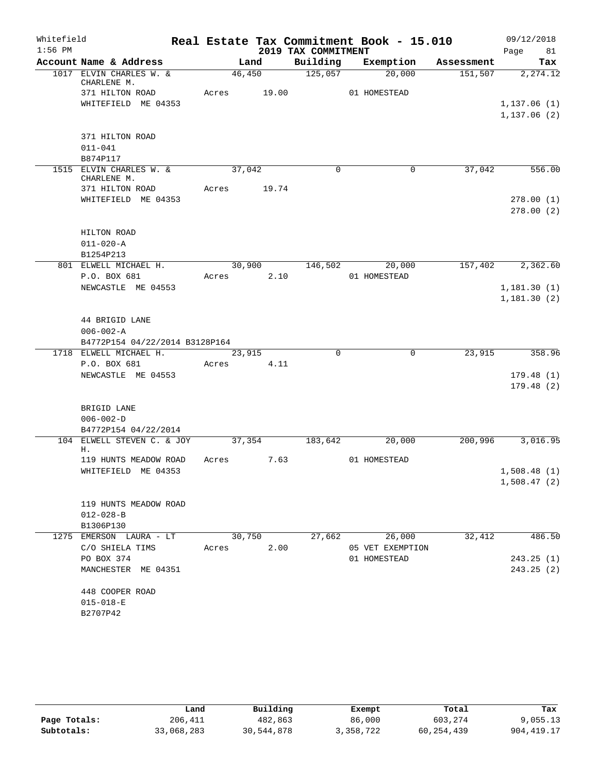| Whitefield |                                                    |        |             |                     | Real Estate Tax Commitment Book - 15.010 |            | 09/12/2018                  |
|------------|----------------------------------------------------|--------|-------------|---------------------|------------------------------------------|------------|-----------------------------|
| $1:56$ PM  |                                                    |        |             | 2019 TAX COMMITMENT |                                          |            | Page<br>81                  |
|            | Account Name & Address                             |        | Land        | Building            | Exemption                                | Assessment | Tax                         |
|            | 1017 ELVIN CHARLES W. &<br>CHARLENE M.             | 46,450 |             | 125,057             | 20,000                                   | 151,507    | 2,274.12                    |
|            | 371 HILTON ROAD                                    | Acres  | 19.00       |                     | 01 HOMESTEAD                             |            |                             |
|            | WHITEFIELD ME 04353                                |        |             |                     |                                          |            | 1,137.06(1)                 |
|            |                                                    |        |             |                     |                                          |            | 1, 137.06(2)                |
|            |                                                    |        |             |                     |                                          |            |                             |
|            | 371 HILTON ROAD                                    |        |             |                     |                                          |            |                             |
|            | $011 - 041$                                        |        |             |                     |                                          |            |                             |
|            | B874P117                                           |        |             |                     |                                          |            |                             |
|            | 1515 ELVIN CHARLES W. &<br>CHARLENE M.             | 37,042 |             | $\Omega$            | 0                                        | 37,042     | 556.00                      |
|            | 371 HILTON ROAD                                    |        | Acres 19.74 |                     |                                          |            |                             |
|            | WHITEFIELD ME 04353                                |        |             |                     |                                          |            | 278.00(1)                   |
|            |                                                    |        |             |                     |                                          |            | 278.00(2)                   |
|            |                                                    |        |             |                     |                                          |            |                             |
|            | HILTON ROAD                                        |        |             |                     |                                          |            |                             |
|            | $011 - 020 - A$                                    |        |             |                     |                                          |            |                             |
|            | B1254P213                                          |        |             |                     |                                          |            |                             |
|            | 801 ELWELL MICHAEL H.                              | 30,900 |             | 146,502             | 20,000                                   | 157,402    | 2,362.60                    |
|            | P.O. BOX 681                                       | Acres  | 2.10        |                     | 01 HOMESTEAD                             |            |                             |
|            | NEWCASTLE ME 04553                                 |        |             |                     |                                          |            | 1, 181.30(1)<br>1,181.30(2) |
|            |                                                    |        |             |                     |                                          |            |                             |
|            | 44 BRIGID LANE                                     |        |             |                     |                                          |            |                             |
|            | $006 - 002 - A$                                    |        |             |                     |                                          |            |                             |
|            | B4772P154 04/22/2014 B3128P164                     |        |             |                     |                                          |            |                             |
|            | 1718 ELWELL MICHAEL H.                             | 23,915 |             | $\Omega$            | $\mathbf 0$                              | 23,915     | 358.96                      |
|            | P.O. BOX 681                                       | Acres  | 4.11        |                     |                                          |            |                             |
|            | NEWCASTLE ME 04553                                 |        |             |                     |                                          |            | 179.48(1)                   |
|            |                                                    |        |             |                     |                                          |            | 179.48(2)                   |
|            |                                                    |        |             |                     |                                          |            |                             |
|            | BRIGID LANE                                        |        |             |                     |                                          |            |                             |
|            | $006 - 002 - D$                                    |        |             |                     |                                          |            |                             |
|            | B4772P154 04/22/2014<br>104 ELWELL STEVEN C. & JOY | 37,354 |             | 183,642             | 20,000                                   | 200,996    | 3,016.95                    |
|            | Η.                                                 |        |             |                     |                                          |            |                             |
|            | 119 HUNTS MEADOW ROAD                              | Acres  | 7.63        |                     | 01 HOMESTEAD                             |            |                             |
|            | WHITEFIELD ME 04353                                |        |             |                     |                                          |            | 1,508.48(1)                 |
|            |                                                    |        |             |                     |                                          |            | 1,508.47(2)                 |
|            |                                                    |        |             |                     |                                          |            |                             |
|            | 119 HUNTS MEADOW ROAD                              |        |             |                     |                                          |            |                             |
|            | $012 - 028 - B$                                    |        |             |                     |                                          |            |                             |
|            | B1306P130                                          |        | 30,750      |                     |                                          |            |                             |
|            | 1275 EMERSON LAURA - LT<br>C/O SHIELA TIMS         | Acres  | 2.00        |                     | 27,662 26,000<br>05 VET EXEMPTION        | 32,412     | 486.50                      |
|            | PO BOX 374                                         |        |             |                     | 01 HOMESTEAD                             |            | 243.25(1)                   |
|            | MANCHESTER ME 04351                                |        |             |                     |                                          |            | 243.25(2)                   |
|            |                                                    |        |             |                     |                                          |            |                             |
|            | 448 COOPER ROAD                                    |        |             |                     |                                          |            |                             |
|            | $015 - 018 - E$                                    |        |             |                     |                                          |            |                             |
|            | B2707P42                                           |        |             |                     |                                          |            |                             |
|            |                                                    |        |             |                     |                                          |            |                             |

|              | Land       | Building   | Exempt    | Total        | Tax         |
|--------------|------------|------------|-----------|--------------|-------------|
| Page Totals: | 206,411    | 482,863    | 86,000    | 603,274      | 9.055.13    |
| Subtotals:   | 33,068,283 | 30,544,878 | 3,358,722 | 60, 254, 439 | 904, 419.17 |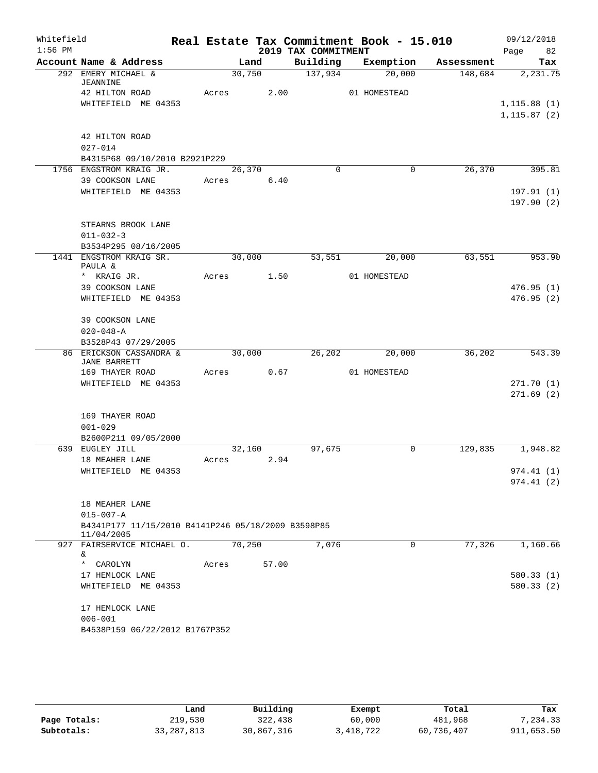| Whitefield |                                                                  |       |            |                     | Real Estate Tax Commitment Book - 15.010 |            | 09/12/2018   |
|------------|------------------------------------------------------------------|-------|------------|---------------------|------------------------------------------|------------|--------------|
| $1:56$ PM  |                                                                  |       |            | 2019 TAX COMMITMENT |                                          |            | 82<br>Page   |
|            | Account Name & Address                                           |       | Land       | Building            | Exemption                                | Assessment | Tax          |
|            | 292 EMERY MICHAEL &                                              |       | 30,750     | $\frac{137,934}{ }$ | 20,000                                   | 148,684    | 2,231.75     |
|            | <b>JEANNINE</b><br>42 HILTON ROAD                                |       | Acres 2.00 |                     | 01 HOMESTEAD                             |            |              |
|            | WHITEFIELD ME 04353                                              |       |            |                     |                                          |            | 1, 115.88(1) |
|            |                                                                  |       |            |                     |                                          |            | 1, 115.87(2) |
|            |                                                                  |       |            |                     |                                          |            |              |
|            | 42 HILTON ROAD                                                   |       |            |                     |                                          |            |              |
|            | $027 - 014$                                                      |       |            |                     |                                          |            |              |
|            | B4315P68 09/10/2010 B2921P229                                    |       |            |                     |                                          |            |              |
|            | 1756 ENGSTROM KRAIG JR.                                          |       | 26,370     | $\Omega$            | $\mathbf 0$                              | 26,370     | 395.81       |
|            | 39 COOKSON LANE                                                  | Acres | 6.40       |                     |                                          |            |              |
|            | WHITEFIELD ME 04353                                              |       |            |                     |                                          |            | 197.91(1)    |
|            |                                                                  |       |            |                     |                                          |            | 197.90(2)    |
|            | STEARNS BROOK LANE                                               |       |            |                     |                                          |            |              |
|            | $011 - 032 - 3$                                                  |       |            |                     |                                          |            |              |
|            | B3534P295 08/16/2005                                             |       |            |                     |                                          |            |              |
|            | 1441 ENGSTROM KRAIG SR.                                          |       | 30,000     | 53,551              | 20,000                                   | 63,551     | 953.90       |
|            | PAULA &                                                          |       |            |                     |                                          |            |              |
|            | * KRAIG JR.                                                      | Acres | 1.50       |                     | 01 HOMESTEAD                             |            |              |
|            | 39 COOKSON LANE                                                  |       |            |                     |                                          |            | 476.95(1)    |
|            | WHITEFIELD ME 04353                                              |       |            |                     |                                          |            | 476.95(2)    |
|            | 39 COOKSON LANE                                                  |       |            |                     |                                          |            |              |
|            | $020 - 048 - A$                                                  |       |            |                     |                                          |            |              |
|            | B3528P43 07/29/2005                                              |       |            |                     |                                          |            |              |
|            | 86 ERICKSON CASSANDRA &                                          |       | 30,000     | 26,202              | 20,000                                   | 36,202     | 543.39       |
|            | <b>JANE BARRETT</b>                                              |       |            |                     |                                          |            |              |
|            | 169 THAYER ROAD                                                  | Acres | 0.67       |                     | 01 HOMESTEAD                             |            |              |
|            | WHITEFIELD ME 04353                                              |       |            |                     |                                          |            | 271.70(1)    |
|            |                                                                  |       |            |                     |                                          |            | 271.69(2)    |
|            | 169 THAYER ROAD                                                  |       |            |                     |                                          |            |              |
|            | $001 - 029$                                                      |       |            |                     |                                          |            |              |
|            | B2600P211 09/05/2000                                             |       |            |                     |                                          |            |              |
|            | 639 EUGLEY JILL                                                  |       | 32,160     | 97,675              | 0                                        | 129,835    | 1,948.82     |
|            | 18 MEAHER LANE                                                   | Acres | 2.94       |                     |                                          |            |              |
|            | WHITEFIELD ME 04353                                              |       |            |                     |                                          |            | 974.41 (1)   |
|            |                                                                  |       |            |                     |                                          |            | 974.41(2)    |
|            |                                                                  |       |            |                     |                                          |            |              |
|            | 18 MEAHER LANE                                                   |       |            |                     |                                          |            |              |
|            | $015 - 007 - A$                                                  |       |            |                     |                                          |            |              |
|            | B4341P177 11/15/2010 B4141P246 05/18/2009 B3598P85<br>11/04/2005 |       |            |                     |                                          |            |              |
|            | 927 FAIRSERVICE MICHAEL O.                                       |       | 70,250     | 7,076               | 0                                        | 77,326     | 1,160.66     |
|            | &.                                                               |       |            |                     |                                          |            |              |
|            | * CAROLYN                                                        | Acres | 57.00      |                     |                                          |            |              |
|            | 17 HEMLOCK LANE<br>WHITEFIELD ME 04353                           |       |            |                     |                                          |            | 580.33(1)    |
|            |                                                                  |       |            |                     |                                          |            | 580.33(2)    |
|            | 17 HEMLOCK LANE                                                  |       |            |                     |                                          |            |              |
|            | $006 - 001$                                                      |       |            |                     |                                          |            |              |
|            | B4538P159 06/22/2012 B1767P352                                   |       |            |                     |                                          |            |              |

|              | Land         | Building   | Exempt    | Total      | Tax        |
|--------------|--------------|------------|-----------|------------|------------|
| Page Totals: | 219,530      | 322,438    | 60,000    | 481,968    | 7.234.33   |
| Subtotals:   | 33, 287, 813 | 30,867,316 | 3,418,722 | 60,736,407 | 911,653.50 |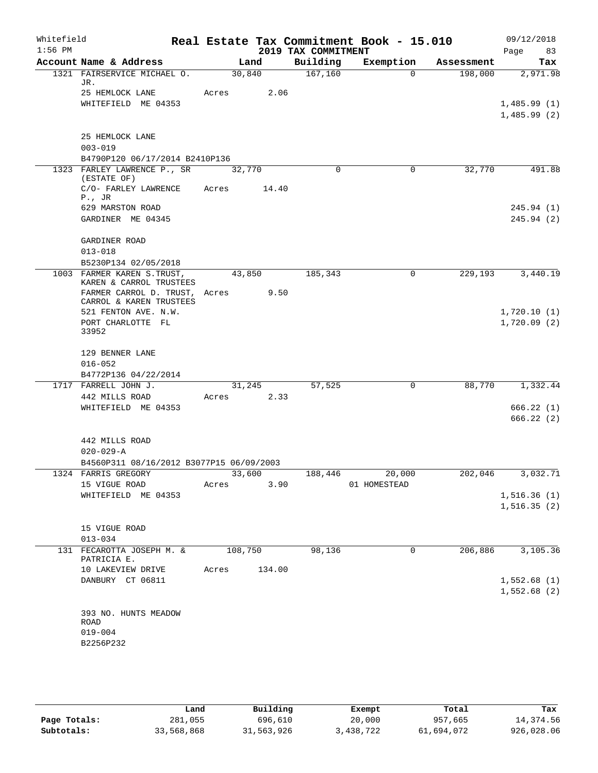| Whitefield<br>$1:56$ PM |                                                          |                    |        | 2019 TAX COMMITMENT | Real Estate Tax Commitment Book - 15.010 |            | 09/12/2018<br>83<br>Page   |
|-------------------------|----------------------------------------------------------|--------------------|--------|---------------------|------------------------------------------|------------|----------------------------|
|                         | Account Name & Address                                   |                    | Land   | Building            | Exemption                                | Assessment | Tax                        |
|                         | 1321 FAIRSERVICE MICHAEL O.                              | 30,840             |        | 167,160             | $\Omega$                                 | 198,000    | 2,971.98                   |
|                         | JR.                                                      |                    |        |                     |                                          |            |                            |
|                         | 25 HEMLOCK LANE                                          | Acres              | 2.06   |                     |                                          |            |                            |
|                         | WHITEFIELD ME 04353                                      |                    |        |                     |                                          |            | 1,485.99(1)<br>1,485.99(2) |
|                         |                                                          |                    |        |                     |                                          |            |                            |
|                         | 25 HEMLOCK LANE                                          |                    |        |                     |                                          |            |                            |
|                         | $003 - 019$                                              |                    |        |                     |                                          |            |                            |
|                         | B4790P120 06/17/2014 B2410P136                           |                    |        |                     |                                          |            |                            |
|                         | 1323 FARLEY LAWRENCE P., SR                              | 32,770             |        | $\Omega$            | $\mathbf 0$                              | 32,770     | 491.88                     |
|                         | (ESTATE OF)                                              |                    |        |                     |                                          |            |                            |
|                         | C/O- FARLEY LAWRENCE                                     | Acres              | 14.40  |                     |                                          |            |                            |
|                         | $P$ ., JR<br>629 MARSTON ROAD                            |                    |        |                     |                                          |            | 245.94(1)                  |
|                         | GARDINER ME 04345                                        |                    |        |                     |                                          |            | 245.94(2)                  |
|                         |                                                          |                    |        |                     |                                          |            |                            |
|                         | GARDINER ROAD                                            |                    |        |                     |                                          |            |                            |
|                         | $013 - 018$                                              |                    |        |                     |                                          |            |                            |
|                         | B5230P134 02/05/2018                                     |                    |        |                     |                                          |            |                            |
|                         | 1003 FARMER KAREN S.TRUST,                               | 43,850             |        | 185,343             | $\Omega$                                 | 229,193    | 3,440.19                   |
|                         | KAREN & CARROL TRUSTEES                                  |                    |        |                     |                                          |            |                            |
|                         | FARMER CARROL D. TRUST, Acres<br>CARROL & KAREN TRUSTEES |                    | 9.50   |                     |                                          |            |                            |
|                         | 521 FENTON AVE. N.W.                                     |                    |        |                     |                                          |            | 1,720.10(1)                |
|                         | PORT CHARLOTTE FL                                        |                    |        |                     |                                          |            | 1,720.09(2)                |
|                         | 33952                                                    |                    |        |                     |                                          |            |                            |
|                         | 129 BENNER LANE                                          |                    |        |                     |                                          |            |                            |
|                         | $016 - 052$                                              |                    |        |                     |                                          |            |                            |
|                         | B4772P136 04/22/2014                                     |                    |        |                     |                                          |            |                            |
|                         | 1717 FARRELL JOHN J.                                     |                    | 31,245 | 57,525              | $\mathbf 0$                              | 88,770     | 1,332.44                   |
|                         | 442 MILLS ROAD                                           | Acres 2.33         |        |                     |                                          |            |                            |
|                         | WHITEFIELD ME 04353                                      |                    |        |                     |                                          |            | 666.22(1)                  |
|                         |                                                          |                    |        |                     |                                          |            | 666.22(2)                  |
|                         |                                                          |                    |        |                     |                                          |            |                            |
|                         | 442 MILLS ROAD<br>$020 - 029 - A$                        |                    |        |                     |                                          |            |                            |
|                         | B4560P311 08/16/2012 B3077P15 06/09/2003                 |                    |        |                     |                                          |            |                            |
|                         | 1324 FARRIS GREGORY                                      | $\frac{33,600}{ }$ |        |                     | 188,446 20,000                           | 202,046    | 3,032.71                   |
|                         | 15 VIGUE ROAD                                            | Acres              | 3.90   |                     | 01 HOMESTEAD                             |            |                            |
|                         | WHITEFIELD ME 04353                                      |                    |        |                     |                                          |            | 1,516.36(1)                |
|                         |                                                          |                    |        |                     |                                          |            | 1,516.35(2)                |
|                         |                                                          |                    |        |                     |                                          |            |                            |
|                         | 15 VIGUE ROAD                                            |                    |        |                     |                                          |            |                            |
|                         | $013 - 034$                                              |                    |        |                     |                                          |            |                            |
|                         | 131 FECAROTTA JOSEPH M. & 108,750                        |                    |        | 98,136              | $\mathbf 0$                              | 206,886    | 3,105.36                   |
|                         | PATRICIA E.<br>10 LAKEVIEW DRIVE                         | Acres              | 134.00 |                     |                                          |            |                            |
|                         | DANBURY CT 06811                                         |                    |        |                     |                                          |            | 1,552.68(1)                |
|                         |                                                          |                    |        |                     |                                          |            | 1,552.68(2)                |
|                         |                                                          |                    |        |                     |                                          |            |                            |
|                         | 393 NO. HUNTS MEADOW                                     |                    |        |                     |                                          |            |                            |
|                         | ROAD                                                     |                    |        |                     |                                          |            |                            |
|                         | $019 - 004$                                              |                    |        |                     |                                          |            |                            |
|                         | B2256P232                                                |                    |        |                     |                                          |            |                            |
|                         |                                                          |                    |        |                     |                                          |            |                            |

|              | Land       | Building   | Exempt    | Total      | Tax        |
|--------------|------------|------------|-----------|------------|------------|
| Page Totals: | 281,055    | 696,610    | 20,000    | 957,665    | 14,374.56  |
| Subtotals:   | 33,568,868 | 31,563,926 | 3,438,722 | 61,694,072 | 926,028.06 |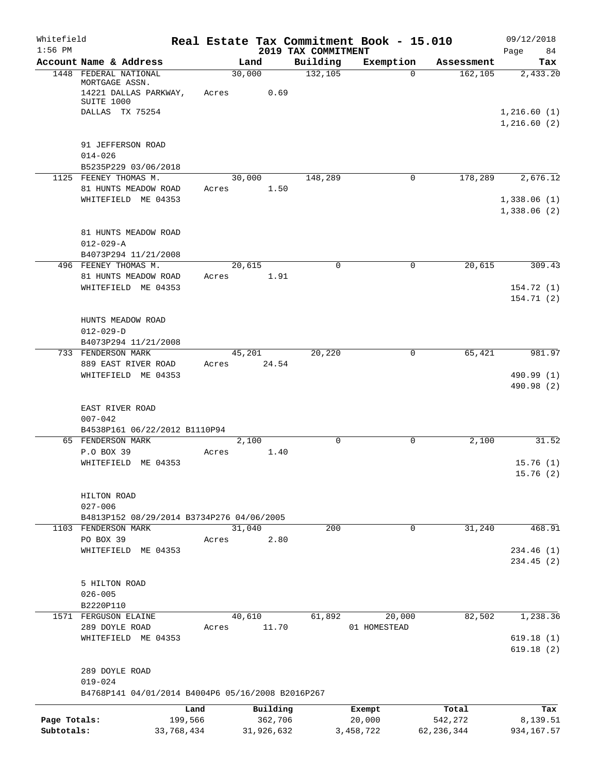| Whitefield   |                                                                  |            |            |                                 | Real Estate Tax Commitment Book - 15.010 |              | 09/12/2018                 |
|--------------|------------------------------------------------------------------|------------|------------|---------------------------------|------------------------------------------|--------------|----------------------------|
| $1:56$ PM    | Account Name & Address                                           |            | Land       | 2019 TAX COMMITMENT<br>Building | Exemption                                | Assessment   | Page<br>84<br>Tax          |
|              | 1448 FEDERAL NATIONAL<br>MORTGAGE ASSN.<br>14221 DALLAS PARKWAY, |            | 30,000     | 132,105<br>0.69                 | $\Omega$                                 | 162, 105     | 2,433.20                   |
|              | SUITE 1000<br>DALLAS TX 75254                                    | Acres      |            |                                 |                                          |              | 1,216.60(1)                |
|              |                                                                  |            |            |                                 |                                          |              | 1,216.60(2)                |
|              | 91 JEFFERSON ROAD<br>$014 - 026$<br>B5235P229 03/06/2018         |            |            |                                 |                                          |              |                            |
|              | 1125 FEENEY THOMAS M.                                            |            | 30,000     | 148,289                         | 0                                        | 178,289      | 2,676.12                   |
|              | 81 HUNTS MEADOW ROAD                                             | Acres      |            | 1.50                            |                                          |              |                            |
|              | WHITEFIELD ME 04353                                              |            |            |                                 |                                          |              | 1,338.06(1)<br>1,338.06(2) |
|              | 81 HUNTS MEADOW ROAD<br>$012 - 029 - A$                          |            |            |                                 |                                          |              |                            |
|              | B4073P294 11/21/2008<br>496 FEENEY THOMAS M.                     |            | 20,615     | $\Omega$                        | 0                                        | 20,615       | 309.43                     |
|              | 81 HUNTS MEADOW ROAD                                             | Acres      |            | 1.91                            |                                          |              |                            |
|              | WHITEFIELD ME 04353                                              |            |            |                                 |                                          |              | 154.72(1)                  |
|              |                                                                  |            |            |                                 |                                          |              | 154.71(2)                  |
|              | HUNTS MEADOW ROAD                                                |            |            |                                 |                                          |              |                            |
|              | $012 - 029 - D$                                                  |            |            |                                 |                                          |              |                            |
|              | B4073P294 11/21/2008                                             |            |            |                                 |                                          |              |                            |
|              | 733 FENDERSON MARK                                               |            | 45,201     | 20,220                          | 0                                        | 65,421       | 981.97                     |
|              | 889 EAST RIVER ROAD                                              | Acres      | 24.54      |                                 |                                          |              |                            |
|              | WHITEFIELD ME 04353                                              |            |            |                                 |                                          |              | 490.99 (1)<br>490.98 (2)   |
|              | EAST RIVER ROAD<br>$007 - 042$                                   |            |            |                                 |                                          |              |                            |
|              | B4538P161 06/22/2012 B1110P94                                    |            |            |                                 |                                          |              |                            |
|              | 65 FENDERSON MARK<br>P.O BOX 39                                  | Acres      | 2,100      | $\Omega$<br>1.40                | 0                                        | 2,100        | 31.52                      |
|              | WHITEFIELD ME 04353                                              |            |            |                                 |                                          |              | 15.76(1)                   |
|              |                                                                  |            |            |                                 |                                          |              | 15.76 (2)                  |
|              | HILTON ROAD<br>$027 - 006$                                       |            |            |                                 |                                          |              |                            |
|              | B4813P152 08/29/2014 B3734P276 04/06/2005                        |            |            |                                 |                                          |              |                            |
|              | 1103 FENDERSON MARK                                              |            | 31,040     | 200                             | $\mathbf 0$                              | 31,240       | 468.91                     |
|              | PO BOX 39                                                        | Acres      |            | 2.80                            |                                          |              |                            |
|              | WHITEFIELD ME 04353                                              |            |            |                                 |                                          |              | 234.46(1)<br>234.45(2)     |
|              | 5 HILTON ROAD                                                    |            |            |                                 |                                          |              |                            |
|              | $026 - 005$<br>B2220P110                                         |            |            |                                 |                                          |              |                            |
|              | 1571 FERGUSON ELAINE                                             |            | 40,610     | 61,892                          | 20,000                                   | 82,502       | 1,238.36                   |
|              | 289 DOYLE ROAD                                                   | Acres      | 11.70      |                                 | 01 HOMESTEAD                             |              |                            |
|              | WHITEFIELD ME 04353                                              |            |            |                                 |                                          |              | 619.18(1)<br>619.18(2)     |
|              | 289 DOYLE ROAD                                                   |            |            |                                 |                                          |              |                            |
|              | $019 - 024$<br>B4768P141 04/01/2014 B4004P6 05/16/2008 B2016P267 |            |            |                                 |                                          |              |                            |
|              |                                                                  | Land       | Building   |                                 | Exempt                                   | Total        | Tax                        |
| Page Totals: |                                                                  | 199,566    | 362,706    |                                 | 20,000                                   | 542,272      | 8,139.51                   |
| Subtotals:   |                                                                  | 33,768,434 | 31,926,632 |                                 | 3,458,722                                | 62, 236, 344 | 934, 167.57                |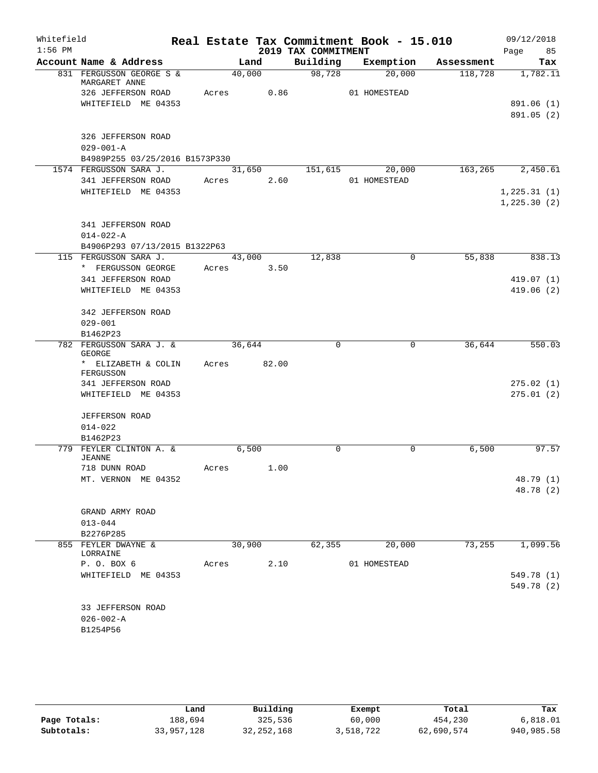| Whitefield |                                           |       |             |      |                     | Real Estate Tax Commitment Book - 15.010 |            | 09/12/2018       |
|------------|-------------------------------------------|-------|-------------|------|---------------------|------------------------------------------|------------|------------------|
| $1:56$ PM  |                                           |       |             |      | 2019 TAX COMMITMENT |                                          |            | Page 85          |
|            | Account Name & Address                    |       | Land        |      |                     | Building Exemption                       | Assessment | Tax              |
|            | 831 FERGUSSON GEORGE S &<br>MARGARET ANNE |       | 40,000      |      | 98,728              | 20,000                                   | 118,728    | 1,782.11         |
|            | 326 JEFFERSON ROAD                        |       | Acres 0.86  |      |                     | 01 HOMESTEAD                             |            |                  |
|            | WHITEFIELD ME 04353                       |       |             |      |                     |                                          |            | 891.06 (1)       |
|            |                                           |       |             |      |                     |                                          |            | 891.05 (2)       |
|            | 326 JEFFERSON ROAD                        |       |             |      |                     |                                          |            |                  |
|            | $029 - 001 - A$                           |       |             |      |                     |                                          |            |                  |
|            | B4989P255 03/25/2016 B1573P330            |       |             |      |                     |                                          |            |                  |
|            | 1574 FERGUSSON SARA J.                    |       |             |      | 31,650 151,615      | 20,000                                   |            | 163,265 2,450.61 |
|            | 341 JEFFERSON ROAD                        |       | Acres 2.60  |      |                     | 01 HOMESTEAD                             |            |                  |
|            | WHITEFIELD ME 04353                       |       |             |      |                     |                                          |            | 1, 225.31(1)     |
|            |                                           |       |             |      |                     |                                          |            | 1, 225.30(2)     |
|            | 341 JEFFERSON ROAD                        |       |             |      |                     |                                          |            |                  |
|            | $014 - 022 - A$                           |       |             |      |                     |                                          |            |                  |
|            | B4906P293 07/13/2015 B1322P63             |       |             |      |                     |                                          |            |                  |
|            | 115 FERGUSSON SARA J.                     |       | 43,000      |      | 12,838              | $\mathbf 0$                              | 55,838     | 838.13           |
|            | * FERGUSSON GEORGE                        |       | Acres 3.50  |      |                     |                                          |            |                  |
|            | 341 JEFFERSON ROAD                        |       |             |      |                     |                                          |            | 419.07(1)        |
|            | WHITEFIELD ME 04353                       |       |             |      |                     |                                          |            | 419.06(2)        |
|            | 342 JEFFERSON ROAD                        |       |             |      |                     |                                          |            |                  |
|            | $029 - 001$                               |       |             |      |                     |                                          |            |                  |
|            | B1462P23                                  |       |             |      |                     |                                          |            |                  |
|            | 782 FERGUSSON SARA J. &<br>GEORGE         |       | 36,644      |      | $\Omega$            | 0                                        | 36,644     | 550.03           |
|            | * ELIZABETH & COLIN<br>FERGUSSON          |       | Acres 82.00 |      |                     |                                          |            |                  |
|            | 341 JEFFERSON ROAD                        |       |             |      |                     |                                          |            | 275.02(1)        |
|            | WHITEFIELD ME 04353                       |       |             |      |                     |                                          |            | 275.01(2)        |
|            | <b>JEFFERSON ROAD</b>                     |       |             |      |                     |                                          |            |                  |
|            | $014 - 022$                               |       |             |      |                     |                                          |            |                  |
|            | B1462P23                                  |       |             |      |                     |                                          |            |                  |
|            | 779 FEYLER CLINTON A. &<br><b>JEANNE</b>  |       | 6,500       |      | $\Omega$            | $\Omega$                                 | 6,500      | 97.57            |
|            | 718 DUNN ROAD                             | Acres |             | 1.00 |                     |                                          |            |                  |
|            | MT. VERNON ME 04352                       |       |             |      |                     |                                          |            | 48.79 (1)        |
|            |                                           |       |             |      |                     |                                          |            | 48.78 (2)        |
|            | GRAND ARMY ROAD                           |       |             |      |                     |                                          |            |                  |
|            | $013 - 044$                               |       |             |      |                     |                                          |            |                  |
|            | B2276P285                                 |       |             |      |                     |                                          |            |                  |
|            | 855 FEYLER DWAYNE &                       |       | 30,900      |      | 62,355              | 20,000                                   | 73,255     | 1,099.56         |
|            | LORRAINE                                  |       |             |      |                     |                                          |            |                  |
|            | P. O. BOX 6                               | Acres |             | 2.10 |                     | 01 HOMESTEAD                             |            |                  |
|            | WHITEFIELD ME 04353                       |       |             |      |                     |                                          |            | 549.78 (1)       |
|            |                                           |       |             |      |                     |                                          |            | 549.78 (2)       |
|            | 33 JEFFERSON ROAD                         |       |             |      |                     |                                          |            |                  |
|            | $026 - 002 - A$                           |       |             |      |                     |                                          |            |                  |
|            | B1254P56                                  |       |             |      |                     |                                          |            |                  |
|            |                                           |       |             |      |                     |                                          |            |                  |

|              | Land       | Building     | Exempt    | Total      | Tax        |
|--------------|------------|--------------|-----------|------------|------------|
| Page Totals: | 188,694    | 325,536      | 60,000    | 454,230    | 6,818.01   |
| Subtotals:   | 33,957,128 | 32, 252, 168 | 3,518,722 | 62,690,574 | 940,985.58 |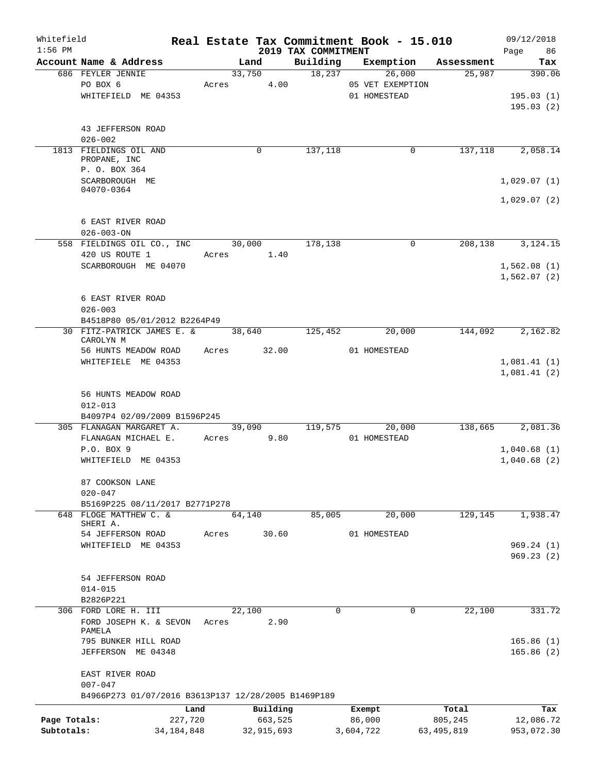| Whitefield<br>$1:56$ PM |                                                            |         |        |            | 2019 TAX COMMITMENT | Real Estate Tax Commitment Book - 15.010 |            | 09/12/2018<br>Page<br>86 |
|-------------------------|------------------------------------------------------------|---------|--------|------------|---------------------|------------------------------------------|------------|--------------------------|
|                         | Account Name & Address                                     |         | Land   |            | Building            | Exemption                                | Assessment | Tax                      |
|                         | 686 FEYLER JENNIE                                          |         | 33,750 |            | 18,237              | 26,000                                   | 25,987     | 390.06                   |
|                         | PO BOX 6                                                   | Acres   |        | 4.00       |                     | 05 VET EXEMPTION                         |            |                          |
|                         | WHITEFIELD ME 04353                                        |         |        |            |                     | 01 HOMESTEAD                             |            | 195.03(1)                |
|                         |                                                            |         |        |            |                     |                                          |            | 195.03(2)                |
|                         |                                                            |         |        |            |                     |                                          |            |                          |
|                         | 43 JEFFERSON ROAD                                          |         |        |            |                     |                                          |            |                          |
|                         | $026 - 002$                                                |         |        |            |                     |                                          |            |                          |
|                         | 1813 FIELDINGS OIL AND                                     |         | 0      |            | 137,118             | 0                                        | 137,118    | 2,058.14                 |
|                         | PROPANE, INC                                               |         |        |            |                     |                                          |            |                          |
|                         | P. O. BOX 364                                              |         |        |            |                     |                                          |            |                          |
|                         | SCARBOROUGH ME                                             |         |        |            |                     |                                          |            | 1,029.07(1)              |
|                         | 04070-0364                                                 |         |        |            |                     |                                          |            |                          |
|                         |                                                            |         |        |            |                     |                                          |            | 1,029.07(2)              |
|                         |                                                            |         |        |            |                     |                                          |            |                          |
|                         | 6 EAST RIVER ROAD                                          |         |        |            |                     |                                          |            |                          |
|                         | $026 - 003 - ON$                                           |         |        |            |                     |                                          |            |                          |
|                         | 558 FIELDINGS OIL CO., INC                                 |         | 30,000 |            | 178,138             | $\mathbf 0$                              | 208,138    | 3, 124. 15               |
|                         | 420 US ROUTE 1                                             | Acres   |        | 1.40       |                     |                                          |            |                          |
|                         | SCARBOROUGH ME 04070                                       |         |        |            |                     |                                          |            | 1,562.08(1)              |
|                         |                                                            |         |        |            |                     |                                          |            | 1,562.07(2)              |
|                         |                                                            |         |        |            |                     |                                          |            |                          |
|                         | 6 EAST RIVER ROAD                                          |         |        |            |                     |                                          |            |                          |
|                         | $026 - 003$                                                |         |        |            |                     |                                          |            |                          |
|                         | B4518P80 05/01/2012 B2264P49<br>30 FITZ-PATRICK JAMES E. & |         |        |            |                     |                                          |            |                          |
|                         | CAROLYN M                                                  |         | 38,640 |            | 125,452             | 20,000                                   | 144,092    | 2,162.82                 |
|                         | 56 HUNTS MEADOW ROAD                                       | Acres   |        | 32.00      |                     | 01 HOMESTEAD                             |            |                          |
|                         | WHITEFIELE ME 04353                                        |         |        |            |                     |                                          |            | 1,081.41(1)              |
|                         |                                                            |         |        |            |                     |                                          |            | 1,081.41(2)              |
|                         |                                                            |         |        |            |                     |                                          |            |                          |
|                         | 56 HUNTS MEADOW ROAD                                       |         |        |            |                     |                                          |            |                          |
|                         | $012 - 013$                                                |         |        |            |                     |                                          |            |                          |
|                         | B4097P4 02/09/2009 B1596P245                               |         |        |            |                     |                                          |            |                          |
|                         | 305 FLANAGAN MARGARET A.                                   |         | 39,090 |            | 119,575             | 20,000                                   | 138,665    | 2,081.36                 |
|                         | FLANAGAN MICHAEL E.                                        | Acres   |        | 9.80       |                     | 01 HOMESTEAD                             |            |                          |
|                         | P.O. BOX 9                                                 |         |        |            |                     |                                          |            | 1,040.68(1)              |
|                         | WHITEFIELD ME 04353                                        |         |        |            |                     |                                          |            | 1,040.68(2)              |
|                         |                                                            |         |        |            |                     |                                          |            |                          |
|                         | 87 COOKSON LANE                                            |         |        |            |                     |                                          |            |                          |
|                         | $020 - 047$                                                |         |        |            |                     |                                          |            |                          |
|                         | B5169P225 08/11/2017 B2771P278                             |         |        |            |                     |                                          |            |                          |
|                         | 648 FLOGE MATTHEW C. &                                     |         | 64,140 |            | 85,005              | 20,000                                   | 129,145    | 1,938.47                 |
|                         | SHERI A.                                                   |         |        |            |                     |                                          |            |                          |
|                         | 54 JEFFERSON ROAD                                          | Acres   |        | 30.60      |                     | 01 HOMESTEAD                             |            |                          |
|                         | WHITEFIELD ME 04353                                        |         |        |            |                     |                                          |            | 969.24(1)                |
|                         |                                                            |         |        |            |                     |                                          |            | 969.23(2)                |
|                         |                                                            |         |        |            |                     |                                          |            |                          |
|                         | 54 JEFFERSON ROAD                                          |         |        |            |                     |                                          |            |                          |
|                         | $014 - 015$                                                |         |        |            |                     |                                          |            |                          |
|                         | B2826P221                                                  |         |        |            |                     |                                          |            |                          |
|                         | 306 FORD LORE H. III                                       |         | 22,100 |            | 0                   | 0                                        | 22,100     | 331.72                   |
|                         | FORD JOSEPH K. & SEVON                                     | Acres   |        | 2.90       |                     |                                          |            |                          |
|                         | PAMELA<br>795 BUNKER HILL ROAD                             |         |        |            |                     |                                          |            | 165.86(1)                |
|                         |                                                            |         |        |            |                     |                                          |            |                          |
|                         | JEFFERSON ME 04348                                         |         |        |            |                     |                                          |            | 165.86(2)                |
|                         | EAST RIVER ROAD                                            |         |        |            |                     |                                          |            |                          |
|                         | $007 - 047$                                                |         |        |            |                     |                                          |            |                          |
|                         | B4966P273 01/07/2016 B3613P137 12/28/2005 B1469P189        |         |        |            |                     |                                          |            |                          |
|                         |                                                            |         |        |            |                     |                                          |            |                          |
|                         |                                                            | Land    |        | Building   |                     | Exempt                                   | Total      | Tax                      |
| Page Totals:            |                                                            | 227,720 |        | 663,525    |                     | 86,000                                   | 805,245    | 12,086.72                |
| Subtotals:              | 34, 184, 848                                               |         |        | 32,915,693 |                     | 3,604,722                                | 63,495,819 | 953,072.30               |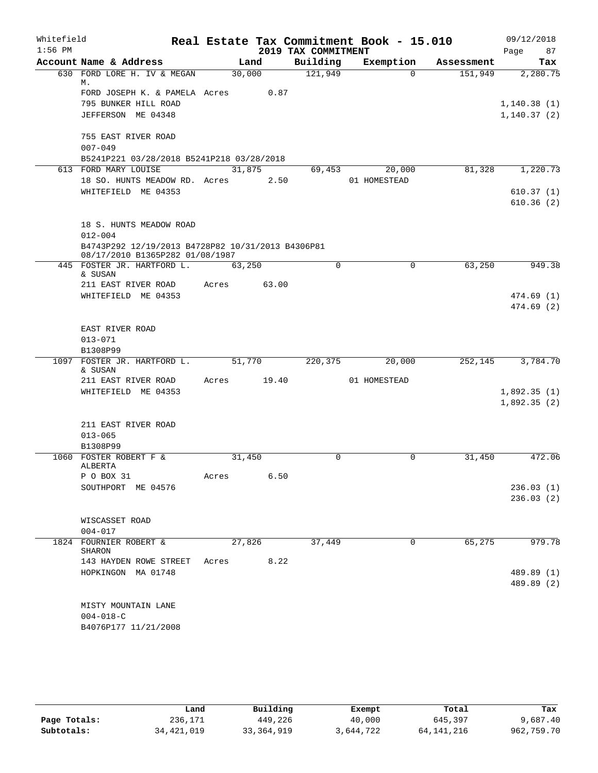| Whitefield |                                                                                      |        |       |                     | Real Estate Tax Commitment Book - 15.010 |            | 09/12/2018   |
|------------|--------------------------------------------------------------------------------------|--------|-------|---------------------|------------------------------------------|------------|--------------|
| $1:56$ PM  |                                                                                      |        |       | 2019 TAX COMMITMENT |                                          |            | 87<br>Page   |
|            | Account Name & Address                                                               |        | Land  | Building            | Exemption                                | Assessment | Tax          |
|            | 630 FORD LORE H. IV & MEGAN<br>М.                                                    | 30,000 |       | 121,949             | $\Omega$                                 | 151,949    | 2,280.75     |
|            | FORD JOSEPH K. & PAMELA Acres 0.87                                                   |        |       |                     |                                          |            |              |
|            | 795 BUNKER HILL ROAD                                                                 |        |       |                     |                                          |            | 1, 140.38(1) |
|            | JEFFERSON ME 04348                                                                   |        |       |                     |                                          |            | 1,140.37(2)  |
|            | 755 EAST RIVER ROAD<br>$007 - 049$                                                   |        |       |                     |                                          |            |              |
|            | B5241P221 03/28/2018 B5241P218 03/28/2018                                            |        |       |                     |                                          |            |              |
|            | 613 FORD MARY LOUISE                                                                 | 31,875 |       | 69,453              | 20,000                                   | 81,328     | 1,220.73     |
|            | 18 SO. HUNTS MEADOW RD. Acres                                                        |        | 2.50  |                     | 01 HOMESTEAD                             |            |              |
|            | WHITEFIELD ME 04353                                                                  |        |       |                     |                                          |            | 610.37(1)    |
|            |                                                                                      |        |       |                     |                                          |            | 610.36(2)    |
|            | 18 S. HUNTS MEADOW ROAD                                                              |        |       |                     |                                          |            |              |
|            | $012 - 004$                                                                          |        |       |                     |                                          |            |              |
|            | B4743P292 12/19/2013 B4728P82 10/31/2013 B4306P81<br>08/17/2010 B1365P282 01/08/1987 |        |       |                     |                                          |            |              |
|            | 445 FOSTER JR. HARTFORD L.                                                           | 63,250 |       | $\Omega$            | $\mathbf 0$                              | 63,250     | 949.38       |
|            | & SUSAN<br>211 EAST RIVER ROAD                                                       | Acres  | 63.00 |                     |                                          |            |              |
|            | WHITEFIELD ME 04353                                                                  |        |       |                     |                                          |            | 474.69(1)    |
|            |                                                                                      |        |       |                     |                                          |            | 474.69(2)    |
|            |                                                                                      |        |       |                     |                                          |            |              |
|            | EAST RIVER ROAD                                                                      |        |       |                     |                                          |            |              |
|            | $013 - 071$                                                                          |        |       |                     |                                          |            |              |
|            | B1308P99                                                                             |        |       |                     |                                          |            |              |
|            | 1097 FOSTER JR. HARTFORD L.<br>& SUSAN                                               | 51,770 |       | 220,375             | 20,000                                   | 252,145    | 3,784.70     |
|            | 211 EAST RIVER ROAD                                                                  | Acres  | 19.40 |                     | 01 HOMESTEAD                             |            |              |
|            | WHITEFIELD ME 04353                                                                  |        |       |                     |                                          |            | 1,892.35(1)  |
|            |                                                                                      |        |       |                     |                                          |            | 1,892.35(2)  |
|            |                                                                                      |        |       |                     |                                          |            |              |
|            | 211 EAST RIVER ROAD                                                                  |        |       |                     |                                          |            |              |
|            | $013 - 065$                                                                          |        |       |                     |                                          |            |              |
|            | B1308P99                                                                             |        |       |                     |                                          |            |              |
|            | 1060 FOSTER ROBERT F &<br>ALBERTA                                                    | 31,450 |       | 0                   | 0                                        | 31,450     | 472.06       |
|            | P O BOX 31                                                                           | Acres  | 6.50  |                     |                                          |            |              |
|            | SOUTHPORT ME 04576                                                                   |        |       |                     |                                          |            | 236.03(1)    |
|            |                                                                                      |        |       |                     |                                          |            | 236.03(2)    |
|            | WISCASSET ROAD                                                                       |        |       |                     |                                          |            |              |
|            | $004 - 017$                                                                          |        |       |                     |                                          |            |              |
|            | 1824 FOURNIER ROBERT &                                                               | 27,826 |       | 37,449              | $\Omega$                                 | 65,275     | 979.78       |
|            | SHARON<br>143 HAYDEN ROWE STREET                                                     | Acres  | 8.22  |                     |                                          |            |              |
|            | HOPKINGON MA 01748                                                                   |        |       |                     |                                          |            | 489.89 (1)   |
|            |                                                                                      |        |       |                     |                                          |            | 489.89 (2)   |
|            |                                                                                      |        |       |                     |                                          |            |              |
|            | MISTY MOUNTAIN LANE                                                                  |        |       |                     |                                          |            |              |
|            | $004 - 018 - C$                                                                      |        |       |                     |                                          |            |              |
|            | B4076P177 11/21/2008                                                                 |        |       |                     |                                          |            |              |
|            |                                                                                      |        |       |                     |                                          |            |              |

|              | Land         | Building   | Exempt    | Total      | Tax        |
|--------------|--------------|------------|-----------|------------|------------|
| Page Totals: | 236,171      | 449,226    | 40,000    | 645,397    | 9,687.40   |
| Subtotals:   | 34, 421, 019 | 33,364,919 | 3,644,722 | 64,141,216 | 962,759.70 |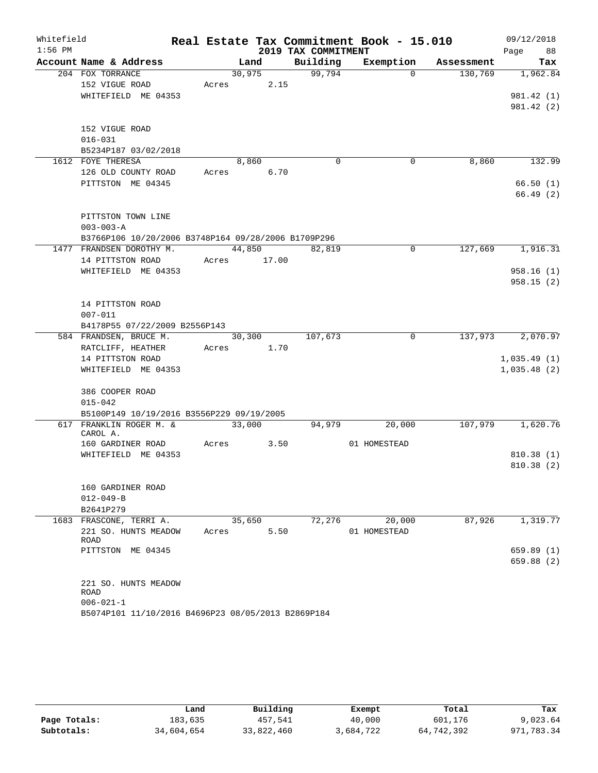| Whitefield |                                                     |        |       |                     | Real Estate Tax Commitment Book - 15.010 |            | 09/12/2018  |
|------------|-----------------------------------------------------|--------|-------|---------------------|------------------------------------------|------------|-------------|
| $1:56$ PM  |                                                     |        |       | 2019 TAX COMMITMENT |                                          |            | 88<br>Page  |
|            | Account Name & Address                              | Land   |       | Building            | Exemption                                | Assessment | Tax         |
|            | 204 FOX TORRANCE                                    | 30,975 |       | 99,794              | $\Omega$                                 | 130,769    | 1,962.84    |
|            | 152 VIGUE ROAD                                      | Acres  | 2.15  |                     |                                          |            |             |
|            | WHITEFIELD ME 04353                                 |        |       |                     |                                          |            | 981.42 (1)  |
|            |                                                     |        |       |                     |                                          |            | 981.42 (2)  |
|            |                                                     |        |       |                     |                                          |            |             |
|            | 152 VIGUE ROAD<br>$016 - 031$                       |        |       |                     |                                          |            |             |
|            | B5234P187 03/02/2018                                |        |       |                     |                                          |            |             |
|            | 1612 FOYE THERESA                                   | 8,860  |       | $\mathbf 0$         | $\mathbf 0$                              | 8,860      | 132.99      |
|            | 126 OLD COUNTY ROAD                                 | Acres  | 6.70  |                     |                                          |            |             |
|            | PITTSTON ME 04345                                   |        |       |                     |                                          |            | 66.50(1)    |
|            |                                                     |        |       |                     |                                          |            | 66.49(2)    |
|            |                                                     |        |       |                     |                                          |            |             |
|            | PITTSTON TOWN LINE                                  |        |       |                     |                                          |            |             |
|            | $003 - 003 - A$                                     |        |       |                     |                                          |            |             |
|            | B3766P106 10/20/2006 B3748P164 09/28/2006 B1709P296 |        |       |                     |                                          |            |             |
|            | 1477 FRANDSEN DOROTHY M.                            | 44,850 |       | 82,819              | 0                                        | 127,669    | 1,916.31    |
|            | 14 PITTSTON ROAD                                    | Acres  | 17.00 |                     |                                          |            |             |
|            | WHITEFIELD ME 04353                                 |        |       |                     |                                          |            | 958.16(1)   |
|            |                                                     |        |       |                     |                                          |            | 958.15(2)   |
|            | 14 PITTSTON ROAD                                    |        |       |                     |                                          |            |             |
|            | $007 - 011$                                         |        |       |                     |                                          |            |             |
|            | B4178P55 07/22/2009 B2556P143                       |        |       |                     |                                          |            |             |
|            | 584 FRANDSEN, BRUCE M.                              | 30,300 |       | 107,673             | 0                                        | 137,973    | 2,070.97    |
|            | RATCLIFF, HEATHER                                   | Acres  | 1.70  |                     |                                          |            |             |
|            | 14 PITTSTON ROAD                                    |        |       |                     |                                          |            | 1,035.49(1) |
|            | WHITEFIELD ME 04353                                 |        |       |                     |                                          |            | 1,035.48(2) |
|            |                                                     |        |       |                     |                                          |            |             |
|            | 386 COOPER ROAD                                     |        |       |                     |                                          |            |             |
|            | $015 - 042$                                         |        |       |                     |                                          |            |             |
|            | B5100P149 10/19/2016 B3556P229 09/19/2005           |        |       |                     |                                          |            |             |
| 617        | FRANKLIN ROGER M. &<br>CAROL A.                     | 33,000 |       | 94,979              | 20,000                                   | 107,979    | 1,620.76    |
|            | 160 GARDINER ROAD                                   | Acres  | 3.50  |                     | 01 HOMESTEAD                             |            |             |
|            | WHITEFIELD ME 04353                                 |        |       |                     |                                          |            | 810.38(1)   |
|            |                                                     |        |       |                     |                                          |            | 810.38 (2)  |
|            |                                                     |        |       |                     |                                          |            |             |
|            | 160 GARDINER ROAD                                   |        |       |                     |                                          |            |             |
|            | $012 - 049 - B$                                     |        |       |                     |                                          |            |             |
|            | B2641P279                                           |        |       |                     |                                          |            |             |
|            | 1683 FRASCONE, TERRI A.                             | 35,650 |       | 72,276              | 20,000                                   | 87,926     | 1,319.77    |
|            | 221 SO. HUNTS MEADOW<br><b>ROAD</b>                 | Acres  | 5.50  |                     | 01 HOMESTEAD                             |            |             |
|            | PITTSTON ME 04345                                   |        |       |                     |                                          |            | 659.89(1)   |
|            |                                                     |        |       |                     |                                          |            | 659.88 (2)  |
|            |                                                     |        |       |                     |                                          |            |             |
|            | 221 SO. HUNTS MEADOW                                |        |       |                     |                                          |            |             |
|            | ROAD                                                |        |       |                     |                                          |            |             |
|            | $006 - 021 - 1$                                     |        |       |                     |                                          |            |             |
|            | B5074P101 11/10/2016 B4696P23 08/05/2013 B2869P184  |        |       |                     |                                          |            |             |

|              | Land       | Building   | Exempt    | Total      | Tax        |
|--------------|------------|------------|-----------|------------|------------|
| Page Totals: | 183,635    | 457,541    | 40,000    | 601,176    | 9,023.64   |
| Subtotals:   | 34,604,654 | 33,822,460 | 3,684,722 | 64,742,392 | 971,783.34 |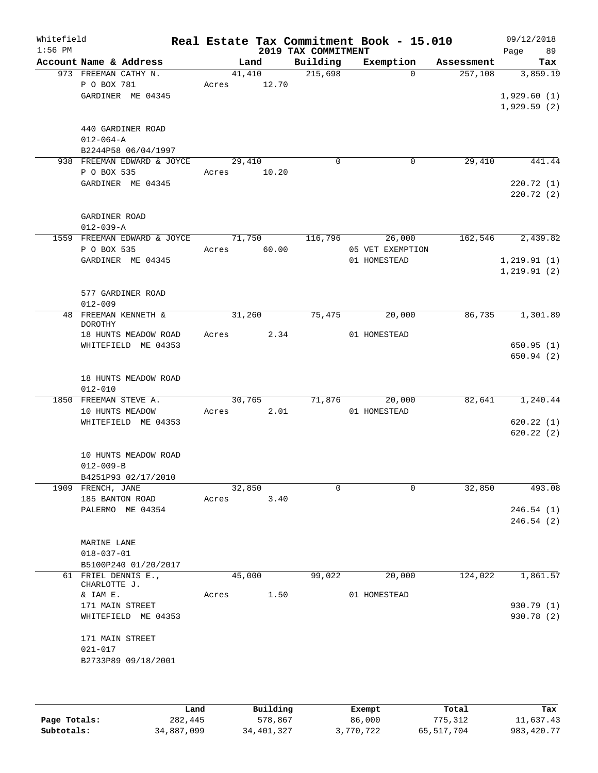| Whitefield<br>$1:56$ PM |                                  |                                                                     |       |        |       | 2019 TAX COMMITMENT | Real Estate Tax Commitment Book - 15.010   |            | 09/12/2018<br>Page<br>89                 |
|-------------------------|----------------------------------|---------------------------------------------------------------------|-------|--------|-------|---------------------|--------------------------------------------|------------|------------------------------------------|
|                         |                                  | Account Name & Address                                              |       | Land   |       | Building            | Exemption                                  | Assessment | Tax                                      |
|                         | P O BOX 781                      | 973 FREEMAN CATHY N.<br>GARDINER ME 04345                           | Acres | 41,410 | 12.70 | 215,698             | $\Omega$                                   | 257,108    | 3,859.19<br>1,929.60(1)<br>1,929.59(2)   |
|                         | $012 - 064 - A$                  | 440 GARDINER ROAD<br>B2244P58 06/04/1997                            |       |        |       |                     |                                            |            |                                          |
|                         | P O BOX 535                      | 938 FREEMAN EDWARD & JOYCE<br>GARDINER ME 04345                     | Acres | 29,410 | 10.20 | $\mathbf 0$         | $\mathbf 0$                                | 29,410     | 441.44<br>220.72 (1)<br>220.72(2)        |
|                         | GARDINER ROAD<br>$012 - 039 - A$ |                                                                     |       |        |       |                     |                                            |            |                                          |
|                         | P O BOX 535                      | 1559 FREEMAN EDWARD & JOYCE<br>GARDINER ME 04345                    | Acres | 71,750 | 60.00 | 116,796             | 26,000<br>05 VET EXEMPTION<br>01 HOMESTEAD | 162,546    | 2,439.82<br>1, 219.91(1)<br>1, 219.91(2) |
|                         | $012 - 009$                      | 577 GARDINER ROAD                                                   |       |        |       |                     |                                            |            |                                          |
|                         | <b>DOROTHY</b>                   | 48 FREEMAN KENNETH &<br>18 HUNTS MEADOW ROAD<br>WHITEFIELD ME 04353 | Acres | 31,260 | 2.34  | 75,475              | 20,000<br>01 HOMESTEAD                     | 86,735     | 1,301.89<br>650.95(1)<br>650.94(2)       |
|                         | $012 - 010$                      | 18 HUNTS MEADOW ROAD                                                |       |        |       |                     |                                            |            |                                          |
| 1850                    |                                  | FREEMAN STEVE A.<br>10 HUNTS MEADOW<br>WHITEFIELD ME 04353          | Acres | 30,765 | 2.01  | 71,876              | 20,000<br>01 HOMESTEAD                     | 82,641     | 1,240.44<br>620.22(1)<br>620.22(2)       |
|                         | $012 - 009 - B$                  | 10 HUNTS MEADOW ROAD<br>B4251P93 02/17/2010                         |       |        |       |                     |                                            |            |                                          |
|                         | 1909 FRENCH, JANE                | 185 BANTON ROAD<br>PALERMO ME 04354                                 | Acres | 32,850 | 3.40  | 0                   | 0                                          | 32,850     | 493.08<br>246.54(1)<br>246.54(2)         |
|                         | MARINE LANE<br>$018 - 037 - 01$  | B5100P240 01/20/2017                                                |       |        |       |                     |                                            |            |                                          |
|                         | CHARLOTTE J.<br>& IAM E.         | 61 FRIEL DENNIS E.,                                                 | Acres | 45,000 | 1.50  | 99,022              | 20,000<br>01 HOMESTEAD                     | 124,022    | 1,861.57                                 |
|                         | 171 MAIN STREET                  | WHITEFIELD ME 04353                                                 |       |        |       |                     |                                            |            | 930.79(1)<br>930.78 (2)                  |
|                         | 171 MAIN STREET<br>021-017       | B2733P89 09/18/2001                                                 |       |        |       |                     |                                            |            |                                          |
|                         |                                  |                                                                     |       |        |       |                     |                                            |            |                                          |

|              | Land       | Building     | Exempt    | Total      | Tax          |
|--------------|------------|--------------|-----------|------------|--------------|
| Page Totals: | 282,445    | 578,867      | 86,000    | 775,312    | 11,637.43    |
| Subtotals:   | 34,887,099 | 34, 401, 327 | 3,770,722 | 65,517,704 | 983, 420. 77 |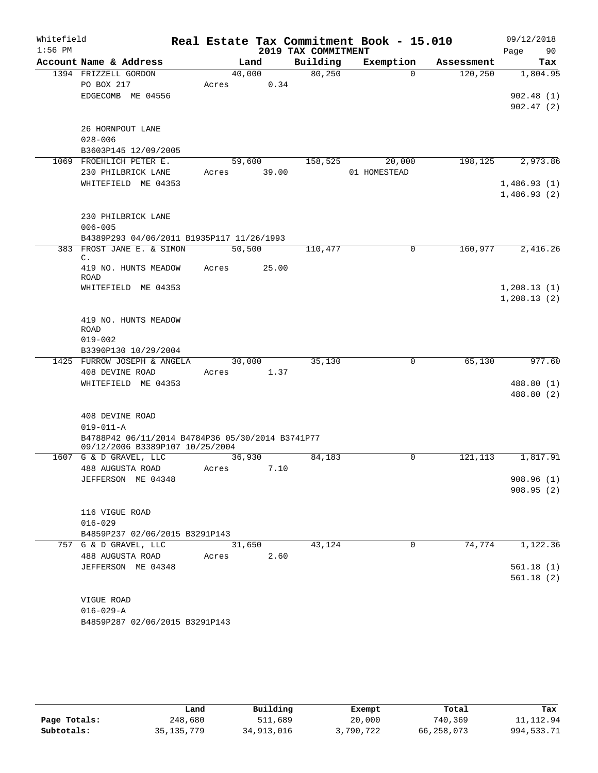| Whitefield |                                                                                     |                |       |                                 | Real Estate Tax Commitment Book - 15.010 |                       | 09/12/2018      |
|------------|-------------------------------------------------------------------------------------|----------------|-------|---------------------------------|------------------------------------------|-----------------------|-----------------|
| $1:56$ PM  | Account Name & Address                                                              |                |       | 2019 TAX COMMITMENT<br>Building |                                          |                       | Page<br>90      |
|            | 1394 FRIZZELL GORDON                                                                | Land<br>40,000 |       | 80, 250                         | Exemption<br>$\Omega$                    | Assessment<br>120,250 | Tax<br>1,804.95 |
|            | PO BOX 217                                                                          | Acres          | 0.34  |                                 |                                          |                       |                 |
|            | EDGECOMB ME 04556                                                                   |                |       |                                 |                                          |                       | 902.48(1)       |
|            |                                                                                     |                |       |                                 |                                          |                       | 902.47(2)       |
|            |                                                                                     |                |       |                                 |                                          |                       |                 |
|            | 26 HORNPOUT LANE                                                                    |                |       |                                 |                                          |                       |                 |
|            | $028 - 006$                                                                         |                |       |                                 |                                          |                       |                 |
|            | B3603P145 12/09/2005                                                                |                |       |                                 |                                          |                       |                 |
|            | 1069 FROEHLICH PETER E.                                                             | 59,600         |       | 158,525                         | 20,000                                   | 198,125               | 2,973.86        |
|            | 230 PHILBRICK LANE                                                                  | Acres          | 39.00 |                                 | 01 HOMESTEAD                             |                       |                 |
|            | WHITEFIELD ME 04353                                                                 |                |       |                                 |                                          |                       | 1,486.93(1)     |
|            |                                                                                     |                |       |                                 |                                          |                       | 1,486.93(2)     |
|            |                                                                                     |                |       |                                 |                                          |                       |                 |
|            | 230 PHILBRICK LANE                                                                  |                |       |                                 |                                          |                       |                 |
|            | $006 - 005$                                                                         |                |       |                                 |                                          |                       |                 |
|            | B4389P293 04/06/2011 B1935P117 11/26/1993<br>383 FROST JANE E. & SIMON              |                |       |                                 |                                          |                       |                 |
|            | $\mathsf{C}$ .                                                                      | 50,500         |       | 110,477                         | 0                                        | 160,977               | 2,416.26        |
|            | 419 NO. HUNTS MEADOW                                                                | Acres          | 25.00 |                                 |                                          |                       |                 |
|            | ROAD                                                                                |                |       |                                 |                                          |                       |                 |
|            | WHITEFIELD ME 04353                                                                 |                |       |                                 |                                          |                       | 1, 208.13(1)    |
|            |                                                                                     |                |       |                                 |                                          |                       | 1, 208.13(2)    |
|            |                                                                                     |                |       |                                 |                                          |                       |                 |
|            | 419 NO. HUNTS MEADOW<br><b>ROAD</b>                                                 |                |       |                                 |                                          |                       |                 |
|            | $019 - 002$                                                                         |                |       |                                 |                                          |                       |                 |
|            | B3390P130 10/29/2004                                                                |                |       |                                 |                                          |                       |                 |
|            | 1425 FURROW JOSEPH & ANGELA                                                         | 30,000         |       | 35,130                          | 0                                        | 65,130                | 977.60          |
|            | 408 DEVINE ROAD                                                                     | Acres          | 1.37  |                                 |                                          |                       |                 |
|            | WHITEFIELD ME 04353                                                                 |                |       |                                 |                                          |                       | 488.80 (1)      |
|            |                                                                                     |                |       |                                 |                                          |                       | 488.80 (2)      |
|            |                                                                                     |                |       |                                 |                                          |                       |                 |
|            | 408 DEVINE ROAD                                                                     |                |       |                                 |                                          |                       |                 |
|            | $019 - 011 - A$                                                                     |                |       |                                 |                                          |                       |                 |
|            | B4788P42 06/11/2014 B4784P36 05/30/2014 B3741P77<br>09/12/2006 B3389P107 10/25/2004 |                |       |                                 |                                          |                       |                 |
|            | 1607 G & D GRAVEL, LLC                                                              | 36,930         |       | 84,183                          | 0                                        | 121,113               | 1,817.91        |
|            | 488 AUGUSTA ROAD                                                                    | Acres          | 7.10  |                                 |                                          |                       |                 |
|            | JEFFERSON ME 04348                                                                  |                |       |                                 |                                          |                       | 908.96(1)       |
|            |                                                                                     |                |       |                                 |                                          |                       | 908.95(2)       |
|            |                                                                                     |                |       |                                 |                                          |                       |                 |
|            | 116 VIGUE ROAD                                                                      |                |       |                                 |                                          |                       |                 |
|            | $016 - 029$                                                                         |                |       |                                 |                                          |                       |                 |
|            | B4859P237 02/06/2015 B3291P143                                                      |                |       |                                 |                                          |                       |                 |
|            | 757 G & D GRAVEL, LLC                                                               | 31,650         |       | 43,124                          | $\mathbf 0$                              | 74,774                | 1,122.36        |
|            | 488 AUGUSTA ROAD                                                                    | Acres          | 2.60  |                                 |                                          |                       |                 |
|            | JEFFERSON ME 04348                                                                  |                |       |                                 |                                          |                       | 561.18(1)       |
|            |                                                                                     |                |       |                                 |                                          |                       | 561.18(2)       |
|            | VIGUE ROAD                                                                          |                |       |                                 |                                          |                       |                 |
|            | $016 - 029 - A$                                                                     |                |       |                                 |                                          |                       |                 |
|            | B4859P287 02/06/2015 B3291P143                                                      |                |       |                                 |                                          |                       |                 |
|            |                                                                                     |                |       |                                 |                                          |                       |                 |

|              | Land         | Building   | Exempt    | Total      | Tax          |
|--------------|--------------|------------|-----------|------------|--------------|
| Page Totals: | 248,680      | 511,689    | 20,000    | 740,369    | 11, 112.94   |
| Subtotals:   | 35, 135, 779 | 34,913,016 | 3,790,722 | 66,258,073 | 994, 533. 71 |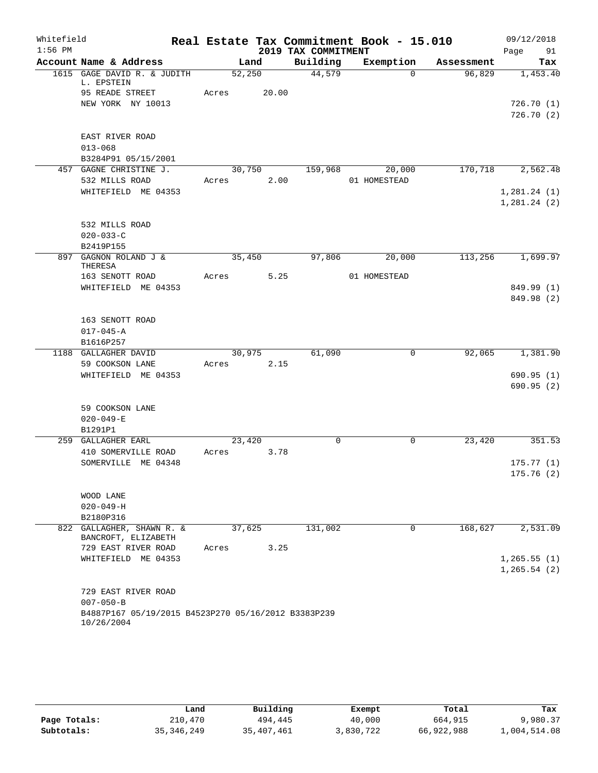| Whitefield |                                                     |        |       |                     | Real Estate Tax Commitment Book - 15.010 |            | 09/12/2018             |
|------------|-----------------------------------------------------|--------|-------|---------------------|------------------------------------------|------------|------------------------|
| $1:56$ PM  |                                                     |        |       | 2019 TAX COMMITMENT |                                          |            | 91<br>Page             |
|            | Account Name & Address                              |        | Land  | Building            | Exemption                                | Assessment | Tax                    |
|            | 1615 GAGE DAVID R. & JUDITH<br>L. EPSTEIN           | 52,250 |       | 44,579              | $\Omega$                                 | 96,829     | 1,453.40               |
|            | 95 READE STREET                                     | Acres  | 20.00 |                     |                                          |            |                        |
|            | NEW YORK NY 10013                                   |        |       |                     |                                          |            | 726.70(1)<br>726.70(2) |
|            |                                                     |        |       |                     |                                          |            |                        |
|            | EAST RIVER ROAD                                     |        |       |                     |                                          |            |                        |
|            | $013 - 068$                                         |        |       |                     |                                          |            |                        |
|            | B3284P91 05/15/2001                                 |        |       |                     |                                          |            |                        |
|            | 457 GAGNE CHRISTINE J.                              | 30,750 |       | 159,968             | 20,000                                   | 170, 718   | 2,562.48               |
|            | 532 MILLS ROAD                                      | Acres  | 2.00  |                     | 01 HOMESTEAD                             |            |                        |
|            | WHITEFIELD ME 04353                                 |        |       |                     |                                          |            | 1,281.24(1)            |
|            |                                                     |        |       |                     |                                          |            | 1,281.24(2)            |
|            |                                                     |        |       |                     |                                          |            |                        |
|            | 532 MILLS ROAD<br>$020 - 033 - C$                   |        |       |                     |                                          |            |                        |
|            | B2419P155                                           |        |       |                     |                                          |            |                        |
|            | 897 GAGNON ROLAND J &                               | 35,450 |       | 97,806              | 20,000                                   | 113,256    | 1,699.97               |
|            | THERESA                                             |        |       |                     |                                          |            |                        |
|            | 163 SENOTT ROAD                                     | Acres  | 5.25  |                     | 01 HOMESTEAD                             |            |                        |
|            | WHITEFIELD ME 04353                                 |        |       |                     |                                          |            | 849.99 (1)             |
|            |                                                     |        |       |                     |                                          |            | 849.98 (2)             |
|            | 163 SENOTT ROAD                                     |        |       |                     |                                          |            |                        |
|            | $017 - 045 - A$                                     |        |       |                     |                                          |            |                        |
|            | B1616P257                                           |        |       |                     |                                          |            |                        |
|            | 1188 GALLAGHER DAVID                                | 30,975 |       | 61,090              | $\mathbf 0$                              | 92,065     | 1,381.90               |
|            | 59 COOKSON LANE                                     | Acres  | 2.15  |                     |                                          |            |                        |
|            | WHITEFIELD ME 04353                                 |        |       |                     |                                          |            | 690.95(1)              |
|            |                                                     |        |       |                     |                                          |            | 690.95(2)              |
|            |                                                     |        |       |                     |                                          |            |                        |
|            | 59 COOKSON LANE<br>$020 - 049 - E$                  |        |       |                     |                                          |            |                        |
|            | B1291P1                                             |        |       |                     |                                          |            |                        |
|            | 259 GALLAGHER EARL                                  | 23,420 |       | $\mathbf 0$         | 0                                        | 23,420     | 351.53                 |
|            | 410 SOMERVILLE ROAD                                 | Acres  | 3.78  |                     |                                          |            |                        |
|            | SOMERVILLE ME 04348                                 |        |       |                     |                                          |            | 175.77(1)              |
|            |                                                     |        |       |                     |                                          |            | 175.76(2)              |
|            |                                                     |        |       |                     |                                          |            |                        |
|            | WOOD LANE                                           |        |       |                     |                                          |            |                        |
|            | $020 - 049 - H$                                     |        |       |                     |                                          |            |                        |
|            | B2180P316                                           |        |       |                     |                                          |            |                        |
|            | 822 GALLAGHER, SHAWN R. &<br>BANCROFT, ELIZABETH    | 37,625 |       | 131,002             | $\Omega$                                 | 168,627    | 2,531.09               |
|            | 729 EAST RIVER ROAD                                 | Acres  | 3.25  |                     |                                          |            |                        |
|            | WHITEFIELD ME 04353                                 |        |       |                     |                                          |            | 1, 265.55(1)           |
|            |                                                     |        |       |                     |                                          |            | 1, 265.54(2)           |
|            |                                                     |        |       |                     |                                          |            |                        |
|            | 729 EAST RIVER ROAD<br>$007 - 050 - B$              |        |       |                     |                                          |            |                        |
|            | B4887P167 05/19/2015 B4523P270 05/16/2012 B3383P239 |        |       |                     |                                          |            |                        |
|            | 10/26/2004                                          |        |       |                     |                                          |            |                        |

|              | Land         | Building   | Exempt    | Total      | Tax          |
|--------------|--------------|------------|-----------|------------|--------------|
| Page Totals: | 210,470      | 494,445    | 40,000    | 664,915    | 9,980.37     |
| Subtotals:   | 35, 346, 249 | 35,407,461 | 3,830,722 | 66,922,988 | 1,004,514.08 |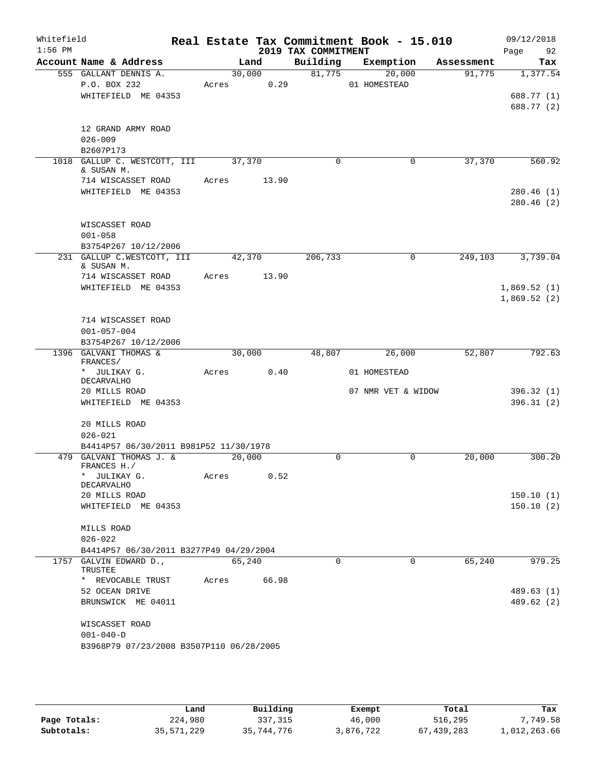| Whitefield<br>$1:56$ PM |                                                                 |                 |       | 2019 TAX COMMITMENT | Real Estate Tax Commitment Book - 15.010 |            | 09/12/2018<br>Page<br>92   |
|-------------------------|-----------------------------------------------------------------|-----------------|-------|---------------------|------------------------------------------|------------|----------------------------|
|                         | Account Name & Address                                          |                 | Land  | Building            | Exemption                                | Assessment | Tax                        |
|                         | 555 GALLANT DENNIS A.<br>P.O. BOX 232<br>WHITEFIELD ME 04353    | 30,000<br>Acres | 0.29  | 81,775              | 20,000<br>01 HOMESTEAD                   | 91,775     | 1,377.54<br>688.77 (1)     |
|                         |                                                                 |                 |       |                     |                                          |            | 688.77 (2)                 |
|                         | 12 GRAND ARMY ROAD<br>$026 - 009$<br>B2607P173                  |                 |       |                     |                                          |            |                            |
|                         | 1018 GALLUP C. WESTCOTT, III<br>& SUSAN M.                      | 37,370          |       | $\mathbf 0$         | $\Omega$                                 | 37,370     | 560.92                     |
|                         | 714 WISCASSET ROAD<br>WHITEFIELD ME 04353                       | Acres           | 13.90 |                     |                                          |            | 280.46(1)<br>280.46(2)     |
|                         | WISCASSET ROAD<br>$001 - 058$<br>B3754P267 10/12/2006           |                 |       |                     |                                          |            |                            |
|                         | 231 GALLUP C.WESTCOTT, III<br>& SUSAN M.                        | 42,370          |       | 206,733             | 0                                        | 249,103    | 3,739.04                   |
|                         | 714 WISCASSET ROAD                                              | Acres           | 13.90 |                     |                                          |            |                            |
|                         | WHITEFIELD ME 04353                                             |                 |       |                     |                                          |            | 1,869.52(1)<br>1,869.52(2) |
|                         | 714 WISCASSET ROAD<br>$001 - 057 - 004$                         |                 |       |                     |                                          |            |                            |
|                         | B3754P267 10/12/2006                                            |                 |       |                     |                                          |            |                            |
|                         | 1396 GALVANI THOMAS &<br>FRANCES/                               | 30,000          |       | 48,807              | 26,000                                   | 52,807     | 792.63                     |
|                         | * JULIKAY G.<br>DECARVALHO                                      | Acres           | 0.40  |                     | 01 HOMESTEAD                             |            |                            |
|                         | 20 MILLS ROAD<br>WHITEFIELD ME 04353                            |                 |       |                     | 07 NMR VET & WIDOW                       |            | 396.32(1)<br>396.31(2)     |
|                         | 20 MILLS ROAD<br>$026 - 021$                                    |                 |       |                     |                                          |            |                            |
|                         | B4414P57 06/30/2011 B981P52 11/30/1978                          |                 |       |                     |                                          |            |                            |
|                         | 479 GALVANI THOMAS J. &<br>FRANCES H./<br>$\star$<br>JULIKAY G. | 20,000<br>Acres | 0.52  | $\mathbf 0$         | 0                                        | 20,000     | 300.20                     |
|                         | DECARVALHO                                                      |                 |       |                     |                                          |            |                            |
|                         | 20 MILLS ROAD<br>WHITEFIELD ME 04353                            |                 |       |                     |                                          |            | 150.10(1)<br>150.10(2)     |
|                         | MILLS ROAD<br>$026 - 022$                                       |                 |       |                     |                                          |            |                            |
|                         | B4414P57 06/30/2011 B3277P49 04/29/2004                         |                 |       |                     |                                          |            |                            |
|                         | 1757 GALVIN EDWARD D.,<br>TRUSTEE                               | 65,240          |       | $\Omega$            | $\Omega$                                 | 65,240     | 979.25                     |
|                         | * REVOCABLE TRUST                                               | Acres           | 66.98 |                     |                                          |            |                            |
|                         | 52 OCEAN DRIVE<br>BRUNSWICK ME 04011                            |                 |       |                     |                                          |            | 489.63(1)<br>489.62 (2)    |
|                         | WISCASSET ROAD<br>$001 - 040 - D$                               |                 |       |                     |                                          |            |                            |
|                         | B3968P79 07/23/2008 B3507P110 06/28/2005                        |                 |       |                     |                                          |            |                            |

|              | Land         | Building   | Exempt    | Total      | Tax          |
|--------------|--------------|------------|-----------|------------|--------------|
| Page Totals: | 224,980      | 337,315    | 46,000    | 516,295    | 7.749.58     |
| Subtotals:   | 35, 571, 229 | 35,744,776 | 3,876,722 | 67,439,283 | 1,012,263.66 |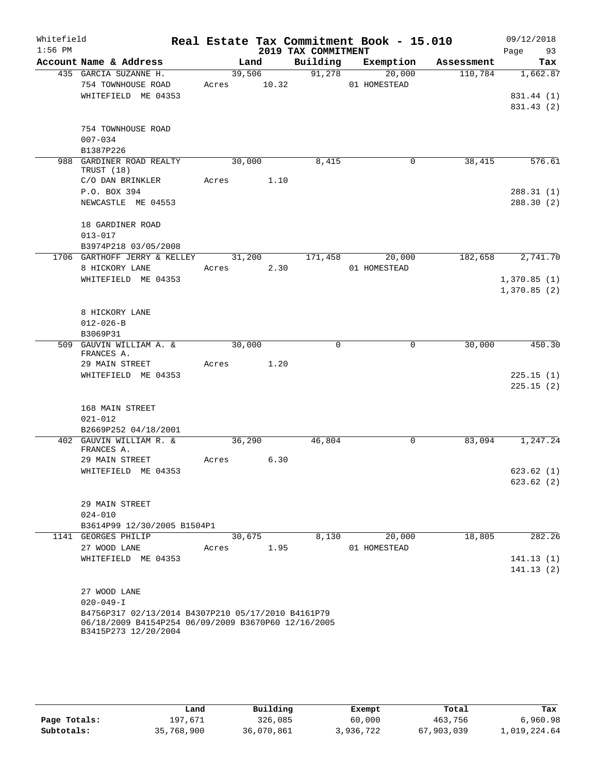| Whitefield<br>$1:56$ PM |                                                     |       |             | 2019 TAX COMMITMENT | Real Estate Tax Commitment Book - 15.010 |            | 09/12/2018<br>Page<br>93   |
|-------------------------|-----------------------------------------------------|-------|-------------|---------------------|------------------------------------------|------------|----------------------------|
|                         | Account Name & Address                              |       | Land        |                     | Building Exemption                       | Assessment | Tax                        |
|                         | 435 GARCIA SUZANNE H.                               |       | 39,506      | 91,278              | 20,000                                   | 110,784    | 1,662.87                   |
|                         | 754 TOWNHOUSE ROAD                                  |       | Acres 10.32 |                     | 01 HOMESTEAD                             |            |                            |
|                         | WHITEFIELD ME 04353                                 |       |             |                     |                                          |            | 831.44 (1)                 |
|                         |                                                     |       |             |                     |                                          |            | 831.43 (2)                 |
|                         | 754 TOWNHOUSE ROAD                                  |       |             |                     |                                          |            |                            |
|                         | $007 - 034$                                         |       |             |                     |                                          |            |                            |
|                         | B1387P226                                           |       |             |                     |                                          |            |                            |
|                         | 988 GARDINER ROAD REALTY<br>TRUST (18)              |       | 30,000      | 8,415               | $\mathbf 0$                              | 38,415     | 576.61                     |
|                         | C/O DAN BRINKLER                                    |       | Acres 1.10  |                     |                                          |            |                            |
|                         | P.O. BOX 394                                        |       |             |                     |                                          |            | 288.31(1)                  |
|                         | NEWCASTLE ME 04553                                  |       |             |                     |                                          |            | 288.30(2)                  |
|                         | 18 GARDINER ROAD                                    |       |             |                     |                                          |            |                            |
|                         | $013 - 017$                                         |       |             |                     |                                          |            |                            |
|                         | B3974P218 03/05/2008                                |       |             |                     |                                          |            |                            |
|                         | 1706 GARTHOFF JERRY & KELLEY                        |       |             | 31,200 171,458      | 20,000                                   | 182,658    | 2,741.70                   |
|                         | 8 HICKORY LANE                                      |       | Acres 2.30  |                     | 01 HOMESTEAD                             |            |                            |
|                         | WHITEFIELD ME 04353                                 |       |             |                     |                                          |            | 1,370.85(1)<br>1,370.85(2) |
|                         |                                                     |       |             |                     |                                          |            |                            |
|                         | 8 HICKORY LANE                                      |       |             |                     |                                          |            |                            |
|                         | $012 - 026 - B$                                     |       |             |                     |                                          |            |                            |
|                         | B3069P31                                            |       |             |                     |                                          |            |                            |
|                         | 509 GAUVIN WILLIAM A. &                             |       | 30,000      | $\Omega$            | $\Omega$                                 | 30,000     | 450.30                     |
|                         | FRANCES A.                                          |       |             |                     |                                          |            |                            |
|                         | 29 MAIN STREET                                      |       | Acres 1.20  |                     |                                          |            |                            |
|                         | WHITEFIELD ME 04353                                 |       |             |                     |                                          |            | 225.15(1)<br>225.15(2)     |
|                         |                                                     |       |             |                     |                                          |            |                            |
|                         | 168 MAIN STREET                                     |       |             |                     |                                          |            |                            |
|                         | $021 - 012$                                         |       |             |                     |                                          |            |                            |
|                         | B2669P252 04/18/2001                                |       |             |                     |                                          |            |                            |
|                         | 402 GAUVIN WILLIAM R. &<br>FRANCES A.               |       | 36,290      | 46,804              | $\mathbf 0$                              | 83,094     | 1,247.24                   |
|                         | 29 MAIN STREET                                      | Acres | 6.30        |                     |                                          |            |                            |
|                         | WHITEFIELD ME 04353                                 |       |             |                     |                                          |            | 623.62(1)                  |
|                         |                                                     |       |             |                     |                                          |            | 623.62(2)                  |
|                         |                                                     |       |             |                     |                                          |            |                            |
|                         | 29 MAIN STREET                                      |       |             |                     |                                          |            |                            |
|                         | $024 - 010$                                         |       |             |                     |                                          |            |                            |
|                         | B3614P99 12/30/2005 B1504P1                         |       |             |                     |                                          |            |                            |
|                         | 1141 GEORGES PHILIP                                 |       | 30,675      | 8,130               | 20,000                                   | 18,805     | 282.26                     |
|                         | 27 WOOD LANE                                        | Acres | 1.95        |                     | 01 HOMESTEAD                             |            | 141.13(1)                  |
|                         | WHITEFIELD ME 04353                                 |       |             |                     |                                          |            | 141.13(2)                  |
|                         |                                                     |       |             |                     |                                          |            |                            |
|                         | 27 WOOD LANE                                        |       |             |                     |                                          |            |                            |
|                         | $020 - 049 - I$                                     |       |             |                     |                                          |            |                            |
|                         | B4756P317 02/13/2014 B4307P210 05/17/2010 B4161P79  |       |             |                     |                                          |            |                            |
|                         | 06/18/2009 B4154P254 06/09/2009 B3670P60 12/16/2005 |       |             |                     |                                          |            |                            |
|                         | B3415P273 12/20/2004                                |       |             |                     |                                          |            |                            |

|              | Land       | Building   | Exempt    | Total      | Tax          |
|--------------|------------|------------|-----------|------------|--------------|
| Page Totals: | 197,671    | 326,085    | 60,000    | 463,756    | 6,960.98     |
| Subtotals:   | 35,768,900 | 36,070,861 | 3,936,722 | 67,903,039 | 1,019,224.64 |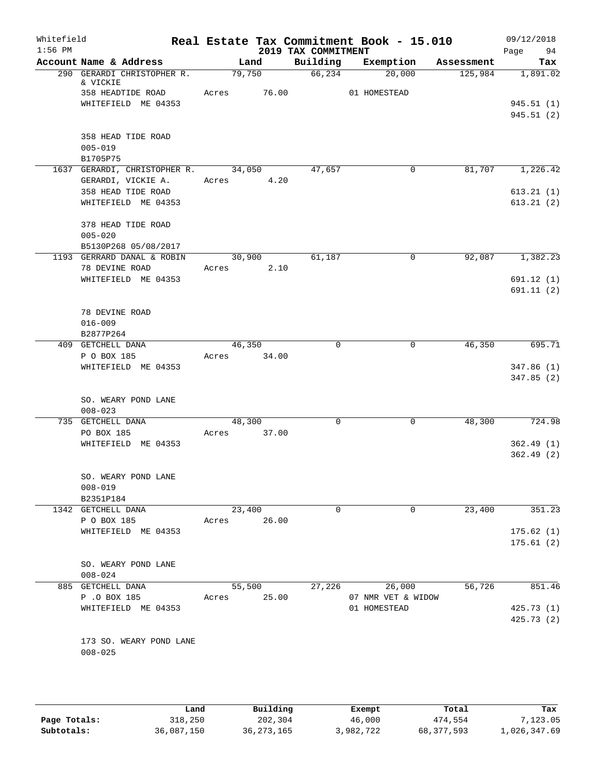| Whitefield<br>$1:56$ PM |                                                           | Real Estate Tax Commitment Book - 15.010 | 2019 TAX COMMITMENT |                              |            | 09/12/2018<br>Page<br>94 |
|-------------------------|-----------------------------------------------------------|------------------------------------------|---------------------|------------------------------|------------|--------------------------|
|                         | Account Name & Address                                    | Land                                     | Building            | Exemption                    | Assessment | Tax                      |
|                         | 290 GERARDI CHRISTOPHER R.<br>& VICKIE                    | 79,750                                   | 66, 234             | 20,000                       | 125,984    | 1,891.02                 |
|                         | 358 HEADTIDE ROAD<br>WHITEFIELD ME 04353                  | 76.00<br>Acres                           |                     | 01 HOMESTEAD                 |            | 945.51(1)<br>945.51(2)   |
|                         | 358 HEAD TIDE ROAD<br>$005 - 019$<br>B1705P75             |                                          |                     |                              |            |                          |
|                         | 1637 GERARDI, CHRISTOPHER R. 34,050<br>GERARDI, VICKIE A. | Acres 4.20                               | 47,657              | $\mathbf{0}$                 | 81,707     | 1,226.42                 |
|                         | 358 HEAD TIDE ROAD<br>WHITEFIELD ME 04353                 |                                          |                     |                              |            | 613.21(1)<br>613.21(2)   |
|                         | 378 HEAD TIDE ROAD<br>$005 - 020$<br>B5130P268 05/08/2017 |                                          |                     |                              |            |                          |
|                         | 1193 GERRARD DANAL & ROBIN<br>78 DEVINE ROAD              | 30,900<br>2.10<br>Acres                  | 61,187              | 0                            | 92,087     | 1,382.23                 |
|                         | WHITEFIELD ME 04353                                       |                                          |                     |                              |            | 691.12(1)<br>691.11(2)   |
|                         | 78 DEVINE ROAD<br>$016 - 009$<br>B2877P264                |                                          |                     |                              |            |                          |
|                         | 409 GETCHELL DANA<br>P O BOX 185                          | 46,350<br>Acres 34.00                    | $\Omega$            | $\mathbf 0$                  | 46,350     | 695.71                   |
|                         | WHITEFIELD ME 04353                                       |                                          |                     |                              |            | 347.86(1)<br>347.85(2)   |
|                         | SO. WEARY POND LANE<br>$008 - 023$                        |                                          |                     |                              |            |                          |
|                         | 735 GETCHELL DANA                                         | 48,300                                   | 0                   | 0                            | 48,300     | 724.98                   |
|                         | PO BOX 185<br>WHITEFIELD ME 04353                         | 37.00<br>Acres                           |                     |                              |            | 362.49(1)<br>362.49(2)   |
|                         | SO. WEARY POND LANE<br>$008 - 019$                        |                                          |                     |                              |            |                          |
|                         | B2351P184<br>1342 GETCHELL DANA                           | 23,400                                   | 0                   | 0                            | 23,400     | 351.23                   |
|                         | P O BOX 185                                               | 26.00<br>Acres                           |                     |                              |            |                          |
|                         | WHITEFIELD ME 04353                                       |                                          |                     |                              |            | 175.62(1)<br>175.61(2)   |
|                         | SO. WEARY POND LANE<br>$008 - 024$                        |                                          |                     |                              |            |                          |
|                         | 885 GETCHELL DANA<br>P .O BOX 185                         | 55,500<br>25.00<br>Acres                 | 27,226              | 26,000<br>07 NMR VET & WIDOW | 56,726     | 851.46                   |
|                         | WHITEFIELD ME 04353                                       |                                          |                     | 01 HOMESTEAD                 |            | 425.73(1)<br>425.73 (2)  |
|                         | 173 SO. WEARY POND LANE<br>$008 - 025$                    |                                          |                     |                              |            |                          |

|              | Land       | Building     | Exempt    | Total      | Tax          |
|--------------|------------|--------------|-----------|------------|--------------|
| Page Totals: | 318,250    | 202,304      | 46,000    | 474,554    | 7,123.05     |
| Subtotals:   | 36,087,150 | 36, 273, 165 | 3,982,722 | 68,377,593 | 1,026,347.69 |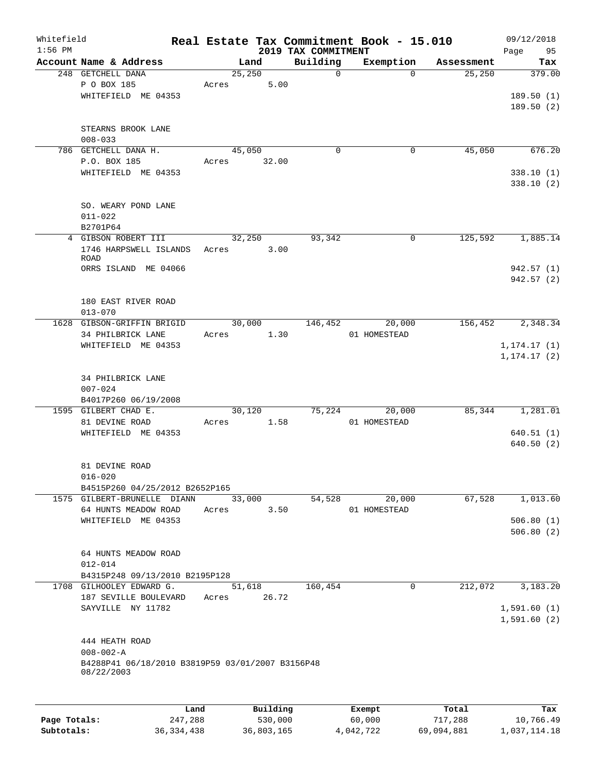| Whitefield   |                                                  |        |          |                                 | Real Estate Tax Commitment Book - 15.010 |            | 09/12/2018        |
|--------------|--------------------------------------------------|--------|----------|---------------------------------|------------------------------------------|------------|-------------------|
| $1:56$ PM    | Account Name & Address                           | Land   |          | 2019 TAX COMMITMENT<br>Building | Exemption                                | Assessment | Page<br>95<br>Tax |
|              | 248 GETCHELL DANA                                | 25,250 |          | $\mathbf 0$                     | $\Omega$                                 | 25,250     | 379.00            |
|              | P O BOX 185                                      | Acres  | 5.00     |                                 |                                          |            |                   |
|              | WHITEFIELD ME 04353                              |        |          |                                 |                                          |            | 189.50(1)         |
|              |                                                  |        |          |                                 |                                          |            | 189.50(2)         |
|              |                                                  |        |          |                                 |                                          |            |                   |
|              | STEARNS BROOK LANE                               |        |          |                                 |                                          |            |                   |
|              | $008 - 033$                                      |        |          |                                 |                                          |            |                   |
|              | 786 GETCHELL DANA H.                             | 45,050 |          | 0                               | $\mathbf 0$                              | 45,050     | 676.20            |
|              | P.O. BOX 185                                     | Acres  | 32.00    |                                 |                                          |            |                   |
|              | WHITEFIELD ME 04353                              |        |          |                                 |                                          |            | 338.10(1)         |
|              |                                                  |        |          |                                 |                                          |            | 338.10(2)         |
|              |                                                  |        |          |                                 |                                          |            |                   |
|              | SO. WEARY POND LANE                              |        |          |                                 |                                          |            |                   |
|              | $011 - 022$                                      |        |          |                                 |                                          |            |                   |
|              | B2701P64                                         |        |          |                                 |                                          |            |                   |
|              | 4 GIBSON ROBERT III                              | 32,250 |          | 93,342                          | $\mathbf 0$                              | 125,592    | 1,885.14          |
|              | 1746 HARPSWELL ISLANDS                           | Acres  | 3.00     |                                 |                                          |            |                   |
|              | <b>ROAD</b>                                      |        |          |                                 |                                          |            |                   |
|              | ORRS ISLAND ME 04066                             |        |          |                                 |                                          |            | 942.57 (1)        |
|              |                                                  |        |          |                                 |                                          |            | 942.57 (2)        |
|              |                                                  |        |          |                                 |                                          |            |                   |
|              | 180 EAST RIVER ROAD                              |        |          |                                 |                                          |            |                   |
|              | $013 - 070$                                      |        |          |                                 |                                          |            |                   |
|              | 1628 GIBSON-GRIFFIN BRIGID                       | 30,000 |          | 146,452                         | 20,000                                   | 156,452    | 2,348.34          |
|              | 34 PHILBRICK LANE                                | Acres  | 1.30     |                                 | 01 HOMESTEAD                             |            |                   |
|              | WHITEFIELD ME 04353                              |        |          |                                 |                                          |            | 1, 174.17(1)      |
|              |                                                  |        |          |                                 |                                          |            | 1, 174.17(2)      |
|              |                                                  |        |          |                                 |                                          |            |                   |
|              | 34 PHILBRICK LANE                                |        |          |                                 |                                          |            |                   |
|              | $007 - 024$                                      |        |          |                                 |                                          |            |                   |
|              | B4017P260 06/19/2008<br>1595 GILBERT CHAD E.     | 30,120 |          | 75,224                          | 20,000                                   | 85,344     | 1,281.01          |
|              | 81 DEVINE ROAD                                   | Acres  | 1.58     |                                 | 01 HOMESTEAD                             |            |                   |
|              | WHITEFIELD ME 04353                              |        |          |                                 |                                          |            | 640.51(1)         |
|              |                                                  |        |          |                                 |                                          |            | 640.50(2)         |
|              |                                                  |        |          |                                 |                                          |            |                   |
|              | 81 DEVINE ROAD                                   |        |          |                                 |                                          |            |                   |
|              | $016 - 020$                                      |        |          |                                 |                                          |            |                   |
|              | B4515P260 04/25/2012 B2652P165                   |        |          |                                 |                                          |            |                   |
|              | 1575 GILBERT-BRUNELLE DIANN                      | 33,000 |          | 54,528                          | 20,000                                   | 67,528     | 1,013.60          |
|              | 64 HUNTS MEADOW ROAD                             | Acres  | 3.50     |                                 | 01 HOMESTEAD                             |            |                   |
|              | WHITEFIELD ME 04353                              |        |          |                                 |                                          |            | 506.80(1)         |
|              |                                                  |        |          |                                 |                                          |            | 506.80(2)         |
|              |                                                  |        |          |                                 |                                          |            |                   |
|              | 64 HUNTS MEADOW ROAD                             |        |          |                                 |                                          |            |                   |
|              | $012 - 014$                                      |        |          |                                 |                                          |            |                   |
|              | B4315P248 09/13/2010 B2195P128                   |        |          |                                 |                                          |            |                   |
|              | 1708 GILHOOLEY EDWARD G.                         | 51,618 |          | 160, 454                        | $\mathbf 0$                              | 212,072    | 3,183.20          |
|              | 187 SEVILLE BOULEVARD                            | Acres  | 26.72    |                                 |                                          |            |                   |
|              | SAYVILLE NY 11782                                |        |          |                                 |                                          |            | 1,591.60(1)       |
|              |                                                  |        |          |                                 |                                          |            | 1,591.60(2)       |
|              |                                                  |        |          |                                 |                                          |            |                   |
|              | 444 HEATH ROAD                                   |        |          |                                 |                                          |            |                   |
|              | $008 - 002 - A$                                  |        |          |                                 |                                          |            |                   |
|              | B4288P41 06/18/2010 B3819P59 03/01/2007 B3156P48 |        |          |                                 |                                          |            |                   |
|              | 08/22/2003                                       |        |          |                                 |                                          |            |                   |
|              |                                                  |        |          |                                 |                                          |            |                   |
|              |                                                  |        |          |                                 |                                          |            |                   |
|              | Land                                             |        | Building |                                 | Exempt                                   | Total      | Tax               |
| Page Totals: | 247,288                                          |        | 530,000  |                                 | 60,000                                   | 717,288    | 10,766.49         |

**Subtotals:** 36,334,438 36,803,165 4,042,722 69,094,881 1,037,114.18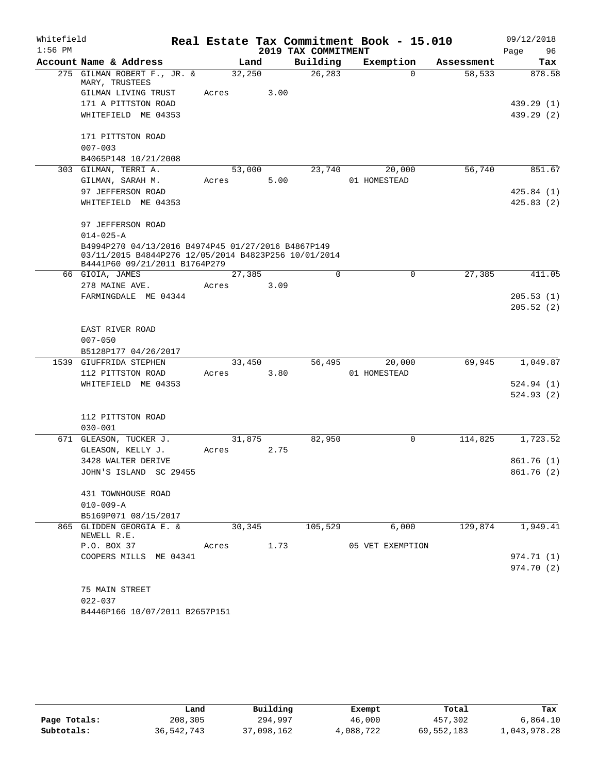| Whitefield |                                                                                                            |        |      |                     | Real Estate Tax Commitment Book - 15.010 |            | 09/12/2018 |  |  |
|------------|------------------------------------------------------------------------------------------------------------|--------|------|---------------------|------------------------------------------|------------|------------|--|--|
| $1:56$ PM  |                                                                                                            |        |      | 2019 TAX COMMITMENT |                                          |            | 96<br>Page |  |  |
|            | Account Name & Address                                                                                     | Land   |      | Building            | Exemption                                | Assessment | Tax        |  |  |
|            | 275 GILMAN ROBERT F., JR. &<br>MARY, TRUSTEES                                                              | 32,250 |      | 26, 283             | $\Omega$                                 | 58,533     | 878.58     |  |  |
|            | GILMAN LIVING TRUST                                                                                        | Acres  | 3.00 |                     |                                          |            |            |  |  |
|            | 171 A PITTSTON ROAD                                                                                        |        |      |                     |                                          |            | 439.29 (1) |  |  |
|            | WHITEFIELD ME 04353                                                                                        |        |      |                     |                                          |            | 439.29 (2) |  |  |
|            |                                                                                                            |        |      |                     |                                          |            |            |  |  |
|            | 171 PITTSTON ROAD                                                                                          |        |      |                     |                                          |            |            |  |  |
|            | $007 - 003$                                                                                                |        |      |                     |                                          |            |            |  |  |
|            | B4065P148 10/21/2008                                                                                       |        |      |                     |                                          |            |            |  |  |
|            | 303 GILMAN, TERRI A.                                                                                       | 53,000 |      | 23,740              | 20,000                                   | 56,740     | 851.67     |  |  |
|            | GILMAN, SARAH M.                                                                                           | Acres  | 5.00 |                     | 01 HOMESTEAD                             |            |            |  |  |
|            | 97 JEFFERSON ROAD                                                                                          |        |      |                     |                                          |            | 425.84(1)  |  |  |
|            | WHITEFIELD ME 04353                                                                                        |        |      |                     |                                          |            | 425.83(2)  |  |  |
|            | 97 JEFFERSON ROAD                                                                                          |        |      |                     |                                          |            |            |  |  |
|            | $014 - 025 - A$                                                                                            |        |      |                     |                                          |            |            |  |  |
|            | B4994P270 04/13/2016 B4974P45 01/27/2016 B4867P149<br>03/11/2015 B4844P276 12/05/2014 B4823P256 10/01/2014 |        |      |                     |                                          |            |            |  |  |
|            |                                                                                                            |        |      |                     |                                          |            |            |  |  |
|            | B4441P60 09/21/2011 B1764P279<br>66 GIOIA, JAMES                                                           | 27,385 |      | $\Omega$            | 0                                        | 27,385     | 411.05     |  |  |
|            | 278 MAINE AVE.                                                                                             | Acres  | 3.09 |                     |                                          |            |            |  |  |
|            | FARMINGDALE ME 04344                                                                                       |        |      |                     |                                          |            | 205.53(1)  |  |  |
|            |                                                                                                            |        |      |                     |                                          |            | 205.52(2)  |  |  |
|            |                                                                                                            |        |      |                     |                                          |            |            |  |  |
|            | EAST RIVER ROAD                                                                                            |        |      |                     |                                          |            |            |  |  |
|            | $007 - 050$                                                                                                |        |      |                     |                                          |            |            |  |  |
|            | B5128P177 04/26/2017                                                                                       |        |      |                     |                                          |            |            |  |  |
|            | 1539 GIUFFRIDA STEPHEN                                                                                     | 33,450 |      | 56,495              | 20,000                                   | 69,945     | 1,049.87   |  |  |
|            | 112 PITTSTON ROAD                                                                                          | Acres  | 3.80 |                     | 01 HOMESTEAD                             |            |            |  |  |
|            | WHITEFIELD ME 04353                                                                                        |        |      |                     |                                          |            | 524.94(1)  |  |  |
|            |                                                                                                            |        |      |                     |                                          |            | 524.93 (2) |  |  |
|            |                                                                                                            |        |      |                     |                                          |            |            |  |  |
|            | 112 PITTSTON ROAD                                                                                          |        |      |                     |                                          |            |            |  |  |
|            | $030 - 001$                                                                                                |        |      |                     |                                          |            |            |  |  |
|            | 671 GLEASON, TUCKER J.                                                                                     | 31,875 |      | 82,950              | 0                                        | 114,825    | 1,723.52   |  |  |
|            | GLEASON, KELLY J.                                                                                          | Acres  | 2.75 |                     |                                          |            |            |  |  |
|            | 3428 WALTER DERIVE                                                                                         |        |      |                     |                                          |            | 861.76 (1) |  |  |
|            | JOHN'S ISLAND SC 29455                                                                                     |        |      |                     |                                          |            | 861.76 (2) |  |  |
|            | 431 TOWNHOUSE ROAD                                                                                         |        |      |                     |                                          |            |            |  |  |
|            | $010 - 009 - A$                                                                                            |        |      |                     |                                          |            |            |  |  |
|            | B5169P071 08/15/2017                                                                                       |        |      |                     |                                          |            |            |  |  |
|            | 865 GLIDDEN GEORGIA E. &                                                                                   | 30,345 |      | 105,529             | 6,000                                    | 129,874    | 1,949.41   |  |  |
|            | NEWELL R.E.                                                                                                |        |      |                     |                                          |            |            |  |  |
|            | P.O. BOX 37                                                                                                | Acres  | 1.73 |                     | 05 VET EXEMPTION                         |            |            |  |  |
|            | COOPERS MILLS ME 04341                                                                                     |        |      |                     |                                          |            | 974.71 (1) |  |  |
|            |                                                                                                            |        |      |                     |                                          |            | 974.70 (2) |  |  |
|            |                                                                                                            |        |      |                     |                                          |            |            |  |  |
|            | 75 MAIN STREET                                                                                             |        |      |                     |                                          |            |            |  |  |
|            | $022 - 037$                                                                                                |        |      |                     |                                          |            |            |  |  |
|            | B4446P166 10/07/2011 B2657P151                                                                             |        |      |                     |                                          |            |            |  |  |

|              | Land       | Building   | Exempt    | Total      | Tax          |
|--------------|------------|------------|-----------|------------|--------------|
| Page Totals: | 208,305    | 294,997    | 46,000    | 457,302    | 6,864.10     |
| Subtotals:   | 36,542,743 | 37,098,162 | 4,088,722 | 69,552,183 | 1,043,978.28 |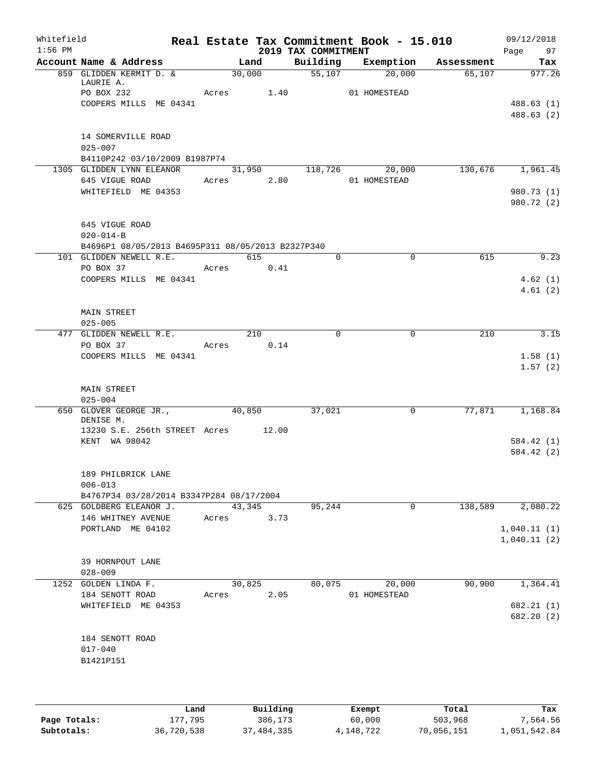|                            |                                                           |                             |                                               |                                                                  | Whitefield<br>$1:56$ PM                                                                                                                                                                                                                                                                                                                                                                                                                                                                                                                                                                                                                                                                                                                                                                                                                                                                                                                                                                                                                                                               |
|----------------------------|-----------------------------------------------------------|-----------------------------|-----------------------------------------------|------------------------------------------------------------------|---------------------------------------------------------------------------------------------------------------------------------------------------------------------------------------------------------------------------------------------------------------------------------------------------------------------------------------------------------------------------------------------------------------------------------------------------------------------------------------------------------------------------------------------------------------------------------------------------------------------------------------------------------------------------------------------------------------------------------------------------------------------------------------------------------------------------------------------------------------------------------------------------------------------------------------------------------------------------------------------------------------------------------------------------------------------------------------|
|                            |                                                           |                             | Land                                          |                                                                  |                                                                                                                                                                                                                                                                                                                                                                                                                                                                                                                                                                                                                                                                                                                                                                                                                                                                                                                                                                                                                                                                                       |
|                            | 20,000<br>01 HOMESTEAD                                    |                             | 30,000                                        |                                                                  |                                                                                                                                                                                                                                                                                                                                                                                                                                                                                                                                                                                                                                                                                                                                                                                                                                                                                                                                                                                                                                                                                       |
|                            |                                                           |                             |                                               |                                                                  |                                                                                                                                                                                                                                                                                                                                                                                                                                                                                                                                                                                                                                                                                                                                                                                                                                                                                                                                                                                                                                                                                       |
|                            | 20,000                                                    |                             | 31,950                                        |                                                                  |                                                                                                                                                                                                                                                                                                                                                                                                                                                                                                                                                                                                                                                                                                                                                                                                                                                                                                                                                                                                                                                                                       |
|                            |                                                           |                             |                                               |                                                                  |                                                                                                                                                                                                                                                                                                                                                                                                                                                                                                                                                                                                                                                                                                                                                                                                                                                                                                                                                                                                                                                                                       |
|                            |                                                           |                             |                                               |                                                                  |                                                                                                                                                                                                                                                                                                                                                                                                                                                                                                                                                                                                                                                                                                                                                                                                                                                                                                                                                                                                                                                                                       |
| 615                        | $\mathbf 0$                                               | $\Omega$                    | 615                                           |                                                                  |                                                                                                                                                                                                                                                                                                                                                                                                                                                                                                                                                                                                                                                                                                                                                                                                                                                                                                                                                                                                                                                                                       |
|                            |                                                           |                             |                                               |                                                                  |                                                                                                                                                                                                                                                                                                                                                                                                                                                                                                                                                                                                                                                                                                                                                                                                                                                                                                                                                                                                                                                                                       |
|                            |                                                           |                             |                                               |                                                                  |                                                                                                                                                                                                                                                                                                                                                                                                                                                                                                                                                                                                                                                                                                                                                                                                                                                                                                                                                                                                                                                                                       |
|                            |                                                           |                             |                                               |                                                                  |                                                                                                                                                                                                                                                                                                                                                                                                                                                                                                                                                                                                                                                                                                                                                                                                                                                                                                                                                                                                                                                                                       |
|                            |                                                           |                             |                                               |                                                                  |                                                                                                                                                                                                                                                                                                                                                                                                                                                                                                                                                                                                                                                                                                                                                                                                                                                                                                                                                                                                                                                                                       |
|                            |                                                           |                             |                                               |                                                                  |                                                                                                                                                                                                                                                                                                                                                                                                                                                                                                                                                                                                                                                                                                                                                                                                                                                                                                                                                                                                                                                                                       |
|                            | $\mathsf{O}$                                              | 37,021                      | 40,850                                        |                                                                  |                                                                                                                                                                                                                                                                                                                                                                                                                                                                                                                                                                                                                                                                                                                                                                                                                                                                                                                                                                                                                                                                                       |
|                            |                                                           |                             |                                               |                                                                  |                                                                                                                                                                                                                                                                                                                                                                                                                                                                                                                                                                                                                                                                                                                                                                                                                                                                                                                                                                                                                                                                                       |
|                            |                                                           |                             |                                               |                                                                  |                                                                                                                                                                                                                                                                                                                                                                                                                                                                                                                                                                                                                                                                                                                                                                                                                                                                                                                                                                                                                                                                                       |
| 138,589                    | 0                                                         | 95,244                      | 43,345                                        |                                                                  |                                                                                                                                                                                                                                                                                                                                                                                                                                                                                                                                                                                                                                                                                                                                                                                                                                                                                                                                                                                                                                                                                       |
|                            |                                                           |                             | 3.73                                          |                                                                  |                                                                                                                                                                                                                                                                                                                                                                                                                                                                                                                                                                                                                                                                                                                                                                                                                                                                                                                                                                                                                                                                                       |
|                            |                                                           |                             |                                               |                                                                  |                                                                                                                                                                                                                                                                                                                                                                                                                                                                                                                                                                                                                                                                                                                                                                                                                                                                                                                                                                                                                                                                                       |
| 90,900                     | 20,000                                                    | 80,075                      | 30,825                                        |                                                                  |                                                                                                                                                                                                                                                                                                                                                                                                                                                                                                                                                                                                                                                                                                                                                                                                                                                                                                                                                                                                                                                                                       |
|                            |                                                           |                             |                                               |                                                                  |                                                                                                                                                                                                                                                                                                                                                                                                                                                                                                                                                                                                                                                                                                                                                                                                                                                                                                                                                                                                                                                                                       |
|                            |                                                           |                             |                                               |                                                                  |                                                                                                                                                                                                                                                                                                                                                                                                                                                                                                                                                                                                                                                                                                                                                                                                                                                                                                                                                                                                                                                                                       |
| 1,040.11(1)<br>1,040.11(2) | Assessment<br>65,107<br>130,676 1,961.45<br>210<br>77,871 | $\mathbf 0$<br>01 HOMESTEAD | 55,107<br>118,726<br>01 HOMESTEAD<br>$\Omega$ | 2019 TAX COMMITMENT<br>Building Exemption<br>210<br>0.14<br>2.05 | Real Estate Tax Commitment Book - 15.010<br>Account Name & Address<br>859 GLIDDEN KERMIT D. &<br>LAURIE A.<br>PO BOX 232<br>Acres 1.40<br>COOPERS MILLS ME 04341<br>14 SOMERVILLE ROAD<br>$025 - 007$<br>B4110P242 03/10/2009 B1987P74<br>1305 GLIDDEN LYNN ELEANOR<br>645 VIGUE ROAD<br>Acres 2.80<br>WHITEFIELD ME 04353<br>645 VIGUE ROAD<br>$020 - 014 - B$<br>B4696P1 08/05/2013 B4695P311 08/05/2013 B2327P340<br>101 GLIDDEN NEWELL R.E.<br>PO BOX 37<br>Acres 0.41<br>COOPERS MILLS ME 04341<br><b>MAIN STREET</b><br>$025 - 005$<br>477 GLIDDEN NEWELL R.E.<br>PO BOX 37<br>Acres<br>COOPERS MILLS ME 04341<br><b>MAIN STREET</b><br>$025 - 004$<br>650 GLOVER GEORGE JR.,<br>DENISE M.<br>13230 S.E. 256th STREET Acres 12.00<br>KENT WA 98042<br>189 PHILBRICK LANE<br>$006 - 013$<br>B4767P34 03/28/2014 B3347P284 08/17/2004<br>625 GOLDBERG ELEANOR J.<br>146 WHITNEY AVENUE<br>Acres<br>PORTLAND ME 04102<br>39 HORNPOUT LANE<br>$028 - 009$<br>1252 GOLDEN LINDA F.<br>184 SENOTT ROAD<br>Acres<br>WHITEFIELD ME 04353<br>184 SENOTT ROAD<br>$017 - 040$<br>B1421P151 |

|              | Land       | Building     | Exempt    | Total      | Tax          |
|--------------|------------|--------------|-----------|------------|--------------|
| Page Totals: | 177,795    | 386,173      | 60,000    | 503,968    | 7.564.56     |
| Subtotals:   | 36,720,538 | 37, 484, 335 | 4,148,722 | 70,056,151 | 1,051,542.84 |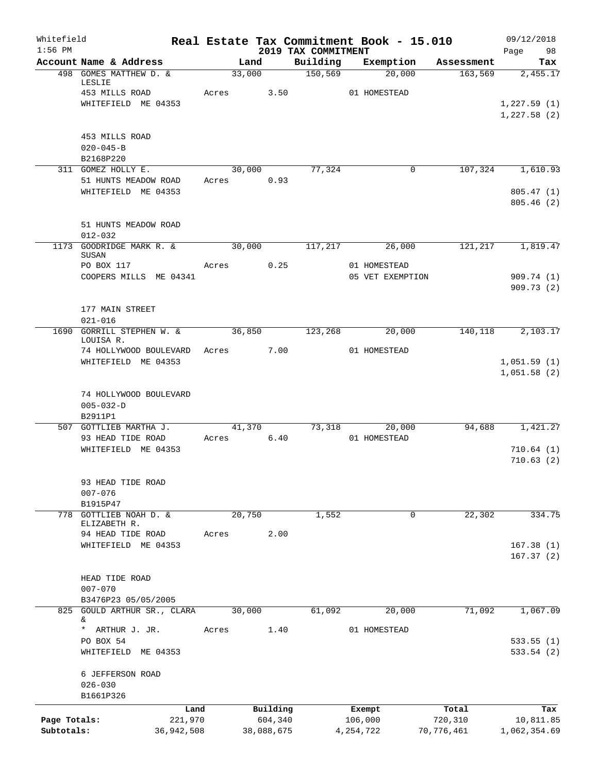| Whitefield<br>$1:56$ PM |                                              |              |        |            | 2019 TAX COMMITMENT | Real Estate Tax Commitment Book - 15.010 |            | 09/12/2018<br>Page<br>98 |
|-------------------------|----------------------------------------------|--------------|--------|------------|---------------------|------------------------------------------|------------|--------------------------|
|                         | Account Name & Address                       |              | Land   |            | Building            | Exemption                                | Assessment | Tax                      |
|                         | 498 GOMES MATTHEW D. &                       |              | 33,000 |            | 150, 569            | 20,000                                   | 163,569    | 2,455.17                 |
|                         | LESLIE<br>453 MILLS ROAD                     | Acres        |        | 3.50       |                     | 01 HOMESTEAD                             |            |                          |
|                         | WHITEFIELD ME 04353                          |              |        |            |                     |                                          |            | 1,227.59(1)              |
|                         |                                              |              |        |            |                     |                                          |            | 1,227.58(2)              |
|                         | 453 MILLS ROAD                               |              |        |            |                     |                                          |            |                          |
|                         | $020 - 045 - B$                              |              |        |            |                     |                                          |            |                          |
|                         | B2168P220<br>311 GOMEZ HOLLY E.              |              | 30,000 |            | 77,324              | 0                                        | 107,324    | 1,610.93                 |
|                         | 51 HUNTS MEADOW ROAD                         |              | Acres  | 0.93       |                     |                                          |            |                          |
|                         | WHITEFIELD ME 04353                          |              |        |            |                     |                                          |            | 805.47(1)                |
|                         |                                              |              |        |            |                     |                                          |            | 805.46(2)                |
|                         | 51 HUNTS MEADOW ROAD                         |              |        |            |                     |                                          |            |                          |
|                         | $012 - 032$                                  |              |        |            |                     |                                          |            |                          |
|                         | 1173 GOODRIDGE MARK R. &<br>SUSAN            |              | 30,000 |            | 117,217             | 26,000                                   | 121,217    | 1,819.47                 |
|                         | PO BOX 117                                   | Acres        |        | 0.25       |                     | 01 HOMESTEAD                             |            |                          |
|                         | COOPERS MILLS ME 04341                       |              |        |            |                     | 05 VET EXEMPTION                         |            | 909.74 (1)               |
|                         |                                              |              |        |            |                     |                                          |            | 909.73(2)                |
|                         | 177 MAIN STREET                              |              |        |            |                     |                                          |            |                          |
|                         | $021 - 016$                                  |              |        |            |                     |                                          |            |                          |
| 1690                    | <b>GORRILL STEPHEN W. &amp;</b><br>LOUISA R. |              | 36,850 |            | 123,268             | 20,000                                   | 140,118    | 2,103.17                 |
|                         | 74 HOLLYWOOD BOULEVARD                       |              | Acres  | 7.00       |                     | 01 HOMESTEAD                             |            |                          |
|                         | WHITEFIELD ME 04353                          |              |        |            |                     |                                          |            | 1,051.59(1)              |
|                         |                                              |              |        |            |                     |                                          |            | 1,051.58(2)              |
|                         | 74 HOLLYWOOD BOULEVARD                       |              |        |            |                     |                                          |            |                          |
|                         | $005 - 032 - D$                              |              |        |            |                     |                                          |            |                          |
|                         | B2911P1<br>507 GOTTLIEB MARTHA J.            |              | 41,370 |            | 73,318              | 20,000                                   | 94,688     | 1,421.27                 |
|                         | 93 HEAD TIDE ROAD                            | Acres        |        | 6.40       |                     | 01 HOMESTEAD                             |            |                          |
|                         | WHITEFIELD ME 04353                          |              |        |            |                     |                                          |            | 710.64(1)                |
|                         |                                              |              |        |            |                     |                                          |            | 710.63(2)                |
|                         | 93 HEAD TIDE ROAD                            |              |        |            |                     |                                          |            |                          |
|                         | $007 - 076$                                  |              |        |            |                     |                                          |            |                          |
| 778                     | B1915P47<br>GOTTLIEB NOAH D. &               |              |        |            |                     | 0                                        | 22, 302    | 334.75                   |
|                         | ELIZABETH R.                                 |              | 20,750 |            | 1,552               |                                          |            |                          |
|                         | 94 HEAD TIDE ROAD                            | Acres        |        | 2.00       |                     |                                          |            |                          |
|                         | WHITEFIELD ME 04353                          |              |        |            |                     |                                          |            | 167.38(1)<br>167.37(2)   |
|                         |                                              |              |        |            |                     |                                          |            |                          |
|                         | HEAD TIDE ROAD                               |              |        |            |                     |                                          |            |                          |
|                         | $007 - 070$<br>B3476P23 05/05/2005           |              |        |            |                     |                                          |            |                          |
| 825                     | GOULD ARTHUR SR., CLARA                      |              | 30,000 |            | 61,092              | 20,000                                   | 71,092     | 1,067.09                 |
|                         | &<br>$\star$                                 |              |        |            |                     |                                          |            |                          |
|                         | ARTHUR J. JR.<br>PO BOX 54                   | Acres        |        | 1.40       |                     | 01 HOMESTEAD                             |            | 533.55(1)                |
|                         | WHITEFIELD ME 04353                          |              |        |            |                     |                                          |            | 533.54(2)                |
|                         |                                              |              |        |            |                     |                                          |            |                          |
|                         | 6 JEFFERSON ROAD<br>$026 - 030$              |              |        |            |                     |                                          |            |                          |
|                         | B1661P326                                    |              |        |            |                     |                                          |            |                          |
|                         |                                              | Land         |        | Building   |                     | Exempt                                   | Total      | Tax                      |
| Page Totals:            |                                              | 221,970      |        | 604,340    |                     | 106,000                                  | 720,310    | 10,811.85                |
| Subtotals:              |                                              | 36, 942, 508 |        | 38,088,675 |                     | 4,254,722                                | 70,776,461 | 1,062,354.69             |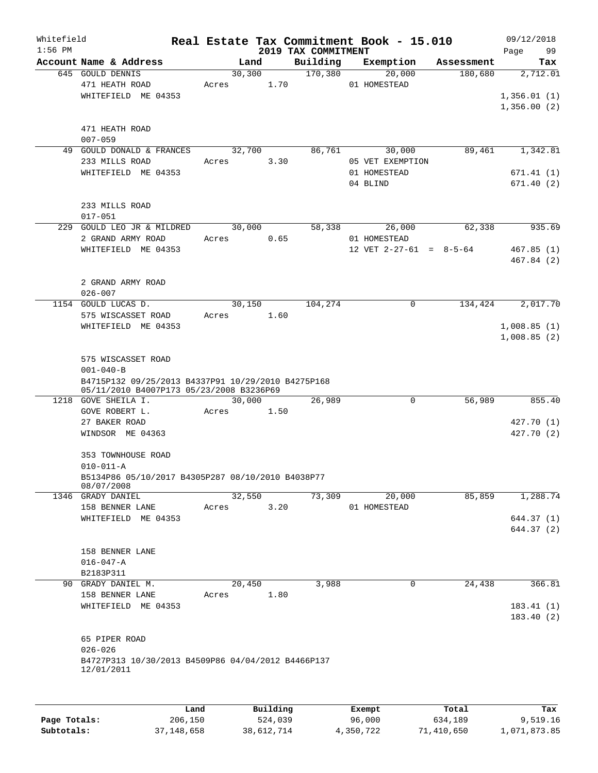| Whitefield<br>$1:56$ PM |                                                                                                |       |                       |          |                                 |  | Real Estate Tax Commitment Book - 15.010 |            | 09/12/2018                 |
|-------------------------|------------------------------------------------------------------------------------------------|-------|-----------------------|----------|---------------------------------|--|------------------------------------------|------------|----------------------------|
|                         | Account Name & Address                                                                         |       | Land                  |          | 2019 TAX COMMITMENT<br>Building |  | Exemption                                | Assessment | 99<br>Page<br>Tax          |
|                         | 645 GOULD DENNIS<br>471 HEATH ROAD                                                             |       | 30, 300<br>Acres 1.70 |          | 170,380                         |  | 20,000<br>01 HOMESTEAD                   | 180,680    | 2,712.01                   |
|                         | WHITEFIELD ME 04353                                                                            |       |                       |          |                                 |  |                                          |            | 1,356.01(1)<br>1,356.00(2) |
|                         | 471 HEATH ROAD<br>$007 - 059$                                                                  |       |                       |          |                                 |  |                                          |            |                            |
|                         | 49 GOULD DONALD & FRANCES<br>233 MILLS ROAD                                                    |       | 32,700<br>Acres 3.30  |          | 86,761                          |  | 30,000<br>05 VET EXEMPTION               | 89,461     | 1,342.81                   |
|                         | WHITEFIELD ME 04353                                                                            |       |                       |          |                                 |  | 01 HOMESTEAD<br>04 BLIND                 |            | 671.41(1)<br>671.40(2)     |
|                         | 233 MILLS ROAD<br>$017 - 051$                                                                  |       |                       |          |                                 |  |                                          |            |                            |
|                         | 229 GOULD LEO JR & MILDRED<br>2 GRAND ARMY ROAD                                                |       | 30,000<br>Acres       | 0.65     | 58,338                          |  | 26,000<br>01 HOMESTEAD                   | 62,338     | 935.69                     |
|                         | WHITEFIELD ME 04353                                                                            |       |                       |          |                                 |  | 12 VET $2-27-61 = 8-5-64$                |            | 467.85(1)<br>467.84 (2)    |
|                         | 2 GRAND ARMY ROAD<br>$026 - 007$                                                               |       |                       |          |                                 |  |                                          |            |                            |
|                         | 1154 GOULD LUCAS D.<br>575 WISCASSET ROAD                                                      |       | 30,150<br>Acres 1.60  |          | 104,274                         |  | 0                                        | 134,424    | 2,017.70                   |
|                         | WHITEFIELD ME 04353                                                                            |       |                       |          |                                 |  |                                          |            | 1,008.85(1)<br>1,008.85(2) |
|                         | 575 WISCASSET ROAD<br>$001 - 040 - B$                                                          |       |                       |          |                                 |  |                                          |            |                            |
|                         | B4715P132 09/25/2013 B4337P91 10/29/2010 B4275P168<br>05/11/2010 B4007P173 05/23/2008 B3236P69 |       |                       |          |                                 |  |                                          |            |                            |
|                         | 1218 GOVE SHEILA I.<br>GOVE ROBERT L.                                                          |       | 30,000<br>Acres       | 1.50     | 26,989                          |  | 0                                        | 56,989     | 855.40                     |
|                         | 27 BAKER ROAD                                                                                  |       |                       |          |                                 |  |                                          |            | 427.70 (1)                 |
|                         | WINDSOR ME 04363                                                                               |       |                       |          |                                 |  |                                          |            | 427.70 (2)                 |
|                         | 353 TOWNHOUSE ROAD<br>$010 - 011 - A$                                                          |       |                       |          |                                 |  |                                          |            |                            |
|                         | B5134P86 05/10/2017 B4305P287 08/10/2010 B4038P77<br>08/07/2008                                |       |                       |          |                                 |  |                                          |            |                            |
|                         | 1346 GRADY DANIEL                                                                              |       | 32,550                |          | 73,309                          |  | 20,000                                   | 85,859     | 1,288.74                   |
|                         | 158 BENNER LANE<br>WHITEFIELD ME 04353                                                         | Acres |                       | 3.20     |                                 |  | 01 HOMESTEAD                             |            | 644.37 (1)                 |
|                         |                                                                                                |       |                       |          |                                 |  |                                          |            | 644.37 (2)                 |
|                         | 158 BENNER LANE                                                                                |       |                       |          |                                 |  |                                          |            |                            |
|                         | $016 - 047 - A$                                                                                |       |                       |          |                                 |  |                                          |            |                            |
|                         | B2183P311<br>90 GRADY DANIEL M.                                                                |       | 20,450                |          | 3,988                           |  | 0                                        | 24,438     | 366.81                     |
|                         | 158 BENNER LANE                                                                                | Acres |                       | 1.80     |                                 |  |                                          |            |                            |
|                         | WHITEFIELD ME 04353                                                                            |       |                       |          |                                 |  |                                          |            | 183.41(1)<br>183.40(2)     |
|                         | 65 PIPER ROAD<br>$026 - 026$                                                                   |       |                       |          |                                 |  |                                          |            |                            |
|                         | B4727P313 10/30/2013 B4509P86 04/04/2012 B4466P137<br>12/01/2011                               |       |                       |          |                                 |  |                                          |            |                            |
|                         |                                                                                                | Land  |                       | Building |                                 |  | Exempt                                   | Total      | Tax                        |
|                         |                                                                                                |       |                       |          |                                 |  |                                          |            |                            |

**Page Totals:** 206,150 524,039 96,000 634,189 9,519.16 **Subtotals:** 37,148,658 38,612,714 4,350,722 71,410,650 1,071,873.85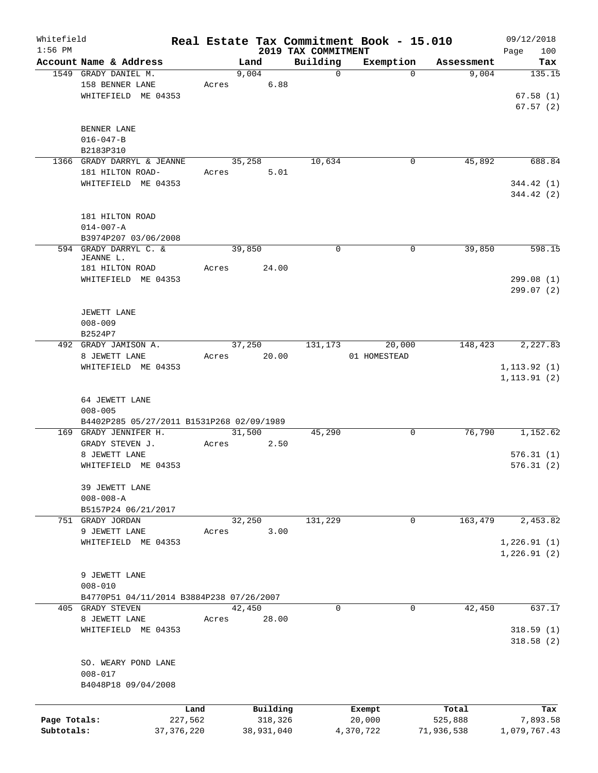| Whitefield<br>$1:56$ PM |                                           |              |       |            | 2019 TAX COMMITMENT | Real Estate Tax Commitment Book - 15.010 |            | 09/12/2018<br>100 |
|-------------------------|-------------------------------------------|--------------|-------|------------|---------------------|------------------------------------------|------------|-------------------|
|                         | Account Name & Address                    |              |       | Land       | Building            | Exemption                                | Assessment | Page<br>Tax       |
|                         | 1549 GRADY DANIEL M.                      |              |       | 9,004      |                     | $\mathbf 0$<br>$\Omega$                  | 9,004      | 135.15            |
|                         | 158 BENNER LANE                           |              | Acres | 6.88       |                     |                                          |            |                   |
|                         | WHITEFIELD ME 04353                       |              |       |            |                     |                                          |            | 67.58(1)          |
|                         |                                           |              |       |            |                     |                                          |            | 67.57(2)          |
|                         |                                           |              |       |            |                     |                                          |            |                   |
|                         | BENNER LANE                               |              |       |            |                     |                                          |            |                   |
|                         | $016 - 047 - B$                           |              |       |            |                     |                                          |            |                   |
|                         | B2183P310                                 |              |       |            |                     |                                          |            |                   |
|                         | 1366 GRADY DARRYL & JEANNE                |              |       | 35,258     | 10,634              | 0                                        | 45,892     | 688.84            |
|                         | 181 HILTON ROAD-                          |              | Acres | 5.01       |                     |                                          |            |                   |
|                         | WHITEFIELD ME 04353                       |              |       |            |                     |                                          |            | 344.42(1)         |
|                         |                                           |              |       |            |                     |                                          |            | 344.42(2)         |
|                         |                                           |              |       |            |                     |                                          |            |                   |
|                         | 181 HILTON ROAD                           |              |       |            |                     |                                          |            |                   |
|                         | $014 - 007 - A$                           |              |       |            |                     |                                          |            |                   |
|                         | B3974P207 03/06/2008                      |              |       |            |                     |                                          |            |                   |
|                         | 594 GRADY DARRYL C. &                     |              |       | 39,850     |                     | $\mathbf 0$<br>0                         | 39,850     | 598.15            |
|                         | JEANNE L.                                 |              |       | 24.00      |                     |                                          |            |                   |
|                         | 181 HILTON ROAD<br>WHITEFIELD ME 04353    |              | Acres |            |                     |                                          |            | 299.08(1)         |
|                         |                                           |              |       |            |                     |                                          |            | 299.07(2)         |
|                         |                                           |              |       |            |                     |                                          |            |                   |
|                         | JEWETT LANE                               |              |       |            |                     |                                          |            |                   |
|                         | $008 - 009$                               |              |       |            |                     |                                          |            |                   |
|                         | B2524P7                                   |              |       |            |                     |                                          |            |                   |
|                         | 492 GRADY JAMISON A.                      |              |       | 37,250     | 131,173             | 20,000                                   | 148,423    | 2,227.83          |
|                         | 8 JEWETT LANE                             |              | Acres | 20.00      |                     | 01 HOMESTEAD                             |            |                   |
|                         | WHITEFIELD ME 04353                       |              |       |            |                     |                                          |            | 1, 113.92(1)      |
|                         |                                           |              |       |            |                     |                                          |            | 1, 113.91(2)      |
|                         |                                           |              |       |            |                     |                                          |            |                   |
|                         | 64 JEWETT LANE                            |              |       |            |                     |                                          |            |                   |
|                         | $008 - 005$                               |              |       |            |                     |                                          |            |                   |
|                         | B4402P285 05/27/2011 B1531P268 02/09/1989 |              |       |            |                     |                                          |            |                   |
|                         | 169 GRADY JENNIFER H.                     |              |       | 31,500     | 45,290              | 0                                        | 76,790     | 1,152.62          |
|                         | GRADY STEVEN J.                           |              | Acres | 2.50       |                     |                                          |            |                   |
|                         | 8 JEWETT LANE                             |              |       |            |                     |                                          |            | 576.31(1)         |
|                         | WHITEFIELD ME 04353                       |              |       |            |                     |                                          |            | 576.31(2)         |
|                         |                                           |              |       |            |                     |                                          |            |                   |
|                         | 39 JEWETT LANE                            |              |       |            |                     |                                          |            |                   |
|                         | $008 - 008 - A$                           |              |       |            |                     |                                          |            |                   |
|                         | B5157P24 06/21/2017                       |              |       |            |                     |                                          |            |                   |
|                         | 751 GRADY JORDAN                          |              |       | 32,250     | 131,229             | 0                                        | 163,479    | 2,453.82          |
|                         | 9 JEWETT LANE                             |              | Acres | 3.00       |                     |                                          |            |                   |
|                         | WHITEFIELD ME 04353                       |              |       |            |                     |                                          |            | 1,226.91(1)       |
|                         |                                           |              |       |            |                     |                                          |            | 1,226.91(2)       |
|                         |                                           |              |       |            |                     |                                          |            |                   |
|                         | 9 JEWETT LANE                             |              |       |            |                     |                                          |            |                   |
|                         | $008 - 010$                               |              |       |            |                     |                                          |            |                   |
|                         | B4770P51 04/11/2014 B3884P238 07/26/2007  |              |       |            |                     |                                          |            |                   |
|                         | 405 GRADY STEVEN                          |              |       | 42,450     |                     | $\mathbf 0$<br>$\mathbf{0}$              | 42,450     | 637.17            |
|                         | 8 JEWETT LANE<br>WHITEFIELD ME 04353      |              | Acres | 28.00      |                     |                                          |            | 318.59(1)         |
|                         |                                           |              |       |            |                     |                                          |            |                   |
|                         |                                           |              |       |            |                     |                                          |            | 318.58(2)         |
|                         | SO. WEARY POND LANE                       |              |       |            |                     |                                          |            |                   |
|                         | $008 - 017$                               |              |       |            |                     |                                          |            |                   |
|                         | B4048P18 09/04/2008                       |              |       |            |                     |                                          |            |                   |
|                         |                                           |              |       |            |                     |                                          |            |                   |
|                         |                                           | Land         |       | Building   |                     |                                          | Total      | Tax               |
| Page Totals:            |                                           | 227,562      |       | 318,326    |                     | Exempt<br>20,000                         | 525,888    | 7,893.58          |
| Subtotals:              |                                           | 37, 376, 220 |       | 38,931,040 |                     | 4,370,722                                | 71,936,538 | 1,079,767.43      |
|                         |                                           |              |       |            |                     |                                          |            |                   |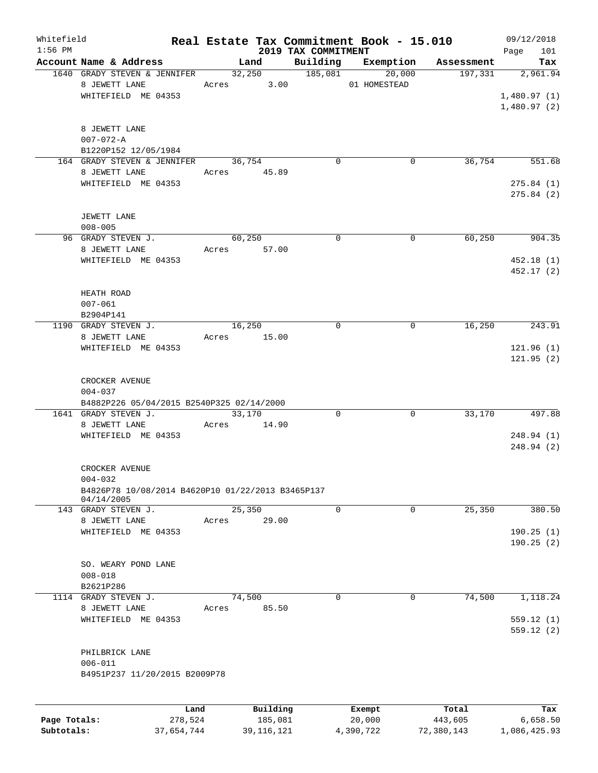| Whitefield<br>$1:56$ PM |                                                   |                 |          | 2019 TAX COMMITMENT | Real Estate Tax Commitment Book - 15.010 |            | 09/12/2018<br>101<br>Page  |
|-------------------------|---------------------------------------------------|-----------------|----------|---------------------|------------------------------------------|------------|----------------------------|
|                         | Account Name & Address                            | Land            |          | Building            | Exemption                                | Assessment | Tax                        |
|                         | 1640 GRADY STEVEN & JENNIFER                      |                 | 32,250   | 185,081             | 20,000                                   | 197,331    | 2,961.94                   |
|                         | 8 JEWETT LANE                                     | Acres 3.00      |          |                     | 01 HOMESTEAD                             |            |                            |
|                         | WHITEFIELD ME 04353                               |                 |          |                     |                                          |            | 1,480.97(1)<br>1,480.97(2) |
|                         | 8 JEWETT LANE                                     |                 |          |                     |                                          |            |                            |
|                         | $007 - 072 - A$                                   |                 |          |                     |                                          |            |                            |
|                         | B1220P152 12/05/1984                              |                 |          |                     |                                          |            |                            |
|                         | 164 GRADY STEVEN & JENNIFER                       | 36,754          |          | 0                   | 0                                        | 36,754     | 551.68                     |
|                         | 8 JEWETT LANE                                     | Acres 45.89     |          |                     |                                          |            |                            |
|                         | WHITEFIELD ME 04353                               |                 |          |                     |                                          |            | 275.84(1)                  |
|                         |                                                   |                 |          |                     |                                          |            | 275.84(2)                  |
|                         | JEWETT LANE                                       |                 |          |                     |                                          |            |                            |
|                         | $008 - 005$                                       |                 |          |                     |                                          |            |                            |
|                         | 96 GRADY STEVEN J.                                | 60,250          |          | $\mathbf 0$         | $\mathbf 0$                              | 60, 250    | 904.35                     |
|                         | 8 JEWETT LANE                                     | Acres           | 57.00    |                     |                                          |            |                            |
|                         | WHITEFIELD ME 04353                               |                 |          |                     |                                          |            | 452.18(1)                  |
|                         |                                                   |                 |          |                     |                                          |            | 452.17 (2)                 |
|                         |                                                   |                 |          |                     |                                          |            |                            |
|                         | HEATH ROAD                                        |                 |          |                     |                                          |            |                            |
|                         | $007 - 061$                                       |                 |          |                     |                                          |            |                            |
|                         | B2904P141<br>1190 GRADY STEVEN J.                 | 16,250          |          | $\mathbf 0$         | 0                                        | 16,250     | 243.91                     |
|                         | 8 JEWETT LANE                                     | Acres 15.00     |          |                     |                                          |            |                            |
|                         | WHITEFIELD ME 04353                               |                 |          |                     |                                          |            | 121.96(1)                  |
|                         |                                                   |                 |          |                     |                                          |            | 121.95(2)                  |
|                         |                                                   |                 |          |                     |                                          |            |                            |
|                         | CROCKER AVENUE                                    |                 |          |                     |                                          |            |                            |
|                         | $004 - 037$                                       |                 |          |                     |                                          |            |                            |
|                         | B4882P226 05/04/2015 B2540P325 02/14/2000         |                 |          |                     |                                          |            |                            |
|                         | 1641 GRADY STEVEN J.                              | 33,170          |          | 0                   | 0                                        | 33,170     | 497.88                     |
|                         | 8 JEWETT LANE                                     | Acres           | 14.90    |                     |                                          |            |                            |
|                         | WHITEFIELD ME 04353                               |                 |          |                     |                                          |            | 248.94 (1)<br>248.94(2)    |
|                         |                                                   |                 |          |                     |                                          |            |                            |
|                         | CROCKER AVENUE                                    |                 |          |                     |                                          |            |                            |
|                         | $004 - 032$                                       |                 |          |                     |                                          |            |                            |
|                         | B4826P78 10/08/2014 B4620P10 01/22/2013 B3465P137 |                 |          |                     |                                          |            |                            |
|                         | 04/14/2005<br>143 GRADY STEVEN J.                 |                 |          | $\mathbf 0$         | 0                                        |            | 380.50                     |
|                         | 8 JEWETT LANE                                     | 25,350<br>Acres | 29.00    |                     |                                          | 25,350     |                            |
|                         | WHITEFIELD ME 04353                               |                 |          |                     |                                          |            | 190.25(1)                  |
|                         |                                                   |                 |          |                     |                                          |            | 190.25(2)                  |
|                         |                                                   |                 |          |                     |                                          |            |                            |
|                         | SO. WEARY POND LANE                               |                 |          |                     |                                          |            |                            |
|                         | $008 - 018$                                       |                 |          |                     |                                          |            |                            |
|                         | B2621P286                                         |                 |          |                     |                                          |            |                            |
|                         | 1114 GRADY STEVEN J.                              | 74,500          |          | $\Omega$            | $\mathbf 0$                              | 74,500     | 1,118.24                   |
|                         | 8 JEWETT LANE                                     | Acres           | 85.50    |                     |                                          |            |                            |
|                         | WHITEFIELD ME 04353                               |                 |          |                     |                                          |            | 559.12(1)<br>559.12(2)     |
|                         | PHILBRICK LANE                                    |                 |          |                     |                                          |            |                            |
|                         | $006 - 011$                                       |                 |          |                     |                                          |            |                            |
|                         | B4951P237 11/20/2015 B2009P78                     |                 |          |                     |                                          |            |                            |
|                         |                                                   |                 |          |                     |                                          |            |                            |
|                         | Land                                              |                 | Building |                     | Exempt                                   | Total      | Tax                        |
| Page Totals:            | 278,524                                           |                 | 185,081  |                     | 20,000                                   | 443,605    | 6,658.50                   |

**Subtotals:** 37,654,744 39,116,121 4,390,722 72,380,143 1,086,425.93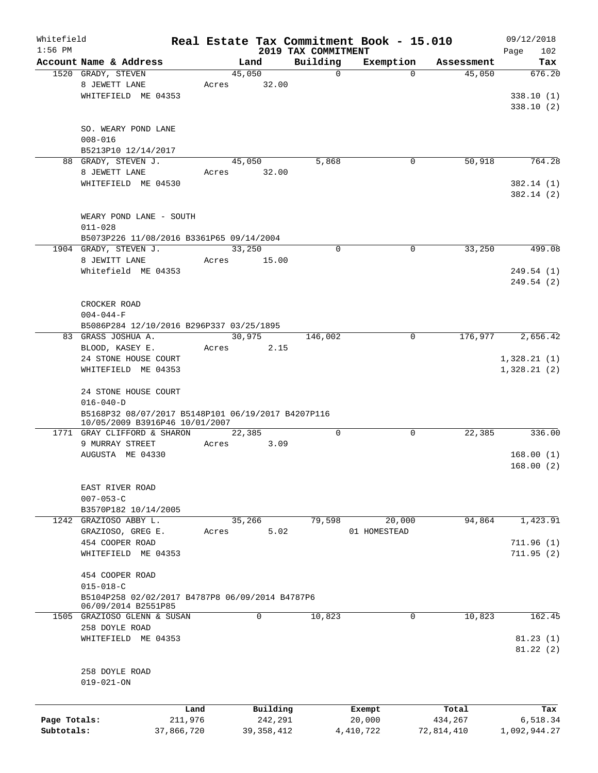| Whitefield<br>$1:56$ PM |                                                    |            |        |              |                                 | Real Estate Tax Commitment Book - 15.010 |            | 09/12/2018           |
|-------------------------|----------------------------------------------------|------------|--------|--------------|---------------------------------|------------------------------------------|------------|----------------------|
|                         | Account Name & Address                             |            |        | Land         | 2019 TAX COMMITMENT<br>Building | Exemption                                | Assessment | Page<br>102<br>Tax   |
|                         | 1520 GRADY, STEVEN                                 |            | 45,050 |              | $\Omega$                        | $\Omega$                                 | 45,050     | 676.20               |
|                         | 8 JEWETT LANE                                      |            | Acres  | 32.00        |                                 |                                          |            |                      |
|                         | WHITEFIELD ME 04353                                |            |        |              |                                 |                                          |            | 338.10(1)            |
|                         |                                                    |            |        |              |                                 |                                          |            | 338.10(2)            |
|                         |                                                    |            |        |              |                                 |                                          |            |                      |
|                         | SO. WEARY POND LANE                                |            |        |              |                                 |                                          |            |                      |
|                         | $008 - 016$                                        |            |        |              |                                 |                                          |            |                      |
|                         | B5213P10 12/14/2017                                |            |        |              |                                 |                                          |            |                      |
|                         | 88 GRADY, STEVEN J.                                |            |        | 45,050       | 5,868                           | 0                                        | 50,918     | 764.28               |
|                         | 8 JEWETT LANE                                      |            | Acres  | 32.00        |                                 |                                          |            |                      |
|                         | WHITEFIELD ME 04530                                |            |        |              |                                 |                                          |            | 382.14(1)            |
|                         |                                                    |            |        |              |                                 |                                          |            | 382.14(2)            |
|                         |                                                    |            |        |              |                                 |                                          |            |                      |
|                         | WEARY POND LANE - SOUTH                            |            |        |              |                                 |                                          |            |                      |
|                         | $011 - 028$                                        |            |        |              |                                 |                                          |            |                      |
|                         | B5073P226 11/08/2016 B3361P65 09/14/2004           |            |        |              |                                 |                                          |            |                      |
|                         | 1904 GRADY, STEVEN J.                              |            | 33,250 |              | $\mathbf 0$                     | 0                                        | 33,250     | 499.08               |
|                         | 8 JEWITT LANE                                      |            | Acres  | 15.00        |                                 |                                          |            |                      |
|                         | Whitefield ME 04353                                |            |        |              |                                 |                                          |            | 249.54 (1)           |
|                         |                                                    |            |        |              |                                 |                                          |            | 249.54 (2)           |
|                         |                                                    |            |        |              |                                 |                                          |            |                      |
|                         | CROCKER ROAD                                       |            |        |              |                                 |                                          |            |                      |
|                         | $004 - 044 - F$                                    |            |        |              |                                 |                                          |            |                      |
|                         | B5086P284 12/10/2016 B296P337 03/25/1895           |            |        |              |                                 |                                          |            |                      |
|                         | 83 GRASS JOSHUA A.                                 |            |        | 30,975       | 146,002                         | 0                                        | 176,977    | 2,656.42             |
|                         | BLOOD, KASEY E.                                    |            | Acres  | 2.15         |                                 |                                          |            |                      |
|                         | 24 STONE HOUSE COURT                               |            |        |              |                                 |                                          |            | 1,328.21(1)          |
|                         | WHITEFIELD ME 04353                                |            |        |              |                                 |                                          |            | 1,328.21(2)          |
|                         |                                                    |            |        |              |                                 |                                          |            |                      |
|                         | 24 STONE HOUSE COURT                               |            |        |              |                                 |                                          |            |                      |
|                         | $016 - 040 - D$                                    |            |        |              |                                 |                                          |            |                      |
|                         | B5168P32 08/07/2017 B5148P101 06/19/2017 B4207P116 |            |        |              |                                 |                                          |            |                      |
|                         | 10/05/2009 B3916P46 10/01/2007                     |            |        |              |                                 |                                          |            |                      |
|                         | 1771 GRAY CLIFFORD & SHARON                        |            |        | 22,385       | $\mathbf 0$                     | 0                                        | 22,385     | 336.00               |
|                         | 9 MURRAY STREET                                    |            | Acres  | 3.09         |                                 |                                          |            |                      |
|                         | AUGUSTA ME 04330                                   |            |        |              |                                 |                                          |            | 168.00(1)            |
|                         |                                                    |            |        |              |                                 |                                          |            | 168.00(2)            |
|                         |                                                    |            |        |              |                                 |                                          |            |                      |
|                         | EAST RIVER ROAD                                    |            |        |              |                                 |                                          |            |                      |
|                         | $007 - 053 - C$                                    |            |        |              |                                 |                                          |            |                      |
|                         | B3570P182 10/14/2005                               |            |        |              |                                 |                                          |            |                      |
|                         | 1242 GRAZIOSO ABBY L.                              |            |        | 35,266       | 79,598                          | 20,000                                   | 94,864     | 1,423.91             |
|                         | GRAZIOSO, GREG E.                                  |            | Acres  | 5.02         |                                 | 01 HOMESTEAD                             |            |                      |
|                         | 454 COOPER ROAD                                    |            |        |              |                                 |                                          |            | 711.96(1)            |
|                         | WHITEFIELD ME 04353                                |            |        |              |                                 |                                          |            | 711.95(2)            |
|                         |                                                    |            |        |              |                                 |                                          |            |                      |
|                         | 454 COOPER ROAD                                    |            |        |              |                                 |                                          |            |                      |
|                         | $015 - 018 - C$                                    |            |        |              |                                 |                                          |            |                      |
|                         | B5104P258 02/02/2017 B4787P8 06/09/2014 B4787P6    |            |        |              |                                 |                                          |            |                      |
|                         | 06/09/2014 B2551P85<br>1505 GRAZIOSO GLENN & SUSAN |            |        | $\mathbf 0$  | 10,823                          | 0                                        | 10,823     | 162.45               |
|                         | 258 DOYLE ROAD                                     |            |        |              |                                 |                                          |            |                      |
|                         |                                                    |            |        |              |                                 |                                          |            |                      |
|                         | WHITEFIELD ME 04353                                |            |        |              |                                 |                                          |            | 81.23(1)<br>81.22(2) |
|                         |                                                    |            |        |              |                                 |                                          |            |                      |
|                         | 258 DOYLE ROAD                                     |            |        |              |                                 |                                          |            |                      |
|                         | $019 - 021 - ON$                                   |            |        |              |                                 |                                          |            |                      |
|                         |                                                    |            |        |              |                                 |                                          |            |                      |
|                         |                                                    |            |        |              |                                 |                                          |            |                      |
|                         |                                                    | Land       |        | Building     |                                 | Exempt                                   | Total      | Tax                  |
| Page Totals:            |                                                    | 211,976    |        | 242,291      |                                 | 20,000                                   | 434,267    | 6,518.34             |
| Subtotals:              |                                                    | 37,866,720 |        | 39, 358, 412 |                                 | 4,410,722                                | 72,814,410 | 1,092,944.27         |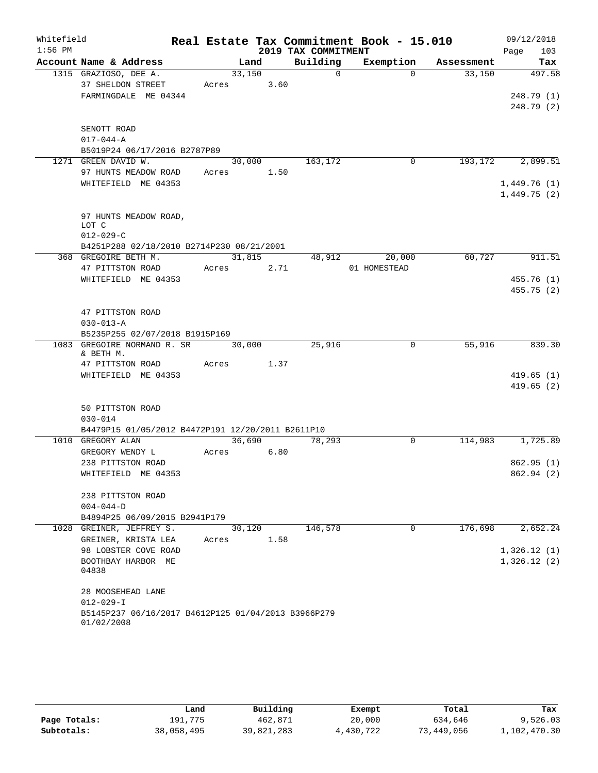| Whitefield<br>$1:56$ PM |                                                                   |                 |        | 2019 TAX COMMITMENT | Real Estate Tax Commitment Book - 15.010 |            | 09/12/2018<br>Page<br>103  |
|-------------------------|-------------------------------------------------------------------|-----------------|--------|---------------------|------------------------------------------|------------|----------------------------|
|                         | Account Name & Address                                            |                 | Land   | Building            | Exemption                                | Assessment | Tax                        |
|                         | 1315 GRAZIOSO, DEE A.                                             | 33,150          |        | $\Omega$            | $\Omega$                                 | 33,150     | 497.58                     |
|                         | 37 SHELDON STREET                                                 | Acres           | 3.60   |                     |                                          |            |                            |
|                         | FARMINGDALE ME 04344                                              |                 |        |                     |                                          |            | 248.79 (1)<br>248.79(2)    |
|                         | SENOTT ROAD                                                       |                 |        |                     |                                          |            |                            |
|                         | $017 - 044 - A$                                                   |                 |        |                     |                                          |            |                            |
|                         | B5019P24 06/17/2016 B2787P89                                      |                 |        |                     |                                          |            |                            |
|                         | 1271 GREEN DAVID W.                                               | 30,000          |        | 163, 172            | 0                                        | 193,172    | 2,899.51                   |
|                         | 97 HUNTS MEADOW ROAD                                              | Acres 1.50      |        |                     |                                          |            |                            |
|                         | WHITEFIELD ME 04353                                               |                 |        |                     |                                          |            | 1,449.76(1)<br>1,449.75(2) |
|                         | 97 HUNTS MEADOW ROAD,<br>LOT C                                    |                 |        |                     |                                          |            |                            |
|                         | $012 - 029 - C$                                                   |                 |        |                     |                                          |            |                            |
|                         | B4251P288 02/18/2010 B2714P230 08/21/2001<br>368 GREGOIRE BETH M. |                 | 31,815 | 48,912              | 20,000                                   | 60,727     | 911.51                     |
|                         | 47 PITTSTON ROAD                                                  | Acres 2.71      |        |                     | 01 HOMESTEAD                             |            |                            |
|                         | WHITEFIELD ME 04353                                               |                 |        |                     |                                          |            | 455.76(1)                  |
|                         |                                                                   |                 |        |                     |                                          |            | 455.75(2)                  |
|                         | 47 PITTSTON ROAD                                                  |                 |        |                     |                                          |            |                            |
|                         | $030 - 013 - A$<br>B5235P255 02/07/2018 B1915P169                 |                 |        |                     |                                          |            |                            |
|                         | 1083 GREGOIRE NORMAND R. SR<br>& BETH M.                          | 30,000          |        | 25,916              | $\Omega$                                 | 55,916     | 839.30                     |
|                         | 47 PITTSTON ROAD                                                  | Acres           | 1.37   |                     |                                          |            |                            |
|                         | WHITEFIELD ME 04353                                               |                 |        |                     |                                          |            | 419.65(1)                  |
|                         |                                                                   |                 |        |                     |                                          |            | 419.65(2)                  |
|                         | 50 PITTSTON ROAD<br>$030 - 014$                                   |                 |        |                     |                                          |            |                            |
|                         | B4479P15 01/05/2012 B4472P191 12/20/2011 B2611P10                 |                 |        |                     |                                          |            |                            |
|                         | 1010 GREGORY ALAN                                                 | 36,690          |        | 78,293              | 0                                        |            | 114,983 1,725.89           |
|                         | GREGORY WENDY L                                                   | Acres           | 6.80   |                     |                                          |            |                            |
|                         | 238 PITTSTON ROAD                                                 |                 |        |                     |                                          |            | 862.95(1)                  |
|                         | WHITEFIELD ME 04353                                               |                 |        |                     |                                          |            | 862.94 (2)                 |
|                         | 238 PITTSTON ROAD                                                 |                 |        |                     |                                          |            |                            |
|                         | $004 - 044 - D$                                                   |                 |        |                     |                                          |            |                            |
|                         | B4894P25 06/09/2015 B2941P179                                     |                 |        |                     | $\Omega$                                 | 176,698    | 2,652.24                   |
| 1028                    | GREINER, JEFFREY S.<br>GREINER, KRISTA LEA                        | 30,120<br>Acres | 1.58   | 146,578             |                                          |            |                            |
|                         | 98 LOBSTER COVE ROAD                                              |                 |        |                     |                                          |            | 1,326.12(1)                |
|                         | BOOTHBAY HARBOR ME                                                |                 |        |                     |                                          |            | 1,326.12(2)                |
|                         | 04838                                                             |                 |        |                     |                                          |            |                            |
|                         | 28 MOOSEHEAD LANE                                                 |                 |        |                     |                                          |            |                            |
|                         | $012 - 029 - I$                                                   |                 |        |                     |                                          |            |                            |
|                         | B5145P237 06/16/2017 B4612P125 01/04/2013 B3966P279<br>01/02/2008 |                 |        |                     |                                          |            |                            |

|              | Land       | Building   | Exempt    | Total      | Tax          |  |
|--------------|------------|------------|-----------|------------|--------------|--|
| Page Totals: | 191,775    | 462.871    | 20,000    | 634,646    | 9,526.03     |  |
| Subtotals:   | 38,058,495 | 39,821,283 | 4,430,722 | 73,449,056 | 1,102,470.30 |  |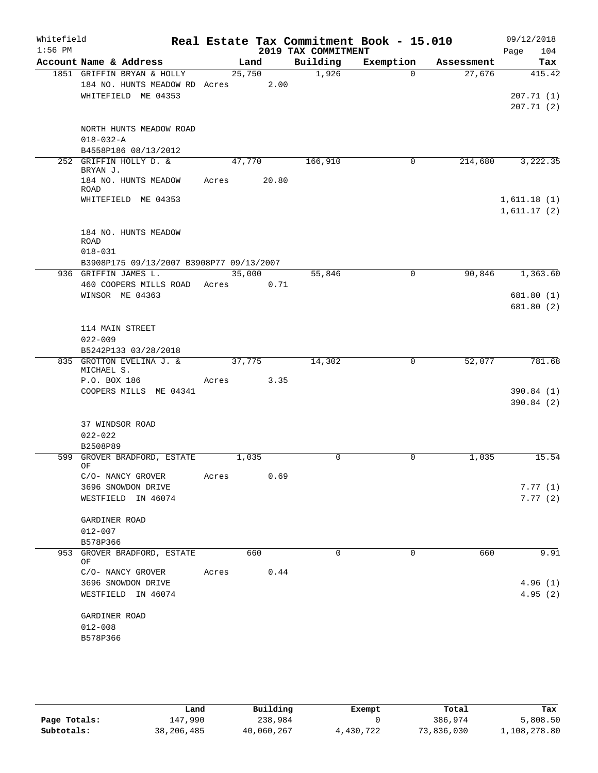| Whitefield<br>$1:56$ PM |                                                                                    |       |        |       | Real Estate Tax Commitment Book - 15.010<br>2019 TAX COMMITMENT |           |             |            | 09/12/2018<br>104<br>Page            |
|-------------------------|------------------------------------------------------------------------------------|-------|--------|-------|-----------------------------------------------------------------|-----------|-------------|------------|--------------------------------------|
|                         | Account Name & Address                                                             |       | Land   |       | Building                                                        | Exemption |             | Assessment | Tax                                  |
|                         | 1851 GRIFFIN BRYAN & HOLLY<br>184 NO. HUNTS MEADOW RD Acres<br>WHITEFIELD ME 04353 |       | 25,750 | 2.00  | 1,926                                                           |           | $\Omega$    | 27,676     | 415.42<br>207.71(1)<br>207.71(2)     |
|                         | NORTH HUNTS MEADOW ROAD<br>$018 - 032 - A$                                         |       |        |       |                                                                 |           |             |            |                                      |
|                         | B4558P186 08/13/2012                                                               |       |        |       |                                                                 |           |             |            |                                      |
|                         | 252 GRIFFIN HOLLY D. &<br>BRYAN J.                                                 |       | 47,770 |       | 166,910                                                         |           | 0           | 214,680    | 3,222.35                             |
|                         | 184 NO. HUNTS MEADOW<br><b>ROAD</b>                                                | Acres |        | 20.80 |                                                                 |           |             |            |                                      |
|                         | WHITEFIELD ME 04353                                                                |       |        |       |                                                                 |           |             |            | 1,611.18(1)<br>1,611.17(2)           |
|                         | 184 NO. HUNTS MEADOW<br><b>ROAD</b><br>$018 - 031$                                 |       |        |       |                                                                 |           |             |            |                                      |
|                         | B3908P175 09/13/2007 B3908P77 09/13/2007                                           |       |        |       |                                                                 |           | $\Omega$    |            |                                      |
|                         | 936 GRIFFIN JAMES L.<br>460 COOPERS MILLS ROAD<br>WINSOR ME 04363                  | Acres | 35,000 | 0.71  | 55,846                                                          |           |             | 90,846     | 1,363.60<br>681.80 (1)<br>681.80 (2) |
|                         | 114 MAIN STREET<br>$022 - 009$<br>B5242P133 03/28/2018                             |       |        |       |                                                                 |           |             |            |                                      |
|                         | 835 GROTTON EVELINA J. &                                                           |       | 37,775 |       | 14,302                                                          |           | $\mathbf 0$ | 52,077     | 781.68                               |
|                         | MICHAEL S.                                                                         |       |        |       |                                                                 |           |             |            |                                      |
|                         | P.O. BOX 186<br>COOPERS MILLS ME 04341                                             | Acres |        | 3.35  |                                                                 |           |             |            | 390.84(1)<br>390.84(2)               |
|                         | 37 WINDSOR ROAD<br>$022 - 022$<br>B2508P89                                         |       |        |       |                                                                 |           |             |            |                                      |
|                         | 599 GROVER BRADFORD, ESTATE                                                        |       | 1,035  |       | 0                                                               |           | 0           | 1,035      | 15.54                                |
|                         | OF                                                                                 |       |        |       |                                                                 |           |             |            |                                      |
|                         | C/O- NANCY GROVER<br>3696 SNOWDON DRIVE<br>WESTFIELD IN 46074                      | Acres |        | 0.69  |                                                                 |           |             |            | 7.77(1)<br>7.77(2)                   |
|                         | GARDINER ROAD<br>$012 - 007$                                                       |       |        |       |                                                                 |           |             |            |                                      |
|                         | B578P366                                                                           |       |        |       |                                                                 |           |             |            |                                      |
| 953                     | GROVER BRADFORD, ESTATE<br>ΟF                                                      |       |        | 660   | $\Omega$                                                        |           | 0           | 660        | 9.91                                 |
|                         | C/O- NANCY GROVER<br>3696 SNOWDON DRIVE                                            | Acres |        | 0.44  |                                                                 |           |             |            | 4.96(1)                              |
|                         | WESTFIELD IN 46074                                                                 |       |        |       |                                                                 |           |             |            | 4.95(2)                              |
|                         | GARDINER ROAD<br>$012 - 008$<br>B578P366                                           |       |        |       |                                                                 |           |             |            |                                      |

|              | Land       | Building   | Exempt    | Total      | Tax          |
|--------------|------------|------------|-----------|------------|--------------|
| Page Totals: | 147,990    | 238,984    |           | 386,974    | 5,808.50     |
| Subtotals:   | 38,206,485 | 40,060,267 | 4,430,722 | 73,836,030 | 1,108,278.80 |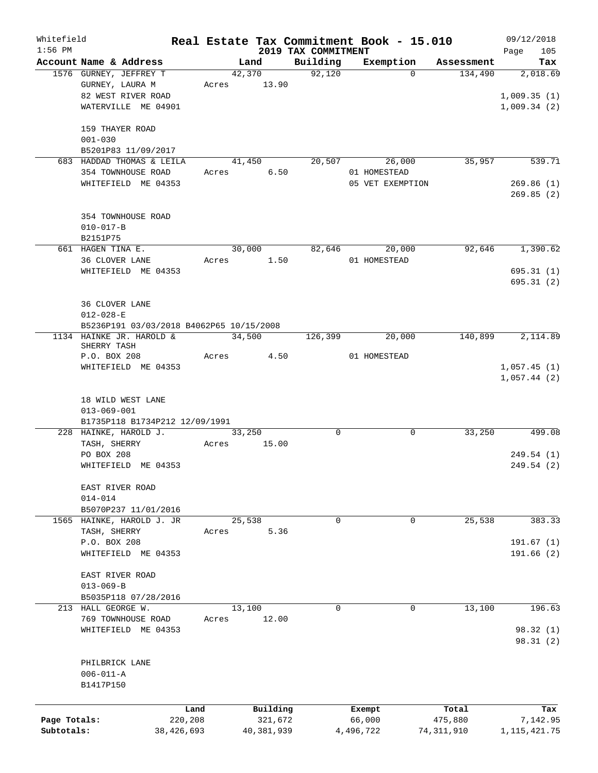| Whitefield   |                                          |            |        |             |                                 | Real Estate Tax Commitment Book - 15.010 |            | 09/12/2018         |
|--------------|------------------------------------------|------------|--------|-------------|---------------------------------|------------------------------------------|------------|--------------------|
| $1:56$ PM    | Account Name & Address                   |            |        | Land        | 2019 TAX COMMITMENT<br>Building | Exemption                                | Assessment | 105<br>Page<br>Tax |
|              | 1576 GURNEY, JEFFREY T                   |            | 42,370 |             | 92,120                          | $\Omega$                                 | 134,490    | 2,018.69           |
|              | GURNEY, LAURA M                          |            |        | Acres 13.90 |                                 |                                          |            |                    |
|              | 82 WEST RIVER ROAD                       |            |        |             |                                 |                                          |            | 1,009.35(1)        |
|              | WATERVILLE ME 04901                      |            |        |             |                                 |                                          |            | 1,009.34(2)        |
|              |                                          |            |        |             |                                 |                                          |            |                    |
|              | 159 THAYER ROAD                          |            |        |             |                                 |                                          |            |                    |
|              | $001 - 030$                              |            |        |             |                                 |                                          |            |                    |
|              | B5201P83 11/09/2017                      |            |        |             |                                 |                                          |            |                    |
|              | 683 HADDAD THOMAS & LEILA                |            | 41,450 |             | 20,507                          | 26,000                                   | 35,957     | 539.71             |
|              | 354 TOWNHOUSE ROAD                       |            | Acres  | 6.50        |                                 | 01 HOMESTEAD                             |            |                    |
|              | WHITEFIELD ME 04353                      |            |        |             |                                 | 05 VET EXEMPTION                         |            | 269.86(1)          |
|              |                                          |            |        |             |                                 |                                          |            | 269.85(2)          |
|              |                                          |            |        |             |                                 |                                          |            |                    |
|              | 354 TOWNHOUSE ROAD                       |            |        |             |                                 |                                          |            |                    |
|              | $010 - 017 - B$                          |            |        |             |                                 |                                          |            |                    |
|              | B2151P75                                 |            |        |             |                                 |                                          |            |                    |
|              | 661 HAGEN TINA E.                        |            | 30,000 |             |                                 | 82,646<br>20,000                         | 92,646     | 1,390.62           |
|              | 36 CLOVER LANE                           |            |        | Acres 1.50  |                                 | 01 HOMESTEAD                             |            |                    |
|              | WHITEFIELD ME 04353                      |            |        |             |                                 |                                          |            | 695.31(1)          |
|              |                                          |            |        |             |                                 |                                          |            | 695.31(2)          |
|              |                                          |            |        |             |                                 |                                          |            |                    |
|              | 36 CLOVER LANE                           |            |        |             |                                 |                                          |            |                    |
|              | $012 - 028 - E$                          |            |        |             |                                 |                                          |            |                    |
|              | B5236P191 03/03/2018 B4062P65 10/15/2008 |            |        |             |                                 |                                          |            |                    |
|              | 1134 HAINKE JR. HAROLD &<br>SHERRY TASH  |            | 34,500 |             | 126,399                         | 20,000                                   | 140,899    | 2,114.89           |
|              | P.O. BOX 208                             |            | Acres  | 4.50        |                                 | 01 HOMESTEAD                             |            |                    |
|              | WHITEFIELD ME 04353                      |            |        |             |                                 |                                          |            | 1,057.45(1)        |
|              |                                          |            |        |             |                                 |                                          |            | 1,057.44(2)        |
|              |                                          |            |        |             |                                 |                                          |            |                    |
|              | 18 WILD WEST LANE                        |            |        |             |                                 |                                          |            |                    |
|              | $013 - 069 - 001$                        |            |        |             |                                 |                                          |            |                    |
|              | B1735P118 B1734P212 12/09/1991           |            |        |             |                                 |                                          |            |                    |
|              | 228 HAINKE, HAROLD J.                    |            | 33,250 |             | $\mathbf 0$                     | $\mathbf 0$                              | 33,250     | 499.08             |
|              | TASH, SHERRY                             | Acres      |        | 15.00       |                                 |                                          |            |                    |
|              | PO BOX 208                               |            |        |             |                                 |                                          |            | 249.54 (1)         |
|              | WHITEFIELD ME 04353                      |            |        |             |                                 |                                          |            | 249.54 (2)         |
|              |                                          |            |        |             |                                 |                                          |            |                    |
|              | EAST RIVER ROAD                          |            |        |             |                                 |                                          |            |                    |
|              | $014 - 014$                              |            |        |             |                                 |                                          |            |                    |
|              | B5070P237 11/01/2016                     |            |        |             | $\mathbf 0$                     | $\mathbf 0$                              |            |                    |
|              | 1565 HAINKE, HAROLD J. JR                |            | 25,538 |             |                                 |                                          | 25,538     | 383.33             |
|              | TASH, SHERRY<br>P.O. BOX 208             | Acres      |        | 5.36        |                                 |                                          |            | 191.67(1)          |
|              | WHITEFIELD ME 04353                      |            |        |             |                                 |                                          |            | 191.66(2)          |
|              |                                          |            |        |             |                                 |                                          |            |                    |
|              | EAST RIVER ROAD                          |            |        |             |                                 |                                          |            |                    |
|              | $013 - 069 - B$                          |            |        |             |                                 |                                          |            |                    |
|              | B5035P118 07/28/2016                     |            |        |             |                                 |                                          |            |                    |
|              | 213 HALL GEORGE W.                       |            | 13,100 |             | $\mathbf 0$                     | $\mathbf 0$                              | 13,100     | 196.63             |
|              | 769 TOWNHOUSE ROAD                       | Acres      |        | 12.00       |                                 |                                          |            |                    |
|              | WHITEFIELD ME 04353                      |            |        |             |                                 |                                          |            | 98.32(1)           |
|              |                                          |            |        |             |                                 |                                          |            | 98.31(2)           |
|              |                                          |            |        |             |                                 |                                          |            |                    |
|              | PHILBRICK LANE                           |            |        |             |                                 |                                          |            |                    |
|              | $006 - 011 - A$                          |            |        |             |                                 |                                          |            |                    |
|              | B1417P150                                |            |        |             |                                 |                                          |            |                    |
|              |                                          |            |        |             |                                 |                                          |            |                    |
|              |                                          | Land       |        | Building    |                                 | Exempt                                   | Total      | Tax                |
| Page Totals: |                                          | 220,208    |        | 321,672     |                                 | 66,000                                   | 475,880    | 7,142.95           |
| Subtotals:   |                                          | 38,426,693 |        | 40,381,939  |                                 | 4,496,722                                | 74,311,910 | 1, 115, 421. 75    |
|              |                                          |            |        |             |                                 |                                          |            |                    |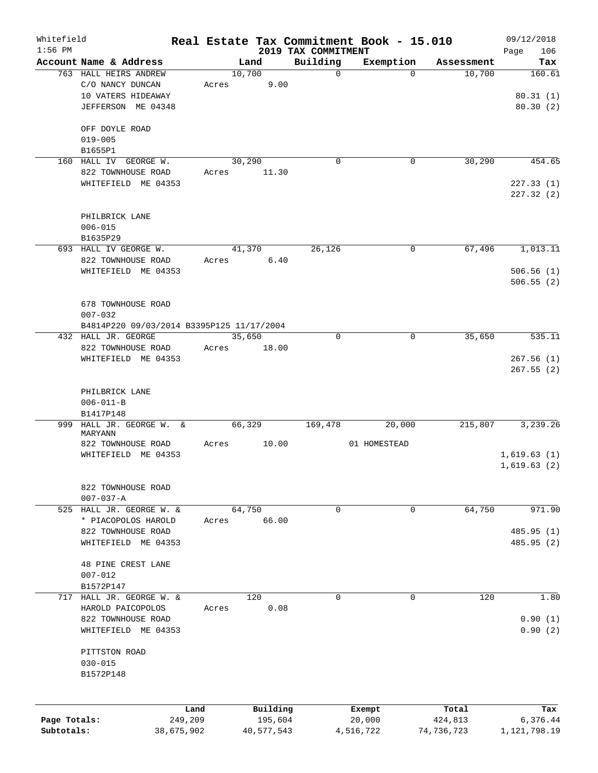| Whitefield   |                                                 |       |                     |                         | Real Estate Tax Commitment Book - 15.010 |                      | 09/12/2018      |
|--------------|-------------------------------------------------|-------|---------------------|-------------------------|------------------------------------------|----------------------|-----------------|
| $1:56$ PM    |                                                 |       |                     | 2019 TAX COMMITMENT     |                                          |                      | Page<br>106     |
|              | Account Name & Address<br>763 HALL HEIRS ANDREW |       | Land<br>10,700      | Building<br>$\mathbf 0$ | Exemption<br>$\Omega$                    | Assessment<br>10,700 | Tax<br>160.61   |
|              | C/O NANCY DUNCAN                                | Acres | 9.00                |                         |                                          |                      |                 |
|              | 10 VATERS HIDEAWAY                              |       |                     |                         |                                          |                      | 80.31(1)        |
|              | JEFFERSON ME 04348                              |       |                     |                         |                                          |                      |                 |
|              |                                                 |       |                     |                         |                                          |                      | 80.30 (2)       |
|              | OFF DOYLE ROAD                                  |       |                     |                         |                                          |                      |                 |
|              | $019 - 005$                                     |       |                     |                         |                                          |                      |                 |
|              | B1655P1                                         |       |                     |                         |                                          |                      |                 |
|              | 160 HALL IV GEORGE W.                           |       | 30,290              | $\mathbf 0$             | 0                                        | 30,290               | 454.65          |
|              | 822 TOWNHOUSE ROAD                              | Acres | 11.30               |                         |                                          |                      |                 |
|              | WHITEFIELD ME 04353                             |       |                     |                         |                                          |                      | 227.33(1)       |
|              |                                                 |       |                     |                         |                                          |                      | 227.32 (2)      |
|              | PHILBRICK LANE                                  |       |                     |                         |                                          |                      |                 |
|              | $006 - 015$                                     |       |                     |                         |                                          |                      |                 |
|              | B1635P29                                        |       |                     |                         |                                          |                      |                 |
|              | 693 HALL IV GEORGE W.                           |       | 41,370              | 26, 126                 | 0                                        | 67,496               | 1,013.11        |
|              | 822 TOWNHOUSE ROAD                              | Acres | 6.40                |                         |                                          |                      |                 |
|              | WHITEFIELD ME 04353                             |       |                     |                         |                                          |                      | 506.56(1)       |
|              |                                                 |       |                     |                         |                                          |                      | 506.55(2)       |
|              | 678 TOWNHOUSE ROAD                              |       |                     |                         |                                          |                      |                 |
|              | $007 - 032$                                     |       |                     |                         |                                          |                      |                 |
|              | B4814P220 09/03/2014 B3395P125 11/17/2004       |       |                     |                         |                                          |                      |                 |
|              | 432 HALL JR. GEORGE                             |       | 35,650              | $\mathbf 0$             | 0                                        | 35,650               | 535.11          |
|              |                                                 |       |                     |                         |                                          |                      |                 |
|              | 822 TOWNHOUSE ROAD                              | Acres | 18.00               |                         |                                          |                      |                 |
|              | WHITEFIELD ME 04353                             |       |                     |                         |                                          |                      | 267.56(1)       |
|              |                                                 |       |                     |                         |                                          |                      | 267.55(2)       |
|              |                                                 |       |                     |                         |                                          |                      |                 |
|              | PHILBRICK LANE                                  |       |                     |                         |                                          |                      |                 |
|              | $006 - 011 - B$<br>B1417P148                    |       |                     |                         |                                          |                      |                 |
| 999          | HALL JR. GEORGE W.<br>&                         |       | 66,329              | 169,478                 | 20,000                                   | 215,807              | 3,239.26        |
|              | MARYANN                                         |       |                     |                         |                                          |                      |                 |
|              | 822 TOWNHOUSE ROAD                              | Acres | 10.00               |                         | 01 HOMESTEAD                             |                      |                 |
|              | WHITEFIELD ME 04353                             |       |                     |                         |                                          |                      | 1,619.63(1)     |
|              |                                                 |       |                     |                         |                                          |                      | 1,619.63(2)     |
|              |                                                 |       |                     |                         |                                          |                      |                 |
|              | 822 TOWNHOUSE ROAD                              |       |                     |                         |                                          |                      |                 |
|              | $007 - 037 - A$                                 |       |                     |                         |                                          |                      |                 |
|              | 525 HALL JR. GEORGE W. &                        |       | 64,750              | $\mathbf 0$             | 0                                        | 64,750               | 971.90          |
|              | * PIACOPOLOS HAROLD                             | Acres | 66.00               |                         |                                          |                      |                 |
|              | 822 TOWNHOUSE ROAD                              |       |                     |                         |                                          |                      | 485.95 (1)      |
|              | WHITEFIELD ME 04353                             |       |                     |                         |                                          |                      | 485.95 (2)      |
|              | 48 PINE CREST LANE                              |       |                     |                         |                                          |                      |                 |
|              |                                                 |       |                     |                         |                                          |                      |                 |
|              | $007 - 012$<br>B1572P147                        |       |                     |                         |                                          |                      |                 |
|              | 717 HALL JR. GEORGE W. &                        |       | 120                 | $\mathbf 0$             | 0                                        | 120                  | 1.80            |
|              | HAROLD PAICOPOLOS                               | Acres | 0.08                |                         |                                          |                      |                 |
|              | 822 TOWNHOUSE ROAD                              |       |                     |                         |                                          |                      | 0.90(1)         |
|              |                                                 |       |                     |                         |                                          |                      |                 |
|              | WHITEFIELD ME 04353                             |       |                     |                         |                                          |                      | 0.90(2)         |
|              | PITTSTON ROAD                                   |       |                     |                         |                                          |                      |                 |
|              | $030 - 015$                                     |       |                     |                         |                                          |                      |                 |
|              | B1572P148                                       |       |                     |                         |                                          |                      |                 |
|              |                                                 |       |                     |                         |                                          |                      |                 |
|              |                                                 |       |                     |                         |                                          |                      |                 |
| Page Totals: | 249,209                                         | Land  | Building<br>195,604 |                         | Exempt<br>20,000                         | Total<br>424,813     | Tax<br>6,376.44 |
| Subtotals:   | 38,675,902                                      |       | 40,577,543          |                         | 4,516,722                                | 74,736,723           | 1, 121, 798.19  |
|              |                                                 |       |                     |                         |                                          |                      |                 |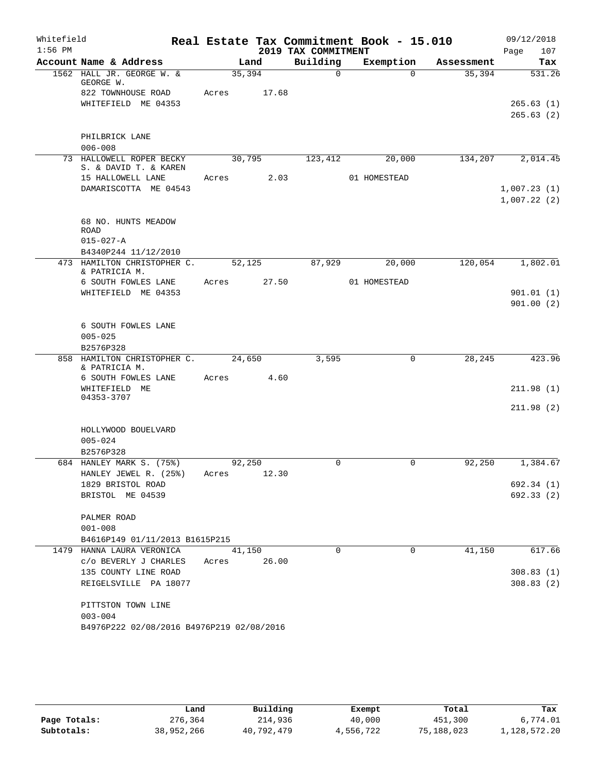| Whitefield |                                                        |             |       |                     | Real Estate Tax Commitment Book - 15.010 |            | 09/12/2018             |
|------------|--------------------------------------------------------|-------------|-------|---------------------|------------------------------------------|------------|------------------------|
| $1:56$ PM  |                                                        |             |       | 2019 TAX COMMITMENT |                                          |            | 107<br>Page            |
|            | Account Name & Address                                 |             | Land  | Building            | Exemption                                | Assessment | Tax                    |
|            | 1562 HALL JR. GEORGE W. &<br>GEORGE W.                 | 35,394      |       | $\Omega$            | $\Omega$                                 | 35,394     | 531.26                 |
|            | 822 TOWNHOUSE ROAD                                     | Acres       | 17.68 |                     |                                          |            |                        |
|            | WHITEFIELD ME 04353                                    |             |       |                     |                                          |            | 265.63(1)              |
|            |                                                        |             |       |                     |                                          |            | 265.63(2)              |
|            | PHILBRICK LANE                                         |             |       |                     |                                          |            |                        |
|            | $006 - 008$                                            |             |       |                     |                                          |            |                        |
|            | 73 HALLOWELL ROPER BECKY                               | 30,795      |       | 123,412             | 20,000                                   |            | 134,207 2,014.45       |
|            | S. & DAVID T. & KAREN                                  |             |       |                     |                                          |            |                        |
|            | 15 HALLOWELL LANE                                      | Acres 2.03  |       |                     | 01 HOMESTEAD                             |            |                        |
|            | DAMARISCOTTA ME 04543                                  |             |       |                     |                                          |            | 1,007.23(1)            |
|            |                                                        |             |       |                     |                                          |            | 1,007.22(2)            |
|            | 68 NO. HUNTS MEADOW                                    |             |       |                     |                                          |            |                        |
|            | ROAD                                                   |             |       |                     |                                          |            |                        |
|            | $015 - 027 - A$                                        |             |       |                     |                                          |            |                        |
|            | B4340P244 11/12/2010                                   |             |       |                     |                                          |            |                        |
|            | 473 HAMILTON CHRISTOPHER C. 52,125<br>& PATRICIA M.    |             |       | 87,929              | 20,000                                   | 120,054    | 1,802.01               |
|            | 6 SOUTH FOWLES LANE                                    | Acres 27.50 |       |                     | 01 HOMESTEAD                             |            |                        |
|            | WHITEFIELD ME 04353                                    |             |       |                     |                                          |            | 901.01(1)              |
|            |                                                        |             |       |                     |                                          |            | 901.00(2)              |
|            |                                                        |             |       |                     |                                          |            |                        |
|            | 6 SOUTH FOWLES LANE                                    |             |       |                     |                                          |            |                        |
|            | $005 - 025$                                            |             |       |                     |                                          |            |                        |
|            | B2576P328<br>858 HAMILTON CHRISTOPHER C.               | 24,650      |       | 3,595               | 0                                        | 28, 245    | 423.96                 |
|            | & PATRICIA M.                                          |             |       |                     |                                          |            |                        |
|            | 6 SOUTH FOWLES LANE                                    | Acres       | 4.60  |                     |                                          |            |                        |
|            | WHITEFIELD ME<br>04353-3707                            |             |       |                     |                                          |            | 211.98(1)              |
|            |                                                        |             |       |                     |                                          |            | 211.98(2)              |
|            |                                                        |             |       |                     |                                          |            |                        |
|            | HOLLYWOOD BOUELVARD                                    |             |       |                     |                                          |            |                        |
|            | $005 - 024$                                            |             |       |                     |                                          |            |                        |
|            | B2576P328                                              |             |       |                     |                                          |            |                        |
|            | 684 HANLEY MARK S. (75%)                               | 92,250      |       | 0                   | 0                                        | 92,250     | 1,384.67               |
|            | HANLEY JEWEL R. (25%) Acres 12.30<br>1829 BRISTOL ROAD |             |       |                     |                                          |            | 692.34 (1)             |
|            | BRISTOL ME 04539                                       |             |       |                     |                                          |            | 692.33(2)              |
|            |                                                        |             |       |                     |                                          |            |                        |
|            | PALMER ROAD                                            |             |       |                     |                                          |            |                        |
|            | $001 - 008$                                            |             |       |                     |                                          |            |                        |
|            | B4616P149 01/11/2013 B1615P215                         |             |       |                     |                                          |            |                        |
|            | 1479 HANNA LAURA VERONICA                              | 41,150      |       | $\Omega$            | $\mathbf 0$                              | 41,150     | 617.66                 |
|            | c/o BEVERLY J CHARLES                                  | Acres       | 26.00 |                     |                                          |            |                        |
|            | 135 COUNTY LINE ROAD<br>REIGELSVILLE PA 18077          |             |       |                     |                                          |            | 308.83(1)<br>308.83(2) |
|            |                                                        |             |       |                     |                                          |            |                        |
|            | PITTSTON TOWN LINE                                     |             |       |                     |                                          |            |                        |
|            | $003 - 004$                                            |             |       |                     |                                          |            |                        |
|            | B4976P222 02/08/2016 B4976P219 02/08/2016              |             |       |                     |                                          |            |                        |
|            |                                                        |             |       |                     |                                          |            |                        |

|              | Land       | Building   | Exempt    | Total      | Tax          |  |
|--------------|------------|------------|-----------|------------|--------------|--|
| Page Totals: | 276,364    | 214,936    | 40,000    | 451,300    | 6,774.01     |  |
| Subtotals:   | 38,952,266 | 40,792,479 | 4,556,722 | 75,188,023 | 1,128,572.20 |  |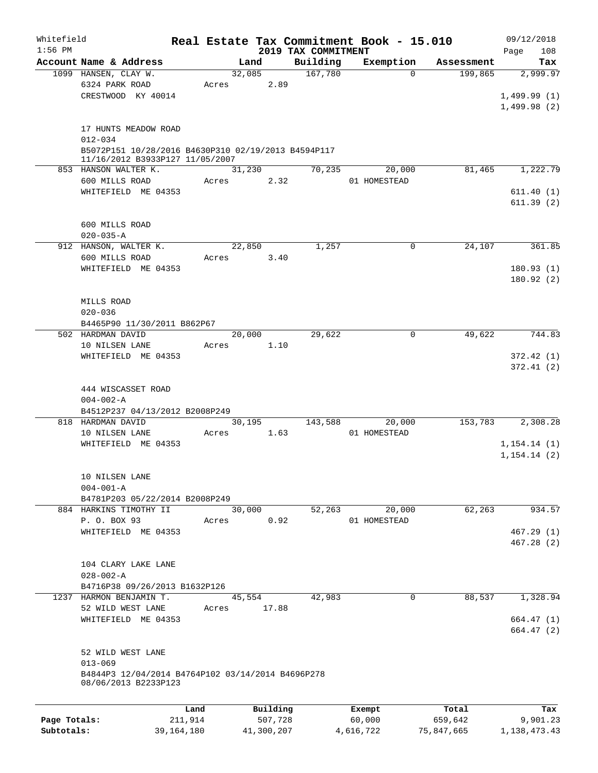| Whitefield   |                                                     |         |       |          |                                 | Real Estate Tax Commitment Book - 15.010 |            | 09/12/2018         |
|--------------|-----------------------------------------------------|---------|-------|----------|---------------------------------|------------------------------------------|------------|--------------------|
| $1:56$ PM    | Account Name & Address                              |         |       | Land     | 2019 TAX COMMITMENT<br>Building | Exemption                                | Assessment | 108<br>Page<br>Tax |
|              | 1099 HANSEN, CLAY W.                                |         |       | 32,085   | 167,780                         | $\Omega$                                 | 199,865    | 2,999.97           |
|              | 6324 PARK ROAD                                      |         | Acres | 2.89     |                                 |                                          |            |                    |
|              | CRESTWOOD KY 40014                                  |         |       |          |                                 |                                          |            | 1,499.99(1)        |
|              |                                                     |         |       |          |                                 |                                          |            | 1,499.98(2)        |
|              |                                                     |         |       |          |                                 |                                          |            |                    |
|              | 17 HUNTS MEADOW ROAD                                |         |       |          |                                 |                                          |            |                    |
|              | $012 - 034$                                         |         |       |          |                                 |                                          |            |                    |
|              | B5072P151 10/28/2016 B4630P310 02/19/2013 B4594P117 |         |       |          |                                 |                                          |            |                    |
|              | 11/16/2012 B3933P127 11/05/2007                     |         |       |          |                                 |                                          |            |                    |
|              | 853 HANSON WALTER K.                                |         |       | 31,230   | 70,235                          | 20,000                                   | 81,465     | 1,222.79           |
|              | 600 MILLS ROAD<br>WHITEFIELD ME 04353               |         | Acres | 2.32     |                                 | 01 HOMESTEAD                             |            | 611.40(1)          |
|              |                                                     |         |       |          |                                 |                                          |            | 611.39(2)          |
|              |                                                     |         |       |          |                                 |                                          |            |                    |
|              | 600 MILLS ROAD                                      |         |       |          |                                 |                                          |            |                    |
|              | $020 - 035 - A$                                     |         |       |          |                                 |                                          |            |                    |
|              | 912 HANSON, WALTER K.                               |         |       | 22,850   | 1,257                           | 0                                        | 24,107     | 361.85             |
|              | 600 MILLS ROAD                                      |         | Acres | 3.40     |                                 |                                          |            |                    |
|              | WHITEFIELD ME 04353                                 |         |       |          |                                 |                                          |            | 180.93(1)          |
|              |                                                     |         |       |          |                                 |                                          |            | 180.92(2)          |
|              |                                                     |         |       |          |                                 |                                          |            |                    |
|              | MILLS ROAD                                          |         |       |          |                                 |                                          |            |                    |
|              | $020 - 036$                                         |         |       |          |                                 |                                          |            |                    |
|              | B4465P90 11/30/2011 B862P67                         |         |       |          |                                 |                                          |            |                    |
|              | 502 HARDMAN DAVID                                   |         |       | 20,000   | 29,622                          | 0                                        | 49,622     | 744.83             |
|              | 10 NILSEN LANE                                      |         | Acres | 1.10     |                                 |                                          |            |                    |
|              | WHITEFIELD ME 04353                                 |         |       |          |                                 |                                          |            | 372.42(1)          |
|              |                                                     |         |       |          |                                 |                                          |            | 372.41(2)          |
|              |                                                     |         |       |          |                                 |                                          |            |                    |
|              | 444 WISCASSET ROAD                                  |         |       |          |                                 |                                          |            |                    |
|              | $004 - 002 - A$                                     |         |       |          |                                 |                                          |            |                    |
|              | B4512P237 04/13/2012 B2008P249                      |         |       |          |                                 |                                          |            |                    |
|              | 818 HARDMAN DAVID                                   |         |       | 30,195   | 143,588                         | 20,000                                   | 153,783    | 2,308.28           |
|              | 10 NILSEN LANE                                      |         | Acres | 1.63     |                                 | 01 HOMESTEAD                             |            |                    |
|              | WHITEFIELD ME 04353                                 |         |       |          |                                 |                                          |            | 1, 154.14(1)       |
|              |                                                     |         |       |          |                                 |                                          |            | 1, 154.14(2)       |
|              | 10 NILSEN LANE                                      |         |       |          |                                 |                                          |            |                    |
|              | $004 - 001 - A$                                     |         |       |          |                                 |                                          |            |                    |
|              | B4781P203 05/22/2014 B2008P249                      |         |       |          |                                 |                                          |            |                    |
|              | 884 HARKINS TIMOTHY II                              |         |       | 30,000   | 52,263                          | 20,000                                   | 62,263     | 934.57             |
|              | P. O. BOX 93                                        |         | Acres | 0.92     |                                 | 01 HOMESTEAD                             |            |                    |
|              | WHITEFIELD ME 04353                                 |         |       |          |                                 |                                          |            | 467.29(1)          |
|              |                                                     |         |       |          |                                 |                                          |            | 467.28(2)          |
|              |                                                     |         |       |          |                                 |                                          |            |                    |
|              | 104 CLARY LAKE LANE                                 |         |       |          |                                 |                                          |            |                    |
|              | $028 - 002 - A$                                     |         |       |          |                                 |                                          |            |                    |
|              | B4716P38 09/26/2013 B1632P126                       |         |       |          |                                 |                                          |            |                    |
|              | 1237 HARMON BENJAMIN T.                             |         |       | 45,554   | 42,983                          | 0                                        | 88,537     | 1,328.94           |
|              | 52 WILD WEST LANE                                   |         | Acres | 17.88    |                                 |                                          |            |                    |
|              | WHITEFIELD ME 04353                                 |         |       |          |                                 |                                          |            | 664.47 (1)         |
|              |                                                     |         |       |          |                                 |                                          |            | 664.47 (2)         |
|              | 52 WILD WEST LANE                                   |         |       |          |                                 |                                          |            |                    |
|              | $013 - 069$                                         |         |       |          |                                 |                                          |            |                    |
|              | B4844P3 12/04/2014 B4764P102 03/14/2014 B4696P278   |         |       |          |                                 |                                          |            |                    |
|              | 08/06/2013 B2233P123                                |         |       |          |                                 |                                          |            |                    |
|              |                                                     |         |       |          |                                 |                                          |            |                    |
|              |                                                     | Land    |       | Building |                                 | Exempt                                   | Total      | Tax                |
| Page Totals: |                                                     | 211,914 |       | 507,728  |                                 | 60,000                                   | 659,642    | 9,901.23           |
|              |                                                     |         |       |          |                                 |                                          |            |                    |

**Subtotals:** 39,164,180 41,300,207 4,616,722 75,847,665 1,138,473.43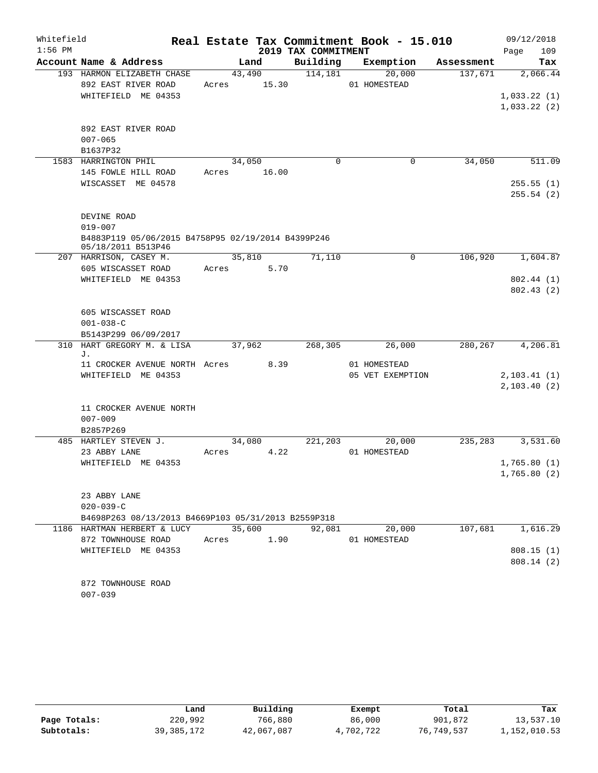| Whitefield |                                                                                    |            |        |                     | Real Estate Tax Commitment Book - 15.010 |            | 09/12/2018   |
|------------|------------------------------------------------------------------------------------|------------|--------|---------------------|------------------------------------------|------------|--------------|
| $1:56$ PM  |                                                                                    |            |        | 2019 TAX COMMITMENT |                                          |            | 109<br>Page  |
|            | Account Name & Address                                                             |            | Land   | Building            | Exemption                                | Assessment | Tax          |
|            | 193 HARMON ELIZABETH CHASE                                                         |            | 43,490 | 114,181             | 20,000                                   | 137,671    | 2,066.44     |
|            | 892 EAST RIVER ROAD                                                                | Acres      | 15.30  |                     | 01 HOMESTEAD                             |            |              |
|            | WHITEFIELD ME 04353                                                                |            |        |                     |                                          |            | 1,033.22(1)  |
|            |                                                                                    |            |        |                     |                                          |            | 1,033.22(2)  |
|            |                                                                                    |            |        |                     |                                          |            |              |
|            | 892 EAST RIVER ROAD                                                                |            |        |                     |                                          |            |              |
|            | $007 - 065$                                                                        |            |        |                     |                                          |            |              |
|            | B1637P32                                                                           |            |        |                     |                                          |            |              |
|            | 1583 HARRINGTON PHIL                                                               |            | 34,050 | $\mathbf 0$         | $\mathbf 0$                              | 34,050     | 511.09       |
|            | 145 FOWLE HILL ROAD<br>WISCASSET ME 04578                                          | Acres      | 16.00  |                     |                                          |            | 255.55(1)    |
|            |                                                                                    |            |        |                     |                                          |            | 255.54(2)    |
|            |                                                                                    |            |        |                     |                                          |            |              |
|            | DEVINE ROAD                                                                        |            |        |                     |                                          |            |              |
|            | $019 - 007$                                                                        |            |        |                     |                                          |            |              |
|            | B4883P119 05/06/2015 B4758P95 02/19/2014 B4399P246                                 |            |        |                     |                                          |            |              |
|            | 05/18/2011 B513P46                                                                 |            |        |                     |                                          |            |              |
|            | 207 HARRISON, CASEY M.                                                             |            | 35,810 | 71,110              | 0                                        | 106,920    | 1,604.87     |
|            | 605 WISCASSET ROAD                                                                 | Acres      | 5.70   |                     |                                          |            |              |
|            | WHITEFIELD ME 04353                                                                |            |        |                     |                                          |            | 802.44 (1)   |
|            |                                                                                    |            |        |                     |                                          |            | 802.43(2)    |
|            |                                                                                    |            |        |                     |                                          |            |              |
|            | 605 WISCASSET ROAD                                                                 |            |        |                     |                                          |            |              |
|            | $001 - 038 - C$                                                                    |            |        |                     |                                          |            |              |
|            | B5143P299 06/09/2017                                                               |            |        |                     |                                          |            |              |
|            | 310 HART GREGORY M. & LISA<br>J.                                                   |            | 37,962 | 268,305             | 26,000                                   | 280,267    | 4,206.81     |
|            | 11 CROCKER AVENUE NORTH Acres                                                      |            | 8.39   |                     | 01 HOMESTEAD                             |            |              |
|            | WHITEFIELD ME 04353                                                                |            |        |                     | 05 VET EXEMPTION                         |            | 2, 103.41(1) |
|            |                                                                                    |            |        |                     |                                          |            | 2, 103.40(2) |
|            |                                                                                    |            |        |                     |                                          |            |              |
|            | 11 CROCKER AVENUE NORTH                                                            |            |        |                     |                                          |            |              |
|            | $007 - 009$                                                                        |            |        |                     |                                          |            |              |
|            | B2857P269                                                                          |            |        |                     |                                          |            |              |
|            | 485 HARTLEY STEVEN J.                                                              |            | 34,080 | 221, 203            | 20,000                                   | 235,283    | 3,531.60     |
|            | 23 ABBY LANE                                                                       | Acres      | 4.22   |                     | 01 HOMESTEAD                             |            |              |
|            | WHITEFIELD ME 04353                                                                |            |        |                     |                                          |            | 1,765.80(1)  |
|            |                                                                                    |            |        |                     |                                          |            | 1,765.80(2)  |
|            |                                                                                    |            |        |                     |                                          |            |              |
|            | 23 ABBY LANE                                                                       |            |        |                     |                                          |            |              |
|            | $020 - 039 - C$                                                                    |            |        |                     |                                          |            |              |
|            | B4698P263 08/13/2013 B4669P103 05/31/2013 B2559P318<br>1186 HARTMAN HERBERT & LUCY | 35,600     |        | 92,081              | 20,000                                   | 107,681    | 1,616.29     |
|            | 872 TOWNHOUSE ROAD                                                                 | Acres 1.90 |        |                     | 01 HOMESTEAD                             |            |              |
|            | WHITEFIELD ME 04353                                                                |            |        |                     |                                          |            | 808.15 (1)   |
|            |                                                                                    |            |        |                     |                                          |            | 808.14 (2)   |
|            |                                                                                    |            |        |                     |                                          |            |              |
|            | 872 TOWNHOUSE ROAD                                                                 |            |        |                     |                                          |            |              |
|            | $007 - 039$                                                                        |            |        |                     |                                          |            |              |

|              | Land       | Building   | Exempt    | Total      | Tax          |
|--------------|------------|------------|-----------|------------|--------------|
| Page Totals: | 220,992    | 766,880    | 86,000    | 901,872    | 13,537.10    |
| Subtotals:   | 39,385,172 | 42,067,087 | 4,702,722 | 76,749,537 | 1,152,010.53 |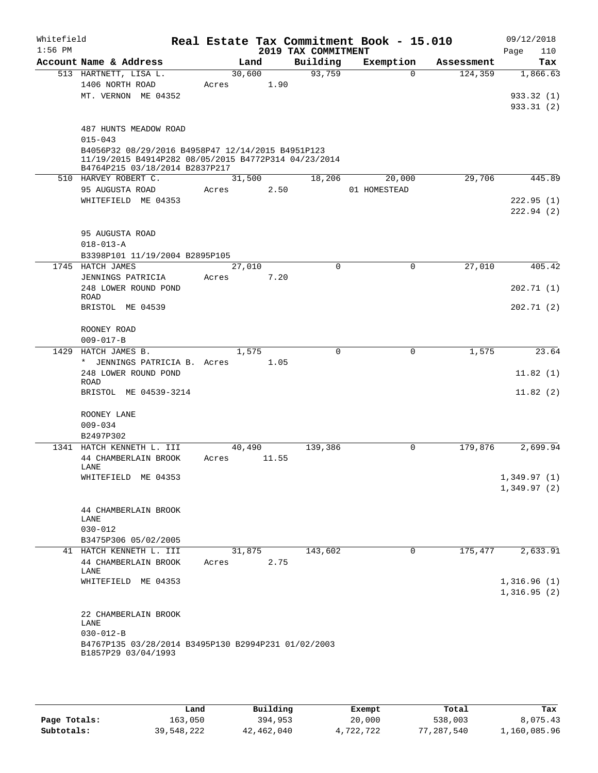| Whitefield<br>$1:56$ PM |                                                                                                                                             |                 |       | 2019 TAX COMMITMENT | Real Estate Tax Commitment Book - 15.010 |            | 09/12/2018<br>110<br>Page |
|-------------------------|---------------------------------------------------------------------------------------------------------------------------------------------|-----------------|-------|---------------------|------------------------------------------|------------|---------------------------|
|                         | Account Name & Address                                                                                                                      | Land            |       | Building            | Exemption                                | Assessment | Tax                       |
|                         | 513 HARTNETT, LISA L.<br>1406 NORTH ROAD                                                                                                    | 30,600<br>Acres | 1.90  | 93,759              | $\Omega$                                 | 124,359    | 1,866.63                  |
|                         | MT. VERNON ME 04352                                                                                                                         |                 |       |                     |                                          |            | 933.32 (1)<br>933.31 (2)  |
|                         | 487 HUNTS MEADOW ROAD<br>$015 - 043$                                                                                                        |                 |       |                     |                                          |            |                           |
|                         | B4056P32 08/29/2016 B4958P47 12/14/2015 B4951P123<br>11/19/2015 B4914P282 08/05/2015 B4772P314 04/23/2014<br>B4764P215 03/18/2014 B2837P217 |                 |       |                     |                                          |            |                           |
|                         | 510 HARVEY ROBERT C.                                                                                                                        | 31,500          |       | 18,206              | 20,000                                   | 29,706     | 445.89                    |
|                         | 95 AUGUSTA ROAD                                                                                                                             | Acres           | 2.50  |                     | 01 HOMESTEAD                             |            |                           |
|                         | WHITEFIELD ME 04353                                                                                                                         |                 |       |                     |                                          |            | 222.95(1)<br>222.94(2)    |
|                         | 95 AUGUSTA ROAD                                                                                                                             |                 |       |                     |                                          |            |                           |
|                         | $018 - 013 - A$                                                                                                                             |                 |       |                     |                                          |            |                           |
|                         | B3398P101 11/19/2004 B2895P105                                                                                                              |                 |       |                     |                                          |            |                           |
|                         | 1745 HATCH JAMES                                                                                                                            | 27,010          |       | $\mathbf 0$         | 0                                        | 27,010     | 405.42                    |
|                         | JENNINGS PATRICIA                                                                                                                           | Acres           | 7.20  |                     |                                          |            |                           |
|                         | 248 LOWER ROUND POND                                                                                                                        |                 |       |                     |                                          |            | 202.71(1)                 |
|                         | <b>ROAD</b><br>BRISTOL ME 04539                                                                                                             |                 |       |                     |                                          |            | 202.71(2)                 |
|                         |                                                                                                                                             |                 |       |                     |                                          |            |                           |
|                         | ROONEY ROAD                                                                                                                                 |                 |       |                     |                                          |            |                           |
| 1429                    | $009 - 017 - B$<br>HATCH JAMES B.                                                                                                           | 1,575           |       | $\mathbf 0$         | 0                                        | 1,575      | 23.64                     |
|                         | * JENNINGS PATRICIA B. Acres                                                                                                                |                 | 1.05  |                     |                                          |            |                           |
|                         | 248 LOWER ROUND POND<br>ROAD                                                                                                                |                 |       |                     |                                          |            | 11.82(1)                  |
|                         | BRISTOL ME 04539-3214                                                                                                                       |                 |       |                     |                                          |            | 11.82(2)                  |
|                         | ROONEY LANE                                                                                                                                 |                 |       |                     |                                          |            |                           |
|                         | $009 - 034$                                                                                                                                 |                 |       |                     |                                          |            |                           |
|                         | B2497P302                                                                                                                                   |                 |       |                     |                                          |            |                           |
| 1341                    | HATCH KENNETH L. III                                                                                                                        | 40,490          |       | 139,386             | 0                                        | 179,876    | 2,699.94                  |
|                         | 44 CHAMBERLAIN BROOK<br>LANE                                                                                                                | Acres           | 11.55 |                     |                                          |            |                           |
|                         | WHITEFIELD ME 04353                                                                                                                         |                 |       |                     |                                          |            | 1,349.97(1)               |
|                         |                                                                                                                                             |                 |       |                     |                                          |            | 1,349.97(2)               |
|                         | 44 CHAMBERLAIN BROOK                                                                                                                        |                 |       |                     |                                          |            |                           |
|                         | LANE                                                                                                                                        |                 |       |                     |                                          |            |                           |
|                         | $030 - 012$                                                                                                                                 |                 |       |                     |                                          |            |                           |
|                         | B3475P306 05/02/2005<br>41 HATCH KENNETH L. III                                                                                             | 31,875          |       | 143,602             | 0                                        | 175,477    | 2,633.91                  |
|                         | 44 CHAMBERLAIN BROOK<br>LANE                                                                                                                | Acres           | 2.75  |                     |                                          |            |                           |
|                         | WHITEFIELD ME 04353                                                                                                                         |                 |       |                     |                                          |            | 1,316.96(1)               |
|                         |                                                                                                                                             |                 |       |                     |                                          |            | 1,316.95(2)               |
|                         | 22 CHAMBERLAIN BROOK<br>LANE                                                                                                                |                 |       |                     |                                          |            |                           |
|                         | $030 - 012 - B$                                                                                                                             |                 |       |                     |                                          |            |                           |
|                         | B4767P135 03/28/2014 B3495P130 B2994P231 01/02/2003<br>B1857P29 03/04/1993                                                                  |                 |       |                     |                                          |            |                           |
|                         |                                                                                                                                             |                 |       |                     |                                          |            |                           |

|              | Land       | Building   | Exempt    | Total      | Tax          |
|--------------|------------|------------|-----------|------------|--------------|
| Page Totals: | 163,050    | 394,953    | 20,000    | 538,003    | 8,075.43     |
| Subtotals:   | 39,548,222 | 42,462,040 | 4,722,722 | 77,287,540 | 1,160,085.96 |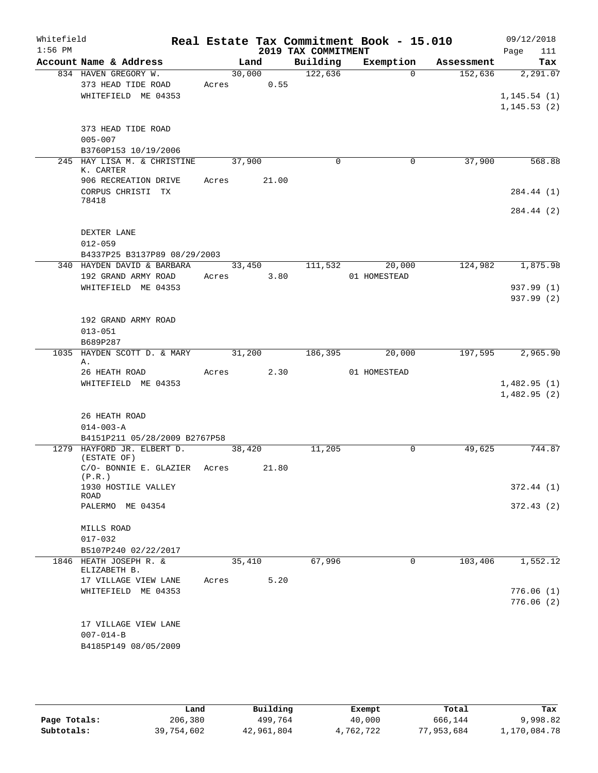| Whitefield<br>$1:56$ PM |                                                                   |                      |                | 2019 TAX COMMITMENT | Real Estate Tax Commitment Book - 15.010 |            | 09/12/2018<br>Page<br>111                |
|-------------------------|-------------------------------------------------------------------|----------------------|----------------|---------------------|------------------------------------------|------------|------------------------------------------|
|                         | Account Name & Address                                            |                      | Land           | Building            | Exemption                                | Assessment | Tax                                      |
|                         | 834 HAVEN GREGORY W.<br>373 HEAD TIDE ROAD<br>WHITEFIELD ME 04353 | 30,000<br>Acres 0.55 |                | 122,636             | $\Omega$                                 | 152,636    | 2,291.07<br>1, 145.54(1)<br>1, 145.53(2) |
|                         | 373 HEAD TIDE ROAD<br>$005 - 007$<br>B3760P153 10/19/2006         |                      |                |                     |                                          |            |                                          |
|                         | 245 HAY LISA M. & CHRISTINE<br>K. CARTER<br>906 RECREATION DRIVE  | 37,900<br>Acres      | 21.00          | $\Omega$            | 0                                        | 37,900     | 568.88                                   |
|                         | CORPUS CHRISTI TX<br>78418                                        |                      |                |                     |                                          |            | 284.44 (1)                               |
|                         | DEXTER LANE<br>$012 - 059$                                        |                      |                |                     |                                          |            | 284.44 (2)                               |
|                         | B4337P25 B3137P89 08/29/2003                                      |                      |                |                     |                                          |            |                                          |
|                         | 340 HAYDEN DAVID & BARBARA<br>192 GRAND ARMY ROAD                 | Acres                | 33,450<br>3.80 | 111,532             | 20,000<br>01 HOMESTEAD                   | 124,982    | 1,875.98                                 |
|                         | WHITEFIELD ME 04353                                               |                      |                |                     |                                          |            | 937.99 (1)<br>937.99 (2)                 |
|                         | 192 GRAND ARMY ROAD<br>$013 - 051$<br>B689P287                    |                      |                |                     |                                          |            |                                          |
|                         | 1035 HAYDEN SCOTT D. & MARY<br>Α.                                 | 31,200               |                | 186,395             | 20,000                                   | 197,595    | 2,965.90                                 |
|                         | 26 HEATH ROAD<br>WHITEFIELD ME 04353                              | Acres 2.30           |                |                     | 01 HOMESTEAD                             |            | 1,482.95(1)<br>1,482.95(2)               |
|                         | 26 HEATH ROAD<br>$014 - 003 - A$<br>B4151P211 05/28/2009 B2767P58 |                      |                |                     |                                          |            |                                          |
|                         | 1279 HAYFORD JR. ELBERT D.                                        | 38,420               |                | 11,205              | 0                                        | 49,625     | 744.87                                   |
|                         | (ESTATE OF)<br>C/O- BONNIE E. GLAZIER<br>(P.R.)                   | Acres                | 21.80          |                     |                                          |            |                                          |
|                         | 1930 HOSTILE VALLEY<br>ROAD                                       |                      |                |                     |                                          |            | 372.44(1)                                |
|                         | PALERMO ME 04354                                                  |                      |                |                     |                                          |            | 372.43(2)                                |
|                         | MILLS ROAD<br>$017 - 032$<br>B5107P240 02/22/2017                 |                      |                |                     |                                          |            |                                          |
|                         | 1846 HEATH JOSEPH R. &                                            | 35,410               |                | 67,996              | $\mathbf 0$                              | 103,406    | 1,552.12                                 |
|                         | ELIZABETH B.<br>17 VILLAGE VIEW LANE<br>WHITEFIELD ME 04353       | Acres                | 5.20           |                     |                                          |            | 776.06(1)                                |
|                         | 17 VILLAGE VIEW LANE<br>$007 - 014 - B$<br>B4185P149 08/05/2009   |                      |                |                     |                                          |            | 776.06(2)                                |

|              | Land       | Building   | Exempt    | Total      | Tax          |
|--------------|------------|------------|-----------|------------|--------------|
| Page Totals: | 206,380    | 499,764    | 40,000    | 666,144    | 9,998.82     |
| Subtotals:   | 39,754,602 | 42,961,804 | 4,762,722 | 77,953,684 | 1,170,084.78 |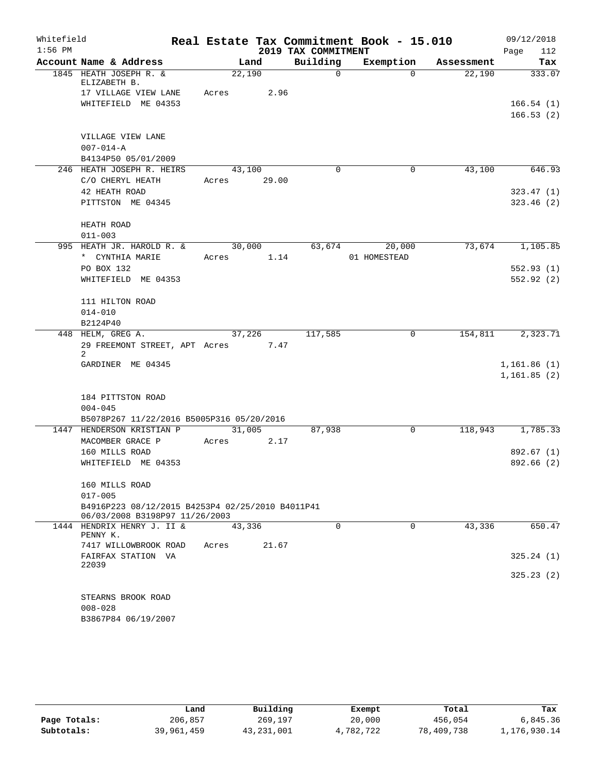| Whitefield<br>$1:56$ PM |                                                                                    |             |        | 2019 TAX COMMITMENT | Real Estate Tax Commitment Book - 15.010 |            | 09/12/2018<br>Page<br>112 |
|-------------------------|------------------------------------------------------------------------------------|-------------|--------|---------------------|------------------------------------------|------------|---------------------------|
|                         | Account Name & Address                                                             |             | Land   | Building            | Exemption                                | Assessment | Tax                       |
|                         | 1845 HEATH JOSEPH R. &<br>ELIZABETH B.                                             | 22,190      |        | $\Omega$            | $\Omega$                                 | 22,190     | 333.07                    |
|                         | 17 VILLAGE VIEW LANE                                                               | Acres       | 2.96   |                     |                                          |            |                           |
|                         | WHITEFIELD ME 04353                                                                |             |        |                     |                                          |            | 166.54(1)                 |
|                         |                                                                                    |             |        |                     |                                          |            | 166.53(2)                 |
|                         | VILLAGE VIEW LANE                                                                  |             |        |                     |                                          |            |                           |
|                         | $007 - 014 - A$                                                                    |             |        |                     |                                          |            |                           |
|                         | B4134P50 05/01/2009                                                                |             |        |                     |                                          |            |                           |
|                         | 246 HEATH JOSEPH R. HEIRS                                                          | 43,100      |        | $\Omega$            | 0                                        | 43,100     | 646.93                    |
|                         | C/O CHERYL HEATH                                                                   | Acres 29.00 |        |                     |                                          |            |                           |
|                         | 42 HEATH ROAD                                                                      |             |        |                     |                                          |            | 323.47(1)                 |
|                         | PITTSTON ME 04345                                                                  |             |        |                     |                                          |            | 323.46(2)                 |
|                         | HEATH ROAD                                                                         |             |        |                     |                                          |            |                           |
|                         | $011 - 003$                                                                        |             |        |                     |                                          |            |                           |
|                         | 995 HEATH JR. HAROLD R. &                                                          |             | 30,000 |                     | 63,674<br>20,000                         | 73,674     | 1,105.85                  |
|                         | * CYNTHIA MARIE                                                                    | Acres       | 1.14   |                     | 01 HOMESTEAD                             |            |                           |
|                         | PO BOX 132                                                                         |             |        |                     |                                          |            | 552.93(1)                 |
|                         | WHITEFIELD ME 04353                                                                |             |        |                     |                                          |            | 552.92(2)                 |
|                         | 111 HILTON ROAD                                                                    |             |        |                     |                                          |            |                           |
|                         | $014 - 010$                                                                        |             |        |                     |                                          |            |                           |
|                         | B2124P40                                                                           |             |        |                     |                                          |            |                           |
|                         | 448 HELM, GREG A.                                                                  | 37,226      |        | 117,585             | 0                                        | 154,811    | 2,323.71                  |
|                         | 29 FREEMONT STREET, APT Acres<br>2                                                 |             | 7.47   |                     |                                          |            |                           |
|                         | GARDINER ME 04345                                                                  |             |        |                     |                                          |            | 1,161.86(1)               |
|                         |                                                                                    |             |        |                     |                                          |            | 1,161.85(2)               |
|                         | 184 PITTSTON ROAD                                                                  |             |        |                     |                                          |            |                           |
|                         | $004 - 045$                                                                        |             |        |                     |                                          |            |                           |
|                         | B5078P267 11/22/2016 B5005P316 05/20/2016                                          |             |        |                     |                                          |            |                           |
| 1447                    | HENDERSON KRISTIAN P                                                               | 31,005      |        | 87,938              | 0                                        | 118,943    | 1,785.33                  |
|                         | MACOMBER GRACE P                                                                   | Acres       | 2.17   |                     |                                          |            |                           |
|                         | 160 MILLS ROAD                                                                     |             |        |                     |                                          |            | 892.67 (1)                |
|                         | WHITEFIELD ME 04353                                                                |             |        |                     |                                          |            | 892.66 (2)                |
|                         | 160 MILLS ROAD                                                                     |             |        |                     |                                          |            |                           |
|                         | $017 - 005$                                                                        |             |        |                     |                                          |            |                           |
|                         | B4916P223 08/12/2015 B4253P4 02/25/2010 B4011P41<br>06/03/2008 B3198P97 11/26/2003 |             |        |                     |                                          |            |                           |
|                         | 1444 HENDRIX HENRY J. II &<br>PENNY K.                                             | 43,336      |        | $\Omega$            | $\Omega$                                 | 43,336     | 650.47                    |
|                         | 7417 WILLOWBROOK ROAD                                                              | Acres       | 21.67  |                     |                                          |            |                           |
|                         | FAIRFAX STATION VA                                                                 |             |        |                     |                                          |            | 325.24(1)                 |
|                         | 22039                                                                              |             |        |                     |                                          |            | 325.23(2)                 |
|                         |                                                                                    |             |        |                     |                                          |            |                           |
|                         | STEARNS BROOK ROAD                                                                 |             |        |                     |                                          |            |                           |
|                         | $008 - 028$                                                                        |             |        |                     |                                          |            |                           |
|                         | B3867P84 06/19/2007                                                                |             |        |                     |                                          |            |                           |

|              | Land       | Building   | Exempt    | Total      | Tax          |
|--------------|------------|------------|-----------|------------|--------------|
| Page Totals: | 206,857    | 269,197    | 20,000    | 456,054    | 6,845.36     |
| Subtotals:   | 39,961,459 | 43,231,001 | 4,782,722 | 78,409,738 | 1,176,930.14 |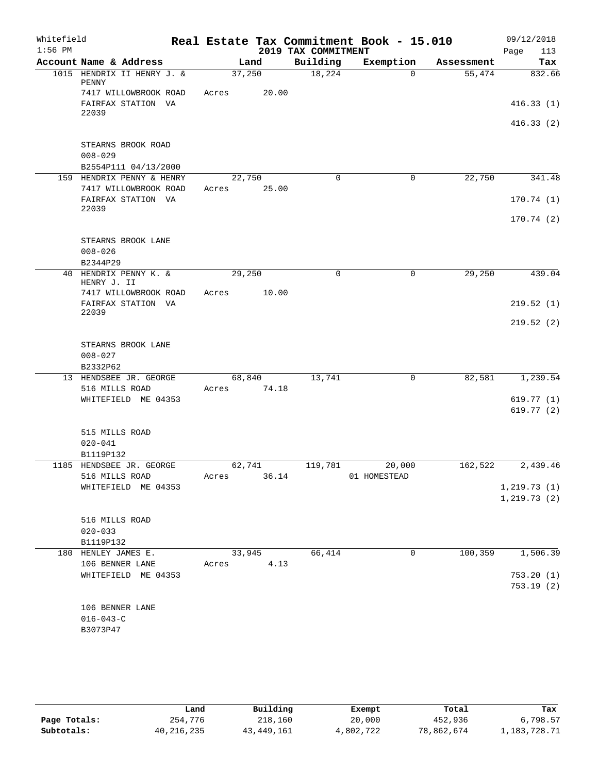| Whitefield<br>$1:56$ PM |                                             |       |        |       | 2019 TAX COMMITMENT | Real Estate Tax Commitment Book - 15.010 |             |            | 09/12/2018<br>Page<br>113 |
|-------------------------|---------------------------------------------|-------|--------|-------|---------------------|------------------------------------------|-------------|------------|---------------------------|
|                         | Account Name & Address                      |       | Land   |       | Building            | Exemption                                |             | Assessment | Tax                       |
|                         | 1015 HENDRIX II HENRY J. &<br>PENNY         |       | 37,250 |       | 18,224              |                                          | $\mathbf 0$ | 55,474     | 832.66                    |
|                         | 7417 WILLOWBROOK ROAD<br>FAIRFAX STATION VA | Acres |        | 20.00 |                     |                                          |             |            | 416.33(1)                 |
|                         | 22039                                       |       |        |       |                     |                                          |             |            | 416.33(2)                 |
|                         | STEARNS BROOK ROAD<br>$008 - 029$           |       |        |       |                     |                                          |             |            |                           |
|                         | B2554P111 04/13/2000                        |       |        |       |                     |                                          |             |            |                           |
|                         | 159 HENDRIX PENNY & HENRY                   |       | 22,750 |       | $\mathbf 0$         |                                          | $\mathbf 0$ | 22,750     | 341.48                    |
|                         | 7417 WILLOWBROOK ROAD                       | Acres |        | 25.00 |                     |                                          |             |            |                           |
|                         | FAIRFAX STATION VA<br>22039                 |       |        |       |                     |                                          |             |            | 170.74(1)                 |
|                         |                                             |       |        |       |                     |                                          |             |            | 170.74(2)                 |
|                         | STEARNS BROOK LANE                          |       |        |       |                     |                                          |             |            |                           |
|                         | $008 - 026$<br>B2344P29                     |       |        |       |                     |                                          |             |            |                           |
| 40                      | HENDRIX PENNY K. &<br>HENRY J. II           |       | 29,250 |       | $\mathbf 0$         |                                          | $\mathbf 0$ | 29,250     | 439.04                    |
|                         | 7417 WILLOWBROOK ROAD                       | Acres |        | 10.00 |                     |                                          |             |            |                           |
|                         | FAIRFAX STATION VA                          |       |        |       |                     |                                          |             |            | 219.52(1)                 |
|                         | 22039                                       |       |        |       |                     |                                          |             |            | 219.52(2)                 |
|                         | STEARNS BROOK LANE                          |       |        |       |                     |                                          |             |            |                           |
|                         | $008 - 027$<br>B2332P62                     |       |        |       |                     |                                          |             |            |                           |
|                         | 13 HENDSBEE JR. GEORGE                      |       | 68,840 |       | 13,741              |                                          | 0           | 82,581     | 1,239.54                  |
|                         | 516 MILLS ROAD                              | Acres |        | 74.18 |                     |                                          |             |            |                           |
|                         | WHITEFIELD ME 04353                         |       |        |       |                     |                                          |             |            | 619.77(1)                 |
|                         |                                             |       |        |       |                     |                                          |             |            | 619.77(2)                 |
|                         | 515 MILLS ROAD                              |       |        |       |                     |                                          |             |            |                           |
|                         | $020 - 041$                                 |       |        |       |                     |                                          |             |            |                           |
|                         | B1119P132                                   |       |        |       | 119,781             |                                          |             | 162,522    | 2,439.46                  |
|                         | 1185 HENDSBEE JR. GEORGE<br>516 MILLS ROAD  | Acres | 62,741 | 36.14 |                     | 20,000<br>01 HOMESTEAD                   |             |            |                           |
|                         | WHITEFIELD ME 04353                         |       |        |       |                     |                                          |             |            | 1, 219.73(1)              |
|                         |                                             |       |        |       |                     |                                          |             |            | 1, 219.73(2)              |
|                         | 516 MILLS ROAD                              |       |        |       |                     |                                          |             |            |                           |
|                         | $020 - 033$                                 |       |        |       |                     |                                          |             |            |                           |
|                         | B1119P132                                   |       |        |       |                     |                                          |             |            |                           |
|                         | 180 HENLEY JAMES E.                         |       | 33,945 |       | 66,414              |                                          | 0           | 100, 359   | 1,506.39                  |
|                         | 106 BENNER LANE                             | Acres |        | 4.13  |                     |                                          |             |            |                           |
|                         | WHITEFIELD ME 04353                         |       |        |       |                     |                                          |             |            | 753.20(1)                 |
|                         |                                             |       |        |       |                     |                                          |             |            | 753.19(2)                 |
|                         | 106 BENNER LANE                             |       |        |       |                     |                                          |             |            |                           |
|                         | $016 - 043 - C$                             |       |        |       |                     |                                          |             |            |                           |
|                         | B3073P47                                    |       |        |       |                     |                                          |             |            |                           |
|                         |                                             |       |        |       |                     |                                          |             |            |                           |

|              | Land       | Building   | Exempt    | Total      | Tax          |
|--------------|------------|------------|-----------|------------|--------------|
| Page Totals: | 254,776    | 218,160    | 20,000    | 452,936    | 6,798.57     |
| Subtotals:   | 40,216,235 | 43,449,161 | 4,802,722 | 78,862,674 | 1,183,728.71 |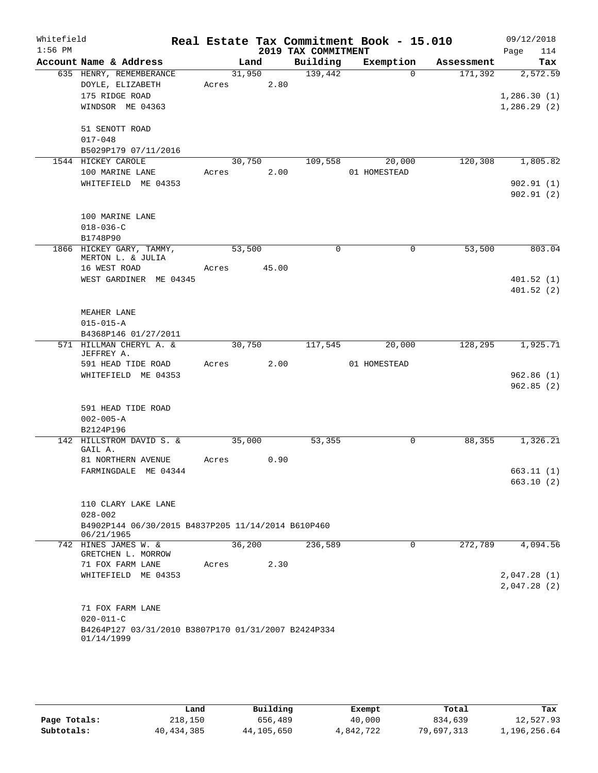| Whitefield<br>$1:56$ PM |                                                                  |       |             |      | 2019 TAX COMMITMENT | Real Estate Tax Commitment Book - 15.010 |                      | 09/12/2018<br>114<br>Page |
|-------------------------|------------------------------------------------------------------|-------|-------------|------|---------------------|------------------------------------------|----------------------|---------------------------|
|                         | Account Name & Address                                           |       | Land        |      | Building            |                                          | Exemption Assessment | Tax                       |
|                         | 635 HENRY, REMEMBERANCE                                          |       | 31,950      |      | 139,442             | $\Omega$                                 | 171,392              | 2,572.59                  |
|                         | DOYLE, ELIZABETH                                                 |       | Acres 2.80  |      |                     |                                          |                      |                           |
|                         | 175 RIDGE ROAD                                                   |       |             |      |                     |                                          |                      | 1,286.30(1)               |
|                         | WINDSOR ME 04363                                                 |       |             |      |                     |                                          |                      | 1,286.29(2)               |
|                         |                                                                  |       |             |      |                     |                                          |                      |                           |
|                         | 51 SENOTT ROAD                                                   |       |             |      |                     |                                          |                      |                           |
|                         | $017 - 048$                                                      |       |             |      |                     |                                          |                      |                           |
|                         | B5029P179 07/11/2016                                             |       |             |      |                     |                                          |                      |                           |
|                         | 1544 HICKEY CAROLE                                               |       |             |      |                     | 30,750 109,558 20,000                    | 120, 308             | 1,805.82                  |
|                         | 100 MARINE LANE                                                  |       | Acres 2.00  |      |                     | 01 HOMESTEAD                             |                      |                           |
|                         | WHITEFIELD ME 04353                                              |       |             |      |                     |                                          |                      | 902.91(1)                 |
|                         |                                                                  |       |             |      |                     |                                          |                      | 902.91(2)                 |
|                         |                                                                  |       |             |      |                     |                                          |                      |                           |
|                         | 100 MARINE LANE                                                  |       |             |      |                     |                                          |                      |                           |
|                         | $018 - 036 - C$                                                  |       |             |      |                     |                                          |                      |                           |
|                         | B1748P90                                                         |       |             |      |                     |                                          |                      |                           |
|                         | 1866 HICKEY GARY, TAMMY,<br>MERTON L. & JULIA                    |       | 53,500      |      | $\Omega$            | $\Omega$                                 | 53,500               | 803.04                    |
|                         | 16 WEST ROAD                                                     |       | Acres 45.00 |      |                     |                                          |                      |                           |
|                         | WEST GARDINER ME 04345                                           |       |             |      |                     |                                          |                      |                           |
|                         |                                                                  |       |             |      |                     |                                          |                      | 401.52(1)<br>401.52(2)    |
|                         |                                                                  |       |             |      |                     |                                          |                      |                           |
|                         | MEAHER LANE                                                      |       |             |      |                     |                                          |                      |                           |
|                         | $015 - 015 - A$                                                  |       |             |      |                     |                                          |                      |                           |
|                         | B4368P146 01/27/2011                                             |       |             |      |                     |                                          |                      |                           |
|                         | 571 HILLMAN CHERYL A. &                                          |       | 30,750      |      | 117,545             | 20,000                                   | 128,295              | 1,925.71                  |
|                         | JEFFREY A.                                                       |       |             |      |                     |                                          |                      |                           |
|                         | 591 HEAD TIDE ROAD                                               |       | Acres 2.00  |      |                     | 01 HOMESTEAD                             |                      |                           |
|                         | WHITEFIELD ME 04353                                              |       |             |      |                     |                                          |                      | 962.86(1)                 |
|                         |                                                                  |       |             |      |                     |                                          |                      | 962.85(2)                 |
|                         |                                                                  |       |             |      |                     |                                          |                      |                           |
|                         | 591 HEAD TIDE ROAD                                               |       |             |      |                     |                                          |                      |                           |
|                         | $002 - 005 - A$                                                  |       |             |      |                     |                                          |                      |                           |
|                         | B2124P196                                                        |       |             |      |                     |                                          |                      |                           |
|                         | 142 HILLSTROM DAVID S. &                                         |       | 35,000      |      | 53,355              | 0                                        | 88,355               | 1,326.21                  |
|                         | GAIL A.                                                          |       |             |      |                     |                                          |                      |                           |
|                         | 81 NORTHERN AVENUE                                               | Acres |             | 0.90 |                     |                                          |                      |                           |
|                         | FARMINGDALE ME 04344                                             |       |             |      |                     |                                          |                      | 663.11(1)                 |
|                         |                                                                  |       |             |      |                     |                                          |                      | 663.10(2)                 |
|                         |                                                                  |       |             |      |                     |                                          |                      |                           |
|                         | 110 CLARY LAKE LANE                                              |       |             |      |                     |                                          |                      |                           |
|                         | $028 - 002$                                                      |       |             |      |                     |                                          |                      |                           |
|                         | B4902P144 06/30/2015 B4837P205 11/14/2014 B610P460<br>06/21/1965 |       |             |      |                     |                                          |                      |                           |
|                         | 742 HINES JAMES W. &                                             |       | 36,200      |      | 236,589             | $\Omega$                                 | 272,789              | 4,094.56                  |
|                         | GRETCHEN L. MORROW                                               |       |             |      |                     |                                          |                      |                           |
|                         | 71 FOX FARM LANE                                                 | Acres |             | 2.30 |                     |                                          |                      |                           |
|                         | WHITEFIELD ME 04353                                              |       |             |      |                     |                                          |                      | 2,047.28(1)               |
|                         |                                                                  |       |             |      |                     |                                          |                      | 2,047.28(2)               |
|                         |                                                                  |       |             |      |                     |                                          |                      |                           |
|                         | 71 FOX FARM LANE                                                 |       |             |      |                     |                                          |                      |                           |
|                         | $020 - 011 - C$                                                  |       |             |      |                     |                                          |                      |                           |
|                         | B4264P127 03/31/2010 B3807P170 01/31/2007 B2424P334              |       |             |      |                     |                                          |                      |                           |
|                         | 01/14/1999                                                       |       |             |      |                     |                                          |                      |                           |
|                         |                                                                  |       |             |      |                     |                                          |                      |                           |

|              | Land         | Building   | Exempt    | Total      | Tax          |
|--------------|--------------|------------|-----------|------------|--------------|
| Page Totals: | 218,150      | 656,489    | 40,000    | 834,639    | 12,527.93    |
| Subtotals:   | 40, 434, 385 | 44,105,650 | 4,842,722 | 79,697,313 | 1,196,256.64 |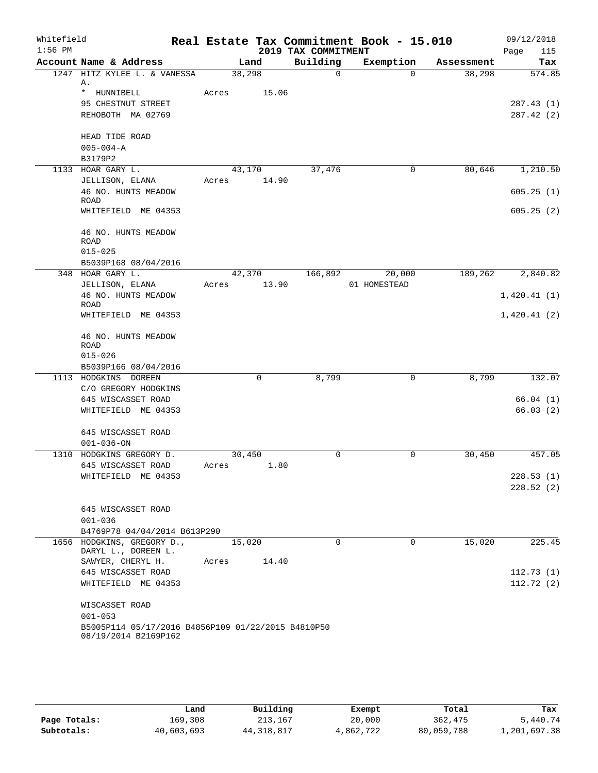| Whitefield<br>$1:56$ PM |                                                    |        |             | 2019 TAX COMMITMENT | Real Estate Tax Commitment Book - 15.010 |            | 09/12/2018<br>115<br>Page |
|-------------------------|----------------------------------------------------|--------|-------------|---------------------|------------------------------------------|------------|---------------------------|
|                         | Account Name & Address                             |        | Land        | Building            | Exemption                                | Assessment | Tax                       |
|                         | 1247 HITZ KYLEE L. & VANESSA<br>Α.                 | 38,298 |             | $\Omega$            | $\Omega$                                 | 38,298     | 574.85                    |
|                         | * HUNNIBELL                                        | Acres  | 15.06       |                     |                                          |            |                           |
|                         | 95 CHESTNUT STREET                                 |        |             |                     |                                          |            | 287.43(1)                 |
|                         | REHOBOTH MA 02769                                  |        |             |                     |                                          |            | 287.42(2)                 |
|                         | HEAD TIDE ROAD                                     |        |             |                     |                                          |            |                           |
|                         | $005 - 004 - A$                                    |        |             |                     |                                          |            |                           |
|                         | B3179P2                                            |        |             |                     |                                          |            |                           |
|                         | 1133 HOAR GARY L.                                  | 43,170 |             | 37,476              | 0                                        | 80,646     | 1,210.50                  |
|                         | JELLISON, ELANA                                    | Acres  | 14.90       |                     |                                          |            |                           |
|                         | 46 NO. HUNTS MEADOW                                |        |             |                     |                                          |            | 605.25(1)                 |
|                         | <b>ROAD</b>                                        |        |             |                     |                                          |            |                           |
|                         | WHITEFIELD ME 04353                                |        |             |                     |                                          |            | 605.25(2)                 |
|                         | 46 NO. HUNTS MEADOW                                |        |             |                     |                                          |            |                           |
|                         | ROAD                                               |        |             |                     |                                          |            |                           |
|                         | $015 - 025$                                        |        |             |                     |                                          |            |                           |
|                         | B5039P168 08/04/2016                               |        |             |                     |                                          |            |                           |
|                         | 348 HOAR GARY L.                                   | 42,370 |             | 166,892             | 20,000                                   | 189,262    | 2,840.82                  |
|                         | JELLISON, ELANA                                    | Acres  | 13.90       |                     | 01 HOMESTEAD                             |            |                           |
|                         | 46 NO. HUNTS MEADOW                                |        |             |                     |                                          |            | 1,420.41(1)               |
|                         | ROAD<br>WHITEFIELD ME 04353                        |        |             |                     |                                          |            | 1,420.41(2)               |
|                         |                                                    |        |             |                     |                                          |            |                           |
|                         | 46 NO. HUNTS MEADOW                                |        |             |                     |                                          |            |                           |
|                         | <b>ROAD</b>                                        |        |             |                     |                                          |            |                           |
|                         | $015 - 026$                                        |        |             |                     |                                          |            |                           |
|                         | B5039P166 08/04/2016                               |        |             |                     |                                          |            |                           |
|                         | 1113 HODGKINS DOREEN                               |        | $\mathbf 0$ | 8,799               | 0                                        | 8,799      | 132.07                    |
|                         | C/O GREGORY HODGKINS                               |        |             |                     |                                          |            |                           |
|                         | 645 WISCASSET ROAD                                 |        |             |                     |                                          |            | 66.04(1)                  |
|                         | WHITEFIELD ME 04353                                |        |             |                     |                                          |            | 66.03(2)                  |
|                         | 645 WISCASSET ROAD                                 |        |             |                     |                                          |            |                           |
|                         | $001 - 036 - ON$                                   |        |             |                     |                                          |            |                           |
|                         | 1310 HODGKINS GREGORY D.                           | 30,450 |             | 0                   | 0                                        | 30,450     | 457.05                    |
|                         | 645 WISCASSET ROAD                                 | Acres  | 1.80        |                     |                                          |            |                           |
|                         | WHITEFIELD ME 04353                                |        |             |                     |                                          |            | 228.53(1)                 |
|                         |                                                    |        |             |                     |                                          |            | 228.52(2)                 |
|                         | 645 WISCASSET ROAD                                 |        |             |                     |                                          |            |                           |
|                         | $001 - 036$                                        |        |             |                     |                                          |            |                           |
|                         | B4769P78 04/04/2014 B613P290                       |        |             |                     |                                          |            |                           |
|                         | 1656 HODGKINS, GREGORY D.,                         | 15,020 |             | $\Omega$            | $\Omega$                                 | 15,020     | 225.45                    |
|                         | DARYL L., DOREEN L.                                |        |             |                     |                                          |            |                           |
|                         | SAWYER, CHERYL H.                                  | Acres  | 14.40       |                     |                                          |            |                           |
|                         | 645 WISCASSET ROAD                                 |        |             |                     |                                          |            | 112.73(1)                 |
|                         | WHITEFIELD ME 04353                                |        |             |                     |                                          |            | 112.72(2)                 |
|                         | WISCASSET ROAD                                     |        |             |                     |                                          |            |                           |
|                         | $001 - 053$                                        |        |             |                     |                                          |            |                           |
|                         | B5005P114 05/17/2016 B4856P109 01/22/2015 B4810P50 |        |             |                     |                                          |            |                           |
|                         | 08/19/2014 B2169P162                               |        |             |                     |                                          |            |                           |

|              | Land       | Building     | Exempt    | Total      | Tax          |
|--------------|------------|--------------|-----------|------------|--------------|
| Page Totals: | 169,308    | 213,167      | 20,000    | 362,475    | 5,440.74     |
| Subtotals:   | 40,603,693 | 44, 318, 817 | 4,862,722 | 80,059,788 | 1,201,697.38 |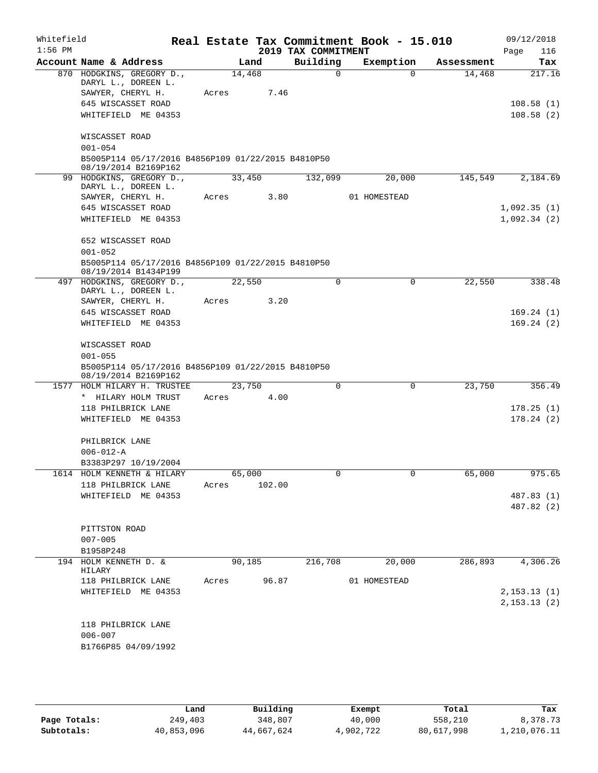| Whitefield |                                                                            |        |        |            |                     | Real Estate Tax Commitment Book - 15.010 |            | 09/12/2018   |
|------------|----------------------------------------------------------------------------|--------|--------|------------|---------------------|------------------------------------------|------------|--------------|
| $1:56$ PM  |                                                                            |        |        |            | 2019 TAX COMMITMENT |                                          |            | 116<br>Page  |
|            | Account Name & Address                                                     |        | Land   |            | Building            | Exemption                                | Assessment | Tax          |
|            | 870 HODGKINS, GREGORY D.,<br>DARYL L., DOREEN L.                           |        | 14,468 |            | $\Omega$            | 0                                        | 14,468     | 217.16       |
|            | SAWYER, CHERYL H.                                                          | Acres  |        | 7.46       |                     |                                          |            |              |
|            | 645 WISCASSET ROAD                                                         |        |        |            |                     |                                          |            | 108.58(1)    |
|            | WHITEFIELD ME 04353                                                        |        |        |            |                     |                                          |            | 108.58(2)    |
|            |                                                                            |        |        |            |                     |                                          |            |              |
|            | WISCASSET ROAD                                                             |        |        |            |                     |                                          |            |              |
|            | $001 - 054$                                                                |        |        |            |                     |                                          |            |              |
|            | B5005P114 05/17/2016 B4856P109 01/22/2015 B4810P50<br>08/19/2014 B2169P162 |        |        |            |                     |                                          |            |              |
|            | 99 HODGKINS, GREGORY D.,                                                   |        | 33,450 |            | 132,099             | 20,000                                   | 145,549    | 2,184.69     |
|            | DARYL L., DOREEN L.<br>SAWYER, CHERYL H.                                   |        |        | Acres 3.80 |                     | 01 HOMESTEAD                             |            |              |
|            | 645 WISCASSET ROAD                                                         |        |        |            |                     |                                          |            | 1,092.35(1)  |
|            | WHITEFIELD ME 04353                                                        |        |        |            |                     |                                          |            | 1,092.34(2)  |
|            |                                                                            |        |        |            |                     |                                          |            |              |
|            | 652 WISCASSET ROAD                                                         |        |        |            |                     |                                          |            |              |
|            | $001 - 052$                                                                |        |        |            |                     |                                          |            |              |
|            | B5005P114 05/17/2016 B4856P109 01/22/2015 B4810P50                         |        |        |            |                     |                                          |            |              |
|            | 08/19/2014 B1434P199                                                       |        |        |            |                     |                                          |            |              |
|            | 497 HODGKINS, GREGORY D.,<br>DARYL L., DOREEN L.                           |        | 22,550 |            | 0                   | $\mathbf 0$                              | 22,550     | 338.48       |
|            | SAWYER, CHERYL H.                                                          | Acres  |        | 3.20       |                     |                                          |            |              |
|            | 645 WISCASSET ROAD                                                         |        |        |            |                     |                                          |            | 169.24(1)    |
|            | WHITEFIELD ME 04353                                                        |        |        |            |                     |                                          |            | 169.24(2)    |
|            |                                                                            |        |        |            |                     |                                          |            |              |
|            | WISCASSET ROAD                                                             |        |        |            |                     |                                          |            |              |
|            | $001 - 055$                                                                |        |        |            |                     |                                          |            |              |
|            | B5005P114 05/17/2016 B4856P109 01/22/2015 B4810P50                         |        |        |            |                     |                                          |            |              |
|            | 08/19/2014 B2169P162<br>1577 HOLM HILARY H. TRUSTEE                        |        | 23,750 |            | $\mathbf 0$         | $\mathbf 0$                              | 23,750     | 356.49       |
|            | * HILARY HOLM TRUST                                                        | Acres  |        | 4.00       |                     |                                          |            |              |
|            | 118 PHILBRICK LANE                                                         |        |        |            |                     |                                          |            | 178.25(1)    |
|            | WHITEFIELD ME 04353                                                        |        |        |            |                     |                                          |            | 178.24(2)    |
|            |                                                                            |        |        |            |                     |                                          |            |              |
|            | PHILBRICK LANE                                                             |        |        |            |                     |                                          |            |              |
|            | $006 - 012 - A$                                                            |        |        |            |                     |                                          |            |              |
|            | B3383P297 10/19/2004                                                       |        |        |            |                     |                                          |            |              |
|            | 1614 HOLM KENNETH & HILARY                                                 | 65,000 |        |            | 0                   | $\overline{0}$                           | 65,000     | 975.65       |
|            | 118 PHILBRICK LANE                                                         | Acres  |        | 102.00     |                     |                                          |            |              |
|            | WHITEFIELD ME 04353                                                        |        |        |            |                     |                                          |            | 487.83 (1)   |
|            |                                                                            |        |        |            |                     |                                          |            | 487.82 (2)   |
|            | PITTSTON ROAD                                                              |        |        |            |                     |                                          |            |              |
|            | $007 - 005$                                                                |        |        |            |                     |                                          |            |              |
|            | B1958P248                                                                  |        |        |            |                     |                                          |            |              |
|            | 194 HOLM KENNETH D. &                                                      |        | 90,185 |            | 216,708             | 20,000                                   | 286,893    | 4,306.26     |
|            | HILARY                                                                     |        |        |            |                     |                                          |            |              |
|            | 118 PHILBRICK LANE                                                         | Acres  |        | 96.87      |                     | 01 HOMESTEAD                             |            | 2, 153.13(1) |
|            | WHITEFIELD ME 04353                                                        |        |        |            |                     |                                          |            |              |
|            |                                                                            |        |        |            |                     |                                          |            | 2, 153.13(2) |
|            | 118 PHILBRICK LANE                                                         |        |        |            |                     |                                          |            |              |
|            | $006 - 007$                                                                |        |        |            |                     |                                          |            |              |
|            | B1766P85 04/09/1992                                                        |        |        |            |                     |                                          |            |              |
|            |                                                                            |        |        |            |                     |                                          |            |              |
|            |                                                                            |        |        |            |                     |                                          |            |              |

**Page Totals:** 249,403 348,807 40,000 558,210 8,378.73<br>**Subtotals:** 40,853,096 44,667,624 4,902,722 80,617,998 1,210,076.11 **Subtotals:** 40,853,096 44,667,624 4,902,722 80,617,998 1,210,076.11 **Land Building Exempt Total Tax**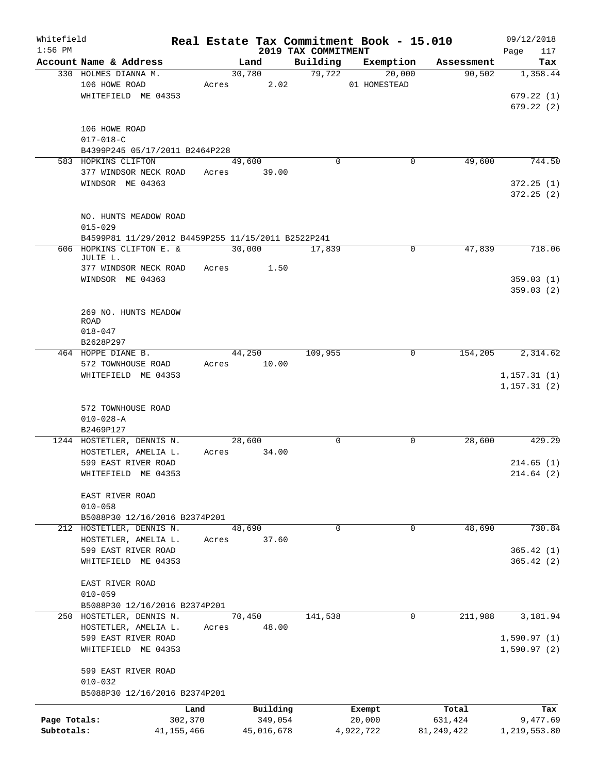| Whitefield   |                                                    |              |       |             |                                 | Real Estate Tax Commitment Book - 15.010 |              | 09/12/2018         |
|--------------|----------------------------------------------------|--------------|-------|-------------|---------------------------------|------------------------------------------|--------------|--------------------|
| $1:56$ PM    | Account Name & Address                             |              |       | Land        | 2019 TAX COMMITMENT<br>Building | Exemption                                | Assessment   | 117<br>Page<br>Tax |
|              | 330 HOLMES DIANNA M.                               |              |       | 30,780      | 79,722                          | 20,000                                   | 90,502       | 1,358.44           |
|              | 106 HOWE ROAD                                      |              | Acres | 2.02        |                                 | 01 HOMESTEAD                             |              |                    |
|              | WHITEFIELD ME 04353                                |              |       |             |                                 |                                          |              | 679.22(1)          |
|              |                                                    |              |       |             |                                 |                                          |              | 679.22(2)          |
|              |                                                    |              |       |             |                                 |                                          |              |                    |
|              | 106 HOWE ROAD                                      |              |       |             |                                 |                                          |              |                    |
|              | $017 - 018 - C$                                    |              |       |             |                                 |                                          |              |                    |
|              | B4399P245 05/17/2011 B2464P228                     |              |       |             |                                 |                                          |              |                    |
|              | 583 HOPKINS CLIFTON                                |              |       | 49,600      | $\Omega$                        | 0                                        | 49,600       | 744.50             |
|              | 377 WINDSOR NECK ROAD                              |              |       | Acres 39.00 |                                 |                                          |              |                    |
|              | WINDSOR ME 04363                                   |              |       |             |                                 |                                          |              | 372.25(1)          |
|              |                                                    |              |       |             |                                 |                                          |              | 372.25(2)          |
|              |                                                    |              |       |             |                                 |                                          |              |                    |
|              | NO. HUNTS MEADOW ROAD                              |              |       |             |                                 |                                          |              |                    |
|              | $015 - 029$                                        |              |       |             |                                 |                                          |              |                    |
|              | B4599P81 11/29/2012 B4459P255 11/15/2011 B2522P241 |              |       |             |                                 |                                          |              |                    |
|              | 606 HOPKINS CLIFTON E. &                           |              |       | 30,000      | 17,839                          | 0                                        | 47,839       | 718.06             |
|              | JULIE L.                                           |              | Acres | 1.50        |                                 |                                          |              |                    |
|              | 377 WINDSOR NECK ROAD<br>WINDSOR ME 04363          |              |       |             |                                 |                                          |              | 359.03(1)          |
|              |                                                    |              |       |             |                                 |                                          |              | 359.03(2)          |
|              |                                                    |              |       |             |                                 |                                          |              |                    |
|              | 269 NO. HUNTS MEADOW                               |              |       |             |                                 |                                          |              |                    |
|              | <b>ROAD</b>                                        |              |       |             |                                 |                                          |              |                    |
|              | $018 - 047$                                        |              |       |             |                                 |                                          |              |                    |
|              | B2628P297                                          |              |       |             |                                 |                                          |              |                    |
|              | 464 HOPPE DIANE B.                                 |              |       | 44,250      | 109,955                         | 0                                        | 154,205      | 2,314.62           |
|              | 572 TOWNHOUSE ROAD                                 |              | Acres | 10.00       |                                 |                                          |              |                    |
|              | WHITEFIELD ME 04353                                |              |       |             |                                 |                                          |              | 1,157.31(1)        |
|              |                                                    |              |       |             |                                 |                                          |              | 1, 157.31(2)       |
|              |                                                    |              |       |             |                                 |                                          |              |                    |
|              | 572 TOWNHOUSE ROAD                                 |              |       |             |                                 |                                          |              |                    |
|              | $010 - 028 - A$                                    |              |       |             |                                 |                                          |              |                    |
|              | B2469P127                                          |              |       |             |                                 |                                          |              |                    |
|              | 1244 HOSTETLER, DENNIS N.                          |              |       | 28,600      | 0                               | 0                                        | 28,600       | 429.29             |
|              | HOSTETLER, AMELIA L.                               |              | Acres | 34.00       |                                 |                                          |              |                    |
|              | 599 EAST RIVER ROAD                                |              |       |             |                                 |                                          |              | 214.65(1)          |
|              | WHITEFIELD ME 04353                                |              |       |             |                                 |                                          |              | 214.64(2)          |
|              | EAST RIVER ROAD                                    |              |       |             |                                 |                                          |              |                    |
|              | $010 - 058$                                        |              |       |             |                                 |                                          |              |                    |
|              | B5088P30 12/16/2016 B2374P201                      |              |       |             |                                 |                                          |              |                    |
|              | 212 HOSTETLER, DENNIS N.                           |              |       | 48,690      | $\Omega$                        | 0                                        | 48,690       | 730.84             |
|              | HOSTETLER, AMELIA L.                               |              | Acres | 37.60       |                                 |                                          |              |                    |
|              | 599 EAST RIVER ROAD                                |              |       |             |                                 |                                          |              | 365.42(1)          |
|              | WHITEFIELD ME 04353                                |              |       |             |                                 |                                          |              | 365.42(2)          |
|              |                                                    |              |       |             |                                 |                                          |              |                    |
|              | EAST RIVER ROAD                                    |              |       |             |                                 |                                          |              |                    |
|              | $010 - 059$                                        |              |       |             |                                 |                                          |              |                    |
|              | B5088P30 12/16/2016 B2374P201                      |              |       |             |                                 |                                          |              |                    |
|              | 250 HOSTETLER, DENNIS N.                           |              |       | 70,450      | 141,538                         | 0                                        | 211,988      | 3,181.94           |
|              | HOSTETLER, AMELIA L.                               |              | Acres | 48.00       |                                 |                                          |              |                    |
|              | 599 EAST RIVER ROAD                                |              |       |             |                                 |                                          |              | 1,590.97(1)        |
|              | WHITEFIELD ME 04353                                |              |       |             |                                 |                                          |              | 1,590.97(2)        |
|              |                                                    |              |       |             |                                 |                                          |              |                    |
|              | 599 EAST RIVER ROAD                                |              |       |             |                                 |                                          |              |                    |
|              | $010 - 032$                                        |              |       |             |                                 |                                          |              |                    |
|              | B5088P30 12/16/2016 B2374P201                      |              |       |             |                                 |                                          |              |                    |
|              |                                                    | Land         |       | Building    |                                 | Exempt                                   | Total        | Tax                |
| Page Totals: |                                                    | 302,370      |       | 349,054     |                                 | 20,000                                   | 631,424      | 9,477.69           |
| Subtotals:   |                                                    | 41, 155, 466 |       | 45,016,678  |                                 | 4,922,722                                | 81, 249, 422 | 1,219,553.80       |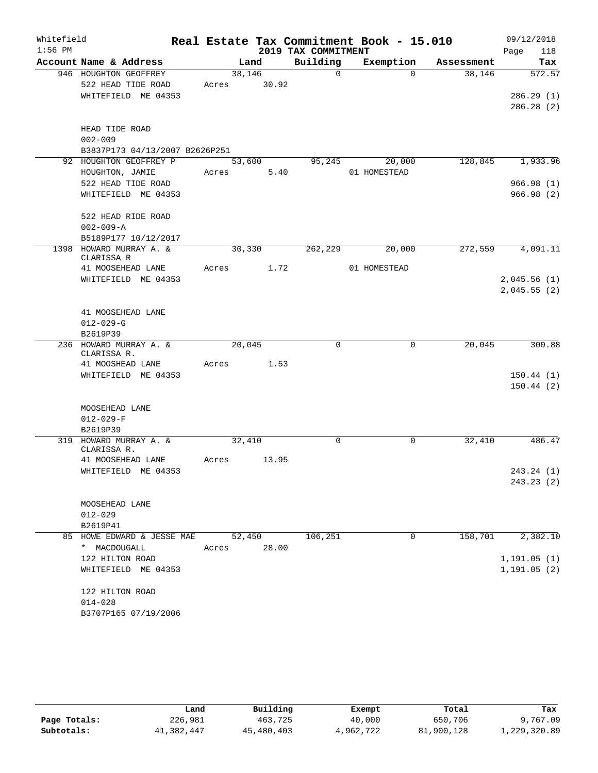| Whitefield |                                        |       |         |            |                     | Real Estate Tax Commitment Book - 15.010 |                    | 09/12/2018   |
|------------|----------------------------------------|-------|---------|------------|---------------------|------------------------------------------|--------------------|--------------|
| $1:56$ PM  |                                        |       |         |            | 2019 TAX COMMITMENT |                                          |                    | Page<br>118  |
|            | Account Name & Address                 |       | Land    |            | Building            | Exemption                                | Assessment         | Tax          |
|            | 946 HOUGHTON GEOFFREY                  |       | 38,146  |            | $\mathbf 0$         |                                          | 38,146<br>$\Omega$ | 572.57       |
|            | 522 HEAD TIDE ROAD                     | Acres |         | 30.92      |                     |                                          |                    |              |
|            | WHITEFIELD ME 04353                    |       |         |            |                     |                                          |                    | 286.29(1)    |
|            |                                        |       |         |            |                     |                                          |                    | 286.28(2)    |
|            | HEAD TIDE ROAD                         |       |         |            |                     |                                          |                    |              |
|            | $002 - 009$                            |       |         |            |                     |                                          |                    |              |
|            | B3837P173 04/13/2007 B2626P251         |       |         |            |                     |                                          |                    |              |
|            | 92 HOUGHTON GEOFFREY P                 |       | 53,600  |            | 95,245              | 20,000                                   | 128,845            | 1,933.96     |
|            | HOUGHTON, JAMIE                        | Acres |         | 5.40       |                     | 01 HOMESTEAD                             |                    |              |
|            | 522 HEAD TIDE ROAD                     |       |         |            |                     |                                          |                    | 966.98(1)    |
|            | WHITEFIELD ME 04353                    |       |         |            |                     |                                          |                    | 966.98(2)    |
|            | 522 HEAD RIDE ROAD                     |       |         |            |                     |                                          |                    |              |
|            | $002 - 009 - A$                        |       |         |            |                     |                                          |                    |              |
|            | B5189P177 10/12/2017                   |       |         |            |                     |                                          |                    |              |
| 1398       | HOWARD MURRAY A. &<br>CLARISSA R       |       | 30, 330 |            | 262, 229            | 20,000                                   | 272,559            | 4,091.11     |
|            | 41 MOOSEHEAD LANE                      |       |         | Acres 1.72 |                     | 01 HOMESTEAD                             |                    |              |
|            | WHITEFIELD ME 04353                    |       |         |            |                     |                                          |                    | 2,045.56(1)  |
|            |                                        |       |         |            |                     |                                          |                    | 2,045.55(2)  |
|            |                                        |       |         |            |                     |                                          |                    |              |
|            | 41 MOOSEHEAD LANE                      |       |         |            |                     |                                          |                    |              |
|            | $012 - 029 - G$                        |       |         |            |                     |                                          |                    |              |
|            | B2619P39                               |       |         |            |                     |                                          |                    |              |
|            | 236 HOWARD MURRAY A. &<br>CLARISSA R.  |       | 20,045  |            | $\Omega$            |                                          | 20,045<br>$\Omega$ | 300.88       |
|            | 41 MOOSHEAD LANE                       | Acres |         | 1.53       |                     |                                          |                    |              |
|            | WHITEFIELD ME 04353                    |       |         |            |                     |                                          |                    | 150.44(1)    |
|            |                                        |       |         |            |                     |                                          |                    | 150.44(2)    |
|            |                                        |       |         |            |                     |                                          |                    |              |
|            | MOOSEHEAD LANE                         |       |         |            |                     |                                          |                    |              |
|            | $012 - 029 - F$                        |       |         |            |                     |                                          |                    |              |
|            | B2619P39                               |       |         |            |                     |                                          |                    |              |
|            | 319 HOWARD MURRAY A. &<br>CLARISSA R.  |       | 32,410  |            | 0                   |                                          | 32,410<br>0        | 486.47       |
|            | 41 MOOSEHEAD LANE                      | Acres |         | 13.95      |                     |                                          |                    |              |
|            | WHITEFIELD ME 04353                    |       |         |            |                     |                                          |                    | 243.24 (1)   |
|            |                                        |       |         |            |                     |                                          |                    | 243.23(2)    |
|            |                                        |       |         |            |                     |                                          |                    |              |
|            | MOOSEHEAD LANE                         |       |         |            |                     |                                          |                    |              |
|            | 012-029                                |       |         |            |                     |                                          |                    |              |
|            | B2619P41<br>85 HOWE EDWARD & JESSE MAE |       | 52,450  |            | 106,251             |                                          | 0<br>158,701       | 2,382.10     |
|            | * MACDOUGALL                           | Acres |         | 28.00      |                     |                                          |                    |              |
|            | 122 HILTON ROAD                        |       |         |            |                     |                                          |                    | 1, 191.05(1) |
|            | WHITEFIELD ME 04353                    |       |         |            |                     |                                          |                    | 1, 191.05(2) |
|            |                                        |       |         |            |                     |                                          |                    |              |
|            | 122 HILTON ROAD                        |       |         |            |                     |                                          |                    |              |
|            | $014 - 028$                            |       |         |            |                     |                                          |                    |              |
|            | B3707P165 07/19/2006                   |       |         |            |                     |                                          |                    |              |

|              | Land       | Building   | Exempt    | Total      | Tax          |
|--------------|------------|------------|-----------|------------|--------------|
| Page Totals: | 226,981    | 463,725    | 40,000    | 650,706    | 9,767.09     |
| Subtotals:   | 41,382,447 | 45,480,403 | 4,962,722 | 81,900,128 | 1,229,320.89 |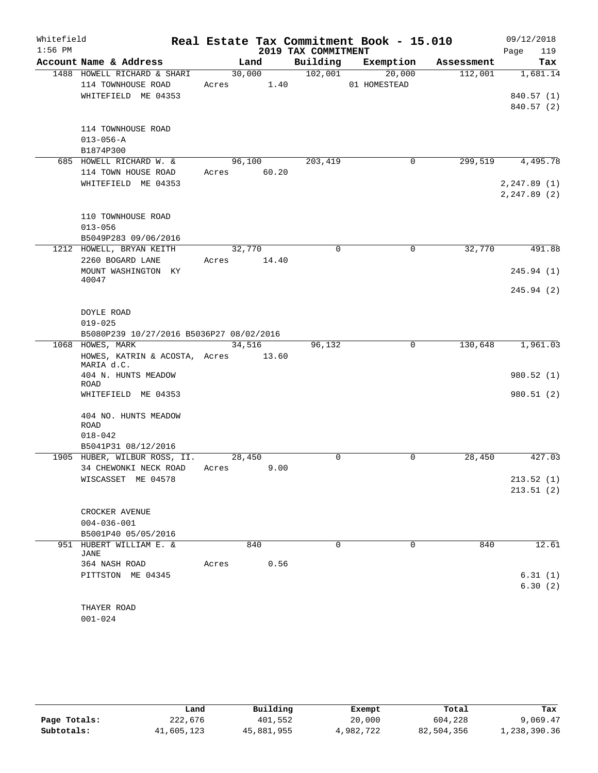| Whitefield |                                             |       |             |                     | Real Estate Tax Commitment Book - 15.010 |            | 09/12/2018   |
|------------|---------------------------------------------|-------|-------------|---------------------|------------------------------------------|------------|--------------|
| $1:56$ PM  |                                             |       |             | 2019 TAX COMMITMENT |                                          |            | 119<br>Page  |
|            | Account Name & Address                      |       | Land        | Building            | Exemption                                | Assessment | Tax          |
|            | 1488 HOWELL RICHARD & SHARI                 |       | 30,000      | 102,001             | 20,000                                   | 112,001    | 1,681.14     |
|            | 114 TOWNHOUSE ROAD                          |       | Acres 1.40  |                     | 01 HOMESTEAD                             |            |              |
|            | WHITEFIELD ME 04353                         |       |             |                     |                                          |            | 840.57 (1)   |
|            |                                             |       |             |                     |                                          |            | 840.57 (2)   |
|            | 114 TOWNHOUSE ROAD                          |       |             |                     |                                          |            |              |
|            | $013 - 056 - A$                             |       |             |                     |                                          |            |              |
|            | B1874P300                                   |       |             |                     |                                          |            |              |
|            | 685 HOWELL RICHARD W. &                     |       | 96,100      | 203,419             | 0                                        | 299,519    | 4,495.78     |
|            | 114 TOWN HOUSE ROAD                         |       | Acres 60.20 |                     |                                          |            |              |
|            | WHITEFIELD ME 04353                         |       |             |                     |                                          |            | 2, 247.89(1) |
|            |                                             |       |             |                     |                                          |            | 2, 247.89(2) |
|            |                                             |       |             |                     |                                          |            |              |
|            | 110 TOWNHOUSE ROAD                          |       |             |                     |                                          |            |              |
|            | $013 - 056$                                 |       |             |                     |                                          |            |              |
|            | B5049P283 09/06/2016                        |       |             |                     |                                          |            |              |
|            | 1212 HOWELL, BRYAN KEITH                    |       | 32,770      | $\Omega$            | 0                                        | 32,770     | 491.88       |
|            | 2260 BOGARD LANE                            | Acres | 14.40       |                     |                                          |            |              |
|            | MOUNT WASHINGTON KY                         |       |             |                     |                                          |            | 245.94 (1)   |
|            | 40047                                       |       |             |                     |                                          |            |              |
|            |                                             |       |             |                     |                                          |            | 245.94(2)    |
|            |                                             |       |             |                     |                                          |            |              |
|            | DOYLE ROAD                                  |       |             |                     |                                          |            |              |
|            | $019 - 025$                                 |       |             |                     |                                          |            |              |
|            | B5080P239 10/27/2016 B5036P27 08/02/2016    |       |             |                     |                                          |            |              |
|            | 1068 HOWES, MARK                            |       | 34,516      | 96,132              | $\mathbf 0$                              | 130,648    | 1,961.03     |
|            | HOWES, KATRIN & ACOSTA, Acres<br>MARIA d.C. |       | 13.60       |                     |                                          |            |              |
|            | 404 N. HUNTS MEADOW                         |       |             |                     |                                          |            | 980.52 (1)   |
|            | ROAD                                        |       |             |                     |                                          |            |              |
|            | WHITEFIELD ME 04353                         |       |             |                     |                                          |            | 980.51(2)    |
|            |                                             |       |             |                     |                                          |            |              |
|            | 404 NO. HUNTS MEADOW                        |       |             |                     |                                          |            |              |
|            | <b>ROAD</b><br>$018 - 042$                  |       |             |                     |                                          |            |              |
|            | B5041P31 08/12/2016                         |       |             |                     |                                          |            |              |
|            | 1905 HUBER, WILBUR ROSS, II.                |       | 28,450      | 0                   | $\mathbf 0$                              | 28,450     | 427.03       |
|            | 34 CHEWONKI NECK ROAD                       | Acres |             | 9.00                |                                          |            |              |
|            | WISCASSET ME 04578                          |       |             |                     |                                          |            | 213.52(1)    |
|            |                                             |       |             |                     |                                          |            | 213.51(2)    |
|            |                                             |       |             |                     |                                          |            |              |
|            | CROCKER AVENUE                              |       |             |                     |                                          |            |              |
|            | $004 - 036 - 001$                           |       |             |                     |                                          |            |              |
|            | B5001P40 05/05/2016                         |       |             |                     |                                          |            |              |
|            | 951 HUBERT WILLIAM E. &                     |       | 840         | 0                   | 0                                        | 840        | 12.61        |
|            | JANE                                        |       |             |                     |                                          |            |              |
|            | 364 NASH ROAD                               | Acres |             | 0.56                |                                          |            |              |
|            | PITTSTON ME 04345                           |       |             |                     |                                          |            | 6.31(1)      |
|            |                                             |       |             |                     |                                          |            | 6.30(2)      |
|            |                                             |       |             |                     |                                          |            |              |
|            | THAYER ROAD<br>$001 - 024$                  |       |             |                     |                                          |            |              |
|            |                                             |       |             |                     |                                          |            |              |

|              | Land       | Building   | Exempt    | Total      | Tax          |
|--------------|------------|------------|-----------|------------|--------------|
| Page Totals: | 222,676    | 401,552    | 20,000    | 604,228    | 9,069.47     |
| Subtotals:   | 41,605,123 | 45,881,955 | 4,982,722 | 82,504,356 | 1,238,390.36 |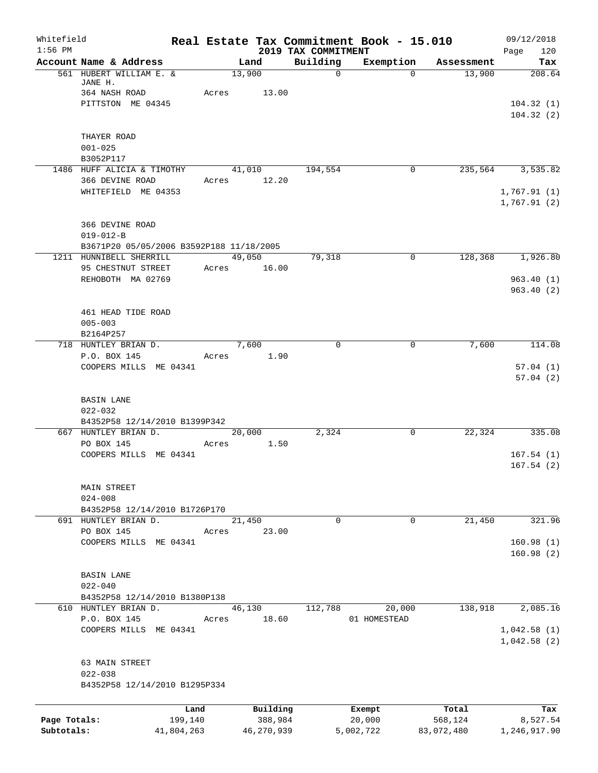| Whitefield<br>$1:56$ PM    |                                                       |                 |                 |                     | 2019 TAX COMMITMENT | Real Estate Tax Commitment Book - 15.010 |                       | 09/12/2018<br>120          |
|----------------------------|-------------------------------------------------------|-----------------|-----------------|---------------------|---------------------|------------------------------------------|-----------------------|----------------------------|
|                            | Account Name & Address                                |                 |                 | Land                | Building            | Exemption                                | Assessment            | Page<br>Tax                |
|                            | 561 HUBERT WILLIAM E. &<br>JANE H.<br>364 NASH ROAD   |                 | 13,900<br>Acres | 13.00               | $\mathsf{O}$        | $\Omega$                                 | 13,900                | 208.64                     |
|                            | PITTSTON ME 04345                                     |                 |                 |                     |                     |                                          |                       | 104.32(1)<br>104.32(2)     |
|                            | THAYER ROAD<br>$001 - 025$                            |                 |                 |                     |                     |                                          |                       |                            |
|                            | B3052P117                                             |                 |                 |                     |                     |                                          |                       |                            |
|                            | 1486 HUFF ALICIA & TIMOTHY<br>366 DEVINE ROAD         |                 | 41,010<br>Acres | 12.20               | 194,554             | 0                                        | 235,564               | 3,535.82                   |
|                            | WHITEFIELD ME 04353                                   |                 |                 |                     |                     |                                          |                       | 1,767.91(1)<br>1,767.91(2) |
|                            | 366 DEVINE ROAD<br>$019 - 012 - B$                    |                 |                 |                     |                     |                                          |                       |                            |
|                            | B3671P20 05/05/2006 B3592P188 11/18/2005              |                 |                 |                     |                     |                                          |                       |                            |
|                            | 1211 HUNNIBELL SHERRILL<br>95 CHESTNUT STREET         |                 | 49,050<br>Acres | 16.00               | 79,318              | $\mathbf 0$                              | 128,368               | 1,926.80                   |
|                            | REHOBOTH MA 02769                                     |                 |                 |                     |                     |                                          |                       | 963.40(1)<br>963.40(2)     |
|                            | 461 HEAD TIDE ROAD<br>$005 - 003$<br>B2164P257        |                 |                 |                     |                     |                                          |                       |                            |
|                            | 718 HUNTLEY BRIAN D.                                  |                 | 7,600           |                     | $\Omega$            | 0                                        | 7,600                 | 114.08                     |
|                            | P.O. BOX 145<br>COOPERS MILLS ME 04341                |                 | Acres           | 1.90                |                     |                                          |                       | 57.04(1)                   |
|                            |                                                       |                 |                 |                     |                     |                                          |                       | 57.04(2)                   |
|                            | <b>BASIN LANE</b><br>$022 - 032$                      |                 |                 |                     |                     |                                          |                       |                            |
|                            | B4352P58 12/14/2010 B1399P342<br>667 HUNTLEY BRIAN D. |                 | 20,000          |                     | 2,324               | $\mathbf 0$                              | 22,324                | 335.08                     |
|                            | PO BOX 145                                            |                 | Acres           | 1.50                |                     |                                          |                       |                            |
|                            | COOPERS MILLS ME 04341                                |                 |                 |                     |                     |                                          |                       | 167.54(1)<br>167.54(2)     |
|                            | MAIN STREET<br>$024 - 008$                            |                 |                 |                     |                     |                                          |                       |                            |
|                            | B4352P58 12/14/2010 B1726P170                         |                 |                 |                     |                     |                                          |                       |                            |
|                            | 691 HUNTLEY BRIAN D.                                  |                 | 21,450          |                     | 0                   | $\mathbf 0$                              | 21,450                | 321.96                     |
|                            | PO BOX 145<br>COOPERS MILLS ME 04341                  |                 | Acres           | 23.00               |                     |                                          |                       | 160.98(1)<br>160.98(2)     |
|                            | <b>BASIN LANE</b>                                     |                 |                 |                     |                     |                                          |                       |                            |
|                            | $022 - 040$                                           |                 |                 |                     |                     |                                          |                       |                            |
|                            | B4352P58 12/14/2010 B1380P138<br>610 HUNTLEY BRIAN D. |                 | 46,130          |                     | 112,788             | 20,000                                   | 138,918               | 2,085.16                   |
|                            | P.O. BOX 145                                          |                 | Acres           | 18.60               |                     | 01 HOMESTEAD                             |                       |                            |
|                            | COOPERS MILLS ME 04341                                |                 |                 |                     |                     |                                          |                       | 1,042.58(1)<br>1,042.58(2) |
|                            | 63 MAIN STREET<br>$022 - 038$                         |                 |                 |                     |                     |                                          |                       |                            |
|                            | B4352P58 12/14/2010 B1295P334                         |                 |                 |                     |                     |                                          |                       |                            |
|                            |                                                       |                 |                 |                     |                     |                                          |                       |                            |
|                            |                                                       | Land<br>199,140 |                 | Building<br>388,984 |                     | Exempt<br>20,000                         | Total                 | Tax                        |
| Page Totals:<br>Subtotals: |                                                       | 41,804,263      |                 | 46,270,939          |                     | 5,002,722                                | 568,124<br>83,072,480 | 8,527.54<br>1,246,917.90   |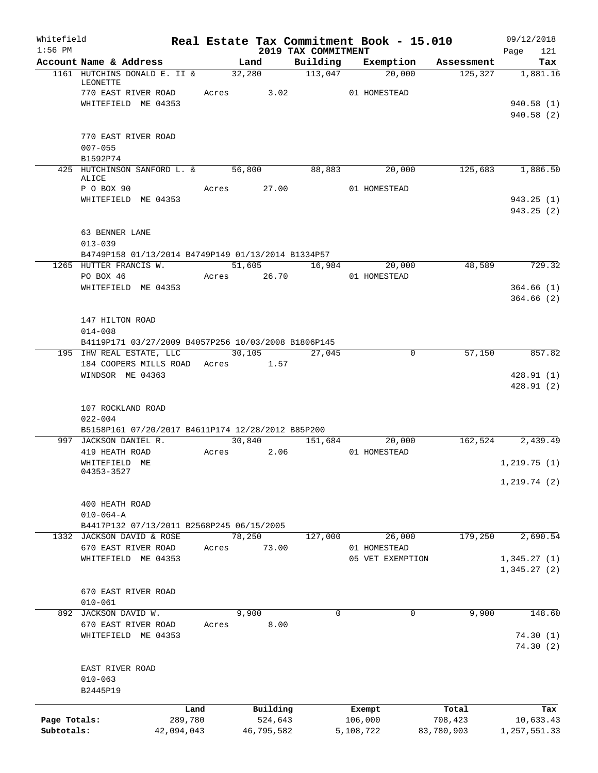| Whitefield<br>$1:56$ PM |                                                           |            |       |            | 2019 TAX COMMITMENT |                                  | Real Estate Tax Commitment Book - 15.010 | 09/12/2018<br>121          |
|-------------------------|-----------------------------------------------------------|------------|-------|------------|---------------------|----------------------------------|------------------------------------------|----------------------------|
|                         | Account Name & Address                                    |            |       | Land       | Building            |                                  | Exemption Assessment                     | Page<br>Tax                |
|                         | 1161 HUTCHINS DONALD E. II & 32,280                       |            |       |            | $\frac{113,047}{ }$ | 20,000                           | 125, 327                                 | 1,881.16                   |
|                         | LEONETTE<br>770 EAST RIVER ROAD                           |            |       | Acres 3.02 |                     | 01 HOMESTEAD                     |                                          |                            |
|                         | WHITEFIELD ME 04353                                       |            |       |            |                     |                                  |                                          | 940.58(1)                  |
|                         |                                                           |            |       |            |                     |                                  |                                          | 940.58(2)                  |
|                         | 770 EAST RIVER ROAD                                       |            |       |            |                     |                                  |                                          |                            |
|                         | $007 - 055$                                               |            |       |            |                     |                                  |                                          |                            |
|                         | B1592P74                                                  |            |       |            |                     |                                  |                                          |                            |
|                         | 425 HUTCHINSON SANFORD L. & 56,800 88,883 20,000<br>ALICE |            |       |            |                     |                                  |                                          | 125,683 1,886.50           |
|                         | P O BOX 90                                                |            |       |            |                     | Acres 27.00 01 HOMESTEAD         |                                          |                            |
|                         | WHITEFIELD ME 04353                                       |            |       |            |                     |                                  |                                          | 943.25(1)<br>943.25(2)     |
|                         | 63 BENNER LANE<br>$013 - 039$                             |            |       |            |                     |                                  |                                          |                            |
|                         | B4749P158 01/13/2014 B4749P149 01/13/2014 B1334P57        |            |       |            |                     |                                  |                                          |                            |
|                         | 1265 HUTTER FRANCIS W.                                    |            |       | 51,605     |                     | 16,984<br>20,000                 | 48,589                                   | 729.32                     |
|                         | PO BOX 46                                                 |            |       |            |                     | Acres 26.70 01 HOMESTEAD         |                                          |                            |
|                         | WHITEFIELD ME 04353                                       |            |       |            |                     |                                  |                                          | 364.66(1)                  |
|                         |                                                           |            |       |            |                     |                                  |                                          | 364.66(2)                  |
|                         | 147 HILTON ROAD                                           |            |       |            |                     |                                  |                                          |                            |
|                         | $014 - 008$                                               |            |       |            |                     |                                  |                                          |                            |
|                         | B4119P171 03/27/2009 B4057P256 10/03/2008 B1806P145       |            |       |            |                     |                                  |                                          |                            |
|                         | 195 IHW REAL ESTATE, LLC                                  |            |       | 30, 105    | 27,045              |                                  | 57,150<br>0                              | 857.82                     |
|                         | 184 COOPERS MILLS ROAD                                    |            |       | Acres 1.57 |                     |                                  |                                          |                            |
|                         | WINDSOR ME 04363                                          |            |       |            |                     |                                  |                                          | 428.91(1)<br>428.91(2)     |
|                         | 107 ROCKLAND ROAD<br>$022 - 004$                          |            |       |            |                     |                                  |                                          |                            |
|                         | B5158P161 07/20/2017 B4611P174 12/28/2012 B85P200         |            |       |            |                     |                                  |                                          |                            |
|                         | 997 JACKSON DANIEL R.                                     |            |       | 30,840     |                     | 151,684<br>20,000                |                                          | 162,524 2,439.49           |
|                         | 419 HEATH ROAD                                            |            |       | Acres 2.06 |                     | 01 HOMESTEAD                     |                                          |                            |
|                         | WHITEFIELD ME                                             |            |       |            |                     |                                  |                                          | 1, 219.75(1)               |
|                         | 04353-3527                                                |            |       |            |                     |                                  |                                          | 1, 219.74(2)               |
|                         |                                                           |            |       |            |                     |                                  |                                          |                            |
|                         | 400 HEATH ROAD                                            |            |       |            |                     |                                  |                                          |                            |
|                         | $010 - 064 - A$                                           |            |       |            |                     |                                  |                                          |                            |
|                         | B4417P132 07/13/2011 B2568P245 06/15/2005                 |            |       |            |                     |                                  |                                          |                            |
|                         | 1332 JACKSON DAVID & ROSE                                 |            |       | 78,250     | 127,000             | 26,000                           | 179,250                                  | 2,690.54                   |
|                         | 670 EAST RIVER ROAD                                       |            | Acres | 73.00      |                     | 01 HOMESTEAD<br>05 VET EXEMPTION |                                          |                            |
|                         | WHITEFIELD ME 04353                                       |            |       |            |                     |                                  |                                          | 1,345.27(1)<br>1,345.27(2) |
|                         |                                                           |            |       |            |                     |                                  |                                          |                            |
|                         | 670 EAST RIVER ROAD                                       |            |       |            |                     |                                  |                                          |                            |
|                         | $010 - 061$                                               |            |       |            |                     |                                  |                                          |                            |
|                         | 892 JACKSON DAVID W.                                      |            |       | 9,900      | 0                   |                                  | 9,900<br>0                               | 148.60                     |
|                         | 670 EAST RIVER ROAD<br>WHITEFIELD ME 04353                |            | Acres | 8.00       |                     |                                  |                                          | 74.30(1)                   |
|                         |                                                           |            |       |            |                     |                                  |                                          | 74.30(2)                   |
|                         | EAST RIVER ROAD                                           |            |       |            |                     |                                  |                                          |                            |
|                         | $010 - 063$                                               |            |       |            |                     |                                  |                                          |                            |
|                         | B2445P19                                                  |            |       |            |                     |                                  |                                          |                            |
|                         |                                                           | Land       |       | Building   |                     | Exempt                           | Total                                    | Tax                        |
| Page Totals:            |                                                           | 289,780    |       | 524,643    |                     | 106,000                          | 708,423                                  | 10,633.43                  |
| Subtotals:              |                                                           | 42,094,043 |       | 46,795,582 |                     | 5,108,722                        | 83,780,903                               | 1, 257, 551.33             |
|                         |                                                           |            |       |            |                     |                                  |                                          |                            |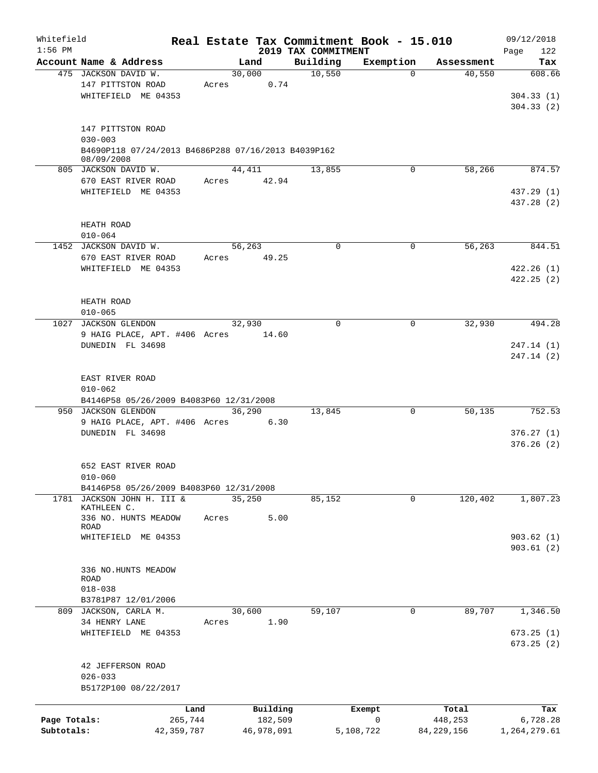| Whitefield   |                                                                   |                 |                     |                                 | Real Estate Tax Commitment Book - 15.010 |                      | 09/12/2018               |
|--------------|-------------------------------------------------------------------|-----------------|---------------------|---------------------------------|------------------------------------------|----------------------|--------------------------|
| $1:56$ PM    | Account Name & Address                                            |                 |                     | 2019 TAX COMMITMENT<br>Building |                                          |                      | 122<br>Page<br>Tax       |
|              | 475 JACKSON DAVID W.                                              |                 | Land<br>30,000      | 10,550                          | Exemption<br>$\Omega$                    | Assessment<br>40,550 | 608.66                   |
|              | 147 PITTSTON ROAD<br>WHITEFIELD ME 04353                          | Acres           | 0.74                |                                 |                                          |                      | 304.33(1)                |
|              |                                                                   |                 |                     |                                 |                                          |                      | 304.33(2)                |
|              | 147 PITTSTON ROAD<br>$030 - 003$                                  |                 |                     |                                 |                                          |                      |                          |
|              | B4690P118 07/24/2013 B4686P288 07/16/2013 B4039P162<br>08/09/2008 |                 |                     |                                 |                                          |                      |                          |
|              | 805 JACKSON DAVID W.                                              |                 | 44,411              | 13,855                          | 0                                        | 58,266               | 874.57                   |
|              | 670 EAST RIVER ROAD                                               | Acres           | 42.94               |                                 |                                          |                      |                          |
|              | WHITEFIELD ME 04353                                               |                 |                     |                                 |                                          |                      | 437.29 (1)<br>437.28 (2) |
|              | HEATH ROAD<br>$010 - 064$                                         |                 |                     |                                 |                                          |                      |                          |
|              | 1452 JACKSON DAVID W.                                             |                 | 56,263              | $\mathbf 0$                     | $\mathbf 0$                              | 56,263               | 844.51                   |
|              | 670 EAST RIVER ROAD                                               | Acres           | 49.25               |                                 |                                          |                      |                          |
|              | WHITEFIELD ME 04353                                               |                 |                     |                                 |                                          |                      | 422.26(1)                |
|              |                                                                   |                 |                     |                                 |                                          |                      | 422.25(2)                |
|              | HEATH ROAD                                                        |                 |                     |                                 |                                          |                      |                          |
|              | $010 - 065$                                                       |                 |                     |                                 |                                          |                      |                          |
|              | 1027 JACKSON GLENDON<br>9 HAIG PLACE, APT. #406 Acres             |                 | 32,930<br>14.60     | $\Omega$                        | 0                                        | 32,930               | 494.28                   |
|              | DUNEDIN FL 34698                                                  |                 |                     |                                 |                                          |                      | 247.14 (1)               |
|              |                                                                   |                 |                     |                                 |                                          |                      | 247.14 (2)               |
|              | EAST RIVER ROAD                                                   |                 |                     |                                 |                                          |                      |                          |
|              | $010 - 062$                                                       |                 |                     |                                 |                                          |                      |                          |
|              | B4146P58 05/26/2009 B4083P60 12/31/2008                           |                 |                     |                                 |                                          |                      |                          |
|              | 950 JACKSON GLENDON                                               |                 | 36,290              | 13,845                          | 0                                        | 50,135               | 752.53                   |
|              | 9 HAIG PLACE, APT. #406 Acres<br>DUNEDIN FL 34698                 |                 | 6.30                |                                 |                                          |                      | 376.27(1)                |
|              |                                                                   |                 |                     |                                 |                                          |                      | 376.26(2)                |
|              | 652 EAST RIVER ROAD                                               |                 |                     |                                 |                                          |                      |                          |
|              | $010 - 060$                                                       |                 |                     |                                 |                                          |                      |                          |
|              | B4146P58 05/26/2009 B4083P60 12/31/2008                           |                 |                     |                                 |                                          |                      |                          |
|              | 1781 JACKSON JOHN H. III &<br>KATHLEEN C.                         |                 | 35,250              | 85,152                          | 0                                        | 120,402              | 1,807.23                 |
|              | 336 NO. HUNTS MEADOW                                              | Acres           | 5.00                |                                 |                                          |                      |                          |
|              | ROAD                                                              |                 |                     |                                 |                                          |                      | 903.62(1)                |
|              | WHITEFIELD ME 04353                                               |                 |                     |                                 |                                          |                      | 903.61(2)                |
|              |                                                                   |                 |                     |                                 |                                          |                      |                          |
|              | 336 NO.HUNTS MEADOW<br>ROAD                                       |                 |                     |                                 |                                          |                      |                          |
|              | $018 - 038$                                                       |                 |                     |                                 |                                          |                      |                          |
|              | B3781P87 12/01/2006                                               |                 |                     |                                 |                                          |                      |                          |
| 809          | JACKSON, CARLA M.                                                 |                 | 30,600              | 59,107                          | 0                                        | 89,707               | 1,346.50                 |
|              | 34 HENRY LANE<br>WHITEFIELD ME 04353                              | Acres           | 1.90                |                                 |                                          |                      | 673.25(1)                |
|              |                                                                   |                 |                     |                                 |                                          |                      | 673.25(2)                |
|              | 42 JEFFERSON ROAD                                                 |                 |                     |                                 |                                          |                      |                          |
|              | $026 - 033$<br>B5172P100 08/22/2017                               |                 |                     |                                 |                                          |                      |                          |
|              |                                                                   |                 |                     |                                 |                                          |                      |                          |
| Page Totals: |                                                                   | Land<br>265,744 | Building<br>182,509 |                                 | Exempt<br>0                              | Total<br>448,253     | Tax<br>6,728.28          |
| Subtotals:   |                                                                   | 42, 359, 787    | 46,978,091          |                                 | 5,108,722                                | 84, 229, 156         | 1,264,279.61             |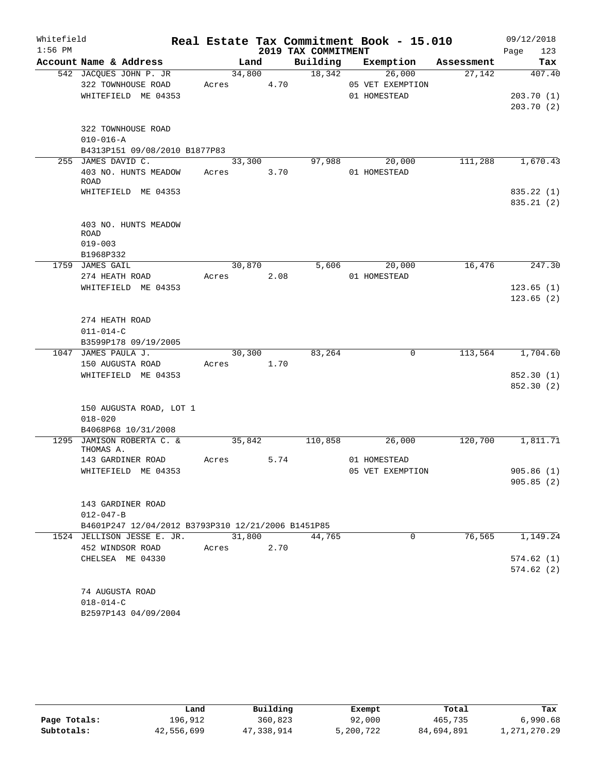| Whitefield |                                                    |       |        |      |                     | Real Estate Tax Commitment Book - 15.010 |            | 09/12/2018             |
|------------|----------------------------------------------------|-------|--------|------|---------------------|------------------------------------------|------------|------------------------|
| $1:56$ PM  |                                                    |       |        |      | 2019 TAX COMMITMENT |                                          |            | 123<br>Page            |
|            | Account Name & Address                             |       | Land   |      | Building            | Exemption                                | Assessment | Tax                    |
|            | 542 JACQUES JOHN P. JR                             |       | 34,800 |      | 18,342              | 26,000                                   | 27,142     | 407.40                 |
|            | 322 TOWNHOUSE ROAD                                 | Acres |        | 4.70 |                     | 05 VET EXEMPTION                         |            |                        |
|            | WHITEFIELD ME 04353                                |       |        |      |                     | 01 HOMESTEAD                             |            | 203.70(1)<br>203.70(2) |
|            |                                                    |       |        |      |                     |                                          |            |                        |
|            | 322 TOWNHOUSE ROAD                                 |       |        |      |                     |                                          |            |                        |
|            | $010 - 016 - A$                                    |       |        |      |                     |                                          |            |                        |
|            | B4313P151 09/08/2010 B1877P83                      |       |        |      |                     |                                          |            |                        |
|            | 255 JAMES DAVID C.                                 |       | 33,300 |      | 97,988              | 20,000                                   | 111,288    | 1,670.43               |
|            | 403 NO. HUNTS MEADOW                               | Acres |        | 3.70 |                     | 01 HOMESTEAD                             |            |                        |
|            | ROAD<br>WHITEFIELD ME 04353                        |       |        |      |                     |                                          |            | 835.22 (1)             |
|            |                                                    |       |        |      |                     |                                          |            | 835.21 (2)             |
|            |                                                    |       |        |      |                     |                                          |            |                        |
|            | 403 NO. HUNTS MEADOW                               |       |        |      |                     |                                          |            |                        |
|            | ROAD                                               |       |        |      |                     |                                          |            |                        |
|            | $019 - 003$                                        |       |        |      |                     |                                          |            |                        |
|            | B1968P332                                          |       |        |      |                     |                                          |            |                        |
|            | 1759 JAMES GAIL                                    |       | 30,870 |      | 5,606               | 20,000                                   | 16,476     | 247.30                 |
|            | 274 HEATH ROAD<br>WHITEFIELD ME 04353              | Acres |        | 2.08 |                     | 01 HOMESTEAD                             |            | 123.65(1)              |
|            |                                                    |       |        |      |                     |                                          |            | 123.65(2)              |
|            |                                                    |       |        |      |                     |                                          |            |                        |
|            | 274 HEATH ROAD                                     |       |        |      |                     |                                          |            |                        |
|            | $011 - 014 - C$                                    |       |        |      |                     |                                          |            |                        |
|            | B3599P178 09/19/2005                               |       |        |      |                     |                                          |            |                        |
|            | 1047 JAMES PAULA J.                                |       | 30,300 |      | 83,264              | 0                                        | 113,564    | 1,704.60               |
|            | 150 AUGUSTA ROAD                                   | Acres |        | 1.70 |                     |                                          |            |                        |
|            | WHITEFIELD ME 04353                                |       |        |      |                     |                                          |            | 852.30 (1)             |
|            |                                                    |       |        |      |                     |                                          |            | 852.30 (2)             |
|            |                                                    |       |        |      |                     |                                          |            |                        |
|            | 150 AUGUSTA ROAD, LOT 1<br>$018 - 020$             |       |        |      |                     |                                          |            |                        |
|            | B4068P68 10/31/2008                                |       |        |      |                     |                                          |            |                        |
|            | 1295 JAMISON ROBERTA C. &                          |       | 35,842 |      | 110,858             | 26,000                                   | 120,700    | 1,811.71               |
|            | THOMAS A.                                          |       |        |      |                     |                                          |            |                        |
|            | 143 GARDINER ROAD                                  | Acres |        | 5.74 |                     | 01 HOMESTEAD                             |            |                        |
|            | WHITEFIELD ME 04353                                |       |        |      |                     | 05 VET EXEMPTION                         |            | 905.86(1)              |
|            |                                                    |       |        |      |                     |                                          |            | 905.85(2)              |
|            | 143 GARDINER ROAD                                  |       |        |      |                     |                                          |            |                        |
|            | $012 - 047 - B$                                    |       |        |      |                     |                                          |            |                        |
|            | B4601P247 12/04/2012 B3793P310 12/21/2006 B1451P85 |       |        |      |                     |                                          |            |                        |
|            | 1524 JELLISON JESSE E. JR.                         |       | 31,800 |      | 44,765              | $\mathbf 0$                              | 76,565     | 1,149.24               |
|            | 452 WINDSOR ROAD                                   | Acres |        | 2.70 |                     |                                          |            |                        |
|            | CHELSEA ME 04330                                   |       |        |      |                     |                                          |            | 574.62(1)              |
|            |                                                    |       |        |      |                     |                                          |            | 574.62(2)              |
|            |                                                    |       |        |      |                     |                                          |            |                        |
|            | 74 AUGUSTA ROAD                                    |       |        |      |                     |                                          |            |                        |
|            | $018 - 014 - C$                                    |       |        |      |                     |                                          |            |                        |
|            | B2597P143 04/09/2004                               |       |        |      |                     |                                          |            |                        |

|              | Land       | Building   | Exempt    | Total      | Tax          |
|--------------|------------|------------|-----------|------------|--------------|
| Page Totals: | 196.912    | 360,823    | 92,000    | 465,735    | 6,990.68     |
| Subtotals:   | 42,556,699 | 47,338,914 | 5,200,722 | 84,694,891 | 1,271,270.29 |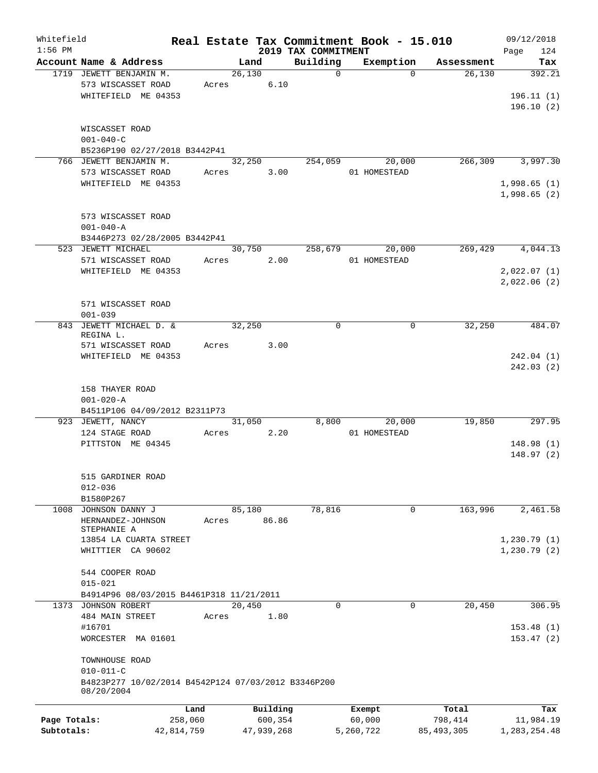| Whitefield<br>$1:56$ PM |                                                     |            |        |            | 2019 TAX COMMITMENT | Real Estate Tax Commitment Book - 15.010 |              | 09/12/2018<br>Page<br>124 |
|-------------------------|-----------------------------------------------------|------------|--------|------------|---------------------|------------------------------------------|--------------|---------------------------|
|                         | Account Name & Address                              |            | Land   |            | Building            | Exemption                                | Assessment   | Tax                       |
|                         | 1719 JEWETT BENJAMIN M.                             |            | 26,130 |            | $\mathbf 0$         | $\Omega$                                 | 26,130       | 392.21                    |
|                         | 573 WISCASSET ROAD                                  | Acres      |        | 6.10       |                     |                                          |              |                           |
|                         | WHITEFIELD ME 04353                                 |            |        |            |                     |                                          |              | 196.11(1)                 |
|                         |                                                     |            |        |            |                     |                                          |              | 196.10(2)                 |
|                         |                                                     |            |        |            |                     |                                          |              |                           |
|                         | WISCASSET ROAD                                      |            |        |            |                     |                                          |              |                           |
|                         | $001 - 040 - C$                                     |            |        |            |                     |                                          |              |                           |
|                         | B5236P190 02/27/2018 B3442P41                       |            |        |            |                     |                                          |              |                           |
|                         | 766 JEWETT BENJAMIN M.                              |            | 32,250 |            | 254,059             | 20,000                                   | 266,309      | 3,997.30                  |
|                         | 573 WISCASSET ROAD                                  | Acres      |        | 3.00       |                     | 01 HOMESTEAD                             |              |                           |
|                         | WHITEFIELD ME 04353                                 |            |        |            |                     |                                          |              | 1,998.65(1)               |
|                         |                                                     |            |        |            |                     |                                          |              | 1,998.65(2)               |
|                         |                                                     |            |        |            |                     |                                          |              |                           |
|                         | 573 WISCASSET ROAD                                  |            |        |            |                     |                                          |              |                           |
|                         | $001 - 040 - A$                                     |            |        |            |                     |                                          |              |                           |
|                         | B3446P273 02/28/2005 B3442P41                       |            |        |            |                     |                                          |              |                           |
|                         | 523 JEWETT MICHAEL                                  |            | 30,750 |            | 258,679             | 20,000                                   | 269,429      | 4,044.13                  |
|                         | 571 WISCASSET ROAD                                  | Acres      |        | 2.00       |                     | 01 HOMESTEAD                             |              |                           |
|                         | WHITEFIELD ME 04353                                 |            |        |            |                     |                                          |              | 2,022.07(1)               |
|                         |                                                     |            |        |            |                     |                                          |              | 2,022.06(2)               |
|                         |                                                     |            |        |            |                     |                                          |              |                           |
|                         | 571 WISCASSET ROAD                                  |            |        |            |                     |                                          |              |                           |
|                         | $001 - 039$                                         |            |        |            |                     |                                          |              |                           |
| 843                     | JEWETT MICHAEL D. &                                 |            | 32,250 |            | $\mathbf 0$         | 0                                        | 32,250       | 484.07                    |
|                         | REGINA L.                                           |            |        |            |                     |                                          |              |                           |
|                         | 571 WISCASSET ROAD                                  | Acres      |        | 3.00       |                     |                                          |              |                           |
|                         | WHITEFIELD ME 04353                                 |            |        |            |                     |                                          |              | 242.04(1)                 |
|                         |                                                     |            |        |            |                     |                                          |              | 242.03(2)                 |
|                         |                                                     |            |        |            |                     |                                          |              |                           |
|                         | 158 THAYER ROAD                                     |            |        |            |                     |                                          |              |                           |
|                         | $001 - 020 - A$                                     |            |        |            |                     |                                          |              |                           |
|                         | B4511P106 04/09/2012 B2311P73                       |            |        |            |                     |                                          |              |                           |
|                         | 923 JEWETT, NANCY                                   |            | 31,050 |            | 8,800               | 20,000                                   | 19,850       | 297.95                    |
|                         | 124 STAGE ROAD                                      | Acres      |        | 2.20       |                     | 01 HOMESTEAD                             |              |                           |
|                         | PITTSTON ME 04345                                   |            |        |            |                     |                                          |              | 148.98(1)                 |
|                         |                                                     |            |        |            |                     |                                          |              | 148.97(2)                 |
|                         |                                                     |            |        |            |                     |                                          |              |                           |
|                         | 515 GARDINER ROAD                                   |            |        |            |                     |                                          |              |                           |
|                         | $012 - 036$                                         |            |        |            |                     |                                          |              |                           |
|                         | B1580P267                                           |            |        |            |                     |                                          |              |                           |
|                         | 1008 JOHNSON DANNY J                                |            | 85,180 |            | 78,816              | 0                                        | 163,996      | 2,461.58                  |
|                         | HERNANDEZ-JOHNSON<br>STEPHANIE A                    | Acres      |        | 86.86      |                     |                                          |              |                           |
|                         | 13854 LA CUARTA STREET                              |            |        |            |                     |                                          |              | 1,230.79(1)               |
|                         | WHITTIER CA 90602                                   |            |        |            |                     |                                          |              | 1,230.79(2)               |
|                         |                                                     |            |        |            |                     |                                          |              |                           |
|                         | 544 COOPER ROAD                                     |            |        |            |                     |                                          |              |                           |
|                         | $015 - 021$                                         |            |        |            |                     |                                          |              |                           |
|                         | B4914P96 08/03/2015 B4461P318 11/21/2011            |            |        |            |                     |                                          |              |                           |
|                         | 1373 JOHNSON ROBERT                                 |            | 20,450 |            | 0                   | 0                                        | 20,450       | 306.95                    |
|                         | 484 MAIN STREET                                     | Acres      |        | 1.80       |                     |                                          |              |                           |
|                         | #16701                                              |            |        |            |                     |                                          |              | 153.48(1)                 |
|                         | WORCESTER MA 01601                                  |            |        |            |                     |                                          |              | 153.47(2)                 |
|                         |                                                     |            |        |            |                     |                                          |              |                           |
|                         | TOWNHOUSE ROAD                                      |            |        |            |                     |                                          |              |                           |
|                         | $010 - 011 - C$                                     |            |        |            |                     |                                          |              |                           |
|                         | B4823P277 10/02/2014 B4542P124 07/03/2012 B3346P200 |            |        |            |                     |                                          |              |                           |
|                         | 08/20/2004                                          |            |        |            |                     |                                          |              |                           |
|                         |                                                     |            |        |            |                     |                                          |              |                           |
|                         |                                                     | Land       |        | Building   |                     | Exempt                                   | Total        | Tax                       |
| Page Totals:            |                                                     | 258,060    |        | 600,354    |                     | 60,000                                   | 798,414      | 11,984.19                 |
| Subtotals:              |                                                     | 42,814,759 |        | 47,939,268 |                     | 5,260,722                                | 85, 493, 305 | 1,283,254.48              |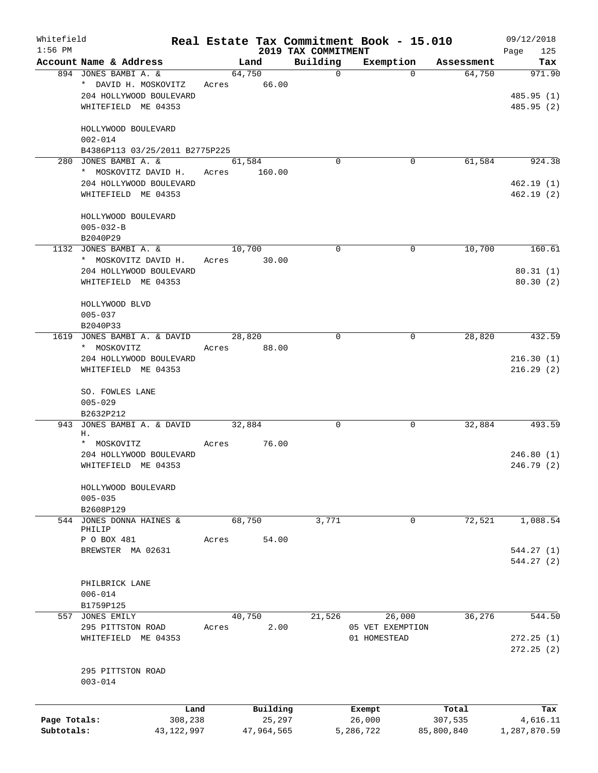| Whitefield<br>$1:56$ PM |                                                        |            |       |        |            |                                 | Real Estate Tax Commitment Book - 15.010 |            | 09/12/2018              |
|-------------------------|--------------------------------------------------------|------------|-------|--------|------------|---------------------------------|------------------------------------------|------------|-------------------------|
|                         | Account Name & Address                                 |            |       | Land   |            | 2019 TAX COMMITMENT<br>Building | Exemption                                | Assessment | 125<br>Page<br>Tax      |
|                         | 894 JONES BAMBI A. &<br>* DAVID H. MOSKOVITZ           |            | Acres | 64,750 | 66.00      | $\mathbf 0$                     | $\Omega$                                 | 64,750     | 971.90                  |
|                         | 204 HOLLYWOOD BOULEVARD<br>WHITEFIELD ME 04353         |            |       |        |            |                                 |                                          |            | 485.95 (1)<br>485.95(2) |
|                         | HOLLYWOOD BOULEVARD<br>$002 - 014$                     |            |       |        |            |                                 |                                          |            |                         |
|                         | B4386P113 03/25/2011 B2775P225<br>280 JONES BAMBI A. & |            |       | 61,584 |            | $\Omega$                        | $\Omega$                                 | 61,584     | 924.38                  |
|                         | * MOSKOVITZ DAVID H.                                   |            | Acres |        | 160.00     |                                 |                                          |            |                         |
|                         | 204 HOLLYWOOD BOULEVARD                                |            |       |        |            |                                 |                                          |            | 462.19(1)               |
|                         | WHITEFIELD ME 04353                                    |            |       |        |            |                                 |                                          |            | 462.19(2)               |
|                         | HOLLYWOOD BOULEVARD                                    |            |       |        |            |                                 |                                          |            |                         |
|                         | $005 - 032 - B$<br>B2040P29                            |            |       |        |            |                                 |                                          |            |                         |
|                         | 1132 JONES BAMBI A. &                                  |            |       | 10,700 |            | $\Omega$                        | 0                                        | 10,700     | 160.61                  |
|                         | * MOSKOVITZ DAVID H.                                   |            | Acres |        | 30.00      |                                 |                                          |            |                         |
|                         | 204 HOLLYWOOD BOULEVARD                                |            |       |        |            |                                 |                                          |            | 80.31(1)                |
|                         | WHITEFIELD ME 04353                                    |            |       |        |            |                                 |                                          |            | 80.30(2)                |
|                         | HOLLYWOOD BLVD                                         |            |       |        |            |                                 |                                          |            |                         |
|                         | $005 - 037$                                            |            |       |        |            |                                 |                                          |            |                         |
| 1619                    | B2040P33<br>JONES BAMBI A. & DAVID                     |            |       | 28,820 |            | $\Omega$                        | 0                                        | 28,820     | 432.59                  |
|                         | * MOSKOVITZ                                            |            | Acres |        | 88.00      |                                 |                                          |            |                         |
|                         | 204 HOLLYWOOD BOULEVARD                                |            |       |        |            |                                 |                                          |            | 216.30(1)               |
|                         | WHITEFIELD ME 04353                                    |            |       |        |            |                                 |                                          |            | 216.29(2)               |
|                         | SO. FOWLES LANE                                        |            |       |        |            |                                 |                                          |            |                         |
|                         | $005 - 029$<br>B2632P212                               |            |       |        |            |                                 |                                          |            |                         |
| 943                     | JONES BAMBI A. & DAVID                                 |            |       | 32,884 |            | 0                               | 0                                        | 32,884     | 493.59                  |
|                         | Η.                                                     |            |       |        |            |                                 |                                          |            |                         |
|                         | * MOSKOVITZ                                            |            | Acres |        | 76.00      |                                 |                                          |            |                         |
|                         | 204 HOLLYWOOD BOULEVARD                                |            |       |        |            |                                 |                                          |            | 246.80(1)               |
|                         | WHITEFIELD ME 04353                                    |            |       |        |            |                                 |                                          |            | 246.79 (2)              |
|                         | HOLLYWOOD BOULEVARD<br>$005 - 035$                     |            |       |        |            |                                 |                                          |            |                         |
|                         | B2608P129                                              |            |       |        |            |                                 |                                          |            |                         |
|                         | 544 JONES DONNA HAINES &<br>PHILIP                     |            |       | 68,750 |            | 3,771                           | $\Omega$                                 | 72,521     | 1,088.54                |
|                         | P O BOX 481                                            |            | Acres |        | 54.00      |                                 |                                          |            |                         |
|                         | BREWSTER MA 02631                                      |            |       |        |            |                                 |                                          |            | 544.27(1)               |
|                         |                                                        |            |       |        |            |                                 |                                          |            | 544.27(2)               |
|                         | PHILBRICK LANE                                         |            |       |        |            |                                 |                                          |            |                         |
|                         | $006 - 014$                                            |            |       |        |            |                                 |                                          |            |                         |
|                         | B1759P125                                              |            |       |        |            |                                 |                                          |            |                         |
|                         | 557 JONES EMILY                                        |            |       | 40,750 |            | 21,526                          | 26,000                                   | 36,276     | 544.50                  |
|                         | 295 PITTSTON ROAD                                      |            | Acres |        | 2.00       |                                 | 05 VET EXEMPTION                         |            |                         |
|                         | WHITEFIELD ME 04353                                    |            |       |        |            |                                 | 01 HOMESTEAD                             |            | 272.25(1)<br>272.25(2)  |
|                         | 295 PITTSTON ROAD                                      |            |       |        |            |                                 |                                          |            |                         |
|                         | $003 - 014$                                            |            |       |        |            |                                 |                                          |            |                         |
|                         |                                                        | Land       |       |        | Building   |                                 | Exempt                                   | Total      | Tax                     |
| Page Totals:            |                                                        | 308,238    |       |        | 25,297     |                                 | 26,000                                   | 307,535    | 4,616.11                |
| Subtotals:              |                                                        | 43,122,997 |       |        | 47,964,565 |                                 | 5,286,722                                | 85,800,840 | 1,287,870.59            |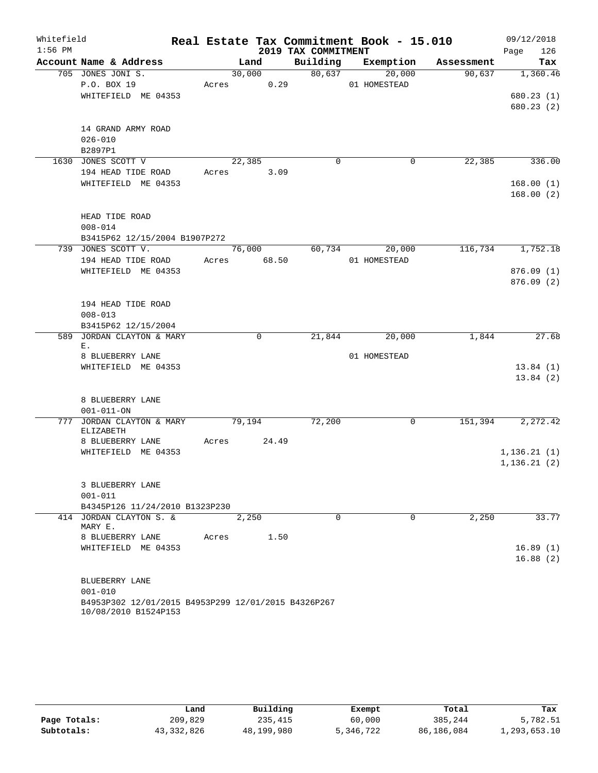| Whitefield |                                    |                                                                             |       |             |                     | Real Estate Tax Commitment Book - 15.010 |            | 09/12/2018  |
|------------|------------------------------------|-----------------------------------------------------------------------------|-------|-------------|---------------------|------------------------------------------|------------|-------------|
| $1:56$ PM  |                                    |                                                                             |       |             | 2019 TAX COMMITMENT |                                          |            | 126<br>Page |
|            | Account Name & Address             |                                                                             |       | Land        | Building            | Exemption                                | Assessment | Tax         |
|            | 705 JONES JONI S.                  |                                                                             |       | 30,000      | 80,637              | 20,000                                   | 90,637     | 1,360.46    |
|            | P.O. BOX 19                        | WHITEFIELD ME 04353                                                         | Acres | 0.29        |                     | 01 HOMESTEAD                             |            | 680.23(1)   |
|            |                                    |                                                                             |       |             |                     |                                          |            | 680.23(2)   |
|            |                                    |                                                                             |       |             |                     |                                          |            |             |
|            | 14 GRAND ARMY ROAD                 |                                                                             |       |             |                     |                                          |            |             |
|            | $026 - 010$                        |                                                                             |       |             |                     |                                          |            |             |
|            | B2897P1                            |                                                                             |       |             |                     |                                          |            |             |
|            | 1630 JONES SCOTT V                 |                                                                             |       | 22,385      | $\mathbf 0$         | 0                                        | 22,385     | 336.00      |
|            | 194 HEAD TIDE ROAD                 |                                                                             | Acres | 3.09        |                     |                                          |            |             |
|            |                                    | WHITEFIELD ME 04353                                                         |       |             |                     |                                          |            | 168.00(1)   |
|            |                                    |                                                                             |       |             |                     |                                          |            | 168.00(2)   |
|            |                                    |                                                                             |       |             |                     |                                          |            |             |
|            | HEAD TIDE ROAD                     |                                                                             |       |             |                     |                                          |            |             |
|            | $008 - 014$                        | B3415P62 12/15/2004 B1907P272                                               |       |             |                     |                                          |            |             |
|            | 739 JONES SCOTT V.                 |                                                                             |       | 76,000      | 60,734              | 20,000                                   | 116,734    | 1,752.18    |
|            | 194 HEAD TIDE ROAD                 |                                                                             | Acres | 68.50       |                     | 01 HOMESTEAD                             |            |             |
|            |                                    | WHITEFIELD ME 04353                                                         |       |             |                     |                                          |            | 876.09(1)   |
|            |                                    |                                                                             |       |             |                     |                                          |            | 876.09(2)   |
|            |                                    |                                                                             |       |             |                     |                                          |            |             |
|            | 194 HEAD TIDE ROAD                 |                                                                             |       |             |                     |                                          |            |             |
|            | $008 - 013$                        |                                                                             |       |             |                     |                                          |            |             |
|            |                                    | B3415P62 12/15/2004                                                         |       |             |                     |                                          |            |             |
| 589        | Ε.                                 | JORDAN CLAYTON & MARY                                                       |       | $\mathbf 0$ | 21,844              | 20,000                                   | 1,844      | 27.68       |
|            | 8 BLUEBERRY LANE                   |                                                                             |       |             |                     | 01 HOMESTEAD                             |            |             |
|            |                                    | WHITEFIELD ME 04353                                                         |       |             |                     |                                          |            | 13.84(1)    |
|            |                                    |                                                                             |       |             |                     |                                          |            | 13.84(2)    |
|            |                                    |                                                                             |       |             |                     |                                          |            |             |
|            | 8 BLUEBERRY LANE                   |                                                                             |       |             |                     |                                          |            |             |
|            | $001 - 011 - ON$                   |                                                                             |       |             |                     |                                          |            |             |
| 777        |                                    | JORDAN CLAYTON & MARY                                                       |       | 79,194      | 72,200              | 0                                        | 151,394    | 2, 272, 42  |
|            | ELIZABETH<br>8 BLUEBERRY LANE      |                                                                             | Acres | 24.49       |                     |                                          |            |             |
|            |                                    | WHITEFIELD ME 04353                                                         |       |             |                     |                                          |            | 1,136.21(1) |
|            |                                    |                                                                             |       |             |                     |                                          |            | 1,136.21(2) |
|            |                                    |                                                                             |       |             |                     |                                          |            |             |
|            | 3 BLUEBERRY LANE                   |                                                                             |       |             |                     |                                          |            |             |
|            | $001 - 011$                        |                                                                             |       |             |                     |                                          |            |             |
|            |                                    | B4345P126 11/24/2010 B1323P230                                              |       |             |                     |                                          |            |             |
|            | 414 JORDAN CLAYTON S. &<br>MARY E. |                                                                             |       | 2,250       | $\Omega$            | $\Omega$                                 | 2,250      | 33.77       |
|            | 8 BLUEBERRY LANE                   |                                                                             | Acres | 1.50        |                     |                                          |            |             |
|            |                                    | WHITEFIELD ME 04353                                                         |       |             |                     |                                          |            | 16.89(1)    |
|            |                                    |                                                                             |       |             |                     |                                          |            | 16.88(2)    |
|            |                                    |                                                                             |       |             |                     |                                          |            |             |
|            | BLUEBERRY LANE                     |                                                                             |       |             |                     |                                          |            |             |
|            | $001 - 010$                        |                                                                             |       |             |                     |                                          |            |             |
|            |                                    | B4953P302 12/01/2015 B4953P299 12/01/2015 B4326P267<br>10/08/2010 B1524P153 |       |             |                     |                                          |            |             |

|              | Land         | Building   | Exempt    | Total      | Tax          |
|--------------|--------------|------------|-----------|------------|--------------|
| Page Totals: | 209,829      | 235,415    | 60,000    | 385,244    | 5,782.51     |
| Subtotals:   | 43, 332, 826 | 48,199,980 | 5,346,722 | 86,186,084 | 1,293,653.10 |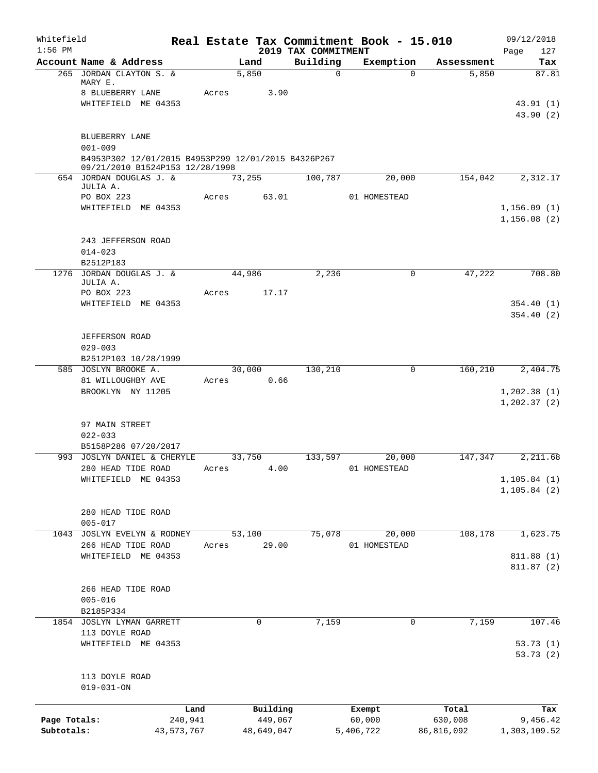| Whitefield<br>$1:56$ PM    |                                                                                        |                       |                       | 2019 TAX COMMITMENT | Real Estate Tax Commitment Book - 15.010 |                       | 09/12/2018<br>Page<br>127    |
|----------------------------|----------------------------------------------------------------------------------------|-----------------------|-----------------------|---------------------|------------------------------------------|-----------------------|------------------------------|
|                            | Account Name & Address                                                                 |                       | Land                  | Building            | Exemption                                | Assessment            | Tax                          |
|                            | 265 JORDAN CLAYTON S. &<br>MARY E.                                                     |                       | 5,850                 | $\mathbf 0$         | $\Omega$                                 | 5,850                 | 87.81                        |
|                            | 8 BLUEBERRY LANE<br>WHITEFIELD ME 04353                                                | Acres                 | 3.90                  |                     |                                          |                       | 43.91(1)<br>43.90 (2)        |
|                            | <b>BLUEBERRY LANE</b><br>$001 - 009$                                                   |                       |                       |                     |                                          |                       |                              |
|                            | B4953P302 12/01/2015 B4953P299 12/01/2015 B4326P267<br>09/21/2010 B1524P153 12/28/1998 |                       |                       |                     |                                          |                       |                              |
|                            | 654 JORDAN DOUGLAS J. &<br>JULIA A.                                                    |                       | 73,255                | 100,787             | 20,000                                   | 154,042               | 2,312.17                     |
|                            | PO BOX 223<br>WHITEFIELD ME 04353                                                      | Acres                 | 63.01                 |                     | 01 HOMESTEAD                             |                       | 1, 156.09(1)<br>1, 156.08(2) |
|                            | 243 JEFFERSON ROAD<br>$014 - 023$                                                      |                       |                       |                     |                                          |                       |                              |
|                            | B2512P183<br>1276 JORDAN DOUGLAS J. &                                                  |                       | 44,986                | 2,236               | 0                                        | 47,222                | 708.80                       |
|                            | JULIA A.                                                                               | Acres                 | 17.17                 |                     |                                          |                       |                              |
|                            | PO BOX 223<br>WHITEFIELD ME 04353                                                      |                       |                       |                     |                                          |                       | 354.40(1)                    |
|                            |                                                                                        |                       |                       |                     |                                          |                       | 354.40(2)                    |
|                            | <b>JEFFERSON ROAD</b>                                                                  |                       |                       |                     |                                          |                       |                              |
|                            | $029 - 003$<br>B2512P103 10/28/1999                                                    |                       |                       |                     |                                          |                       |                              |
|                            | 585 JOSLYN BROOKE A.                                                                   |                       | 30,000                | 130,210             | 0                                        | 160, 210              | 2,404.75                     |
|                            | 81 WILLOUGHBY AVE<br>BROOKLYN NY 11205                                                 | Acres                 | 0.66                  |                     |                                          |                       | 1, 202.38(1)                 |
|                            |                                                                                        |                       |                       |                     |                                          |                       | 1, 202.37(2)                 |
|                            | 97 MAIN STREET                                                                         |                       |                       |                     |                                          |                       |                              |
|                            | $022 - 033$<br>B5158P286 07/20/2017                                                    |                       |                       |                     |                                          |                       |                              |
|                            | 993 JOSLYN DANIEL & CHERYLE                                                            |                       | 33,750                | 133,597             | 20,000                                   | 147,347               | 2,211.68                     |
|                            | 280 HEAD TIDE ROAD<br>WHITEFIELD ME 04353                                              | Acres                 | 4.00                  |                     | 01 HOMESTEAD                             |                       | 1, 105.84(1)                 |
|                            |                                                                                        |                       |                       |                     |                                          |                       | 1, 105.84 (2)                |
|                            | 280 HEAD TIDE ROAD                                                                     |                       |                       |                     |                                          |                       |                              |
|                            | $005 - 017$<br>JOSLYN EVELYN & RODNEY                                                  |                       |                       |                     |                                          |                       |                              |
| 1043                       | 266 HEAD TIDE ROAD                                                                     | Acres                 | 53,100<br>29.00       | 75,078              | 20,000<br>01 HOMESTEAD                   | 108,178               | 1,623.75                     |
|                            | WHITEFIELD ME 04353                                                                    |                       |                       |                     |                                          |                       | 811.88 (1)<br>811.87(2)      |
|                            | 266 HEAD TIDE ROAD                                                                     |                       |                       |                     |                                          |                       |                              |
|                            | $005 - 016$                                                                            |                       |                       |                     |                                          |                       |                              |
|                            | B2185P334<br>1854 JOSLYN LYMAN GARRETT                                                 |                       | 0                     | 7,159               | $\mathbf 0$                              | 7,159                 | 107.46                       |
|                            | 113 DOYLE ROAD<br>WHITEFIELD ME 04353                                                  |                       |                       |                     |                                          |                       |                              |
|                            |                                                                                        |                       |                       |                     |                                          |                       | 53.73 (1)<br>53.73(2)        |
|                            | 113 DOYLE ROAD<br>$019 - 031 - ON$                                                     |                       |                       |                     |                                          |                       |                              |
|                            |                                                                                        | Land                  | Building              |                     | Exempt                                   | Total                 | Tax                          |
| Page Totals:<br>Subtotals: |                                                                                        | 240,941<br>43,573,767 | 449,067<br>48,649,047 |                     | 60,000<br>5,406,722                      | 630,008<br>86,816,092 | 9,456.42<br>1,303,109.52     |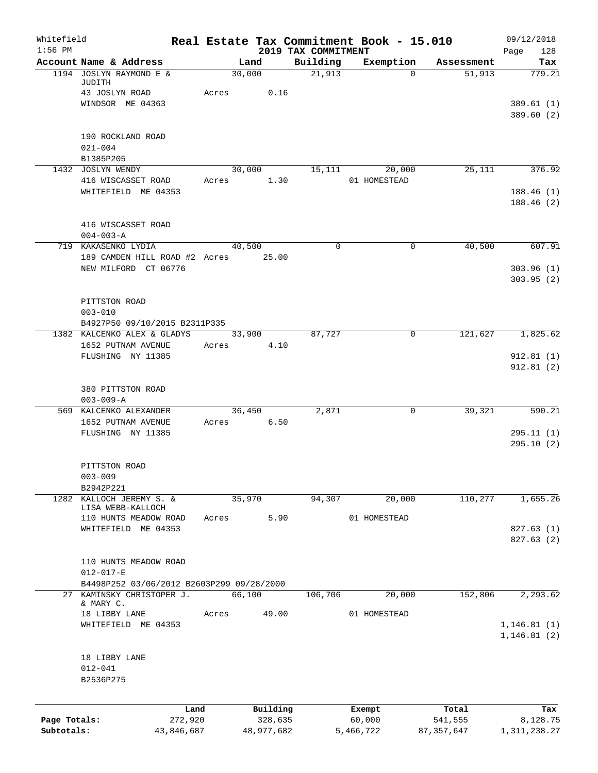| Whitefield<br>$1:56$ PM |                                                                     |            |        |                | 2019 TAX COMMITMENT | Real Estate Tax Commitment Book - 15.010 |              | 09/12/2018                  |
|-------------------------|---------------------------------------------------------------------|------------|--------|----------------|---------------------|------------------------------------------|--------------|-----------------------------|
|                         | Account Name & Address                                              |            |        | Land           | Building            | Exemption                                | Assessment   | 128<br>Page<br>Tax          |
|                         | 1194 JOSLYN RAYMOND E &<br>JUDITH                                   |            | 30,000 |                | 21,913              | $\Omega$                                 | 51,913       | 779.21                      |
|                         | 43 JOSLYN ROAD                                                      |            | Acres  | 0.16           |                     |                                          |              |                             |
|                         | WINDSOR ME 04363                                                    |            |        |                |                     |                                          |              | 389.61(1)<br>389.60 (2)     |
|                         | 190 ROCKLAND ROAD                                                   |            |        |                |                     |                                          |              |                             |
|                         | $021 - 004$<br>B1385P205                                            |            |        |                |                     |                                          |              |                             |
|                         | 1432 JOSLYN WENDY                                                   |            | 30,000 |                | 15,111              | 20,000                                   | 25,111       | 376.92                      |
|                         | 416 WISCASSET ROAD                                                  |            | Acres  | 1.30           |                     | 01 HOMESTEAD                             |              |                             |
|                         | WHITEFIELD ME 04353                                                 |            |        |                |                     |                                          |              | 188.46(1)<br>188.46(2)      |
|                         | 416 WISCASSET ROAD                                                  |            |        |                |                     |                                          |              |                             |
|                         | $004 - 003 - A$                                                     |            |        |                |                     |                                          |              |                             |
|                         | 719 KAKASENKO LYDIA                                                 |            | 40,500 |                | $\mathbf 0$         | 0                                        | 40,500       | 607.91                      |
|                         | 189 CAMDEN HILL ROAD #2 Acres 25.00                                 |            |        |                |                     |                                          |              |                             |
|                         | NEW MILFORD CT 06776                                                |            |        |                |                     |                                          |              | 303.96(1)<br>303.95(2)      |
|                         | PITTSTON ROAD                                                       |            |        |                |                     |                                          |              |                             |
|                         | $003 - 010$                                                         |            |        |                |                     |                                          |              |                             |
|                         | B4927P50 09/10/2015 B2311P335                                       |            |        |                |                     |                                          |              |                             |
|                         | 1382 KALCENKO ALEX & GLADYS<br>1652 PUTNAM AVENUE                   |            | Acres  | 33,900<br>4.10 | 87,727              | $\mathbf 0$                              | 121,627      | 1,825.62                    |
|                         | FLUSHING NY 11385                                                   |            |        |                |                     |                                          |              | 912.81(1)                   |
|                         |                                                                     |            |        |                |                     |                                          |              | 912.81(2)                   |
|                         | 380 PITTSTON ROAD<br>$003 - 009 - A$                                |            |        |                |                     |                                          |              |                             |
|                         | 569 KALCENKO ALEXANDER                                              |            | 36,450 |                | 2,871               | 0                                        | 39,321       | 590.21                      |
|                         | 1652 PUTNAM AVENUE                                                  |            | Acres  | 6.50           |                     |                                          |              |                             |
|                         | FLUSHING NY 11385                                                   |            |        |                |                     |                                          |              | 295.11(1)<br>295.10(2)      |
|                         | PITTSTON ROAD                                                       |            |        |                |                     |                                          |              |                             |
|                         | $003 - 009$                                                         |            |        |                |                     |                                          |              |                             |
|                         | B2942P221<br>1282 KALLOCH JEREMY S. &                               |            | 35,970 |                | 94,307              | 20,000                                   | 110,277      | 1,655.26                    |
|                         | LISA WEBB-KALLOCH                                                   |            |        |                |                     |                                          |              |                             |
|                         | 110 HUNTS MEADOW ROAD                                               |            | Acres  | 5.90           |                     | 01 HOMESTEAD                             |              |                             |
|                         | WHITEFIELD ME 04353                                                 |            |        |                |                     |                                          |              | 827.63(1)                   |
|                         |                                                                     |            |        |                |                     |                                          |              | 827.63(2)                   |
|                         | 110 HUNTS MEADOW ROAD                                               |            |        |                |                     |                                          |              |                             |
|                         | $012 - 017 - E$                                                     |            |        |                |                     |                                          |              |                             |
| 27                      | B4498P252 03/06/2012 B2603P299 09/28/2000<br>KAMINSKY CHRISTOPER J. |            | 66,100 |                | 106,706             | 20,000                                   | 152,806      | 2,293.62                    |
|                         | & MARY C.                                                           |            |        |                |                     |                                          |              |                             |
|                         | 18 LIBBY LANE                                                       |            | Acres  | 49.00          |                     | 01 HOMESTEAD                             |              |                             |
|                         | WHITEFIELD ME 04353                                                 |            |        |                |                     |                                          |              | 1,146.81(1)<br>1, 146.81(2) |
|                         | 18 LIBBY LANE                                                       |            |        |                |                     |                                          |              |                             |
|                         | $012 - 041$                                                         |            |        |                |                     |                                          |              |                             |
|                         | B2536P275                                                           |            |        |                |                     |                                          |              |                             |
|                         |                                                                     | Land       |        | Building       |                     | Exempt                                   | Total        | Tax                         |
| Page Totals:            |                                                                     | 272,920    |        | 328,635        |                     | 60,000                                   | 541,555      | 8,128.75                    |
| Subtotals:              |                                                                     | 43,846,687 |        | 48,977,682     |                     | 5,466,722                                | 87, 357, 647 | 1, 311, 238.27              |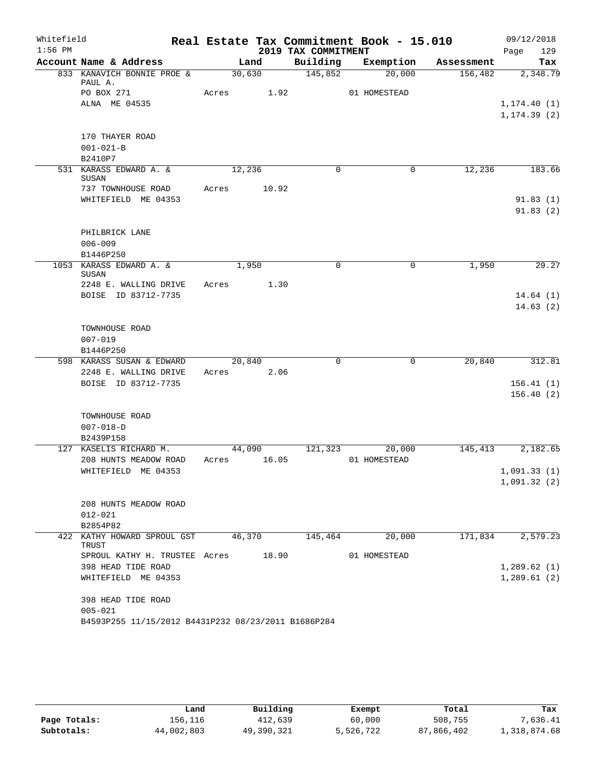| Whitefield |                                                     |       |             |                     | Real Estate Tax Commitment Book - 15.010 |            | 09/12/2018       |
|------------|-----------------------------------------------------|-------|-------------|---------------------|------------------------------------------|------------|------------------|
| $1:56$ PM  |                                                     |       |             | 2019 TAX COMMITMENT |                                          |            | 129<br>Page      |
|            | Account Name & Address                              |       | Land        | Building            | Exemption                                | Assessment | Tax              |
|            | 833 KANAVICH BONNIE PROE &<br>PAUL A.               |       | 30,630      | 145,852             | 20,000                                   | 156,482    | 2,348.79         |
|            | PO BOX 271                                          | Acres | 1.92        |                     | 01 HOMESTEAD                             |            |                  |
|            | ALNA ME 04535                                       |       |             |                     |                                          |            | 1, 174.40(1)     |
|            |                                                     |       |             |                     |                                          |            | 1, 174.39(2)     |
|            |                                                     |       |             |                     |                                          |            |                  |
|            | 170 THAYER ROAD                                     |       |             |                     |                                          |            |                  |
|            | $001 - 021 - B$<br>B2410P7                          |       |             |                     |                                          |            |                  |
|            | 531 KARASS EDWARD A. &                              |       | 12,236      | $\Omega$            | 0                                        | 12,236     | 183.66           |
|            | SUSAN                                               |       |             |                     |                                          |            |                  |
|            | 737 TOWNHOUSE ROAD                                  | Acres | 10.92       |                     |                                          |            |                  |
|            | WHITEFIELD ME 04353                                 |       |             |                     |                                          |            | 91.83(1)         |
|            |                                                     |       |             |                     |                                          |            | 91.83(2)         |
|            |                                                     |       |             |                     |                                          |            |                  |
|            | PHILBRICK LANE                                      |       |             |                     |                                          |            |                  |
|            | $006 - 009$                                         |       |             |                     |                                          |            |                  |
|            | B1446P250                                           |       |             |                     |                                          |            |                  |
|            | 1053 KARASS EDWARD A. &<br>SUSAN                    |       | 1,950       | $\Omega$            | $\mathbf 0$                              | 1,950      | 29.27            |
|            | 2248 E. WALLING DRIVE                               | Acres | 1.30        |                     |                                          |            |                  |
|            | BOISE ID 83712-7735                                 |       |             |                     |                                          |            | 14.64(1)         |
|            |                                                     |       |             |                     |                                          |            | 14.63(2)         |
|            |                                                     |       |             |                     |                                          |            |                  |
|            | TOWNHOUSE ROAD                                      |       |             |                     |                                          |            |                  |
|            | $007 - 019$                                         |       |             |                     |                                          |            |                  |
|            | B1446P250                                           |       |             |                     |                                          |            |                  |
|            | 598 KARASS SUSAN & EDWARD                           |       | 20,840      | $\Omega$            | $\mathbf 0$                              | 20,840     | 312.81           |
|            | 2248 E. WALLING DRIVE                               |       | Acres 2.06  |                     |                                          |            |                  |
|            | BOISE ID 83712-7735                                 |       |             |                     |                                          |            | 156.41(1)        |
|            |                                                     |       |             |                     |                                          |            | 156.40(2)        |
|            | TOWNHOUSE ROAD                                      |       |             |                     |                                          |            |                  |
|            | $007 - 018 - D$                                     |       |             |                     |                                          |            |                  |
|            | B2439P158                                           |       |             |                     |                                          |            |                  |
|            | 127 KASELIS RICHARD M.                              |       | 44,090      | 121,323             | 20,000                                   | 145,413    | 2,182.65         |
|            | 208 HUNTS MEADOW ROAD                               |       | Acres 16.05 |                     | 01 HOMESTEAD                             |            |                  |
|            | WHITEFIELD ME 04353                                 |       |             |                     |                                          |            | 1,091.33(1)      |
|            |                                                     |       |             |                     |                                          |            | 1,091.32(2)      |
|            |                                                     |       |             |                     |                                          |            |                  |
|            | 208 HUNTS MEADOW ROAD                               |       |             |                     |                                          |            |                  |
|            | $012 - 021$                                         |       |             |                     |                                          |            |                  |
|            | B2854P82                                            |       |             |                     |                                          |            |                  |
|            | 422 KATHY HOWARD SPROUL GST 46,370 145,464 20,000   |       |             |                     |                                          |            | 171,834 2,579.23 |
|            | TRUST<br>SPROUL KATHY H. TRUSTEE Acres 18.90        |       |             |                     | 01 HOMESTEAD                             |            |                  |
|            | 398 HEAD TIDE ROAD                                  |       |             |                     |                                          |            | 1,289.62(1)      |
|            | WHITEFIELD ME 04353                                 |       |             |                     |                                          |            | 1,289.61(2)      |
|            |                                                     |       |             |                     |                                          |            |                  |
|            | 398 HEAD TIDE ROAD                                  |       |             |                     |                                          |            |                  |
|            | $005 - 021$                                         |       |             |                     |                                          |            |                  |
|            | B4593P255 11/15/2012 B4431P232 08/23/2011 B1686P284 |       |             |                     |                                          |            |                  |

|              | Land       | Building   | Exempt    | Total      | Tax          |
|--------------|------------|------------|-----------|------------|--------------|
| Page Totals: | 156,116    | 412,639    | 60,000    | 508,755    | 7,636.41     |
| Subtotals:   | 44,002,803 | 49,390,321 | 5,526,722 | 87,866,402 | 1,318,874.68 |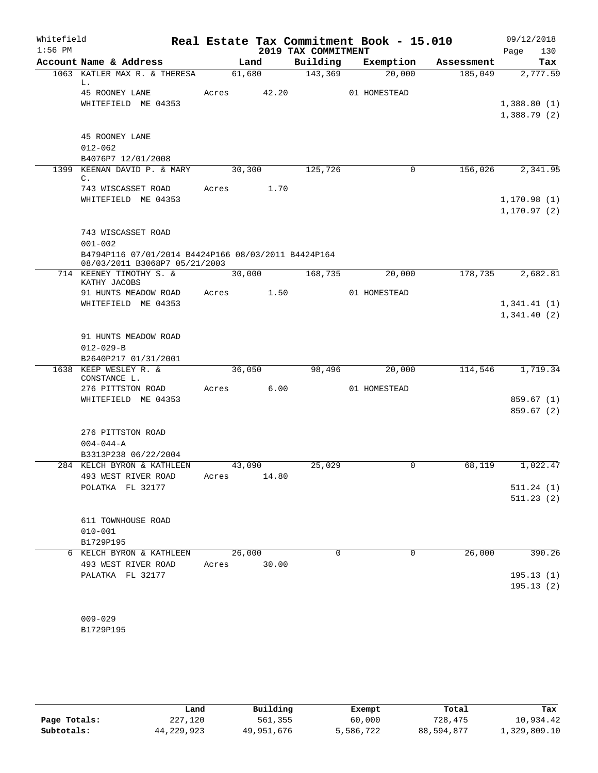| Whitefield<br>$1:56$ PM |                                                                                      |        |        | 2019 TAX COMMITMENT | Real Estate Tax Commitment Book - 15.010 |            | 09/12/2018<br>130<br>Page    |
|-------------------------|--------------------------------------------------------------------------------------|--------|--------|---------------------|------------------------------------------|------------|------------------------------|
|                         | Account Name & Address                                                               |        | Land   | Building            | Exemption                                | Assessment | Tax                          |
|                         | 1063 KATLER MAX R. & THERESA                                                         |        | 61,680 | 143,369             | 20,000                                   | 185,049    | 2,777.59                     |
|                         | L.<br>45 ROONEY LANE<br>WHITEFIELD ME 04353                                          | Acres  | 42.20  |                     | 01 HOMESTEAD                             |            | 1,388.80(1)<br>1,388.79(2)   |
|                         | 45 ROONEY LANE                                                                       |        |        |                     |                                          |            |                              |
|                         | $012 - 062$                                                                          |        |        |                     |                                          |            |                              |
|                         | B4076P7 12/01/2008                                                                   |        |        |                     |                                          |            |                              |
|                         | 1399 KEENAN DAVID P. & MARY<br>$\mathbb{C}$ .                                        |        | 30,300 | 125,726             | 0                                        | 156,026    | 2,341.95                     |
|                         | 743 WISCASSET ROAD                                                                   | Acres  | 1.70   |                     |                                          |            |                              |
|                         | WHITEFIELD ME 04353                                                                  |        |        |                     |                                          |            | 1, 170.98(1)<br>1, 170.97(2) |
|                         | 743 WISCASSET ROAD<br>$001 - 002$                                                    |        |        |                     |                                          |            |                              |
|                         | B4794P116 07/01/2014 B4424P166 08/03/2011 B4424P164<br>08/03/2011 B3068P7 05/21/2003 |        |        |                     |                                          |            |                              |
|                         | 714 KEENEY TIMOTHY S. &<br>KATHY JACOBS                                              |        | 30,000 | 168,735             | 20,000                                   | 178,735    | 2,682.81                     |
|                         | 91 HUNTS MEADOW ROAD                                                                 | Acres  | 1.50   |                     | 01 HOMESTEAD                             |            |                              |
|                         | WHITEFIELD ME 04353                                                                  |        |        |                     |                                          |            | 1,341.41(1)                  |
|                         |                                                                                      |        |        |                     |                                          |            | 1,341.40(2)                  |
|                         | 91 HUNTS MEADOW ROAD<br>$012 - 029 - B$                                              |        |        |                     |                                          |            |                              |
|                         | B2640P217 01/31/2001                                                                 |        |        |                     |                                          |            |                              |
|                         | 1638 KEEP WESLEY R. &<br>CONSTANCE L.                                                | 36,050 |        | 98,496              | 20,000                                   | 114,546    | 1,719.34                     |
|                         | 276 PITTSTON ROAD                                                                    | Acres  | 6.00   |                     | 01 HOMESTEAD                             |            |                              |
|                         | WHITEFIELD ME 04353                                                                  |        |        |                     |                                          |            | 859.67(1)                    |
|                         |                                                                                      |        |        |                     |                                          |            | 859.67(2)                    |
|                         | 276 PITTSTON ROAD                                                                    |        |        |                     |                                          |            |                              |
|                         | $004 - 044 - A$                                                                      |        |        |                     |                                          |            |                              |
|                         | B3313P238 06/22/2004                                                                 |        |        |                     |                                          |            |                              |
|                         | 284 KELCH BYRON & KATHLEEN                                                           | 43,090 |        | 25,029              | $\mathsf{O}$                             | 68,119     | 1,022.47                     |
|                         | 493 WEST RIVER ROAD                                                                  | Acres  | 14.80  |                     |                                          |            |                              |
|                         | POLATKA FL 32177                                                                     |        |        |                     |                                          |            | 511.24(1)<br>511.23(2)       |
|                         |                                                                                      |        |        |                     |                                          |            |                              |
|                         | 611 TOWNHOUSE ROAD                                                                   |        |        |                     |                                          |            |                              |
|                         | $010 - 001$                                                                          |        |        |                     |                                          |            |                              |
|                         | B1729P195                                                                            |        |        |                     |                                          |            |                              |
|                         | 6 KELCH BYRON & KATHLEEN                                                             |        | 26,000 | 0                   | 0                                        | 26,000     | 390.26                       |
|                         | 493 WEST RIVER ROAD<br>PALATKA FL 32177                                              | Acres  | 30.00  |                     |                                          |            | 195.13(1)                    |
|                         |                                                                                      |        |        |                     |                                          |            | 195.13(2)                    |
|                         |                                                                                      |        |        |                     |                                          |            |                              |
|                         |                                                                                      |        |        |                     |                                          |            |                              |

009-029 B1729P195

|              | Land       | Building   | Exempt    | Total      | Tax          |
|--------------|------------|------------|-----------|------------|--------------|
| Page Totals: | 227,120    | 561,355    | 60,000    | 728,475    | 10,934.42    |
| Subtotals:   | 44,229,923 | 49,951,676 | 5,586,722 | 88,594,877 | 1,329,809.10 |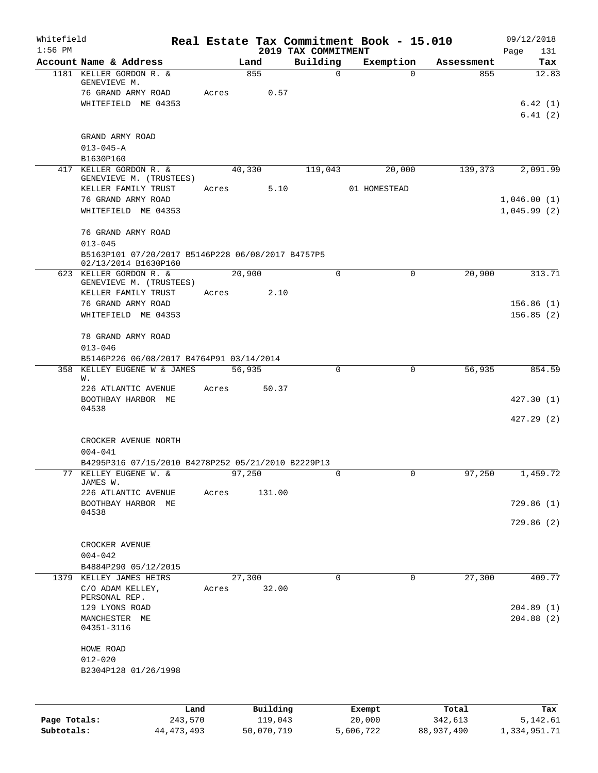| Whitefield<br>$1:56$ PM |                                                                           |       |                  | 2019 TAX COMMITMENT | Real Estate Tax Commitment Book - 15.010 |            | 09/12/2018<br>131<br>Page  |
|-------------------------|---------------------------------------------------------------------------|-------|------------------|---------------------|------------------------------------------|------------|----------------------------|
|                         | Account Name & Address                                                    |       | Land             | Building            | Exemption                                | Assessment | Tax                        |
|                         | 1181 KELLER GORDON R. &<br>GENEVIEVE M.<br>76 GRAND ARMY ROAD             | Acres | 855<br>0.57      | $\mathbf 0$         | $\Omega$                                 | 855        | 12.83                      |
|                         | WHITEFIELD ME 04353                                                       |       |                  |                     |                                          |            | 6.42(1)                    |
|                         |                                                                           |       |                  |                     |                                          |            | 6.41(2)                    |
|                         | GRAND ARMY ROAD                                                           |       |                  |                     |                                          |            |                            |
|                         | $013 - 045 - A$                                                           |       |                  |                     |                                          |            |                            |
|                         | B1630P160<br>417 KELLER GORDON R. &                                       |       | 40,330           | 119,043             | 20,000                                   | 139,373    | 2,091.99                   |
|                         | GENEVIEVE M. (TRUSTEES)                                                   |       |                  |                     |                                          |            |                            |
|                         | KELLER FAMILY TRUST                                                       |       | 5.10<br>Acres    |                     | 01 HOMESTEAD                             |            |                            |
|                         | 76 GRAND ARMY ROAD<br>WHITEFIELD ME 04353                                 |       |                  |                     |                                          |            | 1,046.00(1)<br>1,045.99(2) |
|                         | 76 GRAND ARMY ROAD<br>$013 - 045$                                         |       |                  |                     |                                          |            |                            |
|                         | B5163P101 07/20/2017 B5146P228 06/08/2017 B4757P5<br>02/13/2014 B1630P160 |       |                  |                     |                                          |            |                            |
|                         | 623 KELLER GORDON R. &                                                    |       | 20,900           | $\Omega$            | $\Omega$                                 | 20,900     | 313.71                     |
|                         | GENEVIEVE M. (TRUSTEES)<br>KELLER FAMILY TRUST                            | Acres | 2.10             |                     |                                          |            |                            |
|                         | 76 GRAND ARMY ROAD                                                        |       |                  |                     |                                          |            | 156.86(1)                  |
|                         | WHITEFIELD ME 04353                                                       |       |                  |                     |                                          |            | 156.85(2)                  |
|                         | 78 GRAND ARMY ROAD<br>$013 - 046$                                         |       |                  |                     |                                          |            |                            |
|                         | B5146P226 06/08/2017 B4764P91 03/14/2014                                  |       |                  |                     |                                          |            |                            |
|                         | 358 KELLEY EUGENE W & JAMES<br>W.                                         |       | 56,935           | $\Omega$            | 0                                        | 56,935     | 854.59                     |
|                         | 226 ATLANTIC AVENUE                                                       | Acres | 50.37            |                     |                                          |            |                            |
|                         | BOOTHBAY HARBOR ME<br>04538                                               |       |                  |                     |                                          |            | 427.30(1)                  |
|                         |                                                                           |       |                  |                     |                                          |            | 427.29(2)                  |
|                         | CROCKER AVENUE NORTH<br>$004 - 041$                                       |       |                  |                     |                                          |            |                            |
|                         | B4295P316 07/15/2010 B4278P252 05/21/2010 B2229P13                        |       |                  |                     |                                          |            |                            |
|                         | 77 KELLEY EUGENE W. &<br>JAMES W.                                         |       | 97,250<br>131.00 |                     |                                          | 97,250     | 1,459.72                   |
|                         | 226 ATLANTIC AVENUE<br>BOOTHBAY HARBOR ME                                 | Acres |                  |                     |                                          |            | 729.86(1)                  |
|                         | 04538                                                                     |       |                  |                     |                                          |            | 729.86(2)                  |
|                         | CROCKER AVENUE                                                            |       |                  |                     |                                          |            |                            |
|                         | $004 - 042$                                                               |       |                  |                     |                                          |            |                            |
|                         | B4884P290 05/12/2015                                                      |       |                  |                     |                                          |            |                            |
|                         | 1379 KELLEY JAMES HEIRS<br>C/O ADAM KELLEY,                               | Acres | 27,300<br>32.00  | $\Omega$            | $\mathbf 0$                              | 27,300     | 409.77                     |
|                         | PERSONAL REP.<br>129 LYONS ROAD                                           |       |                  |                     |                                          |            | 204.89(1)                  |
|                         | MANCHESTER ME<br>04351-3116                                               |       |                  |                     |                                          |            | 204.88(2)                  |
|                         | HOWE ROAD<br>$012 - 020$                                                  |       |                  |                     |                                          |            |                            |
|                         | B2304P128 01/26/1998                                                      |       |                  |                     |                                          |            |                            |
|                         |                                                                           |       |                  |                     |                                          |            |                            |
|                         |                                                                           | Land  | Building         |                     | Exempt                                   | Total      | Tax                        |
| Page Totals:            | 243,570                                                                   |       | 119,043          |                     | 20,000                                   | 342,613    | 5,142.61                   |

**Subtotals:** 44,473,493 50,070,719 5,606,722 88,937,490 1,334,951.71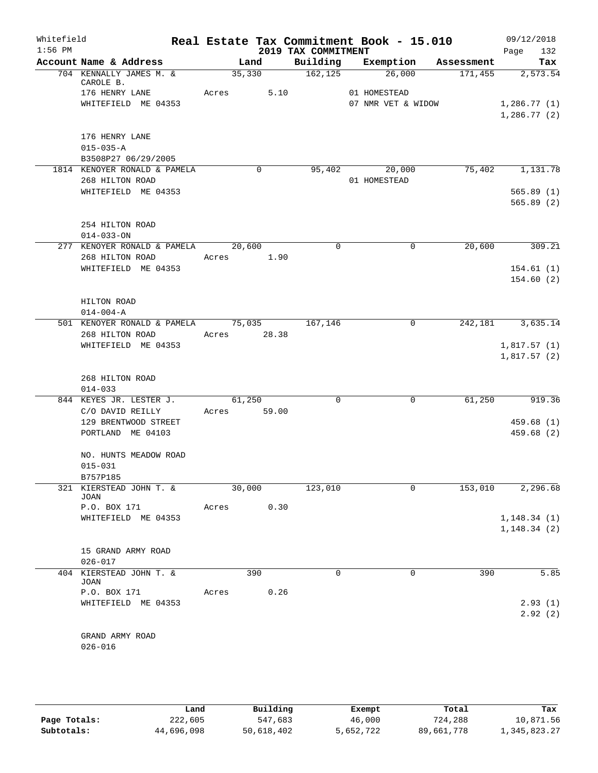| Whitefield<br>$1:56$ PM |                                                                        |                 |       | 2019 TAX COMMITMENT | Real Estate Tax Commitment Book - 15.010 |              | 09/12/2018<br>132<br>Page  |
|-------------------------|------------------------------------------------------------------------|-----------------|-------|---------------------|------------------------------------------|--------------|----------------------------|
|                         | Account Name & Address                                                 |                 | Land  | Building            | Exemption                                | Assessment   | Tax                        |
|                         | 704 KENNALLY JAMES M. &<br>CAROLE B.                                   | 35,330          |       | 162, 125            | 26,000                                   | 171,455      | 2,573.54                   |
|                         | 176 HENRY LANE<br>WHITEFIELD ME 04353                                  | Acres           | 5.10  |                     | 01 HOMESTEAD<br>07 NMR VET & WIDOW       |              | 1,286.77(1)<br>1,286.77(2) |
|                         | 176 HENRY LANE<br>$015 - 035 - A$<br>B3508P27 06/29/2005               |                 |       |                     |                                          |              |                            |
|                         | 1814 KENOYER RONALD & PAMELA<br>268 HILTON ROAD<br>WHITEFIELD ME 04353 |                 | 0     | 95,402              | 20,000<br>01 HOMESTEAD                   | 75,402       | 1,131.78<br>565.89(1)      |
|                         | 254 HILTON ROAD<br>$014 - 033 - ON$                                    |                 |       |                     |                                          |              | 565.89(2)                  |
|                         | 277 KENOYER RONALD & PAMELA<br>268 HILTON ROAD                         | 20,600<br>Acres | 1.90  | 0                   |                                          | 20,600<br>0  | 309.21                     |
|                         | WHITEFIELD ME 04353                                                    |                 |       |                     |                                          |              | 154.61(1)<br>154.60(2)     |
|                         | HILTON ROAD<br>$014 - 004 - A$                                         |                 |       |                     |                                          |              |                            |
|                         | 501 KENOYER RONALD & PAMELA<br>268 HILTON ROAD                         | 75,035<br>Acres | 28.38 | 167,146             |                                          | 242,181<br>0 | 3,635.14                   |
|                         | WHITEFIELD ME 04353<br>268 HILTON ROAD<br>$014 - 033$                  |                 |       |                     |                                          |              | 1,817.57(1)<br>1,817.57(2) |
|                         | 844 KEYES JR. LESTER J.                                                | 61,250          |       | $\mathbf 0$         |                                          | 61,250<br>0  | 919.36                     |
|                         | C/O DAVID REILLY<br>129 BRENTWOOD STREET<br>PORTLAND ME 04103          | Acres           | 59.00 |                     |                                          |              | 459.68(1)<br>459.68 (2)    |
|                         | NO. HUNTS MEADOW ROAD<br>$015 - 031$                                   |                 |       |                     |                                          |              |                            |
|                         | B757P185<br>321 KIERSTEAD JOHN T. &<br>JOAN                            | 30,000          |       | 123,010             |                                          | 153,010<br>0 | 2,296.68                   |
|                         | P.O. BOX 171<br>WHITEFIELD ME 04353                                    | Acres           | 0.30  |                     |                                          |              | 1, 148.34(1)               |
|                         |                                                                        |                 |       |                     |                                          |              | 1, 148.34(2)               |
|                         | 15 GRAND ARMY ROAD<br>$026 - 017$                                      |                 |       |                     |                                          |              |                            |
|                         | 404 KIERSTEAD JOHN T. &<br>JOAN                                        |                 | 390   | $\Omega$            |                                          | 0<br>390     | 5.85                       |
|                         | P.O. BOX 171<br>WHITEFIELD ME 04353                                    | Acres           | 0.26  |                     |                                          |              | 2.93(1)<br>2.92(2)         |
|                         |                                                                        |                 |       |                     |                                          |              |                            |
|                         | GRAND ARMY ROAD<br>$026 - 016$                                         |                 |       |                     |                                          |              |                            |
|                         |                                                                        |                 |       |                     |                                          |              |                            |

|              | Land       | Building   | Exempt    | Total      | Tax          |
|--------------|------------|------------|-----------|------------|--------------|
| Page Totals: | 222,605    | 547,683    | 46,000    | 724,288    | 10,871.56    |
| Subtotals:   | 44,696,098 | 50,618,402 | 5,652,722 | 89,661,778 | 1,345,823.27 |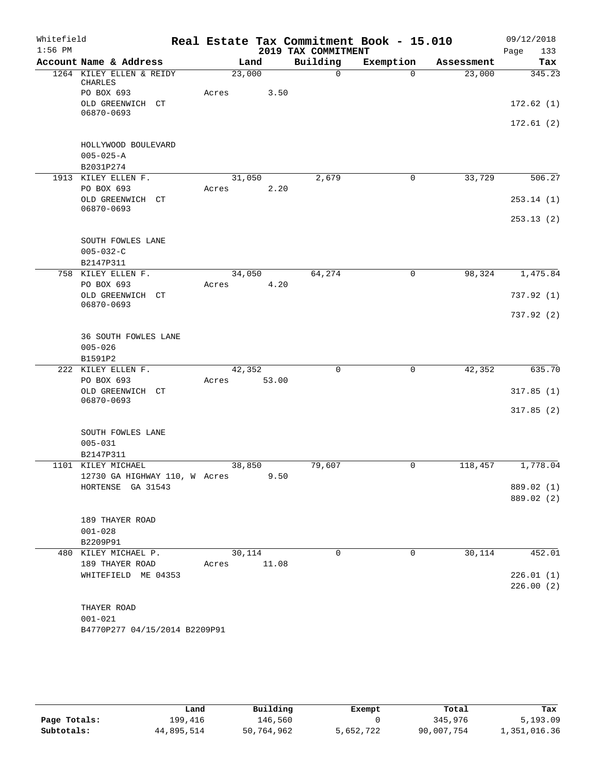| Whitefield<br>$1:56$ PM |                                                       |       |        | 2019 TAX COMMITMENT | Real Estate Tax Commitment Book - 15.010 |            | 09/12/2018<br>Page<br>133 |
|-------------------------|-------------------------------------------------------|-------|--------|---------------------|------------------------------------------|------------|---------------------------|
|                         | Account Name & Address                                |       | Land   | Building            | Exemption                                | Assessment | Tax                       |
|                         | 1264 KILEY ELLEN & REIDY<br><b>CHARLES</b>            |       | 23,000 | $\Omega$            | $\Omega$                                 | 23,000     | 345.23                    |
|                         | PO BOX 693                                            | Acres | 3.50   |                     |                                          |            |                           |
|                         | OLD GREENWICH CT<br>06870-0693                        |       |        |                     |                                          |            | 172.62(1)                 |
|                         |                                                       |       |        |                     |                                          |            | 172.61(2)                 |
|                         | HOLLYWOOD BOULEVARD                                   |       |        |                     |                                          |            |                           |
|                         | $005 - 025 - A$                                       |       |        |                     |                                          |            |                           |
|                         | B2031P274                                             |       |        |                     |                                          |            |                           |
| 1913                    | KILEY ELLEN F.                                        |       | 31,050 | 2,679               | 0                                        | 33,729     | 506.27                    |
|                         | PO BOX 693                                            | Acres | 2.20   |                     |                                          |            |                           |
|                         | OLD GREENWICH CT<br>06870-0693                        |       |        |                     |                                          |            | 253.14(1)                 |
|                         |                                                       |       |        |                     |                                          |            | 253.13(2)                 |
|                         | SOUTH FOWLES LANE                                     |       |        |                     |                                          |            |                           |
|                         | $005 - 032 - C$                                       |       |        |                     |                                          |            |                           |
|                         | B2147P311                                             |       |        |                     |                                          |            |                           |
|                         | 758 KILEY ELLEN F.                                    |       | 34,050 | 64,274              | $\mathbf 0$                              | 98,324     | 1,475.84                  |
|                         | PO BOX 693                                            | Acres | 4.20   |                     |                                          |            |                           |
|                         | OLD GREENWICH<br>CT<br>06870-0693                     |       |        |                     |                                          |            | 737.92(1)                 |
|                         |                                                       |       |        |                     |                                          |            | 737.92(2)                 |
|                         | <b>36 SOUTH FOWLES LANE</b><br>$005 - 026$<br>B1591P2 |       |        |                     |                                          |            |                           |
|                         | 222 KILEY ELLEN F.                                    |       | 42,352 | $\mathbf 0$         | 0                                        | 42,352     | 635.70                    |
|                         | PO BOX 693                                            | Acres | 53.00  |                     |                                          |            |                           |
|                         | OLD GREENWICH<br>CT<br>06870-0693                     |       |        |                     |                                          |            | 317.85(1)                 |
|                         |                                                       |       |        |                     |                                          |            | 317.85(2)                 |
|                         | SOUTH FOWLES LANE                                     |       |        |                     |                                          |            |                           |
|                         | $005 - 031$                                           |       |        |                     |                                          |            |                           |
|                         | B2147P311                                             |       |        |                     |                                          |            |                           |
|                         | 1101 KILEY MICHAEL                                    |       | 38,850 | 79,607              | 0                                        | 118,457    | 1,778.04                  |
|                         | 12730 GA HIGHWAY 110, W Acres                         |       | 9.50   |                     |                                          |            |                           |
|                         | HORTENSE GA 31543                                     |       |        |                     |                                          |            | 889.02 (1)                |
|                         |                                                       |       |        |                     |                                          |            | 889.02 (2)                |
|                         | 189 THAYER ROAD                                       |       |        |                     |                                          |            |                           |
|                         | $001 - 028$                                           |       |        |                     |                                          |            |                           |
|                         | B2209P91                                              |       |        |                     |                                          |            |                           |
|                         | 480 KILEY MICHAEL P.                                  |       | 30,114 | $\mathbf 0$         | $\mathbf 0$                              | 30,114     | 452.01                    |
|                         | 189 THAYER ROAD                                       | Acres | 11.08  |                     |                                          |            |                           |
|                         | WHITEFIELD ME 04353                                   |       |        |                     |                                          |            | 226.01(1)<br>226.00(2)    |
|                         |                                                       |       |        |                     |                                          |            |                           |
|                         | THAYER ROAD                                           |       |        |                     |                                          |            |                           |
|                         | $001 - 021$                                           |       |        |                     |                                          |            |                           |
|                         | B4770P277 04/15/2014 B2209P91                         |       |        |                     |                                          |            |                           |

|              | Land       | Building   | Exempt    | Total      | Tax          |
|--------------|------------|------------|-----------|------------|--------------|
| Page Totals: | 199,416    | 146,560    |           | 345,976    | 5,193.09     |
| Subtotals:   | 44,895,514 | 50,764,962 | 5,652,722 | 90,007,754 | 1,351,016.36 |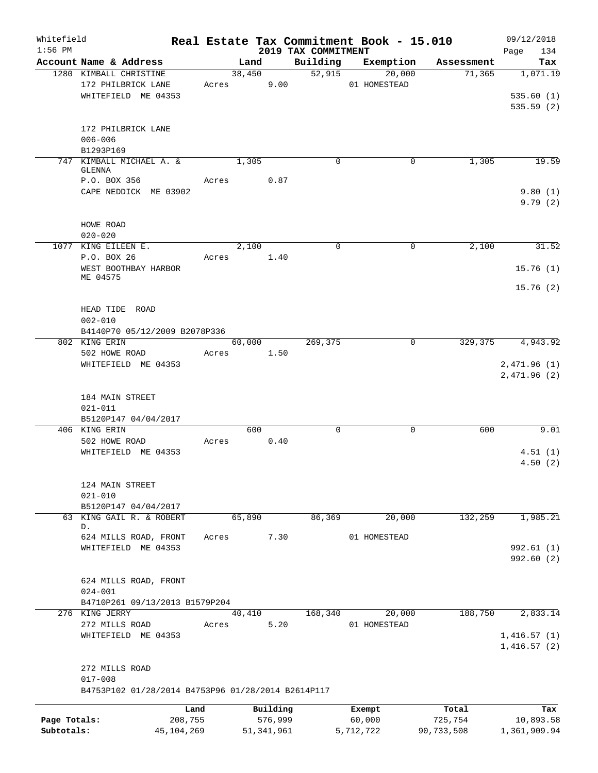| Whitefield<br>$1:56$ PM    |                                                                   |                       |        |                         | 2019 TAX COMMITMENT | Real Estate Tax Commitment Book - 15.010 |                       | 09/12/2018<br>134<br>Page |
|----------------------------|-------------------------------------------------------------------|-----------------------|--------|-------------------------|---------------------|------------------------------------------|-----------------------|---------------------------|
|                            | Account Name & Address                                            |                       | Land   |                         | Building            | Exemption                                | Assessment            | Tax                       |
|                            | 1280 KIMBALL CHRISTINE                                            |                       | 38,450 |                         | 52,915              | 20,000                                   | 71,365                | 1,071.19                  |
|                            | 172 PHILBRICK LANE                                                | Acres                 |        | 9.00                    |                     | 01 HOMESTEAD                             |                       |                           |
|                            | WHITEFIELD ME 04353                                               |                       |        |                         |                     |                                          |                       | 535.60(1)                 |
|                            |                                                                   |                       |        |                         |                     |                                          |                       | 535.59(2)                 |
|                            |                                                                   |                       |        |                         |                     |                                          |                       |                           |
|                            | 172 PHILBRICK LANE                                                |                       |        |                         |                     |                                          |                       |                           |
|                            | $006 - 006$                                                       |                       |        |                         |                     |                                          |                       |                           |
|                            | B1293P169                                                         |                       |        |                         |                     |                                          |                       |                           |
|                            | 747 KIMBALL MICHAEL A. &<br><b>GLENNA</b>                         |                       | 1,305  |                         | 0                   | 0                                        | 1,305                 | 19.59                     |
|                            | P.O. BOX 356                                                      | Acres                 |        | 0.87                    |                     |                                          |                       |                           |
|                            | CAPE NEDDICK ME 03902                                             |                       |        |                         |                     |                                          |                       | 9.80(1)                   |
|                            |                                                                   |                       |        |                         |                     |                                          |                       | 9.79(2)                   |
|                            |                                                                   |                       |        |                         |                     |                                          |                       |                           |
|                            | HOWE ROAD                                                         |                       |        |                         |                     |                                          |                       |                           |
|                            | $020 - 020$                                                       |                       |        |                         |                     |                                          |                       |                           |
|                            | 1077 KING EILEEN E.                                               |                       | 2,100  |                         | 0                   | 0                                        | 2,100                 | 31.52                     |
|                            | P.O. BOX 26                                                       | Acres                 |        | 1.40                    |                     |                                          |                       |                           |
|                            | WEST BOOTHBAY HARBOR                                              |                       |        |                         |                     |                                          |                       | 15.76(1)                  |
|                            | ME 04575                                                          |                       |        |                         |                     |                                          |                       | 15.76(2)                  |
|                            |                                                                   |                       |        |                         |                     |                                          |                       |                           |
|                            | HEAD TIDE ROAD                                                    |                       |        |                         |                     |                                          |                       |                           |
|                            | $002 - 010$                                                       |                       |        |                         |                     |                                          |                       |                           |
|                            | B4140P70 05/12/2009 B2078P336                                     |                       |        |                         |                     |                                          |                       |                           |
|                            | 802 KING ERIN                                                     |                       | 60,000 |                         | 269,375             | 0                                        | 329,375               | 4,943.92                  |
|                            | 502 HOWE ROAD                                                     | Acres                 |        | 1.50                    |                     |                                          |                       |                           |
|                            | WHITEFIELD ME 04353                                               |                       |        |                         |                     |                                          |                       | 2,471.96(1)               |
|                            |                                                                   |                       |        |                         |                     |                                          |                       | 2,471.96(2)               |
|                            |                                                                   |                       |        |                         |                     |                                          |                       |                           |
|                            | 184 MAIN STREET                                                   |                       |        |                         |                     |                                          |                       |                           |
|                            | $021 - 011$                                                       |                       |        |                         |                     |                                          |                       |                           |
|                            | B5120P147 04/04/2017                                              |                       |        |                         |                     |                                          |                       |                           |
|                            | 406 KING ERIN<br>502 HOWE ROAD                                    | Acres                 | 600    |                         | 0                   | 0                                        | 600                   | 9.01                      |
|                            | WHITEFIELD ME 04353                                               |                       |        | 0.40                    |                     |                                          |                       | 4.51(1)                   |
|                            |                                                                   |                       |        |                         |                     |                                          |                       | 4.50(2)                   |
|                            |                                                                   |                       |        |                         |                     |                                          |                       |                           |
|                            | 124 MAIN STREET                                                   |                       |        |                         |                     |                                          |                       |                           |
|                            | $021 - 010$                                                       |                       |        |                         |                     |                                          |                       |                           |
|                            | B5120P147 04/04/2017                                              |                       |        |                         |                     |                                          |                       |                           |
|                            | 63 KING GAIL R. & ROBERT                                          |                       | 65,890 |                         | 86,369              | 20,000                                   | 132,259               | 1,985.21                  |
|                            | D.                                                                |                       |        |                         |                     |                                          |                       |                           |
|                            | 624 MILLS ROAD, FRONT                                             | Acres                 |        | 7.30                    |                     | 01 HOMESTEAD                             |                       |                           |
|                            | WHITEFIELD ME 04353                                               |                       |        |                         |                     |                                          |                       | 992.61(1)<br>992.60(2)    |
|                            |                                                                   |                       |        |                         |                     |                                          |                       |                           |
|                            | 624 MILLS ROAD, FRONT                                             |                       |        |                         |                     |                                          |                       |                           |
|                            | $024 - 001$                                                       |                       |        |                         |                     |                                          |                       |                           |
|                            | B4710P261 09/13/2013 B1579P204                                    |                       |        |                         |                     |                                          |                       |                           |
|                            | 276 KING JERRY                                                    |                       | 40,410 |                         | 168,340             | 20,000                                   | 188,750               | 2,833.14                  |
|                            | 272 MILLS ROAD                                                    | Acres                 |        | 5.20                    |                     | 01 HOMESTEAD                             |                       |                           |
|                            | WHITEFIELD ME 04353                                               |                       |        |                         |                     |                                          |                       | 1,416.57(1)               |
|                            |                                                                   |                       |        |                         |                     |                                          |                       | 1,416.57(2)               |
|                            |                                                                   |                       |        |                         |                     |                                          |                       |                           |
|                            | 272 MILLS ROAD                                                    |                       |        |                         |                     |                                          |                       |                           |
|                            | $017 - 008$<br>B4753P102 01/28/2014 B4753P96 01/28/2014 B2614P117 |                       |        |                         |                     |                                          |                       |                           |
|                            |                                                                   |                       |        |                         |                     |                                          |                       |                           |
|                            |                                                                   | Land                  |        | Building                |                     | Exempt                                   | Total                 | Tax                       |
| Page Totals:<br>Subtotals: |                                                                   | 208,755<br>45,104,269 |        | 576,999<br>51, 341, 961 |                     | 60,000<br>5,712,722                      | 725,754<br>90,733,508 | 10,893.58<br>1,361,909.94 |
|                            |                                                                   |                       |        |                         |                     |                                          |                       |                           |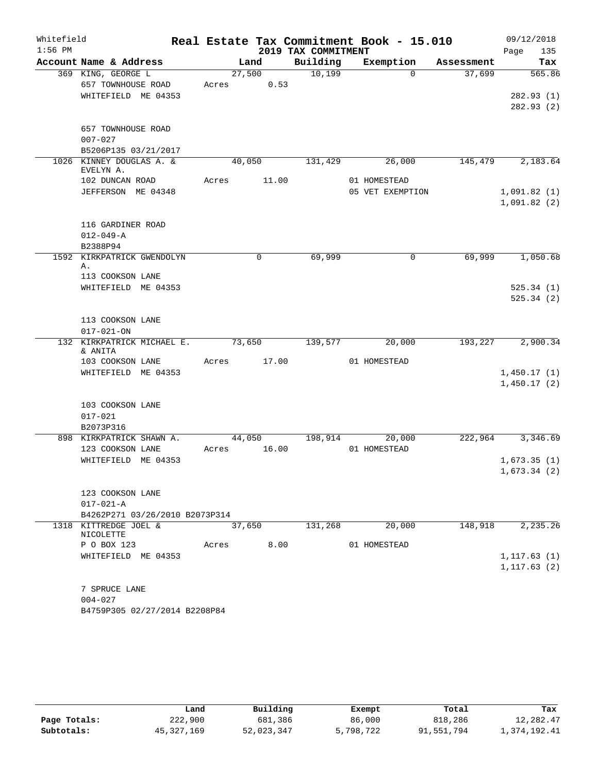| Whitefield |                                                |       |        |                     | Real Estate Tax Commitment Book - 15.010 |            |      | 09/12/2018             |
|------------|------------------------------------------------|-------|--------|---------------------|------------------------------------------|------------|------|------------------------|
| $1:56$ PM  |                                                |       |        | 2019 TAX COMMITMENT |                                          |            | Page | 135                    |
|            | Account Name & Address                         |       | Land   | Building            | Exemption                                | Assessment |      | Tax                    |
|            | 369 KING, GEORGE L                             |       | 27,500 | 10,199              | $\Omega$                                 | 37,699     |      | 565.86                 |
|            | 657 TOWNHOUSE ROAD                             | Acres | 0.53   |                     |                                          |            |      |                        |
|            | WHITEFIELD ME 04353                            |       |        |                     |                                          |            |      | 282.93(1)<br>282.93(2) |
|            |                                                |       |        |                     |                                          |            |      |                        |
|            | 657 TOWNHOUSE ROAD                             |       |        |                     |                                          |            |      |                        |
|            | $007 - 027$                                    |       |        |                     |                                          |            |      |                        |
|            | B5206P135 03/21/2017                           |       |        |                     |                                          |            |      |                        |
|            | 1026 KINNEY DOUGLAS A. &                       |       | 40,050 | 131,429             | 26,000                                   | 145,479    |      | 2,183.64               |
|            | EVELYN A.                                      |       |        |                     |                                          |            |      |                        |
|            | 102 DUNCAN ROAD                                | Acres | 11.00  |                     | 01 HOMESTEAD                             |            |      |                        |
|            | JEFFERSON ME 04348                             |       |        |                     | 05 VET EXEMPTION                         |            |      | 1,091.82(1)            |
|            |                                                |       |        |                     |                                          |            |      | 1,091.82(2)            |
|            |                                                |       |        |                     |                                          |            |      |                        |
|            | 116 GARDINER ROAD<br>$012 - 049 - A$           |       |        |                     |                                          |            |      |                        |
|            | B2388P94                                       |       |        |                     |                                          |            |      |                        |
|            | 1592 KIRKPATRICK GWENDOLYN                     |       | 0      | 69,999              | 0                                        | 69,999     |      | 1,050.68               |
|            | Α.                                             |       |        |                     |                                          |            |      |                        |
|            | 113 COOKSON LANE                               |       |        |                     |                                          |            |      |                        |
|            | WHITEFIELD ME 04353                            |       |        |                     |                                          |            |      | 525.34(1)              |
|            |                                                |       |        |                     |                                          |            |      | 525.34(2)              |
|            |                                                |       |        |                     |                                          |            |      |                        |
|            | 113 COOKSON LANE                               |       |        |                     |                                          |            |      |                        |
|            | $017 - 021 - ON$<br>132 KIRKPATRICK MICHAEL E. |       | 73,650 | 139,577             | 20,000                                   | 193,227    |      | 2,900.34               |
|            | & ANITA                                        |       |        |                     |                                          |            |      |                        |
|            | 103 COOKSON LANE                               | Acres | 17.00  |                     | 01 HOMESTEAD                             |            |      |                        |
|            | WHITEFIELD ME 04353                            |       |        |                     |                                          |            |      | 1,450.17(1)            |
|            |                                                |       |        |                     |                                          |            |      | 1,450.17(2)            |
|            |                                                |       |        |                     |                                          |            |      |                        |
|            | 103 COOKSON LANE                               |       |        |                     |                                          |            |      |                        |
|            | $017 - 021$                                    |       |        |                     |                                          |            |      |                        |
|            | B2073P316<br>898 KIRKPATRICK SHAWN A.          |       | 44,050 | 198,914             | 20,000                                   | 222,964    |      | 3,346.69               |
|            | 123 COOKSON LANE                               | Acres | 16.00  |                     | 01 HOMESTEAD                             |            |      |                        |
|            | WHITEFIELD ME 04353                            |       |        |                     |                                          |            |      | 1,673.35(1)            |
|            |                                                |       |        |                     |                                          |            |      | 1,673.34(2)            |
|            |                                                |       |        |                     |                                          |            |      |                        |
|            | 123 COOKSON LANE                               |       |        |                     |                                          |            |      |                        |
|            | $017 - 021 - A$                                |       |        |                     |                                          |            |      |                        |
|            | B4262P271 03/26/2010 B2073P314                 |       |        |                     |                                          |            |      |                        |
|            | 1318 KITTREDGE JOEL &<br>NICOLETTE             |       | 37,650 | 131,268             | 20,000                                   | 148,918    |      | 2,235.26               |
|            | P O BOX 123                                    | Acres | 8.00   |                     | 01 HOMESTEAD                             |            |      |                        |
|            | WHITEFIELD ME 04353                            |       |        |                     |                                          |            |      | 1, 117.63(1)           |
|            |                                                |       |        |                     |                                          |            |      | 1, 117.63(2)           |
|            |                                                |       |        |                     |                                          |            |      |                        |
|            | 7 SPRUCE LANE                                  |       |        |                     |                                          |            |      |                        |
|            | $004 - 027$                                    |       |        |                     |                                          |            |      |                        |
|            | B4759P305 02/27/2014 B2208P84                  |       |        |                     |                                          |            |      |                        |

|              | Land       | Building   | Exempt    | Total      | Tax          |
|--------------|------------|------------|-----------|------------|--------------|
| Page Totals: | 222,900    | 681,386    | 86,000    | 818,286    | 12,282.47    |
| Subtotals:   | 45,327,169 | 52,023,347 | 5,798,722 | 91,551,794 | 1,374,192.41 |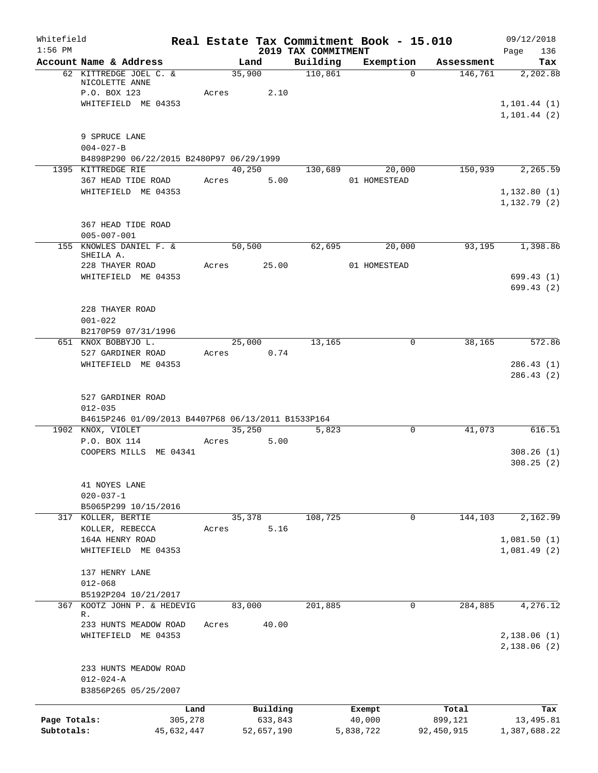| Whitefield<br>$1:56$ PM    |                                                                                        |                 | 2019 TAX COMMITMENT | Real Estate Tax Commitment Book - 15.010 |                       | 09/12/2018<br>Page<br>136    |
|----------------------------|----------------------------------------------------------------------------------------|-----------------|---------------------|------------------------------------------|-----------------------|------------------------------|
|                            | Account Name & Address                                                                 | Land            | Building            | Exemption                                | Assessment            | Tax                          |
|                            | 62 KITTREDGE JOEL C. &<br>NICOLETTE ANNE<br>P.O. BOX 123                               | 35,900<br>Acres | 110,861<br>2.10     | $\Omega$                                 | 146,761               | 2,202.88                     |
|                            | WHITEFIELD ME 04353                                                                    |                 |                     |                                          |                       | 1, 101.44(1)<br>1, 101.44(2) |
|                            | 9 SPRUCE LANE<br>$004 - 027 - B$                                                       |                 |                     |                                          |                       |                              |
|                            | B4898P290 06/22/2015 B2480P97 06/29/1999<br>1395 KITTREDGE RIE                         | 40,250          |                     | 130,689 20,000                           | 150,939               | 2,265.59                     |
|                            | 367 HEAD TIDE ROAD                                                                     | Acres           | 5.00                | 01 HOMESTEAD                             |                       |                              |
|                            | WHITEFIELD ME 04353                                                                    |                 |                     |                                          |                       | 1,132.80(1)<br>1, 132.79(2)  |
|                            | 367 HEAD TIDE ROAD<br>$005 - 007 - 001$                                                |                 |                     |                                          |                       |                              |
|                            | 155 KNOWLES DANIEL F. &                                                                | 50,500          | 62,695              | 20,000                                   | 93,195                | 1,398.86                     |
|                            | SHEILA A.<br>228 THAYER ROAD                                                           | 25.00<br>Acres  |                     | 01 HOMESTEAD                             |                       |                              |
|                            | WHITEFIELD ME 04353                                                                    |                 |                     |                                          |                       | 699.43(1)<br>699.43(2)       |
|                            | 228 THAYER ROAD<br>$001 - 022$<br>B2170P59 07/31/1996                                  |                 |                     |                                          |                       |                              |
|                            | 651 KNOX BOBBYJO L.                                                                    | 25,000          | 13,165              | 0                                        | 38,165                | 572.86                       |
|                            | 527 GARDINER ROAD                                                                      | Acres           | 0.74                |                                          |                       |                              |
|                            | WHITEFIELD ME 04353                                                                    |                 |                     |                                          |                       | 286.43(1)<br>286.43(2)       |
|                            | 527 GARDINER ROAD<br>$012 - 035$<br>B4615P246 01/09/2013 B4407P68 06/13/2011 B1533P164 |                 |                     |                                          |                       |                              |
|                            | 1902 KNOX, VIOLET                                                                      | 35,250          | $\overline{5,823}$  | 0                                        | 41,073                | 616.51                       |
|                            | P.O. BOX 114                                                                           | Acres           | 5.00                |                                          |                       |                              |
|                            | COOPERS MILLS ME 04341                                                                 |                 |                     |                                          |                       | 308.26(1)<br>308.25(2)       |
|                            | 41 NOYES LANE<br>$020 - 037 - 1$<br>B5065P299 10/15/2016                               |                 |                     |                                          |                       |                              |
| 317                        | KOLLER, BERTIE                                                                         | 35,378          | 108,725             | 0                                        | 144,103               | 2,162.99                     |
|                            | KOLLER, REBECCA<br>164A HENRY ROAD                                                     | Acres           | 5.16                |                                          |                       | 1,081.50(1)                  |
|                            | WHITEFIELD ME 04353                                                                    |                 |                     |                                          |                       | 1,081.49(2)                  |
|                            | 137 HENRY LANE                                                                         |                 |                     |                                          |                       |                              |
|                            | $012 - 068$<br>B5192P204 10/21/2017                                                    |                 |                     |                                          |                       |                              |
| 367                        | KOOTZ JOHN P. & HEDEVIG                                                                | 83,000          | 201,885             | 0                                        | 284,885               | 4,276.12                     |
|                            | R.                                                                                     |                 |                     |                                          |                       |                              |
|                            | 233 HUNTS MEADOW ROAD<br>WHITEFIELD ME 04353                                           | Acres           | 40.00               |                                          |                       | 2,138.06(1)<br>2,138.06(2)   |
|                            | 233 HUNTS MEADOW ROAD<br>$012 - 024 - A$                                               |                 |                     |                                          |                       |                              |
|                            | B3856P265 05/25/2007                                                                   |                 |                     |                                          |                       |                              |
|                            | Land                                                                                   | Building        |                     | Exempt                                   | Total                 | Tax                          |
| Page Totals:<br>Subtotals: | 305,278<br>45,632,447                                                                  | 52,657,190      | 633,843             | 40,000<br>5,838,722                      | 899,121<br>92,450,915 | 13,495.81<br>1,387,688.22    |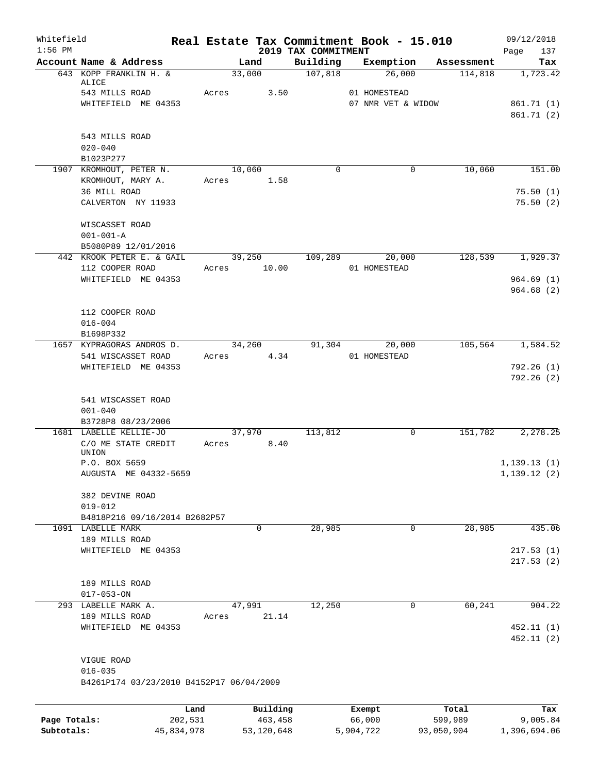| Whitefield<br>$1:56$ PM    |                                                         |       |                       | 2019 TAX COMMITMENT | Real Estate Tax Commitment Book - 15.010 |                       | 09/12/2018<br>Page<br>137 |
|----------------------------|---------------------------------------------------------|-------|-----------------------|---------------------|------------------------------------------|-----------------------|---------------------------|
|                            | Account Name & Address                                  |       | Land                  | Building            | Exemption                                | Assessment            | Tax                       |
|                            | 643 KOPP FRANKLIN H. &<br>ALICE                         |       | 33,000                | 107,818             | 26,000                                   | 114,818               | 1,723.42                  |
|                            | 543 MILLS ROAD                                          | Acres | 3.50                  |                     | 01 HOMESTEAD                             |                       |                           |
|                            | WHITEFIELD ME 04353                                     |       |                       |                     | 07 NMR VET & WIDOW                       |                       | 861.71 (1)<br>861.71 (2)  |
|                            | 543 MILLS ROAD<br>$020 - 040$                           |       |                       |                     |                                          |                       |                           |
|                            | B1023P277                                               |       |                       |                     |                                          |                       |                           |
|                            | 1907 KROMHOUT, PETER N.<br>KROMHOUT, MARY A.            | Acres | 10,060<br>1.58        | $\Omega$            | 0                                        | 10,060                | 151.00                    |
|                            | 36 MILL ROAD<br>CALVERTON NY 11933                      |       |                       |                     |                                          |                       | 75.50(1)<br>75.50(2)      |
|                            | WISCASSET ROAD<br>$001 - 001 - A$                       |       |                       |                     |                                          |                       |                           |
|                            | B5080P89 12/01/2016                                     |       |                       |                     |                                          |                       |                           |
|                            | 442 KROOK PETER E. & GAIL<br>112 COOPER ROAD            |       | 39,250<br>Acres 10.00 | 109,289             | 20,000<br>01 HOMESTEAD                   | 128,539               | 1,929.37                  |
|                            | WHITEFIELD ME 04353                                     |       |                       |                     |                                          |                       | 964.69(1)<br>964.68(2)    |
|                            | 112 COOPER ROAD                                         |       |                       |                     |                                          |                       |                           |
|                            | $016 - 004$<br>B1698P332                                |       |                       |                     |                                          |                       |                           |
|                            | 1657 KYPRAGORAS ANDROS D.<br>541 WISCASSET ROAD         | Acres | 34,260<br>4.34        | 91,304              | 20,000<br>01 HOMESTEAD                   | 105,564               | 1,584.52                  |
|                            | WHITEFIELD ME 04353                                     |       |                       |                     |                                          |                       | 792.26 (1)<br>792.26 (2)  |
|                            | 541 WISCASSET ROAD<br>$001 - 040$<br>B3728P8 08/23/2006 |       |                       |                     |                                          |                       |                           |
|                            | 1681 LABELLE KELLIE-JO                                  |       | 37,970                | 113,812             | 0                                        | 151,782               | 2,278.25                  |
|                            | C/O ME STATE CREDIT<br>UNION                            | Acres | 8.40                  |                     |                                          |                       |                           |
|                            | P.O. BOX 5659                                           |       |                       |                     |                                          |                       | 1, 139.13(1)              |
|                            | AUGUSTA ME 04332-5659                                   |       |                       |                     |                                          |                       | 1,139.12(2)               |
|                            | 382 DEVINE ROAD<br>$019 - 012$                          |       |                       |                     |                                          |                       |                           |
|                            | B4818P216 09/16/2014 B2682P57                           |       |                       |                     |                                          |                       |                           |
|                            | 1091 LABELLE MARK<br>189 MILLS ROAD                     |       | 0                     | 28,985              | $\mathbf 0$                              | 28,985                | 435.06                    |
|                            | WHITEFIELD ME 04353                                     |       |                       |                     |                                          |                       | 217.53(1)                 |
|                            |                                                         |       |                       |                     |                                          |                       | 217.53(2)                 |
|                            | 189 MILLS ROAD<br>$017 - 053 - ON$                      |       |                       |                     |                                          |                       |                           |
|                            | 293 LABELLE MARK A.                                     |       | 47,991                | 12,250              | 0                                        | 60,241                | 904.22                    |
|                            | 189 MILLS ROAD                                          | Acres | 21.14                 |                     |                                          |                       |                           |
|                            | WHITEFIELD ME 04353                                     |       |                       |                     |                                          |                       | 452.11(1)<br>452.11 (2)   |
|                            | VIGUE ROAD                                              |       |                       |                     |                                          |                       |                           |
|                            | $016 - 035$<br>B4261P174 03/23/2010 B4152P17 06/04/2009 |       |                       |                     |                                          |                       |                           |
|                            |                                                         | Land  | Building              |                     | Exempt                                   | Total                 | Tax                       |
| Page Totals:<br>Subtotals: | 202,531                                                 |       | 463,458<br>53,120,648 |                     | 66,000                                   | 599,989<br>93,050,904 | 9,005.84<br>1,396,694.06  |
|                            | 45,834,978                                              |       |                       |                     | 5,904,722                                |                       |                           |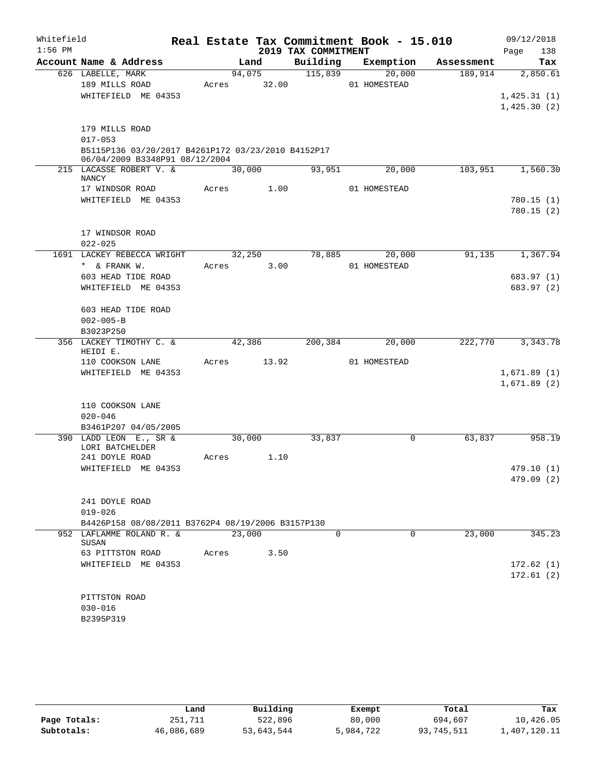| Whitefield |                                                                                      |             |        |                     | Real Estate Tax Commitment Book - 15.010 |            | 09/12/2018                 |
|------------|--------------------------------------------------------------------------------------|-------------|--------|---------------------|------------------------------------------|------------|----------------------------|
| $1:56$ PM  |                                                                                      |             |        | 2019 TAX COMMITMENT |                                          |            | 138<br>Page                |
|            | Account Name & Address                                                               |             | Land   | Building            | Exemption                                | Assessment | Tax                        |
|            | 626 LABELLE, MARK                                                                    |             | 94,075 | 115,839             | 20,000                                   | 189,914    | 2,850.61                   |
|            | 189 MILLS ROAD                                                                       | Acres 32.00 |        |                     | 01 HOMESTEAD                             |            |                            |
|            | WHITEFIELD ME 04353                                                                  |             |        |                     |                                          |            | 1,425.31(1)<br>1,425.30(2) |
|            |                                                                                      |             |        |                     |                                          |            |                            |
|            | 179 MILLS ROAD                                                                       |             |        |                     |                                          |            |                            |
|            | $017 - 053$                                                                          |             |        |                     |                                          |            |                            |
|            | B5115P136 03/20/2017 B4261P172 03/23/2010 B4152P17<br>06/04/2009 B3348P91 08/12/2004 |             |        |                     |                                          |            |                            |
|            | 215 LACASSE ROBERT V. &<br>NANCY                                                     | 30,000      |        | 93,951              | 20,000                                   | 103,951    | 1,560.30                   |
|            | 17 WINDSOR ROAD                                                                      | Acres 1.00  |        |                     | 01 HOMESTEAD                             |            |                            |
|            | WHITEFIELD ME 04353                                                                  |             |        |                     |                                          |            | 780.15(1)                  |
|            |                                                                                      |             |        |                     |                                          |            | 780.15(2)                  |
|            | 17 WINDSOR ROAD                                                                      |             |        |                     |                                          |            |                            |
|            | $022 - 025$                                                                          |             |        |                     |                                          |            |                            |
|            | 1691 LACKEY REBECCA WRIGHT                                                           |             | 32,250 | 78,885              | 20,000                                   | 91,135     | 1,367.94                   |
|            | * & FRANK W.                                                                         | Acres       | 3.00   |                     | 01 HOMESTEAD                             |            |                            |
|            | 603 HEAD TIDE ROAD                                                                   |             |        |                     |                                          |            | 683.97 (1)                 |
|            | WHITEFIELD ME 04353                                                                  |             |        |                     |                                          |            | 683.97 (2)                 |
|            | 603 HEAD TIDE ROAD                                                                   |             |        |                     |                                          |            |                            |
|            | $002 - 005 - B$                                                                      |             |        |                     |                                          |            |                            |
|            | B3023P250                                                                            |             |        |                     |                                          |            |                            |
|            | 356 LACKEY TIMOTHY C. &<br>HEIDI E.                                                  | 42,386      |        | 200,384             | 20,000                                   | 222,770    | 3, 343. 78                 |
|            | 110 COOKSON LANE                                                                     | Acres 13.92 |        |                     | 01 HOMESTEAD                             |            |                            |
|            | WHITEFIELD ME 04353                                                                  |             |        |                     |                                          |            | 1,671.89(1)                |
|            |                                                                                      |             |        |                     |                                          |            | 1,671.89(2)                |
|            | 110 COOKSON LANE                                                                     |             |        |                     |                                          |            |                            |
|            | $020 - 046$                                                                          |             |        |                     |                                          |            |                            |
|            | B3461P207 04/05/2005                                                                 |             |        |                     |                                          |            |                            |
|            | 390 LADD LEON E., SR &<br>LORI BATCHELDER                                            | 30,000      |        | 33,837              | 0                                        | 63,837     | 958.19                     |
|            | 241 DOYLE ROAD                                                                       | Acres       | 1.10   |                     |                                          |            |                            |
|            | WHITEFIELD ME 04353                                                                  |             |        |                     |                                          |            | 479.10(1)                  |
|            |                                                                                      |             |        |                     |                                          |            | 479.09 (2)                 |
|            | 241 DOYLE ROAD                                                                       |             |        |                     |                                          |            |                            |
|            | $019 - 026$                                                                          |             |        |                     |                                          |            |                            |
|            | B4426P158 08/08/2011 B3762P4 08/19/2006 B3157P130                                    |             |        |                     |                                          |            |                            |
|            | 952 LAFLAMME ROLAND R. &                                                             | 23,000      |        | 0                   | 0                                        | 23,000     | 345.23                     |
|            | SUSAN                                                                                |             |        |                     |                                          |            |                            |
|            | 63 PITTSTON ROAD                                                                     | Acres       | 3.50   |                     |                                          |            |                            |
|            | WHITEFIELD ME 04353                                                                  |             |        |                     |                                          |            | 172.62(1)                  |
|            |                                                                                      |             |        |                     |                                          |            | 172.61(2)                  |
|            | PITTSTON ROAD                                                                        |             |        |                     |                                          |            |                            |
|            | $030 - 016$                                                                          |             |        |                     |                                          |            |                            |
|            | B2395P319                                                                            |             |        |                     |                                          |            |                            |
|            |                                                                                      |             |        |                     |                                          |            |                            |

|              | Land       | Building   | Exempt    | Total      | Tax          |
|--------------|------------|------------|-----------|------------|--------------|
| Page Totals: | 251,711    | 522,896    | 80,000    | 694,607    | 10,426.05    |
| Subtotals:   | 46,086,689 | 53,643,544 | 5,984,722 | 93,745,511 | 1,407,120.11 |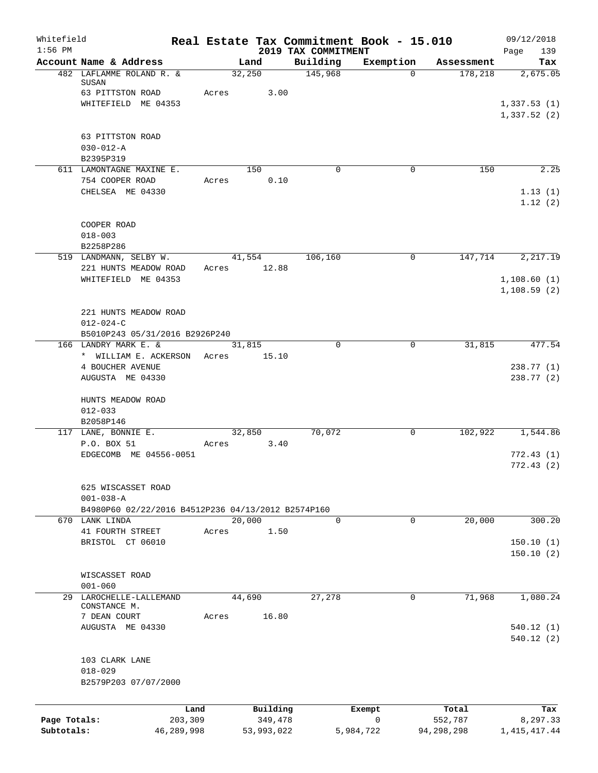| Whitefield<br>$1:56$ PM |                                                                      | Real Estate Tax Commitment Book - 15.010 |                                 |              |            | 09/12/2018             |
|-------------------------|----------------------------------------------------------------------|------------------------------------------|---------------------------------|--------------|------------|------------------------|
|                         | Account Name & Address                                               | Land                                     | 2019 TAX COMMITMENT<br>Building | Exemption    | Assessment | Page<br>139<br>Tax     |
|                         | 482 LAFLAMME ROLAND R. &<br>SUSAN                                    | 32,250                                   | 145,968                         | $\Omega$     | 178,218    | 2,675.05               |
|                         | 63 PITTSTON ROAD                                                     | Acres<br>3.00                            |                                 |              |            |                        |
|                         | WHITEFIELD ME 04353                                                  |                                          |                                 |              |            | 1,337.53(1)            |
|                         |                                                                      |                                          |                                 |              |            | 1,337.52(2)            |
|                         | 63 PITTSTON ROAD                                                     |                                          |                                 |              |            |                        |
|                         | $030 - 012 - A$<br>B2395P319                                         |                                          |                                 |              |            |                        |
|                         | 611 LAMONTAGNE MAXINE E.                                             | 150                                      | $\Omega$                        | 0            | 150        | 2.25                   |
|                         | 754 COOPER ROAD                                                      | 0.10<br>Acres                            |                                 |              |            |                        |
|                         | CHELSEA ME 04330                                                     |                                          |                                 |              |            | 1.13(1)<br>1.12(2)     |
|                         | COOPER ROAD                                                          |                                          |                                 |              |            |                        |
|                         | $018 - 003$                                                          |                                          |                                 |              |            |                        |
|                         | B2258P286<br>519 LANDMANN, SELBY W.                                  | 41,554                                   | 106,160                         | 0            | 147,714    | 2,217.19               |
|                         | 221 HUNTS MEADOW ROAD                                                | 12.88<br>Acres                           |                                 |              |            |                        |
|                         | WHITEFIELD ME 04353                                                  |                                          |                                 |              |            | 1,108.60(1)            |
|                         |                                                                      |                                          |                                 |              |            | 1, 108.59(2)           |
|                         | 221 HUNTS MEADOW ROAD                                                |                                          |                                 |              |            |                        |
|                         | $012 - 024 - C$                                                      |                                          |                                 |              |            |                        |
|                         | B5010P243 05/31/2016 B2926P240<br>166 LANDRY MARK E. &               |                                          | $\Omega$                        |              |            |                        |
|                         | * WILLIAM E. ACKERSON                                                | 31,815<br>15.10<br>Acres                 |                                 | 0            | 31,815     | 477.54                 |
|                         | 4 BOUCHER AVENUE                                                     |                                          |                                 |              |            | 238.77 (1)             |
|                         | AUGUSTA ME 04330                                                     |                                          |                                 |              |            | 238.77 (2)             |
|                         | HUNTS MEADOW ROAD                                                    |                                          |                                 |              |            |                        |
|                         | $012 - 033$<br>B2058P146                                             |                                          |                                 |              |            |                        |
|                         | 117 LANE, BONNIE E.                                                  | 32,850                                   | 70,072                          | 0            | 102,922    | 1,544.86               |
|                         | P.O. BOX 51                                                          | 3.40<br>Acres                            |                                 |              |            |                        |
|                         | EDGECOMB ME 04556-0051                                               |                                          |                                 |              |            | 772.43(1)              |
|                         |                                                                      |                                          |                                 |              |            | 772.43(2)              |
|                         | 625 WISCASSET ROAD                                                   |                                          |                                 |              |            |                        |
|                         | $001 - 038 - A$                                                      |                                          |                                 |              |            |                        |
|                         | B4980P60 02/22/2016 B4512P236 04/13/2012 B2574P160<br>670 LANK LINDA | 20,000                                   | $\Omega$                        | $\Omega$     | 20,000     | 300.20                 |
|                         | 41 FOURTH STREET                                                     | 1.50<br>Acres                            |                                 |              |            |                        |
|                         | BRISTOL CT 06010                                                     |                                          |                                 |              |            | 150.10(1)              |
|                         |                                                                      |                                          |                                 |              |            | 150.10(2)              |
|                         | WISCASSET ROAD                                                       |                                          |                                 |              |            |                        |
|                         | $001 - 060$                                                          |                                          |                                 |              |            |                        |
|                         | 29 LAROCHELLE-LALLEMAND<br>CONSTANCE M.                              | 44,690                                   | 27,278                          | 0            | 71,968     | 1,080.24               |
|                         | 7 DEAN COURT                                                         | 16.80<br>Acres                           |                                 |              |            |                        |
|                         | AUGUSTA ME 04330                                                     |                                          |                                 |              |            | 540.12(1)<br>540.12(2) |
|                         |                                                                      |                                          |                                 |              |            |                        |
|                         | 103 CLARK LANE<br>$018 - 029$                                        |                                          |                                 |              |            |                        |
|                         | B2579P203 07/07/2000                                                 |                                          |                                 |              |            |                        |
|                         | Land                                                                 | Building                                 |                                 | Exempt       | Total      | Tax                    |
| Page Totals:            | 203,309                                                              | 349,478                                  |                                 | $\mathsf{O}$ | 552,787    | 8,297.33               |
| Subtotals:              | 46,289,998                                                           | 53,993,022                               |                                 | 5,984,722    | 94,298,298 | 1, 415, 417. 44        |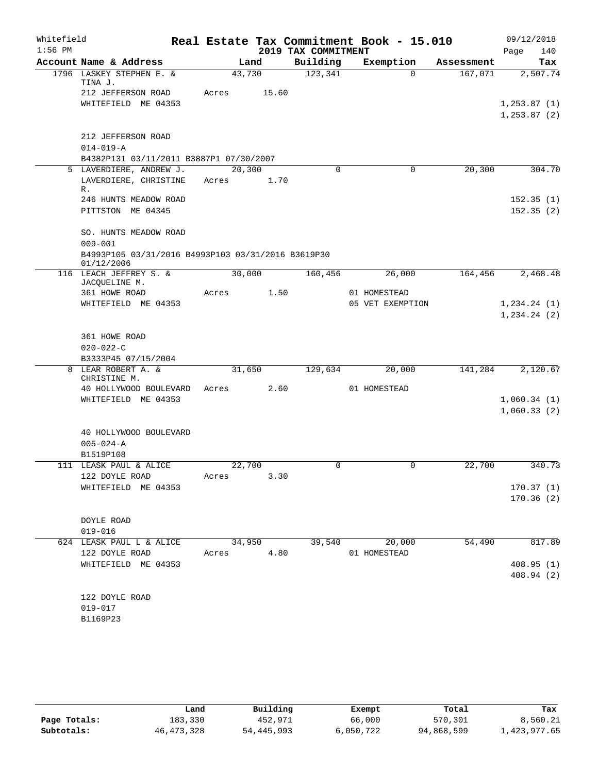| Whitefield |                                                                   |        |        |                     | Real Estate Tax Commitment Book - 15.010 |            | 09/12/2018                     |
|------------|-------------------------------------------------------------------|--------|--------|---------------------|------------------------------------------|------------|--------------------------------|
| $1:56$ PM  |                                                                   |        |        | 2019 TAX COMMITMENT |                                          |            | 140<br>Page                    |
|            | Account Name & Address                                            |        | Land   | Building            | Exemption                                | Assessment | Tax                            |
|            | 1796 LASKEY STEPHEN E. &<br>TINA J.                               | 43,730 |        | 123,341             | $\Omega$                                 | 167,071    | 2,507.74                       |
|            | 212 JEFFERSON ROAD                                                | Acres  | 15.60  |                     |                                          |            |                                |
|            | WHITEFIELD ME 04353                                               |        |        |                     |                                          |            | 1, 253.87(1)                   |
|            |                                                                   |        |        |                     |                                          |            | 1, 253.87(2)                   |
|            |                                                                   |        |        |                     |                                          |            |                                |
|            | 212 JEFFERSON ROAD<br>$014 - 019 - A$                             |        |        |                     |                                          |            |                                |
|            | B4382P131 03/11/2011 B3887P1 07/30/2007                           |        |        |                     |                                          |            |                                |
|            | 5 LAVERDIERE, ANDREW J.                                           | 20,300 |        | $\Omega$            | 0                                        | 20, 300    | 304.70                         |
|            | LAVERDIERE, CHRISTINE                                             | Acres  | 1.70   |                     |                                          |            |                                |
|            | R.                                                                |        |        |                     |                                          |            |                                |
|            | 246 HUNTS MEADOW ROAD                                             |        |        |                     |                                          |            | 152.35(1)                      |
|            | PITTSTON ME 04345                                                 |        |        |                     |                                          |            | 152.35(2)                      |
|            |                                                                   |        |        |                     |                                          |            |                                |
|            | SO. HUNTS MEADOW ROAD                                             |        |        |                     |                                          |            |                                |
|            | $009 - 001$<br>B4993P105 03/31/2016 B4993P103 03/31/2016 B3619P30 |        |        |                     |                                          |            |                                |
|            | 01/12/2006                                                        |        |        |                     |                                          |            |                                |
|            | 116 LEACH JEFFREY S. &                                            | 30,000 |        | 160,456             | 26,000                                   | 164,456    | 2,468.48                       |
|            | JACQUELINE M.                                                     |        |        |                     |                                          |            |                                |
|            | 361 HOWE ROAD                                                     | Acres  | 1.50   |                     | 01 HOMESTEAD                             |            |                                |
|            | WHITEFIELD ME 04353                                               |        |        |                     | 05 VET EXEMPTION                         |            | 1, 234.24 (1)<br>1, 234.24 (2) |
|            |                                                                   |        |        |                     |                                          |            |                                |
|            | 361 HOWE ROAD                                                     |        |        |                     |                                          |            |                                |
|            | $020 - 022 - C$                                                   |        |        |                     |                                          |            |                                |
|            | B3333P45 07/15/2004                                               |        |        |                     |                                          |            |                                |
|            | 8 LEAR ROBERT A. &                                                | 31,650 |        | 129,634             | 20,000                                   | 141,284    | 2,120.67                       |
|            | CHRISTINE M.                                                      |        |        |                     |                                          |            |                                |
|            | 40 HOLLYWOOD BOULEVARD                                            | Acres  | 2.60   |                     | 01 HOMESTEAD                             |            |                                |
|            | WHITEFIELD ME 04353                                               |        |        |                     |                                          |            | 1,060.34(1)                    |
|            |                                                                   |        |        |                     |                                          |            | 1,060.33(2)                    |
|            | 40 HOLLYWOOD BOULEVARD                                            |        |        |                     |                                          |            |                                |
|            | $005 - 024 - A$                                                   |        |        |                     |                                          |            |                                |
|            | B1519P108                                                         |        |        |                     |                                          |            |                                |
|            | 111 LEASK PAUL & ALICE                                            | 22,700 |        | $\mathbf 0$         | 0                                        | 22,700     | 340.73                         |
|            | 122 DOYLE ROAD                                                    | Acres  | 3.30   |                     |                                          |            |                                |
|            | WHITEFIELD ME 04353                                               |        |        |                     |                                          |            | 170.37(1)                      |
|            |                                                                   |        |        |                     |                                          |            | 170.36(2)                      |
|            |                                                                   |        |        |                     |                                          |            |                                |
|            | DOYLE ROAD<br>$019 - 016$                                         |        |        |                     |                                          |            |                                |
|            | 624 LEASK PAUL L & ALICE                                          |        | 34,950 | 39,540              | 20,000                                   | 54,490     | 817.89                         |
|            | 122 DOYLE ROAD                                                    | Acres  | 4.80   |                     | 01 HOMESTEAD                             |            |                                |
|            | WHITEFIELD ME 04353                                               |        |        |                     |                                          |            | 408.95(1)                      |
|            |                                                                   |        |        |                     |                                          |            | 408.94(2)                      |
|            |                                                                   |        |        |                     |                                          |            |                                |
|            | 122 DOYLE ROAD                                                    |        |        |                     |                                          |            |                                |
|            | 019-017                                                           |        |        |                     |                                          |            |                                |
|            | B1169P23                                                          |        |        |                     |                                          |            |                                |
|            |                                                                   |        |        |                     |                                          |            |                                |

|              | Land         | Building   | Exempt    | Total      | Tax          |
|--------------|--------------|------------|-----------|------------|--------------|
| Page Totals: | 183,330      | 452,971    | 66,000    | 570,301    | 8,560.21     |
| Subtotals:   | 46, 473, 328 | 54,445,993 | 6,050,722 | 94,868,599 | 1,423,977.65 |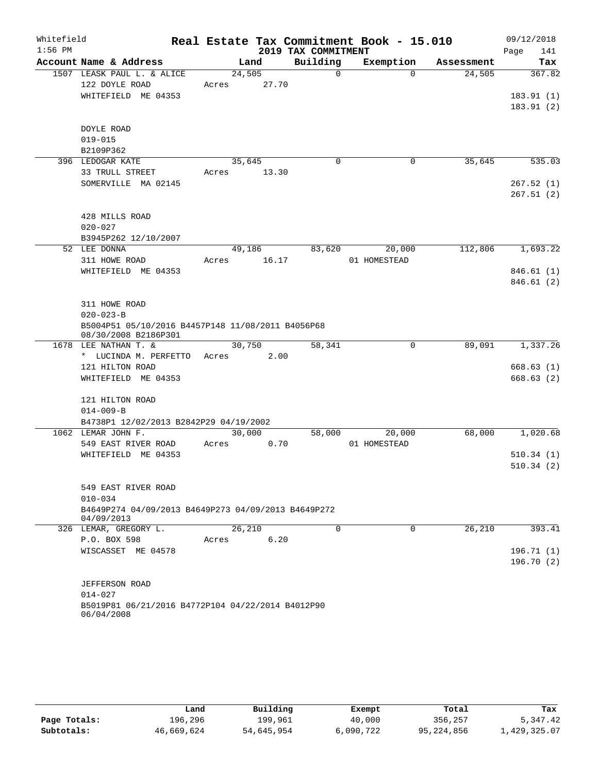| Whitefield |                                                                    |        |       |                     | Real Estate Tax Commitment Book - 15.010 |            | 09/12/2018              |
|------------|--------------------------------------------------------------------|--------|-------|---------------------|------------------------------------------|------------|-------------------------|
| $1:56$ PM  |                                                                    |        |       | 2019 TAX COMMITMENT |                                          |            | Page<br>141             |
|            | Account Name & Address                                             |        | Land  | Building            | Exemption                                | Assessment | Tax                     |
|            | 1507 LEASK PAUL L. & ALICE                                         | 24,505 |       | $\Omega$            | $\Omega$                                 | 24,505     | 367.82                  |
|            | 122 DOYLE ROAD                                                     | Acres  | 27.70 |                     |                                          |            |                         |
|            | WHITEFIELD ME 04353                                                |        |       |                     |                                          |            | 183.91(1)               |
|            |                                                                    |        |       |                     |                                          |            | 183.91(2)               |
|            | DOYLE ROAD                                                         |        |       |                     |                                          |            |                         |
|            | $019 - 015$                                                        |        |       |                     |                                          |            |                         |
|            | B2109P362                                                          |        |       |                     |                                          |            |                         |
|            | 396 LEDOGAR KATE                                                   | 35,645 |       | 0                   | 0                                        | 35,645     | 535.03                  |
|            | 33 TRULL STREET                                                    | Acres  | 13.30 |                     |                                          |            |                         |
|            | SOMERVILLE MA 02145                                                |        |       |                     |                                          |            | 267.52(1)               |
|            |                                                                    |        |       |                     |                                          |            | 267.51(2)               |
|            |                                                                    |        |       |                     |                                          |            |                         |
|            | 428 MILLS ROAD                                                     |        |       |                     |                                          |            |                         |
|            | $020 - 027$                                                        |        |       |                     |                                          |            |                         |
|            | B3945P262 12/10/2007                                               |        |       |                     |                                          |            |                         |
|            | 52 LEE DONNA                                                       | 49,186 |       | 83,620              | 20,000                                   | 112,806    | 1,693.22                |
|            | 311 HOWE ROAD                                                      | Acres  | 16.17 |                     | 01 HOMESTEAD                             |            |                         |
|            | WHITEFIELD ME 04353                                                |        |       |                     |                                          |            | 846.61 (1)<br>846.61(2) |
|            |                                                                    |        |       |                     |                                          |            |                         |
|            | 311 HOWE ROAD                                                      |        |       |                     |                                          |            |                         |
|            | $020 - 023 - B$                                                    |        |       |                     |                                          |            |                         |
|            | B5004P51 05/10/2016 B4457P148 11/08/2011 B4056P68                  |        |       |                     |                                          |            |                         |
|            | 08/30/2008 B2186P301                                               |        |       |                     |                                          |            |                         |
|            | 1678 LEE NATHAN T. &                                               | 30,750 |       | 58,341              | $\mathbf 0$                              | 89,091     | 1,337.26                |
|            | * LUCINDA M. PERFETTO                                              | Acres  | 2.00  |                     |                                          |            |                         |
|            | 121 HILTON ROAD                                                    |        |       |                     |                                          |            | 668.63(1)               |
|            | WHITEFIELD ME 04353                                                |        |       |                     |                                          |            | 668.63 (2)              |
|            | 121 HILTON ROAD                                                    |        |       |                     |                                          |            |                         |
|            | $014 - 009 - B$                                                    |        |       |                     |                                          |            |                         |
|            | B4738P1 12/02/2013 B2842P29 04/19/2002                             |        |       |                     |                                          |            |                         |
|            | 1062 LEMAR JOHN F.                                                 | 30,000 |       | 58,000              | 20,000                                   | 68,000     | 1,020.68                |
|            | 549 EAST RIVER ROAD                                                | Acres  | 0.70  |                     | 01 HOMESTEAD                             |            |                         |
|            | WHITEFIELD ME 04353                                                |        |       |                     |                                          |            | 510.34(1)               |
|            |                                                                    |        |       |                     |                                          |            | 510.34(2)               |
|            |                                                                    |        |       |                     |                                          |            |                         |
|            | 549 EAST RIVER ROAD                                                |        |       |                     |                                          |            |                         |
|            | $010 - 034$<br>B4649P274 04/09/2013 B4649P273 04/09/2013 B4649P272 |        |       |                     |                                          |            |                         |
|            | 04/09/2013                                                         |        |       |                     |                                          |            |                         |
|            | 326 LEMAR, GREGORY L.                                              | 26,210 |       | $\Omega$            | 0                                        | 26,210     | 393.41                  |
|            | P.O. BOX 598                                                       | Acres  | 6.20  |                     |                                          |            |                         |
|            | WISCASSET ME 04578                                                 |        |       |                     |                                          |            | 196.71(1)               |
|            |                                                                    |        |       |                     |                                          |            | 196.70(2)               |
|            |                                                                    |        |       |                     |                                          |            |                         |
|            | JEFFERSON ROAD                                                     |        |       |                     |                                          |            |                         |
|            | $014 - 027$                                                        |        |       |                     |                                          |            |                         |
|            | B5019P81 06/21/2016 B4772P104 04/22/2014 B4012P90<br>06/04/2008    |        |       |                     |                                          |            |                         |
|            |                                                                    |        |       |                     |                                          |            |                         |

|              | Land       | Building   | Exempt    | Total      | Tax          |
|--------------|------------|------------|-----------|------------|--------------|
| Page Totals: | 196,296    | 199,961    | 40,000    | 356,257    | 5,347.42     |
| Subtotals:   | 46,669,624 | 54,645,954 | 6,090,722 | 95,224,856 | 1,429,325.07 |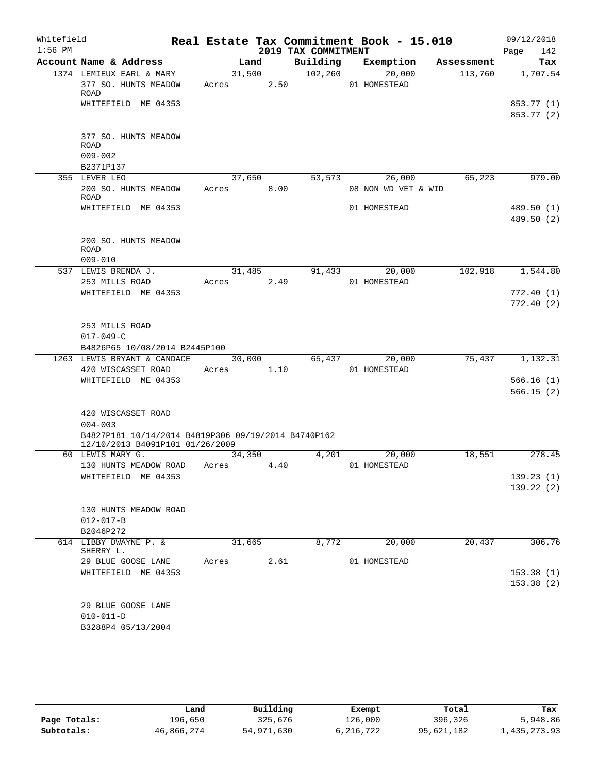| Whitefield |                                                                                        |                 |      |                     | Real Estate Tax Commitment Book - 15.010 |            | 09/12/2018               |
|------------|----------------------------------------------------------------------------------------|-----------------|------|---------------------|------------------------------------------|------------|--------------------------|
| $1:56$ PM  |                                                                                        |                 |      | 2019 TAX COMMITMENT |                                          |            | Page<br>142              |
|            | Account Name & Address                                                                 |                 | Land | Building            | Exemption                                | Assessment | Tax                      |
|            | 1374 LEMIEUX EARL & MARY<br>377 SO. HUNTS MEADOW<br><b>ROAD</b>                        | 31,500<br>Acres | 2.50 | 102, 260            | 20,000<br>01 HOMESTEAD                   | 113,760    | 1,707.54                 |
|            | WHITEFIELD ME 04353                                                                    |                 |      |                     |                                          |            | 853.77 (1)<br>853.77 (2) |
|            |                                                                                        |                 |      |                     |                                          |            |                          |
|            | 377 SO. HUNTS MEADOW<br><b>ROAD</b>                                                    |                 |      |                     |                                          |            |                          |
|            | $009 - 002$                                                                            |                 |      |                     |                                          |            |                          |
|            | B2371P137                                                                              |                 |      |                     |                                          |            |                          |
|            | 355 LEVER LEO<br>200 SO. HUNTS MEADOW                                                  | 37,650<br>Acres | 8.00 | 53,573              | 26,000<br>08 NON WD VET & WID            | 65,223     | 979.00                   |
|            | ROAD                                                                                   |                 |      |                     |                                          |            |                          |
|            | WHITEFIELD ME 04353                                                                    |                 |      |                     | 01 HOMESTEAD                             |            | 489.50 (1)               |
|            |                                                                                        |                 |      |                     |                                          |            | 489.50 (2)               |
|            |                                                                                        |                 |      |                     |                                          |            |                          |
|            | 200 SO. HUNTS MEADOW<br><b>ROAD</b>                                                    |                 |      |                     |                                          |            |                          |
|            | $009 - 010$                                                                            |                 |      |                     |                                          |            |                          |
|            | 537 LEWIS BRENDA J.                                                                    | 31,485          |      | 91,433              | 20,000                                   | 102,918    | 1,544.80                 |
|            | 253 MILLS ROAD                                                                         | Acres           | 2.49 |                     | 01 HOMESTEAD                             |            |                          |
|            | WHITEFIELD ME 04353                                                                    |                 |      |                     |                                          |            | 772.40(1)                |
|            |                                                                                        |                 |      |                     |                                          |            | 772.40(2)                |
|            | 253 MILLS ROAD                                                                         |                 |      |                     |                                          |            |                          |
|            | $017 - 049 - C$                                                                        |                 |      |                     |                                          |            |                          |
|            | B4826P65 10/08/2014 B2445P100                                                          |                 |      |                     |                                          |            |                          |
|            | 1263 LEWIS BRYANT & CANDACE                                                            | 30,000          |      | 65,437              | 20,000                                   | 75,437     | 1,132.31                 |
|            | 420 WISCASSET ROAD                                                                     | Acres           | 1.10 |                     | 01 HOMESTEAD                             |            |                          |
|            | WHITEFIELD ME 04353                                                                    |                 |      |                     |                                          |            | 566.16(1)                |
|            |                                                                                        |                 |      |                     |                                          |            | 566.15(2)                |
|            | 420 WISCASSET ROAD                                                                     |                 |      |                     |                                          |            |                          |
|            | $004 - 003$                                                                            |                 |      |                     |                                          |            |                          |
|            | B4827P181 10/14/2014 B4819P306 09/19/2014 B4740P162<br>12/10/2013 B4091P101 01/26/2009 |                 |      |                     |                                          |            |                          |
|            | 60 LEWIS MARY G.                                                                       | 34,350          |      | 4,201               | 20,000                                   | 18,551     | 278.45                   |
|            | 130 HUNTS MEADOW ROAD                                                                  | Acres           | 4.40 |                     | 01 HOMESTEAD                             |            |                          |
|            | WHITEFIELD ME 04353                                                                    |                 |      |                     |                                          |            | 139.23(1)                |
|            |                                                                                        |                 |      |                     |                                          |            | 139.22(2)                |
|            | 130 HUNTS MEADOW ROAD                                                                  |                 |      |                     |                                          |            |                          |
|            | $012 - 017 - B$                                                                        |                 |      |                     |                                          |            |                          |
|            | B2046P272                                                                              |                 |      |                     |                                          |            |                          |
|            | 614 LIBBY DWAYNE P. &<br>SHERRY L.                                                     | 31,665          |      | 8,772               | 20,000                                   | 20,437     | 306.76                   |
|            | 29 BLUE GOOSE LANE                                                                     | Acres           | 2.61 |                     | 01 HOMESTEAD                             |            |                          |
|            | WHITEFIELD ME 04353                                                                    |                 |      |                     |                                          |            | 153.38(1)                |
|            |                                                                                        |                 |      |                     |                                          |            | 153.38(2)                |
|            | 29 BLUE GOOSE LANE                                                                     |                 |      |                     |                                          |            |                          |
|            | $010 - 011 - D$                                                                        |                 |      |                     |                                          |            |                          |
|            | B3288P4 05/13/2004                                                                     |                 |      |                     |                                          |            |                          |
|            |                                                                                        |                 |      |                     |                                          |            |                          |

|              | Land       | Building   | Exempt    | Total      | Tax          |
|--------------|------------|------------|-----------|------------|--------------|
| Page Totals: | 196,650    | 325,676    | 126,000   | 396,326    | 5,948.86     |
| Subtotals:   | 46,866,274 | 54,971,630 | 6,216,722 | 95,621,182 | 1,435,273.93 |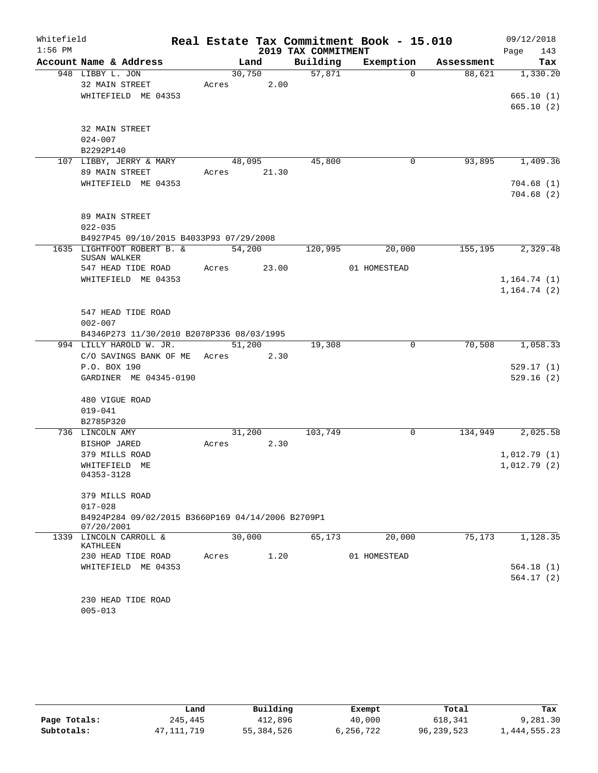| Whitefield |                                                   |        |       |                     | Real Estate Tax Commitment Book - 15.010 |            | 09/12/2018   |
|------------|---------------------------------------------------|--------|-------|---------------------|------------------------------------------|------------|--------------|
| $1:56$ PM  |                                                   |        |       | 2019 TAX COMMITMENT |                                          |            | 143<br>Page  |
|            | Account Name & Address                            |        | Land  | Building            | Exemption                                | Assessment | Tax          |
|            | 948 LIBBY L. JON                                  | 30,750 |       | 57,871              | $\Omega$                                 | 88,621     | 1,330.20     |
|            | 32 MAIN STREET                                    | Acres  | 2.00  |                     |                                          |            |              |
|            | WHITEFIELD ME 04353                               |        |       |                     |                                          |            | 665.10(1)    |
|            |                                                   |        |       |                     |                                          |            | 665.10(2)    |
|            | 32 MAIN STREET                                    |        |       |                     |                                          |            |              |
|            | $024 - 007$                                       |        |       |                     |                                          |            |              |
|            | B2292P140                                         |        |       |                     |                                          |            |              |
|            | 107 LIBBY, JERRY & MARY                           | 48,095 |       | 45,800              | 0                                        | 93,895     | 1,409.36     |
|            | 89 MAIN STREET                                    | Acres  | 21.30 |                     |                                          |            |              |
|            | WHITEFIELD ME 04353                               |        |       |                     |                                          |            | 704.68(1)    |
|            |                                                   |        |       |                     |                                          |            | 704.68(2)    |
|            |                                                   |        |       |                     |                                          |            |              |
|            | 89 MAIN STREET                                    |        |       |                     |                                          |            |              |
|            | $022 - 035$                                       |        |       |                     |                                          |            |              |
|            | B4927P45 09/10/2015 B4033P93 07/29/2008           |        |       |                     |                                          |            |              |
|            | 1635 LIGHTFOOT ROBERT B. &<br>SUSAN WALKER        | 54,200 |       | 120,995             | 20,000                                   | 155,195    | 2,329.48     |
|            | 547 HEAD TIDE ROAD                                | Acres  | 23.00 |                     | 01 HOMESTEAD                             |            |              |
|            | WHITEFIELD ME 04353                               |        |       |                     |                                          |            | 1, 164.74(1) |
|            |                                                   |        |       |                     |                                          |            | 1, 164.74(2) |
|            |                                                   |        |       |                     |                                          |            |              |
|            | 547 HEAD TIDE ROAD                                |        |       |                     |                                          |            |              |
|            | $002 - 007$                                       |        |       |                     |                                          |            |              |
|            | B4346P273 11/30/2010 B2078P336 08/03/1995         |        |       |                     |                                          |            |              |
|            | 994 LILLY HAROLD W. JR.                           | 51,200 |       | 19,308              | 0                                        | 70,508     | 1,058.33     |
|            | C/O SAVINGS BANK OF ME                            | Acres  | 2.30  |                     |                                          |            |              |
|            | P.O. BOX 190                                      |        |       |                     |                                          |            | 529.17(1)    |
|            | GARDINER ME 04345-0190                            |        |       |                     |                                          |            | 529.16(2)    |
|            | 480 VIGUE ROAD                                    |        |       |                     |                                          |            |              |
|            | $019 - 041$                                       |        |       |                     |                                          |            |              |
|            | B2785P320                                         |        |       |                     |                                          |            |              |
|            | 736 LINCOLN AMY                                   | 31,200 |       | 103,749             | 0                                        | 134,949    | 2,025.58     |
|            | BISHOP JARED                                      | Acres  | 2.30  |                     |                                          |            |              |
|            | 379 MILLS ROAD                                    |        |       |                     |                                          |            | 1,012.79(1)  |
|            | WHITEFIELD ME                                     |        |       |                     |                                          |            | 1,012.79(2)  |
|            | 04353-3128                                        |        |       |                     |                                          |            |              |
|            | 379 MILLS ROAD                                    |        |       |                     |                                          |            |              |
|            | $017 - 028$                                       |        |       |                     |                                          |            |              |
|            | B4924P284 09/02/2015 B3660P169 04/14/2006 B2709P1 |        |       |                     |                                          |            |              |
|            | 07/20/2001                                        |        |       |                     |                                          |            |              |
|            | 1339 LINCOLN CARROLL &<br>KATHLEEN                | 30,000 |       | 65,173              | 20,000                                   | 75,173     | 1,128.35     |
|            | 230 HEAD TIDE ROAD                                | Acres  | 1.20  |                     | 01 HOMESTEAD                             |            |              |
|            | WHITEFIELD ME 04353                               |        |       |                     |                                          |            | 564.18(1)    |
|            |                                                   |        |       |                     |                                          |            | 564.17(2)    |
|            |                                                   |        |       |                     |                                          |            |              |
|            | 230 HEAD TIDE ROAD<br>$005 - 013$                 |        |       |                     |                                          |            |              |
|            |                                                   |        |       |                     |                                          |            |              |

|              | Land       | Building     | Exempt    | Total        | Tax          |
|--------------|------------|--------------|-----------|--------------|--------------|
| Page Totals: | 245,445    | 412,896      | 40,000    | 618,341      | 9,281.30     |
| Subtotals:   | 47,111,719 | 55, 384, 526 | 6,256,722 | 96, 239, 523 | 1,444,555.23 |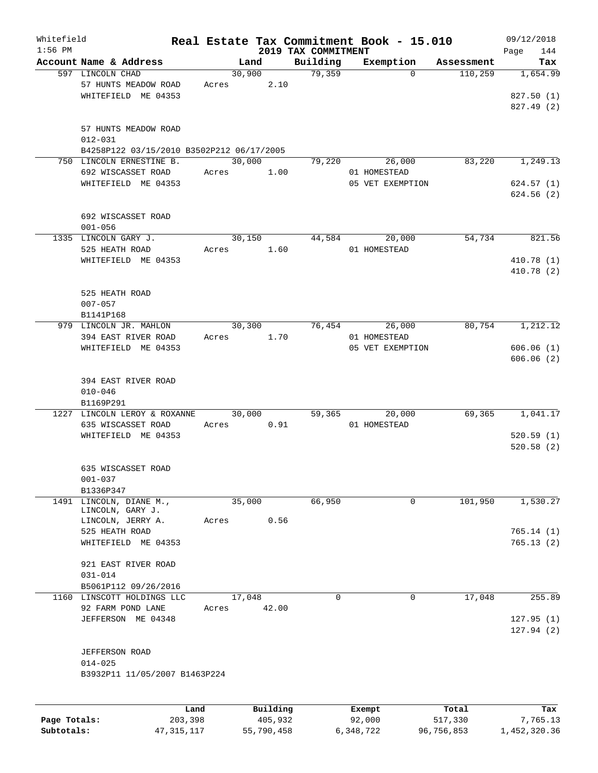| Whitefield   |                                           |       |          |                                 | Real Estate Tax Commitment Book - 15.010 |            | 09/12/2018         |
|--------------|-------------------------------------------|-------|----------|---------------------------------|------------------------------------------|------------|--------------------|
| $1:56$ PM    | Account Name & Address                    |       | Land     | 2019 TAX COMMITMENT<br>Building | Exemption                                | Assessment | 144<br>Page<br>Tax |
|              | 597 LINCOLN CHAD                          |       | 30,900   | 79,359                          | $\Omega$                                 | 110,259    | 1,654.99           |
|              | 57 HUNTS MEADOW ROAD                      | Acres | 2.10     |                                 |                                          |            |                    |
|              | WHITEFIELD ME 04353                       |       |          |                                 |                                          |            | 827.50(1)          |
|              |                                           |       |          |                                 |                                          |            | 827.49 (2)         |
|              |                                           |       |          |                                 |                                          |            |                    |
|              | 57 HUNTS MEADOW ROAD                      |       |          |                                 |                                          |            |                    |
|              | $012 - 031$                               |       |          |                                 |                                          |            |                    |
|              | B4258P122 03/15/2010 B3502P212 06/17/2005 |       |          |                                 |                                          |            |                    |
|              | 750 LINCOLN ERNESTINE B.                  |       | 30,000   | 79,220                          | 26,000                                   | 83,220     | 1,249.13           |
|              | 692 WISCASSET ROAD                        | Acres | 1.00     |                                 | 01 HOMESTEAD                             |            |                    |
|              | WHITEFIELD ME 04353                       |       |          |                                 | 05 VET EXEMPTION                         |            | 624.57(1)          |
|              |                                           |       |          |                                 |                                          |            | 624.56(2)          |
|              |                                           |       |          |                                 |                                          |            |                    |
|              | 692 WISCASSET ROAD                        |       |          |                                 |                                          |            |                    |
|              | $001 - 056$                               |       |          |                                 |                                          |            |                    |
|              | 1335 LINCOLN GARY J.                      |       | 30,150   | 44,584                          | 20,000                                   | 54,734     | 821.56             |
|              | 525 HEATH ROAD                            | Acres | 1.60     |                                 | 01 HOMESTEAD                             |            |                    |
|              | WHITEFIELD ME 04353                       |       |          |                                 |                                          |            | 410.78 (1)         |
|              |                                           |       |          |                                 |                                          |            | 410.78(2)          |
|              |                                           |       |          |                                 |                                          |            |                    |
|              | 525 HEATH ROAD                            |       |          |                                 |                                          |            |                    |
|              | $007 - 057$                               |       |          |                                 |                                          |            |                    |
|              | B1141P168                                 |       |          |                                 |                                          |            |                    |
|              | 979 LINCOLN JR. MAHLON                    |       | 30, 300  | 76,454                          | 26,000                                   | 80,754     | 1,212.12           |
|              | 394 EAST RIVER ROAD                       | Acres | 1.70     |                                 | 01 HOMESTEAD                             |            |                    |
|              | WHITEFIELD ME 04353                       |       |          |                                 | 05 VET EXEMPTION                         |            | 606.06(1)          |
|              |                                           |       |          |                                 |                                          |            | 606.06(2)          |
|              |                                           |       |          |                                 |                                          |            |                    |
|              | 394 EAST RIVER ROAD                       |       |          |                                 |                                          |            |                    |
|              | $010 - 046$                               |       |          |                                 |                                          |            |                    |
|              | B1169P291                                 |       |          |                                 |                                          |            |                    |
|              | 1227 LINCOLN LEROY & ROXANNE              |       | 30,000   | 59,365                          | 20,000                                   | 69,365     | 1,041.17           |
|              | 635 WISCASSET ROAD                        | Acres | 0.91     |                                 | 01 HOMESTEAD                             |            |                    |
|              | WHITEFIELD ME 04353                       |       |          |                                 |                                          |            | 520.59(1)          |
|              |                                           |       |          |                                 |                                          |            | 520.58(2)          |
|              |                                           |       |          |                                 |                                          |            |                    |
|              | 635 WISCASSET ROAD                        |       |          |                                 |                                          |            |                    |
|              | $001 - 037$                               |       |          |                                 |                                          |            |                    |
|              | B1336P347                                 |       |          |                                 |                                          |            |                    |
|              | 1491 LINCOLN, DIANE M.,                   |       | 35,000   | 66,950                          | 0                                        | 101,950    | 1,530.27           |
|              | LINCOLN, GARY J.                          |       |          |                                 |                                          |            |                    |
|              | LINCOLN, JERRY A.                         | Acres | 0.56     |                                 |                                          |            |                    |
|              | 525 HEATH ROAD                            |       |          |                                 |                                          |            | 765.14(1)          |
|              | WHITEFIELD ME 04353                       |       |          |                                 |                                          |            | 765.13(2)          |
|              |                                           |       |          |                                 |                                          |            |                    |
|              | 921 EAST RIVER ROAD                       |       |          |                                 |                                          |            |                    |
|              | $031 - 014$                               |       |          |                                 |                                          |            |                    |
|              | B5061P112 09/26/2016                      |       |          |                                 |                                          |            |                    |
|              | 1160 LINSCOTT HOLDINGS LLC                |       | 17,048   | $\Omega$                        | $\mathbf 0$                              | 17,048     | 255.89             |
|              | 92 FARM POND LANE                         | Acres | 42.00    |                                 |                                          |            |                    |
|              | JEFFERSON ME 04348                        |       |          |                                 |                                          |            | 127.95(1)          |
|              |                                           |       |          |                                 |                                          |            | 127.94(2)          |
|              |                                           |       |          |                                 |                                          |            |                    |
|              | <b>JEFFERSON ROAD</b>                     |       |          |                                 |                                          |            |                    |
|              | $014 - 025$                               |       |          |                                 |                                          |            |                    |
|              | B3932P11 11/05/2007 B1463P224             |       |          |                                 |                                          |            |                    |
|              |                                           |       |          |                                 |                                          |            |                    |
|              |                                           |       |          |                                 |                                          |            |                    |
|              | Land                                      |       | Building |                                 | Exempt                                   | Total      | Tax                |
| Page Totals: | 203,398                                   |       | 405,932  |                                 | 92,000                                   | 517,330    | 7,765.13           |

**Subtotals:** 47,315,117 55,790,458 6,348,722 96,756,853 1,452,320.36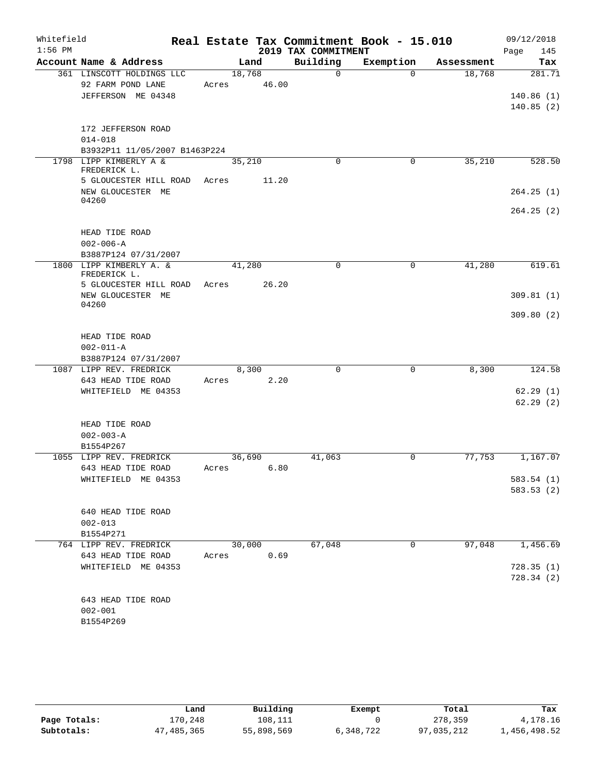| Whitefield |                                                                   |                 |       |                     | Real Estate Tax Commitment Book - 15.010 |            | 09/12/2018  |
|------------|-------------------------------------------------------------------|-----------------|-------|---------------------|------------------------------------------|------------|-------------|
| $1:56$ PM  |                                                                   |                 |       | 2019 TAX COMMITMENT |                                          |            | 145<br>Page |
|            | Account Name & Address                                            |                 | Land  | Building            | Exemption                                | Assessment | Tax         |
|            | 361 LINSCOTT HOLDINGS LLC<br>92 FARM POND LANE                    | 18,768          | 46.00 | $\Omega$            | $\Omega$                                 | 18,768     | 281.71      |
|            | JEFFERSON ME 04348                                                | Acres           |       |                     |                                          |            | 140.86(1)   |
|            |                                                                   |                 |       |                     |                                          |            | 140.85(2)   |
|            | 172 JEFFERSON ROAD                                                |                 |       |                     |                                          |            |             |
|            | $014 - 018$                                                       |                 |       |                     |                                          |            |             |
|            | B3932P11 11/05/2007 B1463P224                                     |                 |       |                     |                                          |            |             |
|            | 1798 LIPP KIMBERLY A &<br>FREDERICK L.                            | 35,210          |       | $\Omega$            | 0                                        | 35,210     | 528.50      |
|            | 5 GLOUCESTER HILL ROAD                                            | Acres           | 11.20 |                     |                                          |            |             |
|            | NEW GLOUCESTER ME<br>04260                                        |                 |       |                     |                                          |            | 264.25(1)   |
|            |                                                                   |                 |       |                     |                                          |            | 264.25(2)   |
|            | HEAD TIDE ROAD                                                    |                 |       |                     |                                          |            |             |
|            | $002 - 006 - A$                                                   |                 |       |                     |                                          |            |             |
|            | B3887P124 07/31/2007                                              |                 |       |                     |                                          |            |             |
|            | 1800 LIPP KIMBERLY A. &<br>FREDERICK L.<br>5 GLOUCESTER HILL ROAD | 41,280<br>Acres | 26.20 | $\mathbf 0$         | $\mathbf 0$                              | 41,280     | 619.61      |
|            | NEW GLOUCESTER ME                                                 |                 |       |                     |                                          |            | 309.81(1)   |
|            | 04260                                                             |                 |       |                     |                                          |            |             |
|            |                                                                   |                 |       |                     |                                          |            | 309.80(2)   |
|            | HEAD TIDE ROAD                                                    |                 |       |                     |                                          |            |             |
|            | $002 - 011 - A$                                                   |                 |       |                     |                                          |            |             |
|            | B3887P124 07/31/2007                                              |                 |       |                     |                                          |            |             |
|            | 1087 LIPP REV. FREDRICK                                           | 8,300           |       | $\Omega$            | 0                                        | 8,300      | 124.58      |
|            | 643 HEAD TIDE ROAD                                                | Acres           | 2.20  |                     |                                          |            |             |
|            | WHITEFIELD ME 04353                                               |                 |       |                     |                                          |            | 62.29(1)    |
|            |                                                                   |                 |       |                     |                                          |            | 62.29(2)    |
|            | HEAD TIDE ROAD                                                    |                 |       |                     |                                          |            |             |
|            | $002 - 003 - A$                                                   |                 |       |                     |                                          |            |             |
|            | B1554P267                                                         |                 |       |                     |                                          |            |             |
|            | 1055 LIPP REV. FREDRICK                                           | 36,690          |       | 41,063              | $\mathbf 0$                              | 77,753     | 1,167.07    |
|            | 643 HEAD TIDE ROAD                                                | Acres           | 6.80  |                     |                                          |            |             |
|            | WHITEFIELD ME 04353                                               |                 |       |                     |                                          |            | 583.54 (1)  |
|            |                                                                   |                 |       |                     |                                          |            | 583.53 (2)  |
|            | 640 HEAD TIDE ROAD                                                |                 |       |                     |                                          |            |             |
|            | $002 - 013$                                                       |                 |       |                     |                                          |            |             |
|            | B1554P271                                                         |                 |       |                     |                                          |            |             |
|            | 764 LIPP REV. FREDRICK                                            | 30,000          |       | 67,048              | 0                                        | 97,048     | 1,456.69    |
|            | 643 HEAD TIDE ROAD                                                | Acres           | 0.69  |                     |                                          |            |             |
|            | WHITEFIELD ME 04353                                               |                 |       |                     |                                          |            | 728.35(1)   |
|            |                                                                   |                 |       |                     |                                          |            | 728.34(2)   |
|            | 643 HEAD TIDE ROAD                                                |                 |       |                     |                                          |            |             |
|            | $002 - 001$                                                       |                 |       |                     |                                          |            |             |
|            | B1554P269                                                         |                 |       |                     |                                          |            |             |
|            |                                                                   |                 |       |                     |                                          |            |             |

|              | Land         | Building   | Exempt    | Total      | Tax          |
|--------------|--------------|------------|-----------|------------|--------------|
| Page Totals: | 170.248      | 108,111    |           | 278,359    | 4,178.16     |
| Subtotals:   | 47, 485, 365 | 55,898,569 | 6,348,722 | 97,035,212 | 1,456,498.52 |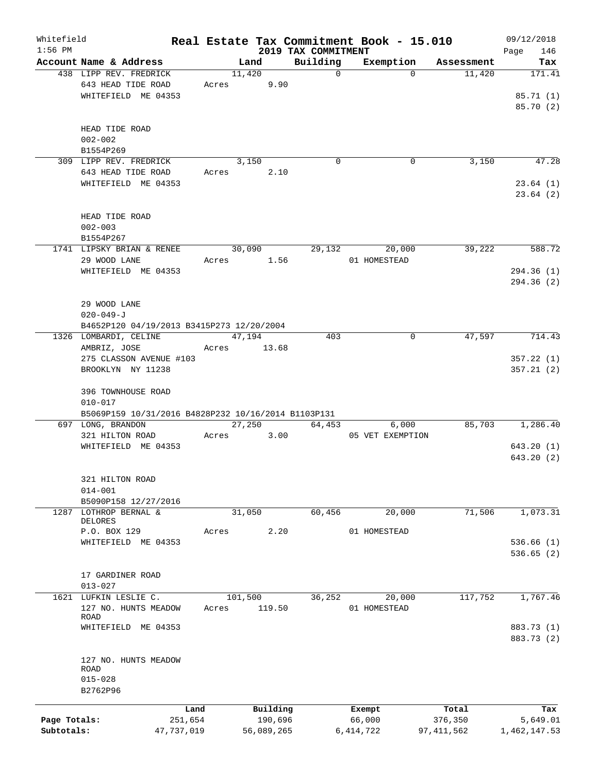| Whitefield   |                                                     |            |       |         |            |                                 | Real Estate Tax Commitment Book - 15.010 |          |                      | 09/12/2018         |
|--------------|-----------------------------------------------------|------------|-------|---------|------------|---------------------------------|------------------------------------------|----------|----------------------|--------------------|
| $1:56$ PM    | Account Name & Address                              |            |       | Land    |            | 2019 TAX COMMITMENT<br>Building | Exemption                                |          |                      | 146<br>Page<br>Tax |
|              | 438 LIPP REV. FREDRICK                              |            |       | 11,420  |            | $\mathbf 0$                     |                                          | $\Omega$ | Assessment<br>11,420 | 171.41             |
|              | 643 HEAD TIDE ROAD                                  |            | Acres |         | 9.90       |                                 |                                          |          |                      |                    |
|              | WHITEFIELD ME 04353                                 |            |       |         |            |                                 |                                          |          |                      | 85.71 (1)          |
|              |                                                     |            |       |         |            |                                 |                                          |          |                      | 85.70 (2)          |
|              |                                                     |            |       |         |            |                                 |                                          |          |                      |                    |
|              |                                                     |            |       |         |            |                                 |                                          |          |                      |                    |
|              | HEAD TIDE ROAD                                      |            |       |         |            |                                 |                                          |          |                      |                    |
|              | $002 - 002$                                         |            |       |         |            |                                 |                                          |          |                      |                    |
|              | B1554P269                                           |            |       |         |            |                                 |                                          |          |                      |                    |
|              | 309 LIPP REV. FREDRICK                              |            |       | 3,150   |            | $\Omega$                        |                                          | 0        | 3,150                | 47.28              |
|              | 643 HEAD TIDE ROAD                                  |            | Acres |         | 2.10       |                                 |                                          |          |                      |                    |
|              | WHITEFIELD ME 04353                                 |            |       |         |            |                                 |                                          |          |                      | 23.64(1)           |
|              |                                                     |            |       |         |            |                                 |                                          |          |                      | 23.64(2)           |
|              |                                                     |            |       |         |            |                                 |                                          |          |                      |                    |
|              | HEAD TIDE ROAD                                      |            |       |         |            |                                 |                                          |          |                      |                    |
|              | $002 - 003$                                         |            |       |         |            |                                 |                                          |          |                      |                    |
|              | B1554P267                                           |            |       |         |            |                                 |                                          |          |                      |                    |
|              | 1741 LIPSKY BRIAN & RENEE                           |            |       | 30,090  |            | 29,132                          | 20,000                                   |          | 39,222               | 588.72             |
|              | 29 WOOD LANE                                        |            | Acres |         | 1.56       |                                 | 01 HOMESTEAD                             |          |                      |                    |
|              | WHITEFIELD ME 04353                                 |            |       |         |            |                                 |                                          |          |                      | 294.36(1)          |
|              |                                                     |            |       |         |            |                                 |                                          |          |                      | 294.36(2)          |
|              |                                                     |            |       |         |            |                                 |                                          |          |                      |                    |
|              | 29 WOOD LANE                                        |            |       |         |            |                                 |                                          |          |                      |                    |
|              | $020 - 049 - J$                                     |            |       |         |            |                                 |                                          |          |                      |                    |
|              | B4652P120 04/19/2013 B3415P273 12/20/2004           |            |       |         |            |                                 |                                          |          |                      |                    |
|              | 1326 LOMBARDI, CELINE                               |            |       | 47,194  |            | 403                             |                                          | 0        | 47,597               | 714.43             |
|              | AMBRIZ, JOSE                                        |            | Acres |         | 13.68      |                                 |                                          |          |                      |                    |
|              | 275 CLASSON AVENUE #103                             |            |       |         |            |                                 |                                          |          |                      | 357.22(1)          |
|              | BROOKLYN NY 11238                                   |            |       |         |            |                                 |                                          |          |                      | 357.21(2)          |
|              |                                                     |            |       |         |            |                                 |                                          |          |                      |                    |
|              | 396 TOWNHOUSE ROAD                                  |            |       |         |            |                                 |                                          |          |                      |                    |
|              | $010 - 017$                                         |            |       |         |            |                                 |                                          |          |                      |                    |
|              | B5069P159 10/31/2016 B4828P232 10/16/2014 B1103P131 |            |       |         |            |                                 |                                          |          |                      |                    |
|              | 697 LONG, BRANDON                                   |            |       | 27,250  |            | 64,453                          |                                          | 6,000    | 85,703               | 1,286.40           |
|              |                                                     |            |       |         |            |                                 |                                          |          |                      |                    |
|              | 321 HILTON ROAD                                     |            | Acres |         | 3.00       |                                 | 05 VET EXEMPTION                         |          |                      |                    |
|              | WHITEFIELD ME 04353                                 |            |       |         |            |                                 |                                          |          |                      | 643.20(1)          |
|              |                                                     |            |       |         |            |                                 |                                          |          |                      | 643.20(2)          |
|              |                                                     |            |       |         |            |                                 |                                          |          |                      |                    |
|              | 321 HILTON ROAD                                     |            |       |         |            |                                 |                                          |          |                      |                    |
|              | $014 - 001$                                         |            |       |         |            |                                 |                                          |          |                      |                    |
|              | B5090P158 12/27/2016                                |            |       |         |            |                                 |                                          |          |                      |                    |
| 1287         | LOTHROP BERNAL &                                    |            |       | 31,050  |            | 60,456                          | 20,000                                   |          | 71,506               | 1,073.31           |
|              | DELORES                                             |            |       |         |            |                                 |                                          |          |                      |                    |
|              | P.O. BOX 129                                        |            | Acres |         | 2.20       |                                 | 01 HOMESTEAD                             |          |                      |                    |
|              | WHITEFIELD ME 04353                                 |            |       |         |            |                                 |                                          |          |                      | 536.66(1)          |
|              |                                                     |            |       |         |            |                                 |                                          |          |                      | 536.65(2)          |
|              |                                                     |            |       |         |            |                                 |                                          |          |                      |                    |
|              | 17 GARDINER ROAD                                    |            |       |         |            |                                 |                                          |          |                      |                    |
|              | $013 - 027$                                         |            |       |         |            |                                 |                                          |          |                      |                    |
|              | 1621 LUFKIN LESLIE C.                               |            |       | 101,500 |            | 36,252                          | 20,000                                   |          | 117,752              | 1,767.46           |
|              | 127 NO. HUNTS MEADOW                                |            | Acres |         | 119.50     |                                 | 01 HOMESTEAD                             |          |                      |                    |
|              | ROAD                                                |            |       |         |            |                                 |                                          |          |                      |                    |
|              | WHITEFIELD ME 04353                                 |            |       |         |            |                                 |                                          |          |                      | 883.73 (1)         |
|              |                                                     |            |       |         |            |                                 |                                          |          |                      | 883.73 (2)         |
|              |                                                     |            |       |         |            |                                 |                                          |          |                      |                    |
|              | 127 NO. HUNTS MEADOW                                |            |       |         |            |                                 |                                          |          |                      |                    |
|              | <b>ROAD</b>                                         |            |       |         |            |                                 |                                          |          |                      |                    |
|              | $015 - 028$                                         |            |       |         |            |                                 |                                          |          |                      |                    |
|              | B2762P96                                            |            |       |         |            |                                 |                                          |          |                      |                    |
|              |                                                     | Land       |       |         | Building   |                                 | Exempt                                   |          | Total                | Tax                |
| Page Totals: |                                                     | 251,654    |       |         | 190,696    |                                 | 66,000                                   |          | 376,350              | 5,649.01           |
| Subtotals:   |                                                     | 47,737,019 |       |         | 56,089,265 |                                 | 6, 414, 722                              |          | 97,411,562           | 1,462,147.53       |
|              |                                                     |            |       |         |            |                                 |                                          |          |                      |                    |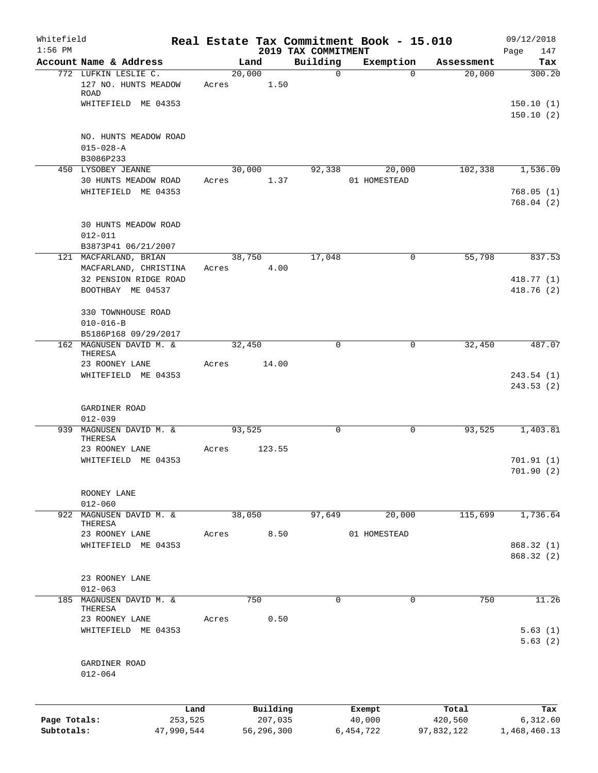| Whitefield<br>$1:56$ PM |                                             |            |       |            | 2019 TAX COMMITMENT | Real Estate Tax Commitment Book - 15.010 |            | 09/12/2018<br>Page<br>147 |
|-------------------------|---------------------------------------------|------------|-------|------------|---------------------|------------------------------------------|------------|---------------------------|
|                         | Account Name & Address                      |            |       | Land       | Building            | Exemption                                | Assessment | Tax                       |
|                         | 772 LUFKIN LESLIE C.                        |            |       | 20,000     | $\mathbf 0$         | $\Omega$                                 | 20,000     | 300.20                    |
|                         | 127 NO. HUNTS MEADOW<br>ROAD                |            | Acres | 1.50       |                     |                                          |            |                           |
|                         | WHITEFIELD ME 04353                         |            |       |            |                     |                                          |            | 150.10(1)<br>150.10(2)    |
|                         | NO. HUNTS MEADOW ROAD                       |            |       |            |                     |                                          |            |                           |
|                         | $015 - 028 - A$<br>B3086P233                |            |       |            |                     |                                          |            |                           |
|                         | 450 LYSOBEY JEANNE                          |            |       | 30,000     | 92,338              | 20,000                                   | 102,338    | 1,536.09                  |
|                         | 30 HUNTS MEADOW ROAD<br>WHITEFIELD ME 04353 |            | Acres | 1.37       |                     | 01 HOMESTEAD                             |            | 768.05(1)                 |
|                         |                                             |            |       |            |                     |                                          |            | 768.04(2)                 |
|                         | 30 HUNTS MEADOW ROAD                        |            |       |            |                     |                                          |            |                           |
|                         | $012 - 011$<br>B3873P41 06/21/2007          |            |       |            |                     |                                          |            |                           |
|                         | 121 MACFARLAND, BRIAN                       |            |       | 38,750     | 17,048              | 0                                        | 55,798     | 837.53                    |
|                         | MACFARLAND, CHRISTINA                       |            | Acres | 4.00       |                     |                                          |            |                           |
|                         | 32 PENSION RIDGE ROAD<br>BOOTHBAY ME 04537  |            |       |            |                     |                                          |            | 418.77 (1)<br>418.76(2)   |
|                         |                                             |            |       |            |                     |                                          |            |                           |
|                         | 330 TOWNHOUSE ROAD                          |            |       |            |                     |                                          |            |                           |
|                         | $010 - 016 - B$<br>B5186P168 09/29/2017     |            |       |            |                     |                                          |            |                           |
|                         | 162 MAGNUSEN DAVID M. &                     |            |       | 32,450     | $\Omega$            | $\mathbf 0$                              | 32,450     | 487.07                    |
|                         | THERESA<br>23 ROONEY LANE                   |            | Acres | 14.00      |                     |                                          |            |                           |
|                         | WHITEFIELD ME 04353                         |            |       |            |                     |                                          |            | 243.54(1)<br>243.53(2)    |
|                         | GARDINER ROAD<br>$012 - 039$                |            |       |            |                     |                                          |            |                           |
|                         | 939 MAGNUSEN DAVID M. &<br>THERESA          |            |       | 93,525     | $\mathbf 0$         | $\mathbf 0$                              | 93,525     | 1,403.81                  |
|                         | 23 ROONEY LANE<br>WHITEFIELD ME 04353       |            | Acres | 123.55     |                     |                                          |            | 701.91(1)                 |
|                         |                                             |            |       |            |                     |                                          |            | 701.90(2)                 |
|                         | ROONEY LANE                                 |            |       |            |                     |                                          |            |                           |
|                         | $012 - 060$<br>922 MAGNUSEN DAVID M. &      |            |       | 38,050     | 97,649              | 20,000                                   | 115,699    | 1,736.64                  |
|                         | THERESA                                     |            |       |            |                     |                                          |            |                           |
|                         | 23 ROONEY LANE<br>WHITEFIELD ME 04353       |            | Acres | 8.50       |                     | 01 HOMESTEAD                             |            | 868.32 (1)                |
|                         |                                             |            |       |            |                     |                                          |            | 868.32 (2)                |
|                         | 23 ROONEY LANE                              |            |       |            |                     |                                          |            |                           |
|                         | $012 - 063$                                 |            |       |            |                     |                                          |            |                           |
| 185                     | MAGNUSEN DAVID M. &<br>THERESA              |            |       | 750        | $\mathbf 0$         | $\mathbf 0$                              | 750        | 11.26                     |
|                         | 23 ROONEY LANE                              |            | Acres | 0.50       |                     |                                          |            |                           |
|                         | WHITEFIELD ME 04353                         |            |       |            |                     |                                          |            | 5.63(1)<br>5.63(2)        |
|                         | GARDINER ROAD                               |            |       |            |                     |                                          |            |                           |
|                         | $012 - 064$                                 |            |       |            |                     |                                          |            |                           |
|                         |                                             | Land       |       | Building   |                     | Exempt                                   | Total      | Tax                       |
| Page Totals:            |                                             | 253,525    |       | 207,035    |                     | 40,000                                   | 420,560    | 6,312.60                  |
| Subtotals:              |                                             | 47,990,544 |       | 56,296,300 |                     | 6,454,722                                | 97,832,122 | 1,468,460.13              |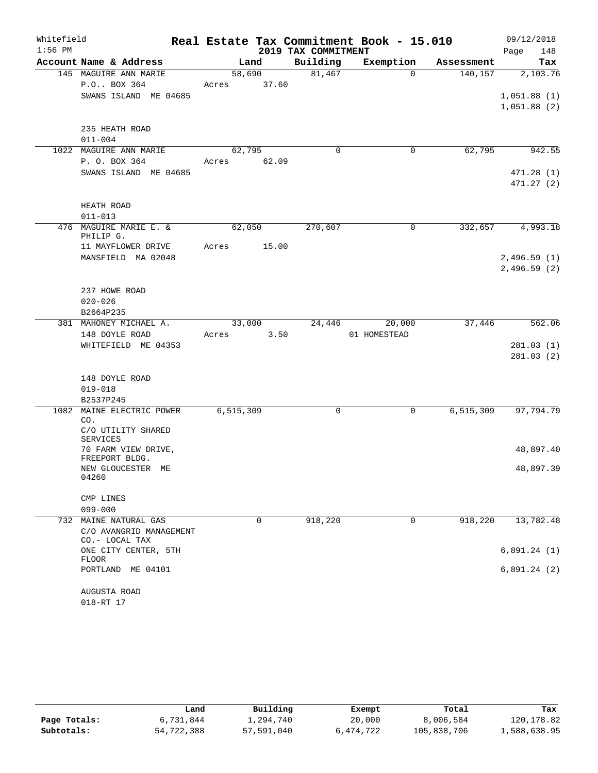| Whitefield<br>$1:56$ PM |                                                                                 |                       |       | 2019 TAX COMMITMENT | Real Estate Tax Commitment Book - 15.010 |            | 09/12/2018<br>148<br>Page              |
|-------------------------|---------------------------------------------------------------------------------|-----------------------|-------|---------------------|------------------------------------------|------------|----------------------------------------|
|                         | Account Name & Address                                                          | Land                  |       | Building            | Exemption                                | Assessment | Tax                                    |
|                         | 145 MAGUIRE ANN MARIE<br>P.O BOX 364<br>SWANS ISLAND ME 04685                   | 58,690<br>Acres 37.60 |       | 81,467              | $\Omega$                                 | 140, 157   | 2,103.76<br>1,051.88(1)<br>1,051.88(2) |
|                         | 235 HEATH ROAD<br>$011 - 004$                                                   |                       |       |                     |                                          |            |                                        |
|                         | 1022 MAGUIRE ANN MARIE                                                          | 62,795                |       | $\mathbf 0$         | $\mathsf{O}$                             | 62,795     | 942.55                                 |
|                         | P. O. BOX 364<br>SWANS ISLAND ME 04685                                          | Acres 62.09           |       |                     |                                          |            | 471.28(1)<br>471.27(2)                 |
|                         | HEATH ROAD<br>$011 - 013$                                                       |                       |       |                     |                                          |            |                                        |
|                         | 476 MAGUIRE MARIE E. &<br>PHILIP G.<br>11 MAYFLOWER DRIVE<br>MANSFIELD MA 02048 | 62,050<br>Acres       | 15.00 | 270,607             | $\mathbf 0$                              | 332,657    | 4,993.18<br>2,496.59(1)<br>2,496.59(2) |
|                         | 237 HOWE ROAD<br>$020 - 026$<br>B2664P235                                       |                       |       |                     |                                          |            |                                        |
|                         | 381 MAHONEY MICHAEL A.                                                          | 33,000                |       | 24,446              | 20,000                                   | 37,446     | 562.06                                 |
|                         | 148 DOYLE ROAD<br>WHITEFIELD ME 04353                                           | Acres                 | 3.50  |                     | 01 HOMESTEAD                             |            | 281.03(1)<br>281.03(2)                 |
|                         | 148 DOYLE ROAD                                                                  |                       |       |                     |                                          |            |                                        |
|                         | $019 - 018$                                                                     |                       |       |                     |                                          |            |                                        |
| 1082                    | B2537P245<br>MAINE ELECTRIC POWER<br>CO.<br>C/O UTILITY SHARED                  | 6,515,309             |       | 0                   | 0                                        | 6,515,309  | 97,794.79                              |
|                         | SERVICES                                                                        |                       |       |                     |                                          |            |                                        |
|                         | 70 FARM VIEW DRIVE,<br>FREEPORT BLDG.                                           |                       |       |                     |                                          |            | 48,897.40                              |
|                         | NEW GLOUCESTER ME<br>04260                                                      |                       |       |                     |                                          |            | 48,897.39                              |
|                         | CMP LINES                                                                       |                       |       |                     |                                          |            |                                        |
|                         | $099 - 000$                                                                     |                       |       |                     |                                          |            |                                        |
|                         | 732 MAINE NATURAL GAS<br>C/O AVANGRID MANAGEMENT<br>CO.- LOCAL TAX              |                       | 0     | 918,220             | 0                                        | 918,220    | 13,782.48                              |
|                         | ONE CITY CENTER, 5TH<br><b>FLOOR</b>                                            |                       |       |                     |                                          |            | 6,891.24(1)                            |
|                         | PORTLAND<br>ME 04101                                                            |                       |       |                     |                                          |            | 6,891.24(2)                            |
|                         | AUGUSTA ROAD<br>018-RT 17                                                       |                       |       |                     |                                          |            |                                        |

|              | Land       | Building   | Exempt    | Total       | Tax          |
|--------------|------------|------------|-----------|-------------|--------------|
| Page Totals: | 6,731,844  | l,294,740  | 20,000    | 8,006,584   | 120,178.82   |
| Subtotals:   | 54,722,388 | 57,591,040 | 6,474,722 | 105,838,706 | 1,588,638.95 |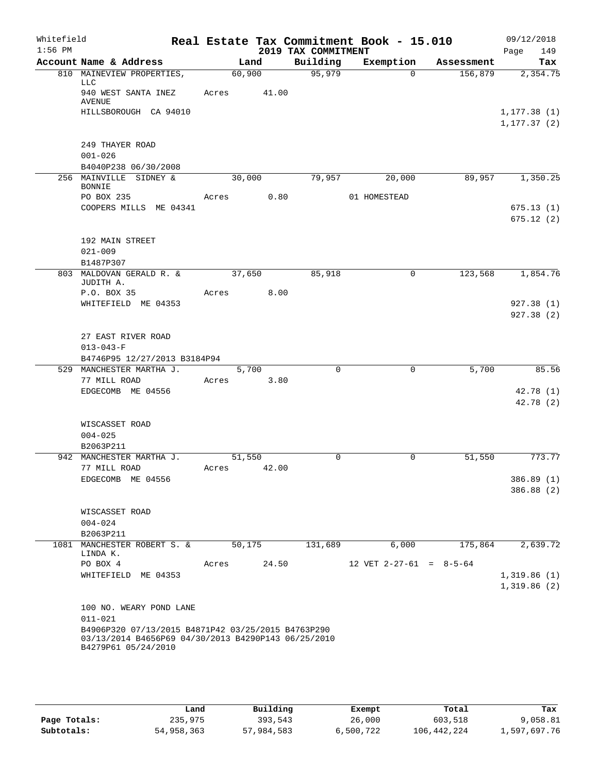| Whitefield<br>$1:56$ PM |                                                                            |        |       | 2019 TAX COMMITMENT | Real Estate Tax Commitment Book - 15.010 |                      | 09/12/2018<br>Page<br>149   |
|-------------------------|----------------------------------------------------------------------------|--------|-------|---------------------|------------------------------------------|----------------------|-----------------------------|
|                         | Account Name & Address                                                     |        | Land  | Building            | Exemption                                | Assessment           | Tax                         |
|                         | 810 MAINEVIEW PROPERTIES,                                                  | 60,900 |       | 95,979              | $\Omega$                                 | 156,879              | 2,354.75                    |
|                         | <b>LLC</b><br>940 WEST SANTA INEZ<br><b>AVENUE</b>                         | Acres  | 41.00 |                     |                                          |                      |                             |
|                         | HILLSBOROUGH CA 94010                                                      |        |       |                     |                                          |                      | 1, 177.38(1)                |
|                         |                                                                            |        |       |                     |                                          |                      | 1, 177.37(2)                |
|                         | 249 THAYER ROAD                                                            |        |       |                     |                                          |                      |                             |
|                         | $001 - 026$<br>B4040P238 06/30/2008                                        |        |       |                     |                                          |                      |                             |
|                         | 256 MAINVILLE SIDNEY &<br><b>BONNIE</b>                                    | 30,000 |       | 79,957              | 20,000                                   | 89,957               | 1,350.25                    |
|                         | PO BOX 235                                                                 | Acres  | 0.80  |                     | 01 HOMESTEAD                             |                      |                             |
|                         | COOPERS MILLS ME 04341                                                     |        |       |                     |                                          |                      | 675.13(1)                   |
|                         |                                                                            |        |       |                     |                                          |                      | 675.12(2)                   |
|                         | 192 MAIN STREET                                                            |        |       |                     |                                          |                      |                             |
|                         | $021 - 009$<br>B1487P307                                                   |        |       |                     |                                          |                      |                             |
|                         | 803 MALDOVAN GERALD R. &<br>JUDITH A.                                      | 37,650 |       | 85,918              | $\Omega$                                 | $1\overline{23,568}$ | 1,854.76                    |
|                         | P.O. BOX 35                                                                | Acres  | 8.00  |                     |                                          |                      |                             |
|                         | WHITEFIELD ME 04353                                                        |        |       |                     |                                          |                      | 927.38(1)                   |
|                         |                                                                            |        |       |                     |                                          |                      | 927.38(2)                   |
|                         | 27 EAST RIVER ROAD                                                         |        |       |                     |                                          |                      |                             |
|                         | $013 - 043 - F$                                                            |        |       |                     |                                          |                      |                             |
|                         | B4746P95 12/27/2013 B3184P94                                               |        |       |                     |                                          |                      |                             |
|                         | 529 MANCHESTER MARTHA J.                                                   |        | 5,700 | $\Omega$            | $\mathbf 0$                              | 5,700                | 85.56                       |
|                         | 77 MILL ROAD<br>EDGECOMB ME 04556                                          | Acres  | 3.80  |                     |                                          |                      | 42.78(1)                    |
|                         |                                                                            |        |       |                     |                                          |                      | 42.78 (2)                   |
|                         | WISCASSET ROAD                                                             |        |       |                     |                                          |                      |                             |
|                         | $004 - 025$                                                                |        |       |                     |                                          |                      |                             |
|                         | B2063P211                                                                  |        |       |                     |                                          |                      |                             |
|                         | 942 MANCHESTER MARTHA J.                                                   | 51,550 |       | $\mathbf 0$         | 0                                        | 51,550               | 773.77                      |
|                         | 77 MILL ROAD                                                               | Acres  | 42.00 |                     |                                          |                      |                             |
|                         | EDGECOMB ME 04556                                                          |        |       |                     |                                          |                      | 386.89 (1)                  |
|                         |                                                                            |        |       |                     |                                          |                      | 386.88 (2)                  |
|                         | WISCASSET ROAD                                                             |        |       |                     |                                          |                      |                             |
|                         | $004 - 024$                                                                |        |       |                     |                                          |                      |                             |
|                         | B2063P211                                                                  |        |       |                     |                                          |                      |                             |
|                         | 1081 MANCHESTER ROBERT S. &<br>LINDA K.                                    | 50,175 |       | 131,689             | 6,000                                    | 175,864              | 2,639.72                    |
|                         | PO BOX 4                                                                   | Acres  | 24.50 |                     | 12 VET $2-27-61 = 8-5-64$                |                      |                             |
|                         | WHITEFIELD ME 04353                                                        |        |       |                     |                                          |                      | 1,319.86(1)<br>1,319.86 (2) |
|                         | 100 NO. WEARY POND LANE                                                    |        |       |                     |                                          |                      |                             |
|                         | $011 - 021$                                                                |        |       |                     |                                          |                      |                             |
|                         | B4906P320 07/13/2015 B4871P42 03/25/2015 B4763P290                         |        |       |                     |                                          |                      |                             |
|                         | 03/13/2014 B4656P69 04/30/2013 B4290P143 06/25/2010<br>B4279P61 05/24/2010 |        |       |                     |                                          |                      |                             |
|                         |                                                                            |        |       |                     |                                          |                      |                             |

|              | Land       | Building   | Exempt    | Total       | Tax          |
|--------------|------------|------------|-----------|-------------|--------------|
| Page Totals: | 235,975    | 393,543    | 26,000    | 603,518     | 9,058.81     |
| Subtotals:   | 54,958,363 | 57,984,583 | 6,500,722 | 106,442,224 | l,597,697.76 |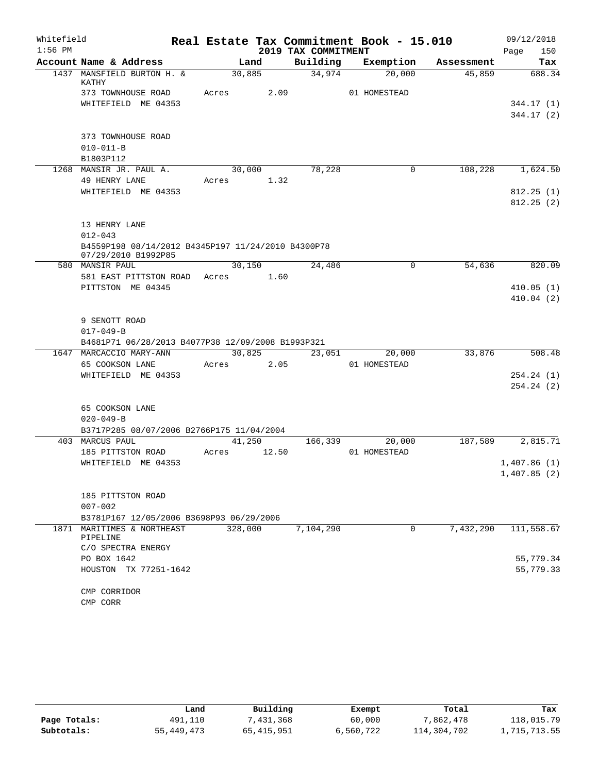| Whitefield |                                                                           |       |         |                     | Real Estate Tax Commitment Book - 15.010 |            | 09/12/2018  |
|------------|---------------------------------------------------------------------------|-------|---------|---------------------|------------------------------------------|------------|-------------|
| $1:56$ PM  |                                                                           |       |         | 2019 TAX COMMITMENT |                                          |            | 150<br>Page |
|            | Account Name & Address                                                    |       | Land    | Building            | Exemption                                | Assessment | Tax         |
|            | 1437 MANSFIELD BURTON H. &<br>KATHY                                       |       | 30,885  | 34,974              | 20,000                                   | 45,859     | 688.34      |
|            | 373 TOWNHOUSE ROAD                                                        | Acres |         | 2.09                | 01 HOMESTEAD                             |            |             |
|            | WHITEFIELD ME 04353                                                       |       |         |                     |                                          |            | 344.17 (1)  |
|            |                                                                           |       |         |                     |                                          |            | 344.17(2)   |
|            | 373 TOWNHOUSE ROAD                                                        |       |         |                     |                                          |            |             |
|            | $010 - 011 - B$                                                           |       |         |                     |                                          |            |             |
|            | B1803P112                                                                 |       |         |                     |                                          |            |             |
|            | 1268 MANSIR JR. PAUL A.                                                   |       | 30,000  | 78,228              | $\mathbf 0$                              | 108,228    | 1,624.50    |
|            | 49 HENRY LANE                                                             | Acres |         | 1.32                |                                          |            |             |
|            | WHITEFIELD ME 04353                                                       |       |         |                     |                                          |            | 812.25(1)   |
|            |                                                                           |       |         |                     |                                          |            | 812.25(2)   |
|            | 13 HENRY LANE                                                             |       |         |                     |                                          |            |             |
|            | $012 - 043$                                                               |       |         |                     |                                          |            |             |
|            | B4559P198 08/14/2012 B4345P197 11/24/2010 B4300P78<br>07/29/2010 B1992P85 |       |         |                     |                                          |            |             |
|            | 580 MANSIR PAUL                                                           |       | 30,150  | 24,486              | 0                                        | 54,636     | 820.09      |
|            | 581 EAST PITTSTON ROAD                                                    | Acres |         | 1.60                |                                          |            |             |
|            | PITTSTON ME 04345                                                         |       |         |                     |                                          |            | 410.05(1)   |
|            |                                                                           |       |         |                     |                                          |            | 410.04(2)   |
|            | 9 SENOTT ROAD                                                             |       |         |                     |                                          |            |             |
|            | $017 - 049 - B$                                                           |       |         |                     |                                          |            |             |
|            | B4681P71 06/28/2013 B4077P38 12/09/2008 B1993P321                         |       |         |                     |                                          |            |             |
| 1647       | MARCACCIO MARY-ANN                                                        |       | 30,825  | 23,051              | 20,000                                   | 33,876     | 508.48      |
|            | 65 COOKSON LANE                                                           | Acres |         | 2.05                | 01 HOMESTEAD                             |            |             |
|            | WHITEFIELD ME 04353                                                       |       |         |                     |                                          |            | 254.24(1)   |
|            |                                                                           |       |         |                     |                                          |            | 254.24(2)   |
|            | 65 COOKSON LANE                                                           |       |         |                     |                                          |            |             |
|            | $020 - 049 - B$                                                           |       |         |                     |                                          |            |             |
|            | B3717P285 08/07/2006 B2766P175 11/04/2004                                 |       |         |                     |                                          |            |             |
|            | 403 MARCUS PAUL                                                           |       | 41,250  | 166,339             | 20,000                                   | 187,589    | 2,815.71    |
|            | 185 PITTSTON ROAD                                                         | Acres | 12.50   |                     | 01 HOMESTEAD                             |            |             |
|            | WHITEFIELD ME 04353                                                       |       |         |                     |                                          |            | 1,407.86(1) |
|            |                                                                           |       |         |                     |                                          |            | 1,407.85(2) |
|            |                                                                           |       |         |                     |                                          |            |             |
|            | 185 PITTSTON ROAD                                                         |       |         |                     |                                          |            |             |
|            | $007 - 002$                                                               |       |         |                     |                                          |            |             |
|            | B3781P167 12/05/2006 B3698P93 06/29/2006                                  |       |         |                     |                                          |            |             |
|            | 1871 MARITIMES & NORTHEAST<br>PIPELINE                                    |       | 328,000 | 7,104,290           | $\mathbf 0$                              | 7,432,290  | 111, 558.67 |
|            | C/O SPECTRA ENERGY                                                        |       |         |                     |                                          |            |             |
|            | PO BOX 1642                                                               |       |         |                     |                                          |            | 55,779.34   |
|            | HOUSTON TX 77251-1642                                                     |       |         |                     |                                          |            | 55,779.33   |
|            | CMP CORRIDOR                                                              |       |         |                     |                                          |            |             |
|            | CMP CORR                                                                  |       |         |                     |                                          |            |             |

|              | Land       | Building     | Exempt    | Total       | Tax          |
|--------------|------------|--------------|-----------|-------------|--------------|
| Page Totals: | 491,110    | 7,431,368    | 60,000    | 7,862,478   | 118,015.79   |
| Subtotals:   | 55,449,473 | 65, 415, 951 | 6,560,722 | 114,304,702 | 1,715,713.55 |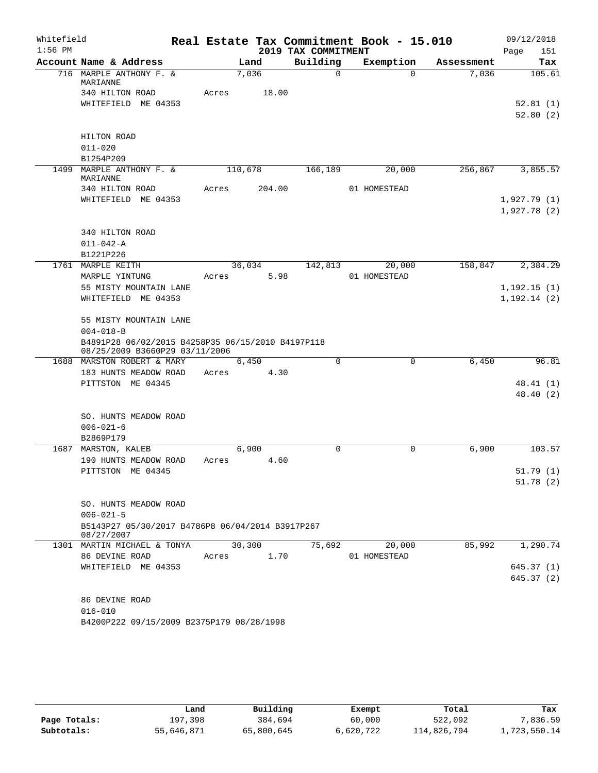| Whitefield |                                                                     |       |         |                     | Real Estate Tax Commitment Book - 15.010 |            | 09/12/2018                 |
|------------|---------------------------------------------------------------------|-------|---------|---------------------|------------------------------------------|------------|----------------------------|
| $1:56$ PM  |                                                                     |       |         | 2019 TAX COMMITMENT |                                          |            | Page<br>151                |
|            | Account Name & Address                                              |       | Land    | Building            | Exemption                                | Assessment | Tax                        |
|            | 716 MARPLE ANTHONY F. &<br>MARIANNE                                 |       | 7,036   | $\Omega$            | $\Omega$                                 | 7,036      | 105.61                     |
|            | 340 HILTON ROAD                                                     | Acres | 18.00   |                     |                                          |            |                            |
|            | WHITEFIELD ME 04353                                                 |       |         |                     |                                          |            | 52.81(1)                   |
|            |                                                                     |       |         |                     |                                          |            | 52.80(2)                   |
|            |                                                                     |       |         |                     |                                          |            |                            |
|            | HILTON ROAD                                                         |       |         |                     |                                          |            |                            |
|            | $011 - 020$                                                         |       |         |                     |                                          |            |                            |
|            | B1254P209                                                           |       |         |                     |                                          |            |                            |
|            | 1499 MARPLE ANTHONY F. &<br>MARIANNE                                |       | 110,678 | 166,189             | 20,000                                   | 256,867    | 3,855.57                   |
|            | 340 HILTON ROAD                                                     | Acres | 204.00  |                     | 01 HOMESTEAD                             |            |                            |
|            | WHITEFIELD ME 04353                                                 |       |         |                     |                                          |            | 1,927.79(1)                |
|            |                                                                     |       |         |                     |                                          |            | 1,927.78(2)                |
|            |                                                                     |       |         |                     |                                          |            |                            |
|            | 340 HILTON ROAD                                                     |       |         |                     |                                          |            |                            |
|            | $011 - 042 - A$                                                     |       |         |                     |                                          |            |                            |
|            | B1221P226                                                           |       |         |                     |                                          |            |                            |
|            | 1761 MARPLE KEITH                                                   |       | 36,034  | 142,813             | 20,000                                   | 158,847    | 2,384.29                   |
|            | MARPLE YINTUNG<br>55 MISTY MOUNTAIN LANE                            | Acres | 5.98    |                     | 01 HOMESTEAD                             |            |                            |
|            | WHITEFIELD ME 04353                                                 |       |         |                     |                                          |            | 1,192.15(1)<br>1,192.14(2) |
|            |                                                                     |       |         |                     |                                          |            |                            |
|            | 55 MISTY MOUNTAIN LANE                                              |       |         |                     |                                          |            |                            |
|            | $004 - 018 - B$                                                     |       |         |                     |                                          |            |                            |
|            | B4891P28 06/02/2015 B4258P35 06/15/2010 B4197P118                   |       |         |                     |                                          |            |                            |
|            | 08/25/2009 B3660P29 03/11/2006                                      |       |         |                     |                                          |            |                            |
|            | 1688 MARSTON ROBERT & MARY                                          |       | 6,450   | $\mathbf 0$         | 0                                        | 6,450      | 96.81                      |
|            | 183 HUNTS MEADOW ROAD<br>PITTSTON ME 04345                          | Acres | 4.30    |                     |                                          |            | 48.41(1)                   |
|            |                                                                     |       |         |                     |                                          |            | 48.40(2)                   |
|            |                                                                     |       |         |                     |                                          |            |                            |
|            | SO. HUNTS MEADOW ROAD                                               |       |         |                     |                                          |            |                            |
|            | $006 - 021 - 6$                                                     |       |         |                     |                                          |            |                            |
|            | B2869P179                                                           |       |         |                     |                                          |            |                            |
|            | 1687 MARSTON, KALEB                                                 |       | 6,900   | $\Omega$            | 0                                        | 6,900      | 103.57                     |
|            | 190 HUNTS MEADOW ROAD                                               | Acres | 4.60    |                     |                                          |            |                            |
|            | PITTSTON ME 04345                                                   |       |         |                     |                                          |            | 51.79(1)                   |
|            |                                                                     |       |         |                     |                                          |            | 51.78 (2)                  |
|            |                                                                     |       |         |                     |                                          |            |                            |
|            | SO. HUNTS MEADOW ROAD                                               |       |         |                     |                                          |            |                            |
|            | $006 - 021 - 5$<br>B5143P27 05/30/2017 B4786P8 06/04/2014 B3917P267 |       |         |                     |                                          |            |                            |
|            | 08/27/2007                                                          |       |         |                     |                                          |            |                            |
|            | 1301 MARTIN MICHAEL & TONYA                                         |       | 30,300  | 75,692              | 20,000                                   | 85,992     | 1,290.74                   |
|            | 86 DEVINE ROAD                                                      | Acres | 1.70    |                     | 01 HOMESTEAD                             |            |                            |
|            | WHITEFIELD ME 04353                                                 |       |         |                     |                                          |            | 645.37(1)                  |
|            |                                                                     |       |         |                     |                                          |            | 645.37(2)                  |
|            |                                                                     |       |         |                     |                                          |            |                            |
|            | 86 DEVINE ROAD                                                      |       |         |                     |                                          |            |                            |
|            | $016 - 010$                                                         |       |         |                     |                                          |            |                            |
|            | B4200P222 09/15/2009 B2375P179 08/28/1998                           |       |         |                     |                                          |            |                            |
|            |                                                                     |       |         |                     |                                          |            |                            |

|              | Land       | Building   | Exempt    | Total       | Tax          |
|--------------|------------|------------|-----------|-------------|--------------|
| Page Totals: | 197.398    | 384,694    | 60,000    | 522,092     | 7,836.59     |
| Subtotals:   | 55,646,871 | 65,800,645 | 6,620,722 | 114,826,794 | 1,723,550.14 |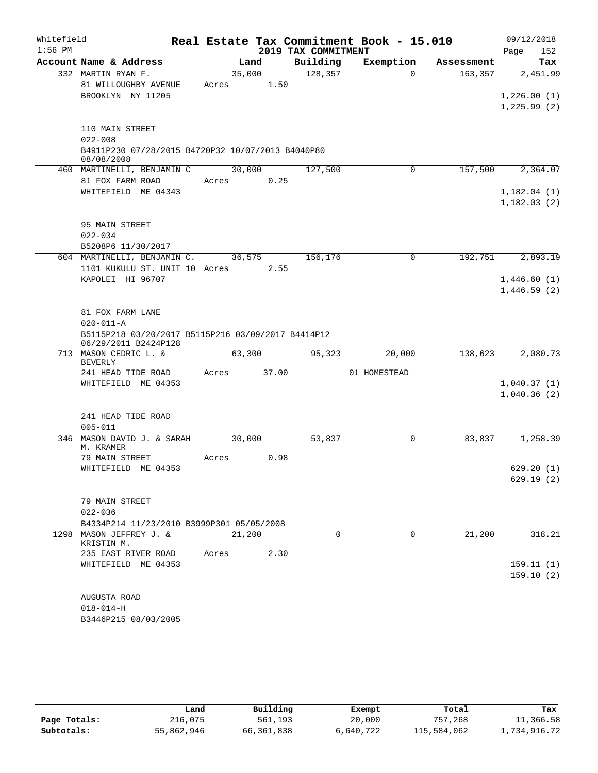| Whitefield |                                                                  |             |      |                     | Real Estate Tax Commitment Book - 15.010 |            | 09/12/2018             |
|------------|------------------------------------------------------------------|-------------|------|---------------------|------------------------------------------|------------|------------------------|
| $1:56$ PM  |                                                                  |             |      | 2019 TAX COMMITMENT |                                          |            | 152<br>Page            |
|            | Account Name & Address                                           |             | Land | Building            | Exemption                                | Assessment | Tax                    |
|            | 332 MARTIN RYAN F.                                               | 35,000      |      | 128,357             | $\Omega$                                 | 163,357    | 2,451.99               |
|            | 81 WILLOUGHBY AVENUE<br>BROOKLYN NY 11205                        | Acres       | 1.50 |                     |                                          |            | 1,226.00(1)            |
|            |                                                                  |             |      |                     |                                          |            | 1, 225.99(2)           |
|            |                                                                  |             |      |                     |                                          |            |                        |
|            | 110 MAIN STREET                                                  |             |      |                     |                                          |            |                        |
|            | $022 - 008$<br>B4911P230 07/28/2015 B4720P32 10/07/2013 B4040P80 |             |      |                     |                                          |            |                        |
|            | 08/08/2008                                                       |             |      |                     |                                          |            |                        |
|            | 460 MARTINELLI, BENJAMIN C                                       | 30,000      |      | 127,500             | 0                                        | 157,500    | 2,364.07               |
|            | 81 FOX FARM ROAD                                                 | Acres       | 0.25 |                     |                                          |            |                        |
|            | WHITEFIELD ME 04343                                              |             |      |                     |                                          |            | 1,182.04(1)            |
|            |                                                                  |             |      |                     |                                          |            | 1,182.03(2)            |
|            | 95 MAIN STREET                                                   |             |      |                     |                                          |            |                        |
|            | $022 - 034$                                                      |             |      |                     |                                          |            |                        |
|            | B5208P6 11/30/2017                                               |             |      |                     |                                          |            |                        |
|            | 604 MARTINELLI, BENJAMIN C. 36,575                               |             |      | 156,176             | $\mathbf 0$                              | 192,751    | 2,893.19               |
|            | 1101 KUKULU ST. UNIT 10 Acres 2.55                               |             |      |                     |                                          |            |                        |
|            | KAPOLEI HI 96707                                                 |             |      |                     |                                          |            | 1,446.60(1)            |
|            |                                                                  |             |      |                     |                                          |            | 1,446.59(2)            |
|            | 81 FOX FARM LANE                                                 |             |      |                     |                                          |            |                        |
|            | $020 - 011 - A$                                                  |             |      |                     |                                          |            |                        |
|            | B5115P218 03/20/2017 B5115P216 03/09/2017 B4414P12               |             |      |                     |                                          |            |                        |
|            | 06/29/2011 B2424P128                                             |             |      |                     |                                          |            |                        |
|            | 713 MASON CEDRIC L. &<br><b>BEVERLY</b>                          | 63,300      |      | 95,323              | 20,000                                   | 138,623    | 2,080.73               |
|            | 241 HEAD TIDE ROAD                                               | Acres 37.00 |      |                     | 01 HOMESTEAD                             |            |                        |
|            | WHITEFIELD ME 04353                                              |             |      |                     |                                          |            | 1,040.37(1)            |
|            |                                                                  |             |      |                     |                                          |            | 1,040.36(2)            |
|            | 241 HEAD TIDE ROAD                                               |             |      |                     |                                          |            |                        |
|            | $005 - 011$                                                      |             |      |                     |                                          |            |                        |
|            | 346 MASON DAVID J. & SARAH                                       | 30,000      |      | 53,837              | 0                                        | 83,837     | 1,258.39               |
|            | M. KRAMER                                                        |             |      |                     |                                          |            |                        |
|            | 79 MAIN STREET                                                   | Acres       | 0.98 |                     |                                          |            |                        |
|            | WHITEFIELD ME 04353                                              |             |      |                     |                                          |            | 629.20(1)<br>629.19(2) |
|            |                                                                  |             |      |                     |                                          |            |                        |
|            | 79 MAIN STREET                                                   |             |      |                     |                                          |            |                        |
|            | $022 - 036$                                                      |             |      |                     |                                          |            |                        |
|            | B4334P214 11/23/2010 B3999P301 05/05/2008                        |             |      |                     |                                          |            |                        |
|            | 1298 MASON JEFFREY J. &                                          | 21,200      |      | $\Omega$            | 0                                        | 21,200     | 318.21                 |
|            | KRISTIN M.<br>235 EAST RIVER ROAD                                | Acres       | 2.30 |                     |                                          |            |                        |
|            | WHITEFIELD ME 04353                                              |             |      |                     |                                          |            | 159.11(1)              |
|            |                                                                  |             |      |                     |                                          |            | 159.10(2)              |
|            |                                                                  |             |      |                     |                                          |            |                        |
|            | AUGUSTA ROAD                                                     |             |      |                     |                                          |            |                        |
|            | $018 - 014 - H$                                                  |             |      |                     |                                          |            |                        |
|            | B3446P215 08/03/2005                                             |             |      |                     |                                          |            |                        |

|              | Land       | Building     | Exempt    | Total       | Tax          |
|--------------|------------|--------------|-----------|-------------|--------------|
| Page Totals: | 216,075    | 561,193      | 20,000    | 757,268     | 11,366.58    |
| Subtotals:   | 55,862,946 | 66, 361, 838 | 6,640,722 | 115,584,062 | 1,734,916.72 |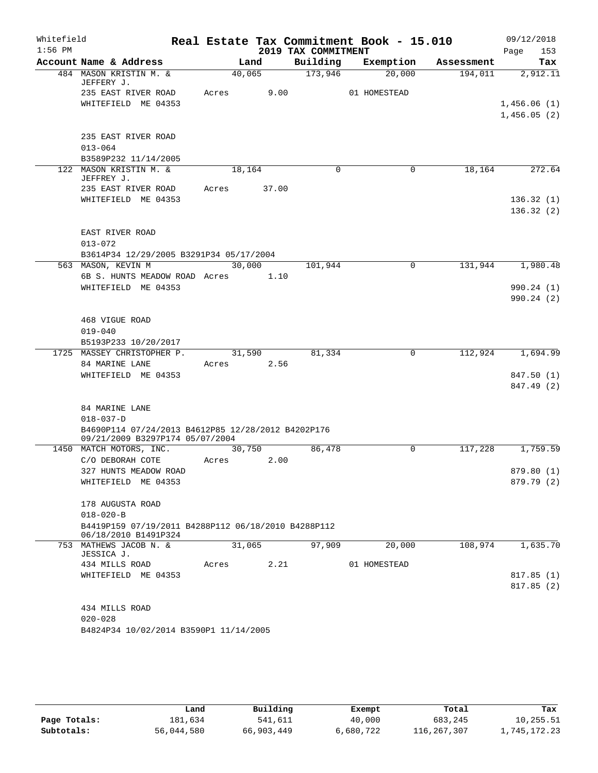| Whitefield |                                                                                       |       |            |                     | Real Estate Tax Commitment Book - 15.010 |            | 09/12/2018  |
|------------|---------------------------------------------------------------------------------------|-------|------------|---------------------|------------------------------------------|------------|-------------|
| $1:56$ PM  |                                                                                       |       |            | 2019 TAX COMMITMENT |                                          |            | 153<br>Page |
|            | Account Name & Address                                                                |       | Land       | Building            | Exemption                                | Assessment | Tax         |
|            | 484 MASON KRISTIN M. &<br>JEFFERY J.                                                  |       | 40,065     | 173,946             | 20,000                                   | 194,011    | 2,912.11    |
|            | 235 EAST RIVER ROAD                                                                   | Acres | 9.00       |                     | 01 HOMESTEAD                             |            |             |
|            | WHITEFIELD ME 04353                                                                   |       |            |                     |                                          |            | 1,456.06(1) |
|            |                                                                                       |       |            |                     |                                          |            | 1,456.05(2) |
|            |                                                                                       |       |            |                     |                                          |            |             |
|            | 235 EAST RIVER ROAD                                                                   |       |            |                     |                                          |            |             |
|            | $013 - 064$                                                                           |       |            |                     |                                          |            |             |
|            | B3589P232 11/14/2005                                                                  |       |            |                     |                                          |            |             |
|            | 122 MASON KRISTIN M. &<br>JEFFREY J.                                                  |       | 18,164     | $\Omega$            | 0                                        | 18,164     | 272.64      |
|            | 235 EAST RIVER ROAD                                                                   | Acres | 37.00      |                     |                                          |            |             |
|            | WHITEFIELD ME 04353                                                                   |       |            |                     |                                          |            | 136.32(1)   |
|            |                                                                                       |       |            |                     |                                          |            | 136.32(2)   |
|            |                                                                                       |       |            |                     |                                          |            |             |
|            | EAST RIVER ROAD                                                                       |       |            |                     |                                          |            |             |
|            | $013 - 072$                                                                           |       |            |                     |                                          |            |             |
|            | B3614P34 12/29/2005 B3291P34 05/17/2004                                               |       |            |                     |                                          |            |             |
|            | 563 MASON, KEVIN M                                                                    |       | 30,000     | 101,944             | 0                                        | 131,944    | 1,980.48    |
|            | 6B S. HUNTS MEADOW ROAD Acres                                                         |       | 1.10       |                     |                                          |            |             |
|            | WHITEFIELD ME 04353                                                                   |       |            |                     |                                          |            | 990.24(1)   |
|            |                                                                                       |       |            |                     |                                          |            | 990.24(2)   |
|            | 468 VIGUE ROAD                                                                        |       |            |                     |                                          |            |             |
|            | $019 - 040$                                                                           |       |            |                     |                                          |            |             |
|            | B5193P233 10/20/2017                                                                  |       |            |                     |                                          |            |             |
|            | 1725 MASSEY CHRISTOPHER P.                                                            |       | 31,590     | 81,334              | $\mathbf 0$                              | 112,924    | 1,694.99    |
|            | 84 MARINE LANE                                                                        |       | Acres 2.56 |                     |                                          |            |             |
|            | WHITEFIELD ME 04353                                                                   |       |            |                     |                                          |            | 847.50 (1)  |
|            |                                                                                       |       |            |                     |                                          |            | 847.49 (2)  |
|            |                                                                                       |       |            |                     |                                          |            |             |
|            | 84 MARINE LANE                                                                        |       |            |                     |                                          |            |             |
|            | $018 - 037 - D$                                                                       |       |            |                     |                                          |            |             |
|            | B4690P114 07/24/2013 B4612P85 12/28/2012 B4202P176<br>09/21/2009 B3297P174 05/07/2004 |       |            |                     |                                          |            |             |
|            | 1450 MATCH MOTORS, INC.                                                               |       | 30,750     | 86,478              | 0                                        | 117,228    | 1,759.59    |
|            | C/O DEBORAH COTE                                                                      | Acres | 2.00       |                     |                                          |            |             |
|            | 327 HUNTS MEADOW ROAD                                                                 |       |            |                     |                                          |            | 879.80 (1)  |
|            | WHITEFIELD ME 04353                                                                   |       |            |                     |                                          |            | 879.79 (2)  |
|            |                                                                                       |       |            |                     |                                          |            |             |
|            | 178 AUGUSTA ROAD                                                                      |       |            |                     |                                          |            |             |
|            | $018 - 020 - B$                                                                       |       |            |                     |                                          |            |             |
|            | B4419P159 07/19/2011 B4288P112 06/18/2010 B4288P112<br>06/18/2010 B1491P324           |       |            |                     |                                          |            |             |
|            | 753 MATHEWS JACOB N. &                                                                |       | 31,065     | 97,909              | 20,000                                   | 108,974    | 1,635.70    |
|            | JESSICA J.<br>434 MILLS ROAD                                                          | Acres | 2.21       |                     | 01 HOMESTEAD                             |            |             |
|            | WHITEFIELD ME 04353                                                                   |       |            |                     |                                          |            | 817.85(1)   |
|            |                                                                                       |       |            |                     |                                          |            | 817.85(2)   |
|            |                                                                                       |       |            |                     |                                          |            |             |
|            | 434 MILLS ROAD                                                                        |       |            |                     |                                          |            |             |
|            | $020 - 028$                                                                           |       |            |                     |                                          |            |             |
|            | B4824P34 10/02/2014 B3590P1 11/14/2005                                                |       |            |                     |                                          |            |             |
|            |                                                                                       |       |            |                     |                                          |            |             |

|              | Land       | Building   | Exempt    | Total       | Tax          |
|--------------|------------|------------|-----------|-------------|--------------|
| Page Totals: | 181,634    | 541,611    | 40,000    | 683,245     | 10,255.51    |
| Subtotals:   | 56,044,580 | 66,903,449 | 6,680,722 | 116,267,307 | 1,745,172.23 |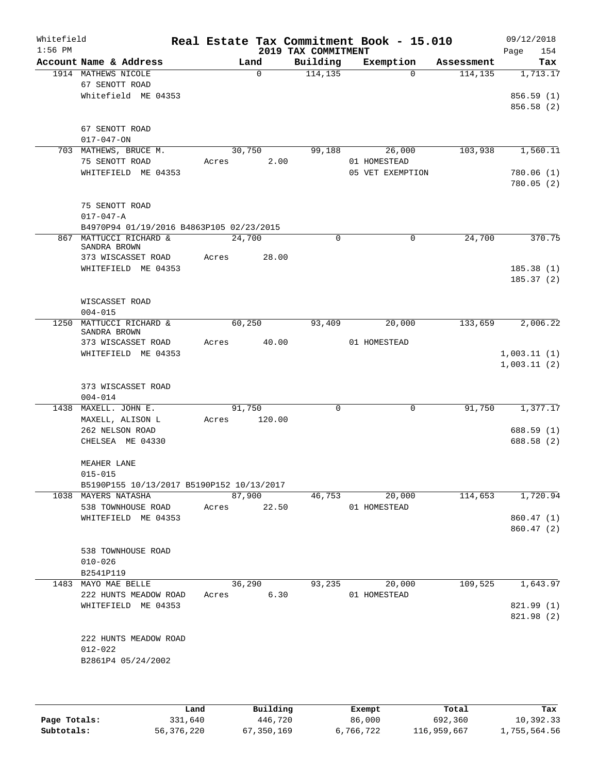| Whitefield<br>$1:56$ PM |                                           |       |             | 2019 TAX COMMITMENT | Real Estate Tax Commitment Book - 15.010 |            | 09/12/2018<br>154<br>Page |
|-------------------------|-------------------------------------------|-------|-------------|---------------------|------------------------------------------|------------|---------------------------|
|                         | Account Name & Address                    |       | Land        | Building            | Exemption                                | Assessment | Tax                       |
|                         | 1914 MATHEWS NICOLE                       |       | $\Omega$    | 114, 135            | $\Omega$                                 | 114,135    | 1,713.17                  |
|                         | 67 SENOTT ROAD                            |       |             |                     |                                          |            |                           |
|                         | Whitefield ME 04353                       |       |             |                     |                                          |            | 856.59(1)                 |
|                         |                                           |       |             |                     |                                          |            | 856.58 (2)                |
|                         | 67 SENOTT ROAD                            |       |             |                     |                                          |            |                           |
|                         | $017 - 047 - ON$                          |       |             |                     |                                          |            |                           |
|                         | 703 MATHEWS, BRUCE M.                     |       | 30,750      | 99,188              | 26,000                                   | 103,938    | 1,560.11                  |
|                         | 75 SENOTT ROAD                            | Acres | 2.00        |                     | 01 HOMESTEAD                             |            |                           |
|                         | WHITEFIELD ME 04353                       |       |             |                     | 05 VET EXEMPTION                         |            | 780.06(1)                 |
|                         |                                           |       |             |                     |                                          |            | 780.05(2)                 |
|                         |                                           |       |             |                     |                                          |            |                           |
|                         | 75 SENOTT ROAD                            |       |             |                     |                                          |            |                           |
|                         | $017 - 047 - A$                           |       |             |                     |                                          |            |                           |
|                         | B4970P94 01/19/2016 B4863P105 02/23/2015  |       |             |                     |                                          |            |                           |
|                         | 867 MATTUCCI RICHARD &<br>SANDRA BROWN    |       | 24,700      | $\Omega$            | $\mathbf 0$                              | 24,700     | 370.75                    |
|                         | 373 WISCASSET ROAD                        | Acres | 28.00       |                     |                                          |            |                           |
|                         | WHITEFIELD ME 04353                       |       |             |                     |                                          |            | 185.38(1)                 |
|                         |                                           |       |             |                     |                                          |            | 185.37(2)                 |
|                         |                                           |       |             |                     |                                          |            |                           |
|                         | WISCASSET ROAD                            |       |             |                     |                                          |            |                           |
|                         | $004 - 015$                               |       |             |                     |                                          |            |                           |
| 1250                    | MATTUCCI RICHARD &                        |       | 60,250      | 93,409              | 20,000                                   | 133,659    | 2,006.22                  |
|                         | SANDRA BROWN<br>373 WISCASSET ROAD        | Acres | 40.00       |                     | 01 HOMESTEAD                             |            |                           |
|                         | WHITEFIELD ME 04353                       |       |             |                     |                                          |            | 1,003.11(1)               |
|                         |                                           |       |             |                     |                                          |            | 1,003.11(2)               |
|                         |                                           |       |             |                     |                                          |            |                           |
|                         | 373 WISCASSET ROAD                        |       |             |                     |                                          |            |                           |
|                         | $004 - 014$                               |       |             |                     |                                          |            |                           |
|                         | 1438 MAXELL. JOHN E.                      |       | 91,750      | $\mathbf 0$         | $\mathbf 0$                              | 91,750     | 1,377.17                  |
|                         | MAXELL, ALISON L                          | Acres | 120.00      |                     |                                          |            |                           |
|                         | 262 NELSON ROAD                           |       |             |                     |                                          |            | 688.59 (1)                |
|                         | CHELSEA ME 04330                          |       |             |                     |                                          |            | 688.58 (2)                |
|                         | MEAHER LANE                               |       |             |                     |                                          |            |                           |
|                         | $015 - 015$                               |       |             |                     |                                          |            |                           |
|                         | B5190P155 10/13/2017 B5190P152 10/13/2017 |       |             |                     |                                          |            |                           |
|                         | 1038 MAYERS NATASHA                       |       | 87,900      | 46,753              | 20,000                                   | 114,653    | 1,720.94                  |
|                         | 538 TOWNHOUSE ROAD                        |       | Acres 22.50 |                     | 01 HOMESTEAD                             |            |                           |
|                         | WHITEFIELD ME 04353                       |       |             |                     |                                          |            | 860.47 (1)                |
|                         |                                           |       |             |                     |                                          |            | 860.47 (2)                |
|                         |                                           |       |             |                     |                                          |            |                           |
|                         | 538 TOWNHOUSE ROAD<br>$010 - 026$         |       |             |                     |                                          |            |                           |
|                         | B2541P119                                 |       |             |                     |                                          |            |                           |
|                         | 1483 MAYO MAE BELLE                       |       | 36,290      | 93,235              | 20,000                                   | 109,525    | 1,643.97                  |
|                         | 222 HUNTS MEADOW ROAD                     |       | Acres 6.30  |                     | 01 HOMESTEAD                             |            |                           |
|                         | WHITEFIELD ME 04353                       |       |             |                     |                                          |            | 821.99 (1)                |
|                         |                                           |       |             |                     |                                          |            | 821.98 (2)                |
|                         |                                           |       |             |                     |                                          |            |                           |
|                         | 222 HUNTS MEADOW ROAD                     |       |             |                     |                                          |            |                           |
|                         | $012 - 022$                               |       |             |                     |                                          |            |                           |
|                         | B2861P4 05/24/2002                        |       |             |                     |                                          |            |                           |
|                         |                                           |       |             |                     |                                          |            |                           |
|                         |                                           |       |             |                     |                                          |            |                           |

|              | Land       | Building   | Exempt    | Total       | Tax          |
|--------------|------------|------------|-----------|-------------|--------------|
| Page Totals: | 331,640    | 446,720    | 86,000    | 692,360     | 10,392.33    |
| Subtotals:   | 56,376,220 | 67,350,169 | 6,766,722 | 116,959,667 | 1,755,564.56 |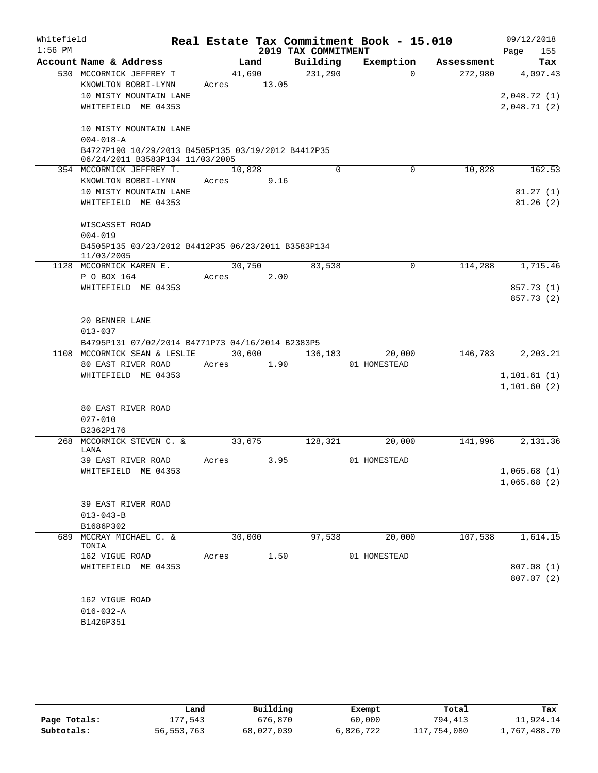| Whitefield |                                                                             |        |       |                     | Real Estate Tax Commitment Book - 15.010 |            | 09/12/2018                 |
|------------|-----------------------------------------------------------------------------|--------|-------|---------------------|------------------------------------------|------------|----------------------------|
| $1:56$ PM  |                                                                             |        |       | 2019 TAX COMMITMENT |                                          |            | Page<br>155                |
|            | Account Name & Address                                                      |        | Land  | Building            | Exemption                                | Assessment | Tax                        |
|            | 530 MCCORMICK JEFFREY T                                                     | 41,690 |       | 231,290             | $\Omega$                                 | 272,980    | 4,097.43                   |
|            | KNOWLTON BOBBI-LYNN<br>10 MISTY MOUNTAIN LANE                               | Acres  | 13.05 |                     |                                          |            |                            |
|            | WHITEFIELD ME 04353                                                         |        |       |                     |                                          |            | 2,048.72(1)<br>2,048.71(2) |
|            |                                                                             |        |       |                     |                                          |            |                            |
|            | 10 MISTY MOUNTAIN LANE                                                      |        |       |                     |                                          |            |                            |
|            | $004 - 018 - A$                                                             |        |       |                     |                                          |            |                            |
|            | B4727P190 10/29/2013 B4505P135 03/19/2012 B4412P35                          |        |       |                     |                                          |            |                            |
|            | 06/24/2011 B3583P134 11/03/2005                                             |        |       |                     |                                          |            |                            |
|            | 354 MCCORMICK JEFFREY T.                                                    | 10,828 |       | $\Omega$            | 0                                        | 10,828     | 162.53                     |
|            | KNOWLTON BOBBI-LYNN                                                         | Acres  | 9.16  |                     |                                          |            |                            |
|            | 10 MISTY MOUNTAIN LANE                                                      |        |       |                     |                                          |            | 81.27(1)                   |
|            | WHITEFIELD ME 04353                                                         |        |       |                     |                                          |            | 81.26(2)                   |
|            | WISCASSET ROAD                                                              |        |       |                     |                                          |            |                            |
|            | $004 - 019$                                                                 |        |       |                     |                                          |            |                            |
|            | B4505P135 03/23/2012 B4412P35 06/23/2011 B3583P134                          |        |       |                     |                                          |            |                            |
|            | 11/03/2005                                                                  |        |       |                     |                                          |            |                            |
|            | 1128 MCCORMICK KAREN E.                                                     | 30,750 |       | 83,538              | 0                                        | 114,288    | 1,715.46                   |
|            | P O BOX 164                                                                 | Acres  | 2.00  |                     |                                          |            |                            |
|            | WHITEFIELD ME 04353                                                         |        |       |                     |                                          |            | 857.73 (1)                 |
|            |                                                                             |        |       |                     |                                          |            | 857.73 (2)                 |
|            |                                                                             |        |       |                     |                                          |            |                            |
|            | 20 BENNER LANE                                                              |        |       |                     |                                          |            |                            |
|            | $013 - 037$                                                                 |        |       |                     |                                          |            |                            |
| 1108       | B4795P131 07/02/2014 B4771P73 04/16/2014 B2383P5<br>MCCORMICK SEAN & LESLIE | 30,600 |       |                     | 20,000                                   | 146,783    | 2,203.21                   |
|            | 80 EAST RIVER ROAD                                                          | Acres  | 1.90  | 136,183             | 01 HOMESTEAD                             |            |                            |
|            | WHITEFIELD ME 04353                                                         |        |       |                     |                                          |            | 1, 101.61(1)               |
|            |                                                                             |        |       |                     |                                          |            | 1,101.60(2)                |
|            |                                                                             |        |       |                     |                                          |            |                            |
|            | 80 EAST RIVER ROAD                                                          |        |       |                     |                                          |            |                            |
|            | $027 - 010$                                                                 |        |       |                     |                                          |            |                            |
|            | B2362P176                                                                   |        |       |                     |                                          |            |                            |
| 268        | MCCORMICK STEVEN C. &                                                       | 33,675 |       | 128,321             | 20,000                                   | 141,996    | 2,131.36                   |
|            | LANA                                                                        |        |       |                     |                                          |            |                            |
|            | 39 EAST RIVER ROAD                                                          | Acres  | 3.95  |                     | 01 HOMESTEAD                             |            |                            |
|            | WHITEFIELD ME 04353                                                         |        |       |                     |                                          |            | 1,065.68(1)                |
|            |                                                                             |        |       |                     |                                          |            | 1,065.68(2)                |
|            | 39 EAST RIVER ROAD                                                          |        |       |                     |                                          |            |                            |
|            | $013 - 043 - B$                                                             |        |       |                     |                                          |            |                            |
|            | B1686P302                                                                   |        |       |                     |                                          |            |                            |
|            | 689 MCCRAY MICHAEL C. &                                                     | 30,000 |       | 97,538              | 20,000                                   | 107,538    | 1,614.15                   |
|            | TONIA                                                                       |        |       |                     |                                          |            |                            |
|            | 162 VIGUE ROAD                                                              | Acres  | 1.50  |                     | 01 HOMESTEAD                             |            |                            |
|            | WHITEFIELD ME 04353                                                         |        |       |                     |                                          |            | 807.08 (1)                 |
|            |                                                                             |        |       |                     |                                          |            | 807.07(2)                  |
|            |                                                                             |        |       |                     |                                          |            |                            |
|            | 162 VIGUE ROAD                                                              |        |       |                     |                                          |            |                            |
|            | $016 - 032 - A$                                                             |        |       |                     |                                          |            |                            |
|            | B1426P351                                                                   |        |       |                     |                                          |            |                            |

|              | Land         | Building   | Exempt    | Total       | Tax          |
|--------------|--------------|------------|-----------|-------------|--------------|
| Page Totals: | 177.543      | 676,870    | 60,000    | 794,413     | 11,924.14    |
| Subtotals:   | 56, 553, 763 | 68,027,039 | 6,826,722 | 117,754,080 | 1,767,488.70 |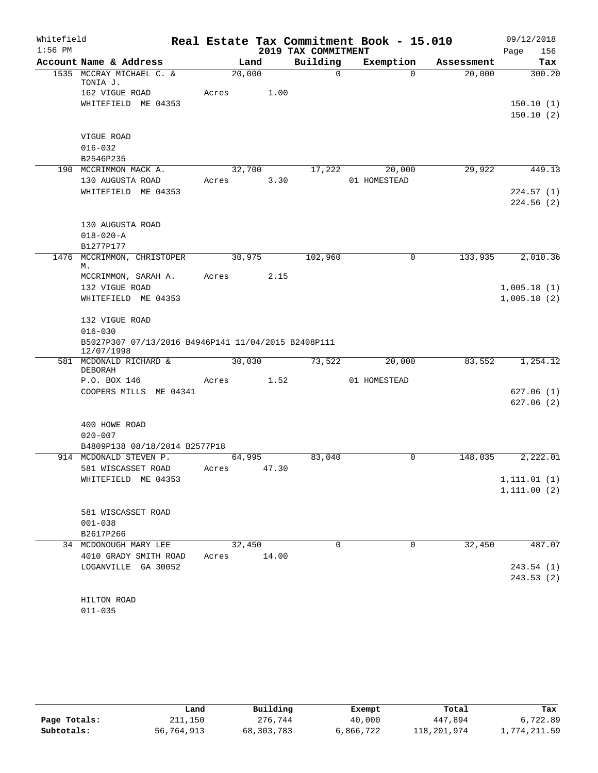| Whitefield |                                                                   |       |        |                     | Real Estate Tax Commitment Book - 15.010 |            | 09/12/2018             |
|------------|-------------------------------------------------------------------|-------|--------|---------------------|------------------------------------------|------------|------------------------|
| $1:56$ PM  |                                                                   |       |        | 2019 TAX COMMITMENT |                                          |            | 156<br>Page            |
|            | Account Name & Address                                            |       | Land   | Building            | Exemption                                | Assessment | Tax                    |
|            | 1535 MCCRAY MICHAEL C. &<br>TONIA J.                              |       | 20,000 | $\Omega$            | $\Omega$                                 | 20,000     | 300.20                 |
|            | 162 VIGUE ROAD                                                    | Acres | 1.00   |                     |                                          |            |                        |
|            | WHITEFIELD ME 04353                                               |       |        |                     |                                          |            | 150.10(1)              |
|            |                                                                   |       |        |                     |                                          |            | 150.10(2)              |
|            | VIGUE ROAD                                                        |       |        |                     |                                          |            |                        |
|            | $016 - 032$                                                       |       |        |                     |                                          |            |                        |
|            | B2546P235                                                         |       |        |                     |                                          |            |                        |
|            | 190 MCCRIMMON MACK A.                                             |       | 32,700 | 17,222              | 20,000                                   | 29,922     | 449.13                 |
|            | 130 AUGUSTA ROAD<br>WHITEFIELD ME 04353                           | Acres | 3.30   |                     | 01 HOMESTEAD                             |            |                        |
|            |                                                                   |       |        |                     |                                          |            | 224.57(1)<br>224.56(2) |
|            | 130 AUGUSTA ROAD                                                  |       |        |                     |                                          |            |                        |
|            | $018 - 020 - A$                                                   |       |        |                     |                                          |            |                        |
|            | B1277P177                                                         |       |        |                     |                                          |            |                        |
| 1476       | MCCRIMMON, CHRISTOPER<br>М.                                       |       | 30,975 | 102,960             | $\mathbf 0$                              | 133,935    | 2,010.36               |
|            | MCCRIMMON, SARAH A.                                               | Acres | 2.15   |                     |                                          |            |                        |
|            | 132 VIGUE ROAD                                                    |       |        |                     |                                          |            | 1,005.18(1)            |
|            | WHITEFIELD ME 04353                                               |       |        |                     |                                          |            | 1,005.18(2)            |
|            | 132 VIGUE ROAD                                                    |       |        |                     |                                          |            |                        |
|            | $016 - 030$                                                       |       |        |                     |                                          |            |                        |
|            | B5027P307 07/13/2016 B4946P141 11/04/2015 B2408P111<br>12/07/1998 |       |        |                     |                                          |            |                        |
|            | 581 MCDONALD RICHARD &<br>DEBORAH                                 |       | 30,030 | 73,522              | 20,000                                   | 83,552     | 1,254.12               |
|            | P.O. BOX 146                                                      | Acres | 1.52   |                     | 01 HOMESTEAD                             |            |                        |
|            | COOPERS MILLS ME 04341                                            |       |        |                     |                                          |            | 627.06(1)              |
|            |                                                                   |       |        |                     |                                          |            | 627.06 (2)             |
|            | 400 HOWE ROAD                                                     |       |        |                     |                                          |            |                        |
|            | $020 - 007$                                                       |       |        |                     |                                          |            |                        |
|            | B4809P138 08/18/2014 B2577P18                                     |       |        |                     |                                          |            |                        |
|            | 914 MCDONALD STEVEN P.                                            |       | 64,995 | 83,040              | $\mathbf 0$                              | 148,035    | 2,222.01               |
|            | 581 WISCASSET ROAD                                                | Acres | 47.30  |                     |                                          |            |                        |
|            | WHITEFIELD ME 04353                                               |       |        |                     |                                          |            | 1, 111.01(1)           |
|            |                                                                   |       |        |                     |                                          |            | 1, 111.00(2)           |
|            | 581 WISCASSET ROAD                                                |       |        |                     |                                          |            |                        |
|            | $001 - 038$                                                       |       |        |                     |                                          |            |                        |
|            | B2617P266                                                         |       |        |                     |                                          |            |                        |
|            | 34 MCDONOUGH MARY LEE                                             |       | 32,450 | 0                   | 0                                        | 32,450     | 487.07                 |
|            | 4010 GRADY SMITH ROAD                                             | Acres | 14.00  |                     |                                          |            |                        |
|            | LOGANVILLE GA 30052                                               |       |        |                     |                                          |            | 243.54(1)              |
|            |                                                                   |       |        |                     |                                          |            | 243.53(2)              |
|            | HILTON ROAD                                                       |       |        |                     |                                          |            |                        |
|            | $011 - 035$                                                       |       |        |                     |                                          |            |                        |

|              | Land       | Building   | Exempt    | Total       | Tax          |
|--------------|------------|------------|-----------|-------------|--------------|
| Page Totals: | 211,150    | 276,744    | 40,000    | 447,894     | 6,722.89     |
| Subtotals:   | 56,764,913 | 68,303,783 | 6,866,722 | 118,201,974 | 1,774,211.59 |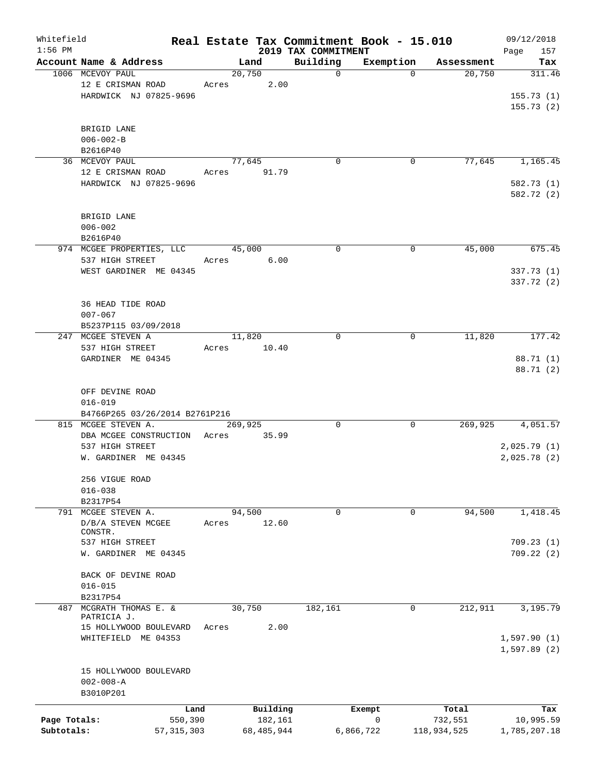| Whitefield<br>$1:56$ PM |                                         |              |       |         |            | Real Estate Tax Commitment Book - 15.010 |           |          |             | 09/12/2018                  |
|-------------------------|-----------------------------------------|--------------|-------|---------|------------|------------------------------------------|-----------|----------|-------------|-----------------------------|
|                         | Account Name & Address                  |              |       | Land    |            | 2019 TAX COMMITMENT<br>Building          | Exemption |          | Assessment  | Page<br>157<br>Tax          |
|                         | 1006 MCEVOY PAUL                        |              |       | 20,750  |            | $\mathbf 0$                              |           | $\Omega$ | 20,750      | 311.46                      |
|                         | 12 E CRISMAN ROAD                       |              | Acres |         | 2.00       |                                          |           |          |             |                             |
|                         | HARDWICK NJ 07825-9696                  |              |       |         |            |                                          |           |          |             | 155.73(1)                   |
|                         |                                         |              |       |         |            |                                          |           |          |             | 155.73(2)                   |
|                         |                                         |              |       |         |            |                                          |           |          |             |                             |
|                         | BRIGID LANE                             |              |       |         |            |                                          |           |          |             |                             |
|                         | $006 - 002 - B$                         |              |       |         |            |                                          |           |          |             |                             |
|                         | B2616P40                                |              |       |         |            |                                          |           |          |             |                             |
|                         | 36 MCEVOY PAUL                          |              |       | 77,645  |            | $\mathbf 0$                              |           | 0        | 77,645      | 1,165.45                    |
|                         | 12 E CRISMAN ROAD                       |              | Acres |         | 91.79      |                                          |           |          |             |                             |
|                         | HARDWICK NJ 07825-9696                  |              |       |         |            |                                          |           |          |             | 582.73 (1)                  |
|                         |                                         |              |       |         |            |                                          |           |          |             | 582.72 (2)                  |
|                         |                                         |              |       |         |            |                                          |           |          |             |                             |
|                         | BRIGID LANE                             |              |       |         |            |                                          |           |          |             |                             |
|                         | $006 - 002$                             |              |       |         |            |                                          |           |          |             |                             |
|                         | B2616P40                                |              |       |         |            |                                          |           |          |             |                             |
|                         | 974 MCGEE PROPERTIES, LLC               |              |       | 45,000  |            | $\mathbf 0$                              |           | 0        | 45,000      | 675.45                      |
|                         | 537 HIGH STREET                         |              | Acres |         | 6.00       |                                          |           |          |             |                             |
|                         | WEST GARDINER ME 04345                  |              |       |         |            |                                          |           |          |             | 337.73 (1)                  |
|                         |                                         |              |       |         |            |                                          |           |          |             | 337.72 (2)                  |
|                         |                                         |              |       |         |            |                                          |           |          |             |                             |
|                         | 36 HEAD TIDE ROAD                       |              |       |         |            |                                          |           |          |             |                             |
|                         | $007 - 067$                             |              |       |         |            |                                          |           |          |             |                             |
|                         | B5237P115 03/09/2018                    |              |       |         |            |                                          |           |          |             |                             |
| 247                     | MCGEE STEVEN A                          |              |       | 11,820  |            | $\mathbf 0$                              |           | 0        | 11,820      | 177.42                      |
|                         | 537 HIGH STREET                         |              | Acres |         | 10.40      |                                          |           |          |             |                             |
|                         | GARDINER ME 04345                       |              |       |         |            |                                          |           |          |             | 88.71 (1)                   |
|                         |                                         |              |       |         |            |                                          |           |          |             | 88.71 (2)                   |
|                         |                                         |              |       |         |            |                                          |           |          |             |                             |
|                         | OFF DEVINE ROAD                         |              |       |         |            |                                          |           |          |             |                             |
|                         | $016 - 019$                             |              |       |         |            |                                          |           |          |             |                             |
|                         | B4766P265 03/26/2014 B2761P216          |              |       |         |            |                                          |           |          |             |                             |
|                         | 815 MCGEE STEVEN A.                     |              |       | 269,925 |            | 0                                        |           | 0        | 269,925     | 4,051.57                    |
|                         | DBA MCGEE CONSTRUCTION                  |              | Acres |         | 35.99      |                                          |           |          |             |                             |
|                         | 537 HIGH STREET<br>W. GARDINER ME 04345 |              |       |         |            |                                          |           |          |             | 2,025.79(1)<br>2,025.78 (2) |
|                         |                                         |              |       |         |            |                                          |           |          |             |                             |
|                         | 256 VIGUE ROAD                          |              |       |         |            |                                          |           |          |             |                             |
|                         | $016 - 038$                             |              |       |         |            |                                          |           |          |             |                             |
|                         | B2317P54                                |              |       |         |            |                                          |           |          |             |                             |
|                         | 791 MCGEE STEVEN A.                     |              |       | 94,500  |            | 0                                        |           | 0        | 94,500      | 1,418.45                    |
|                         | D/B/A STEVEN MCGEE                      |              | Acres |         | 12.60      |                                          |           |          |             |                             |
|                         | CONSTR.                                 |              |       |         |            |                                          |           |          |             |                             |
|                         | 537 HIGH STREET                         |              |       |         |            |                                          |           |          |             | 709.23(1)                   |
|                         | W. GARDINER ME 04345                    |              |       |         |            |                                          |           |          |             | 709.22(2)                   |
|                         |                                         |              |       |         |            |                                          |           |          |             |                             |
|                         | BACK OF DEVINE ROAD                     |              |       |         |            |                                          |           |          |             |                             |
|                         | $016 - 015$                             |              |       |         |            |                                          |           |          |             |                             |
|                         | B2317P54                                |              |       |         |            |                                          |           |          |             |                             |
| 487                     | MCGRATH THOMAS E. &                     |              |       | 30,750  |            | 182,161                                  |           | 0        | 212,911     | 3,195.79                    |
|                         | PATRICIA J.                             |              |       |         | 2.00       |                                          |           |          |             |                             |
|                         | 15 HOLLYWOOD BOULEVARD                  |              | Acres |         |            |                                          |           |          |             |                             |
|                         | WHITEFIELD ME 04353                     |              |       |         |            |                                          |           |          |             | 1,597.90(1)                 |
|                         |                                         |              |       |         |            |                                          |           |          |             | 1,597.89(2)                 |
|                         | 15 HOLLYWOOD BOULEVARD                  |              |       |         |            |                                          |           |          |             |                             |
|                         | $002 - 008 - A$                         |              |       |         |            |                                          |           |          |             |                             |
|                         | B3010P201                               |              |       |         |            |                                          |           |          |             |                             |
|                         |                                         |              |       |         |            |                                          |           |          |             |                             |
|                         |                                         | Land         |       |         | Building   |                                          | Exempt    |          | Total       | Tax                         |
| Page Totals:            |                                         | 550,390      |       |         | 182,161    |                                          | 0         |          | 732,551     | 10,995.59                   |
| Subtotals:              |                                         | 57, 315, 303 |       |         | 68,485,944 |                                          | 6,866,722 |          | 118,934,525 | 1,785,207.18                |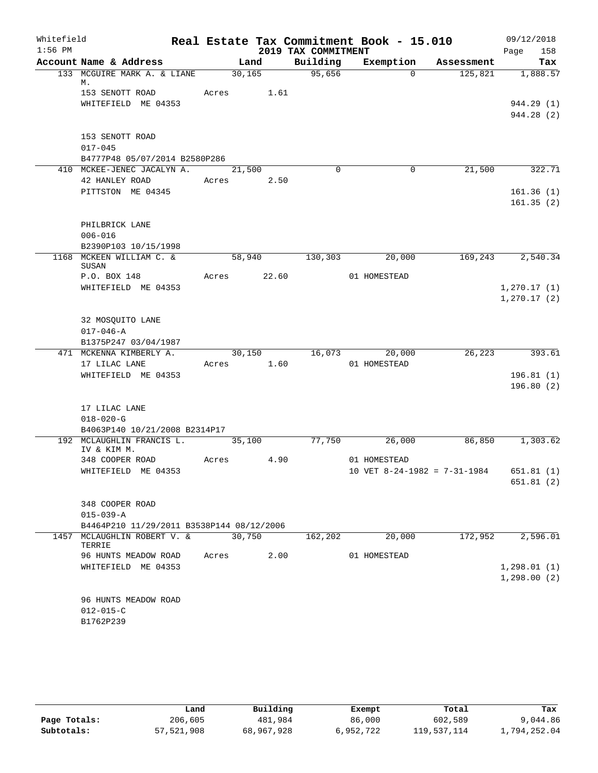| Whitefield |                                           |       |         |                     | Real Estate Tax Commitment Book - 15.010 |            | 09/12/2018             |
|------------|-------------------------------------------|-------|---------|---------------------|------------------------------------------|------------|------------------------|
| $1:56$ PM  |                                           |       |         | 2019 TAX COMMITMENT |                                          |            | 158<br>Page            |
|            | Account Name & Address                    |       | Land    | Building            | Exemption                                | Assessment | Tax                    |
|            | 133 MCGUIRE MARK A. & LIANE<br>М.         |       | 30, 165 | 95,656              | $\Omega$                                 | 125,821    | 1,888.57               |
|            | 153 SENOTT ROAD                           | Acres | 1.61    |                     |                                          |            |                        |
|            | WHITEFIELD ME 04353                       |       |         |                     |                                          |            | 944.29 (1)             |
|            |                                           |       |         |                     |                                          |            | 944.28 (2)             |
|            | 153 SENOTT ROAD                           |       |         |                     |                                          |            |                        |
|            | $017 - 045$                               |       |         |                     |                                          |            |                        |
|            | B4777P48 05/07/2014 B2580P286             |       |         |                     |                                          |            |                        |
|            | 410 MCKEE-JENEC JACALYN A.                |       | 21,500  | $\Omega$            | $\mathbf 0$                              | 21,500     | 322.71                 |
|            | 42 HANLEY ROAD                            | Acres | 2.50    |                     |                                          |            |                        |
|            | PITTSTON ME 04345                         |       |         |                     |                                          |            | 161.36(1)              |
|            |                                           |       |         |                     |                                          |            | 161.35(2)              |
|            |                                           |       |         |                     |                                          |            |                        |
|            | PHILBRICK LANE<br>$006 - 016$             |       |         |                     |                                          |            |                        |
|            | B2390P103 10/15/1998                      |       |         |                     |                                          |            |                        |
|            | 1168 MCKEEN WILLIAM C. &                  |       | 58,940  | 130,303             | 20,000                                   | 169,243    | 2,540.34               |
|            | SUSAN                                     |       |         |                     |                                          |            |                        |
|            | P.O. BOX 148                              | Acres | 22.60   |                     | 01 HOMESTEAD                             |            |                        |
|            | WHITEFIELD ME 04353                       |       |         |                     |                                          |            | 1,270.17(1)            |
|            |                                           |       |         |                     |                                          |            | 1,270.17(2)            |
|            | 32 MOSQUITO LANE                          |       |         |                     |                                          |            |                        |
|            | $017 - 046 - A$                           |       |         |                     |                                          |            |                        |
|            | B1375P247 03/04/1987                      |       |         |                     |                                          |            |                        |
|            | 471 MCKENNA KIMBERLY A.                   |       | 30,150  |                     | 16,073<br>20,000                         | 26, 223    | 393.61                 |
|            | 17 LILAC LANE                             | Acres | 1.60    |                     | 01 HOMESTEAD                             |            |                        |
|            | WHITEFIELD ME 04353                       |       |         |                     |                                          |            | 196.81(1)              |
|            |                                           |       |         |                     |                                          |            | 196.80(2)              |
|            | 17 LILAC LANE                             |       |         |                     |                                          |            |                        |
|            | $018 - 020 - G$                           |       |         |                     |                                          |            |                        |
|            | B4063P140 10/21/2008 B2314P17             |       |         |                     |                                          |            |                        |
|            | 192 MCLAUGHLIN FRANCIS L.                 |       | 35,100  | 77,750              | 26,000                                   | 86,850     | 1,303.62               |
|            | IV & KIM M.                               |       |         |                     |                                          |            |                        |
|            | 348 COOPER ROAD                           | Acres | 4.90    |                     | 01 HOMESTEAD                             |            |                        |
|            | WHITEFIELD ME 04353                       |       |         |                     | 10 VET 8-24-1982 = 7-31-1984             |            | 651.81(1)<br>651.81(2) |
|            |                                           |       |         |                     |                                          |            |                        |
|            | 348 COOPER ROAD                           |       |         |                     |                                          |            |                        |
|            | $015 - 039 - A$                           |       |         |                     |                                          |            |                        |
|            | B4464P210 11/29/2011 B3538P144 08/12/2006 |       |         |                     |                                          |            |                        |
|            | 1457 MCLAUGHLIN ROBERT V. &<br>TERRIE     |       | 30,750  | 162,202             | 20,000                                   | 172,952    | 2,596.01               |
|            | 96 HUNTS MEADOW ROAD                      | Acres | 2.00    |                     | 01 HOMESTEAD                             |            |                        |
|            | WHITEFIELD ME 04353                       |       |         |                     |                                          |            | 1, 298.01(1)           |
|            |                                           |       |         |                     |                                          |            | 1,298.00(2)            |
|            | 96 HUNTS MEADOW ROAD                      |       |         |                     |                                          |            |                        |
|            | $012 - 015 - C$                           |       |         |                     |                                          |            |                        |
|            | B1762P239                                 |       |         |                     |                                          |            |                        |
|            |                                           |       |         |                     |                                          |            |                        |

|              | Land       | Building   | Exempt    | Total       | Tax          |
|--------------|------------|------------|-----------|-------------|--------------|
| Page Totals: | 206,605    | 481,984    | 86,000    | 602,589     | 9,044.86     |
| Subtotals:   | 57,521,908 | 68,967,928 | 6,952,722 | 119,537,114 | 1,794,252.04 |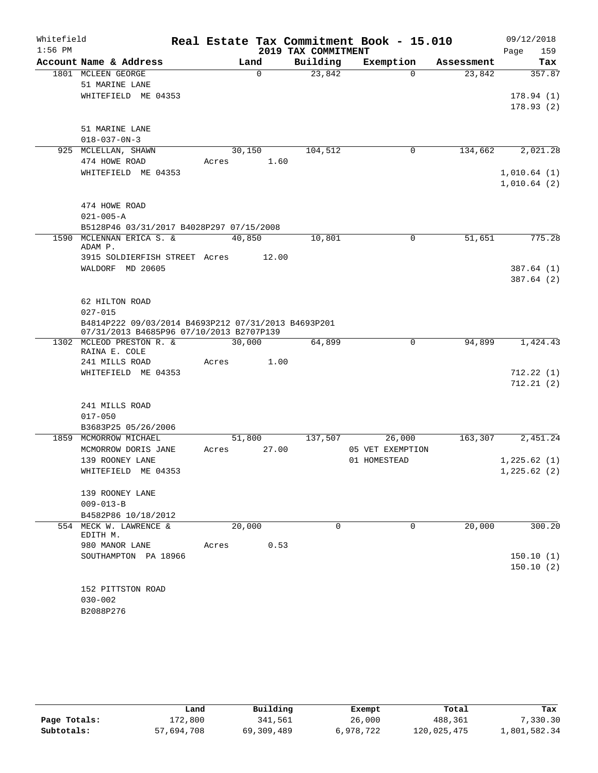| Whitefield |                                                                      |       |             |                     | Real Estate Tax Commitment Book - 15.010 |            | 09/12/2018  |
|------------|----------------------------------------------------------------------|-------|-------------|---------------------|------------------------------------------|------------|-------------|
| $1:56$ PM  |                                                                      |       |             | 2019 TAX COMMITMENT |                                          |            | Page<br>159 |
|            | Account Name & Address                                               |       | Land        | Building            | Exemption                                | Assessment | Tax         |
|            | 1801 MCLEEN GEORGE                                                   |       | $\mathbf 0$ | 23,842              | $\Omega$                                 | 23,842     | 357.87      |
|            | 51 MARINE LANE                                                       |       |             |                     |                                          |            |             |
|            | WHITEFIELD ME 04353                                                  |       |             |                     |                                          |            | 178.94(1)   |
|            |                                                                      |       |             |                     |                                          |            | 178.93(2)   |
|            | 51 MARINE LANE                                                       |       |             |                     |                                          |            |             |
|            | $018 - 037 - 0N - 3$                                                 |       |             |                     |                                          |            |             |
|            | 925 MCLELLAN, SHAWN                                                  |       | 30,150      | 104,512             | 0                                        | 134,662    | 2,021.28    |
|            | 474 HOWE ROAD                                                        | Acres | 1.60        |                     |                                          |            |             |
|            | WHITEFIELD ME 04353                                                  |       |             |                     |                                          |            | 1,010.64(1) |
|            |                                                                      |       |             |                     |                                          |            | 1,010.64(2) |
|            |                                                                      |       |             |                     |                                          |            |             |
|            | 474 HOWE ROAD                                                        |       |             |                     |                                          |            |             |
|            | $021 - 005 - A$                                                      |       |             |                     |                                          |            |             |
|            | B5128P46 03/31/2017 B4028P297 07/15/2008                             |       |             |                     |                                          |            |             |
|            | 1590 MCLENNAN ERICA S. &                                             |       | 40,850      | 10,801              | 0                                        | 51,651     | 775.28      |
|            | ADAM P.                                                              |       |             |                     |                                          |            |             |
|            | 3915 SOLDIERFISH STREET Acres                                        |       | 12.00       |                     |                                          |            |             |
|            | WALDORF MD 20605                                                     |       |             |                     |                                          |            | 387.64(1)   |
|            |                                                                      |       |             |                     |                                          |            | 387.64 (2)  |
|            |                                                                      |       |             |                     |                                          |            |             |
|            | 62 HILTON ROAD                                                       |       |             |                     |                                          |            |             |
|            | $027 - 015$                                                          |       |             |                     |                                          |            |             |
|            | B4814P222 09/03/2014 B4693P212 07/31/2013 B4693P201                  |       |             |                     |                                          |            |             |
|            | 07/31/2013 B4685P96 07/10/2013 B2707P139<br>1302 MCLEOD PRESTON R. & |       | 30,000      | 64,899              | 0                                        | 94,899     | 1,424.43    |
|            | RAINA E. COLE                                                        |       |             |                     |                                          |            |             |
|            | 241 MILLS ROAD                                                       | Acres | 1.00        |                     |                                          |            |             |
|            | WHITEFIELD ME 04353                                                  |       |             |                     |                                          |            | 712.22(1)   |
|            |                                                                      |       |             |                     |                                          |            | 712.21(2)   |
|            |                                                                      |       |             |                     |                                          |            |             |
|            | 241 MILLS ROAD                                                       |       |             |                     |                                          |            |             |
|            | $017 - 050$                                                          |       |             |                     |                                          |            |             |
|            | B3683P25 05/26/2006                                                  |       |             |                     |                                          |            |             |
|            | 1859 MCMORROW MICHAEL                                                |       | 51,800      | 137,507             | 26,000                                   | 163,307    | 2,451.24    |
|            | MCMORROW DORIS JANE                                                  | Acres | 27.00       |                     | 05 VET EXEMPTION                         |            |             |
|            | 139 ROONEY LANE                                                      |       |             |                     | 01 HOMESTEAD                             |            | 1,225.62(1) |
|            | WHITEFIELD ME 04353                                                  |       |             |                     |                                          |            | 1,225.62(2) |
|            |                                                                      |       |             |                     |                                          |            |             |
|            | 139 ROONEY LANE                                                      |       |             |                     |                                          |            |             |
|            | $009 - 013 - B$                                                      |       |             |                     |                                          |            |             |
|            | B4582P86 10/18/2012                                                  |       |             |                     |                                          |            |             |
|            | 554 MECK W. LAWRENCE &<br>EDITH M.                                   |       | 20,000      | $\Omega$            | $\Omega$                                 | 20,000     | 300.20      |
|            | 980 MANOR LANE                                                       | Acres | 0.53        |                     |                                          |            |             |
|            | SOUTHAMPTON PA 18966                                                 |       |             |                     |                                          |            | 150.10(1)   |
|            |                                                                      |       |             |                     |                                          |            | 150.10(2)   |
|            |                                                                      |       |             |                     |                                          |            |             |
|            | 152 PITTSTON ROAD                                                    |       |             |                     |                                          |            |             |
|            | $030 - 002$                                                          |       |             |                     |                                          |            |             |
|            | B2088P276                                                            |       |             |                     |                                          |            |             |

|              | Land       | Building   | Exempt    | Total       | Tax          |
|--------------|------------|------------|-----------|-------------|--------------|
| Page Totals: | 172,800    | 341,561    | 26,000    | 488,361     | 7,330.30     |
| Subtotals:   | 57,694,708 | 69,309,489 | 6,978,722 | 120,025,475 | 1,801,582.34 |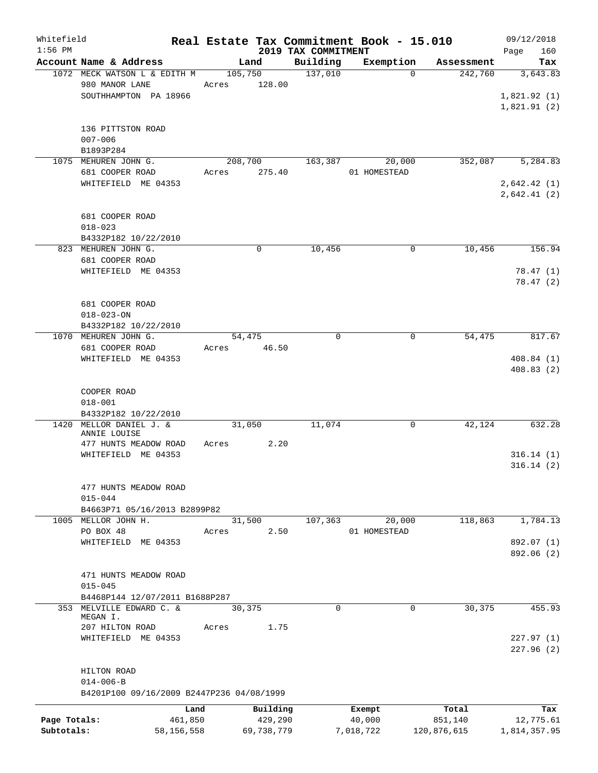| Whitefield<br>$1:56$ PM |                                           |         |            |                                 | Real Estate Tax Commitment Book - 15.010 |             | 09/12/2018         |
|-------------------------|-------------------------------------------|---------|------------|---------------------------------|------------------------------------------|-------------|--------------------|
|                         | Account Name & Address                    |         | Land       | 2019 TAX COMMITMENT<br>Building | Exemption                                | Assessment  | 160<br>Page<br>Tax |
|                         | 1072 MECK WATSON L & EDITH M              | 105,750 |            | 137,010                         | $\Omega$                                 | 242,760     | 3,643.83           |
|                         | 980 MANOR LANE                            | Acres   | 128.00     |                                 |                                          |             |                    |
|                         | SOUTHHAMPTON PA 18966                     |         |            |                                 |                                          |             | 1,821.92(1)        |
|                         |                                           |         |            |                                 |                                          |             | 1,821.91(2)        |
|                         |                                           |         |            |                                 |                                          |             |                    |
|                         | 136 PITTSTON ROAD                         |         |            |                                 |                                          |             |                    |
|                         | $007 - 006$                               |         |            |                                 |                                          |             |                    |
|                         | B1893P284                                 |         |            |                                 |                                          |             |                    |
|                         | 1075 MEHUREN JOHN G.                      | 208,700 |            | 163,387                         | 20,000                                   | 352,087     | 5,284.83           |
|                         | 681 COOPER ROAD                           |         |            |                                 | 01 HOMESTEAD                             |             |                    |
|                         |                                           | Acres   | 275.40     |                                 |                                          |             |                    |
|                         | WHITEFIELD ME 04353                       |         |            |                                 |                                          |             | 2,642.42(1)        |
|                         |                                           |         |            |                                 |                                          |             | 2,642.41(2)        |
|                         |                                           |         |            |                                 |                                          |             |                    |
|                         | 681 COOPER ROAD                           |         |            |                                 |                                          |             |                    |
|                         | $018 - 023$                               |         |            |                                 |                                          |             |                    |
|                         | B4332P182 10/22/2010                      |         |            |                                 |                                          |             |                    |
|                         | 823 MEHUREN JOHN G.                       |         | 0          | 10,456                          | $\mathbf 0$                              | 10,456      | 156.94             |
|                         | 681 COOPER ROAD                           |         |            |                                 |                                          |             |                    |
|                         | WHITEFIELD ME 04353                       |         |            |                                 |                                          |             | 78.47(1)           |
|                         |                                           |         |            |                                 |                                          |             | 78.47(2)           |
|                         |                                           |         |            |                                 |                                          |             |                    |
|                         | 681 COOPER ROAD                           |         |            |                                 |                                          |             |                    |
|                         | $018 - 023 - ON$                          |         |            |                                 |                                          |             |                    |
|                         | B4332P182 10/22/2010                      |         |            |                                 |                                          |             |                    |
|                         | 1070 MEHUREN JOHN G.                      | 54,475  |            | $\mathbf 0$                     | 0                                        | 54,475      | 817.67             |
|                         | 681 COOPER ROAD                           | Acres   | 46.50      |                                 |                                          |             |                    |
|                         | WHITEFIELD ME 04353                       |         |            |                                 |                                          |             | 408.84(1)          |
|                         |                                           |         |            |                                 |                                          |             | 408.83(2)          |
|                         |                                           |         |            |                                 |                                          |             |                    |
|                         | COOPER ROAD                               |         |            |                                 |                                          |             |                    |
|                         | $018 - 001$                               |         |            |                                 |                                          |             |                    |
|                         | B4332P182 10/22/2010                      |         |            |                                 |                                          |             |                    |
| 1420                    | MELLOR DANIEL J. &                        | 31,050  |            | 11,074                          | 0                                        | 42,124      | 632.28             |
|                         | ANNIE LOUISE                              |         |            |                                 |                                          |             |                    |
|                         | 477 HUNTS MEADOW ROAD                     | Acres   | 2.20       |                                 |                                          |             |                    |
|                         | WHITEFIELD ME 04353                       |         |            |                                 |                                          |             | 316.14(1)          |
|                         |                                           |         |            |                                 |                                          |             | 316.14(2)          |
|                         |                                           |         |            |                                 |                                          |             |                    |
|                         | 477 HUNTS MEADOW ROAD                     |         |            |                                 |                                          |             |                    |
|                         | $015 - 044$                               |         |            |                                 |                                          |             |                    |
|                         | B4663P71 05/16/2013 B2899P82              |         |            |                                 |                                          |             |                    |
|                         | 1005 MELLOR JOHN H.                       | 31,500  |            | 107,363                         | 20,000                                   | 118,863     | 1,784.13           |
|                         | PO BOX 48                                 | Acres   | 2.50       |                                 | 01 HOMESTEAD                             |             |                    |
|                         | WHITEFIELD ME 04353                       |         |            |                                 |                                          |             | 892.07 (1)         |
|                         |                                           |         |            |                                 |                                          |             | 892.06 (2)         |
|                         |                                           |         |            |                                 |                                          |             |                    |
|                         | 471 HUNTS MEADOW ROAD                     |         |            |                                 |                                          |             |                    |
|                         | $015 - 045$                               |         |            |                                 |                                          |             |                    |
|                         | B4468P144 12/07/2011 B1688P287            |         |            |                                 |                                          |             |                    |
|                         | 353 MELVILLE EDWARD C. &                  | 30,375  |            | $\Omega$                        | 0                                        | 30,375      | 455.93             |
|                         | MEGAN I.                                  |         |            |                                 |                                          |             |                    |
|                         | 207 HILTON ROAD                           | Acres   | 1.75       |                                 |                                          |             |                    |
|                         | WHITEFIELD ME 04353                       |         |            |                                 |                                          |             | 227.97(1)          |
|                         |                                           |         |            |                                 |                                          |             | 227.96 (2)         |
|                         |                                           |         |            |                                 |                                          |             |                    |
|                         | HILTON ROAD                               |         |            |                                 |                                          |             |                    |
|                         | $014 - 006 - B$                           |         |            |                                 |                                          |             |                    |
|                         | B4201P100 09/16/2009 B2447P236 04/08/1999 |         |            |                                 |                                          |             |                    |
|                         |                                           |         |            |                                 |                                          |             |                    |
|                         | Land                                      |         | Building   |                                 | Exempt                                   | Total       | Tax                |
| Page Totals:            | 461,850                                   |         | 429,290    |                                 | 40,000                                   | 851,140     | 12,775.61          |
| Subtotals:              | 58,156,558                                |         | 69,738,779 |                                 | 7,018,722                                | 120,876,615 | 1,814,357.95       |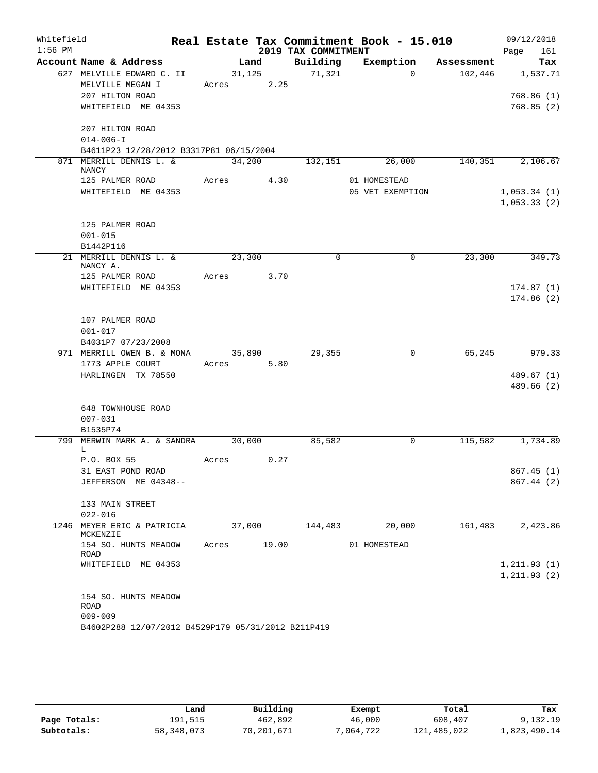| Whitefield |                                                    |       |        |            |                     | Real Estate Tax Commitment Book - 15.010 |             |            |              | 09/12/2018   |
|------------|----------------------------------------------------|-------|--------|------------|---------------------|------------------------------------------|-------------|------------|--------------|--------------|
| $1:56$ PM  |                                                    |       |        |            | 2019 TAX COMMITMENT |                                          |             |            | Page         | 161          |
|            | Account Name & Address                             |       | Land   |            | Building            | Exemption                                |             | Assessment |              | Tax          |
|            | 627 MELVILLE EDWARD C. II                          |       |        |            | 31, 125 71, 321     |                                          | $\Omega$    | 102,446    |              | 1,537.71     |
|            | MELVILLE MEGAN I                                   |       |        | Acres 2.25 |                     |                                          |             |            |              |              |
|            | 207 HILTON ROAD                                    |       |        |            |                     |                                          |             |            |              | 768.86(1)    |
|            | WHITEFIELD ME 04353                                |       |        |            |                     |                                          |             |            |              | 768.85(2)    |
|            | 207 HILTON ROAD                                    |       |        |            |                     |                                          |             |            |              |              |
|            | $014 - 006 - I$                                    |       |        |            |                     |                                          |             |            |              |              |
|            | B4611P23 12/28/2012 B3317P81 06/15/2004            |       |        |            |                     |                                          |             |            |              |              |
|            | 871 MERRILL DENNIS L. &                            |       |        | 34,200     | 132,151             | 26,000                                   |             | 140, 351   |              | 2,106.67     |
|            | <b>NANCY</b>                                       |       |        |            |                     |                                          |             |            |              |              |
|            | 125 PALMER ROAD                                    |       |        | Acres 4.30 |                     | 01 HOMESTEAD                             |             |            |              |              |
|            | WHITEFIELD ME 04353                                |       |        |            |                     | 05 VET EXEMPTION                         |             |            | 1,053.34(1)  |              |
|            |                                                    |       |        |            |                     |                                          |             |            |              | 1,053.33(2)  |
|            | 125 PALMER ROAD                                    |       |        |            |                     |                                          |             |            |              |              |
|            | $001 - 015$                                        |       |        |            |                     |                                          |             |            |              |              |
|            | B1442P116                                          |       |        |            |                     |                                          |             |            |              |              |
|            | 21 MERRILL DENNIS L. &                             |       | 23,300 |            | $\mathbf 0$         |                                          | $\mathbf 0$ | 23,300     |              | 349.73       |
|            | NANCY A.                                           |       |        |            |                     |                                          |             |            |              |              |
|            | 125 PALMER ROAD                                    |       |        | Acres 3.70 |                     |                                          |             |            |              |              |
|            | WHITEFIELD ME 04353                                |       |        |            |                     |                                          |             |            |              | 174.87(1)    |
|            |                                                    |       |        |            |                     |                                          |             |            |              | 174.86(2)    |
|            | 107 PALMER ROAD                                    |       |        |            |                     |                                          |             |            |              |              |
|            | $001 - 017$                                        |       |        |            |                     |                                          |             |            |              |              |
|            | B4031P7 07/23/2008                                 |       |        |            |                     |                                          |             |            |              |              |
|            | 971 MERRILL OWEN B. & MONA                         |       |        | 35,890     | 29,355              |                                          | 0           | 65,245     |              | 979.33       |
|            | 1773 APPLE COURT                                   |       |        | Acres 5.80 |                     |                                          |             |            |              |              |
|            | HARLINGEN TX 78550                                 |       |        |            |                     |                                          |             |            |              | 489.67(1)    |
|            |                                                    |       |        |            |                     |                                          |             |            |              | 489.66 (2)   |
|            |                                                    |       |        |            |                     |                                          |             |            |              |              |
|            | 648 TOWNHOUSE ROAD<br>$007 - 031$                  |       |        |            |                     |                                          |             |            |              |              |
|            | B1535P74                                           |       |        |            |                     |                                          |             |            |              |              |
| 799        | MERWIN MARK A. & SANDRA 30,000                     |       |        |            | 85,582              |                                          | 0           | 115,582    |              | 1,734.89     |
|            | L.                                                 |       |        |            |                     |                                          |             |            |              |              |
|            | P.O. BOX 55                                        | Acres |        | 0.27       |                     |                                          |             |            |              |              |
|            | 31 EAST POND ROAD                                  |       |        |            |                     |                                          |             |            |              | 867.45(1)    |
|            | JEFFERSON ME 04348--                               |       |        |            |                     |                                          |             |            |              | 867.44 (2)   |
|            | 133 MAIN STREET                                    |       |        |            |                     |                                          |             |            |              |              |
|            | $022 - 016$                                        |       |        |            |                     |                                          |             |            |              |              |
|            | 1246 MEYER ERIC & PATRICIA                         |       | 37,000 |            | 144,483             | 20,000                                   |             | 161,483    |              | 2,423.86     |
|            | MCKENZIE                                           |       |        |            |                     |                                          |             |            |              |              |
|            | 154 SO. HUNTS MEADOW                               | Acres |        | 19.00      |                     | 01 HOMESTEAD                             |             |            |              |              |
|            | ROAD<br>WHITEFIELD ME 04353                        |       |        |            |                     |                                          |             |            |              | 1, 211.93(1) |
|            |                                                    |       |        |            |                     |                                          |             |            | 1, 211.93(2) |              |
|            |                                                    |       |        |            |                     |                                          |             |            |              |              |
|            | 154 SO. HUNTS MEADOW                               |       |        |            |                     |                                          |             |            |              |              |
|            | ROAD                                               |       |        |            |                     |                                          |             |            |              |              |
|            | $009 - 009$                                        |       |        |            |                     |                                          |             |            |              |              |
|            | B4602P288 12/07/2012 B4529P179 05/31/2012 B211P419 |       |        |            |                     |                                          |             |            |              |              |

|              | Land       | Building   | Exempt   | Total       | Tax          |
|--------------|------------|------------|----------|-------------|--------------|
| Page Totals: | 191,515    | 462,892    | 46,000   | 608,407     | 9,132.19     |
| Subtotals:   | 58,348,073 | 70,201,671 | .064.722 | 121,485,022 | 1,823,490.14 |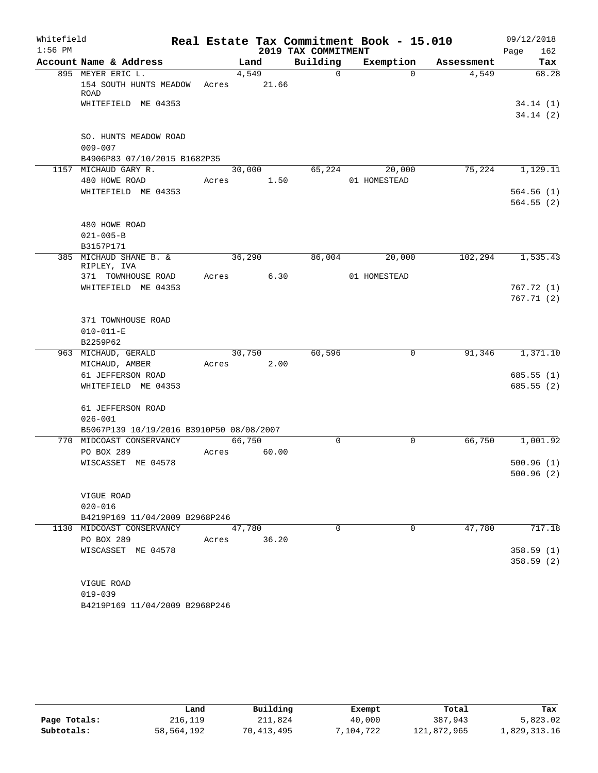| Whitefield |                                             |       |        |        |                     | Real Estate Tax Commitment Book - 15.010 |            | 09/12/2018             |
|------------|---------------------------------------------|-------|--------|--------|---------------------|------------------------------------------|------------|------------------------|
| $1:56$ PM  |                                             |       |        |        | 2019 TAX COMMITMENT |                                          |            | 162<br>Page            |
|            | Account Name & Address                      |       | Land   |        | Building            | Exemption                                | Assessment | Tax                    |
|            | 895 MEYER ERIC L.<br>154 SOUTH HUNTS MEADOW | Acres | 4,549  | 21.66  | $\mathbf 0$         | $\Omega$                                 | 4,549      | 68.28                  |
|            | <b>ROAD</b><br>WHITEFIELD ME 04353          |       |        |        |                     |                                          |            | 34.14(1)               |
|            |                                             |       |        |        |                     |                                          |            | 34.14(2)               |
|            | SO. HUNTS MEADOW ROAD                       |       |        |        |                     |                                          |            |                        |
|            | $009 - 007$<br>B4906P83 07/10/2015 B1682P35 |       |        |        |                     |                                          |            |                        |
|            | 1157 MICHAUD GARY R.                        |       |        | 30,000 | 65,224              | 20,000                                   | 75,224     | 1,129.11               |
|            | 480 HOWE ROAD                               | Acres |        | 1.50   |                     | 01 HOMESTEAD                             |            |                        |
|            | WHITEFIELD ME 04353                         |       |        |        |                     |                                          |            | 564.56(1)              |
|            |                                             |       |        |        |                     |                                          |            | 564.55(2)              |
|            | 480 HOWE ROAD                               |       |        |        |                     |                                          |            |                        |
|            | $021 - 005 - B$                             |       |        |        |                     |                                          |            |                        |
|            | B3157P171                                   |       |        |        |                     |                                          |            |                        |
|            | 385 MICHAUD SHANE B. &<br>RIPLEY, IVA       |       | 36,290 |        | 86,004              | 20,000                                   | 102,294    | 1,535.43               |
|            | 371 TOWNHOUSE ROAD                          | Acres |        | 6.30   |                     | 01 HOMESTEAD                             |            |                        |
|            | WHITEFIELD ME 04353                         |       |        |        |                     |                                          |            | 767.72(1)              |
|            |                                             |       |        |        |                     |                                          |            | 767.71(2)              |
|            |                                             |       |        |        |                     |                                          |            |                        |
|            | 371 TOWNHOUSE ROAD                          |       |        |        |                     |                                          |            |                        |
|            | $010 - 011 - E$                             |       |        |        |                     |                                          |            |                        |
|            | B2259P62                                    |       |        |        |                     |                                          |            |                        |
|            | 963 MICHAUD, GERALD                         |       | 30,750 |        | 60,596              | 0                                        | 91,346     | 1,371.10               |
|            | MICHAUD, AMBER                              | Acres |        | 2.00   |                     |                                          |            |                        |
|            | 61 JEFFERSON ROAD<br>WHITEFIELD ME 04353    |       |        |        |                     |                                          |            | 685.55(1)<br>685.55(2) |
|            |                                             |       |        |        |                     |                                          |            |                        |
|            | 61 JEFFERSON ROAD                           |       |        |        |                     |                                          |            |                        |
|            | $026 - 001$                                 |       |        |        |                     |                                          |            |                        |
|            | B5067P139 10/19/2016 B3910P50 08/08/2007    |       |        |        |                     |                                          |            |                        |
|            | 770 MIDCOAST CONSERVANCY                    |       | 66,750 |        | $\Omega$            | $\mathbf 0$                              | 66,750     | 1,001.92               |
|            | PO BOX 289                                  | Acres |        | 60.00  |                     |                                          |            |                        |
|            | WISCASSET ME 04578                          |       |        |        |                     |                                          |            | 500.96(1)              |
|            |                                             |       |        |        |                     |                                          |            | 500.96(2)              |
|            | VIGUE ROAD                                  |       |        |        |                     |                                          |            |                        |
|            | $020 - 016$                                 |       |        |        |                     |                                          |            |                        |
|            | B4219P169 11/04/2009 B2968P246              |       |        |        |                     |                                          |            |                        |
|            | 1130 MIDCOAST CONSERVANCY                   |       | 47,780 |        | $\Omega$            | $\Omega$                                 | 47,780     | 717.18                 |
|            | PO BOX 289                                  |       | Acres  | 36.20  |                     |                                          |            |                        |
|            | WISCASSET ME 04578                          |       |        |        |                     |                                          |            | 358.59(1)              |
|            |                                             |       |        |        |                     |                                          |            | 358.59(2)              |
|            |                                             |       |        |        |                     |                                          |            |                        |
|            | VIGUE ROAD<br>$019 - 039$                   |       |        |        |                     |                                          |            |                        |
|            | B4219P169 11/04/2009 B2968P246              |       |        |        |                     |                                          |            |                        |
|            |                                             |       |        |        |                     |                                          |            |                        |

|              | Land       | Building   | Exempt    | Total       | Tax          |  |  |
|--------------|------------|------------|-----------|-------------|--------------|--|--|
| Page Totals: | 216,119    | 211,824    | 40,000    | 387,943     | 5,823.02     |  |  |
| Subtotals:   | 58,564,192 | 70,413,495 | 7,104,722 | 121,872,965 | 1,829,313.16 |  |  |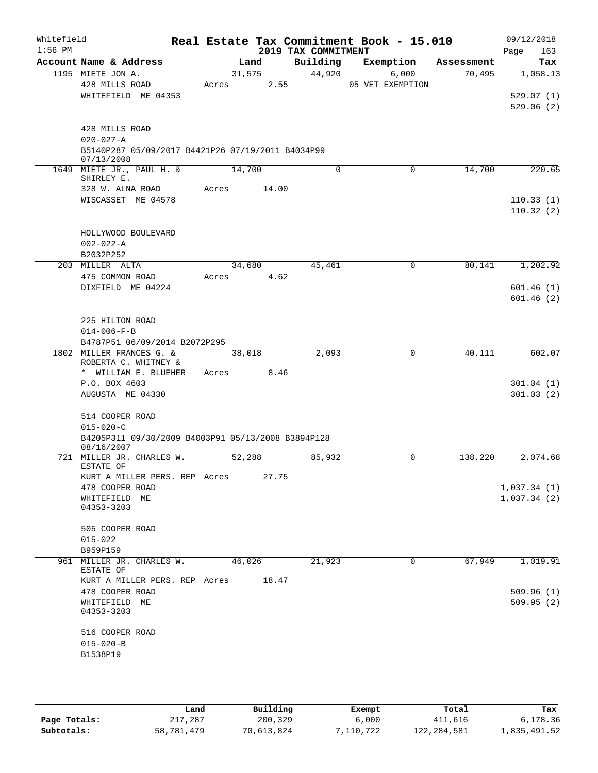| Whitefield<br>$1:56$ PM |                                                                  |        |       | 2019 TAX COMMITMENT | Real Estate Tax Commitment Book - 15.010 |            | 09/12/2018<br>163<br>Page |
|-------------------------|------------------------------------------------------------------|--------|-------|---------------------|------------------------------------------|------------|---------------------------|
|                         | Account Name & Address                                           |        | Land  | Building            | Exemption                                | Assessment | Tax                       |
|                         | 1195 MIETE JON A.                                                | 31,575 |       | 44,920              | 6,000                                    | 70,495     | 1,058.13                  |
|                         | 428 MILLS ROAD                                                   | Acres  | 2.55  |                     | 05 VET EXEMPTION                         |            |                           |
|                         | WHITEFIELD ME 04353                                              |        |       |                     |                                          |            | 529.07(1)                 |
|                         |                                                                  |        |       |                     |                                          |            | 529.06(2)                 |
|                         | 428 MILLS ROAD                                                   |        |       |                     |                                          |            |                           |
|                         | $020 - 027 - A$                                                  |        |       |                     |                                          |            |                           |
|                         | B5140P287 05/09/2017 B4421P26 07/19/2011 B4034P99                |        |       |                     |                                          |            |                           |
|                         | 07/13/2008                                                       |        |       |                     |                                          |            |                           |
|                         | 1649 MIETE JR., PAUL H. &                                        | 14,700 |       | $\Omega$            | 0                                        | 14,700     | 220.65                    |
|                         | SHIRLEY E.<br>328 W. ALNA ROAD                                   | Acres  | 14.00 |                     |                                          |            |                           |
|                         | WISCASSET ME 04578                                               |        |       |                     |                                          |            | 110.33(1)                 |
|                         |                                                                  |        |       |                     |                                          |            | 110.32(2)                 |
|                         |                                                                  |        |       |                     |                                          |            |                           |
|                         | HOLLYWOOD BOULEVARD                                              |        |       |                     |                                          |            |                           |
|                         | $002 - 022 - A$                                                  |        |       |                     |                                          |            |                           |
|                         | B2032P252                                                        |        |       |                     |                                          |            |                           |
|                         | 203 MILLER ALTA                                                  | 34,680 |       | 45,461              | 0                                        | 80,141     | 1,202.92                  |
|                         | 475 COMMON ROAD                                                  | Acres  | 4.62  |                     |                                          |            |                           |
|                         | DIXFIELD ME 04224                                                |        |       |                     |                                          |            | 601.46(1)                 |
|                         |                                                                  |        |       |                     |                                          |            | 601.46(2)                 |
|                         |                                                                  |        |       |                     |                                          |            |                           |
|                         | 225 HILTON ROAD                                                  |        |       |                     |                                          |            |                           |
|                         | $014 - 006 - F - B$<br>B4787P51 06/09/2014 B2072P295             |        |       |                     |                                          |            |                           |
|                         | 1802 MILLER FRANCES G. &                                         | 38,018 |       | 2,093               | 0                                        | 40,111     | 602.07                    |
|                         | ROBERTA C. WHITNEY &                                             |        |       |                     |                                          |            |                           |
|                         | * WILLIAM E. BLUEHER                                             | Acres  | 8.46  |                     |                                          |            |                           |
|                         | P.O. BOX 4603                                                    |        |       |                     |                                          |            | 301.04(1)                 |
|                         | AUGUSTA ME 04330                                                 |        |       |                     |                                          |            | 301.03(2)                 |
|                         |                                                                  |        |       |                     |                                          |            |                           |
|                         | 514 COOPER ROAD                                                  |        |       |                     |                                          |            |                           |
|                         | $015 - 020 - C$                                                  |        |       |                     |                                          |            |                           |
|                         | B4205P311 09/30/2009 B4003P91 05/13/2008 B3894P128<br>08/16/2007 |        |       |                     |                                          |            |                           |
|                         | 721 MILLER JR. CHARLES W.                                        | 52,288 |       | 85,932              | 0                                        | 138,220    | 2,074.68                  |
|                         | ESTATE OF                                                        |        |       |                     |                                          |            |                           |
|                         | KURT A MILLER PERS. REP Acres                                    |        | 27.75 |                     |                                          |            |                           |
|                         | 478 COOPER ROAD                                                  |        |       |                     |                                          |            | 1,037.34(1)               |
|                         | WHITEFIELD ME<br>04353-3203                                      |        |       |                     |                                          |            | 1,037.34(2)               |
|                         |                                                                  |        |       |                     |                                          |            |                           |
|                         | 505 COOPER ROAD                                                  |        |       |                     |                                          |            |                           |
|                         | $015 - 022$                                                      |        |       |                     |                                          |            |                           |
|                         | B959P159                                                         |        |       |                     |                                          |            |                           |
|                         | 961 MILLER JR. CHARLES W.<br>ESTATE OF                           | 46,026 |       | 21,923              | 0                                        | 67,949     | 1,019.91                  |
|                         | KURT A MILLER PERS. REP Acres                                    |        | 18.47 |                     |                                          |            |                           |
|                         | 478 COOPER ROAD                                                  |        |       |                     |                                          |            | 509.96(1)                 |
|                         | WHITEFIELD ME                                                    |        |       |                     |                                          |            | 509.95(2)                 |
|                         | 04353-3203                                                       |        |       |                     |                                          |            |                           |
|                         | 516 COOPER ROAD                                                  |        |       |                     |                                          |            |                           |
|                         | $015 - 020 - B$                                                  |        |       |                     |                                          |            |                           |
|                         | B1538P19                                                         |        |       |                     |                                          |            |                           |
|                         |                                                                  |        |       |                     |                                          |            |                           |
|                         |                                                                  |        |       |                     |                                          |            |                           |

|              | Land       | Building   | Exempt    | Total         | Tax          |
|--------------|------------|------------|-----------|---------------|--------------|
| Page Totals: | 217,287    | 200,329    | 6,000     | 411,616       | 6,178.36     |
| Subtotals:   | 58,781,479 | 70,613,824 | 7,110,722 | 122, 284, 581 | 1,835,491.52 |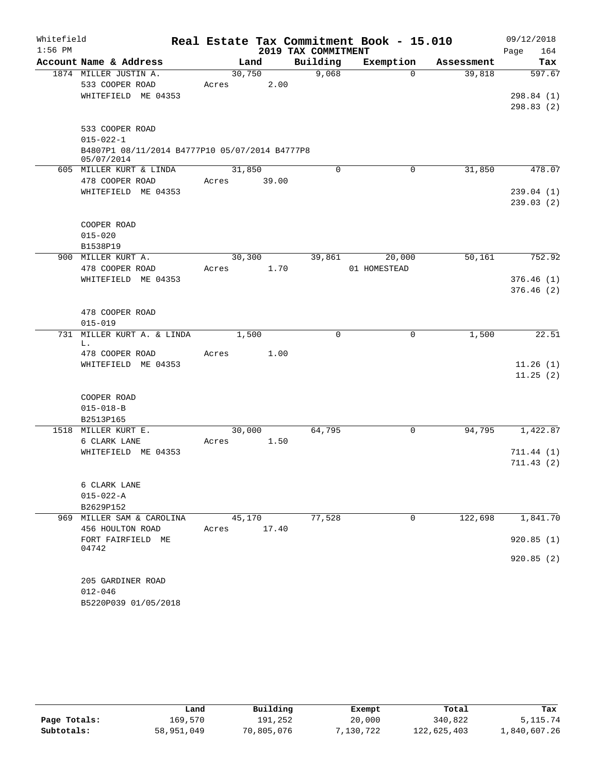| Whitefield |                                                |        |        |                     | Real Estate Tax Commitment Book - 15.010 |            | 09/12/2018  |
|------------|------------------------------------------------|--------|--------|---------------------|------------------------------------------|------------|-------------|
| $1:56$ PM  |                                                |        |        | 2019 TAX COMMITMENT |                                          |            | 164<br>Page |
|            | Account Name & Address                         |        | Land   | Building            | Exemption                                | Assessment | Tax         |
|            | 1874 MILLER JUSTIN A.                          | 30,750 |        | 9,068               | $\Omega$                                 | 39,818     | 597.67      |
|            | 533 COOPER ROAD                                | Acres  | 2.00   |                     |                                          |            |             |
|            | WHITEFIELD ME 04353                            |        |        |                     |                                          |            | 298.84 (1)  |
|            |                                                |        |        |                     |                                          |            | 298.83(2)   |
|            | 533 COOPER ROAD                                |        |        |                     |                                          |            |             |
|            | $015 - 022 - 1$                                |        |        |                     |                                          |            |             |
|            | B4807P1 08/11/2014 B4777P10 05/07/2014 B4777P8 |        |        |                     |                                          |            |             |
|            | 05/07/2014                                     |        |        |                     |                                          |            |             |
|            | 605 MILLER KURT & LINDA                        | 31,850 |        | $\mathbf 0$         | 0                                        | 31,850     | 478.07      |
|            | 478 COOPER ROAD                                | Acres  | 39.00  |                     |                                          |            |             |
|            | WHITEFIELD ME 04353                            |        |        |                     |                                          |            | 239.04(1)   |
|            |                                                |        |        |                     |                                          |            | 239.03(2)   |
|            | COOPER ROAD                                    |        |        |                     |                                          |            |             |
|            | $015 - 020$                                    |        |        |                     |                                          |            |             |
|            | B1538P19                                       |        |        |                     |                                          |            |             |
|            | 900 MILLER KURT A.                             |        | 30,300 | 39,861              | 20,000                                   | 50,161     | 752.92      |
|            | 478 COOPER ROAD                                | Acres  | 1.70   |                     | 01 HOMESTEAD                             |            |             |
|            | WHITEFIELD ME 04353                            |        |        |                     |                                          |            | 376.46(1)   |
|            |                                                |        |        |                     |                                          |            | 376.46(2)   |
|            |                                                |        |        |                     |                                          |            |             |
|            | 478 COOPER ROAD                                |        |        |                     |                                          |            |             |
|            | $015 - 019$                                    |        |        |                     |                                          |            |             |
|            | 731 MILLER KURT A. & LINDA<br>L.               |        | 1,500  | $\Omega$            | 0                                        | 1,500      | 22.51       |
|            | 478 COOPER ROAD                                | Acres  | 1.00   |                     |                                          |            |             |
|            | WHITEFIELD ME 04353                            |        |        |                     |                                          |            | 11.26(1)    |
|            |                                                |        |        |                     |                                          |            | 11.25(2)    |
|            |                                                |        |        |                     |                                          |            |             |
|            | COOPER ROAD                                    |        |        |                     |                                          |            |             |
|            | $015 - 018 - B$                                |        |        |                     |                                          |            |             |
|            | B2513P165<br>1518 MILLER KURT E.               | 30,000 |        | 64,795              | 0                                        | 94,795     | 1,422.87    |
|            | 6 CLARK LANE                                   | Acres  | 1.50   |                     |                                          |            |             |
|            | WHITEFIELD ME 04353                            |        |        |                     |                                          |            | 711.44(1)   |
|            |                                                |        |        |                     |                                          |            | 711.43(2)   |
|            |                                                |        |        |                     |                                          |            |             |
|            | 6 CLARK LANE                                   |        |        |                     |                                          |            |             |
|            | $015 - 022 - A$                                |        |        |                     |                                          |            |             |
|            | B2629P152                                      |        |        |                     |                                          |            |             |
|            | 969 MILLER SAM & CAROLINA                      |        | 45,170 | 77,528              | 0                                        | 122,698    | 1,841.70    |
|            | 456 HOULTON ROAD                               | Acres  | 17.40  |                     |                                          |            |             |
|            | FORT FAIRFIELD ME<br>04742                     |        |        |                     |                                          |            | 920.85(1)   |
|            |                                                |        |        |                     |                                          |            | 920.85(2)   |
|            |                                                |        |        |                     |                                          |            |             |
|            | 205 GARDINER ROAD                              |        |        |                     |                                          |            |             |
|            | $012 - 046$                                    |        |        |                     |                                          |            |             |
|            | B5220P039 01/05/2018                           |        |        |                     |                                          |            |             |

|              | Land       | Building   | Exempt    | Total       | Tax          |
|--------------|------------|------------|-----------|-------------|--------------|
| Page Totals: | 169.570    | 191.252    | 20,000    | 340,822     | 5, 115. 74   |
| Subtotals:   | 58,951,049 | 70,805,076 | 7,130,722 | 122,625,403 | 1,840,607.26 |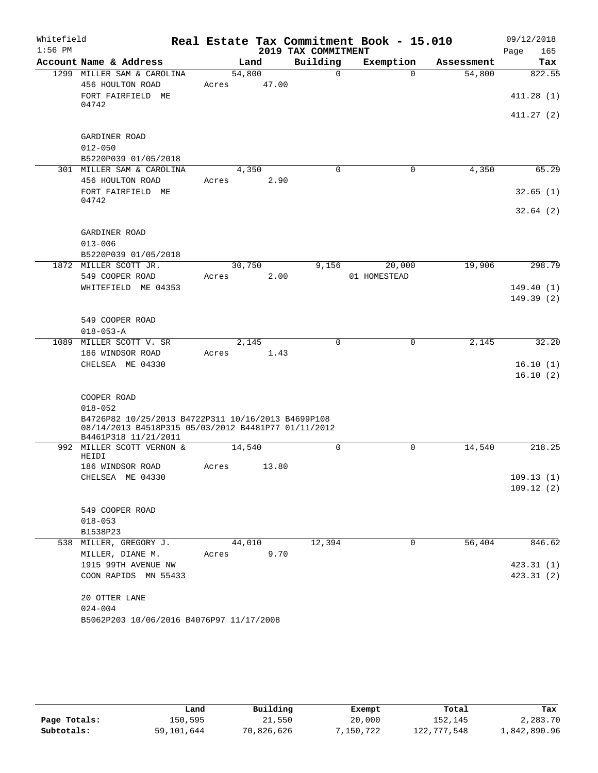| Whitefield<br>$1:56$ PM |                                                                             |                 |       | 2019 TAX COMMITMENT | Real Estate Tax Commitment Book - 15.010 |            | 09/12/2018<br>Page<br>165 |
|-------------------------|-----------------------------------------------------------------------------|-----------------|-------|---------------------|------------------------------------------|------------|---------------------------|
|                         | Account Name & Address                                                      |                 | Land  | Building            | Exemption                                | Assessment | Tax                       |
|                         | 1299 MILLER SAM & CAROLINA                                                  | 54,800          |       | $\Omega$            | $\Omega$                                 | 54,800     | 822.55                    |
|                         | 456 HOULTON ROAD                                                            | Acres           | 47.00 |                     |                                          |            |                           |
|                         | FORT FAIRFIELD ME                                                           |                 |       |                     |                                          |            | 411.28(1)                 |
|                         | 04742                                                                       |                 |       |                     |                                          |            | 411.27(2)                 |
|                         |                                                                             |                 |       |                     |                                          |            |                           |
|                         | GARDINER ROAD                                                               |                 |       |                     |                                          |            |                           |
|                         | $012 - 050$                                                                 |                 |       |                     |                                          |            |                           |
|                         | B5220P039 01/05/2018                                                        |                 |       |                     |                                          |            |                           |
|                         | 301 MILLER SAM & CAROLINA                                                   | 4,350           |       | 0                   | 0                                        | 4,350      | 65.29                     |
|                         | 456 HOULTON ROAD                                                            | Acres           | 2.90  |                     |                                          |            |                           |
|                         | FORT FAIRFIELD ME<br>04742                                                  |                 |       |                     |                                          |            | 32.65(1)                  |
|                         |                                                                             |                 |       |                     |                                          |            | 32.64(2)                  |
|                         |                                                                             |                 |       |                     |                                          |            |                           |
|                         | GARDINER ROAD                                                               |                 |       |                     |                                          |            |                           |
|                         | $013 - 006$                                                                 |                 |       |                     |                                          |            |                           |
|                         | B5220P039 01/05/2018                                                        |                 |       |                     |                                          |            |                           |
|                         | 1872 MILLER SCOTT JR.<br>549 COOPER ROAD                                    | 30,750<br>Acres | 2.00  | 9,156               | 20,000<br>01 HOMESTEAD                   | 19,906     | 298.79                    |
|                         | WHITEFIELD ME 04353                                                         |                 |       |                     |                                          |            | 149.40(1)                 |
|                         |                                                                             |                 |       |                     |                                          |            | 149.39(2)                 |
|                         |                                                                             |                 |       |                     |                                          |            |                           |
|                         | 549 COOPER ROAD                                                             |                 |       |                     |                                          |            |                           |
|                         | $018 - 053 - A$                                                             |                 |       |                     |                                          |            |                           |
|                         | 1089 MILLER SCOTT V. SR                                                     | 2,145           |       | $\Omega$            | $\Omega$                                 | 2,145      | 32.20                     |
|                         | 186 WINDSOR ROAD                                                            | Acres           | 1.43  |                     |                                          |            |                           |
|                         | CHELSEA ME 04330                                                            |                 |       |                     |                                          |            | 16.10(1)                  |
|                         |                                                                             |                 |       |                     |                                          |            | 16.10(2)                  |
|                         | COOPER ROAD                                                                 |                 |       |                     |                                          |            |                           |
|                         | $018 - 052$                                                                 |                 |       |                     |                                          |            |                           |
|                         | B4726P82 10/25/2013 B4722P311 10/16/2013 B4699P108                          |                 |       |                     |                                          |            |                           |
|                         | 08/14/2013 B4518P315 05/03/2012 B4481P77 01/11/2012<br>B4461P318 11/21/2011 |                 |       |                     |                                          |            |                           |
|                         | 992 MILLER SCOTT VERNON &                                                   | 14,540          |       | 0                   | $\mathbf 0$                              | 14,540     | 218.25                    |
|                         | HEIDI                                                                       |                 |       |                     |                                          |            |                           |
|                         | 186 WINDSOR ROAD                                                            | Acres           | 13.80 |                     |                                          |            |                           |
|                         | CHELSEA ME 04330                                                            |                 |       |                     |                                          |            | 109.13(1)                 |
|                         |                                                                             |                 |       |                     |                                          |            | 109.12(2)                 |
|                         | 549 COOPER ROAD                                                             |                 |       |                     |                                          |            |                           |
|                         | $018 - 053$                                                                 |                 |       |                     |                                          |            |                           |
|                         | B1538P23                                                                    |                 |       |                     |                                          |            |                           |
|                         | 538 MILLER, GREGORY J.                                                      | 44,010          |       | 12,394              | 0                                        | 56,404     | 846.62                    |
|                         | MILLER, DIANE M.                                                            | Acres           | 9.70  |                     |                                          |            |                           |
|                         | 1915 99TH AVENUE NW                                                         |                 |       |                     |                                          |            | 423.31(1)                 |
|                         | COON RAPIDS MN 55433                                                        |                 |       |                     |                                          |            | 423.31(2)                 |
|                         |                                                                             |                 |       |                     |                                          |            |                           |
|                         | 20 OTTER LANE<br>$024 - 004$                                                |                 |       |                     |                                          |            |                           |
|                         | B5062P203 10/06/2016 B4076P97 11/17/2008                                    |                 |       |                     |                                          |            |                           |
|                         |                                                                             |                 |       |                     |                                          |            |                           |

|              | Land       | Building   | Exempt    | Total       | Tax          |
|--------------|------------|------------|-----------|-------------|--------------|
| Page Totals: | 150,595    | 21,550     | 20,000    | 152.145     | 2,283.70     |
| Subtotals:   | 59,101,644 | 70,826,626 | 7,150,722 | 122,777,548 | 1,842,890.96 |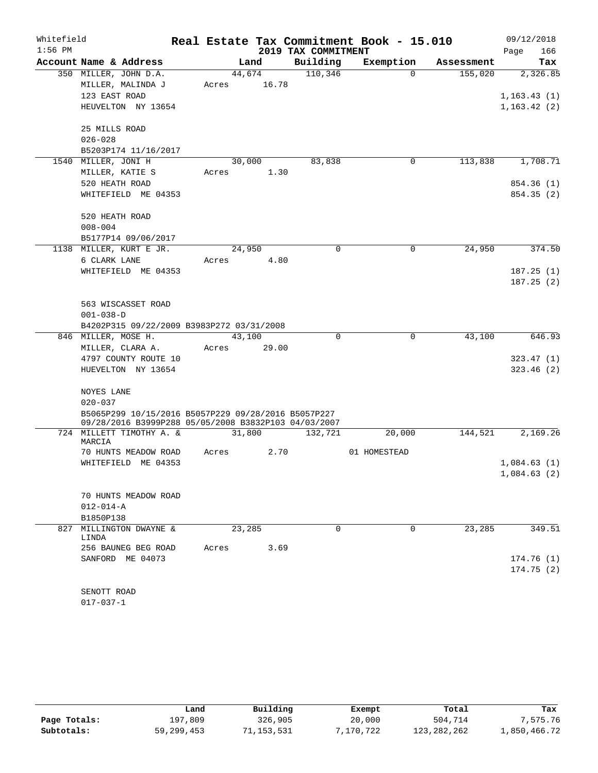| Whitefield |                                                                                   |       |                 |                     | Real Estate Tax Commitment Book - 15.010 |            | 09/12/2018                              |
|------------|-----------------------------------------------------------------------------------|-------|-----------------|---------------------|------------------------------------------|------------|-----------------------------------------|
| $1:56$ PM  |                                                                                   |       |                 | 2019 TAX COMMITMENT |                                          |            | 166<br>Page                             |
|            | Account Name & Address                                                            |       | Land            | Building            | Exemption                                | Assessment | Tax                                     |
|            | 350 MILLER, JOHN D.A.<br>MILLER, MALINDA J<br>123 EAST ROAD<br>HEUVELTON NY 13654 | Acres | 44,674<br>16.78 | 110,346             | $\Omega$                                 | 155,020    | 2,326.85<br>1, 163.43(1)<br>1,163.42(2) |
|            | 25 MILLS ROAD<br>$026 - 028$<br>B5203P174 11/16/2017                              |       |                 |                     |                                          |            |                                         |
|            | 1540 MILLER, JONI H                                                               |       | 30,000          | 83,838              | $\mathbf 0$                              | 113,838    | 1,708.71                                |
|            | MILLER, KATIE S                                                                   | Acres | 1.30            |                     |                                          |            |                                         |
|            | 520 HEATH ROAD                                                                    |       |                 |                     |                                          |            | 854.36 (1)                              |
|            | WHITEFIELD ME 04353                                                               |       |                 |                     |                                          |            | 854.35 (2)                              |
|            | 520 HEATH ROAD                                                                    |       |                 |                     |                                          |            |                                         |
|            | $008 - 004$                                                                       |       |                 |                     |                                          |            |                                         |
|            | B5177P14 09/06/2017                                                               |       |                 |                     |                                          |            |                                         |
|            | 1138 MILLER, KURT E JR.                                                           |       | 24,950          | $\mathbf 0$         | $\mathbf 0$                              | 24,950     | 374.50                                  |
|            | 6 CLARK LANE                                                                      | Acres | 4.80            |                     |                                          |            |                                         |
|            | WHITEFIELD ME 04353                                                               |       |                 |                     |                                          |            | 187.25(1)                               |
|            |                                                                                   |       |                 |                     |                                          |            | 187.25(2)                               |
|            | 563 WISCASSET ROAD                                                                |       |                 |                     |                                          |            |                                         |
|            | $001 - 038 - D$                                                                   |       |                 |                     |                                          |            |                                         |
|            | B4202P315 09/22/2009 B3983P272 03/31/2008                                         |       |                 |                     |                                          |            |                                         |
|            | 846 MILLER, MOSE H.                                                               |       | 43,100          | $\mathbf 0$         | $\mathbf 0$                              | 43,100     | 646.93                                  |
|            | MILLER, CLARA A.                                                                  | Acres | 29.00           |                     |                                          |            |                                         |
|            | 4797 COUNTY ROUTE 10                                                              |       |                 |                     |                                          |            | 323.47(1)                               |
|            | HUEVELTON NY 13654                                                                |       |                 |                     |                                          |            | 323.46(2)                               |
|            | NOYES LANE<br>$020 - 037$                                                         |       |                 |                     |                                          |            |                                         |
|            | B5065P299 10/15/2016 B5057P229 09/28/2016 B5057P227                               |       |                 |                     |                                          |            |                                         |
|            | 09/28/2016 B3999P288 05/05/2008 B3832P103 04/03/2007                              |       |                 |                     | 20,000                                   | 144,521    | 2,169.26                                |
|            | 724 MILLETT TIMOTHY A. &<br>MARCIA                                                |       | 31,800          | 132,721             |                                          |            |                                         |
|            | 70 HUNTS MEADOW ROAD                                                              | Acres | 2.70            |                     | 01 HOMESTEAD                             |            |                                         |
|            | WHITEFIELD ME 04353                                                               |       |                 |                     |                                          |            | 1,084.63(1)                             |
|            |                                                                                   |       |                 |                     |                                          |            | 1,084.63(2)                             |
|            | 70 HUNTS MEADOW ROAD                                                              |       |                 |                     |                                          |            |                                         |
|            | $012 - 014 - A$                                                                   |       |                 |                     |                                          |            |                                         |
|            | B1850P138                                                                         |       |                 |                     |                                          |            |                                         |
| 827        | MILLINGTON DWAYNE &<br>LINDA                                                      |       | 23,285          | $\Omega$            | 0                                        | 23, 285    | 349.51                                  |
|            | 256 BAUNEG BEG ROAD                                                               | Acres | 3.69            |                     |                                          |            |                                         |
|            | SANFORD ME 04073                                                                  |       |                 |                     |                                          |            | 174.76 (1)                              |
|            |                                                                                   |       |                 |                     |                                          |            | 174.75(2)                               |
|            |                                                                                   |       |                 |                     |                                          |            |                                         |
|            | SENOTT ROAD                                                                       |       |                 |                     |                                          |            |                                         |

017-037-1

|              | Land       | Building  | Exempt    | Total       | Tax          |
|--------------|------------|-----------|-----------|-------------|--------------|
| Page Totals: | 197,809    | 326,905   | 20,000    | 504,714     | 7,575.76     |
| Subtotals:   | 59,299,453 | 1,153,531 | 7,170,722 | 123,282,262 | 1,850,466.72 |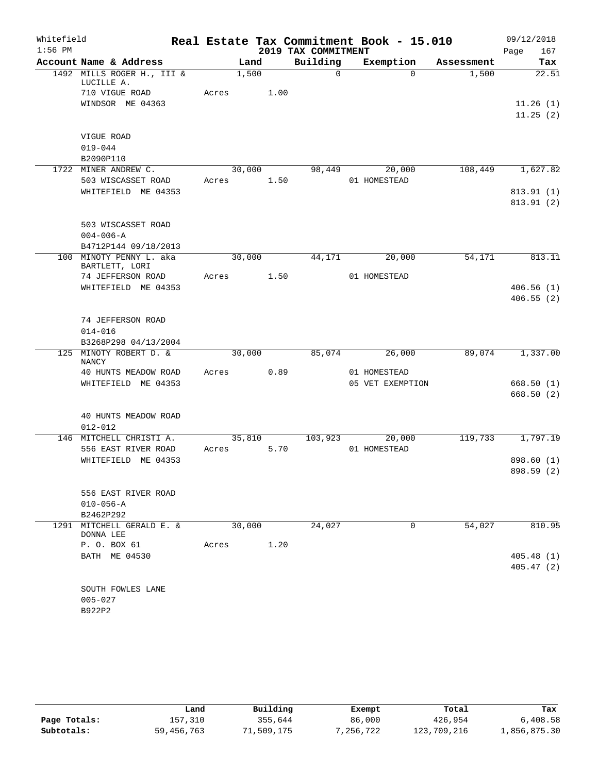| 2019 TAX COMMITMENT<br>Page<br>167<br>Building<br>Account Name & Address<br>Exemption<br>Land<br>Assessment<br>Tax<br>1492 MILLS ROGER H., III &<br>1,500<br>$\Omega$<br>22.51<br>$\Omega$<br>1,500<br>LUCILLE A.<br>710 VIGUE ROAD<br>Acres<br>1.00<br>WINDSOR ME 04363<br>VIGUE ROAD<br>$019 - 044$<br>B2090P110<br>30,000<br>98,449<br>20,000<br>108,449<br>1722 MINER ANDREW C.<br>503 WISCASSET ROAD<br>1.50<br>01 HOMESTEAD<br>Acres<br>WHITEFIELD ME 04353<br>503 WISCASSET ROAD<br>$004 - 006 - A$<br>B4712P144 09/18/2013<br>30,000<br>54,171<br>100 MINOTY PENNY L. aka<br>44,171<br>20,000<br>BARTLETT, LORI<br>74 JEFFERSON ROAD<br>1.50<br>Acres<br>01 HOMESTEAD<br>WHITEFIELD ME 04353<br>74 JEFFERSON ROAD<br>$014 - 016$<br>B3268P298 04/13/2004<br>MINOTY ROBERT D. &<br>30,000<br>125<br>85,074<br>26,000<br>89,074<br><b>NANCY</b><br>40 HUNTS MEADOW ROAD<br>0.89<br>01 HOMESTEAD<br>Acres<br>05 VET EXEMPTION<br>WHITEFIELD ME 04353<br>40 HUNTS MEADOW ROAD<br>$012 - 012$<br>35,810<br>103,923<br>20,000<br>119,733<br>146 MITCHELL CHRISTI A.<br>556 EAST RIVER ROAD<br>5.70<br>01 HOMESTEAD<br>Acres<br>WHITEFIELD ME 04353<br>556 EAST RIVER ROAD<br>$010 - 056 - A$<br>B2462P292<br>1291 MITCHELL GERALD E. &<br>30,000<br>$\mathbf 0$<br>24,027<br>54,027<br>DONNA LEE<br>1.20<br>P. O. BOX 61<br>Acres<br>BATH ME 04530<br>SOUTH FOWLES LANE<br>$005 - 027$ | Whitefield |  |  |  | Real Estate Tax Commitment Book - 15.010 | 09/12/2018 |
|------------------------------------------------------------------------------------------------------------------------------------------------------------------------------------------------------------------------------------------------------------------------------------------------------------------------------------------------------------------------------------------------------------------------------------------------------------------------------------------------------------------------------------------------------------------------------------------------------------------------------------------------------------------------------------------------------------------------------------------------------------------------------------------------------------------------------------------------------------------------------------------------------------------------------------------------------------------------------------------------------------------------------------------------------------------------------------------------------------------------------------------------------------------------------------------------------------------------------------------------------------------------------------------------------------------------------------------------------------------------------------------|------------|--|--|--|------------------------------------------|------------|
|                                                                                                                                                                                                                                                                                                                                                                                                                                                                                                                                                                                                                                                                                                                                                                                                                                                                                                                                                                                                                                                                                                                                                                                                                                                                                                                                                                                          | $1:56$ PM  |  |  |  |                                          |            |
|                                                                                                                                                                                                                                                                                                                                                                                                                                                                                                                                                                                                                                                                                                                                                                                                                                                                                                                                                                                                                                                                                                                                                                                                                                                                                                                                                                                          |            |  |  |  |                                          |            |
|                                                                                                                                                                                                                                                                                                                                                                                                                                                                                                                                                                                                                                                                                                                                                                                                                                                                                                                                                                                                                                                                                                                                                                                                                                                                                                                                                                                          |            |  |  |  |                                          |            |
| 11.26(1)<br>11.25(2)<br>1,627.82<br>813.91 (1)<br>813.91 (2)<br>813.11<br>406.56(1)<br>406.55(2)<br>1,337.00<br>668.50(1)<br>668.50(2)<br>1,797.19                                                                                                                                                                                                                                                                                                                                                                                                                                                                                                                                                                                                                                                                                                                                                                                                                                                                                                                                                                                                                                                                                                                                                                                                                                       |            |  |  |  |                                          |            |
|                                                                                                                                                                                                                                                                                                                                                                                                                                                                                                                                                                                                                                                                                                                                                                                                                                                                                                                                                                                                                                                                                                                                                                                                                                                                                                                                                                                          |            |  |  |  |                                          |            |
|                                                                                                                                                                                                                                                                                                                                                                                                                                                                                                                                                                                                                                                                                                                                                                                                                                                                                                                                                                                                                                                                                                                                                                                                                                                                                                                                                                                          |            |  |  |  |                                          |            |
|                                                                                                                                                                                                                                                                                                                                                                                                                                                                                                                                                                                                                                                                                                                                                                                                                                                                                                                                                                                                                                                                                                                                                                                                                                                                                                                                                                                          |            |  |  |  |                                          |            |
|                                                                                                                                                                                                                                                                                                                                                                                                                                                                                                                                                                                                                                                                                                                                                                                                                                                                                                                                                                                                                                                                                                                                                                                                                                                                                                                                                                                          |            |  |  |  |                                          |            |
|                                                                                                                                                                                                                                                                                                                                                                                                                                                                                                                                                                                                                                                                                                                                                                                                                                                                                                                                                                                                                                                                                                                                                                                                                                                                                                                                                                                          |            |  |  |  |                                          |            |
|                                                                                                                                                                                                                                                                                                                                                                                                                                                                                                                                                                                                                                                                                                                                                                                                                                                                                                                                                                                                                                                                                                                                                                                                                                                                                                                                                                                          |            |  |  |  |                                          |            |
|                                                                                                                                                                                                                                                                                                                                                                                                                                                                                                                                                                                                                                                                                                                                                                                                                                                                                                                                                                                                                                                                                                                                                                                                                                                                                                                                                                                          |            |  |  |  |                                          |            |
|                                                                                                                                                                                                                                                                                                                                                                                                                                                                                                                                                                                                                                                                                                                                                                                                                                                                                                                                                                                                                                                                                                                                                                                                                                                                                                                                                                                          |            |  |  |  |                                          |            |
|                                                                                                                                                                                                                                                                                                                                                                                                                                                                                                                                                                                                                                                                                                                                                                                                                                                                                                                                                                                                                                                                                                                                                                                                                                                                                                                                                                                          |            |  |  |  |                                          |            |
|                                                                                                                                                                                                                                                                                                                                                                                                                                                                                                                                                                                                                                                                                                                                                                                                                                                                                                                                                                                                                                                                                                                                                                                                                                                                                                                                                                                          |            |  |  |  |                                          |            |
|                                                                                                                                                                                                                                                                                                                                                                                                                                                                                                                                                                                                                                                                                                                                                                                                                                                                                                                                                                                                                                                                                                                                                                                                                                                                                                                                                                                          |            |  |  |  |                                          |            |
|                                                                                                                                                                                                                                                                                                                                                                                                                                                                                                                                                                                                                                                                                                                                                                                                                                                                                                                                                                                                                                                                                                                                                                                                                                                                                                                                                                                          |            |  |  |  |                                          |            |
|                                                                                                                                                                                                                                                                                                                                                                                                                                                                                                                                                                                                                                                                                                                                                                                                                                                                                                                                                                                                                                                                                                                                                                                                                                                                                                                                                                                          |            |  |  |  |                                          |            |
|                                                                                                                                                                                                                                                                                                                                                                                                                                                                                                                                                                                                                                                                                                                                                                                                                                                                                                                                                                                                                                                                                                                                                                                                                                                                                                                                                                                          |            |  |  |  |                                          |            |
|                                                                                                                                                                                                                                                                                                                                                                                                                                                                                                                                                                                                                                                                                                                                                                                                                                                                                                                                                                                                                                                                                                                                                                                                                                                                                                                                                                                          |            |  |  |  |                                          |            |
|                                                                                                                                                                                                                                                                                                                                                                                                                                                                                                                                                                                                                                                                                                                                                                                                                                                                                                                                                                                                                                                                                                                                                                                                                                                                                                                                                                                          |            |  |  |  |                                          |            |
|                                                                                                                                                                                                                                                                                                                                                                                                                                                                                                                                                                                                                                                                                                                                                                                                                                                                                                                                                                                                                                                                                                                                                                                                                                                                                                                                                                                          |            |  |  |  |                                          |            |
|                                                                                                                                                                                                                                                                                                                                                                                                                                                                                                                                                                                                                                                                                                                                                                                                                                                                                                                                                                                                                                                                                                                                                                                                                                                                                                                                                                                          |            |  |  |  |                                          |            |
|                                                                                                                                                                                                                                                                                                                                                                                                                                                                                                                                                                                                                                                                                                                                                                                                                                                                                                                                                                                                                                                                                                                                                                                                                                                                                                                                                                                          |            |  |  |  |                                          |            |
|                                                                                                                                                                                                                                                                                                                                                                                                                                                                                                                                                                                                                                                                                                                                                                                                                                                                                                                                                                                                                                                                                                                                                                                                                                                                                                                                                                                          |            |  |  |  |                                          |            |
|                                                                                                                                                                                                                                                                                                                                                                                                                                                                                                                                                                                                                                                                                                                                                                                                                                                                                                                                                                                                                                                                                                                                                                                                                                                                                                                                                                                          |            |  |  |  |                                          |            |
|                                                                                                                                                                                                                                                                                                                                                                                                                                                                                                                                                                                                                                                                                                                                                                                                                                                                                                                                                                                                                                                                                                                                                                                                                                                                                                                                                                                          |            |  |  |  |                                          |            |
|                                                                                                                                                                                                                                                                                                                                                                                                                                                                                                                                                                                                                                                                                                                                                                                                                                                                                                                                                                                                                                                                                                                                                                                                                                                                                                                                                                                          |            |  |  |  |                                          |            |
|                                                                                                                                                                                                                                                                                                                                                                                                                                                                                                                                                                                                                                                                                                                                                                                                                                                                                                                                                                                                                                                                                                                                                                                                                                                                                                                                                                                          |            |  |  |  |                                          |            |
|                                                                                                                                                                                                                                                                                                                                                                                                                                                                                                                                                                                                                                                                                                                                                                                                                                                                                                                                                                                                                                                                                                                                                                                                                                                                                                                                                                                          |            |  |  |  |                                          |            |
|                                                                                                                                                                                                                                                                                                                                                                                                                                                                                                                                                                                                                                                                                                                                                                                                                                                                                                                                                                                                                                                                                                                                                                                                                                                                                                                                                                                          |            |  |  |  |                                          |            |
|                                                                                                                                                                                                                                                                                                                                                                                                                                                                                                                                                                                                                                                                                                                                                                                                                                                                                                                                                                                                                                                                                                                                                                                                                                                                                                                                                                                          |            |  |  |  |                                          |            |
|                                                                                                                                                                                                                                                                                                                                                                                                                                                                                                                                                                                                                                                                                                                                                                                                                                                                                                                                                                                                                                                                                                                                                                                                                                                                                                                                                                                          |            |  |  |  |                                          |            |
| 898.60 (1)<br>898.59 (2)<br>810.95<br>405.48(1)<br>405.47(2)                                                                                                                                                                                                                                                                                                                                                                                                                                                                                                                                                                                                                                                                                                                                                                                                                                                                                                                                                                                                                                                                                                                                                                                                                                                                                                                             |            |  |  |  |                                          |            |
|                                                                                                                                                                                                                                                                                                                                                                                                                                                                                                                                                                                                                                                                                                                                                                                                                                                                                                                                                                                                                                                                                                                                                                                                                                                                                                                                                                                          |            |  |  |  |                                          |            |
|                                                                                                                                                                                                                                                                                                                                                                                                                                                                                                                                                                                                                                                                                                                                                                                                                                                                                                                                                                                                                                                                                                                                                                                                                                                                                                                                                                                          |            |  |  |  |                                          |            |
|                                                                                                                                                                                                                                                                                                                                                                                                                                                                                                                                                                                                                                                                                                                                                                                                                                                                                                                                                                                                                                                                                                                                                                                                                                                                                                                                                                                          |            |  |  |  |                                          |            |
|                                                                                                                                                                                                                                                                                                                                                                                                                                                                                                                                                                                                                                                                                                                                                                                                                                                                                                                                                                                                                                                                                                                                                                                                                                                                                                                                                                                          |            |  |  |  |                                          |            |
|                                                                                                                                                                                                                                                                                                                                                                                                                                                                                                                                                                                                                                                                                                                                                                                                                                                                                                                                                                                                                                                                                                                                                                                                                                                                                                                                                                                          |            |  |  |  |                                          |            |
|                                                                                                                                                                                                                                                                                                                                                                                                                                                                                                                                                                                                                                                                                                                                                                                                                                                                                                                                                                                                                                                                                                                                                                                                                                                                                                                                                                                          |            |  |  |  |                                          |            |
|                                                                                                                                                                                                                                                                                                                                                                                                                                                                                                                                                                                                                                                                                                                                                                                                                                                                                                                                                                                                                                                                                                                                                                                                                                                                                                                                                                                          |            |  |  |  |                                          |            |
|                                                                                                                                                                                                                                                                                                                                                                                                                                                                                                                                                                                                                                                                                                                                                                                                                                                                                                                                                                                                                                                                                                                                                                                                                                                                                                                                                                                          |            |  |  |  |                                          |            |
|                                                                                                                                                                                                                                                                                                                                                                                                                                                                                                                                                                                                                                                                                                                                                                                                                                                                                                                                                                                                                                                                                                                                                                                                                                                                                                                                                                                          |            |  |  |  |                                          |            |
|                                                                                                                                                                                                                                                                                                                                                                                                                                                                                                                                                                                                                                                                                                                                                                                                                                                                                                                                                                                                                                                                                                                                                                                                                                                                                                                                                                                          |            |  |  |  |                                          |            |
|                                                                                                                                                                                                                                                                                                                                                                                                                                                                                                                                                                                                                                                                                                                                                                                                                                                                                                                                                                                                                                                                                                                                                                                                                                                                                                                                                                                          |            |  |  |  |                                          |            |
|                                                                                                                                                                                                                                                                                                                                                                                                                                                                                                                                                                                                                                                                                                                                                                                                                                                                                                                                                                                                                                                                                                                                                                                                                                                                                                                                                                                          |            |  |  |  |                                          |            |
|                                                                                                                                                                                                                                                                                                                                                                                                                                                                                                                                                                                                                                                                                                                                                                                                                                                                                                                                                                                                                                                                                                                                                                                                                                                                                                                                                                                          |            |  |  |  |                                          |            |
|                                                                                                                                                                                                                                                                                                                                                                                                                                                                                                                                                                                                                                                                                                                                                                                                                                                                                                                                                                                                                                                                                                                                                                                                                                                                                                                                                                                          |            |  |  |  |                                          |            |
| B922P2                                                                                                                                                                                                                                                                                                                                                                                                                                                                                                                                                                                                                                                                                                                                                                                                                                                                                                                                                                                                                                                                                                                                                                                                                                                                                                                                                                                   |            |  |  |  |                                          |            |

|              | Land         | Building   | Exempt    | Total       | Tax          |
|--------------|--------------|------------|-----------|-------------|--------------|
| Page Totals: | 157,310      | 355,644    | 86,000    | 426,954     | 6,408.58     |
| Subtotals:   | 59, 456, 763 | 71,509,175 | 7,256,722 | 123,709,216 | 1,856,875.30 |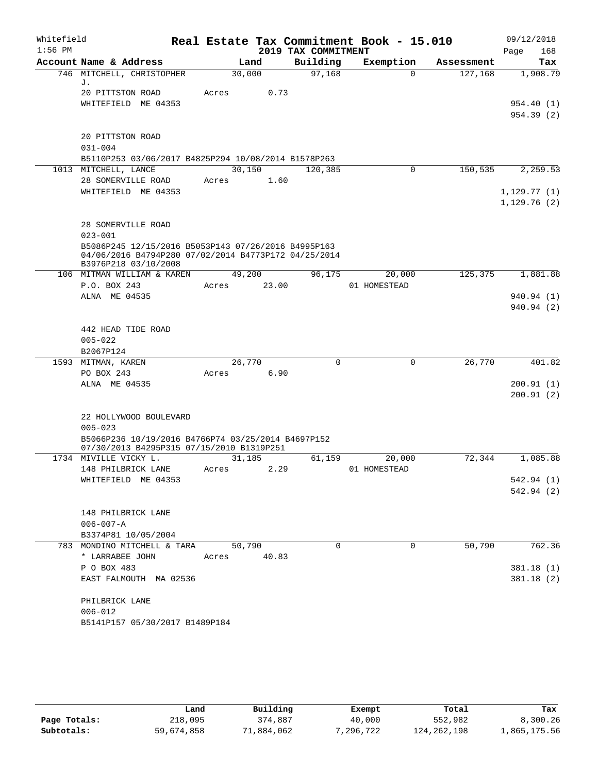| Whitefield |                                                                                                 |                |                     | Real Estate Tax Commitment Book - 15.010 |            | 09/12/2018   |
|------------|-------------------------------------------------------------------------------------------------|----------------|---------------------|------------------------------------------|------------|--------------|
| $1:56$ PM  |                                                                                                 |                | 2019 TAX COMMITMENT |                                          |            | 168<br>Page  |
|            | Account Name & Address                                                                          | Land           | Building            | Exemption                                | Assessment | Tax          |
|            | 746 MITCHELL, CHRISTOPHER<br>J.                                                                 | 30,000         | 97,168              | $\Omega$                                 | 127,168    | 1,908.79     |
|            | 20 PITTSTON ROAD                                                                                | Acres          | 0.73                |                                          |            |              |
|            | WHITEFIELD ME 04353                                                                             |                |                     |                                          |            | 954.40 (1)   |
|            |                                                                                                 |                |                     |                                          |            | 954.39(2)    |
|            |                                                                                                 |                |                     |                                          |            |              |
|            | 20 PITTSTON ROAD                                                                                |                |                     |                                          |            |              |
|            | $031 - 004$                                                                                     |                |                     |                                          |            |              |
|            | B5110P253 03/06/2017 B4825P294 10/08/2014 B1578P263                                             |                |                     |                                          |            |              |
|            | 1013 MITCHELL, LANCE                                                                            | 30,150         | 120,385             | 0                                        | 150, 535   | 2,259.53     |
|            | 28 SOMERVILLE ROAD<br>WHITEFIELD ME 04353                                                       | Acres          | 1.60                |                                          |            | 1, 129.77(1) |
|            |                                                                                                 |                |                     |                                          |            | 1,129.76(2)  |
|            |                                                                                                 |                |                     |                                          |            |              |
|            | 28 SOMERVILLE ROAD                                                                              |                |                     |                                          |            |              |
|            | $023 - 001$                                                                                     |                |                     |                                          |            |              |
|            | B5086P245 12/15/2016 B5053P143 07/26/2016 B4995P163                                             |                |                     |                                          |            |              |
|            | 04/06/2016 B4794P280 07/02/2014 B4773P172 04/25/2014<br>B3976P218 03/10/2008                    |                |                     |                                          |            |              |
|            | 106 MITMAN WILLIAM & KAREN                                                                      | 49,200         | 96,175              | 20,000                                   | 125,375    | 1,881.88     |
|            | P.O. BOX 243                                                                                    | Acres          | 23.00               | 01 HOMESTEAD                             |            |              |
|            | ALNA ME 04535                                                                                   |                |                     |                                          |            | 940.94 (1)   |
|            |                                                                                                 |                |                     |                                          |            | 940.94 (2)   |
|            |                                                                                                 |                |                     |                                          |            |              |
|            | 442 HEAD TIDE ROAD                                                                              |                |                     |                                          |            |              |
|            | $005 - 022$                                                                                     |                |                     |                                          |            |              |
|            | B2067P124                                                                                       | 26,770         | $\mathbf 0$         | 0                                        | 26,770     |              |
|            | 1593 MITMAN, KAREN<br>PO BOX 243                                                                | Acres          | 6.90                |                                          |            | 401.82       |
|            | ALNA ME 04535                                                                                   |                |                     |                                          |            | 200.91(1)    |
|            |                                                                                                 |                |                     |                                          |            | 200.91(2)    |
|            |                                                                                                 |                |                     |                                          |            |              |
|            | 22 HOLLYWOOD BOULEVARD                                                                          |                |                     |                                          |            |              |
|            | $005 - 023$                                                                                     |                |                     |                                          |            |              |
|            | B5066P236 10/19/2016 B4766P74 03/25/2014 B4697P152<br>07/30/2013 B4295P315 07/15/2010 B1319P251 |                |                     |                                          |            |              |
|            | 1734 MIVILLE VICKY L.                                                                           | 31,185         | 61,159              | 20,000                                   | 72,344     | 1,085.88     |
|            | 148 PHILBRICK LANE                                                                              | Acres          | 2.29                | 01 HOMESTEAD                             |            |              |
|            | WHITEFIELD ME 04353                                                                             |                |                     |                                          |            | 542.94 (1)   |
|            |                                                                                                 |                |                     |                                          |            | 542.94(2)    |
|            |                                                                                                 |                |                     |                                          |            |              |
|            | 148 PHILBRICK LANE                                                                              |                |                     |                                          |            |              |
|            | $006 - 007 - A$<br>B3374P81 10/05/2004                                                          |                |                     |                                          |            |              |
|            | 783 MONDINO MITCHELL & TARA                                                                     | 50,790         | 0                   | 0                                        | 50,790     | 762.36       |
|            | * LARRABEE JOHN                                                                                 | 40.83<br>Acres |                     |                                          |            |              |
|            | P O BOX 483                                                                                     |                |                     |                                          |            | 381.18(1)    |
|            | EAST FALMOUTH MA 02536                                                                          |                |                     |                                          |            | 381.18(2)    |
|            |                                                                                                 |                |                     |                                          |            |              |
|            | PHILBRICK LANE                                                                                  |                |                     |                                          |            |              |
|            | $006 - 012$                                                                                     |                |                     |                                          |            |              |
|            | B5141P157 05/30/2017 B1489P184                                                                  |                |                     |                                          |            |              |

|              | Land       | Building   | Exempt   | Total       | Tax          |
|--------------|------------|------------|----------|-------------|--------------|
| Page Totals: | 218,095    | 374,887    | 40,000   | 552,982     | 8,300.26     |
| Subtotals:   | 59,674,858 | 71,884,062 | .296.722 | 124,262,198 | 1,865,175.56 |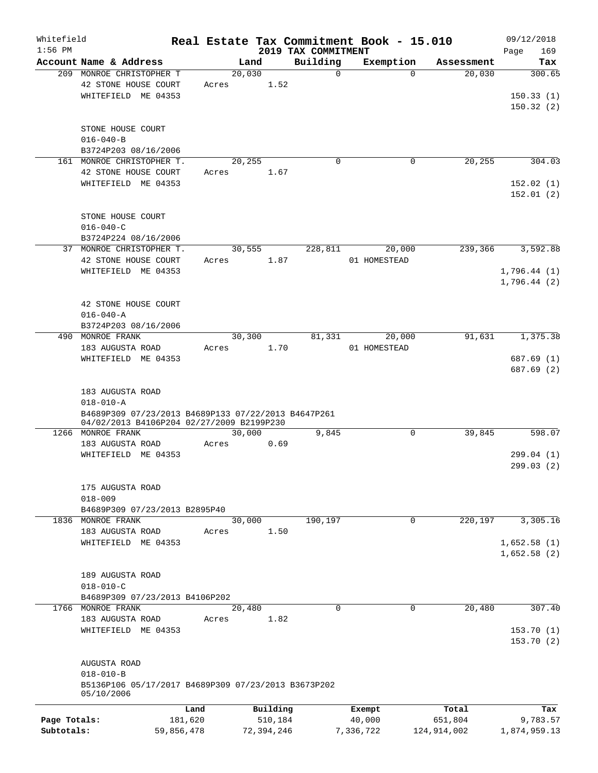| Whitefield<br>$1:56$ PM |                                                     |       |            | 2019 TAX COMMITMENT | Real Estate Tax Commitment Book - 15.010 |             | 09/12/2018<br>Page<br>169 |
|-------------------------|-----------------------------------------------------|-------|------------|---------------------|------------------------------------------|-------------|---------------------------|
|                         | Account Name & Address                              |       | Land       | Building            | Exemption                                | Assessment  | Tax                       |
|                         | 209 MONROE CHRISTOPHER T                            |       | 20,030     | $\mathbf 0$         | $\Omega$                                 | 20,030      | 300.65                    |
|                         | 42 STONE HOUSE COURT                                | Acres | 1.52       |                     |                                          |             |                           |
|                         | WHITEFIELD ME 04353                                 |       |            |                     |                                          |             | 150.33(1)                 |
|                         |                                                     |       |            |                     |                                          |             | 150.32(2)                 |
|                         |                                                     |       |            |                     |                                          |             |                           |
|                         | STONE HOUSE COURT                                   |       |            |                     |                                          |             |                           |
|                         | $016 - 040 - B$                                     |       |            |                     |                                          |             |                           |
|                         | B3724P203 08/16/2006                                |       |            |                     |                                          |             |                           |
|                         | 161 MONROE CHRISTOPHER T.                           |       |            | $\mathbf 0$         | 0                                        | 20,255      | 304.03                    |
|                         |                                                     |       | 20,255     |                     |                                          |             |                           |
|                         | 42 STONE HOUSE COURT                                | Acres | 1.67       |                     |                                          |             |                           |
|                         | WHITEFIELD ME 04353                                 |       |            |                     |                                          |             | 152.02(1)                 |
|                         |                                                     |       |            |                     |                                          |             | 152.01(2)                 |
|                         |                                                     |       |            |                     |                                          |             |                           |
|                         | STONE HOUSE COURT                                   |       |            |                     |                                          |             |                           |
|                         | $016 - 040 - C$                                     |       |            |                     |                                          |             |                           |
|                         | B3724P224 08/16/2006                                |       |            |                     |                                          |             |                           |
| 37                      | MONROE CHRISTOPHER T.                               |       | 30,555     | 228,811             | 20,000                                   | 239,366     | 3,592.88                  |
|                         | 42 STONE HOUSE COURT                                | Acres | 1.87       |                     | 01 HOMESTEAD                             |             |                           |
|                         | WHITEFIELD ME 04353                                 |       |            |                     |                                          |             | 1,796.44(1)               |
|                         |                                                     |       |            |                     |                                          |             | 1,796.44(2)               |
|                         |                                                     |       |            |                     |                                          |             |                           |
|                         | 42 STONE HOUSE COURT                                |       |            |                     |                                          |             |                           |
|                         | $016 - 040 - A$                                     |       |            |                     |                                          |             |                           |
|                         | B3724P203 08/16/2006                                |       |            |                     |                                          |             |                           |
| 490                     | MONROE FRANK                                        |       | 30,300     | 81,331              | 20,000                                   | 91,631      | 1,375.38                  |
|                         | 183 AUGUSTA ROAD                                    | Acres | 1.70       |                     | 01 HOMESTEAD                             |             |                           |
|                         | WHITEFIELD ME 04353                                 |       |            |                     |                                          |             | 687.69 (1)                |
|                         |                                                     |       |            |                     |                                          |             | 687.69 (2)                |
|                         |                                                     |       |            |                     |                                          |             |                           |
|                         | 183 AUGUSTA ROAD                                    |       |            |                     |                                          |             |                           |
|                         | $018 - 010 - A$                                     |       |            |                     |                                          |             |                           |
|                         | B4689P309 07/23/2013 B4689P133 07/22/2013 B4647P261 |       |            |                     |                                          |             |                           |
|                         | 04/02/2013 B4106P204 02/27/2009 B2199P230           |       |            |                     |                                          |             |                           |
|                         | 1266 MONROE FRANK                                   |       | 30,000     | 9,845               | 0                                        | 39,845      | 598.07                    |
|                         | 183 AUGUSTA ROAD                                    | Acres | 0.69       |                     |                                          |             |                           |
|                         | WHITEFIELD ME 04353                                 |       |            |                     |                                          |             | 299.04 (1)                |
|                         |                                                     |       |            |                     |                                          |             | 299.03(2)                 |
|                         |                                                     |       |            |                     |                                          |             |                           |
|                         | 175 AUGUSTA ROAD                                    |       |            |                     |                                          |             |                           |
|                         | $018 - 009$                                         |       |            |                     |                                          |             |                           |
|                         | B4689P309 07/23/2013 B2895P40                       |       |            |                     |                                          |             |                           |
|                         | 1836 MONROE FRANK                                   |       | 30,000     | 190,197             | 0                                        | 220,197     | 3,305.16                  |
|                         | 183 AUGUSTA ROAD                                    | Acres | 1.50       |                     |                                          |             |                           |
|                         | WHITEFIELD ME 04353                                 |       |            |                     |                                          |             | 1,652.58(1)               |
|                         |                                                     |       |            |                     |                                          |             | 1,652.58(2)               |
|                         |                                                     |       |            |                     |                                          |             |                           |
|                         | 189 AUGUSTA ROAD                                    |       |            |                     |                                          |             |                           |
|                         | $018 - 010 - C$                                     |       |            |                     |                                          |             |                           |
|                         | B4689P309 07/23/2013 B4106P202                      |       |            |                     |                                          |             |                           |
|                         | 1766 MONROE FRANK                                   |       | 20,480     | $\Omega$            | $\Omega$                                 | 20,480      | 307.40                    |
|                         | 183 AUGUSTA ROAD                                    | Acres | 1.82       |                     |                                          |             |                           |
|                         | WHITEFIELD ME 04353                                 |       |            |                     |                                          |             | 153.70(1)                 |
|                         |                                                     |       |            |                     |                                          |             | 153.70(2)                 |
|                         |                                                     |       |            |                     |                                          |             |                           |
|                         | AUGUSTA ROAD                                        |       |            |                     |                                          |             |                           |
|                         | $018 - 010 - B$                                     |       |            |                     |                                          |             |                           |
|                         | B5136P106 05/17/2017 B4689P309 07/23/2013 B3673P202 |       |            |                     |                                          |             |                           |
|                         | 05/10/2006                                          |       |            |                     |                                          |             |                           |
|                         |                                                     | Land  | Building   |                     | Exempt                                   | Total       | Tax                       |
| Page Totals:            | 181,620                                             |       | 510,184    |                     | 40,000                                   | 651,804     | 9,783.57                  |
| Subtotals:              | 59,856,478                                          |       | 72,394,246 |                     | 7,336,722                                | 124,914,002 | 1,874,959.13              |
|                         |                                                     |       |            |                     |                                          |             |                           |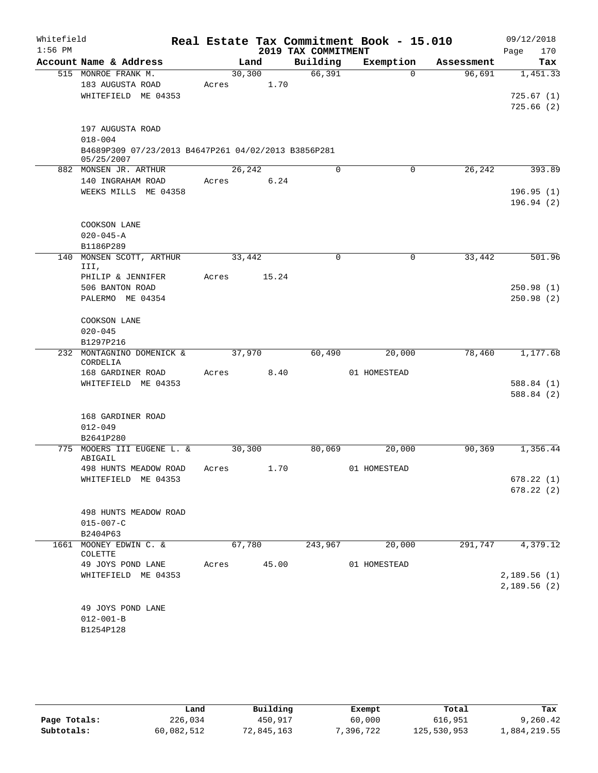| Whitefield |                                                     |       |         |             |                     | Real Estate Tax Commitment Book - 15.010 |            | 09/12/2018             |
|------------|-----------------------------------------------------|-------|---------|-------------|---------------------|------------------------------------------|------------|------------------------|
| $1:56$ PM  |                                                     |       |         |             | 2019 TAX COMMITMENT |                                          |            | 170<br>Page            |
|            | Account Name & Address                              |       | Land    |             | Building            | Exemption                                | Assessment | Tax                    |
|            | 515 MONROE FRANK M.                                 |       | 30, 300 |             | 66,391              | $\Omega$                                 | 96,691     | 1,451.33               |
|            | 183 AUGUSTA ROAD                                    | Acres |         | 1.70        |                     |                                          |            |                        |
|            | WHITEFIELD ME 04353                                 |       |         |             |                     |                                          |            | 725.67(1)              |
|            |                                                     |       |         |             |                     |                                          |            | 725.66(2)              |
|            | 197 AUGUSTA ROAD                                    |       |         |             |                     |                                          |            |                        |
|            | $018 - 004$                                         |       |         |             |                     |                                          |            |                        |
|            | B4689P309 07/23/2013 B4647P261 04/02/2013 B3856P281 |       |         |             |                     |                                          |            |                        |
|            | 05/25/2007                                          |       |         |             |                     |                                          |            |                        |
|            | 882 MONSEN JR. ARTHUR                               |       | 26,242  |             | $\Omega$            | 0                                        | 26,242     | 393.89                 |
|            | 140 INGRAHAM ROAD                                   | Acres |         | 6.24        |                     |                                          |            |                        |
|            | WEEKS MILLS ME 04358                                |       |         |             |                     |                                          |            | 196.95(1)<br>196.94(2) |
|            |                                                     |       |         |             |                     |                                          |            |                        |
|            | COOKSON LANE                                        |       |         |             |                     |                                          |            |                        |
|            | $020 - 045 - A$                                     |       |         |             |                     |                                          |            |                        |
|            | B1186P289                                           |       |         |             |                     |                                          |            |                        |
| 140        | MONSEN SCOTT, ARTHUR                                |       | 33,442  |             | $\mathbf 0$         | 0                                        | 33,442     | 501.96                 |
|            | III,                                                |       |         |             |                     |                                          |            |                        |
|            | PHILIP & JENNIFER<br>506 BANTON ROAD                | Acres |         | 15.24       |                     |                                          |            | 250.98(1)              |
|            | PALERMO ME 04354                                    |       |         |             |                     |                                          |            | 250.98(2)              |
|            |                                                     |       |         |             |                     |                                          |            |                        |
|            | COOKSON LANE                                        |       |         |             |                     |                                          |            |                        |
|            | $020 - 045$                                         |       |         |             |                     |                                          |            |                        |
|            | B1297P216                                           |       |         |             |                     |                                          |            |                        |
| 232        | MONTAGNINO DOMENICK &<br>CORDELIA                   |       | 37,970  |             | 60,490              | 20,000                                   | 78,460     | 1,177.68               |
|            | 168 GARDINER ROAD                                   | Acres |         | 8.40        |                     | 01 HOMESTEAD                             |            |                        |
|            | WHITEFIELD ME 04353                                 |       |         |             |                     |                                          |            | 588.84(1)              |
|            |                                                     |       |         |             |                     |                                          |            | 588.84 (2)             |
|            |                                                     |       |         |             |                     |                                          |            |                        |
|            | 168 GARDINER ROAD                                   |       |         |             |                     |                                          |            |                        |
|            | $012 - 049$                                         |       |         |             |                     |                                          |            |                        |
|            | B2641P280<br>775 MOOERS III EUGENE L. &             |       | 30,300  |             | 80,069              | 20,000                                   | 90,369     | 1,356.44               |
|            | ABIGAIL                                             |       |         |             |                     |                                          |            |                        |
|            | 498 HUNTS MEADOW ROAD                               | Acres |         | 1.70        |                     | 01 HOMESTEAD                             |            |                        |
|            | WHITEFIELD ME 04353                                 |       |         |             |                     |                                          |            | 678.22(1)              |
|            |                                                     |       |         |             |                     |                                          |            | 678.22(2)              |
|            | 498 HUNTS MEADOW ROAD                               |       |         |             |                     |                                          |            |                        |
|            | $015 - 007 - C$                                     |       |         |             |                     |                                          |            |                        |
|            | B2404P63                                            |       |         |             |                     |                                          |            |                        |
|            | 1661 MOONEY EDWIN C. &                              |       | 67,780  |             | 243,967             | 20,000                                   | 291,747    | 4,379.12               |
|            | COLETTE                                             |       |         | Acres 45.00 |                     | 01 HOMESTEAD                             |            |                        |
|            | 49 JOYS POND LANE<br>WHITEFIELD ME 04353            |       |         |             |                     |                                          |            | 2,189.56 (1)           |
|            |                                                     |       |         |             |                     |                                          |            | 2,189.56(2)            |
|            |                                                     |       |         |             |                     |                                          |            |                        |
|            | 49 JOYS POND LANE                                   |       |         |             |                     |                                          |            |                        |
|            | $012 - 001 - B$                                     |       |         |             |                     |                                          |            |                        |
|            | B1254P128                                           |       |         |             |                     |                                          |            |                        |
|            |                                                     |       |         |             |                     |                                          |            |                        |

|              | Land       | Building   | Exempt   | Total       | Tax          |  |
|--------------|------------|------------|----------|-------------|--------------|--|
| Page Totals: | 226,034    | 450,917    | 60,000   | 616,951     | 9,260.42     |  |
| Subtotals:   | 60,082,512 | 72,845,163 | .396.722 | 125,530,953 | 1,884,219.55 |  |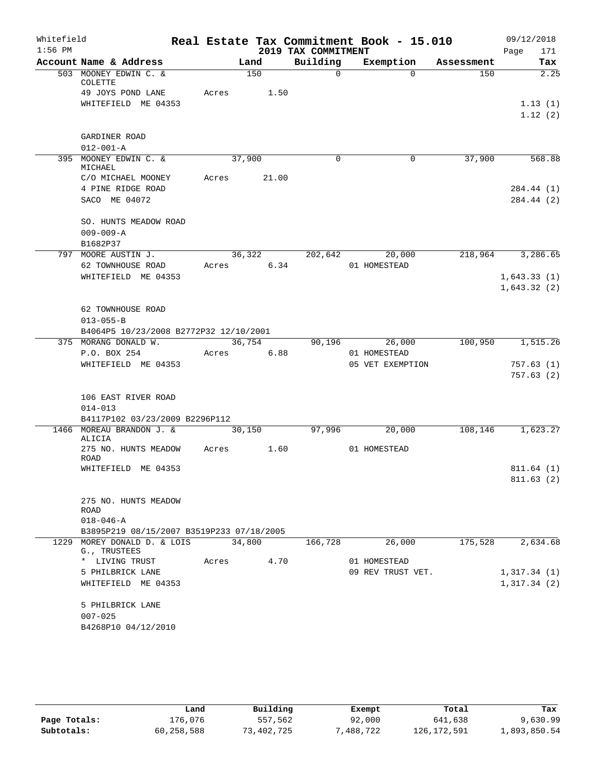| Whitefield<br>$1:56$ PM |                                           |            |        | 2019 TAX COMMITMENT | Real Estate Tax Commitment Book - 15.010 |            | 09/12/2018<br>171<br>Page |
|-------------------------|-------------------------------------------|------------|--------|---------------------|------------------------------------------|------------|---------------------------|
|                         | Account Name & Address                    |            | Land   | Building            | Exemption                                | Assessment | Tax                       |
|                         | 503 MOONEY EDWIN C. &<br>COLETTE          |            | 150    | $\Omega$            | $\Omega$                                 | 150        | 2.25                      |
|                         | 49 JOYS POND LANE                         | Acres 1.50 |        |                     |                                          |            |                           |
|                         | WHITEFIELD ME 04353                       |            |        |                     |                                          |            | 1.13(1)                   |
|                         |                                           |            |        |                     |                                          |            | 1.12(2)                   |
|                         |                                           |            |        |                     |                                          |            |                           |
|                         | GARDINER ROAD                             |            |        |                     |                                          |            |                           |
|                         | $012 - 001 - A$                           |            |        |                     |                                          |            |                           |
|                         | 395 MOONEY EDWIN C. &<br>MICHAEL          | 37,900     |        | $\Omega$            | 0                                        | 37,900     | 568.88                    |
|                         | C/O MICHAEL MOONEY                        | Acres      | 21.00  |                     |                                          |            |                           |
|                         | 4 PINE RIDGE ROAD                         |            |        |                     |                                          |            | 284.44 (1)                |
|                         | SACO ME 04072                             |            |        |                     |                                          |            | 284.44 (2)                |
|                         | SO. HUNTS MEADOW ROAD                     |            |        |                     |                                          |            |                           |
|                         | $009 - 009 - A$                           |            |        |                     |                                          |            |                           |
|                         | B1682P37                                  |            |        |                     |                                          |            |                           |
|                         | 797 MOORE AUSTIN J.                       |            | 36,322 | 202,642             | 20,000                                   | 218,964    | 3,286.65                  |
|                         | 62 TOWNHOUSE ROAD                         | Acres 6.34 |        |                     | 01 HOMESTEAD                             |            |                           |
|                         | WHITEFIELD ME 04353                       |            |        |                     |                                          |            | 1,643.33(1)               |
|                         |                                           |            |        |                     |                                          |            | 1,643.32(2)               |
|                         |                                           |            |        |                     |                                          |            |                           |
|                         | 62 TOWNHOUSE ROAD                         |            |        |                     |                                          |            |                           |
|                         | $013 - 055 - B$                           |            |        |                     |                                          |            |                           |
|                         | B4064P5 10/23/2008 B2772P32 12/10/2001    |            |        |                     |                                          |            |                           |
|                         | 375 MORANG DONALD W.                      |            | 36,754 | 90,196              | 26,000                                   | 100,950    | 1,515.26                  |
|                         | P.O. BOX 254                              | Acres      | 6.88   |                     | 01 HOMESTEAD<br>05 VET EXEMPTION         |            |                           |
|                         | WHITEFIELD ME 04353                       |            |        |                     |                                          |            | 757.63(1)<br>757.63(2)    |
|                         |                                           |            |        |                     |                                          |            |                           |
|                         | 106 EAST RIVER ROAD                       |            |        |                     |                                          |            |                           |
|                         | $014 - 013$                               |            |        |                     |                                          |            |                           |
|                         | B4117P102 03/23/2009 B2296P112            |            |        |                     |                                          |            |                           |
|                         | 1466 MOREAU BRANDON J. &                  |            | 30,150 | 97,996              | 20,000                                   | 108,146    | 1,623.27                  |
|                         | ALICIA                                    |            |        |                     |                                          |            |                           |
|                         | 275 NO. HUNTS MEADOW<br><b>ROAD</b>       | Acres      | 1.60   |                     | 01 HOMESTEAD                             |            |                           |
|                         | WHITEFIELD ME 04353                       |            |        |                     |                                          |            | 811.64(1)                 |
|                         |                                           |            |        |                     |                                          |            | 811.63(2)                 |
|                         | 275 NO. HUNTS MEADOW                      |            |        |                     |                                          |            |                           |
|                         | ROAD<br>$018 - 046 - A$                   |            |        |                     |                                          |            |                           |
|                         | B3895P219 08/15/2007 B3519P233 07/18/2005 |            |        |                     |                                          |            |                           |
|                         | 1229 MOREY DONALD D. & LOIS               | 34,800     |        | 166,728             | 26,000                                   | 175,528    | 2,634.68                  |
|                         | G., TRUSTEES<br>* LIVING TRUST            | Acres 4.70 |        |                     | 01 HOMESTEAD                             |            |                           |
|                         | 5 PHILBRICK LANE                          |            |        |                     | 09 REV TRUST VET.                        |            | 1,317.34(1)               |
|                         | WHITEFIELD ME 04353                       |            |        |                     |                                          |            | 1,317.34(2)               |
|                         | 5 PHILBRICK LANE                          |            |        |                     |                                          |            |                           |
|                         | $007 - 025$                               |            |        |                     |                                          |            |                           |
|                         | B4268P10 04/12/2010                       |            |        |                     |                                          |            |                           |
|                         |                                           |            |        |                     |                                          |            |                           |

|              | Land       | Building   | Exempt    | Total         | Tax          |
|--------------|------------|------------|-----------|---------------|--------------|
| Page Totals: | 176.076    | 557,562    | 92,000    | 641,638       | 9,630.99     |
| Subtotals:   | 60,258,588 | 73,402,725 | 7,488,722 | 126, 172, 591 | 1,893,850.54 |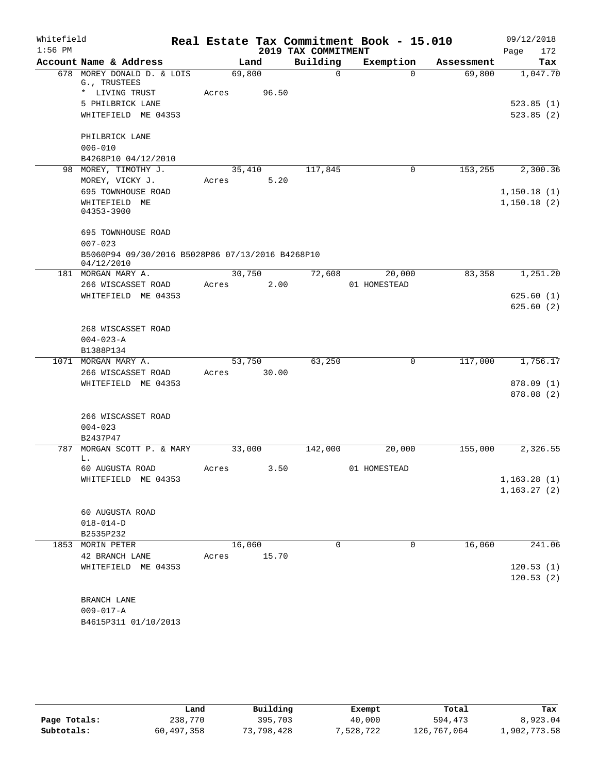| Whitefield<br>$1:56$ PM |                                                                |        |       |                                 | Real Estate Tax Commitment Book - 15.010 |            | 09/12/2018                  |
|-------------------------|----------------------------------------------------------------|--------|-------|---------------------------------|------------------------------------------|------------|-----------------------------|
|                         | Account Name & Address                                         |        | Land  | 2019 TAX COMMITMENT<br>Building | Exemption                                | Assessment | Page<br>172<br>Tax          |
|                         | 678 MOREY DONALD D. & LOIS<br>G., TRUSTEES                     | 69,800 |       | $\Omega$                        | $\Omega$                                 | 69,800     | 1,047.70                    |
|                         | * LIVING TRUST<br>5 PHILBRICK LANE<br>WHITEFIELD ME 04353      | Acres  | 96.50 |                                 |                                          |            | 523.85(1)<br>523.85(2)      |
|                         | PHILBRICK LANE<br>$006 - 010$<br>B4268P10 04/12/2010           |        |       |                                 |                                          |            |                             |
|                         | 98 MOREY, TIMOTHY J.                                           | 35,410 |       | 117,845                         | 0                                        | 153,255    | 2,300.36                    |
|                         | MOREY, VICKY J.                                                | Acres  | 5.20  |                                 |                                          |            |                             |
|                         | 695 TOWNHOUSE ROAD<br>WHITEFIELD ME<br>04353-3900              |        |       |                                 |                                          |            | 1,150.18(1)<br>1,150.18(2)  |
|                         | 695 TOWNHOUSE ROAD<br>$007 - 023$                              |        |       |                                 |                                          |            |                             |
|                         | B5060P94 09/30/2016 B5028P86 07/13/2016 B4268P10<br>04/12/2010 |        |       |                                 |                                          |            |                             |
|                         | 181 MORGAN MARY A.                                             | 30,750 |       | 72,608                          | 20,000                                   | 83,358     | 1,251.20                    |
|                         | 266 WISCASSET ROAD                                             | Acres  | 2.00  |                                 | 01 HOMESTEAD                             |            |                             |
|                         | WHITEFIELD ME 04353                                            |        |       |                                 |                                          |            | 625.60(1)<br>625.60(2)      |
|                         | 268 WISCASSET ROAD<br>$004 - 023 - A$<br>B1388P134             |        |       |                                 |                                          |            |                             |
|                         | 1071 MORGAN MARY A.                                            | 53,750 |       | 63,250                          | $\mathbf 0$                              | 117,000    | 1,756.17                    |
|                         | 266 WISCASSET ROAD                                             | Acres  | 30.00 |                                 |                                          |            |                             |
|                         | WHITEFIELD ME 04353                                            |        |       |                                 |                                          |            | 878.09 (1)<br>878.08 (2)    |
|                         | 266 WISCASSET ROAD<br>$004 - 023$<br>B2437P47                  |        |       |                                 |                                          |            |                             |
| 787                     | MORGAN SCOTT P. & MARY                                         | 33,000 |       | 142,000                         | 20,000                                   | 155,000    | 2,326.55                    |
|                         | L.                                                             |        |       |                                 |                                          |            |                             |
|                         | 60 AUGUSTA ROAD                                                | Acres  | 3.50  |                                 | 01 HOMESTEAD                             |            |                             |
|                         | WHITEFIELD ME 04353                                            |        |       |                                 |                                          |            | 1,163.28(1)<br>1, 163.27(2) |
|                         | 60 AUGUSTA ROAD<br>$018 - 014 - D$<br>B2535P232                |        |       |                                 |                                          |            |                             |
|                         | 1853 MORIN PETER                                               | 16,060 |       | 0                               | 0                                        | 16,060     | 241.06                      |
|                         | 42 BRANCH LANE                                                 | Acres  | 15.70 |                                 |                                          |            |                             |
|                         | WHITEFIELD ME 04353                                            |        |       |                                 |                                          |            | 120.53(1)                   |
|                         |                                                                |        |       |                                 |                                          |            | 120.53(2)                   |
|                         | BRANCH LANE                                                    |        |       |                                 |                                          |            |                             |
|                         | $009 - 017 - A$                                                |        |       |                                 |                                          |            |                             |
|                         | B4615P311 01/10/2013                                           |        |       |                                 |                                          |            |                             |

|              | Land       | Building   | Exempt    | Total       | Tax          |
|--------------|------------|------------|-----------|-------------|--------------|
| Page Totals: | 238,770    | 395,703    | 40,000    | 594,473     | 8,923.04     |
| Subtotals:   | 60,497,358 | 73,798,428 | 7,528,722 | 126,767,064 | 1,902,773.58 |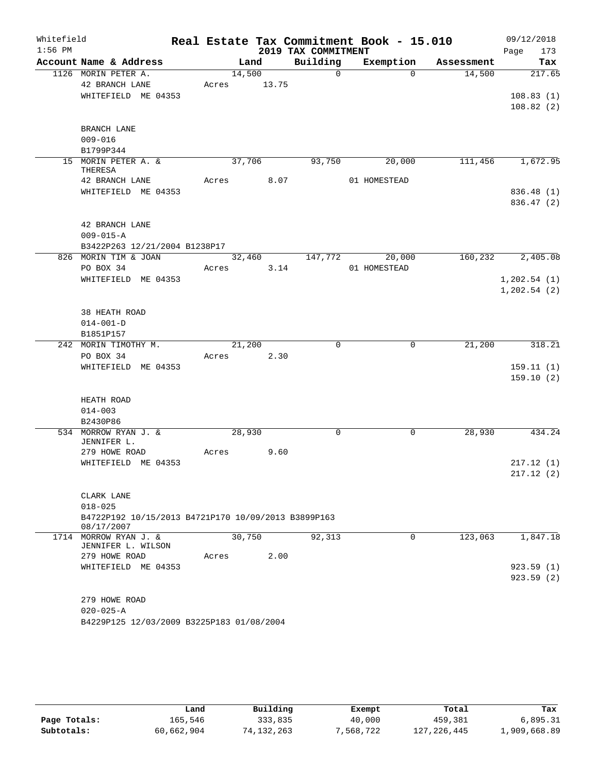| Whitefield<br>$1:56$ PM |                                                       |        |                | 2019 TAX COMMITMENT | Real Estate Tax Commitment Book - 15.010 |            | 09/12/2018<br>173<br>Page |
|-------------------------|-------------------------------------------------------|--------|----------------|---------------------|------------------------------------------|------------|---------------------------|
|                         | Account Name & Address                                |        | Land           | Building            | Exemption                                | Assessment | Tax                       |
|                         | 1126 MORIN PETER A.                                   | 14,500 |                | $\overline{0}$      | $\Omega$                                 | 14,500     | 217.65                    |
|                         | 42 BRANCH LANE                                        | Acres  | 13.75          |                     |                                          |            |                           |
|                         | WHITEFIELD ME 04353                                   |        |                |                     |                                          |            | 108.83(1)                 |
|                         |                                                       |        |                |                     |                                          |            | 108.82(2)                 |
|                         |                                                       |        |                |                     |                                          |            |                           |
|                         | BRANCH LANE                                           |        |                |                     |                                          |            |                           |
|                         | $009 - 016$                                           |        |                |                     |                                          |            |                           |
|                         | B1799P344                                             |        |                |                     |                                          |            |                           |
|                         | 15 MORIN PETER A. &<br>THERESA                        |        | 37,706         | 93,750              | 20,000                                   | 111,456    | 1,672.95                  |
|                         | 42 BRANCH LANE                                        | Acres  | 8.07           |                     | 01 HOMESTEAD                             |            |                           |
|                         | WHITEFIELD ME 04353                                   |        |                |                     |                                          |            | 836.48 (1)                |
|                         |                                                       |        |                |                     |                                          |            | 836.47 (2)                |
|                         |                                                       |        |                |                     |                                          |            |                           |
|                         | 42 BRANCH LANE                                        |        |                |                     |                                          |            |                           |
|                         | $009 - 015 - A$                                       |        |                |                     |                                          |            |                           |
|                         | B3422P263 12/21/2004 B1238P17<br>826 MORIN TIM & JOAN |        |                | 147,772             |                                          | 160, 232   | 2,405.08                  |
|                         | PO BOX 34                                             | Acres  | 32,460<br>3.14 |                     | 20,000<br>01 HOMESTEAD                   |            |                           |
|                         | WHITEFIELD ME 04353                                   |        |                |                     |                                          |            | 1,202.54(1)               |
|                         |                                                       |        |                |                     |                                          |            | 1, 202.54(2)              |
|                         |                                                       |        |                |                     |                                          |            |                           |
|                         | 38 HEATH ROAD                                         |        |                |                     |                                          |            |                           |
|                         | $014 - 001 - D$                                       |        |                |                     |                                          |            |                           |
|                         | B1851P157                                             |        |                |                     |                                          |            |                           |
|                         | 242 MORIN TIMOTHY M.                                  |        | 21,200         | $\Omega$            | $\mathbf 0$                              | 21,200     | 318.21                    |
|                         | PO BOX 34                                             | Acres  | 2.30           |                     |                                          |            |                           |
|                         | WHITEFIELD ME 04353                                   |        |                |                     |                                          |            | 159.11(1)                 |
|                         |                                                       |        |                |                     |                                          |            | 159.10(2)                 |
|                         |                                                       |        |                |                     |                                          |            |                           |
|                         | HEATH ROAD<br>$014 - 003$                             |        |                |                     |                                          |            |                           |
|                         | B2430P86                                              |        |                |                     |                                          |            |                           |
|                         | 534 MORROW RYAN J. &                                  |        | 28,930         | 0                   | $\mathbf 0$                              | 28,930     | 434.24                    |
|                         | JENNIFER L.                                           |        |                |                     |                                          |            |                           |
|                         | 279 HOWE ROAD                                         | Acres  | 9.60           |                     |                                          |            |                           |
|                         | WHITEFIELD ME 04353                                   |        |                |                     |                                          |            | 217.12(1)                 |
|                         |                                                       |        |                |                     |                                          |            | 217.12(2)                 |
|                         |                                                       |        |                |                     |                                          |            |                           |
|                         | CLARK LANE<br>$018 - 025$                             |        |                |                     |                                          |            |                           |
|                         | B4722P192 10/15/2013 B4721P170 10/09/2013 B3899P163   |        |                |                     |                                          |            |                           |
|                         | 08/17/2007                                            |        |                |                     |                                          |            |                           |
|                         | 1714 MORROW RYAN J. &<br>JENNIFER L. WILSON           |        | 30,750         | 92,313              | $\Omega$                                 | 123,063    | 1,847.18                  |
|                         | 279 HOWE ROAD                                         | Acres  | 2.00           |                     |                                          |            |                           |
|                         | WHITEFIELD ME 04353                                   |        |                |                     |                                          |            | 923.59(1)                 |
|                         |                                                       |        |                |                     |                                          |            | 923.59(2)                 |
|                         |                                                       |        |                |                     |                                          |            |                           |
|                         | 279 HOWE ROAD                                         |        |                |                     |                                          |            |                           |
|                         | $020 - 025 - A$                                       |        |                |                     |                                          |            |                           |
|                         | B4229P125 12/03/2009 B3225P183 01/08/2004             |        |                |                     |                                          |            |                           |

|              | Land       | Building   | Exempt    | Total         | Tax          |
|--------------|------------|------------|-----------|---------------|--------------|
| Page Totals: | 165,546    | 333,835    | 40,000    | 459,381       | 6,895.31     |
| Subtotals:   | 60,662,904 | 74,132,263 | 7,568,722 | 127, 226, 445 | 1,909,668.89 |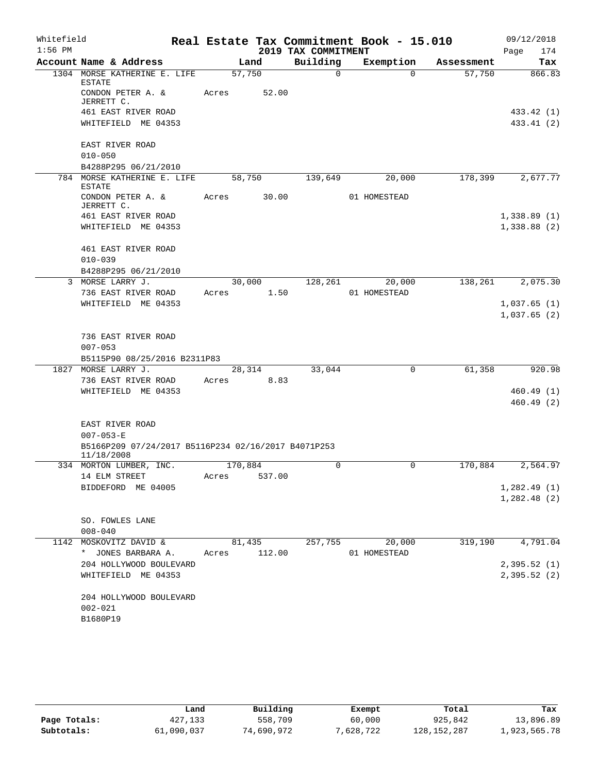| Whitefield |                                                                   |                 |        |                     | Real Estate Tax Commitment Book - 15.010 |            | 09/12/2018              |
|------------|-------------------------------------------------------------------|-----------------|--------|---------------------|------------------------------------------|------------|-------------------------|
| $1:56$ PM  |                                                                   |                 |        | 2019 TAX COMMITMENT |                                          |            | Page<br>174             |
|            | Account Name & Address                                            |                 | Land   | Building            | Exemption                                | Assessment | <b>Tax</b>              |
|            | 1304 MORSE KATHERINE E. LIFE<br><b>ESTATE</b>                     | 57,750          |        | $\Omega$            | $\Omega$                                 | 57,750     | 866.83                  |
|            | CONDON PETER A. &<br>JERRETT C.                                   | Acres           | 52.00  |                     |                                          |            |                         |
|            | 461 EAST RIVER ROAD                                               |                 |        |                     |                                          |            | 433.42 (1)              |
|            | WHITEFIELD ME 04353                                               |                 |        |                     |                                          |            | 433.41 (2)              |
|            | EAST RIVER ROAD                                                   |                 |        |                     |                                          |            |                         |
|            | $010 - 050$<br>B4288P295 06/21/2010                               |                 |        |                     |                                          |            |                         |
| 784        | MORSE KATHERINE E. LIFE                                           | 58,750          |        | 139,649             | 20,000                                   | 178,399    | 2,677.77                |
|            | <b>ESTATE</b>                                                     |                 |        |                     |                                          |            |                         |
|            | CONDON PETER A. &<br>JERRETT C.                                   | Acres           | 30.00  |                     | 01 HOMESTEAD                             |            |                         |
|            | 461 EAST RIVER ROAD                                               |                 |        |                     |                                          |            | 1,338.89(1)             |
|            | WHITEFIELD ME 04353                                               |                 |        |                     |                                          |            | 1,338.88(2)             |
|            | 461 EAST RIVER ROAD                                               |                 |        |                     |                                          |            |                         |
|            | $010 - 039$                                                       |                 |        |                     |                                          |            |                         |
|            | B4288P295 06/21/2010                                              |                 |        |                     |                                          |            |                         |
| 3          | MORSE LARRY J.<br>736 EAST RIVER ROAD                             | 30,000<br>Acres | 1.50   | 128,261             | 20,000<br>01 HOMESTEAD                   | 138,261    | 2,075.30                |
|            | WHITEFIELD ME 04353                                               |                 |        |                     |                                          |            | 1,037.65(1)             |
|            |                                                                   |                 |        |                     |                                          |            | 1,037.65(2)             |
|            | 736 EAST RIVER ROAD                                               |                 |        |                     |                                          |            |                         |
|            | $007 - 053$                                                       |                 |        |                     |                                          |            |                         |
|            | B5115P90 08/25/2016 B2311P83                                      |                 |        |                     |                                          |            |                         |
| 1827       | MORSE LARRY J.                                                    | 28,314          |        | 33,044              | 0                                        | 61,358     | 920.98                  |
|            | 736 EAST RIVER ROAD                                               | Acres           | 8.83   |                     |                                          |            |                         |
|            | WHITEFIELD ME 04353                                               |                 |        |                     |                                          |            | 460.49 (1)<br>460.49(2) |
|            | EAST RIVER ROAD                                                   |                 |        |                     |                                          |            |                         |
|            | $007 - 053 - E$                                                   |                 |        |                     |                                          |            |                         |
|            | B5166P209 07/24/2017 B5116P234 02/16/2017 B4071P253<br>11/18/2008 |                 |        |                     |                                          |            |                         |
|            | 334 MORTON LUMBER, INC.                                           | 170,884         |        | 0                   | 0                                        | 170,884    | 2,564.97                |
|            | 14 ELM STREET                                                     | Acres           | 537.00 |                     |                                          |            |                         |
|            | BIDDEFORD ME 04005                                                |                 |        |                     |                                          |            | 1,282.49(1)             |
|            |                                                                   |                 |        |                     |                                          |            | 1,282.48(2)             |
|            | SO. FOWLES LANE                                                   |                 |        |                     |                                          |            |                         |
|            | $008 - 040$                                                       |                 |        |                     |                                          |            |                         |
|            | 1142 MOSKOVITZ DAVID &                                            | 81,435          |        | 257,755             | 20,000                                   | 319,190    | 4,791.04                |
|            | * JONES BARBARA A.                                                | Acres           | 112.00 |                     | 01 HOMESTEAD                             |            |                         |
|            | 204 HOLLYWOOD BOULEVARD                                           |                 |        |                     |                                          |            | 2,395.52(1)             |
|            | WHITEFIELD ME 04353                                               |                 |        |                     |                                          |            | 2,395.52(2)             |
|            | 204 HOLLYWOOD BOULEVARD                                           |                 |        |                     |                                          |            |                         |
|            | $002 - 021$                                                       |                 |        |                     |                                          |            |                         |
|            | B1680P19                                                          |                 |        |                     |                                          |            |                         |

|              | Land       | Building   | Exempt    | Total         | Tax          |
|--------------|------------|------------|-----------|---------------|--------------|
| Page Totals: | 427,133    | 558,709    | 60,000    | 925,842       | 13,896.89    |
| Subtotals:   | 61,090,037 | 74,690,972 | 7,628,722 | 128, 152, 287 | 1,923,565.78 |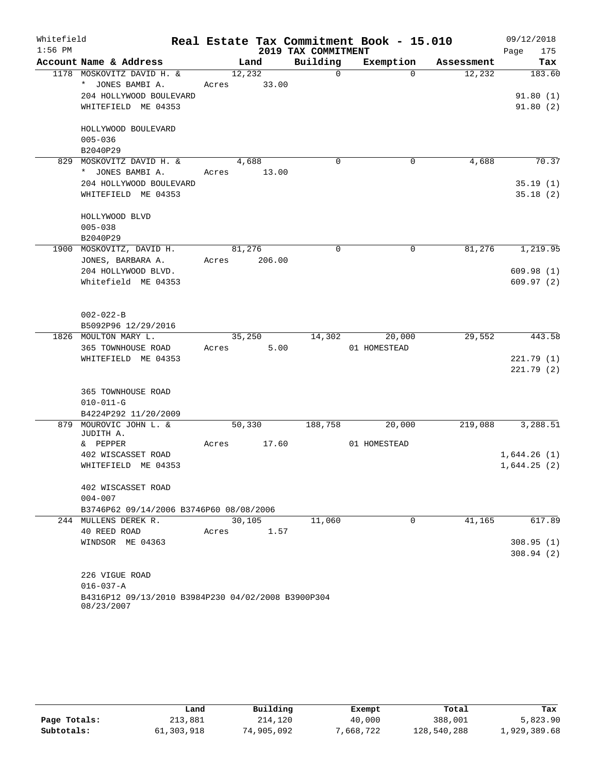| Whitefield |                                                                  |       |        |                     | Real Estate Tax Commitment Book - 15.010 |            | 09/12/2018  |
|------------|------------------------------------------------------------------|-------|--------|---------------------|------------------------------------------|------------|-------------|
| $1:56$ PM  |                                                                  |       |        | 2019 TAX COMMITMENT |                                          |            | 175<br>Page |
|            | Account Name & Address                                           |       | Land   | Building            | Exemption                                | Assessment | Tax         |
|            | 1178 MOSKOVITZ DAVID H. &                                        |       | 12,232 | $\Omega$            | $\Omega$                                 | 12,232     | 183.60      |
|            | * JONES BAMBI A.                                                 | Acres | 33.00  |                     |                                          |            |             |
|            | 204 HOLLYWOOD BOULEVARD                                          |       |        |                     |                                          |            | 91.80(1)    |
|            | WHITEFIELD ME 04353                                              |       |        |                     |                                          |            | 91.80(2)    |
|            | HOLLYWOOD BOULEVARD                                              |       |        |                     |                                          |            |             |
|            | $005 - 036$                                                      |       |        |                     |                                          |            |             |
|            | B2040P29                                                         |       |        |                     |                                          |            |             |
|            | 829 MOSKOVITZ DAVID H. &                                         |       | 4,688  | $\mathbf 0$         | $\mathbf 0$                              | 4,688      | 70.37       |
|            | JONES BAMBI A.<br>$\star$                                        | Acres | 13.00  |                     |                                          |            |             |
|            | 204 HOLLYWOOD BOULEVARD                                          |       |        |                     |                                          |            | 35.19(1)    |
|            | WHITEFIELD ME 04353                                              |       |        |                     |                                          |            | 35.18(2)    |
|            |                                                                  |       |        |                     |                                          |            |             |
|            | HOLLYWOOD BLVD                                                   |       |        |                     |                                          |            |             |
|            | $005 - 038$                                                      |       |        |                     |                                          |            |             |
|            | B2040P29                                                         |       |        |                     |                                          |            |             |
|            | 1900 MOSKOVITZ, DAVID H.                                         |       | 81,276 | $\Omega$            | $\mathbf 0$                              | 81,276     | 1,219.95    |
|            | JONES, BARBARA A.                                                | Acres | 206.00 |                     |                                          |            |             |
|            | 204 HOLLYWOOD BLVD.                                              |       |        |                     |                                          |            | 609.98(1)   |
|            | Whitefield ME 04353                                              |       |        |                     |                                          |            | 609.97(2)   |
|            |                                                                  |       |        |                     |                                          |            |             |
|            | $002 - 022 - B$                                                  |       |        |                     |                                          |            |             |
|            | B5092P96 12/29/2016                                              |       |        |                     |                                          |            |             |
|            | 1826 MOULTON MARY L.                                             |       | 35,250 | 14,302              | 20,000                                   | 29,552     | 443.58      |
|            | 365 TOWNHOUSE ROAD                                               | Acres | 5.00   |                     | 01 HOMESTEAD                             |            |             |
|            | WHITEFIELD ME 04353                                              |       |        |                     |                                          |            | 221.79(1)   |
|            |                                                                  |       |        |                     |                                          |            | 221.79(2)   |
|            | 365 TOWNHOUSE ROAD                                               |       |        |                     |                                          |            |             |
|            | $010 - 011 - G$                                                  |       |        |                     |                                          |            |             |
|            | B4224P292 11/20/2009                                             |       |        |                     |                                          |            |             |
| 879        | MOUROVIC JOHN L. &                                               |       | 50,330 | 188,758             | 20,000                                   | 219,088    | 3,288.51    |
|            | JUDITH A.                                                        |       |        |                     |                                          |            |             |
|            | & PEPPER                                                         | Acres | 17.60  |                     | 01 HOMESTEAD                             |            |             |
|            | 402 WISCASSET ROAD                                               |       |        |                     |                                          |            | 1,644.26(1) |
|            | WHITEFIELD ME 04353                                              |       |        |                     |                                          |            | 1,644.25(2) |
|            | 402 WISCASSET ROAD                                               |       |        |                     |                                          |            |             |
|            | $004 - 007$                                                      |       |        |                     |                                          |            |             |
|            | B3746P62 09/14/2006 B3746P60 08/08/2006                          |       |        |                     |                                          |            |             |
|            | 244 MULLENS DEREK R.                                             |       | 30,105 | 11,060              | $\mathbf 0$                              | 41,165     | 617.89      |
|            | 40 REED ROAD                                                     | Acres | 1.57   |                     |                                          |            |             |
|            | WINDSOR ME 04363                                                 |       |        |                     |                                          |            | 308.95(1)   |
|            |                                                                  |       |        |                     |                                          |            | 308.94(2)   |
|            | 226 VIGUE ROAD                                                   |       |        |                     |                                          |            |             |
|            | $016 - 037 - A$                                                  |       |        |                     |                                          |            |             |
|            | B4316P12 09/13/2010 B3984P230 04/02/2008 B3900P304<br>08/23/2007 |       |        |                     |                                          |            |             |

|              | Land       | Building   | Exempt    | Total       | Tax          |
|--------------|------------|------------|-----------|-------------|--------------|
| Page Totals: | 213,881    | 214,120    | 40,000    | 388,001     | 5,823.90     |
| Subtotals:   | 61,303,918 | 74,905,092 | 7,668,722 | 128,540,288 | 1,929,389.68 |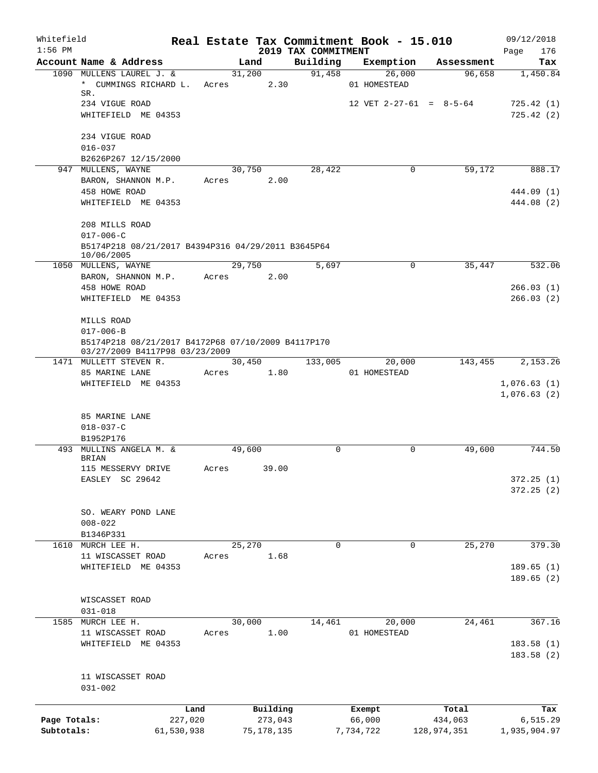| Whitefield<br>$1:56$ PM |                                                                                      |            |                      |              |                                 | Real Estate Tax Commitment Book - 15.010 |             | 09/12/2018                 |
|-------------------------|--------------------------------------------------------------------------------------|------------|----------------------|--------------|---------------------------------|------------------------------------------|-------------|----------------------------|
|                         | Account Name & Address                                                               |            | Land                 |              | 2019 TAX COMMITMENT<br>Building | Exemption                                | Assessment  | 176<br>Page<br>Tax         |
|                         | 1090 MULLENS LAUREL J. &                                                             |            | 31,200               |              | 91,458                          | 26,000                                   | 96,658      | 1,450.84                   |
|                         | * CUMMINGS RICHARD L.<br>SR.                                                         | Acres      |                      | 2.30         |                                 | 01 HOMESTEAD                             |             |                            |
|                         | 234 VIGUE ROAD                                                                       |            |                      |              |                                 | 12 VET $2-27-61 = 8-5-64$                |             | 725.42(1)                  |
|                         | WHITEFIELD ME 04353                                                                  |            |                      |              |                                 |                                          |             | 725.42(2)                  |
|                         | 234 VIGUE ROAD                                                                       |            |                      |              |                                 |                                          |             |                            |
|                         | $016 - 037$                                                                          |            |                      |              |                                 |                                          |             |                            |
|                         | B2626P267 12/15/2000                                                                 |            |                      |              |                                 |                                          |             |                            |
|                         | 947 MULLENS, WAYNE<br>BARON, SHANNON M.P.                                            |            | 30,750<br>Acres 2.00 |              | 28,422                          | $\mathbf 0$                              | 59,172      | 888.17                     |
|                         | 458 HOWE ROAD                                                                        |            |                      |              |                                 |                                          |             | 444.09 (1)                 |
|                         | WHITEFIELD ME 04353                                                                  |            |                      |              |                                 |                                          |             | 444.08 (2)                 |
|                         | 208 MILLS ROAD                                                                       |            |                      |              |                                 |                                          |             |                            |
|                         | $017 - 006 - C$                                                                      |            |                      |              |                                 |                                          |             |                            |
|                         | B5174P218 08/21/2017 B4394P316 04/29/2011 B3645P64<br>10/06/2005                     |            |                      |              |                                 |                                          |             |                            |
|                         | 1050 MULLENS, WAYNE                                                                  |            | 29,750               |              | 5,697                           | $\mathbf 0$                              | 35, 447     | 532.06                     |
|                         | BARON, SHANNON M.P.                                                                  |            | Acres                | 2.00         |                                 |                                          |             |                            |
|                         | 458 HOWE ROAD                                                                        |            |                      |              |                                 |                                          |             | 266.03(1)                  |
|                         | WHITEFIELD ME 04353                                                                  |            |                      |              |                                 |                                          |             | 266.03(2)                  |
|                         | MILLS ROAD                                                                           |            |                      |              |                                 |                                          |             |                            |
|                         | $017 - 006 - B$                                                                      |            |                      |              |                                 |                                          |             |                            |
|                         | B5174P218 08/21/2017 B4172P68 07/10/2009 B4117P170<br>03/27/2009 B4117P98 03/23/2009 |            |                      |              |                                 |                                          |             |                            |
|                         | 1471 MULLETT STEVEN R.                                                               |            | 30,450               |              | 133,005                         | 20,000                                   | 143,455     | 2,153.26                   |
|                         | 85 MARINE LANE                                                                       | Acres      |                      | 1.80         |                                 | 01 HOMESTEAD                             |             |                            |
|                         | WHITEFIELD ME 04353                                                                  |            |                      |              |                                 |                                          |             | 1,076.63(1)<br>1,076.63(2) |
|                         |                                                                                      |            |                      |              |                                 |                                          |             |                            |
|                         | 85 MARINE LANE                                                                       |            |                      |              |                                 |                                          |             |                            |
|                         | $018 - 037 - C$<br>B1952P176                                                         |            |                      |              |                                 |                                          |             |                            |
|                         | 493 MULLINS ANGELA M. &                                                              |            | 49,600               |              | $\Omega$                        | 0                                        | 49,600      | 744.50                     |
|                         | <b>BRIAN</b>                                                                         |            |                      |              |                                 |                                          |             |                            |
|                         | 115 MESSERVY DRIVE                                                                   | Acres      |                      | 39.00        |                                 |                                          |             |                            |
|                         | EASLEY SC 29642                                                                      |            |                      |              |                                 |                                          |             | 372.25 (1)<br>372.25 (2)   |
|                         |                                                                                      |            |                      |              |                                 |                                          |             |                            |
|                         | SO. WEARY POND LANE                                                                  |            |                      |              |                                 |                                          |             |                            |
|                         | $008 - 022$<br>B1346P331                                                             |            |                      |              |                                 |                                          |             |                            |
|                         | 1610 MURCH LEE H.                                                                    |            | 25,270               |              | 0                               | 0                                        | 25,270      | 379.30                     |
|                         | 11 WISCASSET ROAD                                                                    | Acres      |                      | 1.68         |                                 |                                          |             |                            |
|                         | WHITEFIELD ME 04353                                                                  |            |                      |              |                                 |                                          |             | 189.65(1)                  |
|                         |                                                                                      |            |                      |              |                                 |                                          |             | 189.65(2)                  |
|                         | WISCASSET ROAD                                                                       |            |                      |              |                                 |                                          |             |                            |
|                         | $031 - 018$                                                                          |            |                      |              |                                 |                                          |             |                            |
|                         | 1585 MURCH LEE H.                                                                    |            | 30,000               |              | 14,461                          | 20,000                                   | 24,461      | 367.16                     |
|                         | 11 WISCASSET ROAD<br>WHITEFIELD ME 04353                                             | Acres      |                      | 1.00         |                                 | 01 HOMESTEAD                             |             | 183.58 (1)                 |
|                         |                                                                                      |            |                      |              |                                 |                                          |             | 183.58(2)                  |
|                         | 11 WISCASSET ROAD                                                                    |            |                      |              |                                 |                                          |             |                            |
|                         | $031 - 002$                                                                          |            |                      |              |                                 |                                          |             |                            |
|                         |                                                                                      | Land       |                      | Building     |                                 | Exempt                                   | Total       | Tax                        |
| Page Totals:            |                                                                                      | 227,020    |                      | 273,043      |                                 | 66,000                                   | 434,063     | 6,515.29                   |
| Subtotals:              |                                                                                      | 61,530,938 |                      | 75, 178, 135 |                                 | 7,734,722                                | 128,974,351 | 1,935,904.97               |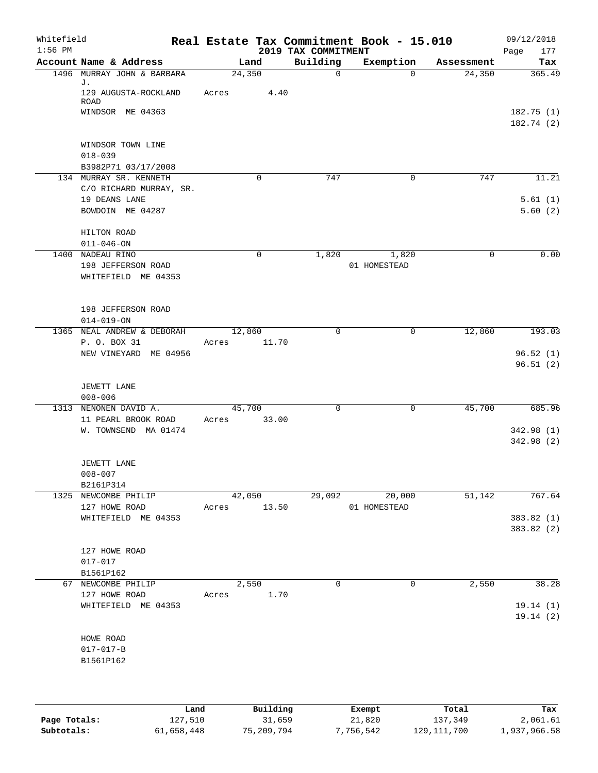| Whitefield<br>$1:56$ PM |                                                                 |                 |             | 2019 TAX COMMITMENT | Real Estate Tax Commitment Book - 15.010 |            | 09/12/2018<br>Page<br>177          |
|-------------------------|-----------------------------------------------------------------|-----------------|-------------|---------------------|------------------------------------------|------------|------------------------------------|
|                         | Account Name & Address                                          |                 | Land        | Building            | Exemption                                | Assessment | Tax                                |
|                         | 1496 MURRAY JOHN & BARBARA<br>J.<br>129 AUGUSTA-ROCKLAND        | 24,350<br>Acres | 4.40        | $\mathbf 0$         | $\Omega$                                 | 24,350     | 365.49                             |
|                         | <b>ROAD</b><br>WINDSOR ME 04363                                 |                 |             |                     |                                          |            | 182.75(1)<br>182.74 (2)            |
|                         | WINDSOR TOWN LINE<br>$018 - 039$<br>B3982P71 03/17/2008         |                 |             |                     |                                          |            |                                    |
|                         | 134 MURRAY SR. KENNETH<br>C/O RICHARD MURRAY, SR.               |                 | 0           | 747                 | $\mathbf 0$                              | 747        | 11.21                              |
|                         | 19 DEANS LANE<br>BOWDOIN ME 04287                               |                 |             |                     |                                          |            | 5.61(1)<br>5.60(2)                 |
|                         | HILTON ROAD<br>$011 - 046 - ON$                                 |                 |             |                     |                                          |            |                                    |
| 1400                    | NADEAU RINO<br>198 JEFFERSON ROAD<br>WHITEFIELD ME 04353        |                 | $\mathbf 0$ | 1,820               | 1,820<br>01 HOMESTEAD                    | 0          | 0.00                               |
|                         | 198 JEFFERSON ROAD<br>$014 - 019 - ON$                          |                 |             |                     |                                          |            |                                    |
|                         | 1365 NEAL ANDREW & DEBORAH                                      | 12,860          |             | $\mathbf 0$         | $\mathbf 0$                              | 12,860     | 193.03                             |
|                         | P. O. BOX 31<br>NEW VINEYARD ME 04956                           | Acres           | 11.70       |                     |                                          |            | 96.52(1)<br>96.51(2)               |
|                         | JEWETT LANE<br>$008 - 006$                                      |                 |             |                     |                                          |            |                                    |
| 1313                    | NENONEN DAVID A.<br>11 PEARL BROOK ROAD<br>W. TOWNSEND MA 01474 | 45,700<br>Acres | 33.00       | $\mathbf 0$         | $\mathbf 0$                              | 45,700     | 685.96<br>342.98 (1)<br>342.98 (2) |
|                         | JEWETT LANE<br>$008 - 007$                                      |                 |             |                     |                                          |            |                                    |
|                         | B2161P314<br>1325 NEWCOMBE PHILIP                               |                 | 42,050      | 29,092              | 20,000                                   | 51,142     | 767.64                             |
|                         | 127 HOWE ROAD                                                   | Acres 13.50     |             |                     | 01 HOMESTEAD                             |            |                                    |
|                         | WHITEFIELD ME 04353                                             |                 |             |                     |                                          |            | 383.82(1)<br>383.82 (2)            |
|                         | 127 HOWE ROAD<br>$017 - 017$<br>B1561P162                       |                 |             |                     |                                          |            |                                    |
|                         | 67 NEWCOMBE PHILIP                                              |                 | 2,550       | $\mathbf 0$         | $\mathsf{O}$                             | 2,550      | 38.28                              |
|                         | 127 HOWE ROAD<br>WHITEFIELD ME 04353                            | Acres 1.70      |             |                     |                                          |            | 19.14(1)<br>19.14(2)               |
|                         | HOWE ROAD<br>$017 - 017 - B$<br>B1561P162                       |                 |             |                     |                                          |            |                                    |
|                         | Land                                                            |                 | Building    |                     | Exempt                                   | Total      | Tax                                |

|              | Land       | Building   | Exempt    | Total         | Tax          |
|--------------|------------|------------|-----------|---------------|--------------|
| Page Totals: | 127,510    | 31,659     | 21,820    | 137,349       | 2,061.61     |
| Subtotals:   | 61,658,448 | 75,209,794 | 7,756,542 | 129, 111, 700 | 1,937,966.58 |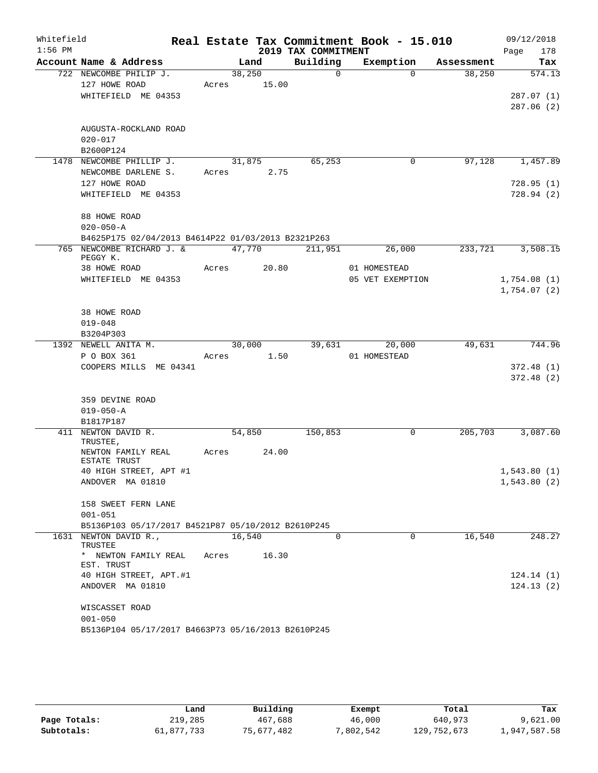| Whitefield |                                                    |       |             |                      | Real Estate Tax Commitment Book - 15.010 |            | 09/12/2018  |
|------------|----------------------------------------------------|-------|-------------|----------------------|------------------------------------------|------------|-------------|
| $1:56$ PM  |                                                    |       |             | 2019 TAX COMMITMENT  |                                          |            | 178<br>Page |
|            | Account Name & Address                             |       | Land        | Building             | Exemption                                | Assessment | Tax         |
|            | 722 NEWCOMBE PHILIP J.                             |       | 38,250      | $\Omega$             | $\Omega$                                 | 38,250     | 574.13      |
|            | 127 HOWE ROAD                                      |       | Acres 15.00 |                      |                                          |            |             |
|            | WHITEFIELD ME 04353                                |       |             |                      |                                          |            | 287.07(1)   |
|            |                                                    |       |             |                      |                                          |            | 287.06(2)   |
|            |                                                    |       |             |                      |                                          |            |             |
|            | AUGUSTA-ROCKLAND ROAD                              |       |             |                      |                                          |            |             |
|            | $020 - 017$                                        |       |             |                      |                                          |            |             |
|            | B2600P124<br>1478 NEWCOMBE PHILLIP J.              |       | 31,875      | 65,253               | 0                                        | 97,128     | 1,457.89    |
|            | NEWCOMBE DARLENE S.                                |       | Acres 2.75  |                      |                                          |            |             |
|            | 127 HOWE ROAD                                      |       |             |                      |                                          |            | 728.95(1)   |
|            | WHITEFIELD ME 04353                                |       |             |                      |                                          |            | 728.94(2)   |
|            |                                                    |       |             |                      |                                          |            |             |
|            | 88 HOWE ROAD                                       |       |             |                      |                                          |            |             |
|            | $020 - 050 - A$                                    |       |             |                      |                                          |            |             |
|            | B4625P175 02/04/2013 B4614P22 01/03/2013 B2321P263 |       |             |                      |                                          |            |             |
|            | 765 NEWCOMBE RICHARD J. &                          |       | 47,770      | $\overline{211,951}$ | 26,000                                   | 233,721    | 3,508.15    |
|            | PEGGY K.                                           |       |             |                      |                                          |            |             |
|            | 38 HOWE ROAD                                       | Acres | 20.80       |                      | 01 HOMESTEAD                             |            |             |
|            | WHITEFIELD ME 04353                                |       |             |                      | 05 VET EXEMPTION                         |            | 1,754.08(1) |
|            |                                                    |       |             |                      |                                          |            | 1,754.07(2) |
|            |                                                    |       |             |                      |                                          |            |             |
|            | 38 HOWE ROAD                                       |       |             |                      |                                          |            |             |
|            | $019 - 048$                                        |       |             |                      |                                          |            |             |
|            | B3204P303<br>1392 NEWELL ANITA M.                  |       | 30,000      |                      | 39,631<br>20,000                         | 49,631     | 744.96      |
|            | P O BOX 361                                        | Acres | 1.50        |                      | 01 HOMESTEAD                             |            |             |
|            | COOPERS MILLS ME 04341                             |       |             |                      |                                          |            | 372.48(1)   |
|            |                                                    |       |             |                      |                                          |            | 372.48(2)   |
|            |                                                    |       |             |                      |                                          |            |             |
|            | 359 DEVINE ROAD                                    |       |             |                      |                                          |            |             |
|            | $019 - 050 - A$                                    |       |             |                      |                                          |            |             |
|            | B1817P187                                          |       |             |                      |                                          |            |             |
|            | 411 NEWTON DAVID R.                                |       | 54,850      | 150,853              | 0                                        | 205,703    | 3,087.60    |
|            | TRUSTEE,                                           |       |             |                      |                                          |            |             |
|            | NEWTON FAMILY REAL<br>ESTATE TRUST                 | Acres | 24.00       |                      |                                          |            |             |
|            | 40 HIGH STREET, APT #1                             |       |             |                      |                                          |            | 1,543.80(1) |
|            | ANDOVER MA 01810                                   |       |             |                      |                                          |            | 1,543.80(2) |
|            |                                                    |       |             |                      |                                          |            |             |
|            | 158 SWEET FERN LANE                                |       |             |                      |                                          |            |             |
|            | $001 - 051$                                        |       |             |                      |                                          |            |             |
|            | B5136P103 05/17/2017 B4521P87 05/10/2012 B2610P245 |       |             |                      |                                          |            |             |
|            | 1631 NEWTON DAVID R.,<br>TRUSTEE                   |       | 16,540      | $\Omega$             | $\Omega$                                 | 16,540     | 248.27      |
|            | * NEWTON FAMILY REAL<br>EST. TRUST                 | Acres | 16.30       |                      |                                          |            |             |
|            | 40 HIGH STREET, APT.#1                             |       |             |                      |                                          |            | 124.14(1)   |
|            | ANDOVER MA 01810                                   |       |             |                      |                                          |            | 124.13(2)   |
|            |                                                    |       |             |                      |                                          |            |             |
|            | WISCASSET ROAD                                     |       |             |                      |                                          |            |             |
|            | $001 - 050$                                        |       |             |                      |                                          |            |             |
|            | B5136P104 05/17/2017 B4663P73 05/16/2013 B2610P245 |       |             |                      |                                          |            |             |

|              | Land       | Building   | Exempt   | Total         | Tax          |
|--------------|------------|------------|----------|---------------|--------------|
| Page Totals: | 219,285    | 467,688    | 46,000   | 640,973       | 9,621.00     |
| Subtotals:   | 61,877,733 | 75,677,482 | ,802,542 | 129, 752, 673 | 1,947,587.58 |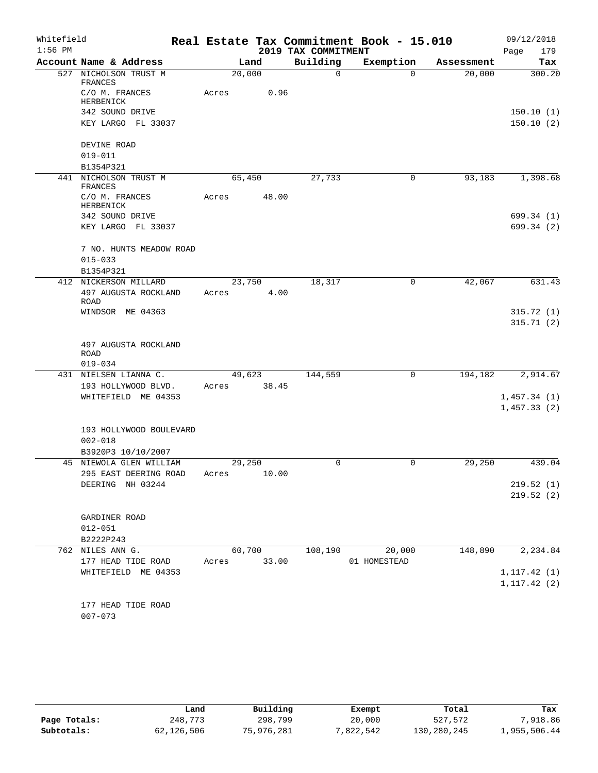| Whitefield<br>$1:56$ PM |                                              |                 |        | 2019 TAX COMMITMENT | Real Estate Tax Commitment Book - 15.010 |            | 09/12/2018<br>Page<br>179 |
|-------------------------|----------------------------------------------|-----------------|--------|---------------------|------------------------------------------|------------|---------------------------|
|                         | Account Name & Address                       |                 | Land   | Building            | Exemption                                | Assessment | Tax                       |
|                         | 527 NICHOLSON TRUST M<br>FRANCES             | 20,000          |        | $\mathsf{O}$        | $\Omega$                                 | 20,000     | 300.20                    |
|                         | C/O M. FRANCES<br>HERBENICK                  | Acres           | 0.96   |                     |                                          |            |                           |
|                         | 342 SOUND DRIVE                              |                 |        |                     |                                          |            | 150.10(1)                 |
|                         | KEY LARGO FL 33037                           |                 |        |                     |                                          |            | 150.10(2)                 |
|                         | DEVINE ROAD                                  |                 |        |                     |                                          |            |                           |
|                         | $019 - 011$<br>B1354P321                     |                 |        |                     |                                          |            |                           |
| 441                     | NICHOLSON TRUST M                            | 65,450          |        | 27,733              | 0                                        | 93,183     | 1,398.68                  |
|                         | FRANCES                                      |                 |        |                     |                                          |            |                           |
|                         | C/O M. FRANCES<br>HERBENICK                  | Acres           | 48.00  |                     |                                          |            |                           |
|                         | 342 SOUND DRIVE                              |                 |        |                     |                                          |            | 699.34 (1)                |
|                         | KEY LARGO FL 33037                           |                 |        |                     |                                          |            | 699.34 (2)                |
|                         | 7 NO. HUNTS MEADOW ROAD                      |                 |        |                     |                                          |            |                           |
|                         | $015 - 033$                                  |                 |        |                     |                                          |            |                           |
|                         | B1354P321<br>412 NICKERSON MILLARD           | 23,750          |        | 18,317              | 0                                        | 42,067     | 631.43                    |
|                         | 497 AUGUSTA ROCKLAND<br>ROAD                 | Acres           | 4.00   |                     |                                          |            |                           |
|                         | WINDSOR ME 04363                             |                 |        |                     |                                          |            | 315.72(1)                 |
|                         |                                              |                 |        |                     |                                          |            | 315.71(2)                 |
|                         | 497 AUGUSTA ROCKLAND<br><b>ROAD</b>          |                 |        |                     |                                          |            |                           |
|                         | $019 - 034$                                  |                 |        |                     |                                          |            |                           |
|                         | 431 NIELSEN LIANNA C.<br>193 HOLLYWOOD BLVD. | 49,623<br>Acres | 38.45  | 144,559             | 0                                        | 194,182    | 2,914.67                  |
|                         | WHITEFIELD ME 04353                          |                 |        |                     |                                          |            | 1,457.34(1)               |
|                         |                                              |                 |        |                     |                                          |            | 1,457.33(2)               |
|                         | 193 HOLLYWOOD BOULEVARD<br>$002 - 018$       |                 |        |                     |                                          |            |                           |
|                         | B3920P3 10/10/2007                           |                 |        |                     |                                          |            |                           |
|                         | 45 NIEWOLA GLEN WILLIAM                      | 29,250          |        | $\Omega$            | 0                                        | 29,250     | 439.04                    |
|                         | 295 EAST DEERING ROAD Acres 10.00            |                 |        |                     |                                          |            |                           |
|                         | DEERING NH 03244                             |                 |        |                     |                                          |            | 219.52(1)<br>219.52(2)    |
|                         | GARDINER ROAD                                |                 |        |                     |                                          |            |                           |
|                         | $012 - 051$                                  |                 |        |                     |                                          |            |                           |
|                         | B2222P243                                    |                 |        |                     |                                          |            |                           |
|                         | 762 NILES ANN G.                             |                 | 60,700 | 108,190             | 20,000                                   | 148,890    | $\overline{2,234.84}$     |
|                         | 177 HEAD TIDE ROAD                           | Acres 33.00     |        |                     | 01 HOMESTEAD                             |            |                           |
|                         | WHITEFIELD ME 04353                          |                 |        |                     |                                          |            | 1, 117.42(1)              |
|                         |                                              |                 |        |                     |                                          |            | 1, 117.42(2)              |
|                         | 177 HEAD TIDE ROAD                           |                 |        |                     |                                          |            |                           |
|                         | $007 - 073$                                  |                 |        |                     |                                          |            |                           |

|              | Land       | Building   | Exempt    | Total       | Tax          |
|--------------|------------|------------|-----------|-------------|--------------|
| Page Totals: | 248,773    | 298,799    | 20,000    | 527,572     | 7,918.86     |
| Subtotals:   | 62,126,506 | 75,976,281 | 7,822,542 | 130,280,245 | 1,955,506.44 |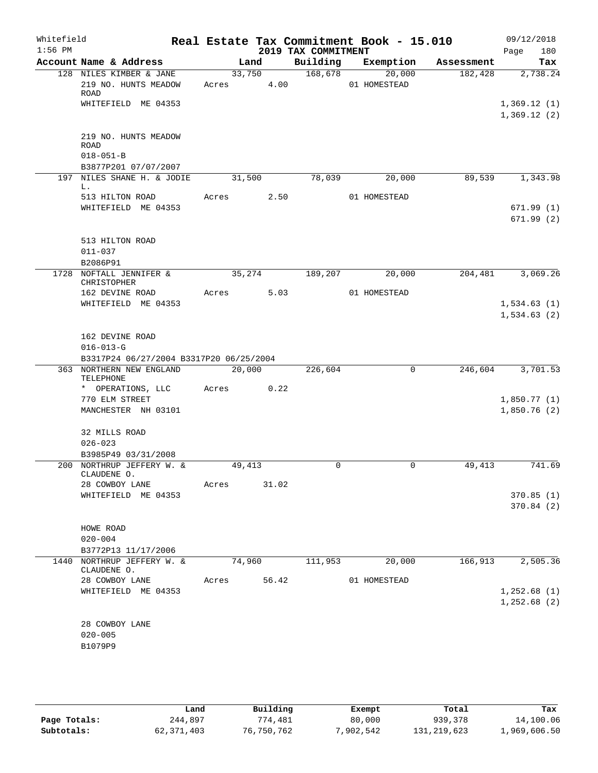| Whitefield<br>$1:56$ PM |                                                                     |            |        | 2019 TAX COMMITMENT | Real Estate Tax Commitment Book - 15.010 |            | 09/12/2018<br>180<br>Page  |
|-------------------------|---------------------------------------------------------------------|------------|--------|---------------------|------------------------------------------|------------|----------------------------|
|                         | Account Name & Address                                              | Land       |        |                     | Building Exemption                       | Assessment | Tax                        |
|                         | 128 NILES KIMBER & JANE<br>219 NO. HUNTS MEADOW<br><b>ROAD</b>      | Acres 4.00 | 33,750 | 168,678             | 20,000<br>01 HOMESTEAD                   | 182,428    | 2,738.24                   |
|                         | WHITEFIELD ME 04353<br>219 NO. HUNTS MEADOW                         |            |        |                     |                                          |            | 1,369.12(1)<br>1,369.12(2) |
|                         | <b>ROAD</b><br>$018 - 051 - B$<br>B3877P201 07/07/2007              |            |        |                     |                                          |            |                            |
| 197                     | NILES SHANE H. & JODIE<br>L.                                        |            | 31,500 |                     | 78,039<br>20,000                         | 89,539     | 1,343.98                   |
|                         | 513 HILTON ROAD<br>WHITEFIELD ME 04353                              | Acres 2.50 |        |                     | 01 HOMESTEAD                             |            | 671.99(1)<br>671.99(2)     |
|                         | 513 HILTON ROAD<br>$011 - 037$<br>B2086P91                          |            |        |                     |                                          |            |                            |
|                         | 1728 NOFTALL JENNIFER &<br>CHRISTOPHER                              | 35,274     |        | 189,207             | 20,000                                   | 204,481    | 3,069.26                   |
|                         | 162 DEVINE ROAD                                                     | Acres 5.03 |        |                     | 01 HOMESTEAD                             |            |                            |
|                         | WHITEFIELD ME 04353                                                 |            |        |                     |                                          |            | 1,534.63(1)<br>1,534.63(2) |
|                         | 162 DEVINE ROAD                                                     |            |        |                     |                                          |            |                            |
|                         | $016 - 013 - G$                                                     |            |        |                     |                                          |            |                            |
|                         | B3317P24 06/27/2004 B3317P20 06/25/2004<br>363 NORTHERN NEW ENGLAND | 20,000     |        | 226,604             | 0                                        |            | 246,604 3,701.53           |
|                         | TELEPHONE                                                           |            |        |                     |                                          |            |                            |
|                         | * OPERATIONS, LLC<br>770 ELM STREET                                 | Acres      | 0.22   |                     |                                          |            | 1,850.77(1)                |
|                         | MANCHESTER NH 03101                                                 |            |        |                     |                                          |            | 1,850.76(2)                |
|                         | 32 MILLS ROAD<br>$026 - 023$                                        |            |        |                     |                                          |            |                            |
|                         | B3985P49 03/31/2008<br>200 NORTHRUP JEFFERY W. &                    | 49,413     |        | $\mathbf 0$         | 0                                        | 49,413     | 741.69                     |
|                         | CLAUDENE O.<br>28 COWBOY LANE                                       | Acres      | 31.02  |                     |                                          |            |                            |
|                         | WHITEFIELD ME 04353                                                 |            |        |                     |                                          |            | 370.85(1)                  |
|                         |                                                                     |            |        |                     |                                          |            | 370.84(2)                  |
|                         | HOWE ROAD                                                           |            |        |                     |                                          |            |                            |
|                         | $020 - 004$                                                         |            |        |                     |                                          |            |                            |
|                         | B3772P13 11/17/2006<br>1440 NORTHRUP JEFFERY W. &                   | 74,960     |        | 111,953             | 20,000                                   | 166,913    | 2,505.36                   |
|                         | CLAUDENE O.                                                         |            |        |                     |                                          |            |                            |
|                         | 28 COWBOY LANE<br>WHITEFIELD ME 04353                               | Acres      | 56.42  |                     | 01 HOMESTEAD                             |            | 1,252.68(1)                |
|                         |                                                                     |            |        |                     |                                          |            | 1,252.68(2)                |
|                         | 28 COWBOY LANE<br>$020 - 005$                                       |            |        |                     |                                          |            |                            |
|                         | B1079P9                                                             |            |        |                     |                                          |            |                            |

|              | Land       | Building   | Exempt    | Total         | Tax          |
|--------------|------------|------------|-----------|---------------|--------------|
| Page Totals: | 244,897    | 774,481    | 80,000    | 939,378       | 14,100.06    |
| Subtotals:   | 62,371,403 | 76,750,762 | 7,902,542 | 131, 219, 623 | 1,969,606.50 |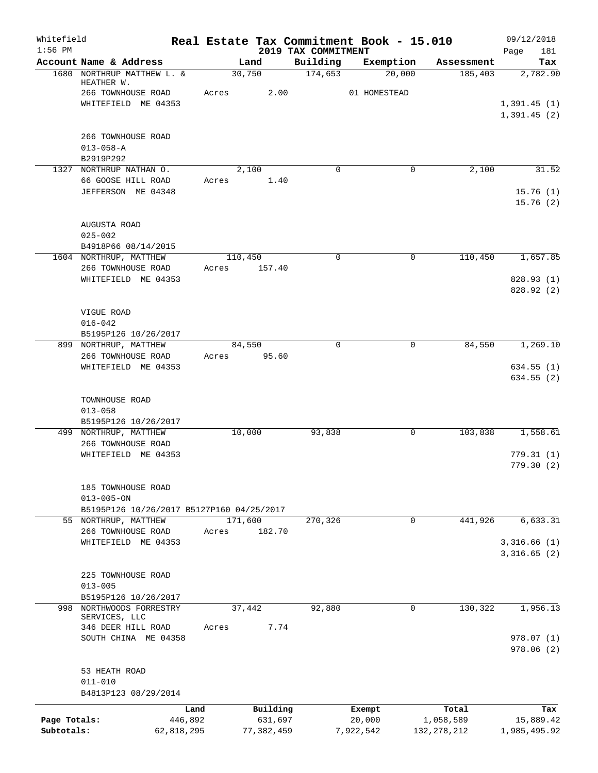| Whitefield<br>$1:56$ PM |                                              | Real Estate Tax Commitment Book - 15.010 | 2019 TAX COMMITMENT |              |               | 09/12/2018<br>181<br>Page |
|-------------------------|----------------------------------------------|------------------------------------------|---------------------|--------------|---------------|---------------------------|
|                         | Account Name & Address                       | Land                                     | Building            | Exemption    | Assessment    | Tax                       |
|                         | 1680 NORTHRUP MATTHEW L. &<br>HEATHER W.     | 30,750                                   | 174,653             | 20,000       | 185,403       | 2,782.90                  |
|                         | 266 TOWNHOUSE ROAD                           | 2.00<br>Acres                            |                     | 01 HOMESTEAD |               |                           |
|                         | WHITEFIELD ME 04353                          |                                          |                     |              |               | 1,391.45(1)               |
|                         |                                              |                                          |                     |              |               | 1,391.45(2)               |
|                         | 266 TOWNHOUSE ROAD                           |                                          |                     |              |               |                           |
|                         | $013 - 058 - A$                              |                                          |                     |              |               |                           |
|                         | B2919P292<br>1327 NORTHRUP NATHAN O.         | 2,100                                    | $\Omega$            |              | 0<br>2,100    | 31.52                     |
|                         | 66 GOOSE HILL ROAD                           | Acres<br>1.40                            |                     |              |               |                           |
|                         | JEFFERSON ME 04348                           |                                          |                     |              |               | 15.76(1)                  |
|                         |                                              |                                          |                     |              |               | 15.76(2)                  |
|                         | AUGUSTA ROAD                                 |                                          |                     |              |               |                           |
|                         | $025 - 002$                                  |                                          |                     |              |               |                           |
|                         | B4918P66 08/14/2015                          |                                          |                     |              |               |                           |
|                         | 1604 NORTHRUP, MATTHEW<br>266 TOWNHOUSE ROAD | 110,450<br>157.40<br>Acres               | $\mathbf 0$         |              | 0<br>110,450  | 1,657.85                  |
|                         | WHITEFIELD ME 04353                          |                                          |                     |              |               | 828.93 (1)                |
|                         |                                              |                                          |                     |              |               | 828.92 (2)                |
|                         | VIGUE ROAD                                   |                                          |                     |              |               |                           |
|                         | $016 - 042$                                  |                                          |                     |              |               |                           |
|                         | B5195P126 10/26/2017                         |                                          |                     |              |               |                           |
|                         | 899 NORTHRUP, MATTHEW                        | 84,550                                   | $\Omega$            |              | 84,550<br>0   | 1,269.10                  |
|                         | 266 TOWNHOUSE ROAD<br>WHITEFIELD ME 04353    | 95.60<br>Acres                           |                     |              |               | 634.55(1)                 |
|                         |                                              |                                          |                     |              |               | 634.55(2)                 |
|                         | TOWNHOUSE ROAD                               |                                          |                     |              |               |                           |
|                         | $013 - 058$                                  |                                          |                     |              |               |                           |
|                         | B5195P126 10/26/2017                         |                                          |                     |              |               |                           |
|                         | 499 NORTHRUP, MATTHEW                        | 10,000                                   | 93,838              |              | 103,838<br>0  | 1,558.61                  |
|                         | 266 TOWNHOUSE ROAD<br>WHITEFIELD ME 04353    |                                          |                     |              |               | 779.31(1)                 |
|                         |                                              |                                          |                     |              |               | 779.30(2)                 |
|                         | 185 TOWNHOUSE ROAD                           |                                          |                     |              |               |                           |
|                         | $013 - 005 - ON$                             |                                          |                     |              |               |                           |
|                         | B5195P126 10/26/2017 B5127P160 04/25/2017    |                                          |                     |              |               |                           |
|                         | 55 NORTHRUP, MATTHEW                         | 171,600                                  | 270,326             |              | 441,926<br>0  | 6,633.31                  |
|                         | 266 TOWNHOUSE ROAD<br>WHITEFIELD ME 04353    | 182.70<br>Acres                          |                     |              |               | 3,316.66(1)               |
|                         |                                              |                                          |                     |              |               | 3,316.65(2)               |
|                         | 225 TOWNHOUSE ROAD                           |                                          |                     |              |               |                           |
|                         | $013 - 005$                                  |                                          |                     |              |               |                           |
|                         | B5195P126 10/26/2017                         |                                          |                     |              |               |                           |
| 998                     | NORTHWOODS FORRESTRY<br>SERVICES, LLC        | 37,442                                   | 92,880              |              | 0<br>130,322  | 1,956.13                  |
|                         | 346 DEER HILL ROAD                           | 7.74<br>Acres                            |                     |              |               |                           |
|                         | SOUTH CHINA ME 04358                         |                                          |                     |              |               | 978.07(1)                 |
|                         |                                              |                                          |                     |              |               | 978.06(2)                 |
|                         | 53 HEATH ROAD                                |                                          |                     |              |               |                           |
|                         | $011 - 010$<br>B4813P123 08/29/2014          |                                          |                     |              |               |                           |
|                         | Land                                         | Building                                 |                     | Exempt       | Total         | Tax                       |
| Page Totals:            | 446,892                                      | 631,697                                  |                     | 20,000       | 1,058,589     | 15,889.42                 |
| Subtotals:              | 62,818,295                                   | 77, 382, 459                             |                     | 7,922,542    | 132, 278, 212 | 1,985,495.92              |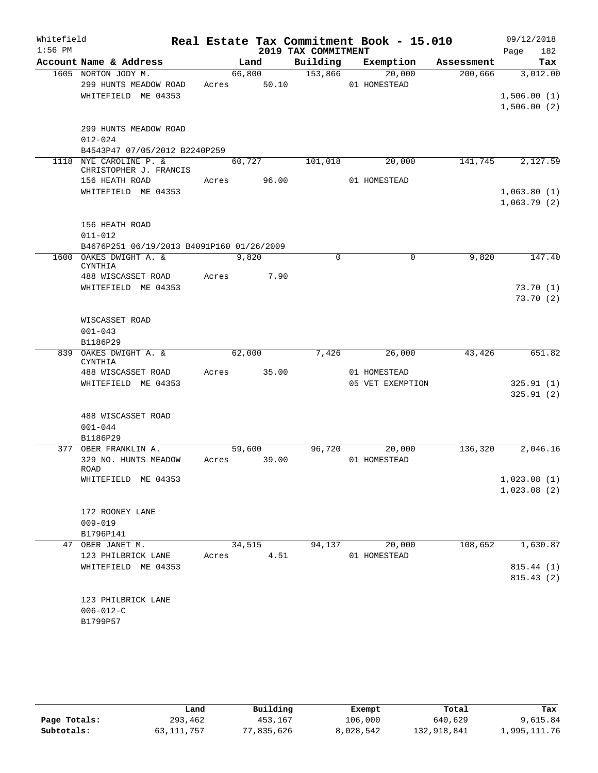| Whitefield |                                           |       |        |                     | Real Estate Tax Commitment Book - 15.010 |            | 09/12/2018  |
|------------|-------------------------------------------|-------|--------|---------------------|------------------------------------------|------------|-------------|
| $1:56$ PM  |                                           |       |        | 2019 TAX COMMITMENT |                                          |            | 182<br>Page |
|            | Account Name & Address                    |       | Land   | Building            | Exemption                                | Assessment | Tax         |
|            | 1605 NORTON JODY M.                       |       | 66,800 | 153,866             | 20,000                                   | 200,666    | 3,012.00    |
|            | 299 HUNTS MEADOW ROAD                     | Acres | 50.10  |                     | 01 HOMESTEAD                             |            |             |
|            | WHITEFIELD ME 04353                       |       |        |                     |                                          |            | 1,506.00(1) |
|            |                                           |       |        |                     |                                          |            | 1,506.00(2) |
|            | 299 HUNTS MEADOW ROAD                     |       |        |                     |                                          |            |             |
|            | $012 - 024$                               |       |        |                     |                                          |            |             |
|            | B4543P47 07/05/2012 B2240P259             |       |        |                     |                                          |            |             |
|            | 1118 NYE CAROLINE P. &                    |       | 60,727 | 101,018             | 20,000                                   | 141,745    | 2,127.59    |
|            | CHRISTOPHER J. FRANCIS                    |       |        |                     |                                          |            |             |
|            | 156 HEATH ROAD                            | Acres | 96.00  |                     | 01 HOMESTEAD                             |            |             |
|            | WHITEFIELD ME 04353                       |       |        |                     |                                          |            | 1,063.80(1) |
|            |                                           |       |        |                     |                                          |            | 1,063.79(2) |
|            |                                           |       |        |                     |                                          |            |             |
|            | 156 HEATH ROAD                            |       |        |                     |                                          |            |             |
|            | $011 - 012$                               |       |        |                     |                                          |            |             |
|            | B4676P251 06/19/2013 B4091P160 01/26/2009 |       | 9,820  | $\mathbf 0$         | 0                                        |            |             |
|            | 1600 OAKES DWIGHT A. &<br>CYNTHIA         |       |        |                     |                                          | 9,820      | 147.40      |
|            | 488 WISCASSET ROAD                        | Acres | 7.90   |                     |                                          |            |             |
|            | WHITEFIELD ME 04353                       |       |        |                     |                                          |            | 73.70(1)    |
|            |                                           |       |        |                     |                                          |            | 73.70(2)    |
|            |                                           |       |        |                     |                                          |            |             |
|            | WISCASSET ROAD                            |       |        |                     |                                          |            |             |
|            | $001 - 043$                               |       |        |                     |                                          |            |             |
|            | B1186P29                                  |       |        |                     |                                          |            |             |
| 839        | OAKES DWIGHT A. &                         |       | 62,000 | 7,426               | 26,000                                   | 43,426     | 651.82      |
|            | CYNTHIA<br>488 WISCASSET ROAD             | Acres | 35.00  |                     | 01 HOMESTEAD                             |            |             |
|            | WHITEFIELD ME 04353                       |       |        |                     | 05 VET EXEMPTION                         |            | 325.91(1)   |
|            |                                           |       |        |                     |                                          |            | 325.91(2)   |
|            |                                           |       |        |                     |                                          |            |             |
|            | 488 WISCASSET ROAD                        |       |        |                     |                                          |            |             |
|            | $001 - 044$                               |       |        |                     |                                          |            |             |
|            | B1186P29                                  |       |        |                     |                                          |            |             |
|            | 377 OBER FRANKLIN A.                      |       | 59,600 | 96,720              | 20,000                                   | 136,320    | 2,046.16    |
|            | 329 NO. HUNTS MEADOW                      | Acres | 39.00  |                     | 01 HOMESTEAD                             |            |             |
|            | ROAD                                      |       |        |                     |                                          |            |             |
|            | WHITEFIELD ME 04353                       |       |        |                     |                                          |            | 1,023.08(1) |
|            |                                           |       |        |                     |                                          |            | 1,023.08(2) |
|            | 172 ROONEY LANE                           |       |        |                     |                                          |            |             |
|            | $009 - 019$                               |       |        |                     |                                          |            |             |
|            | B1796P141                                 |       |        |                     |                                          |            |             |
|            | 47 OBER JANET M.                          |       | 34,515 | 94,137              | 20,000                                   | 108,652    | 1,630.87    |
|            | 123 PHILBRICK LANE                        | Acres | 4.51   |                     | 01 HOMESTEAD                             |            |             |
|            | WHITEFIELD ME 04353                       |       |        |                     |                                          |            | 815.44 (1)  |
|            |                                           |       |        |                     |                                          |            | 815.43(2)   |
|            |                                           |       |        |                     |                                          |            |             |
|            | 123 PHILBRICK LANE                        |       |        |                     |                                          |            |             |
|            | $006 - 012 - C$                           |       |        |                     |                                          |            |             |
|            | B1799P57                                  |       |        |                     |                                          |            |             |
|            |                                           |       |        |                     |                                          |            |             |

|              | Land         | Building   | Exempt    | Total       | Tax          |
|--------------|--------------|------------|-----------|-------------|--------------|
| Page Totals: | 293,462      | 453,167    | 106,000   | 640,629     | 9,615.84     |
| Subtotals:   | 63, 111, 757 | 77,835,626 | 8,028,542 | 132,918,841 | 1,995,111.76 |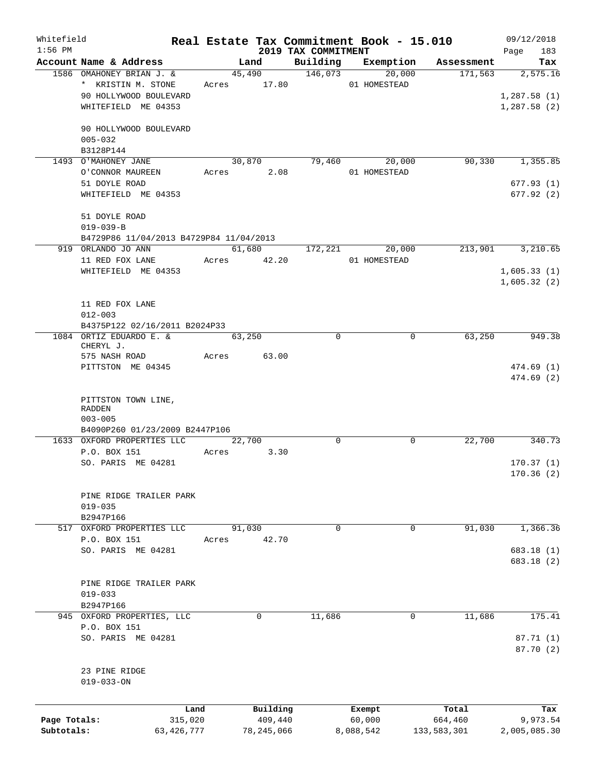| Whitefield<br>$1:56$ PM |                                         |              |       |                  |                     | Real Estate Tax Commitment Book - 15.010 |                               | 09/12/2018         |
|-------------------------|-----------------------------------------|--------------|-------|------------------|---------------------|------------------------------------------|-------------------------------|--------------------|
|                         | Account Name & Address                  |              |       | Land             | 2019 TAX COMMITMENT |                                          | Building Exemption Assessment | 183<br>Page<br>Tax |
|                         | 1586 OMAHONEY BRIAN J. &                |              |       | 45,490           | 146,073             | 20,000                                   | 171,563                       | 2,575.16           |
|                         | * KRISTIN M. STONE                      |              |       | Acres 17.80      |                     | 01 HOMESTEAD                             |                               |                    |
|                         | 90 HOLLYWOOD BOULEVARD                  |              |       |                  |                     |                                          |                               | 1,287.58(1)        |
|                         | WHITEFIELD ME 04353                     |              |       |                  |                     |                                          |                               | 1,287.58(2)        |
|                         |                                         |              |       |                  |                     |                                          |                               |                    |
|                         | 90 HOLLYWOOD BOULEVARD                  |              |       |                  |                     |                                          |                               |                    |
|                         | $005 - 032$                             |              |       |                  |                     |                                          |                               |                    |
|                         | B3128P144                               |              |       |                  |                     |                                          |                               |                    |
|                         | 1493 O'MAHONEY JANE                     |              |       | 30,870           | 79,460              | 20,000                                   | 90,330                        | 1,355.85           |
|                         | O'CONNOR MAUREEN                        |              |       | Acres 2.08       |                     | 01 HOMESTEAD                             |                               |                    |
|                         | 51 DOYLE ROAD                           |              |       |                  |                     |                                          |                               | 677.93(1)          |
|                         | WHITEFIELD ME 04353                     |              |       |                  |                     |                                          |                               | 677.92(2)          |
|                         |                                         |              |       |                  |                     |                                          |                               |                    |
|                         | 51 DOYLE ROAD                           |              |       |                  |                     |                                          |                               |                    |
|                         | $019 - 039 - B$                         |              |       |                  |                     |                                          |                               |                    |
|                         | B4729P86 11/04/2013 B4729P84 11/04/2013 |              |       |                  |                     |                                          |                               |                    |
|                         | 919 ORLANDO JO ANN                      |              |       | 61,680           | 172,221             | 20,000                                   | 213,901                       | 3,210.65           |
|                         | 11 RED FOX LANE                         |              |       | Acres 42.20      |                     | 01 HOMESTEAD                             |                               |                    |
|                         | WHITEFIELD ME 04353                     |              |       |                  |                     |                                          |                               | 1,605.33(1)        |
|                         |                                         |              |       |                  |                     |                                          |                               | 1,605.32(2)        |
|                         |                                         |              |       |                  |                     |                                          |                               |                    |
|                         | 11 RED FOX LANE                         |              |       |                  |                     |                                          |                               |                    |
|                         | $012 - 003$                             |              |       |                  |                     |                                          |                               |                    |
|                         | B4375P122 02/16/2011 B2024P33           |              |       |                  |                     |                                          |                               |                    |
|                         | 1084 ORTIZ EDUARDO E. &<br>CHERYL J.    |              |       | 63,250           | $\mathbf 0$         | $\mathbf 0$                              | 63,250                        | 949.38             |
|                         | 575 NASH ROAD                           |              | Acres | 63.00            |                     |                                          |                               |                    |
|                         | PITTSTON ME 04345                       |              |       |                  |                     |                                          |                               | 474.69 (1)         |
|                         |                                         |              |       |                  |                     |                                          |                               | 474.69(2)          |
|                         |                                         |              |       |                  |                     |                                          |                               |                    |
|                         | PITTSTON TOWN LINE,                     |              |       |                  |                     |                                          |                               |                    |
|                         | RADDEN                                  |              |       |                  |                     |                                          |                               |                    |
|                         | $003 - 005$                             |              |       |                  |                     |                                          |                               |                    |
|                         | B4090P260 01/23/2009 B2447P106          |              |       |                  |                     |                                          |                               |                    |
|                         | 1633 OXFORD PROPERTIES LLC              |              |       | $\frac{22}{700}$ | $\Omega$            | 0                                        | 22,700                        | 340.73             |
|                         | P.O. BOX 151                            |              | Acres | 3.30             |                     |                                          |                               |                    |
|                         | SO. PARIS ME 04281                      |              |       |                  |                     |                                          |                               | 170.37(1)          |
|                         |                                         |              |       |                  |                     |                                          |                               | 170.36(2)          |
|                         |                                         |              |       |                  |                     |                                          |                               |                    |
|                         | PINE RIDGE TRAILER PARK<br>$019 - 035$  |              |       |                  |                     |                                          |                               |                    |
|                         | B2947P166                               |              |       |                  |                     |                                          |                               |                    |
| 517                     | OXFORD PROPERTIES LLC                   |              |       | 91,030           | 0                   | 0                                        | 91,030                        | 1,366.36           |
|                         | P.O. BOX 151                            |              | Acres | 42.70            |                     |                                          |                               |                    |
|                         | SO. PARIS ME 04281                      |              |       |                  |                     |                                          |                               | 683.18 (1)         |
|                         |                                         |              |       |                  |                     |                                          |                               | 683.18 (2)         |
|                         |                                         |              |       |                  |                     |                                          |                               |                    |
|                         | PINE RIDGE TRAILER PARK                 |              |       |                  |                     |                                          |                               |                    |
|                         | $019 - 033$                             |              |       |                  |                     |                                          |                               |                    |
|                         | B2947P166                               |              |       |                  |                     |                                          |                               |                    |
|                         | 945 OXFORD PROPERTIES, LLC              |              |       | 0                | 11,686              | 0                                        | 11,686                        | 175.41             |
|                         | P.O. BOX 151                            |              |       |                  |                     |                                          |                               |                    |
|                         | SO. PARIS ME 04281                      |              |       |                  |                     |                                          |                               | 87.71 (1)          |
|                         |                                         |              |       |                  |                     |                                          |                               | 87.70 (2)          |
|                         |                                         |              |       |                  |                     |                                          |                               |                    |
|                         | 23 PINE RIDGE                           |              |       |                  |                     |                                          |                               |                    |
|                         | $019 - 033 - ON$                        |              |       |                  |                     |                                          |                               |                    |
|                         |                                         |              |       |                  |                     |                                          |                               |                    |
|                         |                                         | Land         |       | Building         |                     | Exempt                                   | Total                         | Tax                |
| Page Totals:            |                                         | 315,020      |       | 409,440          |                     | 60,000                                   | 664,460                       | 9,973.54           |
| Subtotals:              |                                         | 63, 426, 777 |       | 78, 245, 066     |                     | 8,088,542                                | 133,583,301                   | 2,005,085.30       |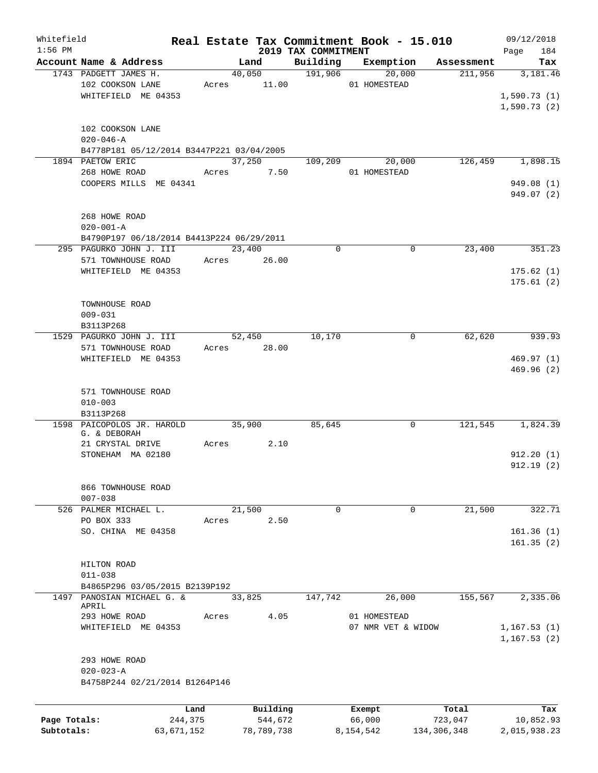| Whitefield   |                                           |            |       |            |                                 | Real Estate Tax Commitment Book - 15.010 |                       | 09/12/2018         |
|--------------|-------------------------------------------|------------|-------|------------|---------------------------------|------------------------------------------|-----------------------|--------------------|
| $1:56$ PM    | Account Name & Address                    |            |       | Land       | 2019 TAX COMMITMENT<br>Building | Exemption                                | Assessment            | 184<br>Page<br>Tax |
|              | 1743 PADGETT JAMES H.                     |            |       | 40,050     | 191,906                         | 20,000                                   | 211,956               | 3,181.46           |
|              | 102 COOKSON LANE                          |            | Acres | 11.00      |                                 | 01 HOMESTEAD                             |                       |                    |
|              | WHITEFIELD ME 04353                       |            |       |            |                                 |                                          |                       | 1,590.73(1)        |
|              |                                           |            |       |            |                                 |                                          |                       | 1,590.73(2)        |
|              |                                           |            |       |            |                                 |                                          |                       |                    |
|              | 102 COOKSON LANE                          |            |       |            |                                 |                                          |                       |                    |
|              | $020 - 046 - A$                           |            |       |            |                                 |                                          |                       |                    |
|              | B4778P181 05/12/2014 B3447P221 03/04/2005 |            |       |            |                                 |                                          |                       |                    |
|              | 1894 PAETOW ERIC                          |            |       | 37,250     | 109,209                         | 20,000                                   | 126,459               | 1,898.15           |
|              | 268 HOWE ROAD                             |            | Acres | 7.50       |                                 | 01 HOMESTEAD                             |                       |                    |
|              | COOPERS MILLS ME 04341                    |            |       |            |                                 |                                          |                       | 949.08 (1)         |
|              |                                           |            |       |            |                                 |                                          |                       | 949.07 (2)         |
|              |                                           |            |       |            |                                 |                                          |                       |                    |
|              | 268 HOWE ROAD                             |            |       |            |                                 |                                          |                       |                    |
|              | $020 - 001 - A$                           |            |       |            |                                 |                                          |                       |                    |
|              | B4790P197 06/18/2014 B4413P224 06/29/2011 |            |       |            |                                 |                                          |                       |                    |
|              | 295 PAGURKO JOHN J. III                   |            |       | 23,400     | 0                               |                                          | $\mathbf 0$<br>23,400 | 351.23             |
|              | 571 TOWNHOUSE ROAD                        |            | Acres | 26.00      |                                 |                                          |                       |                    |
|              | WHITEFIELD ME 04353                       |            |       |            |                                 |                                          |                       | 175.62(1)          |
|              |                                           |            |       |            |                                 |                                          |                       | 175.61(2)          |
|              |                                           |            |       |            |                                 |                                          |                       |                    |
|              | TOWNHOUSE ROAD                            |            |       |            |                                 |                                          |                       |                    |
|              | $009 - 031$                               |            |       |            |                                 |                                          |                       |                    |
|              | B3113P268                                 |            |       |            |                                 |                                          |                       |                    |
| 1529         | PAGURKO JOHN J. III                       |            |       | 52,450     | 10,170                          |                                          | 62,620<br>0           | 939.93             |
|              | 571 TOWNHOUSE ROAD                        |            | Acres | 28.00      |                                 |                                          |                       |                    |
|              | WHITEFIELD ME 04353                       |            |       |            |                                 |                                          |                       | 469.97(1)          |
|              |                                           |            |       |            |                                 |                                          |                       | 469.96(2)          |
|              |                                           |            |       |            |                                 |                                          |                       |                    |
|              | 571 TOWNHOUSE ROAD                        |            |       |            |                                 |                                          |                       |                    |
|              | $010 - 003$                               |            |       |            |                                 |                                          |                       |                    |
|              | B3113P268                                 |            |       |            |                                 |                                          |                       |                    |
|              | 1598 PAICOPOLOS JR. HAROLD                |            |       | 35,900     | 85,645                          |                                          | 121,545<br>0          | 1,824.39           |
|              | G. & DEBORAH                              |            |       |            |                                 |                                          |                       |                    |
|              | 21 CRYSTAL DRIVE                          |            | Acres | 2.10       |                                 |                                          |                       |                    |
|              | STONEHAM MA 02180                         |            |       |            |                                 |                                          |                       | 912.20(1)          |
|              |                                           |            |       |            |                                 |                                          |                       | 912.19(2)          |
|              |                                           |            |       |            |                                 |                                          |                       |                    |
|              | 866 TOWNHOUSE ROAD                        |            |       |            |                                 |                                          |                       |                    |
|              | $007 - 038$                               |            |       |            |                                 |                                          |                       |                    |
|              | 526 PALMER MICHAEL L.                     |            |       | 21,500     | 0                               |                                          | 21,500<br>0           | 322.71             |
|              | PO BOX 333                                |            | Acres | 2.50       |                                 |                                          |                       |                    |
|              | SO. CHINA ME 04358                        |            |       |            |                                 |                                          |                       | 161.36(1)          |
|              |                                           |            |       |            |                                 |                                          |                       | 161.35(2)          |
|              |                                           |            |       |            |                                 |                                          |                       |                    |
|              | HILTON ROAD                               |            |       |            |                                 |                                          |                       |                    |
|              | $011 - 038$                               |            |       |            |                                 |                                          |                       |                    |
|              | B4865P296 03/05/2015 B2139P192            |            |       |            |                                 |                                          |                       |                    |
|              | 1497 PANOSIAN MICHAEL G. &                |            |       | 33,825     | 147,742                         | 26,000                                   | 155,567               | 2,335.06           |
|              | APRIL                                     |            |       |            |                                 |                                          |                       |                    |
|              | 293 HOWE ROAD                             |            | Acres | 4.05       |                                 | 01 HOMESTEAD                             |                       |                    |
|              | WHITEFIELD ME 04353                       |            |       |            |                                 | 07 NMR VET & WIDOW                       |                       | 1,167.53(1)        |
|              |                                           |            |       |            |                                 |                                          |                       | 1, 167.53(2)       |
|              |                                           |            |       |            |                                 |                                          |                       |                    |
|              | 293 HOWE ROAD                             |            |       |            |                                 |                                          |                       |                    |
|              | $020 - 023 - A$                           |            |       |            |                                 |                                          |                       |                    |
|              | B4758P244 02/21/2014 B1264P146            |            |       |            |                                 |                                          |                       |                    |
|              |                                           |            |       |            |                                 |                                          |                       |                    |
|              |                                           | Land       |       | Building   |                                 | Exempt                                   | Total                 | Tax                |
| Page Totals: |                                           | 244,375    |       | 544,672    |                                 | 66,000                                   | 723,047               | 10,852.93          |
| Subtotals:   |                                           | 63,671,152 |       | 78,789,738 |                                 | 8,154,542                                | 134,306,348           | 2,015,938.23       |
|              |                                           |            |       |            |                                 |                                          |                       |                    |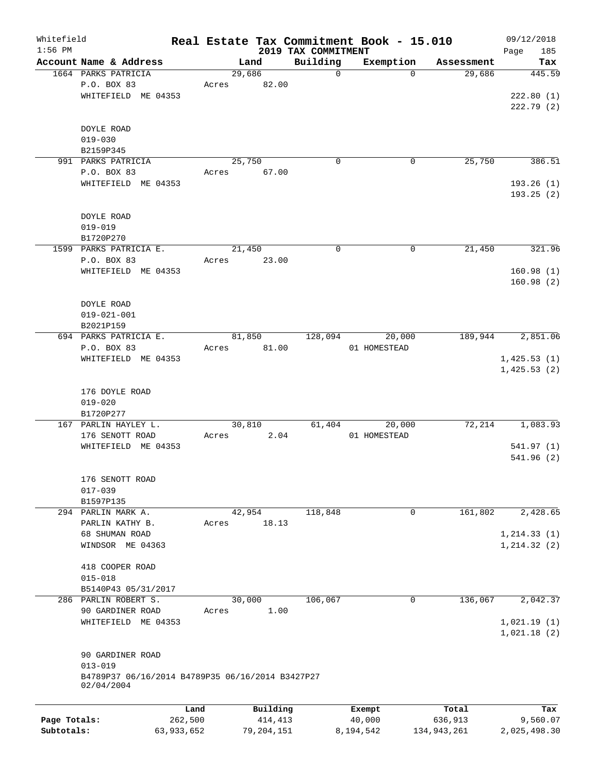| Whitefield                 |                                                                |                       |       |                         |                                 | Real Estate Tax Commitment Book - 15.010 |                        | 09/12/2018               |
|----------------------------|----------------------------------------------------------------|-----------------------|-------|-------------------------|---------------------------------|------------------------------------------|------------------------|--------------------------|
| $1:56$ PM                  | Account Name & Address                                         |                       |       | Land                    | 2019 TAX COMMITMENT<br>Building | Exemption                                |                        | 185<br>Page<br>Tax       |
|                            | 1664 PARKS PATRICIA                                            |                       |       | 29,686                  | $\mathbf 0$                     | $\Omega$                                 | Assessment<br>29,686   | 445.59                   |
|                            | P.O. BOX 83                                                    |                       | Acres | 82.00                   |                                 |                                          |                        |                          |
|                            | WHITEFIELD ME 04353                                            |                       |       |                         |                                 |                                          |                        | 222.80(1)                |
|                            |                                                                |                       |       |                         |                                 |                                          |                        | 222.79(2)                |
|                            |                                                                |                       |       |                         |                                 |                                          |                        |                          |
|                            | DOYLE ROAD                                                     |                       |       |                         |                                 |                                          |                        |                          |
|                            | $019 - 030$                                                    |                       |       |                         |                                 |                                          |                        |                          |
|                            | B2159P345                                                      |                       |       |                         |                                 |                                          |                        |                          |
|                            | 991 PARKS PATRICIA                                             |                       |       | 25,750                  | $\Omega$                        | 0                                        | 25,750                 | 386.51                   |
|                            | P.O. BOX 83                                                    |                       | Acres | 67.00                   |                                 |                                          |                        |                          |
|                            | WHITEFIELD ME 04353                                            |                       |       |                         |                                 |                                          |                        | 193.26 (1)<br>193.25(2)  |
|                            |                                                                |                       |       |                         |                                 |                                          |                        |                          |
|                            | DOYLE ROAD                                                     |                       |       |                         |                                 |                                          |                        |                          |
|                            | $019 - 019$                                                    |                       |       |                         |                                 |                                          |                        |                          |
|                            | B1720P270                                                      |                       |       |                         |                                 |                                          |                        |                          |
|                            | 1599 PARKS PATRICIA E.                                         |                       |       | 21,450                  | 0                               | 0                                        | 21,450                 | 321.96                   |
|                            | P.O. BOX 83                                                    |                       | Acres | 23.00                   |                                 |                                          |                        |                          |
|                            | WHITEFIELD ME 04353                                            |                       |       |                         |                                 |                                          |                        | 160.98(1)                |
|                            |                                                                |                       |       |                         |                                 |                                          |                        | 160.98(2)                |
|                            | DOYLE ROAD                                                     |                       |       |                         |                                 |                                          |                        |                          |
|                            | $019 - 021 - 001$                                              |                       |       |                         |                                 |                                          |                        |                          |
|                            | B2021P159                                                      |                       |       |                         |                                 |                                          |                        |                          |
|                            | 694 PARKS PATRICIA E.                                          |                       |       | 81,850                  | 128,094                         | 20,000                                   | 189,944                | 2,851.06                 |
|                            | P.O. BOX 83                                                    |                       | Acres | 81.00                   |                                 | 01 HOMESTEAD                             |                        |                          |
|                            | WHITEFIELD ME 04353                                            |                       |       |                         |                                 |                                          |                        | 1,425.53(1)              |
|                            |                                                                |                       |       |                         |                                 |                                          |                        | 1,425.53(2)              |
|                            |                                                                |                       |       |                         |                                 |                                          |                        |                          |
|                            | 176 DOYLE ROAD                                                 |                       |       |                         |                                 |                                          |                        |                          |
|                            | $019 - 020$                                                    |                       |       |                         |                                 |                                          |                        |                          |
|                            | B1720P277                                                      |                       |       |                         |                                 |                                          |                        |                          |
|                            | 167 PARLIN HAYLEY L.                                           |                       |       | 30,810                  | 61,404                          | 20,000                                   | 72,214                 | 1,083.93                 |
|                            | 176 SENOTT ROAD                                                |                       | Acres | 2.04                    |                                 | 01 HOMESTEAD                             |                        |                          |
|                            | WHITEFIELD ME 04353                                            |                       |       |                         |                                 |                                          |                        | 541.97(1)<br>541.96(2)   |
|                            |                                                                |                       |       |                         |                                 |                                          |                        |                          |
|                            | 176 SENOTT ROAD                                                |                       |       |                         |                                 |                                          |                        |                          |
|                            | $017 - 039$                                                    |                       |       |                         |                                 |                                          |                        |                          |
|                            | B1597P135                                                      |                       |       |                         |                                 |                                          |                        |                          |
|                            | 294 PARLIN MARK A.                                             |                       |       | 42,954                  | 118,848                         | 0                                        | 161,802                | 2,428.65                 |
|                            | PARLIN KATHY B.                                                |                       | Acres | 18.13                   |                                 |                                          |                        |                          |
|                            | 68 SHUMAN ROAD                                                 |                       |       |                         |                                 |                                          |                        | 1, 214.33(1)             |
|                            | WINDSOR ME 04363                                               |                       |       |                         |                                 |                                          |                        | 1, 214.32(2)             |
|                            | 418 COOPER ROAD                                                |                       |       |                         |                                 |                                          |                        |                          |
|                            | $015 - 018$                                                    |                       |       |                         |                                 |                                          |                        |                          |
|                            | B5140P43 05/31/2017                                            |                       |       |                         |                                 |                                          |                        |                          |
|                            | 286 PARLIN ROBERT S.                                           |                       |       | 30,000                  | 106,067                         | 0                                        | 136,067                | 2,042.37                 |
|                            | 90 GARDINER ROAD                                               |                       | Acres | 1.00                    |                                 |                                          |                        |                          |
|                            | WHITEFIELD ME 04353                                            |                       |       |                         |                                 |                                          |                        | 1,021.19(1)              |
|                            |                                                                |                       |       |                         |                                 |                                          |                        | 1,021.18(2)              |
|                            |                                                                |                       |       |                         |                                 |                                          |                        |                          |
|                            | 90 GARDINER ROAD                                               |                       |       |                         |                                 |                                          |                        |                          |
|                            | $013 - 019$                                                    |                       |       |                         |                                 |                                          |                        |                          |
|                            | B4789P37 06/16/2014 B4789P35 06/16/2014 B3427P27<br>02/04/2004 |                       |       |                         |                                 |                                          |                        |                          |
|                            |                                                                |                       |       |                         |                                 |                                          |                        |                          |
|                            |                                                                | Land                  |       | Building                |                                 | Exempt                                   | Total                  | Tax                      |
| Page Totals:<br>Subtotals: |                                                                | 262,500<br>63,933,652 |       | 414,413<br>79, 204, 151 |                                 | 40,000<br>8,194,542                      | 636,913<br>134,943,261 | 9,560.07<br>2,025,498.30 |
|                            |                                                                |                       |       |                         |                                 |                                          |                        |                          |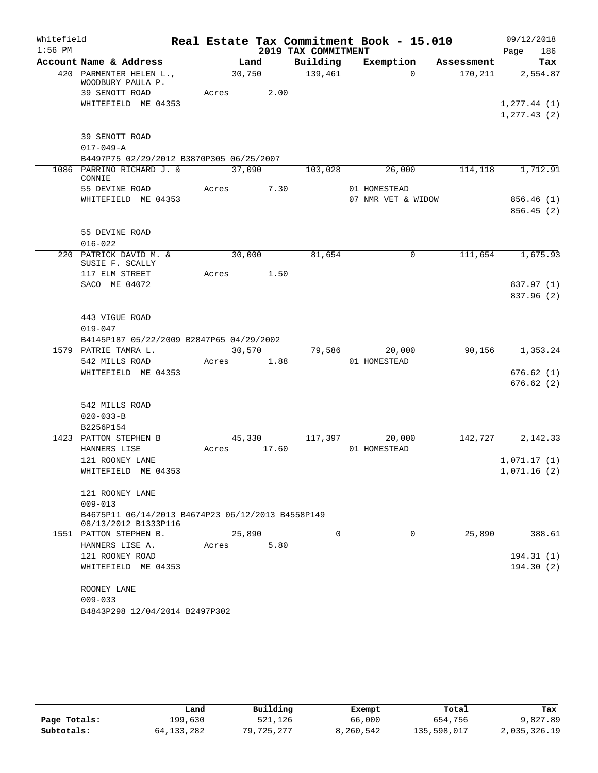| Whitefield |                                                                           |        |        |                     | Real Estate Tax Commitment Book - 15.010 |            | 09/12/2018   |
|------------|---------------------------------------------------------------------------|--------|--------|---------------------|------------------------------------------|------------|--------------|
| $1:56$ PM  |                                                                           |        |        | 2019 TAX COMMITMENT |                                          |            | 186<br>Page  |
|            | Account Name & Address                                                    |        | Land   | Building            | Exemption                                | Assessment | Tax          |
|            | 420 PARMENTER HELEN L.,<br>WOODBURY PAULA P.                              | 30,750 |        | 139,461             | $\Omega$                                 | 170, 211   | 2,554.87     |
|            | 39 SENOTT ROAD                                                            | Acres  | 2.00   |                     |                                          |            |              |
|            | WHITEFIELD ME 04353                                                       |        |        |                     |                                          |            | 1, 277.44(1) |
|            |                                                                           |        |        |                     |                                          |            | 1, 277.43(2) |
|            | 39 SENOTT ROAD                                                            |        |        |                     |                                          |            |              |
|            | $017 - 049 - A$                                                           |        |        |                     |                                          |            |              |
|            | B4497P75 02/29/2012 B3870P305 06/25/2007                                  |        |        |                     |                                          |            |              |
|            | 1086 PARRINO RICHARD J. &<br>CONNIE                                       | 37,090 |        | 103,028             | 26,000                                   | 114,118    | 1,712.91     |
|            | 55 DEVINE ROAD                                                            | Acres  | 7.30   |                     | 01 HOMESTEAD                             |            |              |
|            | WHITEFIELD ME 04353                                                       |        |        |                     | 07 NMR VET & WIDOW                       |            | 856.46 (1)   |
|            |                                                                           |        |        |                     |                                          |            | 856.45(2)    |
|            |                                                                           |        |        |                     |                                          |            |              |
|            | 55 DEVINE ROAD                                                            |        |        |                     |                                          |            |              |
|            | $016 - 022$                                                               |        |        |                     |                                          |            |              |
|            | 220 PATRICK DAVID M. &<br>SUSIE F. SCALLY                                 | 30,000 |        | 81,654              | 0                                        | 111,654    | 1,675.93     |
|            | 117 ELM STREET                                                            | Acres  | 1.50   |                     |                                          |            |              |
|            | SACO ME 04072                                                             |        |        |                     |                                          |            | 837.97 (1)   |
|            |                                                                           |        |        |                     |                                          |            | 837.96 (2)   |
|            |                                                                           |        |        |                     |                                          |            |              |
|            | 443 VIGUE ROAD<br>$019 - 047$                                             |        |        |                     |                                          |            |              |
|            | B4145P187 05/22/2009 B2847P65 04/29/2002                                  |        |        |                     |                                          |            |              |
|            | 1579 PATRIE TAMRA L.                                                      |        | 30,570 | 79,586              | 20,000                                   | 90,156     | 1,353.24     |
|            | 542 MILLS ROAD                                                            | Acres  | 1.88   |                     | 01 HOMESTEAD                             |            |              |
|            | WHITEFIELD ME 04353                                                       |        |        |                     |                                          |            | 676.62(1)    |
|            |                                                                           |        |        |                     |                                          |            | 676.62(2)    |
|            |                                                                           |        |        |                     |                                          |            |              |
|            | 542 MILLS ROAD                                                            |        |        |                     |                                          |            |              |
|            | $020 - 033 - B$                                                           |        |        |                     |                                          |            |              |
|            | B2256P154                                                                 |        |        |                     |                                          |            |              |
|            | 1423 PATTON STEPHEN B                                                     |        | 45,330 | 117,397             | 20,000                                   | 142,727    | 2,142.33     |
|            | HANNERS LISE                                                              | Acres  | 17.60  |                     | 01 HOMESTEAD                             |            |              |
|            | 121 ROONEY LANE                                                           |        |        |                     |                                          |            | 1,071.17(1)  |
|            | WHITEFIELD ME 04353                                                       |        |        |                     |                                          |            | 1,071.16(2)  |
|            | 121 ROONEY LANE                                                           |        |        |                     |                                          |            |              |
|            | $009 - 013$                                                               |        |        |                     |                                          |            |              |
|            | B4675P11 06/14/2013 B4674P23 06/12/2013 B4558P149<br>08/13/2012 B1333P116 |        |        |                     |                                          |            |              |
|            | 1551 PATTON STEPHEN B.                                                    | 25,890 |        | 0                   | 0                                        | 25,890     | 388.61       |
|            | HANNERS LISE A.                                                           | Acres  | 5.80   |                     |                                          |            |              |
|            | 121 ROONEY ROAD                                                           |        |        |                     |                                          |            | 194.31(1)    |
|            | WHITEFIELD ME 04353                                                       |        |        |                     |                                          |            | 194.30(2)    |
|            | ROONEY LANE                                                               |        |        |                     |                                          |            |              |
|            | $009 - 033$                                                               |        |        |                     |                                          |            |              |
|            | B4843P298 12/04/2014 B2497P302                                            |        |        |                     |                                          |            |              |
|            |                                                                           |        |        |                     |                                          |            |              |

|              | Land       | Building   | Exempt    | Total       | Tax          |
|--------------|------------|------------|-----------|-------------|--------------|
| Page Totals: | 199,630    | 521,126    | 66,000    | 654,756     | 9,827.89     |
| Subtotals:   | 64,133,282 | 79,725,277 | 8,260,542 | 135,598,017 | 2,035,326.19 |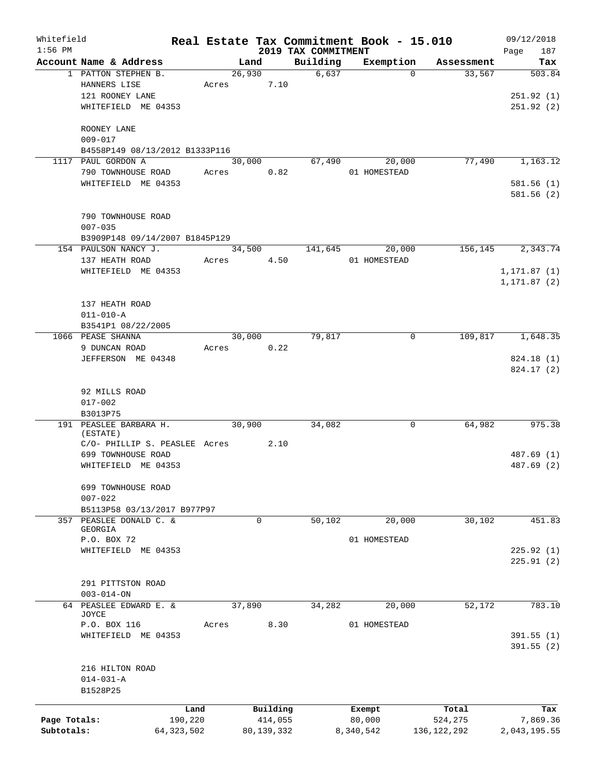| Whitefield   |                                |              |                |            |                                 | Real Estate Tax Commitment Book - 15.010 |               |      | 09/12/2018               |
|--------------|--------------------------------|--------------|----------------|------------|---------------------------------|------------------------------------------|---------------|------|--------------------------|
| $1:56$ PM    | Account Name & Address         |              |                |            | 2019 TAX COMMITMENT<br>Building |                                          | Assessment    | Page | 187                      |
|              | 1 PATTON STEPHEN B.            |              | Land<br>26,930 |            | 6,637                           | Exemption<br>$\Omega$                    | 33,567        |      | Tax<br>503.84            |
|              | HANNERS LISE                   | Acres        |                | 7.10       |                                 |                                          |               |      |                          |
|              | 121 ROONEY LANE                |              |                |            |                                 |                                          |               |      | 251.92(1)                |
|              | WHITEFIELD ME 04353            |              |                |            |                                 |                                          |               |      | 251.92(2)                |
|              |                                |              |                |            |                                 |                                          |               |      |                          |
|              | ROONEY LANE                    |              |                |            |                                 |                                          |               |      |                          |
|              | $009 - 017$                    |              |                |            |                                 |                                          |               |      |                          |
|              | B4558P149 08/13/2012 B1333P116 |              |                |            |                                 |                                          |               |      |                          |
|              | 1117 PAUL GORDON A             |              | 30,000         |            | 67,490                          | 20,000                                   | 77,490        |      | 1,163.12                 |
|              | 790 TOWNHOUSE ROAD             | Acres        |                | 0.82       |                                 | 01 HOMESTEAD                             |               |      |                          |
|              | WHITEFIELD ME 04353            |              |                |            |                                 |                                          |               |      | 581.56(1)                |
|              |                                |              |                |            |                                 |                                          |               |      | 581.56 (2)               |
|              | 790 TOWNHOUSE ROAD             |              |                |            |                                 |                                          |               |      |                          |
|              | $007 - 035$                    |              |                |            |                                 |                                          |               |      |                          |
|              | B3909P148 09/14/2007 B1845P129 |              |                |            |                                 |                                          |               |      |                          |
|              | 154 PAULSON NANCY J.           |              | 34,500         |            | 141,645                         | 20,000                                   | 156,145       |      | 2,343.74                 |
|              | 137 HEATH ROAD                 | Acres        |                | 4.50       |                                 | 01 HOMESTEAD                             |               |      |                          |
|              | WHITEFIELD ME 04353            |              |                |            |                                 |                                          |               |      | 1, 171.87(1)             |
|              |                                |              |                |            |                                 |                                          |               |      | 1,171.87 (2)             |
|              |                                |              |                |            |                                 |                                          |               |      |                          |
|              | 137 HEATH ROAD                 |              |                |            |                                 |                                          |               |      |                          |
|              | $011 - 010 - A$                |              |                |            |                                 |                                          |               |      |                          |
|              | B3541P1 08/22/2005             |              |                |            |                                 |                                          |               |      |                          |
|              | 1066 PEASE SHANNA              |              | 30,000         |            | 79,817                          | 0                                        | 109,817       |      | 1,648.35                 |
|              | 9 DUNCAN ROAD                  | Acres        |                | 0.22       |                                 |                                          |               |      |                          |
|              | JEFFERSON ME 04348             |              |                |            |                                 |                                          |               |      | 824.18 (1)<br>824.17 (2) |
|              |                                |              |                |            |                                 |                                          |               |      |                          |
|              | 92 MILLS ROAD                  |              |                |            |                                 |                                          |               |      |                          |
|              | $017 - 002$                    |              |                |            |                                 |                                          |               |      |                          |
|              | B3013P75                       |              |                |            |                                 |                                          |               |      |                          |
|              | 191 PEASLEE BARBARA H.         |              | 30,900         |            | 34,082                          | 0                                        | 64,982        |      | 975.38                   |
|              | (ESTATE)                       |              |                |            |                                 |                                          |               |      |                          |
|              | C/O- PHILLIP S. PEASLEE Acres  |              |                | 2.10       |                                 |                                          |               |      |                          |
|              | 699 TOWNHOUSE ROAD             |              |                |            |                                 |                                          |               |      | 487.69 (1)               |
|              | WHITEFIELD ME 04353            |              |                |            |                                 |                                          |               |      | 487.69 (2)               |
|              | 699 TOWNHOUSE ROAD             |              |                |            |                                 |                                          |               |      |                          |
|              | $007 - 022$                    |              |                |            |                                 |                                          |               |      |                          |
|              | B5113P58 03/13/2017 B977P97    |              |                |            |                                 |                                          |               |      |                          |
|              | 357 PEASLEE DONALD C. &        |              |                | 0          | 50,102                          | 20,000                                   | 30,102        |      | 451.83                   |
|              | <b>GEORGIA</b>                 |              |                |            |                                 |                                          |               |      |                          |
|              | P.O. BOX 72                    |              |                |            |                                 | 01 HOMESTEAD                             |               |      |                          |
|              | WHITEFIELD ME 04353            |              |                |            |                                 |                                          |               |      | 225.92(1)                |
|              |                                |              |                |            |                                 |                                          |               |      | 225.91(2)                |
|              | 291 PITTSTON ROAD              |              |                |            |                                 |                                          |               |      |                          |
|              | $003 - 014 - ON$               |              |                |            |                                 |                                          |               |      |                          |
|              | 64 PEASLEE EDWARD E. &         |              | 37,890         |            | 34,282                          | 20,000                                   | 52,172        |      | 783.10                   |
|              | JOYCE                          |              |                |            |                                 |                                          |               |      |                          |
|              | P.O. BOX 116                   | Acres        |                | 8.30       |                                 | 01 HOMESTEAD                             |               |      |                          |
|              | WHITEFIELD ME 04353            |              |                |            |                                 |                                          |               |      | 391.55(1)                |
|              |                                |              |                |            |                                 |                                          |               |      | 391.55(2)                |
|              |                                |              |                |            |                                 |                                          |               |      |                          |
|              | 216 HILTON ROAD                |              |                |            |                                 |                                          |               |      |                          |
|              | $014 - 031 - A$                |              |                |            |                                 |                                          |               |      |                          |
|              | B1528P25                       |              |                |            |                                 |                                          |               |      |                          |
|              |                                | Land         |                | Building   |                                 | Exempt                                   | Total         |      | Tax                      |
| Page Totals: |                                | 190,220      |                | 414,055    |                                 | 80,000                                   | 524,275       |      | 7,869.36                 |
| Subtotals:   |                                | 64, 323, 502 |                | 80,139,332 |                                 | 8,340,542                                | 136, 122, 292 |      | 2,043,195.55             |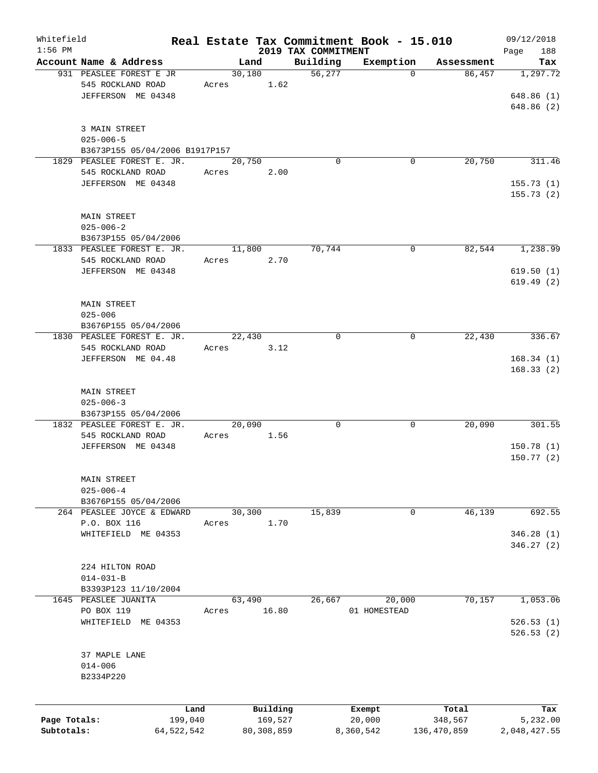| Whitefield   |                                |              |       |                |                     | Real Estate Tax Commitment Book - 15.010 |                                  | 09/12/2018       |
|--------------|--------------------------------|--------------|-------|----------------|---------------------|------------------------------------------|----------------------------------|------------------|
| $1:56$ PM    | Account Name & Address         |              |       |                | 2019 TAX COMMITMENT |                                          |                                  | 188<br>Page      |
|              | 931 PEASLEE FOREST E JR        |              |       | Land<br>30,180 | Building<br>56, 277 | Exemption                                | Assessment<br>86,457<br>$\Omega$ | Tax<br>1, 297.72 |
|              |                                |              |       |                |                     |                                          |                                  |                  |
|              | 545 ROCKLAND ROAD              |              | Acres | 1.62           |                     |                                          |                                  |                  |
|              | JEFFERSON ME 04348             |              |       |                |                     |                                          |                                  | 648.86(1)        |
|              |                                |              |       |                |                     |                                          |                                  | 648.86 (2)       |
|              |                                |              |       |                |                     |                                          |                                  |                  |
|              | 3 MAIN STREET                  |              |       |                |                     |                                          |                                  |                  |
|              | $025 - 006 - 5$                |              |       |                |                     |                                          |                                  |                  |
|              | B3673P155 05/04/2006 B1917P157 |              |       |                |                     |                                          |                                  |                  |
|              | 1829 PEASLEE FOREST E. JR.     |              |       | 20,750         |                     | $\Omega$                                 | $\mathbf 0$<br>20,750            | 311.46           |
|              | 545 ROCKLAND ROAD              |              | Acres | 2.00           |                     |                                          |                                  |                  |
|              | JEFFERSON ME 04348             |              |       |                |                     |                                          |                                  | 155.73(1)        |
|              |                                |              |       |                |                     |                                          |                                  | 155.73(2)        |
|              |                                |              |       |                |                     |                                          |                                  |                  |
|              | MAIN STREET                    |              |       |                |                     |                                          |                                  |                  |
|              | $025 - 006 - 2$                |              |       |                |                     |                                          |                                  |                  |
|              | B3673P155 05/04/2006           |              |       |                |                     |                                          |                                  |                  |
|              | 1833 PEASLEE FOREST E. JR.     |              |       | 11,800         | 70,744              |                                          | 82,544<br>0                      | 1,238.99         |
|              | 545 ROCKLAND ROAD              |              | Acres | 2.70           |                     |                                          |                                  |                  |
|              | JEFFERSON ME 04348             |              |       |                |                     |                                          |                                  | 619.50(1)        |
|              |                                |              |       |                |                     |                                          |                                  | 619.49(2)        |
|              |                                |              |       |                |                     |                                          |                                  |                  |
|              | <b>MAIN STREET</b>             |              |       |                |                     |                                          |                                  |                  |
|              | $025 - 006$                    |              |       |                |                     |                                          |                                  |                  |
|              | B3676P155 05/04/2006           |              |       |                |                     |                                          |                                  |                  |
|              | 1830 PEASLEE FOREST E. JR.     |              |       | 22,430         |                     | $\mathbf 0$                              | 22,430<br>0                      | 336.67           |
|              | 545 ROCKLAND ROAD              |              | Acres | 3.12           |                     |                                          |                                  |                  |
|              | JEFFERSON ME 04.48             |              |       |                |                     |                                          |                                  | 168.34(1)        |
|              |                                |              |       |                |                     |                                          |                                  | 168.33(2)        |
|              |                                |              |       |                |                     |                                          |                                  |                  |
|              | MAIN STREET                    |              |       |                |                     |                                          |                                  |                  |
|              | $025 - 006 - 3$                |              |       |                |                     |                                          |                                  |                  |
|              | B3673P155 05/04/2006           |              |       |                |                     |                                          |                                  |                  |
|              | 1832 PEASLEE FOREST E. JR.     |              |       | 20,090         |                     | 0                                        | 20,090<br>0                      | 301.55           |
|              | 545 ROCKLAND ROAD              |              | Acres | 1.56           |                     |                                          |                                  |                  |
|              | JEFFERSON ME 04348             |              |       |                |                     |                                          |                                  | 150.78(1)        |
|              |                                |              |       |                |                     |                                          |                                  | 150.77(2)        |
|              |                                |              |       |                |                     |                                          |                                  |                  |
|              | <b>MAIN STREET</b>             |              |       |                |                     |                                          |                                  |                  |
|              | $025 - 006 - 4$                |              |       |                |                     |                                          |                                  |                  |
|              | B3676P155 05/04/2006           |              |       |                |                     |                                          |                                  |                  |
|              | 264 PEASLEE JOYCE & EDWARD     |              |       | 30,300         | 15,839              |                                          | 46,139<br>0                      | 692.55           |
|              | P.O. BOX 116                   |              | Acres | 1.70           |                     |                                          |                                  |                  |
|              | WHITEFIELD ME 04353            |              |       |                |                     |                                          |                                  | 346.28(1)        |
|              |                                |              |       |                |                     |                                          |                                  | 346.27(2)        |
|              |                                |              |       |                |                     |                                          |                                  |                  |
|              | 224 HILTON ROAD                |              |       |                |                     |                                          |                                  |                  |
|              | $014 - 031 - B$                |              |       |                |                     |                                          |                                  |                  |
|              | B3393P123 11/10/2004           |              |       |                |                     |                                          |                                  |                  |
|              | 1645 PEASLEE JUANITA           |              |       | 63,490         | 26,667              | 20,000                                   | 70, 157                          | 1,053.06         |
|              | PO BOX 119                     |              | Acres | 16.80          |                     | 01 HOMESTEAD                             |                                  |                  |
|              | WHITEFIELD ME 04353            |              |       |                |                     |                                          |                                  | 526.53(1)        |
|              |                                |              |       |                |                     |                                          |                                  |                  |
|              |                                |              |       |                |                     |                                          |                                  | 526.53(2)        |
|              |                                |              |       |                |                     |                                          |                                  |                  |
|              | 37 MAPLE LANE                  |              |       |                |                     |                                          |                                  |                  |
|              | $014 - 006$                    |              |       |                |                     |                                          |                                  |                  |
|              | B2334P220                      |              |       |                |                     |                                          |                                  |                  |
|              |                                |              |       |                |                     |                                          |                                  |                  |
|              |                                | Land         |       | Building       |                     | Exempt                                   | Total                            | Tax              |
| Page Totals: |                                | 199,040      |       | 169,527        |                     | 20,000                                   | 348,567                          | 5,232.00         |
| Subtotals:   |                                | 64, 522, 542 |       | 80, 308, 859   |                     | 8,360,542                                | 136,470,859                      | 2,048,427.55     |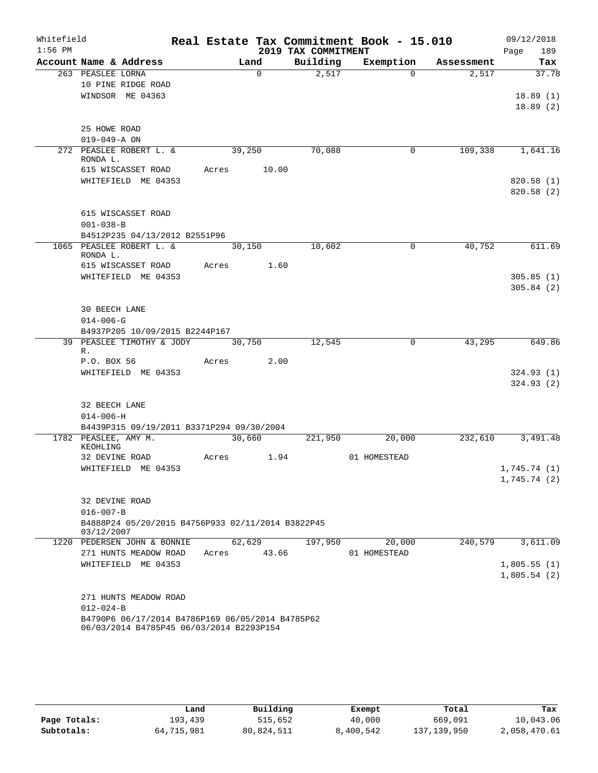| Whitefield<br>$1:56$ PM |                                                                     |       |          | 2019 TAX COMMITMENT | Real Estate Tax Commitment Book - 15.010 |            | 09/12/2018<br>189<br>Page |
|-------------------------|---------------------------------------------------------------------|-------|----------|---------------------|------------------------------------------|------------|---------------------------|
|                         | Account Name & Address                                              |       | Land     | Building            | Exemption                                | Assessment | Tax                       |
|                         | 263 PEASLEE LORNA                                                   |       | $\Omega$ | 2,517               | $\Omega$                                 | 2,517      | 37.78                     |
|                         | 10 PINE RIDGE ROAD                                                  |       |          |                     |                                          |            |                           |
|                         | WINDSOR ME 04363                                                    |       |          |                     |                                          |            | 18.89(1)                  |
|                         |                                                                     |       |          |                     |                                          |            | 18.89(2)                  |
|                         |                                                                     |       |          |                     |                                          |            |                           |
|                         | 25 HOWE ROAD<br>$019 - 049 - A ON$                                  |       |          |                     |                                          |            |                           |
|                         | 272 PEASLEE ROBERT L. &                                             |       | 39,250   | 70,088              | 0                                        | 109,338    | 1,641.16                  |
|                         | RONDA L.                                                            |       |          |                     |                                          |            |                           |
|                         | 615 WISCASSET ROAD                                                  | Acres | 10.00    |                     |                                          |            |                           |
|                         | WHITEFIELD ME 04353                                                 |       |          |                     |                                          |            | 820.58 (1)                |
|                         |                                                                     |       |          |                     |                                          |            | 820.58 (2)                |
|                         | 615 WISCASSET ROAD                                                  |       |          |                     |                                          |            |                           |
|                         | $001 - 038 - B$                                                     |       |          |                     |                                          |            |                           |
|                         | B4512P235 04/13/2012 B2551P96                                       |       |          |                     |                                          |            |                           |
|                         | 1065 PEASLEE ROBERT L. &                                            |       | 30,150   | 10,602              | 0                                        | 40,752     | 611.69                    |
|                         | RONDA L.                                                            |       |          |                     |                                          |            |                           |
|                         | 615 WISCASSET ROAD                                                  | Acres | 1.60     |                     |                                          |            |                           |
|                         | WHITEFIELD ME 04353                                                 |       |          |                     |                                          |            | 305.85(1)                 |
|                         |                                                                     |       |          |                     |                                          |            | 305.84(2)                 |
|                         | 30 BEECH LANE                                                       |       |          |                     |                                          |            |                           |
|                         | $014 - 006 - G$                                                     |       |          |                     |                                          |            |                           |
|                         | B4937P205 10/09/2015 B2244P167                                      |       |          |                     |                                          |            |                           |
|                         | 39 PEASLEE TIMOTHY & JODY                                           |       | 30,750   | 12,545              | $\mathbf 0$                              | 43,295     | 649.86                    |
|                         | R.                                                                  |       |          |                     |                                          |            |                           |
|                         | P.O. BOX 56<br>WHITEFIELD ME 04353                                  | Acres | 2.00     |                     |                                          |            | 324.93(1)                 |
|                         |                                                                     |       |          |                     |                                          |            | 324.93(2)                 |
|                         |                                                                     |       |          |                     |                                          |            |                           |
|                         | 32 BEECH LANE                                                       |       |          |                     |                                          |            |                           |
|                         | $014 - 006 - H$                                                     |       |          |                     |                                          |            |                           |
|                         | B4439P315 09/19/2011 B3371P294 09/30/2004                           |       |          |                     |                                          |            |                           |
|                         | 1782 PEASLEE, AMY M.<br>KEOHLING                                    |       | 30,660   | 221,950             | 20,000                                   | 232,610    | 3,491.48                  |
|                         | 32 DEVINE ROAD                                                      | Acres | 1.94     |                     | 01 HOMESTEAD                             |            |                           |
|                         | WHITEFIELD ME 04353                                                 |       |          |                     |                                          |            | 1,745.74(1)               |
|                         |                                                                     |       |          |                     |                                          |            | 1,745.74(2)               |
|                         |                                                                     |       |          |                     |                                          |            |                           |
|                         | 32 DEVINE ROAD                                                      |       |          |                     |                                          |            |                           |
|                         | $016 - 007 - B$                                                     |       |          |                     |                                          |            |                           |
|                         | B4888P24 05/20/2015 B4756P933 02/11/2014 B3822P45<br>03/12/2007     |       |          |                     |                                          |            |                           |
|                         | 1220 PEDERSEN JOHN & BONNIE                                         |       | 62,629   | 197,950             | 20,000                                   | 240,579    | 3,611.09                  |
|                         | 271 HUNTS MEADOW ROAD                                               | Acres | 43.66    |                     | 01 HOMESTEAD                             |            |                           |
|                         | WHITEFIELD ME 04353                                                 |       |          |                     |                                          |            | 1,805.55(1)               |
|                         |                                                                     |       |          |                     |                                          |            | 1,805.54(2)               |
|                         |                                                                     |       |          |                     |                                          |            |                           |
|                         | 271 HUNTS MEADOW ROAD                                               |       |          |                     |                                          |            |                           |
|                         | $012 - 024 - B$<br>B4790P6 06/17/2014 B4786P169 06/05/2014 B4785P62 |       |          |                     |                                          |            |                           |
|                         | 06/03/2014 B4785P45 06/03/2014 B2293P154                            |       |          |                     |                                          |            |                           |
|                         |                                                                     |       |          |                     |                                          |            |                           |
|                         |                                                                     |       |          |                     |                                          |            |                           |

|              | Land       | Building   | Exempt    | Total         | Tax          |
|--------------|------------|------------|-----------|---------------|--------------|
| Page Totals: | 193,439    | 515,652    | 40,000    | 669,091       | 10,043.06    |
| Subtotals:   | 64,715,981 | 80,824,511 | 8,400,542 | 137, 139, 950 | 2,058,470.61 |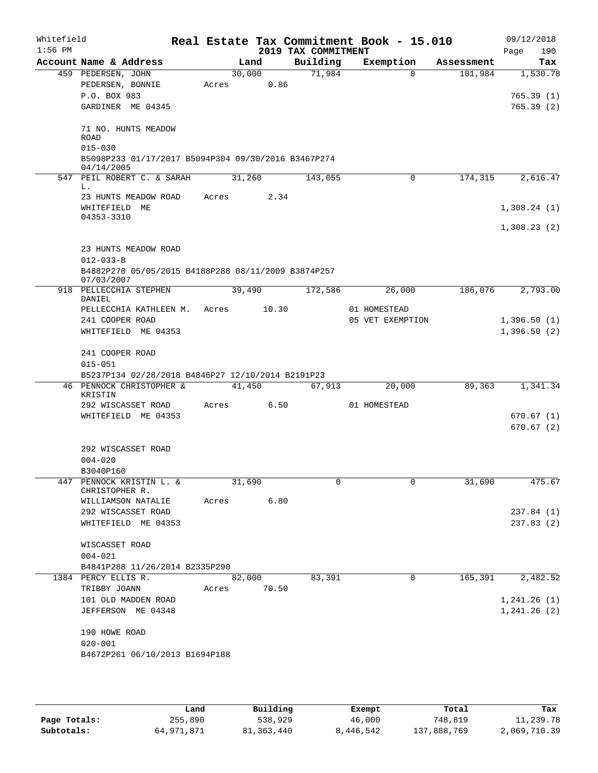| Account Name & Address<br>459 PEDERSEN, JOHN<br>PEDERSEN, BONNIE<br>P.O. BOX 983<br>GARDINER ME 04345<br>71 NO. HUNTS MEADOW<br><b>ROAD</b><br>$015 - 030$<br>B5098P233 01/17/2017 B5094P304 09/30/2016 B3467P274<br>04/14/2005<br>547 PEIL ROBERT C. & SARAH<br>23 HUNTS MEADOW ROAD<br>WHITEFIELD ME<br>04353-3310<br>23 HUNTS MEADOW ROAD<br>$012 - 033 - B$<br>B4882P270 05/05/2015 B4188P288 08/11/2009 B3874P257<br>07/03/2007<br>918 PELLECCHIA STEPHEN<br>DANIEL | Acres<br>Acres                                                                                                                                                                             | Land<br>30,000<br>31,260 | 0.86<br>2.34                                                                                                    | Building<br>71,984<br>143,055 | Exemption<br>$\Omega$<br>0                                  | Assessment<br>101,984<br>174,315 | Tax<br>1,530.78<br>765.39(1)<br>765.39(2)<br>2,616.47<br>1,308.24(1) |
|--------------------------------------------------------------------------------------------------------------------------------------------------------------------------------------------------------------------------------------------------------------------------------------------------------------------------------------------------------------------------------------------------------------------------------------------------------------------------|--------------------------------------------------------------------------------------------------------------------------------------------------------------------------------------------|--------------------------|-----------------------------------------------------------------------------------------------------------------|-------------------------------|-------------------------------------------------------------|----------------------------------|----------------------------------------------------------------------|
|                                                                                                                                                                                                                                                                                                                                                                                                                                                                          |                                                                                                                                                                                            |                          |                                                                                                                 |                               |                                                             |                                  |                                                                      |
|                                                                                                                                                                                                                                                                                                                                                                                                                                                                          |                                                                                                                                                                                            |                          |                                                                                                                 |                               |                                                             |                                  |                                                                      |
|                                                                                                                                                                                                                                                                                                                                                                                                                                                                          |                                                                                                                                                                                            |                          |                                                                                                                 |                               |                                                             |                                  |                                                                      |
|                                                                                                                                                                                                                                                                                                                                                                                                                                                                          |                                                                                                                                                                                            |                          |                                                                                                                 |                               |                                                             |                                  |                                                                      |
|                                                                                                                                                                                                                                                                                                                                                                                                                                                                          |                                                                                                                                                                                            |                          |                                                                                                                 |                               |                                                             |                                  |                                                                      |
|                                                                                                                                                                                                                                                                                                                                                                                                                                                                          |                                                                                                                                                                                            |                          |                                                                                                                 |                               |                                                             |                                  |                                                                      |
|                                                                                                                                                                                                                                                                                                                                                                                                                                                                          |                                                                                                                                                                                            |                          |                                                                                                                 |                               |                                                             |                                  |                                                                      |
|                                                                                                                                                                                                                                                                                                                                                                                                                                                                          |                                                                                                                                                                                            |                          |                                                                                                                 |                               |                                                             |                                  |                                                                      |
|                                                                                                                                                                                                                                                                                                                                                                                                                                                                          |                                                                                                                                                                                            |                          |                                                                                                                 |                               |                                                             |                                  |                                                                      |
|                                                                                                                                                                                                                                                                                                                                                                                                                                                                          |                                                                                                                                                                                            |                          |                                                                                                                 |                               |                                                             |                                  |                                                                      |
|                                                                                                                                                                                                                                                                                                                                                                                                                                                                          |                                                                                                                                                                                            |                          |                                                                                                                 |                               |                                                             |                                  |                                                                      |
|                                                                                                                                                                                                                                                                                                                                                                                                                                                                          |                                                                                                                                                                                            |                          |                                                                                                                 |                               |                                                             |                                  |                                                                      |
|                                                                                                                                                                                                                                                                                                                                                                                                                                                                          |                                                                                                                                                                                            |                          |                                                                                                                 |                               |                                                             |                                  |                                                                      |
|                                                                                                                                                                                                                                                                                                                                                                                                                                                                          |                                                                                                                                                                                            |                          |                                                                                                                 |                               |                                                             |                                  | 1,308.23(2)                                                          |
|                                                                                                                                                                                                                                                                                                                                                                                                                                                                          |                                                                                                                                                                                            |                          |                                                                                                                 |                               |                                                             |                                  |                                                                      |
|                                                                                                                                                                                                                                                                                                                                                                                                                                                                          |                                                                                                                                                                                            |                          |                                                                                                                 |                               |                                                             |                                  |                                                                      |
|                                                                                                                                                                                                                                                                                                                                                                                                                                                                          |                                                                                                                                                                                            |                          |                                                                                                                 |                               |                                                             |                                  |                                                                      |
|                                                                                                                                                                                                                                                                                                                                                                                                                                                                          |                                                                                                                                                                                            |                          |                                                                                                                 |                               |                                                             |                                  |                                                                      |
|                                                                                                                                                                                                                                                                                                                                                                                                                                                                          |                                                                                                                                                                                            | 39,490                   |                                                                                                                 | 172,586                       | 26,000                                                      | 186,076                          | 2,793.00                                                             |
| PELLECCHIA KATHLEEN M.                                                                                                                                                                                                                                                                                                                                                                                                                                                   | Acres                                                                                                                                                                                      |                          | 10.30                                                                                                           |                               | 01 HOMESTEAD                                                |                                  |                                                                      |
| 241 COOPER ROAD                                                                                                                                                                                                                                                                                                                                                                                                                                                          |                                                                                                                                                                                            |                          |                                                                                                                 |                               | 05 VET EXEMPTION                                            |                                  | 1,396.50(1)                                                          |
| WHITEFIELD ME 04353                                                                                                                                                                                                                                                                                                                                                                                                                                                      |                                                                                                                                                                                            |                          |                                                                                                                 |                               |                                                             |                                  | 1,396.50(2)                                                          |
|                                                                                                                                                                                                                                                                                                                                                                                                                                                                          |                                                                                                                                                                                            |                          |                                                                                                                 |                               |                                                             |                                  |                                                                      |
| 241 COOPER ROAD                                                                                                                                                                                                                                                                                                                                                                                                                                                          |                                                                                                                                                                                            |                          |                                                                                                                 |                               |                                                             |                                  |                                                                      |
| $015 - 051$                                                                                                                                                                                                                                                                                                                                                                                                                                                              |                                                                                                                                                                                            |                          |                                                                                                                 |                               |                                                             |                                  |                                                                      |
|                                                                                                                                                                                                                                                                                                                                                                                                                                                                          |                                                                                                                                                                                            |                          |                                                                                                                 |                               |                                                             |                                  |                                                                      |
| KRISTIN                                                                                                                                                                                                                                                                                                                                                                                                                                                                  |                                                                                                                                                                                            |                          |                                                                                                                 |                               |                                                             |                                  | 1,341.34                                                             |
| 292 WISCASSET ROAD                                                                                                                                                                                                                                                                                                                                                                                                                                                       |                                                                                                                                                                                            |                          |                                                                                                                 |                               | 01 HOMESTEAD                                                |                                  |                                                                      |
| WHITEFIELD ME 04353                                                                                                                                                                                                                                                                                                                                                                                                                                                      |                                                                                                                                                                                            |                          |                                                                                                                 |                               |                                                             |                                  | 670.67(1)                                                            |
|                                                                                                                                                                                                                                                                                                                                                                                                                                                                          |                                                                                                                                                                                            |                          |                                                                                                                 |                               |                                                             |                                  | 670.67(2)                                                            |
|                                                                                                                                                                                                                                                                                                                                                                                                                                                                          |                                                                                                                                                                                            |                          |                                                                                                                 |                               |                                                             |                                  |                                                                      |
|                                                                                                                                                                                                                                                                                                                                                                                                                                                                          |                                                                                                                                                                                            |                          |                                                                                                                 |                               |                                                             |                                  |                                                                      |
|                                                                                                                                                                                                                                                                                                                                                                                                                                                                          |                                                                                                                                                                                            |                          |                                                                                                                 |                               |                                                             |                                  |                                                                      |
| 447 PENNOCK KRISTIN L. &                                                                                                                                                                                                                                                                                                                                                                                                                                                 |                                                                                                                                                                                            |                          |                                                                                                                 | 0                             | 0                                                           | 31,690                           | 475.67                                                               |
| CHRISTOPHER R.                                                                                                                                                                                                                                                                                                                                                                                                                                                           |                                                                                                                                                                                            |                          |                                                                                                                 |                               |                                                             |                                  |                                                                      |
|                                                                                                                                                                                                                                                                                                                                                                                                                                                                          |                                                                                                                                                                                            |                          |                                                                                                                 |                               |                                                             |                                  |                                                                      |
|                                                                                                                                                                                                                                                                                                                                                                                                                                                                          |                                                                                                                                                                                            |                          |                                                                                                                 |                               |                                                             |                                  | 237.84(1)                                                            |
|                                                                                                                                                                                                                                                                                                                                                                                                                                                                          |                                                                                                                                                                                            |                          |                                                                                                                 |                               |                                                             |                                  | 237.83(2)                                                            |
| WISCASSET ROAD                                                                                                                                                                                                                                                                                                                                                                                                                                                           |                                                                                                                                                                                            |                          |                                                                                                                 |                               |                                                             |                                  |                                                                      |
| $004 - 021$                                                                                                                                                                                                                                                                                                                                                                                                                                                              |                                                                                                                                                                                            |                          |                                                                                                                 |                               |                                                             |                                  |                                                                      |
|                                                                                                                                                                                                                                                                                                                                                                                                                                                                          |                                                                                                                                                                                            |                          |                                                                                                                 |                               |                                                             |                                  |                                                                      |
| 1384 PERCY ELLIS R.                                                                                                                                                                                                                                                                                                                                                                                                                                                      |                                                                                                                                                                                            | 82,000                   |                                                                                                                 | 83,391                        | 0                                                           |                                  | 2,482.52                                                             |
| TRIBBY JOANN                                                                                                                                                                                                                                                                                                                                                                                                                                                             |                                                                                                                                                                                            |                          |                                                                                                                 |                               |                                                             |                                  |                                                                      |
|                                                                                                                                                                                                                                                                                                                                                                                                                                                                          |                                                                                                                                                                                            |                          |                                                                                                                 |                               |                                                             |                                  | 1, 241.26(1)                                                         |
|                                                                                                                                                                                                                                                                                                                                                                                                                                                                          |                                                                                                                                                                                            |                          |                                                                                                                 |                               |                                                             |                                  | 1, 241.26 (2)                                                        |
| 190 HOWE ROAD                                                                                                                                                                                                                                                                                                                                                                                                                                                            |                                                                                                                                                                                            |                          |                                                                                                                 |                               |                                                             |                                  |                                                                      |
| $020 - 001$                                                                                                                                                                                                                                                                                                                                                                                                                                                              |                                                                                                                                                                                            |                          |                                                                                                                 |                               |                                                             |                                  |                                                                      |
|                                                                                                                                                                                                                                                                                                                                                                                                                                                                          |                                                                                                                                                                                            |                          |                                                                                                                 |                               |                                                             |                                  |                                                                      |
|                                                                                                                                                                                                                                                                                                                                                                                                                                                                          | 46 PENNOCK CHRISTOPHER &<br>292 WISCASSET ROAD<br>$004 - 020$<br>B3040P160<br>WILLIAMSON NATALIE<br>292 WISCASSET ROAD<br>WHITEFIELD ME 04353<br>101 OLD MADDEN ROAD<br>JEFFERSON ME 04348 |                          | 41,450<br>Acres<br>31,690<br>Acres<br>B4841P288 11/26/2014 B2335P290<br>Acres<br>B4672P261 06/10/2013 B1694P188 | 6.50<br>6.80<br>70.50         | B5237P134 02/28/2018 B4846P27 12/10/2014 B2191P23<br>67,913 | 20,000                           | 89,363<br>165,391                                                    |

|              | Land       | Building   | Exempt    | Total       | Tax          |
|--------------|------------|------------|-----------|-------------|--------------|
| Page Totals: | 255,890    | 538,929    | 46,000    | 748,819     | 11,239.78    |
| Subtotals:   | 64,971,871 | 81,363,440 | 8,446,542 | 137,888,769 | 2,069,710.39 |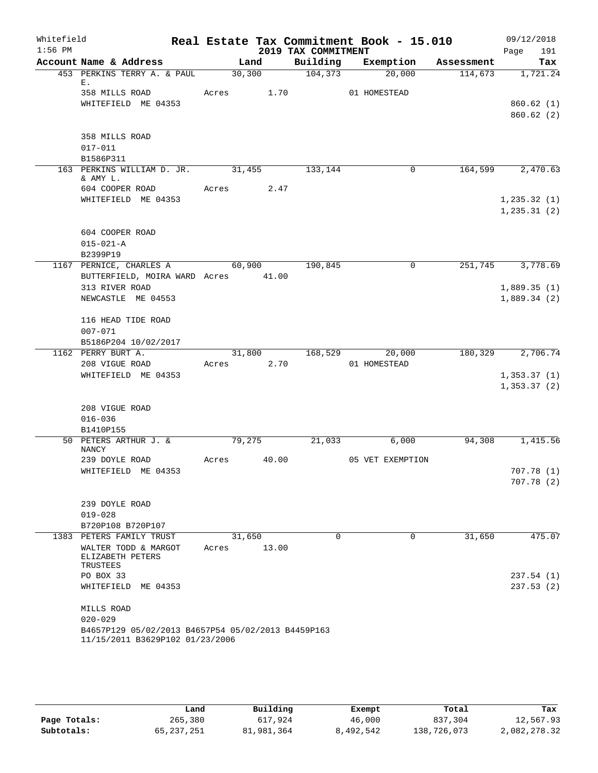| Whitefield<br>$1:56$ PM |                                                    |            |       | 2019 TAX COMMITMENT | Real Estate Tax Commitment Book - 15.010 |            | 09/12/2018<br>191<br>Page |
|-------------------------|----------------------------------------------------|------------|-------|---------------------|------------------------------------------|------------|---------------------------|
|                         | Account Name & Address                             |            | Land  | Building            | Exemption                                | Assessment | Tax                       |
|                         | 453 PERKINS TERRY A. & PAUL                        | 30,300     |       | 104,373             | 20,000                                   | 114,673    | 1,721.24                  |
|                         | Ε.<br>358 MILLS ROAD                               | Acres 1.70 |       |                     | 01 HOMESTEAD                             |            |                           |
|                         | WHITEFIELD ME 04353                                |            |       |                     |                                          |            | 860.62(1)                 |
|                         |                                                    |            |       |                     |                                          |            | 860.62(2)                 |
|                         |                                                    |            |       |                     |                                          |            |                           |
|                         | 358 MILLS ROAD                                     |            |       |                     |                                          |            |                           |
|                         | $017 - 011$                                        |            |       |                     |                                          |            |                           |
|                         | B1586P311                                          |            |       |                     |                                          |            |                           |
|                         | 163 PERKINS WILLIAM D. JR. 31,455<br>& AMY L.      |            |       | 133,144             | 0                                        |            | 164,599 2,470.63          |
|                         | 604 COOPER ROAD                                    | Acres      | 2.47  |                     |                                          |            |                           |
|                         | WHITEFIELD ME 04353                                |            |       |                     |                                          |            | 1, 235.32(1)              |
|                         |                                                    |            |       |                     |                                          |            | 1, 235.31(2)              |
|                         | 604 COOPER ROAD                                    |            |       |                     |                                          |            |                           |
|                         | $015 - 021 - A$                                    |            |       |                     |                                          |            |                           |
|                         | B2399P19                                           |            |       |                     |                                          |            |                           |
|                         | 1167 PERNICE, CHARLES A                            | 60,900     |       | 190,845             | $\mathbf 0$                              | 251,745    | 3,778.69                  |
|                         | BUTTERFIELD, MOIRA WARD Acres 41.00                |            |       |                     |                                          |            |                           |
|                         | 313 RIVER ROAD                                     |            |       |                     |                                          |            | 1,889.35(1)               |
|                         | NEWCASTLE ME 04553                                 |            |       |                     |                                          |            | 1,889.34(2)               |
|                         | 116 HEAD TIDE ROAD                                 |            |       |                     |                                          |            |                           |
|                         | $007 - 071$                                        |            |       |                     |                                          |            |                           |
|                         | B5186P204 10/02/2017                               |            |       |                     |                                          |            |                           |
|                         | 1162 PERRY BURT A.                                 | 31,800     |       | 168,529             | 20,000                                   | 180,329    | 2,706.74                  |
|                         | 208 VIGUE ROAD                                     | Acres 2.70 |       |                     | 01 HOMESTEAD                             |            |                           |
|                         | WHITEFIELD ME 04353                                |            |       |                     |                                          |            | 1, 353.37(1)              |
|                         |                                                    |            |       |                     |                                          |            | 1, 353.37(2)              |
|                         | 208 VIGUE ROAD                                     |            |       |                     |                                          |            |                           |
|                         | $016 - 036$                                        |            |       |                     |                                          |            |                           |
|                         | B1410P155                                          |            |       |                     |                                          |            |                           |
|                         | 50 PETERS ARTHUR J. &<br><b>NANCY</b>              | 79,275     |       | 21,033              | 6,000                                    | 94,308     | 1,415.56                  |
|                         | 239 DOYLE ROAD                                     | Acres      | 40.00 |                     | 05 VET EXEMPTION                         |            |                           |
|                         | WHITEFIELD ME 04353                                |            |       |                     |                                          |            | 707.78(1)                 |
|                         |                                                    |            |       |                     |                                          |            | 707.78(2)                 |
|                         |                                                    |            |       |                     |                                          |            |                           |
|                         | 239 DOYLE ROAD                                     |            |       |                     |                                          |            |                           |
|                         | $019 - 028$                                        |            |       |                     |                                          |            |                           |
|                         | B720P108 B720P107                                  |            |       |                     |                                          |            |                           |
|                         | 1383 PETERS FAMILY TRUST                           | 31,650     |       | $\Omega$            | $\Omega$                                 | 31,650     | 475.07                    |
|                         | WALTER TODD & MARGOT<br>ELIZABETH PETERS           | Acres      | 13.00 |                     |                                          |            |                           |
|                         | TRUSTEES                                           |            |       |                     |                                          |            |                           |
|                         | PO BOX 33                                          |            |       |                     |                                          |            | 237.54 (1)                |
|                         | WHITEFIELD ME 04353                                |            |       |                     |                                          |            | 237.53(2)                 |
|                         | MILLS ROAD                                         |            |       |                     |                                          |            |                           |
|                         | $020 - 029$                                        |            |       |                     |                                          |            |                           |
|                         | B4657P129 05/02/2013 B4657P54 05/02/2013 B4459P163 |            |       |                     |                                          |            |                           |
|                         | 11/15/2011 B3629P102 01/23/2006                    |            |       |                     |                                          |            |                           |

|              | Land       | Building   | Exempt    | Total       | Tax          |
|--------------|------------|------------|-----------|-------------|--------------|
| Page Totals: | 265,380    | 617,924    | 46,000    | 837,304     | 12,567.93    |
| Subtotals:   | 65,237,251 | 81,981,364 | 8,492,542 | 138,726,073 | 2,082,278.32 |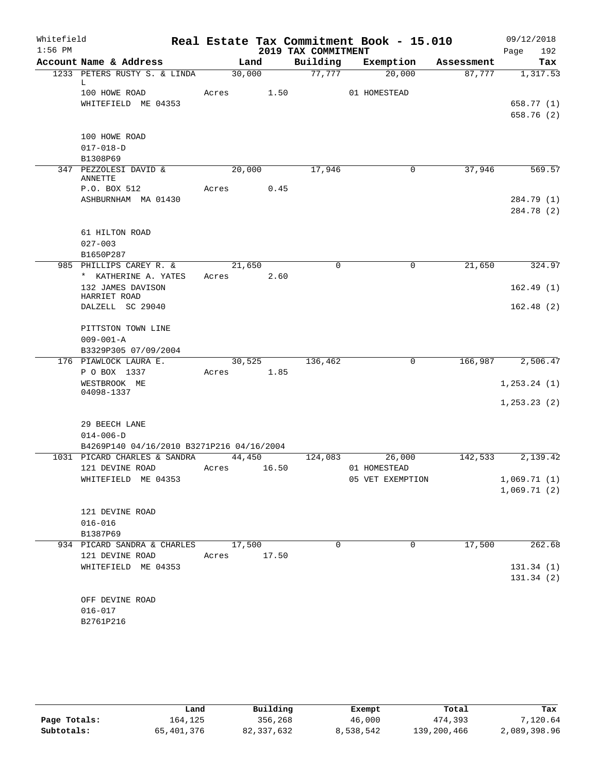| Whitefield<br>$1:56$ PM |                                           |       |        | 2019 TAX COMMITMENT | Real Estate Tax Commitment Book - 15.010 |            | 09/12/2018<br>192<br>Page |
|-------------------------|-------------------------------------------|-------|--------|---------------------|------------------------------------------|------------|---------------------------|
|                         | Account Name & Address                    |       | Land   | Building            | Exemption                                | Assessment | Tax                       |
|                         | 1233 PETERS RUSTY S. & LINDA              |       | 30,000 | 77,777              | 20,000                                   | 87,777     | 1,317.53                  |
|                         | L                                         |       |        |                     |                                          |            |                           |
|                         | 100 HOWE ROAD<br>WHITEFIELD ME 04353      | Acres | 1.50   |                     | 01 HOMESTEAD                             |            | 658.77 (1)                |
|                         |                                           |       |        |                     |                                          |            | 658.76 (2)                |
|                         |                                           |       |        |                     |                                          |            |                           |
|                         | 100 HOWE ROAD                             |       |        |                     |                                          |            |                           |
|                         | $017 - 018 - D$                           |       |        |                     |                                          |            |                           |
|                         | B1308P69                                  |       |        |                     |                                          |            |                           |
|                         | 347 PEZZOLESI DAVID &<br>ANNETTE          |       | 20,000 | 17,946              | $\mathbf 0$                              | 37,946     | 569.57                    |
|                         | P.O. BOX 512                              | Acres | 0.45   |                     |                                          |            |                           |
|                         | ASHBURNHAM MA 01430                       |       |        |                     |                                          |            | 284.79 (1)                |
|                         |                                           |       |        |                     |                                          |            | 284.78 (2)                |
|                         |                                           |       |        |                     |                                          |            |                           |
|                         | 61 HILTON ROAD                            |       |        |                     |                                          |            |                           |
|                         | $027 - 003$                               |       |        |                     |                                          |            |                           |
|                         | B1650P287                                 |       |        |                     |                                          |            |                           |
|                         | 985 PHILLIPS CAREY R. &                   |       | 21,650 | $\mathbf 0$         | $\mathbf 0$                              | 21,650     | 324.97                    |
|                         | * KATHERINE A. YATES                      | Acres | 2.60   |                     |                                          |            |                           |
|                         | 132 JAMES DAVISON<br>HARRIET ROAD         |       |        |                     |                                          |            | 162.49(1)                 |
|                         | DALZELL SC 29040                          |       |        |                     |                                          |            | 162.48(2)                 |
|                         |                                           |       |        |                     |                                          |            |                           |
|                         | PITTSTON TOWN LINE                        |       |        |                     |                                          |            |                           |
|                         | $009 - 001 - A$                           |       |        |                     |                                          |            |                           |
|                         | B3329P305 07/09/2004                      |       |        |                     |                                          |            |                           |
|                         | 176 PIAWLOCK LAURA E.                     |       | 30,525 | 136,462             | $\mathbf 0$                              | 166,987    | 2,506.47                  |
|                         | P O BOX 1337                              | Acres | 1.85   |                     |                                          |            |                           |
|                         | WESTBROOK ME<br>04098-1337                |       |        |                     |                                          |            | 1, 253.24 (1)             |
|                         |                                           |       |        |                     |                                          |            | 1, 253.23(2)              |
|                         |                                           |       |        |                     |                                          |            |                           |
|                         | 29 BEECH LANE                             |       |        |                     |                                          |            |                           |
|                         | $014 - 006 - D$                           |       |        |                     |                                          |            |                           |
|                         | B4269P140 04/16/2010 B3271P216 04/16/2004 |       |        |                     |                                          |            |                           |
|                         | 1031 PICARD CHARLES & SANDRA              |       | 44,450 | 124,083             | 26,000                                   | 142,533    | 2,139.42                  |
|                         | 121 DEVINE ROAD                           | Acres | 16.50  |                     | 01 HOMESTEAD                             |            |                           |
|                         | WHITEFIELD ME 04353                       |       |        |                     | 05 VET EXEMPTION                         |            | 1,069.71(1)               |
|                         |                                           |       |        |                     |                                          |            | 1,069.71(2)               |
|                         | 121 DEVINE ROAD                           |       |        |                     |                                          |            |                           |
|                         | $016 - 016$                               |       |        |                     |                                          |            |                           |
|                         | B1387P69                                  |       |        |                     |                                          |            |                           |
|                         | 934 PICARD SANDRA & CHARLES               |       | 17,500 | 0                   | 0                                        | 17,500     | 262.68                    |
|                         | 121 DEVINE ROAD                           | Acres | 17.50  |                     |                                          |            |                           |
|                         | WHITEFIELD ME 04353                       |       |        |                     |                                          |            | 131.34 (1)                |
|                         |                                           |       |        |                     |                                          |            | 131.34(2)                 |
|                         |                                           |       |        |                     |                                          |            |                           |
|                         | OFF DEVINE ROAD                           |       |        |                     |                                          |            |                           |
|                         | $016 - 017$                               |       |        |                     |                                          |            |                           |
|                         | B2761P216                                 |       |        |                     |                                          |            |                           |

|              | Land       | Building     | Exempt    | Total       | Tax          |
|--------------|------------|--------------|-----------|-------------|--------------|
| Page Totals: | 164,125    | 356,268      | 46,000    | 474,393     | 7,120.64     |
| Subtotals:   | 65,401,376 | 82, 337, 632 | 8,538,542 | 139,200,466 | 2,089,398.96 |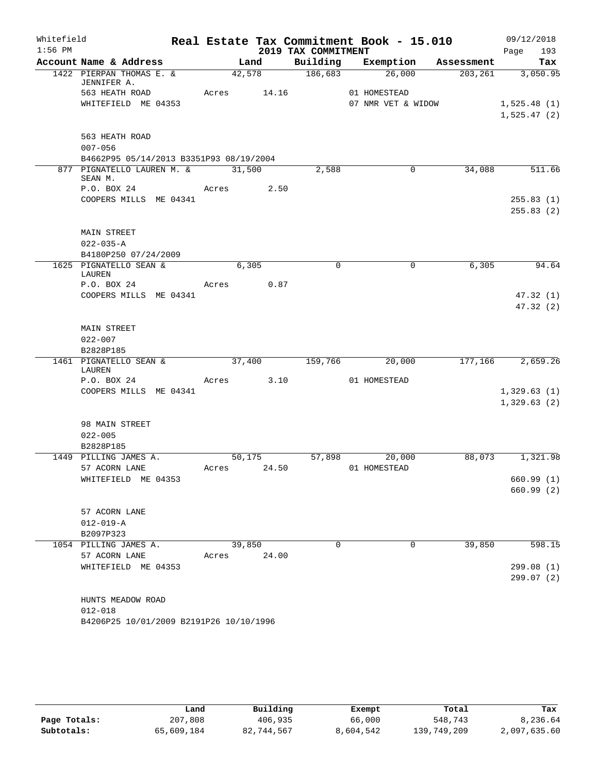| Whitefield |                                         |       |             |                     | Real Estate Tax Commitment Book - 15.010 |         | 09/12/2018  |
|------------|-----------------------------------------|-------|-------------|---------------------|------------------------------------------|---------|-------------|
| $1:56$ PM  |                                         |       |             | 2019 TAX COMMITMENT |                                          |         | 193<br>Page |
|            | Account Name & Address                  |       | Land        |                     | Building Exemption Assessment            |         | Tax         |
|            | 1422 PIERPAN THOMAS E. &<br>JENNIFER A. |       | 42,578      | $\frac{186,683}{ }$ | 26,000                                   | 203,261 | 3,050.95    |
|            | 563 HEATH ROAD                          |       | Acres 14.16 |                     | 01 HOMESTEAD                             |         |             |
|            | WHITEFIELD ME 04353                     |       |             |                     | 07 NMR VET & WIDOW                       |         | 1,525.48(1) |
|            |                                         |       |             |                     |                                          |         | 1,525.47(2) |
|            | 563 HEATH ROAD                          |       |             |                     |                                          |         |             |
|            | $007 - 056$                             |       |             |                     |                                          |         |             |
|            | B4662P95 05/14/2013 B3351P93 08/19/2004 |       |             |                     |                                          |         |             |
|            | 877 PIGNATELLO LAUREN M. &<br>SEAN M.   |       | 31,500      | 2,588               | 0                                        | 34,088  | 511.66      |
|            | P.O. BOX 24                             |       | Acres 2.50  |                     |                                          |         |             |
|            | COOPERS MILLS ME 04341                  |       |             |                     |                                          |         | 255.83(1)   |
|            |                                         |       |             |                     |                                          |         | 255.83(2)   |
|            | MAIN STREET                             |       |             |                     |                                          |         |             |
|            | $022 - 035 - A$                         |       |             |                     |                                          |         |             |
|            | B4180P250 07/24/2009                    |       |             |                     |                                          |         |             |
|            | 1625 PIGNATELLO SEAN &                  |       | 6,305       | $\mathbf 0$         | $\mathbf 0$                              | 6,305   | 94.64       |
|            | LAUREN                                  |       |             |                     |                                          |         |             |
|            | P.O. BOX 24                             | Acres | 0.87        |                     |                                          |         |             |
|            | COOPERS MILLS ME 04341                  |       |             |                     |                                          |         | 47.32(1)    |
|            |                                         |       |             |                     |                                          |         | 47.32(2)    |
|            |                                         |       |             |                     |                                          |         |             |
|            | <b>MAIN STREET</b><br>$022 - 007$       |       |             |                     |                                          |         |             |
|            | B2828P185                               |       |             |                     |                                          |         |             |
|            | 1461 PIGNATELLO SEAN &                  |       | 37,400      | 159,766             | 20,000                                   | 177,166 | 2,659.26    |
|            | LAUREN                                  |       |             |                     |                                          |         |             |
|            | P.O. BOX 24                             |       | Acres 3.10  |                     | 01 HOMESTEAD                             |         |             |
|            | COOPERS MILLS ME 04341                  |       |             |                     |                                          |         | 1,329.63(1) |
|            |                                         |       |             |                     |                                          |         | 1,329.63(2) |
|            | 98 MAIN STREET                          |       |             |                     |                                          |         |             |
|            | $022 - 005$                             |       |             |                     |                                          |         |             |
|            | B2828P185                               |       |             |                     |                                          |         |             |
|            | 1449 PILLING JAMES A.                   |       | 50,175      |                     | 57,898<br>20,000                         | 88,073  | 1,321.98    |
|            | 57 ACORN LANE                           | Acres | 24.50       |                     | 01 HOMESTEAD                             |         |             |
|            | WHITEFIELD ME 04353                     |       |             |                     |                                          |         | 660.99(1)   |
|            |                                         |       |             |                     |                                          |         | 660.99(2)   |
|            |                                         |       |             |                     |                                          |         |             |
|            | 57 ACORN LANE                           |       |             |                     |                                          |         |             |
|            | $012 - 019 - A$                         |       |             |                     |                                          |         |             |
|            | B2097P323                               |       |             |                     |                                          |         |             |
|            | 1054 PILLING JAMES A.                   |       | 39,850      | 0                   | 0                                        | 39,850  | 598.15      |
|            | 57 ACORN LANE<br>WHITEFIELD ME 04353    | Acres | 24.00       |                     |                                          |         | 299.08(1)   |
|            |                                         |       |             |                     |                                          |         | 299.07(2)   |
|            |                                         |       |             |                     |                                          |         |             |
|            | HUNTS MEADOW ROAD                       |       |             |                     |                                          |         |             |
|            | $012 - 018$                             |       |             |                     |                                          |         |             |
|            | B4206P25 10/01/2009 B2191P26 10/10/1996 |       |             |                     |                                          |         |             |
|            |                                         |       |             |                     |                                          |         |             |

|              | Land       | Building   | Exempt    | Total       | Tax          |
|--------------|------------|------------|-----------|-------------|--------------|
| Page Totals: | 207,808    | 406,935    | 66,000    | 548,743     | 8,236.64     |
| Subtotals:   | 65,609,184 | 82,744,567 | 8,604,542 | 139,749,209 | 2,097,635.60 |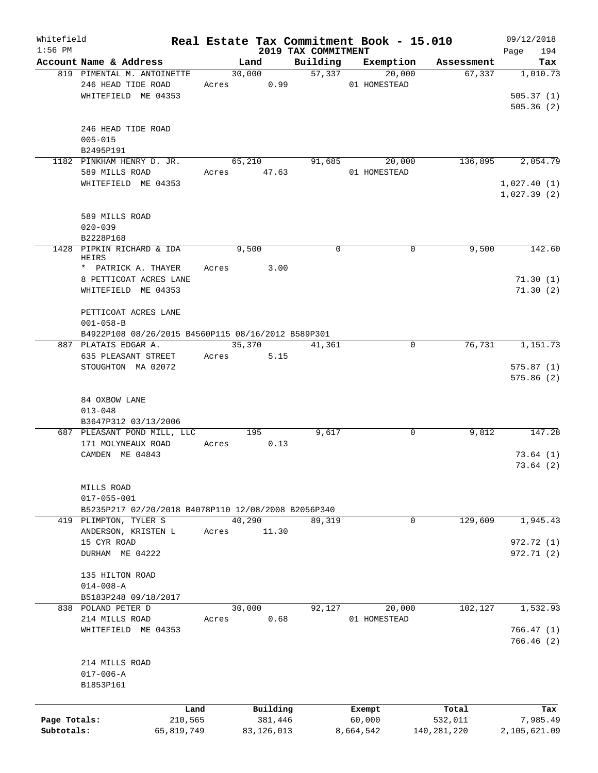| Whitefield<br>$1:56$ PM |                                                     |             |              | 2019 TAX COMMITMENT | Real Estate Tax Commitment Book - 15.010 |               | 09/12/2018<br>194<br>Page |
|-------------------------|-----------------------------------------------------|-------------|--------------|---------------------|------------------------------------------|---------------|---------------------------|
|                         | Account Name & Address                              |             | Land         | Building            | Exemption                                | Assessment    | Tax                       |
|                         | 819 PIMENTAL M. ANTOINETTE                          |             | 30,000       | 57,337              | 20,000                                   | 67,337        | 1,010.73                  |
|                         | 246 HEAD TIDE ROAD                                  | Acres       | 0.99         |                     | 01 HOMESTEAD                             |               |                           |
|                         |                                                     |             |              |                     |                                          |               |                           |
|                         | WHITEFIELD ME 04353                                 |             |              |                     |                                          |               | 505.37(1)                 |
|                         |                                                     |             |              |                     |                                          |               | 505.36(2)                 |
|                         |                                                     |             |              |                     |                                          |               |                           |
|                         | 246 HEAD TIDE ROAD                                  |             |              |                     |                                          |               |                           |
|                         | $005 - 015$                                         |             |              |                     |                                          |               |                           |
|                         | B2495P191                                           |             |              |                     |                                          |               |                           |
|                         | 1182 PINKHAM HENRY D. JR.                           |             | 65,210       | 91,685              | 20,000                                   | 136,895       | 2,054.79                  |
|                         | 589 MILLS ROAD                                      | Acres 47.63 |              |                     | 01 HOMESTEAD                             |               |                           |
|                         | WHITEFIELD ME 04353                                 |             |              |                     |                                          |               | 1,027.40(1)               |
|                         |                                                     |             |              |                     |                                          |               | 1,027.39(2)               |
|                         |                                                     |             |              |                     |                                          |               |                           |
|                         |                                                     |             |              |                     |                                          |               |                           |
|                         | 589 MILLS ROAD                                      |             |              |                     |                                          |               |                           |
|                         | $020 - 039$                                         |             |              |                     |                                          |               |                           |
|                         | B2228P168                                           |             |              |                     |                                          |               |                           |
|                         | 1428 PIPKIN RICHARD & IDA                           |             | 9,500        | $\mathbf 0$         | 0                                        | 9,500         | 142.60                    |
|                         | HEIRS                                               |             |              |                     |                                          |               |                           |
|                         | * PATRICK A. THAYER                                 | Acres       | 3.00         |                     |                                          |               |                           |
|                         | 8 PETTICOAT ACRES LANE                              |             |              |                     |                                          |               | 71.30(1)                  |
|                         | WHITEFIELD ME 04353                                 |             |              |                     |                                          |               | 71.30(2)                  |
|                         |                                                     |             |              |                     |                                          |               |                           |
|                         | PETTICOAT ACRES LANE                                |             |              |                     |                                          |               |                           |
|                         | $001 - 058 - B$                                     |             |              |                     |                                          |               |                           |
|                         |                                                     |             |              |                     |                                          |               |                           |
|                         | B4922P108 08/26/2015 B4560P115 08/16/2012 B589P301  |             |              |                     |                                          |               |                           |
|                         | 887 PLATAIS EDGAR A.                                |             | 35,370       | 41,361              | $\Omega$                                 | 76,731        | 1,151.73                  |
|                         | 635 PLEASANT STREET                                 | Acres       | 5.15         |                     |                                          |               |                           |
|                         | STOUGHTON MA 02072                                  |             |              |                     |                                          |               | 575.87(1)                 |
|                         |                                                     |             |              |                     |                                          |               | 575.86(2)                 |
|                         |                                                     |             |              |                     |                                          |               |                           |
|                         | 84 OXBOW LANE                                       |             |              |                     |                                          |               |                           |
|                         | $013 - 048$                                         |             |              |                     |                                          |               |                           |
|                         | B3647P312 03/13/2006                                |             |              |                     |                                          |               |                           |
|                         |                                                     |             | 195          |                     | 0                                        |               | 147.28                    |
|                         | 687 PLEASANT POND MILL, LLC                         |             |              | 9,617               |                                          | 9,812         |                           |
|                         | 171 MOLYNEAUX ROAD                                  | Acres       | 0.13         |                     |                                          |               |                           |
|                         | CAMDEN ME 04843                                     |             |              |                     |                                          |               | 73.64(1)                  |
|                         |                                                     |             |              |                     |                                          |               | 73.64(2)                  |
|                         |                                                     |             |              |                     |                                          |               |                           |
|                         | MILLS ROAD                                          |             |              |                     |                                          |               |                           |
|                         | $017 - 055 - 001$                                   |             |              |                     |                                          |               |                           |
|                         | B5235P217 02/20/2018 B4078P110 12/08/2008 B2056P340 |             |              |                     |                                          |               |                           |
|                         | 419 PLIMPTON, TYLER S                               | 40,290      |              | 89,319              | 0                                        | 129,609       | 1,945.43                  |
|                         | ANDERSON, KRISTEN L                                 | Acres       | 11.30        |                     |                                          |               |                           |
|                         | 15 CYR ROAD                                         |             |              |                     |                                          |               | 972.72 (1)                |
|                         |                                                     |             |              |                     |                                          |               |                           |
|                         | DURHAM ME 04222                                     |             |              |                     |                                          |               | 972.71 (2)                |
|                         |                                                     |             |              |                     |                                          |               |                           |
|                         | 135 HILTON ROAD                                     |             |              |                     |                                          |               |                           |
|                         | $014 - 008 - A$                                     |             |              |                     |                                          |               |                           |
|                         | B5183P248 09/18/2017                                |             |              |                     |                                          |               |                           |
|                         | 838 POLAND PETER D                                  |             | 30,000       | 92,127              | 20,000                                   | 102,127       | 1,532.93                  |
|                         | 214 MILLS ROAD                                      | Acres       | 0.68         |                     | 01 HOMESTEAD                             |               |                           |
|                         | WHITEFIELD ME 04353                                 |             |              |                     |                                          |               | 766.47(1)                 |
|                         |                                                     |             |              |                     |                                          |               |                           |
|                         |                                                     |             |              |                     |                                          |               | 766.46(2)                 |
|                         |                                                     |             |              |                     |                                          |               |                           |
|                         | 214 MILLS ROAD                                      |             |              |                     |                                          |               |                           |
|                         | $017 - 006 - A$                                     |             |              |                     |                                          |               |                           |
|                         | B1853P161                                           |             |              |                     |                                          |               |                           |
|                         |                                                     |             |              |                     |                                          |               |                           |
|                         | Land                                                |             | Building     |                     | Exempt                                   | Total         | Tax                       |
| Page Totals:            | 210,565                                             |             | 381,446      |                     | 60,000                                   | 532,011       | 7,985.49                  |
| Subtotals:              | 65,819,749                                          |             | 83, 126, 013 |                     | 8,664,542                                | 140, 281, 220 | 2,105,621.09              |
|                         |                                                     |             |              |                     |                                          |               |                           |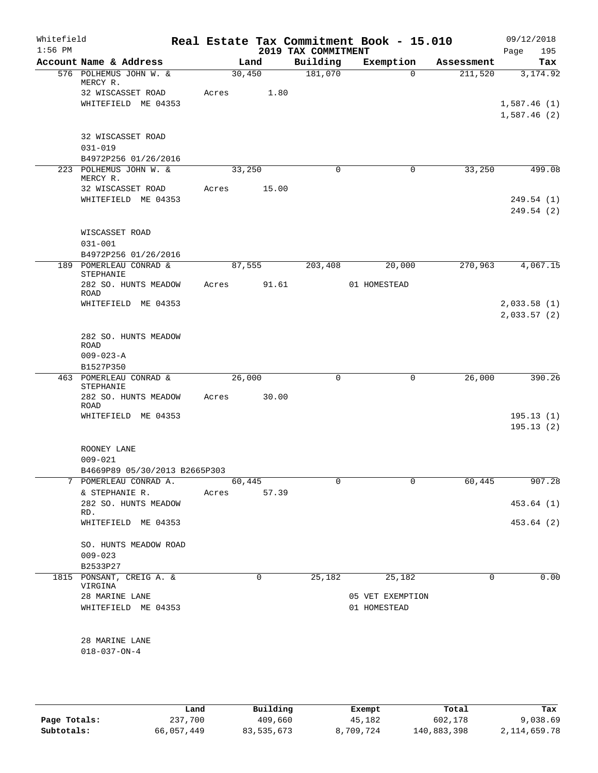| Whitefield<br>$1:56$ PM |                                          |       |        | 2019 TAX COMMITMENT | Real Estate Tax Commitment Book - 15.010 |            | 09/12/2018<br>Page<br>195  |
|-------------------------|------------------------------------------|-------|--------|---------------------|------------------------------------------|------------|----------------------------|
|                         | Account Name & Address                   |       | Land   | Building            | Exemption                                | Assessment | Tax                        |
|                         | 576 POLHEMUS JOHN W. &<br>MERCY R.       |       | 30,450 | 181,070             | $\Omega$                                 | 211,520    | 3,174.92                   |
|                         | 32 WISCASSET ROAD                        | Acres | 1.80   |                     |                                          |            |                            |
|                         | WHITEFIELD ME 04353                      |       |        |                     |                                          |            | 1,587.46(1)<br>1,587.46(2) |
|                         | 32 WISCASSET ROAD<br>$031 - 019$         |       |        |                     |                                          |            |                            |
|                         | B4972P256 01/26/2016                     |       |        |                     |                                          |            |                            |
|                         | 223 POLHEMUS JOHN W. &<br>MERCY R.       |       | 33,250 | $\Omega$            | $\mathbf 0$                              | 33,250     | 499.08                     |
|                         | 32 WISCASSET ROAD<br>WHITEFIELD ME 04353 | Acres | 15.00  |                     |                                          |            | 249.54 (1)<br>249.54(2)    |
|                         | WISCASSET ROAD<br>$031 - 001$            |       |        |                     |                                          |            |                            |
|                         | B4972P256 01/26/2016                     |       |        |                     |                                          |            |                            |
|                         | 189 POMERLEAU CONRAD &<br>STEPHANIE      |       | 87,555 | 203,408             | 20,000                                   | 270,963    | 4,067.15                   |
|                         | 282 SO. HUNTS MEADOW<br>ROAD             | Acres | 91.61  |                     | 01 HOMESTEAD                             |            |                            |
|                         | WHITEFIELD ME 04353                      |       |        |                     |                                          |            | 2,033.58(1)<br>2,033.57(2) |
|                         | 282 SO. HUNTS MEADOW<br>ROAD             |       |        |                     |                                          |            |                            |
|                         | $009 - 023 - A$                          |       |        |                     |                                          |            |                            |
|                         | B1527P350                                |       |        |                     |                                          |            |                            |
|                         | 463 POMERLEAU CONRAD &<br>STEPHANIE      |       | 26,000 | $\mathbf 0$         | 0                                        | 26,000     | 390.26                     |
|                         | 282 SO. HUNTS MEADOW<br>ROAD             | Acres | 30.00  |                     |                                          |            |                            |
|                         | WHITEFIELD ME 04353                      |       |        |                     |                                          |            | 195.13(1)<br>195.13(2)     |
|                         | ROONEY LANE<br>$009 - 021$               |       |        |                     |                                          |            |                            |
|                         | B4669P89 05/30/2013 B2665P303            |       |        |                     |                                          |            |                            |
|                         | 7 POMERLEAU CONRAD A.                    |       | 60,445 | 0                   | 0                                        | 60,445     | 907.28                     |
|                         | & STEPHANIE R.                           | Acres | 57.39  |                     |                                          |            |                            |
|                         | 282 SO. HUNTS MEADOW<br>RD.              |       |        |                     |                                          |            | 453.64 (1)                 |
|                         | WHITEFIELD ME 04353                      |       |        |                     |                                          |            | 453.64 (2)                 |
|                         | SO. HUNTS MEADOW ROAD<br>$009 - 023$     |       |        |                     |                                          |            |                            |
|                         | B2533P27                                 |       |        |                     |                                          |            |                            |
|                         | 1815 PONSANT, CREIG A. &<br>VIRGINA      |       | 0      | 25,182              | 25,182                                   | 0          | 0.00                       |
|                         | 28 MARINE LANE<br>WHITEFIELD ME 04353    |       |        |                     | 05 VET EXEMPTION<br>01 HOMESTEAD         |            |                            |
|                         | 28 MARINE LANE                           |       |        |                     |                                          |            |                            |
|                         | $018 - 037 - ON - 4$                     |       |        |                     |                                          |            |                            |
|                         |                                          |       |        |                     |                                          |            |                            |

|              | Land       | Building   | Exempt    | Total       | Tax          |
|--------------|------------|------------|-----------|-------------|--------------|
| Page Totals: | 237,700    | 409,660    | 45,182    | 602,178     | 9,038.69     |
| Subtotals:   | 66,057,449 | 83,535,673 | 8,709,724 | 140,883,398 | 2,114,659.78 |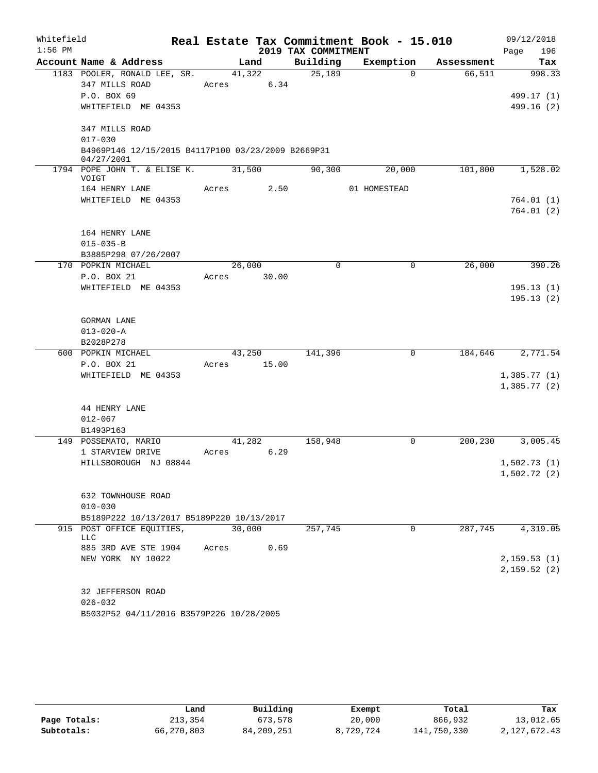| Whitefield<br>$1:56$ PM |                                                                  |        |        | 2019 TAX COMMITMENT | Real Estate Tax Commitment Book - 15.010 |            | 09/12/2018<br>Page<br>196 |
|-------------------------|------------------------------------------------------------------|--------|--------|---------------------|------------------------------------------|------------|---------------------------|
|                         | Account Name & Address                                           |        | Land   | Building            | Exemption                                | Assessment | Tax                       |
|                         | 1183 POOLER, RONALD LEE, SR.                                     |        | 41,322 | 25,189              | $\Omega$                                 | 66,511     | 998.33                    |
|                         | 347 MILLS ROAD                                                   | Acres  | 6.34   |                     |                                          |            |                           |
|                         | P.O. BOX 69                                                      |        |        |                     |                                          |            | 499.17 (1)                |
|                         | WHITEFIELD ME 04353                                              |        |        |                     |                                          |            | 499.16 (2)                |
|                         | 347 MILLS ROAD                                                   |        |        |                     |                                          |            |                           |
|                         | $017 - 030$                                                      |        |        |                     |                                          |            |                           |
|                         | B4969P146 12/15/2015 B4117P100 03/23/2009 B2669P31<br>04/27/2001 |        |        |                     |                                          |            |                           |
|                         | 1794 POPE JOHN T. & ELISE K.<br>VOIGT                            | 31,500 |        | 90,300              | 20,000                                   | 101,800    | 1,528.02                  |
|                         | 164 HENRY LANE                                                   | Acres  | 2.50   |                     | 01 HOMESTEAD                             |            |                           |
|                         | WHITEFIELD ME 04353                                              |        |        |                     |                                          |            | 764.01(1)                 |
|                         |                                                                  |        |        |                     |                                          |            | 764.01 (2)                |
|                         | 164 HENRY LANE                                                   |        |        |                     |                                          |            |                           |
|                         | $015 - 035 - B$                                                  |        |        |                     |                                          |            |                           |
|                         | B3885P298 07/26/2007                                             |        |        |                     |                                          |            |                           |
|                         | 170 POPKIN MICHAEL                                               | 26,000 |        | $\Omega$            | 0                                        | 26,000     | 390.26                    |
|                         | P.O. BOX 21                                                      | Acres  | 30.00  |                     |                                          |            |                           |
|                         | WHITEFIELD ME 04353                                              |        |        |                     |                                          |            | 195.13(1)                 |
|                         |                                                                  |        |        |                     |                                          |            | 195.13(2)                 |
|                         | GORMAN LANE                                                      |        |        |                     |                                          |            |                           |
|                         | $013 - 020 - A$                                                  |        |        |                     |                                          |            |                           |
|                         | B2028P278                                                        |        |        |                     |                                          |            |                           |
|                         | 600 POPKIN MICHAEL                                               |        | 43,250 | 141,396             | 0                                        | 184,646    | 2,771.54                  |
|                         | P.O. BOX 21                                                      | Acres  | 15.00  |                     |                                          |            |                           |
|                         | WHITEFIELD ME 04353                                              |        |        |                     |                                          |            | 1,385.77(1)               |
|                         |                                                                  |        |        |                     |                                          |            | 1,385.77(2)               |
|                         | 44 HENRY LANE                                                    |        |        |                     |                                          |            |                           |
|                         | $012 - 067$                                                      |        |        |                     |                                          |            |                           |
|                         | B1493P163                                                        |        |        |                     |                                          |            |                           |
|                         | 149 POSSEMATO, MARIO                                             |        | 41,282 | 158,948             | 0                                        | 200, 230   | 3,005.45                  |
|                         | 1 STARVIEW DRIVE                                                 | Acres  | 6.29   |                     |                                          |            |                           |
|                         | HILLSBOROUGH NJ 08844                                            |        |        |                     |                                          |            | 1,502.73(1)               |
|                         |                                                                  |        |        |                     |                                          |            | 1,502.72(2)               |
|                         | 632 TOWNHOUSE ROAD                                               |        |        |                     |                                          |            |                           |
|                         | $010 - 030$                                                      |        |        |                     |                                          |            |                           |
|                         | B5189P222 10/13/2017 B5189P220 10/13/2017                        |        |        |                     |                                          |            |                           |
|                         | 915 POST OFFICE EQUITIES,                                        | 30,000 |        | 257,745             | 0                                        | 287,745    | 4,319.05                  |
|                         | LLC                                                              |        |        |                     |                                          |            |                           |
|                         | 885 3RD AVE STE 1904                                             | Acres  | 0.69   |                     |                                          |            |                           |
|                         | NEW YORK NY 10022                                                |        |        |                     |                                          |            | 2, 159.53(1)              |
|                         |                                                                  |        |        |                     |                                          |            | 2,159.52(2)               |
|                         |                                                                  |        |        |                     |                                          |            |                           |
|                         | 32 JEFFERSON ROAD                                                |        |        |                     |                                          |            |                           |
|                         | $026 - 032$<br>B5032P52 04/11/2016 B3579P226 10/28/2005          |        |        |                     |                                          |            |                           |
|                         |                                                                  |        |        |                     |                                          |            |                           |

|              | Land       | Building     | Exempt    | Total       | Tax          |
|--------------|------------|--------------|-----------|-------------|--------------|
| Page Totals: | 213,354    | 673,578      | 20,000    | 866,932     | 13,012.65    |
| Subtotals:   | 66,270,803 | 84, 209, 251 | 8,729,724 | 141,750,330 | 2,127,672.43 |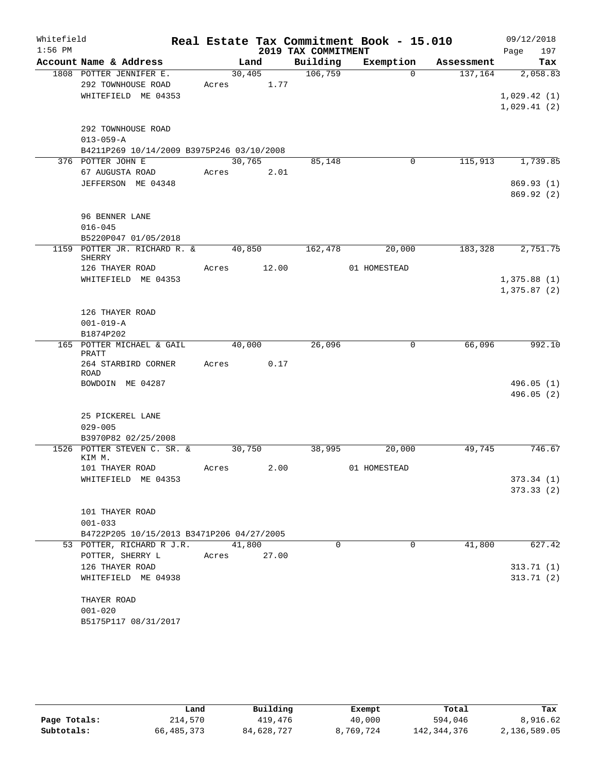| Whitefield<br>$1:56$ PM |                                                                                    |       |                      | 2019 TAX COMMITMENT | Real Estate Tax Commitment Book - 15.010 |            | 09/12/2018<br>197<br>Page              |
|-------------------------|------------------------------------------------------------------------------------|-------|----------------------|---------------------|------------------------------------------|------------|----------------------------------------|
|                         | Account Name & Address                                                             |       | Land                 | Building            | Exemption                                | Assessment | Tax                                    |
|                         | 1808 POTTER JENNIFER E.<br>292 TOWNHOUSE ROAD<br>WHITEFIELD ME 04353               |       | 30,405<br>Acres 1.77 | 106,759             | $\Omega$                                 | 137,164    | 2,058.83<br>1,029.42(1)<br>1,029.41(2) |
|                         | 292 TOWNHOUSE ROAD<br>$013 - 059 - A$<br>B4211P269 10/14/2009 B3975P246 03/10/2008 |       |                      |                     |                                          |            |                                        |
|                         | 376 POTTER JOHN E                                                                  |       | 30,765               | 85,148              | 0                                        | 115,913    | 1,739.85                               |
|                         | 67 AUGUSTA ROAD<br>JEFFERSON ME 04348                                              |       | Acres 2.01           |                     |                                          |            | 869.93 (1)<br>869.92(2)                |
|                         | 96 BENNER LANE<br>$016 - 045$<br>B5220P047 01/05/2018                              |       |                      |                     |                                          |            |                                        |
|                         | 1159 POTTER JR. RICHARD R. &<br>SHERRY                                             |       |                      | 40,850 162,478      | 20,000                                   | 183,328    | 2,751.75                               |
|                         | 126 THAYER ROAD<br>WHITEFIELD ME 04353                                             |       | Acres 12.00          |                     | 01 HOMESTEAD                             |            | 1,375.88(1)<br>1,375.87(2)             |
|                         | 126 THAYER ROAD<br>$001 - 019 - A$<br>B1874P202                                    |       |                      |                     |                                          |            |                                        |
|                         | 165 POTTER MICHAEL & GAIL                                                          |       | 40,000               | 26,096              | 0                                        | 66,096     | 992.10                                 |
|                         | PRATT<br>264 STARBIRD CORNER<br>ROAD<br>BOWDOIN ME 04287                           | Acres | 0.17                 |                     |                                          |            |                                        |
|                         |                                                                                    |       |                      |                     |                                          |            | 496.05(1)<br>496.05(2)                 |
|                         | 25 PICKEREL LANE<br>$029 - 005$                                                    |       |                      |                     |                                          |            |                                        |
|                         | B3970P82 02/25/2008<br>1526 POTTER STEVEN C. SR. &                                 |       | 30,750               | 38,995              | 20,000                                   | 49,745     | 746.67                                 |
|                         | KIM M.                                                                             |       |                      |                     |                                          |            |                                        |
|                         | 101 THAYER ROAD<br>WHITEFIELD ME 04353                                             | Acres | 2.00                 |                     | 01 HOMESTEAD                             |            | 373.34(1)<br>373.33(2)                 |
|                         | 101 THAYER ROAD<br>$001 - 033$                                                     |       |                      |                     |                                          |            |                                        |
|                         | B4722P205 10/15/2013 B3471P206 04/27/2005<br>53 POTTER, RICHARD R J.R.             |       | 41,800               | 0                   | 0                                        | 41,800     | 627.42                                 |
|                         | POTTER, SHERRY L                                                                   | Acres | 27.00                |                     |                                          |            |                                        |
|                         | 126 THAYER ROAD<br>WHITEFIELD ME 04938                                             |       |                      |                     |                                          |            | 313.71(1)<br>313.71(2)                 |
|                         | THAYER ROAD<br>$001 - 020$<br>B5175P117 08/31/2017                                 |       |                      |                     |                                          |            |                                        |

|              | Land       | Building   | Exempt    | Total       | Tax          |
|--------------|------------|------------|-----------|-------------|--------------|
| Page Totals: | 214,570    | 419,476    | 40,000    | 594,046     | 8,916.62     |
| Subtotals:   | 66,485,373 | 84,628,727 | 8,769,724 | 142,344,376 | 2,136,589.05 |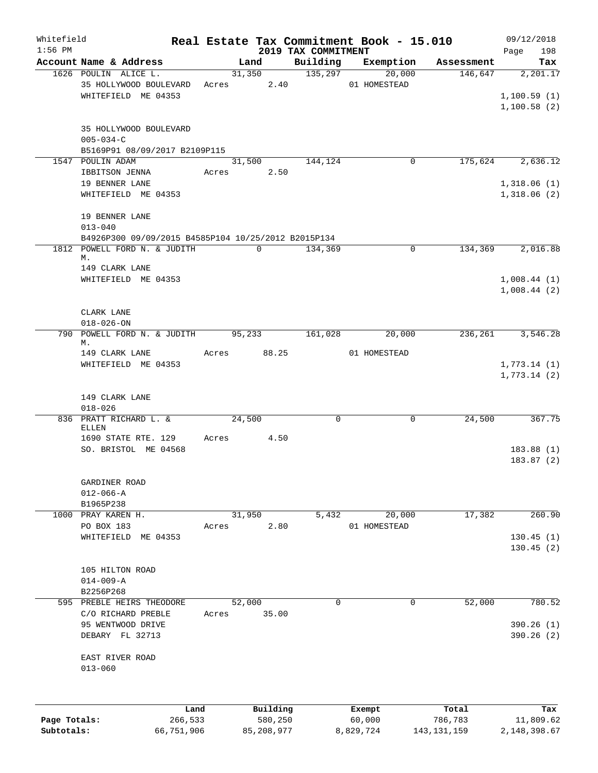| Whitefield   |                                                     |       |            |              |                                 | Real Estate Tax Commitment Book - 15.010 |                       | 09/12/2018         |
|--------------|-----------------------------------------------------|-------|------------|--------------|---------------------------------|------------------------------------------|-----------------------|--------------------|
| $1:56$ PM    | Account Name & Address                              |       | Land       |              | 2019 TAX COMMITMENT<br>Building | Exemption                                |                       | 198<br>Page<br>Tax |
|              | 1626 POULIN ALICE L.                                |       |            | 31,350       | 135,297                         | 20,000                                   | Assessment<br>146,647 | 2,201.17           |
|              | 35 HOLLYWOOD BOULEVARD                              |       | Acres 2.40 |              |                                 | 01 HOMESTEAD                             |                       |                    |
|              | WHITEFIELD ME 04353                                 |       |            |              |                                 |                                          |                       | 1,100.59(1)        |
|              |                                                     |       |            |              |                                 |                                          |                       |                    |
|              |                                                     |       |            |              |                                 |                                          |                       | 1,100.58(2)        |
|              |                                                     |       |            |              |                                 |                                          |                       |                    |
|              | 35 HOLLYWOOD BOULEVARD                              |       |            |              |                                 |                                          |                       |                    |
|              | $005 - 034 - C$                                     |       |            |              |                                 |                                          |                       |                    |
|              | B5169P91 08/09/2017 B2109P115                       |       |            |              |                                 |                                          |                       |                    |
|              | 1547 POULIN ADAM                                    |       | 31,500     |              | 144,124                         | $\mathbf 0$                              | 175,624               | 2,636.12           |
|              | IBBITSON JENNA                                      | Acres |            | 2.50         |                                 |                                          |                       |                    |
|              | 19 BENNER LANE                                      |       |            |              |                                 |                                          |                       | 1,318.06(1)        |
|              | WHITEFIELD ME 04353                                 |       |            |              |                                 |                                          |                       | 1,318.06(2)        |
|              |                                                     |       |            |              |                                 |                                          |                       |                    |
|              | 19 BENNER LANE                                      |       |            |              |                                 |                                          |                       |                    |
|              | $013 - 040$                                         |       |            |              |                                 |                                          |                       |                    |
|              | B4926P300 09/09/2015 B4585P104 10/25/2012 B2015P134 |       |            |              |                                 |                                          |                       |                    |
|              | 1812 POWELL FORD N. & JUDITH                        |       |            | $\mathbf 0$  | 134,369                         | 0                                        | 134,369               | 2,016.88           |
|              | М.                                                  |       |            |              |                                 |                                          |                       |                    |
|              | 149 CLARK LANE                                      |       |            |              |                                 |                                          |                       |                    |
|              | WHITEFIELD ME 04353                                 |       |            |              |                                 |                                          |                       | 1,008.44(1)        |
|              |                                                     |       |            |              |                                 |                                          |                       | 1,008.44(2)        |
|              |                                                     |       |            |              |                                 |                                          |                       |                    |
|              | CLARK LANE                                          |       |            |              |                                 |                                          |                       |                    |
|              | $018 - 026 - ON$                                    |       |            |              |                                 |                                          |                       |                    |
|              | 790 POWELL FORD N. & JUDITH                         |       | 95,233     |              | 161,028                         | 20,000                                   | 236,261               | 3,546.28           |
|              | М.                                                  |       |            |              |                                 |                                          |                       |                    |
|              | 149 CLARK LANE                                      | Acres |            |              | 88.25                           | 01 HOMESTEAD                             |                       |                    |
|              | WHITEFIELD ME 04353                                 |       |            |              |                                 |                                          |                       | 1,773.14(1)        |
|              |                                                     |       |            |              |                                 |                                          |                       | 1,773.14(2)        |
|              |                                                     |       |            |              |                                 |                                          |                       |                    |
|              | 149 CLARK LANE                                      |       |            |              |                                 |                                          |                       |                    |
|              | $018 - 026$                                         |       |            |              |                                 |                                          |                       |                    |
|              | 836 PRATT RICHARD L. &                              |       | 24,500     |              | $\mathbf 0$                     | $\mathbf 0$                              | 24,500                | 367.75             |
|              | ELLEN                                               |       |            |              |                                 |                                          |                       |                    |
|              | 1690 STATE RTE. 129                                 | Acres |            | 4.50         |                                 |                                          |                       |                    |
|              | SO. BRISTOL ME 04568                                |       |            |              |                                 |                                          |                       | 183.88(1)          |
|              |                                                     |       |            |              |                                 |                                          |                       | 183.87(2)          |
|              |                                                     |       |            |              |                                 |                                          |                       |                    |
|              | GARDINER ROAD                                       |       |            |              |                                 |                                          |                       |                    |
|              | $012 - 066 - A$                                     |       |            |              |                                 |                                          |                       |                    |
|              | B1965P238                                           |       |            |              |                                 |                                          |                       |                    |
|              | 1000 PRAY KAREN H.                                  |       | 31,950     |              | 5,432                           | 20,000                                   | 17,382                | 260.90             |
|              | PO BOX 183                                          | Acres |            | 2.80         |                                 | 01 HOMESTEAD                             |                       |                    |
|              | WHITEFIELD ME 04353                                 |       |            |              |                                 |                                          |                       | 130.45(1)          |
|              |                                                     |       |            |              |                                 |                                          |                       | 130.45(2)          |
|              |                                                     |       |            |              |                                 |                                          |                       |                    |
|              | 105 HILTON ROAD                                     |       |            |              |                                 |                                          |                       |                    |
|              | $014 - 009 - A$                                     |       |            |              |                                 |                                          |                       |                    |
|              | B2256P268                                           |       |            |              |                                 |                                          |                       |                    |
|              | 595 PREBLE HEIRS THEODORE                           |       | 52,000     |              | $\mathbf 0$                     | $\mathbf 0$                              | 52,000                | 780.52             |
|              | C/O RICHARD PREBLE                                  | Acres |            | 35.00        |                                 |                                          |                       |                    |
|              | 95 WENTWOOD DRIVE                                   |       |            |              |                                 |                                          |                       | 390.26 (1)         |
|              | DEBARY FL 32713                                     |       |            |              |                                 |                                          |                       | 390.26 (2)         |
|              |                                                     |       |            |              |                                 |                                          |                       |                    |
|              | EAST RIVER ROAD                                     |       |            |              |                                 |                                          |                       |                    |
|              | $013 - 060$                                         |       |            |              |                                 |                                          |                       |                    |
|              |                                                     |       |            |              |                                 |                                          |                       |                    |
|              |                                                     |       |            |              |                                 |                                          |                       |                    |
|              |                                                     |       |            |              |                                 |                                          |                       |                    |
|              |                                                     | Land  |            | Building     |                                 | Exempt                                   | Total                 | Tax                |
| Page Totals: | 266,533                                             |       |            | 580,250      |                                 | 60,000                                   | 786,783               | 11,809.62          |
| Subtotals:   | 66,751,906                                          |       |            | 85, 208, 977 |                                 | 8,829,724                                | 143, 131, 159         | 2,148,398.67       |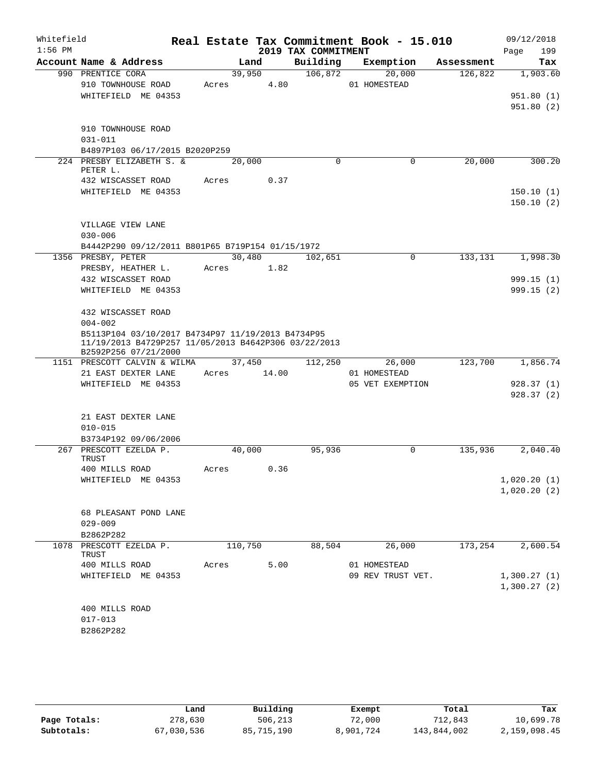| Whitefield<br>$1:56$ PM |                                                                                                                                                                        |         |                | 2019 TAX COMMITMENT | Real Estate Tax Commitment Book - 15.010 |            | 09/12/2018<br>199<br>Page          |
|-------------------------|------------------------------------------------------------------------------------------------------------------------------------------------------------------------|---------|----------------|---------------------|------------------------------------------|------------|------------------------------------|
|                         | Account Name & Address                                                                                                                                                 |         | Land           | Building            | Exemption                                | Assessment | Tax                                |
|                         | 990 PRENTICE CORA<br>910 TOWNHOUSE ROAD<br>WHITEFIELD ME 04353                                                                                                         | Acres   | 39,950<br>4.80 | 106,872             | 20,000<br>01 HOMESTEAD                   | 126,822    | 1,903.60<br>951.80(1)<br>951.80(2) |
|                         | 910 TOWNHOUSE ROAD<br>$031 - 011$<br>B4897P103 06/17/2015 B2020P259                                                                                                    |         |                |                     |                                          |            |                                    |
|                         | 224 PRESBY ELIZABETH S. &<br>PETER L.                                                                                                                                  |         | 20,000         | $\Omega$            | $\Omega$                                 | 20,000     | 300.20                             |
|                         | 432 WISCASSET ROAD<br>WHITEFIELD ME 04353                                                                                                                              | Acres   | 0.37           |                     |                                          |            | 150.10(1)<br>150.10(2)             |
|                         | VILLAGE VIEW LANE<br>$030 - 006$<br>B4442P290 09/12/2011 B801P65 B719P154 01/15/1972                                                                                   |         |                |                     |                                          |            |                                    |
|                         | 1356 PRESBY, PETER                                                                                                                                                     |         | 30,480         | 102,651             | $\mathbf 0$                              | 133,131    | 1,998.30                           |
|                         | PRESBY, HEATHER L.<br>432 WISCASSET ROAD<br>WHITEFIELD ME 04353                                                                                                        |         | Acres 1.82     |                     |                                          |            | 999.15(1)<br>999.15(2)             |
|                         | 432 WISCASSET ROAD<br>$004 - 002$<br>B5113P104 03/10/2017 B4734P97 11/19/2013 B4734P95<br>11/19/2013 B4729P257 11/05/2013 B4642P306 03/22/2013<br>B2592P256 07/21/2000 |         |                |                     |                                          |            |                                    |
|                         | 1151 PRESCOTT CALVIN & WILMA                                                                                                                                           |         | 37,450         | 112,250             | 26,000                                   | 123,700    | 1,856.74                           |
|                         | 21 EAST DEXTER LANE<br>WHITEFIELD ME 04353                                                                                                                             | Acres   | 14.00          |                     | 01 HOMESTEAD<br>05 VET EXEMPTION         |            | 928.37(1)<br>928.37(2)             |
|                         | 21 EAST DEXTER LANE<br>$010 - 015$<br>B3734P192 09/06/2006                                                                                                             |         |                |                     |                                          |            |                                    |
|                         | 267 PRESCOTT EZELDA P.<br>TRUST                                                                                                                                        |         | 40,000         | 95,936              | $\Omega$                                 | 135,936    | 2,040.40                           |
|                         | 400 MILLS ROAD                                                                                                                                                         | Acres   | 0.36           |                     |                                          |            |                                    |
|                         | WHITEFIELD ME 04353                                                                                                                                                    |         |                |                     |                                          |            | 1,020.20(1)<br>1,020.20(2)         |
|                         | 68 PLEASANT POND LANE<br>$029 - 009$<br>B2862P282                                                                                                                      |         |                |                     |                                          |            |                                    |
|                         | 1078 PRESCOTT EZELDA P.                                                                                                                                                | 110,750 |                | 88,504              | 26,000                                   | 173,254    | 2,600.54                           |
|                         | TRUST                                                                                                                                                                  |         |                |                     |                                          |            |                                    |
|                         | 400 MILLS ROAD                                                                                                                                                         | Acres   | 5.00           |                     | 01 HOMESTEAD                             |            |                                    |
|                         | WHITEFIELD ME 04353                                                                                                                                                    |         |                |                     | 09 REV TRUST VET.                        |            | 1,300.27(1)<br>1,300.27(2)         |
|                         | 400 MILLS ROAD<br>$017 - 013$<br>B2862P282                                                                                                                             |         |                |                     |                                          |            |                                    |

|              | Land       | Building   | Exempt    | Total       | Tax          |
|--------------|------------|------------|-----------|-------------|--------------|
| Page Totals: | 278,630    | 506,213    | 72,000    | 712,843     | 10,699.78    |
| Subtotals:   | 67,030,536 | 85,715,190 | 8,901,724 | 143,844,002 | 2,159,098.45 |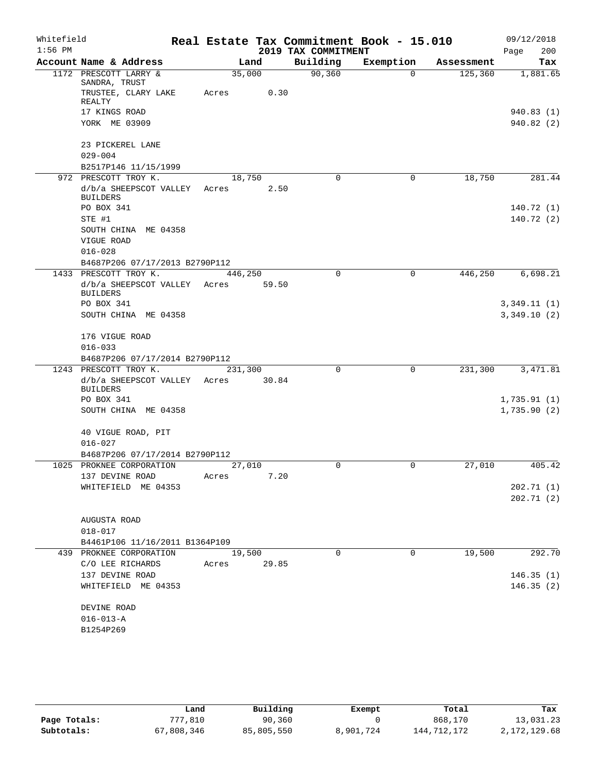| Whitefield<br>$1:56$ PM |                                                                    |                  |       | 2019 TAX COMMITMENT | Real Estate Tax Commitment Book - 15.010 |            | 09/12/2018<br>200<br>Page  |
|-------------------------|--------------------------------------------------------------------|------------------|-------|---------------------|------------------------------------------|------------|----------------------------|
|                         | Account Name & Address                                             |                  | Land  | Building            | Exemption                                | Assessment | Tax                        |
|                         | 1172 PRESCOTT LARRY &                                              | 35,000           |       | 90, 360             | $\Omega$                                 | 125,360    | 1,881.65                   |
|                         | SANDRA, TRUST<br>TRUSTEE, CLARY LAKE<br>REALTY                     | Acres            | 0.30  |                     |                                          |            |                            |
|                         | 17 KINGS ROAD<br>YORK ME 03909                                     |                  |       |                     |                                          |            | 940.83 (1)<br>940.82 (2)   |
|                         | 23 PICKEREL LANE<br>$029 - 004$                                    |                  |       |                     |                                          |            |                            |
|                         | B2517P146 11/15/1999                                               |                  |       |                     |                                          |            |                            |
|                         | 972 PRESCOTT TROY K.                                               | 18,750           |       | 0                   | 0                                        | 18,750     | 281.44                     |
|                         | d/b/a SHEEPSCOT VALLEY<br><b>BUILDERS</b>                          | Acres            | 2.50  |                     |                                          |            |                            |
|                         | PO BOX 341                                                         |                  |       |                     |                                          |            | 140.72 (1)                 |
|                         | STE #1<br>SOUTH CHINA ME 04358<br>VIGUE ROAD                       |                  |       |                     |                                          |            | 140.72(2)                  |
|                         | $016 - 028$                                                        |                  |       |                     |                                          |            |                            |
|                         | B4687P206 07/17/2013 B2790P112                                     |                  |       |                     |                                          |            |                            |
|                         | 1433 PRESCOTT TROY K.                                              | 446,250          |       | $\Omega$            | 0                                        | 446,250    | 6,698.21                   |
|                         | d/b/a SHEEPSCOT VALLEY<br><b>BUILDERS</b><br>PO BOX 341            | Acres            | 59.50 |                     |                                          |            |                            |
|                         | SOUTH CHINA ME 04358                                               |                  |       |                     |                                          |            | 3,349.11(1)<br>3,349.10(2) |
|                         | 176 VIGUE ROAD<br>$016 - 033$                                      |                  |       |                     |                                          |            |                            |
|                         | B4687P206 07/17/2014 B2790P112                                     |                  |       |                     |                                          |            |                            |
|                         | 1243 PRESCOTT TROY K.<br>d/b/a SHEEPSCOT VALLEY<br><b>BUILDERS</b> | 231,300<br>Acres | 30.84 | $\Omega$            | 0                                        | 231,300    | 3,471.81                   |
|                         | PO BOX 341                                                         |                  |       |                     |                                          |            | 1,735.91(1)                |
|                         | SOUTH CHINA ME 04358                                               |                  |       |                     |                                          |            | 1,735.90(2)                |
|                         | 40 VIGUE ROAD, PIT<br>$016 - 027$                                  |                  |       |                     |                                          |            |                            |
|                         | B4687P206 07/17/2014 B2790P112                                     |                  |       |                     |                                          |            |                            |
|                         | 1025 PROKNEE CORPORATION                                           | 27,010           |       | 0                   | 0                                        | 27,010     | 405.42                     |
|                         | 137 DEVINE ROAD                                                    | Acres            | 7.20  |                     |                                          |            |                            |
|                         | WHITEFIELD ME 04353                                                |                  |       |                     |                                          |            | 202.71(1)                  |
|                         |                                                                    |                  |       |                     |                                          |            | 202.71(2)                  |
|                         | AUGUSTA ROAD                                                       |                  |       |                     |                                          |            |                            |
|                         | $018 - 017$                                                        |                  |       |                     |                                          |            |                            |
|                         | B4461P106 11/16/2011 B1364P109                                     |                  |       |                     |                                          |            |                            |
|                         | 439 PROKNEE CORPORATION<br>C/O LEE RICHARDS                        | 19,500<br>Acres  | 29.85 | $\Omega$            | 0                                        | 19,500     | 292.70                     |
|                         | 137 DEVINE ROAD                                                    |                  |       |                     |                                          |            | 146.35(1)                  |
|                         | WHITEFIELD ME 04353                                                |                  |       |                     |                                          |            | 146.35(2)                  |
|                         | DEVINE ROAD                                                        |                  |       |                     |                                          |            |                            |
|                         | $016 - 013 - A$                                                    |                  |       |                     |                                          |            |                            |
|                         | B1254P269                                                          |                  |       |                     |                                          |            |                            |

|              | Land       | Building   | Exempt    | Total       | Tax          |  |
|--------------|------------|------------|-----------|-------------|--------------|--|
| Page Totals: | 777,810    | 90,360     |           | 868,170     | 13,031.23    |  |
| Subtotals:   | 67,808,346 | 85,805,550 | 8,901,724 | 144,712,172 | 2,172,129.68 |  |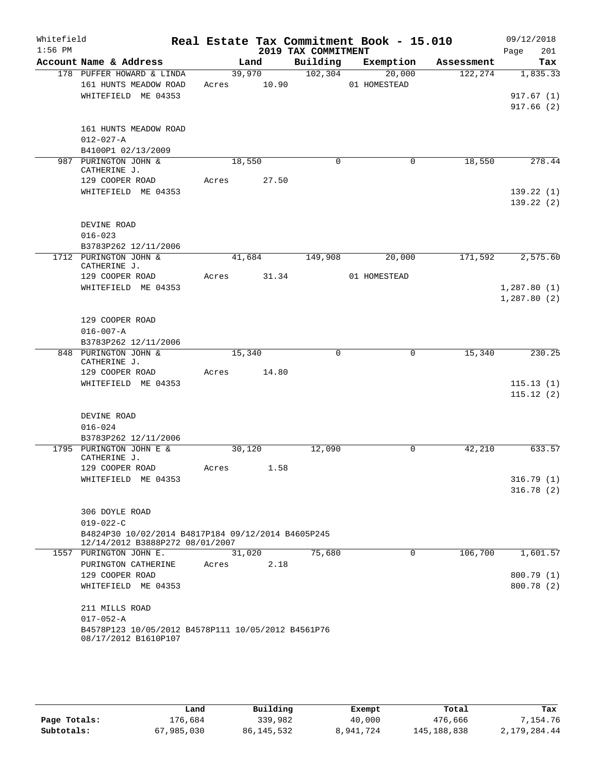| Whitefield<br>$1:56$ PM |                                                                                       |       |        | 2019 TAX COMMITMENT | Real Estate Tax Commitment Book - 15.010 |            | 09/12/2018<br>201<br>Page |
|-------------------------|---------------------------------------------------------------------------------------|-------|--------|---------------------|------------------------------------------|------------|---------------------------|
|                         | Account Name & Address                                                                |       | Land   | Building            | Exemption                                | Assessment | Tax                       |
|                         | 178 PUFFER HOWARD & LINDA                                                             |       | 39,970 | 102, 304            | 20,000                                   | 122,274    | 1,835.33                  |
|                         | 161 HUNTS MEADOW ROAD                                                                 | Acres | 10.90  |                     | 01 HOMESTEAD                             |            |                           |
|                         | WHITEFIELD ME 04353                                                                   |       |        |                     |                                          |            | 917.67(1)                 |
|                         |                                                                                       |       |        |                     |                                          |            | 917.66(2)                 |
|                         |                                                                                       |       |        |                     |                                          |            |                           |
|                         | 161 HUNTS MEADOW ROAD                                                                 |       |        |                     |                                          |            |                           |
|                         | $012 - 027 - A$                                                                       |       |        |                     |                                          |            |                           |
|                         | B4100P1 02/13/2009                                                                    |       |        | $\Omega$            |                                          |            |                           |
|                         | 987 PURINGTON JOHN &<br>CATHERINE J.                                                  |       | 18,550 |                     | 0                                        | 18,550     | 278.44                    |
|                         | 129 COOPER ROAD                                                                       | Acres | 27.50  |                     |                                          |            |                           |
|                         | WHITEFIELD ME 04353                                                                   |       |        |                     |                                          |            | 139.22(1)                 |
|                         |                                                                                       |       |        |                     |                                          |            | 139.22(2)                 |
|                         |                                                                                       |       |        |                     |                                          |            |                           |
|                         | DEVINE ROAD                                                                           |       |        |                     |                                          |            |                           |
|                         | $016 - 023$                                                                           |       |        |                     |                                          |            |                           |
|                         | B3783P262 12/11/2006                                                                  |       |        |                     |                                          |            |                           |
|                         | 1712 PURINGTON JOHN &                                                                 |       | 41,684 | 149,908             | 20,000                                   | 171,592    | 2,575.60                  |
|                         | CATHERINE J.<br>129 COOPER ROAD                                                       |       | 31.34  |                     | 01 HOMESTEAD                             |            |                           |
|                         | WHITEFIELD ME 04353                                                                   | Acres |        |                     |                                          |            | 1,287.80(1)               |
|                         |                                                                                       |       |        |                     |                                          |            | 1,287.80(2)               |
|                         |                                                                                       |       |        |                     |                                          |            |                           |
|                         | 129 COOPER ROAD                                                                       |       |        |                     |                                          |            |                           |
|                         | $016 - 007 - A$                                                                       |       |        |                     |                                          |            |                           |
|                         | B3783P262 12/11/2006                                                                  |       |        |                     |                                          |            |                           |
|                         | 848 PURINGTON JOHN &                                                                  |       | 15,340 | $\mathbf 0$         | $\mathbf 0$                              | 15,340     | 230.25                    |
|                         | CATHERINE J.                                                                          |       |        |                     |                                          |            |                           |
|                         | 129 COOPER ROAD                                                                       | Acres | 14.80  |                     |                                          |            |                           |
|                         | WHITEFIELD ME 04353                                                                   |       |        |                     |                                          |            | 115.13(1)                 |
|                         |                                                                                       |       |        |                     |                                          |            | 115.12(2)                 |
|                         |                                                                                       |       |        |                     |                                          |            |                           |
|                         | DEVINE ROAD                                                                           |       |        |                     |                                          |            |                           |
|                         | $016 - 024$                                                                           |       |        |                     |                                          |            |                           |
|                         | B3783P262 12/11/2006<br>1795 PURINGTON JOHN E &                                       |       | 30,120 | 12,090              | 0                                        | 42,210     | 633.57                    |
|                         | CATHERINE J.                                                                          |       |        |                     |                                          |            |                           |
|                         | 129 COOPER ROAD                                                                       | Acres | 1.58   |                     |                                          |            |                           |
|                         | WHITEFIELD ME 04353                                                                   |       |        |                     |                                          |            | 316.79(1)                 |
|                         |                                                                                       |       |        |                     |                                          |            | 316.78(2)                 |
|                         |                                                                                       |       |        |                     |                                          |            |                           |
|                         | 306 DOYLE ROAD                                                                        |       |        |                     |                                          |            |                           |
|                         | $019 - 022 - C$                                                                       |       |        |                     |                                          |            |                           |
|                         | B4824P30 10/02/2014 B4817P184 09/12/2014 B4605P245<br>12/14/2012 B3888P272 08/01/2007 |       |        |                     |                                          |            |                           |
|                         | 1557 PURINGTON JOHN E.                                                                |       | 31,020 | 75,680              | 0                                        | 106,700    | 1,601.57                  |
|                         | PURINGTON CATHERINE                                                                   | Acres | 2.18   |                     |                                          |            |                           |
|                         | 129 COOPER ROAD                                                                       |       |        |                     |                                          |            | 800.79 (1)                |
|                         | WHITEFIELD ME 04353                                                                   |       |        |                     |                                          |            | 800.78 (2)                |
|                         | 211 MILLS ROAD                                                                        |       |        |                     |                                          |            |                           |
|                         | $017 - 052 - A$                                                                       |       |        |                     |                                          |            |                           |
|                         | B4578P123 10/05/2012 B4578P111 10/05/2012 B4561P76                                    |       |        |                     |                                          |            |                           |
|                         | 08/17/2012 B1610P107                                                                  |       |        |                     |                                          |            |                           |

|              | Land       | Building   | Exempt    | Total         | Tax          |
|--------------|------------|------------|-----------|---------------|--------------|
| Page Totals: | 176.684    | 339,982    | 40,000    | 476,666       | 7.154.76     |
| Subtotals:   | 67,985,030 | 86,145,532 | 8,941,724 | 145, 188, 838 | 2,179,284.44 |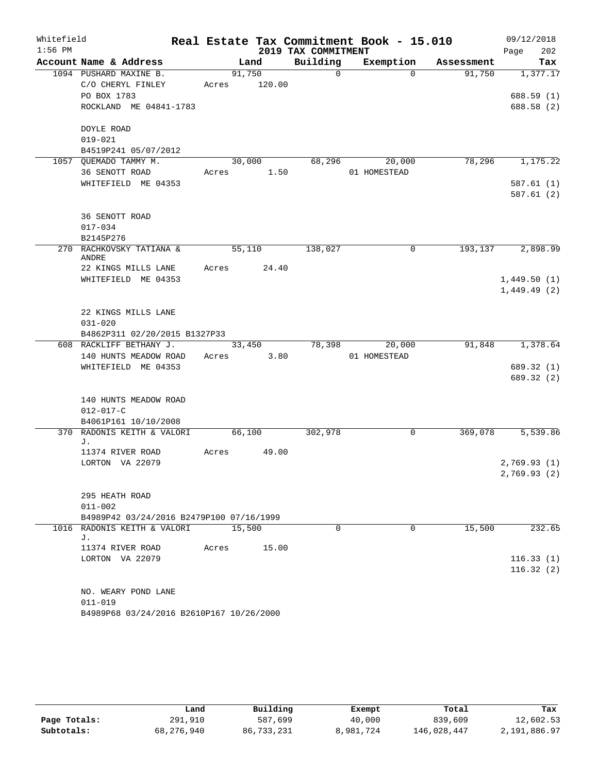| Whitefield |                                          |       |        |        |                     | Real Estate Tax Commitment Book - 15.010 |            | 09/12/2018   |
|------------|------------------------------------------|-------|--------|--------|---------------------|------------------------------------------|------------|--------------|
| $1:56$ PM  |                                          |       |        |        | 2019 TAX COMMITMENT |                                          |            | 202<br>Page  |
|            | Account Name & Address                   |       | Land   |        | Building            | Exemption                                | Assessment | Tax          |
|            | 1094 PUSHARD MAXINE B.                   |       | 91,750 |        | $\Omega$            | $\Omega$                                 | 91,750     | 1,377.17     |
|            | C/O CHERYL FINLEY                        | Acres |        | 120.00 |                     |                                          |            |              |
|            | PO BOX 1783                              |       |        |        |                     |                                          |            | 688.59 (1)   |
|            | ROCKLAND ME 04841-1783                   |       |        |        |                     |                                          |            | 688.58 (2)   |
|            | DOYLE ROAD                               |       |        |        |                     |                                          |            |              |
|            | $019 - 021$                              |       |        |        |                     |                                          |            |              |
|            | B4519P241 05/07/2012                     |       |        |        |                     |                                          |            |              |
|            | 1057 QUEMADO TAMMY M.                    |       | 30,000 |        | 68,296              | 20,000                                   | 78,296     | 1,175.22     |
|            | 36 SENOTT ROAD                           | Acres |        | 1.50   |                     | 01 HOMESTEAD                             |            |              |
|            | WHITEFIELD ME 04353                      |       |        |        |                     |                                          |            | 587.61(1)    |
|            |                                          |       |        |        |                     |                                          |            | 587.61(2)    |
|            | 36 SENOTT ROAD                           |       |        |        |                     |                                          |            |              |
|            | $017 - 034$                              |       |        |        |                     |                                          |            |              |
|            | B2145P276                                |       |        |        |                     |                                          |            |              |
|            | 270 RACHKOVSKY TATIANA &<br>ANDRE        |       | 55,110 |        | 138,027             | 0                                        | 193,137    | 2,898.99     |
|            | 22 KINGS MILLS LANE                      | Acres |        | 24.40  |                     |                                          |            |              |
|            | WHITEFIELD ME 04353                      |       |        |        |                     |                                          |            | 1,449.50(1)  |
|            |                                          |       |        |        |                     |                                          |            | 1,449.49(2)  |
|            | 22 KINGS MILLS LANE                      |       |        |        |                     |                                          |            |              |
|            | $031 - 020$                              |       |        |        |                     |                                          |            |              |
|            | B4862P311 02/20/2015 B1327P33            |       |        |        |                     |                                          |            |              |
|            | 608 RACKLIFF BETHANY J.                  |       | 33,450 |        | 78,398              | 20,000                                   | 91,848     | 1,378.64     |
|            | 140 HUNTS MEADOW ROAD                    | Acres |        | 3.80   |                     | 01 HOMESTEAD                             |            |              |
|            | WHITEFIELD ME 04353                      |       |        |        |                     |                                          |            | 689.32 (1)   |
|            |                                          |       |        |        |                     |                                          |            | 689.32 (2)   |
|            | 140 HUNTS MEADOW ROAD                    |       |        |        |                     |                                          |            |              |
|            | $012 - 017 - C$                          |       |        |        |                     |                                          |            |              |
|            | B4061P161 10/10/2008                     |       |        |        |                     |                                          |            |              |
|            | 370 RADONIS KEITH & VALORI<br>J.         |       | 66,100 |        | 302,978             | 0                                        | 369,078    | 5,539.86     |
|            | 11374 RIVER ROAD                         | Acres |        | 49.00  |                     |                                          |            |              |
|            | LORTON VA 22079                          |       |        |        |                     |                                          |            | 2,769.93(1)  |
|            |                                          |       |        |        |                     |                                          |            | 2,769.93 (2) |
|            | 295 HEATH ROAD                           |       |        |        |                     |                                          |            |              |
|            | $011 - 002$                              |       |        |        |                     |                                          |            |              |
|            | B4989P42 03/24/2016 B2479P100 07/16/1999 |       |        |        |                     |                                          |            |              |
|            | 1016 RADONIS KEITH & VALORI              |       | 15,500 |        | $\Omega$            | $\Omega$                                 | 15,500     | 232.65       |
|            | J.<br>11374 RIVER ROAD                   | Acres |        | 15.00  |                     |                                          |            |              |
|            | LORTON VA 22079                          |       |        |        |                     |                                          |            | 116.33(1)    |
|            |                                          |       |        |        |                     |                                          |            | 116.32(2)    |
|            |                                          |       |        |        |                     |                                          |            |              |
|            | NO. WEARY POND LANE                      |       |        |        |                     |                                          |            |              |
|            | $011 - 019$                              |       |        |        |                     |                                          |            |              |
|            | B4989P68 03/24/2016 B2610P167 10/26/2000 |       |        |        |                     |                                          |            |              |

|              | Land       | Building   | Exempt    | Total       | Tax          |
|--------------|------------|------------|-----------|-------------|--------------|
| Page Totals: | 291,910    | 587,699    | 40,000    | 839,609     | 12,602.53    |
| Subtotals:   | 68,276,940 | 86,733,231 | 8,981,724 | 146,028,447 | 2,191,886.97 |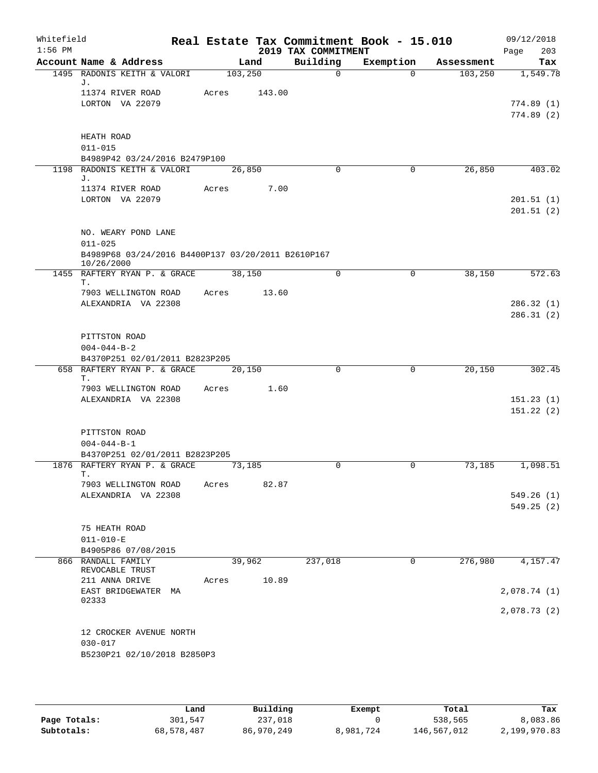| Whitefield<br>$1:56$ PM |                                                                        |         |        | Real Estate Tax Commitment Book - 15.010<br>2019 TAX COMMITMENT |             |            | 09/12/2018<br>203<br>Page |
|-------------------------|------------------------------------------------------------------------|---------|--------|-----------------------------------------------------------------|-------------|------------|---------------------------|
|                         | Account Name & Address                                                 | Land    |        | Building                                                        | Exemption   | Assessment | Tax                       |
|                         | 1495 RADONIS KEITH & VALORI                                            | 103,250 |        | $\mathsf{O}$                                                    | $\Omega$    | 103, 250   | 1,549.78                  |
|                         | J.<br>11374 RIVER ROAD<br>LORTON VA 22079                              | Acres   | 143.00 |                                                                 |             |            | 774.89(1)<br>774.89(2)    |
|                         | HEATH ROAD<br>$011 - 015$<br>B4989P42 03/24/2016 B2479P100             |         |        |                                                                 |             |            |                           |
|                         | 1198 RADONIS KEITH & VALORI                                            | 26,850  |        | $\Omega$                                                        | $\mathbf 0$ | 26,850     | 403.02                    |
|                         | J.<br>11374 RIVER ROAD<br>LORTON VA 22079                              | Acres   | 7.00   |                                                                 |             |            | 201.51(1)<br>201.51(2)    |
|                         | NO. WEARY POND LANE<br>$011 - 025$                                     |         |        |                                                                 |             |            |                           |
|                         | B4989P68 03/24/2016 B4400P137 03/20/2011 B2610P167<br>10/26/2000       |         |        |                                                                 |             |            |                           |
|                         | 1455 RAFTERY RYAN P. & GRACE<br>Τ.                                     | 38,150  |        | $\Omega$                                                        | 0           | 38,150     | 572.63                    |
|                         | 7903 WELLINGTON ROAD<br>ALEXANDRIA VA 22308                            | Acres   | 13.60  |                                                                 |             |            | 286.32(1)<br>286.31(2)    |
|                         | PITTSTON ROAD<br>$004 - 044 - B - 2$<br>B4370P251 02/01/2011 B2823P205 |         |        |                                                                 |             |            |                           |
|                         | 658 RAFTERY RYAN P. & GRACE<br>Τ.                                      | 20,150  |        | $\Omega$                                                        | $\Omega$    | 20,150     | 302.45                    |
|                         | 7903 WELLINGTON ROAD<br>ALEXANDRIA VA 22308                            | Acres   | 1.60   |                                                                 |             |            | 151.23(1)<br>151.22(2)    |
|                         | PITTSTON ROAD<br>$004 - 044 - B - 1$<br>B4370P251 02/01/2011 B2823P205 |         |        |                                                                 |             |            |                           |
|                         | 1876 RAFTERY RYAN P. & GRACE                                           | 73,185  |        | 0                                                               | 0           | 73,185     | 1,098.51                  |
|                         | 7903 WELLINGTON ROAD<br>ALEXANDRIA VA 22308                            | Acres   | 82.87  |                                                                 |             |            | 549.26(1)<br>549.25(2)    |
|                         | 75 HEATH ROAD<br>$011 - 010 - E$<br>B4905P86 07/08/2015                |         |        |                                                                 |             |            |                           |
|                         | 866 RANDALL FAMILY                                                     | 39,962  |        | 237,018                                                         | $\mathbf 0$ | 276,980    | 4,157.47                  |
|                         | REVOCABLE TRUST<br>211 ANNA DRIVE<br>EAST BRIDGEWATER MA               | Acres   | 10.89  |                                                                 |             |            |                           |
|                         | 02333                                                                  |         |        |                                                                 |             |            | 2,078.74 (1)              |
|                         |                                                                        |         |        |                                                                 |             |            | 2,078.73 (2)              |
|                         | 12 CROCKER AVENUE NORTH<br>$030 - 017$<br>B5230P21 02/10/2018 B2850P3  |         |        |                                                                 |             |            |                           |

|              | Land       | Building   | Exempt    | Total       | Tax          |
|--------------|------------|------------|-----------|-------------|--------------|
| Page Totals: | 301,547    | 237,018    |           | 538,565     | 8,083.86     |
| Subtotals:   | 68,578,487 | 86,970,249 | 8,981,724 | 146,567,012 | 2,199,970.83 |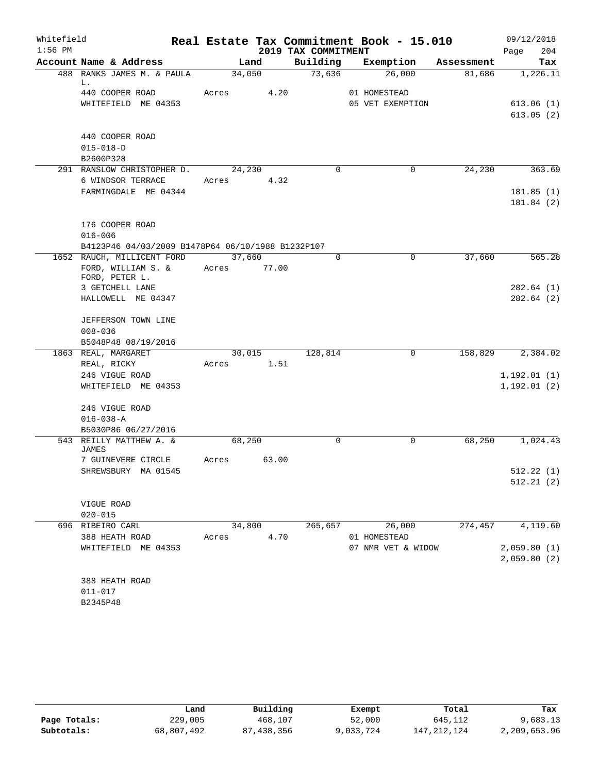| Whitefield |                                                   |            |        |                     | Real Estate Tax Commitment Book - 15.010 |            | 09/12/2018   |
|------------|---------------------------------------------------|------------|--------|---------------------|------------------------------------------|------------|--------------|
| $1:56$ PM  |                                                   |            |        | 2019 TAX COMMITMENT |                                          |            | 204<br>Page  |
|            | Account Name & Address                            |            | Land   | Building            | Exemption                                | Assessment | Tax          |
|            | 488 RANKS JAMES M. & PAULA<br>L.                  |            | 34,050 | 73,636              | 26,000                                   | 81,686     | 1,226.11     |
|            | 440 COOPER ROAD                                   | Acres      | 4.20   |                     | 01 HOMESTEAD                             |            |              |
|            | WHITEFIELD ME 04353                               |            |        |                     | 05 VET EXEMPTION                         |            | 613.06(1)    |
|            |                                                   |            |        |                     |                                          |            | 613.05(2)    |
|            |                                                   |            |        |                     |                                          |            |              |
|            | 440 COOPER ROAD                                   |            |        |                     |                                          |            |              |
|            | $015 - 018 - D$                                   |            |        |                     |                                          |            |              |
|            | B2600P328                                         |            |        |                     |                                          |            |              |
|            | 291 RANSLOW CHRISTOPHER D.                        |            | 24,230 | $\Omega$            | 0                                        | 24,230     | 363.69       |
|            | 6 WINDSOR TERRACE                                 | Acres      | 4.32   |                     |                                          |            |              |
|            | FARMINGDALE ME 04344                              |            |        |                     |                                          |            | 181.85(1)    |
|            |                                                   |            |        |                     |                                          |            | 181.84 (2)   |
|            |                                                   |            |        |                     |                                          |            |              |
|            | 176 COOPER ROAD<br>$016 - 006$                    |            |        |                     |                                          |            |              |
|            | B4123P46 04/03/2009 B1478P64 06/10/1988 B1232P107 |            |        |                     |                                          |            |              |
|            | 1652 RAUCH, MILLICENT FORD                        | 37,660     |        | 0                   | $\mathbf 0$                              | 37,660     | 565.28       |
|            | FORD, WILLIAM S. &                                | Acres      | 77.00  |                     |                                          |            |              |
|            | FORD, PETER L.                                    |            |        |                     |                                          |            |              |
|            | 3 GETCHELL LANE                                   |            |        |                     |                                          |            | 282.64 (1)   |
|            | HALLOWELL ME 04347                                |            |        |                     |                                          |            | 282.64(2)    |
|            |                                                   |            |        |                     |                                          |            |              |
|            | JEFFERSON TOWN LINE                               |            |        |                     |                                          |            |              |
|            | $008 - 036$                                       |            |        |                     |                                          |            |              |
|            | B5048P48 08/19/2016                               |            |        |                     |                                          |            |              |
|            | 1863 REAL, MARGARET                               |            | 30,015 | 128,814             | $\mathbf 0$                              | 158,829    | 2,384.02     |
|            | REAL, RICKY                                       | Acres      | 1.51   |                     |                                          |            |              |
|            | 246 VIGUE ROAD                                    |            |        |                     |                                          |            | 1, 192.01(1) |
|            | WHITEFIELD ME 04353                               |            |        |                     |                                          |            | 1, 192.01(2) |
|            | 246 VIGUE ROAD                                    |            |        |                     |                                          |            |              |
|            | $016 - 038 - A$                                   |            |        |                     |                                          |            |              |
|            | B5030P86 06/27/2016                               |            |        |                     |                                          |            |              |
|            | 543 REILLY MATTHEW A. &                           |            | 68,250 | $\mathbf 0$         | 0                                        | 68,250     | 1,024.43     |
|            | JAMES                                             |            |        |                     |                                          |            |              |
|            | 7 GUINEVERE CIRCLE                                | Acres      | 63.00  |                     |                                          |            |              |
|            | SHREWSBURY MA 01545                               |            |        |                     |                                          |            | 512.22(1)    |
|            |                                                   |            |        |                     |                                          |            | 512.21(2)    |
|            |                                                   |            |        |                     |                                          |            |              |
|            | VIGUE ROAD                                        |            |        |                     |                                          |            |              |
|            | $020 - 015$                                       |            |        |                     |                                          |            |              |
|            | 696 RIBEIRO CARL                                  |            | 34,800 |                     | 265,657 26,000                           | 274,457    | 4,119.60     |
|            | 388 HEATH ROAD                                    | Acres 4.70 |        |                     | 01 HOMESTEAD                             |            |              |
|            | WHITEFIELD ME 04353                               |            |        |                     | 07 NMR VET & WIDOW                       |            | 2,059.80(1)  |
|            |                                                   |            |        |                     |                                          |            | 2,059.80(2)  |
|            | 388 HEATH ROAD                                    |            |        |                     |                                          |            |              |
|            | $011 - 017$                                       |            |        |                     |                                          |            |              |
|            | B2345P48                                          |            |        |                     |                                          |            |              |
|            |                                                   |            |        |                     |                                          |            |              |

|              | Land       | Building     | Exempt    | Total         | Tax          |
|--------------|------------|--------------|-----------|---------------|--------------|
| Page Totals: | 229,005    | 468,107      | 52,000    | 645,112       | 9,683.13     |
| Subtotals:   | 68,807,492 | 87, 438, 356 | 9,033,724 | 147, 212, 124 | 2,209,653.96 |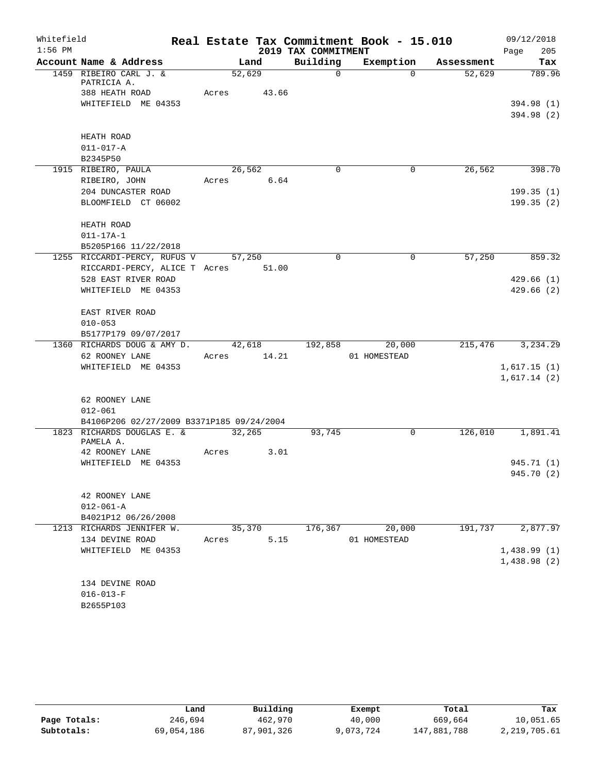| Whitefield |                                           |             |        |                     | Real Estate Tax Commitment Book - 15.010 |            | 09/12/2018  |
|------------|-------------------------------------------|-------------|--------|---------------------|------------------------------------------|------------|-------------|
| $1:56$ PM  |                                           |             |        | 2019 TAX COMMITMENT |                                          |            | 205<br>Page |
|            | Account Name & Address                    |             | Land   | Building            | Exemption                                | Assessment | Tax         |
|            | 1459 RIBEIRO CARL J. &                    | 52,629      |        | $\mathbf 0$         | $\Omega$                                 | 52,629     | 789.96      |
|            | PATRICIA A.<br>388 HEATH ROAD             | Acres 43.66 |        |                     |                                          |            |             |
|            | WHITEFIELD ME 04353                       |             |        |                     |                                          |            | 394.98 (1)  |
|            |                                           |             |        |                     |                                          |            | 394.98 (2)  |
|            |                                           |             |        |                     |                                          |            |             |
|            | HEATH ROAD                                |             |        |                     |                                          |            |             |
|            | $011 - 017 - A$                           |             |        |                     |                                          |            |             |
|            | B2345P50                                  |             |        |                     |                                          |            |             |
|            | 1915 RIBEIRO, PAULA                       |             | 26,562 | $\Omega$            | 0                                        | 26,562     | 398.70      |
|            | RIBEIRO, JOHN                             | Acres 6.64  |        |                     |                                          |            |             |
|            | 204 DUNCASTER ROAD                        |             |        |                     |                                          |            | 199.35 (1)  |
|            | BLOOMFIELD CT 06002                       |             |        |                     |                                          |            | 199.35(2)   |
|            |                                           |             |        |                     |                                          |            |             |
|            | HEATH ROAD                                |             |        |                     |                                          |            |             |
|            | $011 - 17A - 1$                           |             |        |                     |                                          |            |             |
|            | B5205P166 11/22/2018                      |             |        |                     |                                          |            |             |
|            | 1255 RICCARDI-PERCY, RUFUS V 57,250       |             |        | $\Omega$            | 0                                        | 57,250     | 859.32      |
|            | RICCARDI-PERCY, ALICE T Acres 51.00       |             |        |                     |                                          |            |             |
|            | 528 EAST RIVER ROAD                       |             |        |                     |                                          |            | 429.66(1)   |
|            | WHITEFIELD ME 04353                       |             |        |                     |                                          |            | 429.66(2)   |
|            | EAST RIVER ROAD                           |             |        |                     |                                          |            |             |
|            | $010 - 053$                               |             |        |                     |                                          |            |             |
|            | B5177P179 09/07/2017                      |             |        |                     |                                          |            |             |
|            | 1360 RICHARDS DOUG & AMY D.               |             |        | 42,618 192,858      | 20,000                                   | 215,476    | 3,234.29    |
|            | 62 ROONEY LANE                            | Acres 14.21 |        |                     | 01 HOMESTEAD                             |            |             |
|            | WHITEFIELD ME 04353                       |             |        |                     |                                          |            | 1,617.15(1) |
|            |                                           |             |        |                     |                                          |            | 1,617.14(2) |
|            |                                           |             |        |                     |                                          |            |             |
|            | 62 ROONEY LANE                            |             |        |                     |                                          |            |             |
|            | $012 - 061$                               |             |        |                     |                                          |            |             |
|            | B4106P206 02/27/2009 B3371P185 09/24/2004 |             |        |                     |                                          |            |             |
|            | 1823 RICHARDS DOUGLAS E. &                | 32,265      |        | 93,745              | 0                                        | 126,010    | 1,891.41    |
|            | PAMELA A.<br>42 ROONEY LANE               | Acres       | 3.01   |                     |                                          |            |             |
|            | WHITEFIELD ME 04353                       |             |        |                     |                                          |            | 945.71 (1)  |
|            |                                           |             |        |                     |                                          |            | 945.70 (2)  |
|            |                                           |             |        |                     |                                          |            |             |
|            | 42 ROONEY LANE                            |             |        |                     |                                          |            |             |
|            | $012 - 061 - A$                           |             |        |                     |                                          |            |             |
|            | B4021P12 06/26/2008                       |             |        |                     |                                          |            |             |
|            | 1213 RICHARDS JENNIFER W.                 |             | 35,370 | 176,367             | 20,000                                   | 191,737    | 2,877.97    |
|            | 134 DEVINE ROAD                           | Acres       | 5.15   |                     | 01 HOMESTEAD                             |            |             |
|            | WHITEFIELD ME 04353                       |             |        |                     |                                          |            | 1,438.99(1) |
|            |                                           |             |        |                     |                                          |            | 1,438.98(2) |
|            |                                           |             |        |                     |                                          |            |             |
|            | 134 DEVINE ROAD                           |             |        |                     |                                          |            |             |
|            | $016 - 013 - F$                           |             |        |                     |                                          |            |             |
|            | B2655P103                                 |             |        |                     |                                          |            |             |

|              | Land       | Building   | Exempt    | Total       | Tax          |
|--------------|------------|------------|-----------|-------------|--------------|
| Page Totals: | 246,694    | 462,970    | 40,000    | 669,664     | 10,051.65    |
| Subtotals:   | 69,054,186 | 87,901,326 | 9,073,724 | 147,881,788 | 2,219,705.61 |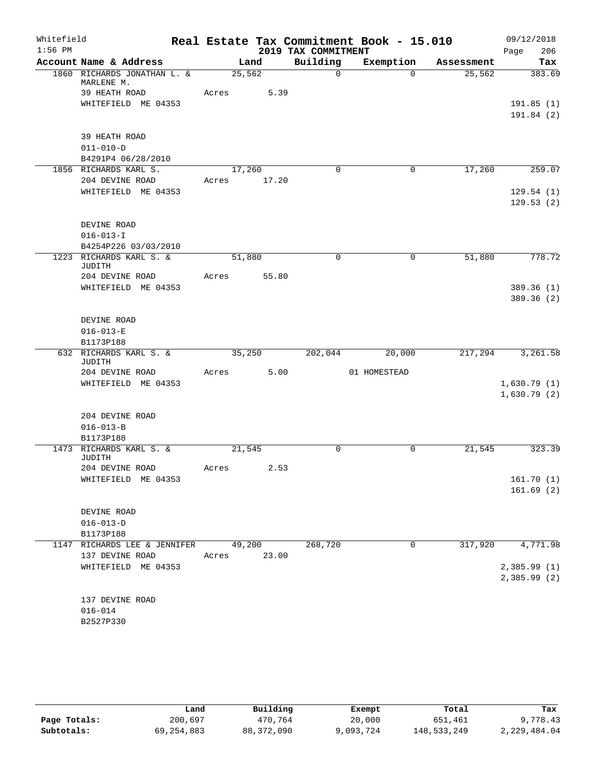| Whitefield |                                                            |       |                |                     | Real Estate Tax Commitment Book - 15.010 |            | 09/12/2018             |
|------------|------------------------------------------------------------|-------|----------------|---------------------|------------------------------------------|------------|------------------------|
| $1:56$ PM  |                                                            |       |                | 2019 TAX COMMITMENT |                                          |            | 206<br>Page            |
|            | Account Name & Address                                     |       | Land           | Building            | Exemption                                | Assessment | Tax                    |
|            | 1860 RICHARDS JONATHAN L. &<br>MARLENE M.<br>39 HEATH ROAD | Acres | 25,562<br>5.39 | $\Omega$            | $\Omega$                                 | 25,562     | 383.69                 |
|            | WHITEFIELD ME 04353                                        |       |                |                     |                                          |            | 191.85(1)              |
|            |                                                            |       |                |                     |                                          |            | 191.84 (2)             |
|            | 39 HEATH ROAD                                              |       |                |                     |                                          |            |                        |
|            | $011 - 010 - D$<br>B4291P4 06/28/2010                      |       |                |                     |                                          |            |                        |
|            | 1856 RICHARDS KARL S.                                      |       | 17,260         | $\Omega$            | 0                                        | 17,260     | 259.07                 |
|            | 204 DEVINE ROAD<br>WHITEFIELD ME 04353                     | Acres | 17.20          |                     |                                          |            |                        |
|            |                                                            |       |                |                     |                                          |            | 129.54(1)<br>129.53(2) |
|            | DEVINE ROAD                                                |       |                |                     |                                          |            |                        |
|            | $016 - 013 - I$                                            |       |                |                     |                                          |            |                        |
|            | B4254P226 03/03/2010                                       |       |                |                     |                                          |            |                        |
|            | 1223 RICHARDS KARL S. &<br>JUDITH                          |       | 51,880         | $\mathbf 0$         | $\mathbf 0$                              | 51,880     | 778.72                 |
|            | 204 DEVINE ROAD                                            | Acres | 55.80          |                     |                                          |            |                        |
|            | WHITEFIELD ME 04353                                        |       |                |                     |                                          |            | 389.36 (1)             |
|            |                                                            |       |                |                     |                                          |            | 389.36 (2)             |
|            | DEVINE ROAD                                                |       |                |                     |                                          |            |                        |
|            | $016 - 013 - E$                                            |       |                |                     |                                          |            |                        |
|            | B1173P188                                                  |       |                |                     |                                          |            |                        |
|            | 632 RICHARDS KARL S. &<br>JUDITH                           |       | 35,250         | 202,044             | 20,000                                   | 217,294    | 3,261.58               |
|            | 204 DEVINE ROAD                                            | Acres | 5.00           |                     | 01 HOMESTEAD                             |            |                        |
|            | WHITEFIELD ME 04353                                        |       |                |                     |                                          |            | 1,630.79(1)            |
|            |                                                            |       |                |                     |                                          |            | 1,630.79(2)            |
|            | 204 DEVINE ROAD                                            |       |                |                     |                                          |            |                        |
|            | $016 - 013 - B$                                            |       |                |                     |                                          |            |                        |
|            | B1173P188<br>1473 RICHARDS KARL S. &                       |       |                | $\Omega$            |                                          |            |                        |
|            | <b>JUDITH</b>                                              |       | 21,545         |                     | 0                                        | 21,545     | 323.39                 |
|            | 204 DEVINE ROAD                                            | Acres | 2.53           |                     |                                          |            |                        |
|            | WHITEFIELD ME 04353                                        |       |                |                     |                                          |            | 161.70(1)              |
|            |                                                            |       |                |                     |                                          |            | 161.69(2)              |
|            | DEVINE ROAD                                                |       |                |                     |                                          |            |                        |
|            | $016 - 013 - D$                                            |       |                |                     |                                          |            |                        |
|            | B1173P188                                                  |       |                |                     |                                          |            |                        |
|            | 1147 RICHARDS LEE & JENNIFER<br>137 DEVINE ROAD            |       | 49,200         | 268,720             | 0                                        | 317,920    | 4,771.98               |
|            | WHITEFIELD ME 04353                                        | Acres | 23.00          |                     |                                          |            | 2,385.99(1)            |
|            |                                                            |       |                |                     |                                          |            | 2,385.99(2)            |
|            | 137 DEVINE ROAD                                            |       |                |                     |                                          |            |                        |
|            | $016 - 014$                                                |       |                |                     |                                          |            |                        |
|            | B2527P330                                                  |       |                |                     |                                          |            |                        |

|              | Land         | Building     | Exempt    | Total       | Tax          |
|--------------|--------------|--------------|-----------|-------------|--------------|
| Page Totals: | 200,697      | 470,764      | 20,000    | 651,461     | 9,778.43     |
| Subtotals:   | 69, 254, 883 | 88, 372, 090 | 9,093,724 | 148,533,249 | 2,229,484.04 |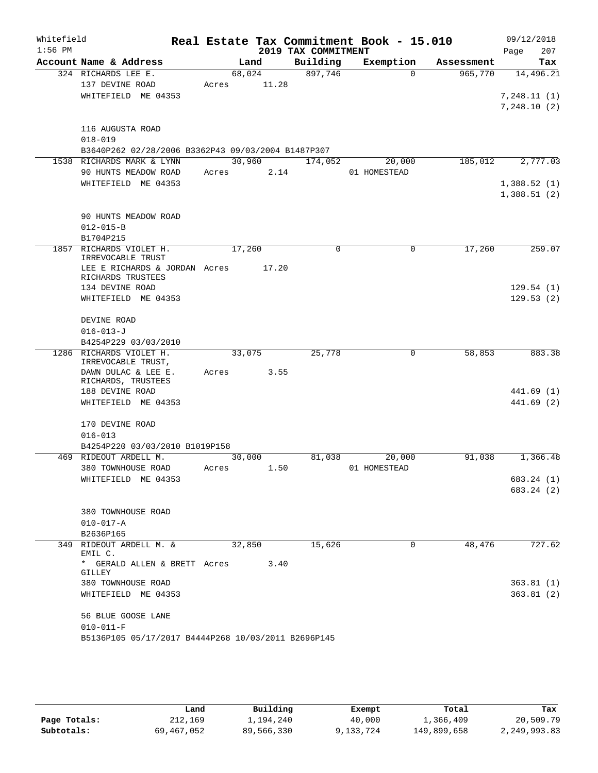| Whitefield<br>$1:56$ PM |                                                     |             |        |                     | Real Estate Tax Commitment Book - 15.010 |            | 09/12/2018  |            |
|-------------------------|-----------------------------------------------------|-------------|--------|---------------------|------------------------------------------|------------|-------------|------------|
|                         |                                                     |             |        | 2019 TAX COMMITMENT |                                          |            | Page        | 207        |
|                         | Account Name & Address                              |             | Land   | Building            | Exemption<br>$\Omega$                    | Assessment |             | Tax        |
|                         | 324 RICHARDS LEE E.<br>137 DEVINE ROAD              | Acres 11.28 | 68,024 | 897,746             |                                          | 965,770    |             | 14,496.21  |
|                         | WHITEFIELD ME 04353                                 |             |        |                     |                                          |            | 7,248.11(1) |            |
|                         |                                                     |             |        |                     |                                          |            | 7,248.10(2) |            |
|                         |                                                     |             |        |                     |                                          |            |             |            |
|                         | 116 AUGUSTA ROAD                                    |             |        |                     |                                          |            |             |            |
|                         | $018 - 019$                                         |             |        |                     |                                          |            |             |            |
|                         | B3640P262 02/28/2006 B3362P43 09/03/2004 B1487P307  |             |        |                     |                                          |            |             |            |
|                         | 1538 RICHARDS MARK & LYNN                           |             | 30,960 | 174,052             | 20,000                                   | 185,012    |             | 2,777.03   |
|                         | 90 HUNTS MEADOW ROAD                                | Acres 2.14  |        |                     | 01 HOMESTEAD                             |            |             |            |
|                         | WHITEFIELD ME 04353                                 |             |        |                     |                                          |            | 1,388.52(1) |            |
|                         |                                                     |             |        |                     |                                          |            | 1,388.51(2) |            |
|                         |                                                     |             |        |                     |                                          |            |             |            |
|                         | 90 HUNTS MEADOW ROAD                                |             |        |                     |                                          |            |             |            |
|                         | $012 - 015 - B$                                     |             |        |                     |                                          |            |             |            |
|                         | B1704P215                                           |             |        |                     |                                          |            |             |            |
|                         | 1857 RICHARDS VIOLET H.                             | 17,260      |        | $\Omega$            | $\mathbf 0$                              | 17,260     |             | 259.07     |
|                         | IRREVOCABLE TRUST                                   |             |        |                     |                                          |            |             |            |
|                         | LEE E RICHARDS & JORDAN Acres<br>RICHARDS TRUSTEES  |             | 17.20  |                     |                                          |            |             |            |
|                         | 134 DEVINE ROAD                                     |             |        |                     |                                          |            |             | 129.54(1)  |
|                         | WHITEFIELD ME 04353                                 |             |        |                     |                                          |            |             | 129.53(2)  |
|                         |                                                     |             |        |                     |                                          |            |             |            |
|                         | DEVINE ROAD                                         |             |        |                     |                                          |            |             |            |
|                         | $016 - 013 - J$                                     |             |        |                     |                                          |            |             |            |
|                         | B4254P229 03/03/2010                                |             |        |                     |                                          |            |             |            |
|                         | 1286 RICHARDS VIOLET H.                             |             | 33,075 | 25,778              | 0                                        | 58,853     |             | 883.38     |
|                         | IRREVOCABLE TRUST,                                  |             |        |                     |                                          |            |             |            |
|                         | DAWN DULAC & LEE E.<br>RICHARDS, TRUSTEES           | Acres       | 3.55   |                     |                                          |            |             |            |
|                         | 188 DEVINE ROAD                                     |             |        |                     |                                          |            |             | 441.69 (1) |
|                         | WHITEFIELD ME 04353                                 |             |        |                     |                                          |            |             | 441.69 (2) |
|                         |                                                     |             |        |                     |                                          |            |             |            |
|                         | 170 DEVINE ROAD                                     |             |        |                     |                                          |            |             |            |
|                         | $016 - 013$                                         |             |        |                     |                                          |            |             |            |
|                         | B4254P220 03/03/2010 B1019P158                      |             |        |                     |                                          |            |             |            |
|                         | 469 RIDEOUT ARDELL M.                               | 30,000      |        | 81,038              | 20,000                                   | 91,038     |             | 1,366.48   |
|                         | 380 TOWNHOUSE ROAD                                  | Acres       | 1.50   |                     | 01 HOMESTEAD                             |            |             |            |
|                         | WHITEFIELD ME 04353                                 |             |        |                     |                                          |            |             | 683.24 (1) |
|                         |                                                     |             |        |                     |                                          |            |             | 683.24 (2) |
|                         |                                                     |             |        |                     |                                          |            |             |            |
|                         | 380 TOWNHOUSE ROAD                                  |             |        |                     |                                          |            |             |            |
|                         | $010 - 017 - A$                                     |             |        |                     |                                          |            |             |            |
|                         | B2636P165                                           |             |        |                     |                                          |            |             |            |
|                         | 349 RIDEOUT ARDELL M. &<br>EMIL C.                  | 32,850      |        | 15,626              | 0                                        | 48,476     |             | 727.62     |
|                         | * GERALD ALLEN & BRETT Acres                        |             | 3.40   |                     |                                          |            |             |            |
|                         | GILLEY                                              |             |        |                     |                                          |            |             |            |
|                         | 380 TOWNHOUSE ROAD                                  |             |        |                     |                                          |            |             | 363.81(1)  |
|                         | WHITEFIELD ME 04353                                 |             |        |                     |                                          |            |             | 363.81(2)  |
|                         |                                                     |             |        |                     |                                          |            |             |            |
|                         | 56 BLUE GOOSE LANE                                  |             |        |                     |                                          |            |             |            |
|                         | $010 - 011 - F$                                     |             |        |                     |                                          |            |             |            |
|                         | B5136P105 05/17/2017 B4444P268 10/03/2011 B2696P145 |             |        |                     |                                          |            |             |            |

|              | Land       | Building   | Exempt    | Total       | Tax          |
|--------------|------------|------------|-----------|-------------|--------------|
| Page Totals: | 212,169    | 1,194,240  | 40,000    | 1,366,409   | 20,509.79    |
| Subtotals:   | 69,467,052 | 89,566,330 | 9,133,724 | 149,899,658 | 2,249,993.83 |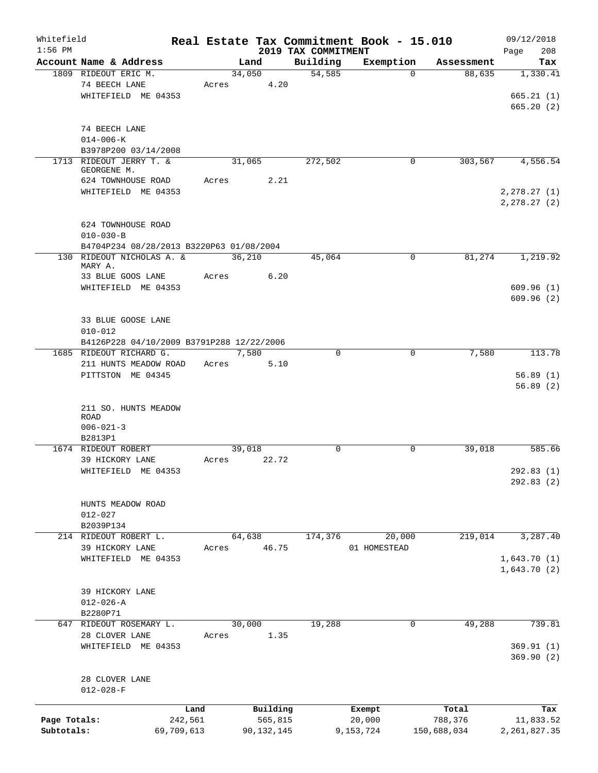| Whitefield   |                                           |            |                |              |                     | Real Estate Tax Commitment Book - 15.010 |                      | 09/12/2018             |
|--------------|-------------------------------------------|------------|----------------|--------------|---------------------|------------------------------------------|----------------------|------------------------|
| $1:56$ PM    | Account Name & Address                    |            |                |              | 2019 TAX COMMITMENT |                                          |                      | 208<br>Page            |
|              | 1809 RIDEOUT ERIC M.                      |            | Land<br>34,050 |              | Building<br>54,585  | Exemption<br>$\Omega$                    | Assessment<br>88,635 | Tax<br>1,330.41        |
|              | 74 BEECH LANE                             | Acres      |                | 4.20         |                     |                                          |                      |                        |
|              | WHITEFIELD ME 04353                       |            |                |              |                     |                                          |                      | 665.21(1)              |
|              |                                           |            |                |              |                     |                                          |                      | 665.20(2)              |
|              |                                           |            |                |              |                     |                                          |                      |                        |
|              | 74 BEECH LANE                             |            |                |              |                     |                                          |                      |                        |
|              | $014 - 006 - K$                           |            |                |              |                     |                                          |                      |                        |
|              | B3978P200 03/14/2008                      |            |                |              |                     |                                          |                      |                        |
|              | 1713 RIDEOUT JERRY T. &                   |            | 31,065         |              | 272,502             | 0                                        | 303,567              | 4,556.54               |
|              | GEORGENE M.                               |            |                |              |                     |                                          |                      |                        |
|              | 624 TOWNHOUSE ROAD                        | Acres      |                | 2.21         |                     |                                          |                      |                        |
|              | WHITEFIELD ME 04353                       |            |                |              |                     |                                          |                      | 2, 278.27(1)           |
|              |                                           |            |                |              |                     |                                          |                      | 2, 278.27 (2)          |
|              | 624 TOWNHOUSE ROAD                        |            |                |              |                     |                                          |                      |                        |
|              | $010 - 030 - B$                           |            |                |              |                     |                                          |                      |                        |
|              | B4704P234 08/28/2013 B3220P63 01/08/2004  |            |                |              |                     |                                          |                      |                        |
|              | 130 RIDEOUT NICHOLAS A. &                 |            | 36,210         |              | 45,064              | $\mathbf 0$                              | 81,274               | 1,219.92               |
|              | MARY A.                                   |            |                |              |                     |                                          |                      |                        |
|              | 33 BLUE GOOS LANE                         | Acres      |                | 6.20         |                     |                                          |                      |                        |
|              | WHITEFIELD ME 04353                       |            |                |              |                     |                                          |                      | 609.96(1)              |
|              |                                           |            |                |              |                     |                                          |                      | 609.96(2)              |
|              |                                           |            |                |              |                     |                                          |                      |                        |
|              | 33 BLUE GOOSE LANE                        |            |                |              |                     |                                          |                      |                        |
|              | $010 - 012$                               |            |                |              |                     |                                          |                      |                        |
|              | B4126P228 04/10/2009 B3791P288 12/22/2006 |            |                |              |                     |                                          |                      |                        |
|              | 1685 RIDEOUT RICHARD G.                   |            | 7,580          |              | 0                   | $\mathbf 0$                              | 7,580                | 113.78                 |
|              | 211 HUNTS MEADOW ROAD                     | Acres      |                | 5.10         |                     |                                          |                      |                        |
|              | PITTSTON ME 04345                         |            |                |              |                     |                                          |                      | 56.89(1)               |
|              |                                           |            |                |              |                     |                                          |                      | 56.89(2)               |
|              |                                           |            |                |              |                     |                                          |                      |                        |
|              | 211 SO. HUNTS MEADOW<br><b>ROAD</b>       |            |                |              |                     |                                          |                      |                        |
|              | $006 - 021 - 3$                           |            |                |              |                     |                                          |                      |                        |
|              | B2813P1                                   |            |                |              |                     |                                          |                      |                        |
|              | 1674 RIDEOUT ROBERT                       |            | 39,018         |              | $\mathbf 0$         | 0                                        | 39,018               | 585.66                 |
|              | 39 HICKORY LANE                           | Acres      |                | 22.72        |                     |                                          |                      |                        |
|              | WHITEFIELD ME 04353                       |            |                |              |                     |                                          |                      | 292.83(1)              |
|              |                                           |            |                |              |                     |                                          |                      | 292.83(2)              |
|              |                                           |            |                |              |                     |                                          |                      |                        |
|              | HUNTS MEADOW ROAD                         |            |                |              |                     |                                          |                      |                        |
|              | $012 - 027$                               |            |                |              |                     |                                          |                      |                        |
|              | B2039P134                                 |            |                |              |                     |                                          |                      |                        |
|              | 214 RIDEOUT ROBERT L.                     |            | 64,638         |              | 174,376             | 20,000                                   | 219,014              | 3,287.40               |
|              | 39 HICKORY LANE                           | Acres      |                | 46.75        |                     | 01 HOMESTEAD                             |                      |                        |
|              | WHITEFIELD ME 04353                       |            |                |              |                     |                                          |                      | 1,643.70(1)            |
|              |                                           |            |                |              |                     |                                          |                      | 1,643.70(2)            |
|              |                                           |            |                |              |                     |                                          |                      |                        |
|              | 39 HICKORY LANE                           |            |                |              |                     |                                          |                      |                        |
|              | $012 - 026 - A$                           |            |                |              |                     |                                          |                      |                        |
|              | B2280P71                                  |            |                |              |                     |                                          |                      |                        |
| 647          | RIDEOUT ROSEMARY L.                       |            | 30,000         |              | 19,288              | 0                                        | 49,288               | 739.81                 |
|              | 28 CLOVER LANE                            | Acres      |                | 1.35         |                     |                                          |                      |                        |
|              | WHITEFIELD ME 04353                       |            |                |              |                     |                                          |                      | 369.91(1)<br>369.90(2) |
|              |                                           |            |                |              |                     |                                          |                      |                        |
|              | 28 CLOVER LANE                            |            |                |              |                     |                                          |                      |                        |
|              | $012 - 028 - F$                           |            |                |              |                     |                                          |                      |                        |
|              |                                           |            |                |              |                     |                                          |                      |                        |
|              |                                           | Land       |                | Building     |                     | Exempt                                   | Total                | Tax                    |
| Page Totals: |                                           | 242,561    |                | 565,815      |                     | 20,000                                   | 788,376              | 11,833.52              |
| Subtotals:   |                                           | 69,709,613 |                | 90, 132, 145 |                     | 9,153,724                                | 150,688,034          | 2, 261, 827.35         |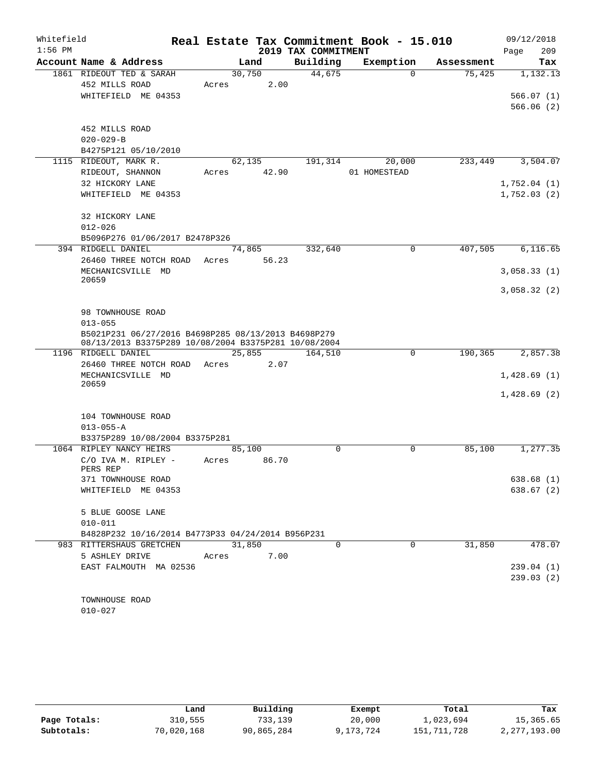| Whitefield |                                                      |        |       |                     | Real Estate Tax Commitment Book - 15.010 |            | 09/12/2018  |
|------------|------------------------------------------------------|--------|-------|---------------------|------------------------------------------|------------|-------------|
| $1:56$ PM  |                                                      |        |       | 2019 TAX COMMITMENT |                                          |            | 209<br>Page |
|            | Account Name & Address                               |        | Land  | Building            | Exemption                                | Assessment | Tax         |
|            | 1861 RIDEOUT TED & SARAH                             | 30,750 |       | 44,675              | $\Omega$                                 | 75,425     | 1,132.13    |
|            | 452 MILLS ROAD                                       | Acres  | 2.00  |                     |                                          |            |             |
|            | WHITEFIELD ME 04353                                  |        |       |                     |                                          |            | 566.07(1)   |
|            |                                                      |        |       |                     |                                          |            | 566.06(2)   |
|            | 452 MILLS ROAD                                       |        |       |                     |                                          |            |             |
|            | $020 - 029 - B$                                      |        |       |                     |                                          |            |             |
|            | B4275P121 05/10/2010                                 |        |       |                     |                                          |            |             |
|            | 1115 RIDEOUT, MARK R.                                | 62,135 |       | 191,314             | 20,000                                   | 233,449    | 3,504.07    |
|            | RIDEOUT, SHANNON                                     | Acres  | 42.90 |                     | 01 HOMESTEAD                             |            |             |
|            | 32 HICKORY LANE                                      |        |       |                     |                                          |            | 1,752.04(1) |
|            | WHITEFIELD ME 04353                                  |        |       |                     |                                          |            | 1,752.03(2) |
|            |                                                      |        |       |                     |                                          |            |             |
|            | 32 HICKORY LANE                                      |        |       |                     |                                          |            |             |
|            | $012 - 026$                                          |        |       |                     |                                          |            |             |
|            | B5096P276 01/06/2017 B2478P326                       |        |       |                     |                                          |            |             |
|            | 394 RIDGELL DANIEL                                   | 74,865 |       | 332,640             | 0                                        | 407,505    | 6, 116.65   |
|            | 26460 THREE NOTCH ROAD                               | Acres  | 56.23 |                     |                                          |            |             |
|            | MECHANICSVILLE MD<br>20659                           |        |       |                     |                                          |            | 3,058.33(1) |
|            |                                                      |        |       |                     |                                          |            | 3,058.32(2) |
|            |                                                      |        |       |                     |                                          |            |             |
|            | 98 TOWNHOUSE ROAD                                    |        |       |                     |                                          |            |             |
|            | $013 - 055$                                          |        |       |                     |                                          |            |             |
|            | B5021P231 06/27/2016 B4698P285 08/13/2013 B4698P279  |        |       |                     |                                          |            |             |
|            | 08/13/2013 B3375P289 10/08/2004 B3375P281 10/08/2004 |        |       |                     |                                          |            |             |
|            | 1196 RIDGELL DANIEL                                  | 25,855 |       | 164,510             | 0                                        | 190,365    | 2,857.38    |
|            | 26460 THREE NOTCH ROAD                               | Acres  | 2.07  |                     |                                          |            |             |
|            | MECHANICSVILLE MD<br>20659                           |        |       |                     |                                          |            | 1,428.69(1) |
|            |                                                      |        |       |                     |                                          |            | 1,428.69(2) |
|            |                                                      |        |       |                     |                                          |            |             |
|            | 104 TOWNHOUSE ROAD                                   |        |       |                     |                                          |            |             |
|            | $013 - 055 - A$                                      |        |       |                     |                                          |            |             |
|            | B3375P289 10/08/2004 B3375P281                       |        |       |                     |                                          |            |             |
|            | 1064 RIPLEY NANCY HEIRS                              | 85,100 |       | $\Omega$            | $\Omega$                                 | 85,100     | 1,277.35    |
|            | C/O IVA M. RIPLEY -                                  | Acres  | 86.70 |                     |                                          |            |             |
|            | PERS REP<br>371 TOWNHOUSE ROAD                       |        |       |                     |                                          |            | 638.68(1)   |
|            | WHITEFIELD ME 04353                                  |        |       |                     |                                          |            | 638.67 (2)  |
|            |                                                      |        |       |                     |                                          |            |             |
|            | 5 BLUE GOOSE LANE                                    |        |       |                     |                                          |            |             |
|            | $010 - 011$                                          |        |       |                     |                                          |            |             |
|            | B4828P232 10/16/2014 B4773P33 04/24/2014 B956P231    |        |       |                     |                                          |            |             |
|            | 983 RITTERSHAUS GRETCHEN                             | 31,850 |       | 0                   | 0                                        | 31,850     | 478.07      |
|            | 5 ASHLEY DRIVE                                       | Acres  | 7.00  |                     |                                          |            |             |
|            | EAST FALMOUTH MA 02536                               |        |       |                     |                                          |            | 239.04(1)   |
|            |                                                      |        |       |                     |                                          |            | 239.03(2)   |
|            |                                                      |        |       |                     |                                          |            |             |
|            | TOWNHOUSE ROAD                                       |        |       |                     |                                          |            |             |
|            | $010 - 027$                                          |        |       |                     |                                          |            |             |

|              | Land       | Building   | Exempt    | Total         | Tax          |
|--------------|------------|------------|-----------|---------------|--------------|
| Page Totals: | 310,555    | 733,139    | 20,000    | 1,023,694     | 15,365.65    |
| Subtotals:   | 70,020,168 | 90,865,284 | 9,173,724 | 151, 711, 728 | 2,277,193.00 |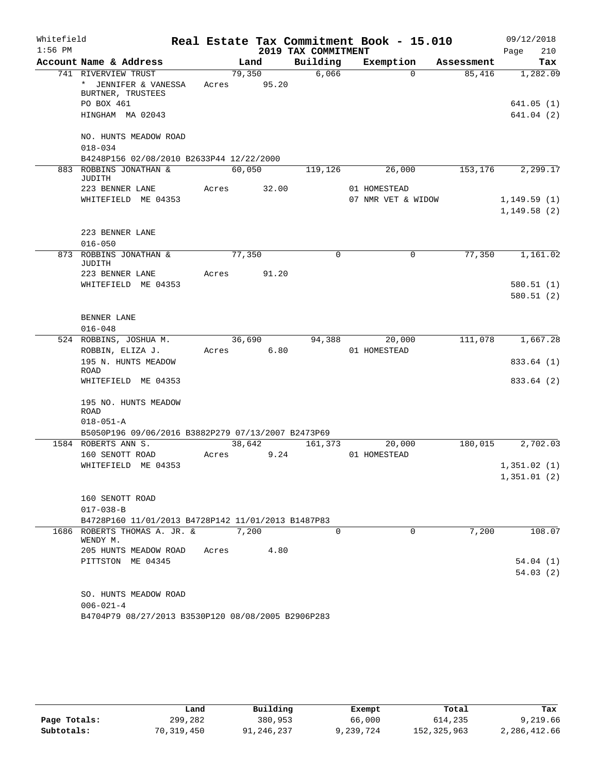| Whitefield |                                                    |       |        |       |                     | Real Estate Tax Commitment Book - 15.010 |            | 09/12/2018   |
|------------|----------------------------------------------------|-------|--------|-------|---------------------|------------------------------------------|------------|--------------|
| $1:56$ PM  |                                                    |       |        |       | 2019 TAX COMMITMENT |                                          |            | 210<br>Page  |
|            | Account Name & Address                             |       | Land   |       | Building            | Exemption                                | Assessment | Tax          |
|            | 741 RIVERVIEW TRUST                                |       | 79,350 |       | 6,066               | $\Omega$                                 | 85,416     | 1,282.09     |
|            | * JENNIFER & VANESSA<br>BURTNER, TRUSTEES          | Acres | 95.20  |       |                     |                                          |            |              |
|            | PO BOX 461                                         |       |        |       |                     |                                          |            | 641.05(1)    |
|            | HINGHAM MA 02043                                   |       |        |       |                     |                                          |            | 641.04(2)    |
|            | NO. HUNTS MEADOW ROAD                              |       |        |       |                     |                                          |            |              |
|            | $018 - 034$                                        |       |        |       |                     |                                          |            |              |
|            | B4248P156 02/08/2010 B2633P44 12/22/2000           |       |        |       |                     |                                          |            |              |
|            | 883 ROBBINS JONATHAN &                             |       | 60,050 |       | 119,126             | 26,000                                   | 153,176    | 2,299.17     |
|            | JUDITH                                             |       |        |       |                     |                                          |            |              |
|            | 223 BENNER LANE                                    | Acres |        | 32.00 |                     | 01 HOMESTEAD                             |            |              |
|            | WHITEFIELD ME 04353                                |       |        |       |                     | 07 NMR VET & WIDOW                       |            | 1, 149.59(1) |
|            |                                                    |       |        |       |                     |                                          |            | 1,149.58(2)  |
|            |                                                    |       |        |       |                     |                                          |            |              |
|            | 223 BENNER LANE                                    |       |        |       |                     |                                          |            |              |
|            | $016 - 050$                                        |       | 77,350 |       | $\mathbf 0$         | $\mathbf 0$                              | 77,350     |              |
|            | 873 ROBBINS JONATHAN &<br>JUDITH                   |       |        |       |                     |                                          |            | 1,161.02     |
|            | 223 BENNER LANE                                    | Acres |        | 91.20 |                     |                                          |            |              |
|            | WHITEFIELD ME 04353                                |       |        |       |                     |                                          |            | 580.51(1)    |
|            |                                                    |       |        |       |                     |                                          |            | 580.51(2)    |
|            | BENNER LANE                                        |       |        |       |                     |                                          |            |              |
|            | $016 - 048$                                        |       |        |       |                     |                                          |            |              |
|            | 524 ROBBINS, JOSHUA M.                             |       | 36,690 |       | 94,388              | 20,000                                   | 111,078    | 1,667.28     |
|            | ROBBIN, ELIZA J.                                   | Acres | 6.80   |       |                     | 01 HOMESTEAD                             |            |              |
|            | 195 N. HUNTS MEADOW                                |       |        |       |                     |                                          |            | 833.64 (1)   |
|            | ROAD                                               |       |        |       |                     |                                          |            |              |
|            | WHITEFIELD ME 04353                                |       |        |       |                     |                                          |            | 833.64 (2)   |
|            |                                                    |       |        |       |                     |                                          |            |              |
|            | 195 NO. HUNTS MEADOW<br><b>ROAD</b>                |       |        |       |                     |                                          |            |              |
|            | $018 - 051 - A$                                    |       |        |       |                     |                                          |            |              |
|            | B5050P196 09/06/2016 B3882P279 07/13/2007 B2473P69 |       |        |       |                     |                                          |            |              |
|            | 1584 ROBERTS ANN S.                                |       | 38,642 |       | 161,373             | 20,000                                   | 180,015    | 2,702.03     |
|            | 160 SENOTT ROAD                                    | Acres |        | 9.24  |                     | 01 HOMESTEAD                             |            |              |
|            | WHITEFIELD ME 04353                                |       |        |       |                     |                                          |            | 1,351.02(1)  |
|            |                                                    |       |        |       |                     |                                          |            | 1,351.01(2)  |
|            |                                                    |       |        |       |                     |                                          |            |              |
|            | 160 SENOTT ROAD                                    |       |        |       |                     |                                          |            |              |
|            | $017 - 038 - B$                                    |       |        |       |                     |                                          |            |              |
|            | B4728P160 11/01/2013 B4728P142 11/01/2013 B1487P83 |       |        |       |                     |                                          |            |              |
|            | 1686 ROBERTS THOMAS A. JR. &<br>WENDY M.           |       | 7,200  |       | $\Omega$            | $\Omega$                                 | 7,200      | 108.07       |
|            | 205 HUNTS MEADOW ROAD                              | Acres |        | 4.80  |                     |                                          |            |              |
|            | PITTSTON ME 04345                                  |       |        |       |                     |                                          |            | 54.04(1)     |
|            |                                                    |       |        |       |                     |                                          |            | 54.03(2)     |
|            |                                                    |       |        |       |                     |                                          |            |              |
|            | SO. HUNTS MEADOW ROAD                              |       |        |       |                     |                                          |            |              |
|            | $006 - 021 - 4$                                    |       |        |       |                     |                                          |            |              |
|            | B4704P79 08/27/2013 B3530P120 08/08/2005 B2906P283 |       |        |       |                     |                                          |            |              |

|              | Land       | Building   | Exempt    | Total       | Tax          |
|--------------|------------|------------|-----------|-------------|--------------|
| Page Totals: | 299,282    | 380,953    | 66,000    | 614,235     | 9,219.66     |
| Subtotals:   | 70,319,450 | 91,246,237 | 9,239,724 | 152,325,963 | 2,286,412.66 |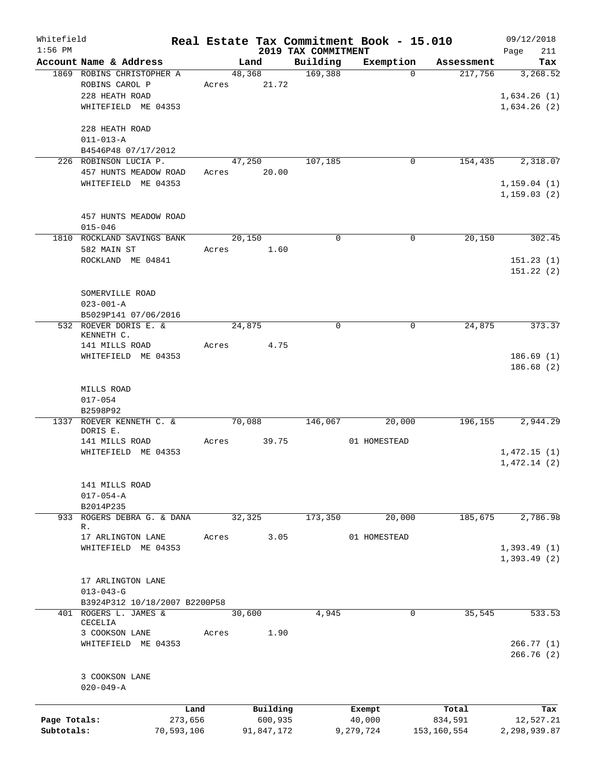| Whitefield   |                                                     |            |       |                |                     | Real Estate Tax Commitment Book - 15.010 |                       | 09/12/2018      |
|--------------|-----------------------------------------------------|------------|-------|----------------|---------------------|------------------------------------------|-----------------------|-----------------|
| $1:56$ PM    |                                                     |            |       |                | 2019 TAX COMMITMENT |                                          |                       | 211<br>Page     |
|              | Account Name & Address<br>1869 ROBINS CHRISTOPHER A |            |       | Land<br>48,368 | Building<br>169,388 | Exemption<br>$\Omega$                    | Assessment<br>217,756 | Tax<br>3,268.52 |
|              | ROBINS CAROL P                                      |            | Acres | 21.72          |                     |                                          |                       |                 |
|              | 228 HEATH ROAD                                      |            |       |                |                     |                                          |                       | 1,634.26(1)     |
|              | WHITEFIELD ME 04353                                 |            |       |                |                     |                                          |                       | 1,634.26(2)     |
|              |                                                     |            |       |                |                     |                                          |                       |                 |
|              | 228 HEATH ROAD                                      |            |       |                |                     |                                          |                       |                 |
|              | $011 - 013 - A$                                     |            |       |                |                     |                                          |                       |                 |
|              | B4546P48 07/17/2012                                 |            |       |                |                     |                                          |                       |                 |
|              | 226 ROBINSON LUCIA P.                               |            |       | 47,250         | 107,185             | $\mathbf 0$                              | 154,435               | 2,318.07        |
|              | 457 HUNTS MEADOW ROAD                               |            | Acres | 20.00          |                     |                                          |                       |                 |
|              | WHITEFIELD ME 04353                                 |            |       |                |                     |                                          |                       | 1, 159.04(1)    |
|              |                                                     |            |       |                |                     |                                          |                       | 1, 159.03(2)    |
|              |                                                     |            |       |                |                     |                                          |                       |                 |
|              | 457 HUNTS MEADOW ROAD                               |            |       |                |                     |                                          |                       |                 |
|              | $015 - 046$                                         |            |       |                |                     |                                          |                       |                 |
|              | 1810 ROCKLAND SAVINGS BANK                          |            |       | 20, 150        | $\Omega$            | 0                                        | 20,150                | 302.45          |
|              | 582 MAIN ST                                         |            | Acres | 1.60           |                     |                                          |                       |                 |
|              | ROCKLAND ME 04841                                   |            |       |                |                     |                                          |                       | 151.23(1)       |
|              |                                                     |            |       |                |                     |                                          |                       | 151.22(2)       |
|              |                                                     |            |       |                |                     |                                          |                       |                 |
|              | SOMERVILLE ROAD                                     |            |       |                |                     |                                          |                       |                 |
|              | $023 - 001 - A$                                     |            |       |                |                     |                                          |                       |                 |
|              | B5029P141 07/06/2016                                |            |       |                | $\mathbf 0$         | $\mathbf 0$                              |                       |                 |
|              | 532 ROEVER DORIS E. &<br>KENNETH C.                 |            |       | 24,875         |                     |                                          | 24,875                | 373.37          |
|              | 141 MILLS ROAD                                      |            | Acres | 4.75           |                     |                                          |                       |                 |
|              | WHITEFIELD ME 04353                                 |            |       |                |                     |                                          |                       | 186.69(1)       |
|              |                                                     |            |       |                |                     |                                          |                       | 186.68(2)       |
|              |                                                     |            |       |                |                     |                                          |                       |                 |
|              | MILLS ROAD                                          |            |       |                |                     |                                          |                       |                 |
|              | $017 - 054$                                         |            |       |                |                     |                                          |                       |                 |
|              | B2598P92                                            |            |       |                |                     |                                          |                       |                 |
| 1337         | ROEVER KENNETH C. &                                 |            |       | 70,088         | 146,067             | 20,000                                   | 196,155               | 2,944.29        |
|              | DORIS E.                                            |            |       |                |                     |                                          |                       |                 |
|              | 141 MILLS ROAD                                      |            | Acres | 39.75          |                     | 01 HOMESTEAD                             |                       |                 |
|              | WHITEFIELD ME 04353                                 |            |       |                |                     |                                          |                       | 1,472.15(1)     |
|              |                                                     |            |       |                |                     |                                          |                       | 1,472.14(2)     |
|              | 141 MILLS ROAD                                      |            |       |                |                     |                                          |                       |                 |
|              | $017 - 054 - A$                                     |            |       |                |                     |                                          |                       |                 |
|              | B2014P235                                           |            |       |                |                     |                                          |                       |                 |
|              | 933 ROGERS DEBRA G. & DANA                          |            |       | 32, 325        | 173,350             | 20,000                                   | 185,675               | 2,786.98        |
|              | R.                                                  |            |       |                |                     |                                          |                       |                 |
|              | 17 ARLINGTON LANE                                   |            | Acres | 3.05           |                     | 01 HOMESTEAD                             |                       |                 |
|              | WHITEFIELD ME 04353                                 |            |       |                |                     |                                          |                       | 1,393.49(1)     |
|              |                                                     |            |       |                |                     |                                          |                       | 1,393.49(2)     |
|              |                                                     |            |       |                |                     |                                          |                       |                 |
|              | 17 ARLINGTON LANE                                   |            |       |                |                     |                                          |                       |                 |
|              | $013 - 043 - G$                                     |            |       |                |                     |                                          |                       |                 |
|              | B3924P312 10/18/2007 B2200P58                       |            |       |                |                     |                                          |                       |                 |
|              | 401 ROGERS L. JAMES &<br>CECELIA                    |            |       | 30,600         | 4,945               | 0                                        | 35,545                | 533.53          |
|              | 3 COOKSON LANE                                      |            | Acres | 1.90           |                     |                                          |                       |                 |
|              | WHITEFIELD ME 04353                                 |            |       |                |                     |                                          |                       | 266.77(1)       |
|              |                                                     |            |       |                |                     |                                          |                       | 266.76(2)       |
|              |                                                     |            |       |                |                     |                                          |                       |                 |
|              | 3 COOKSON LANE                                      |            |       |                |                     |                                          |                       |                 |
|              | $020 - 049 - A$                                     |            |       |                |                     |                                          |                       |                 |
|              |                                                     |            |       |                |                     |                                          |                       |                 |
|              |                                                     | Land       |       | Building       |                     | Exempt                                   | Total                 | Tax             |
| Page Totals: |                                                     | 273,656    |       | 600,935        |                     | 40,000                                   | 834,591               | 12,527.21       |
| Subtotals:   |                                                     | 70,593,106 |       | 91,847,172     |                     | 9,279,724                                | 153,160,554           | 2,298,939.87    |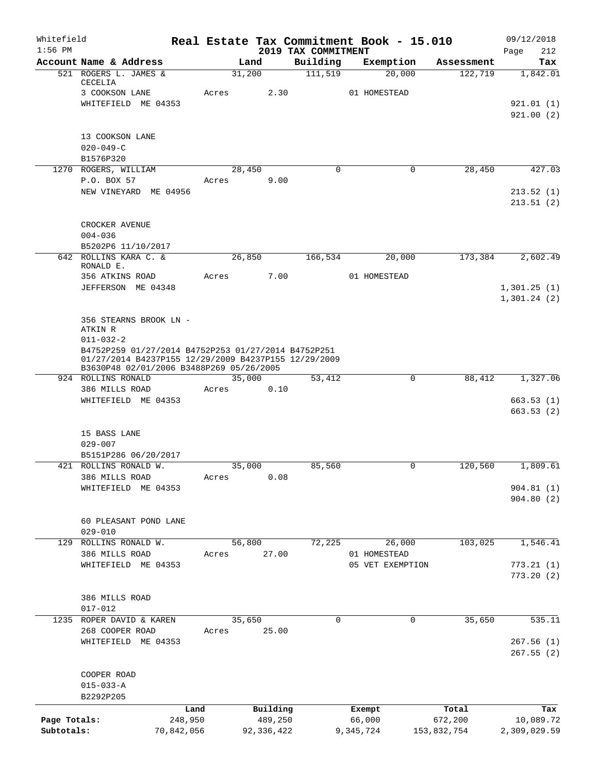| Whitefield<br>$1:56$ PM |                                                                                                             |            |        |              |                                 | Real Estate Tax Commitment Book - 15.010 |             | 09/12/2018             |  |  |  |  |
|-------------------------|-------------------------------------------------------------------------------------------------------------|------------|--------|--------------|---------------------------------|------------------------------------------|-------------|------------------------|--|--|--|--|
|                         | Account Name & Address                                                                                      |            | Land   |              | 2019 TAX COMMITMENT<br>Building | Exemption                                | Assessment  | 212<br>Page<br>Tax     |  |  |  |  |
|                         | 521 ROGERS L. JAMES &                                                                                       |            | 31,200 |              | 111,519                         | 20,000                                   | 122,719     | 1,842.01               |  |  |  |  |
|                         | CECELIA                                                                                                     |            |        |              |                                 |                                          |             |                        |  |  |  |  |
|                         | 3 COOKSON LANE<br>WHITEFIELD ME 04353                                                                       | Acres      |        | 2.30         |                                 | 01 HOMESTEAD                             |             | 921.01(1)              |  |  |  |  |
|                         |                                                                                                             |            |        |              |                                 |                                          |             | 921.00(2)              |  |  |  |  |
|                         |                                                                                                             |            |        |              |                                 |                                          |             |                        |  |  |  |  |
|                         | 13 COOKSON LANE                                                                                             |            |        |              |                                 |                                          |             |                        |  |  |  |  |
|                         | $020 - 049 - C$                                                                                             |            |        |              |                                 |                                          |             |                        |  |  |  |  |
|                         | B1576P320                                                                                                   |            |        |              |                                 |                                          |             |                        |  |  |  |  |
|                         | 1270 ROGERS, WILLIAM<br>P.O. BOX 57                                                                         | Acres      | 28,450 | 9.00         | $\Omega$                        | $\mathbf 0$                              | 28,450      | 427.03                 |  |  |  |  |
|                         | NEW VINEYARD ME 04956                                                                                       |            |        |              |                                 |                                          |             | 213.52(1)              |  |  |  |  |
|                         |                                                                                                             |            |        |              |                                 |                                          |             | 213.51(2)              |  |  |  |  |
|                         | CROCKER AVENUE                                                                                              |            |        |              |                                 |                                          |             |                        |  |  |  |  |
|                         | $004 - 036$                                                                                                 |            |        |              |                                 |                                          |             |                        |  |  |  |  |
|                         | B5202P6 11/10/2017                                                                                          |            |        |              |                                 |                                          |             |                        |  |  |  |  |
|                         | 642 ROLLINS KARA C. &<br>RONALD E.                                                                          |            | 26,850 |              | 166,534                         | 20,000                                   | 173,384     | 2,602.49               |  |  |  |  |
|                         | 356 ATKINS ROAD                                                                                             | Acres      |        | 7.00         |                                 | 01 HOMESTEAD                             |             |                        |  |  |  |  |
|                         | JEFFERSON ME 04348                                                                                          |            |        |              |                                 |                                          |             | 1,301.25(1)            |  |  |  |  |
|                         |                                                                                                             |            |        |              |                                 |                                          |             | 1,301.24(2)            |  |  |  |  |
|                         |                                                                                                             |            |        |              |                                 |                                          |             |                        |  |  |  |  |
|                         | 356 STEARNS BROOK LN -<br>ATKIN R                                                                           |            |        |              |                                 |                                          |             |                        |  |  |  |  |
|                         | $011 - 032 - 2$                                                                                             |            |        |              |                                 |                                          |             |                        |  |  |  |  |
|                         | B4752P259 01/27/2014 B4752P253 01/27/2014 B4752P251<br>01/27/2014 B4237P155 12/29/2009 B4237P155 12/29/2009 |            |        |              |                                 |                                          |             |                        |  |  |  |  |
|                         | B3630P48 02/01/2006 B3488P269 05/26/2005                                                                    |            |        |              |                                 |                                          |             |                        |  |  |  |  |
|                         | 924 ROLLINS RONALD                                                                                          |            | 35,000 |              | 53,412                          | $\mathbf 0$                              | 88,412      | 1,327.06               |  |  |  |  |
|                         | 386 MILLS ROAD                                                                                              | Acres      |        | 0.10         |                                 |                                          |             |                        |  |  |  |  |
|                         | WHITEFIELD ME 04353                                                                                         |            |        |              |                                 |                                          |             | 663.53(1)<br>663.53(2) |  |  |  |  |
|                         | 15 BASS LANE                                                                                                |            |        |              |                                 |                                          |             |                        |  |  |  |  |
|                         | $029 - 007$                                                                                                 |            |        |              |                                 |                                          |             |                        |  |  |  |  |
|                         | B5151P286 06/20/2017                                                                                        |            |        |              |                                 |                                          |             |                        |  |  |  |  |
|                         | 421 ROLLINS RONALD W.                                                                                       |            | 35,000 |              | 85,560                          | 0                                        | 120,560     | 1,809.61               |  |  |  |  |
|                         | 386 MILLS ROAD<br>WHITEFIELD ME 04353                                                                       | Acres      |        | 0.08         |                                 |                                          |             |                        |  |  |  |  |
|                         |                                                                                                             |            |        |              |                                 |                                          |             | 904.81(1)<br>904.80(2) |  |  |  |  |
|                         |                                                                                                             |            |        |              |                                 |                                          |             |                        |  |  |  |  |
|                         | 60 PLEASANT POND LANE                                                                                       |            |        |              |                                 |                                          |             |                        |  |  |  |  |
|                         | $029 - 010$                                                                                                 |            |        |              |                                 |                                          |             |                        |  |  |  |  |
| 129                     | ROLLINS RONALD W.<br>386 MILLS ROAD                                                                         |            | 56,800 |              | 72,225                          | 26,000                                   | 103,025     | 1,546.41               |  |  |  |  |
|                         | WHITEFIELD ME 04353                                                                                         | Acres      |        | 27.00        |                                 | 01 HOMESTEAD<br>05 VET EXEMPTION         |             | 773.21(1)              |  |  |  |  |
|                         |                                                                                                             |            |        |              |                                 |                                          |             | 773.20(2)              |  |  |  |  |
|                         |                                                                                                             |            |        |              |                                 |                                          |             |                        |  |  |  |  |
|                         | 386 MILLS ROAD                                                                                              |            |        |              |                                 |                                          |             |                        |  |  |  |  |
|                         | $017 - 012$                                                                                                 |            |        |              |                                 |                                          |             |                        |  |  |  |  |
|                         | 1235 ROPER DAVID & KAREN<br>268 COOPER ROAD                                                                 | Acres      | 35,650 | 25.00        | $\mathbf 0$                     | 0                                        | 35,650      | 535.11                 |  |  |  |  |
|                         | WHITEFIELD ME 04353                                                                                         |            |        |              |                                 |                                          |             | 267.56(1)              |  |  |  |  |
|                         |                                                                                                             |            |        |              |                                 |                                          |             | 267.55(2)              |  |  |  |  |
|                         | COOPER ROAD                                                                                                 |            |        |              |                                 |                                          |             |                        |  |  |  |  |
|                         | $015 - 033 - A$                                                                                             |            |        |              |                                 |                                          |             |                        |  |  |  |  |
|                         | B2292P205                                                                                                   |            |        |              |                                 |                                          |             |                        |  |  |  |  |
|                         |                                                                                                             | Land       |        | Building     |                                 | Exempt                                   | Total       | Tax                    |  |  |  |  |
| Page Totals:            |                                                                                                             | 248,950    |        | 489,250      |                                 | 66,000                                   | 672,200     | 10,089.72              |  |  |  |  |
| Subtotals:              |                                                                                                             | 70,842,056 |        | 92, 336, 422 |                                 | 9,345,724                                | 153,832,754 | 2,309,029.59           |  |  |  |  |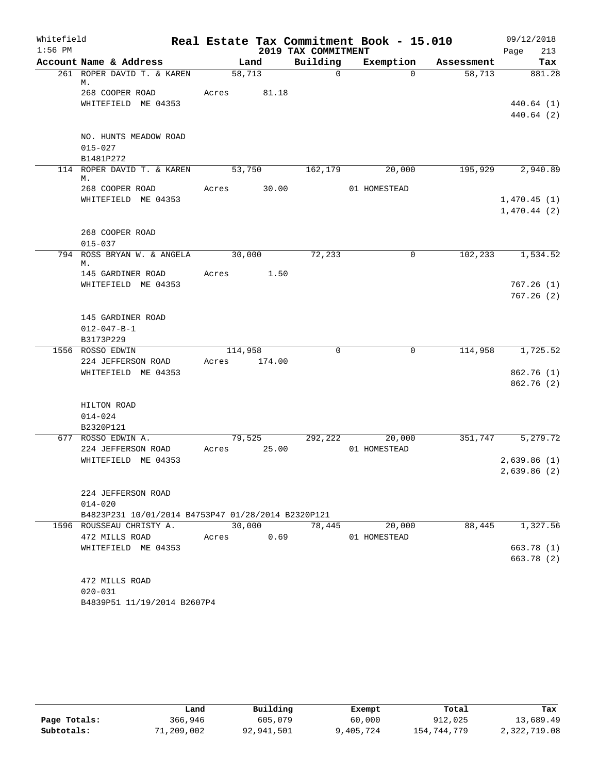| Whitefield |                                                      |       |                |        |                         | Real Estate Tax Commitment Book - 15.010 |             |            |      | 09/12/2018             |
|------------|------------------------------------------------------|-------|----------------|--------|-------------------------|------------------------------------------|-------------|------------|------|------------------------|
| $1:56$ PM  |                                                      |       |                |        | 2019 TAX COMMITMENT     |                                          |             |            | Page | 213                    |
|            | Account Name & Address<br>261 ROPER DAVID T. & KAREN |       | Land<br>58,713 |        | Building<br>$\mathbf 0$ | Exemption                                | $\Omega$    | Assessment |      | Tax                    |
|            | М.                                                   |       |                |        |                         |                                          |             | 58,713     |      | 881.28                 |
|            | 268 COOPER ROAD                                      | Acres |                | 81.18  |                         |                                          |             |            |      |                        |
|            | WHITEFIELD ME 04353                                  |       |                |        |                         |                                          |             |            |      | 440.64(1)              |
|            |                                                      |       |                |        |                         |                                          |             |            |      | 440.64 (2)             |
|            |                                                      |       |                |        |                         |                                          |             |            |      |                        |
|            | NO. HUNTS MEADOW ROAD                                |       |                |        |                         |                                          |             |            |      |                        |
|            | $015 - 027$                                          |       |                |        |                         |                                          |             |            |      |                        |
|            | B1481P272                                            |       |                |        |                         |                                          |             |            |      |                        |
|            | 114 ROPER DAVID T. & KAREN<br>М.                     |       | 53,750         |        | 162, 179                | 20,000                                   |             | 195,929    |      | 2,940.89               |
|            | 268 COOPER ROAD                                      | Acres |                | 30.00  |                         | 01 HOMESTEAD                             |             |            |      |                        |
|            | WHITEFIELD ME 04353                                  |       |                |        |                         |                                          |             |            |      | 1,470.45(1)            |
|            |                                                      |       |                |        |                         |                                          |             |            |      | 1,470.44(2)            |
|            |                                                      |       |                |        |                         |                                          |             |            |      |                        |
|            | 268 COOPER ROAD                                      |       |                |        |                         |                                          |             |            |      |                        |
|            | $015 - 037$                                          |       |                |        |                         |                                          |             |            |      |                        |
|            | 794 ROSS BRYAN W. & ANGELA                           |       | 30,000         |        | 72,233                  |                                          | 0           | 102, 233   |      | 1,534.52               |
|            | М.                                                   |       |                |        |                         |                                          |             |            |      |                        |
|            | 145 GARDINER ROAD                                    | Acres |                | 1.50   |                         |                                          |             |            |      |                        |
|            | WHITEFIELD ME 04353                                  |       |                |        |                         |                                          |             |            |      | 767.26(1)<br>767.26(2) |
|            |                                                      |       |                |        |                         |                                          |             |            |      |                        |
|            | 145 GARDINER ROAD                                    |       |                |        |                         |                                          |             |            |      |                        |
|            | $012 - 047 - B - 1$                                  |       |                |        |                         |                                          |             |            |      |                        |
|            | B3173P229                                            |       |                |        |                         |                                          |             |            |      |                        |
|            | 1556 ROSSO EDWIN                                     |       | 114,958        |        | 0                       |                                          | $\mathbf 0$ | 114,958    |      | 1,725.52               |
|            | 224 JEFFERSON ROAD                                   | Acres |                | 174.00 |                         |                                          |             |            |      |                        |
|            | WHITEFIELD ME 04353                                  |       |                |        |                         |                                          |             |            |      | 862.76(1)              |
|            |                                                      |       |                |        |                         |                                          |             |            |      | 862.76 (2)             |
|            |                                                      |       |                |        |                         |                                          |             |            |      |                        |
|            | HILTON ROAD                                          |       |                |        |                         |                                          |             |            |      |                        |
|            | $014 - 024$                                          |       |                |        |                         |                                          |             |            |      |                        |
|            | B2320P121                                            |       |                |        |                         |                                          |             |            |      |                        |
|            | 677 ROSSO EDWIN A.                                   |       | 79,525         | 25.00  | 292,222                 | 20,000                                   |             | 351,747    |      | 5,279.72               |
|            | 224 JEFFERSON ROAD<br>WHITEFIELD ME 04353            | Acres |                |        |                         | 01 HOMESTEAD                             |             |            |      |                        |
|            |                                                      |       |                |        |                         |                                          |             |            |      | 2,639.86(1)            |
|            |                                                      |       |                |        |                         |                                          |             |            |      | 2,639.86 (2)           |
|            | 224 JEFFERSON ROAD                                   |       |                |        |                         |                                          |             |            |      |                        |
|            | $014 - 020$                                          |       |                |        |                         |                                          |             |            |      |                        |
|            | B4823P231 10/01/2014 B4753P47 01/28/2014 B2320P121   |       |                |        |                         |                                          |             |            |      |                        |
|            | 1596 ROUSSEAU CHRISTY A.                             |       | 30,000         |        | 78,445                  | 20,000                                   |             | 88,445     |      | 1,327.56               |
|            | 472 MILLS ROAD                                       | Acres |                | 0.69   |                         | 01 HOMESTEAD                             |             |            |      |                        |
|            | WHITEFIELD ME 04353                                  |       |                |        |                         |                                          |             |            |      | 663.78 (1)             |
|            |                                                      |       |                |        |                         |                                          |             |            |      | 663.78 (2)             |
|            |                                                      |       |                |        |                         |                                          |             |            |      |                        |
|            | 472 MILLS ROAD                                       |       |                |        |                         |                                          |             |            |      |                        |
|            | $020 - 031$                                          |       |                |        |                         |                                          |             |            |      |                        |
|            | B4839P51 11/19/2014 B2607P4                          |       |                |        |                         |                                          |             |            |      |                        |

|              | Land       | Building   | Exempt    | Total       | Tax          |
|--------------|------------|------------|-----------|-------------|--------------|
| Page Totals: | 366,946    | 605,079    | 60,000    | 912,025     | 13,689.49    |
| Subtotals:   | 71,209,002 | 92,941,501 | 9,405,724 | 154,744,779 | 2,322,719.08 |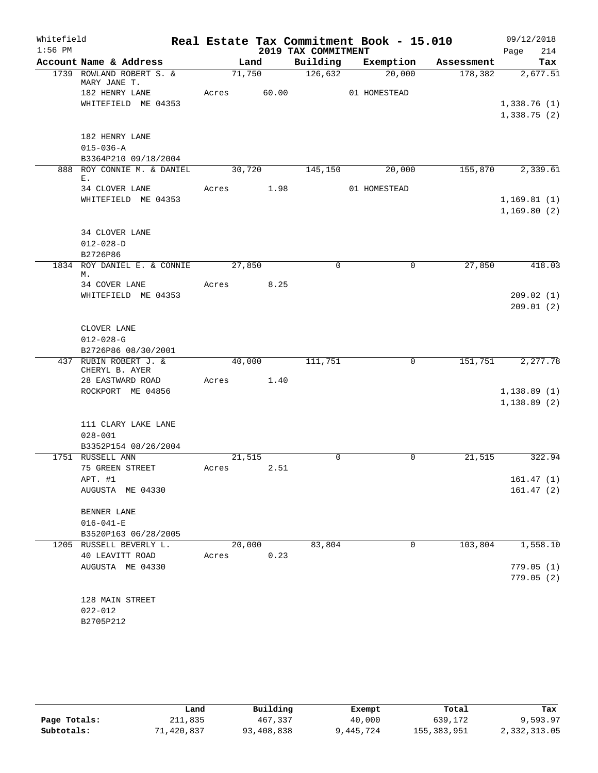| Whitefield<br>$1:56$ PM |                                           |       |                | 2019 TAX COMMITMENT | Real Estate Tax Commitment Book - 15.010 |            | 09/12/2018<br>214<br>Page |
|-------------------------|-------------------------------------------|-------|----------------|---------------------|------------------------------------------|------------|---------------------------|
|                         | Account Name & Address                    |       | Land           | Building            | Exemption                                | Assessment | Tax                       |
|                         | 1739 ROWLAND ROBERT S. &<br>MARY JANE T.  |       | 71,750         | 126,632             | 20,000                                   | 178,382    | 2,677.51                  |
|                         | 182 HENRY LANE                            |       | Acres 60.00    |                     | 01 HOMESTEAD                             |            |                           |
|                         | WHITEFIELD ME 04353                       |       |                |                     |                                          |            | 1,338.76(1)               |
|                         |                                           |       |                |                     |                                          |            | 1,338.75(2)               |
|                         | 182 HENRY LANE                            |       |                |                     |                                          |            |                           |
|                         | $015 - 036 - A$                           |       |                |                     |                                          |            |                           |
|                         | B3364P210 09/18/2004                      |       |                |                     |                                          |            |                           |
|                         | 888 ROY CONNIE M. & DANIEL<br>$E_{\perp}$ |       | 30,720         | 145,150             | 20,000                                   | 155,870    | 2,339.61                  |
|                         | 34 CLOVER LANE                            | Acres | 1.98           |                     | 01 HOMESTEAD                             |            |                           |
|                         | WHITEFIELD ME 04353                       |       |                |                     |                                          |            | 1,169.81(1)               |
|                         |                                           |       |                |                     |                                          |            | 1,169.80(2)               |
|                         | 34 CLOVER LANE                            |       |                |                     |                                          |            |                           |
|                         | $012 - 028 - D$                           |       |                |                     |                                          |            |                           |
|                         | B2726P86                                  |       |                |                     |                                          |            |                           |
|                         | 1834 ROY DANIEL E. & CONNIE               |       | 27,850         | $\mathbf 0$         | $\mathbf 0$                              | 27,850     | 418.03                    |
|                         | М.                                        |       |                |                     |                                          |            |                           |
|                         | 34 COVER LANE                             | Acres | 8.25           |                     |                                          |            |                           |
|                         | WHITEFIELD ME 04353                       |       |                |                     |                                          |            | 209.02(1)<br>209.01(2)    |
|                         |                                           |       |                |                     |                                          |            |                           |
|                         | CLOVER LANE                               |       |                |                     |                                          |            |                           |
|                         | $012 - 028 - G$                           |       |                |                     |                                          |            |                           |
|                         | B2726P86 08/30/2001                       |       |                |                     |                                          |            |                           |
|                         | 437 RUBIN ROBERT J. &                     |       | 40,000         | 111,751             | $\mathbf 0$                              | 151,751    | 2,277.78                  |
|                         | CHERYL B. AYER                            |       | 1.40           |                     |                                          |            |                           |
|                         | 28 EASTWARD ROAD<br>ROCKPORT ME 04856     | Acres |                |                     |                                          |            | 1,138.89(1)               |
|                         |                                           |       |                |                     |                                          |            | 1, 138.89(2)              |
|                         |                                           |       |                |                     |                                          |            |                           |
|                         | 111 CLARY LAKE LANE                       |       |                |                     |                                          |            |                           |
|                         | $028 - 001$                               |       |                |                     |                                          |            |                           |
|                         | B3352P154 08/26/2004                      |       |                |                     |                                          |            |                           |
|                         | 1751 RUSSELL ANN<br>75 GREEN STREET       | Acres | 21,515<br>2.51 | 0                   | 0                                        | 21,515     | 322.94                    |
|                         | APT. #1                                   |       |                |                     |                                          |            | 161.47(1)                 |
|                         | AUGUSTA ME 04330                          |       |                |                     |                                          |            | 161.47(2)                 |
|                         |                                           |       |                |                     |                                          |            |                           |
|                         | BENNER LANE                               |       |                |                     |                                          |            |                           |
|                         | $016 - 041 - E$                           |       |                |                     |                                          |            |                           |
|                         | B3520P163 06/28/2005                      |       |                |                     |                                          |            |                           |
|                         | 1205 RUSSELL BEVERLY L.                   |       | 20,000         | 83,804              | 0                                        | 103,804    | 1,558.10                  |
|                         | 40 LEAVITT ROAD                           | Acres | 0.23           |                     |                                          |            | 779.05(1)                 |
|                         | AUGUSTA ME 04330                          |       |                |                     |                                          |            | 779.05(2)                 |
|                         |                                           |       |                |                     |                                          |            |                           |
|                         | 128 MAIN STREET                           |       |                |                     |                                          |            |                           |
|                         | $022 - 012$                               |       |                |                     |                                          |            |                           |
|                         | B2705P212                                 |       |                |                     |                                          |            |                           |

|              | Land       | Building   | Exempt    | Total         | Tax          |
|--------------|------------|------------|-----------|---------------|--------------|
| Page Totals: | 211,835    | 467,337    | 40,000    | 639,172       | 9,593.97     |
| Subtotals:   | 71,420,837 | 93,408,838 | 9,445,724 | 155, 383, 951 | 2,332,313.05 |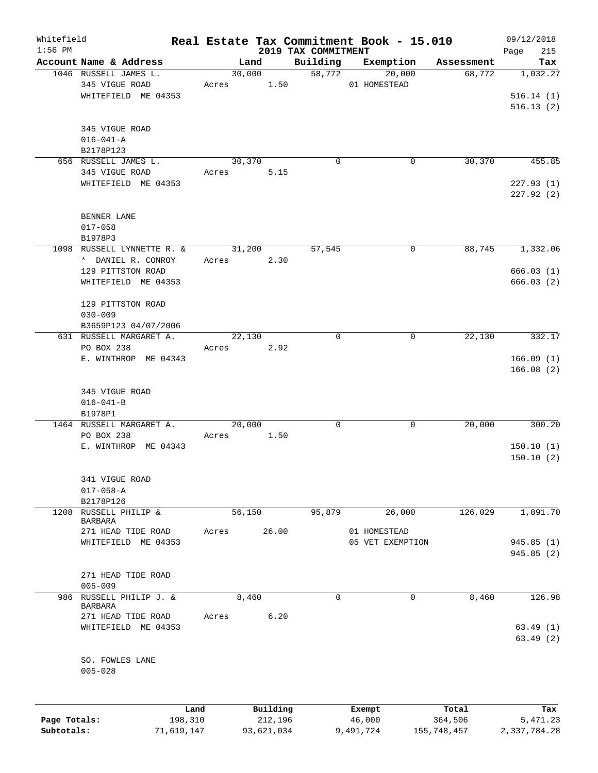| Whitefield<br>$1:56$ PM |                                  |                 |        |                     |                                 | Real Estate Tax Commitment Book - 15.010 |                  | 09/12/2018         |
|-------------------------|----------------------------------|-----------------|--------|---------------------|---------------------------------|------------------------------------------|------------------|--------------------|
|                         | Account Name & Address           |                 | Land   |                     | 2019 TAX COMMITMENT<br>Building | Exemption                                | Assessment       | 215<br>Page<br>Tax |
|                         | 1046 RUSSELL JAMES L.            |                 | 30,000 |                     | 58,772                          | 20,000                                   | 68,772           | 1,032.27           |
|                         | 345 VIGUE ROAD                   | Acres           |        | 1.50                |                                 | 01 HOMESTEAD                             |                  |                    |
|                         | WHITEFIELD ME 04353              |                 |        |                     |                                 |                                          |                  | 516.14(1)          |
|                         |                                  |                 |        |                     |                                 |                                          |                  | 516.13(2)          |
|                         |                                  |                 |        |                     |                                 |                                          |                  |                    |
|                         | 345 VIGUE ROAD                   |                 |        |                     |                                 |                                          |                  |                    |
|                         | $016 - 041 - A$                  |                 |        |                     |                                 |                                          |                  |                    |
|                         | B2178P123                        |                 |        |                     |                                 |                                          |                  |                    |
|                         | 656 RUSSELL JAMES L.             |                 | 30,370 |                     | $\mathbf 0$                     | 0                                        | 30,370           | 455.85             |
|                         | 345 VIGUE ROAD                   | Acres           |        | 5.15                |                                 |                                          |                  |                    |
|                         | WHITEFIELD ME 04353              |                 |        |                     |                                 |                                          |                  | 227.93(1)          |
|                         |                                  |                 |        |                     |                                 |                                          |                  | 227.92(2)          |
|                         |                                  |                 |        |                     |                                 |                                          |                  |                    |
|                         | BENNER LANE                      |                 |        |                     |                                 |                                          |                  |                    |
|                         | $017 - 058$                      |                 |        |                     |                                 |                                          |                  |                    |
|                         | B1978P3                          |                 |        |                     |                                 |                                          |                  |                    |
|                         | 1098 RUSSELL LYNNETTE R. &       |                 | 31,200 |                     | 57,545                          | 0                                        | 88,745           | 1,332.06           |
|                         | * DANIEL R. CONROY               | Acres           |        | 2.30                |                                 |                                          |                  |                    |
|                         | 129 PITTSTON ROAD                |                 |        |                     |                                 |                                          |                  | 666.03(1)          |
|                         | WHITEFIELD ME 04353              |                 |        |                     |                                 |                                          |                  | 666.03(2)          |
|                         |                                  |                 |        |                     |                                 |                                          |                  |                    |
|                         | 129 PITTSTON ROAD<br>$030 - 009$ |                 |        |                     |                                 |                                          |                  |                    |
|                         | B3659P123 04/07/2006             |                 |        |                     |                                 |                                          |                  |                    |
|                         | 631 RUSSELL MARGARET A.          |                 | 22,130 |                     | $\mathbf 0$                     | 0                                        | 22,130           | 332.17             |
|                         | PO BOX 238                       | Acres           |        | 2.92                |                                 |                                          |                  |                    |
|                         | E. WINTHROP ME 04343             |                 |        |                     |                                 |                                          |                  | 166.09(1)          |
|                         |                                  |                 |        |                     |                                 |                                          |                  | 166.08(2)          |
|                         |                                  |                 |        |                     |                                 |                                          |                  |                    |
|                         | 345 VIGUE ROAD                   |                 |        |                     |                                 |                                          |                  |                    |
|                         | $016 - 041 - B$                  |                 |        |                     |                                 |                                          |                  |                    |
|                         | B1978P1                          |                 |        |                     |                                 |                                          |                  |                    |
|                         | 1464 RUSSELL MARGARET A.         |                 | 20,000 |                     | 0                               | 0                                        | 20,000           | 300.20             |
|                         | PO BOX 238                       | Acres           |        | 1.50                |                                 |                                          |                  |                    |
|                         | E. WINTHROP ME 04343             |                 |        |                     |                                 |                                          |                  | 150.10(1)          |
|                         |                                  |                 |        |                     |                                 |                                          |                  | 150.10(2)          |
|                         |                                  |                 |        |                     |                                 |                                          |                  |                    |
|                         | 341 VIGUE ROAD                   |                 |        |                     |                                 |                                          |                  |                    |
|                         | $017 - 058 - A$                  |                 |        |                     |                                 |                                          |                  |                    |
|                         | B2178P126                        |                 |        |                     |                                 |                                          |                  |                    |
| 1208                    | RUSSELL PHILIP &<br>BARBARA      |                 | 56,150 |                     | 95,879                          | 26,000                                   | 126,029          | 1,891.70           |
|                         | 271 HEAD TIDE ROAD               | Acres           |        | 26.00               |                                 | 01 HOMESTEAD                             |                  |                    |
|                         | WHITEFIELD ME 04353              |                 |        |                     |                                 | 05 VET EXEMPTION                         |                  | 945.85 (1)         |
|                         |                                  |                 |        |                     |                                 |                                          |                  | 945.85 (2)         |
|                         |                                  |                 |        |                     |                                 |                                          |                  |                    |
|                         | 271 HEAD TIDE ROAD               |                 |        |                     |                                 |                                          |                  |                    |
|                         | $005 - 009$                      |                 |        |                     |                                 |                                          |                  |                    |
| 986                     | RUSSELL PHILIP J. &              |                 | 8,460  |                     | $\Omega$                        | $\mathbf 0$                              | 8,460            | 126.98             |
|                         | BARBARA                          |                 |        |                     |                                 |                                          |                  |                    |
|                         | 271 HEAD TIDE ROAD               | Acres           |        | 6.20                |                                 |                                          |                  |                    |
|                         | WHITEFIELD ME 04353              |                 |        |                     |                                 |                                          |                  | 63.49(1)           |
|                         |                                  |                 |        |                     |                                 |                                          |                  | 63.49(2)           |
|                         |                                  |                 |        |                     |                                 |                                          |                  |                    |
|                         | SO. FOWLES LANE                  |                 |        |                     |                                 |                                          |                  |                    |
|                         | $005 - 028$                      |                 |        |                     |                                 |                                          |                  |                    |
|                         |                                  |                 |        |                     |                                 |                                          |                  |                    |
|                         |                                  |                 |        |                     |                                 |                                          |                  |                    |
| Page Totals:            |                                  | Land<br>198,310 |        | Building<br>212,196 |                                 | Exempt<br>46,000                         | Total<br>364,506 | Tax<br>5,471.23    |
| Subtotals:              | 71,619,147                       |                 |        | 93,621,034          |                                 | 9,491,724                                | 155,748,457      | 2,337,784.28       |
|                         |                                  |                 |        |                     |                                 |                                          |                  |                    |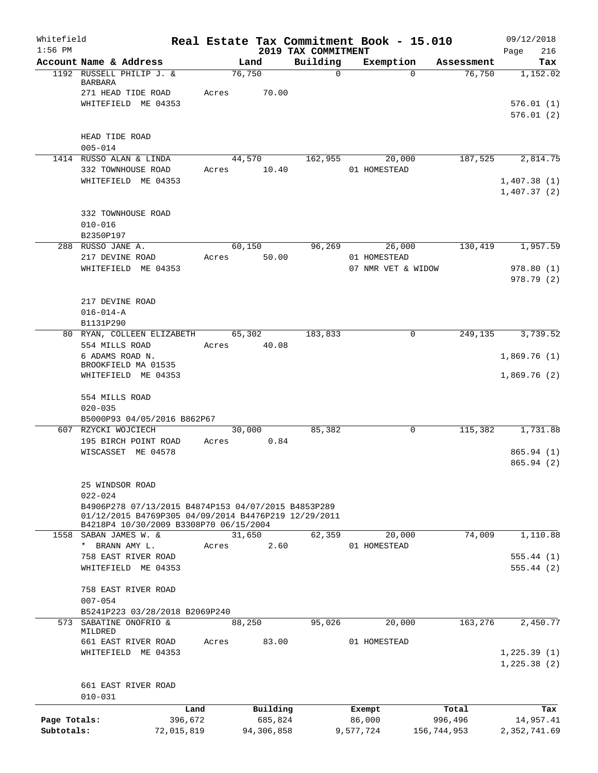| Whitefield<br>$1:56$ PM |                                      |                                                                                                |       |        |            | Real Estate Tax Commitment Book - 15.010<br>2019 TAX COMMITMENT |                    |             |             | 09/12/2018         |
|-------------------------|--------------------------------------|------------------------------------------------------------------------------------------------|-------|--------|------------|-----------------------------------------------------------------|--------------------|-------------|-------------|--------------------|
|                         | Account Name & Address               |                                                                                                |       | Land   |            | Building                                                        |                    | Exemption   | Assessment  | 216<br>Page<br>Tax |
|                         | 1192 RUSSELL PHILIP J. &             |                                                                                                |       | 76,750 |            | $\mathbf 0$                                                     |                    | $\Omega$    | 76,750      | 1,152.02           |
|                         | <b>BARBARA</b><br>271 HEAD TIDE ROAD |                                                                                                | Acres |        | 70.00      |                                                                 |                    |             |             |                    |
|                         | WHITEFIELD ME 04353                  |                                                                                                |       |        |            |                                                                 |                    |             |             | 576.01(1)          |
|                         |                                      |                                                                                                |       |        |            |                                                                 |                    |             |             | 576.01(2)          |
|                         |                                      |                                                                                                |       |        |            |                                                                 |                    |             |             |                    |
|                         | HEAD TIDE ROAD                       |                                                                                                |       |        |            |                                                                 |                    |             |             |                    |
|                         | $005 - 014$                          |                                                                                                |       |        |            |                                                                 |                    |             |             |                    |
|                         | 1414 RUSSO ALAN & LINDA              |                                                                                                |       | 44,570 |            | 162,955                                                         |                    | 20,000      | 187,525     | 2,814.75           |
|                         | 332 TOWNHOUSE ROAD                   |                                                                                                | Acres |        | 10.40      |                                                                 | 01 HOMESTEAD       |             |             |                    |
|                         | WHITEFIELD ME 04353                  |                                                                                                |       |        |            |                                                                 |                    |             |             | 1,407.38(1)        |
|                         |                                      |                                                                                                |       |        |            |                                                                 |                    |             |             | 1,407.37(2)        |
|                         |                                      |                                                                                                |       |        |            |                                                                 |                    |             |             |                    |
|                         | 332 TOWNHOUSE ROAD                   |                                                                                                |       |        |            |                                                                 |                    |             |             |                    |
|                         | $010 - 016$                          |                                                                                                |       |        |            |                                                                 |                    |             |             |                    |
|                         | B2350P197                            |                                                                                                |       | 60,150 |            | 96,269                                                          |                    |             | 130,419     | 1,957.59           |
|                         | 288 RUSSO JANE A.<br>217 DEVINE ROAD |                                                                                                | Acres |        | 50.00      |                                                                 | 01 HOMESTEAD       | 26,000      |             |                    |
|                         | WHITEFIELD ME 04353                  |                                                                                                |       |        |            |                                                                 | 07 NMR VET & WIDOW |             |             | 978.80(1)          |
|                         |                                      |                                                                                                |       |        |            |                                                                 |                    |             |             | 978.79(2)          |
|                         |                                      |                                                                                                |       |        |            |                                                                 |                    |             |             |                    |
|                         | 217 DEVINE ROAD                      |                                                                                                |       |        |            |                                                                 |                    |             |             |                    |
|                         | $016 - 014 - A$                      |                                                                                                |       |        |            |                                                                 |                    |             |             |                    |
|                         | B1131P290                            |                                                                                                |       |        |            |                                                                 |                    |             |             |                    |
|                         |                                      | 80 RYAN, COLLEEN ELIZABETH                                                                     |       | 65,302 |            | 183,833                                                         |                    | $\mathbf 0$ | 249,135     | 3,739.52           |
|                         | 554 MILLS ROAD                       |                                                                                                | Acres |        | 40.08      |                                                                 |                    |             |             |                    |
|                         | 6 ADAMS ROAD N.                      |                                                                                                |       |        |            |                                                                 |                    |             |             | 1,869.76(1)        |
|                         | BROOKFIELD MA 01535                  |                                                                                                |       |        |            |                                                                 |                    |             |             |                    |
|                         | WHITEFIELD ME 04353                  |                                                                                                |       |        |            |                                                                 |                    |             |             | 1,869.76(2)        |
|                         |                                      |                                                                                                |       |        |            |                                                                 |                    |             |             |                    |
|                         | 554 MILLS ROAD                       |                                                                                                |       |        |            |                                                                 |                    |             |             |                    |
|                         | $020 - 035$                          | B5000P93 04/05/2016 B862P67                                                                    |       |        |            |                                                                 |                    |             |             |                    |
|                         | 607 RZYCKI WOJCIECH                  |                                                                                                |       | 30,000 |            | 85,382                                                          |                    | $\mathbf 0$ | 115,382     | 1,731.88           |
|                         | 195 BIRCH POINT ROAD                 |                                                                                                | Acres |        | 0.84       |                                                                 |                    |             |             |                    |
|                         | WISCASSET ME 04578                   |                                                                                                |       |        |            |                                                                 |                    |             |             | 865.94 (1)         |
|                         |                                      |                                                                                                |       |        |            |                                                                 |                    |             |             | 865.94 (2)         |
|                         |                                      |                                                                                                |       |        |            |                                                                 |                    |             |             |                    |
|                         | 25 WINDSOR ROAD                      |                                                                                                |       |        |            |                                                                 |                    |             |             |                    |
|                         | $022 - 024$                          |                                                                                                |       |        |            |                                                                 |                    |             |             |                    |
|                         |                                      | B4906P278 07/13/2015 B4874P153 04/07/2015 B4853P289                                            |       |        |            |                                                                 |                    |             |             |                    |
|                         |                                      | 01/12/2015 B4769P305 04/09/2014 B4476P219 12/29/2011<br>B4218P4 10/30/2009 B3308P70 06/15/2004 |       |        |            |                                                                 |                    |             |             |                    |
|                         | 1558 SABAN JAMES W. &                |                                                                                                |       | 31,650 |            | 62,359                                                          |                    | 20,000      | 74,009      | 1,110.88           |
|                         | * BRANN AMY L.                       |                                                                                                | Acres |        | 2.60       |                                                                 | 01 HOMESTEAD       |             |             |                    |
|                         | 758 EAST RIVER ROAD                  |                                                                                                |       |        |            |                                                                 |                    |             |             | 555.44(1)          |
|                         | WHITEFIELD ME 04353                  |                                                                                                |       |        |            |                                                                 |                    |             |             | 555.44(2)          |
|                         |                                      |                                                                                                |       |        |            |                                                                 |                    |             |             |                    |
|                         | 758 EAST RIVER ROAD                  |                                                                                                |       |        |            |                                                                 |                    |             |             |                    |
|                         | $007 - 054$                          |                                                                                                |       |        |            |                                                                 |                    |             |             |                    |
|                         |                                      | B5241P223 03/28/2018 B2069P240                                                                 |       |        |            |                                                                 |                    |             |             |                    |
|                         | 573 SABATINE ONOFRIO &<br>MILDRED    |                                                                                                |       | 88,250 |            | 95,026                                                          |                    | 20,000      | 163,276     | 2,450.77           |
|                         | 661 EAST RIVER ROAD                  |                                                                                                | Acres |        | 83.00      |                                                                 | 01 HOMESTEAD       |             |             |                    |
|                         | WHITEFIELD ME 04353                  |                                                                                                |       |        |            |                                                                 |                    |             |             | 1, 225.39(1)       |
|                         |                                      |                                                                                                |       |        |            |                                                                 |                    |             |             | 1, 225.38 (2)      |
|                         |                                      |                                                                                                |       |        |            |                                                                 |                    |             |             |                    |
|                         | 661 EAST RIVER ROAD                  |                                                                                                |       |        |            |                                                                 |                    |             |             |                    |
|                         | $010 - 031$                          |                                                                                                |       |        |            |                                                                 |                    |             |             |                    |
|                         |                                      | Land                                                                                           |       |        | Building   |                                                                 | Exempt             |             | Total       | Tax                |
| Page Totals:            |                                      | 396,672                                                                                        |       |        | 685,824    |                                                                 | 86,000             |             | 996,496     | 14,957.41          |
| Subtotals:              |                                      | 72,015,819                                                                                     |       |        | 94,306,858 |                                                                 | 9,577,724          |             | 156,744,953 | 2,352,741.69       |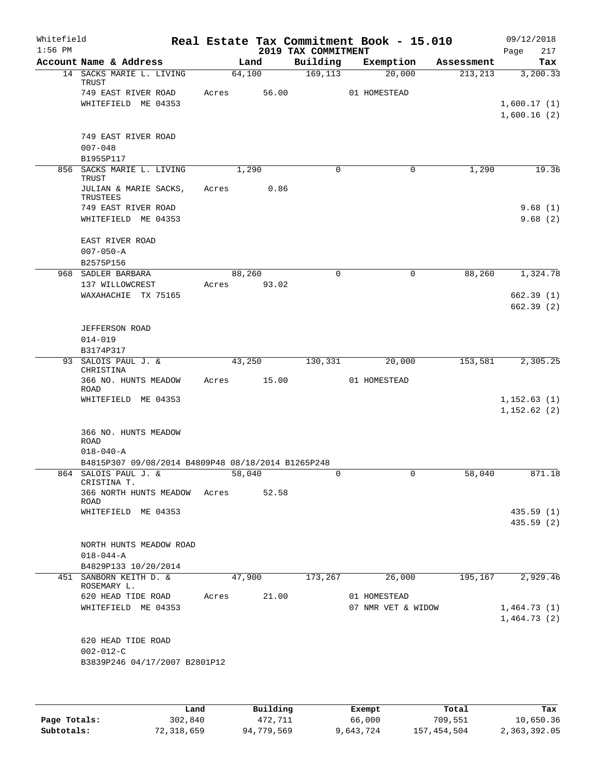| Whitefield<br>$1:56$ PM |                                                        |                | 2019 TAX COMMITMENT | Real Estate Tax Commitment Book - 15.010 |            | 09/12/2018<br>217<br>Page  |
|-------------------------|--------------------------------------------------------|----------------|---------------------|------------------------------------------|------------|----------------------------|
|                         | Account Name & Address                                 | Land           | Building            | Exemption                                | Assessment | Tax                        |
|                         | 14 SACKS MARIE L. LIVING<br><b>TRUST</b>               | 64,100         | 169, 113            | 20,000                                   | 213, 213   | 3,200.33                   |
|                         | 749 EAST RIVER ROAD<br>WHITEFIELD ME 04353             | Acres          | 56.00               | 01 HOMESTEAD                             |            | 1,600.17(1)<br>1,600.16(2) |
|                         | 749 EAST RIVER ROAD<br>$007 - 048$<br>B1955P117        |                |                     |                                          |            |                            |
|                         | 856 SACKS MARIE L. LIVING<br><b>TRUST</b>              | 1,290          | 0                   | $\mathbf 0$                              | 1,290      | 19.36                      |
|                         | JULIAN & MARIE SACKS,<br>TRUSTEES                      | Acres          | 0.86                |                                          |            |                            |
|                         | 749 EAST RIVER ROAD<br>WHITEFIELD ME 04353             |                |                     |                                          |            | 9.68(1)<br>9.68(2)         |
|                         | EAST RIVER ROAD<br>$007 - 050 - A$                     |                |                     |                                          |            |                            |
|                         | B2575P156<br>968 SADLER BARBARA                        | 88,260         | $\Omega$            | $\Omega$                                 | 88,260     | 1,324.78                   |
|                         | 137 WILLOWCREST                                        | 93.02<br>Acres |                     |                                          |            |                            |
|                         | WAXAHACHIE TX 75165                                    |                |                     |                                          |            | 662.39(1)<br>662.39(2)     |
|                         | <b>JEFFERSON ROAD</b><br>$014 - 019$                   |                |                     |                                          |            |                            |
|                         | B3174P317<br>93 SALOIS PAUL J. &                       | 43,250         | 130,331             | 20,000                                   | 153,581    | 2,305.25                   |
|                         | CHRISTINA                                              |                |                     |                                          |            |                            |
|                         | 366 NO. HUNTS MEADOW<br><b>ROAD</b>                    | 15.00<br>Acres |                     | 01 HOMESTEAD                             |            |                            |
|                         | WHITEFIELD ME 04353                                    |                |                     |                                          |            | 1,152.63(1)<br>1,152.62(2) |
|                         | 366 NO. HUNTS MEADOW<br><b>ROAD</b><br>$018 - 040 - A$ |                |                     |                                          |            |                            |
|                         | B4815P307 09/08/2014 B4809P48 08/18/2014 B1265P248     |                |                     |                                          |            |                            |
|                         | 864 SALOIS PAUL J. &<br>CRISTINA T.                    | 58,040         |                     |                                          | 58,040     | 871.18                     |
|                         | 366 NORTH HUNTS MEADOW Acres 52.58<br>ROAD             |                |                     |                                          |            |                            |
|                         | WHITEFIELD ME 04353                                    |                |                     |                                          |            | 435.59(1)<br>435.59(2)     |
|                         | NORTH HUNTS MEADOW ROAD<br>$018 - 044 - A$             |                |                     |                                          |            |                            |
|                         | B4829P133 10/20/2014                                   |                |                     |                                          |            |                            |
|                         | 451 SANBORN KEITH D. &<br>ROSEMARY L.                  | 47,900         | 173,267             | 26,000                                   | 195,167    | 2,929.46                   |
|                         | 620 HEAD TIDE ROAD<br>WHITEFIELD ME 04353              | Acres          | 21.00               | 01 HOMESTEAD<br>07 NMR VET & WIDOW       |            | 1,464.73(1)<br>1,464.73(2) |
|                         | 620 HEAD TIDE ROAD<br>$002 - 012 - C$                  |                |                     |                                          |            |                            |
|                         | B3839P246 04/17/2007 B2801P12                          |                |                     |                                          |            |                            |

|              | Land       | Building   | Exempt    | Total       | Tax          |
|--------------|------------|------------|-----------|-------------|--------------|
| Page Totals: | 302,840    | 472.711    | 66,000    | 709,551     | 10,650.36    |
| Subtotals:   | 72,318,659 | 94,779,569 | 9,643,724 | 157,454,504 | 2,363,392.05 |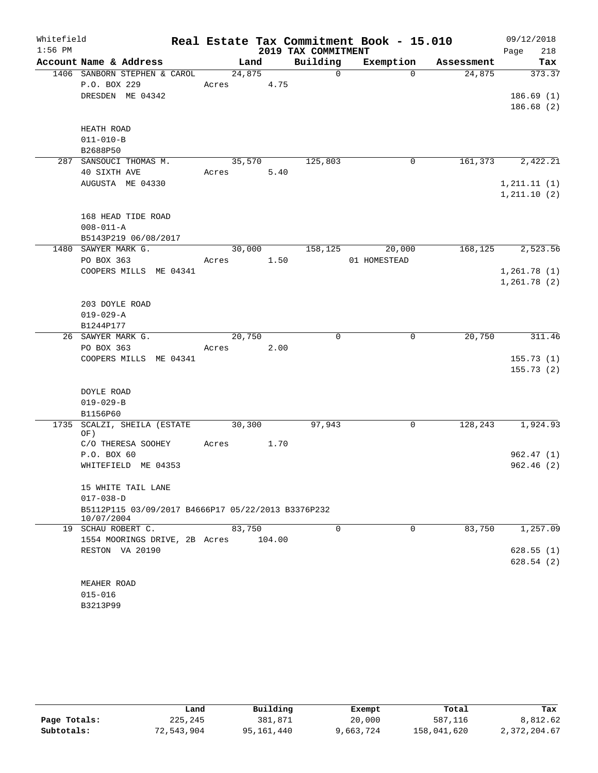| Whitefield |                                                    |        |        |                     | Real Estate Tax Commitment Book - 15.010 |            | 09/12/2018             |
|------------|----------------------------------------------------|--------|--------|---------------------|------------------------------------------|------------|------------------------|
| $1:56$ PM  |                                                    |        |        | 2019 TAX COMMITMENT |                                          |            | 218<br>Page            |
|            | Account Name & Address                             | Land   |        | Building            | Exemption                                | Assessment | Tax                    |
|            | 1406 SANBORN STEPHEN & CAROL                       | 24,875 |        | $\mathbf 0$         | $\Omega$                                 | 24,875     | 373.37                 |
|            | P.O. BOX 229                                       | Acres  | 4.75   |                     |                                          |            |                        |
|            | DRESDEN ME 04342                                   |        |        |                     |                                          |            | 186.69(1)              |
|            |                                                    |        |        |                     |                                          |            | 186.68(2)              |
|            | HEATH ROAD                                         |        |        |                     |                                          |            |                        |
|            | $011 - 010 - B$                                    |        |        |                     |                                          |            |                        |
|            | B2688P50                                           |        |        |                     |                                          |            |                        |
| 287        | SANSOUCI THOMAS M.                                 | 35,570 |        | 125,803             | 0                                        | 161,373    | 2,422.21               |
|            | 40 SIXTH AVE                                       | Acres  | 5.40   |                     |                                          |            |                        |
|            | AUGUSTA ME 04330                                   |        |        |                     |                                          |            | 1, 211.11(1)           |
|            |                                                    |        |        |                     |                                          |            | 1, 211.10(2)           |
|            |                                                    |        |        |                     |                                          |            |                        |
|            | 168 HEAD TIDE ROAD                                 |        |        |                     |                                          |            |                        |
|            | $008 - 011 - A$                                    |        |        |                     |                                          |            |                        |
|            | B5143P219 06/08/2017<br>1480 SAWYER MARK G.        | 30,000 |        | 158,125             | 20,000                                   | 168,125    | 2,523.56               |
|            | PO BOX 363                                         | Acres  | 1.50   |                     | 01 HOMESTEAD                             |            |                        |
|            | COOPERS MILLS ME 04341                             |        |        |                     |                                          |            | 1,261.78(1)            |
|            |                                                    |        |        |                     |                                          |            | 1,261.78(2)            |
|            |                                                    |        |        |                     |                                          |            |                        |
|            | 203 DOYLE ROAD                                     |        |        |                     |                                          |            |                        |
|            | $019 - 029 - A$                                    |        |        |                     |                                          |            |                        |
|            | B1244P177                                          |        |        |                     |                                          |            |                        |
| 26         | SAWYER MARK G.                                     | 20,750 |        | $\mathbf 0$         | 0                                        | 20,750     | 311.46                 |
|            | PO BOX 363                                         | Acres  | 2.00   |                     |                                          |            |                        |
|            | COOPERS MILLS ME 04341                             |        |        |                     |                                          |            | 155.73(1)              |
|            |                                                    |        |        |                     |                                          |            | 155.73(2)              |
|            | DOYLE ROAD                                         |        |        |                     |                                          |            |                        |
|            | $019 - 029 - B$                                    |        |        |                     |                                          |            |                        |
|            | B1156P60                                           |        |        |                     |                                          |            |                        |
| 1735       | SCALZI, SHEILA (ESTATE                             | 30,300 |        | 97,943              | 0                                        | 128,243    | 1,924.93               |
|            | OF)                                                |        |        |                     |                                          |            |                        |
|            | C/O THERESA SOOHEY                                 | Acres  | 1.70   |                     |                                          |            |                        |
|            | P.O. BOX 60<br>WHITEFIELD ME 04353                 |        |        |                     |                                          |            | 962.47(1)<br>962.46(2) |
|            |                                                    |        |        |                     |                                          |            |                        |
|            | 15 WHITE TAIL LANE                                 |        |        |                     |                                          |            |                        |
|            | $017 - 038 - D$                                    |        |        |                     |                                          |            |                        |
|            | B5112P115 03/09/2017 B4666P17 05/22/2013 B3376P232 |        |        |                     |                                          |            |                        |
|            | 10/07/2004                                         |        |        |                     |                                          |            |                        |
|            | 19 SCHAU ROBERT C.                                 | 83,750 |        | $\Omega$            | $\Omega$                                 | 83,750     | 1,257.09               |
|            | 1554 MOORINGS DRIVE, 2B Acres<br>RESTON VA 20190   |        | 104.00 |                     |                                          |            | 628.55(1)              |
|            |                                                    |        |        |                     |                                          |            | 628.54(2)              |
|            |                                                    |        |        |                     |                                          |            |                        |
|            | MEAHER ROAD                                        |        |        |                     |                                          |            |                        |
|            | $015 - 016$                                        |        |        |                     |                                          |            |                        |
|            | B3213P99                                           |        |        |                     |                                          |            |                        |

|              | Land       | Building   | Exempt    | Total       | Tax          |
|--------------|------------|------------|-----------|-------------|--------------|
| Page Totals: | 225,245    | 381,871    | 20,000    | 587,116     | 8,812.62     |
| Subtotals:   | 72,543,904 | 95,161,440 | 9,663,724 | 158,041,620 | 2,372,204.67 |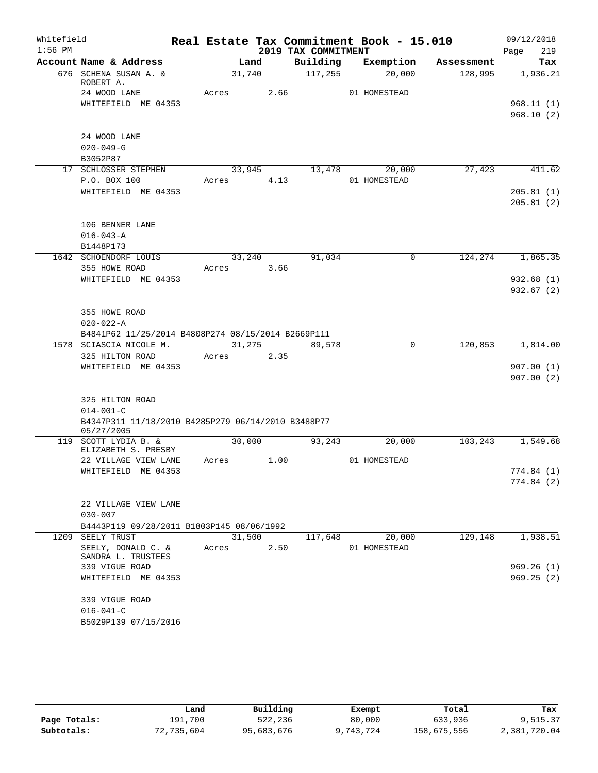| Whitefield |                                                    |        |      |                     | Real Estate Tax Commitment Book - 15.010 |            | 09/12/2018  |
|------------|----------------------------------------------------|--------|------|---------------------|------------------------------------------|------------|-------------|
| $1:56$ PM  |                                                    |        |      | 2019 TAX COMMITMENT |                                          |            | 219<br>Page |
|            | Account Name & Address                             | Land   |      | Building            | Exemption                                | Assessment | Tax         |
|            | 676 SCHENA SUSAN A. &<br>ROBERT A.                 | 31,740 |      | 117,255             | 20,000                                   | 128,995    | 1,936.21    |
|            | 24 WOOD LANE                                       | Acres  | 2.66 |                     | 01 HOMESTEAD                             |            |             |
|            | WHITEFIELD ME 04353                                |        |      |                     |                                          |            | 968.11(1)   |
|            |                                                    |        |      |                     |                                          |            | 968.10(2)   |
|            | 24 WOOD LANE                                       |        |      |                     |                                          |            |             |
|            | $020 - 049 - G$                                    |        |      |                     |                                          |            |             |
|            | B3052P87                                           |        |      |                     |                                          |            |             |
|            | 17 SCHLOSSER STEPHEN                               | 33,945 |      | 13,478              | 20,000                                   | 27,423     | 411.62      |
|            | P.O. BOX 100                                       | Acres  | 4.13 |                     | 01 HOMESTEAD                             |            |             |
|            | WHITEFIELD ME 04353                                |        |      |                     |                                          |            | 205.81(1)   |
|            |                                                    |        |      |                     |                                          |            | 205.81(2)   |
|            | 106 BENNER LANE                                    |        |      |                     |                                          |            |             |
|            | $016 - 043 - A$                                    |        |      |                     |                                          |            |             |
|            | B1448P173                                          |        |      |                     |                                          |            |             |
|            | 1642 SCHOENDORF LOUIS                              | 33,240 |      | 91,034              | $\mathsf{O}$                             | 124,274    | 1,865.35    |
|            | 355 HOWE ROAD                                      | Acres  | 3.66 |                     |                                          |            |             |
|            | WHITEFIELD ME 04353                                |        |      |                     |                                          |            | 932.68(1)   |
|            |                                                    |        |      |                     |                                          |            | 932.67(2)   |
|            |                                                    |        |      |                     |                                          |            |             |
|            | 355 HOWE ROAD                                      |        |      |                     |                                          |            |             |
|            | $020 - 022 - A$                                    |        |      |                     |                                          |            |             |
|            | B4841P62 11/25/2014 B4808P274 08/15/2014 B2669P111 |        |      |                     |                                          |            |             |
|            | 1578 SCIASCIA NICOLE M.                            | 31,275 |      | 89,578              | 0                                        | 120,853    | 1,814.00    |
|            | 325 HILTON ROAD<br>WHITEFIELD ME 04353             | Acres  | 2.35 |                     |                                          |            | 907.00(1)   |
|            |                                                    |        |      |                     |                                          |            | 907.00(2)   |
|            |                                                    |        |      |                     |                                          |            |             |
|            | 325 HILTON ROAD                                    |        |      |                     |                                          |            |             |
|            | $014 - 001 - C$                                    |        |      |                     |                                          |            |             |
|            | B4347P311 11/18/2010 B4285P279 06/14/2010 B3488P77 |        |      |                     |                                          |            |             |
|            | 05/27/2005                                         |        |      |                     |                                          |            |             |
|            | 119 SCOTT LYDIA B. &<br>ELIZABETH S. PRESBY        | 30,000 |      | 93,243              | 20,000                                   | 103,243    | 1,549.68    |
|            | 22 VILLAGE VIEW LANE                               | Acres  | 1.00 |                     | 01 HOMESTEAD                             |            |             |
|            | WHITEFIELD ME 04353                                |        |      |                     |                                          |            | 774.84(1)   |
|            |                                                    |        |      |                     |                                          |            | 774.84 (2)  |
|            |                                                    |        |      |                     |                                          |            |             |
|            | 22 VILLAGE VIEW LANE                               |        |      |                     |                                          |            |             |
|            | $030 - 007$                                        |        |      |                     |                                          |            |             |
|            | B4443P119 09/28/2011 B1803P145 08/06/1992          |        |      |                     |                                          |            |             |
|            | 1209 SEELY TRUST                                   | 31,500 |      | 117,648             | 20,000                                   | 129,148    | 1,938.51    |
|            | SEELY, DONALD C. &<br>SANDRA L. TRUSTEES           | Acres  | 2.50 |                     | 01 HOMESTEAD                             |            |             |
|            | 339 VIGUE ROAD                                     |        |      |                     |                                          |            | 969.26(1)   |
|            | WHITEFIELD ME 04353                                |        |      |                     |                                          |            | 969.25(2)   |
|            |                                                    |        |      |                     |                                          |            |             |
|            | 339 VIGUE ROAD                                     |        |      |                     |                                          |            |             |
|            | $016 - 041 - C$                                    |        |      |                     |                                          |            |             |
|            | B5029P139 07/15/2016                               |        |      |                     |                                          |            |             |

|              | Land       | Building   | Exempt    | Total       | Tax          |
|--------------|------------|------------|-----------|-------------|--------------|
| Page Totals: | 191,700    | 522,236    | 80,000    | 633,936     | 9,515.37     |
| Subtotals:   | 72,735,604 | 95,683,676 | 9,743,724 | 158,675,556 | 2,381,720.04 |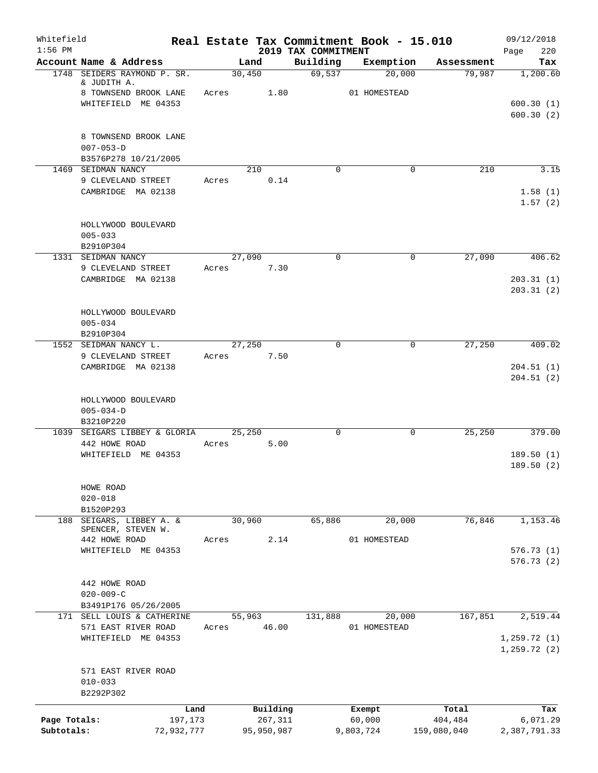| Whitefield<br>$1:56$ PM    |                                                                     |                       |       |                       | 2019 TAX COMMITMENT |             | Real Estate Tax Commitment Book - 15.010 |                        | 09/12/2018<br>220<br>Page    |
|----------------------------|---------------------------------------------------------------------|-----------------------|-------|-----------------------|---------------------|-------------|------------------------------------------|------------------------|------------------------------|
|                            | Account Name & Address                                              |                       |       | Land                  |                     | Building    | Exemption                                | Assessment             | Tax                          |
|                            | 1748 SEIDERS RAYMOND P. SR.<br>& JUDITH A.<br>8 TOWNSEND BROOK LANE |                       | Acres | 30,450<br>1.80        |                     | 69,537      | 20,000<br>01 HOMESTEAD                   | 79,987                 | 1,200.60                     |
|                            | WHITEFIELD ME 04353                                                 |                       |       |                       |                     |             |                                          |                        | 600.30(1)<br>600.30(2)       |
|                            | 8 TOWNSEND BROOK LANE<br>$007 - 053 - D$<br>B3576P278 10/21/2005    |                       |       |                       |                     |             |                                          |                        |                              |
|                            | 1469 SEIDMAN NANCY                                                  |                       |       | 210<br>0.14           |                     | $\Omega$    |                                          | 210<br>0               | 3.15                         |
|                            | 9 CLEVELAND STREET<br>CAMBRIDGE MA 02138                            |                       | Acres |                       |                     |             |                                          |                        | 1.58(1)<br>1.57(2)           |
|                            | HOLLYWOOD BOULEVARD<br>$005 - 033$<br>B2910P304                     |                       |       |                       |                     |             |                                          |                        |                              |
|                            | 1331 SEIDMAN NANCY                                                  |                       |       | 27,090                |                     | $\Omega$    |                                          | 0<br>27,090            | 406.62                       |
|                            | 9 CLEVELAND STREET                                                  |                       | Acres | 7.30                  |                     |             |                                          |                        |                              |
|                            | CAMBRIDGE MA 02138                                                  |                       |       |                       |                     |             |                                          |                        | 203.31(1)<br>203.31(2)       |
|                            | HOLLYWOOD BOULEVARD<br>$005 - 034$<br>B2910P304                     |                       |       |                       |                     |             |                                          |                        |                              |
|                            | 1552 SEIDMAN NANCY L.                                               |                       |       | 27,250                |                     | $\Omega$    |                                          | 27,250<br>0            | 409.02                       |
|                            | 9 CLEVELAND STREET                                                  |                       | Acres | 7.50                  |                     |             |                                          |                        |                              |
|                            | CAMBRIDGE MA 02138                                                  |                       |       |                       |                     |             |                                          |                        | 204.51(1)<br>204.51(2)       |
|                            | HOLLYWOOD BOULEVARD<br>$005 - 034 - D$<br>B3210P220                 |                       |       |                       |                     |             |                                          |                        |                              |
|                            | 1039 SEIGARS LIBBEY & GLORIA                                        |                       |       | 25,250                |                     | $\mathbf 0$ |                                          | $\mathbf 0$<br>25,250  | 379.00                       |
|                            | 442 HOWE ROAD                                                       |                       | Acres | 5.00                  |                     |             |                                          |                        |                              |
|                            | WHITEFIELD ME 04353                                                 |                       |       |                       |                     |             |                                          |                        | 189.50(1)<br>189.50(2)       |
|                            | HOWE ROAD<br>$020 - 018$                                            |                       |       |                       |                     |             |                                          |                        |                              |
|                            | B1520P293                                                           |                       |       |                       |                     |             |                                          |                        |                              |
| 188                        | SEIGARS, LIBBEY A. &<br>SPENCER, STEVEN W.                          |                       |       | 30,960                |                     | 65,886      | 20,000                                   | 76,846                 | 1,153.46                     |
|                            | 442 HOWE ROAD                                                       |                       | Acres | 2.14                  |                     |             | 01 HOMESTEAD                             |                        |                              |
|                            | WHITEFIELD ME 04353                                                 |                       |       |                       |                     |             |                                          |                        | 576.73(1)<br>576.73(2)       |
|                            | 442 HOWE ROAD<br>$020 - 009 - C$                                    |                       |       |                       |                     |             |                                          |                        |                              |
|                            | B3491P176 05/26/2005<br>171 SELL LOUIS & CATHERINE                  |                       |       | 55,963                |                     | 131,888     | 20,000                                   | 167,851                | 2,519.44                     |
|                            | 571 EAST RIVER ROAD                                                 |                       | Acres | 46.00                 |                     |             | 01 HOMESTEAD                             |                        |                              |
|                            | WHITEFIELD ME 04353                                                 |                       |       |                       |                     |             |                                          |                        | 1, 259.72(1)<br>1, 259.72(2) |
|                            | 571 EAST RIVER ROAD<br>$010 - 033$                                  |                       |       |                       |                     |             |                                          |                        |                              |
|                            | B2292P302                                                           |                       |       |                       |                     |             |                                          |                        |                              |
|                            |                                                                     | Land                  |       | Building              |                     |             | Exempt                                   | Total                  | Tax                          |
| Page Totals:<br>Subtotals: |                                                                     | 197,173<br>72,932,777 |       | 267,311<br>95,950,987 |                     |             | 60,000<br>9,803,724                      | 404,484<br>159,080,040 | 6,071.29<br>2,387,791.33     |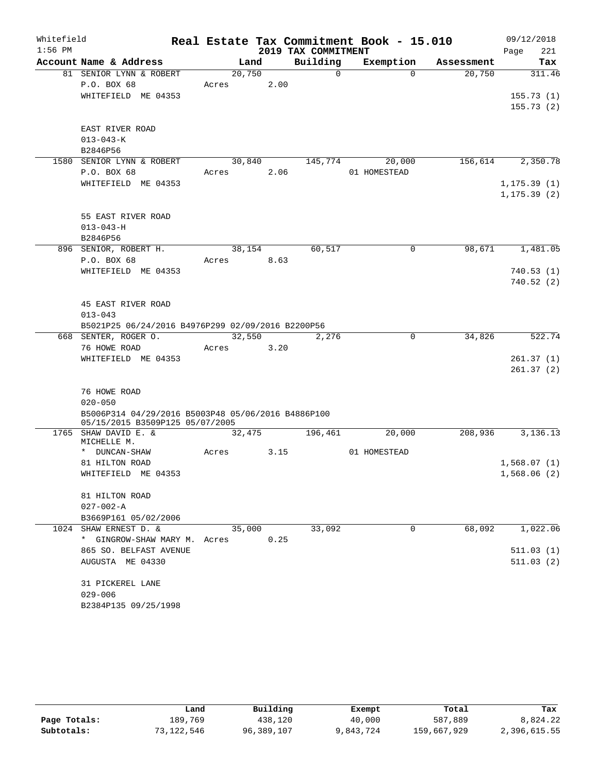| Whitefield<br>$1:56$ PM |                                                                   |                 |        | 2019 TAX COMMITMENT | Real Estate Tax Commitment Book - 15.010 |            | 09/12/2018<br>221<br>Page |
|-------------------------|-------------------------------------------------------------------|-----------------|--------|---------------------|------------------------------------------|------------|---------------------------|
|                         | Account Name & Address                                            |                 | Land   | Building            | Exemption                                | Assessment | Tax                       |
|                         | 81 SENIOR LYNN & ROBERT<br>P.O. BOX 68                            | 20,750<br>Acres | 2.00   | $\Omega$            | $\Omega$                                 | 20,750     | 311.46                    |
|                         | WHITEFIELD ME 04353                                               |                 |        |                     |                                          |            | 155.73(1)                 |
|                         |                                                                   |                 |        |                     |                                          |            | 155.73(2)                 |
|                         | EAST RIVER ROAD                                                   |                 |        |                     |                                          |            |                           |
|                         | $013 - 043 - K$                                                   |                 |        |                     |                                          |            |                           |
|                         | B2846P56                                                          |                 |        |                     |                                          |            |                           |
|                         | 1580 SENIOR LYNN & ROBERT                                         |                 | 30,840 | 145,774             | 20,000                                   | 156,614    | 2,350.78                  |
|                         | P.O. BOX 68                                                       | Acres           | 2.06   |                     | 01 HOMESTEAD                             |            |                           |
|                         | WHITEFIELD ME 04353                                               |                 |        |                     |                                          |            | 1, 175.39(1)              |
|                         |                                                                   |                 |        |                     |                                          |            | 1, 175.39(2)              |
|                         | 55 EAST RIVER ROAD                                                |                 |        |                     |                                          |            |                           |
|                         | $013 - 043 - H$                                                   |                 |        |                     |                                          |            |                           |
|                         | B2846P56                                                          |                 |        |                     |                                          |            |                           |
|                         | 896 SENIOR, ROBERT H.                                             |                 | 38,154 | 60,517              | $\mathbf 0$                              | 98,671     | 1,481.05                  |
|                         | P.O. BOX 68                                                       | Acres           | 8.63   |                     |                                          |            |                           |
|                         | WHITEFIELD ME 04353                                               |                 |        |                     |                                          |            | 740.53(1)                 |
|                         |                                                                   |                 |        |                     |                                          |            | 740.52(2)                 |
|                         |                                                                   |                 |        |                     |                                          |            |                           |
|                         | 45 EAST RIVER ROAD                                                |                 |        |                     |                                          |            |                           |
|                         | $013 - 043$                                                       |                 |        |                     |                                          |            |                           |
|                         | B5021P25 06/24/2016 B4976P299 02/09/2016 B2200P56                 |                 |        |                     |                                          |            |                           |
|                         | 668 SENTER, ROGER O.                                              |                 | 32,550 | 2,276               | $\mathbf 0$                              | 34,826     | 522.74                    |
|                         | 76 HOWE ROAD                                                      | Acres 3.20      |        |                     |                                          |            |                           |
|                         | WHITEFIELD ME 04353                                               |                 |        |                     |                                          |            | 261.37(1)                 |
|                         |                                                                   |                 |        |                     |                                          |            | 261.37(2)                 |
|                         |                                                                   |                 |        |                     |                                          |            |                           |
|                         | 76 HOWE ROAD                                                      |                 |        |                     |                                          |            |                           |
|                         | $020 - 050$<br>B5006P314 04/29/2016 B5003P48 05/06/2016 B4886P100 |                 |        |                     |                                          |            |                           |
|                         | 05/15/2015 B3509P125 05/07/2005                                   |                 |        |                     |                                          |            |                           |
|                         | 1765 SHAW DAVID E. &                                              |                 | 32,475 | 196,461             | 20,000                                   | 208,936    | 3,136.13                  |
|                         | MICHELLE M.                                                       |                 |        |                     |                                          |            |                           |
|                         | * DUNCAN-SHAW                                                     | Acres           | 3.15   |                     | 01 HOMESTEAD                             |            |                           |
|                         | 81 HILTON ROAD                                                    |                 |        |                     |                                          |            | 1,568.07(1)               |
|                         | WHITEFIELD ME 04353                                               |                 |        |                     |                                          |            | 1,568.06(2)               |
|                         | 81 HILTON ROAD                                                    |                 |        |                     |                                          |            |                           |
|                         | $027 - 002 - A$                                                   |                 |        |                     |                                          |            |                           |
|                         | B3669P161 05/02/2006                                              |                 |        |                     |                                          |            |                           |
|                         | 1024 SHAW ERNEST D. &                                             |                 | 35,000 | 33,092              | $\Omega$                                 | 68,092     | 1,022.06                  |
|                         | * GINGROW-SHAW MARY M. Acres                                      |                 | 0.25   |                     |                                          |            |                           |
|                         | 865 SO. BELFAST AVENUE                                            |                 |        |                     |                                          |            | 511.03(1)                 |
|                         | AUGUSTA ME 04330                                                  |                 |        |                     |                                          |            | 511.03(2)                 |
|                         |                                                                   |                 |        |                     |                                          |            |                           |
|                         | 31 PICKEREL LANE                                                  |                 |        |                     |                                          |            |                           |
|                         | $029 - 006$                                                       |                 |        |                     |                                          |            |                           |
|                         | B2384P135 09/25/1998                                              |                 |        |                     |                                          |            |                           |

|              | Land       | Building   | Exempt    | Total       | Tax          |
|--------------|------------|------------|-----------|-------------|--------------|
| Page Totals: | 189.769    | 438,120    | 40,000    | 587,889     | 8,824.22     |
| Subtotals:   | 73,122,546 | 96,389,107 | 9,843,724 | 159,667,929 | 2,396,615.55 |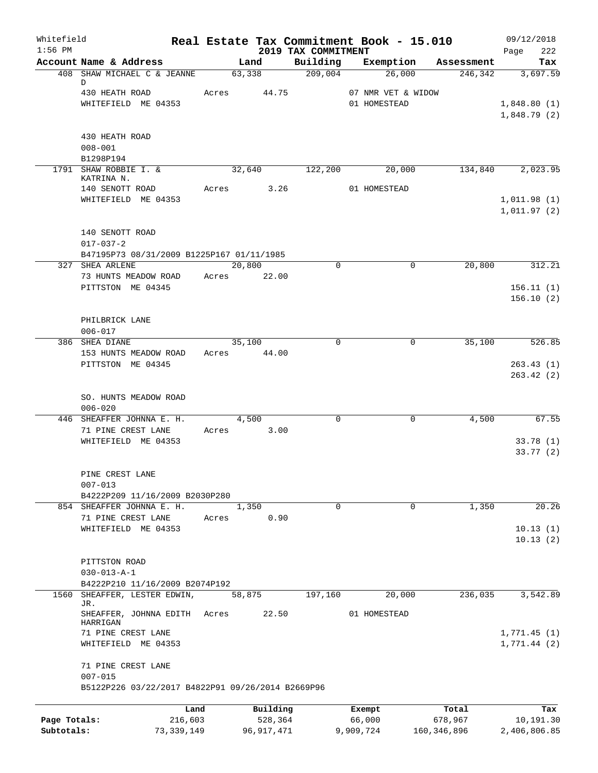| Whitefield<br>$1:56$ PM |                                                   |       |              | 2019 TAX COMMITMENT | Real Estate Tax Commitment Book - 15.010 |                      | 09/12/2018<br>Page<br>222 |
|-------------------------|---------------------------------------------------|-------|--------------|---------------------|------------------------------------------|----------------------|---------------------------|
|                         | Account Name & Address                            |       | Land         | Building            | Exemption                                | Assessment           | Tax                       |
|                         | 408 SHAW MICHAEL C & JEANNE                       |       | 63,338       | 209,004             | 26,000                                   | 246,342              | 3,697.59                  |
|                         | D                                                 |       |              |                     |                                          |                      |                           |
|                         | 430 HEATH ROAD<br>WHITEFIELD ME 04353             |       | Acres 44.75  |                     | 07 NMR VET & WIDOW<br>01 HOMESTEAD       |                      | 1,848.80(1)               |
|                         |                                                   |       |              |                     |                                          |                      | 1,848.79(2)               |
|                         |                                                   |       |              |                     |                                          |                      |                           |
|                         | 430 HEATH ROAD                                    |       |              |                     |                                          |                      |                           |
|                         | $008 - 001$                                       |       |              |                     |                                          |                      |                           |
|                         | B1298P194                                         |       |              |                     |                                          |                      |                           |
|                         | 1791 SHAW ROBBIE I. &<br>KATRINA N.               |       | 32,640       | 122,200             | 20,000                                   | 134,840              | 2,023.95                  |
|                         | 140 SENOTT ROAD                                   |       | Acres 3.26   |                     | 01 HOMESTEAD                             |                      |                           |
|                         | WHITEFIELD ME 04353                               |       |              |                     |                                          |                      | 1,011.98(1)               |
|                         |                                                   |       |              |                     |                                          |                      | 1,011.97(2)               |
|                         | 140 SENOTT ROAD                                   |       |              |                     |                                          |                      |                           |
|                         | $017 - 037 - 2$                                   |       |              |                     |                                          |                      |                           |
|                         | B47195P73 08/31/2009 B1225P167 01/11/1985         |       |              |                     |                                          |                      |                           |
|                         | 327 SHEA ARLENE                                   |       | 20,800       | $\Omega$            |                                          | 20,800<br>0          | 312.21                    |
|                         | 73 HUNTS MEADOW ROAD                              |       | Acres 22.00  |                     |                                          |                      |                           |
|                         | PITTSTON ME 04345                                 |       |              |                     |                                          |                      | 156.11(1)                 |
|                         |                                                   |       |              |                     |                                          |                      | 156.10(2)                 |
|                         | PHILBRICK LANE                                    |       |              |                     |                                          |                      |                           |
|                         | $006 - 017$                                       |       |              |                     |                                          |                      |                           |
|                         | 386 SHEA DIANE                                    |       | 35,100       | $\Omega$            |                                          | 35,100<br>$\Omega$   | 526.85                    |
|                         | 153 HUNTS MEADOW ROAD                             |       | Acres 44.00  |                     |                                          |                      |                           |
|                         | PITTSTON ME 04345                                 |       |              |                     |                                          |                      | 263.43(1)                 |
|                         |                                                   |       |              |                     |                                          |                      | 263.42(2)                 |
|                         | SO. HUNTS MEADOW ROAD                             |       |              |                     |                                          |                      |                           |
|                         | $006 - 020$                                       |       |              |                     |                                          |                      |                           |
|                         | 446 SHEAFFER JOHNNA E. H.                         |       | 4,500        | $\mathbf 0$         |                                          | 4,500<br>$\mathbf 0$ | 67.55                     |
|                         | 71 PINE CREST LANE                                |       | Acres 3.00   |                     |                                          |                      |                           |
|                         | WHITEFIELD ME 04353                               |       |              |                     |                                          |                      | 33.78(1)                  |
|                         |                                                   |       |              |                     |                                          |                      | 33.77(2)                  |
|                         | PINE CREST LANE                                   |       |              |                     |                                          |                      |                           |
|                         | $007 - 013$                                       |       |              |                     |                                          |                      |                           |
|                         | B4222P209 11/16/2009 B2030P280                    |       |              |                     |                                          |                      |                           |
|                         | 854 SHEAFFER JOHNNA E. H.                         |       | 1,350        | 0                   |                                          | 1,350<br>0           | 20.26                     |
|                         | 71 PINE CREST LANE                                | Acres | 0.90         |                     |                                          |                      |                           |
|                         | WHITEFIELD ME 04353                               |       |              |                     |                                          |                      | 10.13(1)<br>10.13(2)      |
|                         |                                                   |       |              |                     |                                          |                      |                           |
|                         | PITTSTON ROAD                                     |       |              |                     |                                          |                      |                           |
|                         | $030 - 013 - A - 1$                               |       |              |                     |                                          |                      |                           |
|                         | B4222P210 11/16/2009 B2074P192                    |       |              |                     |                                          |                      |                           |
| 1560                    | SHEAFFER, LESTER EDWIN,<br>JR.                    |       | 58,875       | 197,160             | 20,000                                   | 236,035              | 3,542.89                  |
|                         | SHEAFFER, JOHNNA EDITH                            | Acres | 22.50        |                     | 01 HOMESTEAD                             |                      |                           |
|                         | HARRIGAN                                          |       |              |                     |                                          |                      |                           |
|                         | 71 PINE CREST LANE                                |       |              |                     |                                          |                      | 1,771.45(1)               |
|                         | WHITEFIELD ME 04353                               |       |              |                     |                                          |                      | 1,771.44(2)               |
|                         | 71 PINE CREST LANE                                |       |              |                     |                                          |                      |                           |
|                         | $007 - 015$                                       |       |              |                     |                                          |                      |                           |
|                         | B5122P226 03/22/2017 B4822P91 09/26/2014 B2669P96 |       |              |                     |                                          |                      |                           |
|                         | Land                                              |       | Building     |                     | Exempt                                   | Total                | Tax                       |
| Page Totals:            | 216,603                                           |       | 528,364      |                     | 66,000                                   | 678,967              | 10,191.30                 |
| Subtotals:              | 73, 339, 149                                      |       | 96, 917, 471 |                     | 9,909,724                                | 160, 346, 896        | 2,406,806.85              |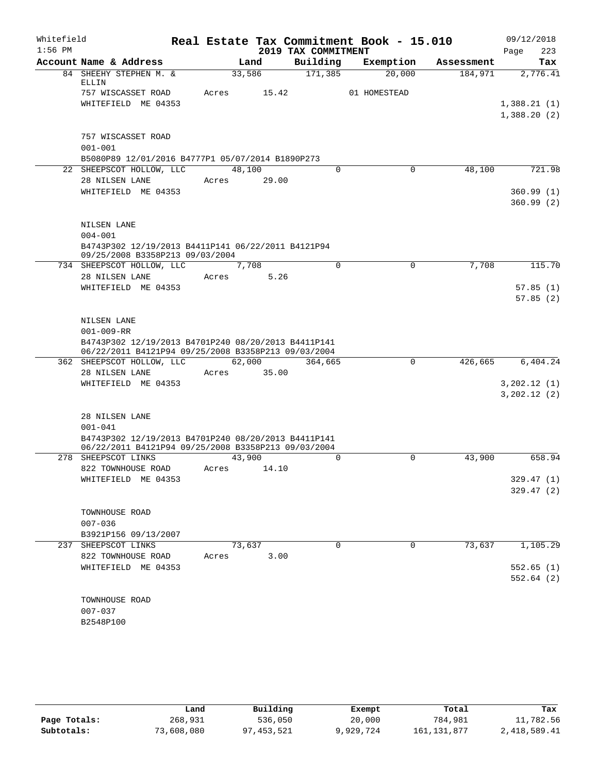| Whitefield |                                                                                                                                               |             |        |                     | Real Estate Tax Commitment Book - 15.010 |            | 09/12/2018   |
|------------|-----------------------------------------------------------------------------------------------------------------------------------------------|-------------|--------|---------------------|------------------------------------------|------------|--------------|
| $1:56$ PM  |                                                                                                                                               |             |        | 2019 TAX COMMITMENT |                                          |            | 223<br>Page  |
|            | Account Name & Address                                                                                                                        |             | Land   | Building            | Exemption                                | Assessment | Tax          |
|            | 84 SHEEHY STEPHEN M. &<br>ELLIN                                                                                                               | 33,586      |        | 171,385             | 20,000                                   | 184,971    | 2,776.41     |
|            | 757 WISCASSET ROAD<br>WHITEFIELD ME 04353                                                                                                     | Acres       | 15.42  |                     | 01 HOMESTEAD                             |            | 1,388.21(1)  |
|            |                                                                                                                                               |             |        |                     |                                          |            | 1,388.20(2)  |
|            | 757 WISCASSET ROAD<br>$001 - 001$<br>B5080P89 12/01/2016 B4777P1 05/07/2014 B1890P273                                                         |             |        |                     |                                          |            |              |
|            | 22 SHEEPSCOT HOLLOW, LLC                                                                                                                      | 48,100      |        | $\Omega$            | $\Omega$                                 | 48,100     | 721.98       |
|            | 28 NILSEN LANE                                                                                                                                | Acres       | 29.00  |                     |                                          |            |              |
|            | WHITEFIELD ME 04353                                                                                                                           |             |        |                     |                                          |            | 360.99(1)    |
|            |                                                                                                                                               |             |        |                     |                                          |            | 360.99(2)    |
|            | NILSEN LANE                                                                                                                                   |             |        |                     |                                          |            |              |
|            | $004 - 001$<br>B4743P302 12/19/2013 B4411P141 06/22/2011 B4121P94<br>09/25/2008 B3358P213 09/03/2004                                          |             |        |                     |                                          |            |              |
|            | 734 SHEEPSCOT HOLLOW, LLC                                                                                                                     |             | 7,708  | $\Omega$            | $\mathbf 0$                              | 7,708      | 115.70       |
|            | 28 NILSEN LANE                                                                                                                                | Acres       | 5.26   |                     |                                          |            |              |
|            | WHITEFIELD ME 04353                                                                                                                           |             |        |                     |                                          |            | 57.85(1)     |
|            |                                                                                                                                               |             |        |                     |                                          |            | 57.85(2)     |
|            | NILSEN LANE<br>$001 - 009 - RR$<br>B4743P302 12/19/2013 B4701P240 08/20/2013 B4411P141<br>06/22/2011 B4121P94 09/25/2008 B3358P213 09/03/2004 |             |        |                     |                                          |            |              |
|            | 362 SHEEPSCOT HOLLOW, LLC                                                                                                                     |             | 62,000 | 364,665             | $\mathbf 0$                              | 426,665    | 6,404.24     |
|            | 28 NILSEN LANE                                                                                                                                | Acres 35.00 |        |                     |                                          |            |              |
|            | WHITEFIELD ME 04353                                                                                                                           |             |        |                     |                                          |            | 3,202.12(1)  |
|            |                                                                                                                                               |             |        |                     |                                          |            | 3, 202.12(2) |
|            | 28 NILSEN LANE<br>$001 - 041$                                                                                                                 |             |        |                     |                                          |            |              |
|            | B4743P302 12/19/2013 B4701P240 08/20/2013 B4411P141<br>06/22/2011 B4121P94 09/25/2008 B3358P213 09/03/2004                                    |             |        |                     |                                          |            |              |
|            | 278 SHEEPSCOT LINKS                                                                                                                           | 43,900      |        | $\Omega$            | 0                                        | 43,900     | 658.94       |
|            | 822 TOWNHOUSE ROAD                                                                                                                            | Acres       | 14.10  |                     |                                          |            |              |
|            | WHITEFIELD ME 04353                                                                                                                           |             |        |                     |                                          |            | 329.47(1)    |
|            |                                                                                                                                               |             |        |                     |                                          |            | 329.47(2)    |
|            | TOWNHOUSE ROAD<br>$007 - 036$                                                                                                                 |             |        |                     |                                          |            |              |
|            | B3921P156 09/13/2007                                                                                                                          |             |        |                     |                                          |            |              |
|            | 237 SHEEPSCOT LINKS                                                                                                                           | 73,637      |        | 0                   | $\mathbf 0$                              | 73,637     | 1,105.29     |
|            | 822 TOWNHOUSE ROAD                                                                                                                            | Acres       | 3.00   |                     |                                          |            |              |
|            | WHITEFIELD ME 04353                                                                                                                           |             |        |                     |                                          |            | 552.65(1)    |
|            |                                                                                                                                               |             |        |                     |                                          |            | 552.64(2)    |
|            | TOWNHOUSE ROAD                                                                                                                                |             |        |                     |                                          |            |              |
|            | $007 - 037$                                                                                                                                   |             |        |                     |                                          |            |              |
|            | B2548P100                                                                                                                                     |             |        |                     |                                          |            |              |
|            |                                                                                                                                               |             |        |                     |                                          |            |              |

|              | Land       | Building   | Exempt    | Total         | Tax          |
|--------------|------------|------------|-----------|---------------|--------------|
| Page Totals: | 268,931    | 536,050    | 20,000    | 784,981       | 11,782.56    |
| Subtotals:   | 73,608,080 | 97,453,521 | 9,929,724 | 161, 131, 877 | 2,418,589.41 |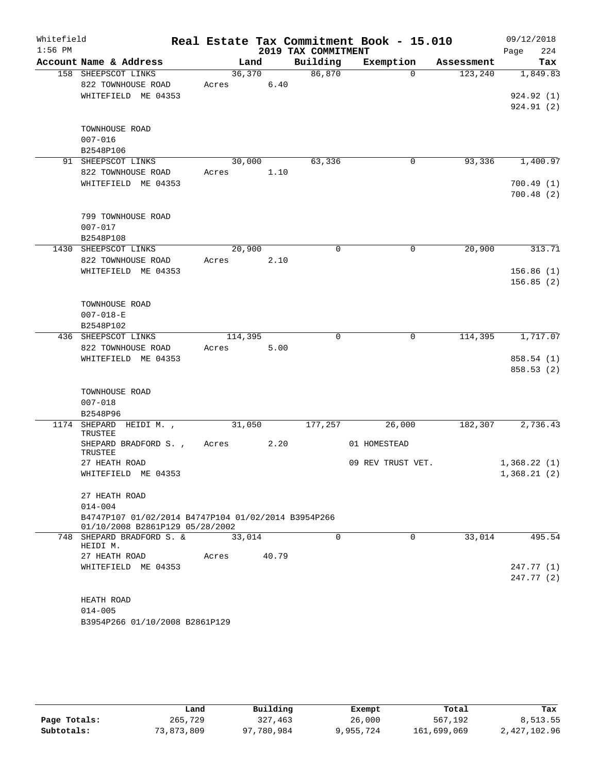| Whitefield<br>$1:56$ PM |                                                                                                                        |                 |       | 2019 TAX COMMITMENT | Real Estate Tax Commitment Book - 15.010 |            | 09/12/2018<br>224<br>Page  |
|-------------------------|------------------------------------------------------------------------------------------------------------------------|-----------------|-------|---------------------|------------------------------------------|------------|----------------------------|
|                         | Account Name & Address                                                                                                 |                 | Land  | Building            | Exemption                                | Assessment | Tax                        |
|                         | 158 SHEEPSCOT LINKS<br>822 TOWNHOUSE ROAD<br>WHITEFIELD ME 04353                                                       | 36,370<br>Acres | 6.40  | 86,870              | $\Omega$                                 | 123,240    | 1,849.83<br>924.92 (1)     |
|                         | TOWNHOUSE ROAD<br>$007 - 016$<br>B2548P106                                                                             |                 |       |                     |                                          |            | 924.91 (2)                 |
|                         | 91 SHEEPSCOT LINKS                                                                                                     | 30,000          |       | 63,336              | 0                                        | 93,336     | 1,400.97                   |
|                         | 822 TOWNHOUSE ROAD<br>WHITEFIELD ME 04353                                                                              | Acres           | 1.10  |                     |                                          |            | 700.49(1)<br>700.48(2)     |
|                         | 799 TOWNHOUSE ROAD<br>$007 - 017$<br>B2548P108                                                                         |                 |       |                     |                                          |            |                            |
|                         | 1430 SHEEPSCOT LINKS                                                                                                   | 20,900          |       | $\Omega$            | 0                                        | 20,900     | 313.71                     |
|                         | 822 TOWNHOUSE ROAD<br>WHITEFIELD ME 04353                                                                              | Acres           | 2.10  |                     |                                          |            | 156.86(1)<br>156.85(2)     |
|                         | TOWNHOUSE ROAD<br>$007 - 018 - E$<br>B2548P102                                                                         |                 |       |                     |                                          |            |                            |
|                         | 436 SHEEPSCOT LINKS                                                                                                    | 114,395         |       | $\mathbf 0$         | 0                                        | 114,395    | 1,717.07                   |
|                         | 822 TOWNHOUSE ROAD<br>WHITEFIELD ME 04353                                                                              | Acres           | 5.00  |                     |                                          |            | 858.54(1)<br>858.53 (2)    |
|                         | TOWNHOUSE ROAD<br>$007 - 018$<br>B2548P96                                                                              |                 |       |                     |                                          |            |                            |
|                         | 1174 SHEPARD HEIDI M.,<br>TRUSTEE                                                                                      | 31,050          |       | 177,257             | 26,000                                   | 182,307    | 2,736.43                   |
|                         | SHEPARD BRADFORD S.,<br>TRUSTEE                                                                                        | Acres           | 2.20  |                     | 01 HOMESTEAD                             |            |                            |
|                         | 27 HEATH ROAD<br>WHITEFIELD ME 04353                                                                                   |                 |       |                     | 09 REV TRUST VET.                        |            | 1,368.22(1)<br>1,368.21(2) |
|                         | 27 HEATH ROAD<br>$014 - 004$<br>B4747P107 01/02/2014 B4747P104 01/02/2014 B3954P266<br>01/10/2008 B2861P129 05/28/2002 |                 |       |                     |                                          |            |                            |
|                         | 748 SHEPARD BRADFORD S. &                                                                                              | 33,014          |       | $\Omega$            | $\Omega$                                 | 33,014     | 495.54                     |
|                         | HEIDI M.<br>27 HEATH ROAD<br>WHITEFIELD ME 04353                                                                       | Acres           | 40.79 |                     |                                          |            | 247.77 (1)<br>247.77(2)    |
|                         | HEATH ROAD<br>$014 - 005$<br>B3954P266 01/10/2008 B2861P129                                                            |                 |       |                     |                                          |            |                            |

|              | Land       | Building   | Exempt    | Total       | Tax          |
|--------------|------------|------------|-----------|-------------|--------------|
| Page Totals: | 265,729    | 327,463    | 26,000    | 567,192     | 8,513.55     |
| Subtotals:   | 73,873,809 | 97,780,984 | 9,955,724 | 161,699,069 | 2,427,102.96 |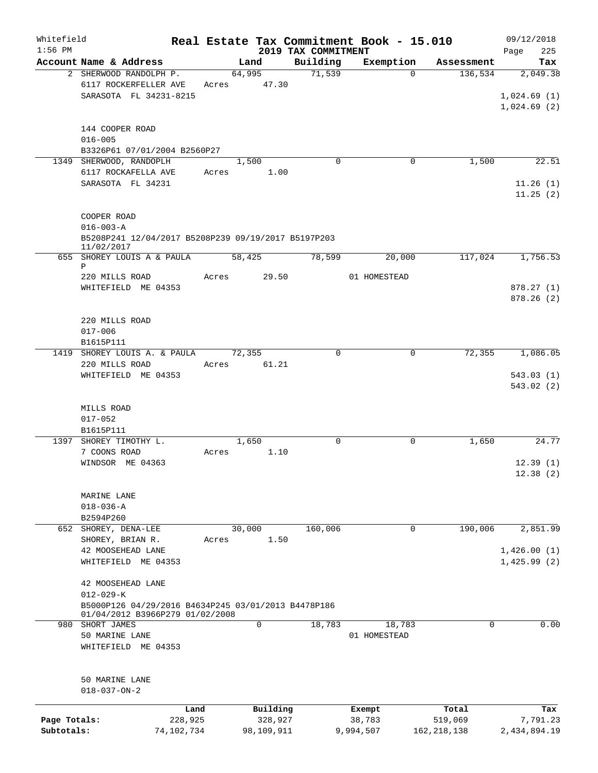| Whitefield<br>$1:56$ PM |                                                                                        |            |        |            | 2019 TAX COMMITMENT |          | Real Estate Tax Commitment Book - 15.010 |             |               | 09/12/2018         |
|-------------------------|----------------------------------------------------------------------------------------|------------|--------|------------|---------------------|----------|------------------------------------------|-------------|---------------|--------------------|
|                         | Account Name & Address                                                                 |            |        | Land       |                     | Building | Exemption                                |             | Assessment    | Page<br>225<br>Tax |
|                         | 2 SHERWOOD RANDOLPH P.                                                                 |            | 64,995 |            |                     | 71,539   |                                          | $\Omega$    | 136,534       | 2,049.38           |
|                         | 6117 ROCKERFELLER AVE                                                                  | Acres      |        | 47.30      |                     |          |                                          |             |               |                    |
|                         | SARASOTA FL 34231-8215                                                                 |            |        |            |                     |          |                                          |             |               | 1,024.69(1)        |
|                         |                                                                                        |            |        |            |                     |          |                                          |             |               | 1,024.69(2)        |
|                         |                                                                                        |            |        |            |                     |          |                                          |             |               |                    |
|                         | 144 COOPER ROAD                                                                        |            |        |            |                     |          |                                          |             |               |                    |
|                         | $016 - 005$                                                                            |            |        |            |                     |          |                                          |             |               |                    |
|                         | B3326P61 07/01/2004 B2560P27                                                           |            |        |            |                     |          |                                          |             |               |                    |
|                         | 1349 SHERWOOD, RANDOPLH                                                                |            |        | 1,500      |                     | $\Omega$ |                                          | 0           | 1,500         | 22.51              |
|                         | 6117 ROCKAFELLA AVE                                                                    | Acres      |        | 1.00       |                     |          |                                          |             |               |                    |
|                         | SARASOTA FL 34231                                                                      |            |        |            |                     |          |                                          |             |               | 11.26(1)           |
|                         |                                                                                        |            |        |            |                     |          |                                          |             |               | 11.25(2)           |
|                         |                                                                                        |            |        |            |                     |          |                                          |             |               |                    |
|                         | COOPER ROAD                                                                            |            |        |            |                     |          |                                          |             |               |                    |
|                         | $016 - 003 - A$                                                                        |            |        |            |                     |          |                                          |             |               |                    |
|                         | B5208P241 12/04/2017 B5208P239 09/19/2017 B5197P203                                    |            |        |            |                     |          |                                          |             |               |                    |
|                         | 11/02/2017                                                                             |            |        |            |                     |          |                                          |             |               |                    |
|                         | 655 SHOREY LOUIS A & PAULA<br>Ρ                                                        |            | 58,425 |            |                     | 78,599   | 20,000                                   |             | 117,024       | 1,756.53           |
|                         | 220 MILLS ROAD                                                                         | Acres      |        | 29.50      |                     |          | 01 HOMESTEAD                             |             |               |                    |
|                         | WHITEFIELD ME 04353                                                                    |            |        |            |                     |          |                                          |             |               | 878.27(1)          |
|                         |                                                                                        |            |        |            |                     |          |                                          |             |               | 878.26 (2)         |
|                         |                                                                                        |            |        |            |                     |          |                                          |             |               |                    |
|                         | 220 MILLS ROAD                                                                         |            |        |            |                     |          |                                          |             |               |                    |
|                         | $017 - 006$                                                                            |            |        |            |                     |          |                                          |             |               |                    |
|                         | B1615P111                                                                              |            |        |            |                     |          |                                          |             |               |                    |
|                         | 1419 SHOREY LOUIS A. & PAULA                                                           |            | 72,355 |            |                     | 0        |                                          | 0           | 72,355        | 1,086.05           |
|                         | 220 MILLS ROAD                                                                         | Acres      |        | 61.21      |                     |          |                                          |             |               |                    |
|                         | WHITEFIELD ME 04353                                                                    |            |        |            |                     |          |                                          |             |               | 543.03(1)          |
|                         |                                                                                        |            |        |            |                     |          |                                          |             |               | 543.02 (2)         |
|                         |                                                                                        |            |        |            |                     |          |                                          |             |               |                    |
|                         | MILLS ROAD                                                                             |            |        |            |                     |          |                                          |             |               |                    |
|                         | $017 - 052$                                                                            |            |        |            |                     |          |                                          |             |               |                    |
|                         | B1615P111                                                                              |            |        |            |                     |          |                                          |             |               |                    |
|                         | 1397 SHOREY TIMOTHY L.                                                                 |            |        | 1,650      |                     | $\Omega$ |                                          | 0           | 1,650         | 24.77              |
|                         | 7 COONS ROAD                                                                           | Acres      |        | 1.10       |                     |          |                                          |             |               |                    |
|                         | WINDSOR ME 04363                                                                       |            |        |            |                     |          |                                          |             |               | 12.39(1)           |
|                         |                                                                                        |            |        |            |                     |          |                                          |             |               | 12.38(2)           |
|                         |                                                                                        |            |        |            |                     |          |                                          |             |               |                    |
|                         | MARINE LANE                                                                            |            |        |            |                     |          |                                          |             |               |                    |
|                         | $018 - 036 - A$                                                                        |            |        |            |                     |          |                                          |             |               |                    |
|                         | B2594P260                                                                              |            |        |            |                     |          |                                          |             |               |                    |
|                         | 652 SHOREY, DENA-LEE                                                                   |            | 30,000 |            |                     | 160,006  |                                          | $\mathbf 0$ | 190,006       | 2,851.99           |
|                         | SHOREY, BRIAN R.                                                                       | Acres      |        | 1.50       |                     |          |                                          |             |               |                    |
|                         | 42 MOOSEHEAD LANE                                                                      |            |        |            |                     |          |                                          |             |               | 1,426.00(1)        |
|                         | WHITEFIELD ME 04353                                                                    |            |        |            |                     |          |                                          |             |               | 1,425.99(2)        |
|                         |                                                                                        |            |        |            |                     |          |                                          |             |               |                    |
|                         | 42 MOOSEHEAD LANE                                                                      |            |        |            |                     |          |                                          |             |               |                    |
|                         | $012 - 029 - K$                                                                        |            |        |            |                     |          |                                          |             |               |                    |
|                         | B5000P126 04/29/2016 B4634P245 03/01/2013 B4478P186<br>01/04/2012 B3966P279 01/02/2008 |            |        |            |                     |          |                                          |             |               |                    |
| 980                     | SHORT JAMES                                                                            |            |        | 0          |                     | 18,783   | 18,783                                   |             | 0             | 0.00               |
|                         | 50 MARINE LANE                                                                         |            |        |            |                     |          | 01 HOMESTEAD                             |             |               |                    |
|                         | WHITEFIELD ME 04353                                                                    |            |        |            |                     |          |                                          |             |               |                    |
|                         |                                                                                        |            |        |            |                     |          |                                          |             |               |                    |
|                         |                                                                                        |            |        |            |                     |          |                                          |             |               |                    |
|                         | 50 MARINE LANE                                                                         |            |        |            |                     |          |                                          |             |               |                    |
|                         | $018 - 037 - ON - 2$                                                                   |            |        |            |                     |          |                                          |             |               |                    |
|                         |                                                                                        |            |        |            |                     |          |                                          |             |               |                    |
|                         |                                                                                        | Land       |        | Building   |                     |          | Exempt                                   |             | Total         | Tax                |
| Page Totals:            |                                                                                        | 228,925    |        | 328,927    |                     |          | 38,783                                   |             | 519,069       | 7,791.23           |
| Subtotals:              |                                                                                        | 74,102,734 |        | 98,109,911 |                     |          | 9,994,507                                |             | 162, 218, 138 | 2,434,894.19       |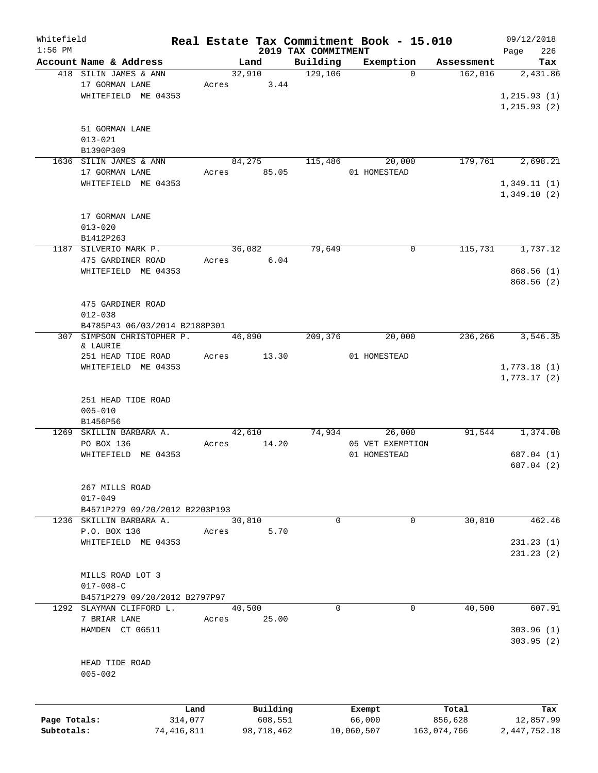| Whitefield   |                                |            |            |                     | Real Estate Tax Commitment Book - 15.010 |             | 09/12/2018      |
|--------------|--------------------------------|------------|------------|---------------------|------------------------------------------|-------------|-----------------|
| $1:56$ PM    |                                |            |            | 2019 TAX COMMITMENT |                                          |             | Page<br>226     |
|              | Account Name & Address         |            | Land       | Building            | Exemption                                | Assessment  | Tax             |
|              | 418 SILIN JAMES & ANN          |            | 32,910     | 129,106             | $\Omega$                                 | 162,016     | 2,431.86        |
|              | 17 GORMAN LANE                 | Acres      | 3.44       |                     |                                          |             |                 |
|              | WHITEFIELD ME 04353            |            |            |                     |                                          |             | 1, 215.93(1)    |
|              |                                |            |            |                     |                                          |             | 1, 215.93(2)    |
|              |                                |            |            |                     |                                          |             |                 |
|              | 51 GORMAN LANE                 |            |            |                     |                                          |             |                 |
|              | $013 - 021$                    |            |            |                     |                                          |             |                 |
|              | B1390P309                      |            |            |                     |                                          |             |                 |
|              | 1636 SILIN JAMES & ANN         |            | 84,275     | 115,486             | 20,000                                   | 179,761     | 2,698.21        |
|              | 17 GORMAN LANE                 | Acres      | 85.05      |                     | 01 HOMESTEAD                             |             |                 |
|              | WHITEFIELD ME 04353            |            |            |                     |                                          |             | 1,349.11(1)     |
|              |                                |            |            |                     |                                          |             | 1,349.10(2)     |
|              |                                |            |            |                     |                                          |             |                 |
|              | 17 GORMAN LANE                 |            |            |                     |                                          |             |                 |
|              | $013 - 020$                    |            |            |                     |                                          |             |                 |
|              | B1412P263                      |            |            |                     |                                          |             |                 |
|              | 1187 SILVERIO MARK P.          |            | 36,082     | 79,649              | 0                                        | 115,731     | 1,737.12        |
|              | 475 GARDINER ROAD              | Acres      | 6.04       |                     |                                          |             |                 |
|              | WHITEFIELD ME 04353            |            |            |                     |                                          |             | 868.56(1)       |
|              |                                |            |            |                     |                                          |             | 868.56 (2)      |
|              |                                |            |            |                     |                                          |             |                 |
|              | 475 GARDINER ROAD              |            |            |                     |                                          |             |                 |
|              | $012 - 038$                    |            |            |                     |                                          |             |                 |
|              | B4785P43 06/03/2014 B2188P301  |            |            |                     |                                          |             |                 |
|              | 307 SIMPSON CHRISTOPHER P.     |            | 46,890     | 209,376             | 20,000                                   | 236,266     | 3,546.35        |
|              | & LAURIE                       |            |            |                     |                                          |             |                 |
|              | 251 HEAD TIDE ROAD             | Acres      | 13.30      |                     | 01 HOMESTEAD                             |             |                 |
|              | WHITEFIELD ME 04353            |            |            |                     |                                          |             | 1,773.18(1)     |
|              |                                |            |            |                     |                                          |             | 1,773.17(2)     |
|              |                                |            |            |                     |                                          |             |                 |
|              | 251 HEAD TIDE ROAD             |            |            |                     |                                          |             |                 |
|              | $005 - 010$                    |            |            |                     |                                          |             |                 |
|              | B1456P56                       |            |            |                     |                                          |             |                 |
|              | 1269 SKILLIN BARBARA A.        |            | 42,610     | 74,934              | 26,000                                   | 91,544      | 1,374.08        |
|              | PO BOX 136                     | Acres      | 14.20      |                     | 05 VET EXEMPTION                         |             |                 |
|              | WHITEFIELD ME 04353            |            |            |                     | 01 HOMESTEAD                             |             | 687.04 (1)      |
|              |                                |            |            |                     |                                          |             | 687.04 (2)      |
|              |                                |            |            |                     |                                          |             |                 |
|              | 267 MILLS ROAD                 |            |            |                     |                                          |             |                 |
|              | $017 - 049$                    |            |            |                     |                                          |             |                 |
|              | B4571P279 09/20/2012 B2203P193 |            |            |                     |                                          |             |                 |
|              | 1236 SKILLIN BARBARA A.        |            | 30,810     | $\mathbf 0$         | 0                                        | 30,810      | 462.46          |
|              | P.O. BOX 136                   | Acres      | 5.70       |                     |                                          |             |                 |
|              | WHITEFIELD ME 04353            |            |            |                     |                                          |             | 231.23(1)       |
|              |                                |            |            |                     |                                          |             | 231.23(2)       |
|              |                                |            |            |                     |                                          |             |                 |
|              | MILLS ROAD LOT 3               |            |            |                     |                                          |             |                 |
|              | $017 - 008 - C$                |            |            |                     |                                          |             |                 |
|              | B4571P279 09/20/2012 B2797P97  |            |            |                     |                                          |             |                 |
|              | 1292 SLAYMAN CLIFFORD L.       |            | 40,500     | $\Omega$            | 0                                        | 40,500      | 607.91          |
|              | 7 BRIAR LANE                   | Acres      | 25.00      |                     |                                          |             |                 |
|              | HAMDEN CT 06511                |            |            |                     |                                          |             | 303.96(1)       |
|              |                                |            |            |                     |                                          |             | 303.95(2)       |
|              |                                |            |            |                     |                                          |             |                 |
|              | HEAD TIDE ROAD                 |            |            |                     |                                          |             |                 |
|              | $005 - 002$                    |            |            |                     |                                          |             |                 |
|              |                                |            |            |                     |                                          |             |                 |
|              |                                |            |            |                     |                                          |             |                 |
|              |                                | Land       | Building   |                     | Exempt                                   | Total       | Tax             |
| Page Totals: |                                | 314,077    | 608,551    |                     | 66,000                                   | 856,628     | 12,857.99       |
| Subtotals:   |                                | 74,416,811 | 98,718,462 |                     | 10,060,507                               | 163,074,766 | 2, 447, 752. 18 |
|              |                                |            |            |                     |                                          |             |                 |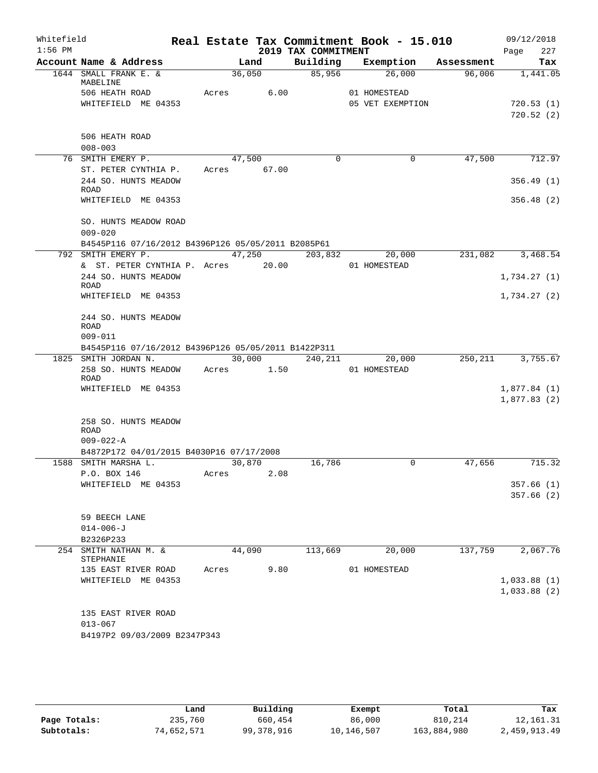| Whitefield<br>$1:56$ PM |                                                         |             |        | 2019 TAX COMMITMENT | Real Estate Tax Commitment Book - 15.010 |            | 09/12/2018<br>227<br>Page |
|-------------------------|---------------------------------------------------------|-------------|--------|---------------------|------------------------------------------|------------|---------------------------|
|                         | Account Name & Address                                  |             | Land   | Building            | Exemption                                | Assessment | Tax                       |
|                         | 1644 SMALL FRANK E. &<br>MABELINE                       |             | 36,050 | 85,956              | 26,000                                   | 96,006     | 1,441.05                  |
|                         | 506 HEATH ROAD                                          | Acres       | 6.00   |                     | 01 HOMESTEAD                             |            |                           |
|                         | WHITEFIELD ME 04353                                     |             |        |                     | 05 VET EXEMPTION                         |            | 720.53(1)                 |
|                         |                                                         |             |        |                     |                                          |            | 720.52(2)                 |
|                         |                                                         |             |        |                     |                                          |            |                           |
|                         | 506 HEATH ROAD                                          |             |        |                     |                                          |            |                           |
|                         | $008 - 003$                                             |             |        |                     |                                          |            |                           |
|                         | 76 SMITH EMERY P.                                       |             | 47,500 | $\Omega$            | 0                                        | 47,500     | 712.97                    |
|                         | ST. PETER CYNTHIA P.                                    | Acres 67.00 |        |                     |                                          |            |                           |
|                         | 244 SO. HUNTS MEADOW<br><b>ROAD</b>                     |             |        |                     |                                          |            | 356.49(1)                 |
|                         | WHITEFIELD ME 04353                                     |             |        |                     |                                          |            | 356.48(2)                 |
|                         |                                                         |             |        |                     |                                          |            |                           |
|                         | SO. HUNTS MEADOW ROAD                                   |             |        |                     |                                          |            |                           |
|                         | $009 - 020$                                             |             |        |                     |                                          |            |                           |
|                         | B4545P116 07/16/2012 B4396P126 05/05/2011 B2085P61      |             |        |                     |                                          |            |                           |
|                         | 792 SMITH EMERY P.                                      |             |        | $47,250$ 203,832    | 20,000                                   | 231,082    | 3,468.54                  |
|                         | & ST. PETER CYNTHIA P. Acres 20.00                      |             |        |                     | 01 HOMESTEAD                             |            |                           |
|                         | 244 SO. HUNTS MEADOW<br><b>ROAD</b>                     |             |        |                     |                                          |            | 1,734.27(1)               |
|                         | WHITEFIELD ME 04353                                     |             |        |                     |                                          |            | 1,734.27(2)               |
|                         |                                                         |             |        |                     |                                          |            |                           |
|                         | 244 SO. HUNTS MEADOW                                    |             |        |                     |                                          |            |                           |
|                         | ROAD                                                    |             |        |                     |                                          |            |                           |
|                         | $009 - 011$                                             |             |        |                     |                                          |            |                           |
|                         | B4545P116 07/16/2012 B4396P126 05/05/2011 B1422P311     |             |        |                     |                                          |            |                           |
|                         | 1825 SMITH JORDAN N.<br>258 SO. HUNTS MEADOW Acres 1.50 |             | 30,000 | 240, 211            | 20,000<br>01 HOMESTEAD                   |            | 250, 211 3, 755.67        |
|                         | <b>ROAD</b>                                             |             |        |                     |                                          |            |                           |
|                         | WHITEFIELD ME 04353                                     |             |        |                     |                                          |            | 1,877.84(1)               |
|                         |                                                         |             |        |                     |                                          |            | 1,877.83(2)               |
|                         |                                                         |             |        |                     |                                          |            |                           |
|                         | 258 SO. HUNTS MEADOW                                    |             |        |                     |                                          |            |                           |
|                         | ROAD<br>$009 - 022 - A$                                 |             |        |                     |                                          |            |                           |
|                         | B4872P172 04/01/2015 B4030P16 07/17/2008                |             |        |                     |                                          |            |                           |
|                         | 1588 SMITH MARSHA L.                                    | 30,870      |        | 16,786              | 0                                        | 47,656     | 715.32                    |
|                         | P.O. BOX 146                                            | Acres       | 2.08   |                     |                                          |            |                           |
|                         | WHITEFIELD ME 04353                                     |             |        |                     |                                          |            | 357.66(1)                 |
|                         |                                                         |             |        |                     |                                          |            | 357.66(2)                 |
|                         |                                                         |             |        |                     |                                          |            |                           |
|                         | 59 BEECH LANE                                           |             |        |                     |                                          |            |                           |
|                         | $014 - 006 - J$                                         |             |        |                     |                                          |            |                           |
|                         | B2326P233                                               |             |        |                     |                                          |            |                           |
|                         | 254 SMITH NATHAN M. &<br>STEPHANIE                      |             | 44,090 | 113,669             | 20,000                                   | 137,759    | 2,067.76                  |
|                         | 135 EAST RIVER ROAD                                     | Acres       | 9.80   |                     | 01 HOMESTEAD                             |            |                           |
|                         | WHITEFIELD ME 04353                                     |             |        |                     |                                          |            | 1,033.88(1)               |
|                         |                                                         |             |        |                     |                                          |            | 1,033.88(2)               |
|                         |                                                         |             |        |                     |                                          |            |                           |
|                         | 135 EAST RIVER ROAD                                     |             |        |                     |                                          |            |                           |
|                         | $013 - 067$                                             |             |        |                     |                                          |            |                           |
|                         | B4197P2 09/03/2009 B2347P343                            |             |        |                     |                                          |            |                           |
|                         |                                                         |             |        |                     |                                          |            |                           |

|              | Land       | Building   | Exempt     | Total       | Tax          |
|--------------|------------|------------|------------|-------------|--------------|
| Page Totals: | 235,760    | 660,454    | 86,000     | 810,214     | 12, 161. 31  |
| Subtotals:   | 74,652,571 | 99,378,916 | 10,146,507 | 163,884,980 | 2,459,913.49 |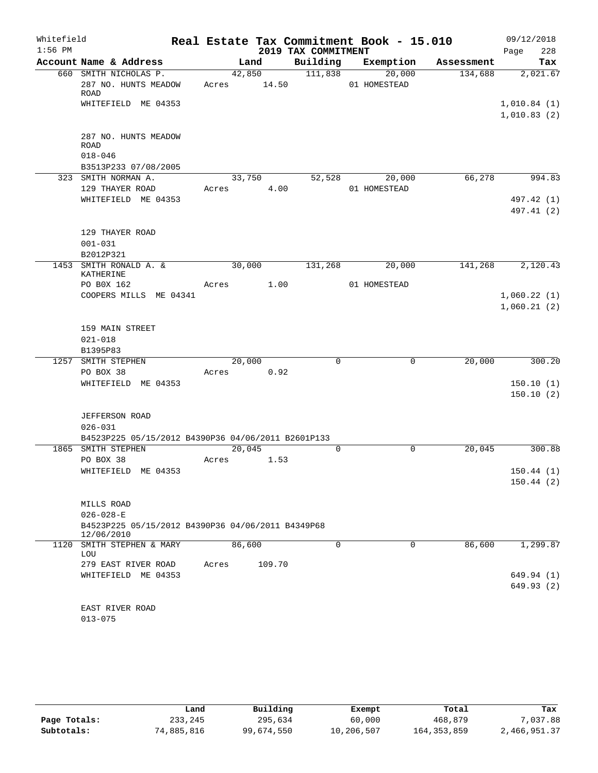| Whitefield |                                                                 |                 |        |                     | Real Estate Tax Commitment Book - 15.010 |            | 09/12/2018                 |
|------------|-----------------------------------------------------------------|-----------------|--------|---------------------|------------------------------------------|------------|----------------------------|
| $1:56$ PM  |                                                                 |                 |        | 2019 TAX COMMITMENT |                                          |            | 228<br>Page                |
|            | Account Name & Address                                          |                 | Land   | Building            | Exemption                                | Assessment | Tax                        |
|            | 660 SMITH NICHOLAS P.<br>287 NO. HUNTS MEADOW<br>ROAD           | 42,850<br>Acres | 14.50  | 111,838             | 20,000<br>01 HOMESTEAD                   | 134,688    | 2,021.67                   |
|            | WHITEFIELD ME 04353                                             |                 |        |                     |                                          |            | 1,010.84(1)<br>1,010.83(2) |
|            | 287 NO. HUNTS MEADOW<br><b>ROAD</b><br>$018 - 046$              |                 |        |                     |                                          |            |                            |
|            | B3513P233 07/08/2005<br>323 SMITH NORMAN A.                     | 33,750          |        | 52,528              | 20,000                                   | 66,278     | 994.83                     |
|            | 129 THAYER ROAD                                                 | Acres           | 4.00   |                     | 01 HOMESTEAD                             |            |                            |
|            | WHITEFIELD ME 04353                                             |                 |        |                     |                                          |            | 497.42 (1)                 |
|            |                                                                 |                 |        |                     |                                          |            | 497.41 (2)                 |
|            | 129 THAYER ROAD<br>$001 - 031$                                  |                 |        |                     |                                          |            |                            |
|            | B2012P321<br>1453 SMITH RONALD A. &                             | 30,000          |        | 131,268             | 20,000                                   | 141,268    | 2,120.43                   |
|            | KATHERINE                                                       |                 |        |                     |                                          |            |                            |
|            | PO B0X 162                                                      | Acres           | 1.00   |                     | 01 HOMESTEAD                             |            |                            |
|            | COOPERS MILLS ME 04341                                          |                 |        |                     |                                          |            | 1,060.22(1)                |
|            |                                                                 |                 |        |                     |                                          |            | 1,060.21(2)                |
|            |                                                                 |                 |        |                     |                                          |            |                            |
|            | 159 MAIN STREET                                                 |                 |        |                     |                                          |            |                            |
|            | $021 - 018$                                                     |                 |        |                     |                                          |            |                            |
|            | B1395P83                                                        |                 |        |                     |                                          |            |                            |
|            | 1257 SMITH STEPHEN                                              | 20,000          |        | $\mathbf 0$         | 0                                        | 20,000     | 300.20                     |
|            | PO BOX 38                                                       | Acres           | 0.92   |                     |                                          |            |                            |
|            | WHITEFIELD ME 04353                                             |                 |        |                     |                                          |            | 150.10(1)                  |
|            |                                                                 |                 |        |                     |                                          |            | 150.10(2)                  |
|            |                                                                 |                 |        |                     |                                          |            |                            |
|            | <b>JEFFERSON ROAD</b><br>$026 - 031$                            |                 |        |                     |                                          |            |                            |
|            | B4523P225 05/15/2012 B4390P36 04/06/2011 B2601P133              |                 |        |                     |                                          |            |                            |
|            | 1865 SMITH STEPHEN                                              | 20,045          |        | $\Omega$            | $\Omega$                                 | 20,045     | 300.88                     |
|            | PO BOX 38                                                       | Acres           | 1.53   |                     |                                          |            |                            |
|            | WHITEFIELD ME 04353                                             |                 |        |                     |                                          |            | 150.44(1)                  |
|            |                                                                 |                 |        |                     |                                          |            | 150.44(2)                  |
|            |                                                                 |                 |        |                     |                                          |            |                            |
|            | MILLS ROAD                                                      |                 |        |                     |                                          |            |                            |
|            | $026 - 028 - E$                                                 |                 |        |                     |                                          |            |                            |
|            | B4523P225 05/15/2012 B4390P36 04/06/2011 B4349P68<br>12/06/2010 |                 |        |                     |                                          |            |                            |
|            | 1120 SMITH STEPHEN & MARY<br>LOU                                | 86,600          |        | $\mathbf 0$         | 0                                        | 86,600     | 1,299.87                   |
|            | 279 EAST RIVER ROAD                                             | Acres           | 109.70 |                     |                                          |            |                            |
|            | WHITEFIELD ME 04353                                             |                 |        |                     |                                          |            | 649.94 (1)                 |
|            |                                                                 |                 |        |                     |                                          |            | 649.93(2)                  |
|            |                                                                 |                 |        |                     |                                          |            |                            |
|            | EAST RIVER ROAD                                                 |                 |        |                     |                                          |            |                            |
|            | $013 - 075$                                                     |                 |        |                     |                                          |            |                            |

|              | Land       | Building   | Exempt     | Total         | Tax          |
|--------------|------------|------------|------------|---------------|--------------|
| Page Totals: | 233,245    | 295,634    | 60,000     | 468,879       | 7,037.88     |
| Subtotals:   | 74,885,816 | 99,674,550 | 10,206,507 | 164, 353, 859 | 2,466,951.37 |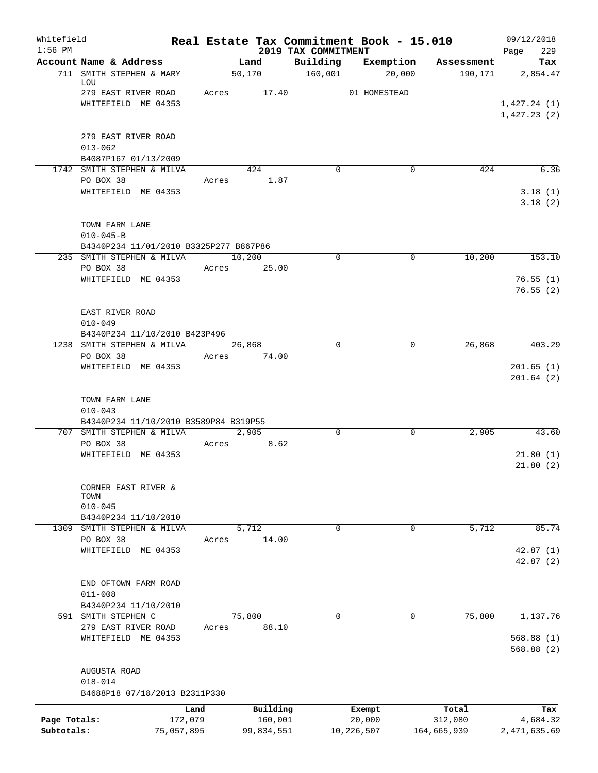| Whitefield<br>$1:56$ PM |                                            |                 |                       | 2019 TAX COMMITMENT | Real Estate Tax Commitment Book - 15.010 |                  | 09/12/2018<br>229    |
|-------------------------|--------------------------------------------|-----------------|-----------------------|---------------------|------------------------------------------|------------------|----------------------|
|                         | Account Name & Address                     |                 | Land                  | Building            | Exemption                                | Assessment       | Page<br>Tax          |
|                         | 711 SMITH STEPHEN & MARY                   |                 | 50,170                | 160,001             | 20,000                                   | 190, 171         | 2,854.47             |
|                         | LOU<br>279 EAST RIVER ROAD                 |                 | Acres 17.40           |                     | 01 HOMESTEAD                             |                  |                      |
|                         | WHITEFIELD ME 04353                        |                 |                       |                     |                                          |                  | 1,427.24(1)          |
|                         |                                            |                 |                       |                     |                                          |                  | 1,427.23(2)          |
|                         | 279 EAST RIVER ROAD                        |                 |                       |                     |                                          |                  |                      |
|                         | $013 - 062$                                |                 |                       |                     |                                          |                  |                      |
|                         | B4087P167 01/13/2009                       |                 |                       |                     |                                          |                  |                      |
|                         | 1742 SMITH STEPHEN & MILVA                 |                 | 424                   | $\Omega$            | 0                                        | 424              | 6.36                 |
|                         | PO BOX 38<br>WHITEFIELD ME 04353           | Acres           | 1.87                  |                     |                                          |                  | 3.18(1)              |
|                         |                                            |                 |                       |                     |                                          |                  | 3.18(2)              |
|                         | TOWN FARM LANE                             |                 |                       |                     |                                          |                  |                      |
|                         | $010 - 045 - B$                            |                 |                       |                     |                                          |                  |                      |
|                         | B4340P234 11/01/2010 B3325P277 B867P86     |                 |                       |                     |                                          |                  |                      |
|                         | 235 SMITH STEPHEN & MILVA<br>PO BOX 38     |                 | 10,200<br>Acres 25.00 | $\Omega$            | 0                                        | 10,200           | 153.10               |
|                         | WHITEFIELD ME 04353                        |                 |                       |                     |                                          |                  | 76.55(1)             |
|                         |                                            |                 |                       |                     |                                          |                  | 76.55(2)             |
|                         | EAST RIVER ROAD                            |                 |                       |                     |                                          |                  |                      |
|                         | $010 - 049$                                |                 |                       |                     |                                          |                  |                      |
|                         | B4340P234 11/10/2010 B423P496              |                 |                       |                     |                                          |                  |                      |
|                         | 1238 SMITH STEPHEN & MILVA<br>PO BOX 38    |                 | 26,868<br>Acres 74.00 | $\Omega$            | 0                                        | 26,868           | 403.29               |
|                         | WHITEFIELD ME 04353                        |                 |                       |                     |                                          |                  | 201.65(1)            |
|                         |                                            |                 |                       |                     |                                          |                  | 201.64(2)            |
|                         | TOWN FARM LANE                             |                 |                       |                     |                                          |                  |                      |
|                         | $010 - 043$                                |                 |                       |                     |                                          |                  |                      |
|                         | B4340P234 11/10/2010 B3589P84 B319P55      |                 |                       |                     |                                          |                  |                      |
|                         | 707 SMITH STEPHEN & MILVA<br>PO BOX 38     |                 | 2,905<br>Acres 8.62   | $\mathbf 0$         | $\mathbf 0$                              | 2,905            | 43.60                |
|                         | WHITEFIELD ME 04353                        |                 |                       |                     |                                          |                  | 21.80(1)             |
|                         |                                            |                 |                       |                     |                                          |                  | 21.80(2)             |
|                         | CORNER EAST RIVER &                        |                 |                       |                     |                                          |                  |                      |
|                         | TOWN<br>$010 - 045$                        |                 |                       |                     |                                          |                  |                      |
|                         | B4340P234 11/10/2010                       |                 |                       |                     |                                          |                  |                      |
| 1309                    | SMITH STEPHEN & MILVA                      |                 | 5,712                 | $\Omega$            | 0                                        | 5,712            | 85.74                |
|                         | PO BOX 38                                  | Acres           | 14.00                 |                     |                                          |                  |                      |
|                         | WHITEFIELD ME 04353                        |                 |                       |                     |                                          |                  | 42.87(1)<br>42.87(2) |
|                         | END OFTOWN FARM ROAD                       |                 |                       |                     |                                          |                  |                      |
|                         | $011 - 008$                                |                 |                       |                     |                                          |                  |                      |
|                         | B4340P234 11/10/2010                       |                 |                       |                     |                                          |                  |                      |
|                         | 591 SMITH STEPHEN C                        |                 | 75,800                | $\mathbf 0$         | 0                                        | 75,800           | 1,137.76             |
|                         | 279 EAST RIVER ROAD<br>WHITEFIELD ME 04353 | Acres           | 88.10                 |                     |                                          |                  | 568.88 (1)           |
|                         |                                            |                 |                       |                     |                                          |                  | 568.88 (2)           |
|                         | AUGUSTA ROAD                               |                 |                       |                     |                                          |                  |                      |
|                         | $018 - 014$                                |                 |                       |                     |                                          |                  |                      |
|                         | B4688P18 07/18/2013 B2311P330              |                 |                       |                     |                                          |                  |                      |
| Page Totals:            |                                            | Land<br>172,079 | Building<br>160,001   |                     | Exempt<br>20,000                         | Total<br>312,080 | Tax<br>4,684.32      |
| Subtotals:              |                                            | 75,057,895      | 99,834,551            |                     | 10,226,507                               | 164,665,939      | 2,471,635.69         |
|                         |                                            |                 |                       |                     |                                          |                  |                      |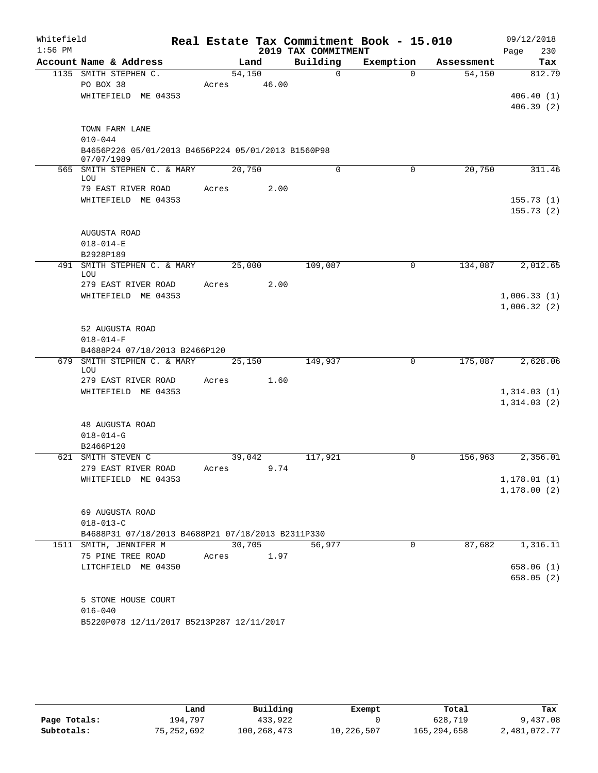| Whitefield<br>$1:56$ PM |                                                                                         | Real Estate Tax Commitment Book - 15.010 | 2019 TAX COMMITMENT |             |            | 09/12/2018<br>230<br>Page    |
|-------------------------|-----------------------------------------------------------------------------------------|------------------------------------------|---------------------|-------------|------------|------------------------------|
|                         | Account Name & Address                                                                  | Land                                     | Building            | Exemption   | Assessment | Tax                          |
|                         | 1135 SMITH STEPHEN C.<br>PO BOX 38<br>WHITEFIELD ME 04353                               | 54,150<br>46.00<br>Acres                 | $\Omega$            | $\Omega$    | 54,150     | 812.79<br>406.40(1)          |
|                         |                                                                                         |                                          |                     |             |            | 406.39(2)                    |
|                         | TOWN FARM LANE<br>$010 - 044$                                                           |                                          |                     |             |            |                              |
|                         | B4656P226 05/01/2013 B4656P224 05/01/2013 B1560P98<br>07/07/1989                        |                                          |                     |             |            |                              |
|                         | 565 SMITH STEPHEN C. & MARY<br>LOU                                                      | 20,750                                   | $\Omega$            | $\mathbf 0$ | 20,750     | 311.46                       |
|                         | 79 EAST RIVER ROAD<br>WHITEFIELD ME 04353                                               | 2.00<br>Acres                            |                     |             |            | 155.73(1)<br>155.73(2)       |
|                         | AUGUSTA ROAD<br>$018 - 014 - E$<br>B2928P189                                            |                                          |                     |             |            |                              |
| 491                     | SMITH STEPHEN C. & MARY<br>LOU                                                          | 25,000                                   | 109,087             | 0           | 134,087    | 2,012.65                     |
|                         | 279 EAST RIVER ROAD<br>WHITEFIELD ME 04353                                              | 2.00<br>Acres                            |                     |             |            | 1,006.33(1)<br>1,006.32(2)   |
|                         | 52 AUGUSTA ROAD<br>$018 - 014 - F$<br>B4688P24 07/18/2013 B2466P120                     |                                          |                     |             |            |                              |
| 679                     | SMITH STEPHEN C. & MARY<br>LOU                                                          | 25,150                                   | 149,937             | 0           | 175,087    | 2,628.06                     |
|                         | 279 EAST RIVER ROAD<br>WHITEFIELD ME 04353                                              | 1.60<br>Acres                            |                     |             |            | 1,314.03(1)<br>1,314.03(2)   |
|                         | <b>48 AUGUSTA ROAD</b><br>$018 - 014 - G$<br>B2466P120                                  |                                          |                     |             |            |                              |
|                         | 621 SMITH STEVEN C                                                                      | 39,042                                   | 117,921             | 0           | 156,963    | 2,356.01                     |
|                         | 279 EAST RIVER ROAD<br>WHITEFIELD ME 04353                                              | 9.74<br>Acres                            |                     |             |            | 1, 178.01(1)<br>1, 178.00(2) |
|                         | 69 AUGUSTA ROAD<br>$018 - 013 - C$<br>B4688P31 07/18/2013 B4688P21 07/18/2013 B2311P330 |                                          |                     |             |            |                              |
|                         | 1511 SMITH, JENNIFER M                                                                  | 30,705                                   | 56,977              | 0           | 87,682     | 1,316.11                     |
|                         | 75 PINE TREE ROAD<br>LITCHFIELD ME 04350                                                | 1.97<br>Acres                            |                     |             |            | 658.06(1)<br>658.05(2)       |
|                         | 5 STONE HOUSE COURT<br>$016 - 040$<br>B5220P078 12/11/2017 B5213P287 12/11/2017         |                                          |                     |             |            |                              |

|              | Land       | Building    | Exempt     | Total       | Tax          |
|--------------|------------|-------------|------------|-------------|--------------|
| Page Totals: | 194,797    | 433,922     |            | 628,719     | 9,437.08     |
| Subtotals:   | 75,252,692 | 100,268,473 | 10,226,507 | 165,294,658 | 2,481,072.77 |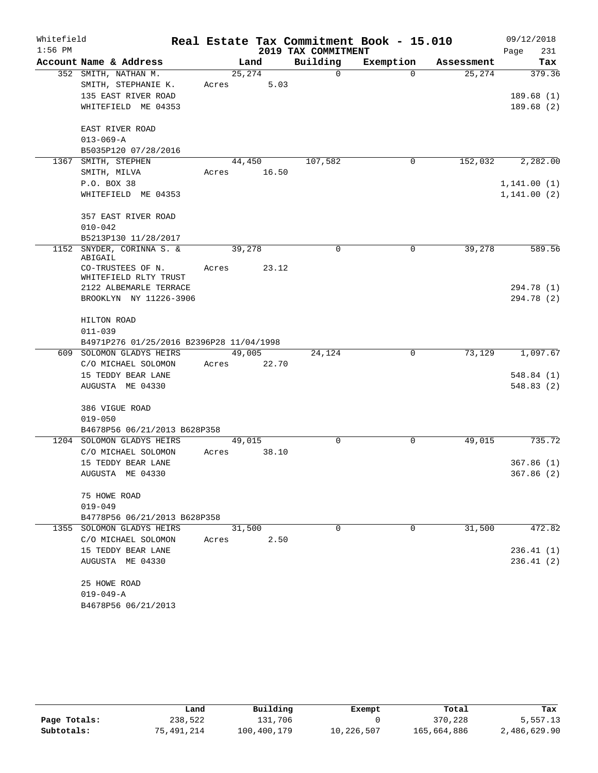| Whitefield |                                          |        |        |                     | Real Estate Tax Commitment Book - 15.010 |            | 09/12/2018   |
|------------|------------------------------------------|--------|--------|---------------------|------------------------------------------|------------|--------------|
| $1:56$ PM  |                                          |        |        | 2019 TAX COMMITMENT |                                          |            | Page<br>231  |
|            | Account Name & Address                   |        | Land   | Building            | Exemption                                | Assessment | Tax          |
|            | 352 SMITH, NATHAN M.                     | 25,274 |        | $\mathbf 0$         | $\Omega$                                 | 25,274     | 379.36       |
|            | SMITH, STEPHANIE K.                      | Acres  | 5.03   |                     |                                          |            |              |
|            | 135 EAST RIVER ROAD                      |        |        |                     |                                          |            | 189.68(1)    |
|            | WHITEFIELD ME 04353                      |        |        |                     |                                          |            | 189.68(2)    |
|            | EAST RIVER ROAD                          |        |        |                     |                                          |            |              |
|            | $013 - 069 - A$                          |        |        |                     |                                          |            |              |
|            | B5035P120 07/28/2016                     |        |        |                     |                                          |            |              |
| 1367       | SMITH, STEPHEN                           |        | 44,450 | 107,582             | 0                                        | 152,032    | 2,282.00     |
|            | SMITH, MILVA                             | Acres  | 16.50  |                     |                                          |            |              |
|            | P.O. BOX 38                              |        |        |                     |                                          |            | 1, 141.00(1) |
|            | WHITEFIELD ME 04353                      |        |        |                     |                                          |            | 1, 141.00(2) |
|            | 357 EAST RIVER ROAD                      |        |        |                     |                                          |            |              |
|            | $010 - 042$                              |        |        |                     |                                          |            |              |
|            | B5213P130 11/28/2017                     |        |        |                     |                                          |            |              |
| 1152       | SNYDER, CORINNA S. &<br>ABIGAIL          | 39,278 |        | 0                   | 0                                        | 39,278     | 589.56       |
|            | CO-TRUSTEES OF N.                        | Acres  | 23.12  |                     |                                          |            |              |
|            | WHITEFIELD RLTY TRUST                    |        |        |                     |                                          |            |              |
|            | 2122 ALBEMARLE TERRACE                   |        |        |                     |                                          |            | 294.78 (1)   |
|            | BROOKLYN NY 11226-3906                   |        |        |                     |                                          |            | 294.78 (2)   |
|            | HILTON ROAD                              |        |        |                     |                                          |            |              |
|            | $011 - 039$                              |        |        |                     |                                          |            |              |
|            | B4971P276 01/25/2016 B2396P28 11/04/1998 |        |        |                     |                                          |            |              |
|            | 609 SOLOMON GLADYS HEIRS                 |        | 49,005 | 24,124              | 0                                        | 73,129     | 1,097.67     |
|            | C/O MICHAEL SOLOMON                      | Acres  | 22.70  |                     |                                          |            |              |
|            | 15 TEDDY BEAR LANE                       |        |        |                     |                                          |            | 548.84(1)    |
|            | AUGUSTA ME 04330                         |        |        |                     |                                          |            | 548.83(2)    |
|            | 386 VIGUE ROAD                           |        |        |                     |                                          |            |              |
|            | $019 - 050$                              |        |        |                     |                                          |            |              |
|            | B4678P56 06/21/2013 B628P358             |        |        |                     |                                          |            |              |
|            | 1204 SOLOMON GLADYS HEIRS                | 49,015 |        | $\Omega$            | $\mathbf 0$                              | 49,015     | 735.72       |
|            | C/O MICHAEL SOLOMON                      | Acres  | 38.10  |                     |                                          |            |              |
|            | 15 TEDDY BEAR LANE                       |        |        |                     |                                          |            | 367.86(1)    |
|            | AUGUSTA ME 04330                         |        |        |                     |                                          |            | 367.86 (2)   |
|            | 75 HOWE ROAD                             |        |        |                     |                                          |            |              |
|            | $019 - 049$                              |        |        |                     |                                          |            |              |
|            | B4778P56 06/21/2013 B628P358             |        |        |                     |                                          |            |              |
|            | 1355 SOLOMON GLADYS HEIRS                |        | 31,500 | $\Omega$            | $\Omega$                                 | 31,500     | 472.82       |
|            | C/O MICHAEL SOLOMON                      | Acres  | 2.50   |                     |                                          |            |              |
|            | 15 TEDDY BEAR LANE                       |        |        |                     |                                          |            | 236.41(1)    |
|            | AUGUSTA ME 04330                         |        |        |                     |                                          |            | 236.41(2)    |
|            | 25 HOWE ROAD                             |        |        |                     |                                          |            |              |
|            | $019 - 049 - A$                          |        |        |                     |                                          |            |              |
|            | B4678P56 06/21/2013                      |        |        |                     |                                          |            |              |
|            |                                          |        |        |                     |                                          |            |              |

|              | Land       | Building    | Exempt     | Total       | Tax          |
|--------------|------------|-------------|------------|-------------|--------------|
| Page Totals: | 238,522    | 131,706     |            | 370,228     | 5,557.13     |
| Subtotals:   | 75,491,214 | 100,400,179 | 10,226,507 | 165,664,886 | 2,486,629.90 |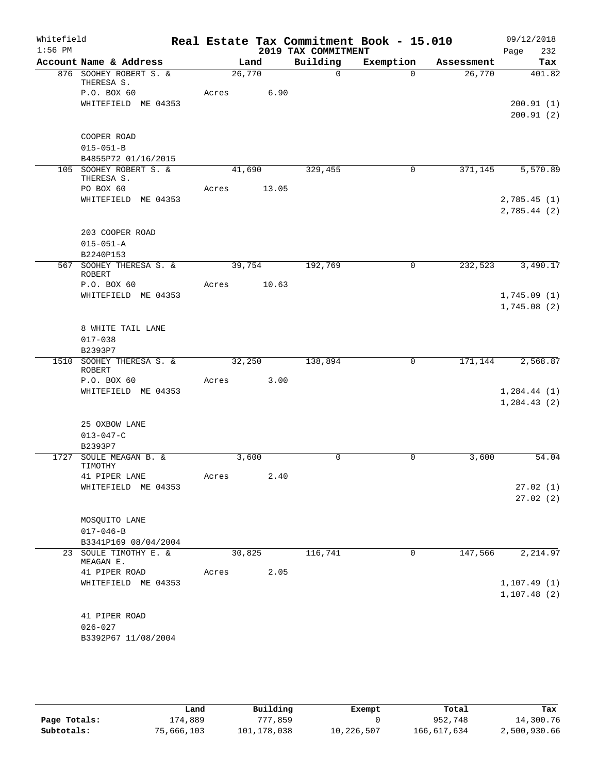| Whitefield<br>$1:56$ PM |                                          |        |       | 2019 TAX COMMITMENT | Real Estate Tax Commitment Book - 15.010 |            | 09/12/2018<br>Page<br>232    |
|-------------------------|------------------------------------------|--------|-------|---------------------|------------------------------------------|------------|------------------------------|
|                         | Account Name & Address                   |        | Land  | Building            | Exemption                                | Assessment | Tax                          |
|                         | 876 SOOHEY ROBERT S. &<br>THERESA S.     | 26,770 |       | $\Omega$            | $\Omega$                                 | 26,770     | 401.82                       |
|                         | P.O. BOX 60                              | Acres  | 6.90  |                     |                                          |            |                              |
|                         | WHITEFIELD ME 04353                      |        |       |                     |                                          |            | 200.91(1)                    |
|                         |                                          |        |       |                     |                                          |            | 200.91(2)                    |
|                         | COOPER ROAD                              |        |       |                     |                                          |            |                              |
|                         | $015 - 051 - B$                          |        |       |                     |                                          |            |                              |
|                         | B4855P72 01/16/2015                      |        |       |                     |                                          |            |                              |
|                         | 105 SOOHEY ROBERT S. &                   | 41,690 |       | 329,455             | $\mathbf 0$                              | 371,145    | 5,570.89                     |
|                         | THERESA S.                               |        |       |                     |                                          |            |                              |
|                         | PO BOX 60                                | Acres  | 13.05 |                     |                                          |            |                              |
|                         | WHITEFIELD ME 04353                      |        |       |                     |                                          |            | 2,785.45(1)<br>2,785.44(2)   |
|                         | 203 COOPER ROAD                          |        |       |                     |                                          |            |                              |
|                         | $015 - 051 - A$                          |        |       |                     |                                          |            |                              |
|                         | B2240P153                                |        |       |                     |                                          |            |                              |
|                         | 567 SOOHEY THERESA S. &<br><b>ROBERT</b> | 39,754 |       | 192,769             | $\mathbf 0$                              | 232,523    | 3,490.17                     |
|                         | P.O. BOX 60                              | Acres  | 10.63 |                     |                                          |            |                              |
|                         | WHITEFIELD ME 04353                      |        |       |                     |                                          |            | 1,745.09(1)                  |
|                         |                                          |        |       |                     |                                          |            | 1,745.08(2)                  |
|                         | 8 WHITE TAIL LANE                        |        |       |                     |                                          |            |                              |
|                         | $017 - 038$                              |        |       |                     |                                          |            |                              |
|                         | B2393P7                                  |        |       |                     |                                          |            |                              |
|                         | 1510 SOOHEY THERESA S. &                 | 32,250 |       | 138,894             | $\mathbf 0$                              | 171,144    | 2,568.87                     |
|                         | <b>ROBERT</b>                            |        |       |                     |                                          |            |                              |
|                         | P.O. BOX 60                              | Acres  | 3.00  |                     |                                          |            |                              |
|                         | WHITEFIELD ME 04353                      |        |       |                     |                                          |            | 1, 284.44(1)<br>1, 284.43(2) |
|                         |                                          |        |       |                     |                                          |            |                              |
|                         | 25 OXBOW LANE                            |        |       |                     |                                          |            |                              |
|                         | $013 - 047 - C$                          |        |       |                     |                                          |            |                              |
|                         | B2393P7                                  |        |       |                     |                                          |            |                              |
|                         | 1727 SOULE MEAGAN B. &                   |        | 3,600 | 0                   | 0                                        | 3,600      | 54.04                        |
|                         | TIMOTHY                                  |        |       |                     |                                          |            |                              |
|                         | 41 PIPER LANE<br>WHITEFIELD ME 04353     | Acres  | 2.40  |                     |                                          |            | 27.02(1)                     |
|                         |                                          |        |       |                     |                                          |            | 27.02(2)                     |
|                         |                                          |        |       |                     |                                          |            |                              |
|                         | MOSQUITO LANE                            |        |       |                     |                                          |            |                              |
|                         | $017 - 046 - B$                          |        |       |                     |                                          |            |                              |
|                         | B3341P169 08/04/2004                     |        |       |                     |                                          |            |                              |
|                         | 23 SOULE TIMOTHY E. &                    | 30,825 |       | 116,741             | 0                                        | 147,566    | 2,214.97                     |
|                         | MEAGAN E.<br>41 PIPER ROAD               | Acres  | 2.05  |                     |                                          |            |                              |
|                         | WHITEFIELD ME 04353                      |        |       |                     |                                          |            | 1,107.49(1)                  |
|                         |                                          |        |       |                     |                                          |            | 1, 107.48(2)                 |
|                         |                                          |        |       |                     |                                          |            |                              |
|                         | 41 PIPER ROAD                            |        |       |                     |                                          |            |                              |
|                         | $026 - 027$                              |        |       |                     |                                          |            |                              |
|                         | B3392P67 11/08/2004                      |        |       |                     |                                          |            |                              |

|              | Land       | Building    | Exempt     | Total       | Tax          |
|--------------|------------|-------------|------------|-------------|--------------|
| Page Totals: | 174,889    | 777,859     |            | 952,748     | 14,300.76    |
| Subtotals:   | 75,666,103 | 101,178,038 | 10,226,507 | 166,617,634 | 2,500,930.66 |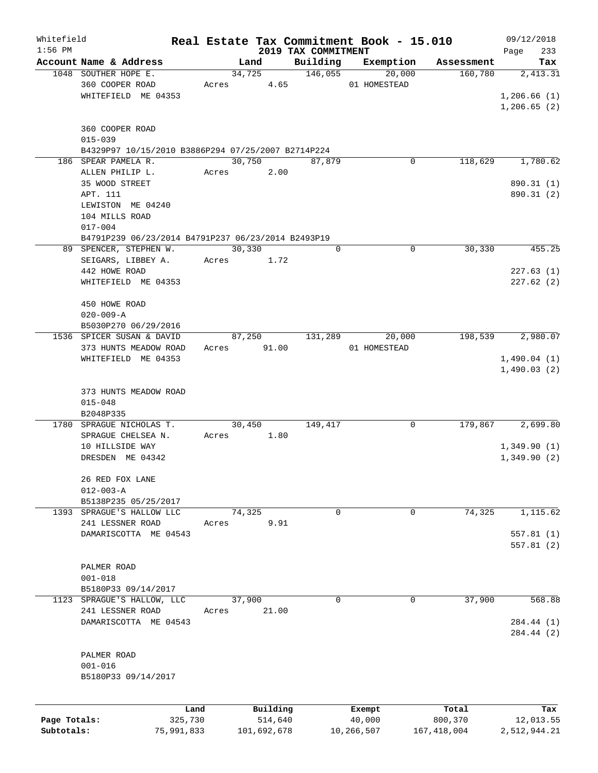| Whitefield   |                                                    |            |       |                |             |                     | Real Estate Tax Commitment Book - 15.010 |                       | 09/12/2018      |
|--------------|----------------------------------------------------|------------|-------|----------------|-------------|---------------------|------------------------------------------|-----------------------|-----------------|
| $1:56$ PM    | Account Name & Address                             |            |       |                |             | 2019 TAX COMMITMENT |                                          |                       | 233<br>Page     |
|              | 1048 SOUTHER HOPE E.                               |            |       | Land<br>34,725 |             | Building<br>146,055 | Exemption<br>20,000                      | Assessment<br>160,780 | Tax<br>2,413.31 |
|              | 360 COOPER ROAD                                    |            |       |                | Acres 4.65  |                     | 01 HOMESTEAD                             |                       |                 |
|              | WHITEFIELD ME 04353                                |            |       |                |             |                     |                                          |                       | 1,206.66(1)     |
|              |                                                    |            |       |                |             |                     |                                          |                       | 1,206.65(2)     |
|              |                                                    |            |       |                |             |                     |                                          |                       |                 |
|              | 360 COOPER ROAD                                    |            |       |                |             |                     |                                          |                       |                 |
|              | $015 - 039$                                        |            |       |                |             |                     |                                          |                       |                 |
|              | B4329P97 10/15/2010 B3886P294 07/25/2007 B2714P224 |            |       |                |             |                     |                                          |                       |                 |
|              | 186 SPEAR PAMELA R.                                |            |       | 30,750         |             | 87,879              | 0                                        | 118,629               | 1,780.62        |
|              | ALLEN PHILIP L.                                    |            | Acres |                | 2.00        |                     |                                          |                       |                 |
|              | 35 WOOD STREET                                     |            |       |                |             |                     |                                          |                       | 890.31 (1)      |
|              | APT. 111                                           |            |       |                |             |                     |                                          |                       | 890.31 (2)      |
|              | LEWISTON ME 04240                                  |            |       |                |             |                     |                                          |                       |                 |
|              | 104 MILLS ROAD                                     |            |       |                |             |                     |                                          |                       |                 |
|              | $017 - 004$                                        |            |       |                |             |                     |                                          |                       |                 |
|              | B4791P239 06/23/2014 B4791P237 06/23/2014 B2493P19 |            |       |                |             |                     |                                          |                       |                 |
|              | 89 SPENCER, STEPHEN W.                             |            |       | 30,330         |             | 0                   | 0                                        | 30,330                | 455.25          |
|              | SEIGARS, LIBBEY A.                                 |            |       | Acres          | 1.72        |                     |                                          |                       |                 |
|              | 442 HOWE ROAD                                      |            |       |                |             |                     |                                          |                       | 227.63(1)       |
|              | WHITEFIELD ME 04353                                |            |       |                |             |                     |                                          |                       | 227.62(2)       |
|              |                                                    |            |       |                |             |                     |                                          |                       |                 |
|              | 450 HOWE ROAD                                      |            |       |                |             |                     |                                          |                       |                 |
|              | $020 - 009 - A$                                    |            |       |                |             |                     |                                          |                       |                 |
|              | B5030P270 06/29/2016                               |            |       |                |             |                     |                                          |                       |                 |
|              | 1536 SPICER SUSAN & DAVID                          |            |       | 87,250         |             | 131,289             | 20,000                                   | 198,539               | 2,980.07        |
|              | 373 HUNTS MEADOW ROAD                              |            | Acres |                | 91.00       |                     | 01 HOMESTEAD                             |                       |                 |
|              | WHITEFIELD ME 04353                                |            |       |                |             |                     |                                          |                       | 1,490.04(1)     |
|              |                                                    |            |       |                |             |                     |                                          |                       | 1,490.03(2)     |
|              |                                                    |            |       |                |             |                     |                                          |                       |                 |
|              | 373 HUNTS MEADOW ROAD                              |            |       |                |             |                     |                                          |                       |                 |
|              | $015 - 048$                                        |            |       |                |             |                     |                                          |                       |                 |
|              | B2048P335                                          |            |       |                |             |                     |                                          |                       |                 |
|              | 1780 SPRAGUE NICHOLAS T.                           |            |       | 30,450         |             | 149,417             | 0                                        | 179,867               | 2,699.80        |
|              | SPRAGUE CHELSEA N.                                 |            | Acres |                | 1.80        |                     |                                          |                       |                 |
|              | 10 HILLSIDE WAY                                    |            |       |                |             |                     |                                          |                       | 1,349.90(1)     |
|              | DRESDEN ME 04342                                   |            |       |                |             |                     |                                          |                       | 1,349.90(2)     |
|              |                                                    |            |       |                |             |                     |                                          |                       |                 |
|              | 26 RED FOX LANE                                    |            |       |                |             |                     |                                          |                       |                 |
|              | $012 - 003 - A$                                    |            |       |                |             |                     |                                          |                       |                 |
|              | B5138P235 05/25/2017                               |            |       |                |             |                     |                                          |                       |                 |
|              | 1393 SPRAGUE'S HALLOW LLC                          |            |       | 74,325         |             | 0                   | 0                                        | 74,325                | 1,115.62        |
|              | 241 LESSNER ROAD                                   |            | Acres |                | 9.91        |                     |                                          |                       |                 |
|              | DAMARISCOTTA ME 04543                              |            |       |                |             |                     |                                          |                       | 557.81(1)       |
|              |                                                    |            |       |                |             |                     |                                          |                       | 557.81(2)       |
|              |                                                    |            |       |                |             |                     |                                          |                       |                 |
|              | PALMER ROAD                                        |            |       |                |             |                     |                                          |                       |                 |
|              | $001 - 018$                                        |            |       |                |             |                     |                                          |                       |                 |
|              | B5180P33 09/14/2017                                |            |       |                |             |                     |                                          |                       |                 |
| 1123         | SPRAGUE'S HALLOW, LLC                              |            |       | 37,900         |             | 0                   | 0                                        | 37,900                | 568.88          |
|              | 241 LESSNER ROAD                                   |            | Acres |                | 21.00       |                     |                                          |                       |                 |
|              | DAMARISCOTTA ME 04543                              |            |       |                |             |                     |                                          |                       | 284.44 (1)      |
|              |                                                    |            |       |                |             |                     |                                          |                       | 284.44 (2)      |
|              |                                                    |            |       |                |             |                     |                                          |                       |                 |
|              | PALMER ROAD                                        |            |       |                |             |                     |                                          |                       |                 |
|              | $001 - 016$                                        |            |       |                |             |                     |                                          |                       |                 |
|              | B5180P33 09/14/2017                                |            |       |                |             |                     |                                          |                       |                 |
|              |                                                    |            |       |                |             |                     |                                          |                       |                 |
|              |                                                    | Land       |       |                | Building    |                     | Exempt                                   | Total                 | Tax             |
| Page Totals: |                                                    | 325,730    |       |                | 514,640     |                     | 40,000                                   | 800,370               | 12,013.55       |
| Subtotals:   |                                                    | 75,991,833 |       |                | 101,692,678 |                     | 10,266,507                               | 167, 418, 004         | 2,512,944.21    |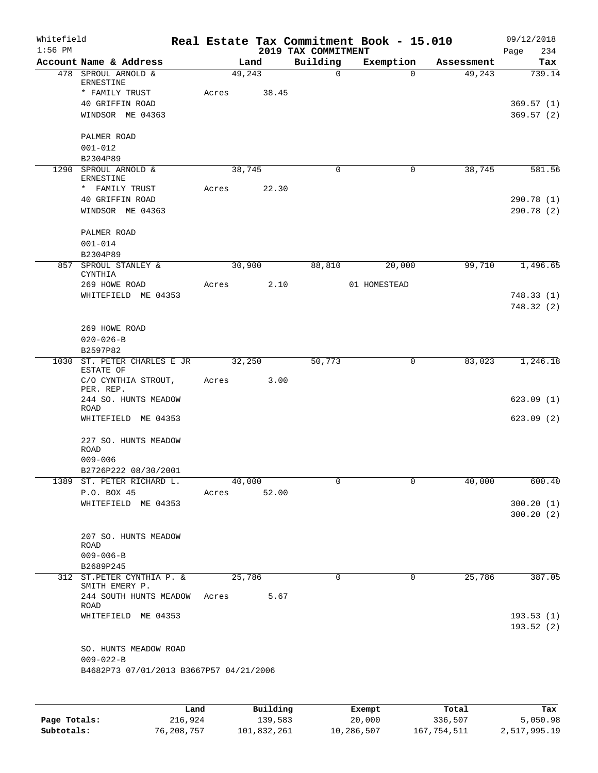| Whitefield<br>$1:56$ PM |                                                |       |        | 2019 TAX COMMITMENT | Real Estate Tax Commitment Book - 15.010 |            | 09/12/2018<br>Page<br>234 |
|-------------------------|------------------------------------------------|-------|--------|---------------------|------------------------------------------|------------|---------------------------|
|                         | Account Name & Address                         |       | Land   | Building            | Exemption                                | Assessment | Tax                       |
|                         | 478 SPROUL ARNOLD &<br>ERNESTINE               |       | 49,243 | $\mathbf 0$         | $\Omega$                                 | 49,243     | 739.14                    |
|                         | * FAMILY TRUST                                 | Acres | 38.45  |                     |                                          |            |                           |
|                         | 40 GRIFFIN ROAD                                |       |        |                     |                                          |            | 369.57(1)                 |
|                         | WINDSOR ME 04363                               |       |        |                     |                                          |            | 369.57(2)                 |
|                         | PALMER ROAD                                    |       |        |                     |                                          |            |                           |
|                         | $001 - 012$                                    |       |        |                     |                                          |            |                           |
|                         | B2304P89                                       |       |        |                     |                                          |            |                           |
|                         | 1290 SPROUL ARNOLD &<br>ERNESTINE              |       | 38,745 | 0                   | $\overline{0}$                           | 38,745     | 581.56                    |
|                         | * FAMILY TRUST                                 | Acres | 22.30  |                     |                                          |            |                           |
|                         | 40 GRIFFIN ROAD                                |       |        |                     |                                          |            | 290.78(1)                 |
|                         | WINDSOR ME 04363                               |       |        |                     |                                          |            | 290.78(2)                 |
|                         | PALMER ROAD                                    |       |        |                     |                                          |            |                           |
|                         | $001 - 014$                                    |       |        |                     |                                          |            |                           |
|                         | B2304P89                                       |       |        |                     |                                          |            |                           |
|                         | 857 SPROUL STANLEY &                           |       | 30,900 | 88,810              | 20,000                                   | 99,710     | 1,496.65                  |
|                         | <b>CYNTHIA</b>                                 |       |        |                     |                                          |            |                           |
|                         | 269 HOWE ROAD                                  | Acres | 2.10   |                     | 01 HOMESTEAD                             |            |                           |
|                         | WHITEFIELD ME 04353                            |       |        |                     |                                          |            | 748.33(1)                 |
|                         |                                                |       |        |                     |                                          |            | 748.32(2)                 |
|                         | 269 HOWE ROAD                                  |       |        |                     |                                          |            |                           |
|                         | $020 - 026 - B$                                |       |        |                     |                                          |            |                           |
|                         | B2597P82                                       |       |        |                     |                                          |            |                           |
|                         | 1030 ST. PETER CHARLES E JR                    |       | 32,250 | 50,773              | 0                                        | 83,023     | 1,246.18                  |
|                         | ESTATE OF                                      |       |        |                     |                                          |            |                           |
|                         | C/O CYNTHIA STROUT,<br>PER. REP.               | Acres | 3.00   |                     |                                          |            |                           |
|                         | 244 SO. HUNTS MEADOW                           |       |        |                     |                                          |            | 623.09(1)                 |
|                         | ROAD                                           |       |        |                     |                                          |            |                           |
|                         | WHITEFIELD ME 04353                            |       |        |                     |                                          |            | 623.09(2)                 |
|                         | 227 SO. HUNTS MEADOW                           |       |        |                     |                                          |            |                           |
|                         | <b>ROAD</b>                                    |       |        |                     |                                          |            |                           |
|                         | $009 - 006$                                    |       |        |                     |                                          |            |                           |
|                         | B2726P222 08/30/2001                           |       |        | $\Omega$            | $\Omega$                                 |            | 600.40                    |
|                         | 1389 ST. PETER RICHARD L.                      |       | 40,000 |                     |                                          | 40,000     |                           |
|                         | P.O. BOX 45                                    | Acres | 52.00  |                     |                                          |            |                           |
|                         | WHITEFIELD ME 04353                            |       |        |                     |                                          |            | 300.20(1)<br>300.20(2)    |
|                         | 207 SO. HUNTS MEADOW                           |       |        |                     |                                          |            |                           |
|                         | ROAD                                           |       |        |                     |                                          |            |                           |
|                         | $009 - 006 - B$                                |       |        |                     |                                          |            |                           |
|                         | B2689P245                                      |       |        |                     |                                          |            |                           |
|                         | 312 ST. PETER CYNTHIA P. &                     |       | 25,786 | 0                   | 0                                        | 25,786     | 387.05                    |
|                         | SMITH EMERY P.<br>244 SOUTH HUNTS MEADOW Acres |       | 5.67   |                     |                                          |            |                           |
|                         | ROAD                                           |       |        |                     |                                          |            |                           |
|                         | WHITEFIELD ME 04353                            |       |        |                     |                                          |            | 193.53(1)                 |
|                         |                                                |       |        |                     |                                          |            | 193.52(2)                 |
|                         |                                                |       |        |                     |                                          |            |                           |
|                         | SO. HUNTS MEADOW ROAD                          |       |        |                     |                                          |            |                           |
|                         | $009 - 022 - B$                                |       |        |                     |                                          |            |                           |
|                         | B4682P73 07/01/2013 B3667P57 04/21/2006        |       |        |                     |                                          |            |                           |
|                         |                                                |       |        |                     |                                          |            |                           |
|                         |                                                |       |        |                     |                                          |            |                           |
|                         |                                                |       |        |                     |                                          |            |                           |

|              | Land       | Building    | Exempt     | Total       | Tax          |
|--------------|------------|-------------|------------|-------------|--------------|
| Page Totals: | 216,924    | 139,583     | 20,000     | 336,507     | 5,050.98     |
| Subtotals:   | 76,208,757 | 101,832,261 | 10,286,507 | 167,754,511 | 2,517,995.19 |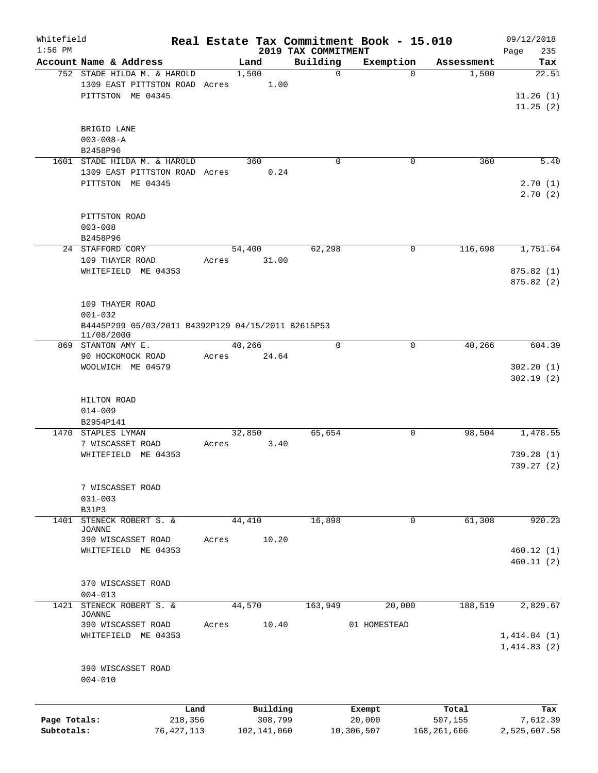| Whitefield<br>$1:56$ PM    |                                                                                                    |                 |                        | 2019 TAX COMMITMENT | Real Estate Tax Commitment Book - 15.010 |                        | 09/12/2018<br>235                  |
|----------------------------|----------------------------------------------------------------------------------------------------|-----------------|------------------------|---------------------|------------------------------------------|------------------------|------------------------------------|
|                            | Account Name & Address                                                                             |                 | Land                   | Building            | Exemption                                | Assessment             | Page<br>Tax                        |
|                            | 752 STADE HILDA M. & HAROLD<br>1309 EAST PITTSTON ROAD Acres<br>PITTSTON ME 04345                  |                 | 1,500<br>1.00          | $\mathbf 0$         | $\Omega$                                 | 1,500                  | 22.51<br>11.26(1)<br>11.25(2)      |
|                            | BRIGID LANE<br>$003 - 008 - A$<br>B2458P96                                                         |                 |                        |                     |                                          |                        |                                    |
|                            | 1601 STADE HILDA M. & HAROLD                                                                       |                 | 360                    | $\mathbf 0$         | 0                                        | 360                    | 5.40                               |
|                            | 1309 EAST PITTSTON ROAD Acres<br>PITTSTON ME 04345                                                 |                 | 0.24                   |                     |                                          |                        | 2.70(1)<br>2.70(2)                 |
|                            | PITTSTON ROAD<br>$003 - 008$                                                                       |                 |                        |                     |                                          |                        |                                    |
|                            | B2458P96<br>24 STAFFORD CORY                                                                       |                 | 54,400                 | 62,298              | 0                                        | 116,698                | 1,751.64                           |
|                            | 109 THAYER ROAD<br>WHITEFIELD ME 04353                                                             | Acres           | 31.00                  |                     |                                          |                        | 875.82(1)<br>875.82(2)             |
|                            | 109 THAYER ROAD<br>$001 - 032$<br>B4445P299 05/03/2011 B4392P129 04/15/2011 B2615P53<br>11/08/2000 |                 |                        |                     |                                          |                        |                                    |
|                            | 869 STANTON AMY E.                                                                                 | 40,266          |                        | $\Omega$            | 0                                        | 40,266                 | 604.39                             |
|                            | 90 HOCKOMOCK ROAD<br>WOOLWICH ME 04579                                                             | Acres           | 24.64                  |                     |                                          |                        | 302.20(1)<br>302.19(2)             |
|                            | HILTON ROAD<br>$014 - 009$<br>B2954P141                                                            |                 |                        |                     |                                          |                        |                                    |
|                            | 1470 STAPLES LYMAN<br>7 WISCASSET ROAD<br>WHITEFIELD ME 04353                                      | 32,850<br>Acres | 3.40                   | 65,654              | 0                                        | 98,504                 | 1,478.55<br>739.28(1)<br>739.27(2) |
|                            | 7 WISCASSET ROAD<br>$031 - 003$<br>B31P3                                                           |                 |                        |                     |                                          |                        |                                    |
| 1401                       | STENECK ROBERT S. &                                                                                | 44,410          |                        | 16,898              | 0                                        | 61,308                 | 920.23                             |
|                            | <b>JOANNE</b><br>390 WISCASSET ROAD<br>WHITEFIELD ME 04353                                         | Acres           | 10.20                  |                     |                                          |                        | 460.12(1)<br>460.11(2)             |
|                            | 370 WISCASSET ROAD<br>$004 - 013$                                                                  |                 |                        |                     |                                          |                        |                                    |
| 1421                       | STENECK ROBERT S. &                                                                                |                 | 44,570                 | 163,949             | 20,000                                   | 188,519                | 2,829.67                           |
|                            | <b>JOANNE</b><br>390 WISCASSET ROAD<br>WHITEFIELD ME 04353                                         | Acres           | 10.40                  |                     | 01 HOMESTEAD                             |                        | 1,414.84(1)<br>1,414.83(2)         |
|                            | 390 WISCASSET ROAD<br>$004 - 010$                                                                  |                 |                        |                     |                                          |                        |                                    |
|                            | Land                                                                                               |                 | Building               |                     | Exempt                                   | Total                  | Tax                                |
| Page Totals:<br>Subtotals: | 218,356<br>76, 427, 113                                                                            |                 | 308,799<br>102,141,060 |                     | 20,000<br>10,306,507                     | 507,155<br>168,261,666 | 7,612.39<br>2,525,607.58           |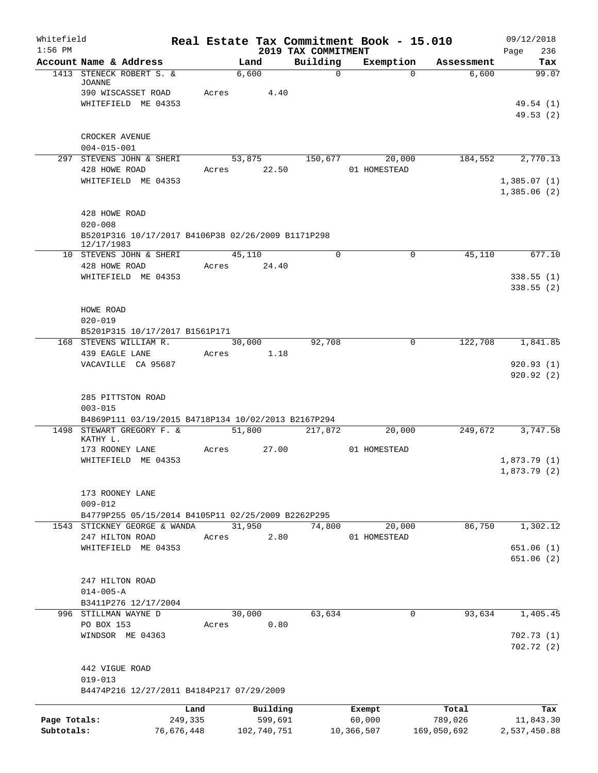| Whitefield<br>$1:56$ PM    |                                                                                              |                       |                        |                                 | Real Estate Tax Commitment Book - 15.010 |                        | 09/12/2018                 |
|----------------------------|----------------------------------------------------------------------------------------------|-----------------------|------------------------|---------------------------------|------------------------------------------|------------------------|----------------------------|
|                            | Account Name & Address                                                                       |                       | Land                   | 2019 TAX COMMITMENT<br>Building | Exemption                                | Assessment             | 236<br>Page<br>Tax         |
|                            | 1413 STENECK ROBERT S. &<br>JOANNE                                                           |                       | 6,600                  | $\mathbf 0$                     | $\Omega$                                 | 6,600                  | 99.07                      |
|                            | 390 WISCASSET ROAD<br>WHITEFIELD ME 04353                                                    | Acres                 | 4.40                   |                                 |                                          |                        | 49.54 (1)<br>49.53(2)      |
|                            | CROCKER AVENUE                                                                               |                       |                        |                                 |                                          |                        |                            |
|                            | $004 - 015 - 001$<br>297 STEVENS JOHN & SHERI                                                |                       | 53,875                 | 150,677                         | 20,000                                   | 184,552                | 2,770.13                   |
|                            | 428 HOWE ROAD<br>WHITEFIELD ME 04353                                                         | Acres                 | 22.50                  |                                 | 01 HOMESTEAD                             |                        | 1,385.07(1)                |
|                            |                                                                                              |                       |                        |                                 |                                          |                        | 1,385.06(2)                |
|                            | 428 HOWE ROAD<br>$020 - 008$                                                                 |                       |                        |                                 |                                          |                        |                            |
|                            | B5201P316 10/17/2017 B4106P38 02/26/2009 B1171P298<br>12/17/1983                             |                       |                        |                                 |                                          |                        |                            |
|                            | 10 STEVENS JOHN & SHERI                                                                      |                       | 45,110                 | $\Omega$                        | 0                                        | 45,110                 | 677.10                     |
|                            | 428 HOWE ROAD<br>WHITEFIELD ME 04353                                                         | Acres                 | 24.40                  |                                 |                                          |                        | 338.55(1)<br>338.55(2)     |
|                            | HOWE ROAD<br>$020 - 019$                                                                     |                       |                        |                                 |                                          |                        |                            |
|                            | B5201P315 10/17/2017 B1561P171                                                               |                       |                        |                                 |                                          |                        |                            |
|                            | 168 STEVENS WILLIAM R.<br>439 EAGLE LANE                                                     | Acres                 | 30,000<br>1.18         | 92,708                          | 0                                        | 122,708                | 1,841.85                   |
|                            | VACAVILLE CA 95687                                                                           |                       |                        |                                 |                                          |                        | 920.93(1)<br>920.92(2)     |
|                            | 285 PITTSTON ROAD<br>$003 - 015$                                                             |                       |                        |                                 |                                          |                        |                            |
|                            | B4869P111 03/19/2015 B4718P134 10/02/2013 B2167P294<br>1498 STEWART GREGORY F. &<br>KATHY L. |                       | 51,800                 | 217,872                         | 20,000                                   | 249,672                | 3,747.58                   |
|                            | 173 ROONEY LANE                                                                              | Acres                 | 27.00                  |                                 | 01 HOMESTEAD                             |                        |                            |
|                            | WHITEFIELD ME 04353                                                                          |                       |                        |                                 |                                          |                        | 1,873.79(1)<br>1,873.79(2) |
|                            | 173 ROONEY LANE<br>$009 - 012$                                                               |                       |                        |                                 |                                          |                        |                            |
|                            | B4779P255 05/15/2014 B4105P11 02/25/2009 B2262P295<br>1543 STICKNEY GEORGE & WANDA           |                       | 31,950                 |                                 | 20,000                                   | 86,750                 | 1,302.12                   |
|                            | 247 HILTON ROAD                                                                              | Acres                 | 2.80                   | 74,800                          | 01 HOMESTEAD                             |                        |                            |
|                            | WHITEFIELD ME 04353                                                                          |                       |                        |                                 |                                          |                        | 651.06(1)                  |
|                            |                                                                                              |                       |                        |                                 |                                          |                        | 651.06 (2)                 |
|                            | 247 HILTON ROAD<br>$014 - 005 - A$                                                           |                       |                        |                                 |                                          |                        |                            |
|                            | B3411P276 12/17/2004                                                                         |                       |                        |                                 |                                          |                        |                            |
|                            | 996 STILLMAN WAYNE D<br>PO BOX 153                                                           | Acres                 | 30,000<br>0.80         | 63,634                          | $\mathbf 0$                              | 93,634                 | 1,405.45                   |
|                            | WINDSOR ME 04363                                                                             |                       |                        |                                 |                                          |                        | 702.73(1)<br>702.72(2)     |
|                            | 442 VIGUE ROAD<br>$019 - 013$                                                                |                       |                        |                                 |                                          |                        |                            |
|                            | B4474P216 12/27/2011 B4184P217 07/29/2009                                                    |                       |                        |                                 |                                          |                        |                            |
|                            |                                                                                              | Land                  | Building               |                                 | Exempt                                   | Total                  | Tax                        |
| Page Totals:<br>Subtotals: |                                                                                              | 249,335<br>76,676,448 | 599,691<br>102,740,751 |                                 | 60,000<br>10,366,507                     | 789,026<br>169,050,692 | 11,843.30<br>2,537,450.88  |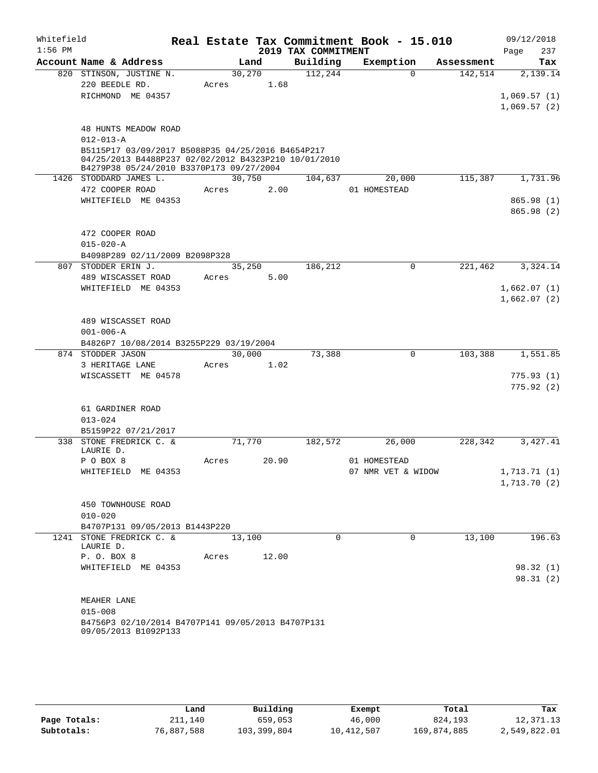| Whitefield<br>$1:56$ PM |                                                                                                                                                       |                 |       | 2019 TAX COMMITMENT | Real Estate Tax Commitment Book - 15.010 |            | 09/12/2018<br>Page<br>237  |
|-------------------------|-------------------------------------------------------------------------------------------------------------------------------------------------------|-----------------|-------|---------------------|------------------------------------------|------------|----------------------------|
|                         | Account Name & Address                                                                                                                                |                 | Land  | Building            | Exemption                                | Assessment | Tax                        |
|                         | 820 STINSON, JUSTINE N.                                                                                                                               | 30,270          |       | 112,244             | $\Omega$                                 | 142,514    | 2,139.14                   |
|                         | 220 BEEDLE RD.                                                                                                                                        | Acres           | 1.68  |                     |                                          |            |                            |
|                         | RICHMOND ME 04357                                                                                                                                     |                 |       |                     |                                          |            | 1,069.57(1)<br>1,069.57(2) |
|                         | <b>48 HUNTS MEADOW ROAD</b><br>$012 - 013 - A$                                                                                                        |                 |       |                     |                                          |            |                            |
|                         | B5115P17 03/09/2017 B5088P35 04/25/2016 B4654P217<br>04/25/2013 B4488P237 02/02/2012 B4323P210 10/01/2010<br>B4279P38 05/24/2010 B3370P173 09/27/2004 |                 |       |                     |                                          |            |                            |
|                         | 1426 STODDARD JAMES L.                                                                                                                                | 30,750          |       | 104,637             | 20,000                                   | 115,387    | 1,731.96                   |
|                         | 472 COOPER ROAD                                                                                                                                       | Acres           | 2.00  |                     | 01 HOMESTEAD                             |            |                            |
|                         | WHITEFIELD ME 04353                                                                                                                                   |                 |       |                     |                                          |            | 865.98(1)<br>865.98(2)     |
|                         | 472 COOPER ROAD<br>$015 - 020 - A$                                                                                                                    |                 |       |                     |                                          |            |                            |
|                         | B4098P289 02/11/2009 B2098P328                                                                                                                        |                 |       |                     |                                          |            |                            |
| 807                     | STODDER ERIN J.<br>489 WISCASSET ROAD                                                                                                                 | 35,250<br>Acres | 5.00  | 186,212             | $\mathbf 0$                              | 221,462    | 3,324.14                   |
|                         | WHITEFIELD ME 04353                                                                                                                                   |                 |       |                     |                                          |            | 1,662.07(1)                |
|                         |                                                                                                                                                       |                 |       |                     |                                          |            | 1,662.07(2)                |
|                         |                                                                                                                                                       |                 |       |                     |                                          |            |                            |
|                         | 489 WISCASSET ROAD<br>$001 - 006 - A$                                                                                                                 |                 |       |                     |                                          |            |                            |
|                         | B4826P7 10/08/2014 B3255P229 03/19/2004                                                                                                               |                 |       |                     |                                          |            |                            |
|                         | 874 STODDER JASON                                                                                                                                     | 30,000          |       | 73,388              | $\Omega$                                 | 103,388    | 1,551.85                   |
|                         | 3 HERITAGE LANE                                                                                                                                       | Acres           | 1.02  |                     |                                          |            |                            |
|                         | WISCASSETT ME 04578                                                                                                                                   |                 |       |                     |                                          |            | 775.93(1)                  |
|                         |                                                                                                                                                       |                 |       |                     |                                          |            | 775.92(2)                  |
|                         |                                                                                                                                                       |                 |       |                     |                                          |            |                            |
|                         | 61 GARDINER ROAD                                                                                                                                      |                 |       |                     |                                          |            |                            |
|                         | $013 - 024$                                                                                                                                           |                 |       |                     |                                          |            |                            |
|                         | B5159P22 07/21/2017                                                                                                                                   |                 |       |                     |                                          |            |                            |
|                         | 338 STONE FREDRICK C. &<br>LAURIE D.                                                                                                                  | 71,770          |       | 182,572             | 26,000                                   | 228,342    | 3,427.41                   |
|                         | P O BOX 8                                                                                                                                             | Acres           | 20.90 |                     | 01 HOMESTEAD                             |            |                            |
|                         | WHITEFIELD ME 04353                                                                                                                                   |                 |       |                     | 07 NMR VET & WIDOW                       |            | 1,713.71 (1)               |
|                         |                                                                                                                                                       |                 |       |                     |                                          |            | 1,713.70(2)                |
|                         |                                                                                                                                                       |                 |       |                     |                                          |            |                            |
|                         | 450 TOWNHOUSE ROAD                                                                                                                                    |                 |       |                     |                                          |            |                            |
|                         | $010 - 020$                                                                                                                                           |                 |       |                     |                                          |            |                            |
|                         | B4707P131 09/05/2013 B1443P220                                                                                                                        |                 |       |                     |                                          |            |                            |
|                         | 1241 STONE FREDRICK C. &<br>LAURIE D.                                                                                                                 | 13,100          |       | $\Omega$            | $\Omega$                                 | 13,100     | 196.63                     |
|                         | P. O. BOX 8                                                                                                                                           | Acres           | 12.00 |                     |                                          |            |                            |
|                         | WHITEFIELD ME 04353                                                                                                                                   |                 |       |                     |                                          |            | 98.32(1)                   |
|                         |                                                                                                                                                       |                 |       |                     |                                          |            | 98.31(2)                   |
|                         |                                                                                                                                                       |                 |       |                     |                                          |            |                            |
|                         | MEAHER LANE                                                                                                                                           |                 |       |                     |                                          |            |                            |
|                         | $015 - 008$                                                                                                                                           |                 |       |                     |                                          |            |                            |
|                         | B4756P3 02/10/2014 B4707P141 09/05/2013 B4707P131                                                                                                     |                 |       |                     |                                          |            |                            |
|                         | 09/05/2013 B1092P133                                                                                                                                  |                 |       |                     |                                          |            |                            |
|                         |                                                                                                                                                       |                 |       |                     |                                          |            |                            |

|              | Land       | Building    | Exempt     | Total       | Tax          |
|--------------|------------|-------------|------------|-------------|--------------|
| Page Totals: | 211,140    | 659,053     | 46,000     | 824,193     | 12,371.13    |
| Subtotals:   | 76,887,588 | 103,399,804 | 10,412,507 | 169,874,885 | 2,549,822.01 |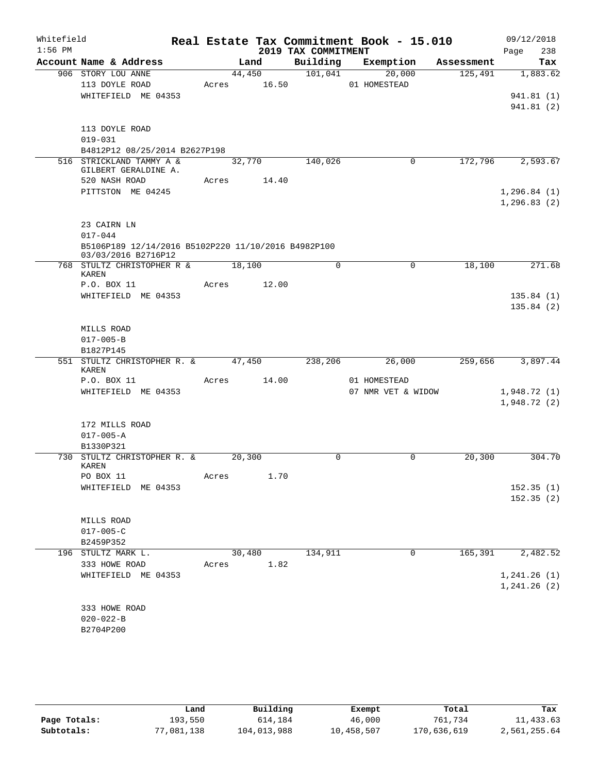| Whitefield<br>$1:56$ PM |                                                                            |       |        |             | 2019 TAX COMMITMENT | Real Estate Tax Commitment Book - 15.010 |            | 09/12/2018<br>238<br>Page    |
|-------------------------|----------------------------------------------------------------------------|-------|--------|-------------|---------------------|------------------------------------------|------------|------------------------------|
|                         | Account Name & Address                                                     |       | Land   |             |                     | Building Exemption                       | Assessment | Tax                          |
|                         | 906 STORY LOU ANNE<br>113 DOYLE ROAD<br>WHITEFIELD ME 04353                |       | 44,450 | Acres 16.50 | 101,041             | 20,000<br>01 HOMESTEAD                   | 125,491    | 1,883.62<br>941.81 (1)       |
|                         |                                                                            |       |        |             |                     |                                          |            | 941.81(2)                    |
|                         | 113 DOYLE ROAD<br>$019 - 031$                                              |       |        |             |                     |                                          |            |                              |
|                         | B4812P12 08/25/2014 B2627P198                                              |       |        |             |                     |                                          |            |                              |
|                         | 516 STRICKLAND TAMMY A &<br>GILBERT GERALDINE A.                           |       | 32,770 |             | 140,026             | $\mathbf 0$                              | 172,796    | 2,593.67                     |
|                         | 520 NASH ROAD                                                              |       |        | Acres 14.40 |                     |                                          |            |                              |
|                         | PITTSTON ME 04245                                                          |       |        |             |                     |                                          |            | 1, 296.84(1)<br>1, 296.83(2) |
|                         | 23 CAIRN LN                                                                |       |        |             |                     |                                          |            |                              |
|                         | $017 - 044$                                                                |       |        |             |                     |                                          |            |                              |
|                         | B5106P189 12/14/2016 B5102P220 11/10/2016 B4982P100<br>03/03/2016 B2716P12 |       |        |             |                     |                                          |            |                              |
|                         | 768 STULTZ CHRISTOPHER R &<br>KAREN                                        |       | 18,100 |             | $\Omega$            | $\mathbf 0$                              | 18,100     | 271.68                       |
|                         | P.O. BOX 11<br>WHITEFIELD ME 04353                                         |       |        | Acres 12.00 |                     |                                          |            | 135.84(1)                    |
|                         |                                                                            |       |        |             |                     |                                          |            | 135.84(2)                    |
|                         | MILLS ROAD                                                                 |       |        |             |                     |                                          |            |                              |
|                         | $017 - 005 - B$                                                            |       |        |             |                     |                                          |            |                              |
|                         | B1827P145                                                                  |       |        |             |                     |                                          |            |                              |
|                         | 551 STULTZ CHRISTOPHER R. & 47,450<br>KAREN                                |       |        |             | 238,206             | 26,000                                   | 259,656    | 3,897.44                     |
|                         | P.O. BOX 11                                                                | Acres |        | 14.00       |                     | 01 HOMESTEAD                             |            |                              |
|                         | WHITEFIELD ME 04353                                                        |       |        |             |                     | 07 NMR VET & WIDOW                       |            | 1,948.72(1)<br>1,948.72(2)   |
|                         | 172 MILLS ROAD                                                             |       |        |             |                     |                                          |            |                              |
|                         | $017 - 005 - A$                                                            |       |        |             |                     |                                          |            |                              |
|                         | B1330P321                                                                  |       |        |             |                     |                                          |            |                              |
|                         | 730 STULTZ CHRISTOPHER R. &<br>KAREN<br>PO BOX 11                          |       | 20,300 | 1.70        | 0                   | $\mathbf 0$                              | 20,300     | 304.70                       |
|                         | WHITEFIELD<br>ME 04353                                                     | Acres |        |             |                     |                                          |            | 152.35(1)                    |
|                         |                                                                            |       |        |             |                     |                                          |            | 152.35(2)                    |
|                         | MILLS ROAD                                                                 |       |        |             |                     |                                          |            |                              |
|                         | $017 - 005 - C$                                                            |       |        |             |                     |                                          |            |                              |
|                         | B2459P352                                                                  |       |        |             |                     |                                          |            |                              |
|                         | 196 STULTZ MARK L.                                                         |       | 30,480 |             | 134,911             | 0                                        | 165,391    | 2,482.52                     |
|                         | 333 HOWE ROAD                                                              | Acres |        | 1.82        |                     |                                          |            |                              |
|                         | WHITEFIELD ME 04353                                                        |       |        |             |                     |                                          |            | 1, 241.26(1)<br>1, 241.26(2) |
|                         | 333 HOWE ROAD                                                              |       |        |             |                     |                                          |            |                              |
|                         | $020 - 022 - B$                                                            |       |        |             |                     |                                          |            |                              |
|                         | B2704P200                                                                  |       |        |             |                     |                                          |            |                              |

|              | Land       | Building    | Exempt     | Total       | Tax          |
|--------------|------------|-------------|------------|-------------|--------------|
| Page Totals: | 193.550    | 614,184     | 46,000     | 761.734     | 11,433.63    |
| Subtotals:   | 77,081,138 | 104,013,988 | 10,458,507 | 170,636,619 | 2,561,255.64 |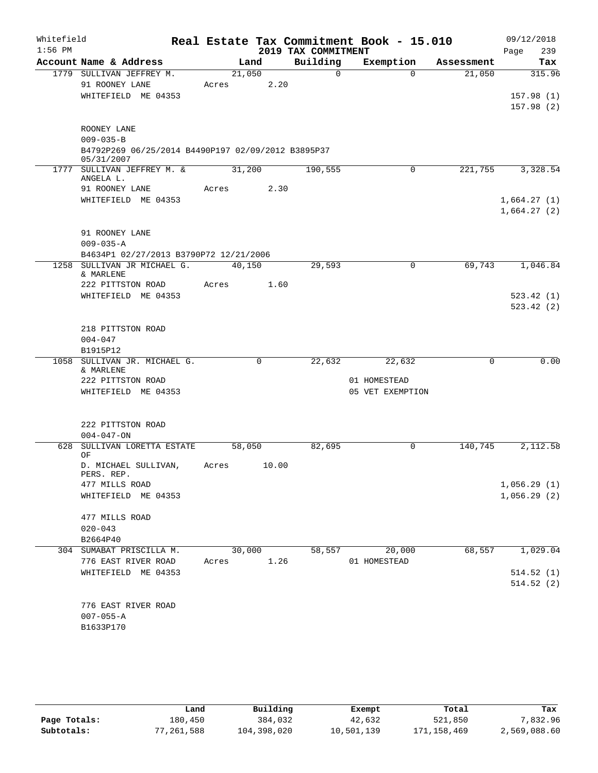| Whitefield<br>$1:56$ PM |                                                           |        |        | 2019 TAX COMMITMENT | Real Estate Tax Commitment Book - 15.010 |            | 09/12/2018<br>239<br>Page |
|-------------------------|-----------------------------------------------------------|--------|--------|---------------------|------------------------------------------|------------|---------------------------|
|                         | Account Name & Address                                    |        | Land   | Building            | Exemption                                | Assessment | Tax                       |
|                         | 1779 SULLIVAN JEFFREY M.                                  | 21,050 |        | $\Omega$            | $\Omega$                                 | 21,050     | 315.96                    |
|                         | 91 ROONEY LANE                                            | Acres  | 2.20   |                     |                                          |            |                           |
|                         | WHITEFIELD ME 04353                                       |        |        |                     |                                          |            | 157.98(1)                 |
|                         |                                                           |        |        |                     |                                          |            | 157.98(2)                 |
|                         | ROONEY LANE                                               |        |        |                     |                                          |            |                           |
|                         | $009 - 035 - B$                                           |        |        |                     |                                          |            |                           |
|                         | B4792P269 06/25/2014 B4490P197 02/09/2012 B3895P37        |        |        |                     |                                          |            |                           |
|                         | 05/31/2007                                                |        |        |                     |                                          |            |                           |
|                         | 1777 SULLIVAN JEFFREY M. &<br>ANGELA L.                   | 31,200 |        | 190,555             | $\mathbf 0$                              | 221,755    | 3,328.54                  |
|                         | 91 ROONEY LANE                                            | Acres  | 2.30   |                     |                                          |            |                           |
|                         | WHITEFIELD ME 04353                                       |        |        |                     |                                          |            | 1,664.27(1)               |
|                         |                                                           |        |        |                     |                                          |            | 1,664.27(2)               |
|                         |                                                           |        |        |                     |                                          |            |                           |
|                         | 91 ROONEY LANE                                            |        |        |                     |                                          |            |                           |
|                         | $009 - 035 - A$<br>B4634P1 02/27/2013 B3790P72 12/21/2006 |        |        |                     |                                          |            |                           |
|                         | 1258 SULLIVAN JR MICHAEL G.                               | 40,150 |        | 29,593              | $\mathbf 0$                              | 69,743     | 1,046.84                  |
|                         | & MARLENE                                                 |        |        |                     |                                          |            |                           |
|                         | 222 PITTSTON ROAD                                         | Acres  | 1.60   |                     |                                          |            |                           |
|                         | WHITEFIELD ME 04353                                       |        |        |                     |                                          |            | 523.42(1)                 |
|                         |                                                           |        |        |                     |                                          |            | 523.42(2)                 |
|                         | 218 PITTSTON ROAD                                         |        |        |                     |                                          |            |                           |
|                         | $004 - 047$                                               |        |        |                     |                                          |            |                           |
|                         | B1915P12                                                  |        |        |                     |                                          |            |                           |
| 1058                    | SULLIVAN JR. MICHAEL G.                                   |        | 0      | 22,632              | 22,632                                   | 0          | 0.00                      |
|                         | & MARLENE<br>222 PITTSTON ROAD                            |        |        |                     | 01 HOMESTEAD                             |            |                           |
|                         | WHITEFIELD ME 04353                                       |        |        |                     | 05 VET EXEMPTION                         |            |                           |
|                         |                                                           |        |        |                     |                                          |            |                           |
|                         |                                                           |        |        |                     |                                          |            |                           |
|                         | 222 PITTSTON ROAD                                         |        |        |                     |                                          |            |                           |
|                         | $004 - 047 - ON$                                          |        |        |                     |                                          |            |                           |
| 628                     | SULLIVAN LORETTA ESTATE<br>ΟF                             | 58,050 |        | 82,695              | 0                                        | 140,745    | 2,112.58                  |
|                         | D. MICHAEL SULLIVAN,                                      | Acres  | 10.00  |                     |                                          |            |                           |
|                         | PERS. REP.                                                |        |        |                     |                                          |            |                           |
|                         | 477 MILLS ROAD                                            |        |        |                     |                                          |            | 1,056.29(1)               |
|                         | WHITEFIELD ME 04353                                       |        |        |                     |                                          |            | 1,056.29(2)               |
|                         | 477 MILLS ROAD                                            |        |        |                     |                                          |            |                           |
|                         | $020 - 043$                                               |        |        |                     |                                          |            |                           |
|                         | B2664P40                                                  |        |        |                     |                                          |            |                           |
|                         | 304 SUMABAT PRISCILLA M.                                  |        | 30,000 | 58,557              | 20,000                                   | 68,557     | 1,029.04                  |
|                         | 776 EAST RIVER ROAD                                       | Acres  | 1.26   |                     | 01 HOMESTEAD                             |            |                           |
|                         | WHITEFIELD ME 04353                                       |        |        |                     |                                          |            | 514.52(1)<br>514.52(2)    |
|                         |                                                           |        |        |                     |                                          |            |                           |
|                         | 776 EAST RIVER ROAD                                       |        |        |                     |                                          |            |                           |
|                         | $007 - 055 - A$                                           |        |        |                     |                                          |            |                           |
|                         | B1633P170                                                 |        |        |                     |                                          |            |                           |
|                         |                                                           |        |        |                     |                                          |            |                           |
|                         |                                                           |        |        |                     |                                          |            |                           |

|              | Land       | Building    | Exempt     | Total         | Tax          |
|--------------|------------|-------------|------------|---------------|--------------|
| Page Totals: | 180,450    | 384,032     | 42,632     | 521,850       | .832.96      |
| Subtotals:   | 77,261,588 | 104,398,020 | 10,501,139 | 171, 158, 469 | 2,569,088.60 |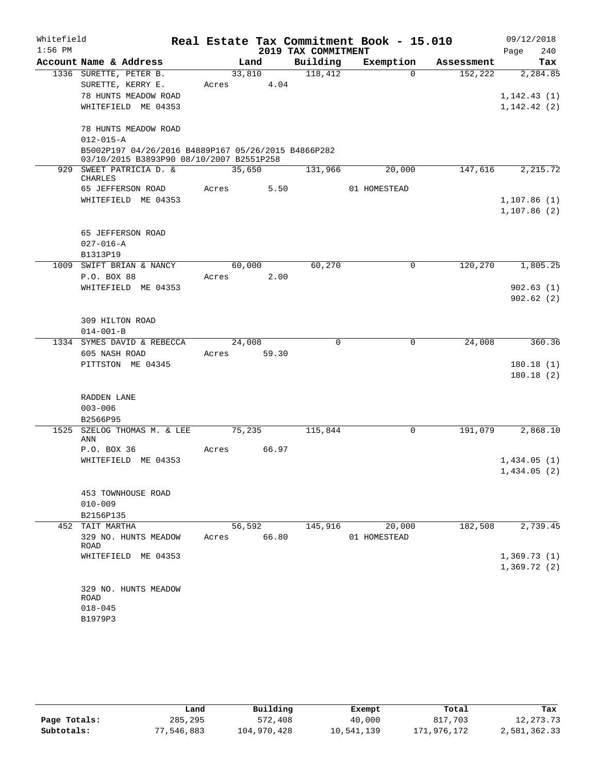| Whitefield<br>$1:56$ PM |                                                     |       |             |                                 | Real Estate Tax Commitment Book - 15.010 |                       | 09/12/2018         |
|-------------------------|-----------------------------------------------------|-------|-------------|---------------------------------|------------------------------------------|-----------------------|--------------------|
|                         | Account Name & Address                              |       | Land        | 2019 TAX COMMITMENT<br>Building | Exemption                                |                       | 240<br>Page<br>Tax |
|                         | 1336 SURETTE, PETER B.                              |       | 33,810      | 118,412                         | $\Omega$                                 | Assessment<br>152,222 | 2,284.85           |
|                         | SURETTE, KERRY E.                                   | Acres |             | 4.04                            |                                          |                       |                    |
|                         | 78 HUNTS MEADOW ROAD                                |       |             |                                 |                                          |                       | 1, 142.43(1)       |
|                         | WHITEFIELD ME 04353                                 |       |             |                                 |                                          |                       | 1,142.42(2)        |
|                         |                                                     |       |             |                                 |                                          |                       |                    |
|                         | 78 HUNTS MEADOW ROAD                                |       |             |                                 |                                          |                       |                    |
|                         | $012 - 015 - A$                                     |       |             |                                 |                                          |                       |                    |
|                         | B5002P197 04/26/2016 B4889P167 05/26/2015 B4866P282 |       |             |                                 |                                          |                       |                    |
|                         | 03/10/2015 B3893P90 08/10/2007 B2551P258            |       |             |                                 |                                          |                       |                    |
|                         | 929 SWEET PATRICIA D. &<br><b>CHARLES</b>           |       | 35,650      | 131,966                         | 20,000                                   | 147,616               | 2,215.72           |
|                         | 65 JEFFERSON ROAD                                   | Acres |             | 5.50                            | 01 HOMESTEAD                             |                       |                    |
|                         | WHITEFIELD ME 04353                                 |       |             |                                 |                                          |                       | 1,107.86(1)        |
|                         |                                                     |       |             |                                 |                                          |                       | 1,107.86(2)        |
|                         |                                                     |       |             |                                 |                                          |                       |                    |
|                         | 65 JEFFERSON ROAD                                   |       |             |                                 |                                          |                       |                    |
|                         | $027 - 016 - A$                                     |       |             |                                 |                                          |                       |                    |
| 1009                    | B1313P19<br>SWIFT BRIAN & NANCY                     |       | 60,000      | 60,270                          | $\mathbf 0$                              | 120,270               | 1,805.25           |
|                         | P.O. BOX 88                                         | Acres |             | 2.00                            |                                          |                       |                    |
|                         | WHITEFIELD ME 04353                                 |       |             |                                 |                                          |                       | 902.63(1)          |
|                         |                                                     |       |             |                                 |                                          |                       | 902.62(2)          |
|                         |                                                     |       |             |                                 |                                          |                       |                    |
|                         | 309 HILTON ROAD                                     |       |             |                                 |                                          |                       |                    |
|                         | $014 - 001 - B$                                     |       |             |                                 |                                          |                       |                    |
|                         | 1334 SYMES DAVID & REBECCA                          |       | 24,008      | $\mathbf 0$                     | $\mathbf 0$                              | 24,008                | 360.36             |
|                         | 605 NASH ROAD                                       | Acres | 59.30       |                                 |                                          |                       |                    |
|                         | PITTSTON ME 04345                                   |       |             |                                 |                                          |                       | 180.18(1)          |
|                         |                                                     |       |             |                                 |                                          |                       | 180.18(2)          |
|                         |                                                     |       |             |                                 |                                          |                       |                    |
|                         | RADDEN LANE                                         |       |             |                                 |                                          |                       |                    |
|                         | $003 - 006$                                         |       |             |                                 |                                          |                       |                    |
|                         | B2566P95                                            |       |             |                                 |                                          |                       |                    |
| 1525                    | SZELOG THOMAS M. & LEE<br>ANN                       |       | 75,235      | 115,844                         | 0                                        | 191,079               | 2,868.10           |
|                         | P.O. BOX 36                                         | Acres | 66.97       |                                 |                                          |                       |                    |
|                         | WHITEFIELD ME 04353                                 |       |             |                                 |                                          |                       | 1,434.05(1)        |
|                         |                                                     |       |             |                                 |                                          |                       | 1,434.05(2)        |
|                         |                                                     |       |             |                                 |                                          |                       |                    |
|                         | 453 TOWNHOUSE ROAD                                  |       |             |                                 |                                          |                       |                    |
|                         | $010 - 009$                                         |       |             |                                 |                                          |                       |                    |
|                         | B2156P135                                           |       |             |                                 |                                          |                       |                    |
|                         | 452 TAIT MARTHA                                     |       | 56,592      | 145,916                         | 20,000                                   | 182,508               | 2,739.45           |
|                         | 329 NO. HUNTS MEADOW<br>ROAD                        |       | Acres 66.80 |                                 | 01 HOMESTEAD                             |                       |                    |
|                         | WHITEFIELD ME 04353                                 |       |             |                                 |                                          |                       | 1,369.73(1)        |
|                         |                                                     |       |             |                                 |                                          |                       | 1,369.72(2)        |
|                         |                                                     |       |             |                                 |                                          |                       |                    |
|                         | 329 NO. HUNTS MEADOW                                |       |             |                                 |                                          |                       |                    |
|                         | ROAD                                                |       |             |                                 |                                          |                       |                    |
|                         | $018 - 045$                                         |       |             |                                 |                                          |                       |                    |
|                         | B1979P3                                             |       |             |                                 |                                          |                       |                    |

|              | Land       | Building    | Exempt     | Total       | Tax          |
|--------------|------------|-------------|------------|-------------|--------------|
| Page Totals: | 285,295    | 572,408     | 40,000     | 817,703     | 12,273.73    |
| Subtotals:   | 77,546,883 | 104,970,428 | 10,541,139 | 171,976,172 | 2,581,362.33 |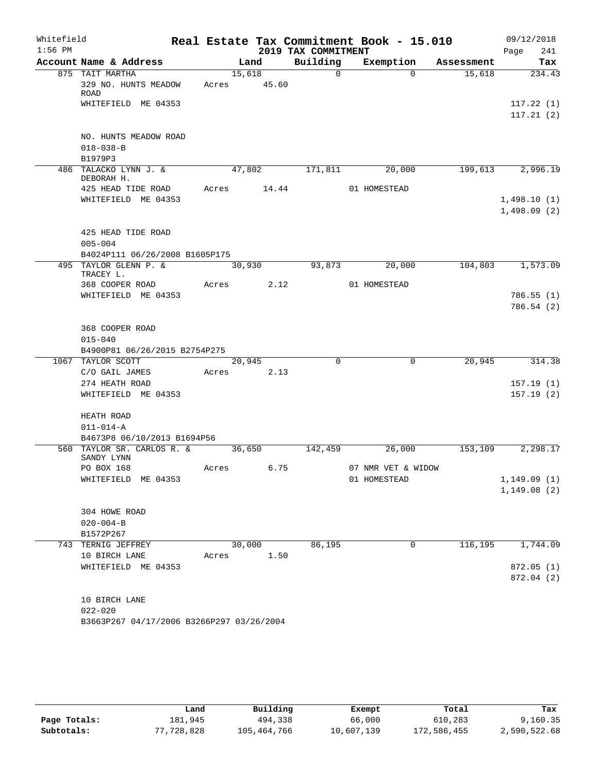| Whitefield<br>$1:56$ PM |                                                     |       |            | 2019 TAX COMMITMENT | Real Estate Tax Commitment Book - 15.010 |                       | 09/12/2018<br>241<br>Page |
|-------------------------|-----------------------------------------------------|-------|------------|---------------------|------------------------------------------|-----------------------|---------------------------|
|                         | Account Name & Address                              |       | Land       | Building            | Exemption                                | Assessment            | Tax                       |
|                         | 875 TAIT MARTHA                                     |       | 15,618     | $\Omega$            |                                          | $\Omega$<br>15,618    | 234.43                    |
|                         | 329 NO. HUNTS MEADOW<br><b>ROAD</b>                 | Acres | 45.60      |                     |                                          |                       |                           |
|                         | WHITEFIELD ME 04353                                 |       |            |                     |                                          |                       | 117.22(1)                 |
|                         |                                                     |       |            |                     |                                          |                       | 117.21(2)                 |
|                         | NO. HUNTS MEADOW ROAD<br>$018 - 038 - B$<br>B1979P3 |       |            |                     |                                          |                       |                           |
|                         | 486 TALACKO LYNN J. &                               |       | 47,802     | 171,811             | 20,000                                   | 199,613               | 2,996.19                  |
|                         | DEBORAH H.                                          |       |            |                     |                                          |                       |                           |
|                         | 425 HEAD TIDE ROAD                                  | Acres | 14.44      |                     | 01 HOMESTEAD                             |                       |                           |
|                         | WHITEFIELD ME 04353                                 |       |            |                     |                                          |                       | 1,498.10(1)               |
|                         |                                                     |       |            |                     |                                          |                       | 1,498.09(2)               |
|                         | 425 HEAD TIDE ROAD                                  |       |            |                     |                                          |                       |                           |
|                         | $005 - 004$                                         |       |            |                     |                                          |                       |                           |
|                         | B4024P111 06/26/2008 B1605P175                      |       |            |                     |                                          |                       |                           |
|                         | 495 TAYLOR GLENN P. &                               |       | 30,930     | 93,873              | 20,000                                   | 104,803               | 1,573.09                  |
|                         | TRACEY L.<br>368 COOPER ROAD                        | Acres | 2.12       |                     | 01 HOMESTEAD                             |                       |                           |
|                         | WHITEFIELD ME 04353                                 |       |            |                     |                                          |                       | 786.55(1)                 |
|                         |                                                     |       |            |                     |                                          |                       | 786.54 (2)                |
|                         | 368 COOPER ROAD                                     |       |            |                     |                                          |                       |                           |
|                         | $015 - 040$                                         |       |            |                     |                                          |                       |                           |
|                         | B4900P81 06/26/2015 B2754P275                       |       |            |                     |                                          |                       |                           |
|                         | 1067 TAYLOR SCOTT                                   |       | 20,945     | $\Omega$            |                                          | $\mathbf 0$<br>20,945 | 314.38                    |
|                         | C/O GAIL JAMES                                      |       | Acres 2.13 |                     |                                          |                       |                           |
|                         | 274 HEATH ROAD                                      |       |            |                     |                                          |                       | 157.19(1)                 |
|                         | WHITEFIELD ME 04353                                 |       |            |                     |                                          |                       | 157.19(2)                 |
|                         | HEATH ROAD                                          |       |            |                     |                                          |                       |                           |
|                         | $011 - 014 - A$                                     |       |            |                     |                                          |                       |                           |
|                         | B4673P8 06/10/2013 B1694P56                         |       |            |                     |                                          |                       |                           |
|                         | 560 TAYLOR SR. CARLOS R. &<br>SANDY LYNN            |       | 36,650     | 142,459             | 26,000                                   | 153,109               | 2,298.17                  |
|                         | PO BOX 168                                          | Acres | 6.75       |                     | 07 NMR VET & WIDOW                       |                       |                           |
|                         | WHITEFIELD ME 04353                                 |       |            |                     | 01 HOMESTEAD                             |                       | 1,149.09(1)               |
|                         |                                                     |       |            |                     |                                          |                       | 1,149.08(2)               |
|                         | 304 HOWE ROAD                                       |       |            |                     |                                          |                       |                           |
|                         | $020 - 004 - B$                                     |       |            |                     |                                          |                       |                           |
|                         | B1572P267                                           |       |            |                     |                                          |                       |                           |
|                         | 743 TERNIG JEFFREY                                  |       | 30,000     | 86,195              |                                          | 116,195<br>0          | 1,744.09                  |
|                         | 10 BIRCH LANE                                       | Acres | 1.50       |                     |                                          |                       |                           |
|                         | WHITEFIELD ME 04353                                 |       |            |                     |                                          |                       | 872.05(1)                 |
|                         |                                                     |       |            |                     |                                          |                       | 872.04 (2)                |
|                         | 10 BIRCH LANE                                       |       |            |                     |                                          |                       |                           |
|                         | $022 - 020$                                         |       |            |                     |                                          |                       |                           |
|                         | B3663P267 04/17/2006 B3266P297 03/26/2004           |       |            |                     |                                          |                       |                           |

|              | Land       | Building    | Exempt     | Total       | Tax          |
|--------------|------------|-------------|------------|-------------|--------------|
| Page Totals: | 181,945    | 494,338     | 66,000     | 610,283     | 9,160.35     |
| Subtotals:   | 77,728,828 | 105,464,766 | 10,607,139 | 172,586,455 | 2,590,522.68 |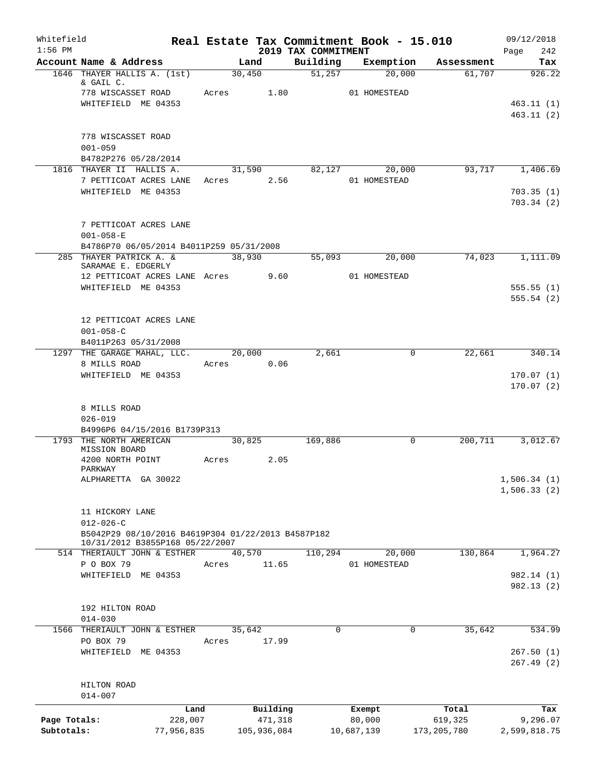| Whitefield<br>$1:56$ PM |                                                                |            |                     | 2019 TAX COMMITMENT | Real Estate Tax Commitment Book - 15.010 |                  | 09/12/2018                 |
|-------------------------|----------------------------------------------------------------|------------|---------------------|---------------------|------------------------------------------|------------------|----------------------------|
|                         | Account Name & Address                                         |            | Land                | Building            | Exemption                                | Assessment       | 242<br>Page<br>Tax         |
|                         | 1646 THAYER HALLIS A. (1st)<br>& GAIL C.                       | 30,450     |                     |                     | 51,257<br>20,000                         | 61,707           | 926.22                     |
|                         | 778 WISCASSET ROAD                                             | Acres 1.80 |                     |                     | 01 HOMESTEAD                             |                  |                            |
|                         | WHITEFIELD ME 04353                                            |            |                     |                     |                                          |                  | 463.11(1)<br>463.11(2)     |
|                         | 778 WISCASSET ROAD<br>$001 - 059$                              |            |                     |                     |                                          |                  |                            |
|                         | B4782P276 05/28/2014                                           |            |                     |                     |                                          |                  |                            |
|                         | 1816 THAYER II HALLIS A.<br>7 PETTICOAT ACRES LANE             | Acres 2.56 | 31,590              |                     | 82,127<br>20,000<br>01 HOMESTEAD         | 93,717           | 1,406.69                   |
|                         | WHITEFIELD ME 04353                                            |            |                     |                     |                                          |                  | 703.35(1)<br>703.34(2)     |
|                         | 7 PETTICOAT ACRES LANE<br>$001 - 058 - E$                      |            |                     |                     |                                          |                  |                            |
|                         | B4786P70 06/05/2014 B4011P259 05/31/2008                       |            |                     |                     |                                          |                  |                            |
|                         | 285 THAYER PATRICK A. &<br>SARAMAE E. EDGERLY                  | 38,930     |                     | 55,093              | 20,000                                   | 74,023           | 1,111.09                   |
|                         | 12 PETTICOAT ACRES LANE Acres 9.60                             |            |                     |                     | 01 HOMESTEAD                             |                  |                            |
|                         | WHITEFIELD ME 04353                                            |            |                     |                     |                                          |                  | 555.55(1)<br>555.54(2)     |
|                         | 12 PETTICOAT ACRES LANE<br>$001 - 058 - C$                     |            |                     |                     |                                          |                  |                            |
|                         | B4011P263 05/31/2008                                           |            |                     |                     |                                          |                  |                            |
|                         | 1297 THE GARAGE MAHAL, LLC.<br>8 MILLS ROAD                    | Acres      | 20,000<br>0.06      | 2,661               | 0                                        | 22,661           | 340.14                     |
|                         | WHITEFIELD ME 04353                                            |            |                     |                     |                                          |                  | 170.07(1)                  |
|                         | 8 MILLS ROAD<br>$026 - 019$                                    |            |                     |                     |                                          |                  |                            |
|                         | B4996P6 04/15/2016 B1739P313                                   |            |                     |                     |                                          |                  |                            |
|                         | 1793 THE NORTH AMERICAN<br>MISSION BOARD                       | 30,825     |                     | 169,886             | 0                                        | 200,711          | 3,012.67                   |
|                         | 4200 NORTH POINT<br>PARKWAY                                    | Acres      | 2.05                |                     |                                          |                  |                            |
|                         | ALPHARETTA GA 30022                                            |            |                     |                     |                                          |                  | 1,506.34(1)<br>1,506.33(2) |
|                         | 11 HICKORY LANE<br>$012 - 026 - C$                             |            |                     |                     |                                          |                  |                            |
|                         | B5042P29 08/10/2016 B4619P304 01/22/2013 B4587P182             |            |                     |                     |                                          |                  |                            |
|                         | 10/31/2012 B3855P168 05/22/2007<br>514 THERIAULT JOHN & ESTHER | 40,570     |                     | 110,294             | 20,000                                   | 130,864          | 1,964.27                   |
|                         | P O BOX 79                                                     | Acres      | 11.65               |                     | 01 HOMESTEAD                             |                  |                            |
|                         | WHITEFIELD ME 04353                                            |            |                     |                     |                                          |                  | 982.14 (1)<br>982.13(2)    |
|                         | 192 HILTON ROAD<br>$014 - 030$                                 |            |                     |                     |                                          |                  |                            |
| 1566                    | THERIAULT JOHN & ESTHER                                        | 35,642     |                     | 0                   | $\mathbf 0$                              | 35,642           | 534.99                     |
|                         | PO BOX 79                                                      | Acres      | 17.99               |                     |                                          |                  |                            |
|                         | WHITEFIELD ME 04353                                            |            |                     |                     |                                          |                  | 267.50(1)<br>267.49(2)     |
|                         | HILTON ROAD                                                    |            |                     |                     |                                          |                  |                            |
|                         | $014 - 007$                                                    |            |                     |                     |                                          |                  |                            |
| Page Totals:            | Land<br>228,007                                                |            | Building<br>471,318 |                     | Exempt<br>80,000                         | Total<br>619,325 | Tax<br>9,296.07            |
| Subtotals:              | 77,956,835                                                     |            | 105,936,084         |                     | 10,687,139                               | 173,205,780      | 2,599,818.75               |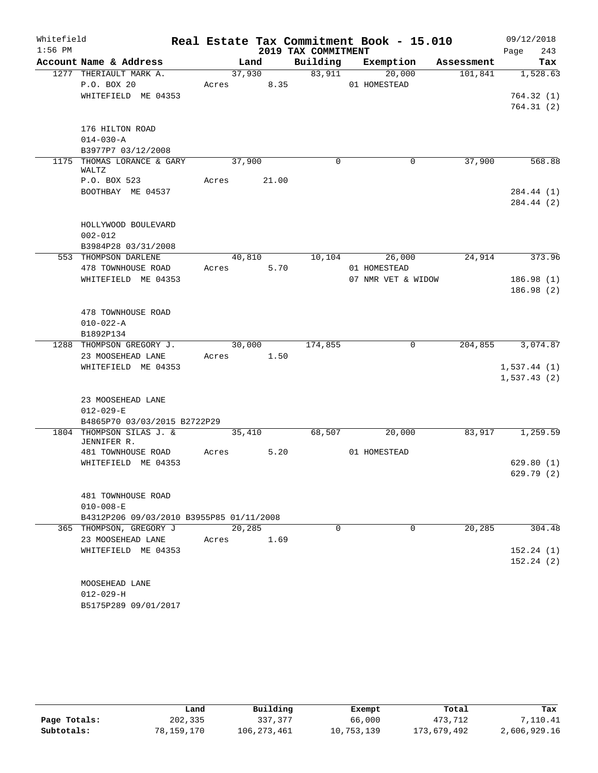| Whitefield |                                          |        |        |                     | Real Estate Tax Commitment Book - 15.010 |            | 09/12/2018             |
|------------|------------------------------------------|--------|--------|---------------------|------------------------------------------|------------|------------------------|
| $1:56$ PM  |                                          |        |        | 2019 TAX COMMITMENT |                                          |            | 243<br>Page            |
|            | Account Name & Address                   |        | Land   | Building            | Exemption                                | Assessment | Tax                    |
|            | 1277 THERIAULT MARK A.                   | 37,930 |        | 83,911              | 20,000                                   | 101,841    | 1,528.63               |
|            | P.O. BOX 20<br>WHITEFIELD ME 04353       | Acres  | 8.35   |                     | 01 HOMESTEAD                             |            |                        |
|            |                                          |        |        |                     |                                          |            | 764.32(1)<br>764.31(2) |
|            |                                          |        |        |                     |                                          |            |                        |
|            | 176 HILTON ROAD                          |        |        |                     |                                          |            |                        |
|            | $014 - 030 - A$                          |        |        |                     |                                          |            |                        |
|            | B3977P7 03/12/2008                       |        |        |                     |                                          |            |                        |
|            | 1175 THOMAS LORANCE & GARY<br>WALTZ      | 37,900 |        | $\mathbf 0$         | 0                                        | 37,900     | 568.88                 |
|            | P.O. BOX 523                             | Acres  | 21.00  |                     |                                          |            |                        |
|            | BOOTHBAY ME 04537                        |        |        |                     |                                          |            | 284.44 (1)             |
|            |                                          |        |        |                     |                                          |            | 284.44 (2)             |
|            |                                          |        |        |                     |                                          |            |                        |
|            | HOLLYWOOD BOULEVARD<br>$002 - 012$       |        |        |                     |                                          |            |                        |
|            | B3984P28 03/31/2008                      |        |        |                     |                                          |            |                        |
|            | 553 THOMPSON DARLENE                     |        | 40,810 | 10,104              | 26,000                                   | 24,914     | 373.96                 |
|            | 478 TOWNHOUSE ROAD                       | Acres  | 5.70   |                     | 01 HOMESTEAD                             |            |                        |
|            | WHITEFIELD ME 04353                      |        |        |                     | 07 NMR VET & WIDOW                       |            | 186.98(1)              |
|            |                                          |        |        |                     |                                          |            | 186.98(2)              |
|            |                                          |        |        |                     |                                          |            |                        |
|            | 478 TOWNHOUSE ROAD                       |        |        |                     |                                          |            |                        |
|            | $010 - 022 - A$                          |        |        |                     |                                          |            |                        |
|            | B1892P134                                |        |        |                     |                                          |            |                        |
|            | 1288 THOMPSON GREGORY J.                 |        | 30,000 | 174,855             | $\Omega$                                 | 204,855    | 3,074.87               |
|            | 23 MOOSEHEAD LANE                        | Acres  | 1.50   |                     |                                          |            |                        |
|            | WHITEFIELD ME 04353                      |        |        |                     |                                          |            | 1,537.44(1)            |
|            |                                          |        |        |                     |                                          |            | 1,537.43(2)            |
|            | 23 MOOSEHEAD LANE                        |        |        |                     |                                          |            |                        |
|            | $012 - 029 - E$                          |        |        |                     |                                          |            |                        |
|            | B4865P70 03/03/2015 B2722P29             |        |        |                     |                                          |            |                        |
|            | 1804 THOMPSON SILAS J. &                 | 35,410 |        | 68,507              | 20,000                                   | 83,917     | 1,259.59               |
|            | JENNIFER R.<br>481 TOWNHOUSE ROAD        | Acres  | 5.20   |                     | 01 HOMESTEAD                             |            |                        |
|            | WHITEFIELD ME 04353                      |        |        |                     |                                          |            | 629.80(1)              |
|            |                                          |        |        |                     |                                          |            | 629.79 (2)             |
|            |                                          |        |        |                     |                                          |            |                        |
|            | 481 TOWNHOUSE ROAD                       |        |        |                     |                                          |            |                        |
|            | $010 - 008 - E$                          |        |        |                     |                                          |            |                        |
|            | B4312P206 09/03/2010 B3955P85 01/11/2008 |        |        |                     |                                          |            |                        |
|            | 365 THOMPSON, GREGORY J                  | 20,285 |        | $\Omega$            | $\Omega$                                 | 20,285     | 304.48                 |
|            | 23 MOOSEHEAD LANE                        | Acres  | 1.69   |                     |                                          |            |                        |
|            | WHITEFIELD ME 04353                      |        |        |                     |                                          |            | 152.24(1)              |
|            |                                          |        |        |                     |                                          |            | 152.24(2)              |
|            |                                          |        |        |                     |                                          |            |                        |
|            | MOOSEHEAD LANE                           |        |        |                     |                                          |            |                        |
|            | $012 - 029 - H$                          |        |        |                     |                                          |            |                        |
|            | B5175P289 09/01/2017                     |        |        |                     |                                          |            |                        |

|              | Land       | Building      | Exempt     | Total       | Tax          |
|--------------|------------|---------------|------------|-------------|--------------|
| Page Totals: | 202,335    | 337,377       | 66,000     | 473,712     | 7,110.41     |
| Subtotals:   | 78,159,170 | 106, 273, 461 | 10,753,139 | 173,679,492 | 2,606,929.16 |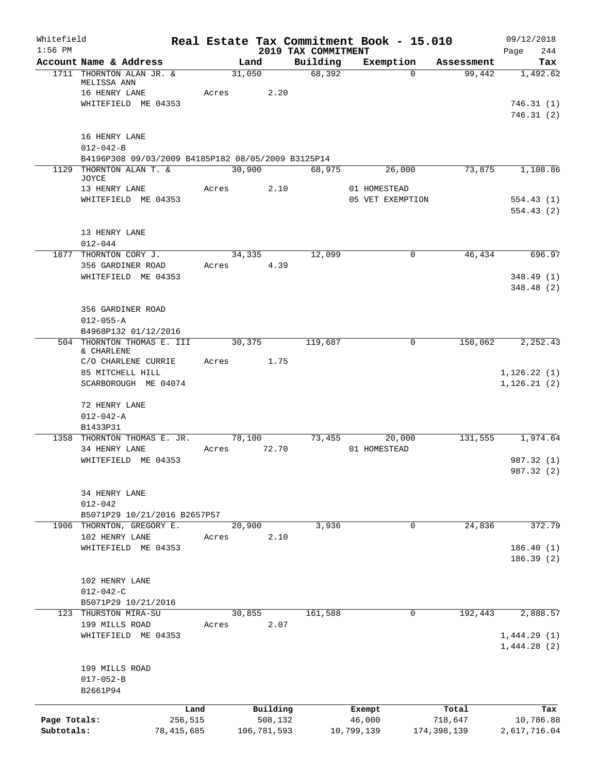| Whitefield<br>$1:56$ PM |                                                                                 |              |       |        |             | 2019 TAX COMMITMENT | Real Estate Tax Commitment Book - 15.010 |             | 09/12/2018<br>244<br>Page  |
|-------------------------|---------------------------------------------------------------------------------|--------------|-------|--------|-------------|---------------------|------------------------------------------|-------------|----------------------------|
|                         | Account Name & Address                                                          |              |       | Land   |             | Building            | Exemption                                | Assessment  | Tax                        |
|                         | 1711 THORNTON ALAN JR. &<br>MELISSA ANN<br>16 HENRY LANE<br>WHITEFIELD ME 04353 |              | Acres | 31,050 | 2.20        | 68,392              | $\Omega$                                 | 99,442      | 1,492.62<br>746.31(1)      |
|                         |                                                                                 |              |       |        |             |                     |                                          |             | 746.31(2)                  |
|                         | 16 HENRY LANE                                                                   |              |       |        |             |                     |                                          |             |                            |
|                         | $012 - 042 - B$<br>B4196P308 09/03/2009 B4185P182 08/05/2009 B3125P14           |              |       |        |             |                     |                                          |             |                            |
|                         | 1129 THORNTON ALAN T. &                                                         |              |       | 30,900 |             | 68,975              | 26,000                                   | 73,875      | 1,108.86                   |
|                         | JOYCE                                                                           |              |       |        |             |                     |                                          |             |                            |
|                         | 13 HENRY LANE                                                                   |              | Acres |        | 2.10        |                     | 01 HOMESTEAD                             |             |                            |
|                         | WHITEFIELD ME 04353                                                             |              |       |        |             |                     | 05 VET EXEMPTION                         |             | 554.43(1)<br>554.43(2)     |
|                         | 13 HENRY LANE                                                                   |              |       |        |             |                     |                                          |             |                            |
|                         | $012 - 044$                                                                     |              |       |        |             |                     |                                          |             |                            |
| 1877                    | THORNTON CORY J.<br>356 GARDINER ROAD                                           |              | Acres | 34,335 | 4.39        | 12,099              | $\mathsf{O}$                             | 46,434      | 696.97                     |
|                         | WHITEFIELD ME 04353                                                             |              |       |        |             |                     |                                          |             | 348.49(1)                  |
|                         |                                                                                 |              |       |        |             |                     |                                          |             | 348.48 (2)                 |
|                         |                                                                                 |              |       |        |             |                     |                                          |             |                            |
|                         | 356 GARDINER ROAD                                                               |              |       |        |             |                     |                                          |             |                            |
|                         | $012 - 055 - A$<br>B4968P132 01/12/2016                                         |              |       |        |             |                     |                                          |             |                            |
|                         | 504 THORNTON THOMAS E. III                                                      |              |       | 30,375 |             | 119,687             | 0                                        | 150,062     | 2,252.43                   |
|                         | & CHARLENE                                                                      |              |       |        |             |                     |                                          |             |                            |
|                         | C/O CHARLENE CURRIE<br>85 MITCHELL HILL                                         |              | Acres |        | 1.75        |                     |                                          |             | 1, 126.22(1)               |
|                         | SCARBOROUGH ME 04074                                                            |              |       |        |             |                     |                                          |             | 1, 126.21(2)               |
|                         | 72 HENRY LANE                                                                   |              |       |        |             |                     |                                          |             |                            |
|                         | $012 - 042 - A$                                                                 |              |       |        |             |                     |                                          |             |                            |
|                         | B1433P31                                                                        |              |       |        |             |                     |                                          |             |                            |
|                         | 1358 THORNTON THOMAS E. JR.                                                     |              |       | 78,100 |             | 73,455              | 20,000                                   | 131,555     | 1,974.64                   |
|                         | 34 HENRY LANE<br>WHITEFIELD ME 04353                                            |              | Acres |        | 72.70       |                     | 01 HOMESTEAD                             |             | 987.32 (1)                 |
|                         |                                                                                 |              |       |        |             |                     |                                          |             | 987.32 (2)                 |
|                         | 34 HENRY LANE                                                                   |              |       |        |             |                     |                                          |             |                            |
|                         | $012 - 042$                                                                     |              |       |        |             |                     |                                          |             |                            |
|                         | B5071P29 10/21/2016 B2657P57<br>1906 THORNTON, GREGORY E.                       |              |       | 20,900 |             | 3,936               | 0                                        | 24,836      | 372.79                     |
|                         | 102 HENRY LANE                                                                  |              | Acres |        | 2.10        |                     |                                          |             |                            |
|                         | WHITEFIELD ME 04353                                                             |              |       |        |             |                     |                                          |             | 186.40(1)                  |
|                         |                                                                                 |              |       |        |             |                     |                                          |             | 186.39(2)                  |
|                         | 102 HENRY LANE                                                                  |              |       |        |             |                     |                                          |             |                            |
|                         | $012 - 042 - C$                                                                 |              |       |        |             |                     |                                          |             |                            |
|                         | B5071P29 10/21/2016                                                             |              |       |        |             |                     |                                          |             |                            |
|                         | 123 THURSTON MIRA-SU                                                            |              |       | 30,855 |             | 161,588             | 0                                        | 192,443     | 2,888.57                   |
|                         | 199 MILLS ROAD                                                                  |              | Acres |        | 2.07        |                     |                                          |             |                            |
|                         | WHITEFIELD ME 04353                                                             |              |       |        |             |                     |                                          |             | 1,444.29(1)<br>1,444.28(2) |
|                         | 199 MILLS ROAD                                                                  |              |       |        |             |                     |                                          |             |                            |
|                         | $017 - 052 - B$                                                                 |              |       |        |             |                     |                                          |             |                            |
|                         | B2661P94                                                                        |              |       |        |             |                     |                                          |             |                            |
|                         |                                                                                 | Land         |       |        | Building    |                     | Exempt                                   | Total       | Tax                        |
| Page Totals:            |                                                                                 | 256,515      |       |        | 508,132     |                     | 46,000                                   | 718,647     | 10,786.88                  |
| Subtotals:              |                                                                                 | 78, 415, 685 |       |        | 106,781,593 |                     | 10,799,139                               | 174,398,139 | 2,617,716.04               |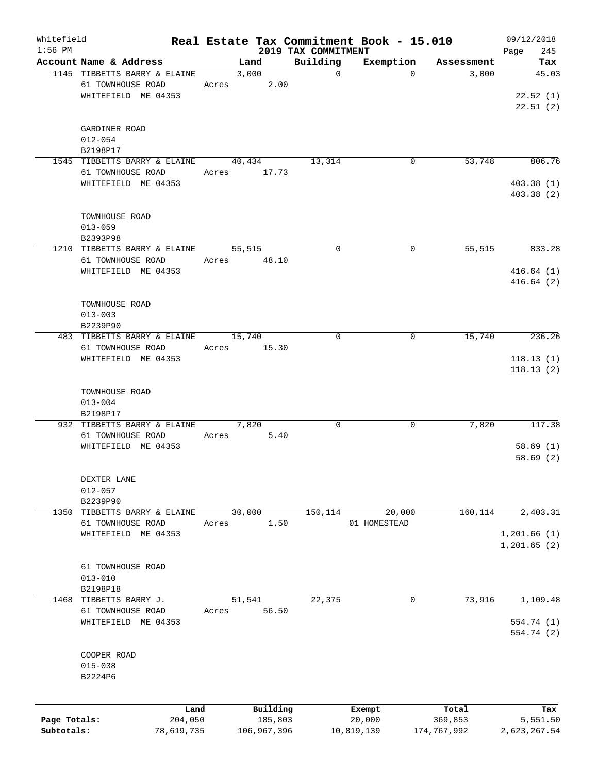| Whitefield<br>$1:56$ PM |                              |       |             |                                 | Real Estate Tax Commitment Book - 15.010 |             | 09/12/2018           |
|-------------------------|------------------------------|-------|-------------|---------------------------------|------------------------------------------|-------------|----------------------|
|                         | Account Name & Address       |       | Land        | 2019 TAX COMMITMENT<br>Building | Exemption                                | Assessment  | 245<br>Page<br>Tax   |
|                         | 1145 TIBBETTS BARRY & ELAINE |       | 3,000       | $\mathbf 0$                     | $\Omega$                                 | 3,000       | 45.03                |
|                         | 61 TOWNHOUSE ROAD            | Acres | 2.00        |                                 |                                          |             |                      |
|                         | WHITEFIELD ME 04353          |       |             |                                 |                                          |             | 22.52(1)<br>22.51(2) |
|                         |                              |       |             |                                 |                                          |             |                      |
|                         | GARDINER ROAD<br>$012 - 054$ |       |             |                                 |                                          |             |                      |
|                         | B2198P17                     |       |             |                                 |                                          |             |                      |
|                         | 1545 TIBBETTS BARRY & ELAINE |       | 40,434      | 13,314                          | 0                                        | 53,748      | 806.76               |
|                         | 61 TOWNHOUSE ROAD            | Acres | 17.73       |                                 |                                          |             |                      |
|                         | WHITEFIELD ME 04353          |       |             |                                 |                                          |             | 403.38(1)            |
|                         |                              |       |             |                                 |                                          |             | 403.38 (2)           |
|                         | TOWNHOUSE ROAD               |       |             |                                 |                                          |             |                      |
|                         | $013 - 059$                  |       |             |                                 |                                          |             |                      |
|                         | B2393P98                     |       |             |                                 |                                          |             |                      |
|                         | 1210 TIBBETTS BARRY & ELAINE |       | 55,515      | $\mathbf 0$                     | 0                                        | 55,515      | 833.28               |
|                         | 61 TOWNHOUSE ROAD            | Acres | 48.10       |                                 |                                          |             |                      |
|                         | WHITEFIELD ME 04353          |       |             |                                 |                                          |             | 416.64(1)            |
|                         |                              |       |             |                                 |                                          |             | 416.64(2)            |
|                         | TOWNHOUSE ROAD               |       |             |                                 |                                          |             |                      |
|                         | $013 - 003$                  |       |             |                                 |                                          |             |                      |
|                         | B2239P90                     |       |             |                                 |                                          |             |                      |
|                         | 483 TIBBETTS BARRY & ELAINE  |       | 15,740      | 0                               | 0                                        | 15,740      | 236.26               |
|                         | 61 TOWNHOUSE ROAD            | Acres | 15.30       |                                 |                                          |             |                      |
|                         | WHITEFIELD ME 04353          |       |             |                                 |                                          |             | 118.13(1)            |
|                         |                              |       |             |                                 |                                          |             | 118.13(2)            |
|                         | TOWNHOUSE ROAD               |       |             |                                 |                                          |             |                      |
|                         | $013 - 004$                  |       |             |                                 |                                          |             |                      |
|                         | B2198P17                     |       |             |                                 |                                          |             |                      |
|                         | 932 TIBBETTS BARRY & ELAINE  |       | 7,820       | 0                               | 0                                        | 7,820       | 117.38               |
|                         | 61 TOWNHOUSE ROAD            | Acres | 5.40        |                                 |                                          |             |                      |
|                         | WHITEFIELD ME 04353          |       |             |                                 |                                          |             | 58.69(1)             |
|                         |                              |       |             |                                 |                                          |             | 58.69(2)             |
|                         | DEXTER LANE                  |       |             |                                 |                                          |             |                      |
|                         | $012 - 057$                  |       |             |                                 |                                          |             |                      |
|                         | B2239P90                     |       |             |                                 |                                          |             |                      |
| 1350                    | TIBBETTS BARRY & ELAINE      |       | 30,000      | 150,114                         | 20,000                                   | 160, 114    | 2,403.31             |
|                         | 61 TOWNHOUSE ROAD            | Acres | 1.50        |                                 | 01 HOMESTEAD                             |             |                      |
|                         | WHITEFIELD ME 04353          |       |             |                                 |                                          |             | 1,201.66(1)          |
|                         |                              |       |             |                                 |                                          |             | 1, 201.65 (2)        |
|                         | 61 TOWNHOUSE ROAD            |       |             |                                 |                                          |             |                      |
|                         | $013 - 010$                  |       |             |                                 |                                          |             |                      |
|                         | B2198P18                     |       |             |                                 |                                          |             |                      |
| 1468                    | TIBBETTS BARRY J.            |       | 51,541      | 22,375                          | 0                                        | 73,916      | 1,109.48             |
|                         | 61 TOWNHOUSE ROAD            | Acres | 56.50       |                                 |                                          |             |                      |
|                         | WHITEFIELD ME 04353          |       |             |                                 |                                          |             | 554.74 (1)           |
|                         |                              |       |             |                                 |                                          |             | 554.74 (2)           |
|                         | COOPER ROAD                  |       |             |                                 |                                          |             |                      |
|                         | $015 - 038$                  |       |             |                                 |                                          |             |                      |
|                         | B2224P6                      |       |             |                                 |                                          |             |                      |
|                         |                              |       |             |                                 |                                          |             |                      |
|                         | Land                         |       | Building    |                                 | Exempt                                   | Total       | Tax                  |
| Page Totals:            | 204,050                      |       | 185,803     |                                 | 20,000                                   | 369,853     | 5,551.50             |
| Subtotals:              | 78,619,735                   |       | 106,967,396 |                                 | 10,819,139                               | 174,767,992 | 2,623,267.54         |
|                         |                              |       |             |                                 |                                          |             |                      |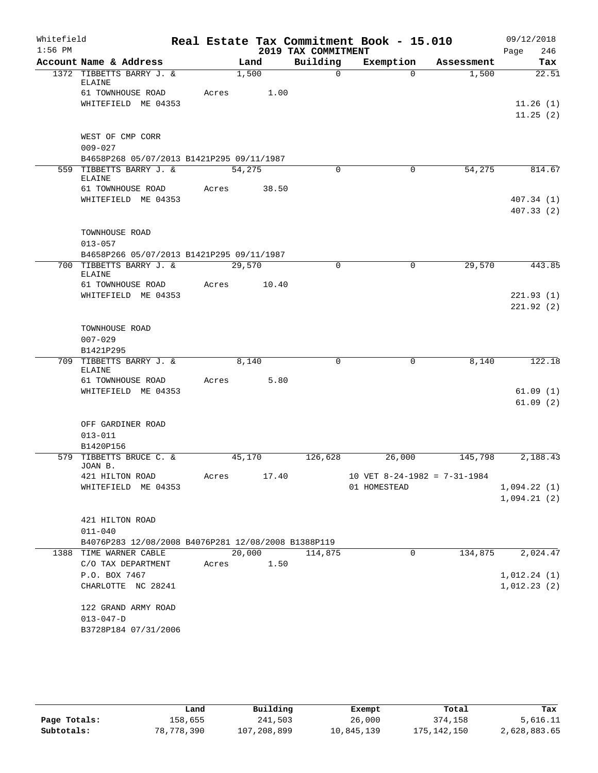| Whitefield<br>$1:56$ PM |                                                     |       |        | 2019 TAX COMMITMENT | Real Estate Tax Commitment Book - 15.010       |            | 09/12/2018<br>246 |
|-------------------------|-----------------------------------------------------|-------|--------|---------------------|------------------------------------------------|------------|-------------------|
|                         | Account Name & Address                              |       | Land   | Building            | Exemption                                      | Assessment | Page<br>Tax       |
|                         | 1372 TIBBETTS BARRY J. &                            |       | 1,500  | $\Omega$            | $\Omega$                                       | 1,500      | 22.51             |
|                         | <b>ELAINE</b><br>61 TOWNHOUSE ROAD                  | Acres |        |                     |                                                |            |                   |
|                         | WHITEFIELD ME 04353                                 |       | 1.00   |                     |                                                |            | 11.26(1)          |
|                         |                                                     |       |        |                     |                                                |            | 11.25(2)          |
|                         |                                                     |       |        |                     |                                                |            |                   |
|                         | WEST OF CMP CORR                                    |       |        |                     |                                                |            |                   |
|                         | $009 - 027$                                         |       |        |                     |                                                |            |                   |
|                         | B4658P268 05/07/2013 B1421P295 09/11/1987           |       |        |                     |                                                |            |                   |
|                         | 559 TIBBETTS BARRY J. &<br><b>ELAINE</b>            |       | 54,275 | $\Omega$            | 0                                              | 54,275     | 814.67            |
|                         | 61 TOWNHOUSE ROAD                                   | Acres | 38.50  |                     |                                                |            |                   |
|                         | WHITEFIELD ME 04353                                 |       |        |                     |                                                |            | 407.34(1)         |
|                         |                                                     |       |        |                     |                                                |            | 407.33(2)         |
|                         |                                                     |       |        |                     |                                                |            |                   |
|                         | TOWNHOUSE ROAD                                      |       |        |                     |                                                |            |                   |
|                         | $013 - 057$                                         |       |        |                     |                                                |            |                   |
|                         | B4658P266 05/07/2013 B1421P295 09/11/1987           |       |        |                     |                                                |            |                   |
|                         | 700 TIBBETTS BARRY J. &<br><b>ELAINE</b>            |       | 29,570 | $\mathbf 0$         | 0                                              | 29,570     | 443.85            |
|                         | 61 TOWNHOUSE ROAD                                   | Acres | 10.40  |                     |                                                |            |                   |
|                         | WHITEFIELD ME 04353                                 |       |        |                     |                                                |            | 221.93(1)         |
|                         |                                                     |       |        |                     |                                                |            | 221.92(2)         |
|                         |                                                     |       |        |                     |                                                |            |                   |
|                         | TOWNHOUSE ROAD                                      |       |        |                     |                                                |            |                   |
|                         | $007 - 029$                                         |       |        |                     |                                                |            |                   |
|                         | B1421P295<br>709 TIBBETTS BARRY J. &                |       | 8,140  | $\mathbf 0$         | 0                                              | 8,140      | 122.18            |
|                         | ELAINE                                              |       |        |                     |                                                |            |                   |
|                         | 61 TOWNHOUSE ROAD                                   | Acres | 5.80   |                     |                                                |            |                   |
|                         | WHITEFIELD ME 04353                                 |       |        |                     |                                                |            | 61.09(1)          |
|                         |                                                     |       |        |                     |                                                |            | 61.09(2)          |
|                         | OFF GARDINER ROAD                                   |       |        |                     |                                                |            |                   |
|                         | $013 - 011$                                         |       |        |                     |                                                |            |                   |
|                         | B1420P156                                           |       |        |                     |                                                |            |                   |
|                         | 579 TIBBETTS BRUCE C. &                             |       | 45,170 | 126,628             | 26,000                                         | 145,798    | 2,188.43          |
|                         | JOAN B.                                             |       |        |                     |                                                |            |                   |
|                         | 421 HILTON ROAD<br>WHITEFIELD ME 04353              | Acres | 17.40  |                     | 10 VET $8-24-1982 = 7-31-1984$<br>01 HOMESTEAD |            | 1,094.22(1)       |
|                         |                                                     |       |        |                     |                                                |            | 1,094.21(2)       |
|                         |                                                     |       |        |                     |                                                |            |                   |
|                         | 421 HILTON ROAD                                     |       |        |                     |                                                |            |                   |
|                         | $011 - 040$                                         |       |        |                     |                                                |            |                   |
|                         | B4076P283 12/08/2008 B4076P281 12/08/2008 B1388P119 |       |        |                     |                                                |            |                   |
|                         | 1388 TIME WARNER CABLE                              |       | 20,000 | 114,875             | 0                                              | 134,875    | 2,024.47          |
|                         | C/O TAX DEPARTMENT                                  | Acres | 1.50   |                     |                                                |            |                   |
|                         | P.O. BOX 7467                                       |       |        |                     |                                                |            | 1,012.24(1)       |
|                         | CHARLOTTE NC 28241                                  |       |        |                     |                                                |            | 1,012.23(2)       |
|                         | 122 GRAND ARMY ROAD                                 |       |        |                     |                                                |            |                   |
|                         | $013 - 047 - D$                                     |       |        |                     |                                                |            |                   |
|                         | B3728P184 07/31/2006                                |       |        |                     |                                                |            |                   |
|                         |                                                     |       |        |                     |                                                |            |                   |

|              | Land       | Building    | Exempt     | Total       | Tax          |
|--------------|------------|-------------|------------|-------------|--------------|
| Page Totals: | 158,655    | 241,503     | 26,000     | 374,158     | 5,616.11     |
| Subtotals:   | 78,778,390 | 107,208,899 | 10,845,139 | 175,142,150 | 2,628,883.65 |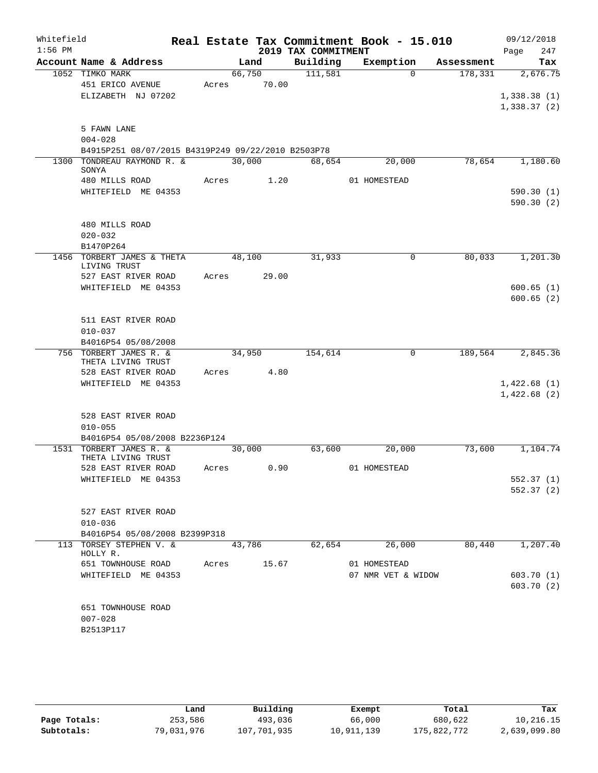| Whitefield<br>$1:56$ PM |                                                    |       |        |       | 2019 TAX COMMITMENT | Real Estate Tax Commitment Book - 15.010 |            | 09/12/2018<br>247<br>Page |
|-------------------------|----------------------------------------------------|-------|--------|-------|---------------------|------------------------------------------|------------|---------------------------|
|                         | Account Name & Address                             |       | Land   |       | Building            | Exemption                                | Assessment | Tax                       |
|                         | 1052 TIMKO MARK                                    |       | 66,750 |       | 111,581             | $\Omega$                                 | 178,331    | 2,676.75                  |
|                         | 451 ERICO AVENUE                                   | Acres |        | 70.00 |                     |                                          |            |                           |
|                         | ELIZABETH NJ 07202                                 |       |        |       |                     |                                          |            | 1,338.38(1)               |
|                         |                                                    |       |        |       |                     |                                          |            | 1,338.37(2)               |
|                         | 5 FAWN LANE                                        |       |        |       |                     |                                          |            |                           |
|                         | $004 - 028$                                        |       |        |       |                     |                                          |            |                           |
|                         | B4915P251 08/07/2015 B4319P249 09/22/2010 B2503P78 |       |        |       |                     |                                          |            |                           |
|                         | 1300 TONDREAU RAYMOND R. &<br>SONYA                |       | 30,000 |       | 68,654              | 20,000                                   | 78,654     | 1,180.60                  |
|                         | 480 MILLS ROAD                                     | Acres |        | 1.20  |                     | 01 HOMESTEAD                             |            |                           |
|                         | WHITEFIELD ME 04353                                |       |        |       |                     |                                          |            | 590.30(1)                 |
|                         |                                                    |       |        |       |                     |                                          |            | 590.30(2)                 |
|                         | 480 MILLS ROAD                                     |       |        |       |                     |                                          |            |                           |
|                         | $020 - 032$                                        |       |        |       |                     |                                          |            |                           |
|                         | B1470P264                                          |       |        |       |                     |                                          |            |                           |
|                         | 1456 TORBERT JAMES & THETA<br>LIVING TRUST         |       | 48,100 |       | 31,933              | 0                                        | 80,033     | 1,201.30                  |
|                         | 527 EAST RIVER ROAD                                | Acres |        | 29.00 |                     |                                          |            |                           |
|                         | WHITEFIELD ME 04353                                |       |        |       |                     |                                          |            | 600.65(1)                 |
|                         |                                                    |       |        |       |                     |                                          |            | 600.65(2)                 |
|                         | 511 EAST RIVER ROAD                                |       |        |       |                     |                                          |            |                           |
|                         | $010 - 037$                                        |       |        |       |                     |                                          |            |                           |
|                         | B4016P54 05/08/2008                                |       |        |       |                     |                                          |            |                           |
|                         | 756 TORBERT JAMES R. &<br>THETA LIVING TRUST       |       | 34,950 |       | 154,614             | 0                                        | 189,564    | 2,845.36                  |
|                         | 528 EAST RIVER ROAD                                | Acres |        | 4.80  |                     |                                          |            |                           |
|                         | WHITEFIELD ME 04353                                |       |        |       |                     |                                          |            | 1,422.68(1)               |
|                         |                                                    |       |        |       |                     |                                          |            | 1,422.68(2)               |
|                         | 528 EAST RIVER ROAD                                |       |        |       |                     |                                          |            |                           |
|                         | $010 - 055$                                        |       |        |       |                     |                                          |            |                           |
|                         | B4016P54 05/08/2008 B2236P124                      |       |        |       |                     |                                          |            |                           |
|                         | 1531 TORBERT JAMES R. &<br>THETA LIVING TRUST      |       | 30,000 |       | 63,600              | 20,000                                   | 73,600     | 1,104.74                  |
|                         | 528 EAST RIVER ROAD                                | Acres |        | 0.90  |                     | 01 HOMESTEAD                             |            |                           |
|                         | WHITEFIELD ME 04353                                |       |        |       |                     |                                          |            | 552.37(1)                 |
|                         |                                                    |       |        |       |                     |                                          |            | 552.37(2)                 |
|                         | 527 EAST RIVER ROAD                                |       |        |       |                     |                                          |            |                           |
|                         | $010 - 036$                                        |       |        |       |                     |                                          |            |                           |
|                         | B4016P54 05/08/2008 B2399P318                      |       |        |       |                     |                                          |            |                           |
|                         | 113 TORSEY STEPHEN V. &<br>HOLLY R.                |       | 43,786 |       | 62,654              | 26,000                                   | 80,440     | 1,207.40                  |
|                         | 651 TOWNHOUSE ROAD                                 | Acres |        | 15.67 |                     | 01 HOMESTEAD                             |            |                           |
|                         | WHITEFIELD ME 04353                                |       |        |       |                     | 07 NMR VET & WIDOW                       |            | 603.70(1)                 |
|                         |                                                    |       |        |       |                     |                                          |            | 603.70 (2)                |
|                         | 651 TOWNHOUSE ROAD                                 |       |        |       |                     |                                          |            |                           |
|                         | $007 - 028$                                        |       |        |       |                     |                                          |            |                           |
|                         | B2513P117                                          |       |        |       |                     |                                          |            |                           |
|                         |                                                    |       |        |       |                     |                                          |            |                           |

|              | Land       | Building    | Exempt     | Total       | Tax          |
|--------------|------------|-------------|------------|-------------|--------------|
| Page Totals: | 253,586    | 493,036     | 66,000     | 680,622     | 10,216.15    |
| Subtotals:   | 79,031,976 | 107,701,935 | 10,911,139 | 175,822,772 | 2,639,099.80 |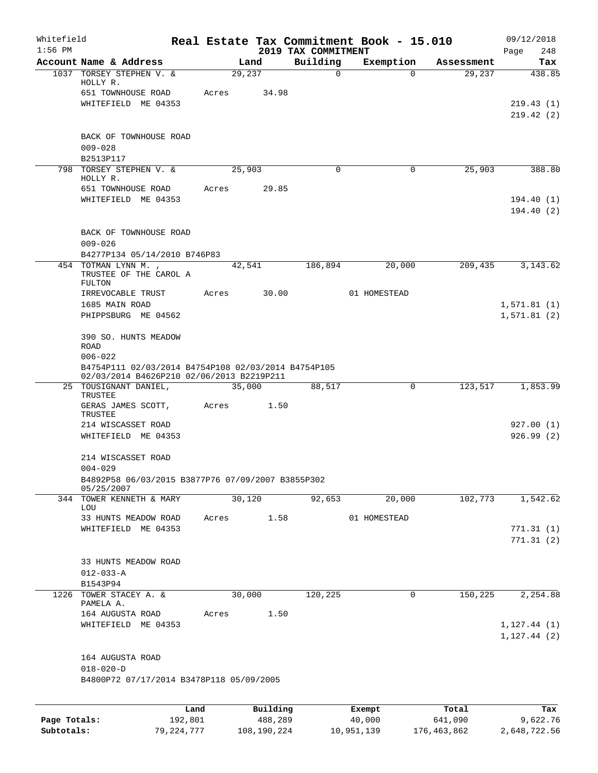| Whitefield<br>$1:56$ PM |                                                                                                  |                 |       |        |                     |                                 | Real Estate Tax Commitment Book - 15.010 |                  | 09/12/2018         |
|-------------------------|--------------------------------------------------------------------------------------------------|-----------------|-------|--------|---------------------|---------------------------------|------------------------------------------|------------------|--------------------|
|                         | Account Name & Address                                                                           |                 |       | Land   |                     | 2019 TAX COMMITMENT<br>Building | Exemption                                | Assessment       | 248<br>Page<br>Tax |
|                         | 1037 TORSEY STEPHEN V. &                                                                         |                 |       | 29,237 |                     | $\mathbf 0$                     | $\Omega$                                 | 29,237           | 438.85             |
|                         | HOLLY R.                                                                                         |                 |       |        |                     |                                 |                                          |                  |                    |
|                         | 651 TOWNHOUSE ROAD                                                                               |                 | Acres |        | 34.98               |                                 |                                          |                  |                    |
|                         | WHITEFIELD ME 04353                                                                              |                 |       |        |                     |                                 |                                          |                  | 219.43(1)          |
|                         |                                                                                                  |                 |       |        |                     |                                 |                                          |                  | 219.42(2)          |
|                         | BACK OF TOWNHOUSE ROAD                                                                           |                 |       |        |                     |                                 |                                          |                  |                    |
|                         | $009 - 028$                                                                                      |                 |       |        |                     |                                 |                                          |                  |                    |
|                         | B2513P117                                                                                        |                 |       |        |                     |                                 |                                          |                  |                    |
|                         | 798 TORSEY STEPHEN V. &                                                                          |                 |       | 25,903 |                     | $\Omega$                        | 0                                        | 25,903           | 388.80             |
|                         | HOLLY R.<br>651 TOWNHOUSE ROAD                                                                   |                 | Acres |        | 29.85               |                                 |                                          |                  |                    |
|                         | WHITEFIELD ME 04353                                                                              |                 |       |        |                     |                                 |                                          |                  | 194.40 (1)         |
|                         |                                                                                                  |                 |       |        |                     |                                 |                                          |                  | 194.40(2)          |
|                         |                                                                                                  |                 |       |        |                     |                                 |                                          |                  |                    |
|                         | BACK OF TOWNHOUSE ROAD                                                                           |                 |       |        |                     |                                 |                                          |                  |                    |
|                         | $009 - 026$                                                                                      |                 |       |        |                     |                                 |                                          |                  |                    |
|                         | B4277P134 05/14/2010 B746P83                                                                     |                 |       |        |                     |                                 |                                          |                  |                    |
|                         | 454 TOTMAN LYNN M.,<br>TRUSTEE OF THE CAROL A                                                    |                 |       | 42,541 |                     | 186,894                         | 20,000                                   | 209,435          | 3, 143.62          |
|                         | FULTON                                                                                           |                 |       |        |                     |                                 |                                          |                  |                    |
|                         | IRREVOCABLE TRUST                                                                                |                 | Acres |        | 30.00               |                                 | 01 HOMESTEAD                             |                  |                    |
|                         | 1685 MAIN ROAD                                                                                   |                 |       |        |                     |                                 |                                          |                  | 1,571.81(1)        |
|                         | PHIPPSBURG ME 04562                                                                              |                 |       |        |                     |                                 |                                          |                  | 1,571.81(2)        |
|                         | 390 SO. HUNTS MEADOW                                                                             |                 |       |        |                     |                                 |                                          |                  |                    |
|                         | <b>ROAD</b>                                                                                      |                 |       |        |                     |                                 |                                          |                  |                    |
|                         | $006 - 022$                                                                                      |                 |       |        |                     |                                 |                                          |                  |                    |
|                         | B4754P111 02/03/2014 B4754P108 02/03/2014 B4754P105<br>02/03/2014 B4626P210 02/06/2013 B2219P211 |                 |       |        |                     |                                 |                                          |                  |                    |
|                         | 25 TOUSIGNANT DANIEL,                                                                            |                 |       | 35,000 |                     | 88,517                          | 0                                        | 123,517          | 1,853.99           |
|                         | TRUSTEE                                                                                          |                 |       |        |                     |                                 |                                          |                  |                    |
|                         | GERAS JAMES SCOTT,<br>TRUSTEE                                                                    |                 | Acres |        | 1.50                |                                 |                                          |                  |                    |
|                         | 214 WISCASSET ROAD                                                                               |                 |       |        |                     |                                 |                                          |                  | 927.00(1)          |
|                         | WHITEFIELD ME 04353                                                                              |                 |       |        |                     |                                 |                                          |                  | 926.99(2)          |
|                         |                                                                                                  |                 |       |        |                     |                                 |                                          |                  |                    |
|                         | 214 WISCASSET ROAD                                                                               |                 |       |        |                     |                                 |                                          |                  |                    |
|                         | $004 - 029$                                                                                      |                 |       |        |                     |                                 |                                          |                  |                    |
|                         | B4892P58 06/03/2015 B3877P76 07/09/2007 B3855P302<br>05/25/2007                                  |                 |       |        |                     |                                 |                                          |                  |                    |
|                         | 344 TOWER KENNETH & MARY                                                                         |                 |       | 30,120 |                     | 92,653                          | 20,000                                   | 102,773          | 1,542.62           |
|                         | LOU                                                                                              |                 |       |        |                     |                                 |                                          |                  |                    |
|                         | 33 HUNTS MEADOW ROAD<br>WHITEFIELD ME 04353                                                      |                 | Acres |        | 1.58                |                                 | 01 HOMESTEAD                             |                  | 771.31(1)          |
|                         |                                                                                                  |                 |       |        |                     |                                 |                                          |                  | 771.31(2)          |
|                         |                                                                                                  |                 |       |        |                     |                                 |                                          |                  |                    |
|                         | 33 HUNTS MEADOW ROAD                                                                             |                 |       |        |                     |                                 |                                          |                  |                    |
|                         | $012 - 033 - A$                                                                                  |                 |       |        |                     |                                 |                                          |                  |                    |
|                         | B1543P94                                                                                         |                 |       |        |                     |                                 |                                          |                  |                    |
| 1226                    | TOWER STACEY A. &<br>PAMELA A.                                                                   |                 |       | 30,000 |                     | 120,225                         | 0                                        | 150,225          | 2,254.88           |
|                         | 164 AUGUSTA ROAD                                                                                 |                 | Acres |        | 1.50                |                                 |                                          |                  |                    |
|                         | WHITEFIELD ME 04353                                                                              |                 |       |        |                     |                                 |                                          |                  | 1, 127.44(1)       |
|                         |                                                                                                  |                 |       |        |                     |                                 |                                          |                  | 1, 127.44(2)       |
|                         |                                                                                                  |                 |       |        |                     |                                 |                                          |                  |                    |
|                         | 164 AUGUSTA ROAD<br>$018 - 020 - D$                                                              |                 |       |        |                     |                                 |                                          |                  |                    |
|                         | B4800P72 07/17/2014 B3478P118 05/09/2005                                                         |                 |       |        |                     |                                 |                                          |                  |                    |
|                         |                                                                                                  |                 |       |        |                     |                                 |                                          |                  |                    |
|                         |                                                                                                  |                 |       |        |                     |                                 |                                          |                  |                    |
| Page Totals:            |                                                                                                  | Land<br>192,801 |       |        | Building<br>488,289 |                                 | Exempt<br>40,000                         | Total<br>641,090 | Tax<br>9,622.76    |
|                         |                                                                                                  |                 |       |        |                     |                                 |                                          |                  |                    |

**Subtotals:** 79,224,777 108,190,224 10,951,139 176,463,862 2,648,722.56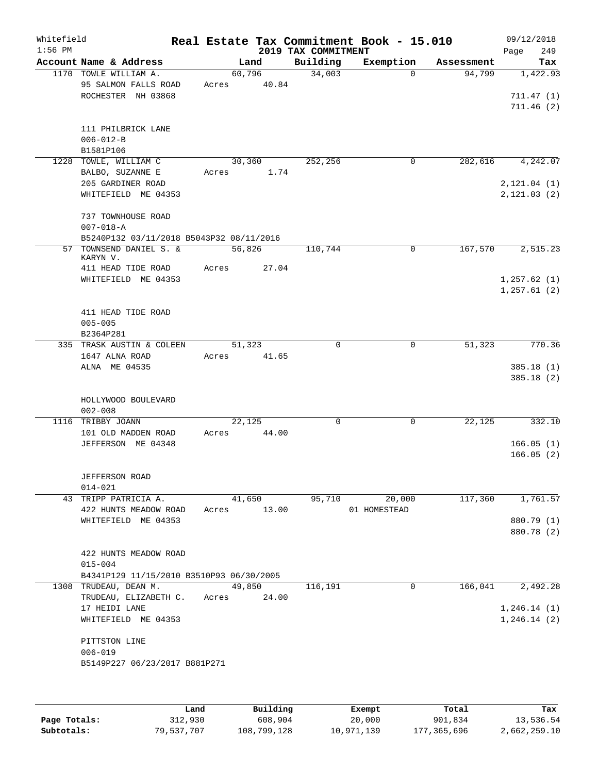| Whitefield<br>$1:56$ PM |                                                                     |                 |                 | 2019 TAX COMMITMENT | Real Estate Tax Commitment Book - 15.010 |            | 09/12/2018<br>249<br>Page          |
|-------------------------|---------------------------------------------------------------------|-----------------|-----------------|---------------------|------------------------------------------|------------|------------------------------------|
|                         | Account Name & Address                                              |                 | Land            | Building            | Exemption                                | Assessment | Tax                                |
|                         | 1170 TOWLE WILLIAM A.<br>95 SALMON FALLS ROAD<br>ROCHESTER NH 03868 | Acres           | 60,796<br>40.84 | 34,003              | $\Omega$                                 | 94,799     | 1,422.93<br>711.47(1)<br>711.46(2) |
|                         | 111 PHILBRICK LANE<br>$006 - 012 - B$<br>B1581P106                  |                 |                 |                     |                                          |            |                                    |
|                         | 1228 TOWLE, WILLIAM C<br>BALBO, SUZANNE E<br>205 GARDINER ROAD      | Acres           | 30,360<br>1.74  | 252,256             | $\mathbf 0$                              | 282,616    | 4,242.07<br>2, 121.04(1)           |
|                         | WHITEFIELD ME 04353                                                 |                 |                 |                     |                                          |            | 2, 121.03(2)                       |
|                         | 737 TOWNHOUSE ROAD<br>$007 - 018 - A$                               |                 |                 |                     |                                          |            |                                    |
| 57                      | B5240P132 03/11/2018 B5043P32 08/11/2016<br>TOWNSEND DANIEL S. &    | 56,826          |                 | 110,744             | $\mathbf 0$                              | 167,570    | 2,515.23                           |
|                         | KARYN V.<br>411 HEAD TIDE ROAD                                      | Acres           | 27.04           |                     |                                          |            |                                    |
|                         | WHITEFIELD ME 04353                                                 |                 |                 |                     |                                          |            | 1,257.62(1)<br>1, 257.61(2)        |
|                         | 411 HEAD TIDE ROAD<br>$005 - 005$<br>B2364P281                      |                 |                 |                     |                                          |            |                                    |
|                         | 335 TRASK AUSTIN & COLEEN                                           |                 | 51,323          | $\Omega$            | $\Omega$                                 | 51,323     | 770.36                             |
|                         | 1647 ALNA ROAD<br>ALNA ME 04535                                     | Acres           | 41.65           |                     |                                          |            | 385.18(1)<br>385.18(2)             |
|                         | HOLLYWOOD BOULEVARD<br>$002 - 008$                                  |                 |                 |                     |                                          |            |                                    |
|                         | 1116 TRIBBY JOANN                                                   | 22,125          |                 | 0                   | 0                                        | 22,125     | 332.10                             |
|                         | 101 OLD MADDEN ROAD                                                 | Acres           | 44.00           |                     |                                          |            |                                    |
|                         | JEFFERSON ME 04348                                                  |                 |                 |                     |                                          |            | 166.05(1)<br>166.05(2)             |
|                         | <b>JEFFERSON ROAD</b><br>$014 - 021$                                |                 |                 |                     |                                          |            |                                    |
|                         | 43 TRIPP PATRICIA A.<br>422 HUNTS MEADOW ROAD                       | Acres           | 41,650<br>13.00 | 95,710              | 20,000<br>01 HOMESTEAD                   | 117,360    | 1,761.57                           |
|                         | WHITEFIELD ME 04353                                                 |                 |                 |                     |                                          |            | 880.79 (1)                         |
|                         |                                                                     |                 |                 |                     |                                          |            | 880.78 (2)                         |
|                         | 422 HUNTS MEADOW ROAD<br>$015 - 004$                                |                 |                 |                     |                                          |            |                                    |
|                         | B4341P129 11/15/2010 B3510P93 06/30/2005                            |                 |                 |                     |                                          |            |                                    |
|                         | 1308 TRUDEAU, DEAN M.<br>TRUDEAU, ELIZABETH C.<br>17 HEIDI LANE     | 49,850<br>Acres | 24.00           | 116,191             | $\mathbf{0}$                             | 166,041    | 2,492.28<br>1,246.14(1)            |
|                         | WHITEFIELD ME 04353                                                 |                 |                 |                     |                                          |            | 1, 246.14(2)                       |
|                         | PITTSTON LINE<br>$006 - 019$                                        |                 |                 |                     |                                          |            |                                    |
|                         | B5149P227 06/23/2017 B881P271                                       |                 |                 |                     |                                          |            |                                    |
|                         |                                                                     |                 |                 |                     |                                          |            |                                    |

|              | Land       | Building    | Exempt     | Total       | Tax          |
|--------------|------------|-------------|------------|-------------|--------------|
| Page Totals: | 312,930    | 608,904     | 20,000     | 901,834     | 13,536.54    |
| Subtotals:   | 79,537,707 | 108,799,128 | 10,971,139 | 177,365,696 | 2,662,259.10 |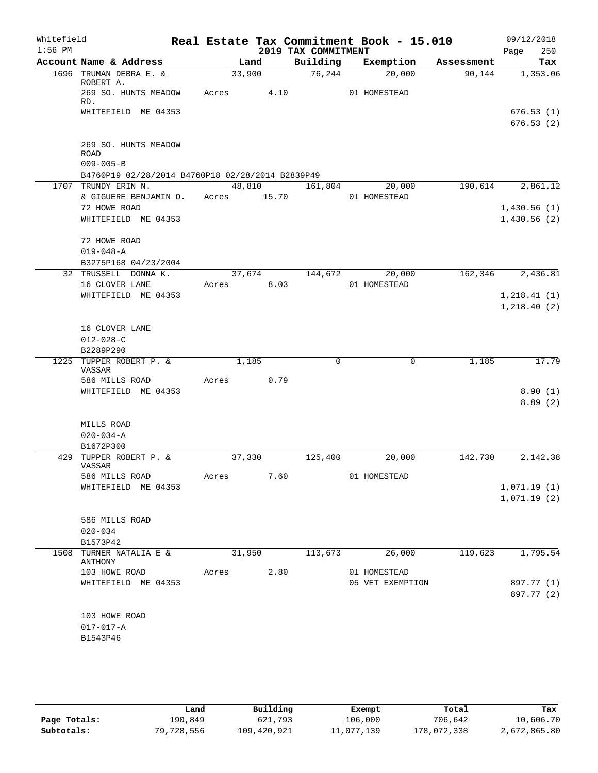| Whitefield<br>$1:56$ PM |                                                                     |             |        | 2019 TAX COMMITMENT | Real Estate Tax Commitment Book - 15.010 |            | 09/12/2018<br>250<br>Page |
|-------------------------|---------------------------------------------------------------------|-------------|--------|---------------------|------------------------------------------|------------|---------------------------|
|                         | Account Name & Address                                              |             | Land   | Building            | Exemption                                | Assessment | Tax                       |
|                         | 1696 TRUMAN DEBRA E. &<br>ROBERT A.                                 | 33,900      |        | 76, 244             | 20,000                                   | 90, 144    | 1,353.06                  |
|                         | 269 SO. HUNTS MEADOW<br>RD.                                         | Acres 4.10  |        |                     | 01 HOMESTEAD                             |            |                           |
|                         | WHITEFIELD ME 04353                                                 |             |        |                     |                                          |            | 676.53(1)<br>676.53(2)    |
|                         |                                                                     |             |        |                     |                                          |            |                           |
|                         | 269 SO. HUNTS MEADOW<br>ROAD                                        |             |        |                     |                                          |            |                           |
|                         | $009 - 005 - B$<br>B4760P19 02/28/2014 B4760P18 02/28/2014 B2839P49 |             |        |                     |                                          |            |                           |
|                         | 1707 TRUNDY ERIN N.                                                 |             | 48,810 | 161,804             | 20,000                                   | 190,614    | 2,861.12                  |
|                         | & GIGUERE BENJAMIN O.                                               | Acres 15.70 |        |                     | 01 HOMESTEAD                             |            |                           |
|                         | 72 HOWE ROAD                                                        |             |        |                     |                                          |            | 1,430.56(1)               |
|                         | WHITEFIELD ME 04353                                                 |             |        |                     |                                          |            | 1,430.56(2)               |
|                         | 72 HOWE ROAD                                                        |             |        |                     |                                          |            |                           |
|                         | $019 - 048 - A$                                                     |             |        |                     |                                          |            |                           |
|                         | B3275P168 04/23/2004                                                |             |        |                     |                                          |            |                           |
|                         | 32 TRUSSELL DONNA K.                                                | 37,674      |        | 144,672             | 20,000                                   | 162, 346   | 2,436.81                  |
|                         | 16 CLOVER LANE                                                      | Acres       | 8.03   |                     | 01 HOMESTEAD                             |            |                           |
|                         | WHITEFIELD ME 04353                                                 |             |        |                     |                                          |            | 1, 218.41(1)              |
|                         |                                                                     |             |        |                     |                                          |            | 1,218.40(2)               |
|                         | 16 CLOVER LANE                                                      |             |        |                     |                                          |            |                           |
|                         | $012 - 028 - C$                                                     |             |        |                     |                                          |            |                           |
|                         | B2289P290                                                           |             |        |                     |                                          |            |                           |
|                         | 1225 TUPPER ROBERT P. &<br>VASSAR                                   |             | 1,185  | $\mathbf 0$         | $\mathbf 0$                              | 1,185      | 17.79                     |
|                         | 586 MILLS ROAD                                                      | Acres       | 0.79   |                     |                                          |            |                           |
|                         | WHITEFIELD ME 04353                                                 |             |        |                     |                                          |            | 8.90(1)                   |
|                         |                                                                     |             |        |                     |                                          |            | 8.89(2)                   |
|                         |                                                                     |             |        |                     |                                          |            |                           |
|                         | MILLS ROAD                                                          |             |        |                     |                                          |            |                           |
|                         | $020 - 034 - A$                                                     |             |        |                     |                                          |            |                           |
|                         | B1672P300<br>429 TUPPER ROBERT P. &                                 | 37,330      |        | 125,400             | 20,000                                   | 142,730    | 2,142.38                  |
|                         | VASSAR                                                              |             |        |                     | 01 HOMESTEAD                             |            |                           |
|                         | 586 MILLS ROAD<br>WHITEFIELD ME 04353                               | Acres       | 7.60   |                     |                                          |            | 1,071.19(1)               |
|                         |                                                                     |             |        |                     |                                          |            | 1,071.19(2)               |
|                         | 586 MILLS ROAD                                                      |             |        |                     |                                          |            |                           |
|                         | $020 - 034$                                                         |             |        |                     |                                          |            |                           |
|                         | B1573P42                                                            |             |        |                     |                                          |            |                           |
|                         | 1508 TURNER NATALIA E &<br>ANTHONY                                  | 31,950      |        | 113,673             | 26,000                                   | 119,623    | 1,795.54                  |
|                         | 103 HOWE ROAD                                                       | Acres       | 2.80   |                     | 01 HOMESTEAD                             |            |                           |
|                         | WHITEFIELD ME 04353                                                 |             |        |                     | 05 VET EXEMPTION                         |            | 897.77 (1)                |
|                         |                                                                     |             |        |                     |                                          |            | 897.77 (2)                |
|                         | 103 HOWE ROAD                                                       |             |        |                     |                                          |            |                           |
|                         | $017 - 017 - A$                                                     |             |        |                     |                                          |            |                           |
|                         | B1543P46                                                            |             |        |                     |                                          |            |                           |
|                         |                                                                     |             |        |                     |                                          |            |                           |

|              | Land       | Building    | Exempt     | Total       | Tax          |
|--------------|------------|-------------|------------|-------------|--------------|
| Page Totals: | 190,849    | 621,793     | 106,000    | 706,642     | 10,606.70    |
| Subtotals:   | 79,728,556 | 109,420,921 | 11,077,139 | 178,072,338 | 2,672,865.80 |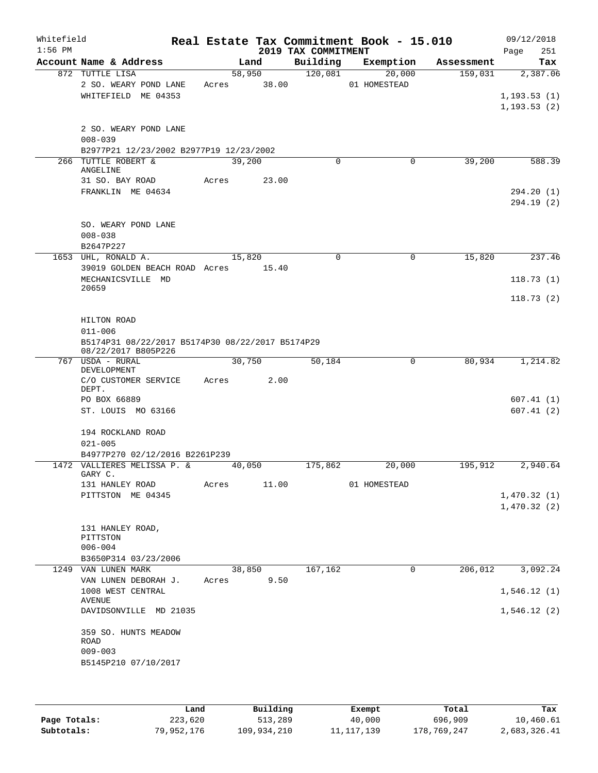| Whitefield<br>$1:56$ PM |                                                                                 |        |                 | 2019 TAX COMMITMENT | Real Estate Tax Commitment Book - 15.010 |            | 09/12/2018<br>251<br>Page                |
|-------------------------|---------------------------------------------------------------------------------|--------|-----------------|---------------------|------------------------------------------|------------|------------------------------------------|
|                         | Account Name & Address                                                          |        | Land            | Building            | Exemption                                | Assessment | Tax                                      |
|                         | 872 TUTTLE LISA<br>2 SO. WEARY POND LANE<br>WHITEFIELD ME 04353                 | Acres  | 58,950<br>38.00 | 120,081             | 20,000<br>01 HOMESTEAD                   | 159,031    | 2,387.06<br>1, 193.53(1)<br>1, 193.53(2) |
|                         | 2 SO. WEARY POND LANE<br>$008 - 039$<br>B2977P21 12/23/2002 B2977P19 12/23/2002 |        |                 |                     |                                          |            |                                          |
|                         | 266 TUTTLE ROBERT &<br>ANGELINE                                                 |        | 39,200          | $\mathbf 0$         | $\mathbf 0$                              | 39,200     | 588.39                                   |
|                         | 31 SO. BAY ROAD<br>FRANKLIN ME 04634                                            | Acres  | 23.00           |                     |                                          |            | 294.20 (1)<br>294.19 (2)                 |
|                         | SO. WEARY POND LANE<br>$008 - 038$<br>B2647P227                                 |        |                 |                     |                                          |            |                                          |
|                         | 1653 UHL, RONALD A.                                                             | 15,820 |                 | $\mathbf 0$         | 0                                        | 15,820     | 237.46                                   |
|                         | 39019 GOLDEN BEACH ROAD Acres 15.40                                             |        |                 |                     |                                          |            |                                          |
|                         | MECHANICSVILLE MD<br>20659                                                      |        |                 |                     |                                          |            | 118.73(1)                                |
|                         |                                                                                 |        |                 |                     |                                          |            | 118.73(2)                                |
|                         | HILTON ROAD                                                                     |        |                 |                     |                                          |            |                                          |
|                         | $011 - 006$                                                                     |        |                 |                     |                                          |            |                                          |
|                         | B5174P31 08/22/2017 B5174P30 08/22/2017 B5174P29<br>08/22/2017 B805P226         |        |                 |                     |                                          |            |                                          |
|                         | 767 USDA - RURAL<br>DEVELOPMENT                                                 |        | 30,750          | 50,184              | 0                                        | 80,934     | 1,214.82                                 |
|                         | C/O CUSTOMER SERVICE<br>DEPT.                                                   | Acres  | 2.00            |                     |                                          |            |                                          |
|                         | PO BOX 66889<br>ST. LOUIS MO 63166                                              |        |                 |                     |                                          |            | 607.41(1)<br>607.41(2)                   |
|                         | 194 ROCKLAND ROAD<br>$021 - 005$                                                |        |                 |                     |                                          |            |                                          |
|                         | B4977P270 02/12/2016 B2261P239<br>1472 VALLIERES MELISSA P. &                   | 40,050 |                 | 175,862             | 20,000                                   | 195,912    | 2,940.64                                 |
|                         | GARY C.                                                                         | Acres  | 11.00           |                     | 01 HOMESTEAD                             |            |                                          |
|                         | 131 HANLEY ROAD<br>PITTSTON ME 04345                                            |        |                 |                     |                                          |            | 1,470.32(1)                              |
|                         |                                                                                 |        |                 |                     |                                          |            | 1,470.32(2)                              |
|                         | 131 HANLEY ROAD,<br>PITTSTON<br>$006 - 004$                                     |        |                 |                     |                                          |            |                                          |
|                         | B3650P314 03/23/2006                                                            |        |                 |                     |                                          |            |                                          |
|                         | 1249 VAN LUNEN MARK                                                             |        | 38,850<br>9.50  | 167,162             | 0                                        | 206,012    | 3,092.24                                 |
|                         | VAN LUNEN DEBORAH J.<br>1008 WEST CENTRAL                                       | Acres  |                 |                     |                                          |            | 1,546.12(1)                              |
|                         | AVENUE<br>DAVIDSONVILLE MD 21035                                                |        |                 |                     |                                          |            | 1,546.12(2)                              |
|                         | 359 SO. HUNTS MEADOW<br>ROAD<br>$009 - 003$<br>B5145P210 07/10/2017             |        |                 |                     |                                          |            |                                          |
|                         |                                                                                 |        |                 |                     |                                          |            |                                          |

|              | Land       | Building    | Exempt       | Total       | Tax          |
|--------------|------------|-------------|--------------|-------------|--------------|
| Page Totals: | 223,620    | 513,289     | 40,000       | 696,909     | 10,460.61    |
| Subtotals:   | 79,952,176 | 109,934,210 | 11, 117, 139 | 178,769,247 | 2,683,326.41 |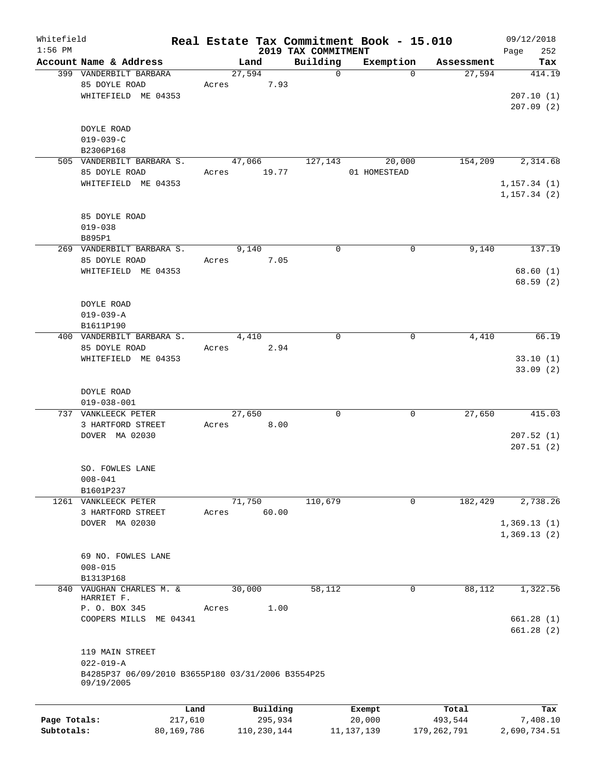| Whitefield   |                                                   |         |          |                                 | Real Estate Tax Commitment Book - 15.010 |            | 09/12/2018         |
|--------------|---------------------------------------------------|---------|----------|---------------------------------|------------------------------------------|------------|--------------------|
| $1:56$ PM    | Account Name & Address                            |         | Land     | 2019 TAX COMMITMENT<br>Building | Exemption                                | Assessment | Page<br>252<br>Tax |
|              | 399 VANDERBILT BARBARA                            |         | 27,594   | $\mathsf{O}$                    | $\Omega$                                 | 27,594     | 414.19             |
|              | 85 DOYLE ROAD                                     |         | 7.93     |                                 |                                          |            |                    |
|              | WHITEFIELD ME 04353                               | Acres   |          |                                 |                                          |            |                    |
|              |                                                   |         |          |                                 |                                          |            | 207.10(1)          |
|              |                                                   |         |          |                                 |                                          |            | 207.09(2)          |
|              |                                                   |         |          |                                 |                                          |            |                    |
|              | DOYLE ROAD                                        |         |          |                                 |                                          |            |                    |
|              | $019 - 039 - C$                                   |         |          |                                 |                                          |            |                    |
|              | B2306P168                                         |         |          |                                 |                                          |            |                    |
|              | 505 VANDERBILT BARBARA S.                         |         | 47,066   | 127,143                         | 20,000                                   | 154,209    | 2,314.68           |
|              | 85 DOYLE ROAD                                     | Acres   | 19.77    |                                 | 01 HOMESTEAD                             |            |                    |
|              | WHITEFIELD ME 04353                               |         |          |                                 |                                          |            | 1, 157.34(1)       |
|              |                                                   |         |          |                                 |                                          |            | 1, 157.34(2)       |
|              |                                                   |         |          |                                 |                                          |            |                    |
|              | 85 DOYLE ROAD                                     |         |          |                                 |                                          |            |                    |
|              | $019 - 038$                                       |         |          |                                 |                                          |            |                    |
|              | B895P1                                            |         |          |                                 |                                          |            |                    |
|              | 269 VANDERBILT BARBARA S.                         |         | 9,140    | $\mathbf 0$                     | 0                                        | 9,140      | 137.19             |
|              | 85 DOYLE ROAD                                     | Acres   | 7.05     |                                 |                                          |            |                    |
|              | WHITEFIELD ME 04353                               |         |          |                                 |                                          |            | 68.60(1)           |
|              |                                                   |         |          |                                 |                                          |            | 68.59(2)           |
|              |                                                   |         |          |                                 |                                          |            |                    |
|              | DOYLE ROAD                                        |         |          |                                 |                                          |            |                    |
|              | $019 - 039 - A$                                   |         |          |                                 |                                          |            |                    |
|              | B1611P190                                         |         |          |                                 |                                          |            |                    |
|              | 400 VANDERBILT BARBARA S.                         |         | 4,410    | $\mathbf 0$                     | 0                                        | 4,410      | 66.19              |
|              | 85 DOYLE ROAD                                     | Acres   | 2.94     |                                 |                                          |            |                    |
|              |                                                   |         |          |                                 |                                          |            |                    |
|              | WHITEFIELD ME 04353                               |         |          |                                 |                                          |            | 33.10(1)           |
|              |                                                   |         |          |                                 |                                          |            | 33.09(2)           |
|              |                                                   |         |          |                                 |                                          |            |                    |
|              | DOYLE ROAD                                        |         |          |                                 |                                          |            |                    |
|              | $019 - 038 - 001$                                 |         |          |                                 |                                          |            |                    |
|              | 737 VANKLEECK PETER                               |         | 27,650   | $\mathbf 0$                     | 0                                        | 27,650     | 415.03             |
|              | 3 HARTFORD STREET                                 | Acres   | 8.00     |                                 |                                          |            |                    |
|              | DOVER MA 02030                                    |         |          |                                 |                                          |            | 207.52(1)          |
|              |                                                   |         |          |                                 |                                          |            | 207.51(2)          |
|              |                                                   |         |          |                                 |                                          |            |                    |
|              | SO. FOWLES LANE                                   |         |          |                                 |                                          |            |                    |
|              | $008 - 041$                                       |         |          |                                 |                                          |            |                    |
|              | B1601P237                                         |         |          |                                 |                                          |            |                    |
|              | 1261 VANKLEECK PETER                              |         | 71,750   | 110,679                         | $\mathbf 0$                              | 182,429    | 2,738.26           |
|              | 3 HARTFORD STREET                                 | Acres   | 60.00    |                                 |                                          |            |                    |
|              | DOVER MA 02030                                    |         |          |                                 |                                          |            | 1,369.13(1)        |
|              |                                                   |         |          |                                 |                                          |            | 1,369.13(2)        |
|              |                                                   |         |          |                                 |                                          |            |                    |
|              | 69 NO. FOWLES LANE                                |         |          |                                 |                                          |            |                    |
|              | $008 - 015$                                       |         |          |                                 |                                          |            |                    |
|              | B1313P168                                         |         |          |                                 |                                          |            |                    |
|              | 840 VAUGHAN CHARLES M. &                          |         | 30,000   | 58,112                          | 0                                        | 88,112     | 1,322.56           |
|              | HARRIET F.                                        |         |          |                                 |                                          |            |                    |
|              | P. O. BOX 345                                     | Acres   | 1.00     |                                 |                                          |            |                    |
|              | COOPERS MILLS ME 04341                            |         |          |                                 |                                          |            | 661.28(1)          |
|              |                                                   |         |          |                                 |                                          |            | 661.28(2)          |
|              |                                                   |         |          |                                 |                                          |            |                    |
|              | 119 MAIN STREET                                   |         |          |                                 |                                          |            |                    |
|              | $022 - 019 - A$                                   |         |          |                                 |                                          |            |                    |
|              | B4285P37 06/09/2010 B3655P180 03/31/2006 B3554P25 |         |          |                                 |                                          |            |                    |
|              | 09/19/2005                                        |         |          |                                 |                                          |            |                    |
|              |                                                   |         |          |                                 |                                          |            |                    |
|              |                                                   | Land    | Building |                                 | Exempt                                   | Total      | Tax                |
| Page Totals: |                                                   | 217,610 | 295,934  |                                 | 20,000                                   | 493,544    | 7,408.10           |

**Subtotals:** 80,169,786 110,230,144 11,137,139 179,262,791 2,690,734.51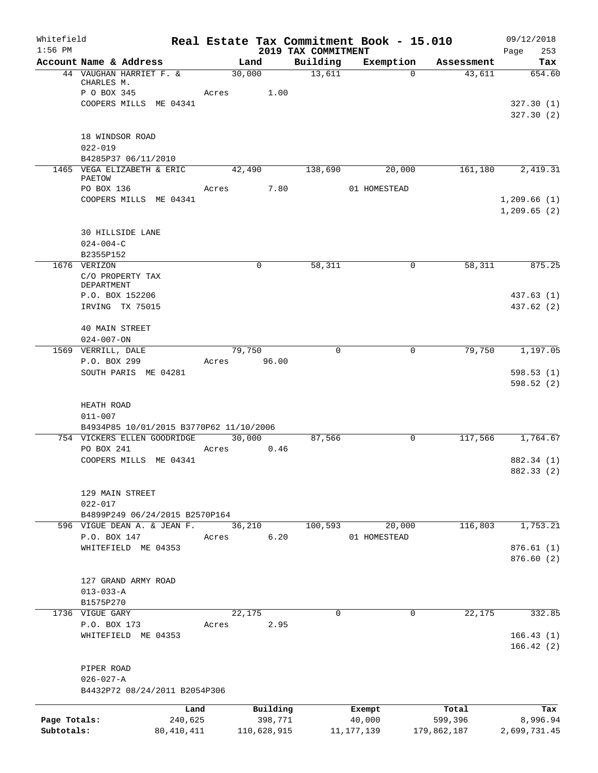| Whitefield<br>$1:56$ PM |                                                  |                                         |                 |                     | 2019 TAX COMMITMENT | Real Estate Tax Commitment Book - 15.010 |                  | 09/12/2018<br>Page<br>253  |
|-------------------------|--------------------------------------------------|-----------------------------------------|-----------------|---------------------|---------------------|------------------------------------------|------------------|----------------------------|
|                         | Account Name & Address                           |                                         |                 | Land                | Building            | Exemption                                | Assessment       | Tax                        |
|                         | CHARLES M.                                       | 44 VAUGHAN HARRIET F. &                 | 30,000          |                     | 13,611              | $\Omega$                                 | 43,611           | 654.60                     |
|                         | P O BOX 345                                      |                                         | Acres           | 1.00                |                     |                                          |                  |                            |
|                         |                                                  | COOPERS MILLS ME 04341                  |                 |                     |                     |                                          |                  | 327.30(1)<br>327.30(2)     |
|                         | 18 WINDSOR ROAD<br>$022 - 019$                   |                                         |                 |                     |                     |                                          |                  |                            |
|                         |                                                  | B4285P37 06/11/2010                     |                 |                     |                     |                                          |                  |                            |
|                         | PAETOW                                           | 1465 VEGA ELIZABETH & ERIC              |                 | 42,490              | 138,690             | 20,000                                   | 161,180          | 2,419.31                   |
|                         | PO BOX 136                                       |                                         | Acres           | 7.80                |                     | 01 HOMESTEAD                             |                  |                            |
|                         |                                                  | COOPERS MILLS ME 04341                  |                 |                     |                     |                                          |                  | 1,209.66(1)<br>1,209.65(2) |
|                         | 30 HILLSIDE LANE<br>$024 - 004 - C$<br>B2355P152 |                                         |                 |                     |                     |                                          |                  |                            |
|                         | 1676 VERIZON                                     |                                         |                 | 0                   | 58,311              | 0                                        | 58,311           | 875.25                     |
|                         | C/O PROPERTY TAX<br><b>DEPARTMENT</b>            |                                         |                 |                     |                     |                                          |                  |                            |
|                         | P.O. BOX 152206<br>IRVING TX 75015               |                                         |                 |                     |                     |                                          |                  | 437.63 (1)<br>437.62 (2)   |
|                         | 40 MAIN STREET<br>$024 - 007 - ON$               |                                         |                 |                     |                     |                                          |                  |                            |
|                         | 1569 VERRILL, DALE                               |                                         | 79,750          |                     | $\mathbf 0$         | 0                                        | 79,750           | 1,197.05                   |
|                         | P.O. BOX 299                                     |                                         | Acres 96.00     |                     |                     |                                          |                  |                            |
|                         |                                                  | SOUTH PARIS ME 04281                    |                 |                     |                     |                                          |                  | 598.53(1)<br>598.52(2)     |
|                         | HEATH ROAD<br>$011 - 007$                        |                                         |                 |                     |                     |                                          |                  |                            |
|                         |                                                  | B4934P85 10/01/2015 B3770P62 11/10/2006 |                 |                     |                     |                                          |                  |                            |
|                         | PO BOX 241                                       | 754 VICKERS ELLEN GOODRIDGE             | 30,000<br>Acres |                     | 87,566              | 0                                        | 117,566          | 1,764.67                   |
|                         |                                                  | COOPERS MILLS ME 04341                  |                 | 0.46                |                     |                                          |                  | 882.34 (1)                 |
|                         |                                                  |                                         |                 |                     |                     |                                          |                  | 882.33 (2)                 |
|                         | 129 MAIN STREET<br>$022 - 017$                   |                                         |                 |                     |                     |                                          |                  |                            |
|                         |                                                  | B4899P249 06/24/2015 B2570P164          |                 |                     |                     |                                          |                  |                            |
|                         |                                                  | 596 VIGUE DEAN A. & JEAN F.             | 36,210          |                     | 100,593             | 20,000                                   | 116,803          | 1,753.21                   |
|                         | P.O. BOX 147                                     |                                         | Acres           | 6.20                |                     | 01 HOMESTEAD                             |                  |                            |
|                         |                                                  | WHITEFIELD ME 04353                     |                 |                     |                     |                                          |                  | 876.61(1)<br>876.60(2)     |
|                         | $013 - 033 - A$                                  | 127 GRAND ARMY ROAD                     |                 |                     |                     |                                          |                  |                            |
|                         | B1575P270                                        |                                         |                 |                     |                     |                                          |                  |                            |
|                         | 1736 VIGUE GARY                                  |                                         | 22,175          |                     | $\mathbf 0$         | 0                                        | 22,175           | 332.85                     |
|                         | P.O. BOX 173                                     |                                         | Acres           | 2.95                |                     |                                          |                  |                            |
|                         |                                                  | WHITEFIELD ME 04353                     |                 |                     |                     |                                          |                  | 166.43(1)<br>166.42(2)     |
|                         | PIPER ROAD<br>$026 - 027 - A$                    |                                         |                 |                     |                     |                                          |                  |                            |
|                         |                                                  | B4432P72 08/24/2011 B2054P306           |                 |                     |                     |                                          |                  |                            |
|                         |                                                  | Land                                    |                 |                     |                     |                                          |                  |                            |
| Page Totals:            |                                                  | 240,625                                 |                 | Building<br>398,771 |                     | Exempt<br>40,000                         | Total<br>599,396 | Tax<br>8,996.94            |
| Subtotals:              |                                                  | 80,410,411                              |                 | 110,628,915         |                     | 11, 177, 139                             | 179,862,187      | 2,699,731.45               |
|                         |                                                  |                                         |                 |                     |                     |                                          |                  |                            |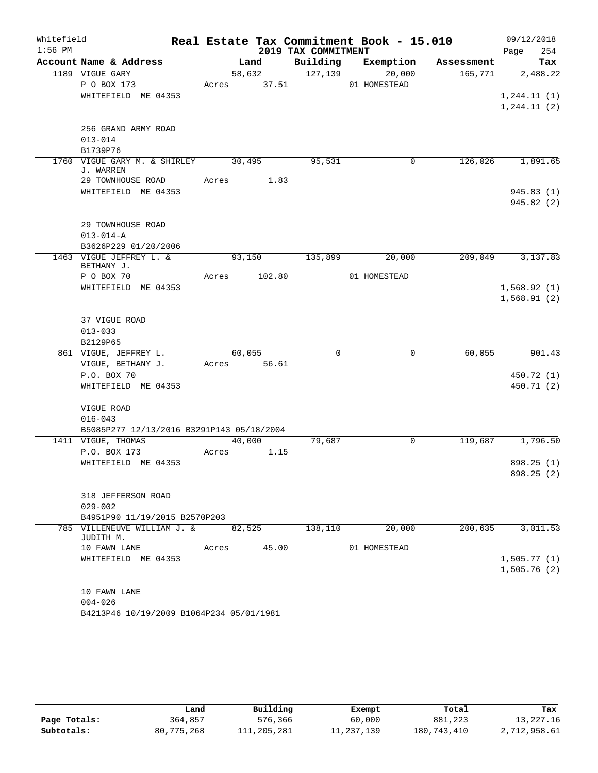| Whitefield<br>$1:56$ PM |                                                       |                 |                 | 2019 TAX COMMITMENT | Real Estate Tax Commitment Book - 15.010 |            | 09/12/2018<br>254<br>Page  |
|-------------------------|-------------------------------------------------------|-----------------|-----------------|---------------------|------------------------------------------|------------|----------------------------|
|                         | Account Name & Address                                |                 | Land            | Building            | Exemption                                | Assessment | Tax                        |
|                         | 1189 VIGUE GARY<br>P O BOX 173<br>WHITEFIELD ME 04353 | Acres           | 58,632<br>37.51 | 127,139             | 20,000<br>01 HOMESTEAD                   | 165,771    | 2,488.22<br>1, 244.11(1)   |
|                         | 256 GRAND ARMY ROAD                                   |                 |                 |                     |                                          |            | 1, 244.11(2)               |
|                         | $013 - 014$<br>B1739P76                               |                 |                 |                     |                                          |            |                            |
|                         | 1760 VIGUE GARY M. & SHIRLEY<br>J. WARREN             | 30,495          |                 | 95,531              | $\mathbf 0$                              | 126,026    | 1,891.65                   |
|                         | 29 TOWNHOUSE ROAD<br>WHITEFIELD ME 04353              | Acres           | 1.83            |                     |                                          |            | 945.83(1)<br>945.82(2)     |
|                         | 29 TOWNHOUSE ROAD<br>$013 - 014 - A$                  |                 |                 |                     |                                          |            |                            |
|                         | B3626P229 01/20/2006<br>1463 VIGUE JEFFREY L. &       |                 | 93,150          | 135,899             | 20,000                                   | 209,049    | 3,137.83                   |
|                         | BETHANY J.<br>P O BOX 70                              | Acres           | 102.80          |                     | 01 HOMESTEAD                             |            |                            |
|                         | WHITEFIELD ME 04353                                   |                 |                 |                     |                                          |            | 1,568.92(1)<br>1,568.91(2) |
|                         | 37 VIGUE ROAD<br>$013 - 033$<br>B2129P65              |                 |                 |                     |                                          |            |                            |
|                         | 861 VIGUE, JEFFREY L.                                 | 60,055          |                 | 0                   | $\mathsf{O}$                             | 60,055     | 901.43                     |
|                         | VIGUE, BETHANY J.<br>P.O. BOX 70                      | Acres           | 56.61           |                     |                                          |            | 450.72 (1)                 |
|                         | WHITEFIELD ME 04353                                   |                 |                 |                     |                                          |            | 450.71 (2)                 |
|                         | VIGUE ROAD<br>$016 - 043$                             |                 |                 |                     |                                          |            |                            |
|                         | B5085P277 12/13/2016 B3291P143 05/18/2004             |                 |                 |                     |                                          |            |                            |
|                         | 1411 VIGUE, THOMAS<br>P.O. BOX 173                    | 40,000<br>Acres | 1.15            | 79,687              | $\mathbf 0$                              | 119,687    | 1,796.50                   |
|                         | WHITEFIELD ME 04353                                   |                 |                 |                     |                                          |            | 898.25 (1)<br>898.25 (2)   |
|                         | 318 JEFFERSON ROAD<br>$029 - 002$                     |                 |                 |                     |                                          |            |                            |
|                         | B4951P90 11/19/2015 B2570P203                         |                 |                 |                     |                                          |            |                            |
|                         | 785 VILLENEUVE WILLIAM J. &<br>JUDITH M.              | 82,525          |                 | 138,110             | 20,000                                   | 200,635    | 3,011.53                   |
|                         | 10 FAWN LANE                                          | Acres           | 45.00           |                     | 01 HOMESTEAD                             |            |                            |
|                         | WHITEFIELD ME 04353                                   |                 |                 |                     |                                          |            | 1,505.77(1)<br>1,505.76(2) |
|                         | 10 FAWN LANE<br>$004 - 026$                           |                 |                 |                     |                                          |            |                            |
|                         | B4213P46 10/19/2009 B1064P234 05/01/1981              |                 |                 |                     |                                          |            |                            |

|              | Land       | Building    | Exempt     | Total       | Tax          |
|--------------|------------|-------------|------------|-------------|--------------|
| Page Totals: | 364,857    | 576,366     | 60,000     | 881,223     | 13,227.16    |
| Subtotals:   | 80,775,268 | 111,205,281 | 11,237,139 | 180,743,410 | 2,712,958.61 |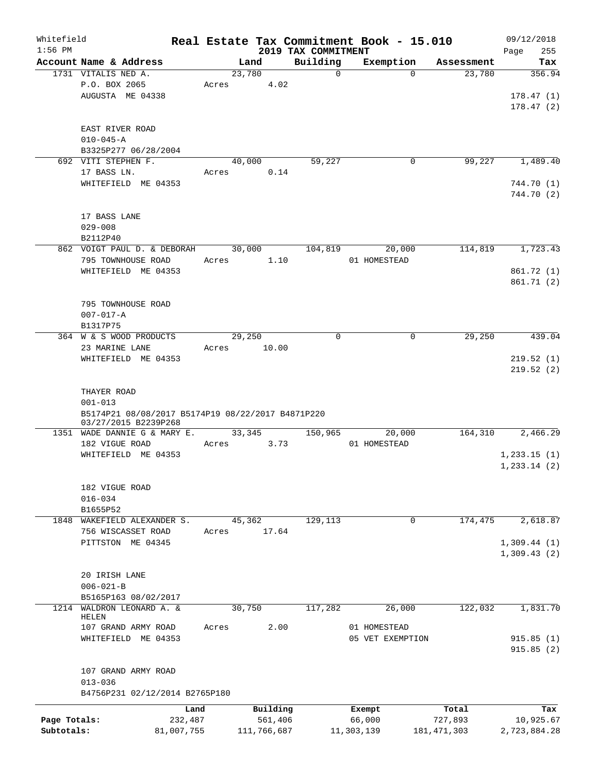| Whitefield   |                                                                           |            |       |        |             |                     |             | Real Estate Tax Commitment Book - 15.010 |               | 09/12/2018    |
|--------------|---------------------------------------------------------------------------|------------|-------|--------|-------------|---------------------|-------------|------------------------------------------|---------------|---------------|
| $1:56$ PM    |                                                                           |            |       |        |             | 2019 TAX COMMITMENT |             |                                          |               | 255<br>Page   |
|              | Account Name & Address                                                    |            |       | Land   |             | Building            |             | Exemption                                | Assessment    | Tax           |
|              | 1731 VITALIS NED A.                                                       |            |       | 23,780 |             |                     | $\mathbf 0$ | $\Omega$                                 | 23,780        | 356.94        |
|              | P.O. BOX 2065                                                             |            | Acres |        | 4.02        |                     |             |                                          |               |               |
|              | AUGUSTA ME 04338                                                          |            |       |        |             |                     |             |                                          |               | 178.47(1)     |
|              |                                                                           |            |       |        |             |                     |             |                                          |               | 178.47(2)     |
|              |                                                                           |            |       |        |             |                     |             |                                          |               |               |
|              | EAST RIVER ROAD                                                           |            |       |        |             |                     |             |                                          |               |               |
|              | $010 - 045 - A$                                                           |            |       |        |             |                     |             |                                          |               |               |
|              | B3325P277 06/28/2004                                                      |            |       |        |             |                     |             |                                          |               |               |
|              | 692 VITI STEPHEN F.                                                       |            |       | 40,000 |             | 59,227              |             | 0                                        | 99,227        | 1,489.40      |
|              | 17 BASS LN.                                                               |            | Acres |        | 0.14        |                     |             |                                          |               |               |
|              | WHITEFIELD ME 04353                                                       |            |       |        |             |                     |             |                                          |               | 744.70 (1)    |
|              |                                                                           |            |       |        |             |                     |             |                                          |               | 744.70 (2)    |
|              |                                                                           |            |       |        |             |                     |             |                                          |               |               |
|              | 17 BASS LANE                                                              |            |       |        |             |                     |             |                                          |               |               |
|              | $029 - 008$                                                               |            |       |        |             |                     |             |                                          |               |               |
|              | B2112P40                                                                  |            |       |        |             |                     |             |                                          |               |               |
|              | 862 VOIGT PAUL D. & DEBORAH                                               |            |       | 30,000 |             |                     |             |                                          |               | 1,723.43      |
|              |                                                                           |            |       |        |             | 104,819             |             | 20,000                                   | 114,819       |               |
|              | 795 TOWNHOUSE ROAD                                                        |            | Acres |        | 1.10        |                     |             | 01 HOMESTEAD                             |               |               |
|              | WHITEFIELD ME 04353                                                       |            |       |        |             |                     |             |                                          |               | 861.72 (1)    |
|              |                                                                           |            |       |        |             |                     |             |                                          |               | 861.71 (2)    |
|              |                                                                           |            |       |        |             |                     |             |                                          |               |               |
|              | 795 TOWNHOUSE ROAD                                                        |            |       |        |             |                     |             |                                          |               |               |
|              | $007 - 017 - A$                                                           |            |       |        |             |                     |             |                                          |               |               |
|              | B1317P75                                                                  |            |       |        |             |                     |             |                                          |               |               |
|              | 364 W & S WOOD PRODUCTS                                                   |            |       | 29,250 |             | $\mathbf 0$         |             | 0                                        | 29,250        | 439.04        |
|              | 23 MARINE LANE                                                            |            | Acres |        | 10.00       |                     |             |                                          |               |               |
|              | WHITEFIELD ME 04353                                                       |            |       |        |             |                     |             |                                          |               | 219.52(1)     |
|              |                                                                           |            |       |        |             |                     |             |                                          |               | 219.52(2)     |
|              |                                                                           |            |       |        |             |                     |             |                                          |               |               |
|              | THAYER ROAD                                                               |            |       |        |             |                     |             |                                          |               |               |
|              | $001 - 013$                                                               |            |       |        |             |                     |             |                                          |               |               |
|              |                                                                           |            |       |        |             |                     |             |                                          |               |               |
|              | B5174P21 08/08/2017 B5174P19 08/22/2017 B4871P220<br>03/27/2015 B2239P268 |            |       |        |             |                     |             |                                          |               |               |
|              | 1351 WADE DANNIE G & MARY E.                                              |            |       | 33,345 |             | 150,965             |             | 20,000                                   | 164,310       | 2,466.29      |
|              | 182 VIGUE ROAD                                                            |            | Acres |        | 3.73        |                     |             | 01 HOMESTEAD                             |               |               |
|              | WHITEFIELD ME 04353                                                       |            |       |        |             |                     |             |                                          |               | 1,233.15(1)   |
|              |                                                                           |            |       |        |             |                     |             |                                          |               | 1, 233.14 (2) |
|              |                                                                           |            |       |        |             |                     |             |                                          |               |               |
|              |                                                                           |            |       |        |             |                     |             |                                          |               |               |
|              | 182 VIGUE ROAD                                                            |            |       |        |             |                     |             |                                          |               |               |
|              | $016 - 034$                                                               |            |       |        |             |                     |             |                                          |               |               |
|              | B1655P52                                                                  |            |       |        |             |                     |             |                                          |               |               |
|              | 1848 WAKEFIELD ALEXANDER S.                                               |            |       | 45,362 |             | 129,113             |             | 0                                        | 174,475       | 2,618.87      |
|              | 756 WISCASSET ROAD                                                        |            | Acres |        | 17.64       |                     |             |                                          |               |               |
|              | PITTSTON ME 04345                                                         |            |       |        |             |                     |             |                                          |               | 1,309.44(1)   |
|              |                                                                           |            |       |        |             |                     |             |                                          |               | 1,309.43(2)   |
|              |                                                                           |            |       |        |             |                     |             |                                          |               |               |
|              | 20 IRISH LANE                                                             |            |       |        |             |                     |             |                                          |               |               |
|              | $006 - 021 - B$                                                           |            |       |        |             |                     |             |                                          |               |               |
|              | B5165P163 08/02/2017                                                      |            |       |        |             |                     |             |                                          |               |               |
|              | 1214 WALDRON LEONARD A. &                                                 |            |       | 30,750 |             | 117,282             |             | 26,000                                   | 122,032       | 1,831.70      |
|              | HELEN                                                                     |            |       |        |             |                     |             |                                          |               |               |
|              | 107 GRAND ARMY ROAD                                                       |            | Acres |        | 2.00        |                     |             | 01 HOMESTEAD                             |               |               |
|              | WHITEFIELD ME 04353                                                       |            |       |        |             |                     |             | 05 VET EXEMPTION                         |               | 915.85(1)     |
|              |                                                                           |            |       |        |             |                     |             |                                          |               | 915.85(2)     |
|              |                                                                           |            |       |        |             |                     |             |                                          |               |               |
|              | 107 GRAND ARMY ROAD                                                       |            |       |        |             |                     |             |                                          |               |               |
|              | $013 - 036$                                                               |            |       |        |             |                     |             |                                          |               |               |
|              | B4756P231 02/12/2014 B2765P180                                            |            |       |        |             |                     |             |                                          |               |               |
|              |                                                                           |            |       |        |             |                     |             |                                          |               |               |
|              |                                                                           | Land       |       |        | Building    |                     | Exempt      |                                          | Total         | Tax           |
| Page Totals: |                                                                           | 232,487    |       |        | 561,406     |                     | 66,000      |                                          | 727,893       | 10,925.67     |
| Subtotals:   |                                                                           | 81,007,755 |       |        | 111,766,687 |                     | 11,303,139  |                                          | 181, 471, 303 | 2,723,884.28  |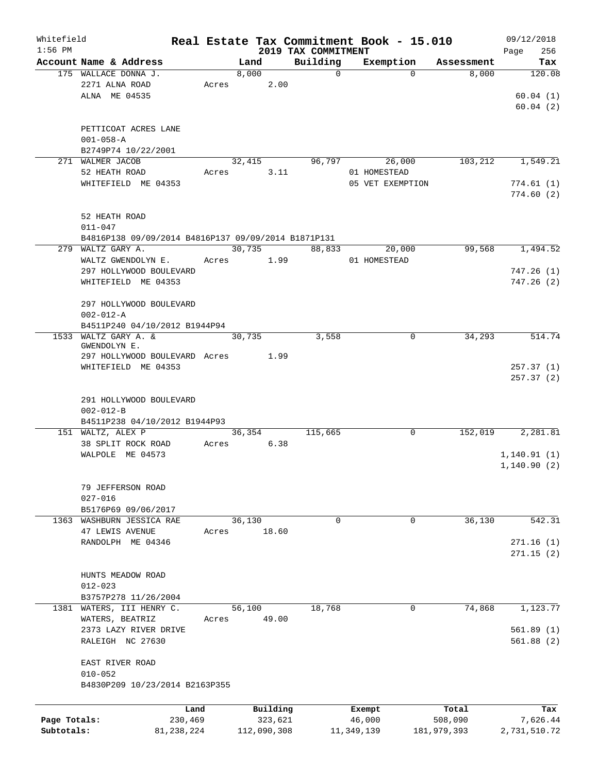| Whitefield   |                                                     |       |        |             |                     |             | Real Estate Tax Commitment Book - 15.010 |             | 09/12/2018   |
|--------------|-----------------------------------------------------|-------|--------|-------------|---------------------|-------------|------------------------------------------|-------------|--------------|
| $1:56$ PM    |                                                     |       |        |             | 2019 TAX COMMITMENT |             |                                          |             | Page<br>256  |
|              | Account Name & Address                              |       | Land   |             | Building            | $\mathbf 0$ | Exemption<br>$\Omega$                    | Assessment  | Tax          |
|              | 175 WALLACE DONNA J.                                |       | 8,000  | 2.00        |                     |             |                                          | 8,000       | 120.08       |
|              | 2271 ALNA ROAD                                      | Acres |        |             |                     |             |                                          |             |              |
|              | ALNA ME 04535                                       |       |        |             |                     |             |                                          |             | 60.04(1)     |
|              |                                                     |       |        |             |                     |             |                                          |             | 60.04(2)     |
|              |                                                     |       |        |             |                     |             |                                          |             |              |
|              | PETTICOAT ACRES LANE                                |       |        |             |                     |             |                                          |             |              |
|              | $001 - 058 - A$                                     |       |        |             |                     |             |                                          |             |              |
|              | B2749P74 10/22/2001<br>271 WALMER JACOB             |       |        |             |                     |             |                                          |             |              |
|              | 52 HEATH ROAD                                       |       | 32,415 |             | 96,797              |             | 26,000                                   | 103,212     | 1,549.21     |
|              |                                                     | Acres |        | 3.11        |                     |             | 01 HOMESTEAD                             |             |              |
|              | WHITEFIELD ME 04353                                 |       |        |             |                     |             | 05 VET EXEMPTION                         |             | 774.61(1)    |
|              |                                                     |       |        |             |                     |             |                                          |             | 774.60(2)    |
|              |                                                     |       |        |             |                     |             |                                          |             |              |
|              | 52 HEATH ROAD                                       |       |        |             |                     |             |                                          |             |              |
|              | $011 - 047$                                         |       |        |             |                     |             |                                          |             |              |
|              | B4816P138 09/09/2014 B4816P137 09/09/2014 B1871P131 |       |        |             |                     |             |                                          |             |              |
|              | 279 WALTZ GARY A.                                   |       | 30,735 |             | 88,833              |             | 20,000                                   | 99,568      | 1,494.52     |
|              | WALTZ GWENDOLYN E.                                  | Acres |        | 1.99        |                     |             | 01 HOMESTEAD                             |             |              |
|              | 297 HOLLYWOOD BOULEVARD                             |       |        |             |                     |             |                                          |             | 747.26(1)    |
|              | WHITEFIELD ME 04353                                 |       |        |             |                     |             |                                          |             | 747.26(2)    |
|              |                                                     |       |        |             |                     |             |                                          |             |              |
|              | 297 HOLLYWOOD BOULEVARD                             |       |        |             |                     |             |                                          |             |              |
|              | $002 - 012 - A$                                     |       |        |             |                     |             |                                          |             |              |
|              | B4511P240 04/10/2012 B1944P94                       |       |        |             |                     |             |                                          |             |              |
| 1533         | WALTZ GARY A. &                                     |       | 30,735 |             | 3,558               |             | 0                                        | 34,293      | 514.74       |
|              | GWENDOLYN E.                                        |       |        |             |                     |             |                                          |             |              |
|              | 297 HOLLYWOOD BOULEVARD Acres                       |       |        | 1.99        |                     |             |                                          |             |              |
|              | WHITEFIELD ME 04353                                 |       |        |             |                     |             |                                          |             | 257.37(1)    |
|              |                                                     |       |        |             |                     |             |                                          |             | 257.37(2)    |
|              |                                                     |       |        |             |                     |             |                                          |             |              |
|              | 291 HOLLYWOOD BOULEVARD                             |       |        |             |                     |             |                                          |             |              |
|              | $002 - 012 - B$                                     |       |        |             |                     |             |                                          |             |              |
|              | B4511P238 04/10/2012 B1944P93<br>151 WALTZ, ALEX P  |       | 36,354 |             | 115,665             |             | 0                                        | 152,019     | 2,281.81     |
|              |                                                     |       |        | 6.38        |                     |             |                                          |             |              |
|              | 38 SPLIT ROCK ROAD                                  | Acres |        |             |                     |             |                                          |             |              |
|              | WALPOLE ME 04573                                    |       |        |             |                     |             |                                          |             | 1, 140.91(1) |
|              |                                                     |       |        |             |                     |             |                                          |             | 1,140.90(2)  |
|              |                                                     |       |        |             |                     |             |                                          |             |              |
|              | 79 JEFFERSON ROAD                                   |       |        |             |                     |             |                                          |             |              |
|              | $027 - 016$                                         |       |        |             |                     |             |                                          |             |              |
|              | B5176P69 09/06/2017                                 |       |        |             |                     |             |                                          |             |              |
|              | 1363 WASHBURN JESSICA RAE                           |       | 36,130 |             |                     | 0           | 0                                        | 36,130      | 542.31       |
|              | 47 LEWIS AVENUE                                     | Acres |        | 18.60       |                     |             |                                          |             |              |
|              | RANDOLPH ME 04346                                   |       |        |             |                     |             |                                          |             | 271.16(1)    |
|              |                                                     |       |        |             |                     |             |                                          |             | 271.15(2)    |
|              |                                                     |       |        |             |                     |             |                                          |             |              |
|              | HUNTS MEADOW ROAD                                   |       |        |             |                     |             |                                          |             |              |
|              | $012 - 023$                                         |       |        |             |                     |             |                                          |             |              |
|              | B3757P278 11/26/2004                                |       |        |             |                     |             |                                          |             |              |
|              | 1381 WATERS, III HENRY C.                           |       | 56,100 |             | 18,768              |             | $\mathbf 0$                              | 74,868      | 1,123.77     |
|              | WATERS, BEATRIZ                                     | Acres |        | 49.00       |                     |             |                                          |             |              |
|              | 2373 LAZY RIVER DRIVE                               |       |        |             |                     |             |                                          |             | 561.89(1)    |
|              | RALEIGH NC 27630                                    |       |        |             |                     |             |                                          |             | 561.88(2)    |
|              |                                                     |       |        |             |                     |             |                                          |             |              |
|              | EAST RIVER ROAD                                     |       |        |             |                     |             |                                          |             |              |
|              | $010 - 052$                                         |       |        |             |                     |             |                                          |             |              |
|              | B4830P209 10/23/2014 B2163P355                      |       |        |             |                     |             |                                          |             |              |
|              |                                                     |       |        |             |                     |             |                                          |             |              |
|              |                                                     | Land  |        | Building    |                     |             | Exempt                                   | Total       | Tax          |
| Page Totals: | 230,469                                             |       |        | 323,621     |                     |             | 46,000                                   | 508,090     | 7,626.44     |
| Subtotals:   | 81, 238, 224                                        |       |        | 112,090,308 |                     |             | 11,349,139                               | 181,979,393 | 2,731,510.72 |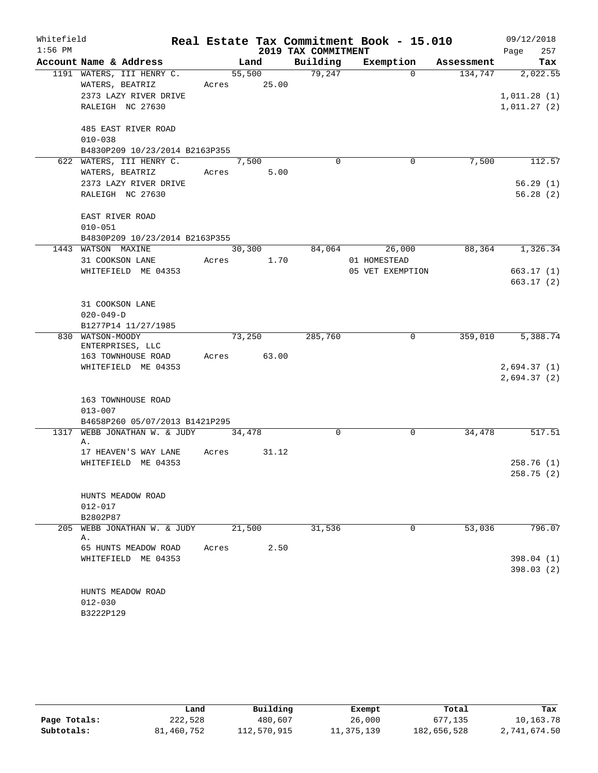| Whitefield |                                      |       |        |                     | Real Estate Tax Commitment Book - 15.010 |            | 09/12/2018             |
|------------|--------------------------------------|-------|--------|---------------------|------------------------------------------|------------|------------------------|
| $1:56$ PM  |                                      |       |        | 2019 TAX COMMITMENT |                                          |            | 257<br>Page            |
|            | Account Name & Address               |       | Land   | Building            | Exemption                                | Assessment | Tax                    |
|            | 1191 WATERS, III HENRY C.            |       | 55,500 | 79,247              | $\Omega$                                 | 134,747    | 2,022.55               |
|            | WATERS, BEATRIZ                      | Acres | 25.00  |                     |                                          |            |                        |
|            | 2373 LAZY RIVER DRIVE                |       |        |                     |                                          |            | 1,011.28(1)            |
|            | RALEIGH NC 27630                     |       |        |                     |                                          |            | 1,011.27(2)            |
|            | 485 EAST RIVER ROAD                  |       |        |                     |                                          |            |                        |
|            | $010 - 038$                          |       |        |                     |                                          |            |                        |
|            | B4830P209 10/23/2014 B2163P355       |       |        |                     |                                          |            |                        |
|            | 622 WATERS, III HENRY C.             |       | 7,500  | $\Omega$            | $\mathbf 0$                              | 7,500      | 112.57                 |
|            | WATERS, BEATRIZ                      | Acres | 5.00   |                     |                                          |            |                        |
|            | 2373 LAZY RIVER DRIVE                |       |        |                     |                                          |            | 56.29(1)               |
|            | RALEIGH NC 27630                     |       |        |                     |                                          |            | 56.28(2)               |
|            | EAST RIVER ROAD                      |       |        |                     |                                          |            |                        |
|            | $010 - 051$                          |       |        |                     |                                          |            |                        |
|            | B4830P209 10/23/2014 B2163P355       |       |        |                     |                                          |            |                        |
| 1443       | WATSON MAXINE                        |       | 30,300 | 84,064              | 26,000                                   | 88,364     | 1,326.34               |
|            | 31 COOKSON LANE                      | Acres | 1.70   |                     | 01 HOMESTEAD                             |            |                        |
|            | WHITEFIELD ME 04353                  |       |        |                     | 05 VET EXEMPTION                         |            | 663.17(1)              |
|            |                                      |       |        |                     |                                          |            | 663.17(2)              |
|            | 31 COOKSON LANE                      |       |        |                     |                                          |            |                        |
|            | $020 - 049 - D$                      |       |        |                     |                                          |            |                        |
|            | B1277P14 11/27/1985                  |       |        |                     |                                          |            |                        |
|            | 830 WATSON-MOODY<br>ENTERPRISES, LLC |       | 73,250 | 285,760             | 0                                        | 359,010    | 5,388.74               |
|            | 163 TOWNHOUSE ROAD                   | Acres | 63.00  |                     |                                          |            |                        |
|            | WHITEFIELD ME 04353                  |       |        |                     |                                          |            | 2,694.37(1)            |
|            |                                      |       |        |                     |                                          |            | 2,694.37(2)            |
|            | 163 TOWNHOUSE ROAD                   |       |        |                     |                                          |            |                        |
|            | $013 - 007$                          |       |        |                     |                                          |            |                        |
|            | B4658P260 05/07/2013 B1421P295       |       |        |                     |                                          |            |                        |
| 1317       | WEBB JONATHAN W. & JUDY              |       | 34,478 | $\mathbf 0$         | $\mathbf 0$                              | 34,478     | 517.51                 |
|            | Α.                                   |       |        |                     |                                          |            |                        |
|            | 17 HEAVEN'S WAY LANE                 | Acres | 31.12  |                     |                                          |            |                        |
|            | WHITEFIELD ME 04353                  |       |        |                     |                                          |            | 258.76(1)              |
|            |                                      |       |        |                     |                                          |            | 258.75 (2)             |
|            | HUNTS MEADOW ROAD                    |       |        |                     |                                          |            |                        |
|            | $012 - 017$                          |       |        |                     |                                          |            |                        |
|            | B2802P87                             |       |        |                     |                                          |            |                        |
| 205        | WEBB JONATHAN W. & JUDY              |       | 21,500 | 31,536              | 0                                        | 53,036     | 796.07                 |
|            | Α.                                   |       |        |                     |                                          |            |                        |
|            | 65 HUNTS MEADOW ROAD                 | Acres | 2.50   |                     |                                          |            |                        |
|            | WHITEFIELD ME 04353                  |       |        |                     |                                          |            | 398.04(1)<br>398.03(2) |
|            |                                      |       |        |                     |                                          |            |                        |
|            | HUNTS MEADOW ROAD                    |       |        |                     |                                          |            |                        |
|            | $012 - 030$                          |       |        |                     |                                          |            |                        |
|            | B3222P129                            |       |        |                     |                                          |            |                        |

|              | Land       | Building    | Exempt     | Total       | Tax          |
|--------------|------------|-------------|------------|-------------|--------------|
| Page Totals: | 222,528    | 480,607     | 26,000     | 677,135     | 10,163.78    |
| Subtotals:   | 81,460,752 | 112,570,915 | 11,375,139 | 182,656,528 | 2,741,674.50 |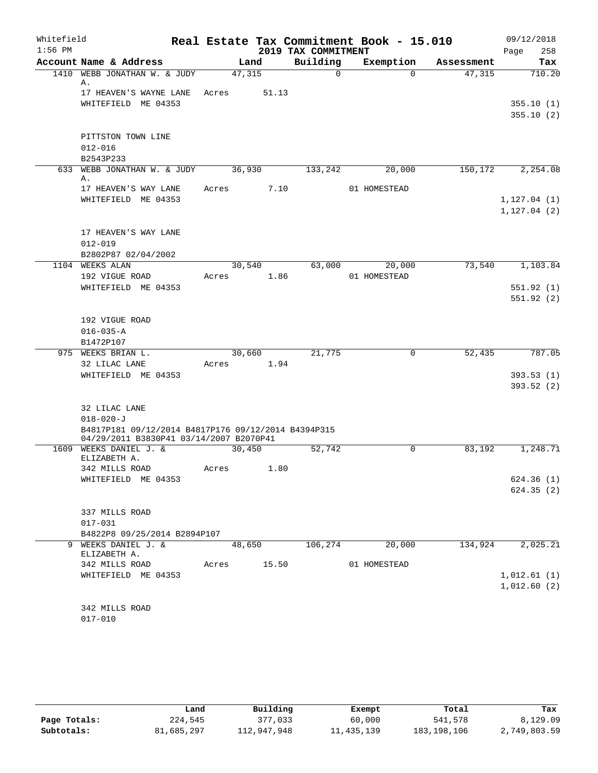| Whitefield<br>$1:56$ PM |                                                                                                |                     |       | 2019 TAX COMMITMENT | Real Estate Tax Commitment Book - 15.010 |            | 09/12/2018<br>258<br>Page |
|-------------------------|------------------------------------------------------------------------------------------------|---------------------|-------|---------------------|------------------------------------------|------------|---------------------------|
|                         | Account Name & Address                                                                         |                     | Land  | Building            | Exemption                                | Assessment | Tax                       |
| 1410                    | WEBB JONATHAN W. & JUDY                                                                        | 47,315              |       | $\Omega$            | $\Omega$                                 | 47,315     | 710.20                    |
|                         | Α.<br>17 HEAVEN'S WAYNE LANE                                                                   | Acres               | 51.13 |                     |                                          |            |                           |
|                         | WHITEFIELD ME 04353                                                                            |                     |       |                     |                                          |            | 355.10(1)                 |
|                         |                                                                                                |                     |       |                     |                                          |            | 355.10(2)                 |
|                         |                                                                                                |                     |       |                     |                                          |            |                           |
|                         | PITTSTON TOWN LINE                                                                             |                     |       |                     |                                          |            |                           |
|                         | $012 - 016$                                                                                    |                     |       |                     |                                          |            |                           |
|                         | B2543P233                                                                                      |                     |       |                     |                                          |            |                           |
|                         | 633 WEBB JONATHAN W. & JUDY<br>Α.                                                              | 36,930              |       | 133,242             | 20,000                                   | 150, 172   | 2,254.08                  |
|                         | 17 HEAVEN'S WAY LANE                                                                           | Acres               | 7.10  |                     | 01 HOMESTEAD                             |            |                           |
|                         | WHITEFIELD ME 04353                                                                            |                     |       |                     |                                          |            | 1, 127.04(1)              |
|                         |                                                                                                |                     |       |                     |                                          |            | 1, 127.04(2)              |
|                         |                                                                                                |                     |       |                     |                                          |            |                           |
|                         | 17 HEAVEN'S WAY LANE                                                                           |                     |       |                     |                                          |            |                           |
|                         | $012 - 019$                                                                                    |                     |       |                     |                                          |            |                           |
|                         | B2802P87 02/04/2002<br>1104 WEEKS ALAN                                                         | 30,540              |       | 63,000              | 20,000                                   | 73,540     | 1,103.84                  |
|                         | 192 VIGUE ROAD                                                                                 | Acres               | 1.86  |                     | 01 HOMESTEAD                             |            |                           |
|                         | WHITEFIELD ME 04353                                                                            |                     |       |                     |                                          |            | 551.92(1)                 |
|                         |                                                                                                |                     |       |                     |                                          |            | 551.92(2)                 |
|                         |                                                                                                |                     |       |                     |                                          |            |                           |
|                         | 192 VIGUE ROAD                                                                                 |                     |       |                     |                                          |            |                           |
|                         | $016 - 035 - A$                                                                                |                     |       |                     |                                          |            |                           |
|                         | B1472P107<br>975 WEEKS BRIAN L.                                                                | 30,660              |       | 21,775              | 0                                        | 52,435     | 787.05                    |
|                         | 32 LILAC LANE                                                                                  | Acres               | 1.94  |                     |                                          |            |                           |
|                         | WHITEFIELD ME 04353                                                                            |                     |       |                     |                                          |            | 393.53(1)                 |
|                         |                                                                                                |                     |       |                     |                                          |            | 393.52(2)                 |
|                         |                                                                                                |                     |       |                     |                                          |            |                           |
|                         | 32 LILAC LANE                                                                                  |                     |       |                     |                                          |            |                           |
|                         | $018 - 020 - J$                                                                                |                     |       |                     |                                          |            |                           |
|                         | B4817P181 09/12/2014 B4817P176 09/12/2014 B4394P315<br>04/29/2011 B3830P41 03/14/2007 B2070P41 |                     |       |                     |                                          |            |                           |
|                         | 1609 WEEKS DANIEL J. &                                                                         | 30,450              |       | 52,742              | 0                                        | 83,192     | 1,248.71                  |
|                         | ELIZABETH A.                                                                                   |                     |       |                     |                                          |            |                           |
|                         | 342 MILLS ROAD                                                                                 | Acres               | 1.80  |                     |                                          |            |                           |
|                         | WHITEFIELD ME 04353                                                                            |                     |       |                     |                                          |            | 624.36(1)                 |
|                         |                                                                                                |                     |       |                     |                                          |            | 624.35(2)                 |
|                         | 337 MILLS ROAD                                                                                 |                     |       |                     |                                          |            |                           |
|                         | $017 - 031$                                                                                    |                     |       |                     |                                          |            |                           |
|                         | B4822P8 09/25/2014 B2894P107                                                                   |                     |       |                     |                                          |            |                           |
|                         | 9 WEEKS DANIEL J. &                                                                            | $\overline{48,650}$ |       | 106,274             | 20,000                                   | 134,924    | 2,025.21                  |
|                         | ELIZABETH A.                                                                                   | Acres               |       |                     | 01 HOMESTEAD                             |            |                           |
|                         | 342 MILLS ROAD<br>WHITEFIELD ME 04353                                                          |                     | 15.50 |                     |                                          |            | 1,012.61(1)               |
|                         |                                                                                                |                     |       |                     |                                          |            | 1,012.60(2)               |
|                         |                                                                                                |                     |       |                     |                                          |            |                           |
|                         | 342 MILLS ROAD                                                                                 |                     |       |                     |                                          |            |                           |
|                         | $017 - 010$                                                                                    |                     |       |                     |                                          |            |                           |

|              | Land       | Building    | Exempt     | Total       | Tax          |
|--------------|------------|-------------|------------|-------------|--------------|
| Page Totals: | 224,545    | 377,033     | 60,000     | 541,578     | 8,129.09     |
| Subtotals:   | 81,685,297 | 112,947,948 | 11,435,139 | 183,198,106 | 2,749,803.59 |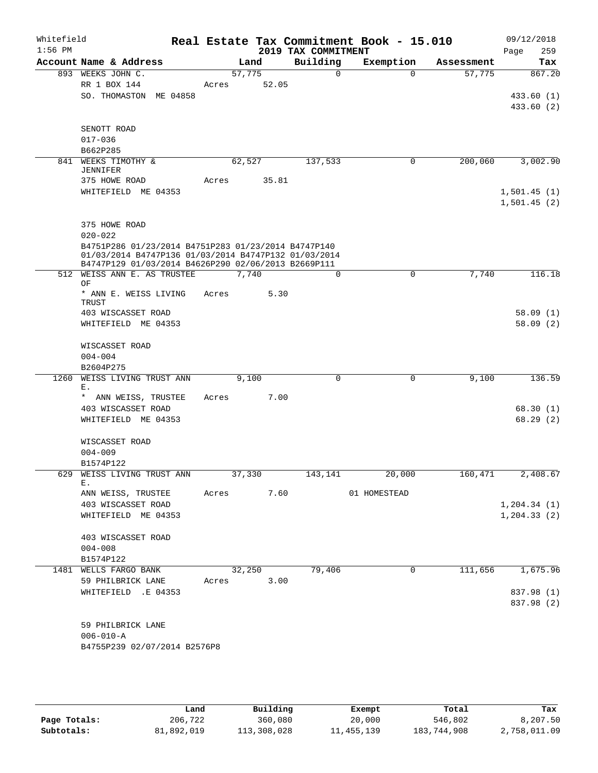| Whitefield<br>$1:56$ PM |                                                                                                                                                                    |                 |        | 2019 TAX COMMITMENT | Real Estate Tax Commitment Book - 15.010 |            | 09/12/2018<br>259<br>Page          |
|-------------------------|--------------------------------------------------------------------------------------------------------------------------------------------------------------------|-----------------|--------|---------------------|------------------------------------------|------------|------------------------------------|
|                         | Account Name & Address                                                                                                                                             |                 | Land   | Building            | Exemption                                | Assessment | Tax                                |
|                         | 893 WEEKS JOHN C.<br>RR 1 BOX 144<br>SO. THOMASTON ME 04858                                                                                                        | 57,775<br>Acres | 52.05  | $\Omega$            | $\Omega$                                 | 57,775     | 867.20<br>433.60 (1)<br>433.60 (2) |
|                         | SENOTT ROAD<br>$017 - 036$<br>B662P285                                                                                                                             |                 |        |                     |                                          |            |                                    |
|                         | 841 WEEKS TIMOTHY &                                                                                                                                                |                 | 62,527 | 137,533             | 0                                        | 200,060    | 3,002.90                           |
|                         | <b>JENNIFER</b><br>375 HOWE ROAD<br>WHITEFIELD ME 04353                                                                                                            | Acres           | 35.81  |                     |                                          |            | 1,501.45(1)<br>1,501.45(2)         |
|                         | 375 HOWE ROAD<br>$020 - 022$                                                                                                                                       |                 |        |                     |                                          |            |                                    |
|                         | B4751P286 01/23/2014 B4751P283 01/23/2014 B4747P140<br>01/03/2014 B4747P136 01/03/2014 B4747P132 01/03/2014<br>B4747P129 01/03/2014 B4626P290 02/06/2013 B2669P111 |                 |        |                     |                                          |            |                                    |
|                         | 512 WEISS ANN E. AS TRUSTEE<br>ΟF                                                                                                                                  |                 | 7,740  | $\Omega$            | 0                                        | 7,740      | 116.18                             |
|                         | * ANN E. WEISS LIVING<br>TRUST<br>403 WISCASSET ROAD<br>WHITEFIELD ME 04353                                                                                        | Acres           | 5.30   |                     |                                          |            | 58.09(1)<br>58.09(2)               |
|                         | WISCASSET ROAD<br>$004 - 004$                                                                                                                                      |                 |        |                     |                                          |            |                                    |
| 1260                    | B2604P275<br>WEISS LIVING TRUST ANN                                                                                                                                |                 | 9,100  | 0                   | 0                                        | 9,100      | 136.59                             |
|                         | Ε.                                                                                                                                                                 |                 |        |                     |                                          |            |                                    |
|                         | * ANN WEISS, TRUSTEE<br>403 WISCASSET ROAD<br>WHITEFIELD ME 04353                                                                                                  | Acres           | 7.00   |                     |                                          |            | 68.30(1)<br>68.29(2)               |
|                         | WISCASSET ROAD<br>$004 - 009$                                                                                                                                      |                 |        |                     |                                          |            |                                    |
|                         | B1574P122<br>629 WEISS LIVING TRUST ANN                                                                                                                            |                 | 37,330 | 143,141             | 20,000                                   |            | 160,471 2,408.67                   |
|                         | Е.<br>ANN WEISS, TRUSTEE                                                                                                                                           | Acres 7.60      |        |                     | 01 HOMESTEAD                             |            |                                    |
|                         | 403 WISCASSET ROAD<br>WHITEFIELD ME 04353                                                                                                                          |                 |        |                     |                                          |            | 1, 204.34(1)<br>1, 204.33(2)       |
|                         | 403 WISCASSET ROAD<br>$004 - 008$<br>B1574P122                                                                                                                     |                 |        |                     |                                          |            |                                    |
|                         | 1481 WELLS FARGO BANK                                                                                                                                              |                 | 32,250 | 79,406              | 0                                        | 111,656    | 1,675.96                           |
|                         | 59 PHILBRICK LANE                                                                                                                                                  | Acres           | 3.00   |                     |                                          |            |                                    |
|                         | WHITEFIELD .E 04353                                                                                                                                                |                 |        |                     |                                          |            | 837.98 (1)<br>837.98 (2)           |
|                         | 59 PHILBRICK LANE<br>$006 - 010 - A$<br>B4755P239 02/07/2014 B2576P8                                                                                               |                 |        |                     |                                          |            |                                    |

|              | Land       | Building    | Exempt       | Total       | Tax          |
|--------------|------------|-------------|--------------|-------------|--------------|
| Page Totals: | 206,722    | 360,080     | 20,000       | 546,802     | 8,207.50     |
| Subtotals:   | 81,892,019 | 113,308,028 | 11, 455, 139 | 183,744,908 | 2,758,011.09 |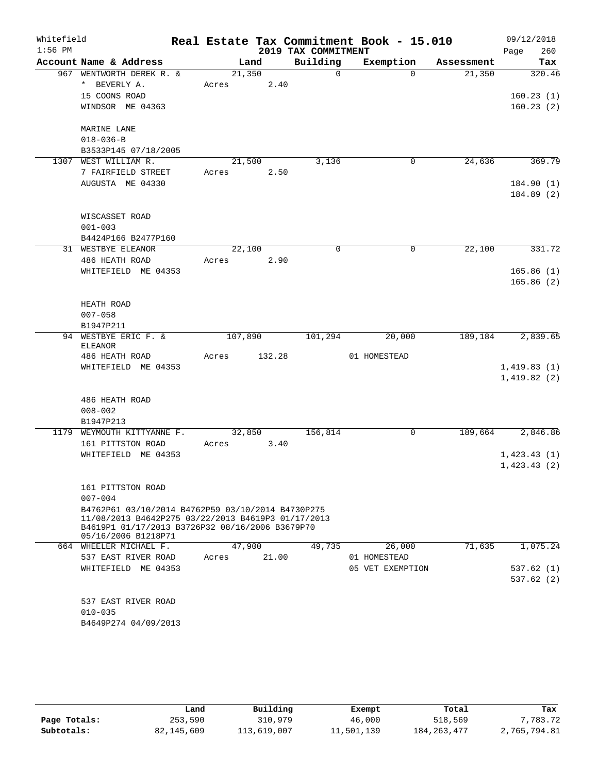| Whitefield |                                                                                                         |         |        |                     | Real Estate Tax Commitment Book - 15.010 |            | 09/12/2018  |
|------------|---------------------------------------------------------------------------------------------------------|---------|--------|---------------------|------------------------------------------|------------|-------------|
| $1:56$ PM  |                                                                                                         |         |        | 2019 TAX COMMITMENT |                                          |            | 260<br>Page |
|            | Account Name & Address                                                                                  |         | Land   | Building            | Exemption                                | Assessment | <b>Tax</b>  |
|            | 967 WENTWORTH DEREK R. &                                                                                | 21,350  |        | $\Omega$            | $\Omega$                                 | 21,350     | 320.46      |
|            | * BEVERLY A.                                                                                            | Acres   | 2.40   |                     |                                          |            |             |
|            | 15 COONS ROAD                                                                                           |         |        |                     |                                          |            | 160.23(1)   |
|            | WINDSOR ME 04363                                                                                        |         |        |                     |                                          |            | 160.23(2)   |
|            | MARINE LANE                                                                                             |         |        |                     |                                          |            |             |
|            | $018 - 036 - B$                                                                                         |         |        |                     |                                          |            |             |
|            | B3533P145 07/18/2005                                                                                    |         |        |                     |                                          |            |             |
|            | 1307 WEST WILLIAM R.                                                                                    | 21,500  |        | 3,136               | 0                                        | 24,636     | 369.79      |
|            | 7 FAIRFIELD STREET                                                                                      | Acres   | 2.50   |                     |                                          |            |             |
|            | AUGUSTA ME 04330                                                                                        |         |        |                     |                                          |            | 184.90(1)   |
|            |                                                                                                         |         |        |                     |                                          |            | 184.89 (2)  |
|            | WISCASSET ROAD                                                                                          |         |        |                     |                                          |            |             |
|            | $001 - 003$                                                                                             |         |        |                     |                                          |            |             |
|            | B4424P166 B2477P160                                                                                     |         |        |                     |                                          |            |             |
|            | 31 WESTBYE ELEANOR                                                                                      | 22,100  |        | $\Omega$            | $\mathbf 0$                              | 22,100     | 331.72      |
|            | 486 HEATH ROAD                                                                                          | Acres   | 2.90   |                     |                                          |            |             |
|            | WHITEFIELD ME 04353                                                                                     |         |        |                     |                                          |            | 165.86(1)   |
|            |                                                                                                         |         |        |                     |                                          |            | 165.86(2)   |
|            |                                                                                                         |         |        |                     |                                          |            |             |
|            | HEATH ROAD                                                                                              |         |        |                     |                                          |            |             |
|            | $007 - 058$                                                                                             |         |        |                     |                                          |            |             |
|            | B1947P211                                                                                               |         |        |                     |                                          |            |             |
|            | 94 WESTBYE ERIC F. &                                                                                    | 107,890 |        | 101,294             | 20,000                                   | 189,184    | 2,839.65    |
|            | <b>ELEANOR</b>                                                                                          |         |        |                     |                                          |            |             |
|            | 486 HEATH ROAD                                                                                          | Acres   | 132.28 |                     | 01 HOMESTEAD                             |            |             |
|            | WHITEFIELD ME 04353                                                                                     |         |        |                     |                                          |            | 1,419.83(1) |
|            |                                                                                                         |         |        |                     |                                          |            | 1,419.82(2) |
|            | 486 HEATH ROAD                                                                                          |         |        |                     |                                          |            |             |
|            | $008 - 002$                                                                                             |         |        |                     |                                          |            |             |
|            | B1947P213                                                                                               |         |        |                     |                                          |            |             |
|            | 1179 WEYMOUTH KITTYANNE F.                                                                              | 32,850  |        | 156, 814            | 0                                        | 189,664    | 2,846.86    |
|            | 161 PITTSTON ROAD                                                                                       | Acres   | 3.40   |                     |                                          |            |             |
|            | WHITEFIELD ME 04353                                                                                     |         |        |                     |                                          |            | 1,423.43(1) |
|            |                                                                                                         |         |        |                     |                                          |            | 1,423.43(2) |
|            |                                                                                                         |         |        |                     |                                          |            |             |
|            | 161 PITTSTON ROAD                                                                                       |         |        |                     |                                          |            |             |
|            | $007 - 004$                                                                                             |         |        |                     |                                          |            |             |
|            | B4762P61 03/10/2014 B4762P59 03/10/2014 B4730P275<br>11/08/2013 B4642P275 03/22/2013 B4619P3 01/17/2013 |         |        |                     |                                          |            |             |
|            | B4619P1 01/17/2013 B3726P32 08/16/2006 B3679P70                                                         |         |        |                     |                                          |            |             |
|            | 05/16/2006 B1218P71                                                                                     |         |        |                     |                                          |            |             |
|            | 664 WHEELER MICHAEL F.                                                                                  | 47,900  |        | 49,735              | 26,000                                   | 71,635     | 1,075.24    |
|            | 537 EAST RIVER ROAD                                                                                     | Acres   | 21.00  |                     | 01 HOMESTEAD                             |            |             |
|            | WHITEFIELD ME 04353                                                                                     |         |        |                     | 05 VET EXEMPTION                         |            | 537.62 (1)  |
|            |                                                                                                         |         |        |                     |                                          |            | 537.62(2)   |
|            |                                                                                                         |         |        |                     |                                          |            |             |
|            | 537 EAST RIVER ROAD                                                                                     |         |        |                     |                                          |            |             |
|            | $010 - 035$                                                                                             |         |        |                     |                                          |            |             |
|            | B4649P274 04/09/2013                                                                                    |         |        |                     |                                          |            |             |
|            |                                                                                                         |         |        |                     |                                          |            |             |
|            |                                                                                                         |         |        |                     |                                          |            |             |

|              | Land       | Building    | Exempt     | Total         | Tax          |
|--------------|------------|-------------|------------|---------------|--------------|
| Page Totals: | 253,590    | 310,979     | 46,000     | 518,569       | 7,783.72     |
| Subtotals:   | 82,145,609 | 113,619,007 | 11,501,139 | 184, 263, 477 | 2,765,794.81 |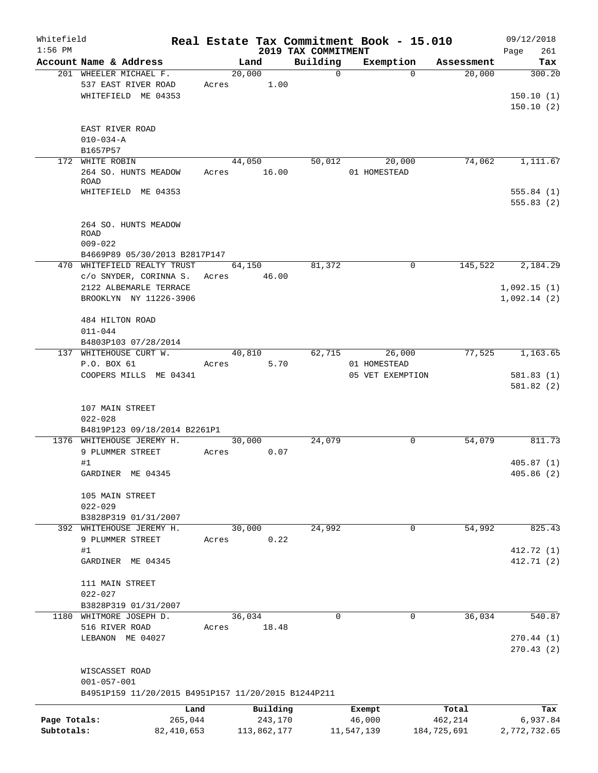| Whitefield                 |                                                       |       |                        |                                 | Real Estate Tax Commitment Book - 15.010 |                        | 09/12/2018                 |
|----------------------------|-------------------------------------------------------|-------|------------------------|---------------------------------|------------------------------------------|------------------------|----------------------------|
| $1:56$ PM                  | Account Name & Address                                |       | Land                   | 2019 TAX COMMITMENT<br>Building | Exemption                                | Assessment             | Page<br>261<br>Tax         |
|                            | 201 WHEELER MICHAEL F.                                |       | 20,000                 | $\mathbf 0$                     | $\Omega$                                 | 20,000                 | 300.20                     |
|                            | 537 EAST RIVER ROAD<br>WHITEFIELD ME 04353            | Acres | 1.00                   |                                 |                                          |                        | 150.10(1)<br>150.10(2)     |
|                            | EAST RIVER ROAD<br>$010 - 034 - A$                    |       |                        |                                 |                                          |                        |                            |
| 172                        | B1657P57<br>WHITE ROBIN                               |       | 44,050                 | 50,012                          | 20,000                                   | 74,062                 | 1,111.67                   |
|                            | 264 SO. HUNTS MEADOW<br><b>ROAD</b>                   | Acres | 16.00                  |                                 | 01 HOMESTEAD                             |                        |                            |
|                            | WHITEFIELD ME 04353                                   |       |                        |                                 |                                          |                        | 555.84(1)<br>555.83(2)     |
|                            | 264 SO. HUNTS MEADOW<br><b>ROAD</b><br>$009 - 022$    |       |                        |                                 |                                          |                        |                            |
|                            | B4669P89 05/30/2013 B2817P147                         |       |                        |                                 |                                          |                        |                            |
|                            | 470 WHITEFIELD REALTY TRUST<br>c/o SNYDER, CORINNA S. | Acres | 64,150<br>46.00        | 81,372                          | 0                                        | 145,522                | 2,184.29                   |
|                            | 2122 ALBEMARLE TERRACE<br>BROOKLYN NY 11226-3906      |       |                        |                                 |                                          |                        | 1,092.15(1)<br>1,092.14(2) |
|                            | 484 HILTON ROAD<br>$011 - 044$                        |       |                        |                                 |                                          |                        |                            |
|                            | B4803P103 07/28/2014<br>137 WHITEHOUSE CURT W.        |       |                        |                                 | 62,715<br>26,000                         | 77,525                 | 1,163.65                   |
|                            | P.O. BOX 61                                           | Acres | 40,810<br>5.70         |                                 | 01 HOMESTEAD                             |                        |                            |
|                            | COOPERS MILLS ME 04341                                |       |                        |                                 | 05 VET EXEMPTION                         |                        | 581.83(1)<br>581.82(2)     |
|                            | 107 MAIN STREET<br>$022 - 028$                        |       |                        |                                 |                                          |                        |                            |
|                            | B4819P123 09/18/2014 B2261P1                          |       |                        |                                 |                                          | 54,079                 |                            |
|                            | 1376 WHITEHOUSE JEREMY H.<br>9 PLUMMER STREET<br>#1   | Acres | 30,000<br>0.07         | 24,079                          | 0                                        |                        | 811.73<br>405.87(1)        |
|                            | GARDINER ME 04345                                     |       |                        |                                 |                                          |                        | 405.86 (2)                 |
|                            | 105 MAIN STREET<br>$022 - 029$                        |       |                        |                                 |                                          |                        |                            |
|                            | B3828P319 01/31/2007<br>392 WHITEHOUSE JEREMY H.      |       | 30,000                 | 24,992                          | 0                                        | 54,992                 | 825.43                     |
|                            | 9 PLUMMER STREET                                      | Acres | 0.22                   |                                 |                                          |                        |                            |
|                            | #1                                                    |       |                        |                                 |                                          |                        | 412.72 (1)                 |
|                            | GARDINER ME 04345                                     |       |                        |                                 |                                          |                        | 412.71 (2)                 |
|                            | 111 MAIN STREET<br>$022 - 027$                        |       |                        |                                 |                                          |                        |                            |
|                            | B3828P319 01/31/2007                                  |       |                        |                                 |                                          |                        |                            |
|                            | 1180 WHITMORE JOSEPH D.<br>516 RIVER ROAD             | Acres | 36,034<br>18.48        | 0                               | 0                                        | 36,034                 | 540.87                     |
|                            | LEBANON ME 04027                                      |       |                        |                                 |                                          |                        | 270.44(1)<br>270.43(2)     |
|                            | WISCASSET ROAD<br>$001 - 057 - 001$                   |       |                        |                                 |                                          |                        |                            |
|                            | B4951P159 11/20/2015 B4951P157 11/20/2015 B1244P211   |       |                        |                                 |                                          |                        |                            |
|                            | Land                                                  |       | Building               |                                 | Exempt                                   | Total                  | Tax                        |
| Page Totals:<br>Subtotals: | 265,044<br>82, 410, 653                               |       | 243,170<br>113,862,177 |                                 | 46,000<br>11,547,139                     | 462,214<br>184,725,691 | 6,937.84<br>2,772,732.65   |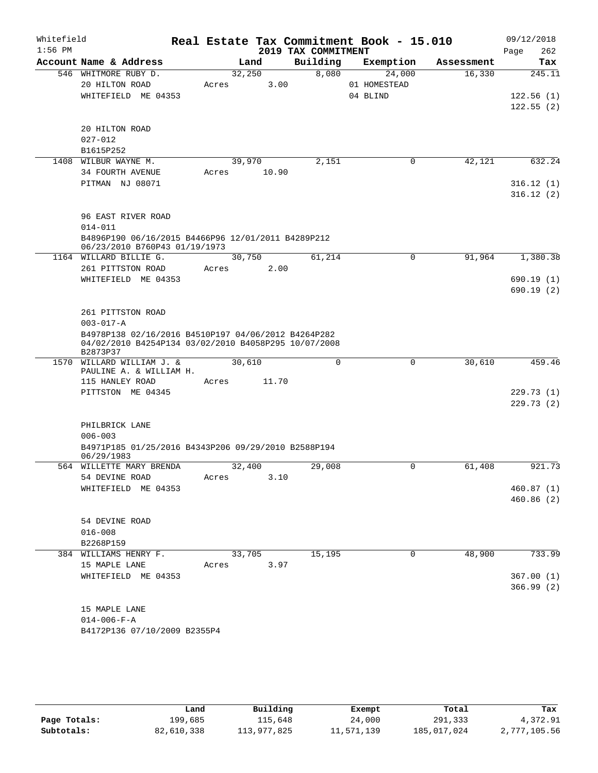| Whitefield<br>$1:56$ PM |                                                                                                                                                     |                 |       | 2019 TAX COMMITMENT | Real Estate Tax Commitment Book - 15.010 |            | 09/12/2018<br>Page<br>262        |
|-------------------------|-----------------------------------------------------------------------------------------------------------------------------------------------------|-----------------|-------|---------------------|------------------------------------------|------------|----------------------------------|
|                         | Account Name & Address                                                                                                                              |                 | Land  | Building            | Exemption                                | Assessment | Tax                              |
|                         | 546 WHITMORE RUBY D.<br>20 HILTON ROAD<br>WHITEFIELD ME 04353                                                                                       | 32,250<br>Acres | 3.00  | 8,080               | 24,000<br>01 HOMESTEAD<br>04 BLIND       | 16,330     | 245.11<br>122.56(1)<br>122.55(2) |
|                         | 20 HILTON ROAD<br>$027 - 012$<br>B1615P252                                                                                                          |                 |       |                     |                                          |            |                                  |
|                         | 1408 WILBUR WAYNE M.<br>34 FOURTH AVENUE                                                                                                            | 39,970<br>Acres | 10.90 | 2,151               | 0                                        | 42,121     | 632.24                           |
|                         | PITMAN NJ 08071                                                                                                                                     |                 |       |                     |                                          |            | 316.12(1)<br>316.12(2)           |
|                         | 96 EAST RIVER ROAD<br>$014 - 011$<br>B4896P190 06/16/2015 B4466P96 12/01/2011 B4289P212                                                             |                 |       |                     |                                          |            |                                  |
|                         | 06/23/2010 B760P43 01/19/1973<br>1164 WILLARD BILLIE G.                                                                                             | 30,750          |       | 61,214              | $\mathsf{O}$                             | 91,964     | 1,380.38                         |
|                         | 261 PITTSTON ROAD                                                                                                                                   | Acres           | 2.00  |                     |                                          |            |                                  |
|                         | WHITEFIELD ME 04353                                                                                                                                 |                 |       |                     |                                          |            | 690.19(1)<br>690.19(2)           |
|                         | 261 PITTSTON ROAD<br>$003 - 017 - A$<br>B4978P138 02/16/2016 B4510P197 04/06/2012 B4264P282<br>04/02/2010 B4254P134 03/02/2010 B4058P295 10/07/2008 |                 |       |                     |                                          |            |                                  |
|                         | B2873P37                                                                                                                                            |                 |       |                     |                                          |            |                                  |
|                         | 1570 WILLARD WILLIAM J. &<br>PAULINE A. & WILLIAM H.                                                                                                | 30,610          |       | $\mathbf 0$         | 0                                        | 30,610     | 459.46                           |
|                         | 115 HANLEY ROAD<br>PITTSTON ME 04345                                                                                                                | Acres           | 11.70 |                     |                                          |            | 229.73 (1)                       |
|                         |                                                                                                                                                     |                 |       |                     |                                          |            | 229.73(2)                        |
|                         | PHILBRICK LANE<br>$006 - 003$                                                                                                                       |                 |       |                     |                                          |            |                                  |
|                         | B4971P185 01/25/2016 B4343P206 09/29/2010 B2588P194<br>06/29/1983                                                                                   |                 |       |                     |                                          |            |                                  |
|                         | 564 WILLETTE MARY BRENDA<br>54 DEVINE ROAD                                                                                                          | 32,400<br>Acres | 3.10  | 29,008              | $\mathbf 0$                              | 61,408     | 921.73                           |
|                         | WHITEFIELD ME 04353                                                                                                                                 |                 |       |                     |                                          |            | 460.87 (1)<br>460.86(2)          |
|                         | 54 DEVINE ROAD<br>$016 - 008$                                                                                                                       |                 |       |                     |                                          |            |                                  |
|                         | B2268P159<br>384 WILLIAMS HENRY F.                                                                                                                  | 33,705          |       | 15,195              | 0                                        | 48,900     | 733.99                           |
|                         | 15 MAPLE LANE                                                                                                                                       | Acres           | 3.97  |                     |                                          |            |                                  |
|                         | WHITEFIELD ME 04353                                                                                                                                 |                 |       |                     |                                          |            | 367.00(1)<br>366.99(2)           |
|                         | 15 MAPLE LANE<br>$014 - 006 - F - A$<br>B4172P136 07/10/2009 B2355P4                                                                                |                 |       |                     |                                          |            |                                  |

|              | Land       | Building    | Exempt     | Total       | Tax          |
|--------------|------------|-------------|------------|-------------|--------------|
| Page Totals: | 199,685    | 115,648     | 24,000     | 291,333     | 4,372.91     |
| Subtotals:   | 82,610,338 | 113,977,825 | 11,571,139 | 185,017,024 | 2,777,105.56 |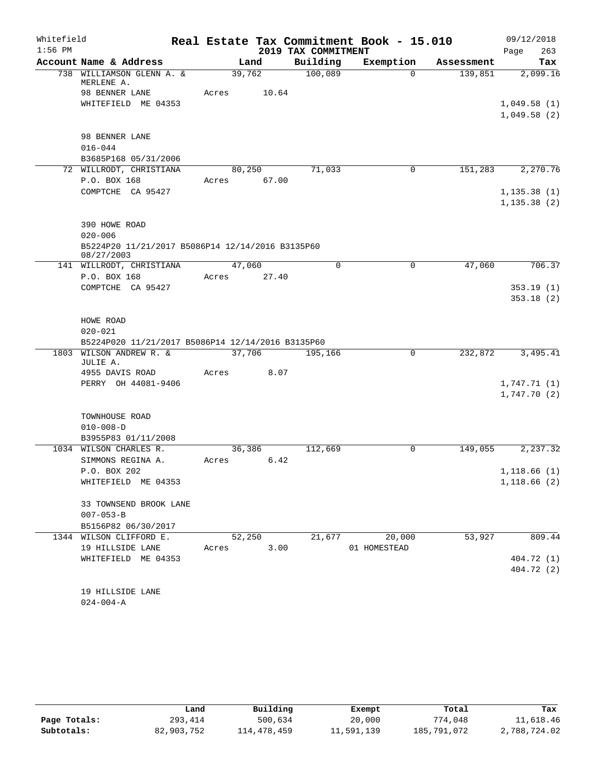| Whitefield |                                                   |        |        |                     | Real Estate Tax Commitment Book - 15.010 |            |              | 09/12/2018 |
|------------|---------------------------------------------------|--------|--------|---------------------|------------------------------------------|------------|--------------|------------|
| $1:56$ PM  |                                                   |        |        | 2019 TAX COMMITMENT |                                          |            | Page         | 263        |
|            | Account Name & Address                            |        | Land   | Building            | Exemption                                | Assessment |              | Tax        |
|            | 738 WILLIAMSON GLENN A. &<br>MERLENE A.           | 39,762 |        | 100,089             | $\Omega$                                 | 139,851    |              | 2,099.16   |
|            | 98 BENNER LANE                                    | Acres  | 10.64  |                     |                                          |            |              |            |
|            | WHITEFIELD ME 04353                               |        |        |                     |                                          |            | 1,049.58(1)  |            |
|            |                                                   |        |        |                     |                                          |            | 1,049.58(2)  |            |
|            |                                                   |        |        |                     |                                          |            |              |            |
|            | 98 BENNER LANE                                    |        |        |                     |                                          |            |              |            |
|            | $016 - 044$                                       |        |        |                     |                                          |            |              |            |
|            | B3685P168 05/31/2006                              |        |        |                     |                                          |            |              |            |
|            | 72 WILLRODT, CHRISTIANA                           |        | 80,250 | 71,033              | $\mathbf 0$                              | 151,283    |              | 2,270.76   |
|            | P.O. BOX 168                                      | Acres  | 67.00  |                     |                                          |            |              |            |
|            | COMPTCHE CA 95427                                 |        |        |                     |                                          |            | 1, 135.38(1) |            |
|            |                                                   |        |        |                     |                                          |            | 1, 135.38(2) |            |
|            |                                                   |        |        |                     |                                          |            |              |            |
|            | 390 HOWE ROAD                                     |        |        |                     |                                          |            |              |            |
|            | $020 - 006$                                       |        |        |                     |                                          |            |              |            |
|            | B5224P20 11/21/2017 B5086P14 12/14/2016 B3135P60  |        |        |                     |                                          |            |              |            |
|            | 08/27/2003<br>141 WILLRODT, CHRISTIANA            | 47,060 |        | $\Omega$            | 0                                        | 47,060     |              | 706.37     |
|            | P.O. BOX 168                                      | Acres  | 27.40  |                     |                                          |            |              |            |
|            | COMPTCHE CA 95427                                 |        |        |                     |                                          |            |              | 353.19(1)  |
|            |                                                   |        |        |                     |                                          |            |              | 353.18(2)  |
|            |                                                   |        |        |                     |                                          |            |              |            |
|            | HOWE ROAD                                         |        |        |                     |                                          |            |              |            |
|            | $020 - 021$                                       |        |        |                     |                                          |            |              |            |
|            | B5224P020 11/21/2017 B5086P14 12/14/2016 B3135P60 |        |        |                     |                                          |            |              |            |
| 1803       | WILSON ANDREW R. &                                | 37,706 |        | 195,166             | 0                                        | 232,872    |              | 3,495.41   |
|            | JULIE A.                                          |        |        |                     |                                          |            |              |            |
|            | 4955 DAVIS ROAD                                   | Acres  | 8.07   |                     |                                          |            |              |            |
|            | PERRY OH 44081-9406                               |        |        |                     |                                          |            | 1,747.71(1)  |            |
|            |                                                   |        |        |                     |                                          |            | 1,747.70(2)  |            |
|            |                                                   |        |        |                     |                                          |            |              |            |
|            | TOWNHOUSE ROAD<br>$010 - 008 - D$                 |        |        |                     |                                          |            |              |            |
|            | B3955P83 01/11/2008                               |        |        |                     |                                          |            |              |            |
|            | 1034 WILSON CHARLES R.                            |        | 36,386 | 112,669             | 0                                        | 149,055    |              | 2, 237.32  |
|            | SIMMONS REGINA A.                                 | Acres  | 6.42   |                     |                                          |            |              |            |
|            | P.O. BOX 202                                      |        |        |                     |                                          |            | 1,118.66(1)  |            |
|            | WHITEFIELD ME 04353                               |        |        |                     |                                          |            | 1,118.66(2)  |            |
|            |                                                   |        |        |                     |                                          |            |              |            |
|            | 33 TOWNSEND BROOK LANE                            |        |        |                     |                                          |            |              |            |
|            | $007 - 053 - B$                                   |        |        |                     |                                          |            |              |            |
|            | B5156P82 06/30/2017                               |        |        |                     |                                          |            |              |            |
|            | 1344 WILSON CLIFFORD E.                           |        | 52,250 | 21,677              | 20,000                                   | 53,927     |              | 809.44     |
|            | 19 HILLSIDE LANE                                  | Acres  | 3.00   |                     | 01 HOMESTEAD                             |            |              |            |
|            | WHITEFIELD ME 04353                               |        |        |                     |                                          |            |              | 404.72 (1) |
|            |                                                   |        |        |                     |                                          |            |              | 404.72 (2) |
|            |                                                   |        |        |                     |                                          |            |              |            |
|            | 19 HILLSIDE LANE                                  |        |        |                     |                                          |            |              |            |
|            | $024 - 004 - A$                                   |        |        |                     |                                          |            |              |            |

|              | Land       | Building    | Exempt     | Total       | Tax          |
|--------------|------------|-------------|------------|-------------|--------------|
| Page Totals: | 293,414    | 500,634     | 20,000     | 774,048     | 11,618.46    |
| Subtotals:   | 82,903,752 | 114,478,459 | 11,591,139 | 185,791,072 | 2,788,724.02 |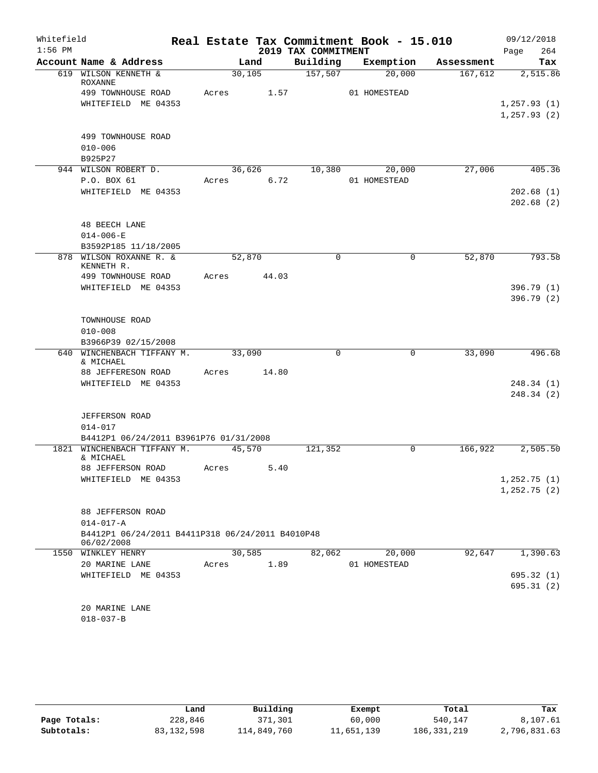| Whitefield |                                                  |       | Real Estate Tax Commitment Book - 15.010 |                     |              |             |            | 09/12/2018                  |
|------------|--------------------------------------------------|-------|------------------------------------------|---------------------|--------------|-------------|------------|-----------------------------|
| $1:56$ PM  |                                                  |       |                                          | 2019 TAX COMMITMENT |              |             |            | 264<br>Page                 |
|            | Account Name & Address                           |       | Land                                     | Building            |              | Exemption   | Assessment | Tax                         |
|            | 619 WILSON KENNETH &<br>ROXANNE                  |       | 30,105                                   | 157,507             |              | 20,000      | 167,612    | 2,515.86                    |
|            | 499 TOWNHOUSE ROAD                               | Acres | 1.57                                     |                     | 01 HOMESTEAD |             |            |                             |
|            | WHITEFIELD ME 04353                              |       |                                          |                     |              |             |            | 1, 257.93(1)                |
|            |                                                  |       |                                          |                     |              |             |            | 1, 257.93(2)                |
|            |                                                  |       |                                          |                     |              |             |            |                             |
|            | 499 TOWNHOUSE ROAD<br>$010 - 006$                |       |                                          |                     |              |             |            |                             |
|            | B925P27                                          |       |                                          |                     |              |             |            |                             |
|            | 944 WILSON ROBERT D.                             |       | 36,626                                   | 10,380              |              | 20,000      | 27,006     | 405.36                      |
|            | P.O. BOX 61                                      | Acres | 6.72                                     |                     | 01 HOMESTEAD |             |            |                             |
|            | WHITEFIELD ME 04353                              |       |                                          |                     |              |             |            | 202.68(1)                   |
|            |                                                  |       |                                          |                     |              |             |            | 202.68(2)                   |
|            |                                                  |       |                                          |                     |              |             |            |                             |
|            | <b>48 BEECH LANE</b><br>$014 - 006 - E$          |       |                                          |                     |              |             |            |                             |
|            | B3592P185 11/18/2005                             |       |                                          |                     |              |             |            |                             |
|            | 878 WILSON ROXANNE R. &<br>KENNETH R.            |       | 52,870                                   | $\mathbf 0$         |              | $\mathbf 0$ | 52,870     | 793.58                      |
|            | 499 TOWNHOUSE ROAD                               | Acres | 44.03                                    |                     |              |             |            |                             |
|            | WHITEFIELD ME 04353                              |       |                                          |                     |              |             |            | 396.79(1)                   |
|            |                                                  |       |                                          |                     |              |             |            | 396.79(2)                   |
|            |                                                  |       |                                          |                     |              |             |            |                             |
|            | TOWNHOUSE ROAD                                   |       |                                          |                     |              |             |            |                             |
|            | $010 - 008$                                      |       |                                          |                     |              |             |            |                             |
| 640        | B3966P39 02/15/2008<br>WINCHENBACH TIFFANY M.    |       | 33,090                                   | $\mathbf 0$         |              | $\mathbf 0$ | 33,090     | 496.68                      |
|            | & MICHAEL                                        |       |                                          |                     |              |             |            |                             |
|            | 88 JEFFERESON ROAD                               | Acres | 14.80                                    |                     |              |             |            |                             |
|            | WHITEFIELD ME 04353                              |       |                                          |                     |              |             |            | 248.34(1)                   |
|            |                                                  |       |                                          |                     |              |             |            | 248.34(2)                   |
|            | <b>JEFFERSON ROAD</b>                            |       |                                          |                     |              |             |            |                             |
|            | $014 - 017$                                      |       |                                          |                     |              |             |            |                             |
|            | B4412P1 06/24/2011 B3961P76 01/31/2008           |       |                                          |                     |              |             |            |                             |
|            | 1821 WINCHENBACH TIFFANY M.                      |       | 45,570                                   | 121,352             |              | 0           | 166,922    | 2,505.50                    |
|            | & MICHAEL                                        |       |                                          |                     |              |             |            |                             |
|            | 88 JEFFERSON ROAD                                | Acres | 5.40                                     |                     |              |             |            |                             |
|            | WHITEFIELD ME 04353                              |       |                                          |                     |              |             |            | 1,252.75(1)<br>1, 252.75(2) |
|            |                                                  |       |                                          |                     |              |             |            |                             |
|            | 88 JEFFERSON ROAD                                |       |                                          |                     |              |             |            |                             |
|            | $014 - 017 - A$                                  |       |                                          |                     |              |             |            |                             |
|            | B4412P1 06/24/2011 B4411P318 06/24/2011 B4010P48 |       |                                          |                     |              |             |            |                             |
|            | 06/02/2008                                       |       | 30,585                                   |                     |              |             |            |                             |
|            | 1550 WINKLEY HENRY<br>20 MARINE LANE             | Acres | 1.89                                     | 82,062              | 01 HOMESTEAD | 20,000      | 92,647     | 1,390.63                    |
|            | WHITEFIELD ME 04353                              |       |                                          |                     |              |             |            | 695.32 (1)                  |
|            |                                                  |       |                                          |                     |              |             |            | 695.31(2)                   |
|            |                                                  |       |                                          |                     |              |             |            |                             |
|            | 20 MARINE LANE                                   |       |                                          |                     |              |             |            |                             |
|            | $018 - 037 - B$                                  |       |                                          |                     |              |             |            |                             |
|            |                                                  |       |                                          |                     |              |             |            |                             |

|              | Land       | Building    | Exempt     | Total         | Tax          |
|--------------|------------|-------------|------------|---------------|--------------|
| Page Totals: | 228,846    | 371,301     | 60,000     | 540,147       | 8,107.61     |
| Subtotals:   | 83,132,598 | 114,849,760 | 11,651,139 | 186, 331, 219 | 2,796,831.63 |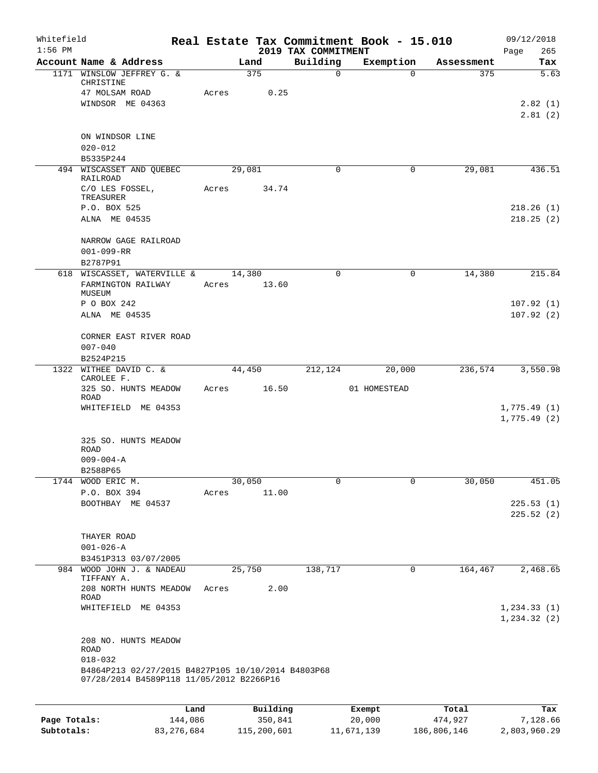| Whitefield<br>$1:56$ PM |                                                                                                |         |       |                 | 2019 TAX COMMITMENT | Real Estate Tax Commitment Book - 15.010 |            | 09/12/2018<br>Page<br>265    |
|-------------------------|------------------------------------------------------------------------------------------------|---------|-------|-----------------|---------------------|------------------------------------------|------------|------------------------------|
|                         | Account Name & Address                                                                         |         |       | Land            | Building            | Exemption                                | Assessment | Tax                          |
|                         | 1171 WINSLOW JEFFREY G. &<br>CHRISTINE                                                         |         |       | 375             | $\mathsf{O}$        | $\Omega$                                 | 375        | 5.63                         |
|                         | 47 MOLSAM ROAD                                                                                 |         | Acres | 0.25            |                     |                                          |            |                              |
|                         | WINDSOR ME 04363                                                                               |         |       |                 |                     |                                          |            | 2.82(1)<br>2.81(2)           |
|                         | ON WINDSOR LINE<br>$020 - 012$                                                                 |         |       |                 |                     |                                          |            |                              |
|                         | B5335P244                                                                                      |         |       |                 |                     |                                          |            |                              |
|                         | 494 WISCASSET AND QUEBEC<br>RAILROAD                                                           |         |       | 29,081          | $\Omega$            | 0                                        | 29,081     | 436.51                       |
|                         | C/O LES FOSSEL,<br>TREASURER<br>P.O. BOX 525                                                   |         | Acres | 34.74           |                     |                                          |            | 218.26(1)                    |
|                         | ALNA ME 04535                                                                                  |         |       |                 |                     |                                          |            | 218.25(2)                    |
|                         | NARROW GAGE RAILROAD<br>$001 - 099 - RR$                                                       |         |       |                 |                     |                                          |            |                              |
|                         | B2787P91                                                                                       |         |       |                 |                     |                                          |            |                              |
|                         | 618 WISCASSET, WATERVILLE &<br>FARMINGTON RAILWAY<br>MUSEUM                                    |         | Acres | 14,380<br>13.60 | $\Omega$            | $\mathbf 0$                              | 14,380     | 215.84                       |
|                         | P O BOX 242                                                                                    |         |       |                 |                     |                                          |            | 107.92(1)                    |
|                         | ALNA ME 04535                                                                                  |         |       |                 |                     |                                          |            | 107.92(2)                    |
|                         | CORNER EAST RIVER ROAD                                                                         |         |       |                 |                     |                                          |            |                              |
|                         | $007 - 040$                                                                                    |         |       |                 |                     |                                          |            |                              |
|                         | B2524P215                                                                                      |         |       |                 |                     |                                          |            |                              |
|                         | 1322 WITHEE DAVID C. &<br>CAROLEE F.<br>325 SO. HUNTS MEADOW                                   |         | Acres | 44,450<br>16.50 | 212,124             | 20,000<br>01 HOMESTEAD                   | 236,574    | 3,550.98                     |
|                         | ROAD<br>WHITEFIELD ME 04353                                                                    |         |       |                 |                     |                                          |            | 1,775.49(1)                  |
|                         |                                                                                                |         |       |                 |                     |                                          |            | 1,775.49(2)                  |
|                         | 325 SO. HUNTS MEADOW<br><b>ROAD</b>                                                            |         |       |                 |                     |                                          |            |                              |
|                         | $009 - 004 - A$                                                                                |         |       |                 |                     |                                          |            |                              |
|                         | B2588P65<br>1744 WOOD ERIC M.                                                                  |         |       |                 | $\mathbf 0$         | 0                                        | 30,050     | 451.05                       |
|                         | P.O. BOX 394                                                                                   |         | Acres | 30,050<br>11.00 |                     |                                          |            |                              |
|                         | BOOTHBAY ME 04537                                                                              |         |       |                 |                     |                                          |            | 225.53(1)                    |
|                         |                                                                                                |         |       |                 |                     |                                          |            | 225.52(2)                    |
|                         | THAYER ROAD                                                                                    |         |       |                 |                     |                                          |            |                              |
|                         | $001 - 026 - A$                                                                                |         |       |                 |                     |                                          |            |                              |
|                         | B3451P313 03/07/2005                                                                           |         |       |                 |                     |                                          |            |                              |
|                         | 984 WOOD JOHN J. & NADEAU<br>TIFFANY A.<br>208 NORTH HUNTS MEADOW                              |         |       | 25,750<br>2.00  | 138,717             | 0                                        | 164,467    | 2,468.65                     |
|                         | <b>ROAD</b>                                                                                    |         | Acres |                 |                     |                                          |            |                              |
|                         | WHITEFIELD ME 04353                                                                            |         |       |                 |                     |                                          |            | 1, 234.33(1)<br>1, 234.32(2) |
|                         | 208 NO. HUNTS MEADOW<br><b>ROAD</b>                                                            |         |       |                 |                     |                                          |            |                              |
|                         | $018 - 032$                                                                                    |         |       |                 |                     |                                          |            |                              |
|                         | B4864P213 02/27/2015 B4827P105 10/10/2014 B4803P68<br>07/28/2014 B4589P118 11/05/2012 B2266P16 |         |       |                 |                     |                                          |            |                              |
|                         |                                                                                                | Land    |       | Building        |                     | Exempt                                   | Total      | Tax                          |
| Page Totals:            |                                                                                                | 144,086 |       | 350,841         |                     | 20,000                                   | 474,927    | 7,128.66                     |

**Subtotals:** 83,276,684 115,200,601 11,671,139 186,806,146 2,803,960.29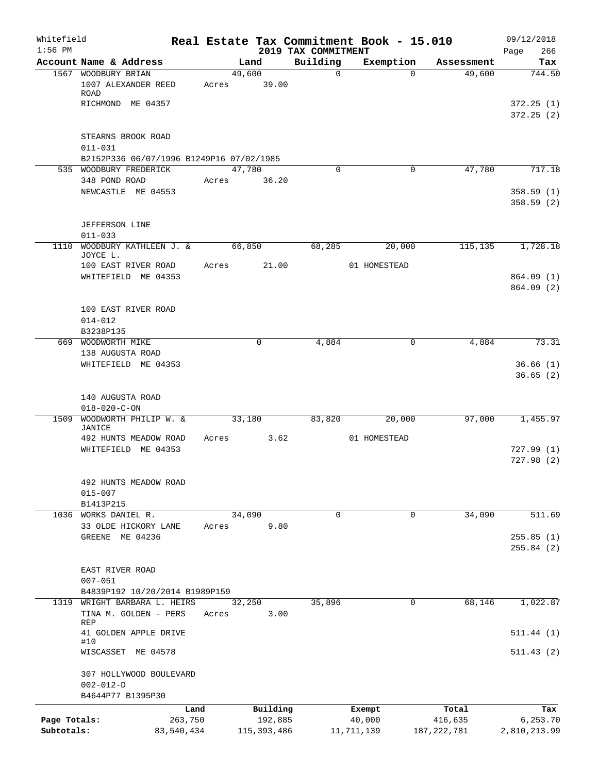| Whitefield<br>$1:56$ PM |                                                                 |            |        |               | 2019 TAX COMMITMENT | Real Estate Tax Commitment Book - 15.010 |               | 09/12/2018<br>266<br>Page |
|-------------------------|-----------------------------------------------------------------|------------|--------|---------------|---------------------|------------------------------------------|---------------|---------------------------|
|                         | Account Name & Address                                          |            | Land   |               | Building            | Exemption                                | Assessment    | Tax                       |
|                         | 1567 WOODBURY BRIAN<br>1007 ALEXANDER REED                      | Acres      | 49,600 | 39.00         | $\mathbf 0$         | $\Omega$                                 | 49,600        | 744.50                    |
|                         | ROAD<br>RICHMOND ME 04357                                       |            |        |               |                     |                                          |               | 372.25(1)<br>372.25(2)    |
|                         | STEARNS BROOK ROAD<br>$011 - 031$                               |            |        |               |                     |                                          |               |                           |
|                         | B2152P336 06/07/1996 B1249P16 07/02/1985                        |            |        |               |                     |                                          |               |                           |
|                         | 535 WOODBURY FREDERICK<br>348 POND ROAD                         | Acres      | 47,780 | 36.20         | $\Omega$            | 0                                        | 47,780        | 717.18                    |
|                         | NEWCASTLE ME 04553                                              |            |        |               |                     |                                          |               | 358.59(1)<br>358.59(2)    |
|                         | <b>JEFFERSON LINE</b><br>$011 - 033$                            |            |        |               |                     |                                          |               |                           |
| 1110                    | WOODBURY KATHLEEN J. &                                          |            | 66,850 |               | 68,285              | 20,000                                   | 115,135       | 1,728.18                  |
|                         | JOYCE L.                                                        |            |        |               |                     |                                          |               |                           |
|                         | 100 EAST RIVER ROAD<br>WHITEFIELD ME 04353                      | Acres      |        | 21.00         |                     | 01 HOMESTEAD                             |               | 864.09 (1)<br>864.09 (2)  |
|                         | 100 EAST RIVER ROAD<br>$014 - 012$<br>B3238P135                 |            |        |               |                     |                                          |               |                           |
|                         | 669 WOODWORTH MIKE                                              |            |        | $\mathbf 0$   | 4,884               | 0                                        | 4,884         | 73.31                     |
|                         | 138 AUGUSTA ROAD                                                |            |        |               |                     |                                          |               |                           |
|                         | WHITEFIELD ME 04353                                             |            |        |               |                     |                                          |               | 36.66(1)<br>36.65(2)      |
|                         | 140 AUGUSTA ROAD<br>$018 - 020 - C - ON$                        |            |        |               |                     |                                          |               |                           |
| 1509                    | WOODWORTH PHILIP W. &<br>JANICE                                 |            | 33,180 |               | 83,820              | 20,000                                   | 97,000        | 1,455.97                  |
|                         | 492 HUNTS MEADOW ROAD                                           | Acres      |        | 3.62          |                     | 01 HOMESTEAD                             |               |                           |
|                         | WHITEFIELD ME 04353                                             |            |        |               |                     |                                          |               | 727.99(1)<br>727.98(2)    |
|                         | 492 HUNTS MEADOW ROAD<br>$015 - 007$<br>B1413P215               |            |        |               |                     |                                          |               |                           |
|                         | 1036 WORKS DANIEL R.                                            |            | 34,090 |               | $\Omega$            | $\overline{0}$                           | 34,090        | 511.69                    |
|                         | 33 OLDE HICKORY LANE                                            | Acres      |        | 9.80          |                     |                                          |               |                           |
|                         | GREENE ME 04236                                                 |            |        |               |                     |                                          |               | 255.85(1)<br>255.84(2)    |
|                         | EAST RIVER ROAD<br>$007 - 051$                                  |            |        |               |                     |                                          |               |                           |
|                         | B4839P192 10/20/2014 B1989P159                                  |            |        |               |                     |                                          |               |                           |
|                         | 1319 WRIGHT BARBARA L. HEIRS<br>TINA M. GOLDEN - PERS<br>REP    | Acres      | 32,250 | 3.00          | 35,896              | 0                                        | 68,146        | 1,022.87                  |
|                         | 41 GOLDEN APPLE DRIVE<br>#10                                    |            |        |               |                     |                                          |               | 511.44(1)                 |
|                         | WISCASSET ME 04578                                              |            |        |               |                     |                                          |               | 511.43(2)                 |
|                         | 307 HOLLYWOOD BOULEVARD<br>$002 - 012 - D$<br>B4644P77 B1395P30 |            |        |               |                     |                                          |               |                           |
|                         |                                                                 | Land       |        | Building      |                     | Exempt                                   | Total         | Tax                       |
| Page Totals:            |                                                                 | 263,750    |        | 192,885       |                     | 40,000                                   | 416,635       | 6,253.70                  |
| Subtotals:              |                                                                 | 83,540,434 |        | 115, 393, 486 |                     | 11,711,139                               | 187, 222, 781 | 2,810,213.99              |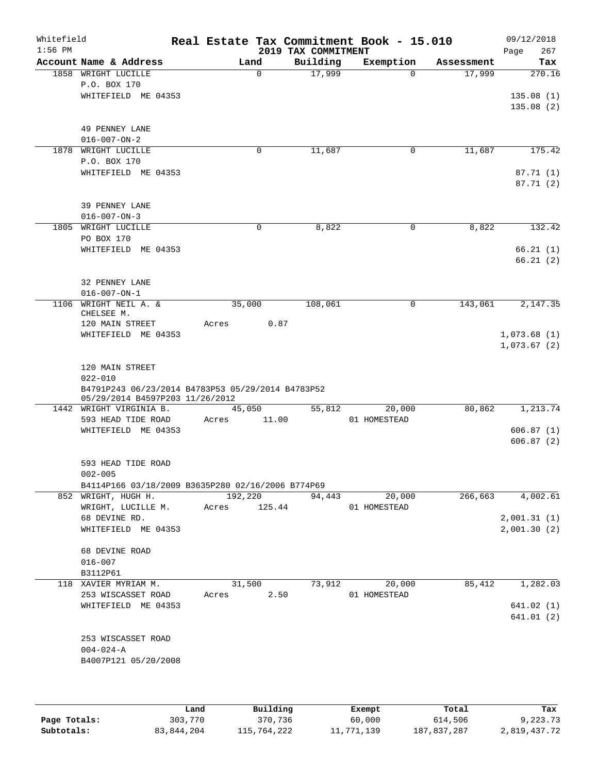| Whitefield<br>$1:56$ PM |                                                   |              |          | 2019 TAX COMMITMENT | Real Estate Tax Commitment Book - 15.010 |            | 09/12/2018<br>267<br>Page |
|-------------------------|---------------------------------------------------|--------------|----------|---------------------|------------------------------------------|------------|---------------------------|
|                         | Account Name & Address                            |              | Land     | Building            | Exemption                                | Assessment | Tax                       |
|                         | 1858 WRIGHT LUCILLE                               |              | $\Omega$ | 17,999              | $\Omega$                                 | 17,999     | 270.16                    |
|                         | P.O. BOX 170                                      |              |          |                     |                                          |            |                           |
|                         | WHITEFIELD ME 04353                               |              |          |                     |                                          |            | 135.08(1)                 |
|                         |                                                   |              |          |                     |                                          |            | 135.08(2)                 |
|                         |                                                   |              |          |                     |                                          |            |                           |
|                         | 49 PENNEY LANE                                    |              |          |                     |                                          |            |                           |
| 1878                    | $016 - 007 - ON - 2$<br>WRIGHT LUCILLE            |              | 0        |                     | 0                                        |            | 175.42                    |
|                         | P.O. BOX 170                                      |              |          | 11,687              |                                          | 11,687     |                           |
|                         | WHITEFIELD ME 04353                               |              |          |                     |                                          |            | 87.71(1)                  |
|                         |                                                   |              |          |                     |                                          |            | 87.71(2)                  |
|                         |                                                   |              |          |                     |                                          |            |                           |
|                         | 39 PENNEY LANE                                    |              |          |                     |                                          |            |                           |
|                         | $016 - 007 - ON - 3$                              |              |          |                     |                                          |            |                           |
|                         | 1805 WRIGHT LUCILLE                               |              | 0        | 8,822               | 0                                        | 8,822      | 132.42                    |
|                         | PO BOX 170                                        |              |          |                     |                                          |            |                           |
|                         | WHITEFIELD ME 04353                               |              |          |                     |                                          |            | 66.21(1)                  |
|                         |                                                   |              |          |                     |                                          |            | 66.21(2)                  |
|                         |                                                   |              |          |                     |                                          |            |                           |
|                         | 32 PENNEY LANE<br>$016 - 007 - ON - 1$            |              |          |                     |                                          |            |                           |
| 1106                    | WRIGHT NEIL A. &                                  |              | 35,000   | 108,061             | 0                                        | 143,061    | 2,147.35                  |
|                         | CHELSEE M.                                        |              |          |                     |                                          |            |                           |
|                         | 120 MAIN STREET                                   | Acres        | 0.87     |                     |                                          |            |                           |
|                         | WHITEFIELD ME 04353                               |              |          |                     |                                          |            | 1,073.68(1)               |
|                         |                                                   |              |          |                     |                                          |            | 1,073.67(2)               |
|                         |                                                   |              |          |                     |                                          |            |                           |
|                         | 120 MAIN STREET<br>$022 - 010$                    |              |          |                     |                                          |            |                           |
|                         | B4791P243 06/23/2014 B4783P53 05/29/2014 B4783P52 |              |          |                     |                                          |            |                           |
|                         | 05/29/2014 B4597P203 11/26/2012                   |              |          |                     |                                          |            |                           |
|                         | 1442 WRIGHT VIRGINIA B.                           |              | 45,050   | 55,812              | 20,000                                   | 80,862     | 1,213.74                  |
|                         | 593 HEAD TIDE ROAD                                | Acres        | 11.00    |                     | 01 HOMESTEAD                             |            |                           |
|                         | WHITEFIELD ME 04353                               |              |          |                     |                                          |            | 606.87(1)                 |
|                         |                                                   |              |          |                     |                                          |            | 606.87(2)                 |
|                         |                                                   |              |          |                     |                                          |            |                           |
|                         | 593 HEAD TIDE ROAD<br>$002 - 005$                 |              |          |                     |                                          |            |                           |
|                         | B4114P166 03/18/2009 B3635P280 02/16/2006 B774P69 |              |          |                     |                                          |            |                           |
|                         | 852 WRIGHT, HUGH H.                               |              | 192,220  | 94,443              | 20,000                                   | 266,663    | 4,002.61                  |
|                         | WRIGHT, LUCILLE M.                                | Acres 125.44 |          |                     | 01 HOMESTEAD                             |            |                           |
|                         | 68 DEVINE RD.                                     |              |          |                     |                                          |            | 2,001.31(1)               |
|                         | WHITEFIELD ME 04353                               |              |          |                     |                                          |            | 2,001.30(2)               |
|                         |                                                   |              |          |                     |                                          |            |                           |
|                         | 68 DEVINE ROAD                                    |              |          |                     |                                          |            |                           |
|                         | $016 - 007$                                       |              |          |                     |                                          |            |                           |
|                         | B3112P61                                          |              |          |                     |                                          |            |                           |
|                         | 118 XAVIER MYRIAM M.                              |              | 31,500   | 73,912              | 20,000                                   | 85,412     | 1,282.03                  |
|                         | 253 WISCASSET ROAD<br>WHITEFIELD ME 04353         | Acres        | 2.50     |                     | 01 HOMESTEAD                             |            | 641.02 (1)                |
|                         |                                                   |              |          |                     |                                          |            | 641.01 (2)                |
|                         |                                                   |              |          |                     |                                          |            |                           |
|                         | 253 WISCASSET ROAD                                |              |          |                     |                                          |            |                           |
|                         | $004 - 024 - A$                                   |              |          |                     |                                          |            |                           |
|                         | B4007P121 05/20/2008                              |              |          |                     |                                          |            |                           |
|                         |                                                   |              |          |                     |                                          |            |                           |
|                         |                                                   |              |          |                     |                                          |            |                           |
|                         |                                                   |              |          |                     |                                          |            |                           |

|              | Land       | Building    | Exempt     | Total       | Tax          |
|--------------|------------|-------------|------------|-------------|--------------|
| Page Totals: | 303,770    | 370,736     | 60,000     | 614,506     | 9,223.73     |
| Subtotals:   | 83,844,204 | 115,764,222 | 11,771,139 | 187,837,287 | 2,819,437.72 |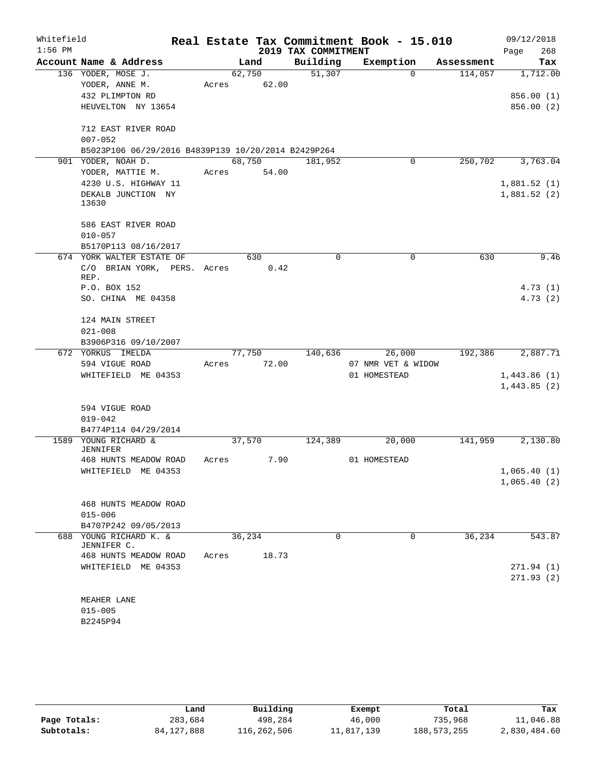| Whitefield<br>$1:56$ PM |                                                                                           |       |                 | 2019 TAX COMMITMENT | Real Estate Tax Commitment Book - 15.010 |            | 09/12/2018<br>268<br>Page            |
|-------------------------|-------------------------------------------------------------------------------------------|-------|-----------------|---------------------|------------------------------------------|------------|--------------------------------------|
|                         | Account Name & Address                                                                    |       | Land            | Building            | Exemption                                | Assessment | Tax                                  |
|                         | 136 YODER, MOSE J.<br>YODER, ANNE M.<br>432 PLIMPTON RD<br>HEUVELTON NY 13654             | Acres | 62,750<br>62.00 | 51,307              | $\Omega$                                 | 114,057    | 1,712.00<br>856.00 (1)<br>856.00 (2) |
|                         | 712 EAST RIVER ROAD<br>$007 - 052$<br>B5023P106 06/29/2016 B4839P139 10/20/2014 B2429P264 |       |                 |                     |                                          |            |                                      |
|                         | 901 YODER, NOAH D.<br>YODER, MATTIE M.                                                    | Acres | 68,750<br>54.00 | 181,952             | $\mathbf 0$                              | 250,702    | 3,763.04                             |
|                         | 4230 U.S. HIGHWAY 11<br>DEKALB JUNCTION NY<br>13630                                       |       |                 |                     |                                          |            | 1,881.52(1)<br>1,881.52(2)           |
|                         | 586 EAST RIVER ROAD<br>$010 - 057$                                                        |       |                 |                     |                                          |            |                                      |
|                         | B5170P113 08/16/2017<br>674 YORK WALTER ESTATE OF                                         |       | 630             | 0                   | 0                                        | 630        | 9.46                                 |
|                         | C/O BRIAN YORK, PERS. Acres<br>REP.                                                       |       | 0.42            |                     |                                          |            |                                      |
|                         | P.O. BOX 152                                                                              |       |                 |                     |                                          |            | 4.73(1)                              |
|                         | SO. CHINA ME 04358                                                                        |       |                 |                     |                                          |            | 4.73(2)                              |
|                         | 124 MAIN STREET                                                                           |       |                 |                     |                                          |            |                                      |
|                         | $021 - 008$<br>B3906P316 09/10/2007                                                       |       |                 |                     |                                          |            |                                      |
|                         | 672 YORKUS IMELDA                                                                         |       | 77,750          | 140,636             | 26,000                                   | 192,386    | 2,887.71                             |
|                         | 594 VIGUE ROAD                                                                            | Acres | 72.00           |                     | 07 NMR VET & WIDOW                       |            |                                      |
|                         | WHITEFIELD ME 04353                                                                       |       |                 |                     | 01 HOMESTEAD                             |            | 1,443.86(1)<br>1,443.85(2)           |
|                         |                                                                                           |       |                 |                     |                                          |            |                                      |
|                         | 594 VIGUE ROAD<br>$019 - 042$                                                             |       |                 |                     |                                          |            |                                      |
|                         | B4774P114 04/29/2014                                                                      |       |                 |                     |                                          |            |                                      |
|                         | 1589 YOUNG RICHARD &<br><b>JENNIFER</b>                                                   |       | 37,570          | 124,389             | 20,000                                   | 141,959    | 2,130.80                             |
|                         | 468 HUNTS MEADOW ROAD                                                                     | Acres | 7.90            |                     | 01 HOMESTEAD                             |            |                                      |
|                         | WHITEFIELD ME 04353                                                                       |       |                 |                     |                                          |            | 1,065.40(1)                          |
|                         |                                                                                           |       |                 |                     |                                          |            | 1,065.40(2)                          |
|                         | 468 HUNTS MEADOW ROAD<br>$015 - 006$                                                      |       |                 |                     |                                          |            |                                      |
|                         | B4707P242 09/05/2013                                                                      |       |                 |                     |                                          |            |                                      |
| 688                     | YOUNG RICHARD K. &<br>JENNIFER C.                                                         |       | 36, 234         | 0                   | $\Omega$                                 | 36, 234    | 543.87                               |
|                         | 468 HUNTS MEADOW ROAD                                                                     | Acres | 18.73           |                     |                                          |            |                                      |
|                         | WHITEFIELD ME 04353                                                                       |       |                 |                     |                                          |            | 271.94(1)<br>271.93(2)               |
|                         | MEAHER LANE                                                                               |       |                 |                     |                                          |            |                                      |
|                         | $015 - 005$                                                                               |       |                 |                     |                                          |            |                                      |
|                         | B2245P94                                                                                  |       |                 |                     |                                          |            |                                      |

|              | Land         | Building    | Exempt     | Total         | Tax          |
|--------------|--------------|-------------|------------|---------------|--------------|
| Page Totals: | 283,684      | 498,284     | 46,000     | 735,968       | 11,046.88    |
| Subtotals:   | 84, 127, 888 | 116,262,506 | 11,817,139 | 188, 573, 255 | 2,830,484.60 |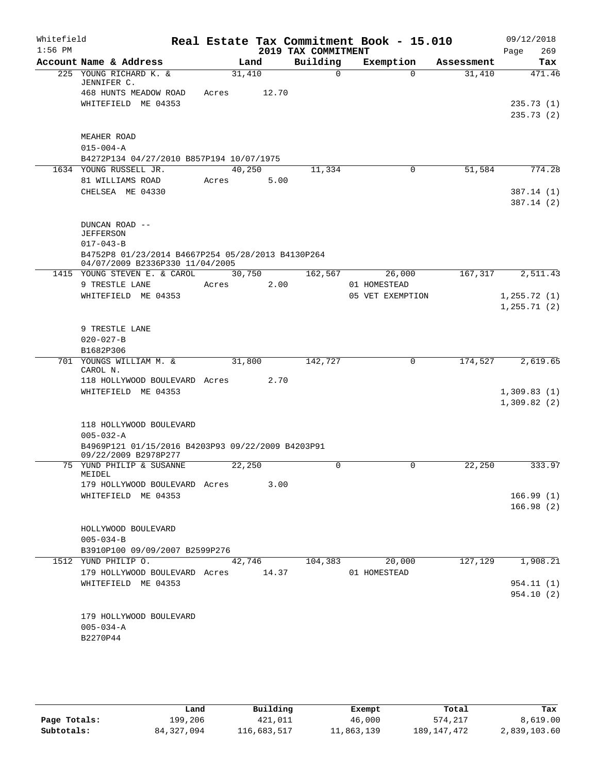| Whitefield<br>$1:56$ PM |                                     |                                                                    |       |        |       | 2019 TAX COMMITMENT | Real Estate Tax Commitment Book - 15.010 |            | 09/12/2018<br>269<br>Page |
|-------------------------|-------------------------------------|--------------------------------------------------------------------|-------|--------|-------|---------------------|------------------------------------------|------------|---------------------------|
|                         |                                     | Account Name & Address                                             |       | Land   |       | Building            | Exemption                                | Assessment | Tax                       |
|                         |                                     | 225 YOUNG RICHARD K. &                                             |       | 31,410 |       | 0                   | $\Omega$                                 | 31,410     | 471.46                    |
|                         |                                     | JENNIFER C.<br>468 HUNTS MEADOW ROAD                               | Acres |        | 12.70 |                     |                                          |            |                           |
|                         |                                     | WHITEFIELD ME 04353                                                |       |        |       |                     |                                          |            | 235.73(1)                 |
|                         |                                     |                                                                    |       |        |       |                     |                                          |            | 235.73(2)                 |
|                         |                                     |                                                                    |       |        |       |                     |                                          |            |                           |
|                         |                                     | MEAHER ROAD                                                        |       |        |       |                     |                                          |            |                           |
|                         | $015 - 004 - A$                     |                                                                    |       |        |       |                     |                                          |            |                           |
|                         |                                     | B4272P134 04/27/2010 B857P194 10/07/1975<br>1634 YOUNG RUSSELL JR. |       | 40,250 |       | 11,334              | $\mathbf 0$                              | 51,584     | 774.28                    |
|                         |                                     | 81 WILLIAMS ROAD                                                   | Acres |        | 5.00  |                     |                                          |            |                           |
|                         |                                     | CHELSEA ME 04330                                                   |       |        |       |                     |                                          |            | 387.14(1)                 |
|                         |                                     |                                                                    |       |        |       |                     |                                          |            | 387.14(2)                 |
|                         |                                     |                                                                    |       |        |       |                     |                                          |            |                           |
|                         |                                     | DUNCAN ROAD --                                                     |       |        |       |                     |                                          |            |                           |
|                         | <b>JEFFERSON</b><br>$017 - 043 - B$ |                                                                    |       |        |       |                     |                                          |            |                           |
|                         |                                     | B4752P8 01/23/2014 B4667P254 05/28/2013 B4130P264                  |       |        |       |                     |                                          |            |                           |
|                         |                                     | 04/07/2009 B2336P330 11/04/2005                                    |       |        |       |                     |                                          |            |                           |
|                         |                                     | 1415 YOUNG STEVEN E. & CAROL                                       |       | 30,750 |       | 162,567             | 26,000                                   | 167,317    | 2,511.43                  |
|                         |                                     | 9 TRESTLE LANE<br>WHITEFIELD ME 04353                              | Acres |        | 2.00  |                     | 01 HOMESTEAD<br>05 VET EXEMPTION         |            | 1, 255.72(1)              |
|                         |                                     |                                                                    |       |        |       |                     |                                          |            | 1, 255.71(2)              |
|                         |                                     |                                                                    |       |        |       |                     |                                          |            |                           |
|                         |                                     | 9 TRESTLE LANE                                                     |       |        |       |                     |                                          |            |                           |
|                         | $020 - 027 - B$                     |                                                                    |       |        |       |                     |                                          |            |                           |
|                         | B1682P306                           |                                                                    |       |        |       |                     |                                          |            |                           |
|                         | CAROL N.                            | 701 YOUNGS WILLIAM M. &                                            |       | 31,800 |       | 142,727             | 0                                        | 174,527    | 2,619.65                  |
|                         |                                     | 118 HOLLYWOOD BOULEVARD Acres                                      |       |        | 2.70  |                     |                                          |            |                           |
|                         |                                     | WHITEFIELD ME 04353                                                |       |        |       |                     |                                          |            | 1,309.83(1)               |
|                         |                                     |                                                                    |       |        |       |                     |                                          |            | 1,309.82(2)               |
|                         |                                     | 118 HOLLYWOOD BOULEVARD                                            |       |        |       |                     |                                          |            |                           |
|                         | $005 - 032 - A$                     |                                                                    |       |        |       |                     |                                          |            |                           |
|                         |                                     | B4969P121 01/15/2016 B4203P93 09/22/2009 B4203P91                  |       |        |       |                     |                                          |            |                           |
|                         |                                     | 09/22/2009 B2978P277                                               |       |        |       |                     |                                          |            |                           |
| 75                      | MEIDEL                              | YUND PHILIP & SUSANNE                                              |       | 22,250 |       | $\mathbf 0$         | $\mathbf 0$                              | 22,250     | 333.97                    |
|                         |                                     | 179 HOLLYWOOD BOULEVARD Acres                                      |       |        | 3.00  |                     |                                          |            |                           |
|                         |                                     | WHITEFIELD ME 04353                                                |       |        |       |                     |                                          |            | 166.99(1)                 |
|                         |                                     |                                                                    |       |        |       |                     |                                          |            | 166.98(2)                 |
|                         |                                     |                                                                    |       |        |       |                     |                                          |            |                           |
|                         |                                     | HOLLYWOOD BOULEVARD                                                |       |        |       |                     |                                          |            |                           |
|                         | $005 - 034 - B$                     | B3910P100 09/09/2007 B2599P276                                     |       |        |       |                     |                                          |            |                           |
|                         |                                     | 1512 YUND PHILIP O.                                                |       | 42,746 |       | 104,383             | 20,000                                   | 127,129    | 1,908.21                  |
|                         |                                     | 179 HOLLYWOOD BOULEVARD Acres 14.37                                |       |        |       |                     | 01 HOMESTEAD                             |            |                           |
|                         |                                     | WHITEFIELD ME 04353                                                |       |        |       |                     |                                          |            | 954.11(1)                 |
|                         |                                     |                                                                    |       |        |       |                     |                                          |            | 954.10(2)                 |
|                         |                                     |                                                                    |       |        |       |                     |                                          |            |                           |
|                         | $005 - 034 - A$                     | 179 HOLLYWOOD BOULEVARD                                            |       |        |       |                     |                                          |            |                           |
|                         | B2270P44                            |                                                                    |       |        |       |                     |                                          |            |                           |
|                         |                                     |                                                                    |       |        |       |                     |                                          |            |                           |
|                         |                                     |                                                                    |       |        |       |                     |                                          |            |                           |

|              | úand       | Building    | Exempt     | Total         | Tax          |
|--------------|------------|-------------|------------|---------------|--------------|
| Page Totals: | 199,206    | 421,011     | 46,000     | 574,217       | 8,619.00     |
| Subtotals:   | 84,327,094 | 116,683,517 | 11,863,139 | 189, 147, 472 | 2,839,103.60 |